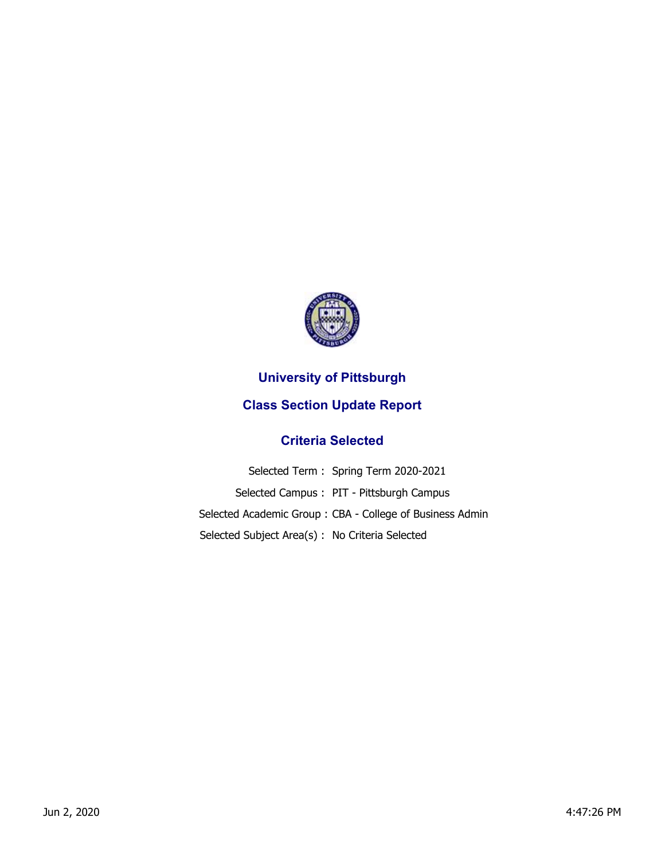

## **University of Pittsburgh**

## **Class Section Update Report**

## **Criteria Selected**

|                                                 | Selected Term: Spring Term 2020-2021                     |
|-------------------------------------------------|----------------------------------------------------------|
|                                                 | Selected Campus: PIT - Pittsburgh Campus                 |
|                                                 | Selected Academic Group: CBA - College of Business Admin |
| Selected Subject Area(s) : No Criteria Selected |                                                          |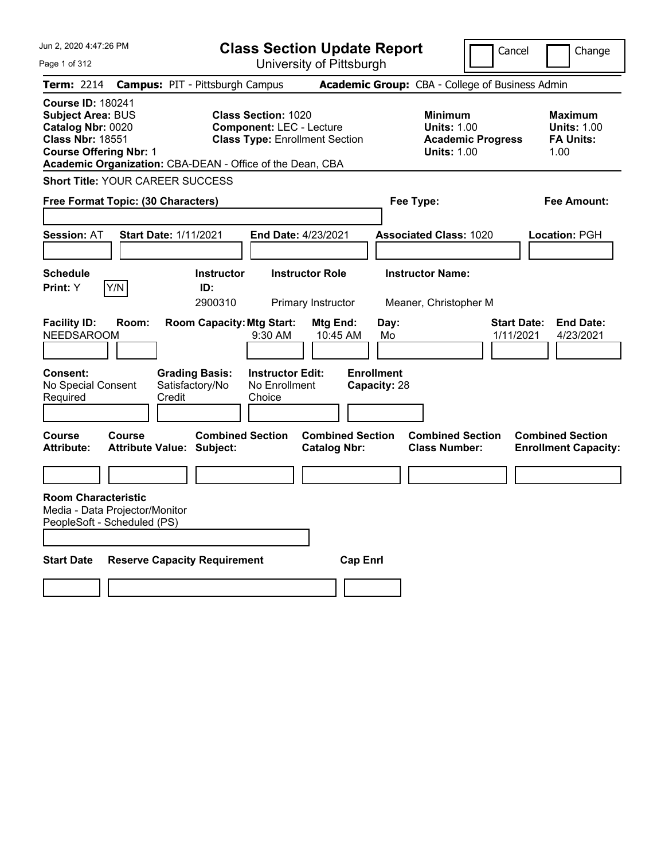Jun 2, 2020 4:47:26 PM Page 1 of 312 **Class Section Update Report** University of Pittsburgh Cancel | Change **Term:** 2214 **Campus:** PIT - Pittsburgh Campus **Academic Group:** CBA - College of Business Admin **Course ID:** 180241 **Subject Area:** BUS **Class Section:** 1020 **Minimum Maximum Component:** LEC - Lecture **Units: 1.00 Units: 1.00 Class Nbr:** 18551 **Class Type:** Enrollment Section **Academic Progress FA Units: Course Offering Nbr:** 1 **Units:** 1.00 1.00 **Academic Organization:** CBA-DEAN - Office of the Dean, CBA **Short Title:** YOUR CAREER SUCCESS **Free Format Topic: (30 Characters) Fee Type: Fee Amount: Session:** AT **Start Date:** 1/11/2021 **End Date:** 4/23/2021 **Associated Class:** 1020 **Location:** PGH **Schedule Instructor Instructor Role Instructor Name: Print:**  $Y$   $|Y/N|$  **ID:** 2900310 Primary Instructor Meaner, Christopher M **Facility ID: Room: Room Capacity:Mtg Start: Mtg End: Day: Start Date: End Date:** NEEDSAROOM 9:30 AM 10:45 AM Mo 1/11/2021 4/23/2021 **Consent: Grading Basis: Instructor Edit: Enrollment** No Special Consent Required Satisfactory/No Credit No Enrollment Choice **Capacity:** 28 **Course Course Combined Section Combined Section Combined Section Combined Section Attribute: Attribute Value: Subject: Catalog Nbr: Class Number: Enrollment Capacity: Room Characteristic** Media - Data Projector/Monitor PeopleSoft - Scheduled (PS) **Start Date Reserve Capacity Requirement Cap Enrl**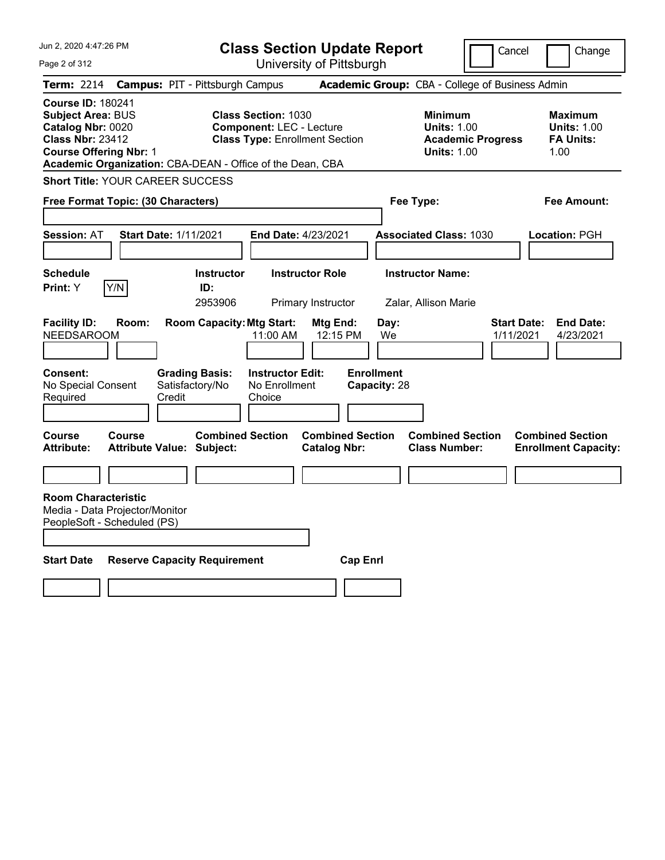Jun 2, 2020 4:47:26 PM Page 2 of 312 **Class Section Update Report** University of Pittsburgh Cancel Change **Term:** 2214 **Campus:** PIT - Pittsburgh Campus **Academic Group:** CBA - College of Business Admin **Course ID:** 180241 **Subject Area:** BUS **Class Section:** 1030 **Minimum Maximum Catalog Nbr:** 0020 **Component:** LEC - Lecture **Units:** 1.00 **Units:** 1.00 **Class Type: Enrollment Section <b>Academic Progress FA Units: Course Offering Nbr:** 1 **Units:** 1.00 1.00 **Academic Organization:** CBA-DEAN - Office of the Dean, CBA **Short Title:** YOUR CAREER SUCCESS **Free Format Topic: (30 Characters) Fee Type: Fee Amount: Session:** AT **Start Date:** 1/11/2021 **End Date:** 4/23/2021 **Associated Class:** 1030 **Location:** PGH **Schedule Instructor Instructor Role Instructor Name: Print:**  $Y$   $|Y/N|$  **ID:** 2953906 Primary Instructor Zalar, Allison Marie **Facility ID: Room: Room Capacity:Mtg Start: Mtg End: Day: Start Date: End Date:** NEEDSAROOM 11:00 AM 12:15 PM We 1/11/2021 4/23/2021 **Consent: Grading Basis: Instructor Edit: Enrollment** No Special Consent Required Satisfactory/No Credit No Enrollment Choice **Capacity:** 28 **Course Course Combined Section Combined Section Combined Section Combined Section Attribute: Attribute Value: Subject: Catalog Nbr: Class Number: Enrollment Capacity: Room Characteristic** Media - Data Projector/Monitor PeopleSoft - Scheduled (PS) **Start Date Reserve Capacity Requirement Cap Enrl**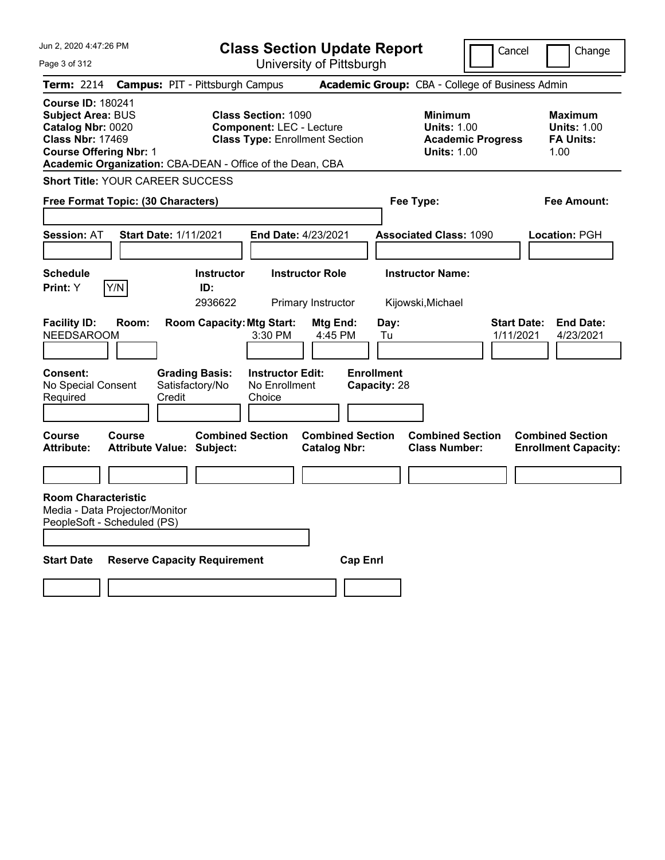Jun 2, 2020 4:47:26 PM Page 3 of 312 **Class Section Update Report** University of Pittsburgh Cancel Change **Term:** 2214 **Campus:** PIT - Pittsburgh Campus **Academic Group:** CBA - College of Business Admin **Course ID:** 180241 **Subject Area:** BUS **Class Section:** 1090 **Minimum Maximum Catalog Nbr:** 0020 **Component:** LEC - Lecture **Units:** 1.00 **Units:** 1.00 **Class Type: Enrollment Section <b>Academic Progress FA Units: Course Offering Nbr:** 1 **Units:** 1.00 1.00 **Academic Organization:** CBA-DEAN - Office of the Dean, CBA **Short Title:** YOUR CAREER SUCCESS **Free Format Topic: (30 Characters) Fee Type: Fee Amount: Session:** AT **Start Date:** 1/11/2021 **End Date:** 4/23/2021 **Associated Class:** 1090 **Location:** PGH **Schedule Instructor Instructor Role Instructor Name: Print:**  $Y$   $|Y/N|$  **ID:** 2936622 Primary Instructor Kijowski,Michael **Facility ID: Room: Room Capacity:Mtg Start: Mtg End: Day: Start Date: End Date:** NEEDSAROOM 3:30 PM 4:45 PM Tu 1/11/2021 4/23/2021 **Consent: Grading Basis: Instructor Edit: Enrollment** No Special Consent Required Satisfactory/No Credit No Enrollment Choice **Capacity:** 28 **Course Course Combined Section Combined Section Combined Section Combined Section Attribute: Attribute Value: Subject: Catalog Nbr: Class Number: Enrollment Capacity: Room Characteristic** Media - Data Projector/Monitor PeopleSoft - Scheduled (PS) **Start Date Reserve Capacity Requirement Cap Enrl**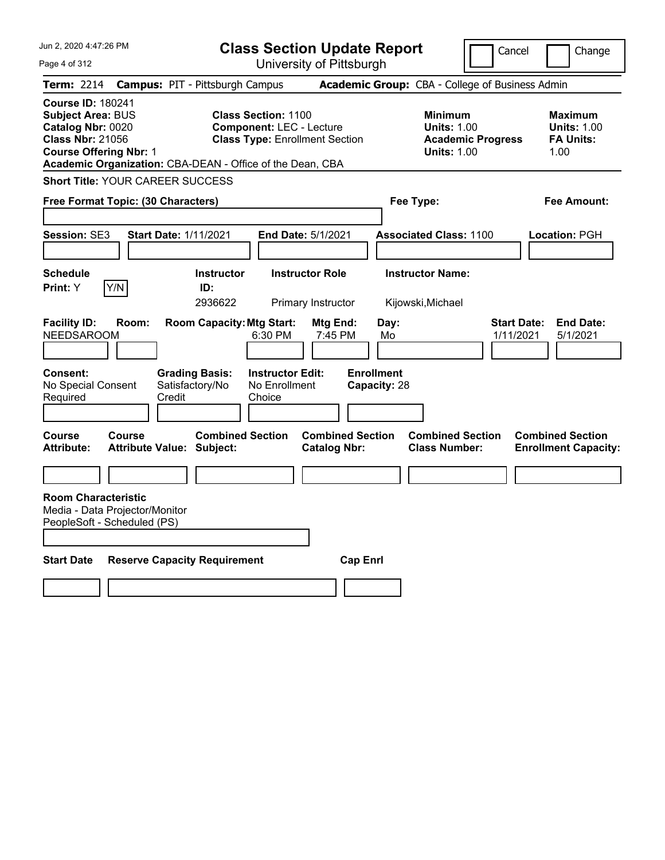| Jun 2, 2020 4:47:26 PM |  |
|------------------------|--|
|                        |  |

Page 4 of 312

**Class Section Update Report**

Cancel Change

|  | University of Pittsburgh |  |
|--|--------------------------|--|
|  |                          |  |

| <b>Term: 2214</b>                                                                                                                     |        | <b>Campus: PIT - Pittsburgh Campus</b>                      |                                                                                                                                                                     | Academic Group: CBA - College of Business Admin                                        |                                                                  |
|---------------------------------------------------------------------------------------------------------------------------------------|--------|-------------------------------------------------------------|---------------------------------------------------------------------------------------------------------------------------------------------------------------------|----------------------------------------------------------------------------------------|------------------------------------------------------------------|
| <b>Course ID: 180241</b><br><b>Subject Area: BUS</b><br>Catalog Nbr: 0020<br><b>Class Nbr: 21056</b><br><b>Course Offering Nbr: 1</b> |        |                                                             | <b>Class Section: 1100</b><br><b>Component: LEC - Lecture</b><br><b>Class Type: Enrollment Section</b><br>Academic Organization: CBA-DEAN - Office of the Dean, CBA | <b>Minimum</b><br><b>Units: 1.00</b><br><b>Academic Progress</b><br><b>Units: 1.00</b> | <b>Maximum</b><br><b>Units: 1.00</b><br><b>FA Units:</b><br>1.00 |
|                                                                                                                                       |        | <b>Short Title: YOUR CAREER SUCCESS</b>                     |                                                                                                                                                                     |                                                                                        |                                                                  |
| Free Format Topic: (30 Characters)                                                                                                    |        |                                                             |                                                                                                                                                                     | Fee Type:                                                                              | <b>Fee Amount:</b>                                               |
| Session: SE3                                                                                                                          |        | <b>Start Date: 1/11/2021</b>                                | End Date: 5/1/2021                                                                                                                                                  | <b>Associated Class: 1100</b>                                                          | Location: PGH                                                    |
| <b>Schedule</b><br>Print: Y                                                                                                           | Y/N    | <b>Instructor</b><br>ID:<br>2936622                         | <b>Instructor Role</b><br>Primary Instructor                                                                                                                        | <b>Instructor Name:</b><br>Kijowski, Michael                                           |                                                                  |
| <b>Facility ID:</b><br><b>NEEDSAROOM</b>                                                                                              | Room:  | <b>Room Capacity: Mtg Start:</b>                            | Mtg End:<br>6:30 PM<br>7:45 PM                                                                                                                                      | Day:<br>1/11/2021<br>Mo                                                                | <b>Start Date:</b><br><b>End Date:</b><br>5/1/2021               |
| <b>Consent:</b><br>No Special Consent<br>Required                                                                                     |        | <b>Grading Basis:</b><br>Satisfactory/No<br>Credit          | <b>Instructor Edit:</b><br>No Enrollment<br>Choice                                                                                                                  | <b>Enrollment</b><br>Capacity: 28                                                      |                                                                  |
| <b>Course</b><br><b>Attribute:</b>                                                                                                    | Course | <b>Combined Section</b><br><b>Attribute Value: Subject:</b> | <b>Catalog Nbr:</b>                                                                                                                                                 | <b>Combined Section</b><br><b>Combined Section</b><br><b>Class Number:</b>             | <b>Combined Section</b><br><b>Enrollment Capacity:</b>           |
| <b>Room Characteristic</b><br>Media - Data Projector/Monitor<br>PeopleSoft - Scheduled (PS)<br><b>Start Date</b>                      |        | <b>Reserve Capacity Requirement</b>                         |                                                                                                                                                                     | <b>Cap Enrl</b>                                                                        |                                                                  |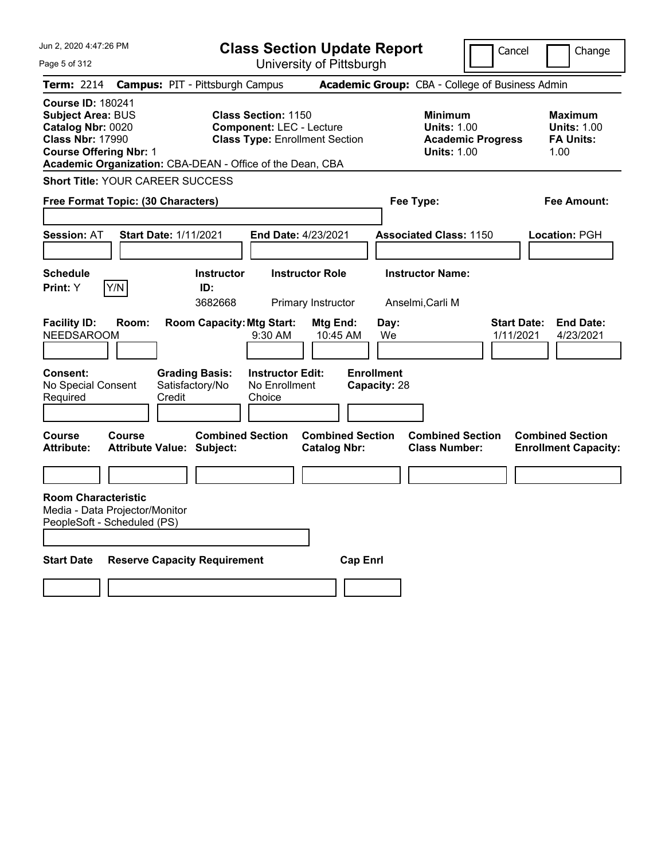| Jun 2, 2020 4:47:26 PM<br>Page 5 of 312                                                                                                                                                            | <b>Class Section Update Report</b><br>University of Pittsburgh                                         | Cancel                                                                                 | Change                                                           |
|----------------------------------------------------------------------------------------------------------------------------------------------------------------------------------------------------|--------------------------------------------------------------------------------------------------------|----------------------------------------------------------------------------------------|------------------------------------------------------------------|
| <b>Campus: PIT - Pittsburgh Campus</b><br><b>Term:</b> 2214                                                                                                                                        |                                                                                                        | Academic Group: CBA - College of Business Admin                                        |                                                                  |
| <b>Course ID: 180241</b><br><b>Subject Area: BUS</b><br>Catalog Nbr: 0020<br><b>Class Nbr: 17990</b><br><b>Course Offering Nbr: 1</b><br>Academic Organization: CBA-DEAN - Office of the Dean, CBA | <b>Class Section: 1150</b><br><b>Component: LEC - Lecture</b><br><b>Class Type: Enrollment Section</b> | <b>Minimum</b><br><b>Units: 1.00</b><br><b>Academic Progress</b><br><b>Units: 1.00</b> | <b>Maximum</b><br><b>Units: 1.00</b><br><b>FA Units:</b><br>1.00 |
| <b>Short Title: YOUR CAREER SUCCESS</b>                                                                                                                                                            |                                                                                                        |                                                                                        |                                                                  |
| Free Format Topic: (30 Characters)                                                                                                                                                                 |                                                                                                        | Fee Type:                                                                              | Fee Amount:                                                      |
| <b>Session: AT</b><br><b>Start Date: 1/11/2021</b>                                                                                                                                                 | End Date: 4/23/2021                                                                                    | <b>Associated Class: 1150</b>                                                          | Location: PGH                                                    |
| <b>Schedule</b><br>Y/N<br>Print: Y<br>ID:                                                                                                                                                          | <b>Instructor Role</b><br><b>Instructor</b><br>3682668<br>Primary Instructor                           | <b>Instructor Name:</b><br>Anselmi,Carli M                                             |                                                                  |
| <b>Facility ID:</b><br>Room:<br><b>NEEDSAROOM</b>                                                                                                                                                  | <b>Room Capacity: Mtg Start:</b><br>Mtg End:<br>9:30 AM<br>10:45 AM                                    | <b>Start Date:</b><br>Day:<br>We<br>1/11/2021                                          | <b>End Date:</b><br>4/23/2021                                    |
| <b>Grading Basis:</b><br><b>Consent:</b><br>No Special Consent<br>Satisfactory/No<br>Required<br>Credit                                                                                            | <b>Enrollment</b><br><b>Instructor Edit:</b><br>No Enrollment<br>Choice                                | Capacity: 28                                                                           |                                                                  |
| <b>Course</b><br><b>Course</b><br><b>Attribute:</b><br><b>Attribute Value: Subject:</b>                                                                                                            | <b>Combined Section</b><br><b>Combined Section</b><br><b>Catalog Nbr:</b>                              | <b>Combined Section</b><br><b>Class Number:</b>                                        | <b>Combined Section</b><br><b>Enrollment Capacity:</b>           |
|                                                                                                                                                                                                    |                                                                                                        |                                                                                        |                                                                  |
| <b>Room Characteristic</b><br>Media - Data Projector/Monitor<br>PeopleSoft - Scheduled (PS)                                                                                                        |                                                                                                        |                                                                                        |                                                                  |
| <b>Start Date</b><br><b>Reserve Capacity Requirement</b>                                                                                                                                           | <b>Cap Enri</b>                                                                                        |                                                                                        |                                                                  |
|                                                                                                                                                                                                    |                                                                                                        |                                                                                        |                                                                  |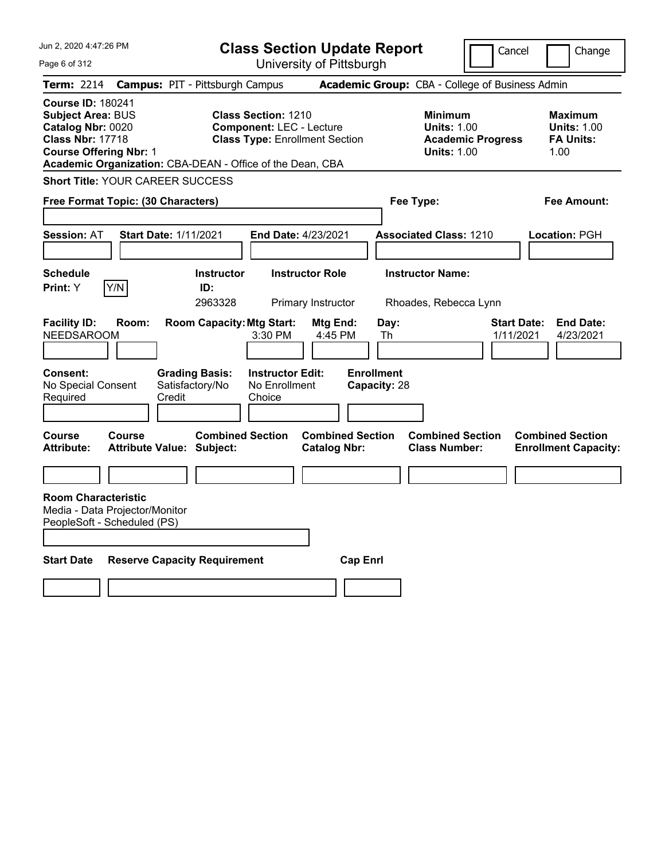| Jun 2, 2020 4:47:26 PM<br>Page 6 of 312                                                                                                                                                            | <b>Class Section Update Report</b><br>University of Pittsburgh                                         | Cancel                                                                                 | Change                                                           |
|----------------------------------------------------------------------------------------------------------------------------------------------------------------------------------------------------|--------------------------------------------------------------------------------------------------------|----------------------------------------------------------------------------------------|------------------------------------------------------------------|
| <b>Campus: PIT - Pittsburgh Campus</b><br><b>Term: 2214</b>                                                                                                                                        |                                                                                                        | Academic Group: CBA - College of Business Admin                                        |                                                                  |
| <b>Course ID: 180241</b><br><b>Subject Area: BUS</b><br>Catalog Nbr: 0020<br><b>Class Nbr: 17718</b><br><b>Course Offering Nbr: 1</b><br>Academic Organization: CBA-DEAN - Office of the Dean, CBA | <b>Class Section: 1210</b><br><b>Component: LEC - Lecture</b><br><b>Class Type: Enrollment Section</b> | <b>Minimum</b><br><b>Units: 1.00</b><br><b>Academic Progress</b><br><b>Units: 1.00</b> | <b>Maximum</b><br><b>Units: 1.00</b><br><b>FA Units:</b><br>1.00 |
| <b>Short Title: YOUR CAREER SUCCESS</b>                                                                                                                                                            |                                                                                                        |                                                                                        |                                                                  |
| Free Format Topic: (30 Characters)                                                                                                                                                                 |                                                                                                        | Fee Type:                                                                              | Fee Amount:                                                      |
| <b>Session: AT</b><br><b>Start Date: 1/11/2021</b>                                                                                                                                                 | End Date: 4/23/2021                                                                                    | <b>Associated Class: 1210</b>                                                          | Location: PGH                                                    |
| <b>Schedule</b><br>Y/N<br>Print: Y                                                                                                                                                                 | <b>Instructor Role</b><br><b>Instructor</b><br>ID:<br>2963328<br>Primary Instructor                    | <b>Instructor Name:</b><br>Rhoades, Rebecca Lynn                                       |                                                                  |
| <b>Facility ID:</b><br>Room:<br><b>NEEDSAROOM</b>                                                                                                                                                  | <b>Room Capacity: Mtg Start:</b><br>Mtg End:<br>3:30 PM<br>4:45 PM                                     | Day:<br>1/11/2021<br>Th                                                                | <b>Start Date:</b><br><b>End Date:</b><br>4/23/2021              |
| <b>Consent:</b><br><b>Grading Basis:</b><br>No Special Consent<br>Satisfactory/No<br>Required<br>Credit                                                                                            | <b>Instructor Edit:</b><br>No Enrollment<br>Choice                                                     | <b>Enrollment</b><br>Capacity: 28                                                      |                                                                  |
| <b>Course</b><br><b>Course</b><br><b>Attribute:</b><br><b>Attribute Value: Subject:</b>                                                                                                            | <b>Combined Section</b><br><b>Combined Section</b><br><b>Catalog Nbr:</b>                              | <b>Combined Section</b><br><b>Class Number:</b>                                        | <b>Combined Section</b><br><b>Enrollment Capacity:</b>           |
|                                                                                                                                                                                                    |                                                                                                        |                                                                                        |                                                                  |
| <b>Room Characteristic</b><br>Media - Data Projector/Monitor<br>PeopleSoft - Scheduled (PS)                                                                                                        |                                                                                                        |                                                                                        |                                                                  |
| <b>Start Date</b><br><b>Reserve Capacity Requirement</b>                                                                                                                                           |                                                                                                        | <b>Cap Enri</b>                                                                        |                                                                  |
|                                                                                                                                                                                                    |                                                                                                        |                                                                                        |                                                                  |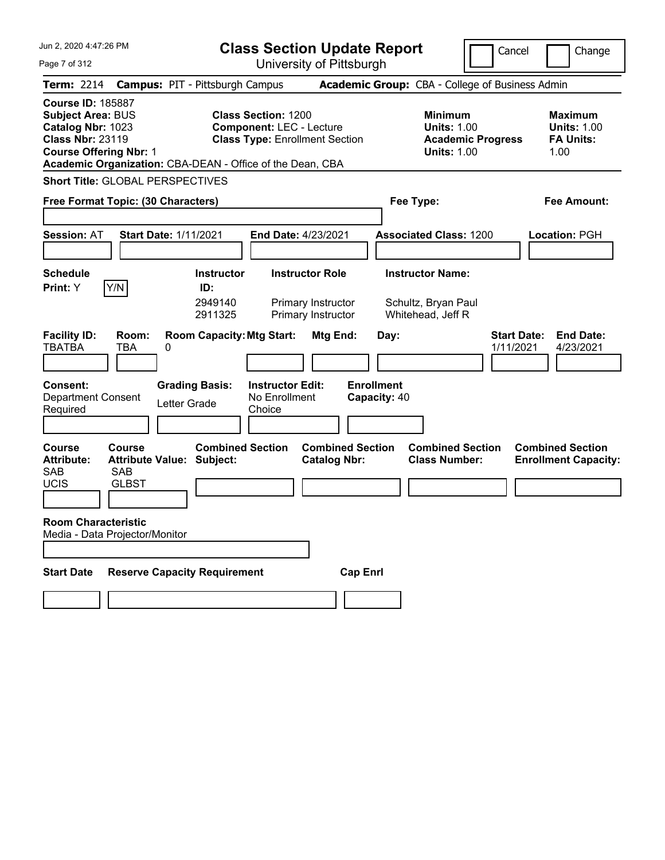Jun 2, 2020 4:47:26 PM Page 7 of 312 **Class Section Update Report** University of Pittsburgh Cancel Change **Term:** 2214 **Campus:** PIT - Pittsburgh Campus **Academic Group:** CBA - College of Business Admin **Course ID:** 185887 **Subject Area: BUS 6. Class Section: 1200 6. Class Maximum 1200 6. Minimum 1200 6. Maximum 1200 Catalog Nbr:** 1023 **Component:** LEC - Lecture **Units:** 1.00 **Units:** 1.00 **Class Nbr:** 23119 **Class Type:** Enrollment Section **Academic Progress FA Units: Course Offering Nbr:** 1 **Units:** 1.00 1.00 **Academic Organization:** CBA-DEAN - Office of the Dean, CBA **Short Title:** GLOBAL PERSPECTIVES **Free Format Topic: (30 Characters) Fee Type: Fee Amount: Session:** AT **Start Date:** 1/11/2021 **End Date:** 4/23/2021 **Associated Class:** 1200 **Location:** PGH **Schedule Instructor Instructor Role Instructor Name: Print:**  $Y$   $|Y/N|$  **ID:** 2949140 Primary Instructor Schultz, Bryan Paul 2911325 Primary Instructor Whitehead, Jeff R **Facility ID: Room: Room Capacity: Mtg Start: Mtg End: Day: Start Date: End Date: End Date: TBA 0<br>TBATBA TBA 0** TBATBA TBA 0 1/11/2021 4/23/2021 **Consent: Grading Basis: Instructor Edit: Enrollment** Department Consent Letter Grade No Enrollment<br>Required Letter Grade Choice **Choice Capacity:** 40 **Course Course Combined Section Combined Section Combined Section Combined Section**  Attribute: Attribute Value: Subject: Catalog Nbr: Class Number: Enrollment Capacity: SAB SAB UCIS GLBST **Room Characteristic** Media - Data Projector/Monitor **Start Date Reserve Capacity Requirement Cap Enrl**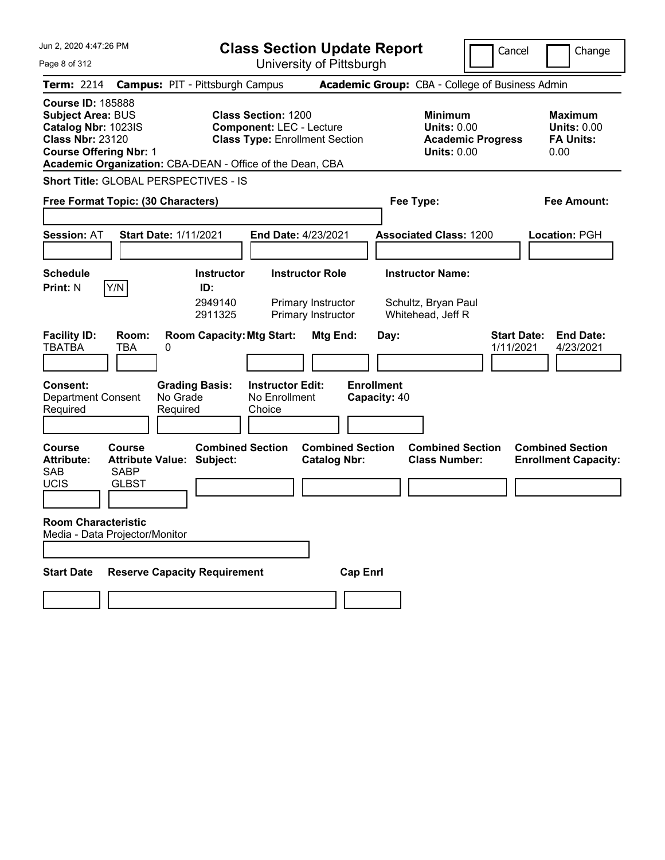| Jun 2, 2020 4:47:26 PM                                                                                                                                                                               | <b>Class Section Update Report</b>                                                                                    | Cancel                                                                                 | Change                                                           |
|------------------------------------------------------------------------------------------------------------------------------------------------------------------------------------------------------|-----------------------------------------------------------------------------------------------------------------------|----------------------------------------------------------------------------------------|------------------------------------------------------------------|
| Page 8 of 312                                                                                                                                                                                        | University of Pittsburgh                                                                                              |                                                                                        |                                                                  |
| <b>Term: 2214</b>                                                                                                                                                                                    | <b>Campus: PIT - Pittsburgh Campus</b>                                                                                | Academic Group: CBA - College of Business Admin                                        |                                                                  |
| <b>Course ID: 185888</b><br><b>Subject Area: BUS</b><br>Catalog Nbr: 1023IS<br><b>Class Nbr: 23120</b><br><b>Course Offering Nbr: 1</b><br>Academic Organization: CBA-DEAN - Office of the Dean, CBA | <b>Class Section: 1200</b><br><b>Component: LEC - Lecture</b><br><b>Class Type: Enrollment Section</b>                | <b>Minimum</b><br><b>Units: 0.00</b><br><b>Academic Progress</b><br><b>Units: 0.00</b> | <b>Maximum</b><br><b>Units: 0.00</b><br><b>FA Units:</b><br>0.00 |
| <b>Short Title: GLOBAL PERSPECTIVES - IS</b>                                                                                                                                                         |                                                                                                                       |                                                                                        |                                                                  |
| <b>Free Format Topic: (30 Characters)</b>                                                                                                                                                            |                                                                                                                       | Fee Type:                                                                              | Fee Amount:                                                      |
| <b>Session: AT</b><br><b>Start Date: 1/11/2021</b>                                                                                                                                                   | <b>End Date: 4/23/2021</b>                                                                                            | <b>Associated Class: 1200</b>                                                          | Location: PGH                                                    |
| <b>Schedule</b>                                                                                                                                                                                      | <b>Instructor Role</b><br><b>Instructor</b>                                                                           | <b>Instructor Name:</b>                                                                |                                                                  |
| Y/N<br><b>Print: N</b><br><b>Facility ID:</b><br>Room:<br><b>TBATBA</b><br>0<br>TBA                                                                                                                  | ID:<br>2949140<br>Primary Instructor<br>2911325<br>Primary Instructor<br><b>Room Capacity: Mtg Start:</b><br>Mtg End: | Schultz, Bryan Paul<br>Whitehead, Jeff R<br><b>Start Date:</b><br>Day:<br>1/11/2021    | <b>End Date:</b><br>4/23/2021                                    |
| Consent:<br><b>Grading Basis:</b><br>No Grade<br><b>Department Consent</b><br>Required<br>Required                                                                                                   | <b>Instructor Edit:</b><br>No Enrollment<br>Choice                                                                    | <b>Enrollment</b><br>Capacity: 40                                                      |                                                                  |
| <b>Course</b><br>Course<br><b>Attribute Value: Subject:</b><br><b>Attribute:</b><br><b>SAB</b><br><b>SABP</b><br><b>UCIS</b><br><b>GLBST</b><br><b>Room Characteristic</b>                           | <b>Combined Section</b><br><b>Combined Section</b><br><b>Catalog Nbr:</b>                                             | <b>Combined Section</b><br><b>Class Number:</b>                                        | <b>Combined Section</b><br><b>Enrollment Capacity:</b>           |
| Media - Data Projector/Monitor                                                                                                                                                                       |                                                                                                                       |                                                                                        |                                                                  |
| <b>Reserve Capacity Requirement</b><br><b>Start Date</b>                                                                                                                                             | <b>Cap Enrl</b>                                                                                                       |                                                                                        |                                                                  |
|                                                                                                                                                                                                      |                                                                                                                       |                                                                                        |                                                                  |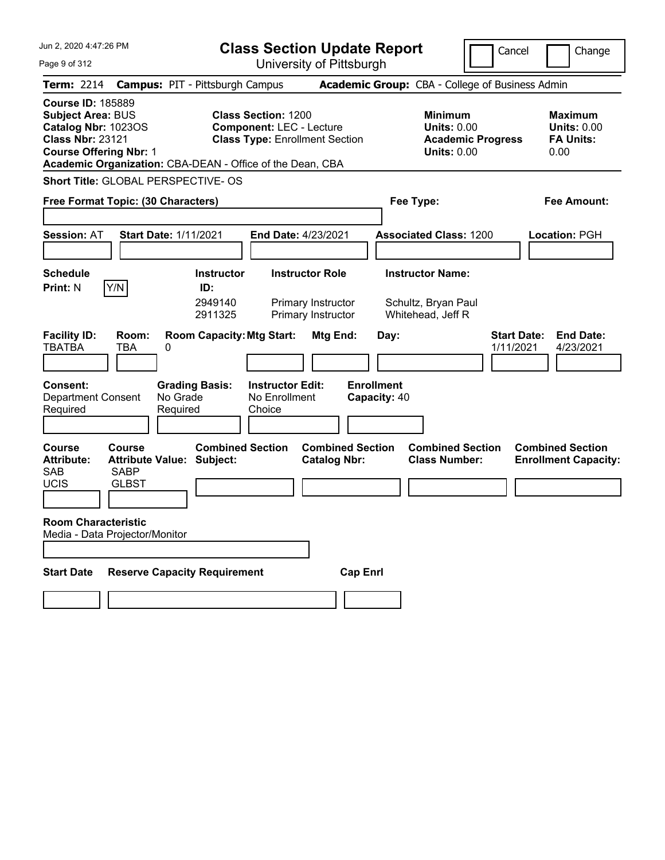| Jun 2, 2020 4:47:26 PM                                                                                                                                              | <b>Class Section Update Report</b>                                                                                                                                  | Cancel                                                                                 | Change                                                           |
|---------------------------------------------------------------------------------------------------------------------------------------------------------------------|---------------------------------------------------------------------------------------------------------------------------------------------------------------------|----------------------------------------------------------------------------------------|------------------------------------------------------------------|
| Page 9 of 312                                                                                                                                                       | University of Pittsburgh                                                                                                                                            |                                                                                        |                                                                  |
| <b>Term: 2214</b>                                                                                                                                                   | <b>Campus: PIT - Pittsburgh Campus</b>                                                                                                                              | Academic Group: CBA - College of Business Admin                                        |                                                                  |
| <b>Course ID: 185889</b><br><b>Subject Area: BUS</b><br>Catalog Nbr: 1023OS<br><b>Class Nbr: 23121</b><br><b>Course Offering Nbr: 1</b>                             | <b>Class Section: 1200</b><br><b>Component: LEC - Lecture</b><br><b>Class Type: Enrollment Section</b><br>Academic Organization: CBA-DEAN - Office of the Dean, CBA | <b>Minimum</b><br><b>Units: 0.00</b><br><b>Academic Progress</b><br><b>Units: 0.00</b> | <b>Maximum</b><br><b>Units: 0.00</b><br><b>FA Units:</b><br>0.00 |
| <b>Short Title: GLOBAL PERSPECTIVE- OS</b>                                                                                                                          |                                                                                                                                                                     |                                                                                        |                                                                  |
| Free Format Topic: (30 Characters)                                                                                                                                  |                                                                                                                                                                     | Fee Type:                                                                              | Fee Amount:                                                      |
| <b>Session: AT</b><br><b>Start Date: 1/11/2021</b>                                                                                                                  | <b>End Date: 4/23/2021</b>                                                                                                                                          | <b>Associated Class: 1200</b>                                                          | <b>Location: PGH</b>                                             |
| Schedule                                                                                                                                                            | <b>Instructor</b><br><b>Instructor Role</b>                                                                                                                         | <b>Instructor Name:</b>                                                                |                                                                  |
| <b>Print: N</b><br>Y/N<br><b>Facility ID:</b><br>Room:<br><b>TBATBA</b><br>0<br>TBA                                                                                 | ID:<br>2949140<br>Primary Instructor<br>2911325<br>Primary Instructor<br><b>Room Capacity: Mtg Start:</b><br>Mtg End:                                               | Schultz, Bryan Paul<br>Whitehead, Jeff R<br><b>Start Date:</b><br>Day:<br>1/11/2021    | <b>End Date:</b><br>4/23/2021                                    |
| <b>Consent:</b><br>No Grade<br><b>Department Consent</b><br>Required<br>Required                                                                                    | <b>Grading Basis:</b><br><b>Instructor Edit:</b><br>No Enrollment<br>Choice                                                                                         | <b>Enrollment</b><br>Capacity: 40                                                      |                                                                  |
| Course<br>Course<br><b>Attribute Value: Subject:</b><br><b>Attribute:</b><br><b>SAB</b><br><b>SABP</b><br><b>UCIS</b><br><b>GLBST</b><br><b>Room Characteristic</b> | <b>Combined Section</b><br><b>Combined Section</b><br><b>Catalog Nbr:</b>                                                                                           | <b>Combined Section</b><br><b>Class Number:</b>                                        | <b>Combined Section</b><br><b>Enrollment Capacity:</b>           |
| Media - Data Projector/Monitor                                                                                                                                      |                                                                                                                                                                     |                                                                                        |                                                                  |
| <b>Reserve Capacity Requirement</b><br><b>Start Date</b>                                                                                                            | <b>Cap Enrl</b>                                                                                                                                                     |                                                                                        |                                                                  |
|                                                                                                                                                                     |                                                                                                                                                                     |                                                                                        |                                                                  |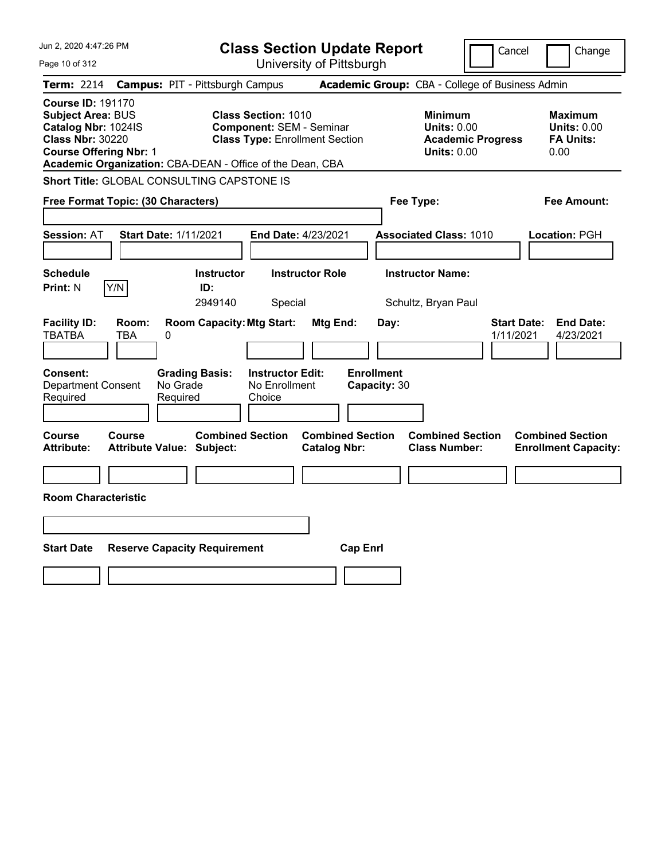| Jun 2, 2020 4:47:26 PM                                                                                                                                                                               | <b>Class Section Update Report</b>                                                                              |                                                       | Cancel                                                                                 | Change                                                           |
|------------------------------------------------------------------------------------------------------------------------------------------------------------------------------------------------------|-----------------------------------------------------------------------------------------------------------------|-------------------------------------------------------|----------------------------------------------------------------------------------------|------------------------------------------------------------------|
| Page 10 of 312                                                                                                                                                                                       |                                                                                                                 | University of Pittsburgh                              |                                                                                        |                                                                  |
| <b>Term: 2214</b>                                                                                                                                                                                    | <b>Campus: PIT - Pittsburgh Campus</b>                                                                          |                                                       | Academic Group: CBA - College of Business Admin                                        |                                                                  |
| <b>Course ID: 191170</b><br><b>Subject Area: BUS</b><br>Catalog Nbr: 1024IS<br><b>Class Nbr: 30220</b><br><b>Course Offering Nbr: 1</b><br>Academic Organization: CBA-DEAN - Office of the Dean, CBA | <b>Class Section: 1010</b><br><b>Component: SEM - Seminar</b><br><b>Class Type: Enrollment Section</b>          |                                                       | <b>Minimum</b><br><b>Units: 0.00</b><br><b>Academic Progress</b><br><b>Units: 0.00</b> | <b>Maximum</b><br><b>Units: 0.00</b><br><b>FA Units:</b><br>0.00 |
| Short Title: GLOBAL CONSULTING CAPSTONE IS                                                                                                                                                           |                                                                                                                 |                                                       |                                                                                        |                                                                  |
| Free Format Topic: (30 Characters)                                                                                                                                                                   |                                                                                                                 |                                                       | Fee Type:                                                                              | Fee Amount:                                                      |
| <b>Session: AT</b><br><b>Start Date: 1/11/2021</b>                                                                                                                                                   | End Date: 4/23/2021                                                                                             |                                                       | <b>Associated Class: 1010</b>                                                          | Location: PGH                                                    |
| <b>Schedule</b><br>Y/N<br><b>Print: N</b>                                                                                                                                                            | <b>Instructor Role</b><br><b>Instructor</b><br>ID:<br>2949140<br>Special                                        |                                                       | <b>Instructor Name:</b><br>Schultz, Bryan Paul                                         |                                                                  |
| <b>Facility ID:</b><br>Room:<br><b>TBATBA</b><br>TBA<br>0<br><b>Consent:</b><br><b>Department Consent</b><br>No Grade<br>Required<br>Required                                                        | <b>Room Capacity: Mtg Start:</b><br><b>Grading Basis:</b><br><b>Instructor Edit:</b><br>No Enrollment<br>Choice | Mtg End:<br>Day:<br><b>Enrollment</b><br>Capacity: 30 | 1/11/2021                                                                              | <b>Start Date:</b><br><b>End Date:</b><br>4/23/2021              |
| Course<br>Course<br><b>Attribute Value: Subject:</b><br>Attribute:<br><b>Room Characteristic</b>                                                                                                     | <b>Combined Section</b>                                                                                         | <b>Combined Section</b><br><b>Catalog Nbr:</b>        | <b>Combined Section</b><br><b>Class Number:</b>                                        | <b>Combined Section</b><br><b>Enrollment Capacity:</b>           |
| <b>Start Date</b><br><b>Reserve Capacity Requirement</b>                                                                                                                                             |                                                                                                                 | <b>Cap Enrl</b>                                       |                                                                                        |                                                                  |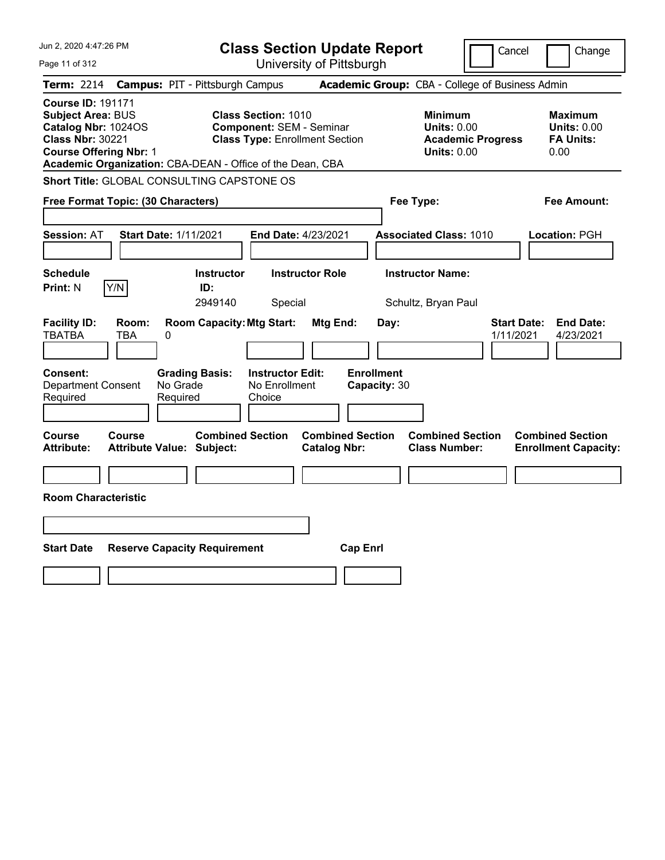| Jun 2, 2020 4:47:26 PM                                                                                                           | <b>Class Section Update Report</b>                                                                                                                                  |                                                                            | Cancel<br>Change                                                                             |
|----------------------------------------------------------------------------------------------------------------------------------|---------------------------------------------------------------------------------------------------------------------------------------------------------------------|----------------------------------------------------------------------------|----------------------------------------------------------------------------------------------|
| Page 11 of 312                                                                                                                   | University of Pittsburgh                                                                                                                                            |                                                                            |                                                                                              |
| <b>Term: 2214</b>                                                                                                                | <b>Campus: PIT - Pittsburgh Campus</b>                                                                                                                              | Academic Group: CBA - College of Business Admin                            |                                                                                              |
| <b>Course ID: 191171</b><br>Subject Area: BUS<br>Catalog Nbr: 1024OS<br><b>Class Nbr: 30221</b><br><b>Course Offering Nbr: 1</b> | <b>Class Section: 1010</b><br><b>Component: SEM - Seminar</b><br><b>Class Type: Enrollment Section</b><br>Academic Organization: CBA-DEAN - Office of the Dean, CBA | <b>Minimum</b><br><b>Units: 0.00</b><br><b>Units: 0.00</b>                 | <b>Maximum</b><br><b>Units: 0.00</b><br><b>FA Units:</b><br><b>Academic Progress</b><br>0.00 |
| Short Title: GLOBAL CONSULTING CAPSTONE OS                                                                                       |                                                                                                                                                                     |                                                                            |                                                                                              |
| Free Format Topic: (30 Characters)                                                                                               |                                                                                                                                                                     | Fee Type:                                                                  | Fee Amount:                                                                                  |
| Start Date: 1/11/2021<br><b>Session: AT</b>                                                                                      | End Date: 4/23/2021                                                                                                                                                 | <b>Associated Class: 1010</b>                                              | Location: PGH                                                                                |
| <b>Schedule</b><br>Y/N<br><b>Print: N</b>                                                                                        | <b>Instructor Role</b><br><b>Instructor</b><br>ID:<br>2949140<br>Special                                                                                            | <b>Instructor Name:</b><br>Schultz, Bryan Paul                             |                                                                                              |
| <b>Facility ID:</b><br>Room:<br><b>TBATBA</b><br><b>TBA</b><br>0                                                                 | <b>Room Capacity: Mtg Start:</b><br>Mtg End:                                                                                                                        | Day:                                                                       | <b>Start Date:</b><br><b>End Date:</b><br>1/11/2021<br>4/23/2021                             |
| Consent:<br>No Grade<br><b>Department Consent</b><br>Required<br>Required                                                        | <b>Grading Basis:</b><br><b>Instructor Edit:</b><br>No Enrollment<br>Choice                                                                                         | <b>Enrollment</b><br>Capacity: 30                                          |                                                                                              |
| Course<br>Course<br><b>Attribute Value: Subject:</b><br><b>Attribute:</b>                                                        | <b>Combined Section</b><br><b>Catalog Nbr:</b>                                                                                                                      | <b>Combined Section</b><br><b>Combined Section</b><br><b>Class Number:</b> | <b>Combined Section</b><br><b>Enrollment Capacity:</b>                                       |
|                                                                                                                                  |                                                                                                                                                                     |                                                                            |                                                                                              |
| <b>Room Characteristic</b>                                                                                                       |                                                                                                                                                                     |                                                                            |                                                                                              |
|                                                                                                                                  |                                                                                                                                                                     |                                                                            |                                                                                              |
| <b>Start Date</b><br><b>Reserve Capacity Requirement</b>                                                                         |                                                                                                                                                                     | <b>Cap Enrl</b>                                                            |                                                                                              |
|                                                                                                                                  |                                                                                                                                                                     |                                                                            |                                                                                              |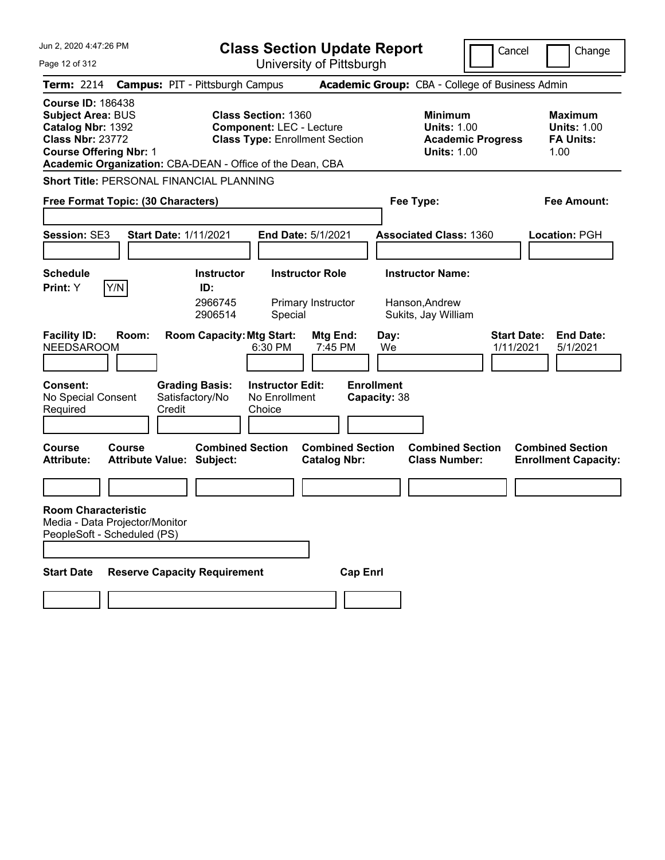| Jun 2, 2020 4:47:26 PM                                                                                                                                                                             | <b>Class Section Update Report</b>                                                                     | Cancel                                                                                  | Change                                                           |
|----------------------------------------------------------------------------------------------------------------------------------------------------------------------------------------------------|--------------------------------------------------------------------------------------------------------|-----------------------------------------------------------------------------------------|------------------------------------------------------------------|
| Page 12 of 312                                                                                                                                                                                     | University of Pittsburgh                                                                               |                                                                                         |                                                                  |
| <b>Term: 2214</b>                                                                                                                                                                                  | <b>Campus: PIT - Pittsburgh Campus</b>                                                                 | <b>Academic Group:</b> CBA - College of Business Admin                                  |                                                                  |
| <b>Course ID: 186438</b><br><b>Subject Area: BUS</b><br>Catalog Nbr: 1392<br><b>Class Nbr: 23772</b><br><b>Course Offering Nbr: 1</b><br>Academic Organization: CBA-DEAN - Office of the Dean, CBA | <b>Class Section: 1360</b><br><b>Component: LEC - Lecture</b><br><b>Class Type: Enrollment Section</b> | <b>Minimum</b><br><b>Units: 1.00</b><br><b>Academic Progress</b><br><b>Units: 1.00</b>  | <b>Maximum</b><br><b>Units: 1.00</b><br><b>FA Units:</b><br>1.00 |
| <b>Short Title: PERSONAL FINANCIAL PLANNING</b>                                                                                                                                                    |                                                                                                        |                                                                                         |                                                                  |
| Free Format Topic: (30 Characters)                                                                                                                                                                 |                                                                                                        | Fee Type:                                                                               | <b>Fee Amount:</b>                                               |
| <b>Session: SE3</b><br><b>Start Date: 1/11/2021</b>                                                                                                                                                | End Date: 5/1/2021                                                                                     | <b>Associated Class: 1360</b>                                                           | Location: PGH                                                    |
| <b>Schedule</b>                                                                                                                                                                                    | <b>Instructor</b><br><b>Instructor Role</b>                                                            | <b>Instructor Name:</b>                                                                 |                                                                  |
| Y/N<br>Print: Y                                                                                                                                                                                    | ID:<br>2966745<br>Primary Instructor<br>2906514<br>Special                                             | Hanson, Andrew<br>Sukits, Jay William                                                   |                                                                  |
| <b>Facility ID:</b><br>Room:<br><b>NEEDSAROOM</b>                                                                                                                                                  | <b>Room Capacity: Mtg Start:</b><br>Mtg End:<br>6:30 PM<br>7:45 PM                                     | <b>Start Date:</b><br>Day:<br>We<br>1/11/2021                                           | <b>End Date:</b><br>5/1/2021                                     |
| <b>Consent:</b><br><b>Grading Basis:</b><br>No Special Consent<br>Satisfactory/No<br>Credit<br>Required<br><b>Course</b><br><b>Course</b>                                                          | <b>Instructor Edit:</b><br>No Enrollment<br>Choice<br><b>Combined Section</b>                          | <b>Enrollment</b><br>Capacity: 38<br><b>Combined Section</b><br><b>Combined Section</b> | <b>Combined Section</b>                                          |
| <b>Attribute:</b><br><b>Attribute Value: Subject:</b>                                                                                                                                              | <b>Catalog Nbr:</b>                                                                                    | <b>Class Number:</b>                                                                    | <b>Enrollment Capacity:</b>                                      |
|                                                                                                                                                                                                    |                                                                                                        |                                                                                         |                                                                  |
| <b>Room Characteristic</b><br>Media - Data Projector/Monitor<br>PeopleSoft - Scheduled (PS)                                                                                                        |                                                                                                        |                                                                                         |                                                                  |
| <b>Reserve Capacity Requirement</b><br><b>Start Date</b>                                                                                                                                           |                                                                                                        | <b>Cap Enrl</b>                                                                         |                                                                  |
|                                                                                                                                                                                                    |                                                                                                        |                                                                                         |                                                                  |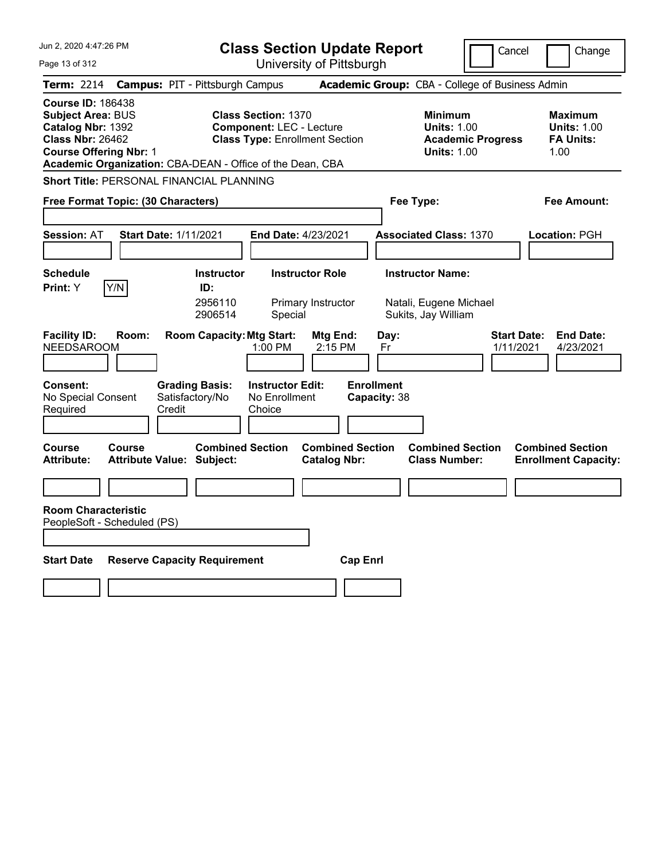| Jun 2, 2020 4:47:26 PM                                                                                                                                                                             | <b>Class Section Update Report</b>                                                                        |                                                                                        | Cancel<br>Change                                                 |
|----------------------------------------------------------------------------------------------------------------------------------------------------------------------------------------------------|-----------------------------------------------------------------------------------------------------------|----------------------------------------------------------------------------------------|------------------------------------------------------------------|
| Page 13 of 312                                                                                                                                                                                     | University of Pittsburgh                                                                                  |                                                                                        |                                                                  |
| <b>Term: 2214</b>                                                                                                                                                                                  | <b>Campus: PIT - Pittsburgh Campus</b>                                                                    | Academic Group: CBA - College of Business Admin                                        |                                                                  |
| <b>Course ID: 186438</b><br><b>Subject Area: BUS</b><br>Catalog Nbr: 1392<br><b>Class Nbr: 26462</b><br><b>Course Offering Nbr: 1</b><br>Academic Organization: CBA-DEAN - Office of the Dean, CBA | <b>Class Section: 1370</b><br><b>Component: LEC - Lecture</b><br><b>Class Type: Enrollment Section</b>    | <b>Minimum</b><br><b>Units: 1.00</b><br><b>Academic Progress</b><br><b>Units: 1.00</b> | <b>Maximum</b><br><b>Units: 1.00</b><br><b>FA Units:</b><br>1.00 |
| Short Title: PERSONAL FINANCIAL PLANNING                                                                                                                                                           |                                                                                                           |                                                                                        |                                                                  |
| Free Format Topic: (30 Characters)                                                                                                                                                                 |                                                                                                           | Fee Type:                                                                              | Fee Amount:                                                      |
| <b>Session: AT</b><br><b>Start Date: 1/11/2021</b>                                                                                                                                                 | <b>End Date: 4/23/2021</b>                                                                                | <b>Associated Class: 1370</b>                                                          | <b>Location: PGH</b>                                             |
| <b>Schedule</b><br>Y/N<br>Print: Y                                                                                                                                                                 | <b>Instructor Role</b><br><b>Instructor</b><br>ID:<br>2956110<br>Primary Instructor<br>2906514<br>Special | <b>Instructor Name:</b><br>Natali, Eugene Michael<br>Sukits, Jay William               |                                                                  |
| <b>Facility ID:</b><br>Room:<br><b>NEEDSAROOM</b>                                                                                                                                                  | <b>Room Capacity: Mtg Start:</b><br>Mtg End:<br>1:00 PM<br>2:15 PM                                        | Day:<br>Fr                                                                             | <b>Start Date:</b><br><b>End Date:</b><br>1/11/2021<br>4/23/2021 |
| <b>Consent:</b><br><b>Grading Basis:</b><br>No Special Consent<br>Satisfactory/No<br>Required<br>Credit                                                                                            | <b>Instructor Edit:</b><br>No Enrollment<br>Choice                                                        | <b>Enrollment</b><br>Capacity: 38                                                      |                                                                  |
| Course<br>Course<br><b>Attribute:</b><br><b>Attribute Value: Subject:</b>                                                                                                                          | <b>Combined Section</b><br><b>Combined Section</b><br><b>Catalog Nbr:</b>                                 | <b>Combined Section</b><br><b>Class Number:</b>                                        | <b>Combined Section</b><br><b>Enrollment Capacity:</b>           |
|                                                                                                                                                                                                    |                                                                                                           |                                                                                        |                                                                  |
| <b>Room Characteristic</b><br>PeopleSoft - Scheduled (PS)                                                                                                                                          |                                                                                                           |                                                                                        |                                                                  |
| <b>Start Date</b><br><b>Reserve Capacity Requirement</b>                                                                                                                                           |                                                                                                           | <b>Cap Enrl</b>                                                                        |                                                                  |
|                                                                                                                                                                                                    |                                                                                                           |                                                                                        |                                                                  |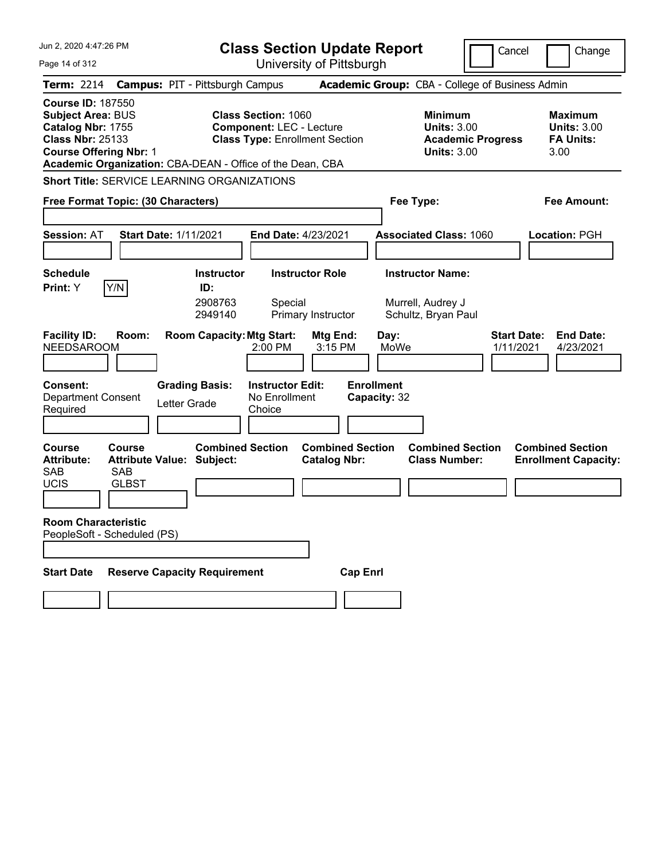| Jun 2, 2020 4:47:26 PM                                                                                                                |                                                               | <b>Class Section Update Report</b>                                                                                                                                  |                                                            | Cancel                   | Change                                                           |
|---------------------------------------------------------------------------------------------------------------------------------------|---------------------------------------------------------------|---------------------------------------------------------------------------------------------------------------------------------------------------------------------|------------------------------------------------------------|--------------------------|------------------------------------------------------------------|
| Page 14 of 312                                                                                                                        |                                                               | University of Pittsburgh                                                                                                                                            |                                                            |                          |                                                                  |
| <b>Term: 2214</b>                                                                                                                     | <b>Campus: PIT - Pittsburgh Campus</b>                        |                                                                                                                                                                     | Academic Group: CBA - College of Business Admin            |                          |                                                                  |
| <b>Course ID: 187550</b><br><b>Subject Area: BUS</b><br>Catalog Nbr: 1755<br><b>Class Nbr: 25133</b><br><b>Course Offering Nbr: 1</b> |                                                               | <b>Class Section: 1060</b><br><b>Component: LEC - Lecture</b><br><b>Class Type: Enrollment Section</b><br>Academic Organization: CBA-DEAN - Office of the Dean, CBA | <b>Minimum</b><br><b>Units: 3.00</b><br><b>Units: 3.00</b> | <b>Academic Progress</b> | <b>Maximum</b><br><b>Units: 3.00</b><br><b>FA Units:</b><br>3.00 |
|                                                                                                                                       | <b>Short Title: SERVICE LEARNING ORGANIZATIONS</b>            |                                                                                                                                                                     |                                                            |                          |                                                                  |
| Free Format Topic: (30 Characters)                                                                                                    |                                                               |                                                                                                                                                                     | Fee Type:                                                  |                          | <b>Fee Amount:</b>                                               |
|                                                                                                                                       |                                                               |                                                                                                                                                                     |                                                            |                          |                                                                  |
| <b>Session: AT</b>                                                                                                                    | <b>Start Date: 1/11/2021</b>                                  | End Date: 4/23/2021                                                                                                                                                 | <b>Associated Class: 1060</b>                              |                          | <b>Location: PGH</b>                                             |
| <b>Schedule</b>                                                                                                                       | <b>Instructor</b>                                             | <b>Instructor Role</b>                                                                                                                                              | <b>Instructor Name:</b>                                    |                          |                                                                  |
| Y/N<br>Print: Y<br><b>Facility ID:</b><br>Room:                                                                                       | ID:<br>2908763<br>2949140<br><b>Room Capacity: Mtg Start:</b> | Special<br>Primary Instructor<br>Mtg End:                                                                                                                           | Murrell, Audrey J<br>Schultz, Bryan Paul<br>Day:           | <b>Start Date:</b>       | <b>End Date:</b>                                                 |
| <b>NEEDSAROOM</b>                                                                                                                     |                                                               | 2:00 PM<br>3:15 PM                                                                                                                                                  | MoWe                                                       | 1/11/2021                | 4/23/2021                                                        |
| <b>Consent:</b><br><b>Department Consent</b><br>Required                                                                              | <b>Grading Basis:</b><br>Letter Grade                         | <b>Instructor Edit:</b><br>No Enrollment<br>Choice                                                                                                                  | <b>Enrollment</b><br>Capacity: 32                          |                          |                                                                  |
| <b>Course</b><br>Course<br><b>Attribute:</b><br><b>SAB</b><br>SAB<br><b>UCIS</b><br><b>GLBST</b>                                      | <b>Combined Section</b><br><b>Attribute Value: Subject:</b>   | <b>Combined Section</b><br><b>Catalog Nbr:</b>                                                                                                                      | <b>Combined Section</b><br><b>Class Number:</b>            |                          | <b>Combined Section</b><br><b>Enrollment Capacity:</b>           |
| <b>Room Characteristic</b><br>PeopleSoft - Scheduled (PS)                                                                             |                                                               |                                                                                                                                                                     |                                                            |                          |                                                                  |
| <b>Start Date</b>                                                                                                                     | <b>Reserve Capacity Requirement</b>                           |                                                                                                                                                                     | <b>Cap Enrl</b>                                            |                          |                                                                  |
|                                                                                                                                       |                                                               |                                                                                                                                                                     |                                                            |                          |                                                                  |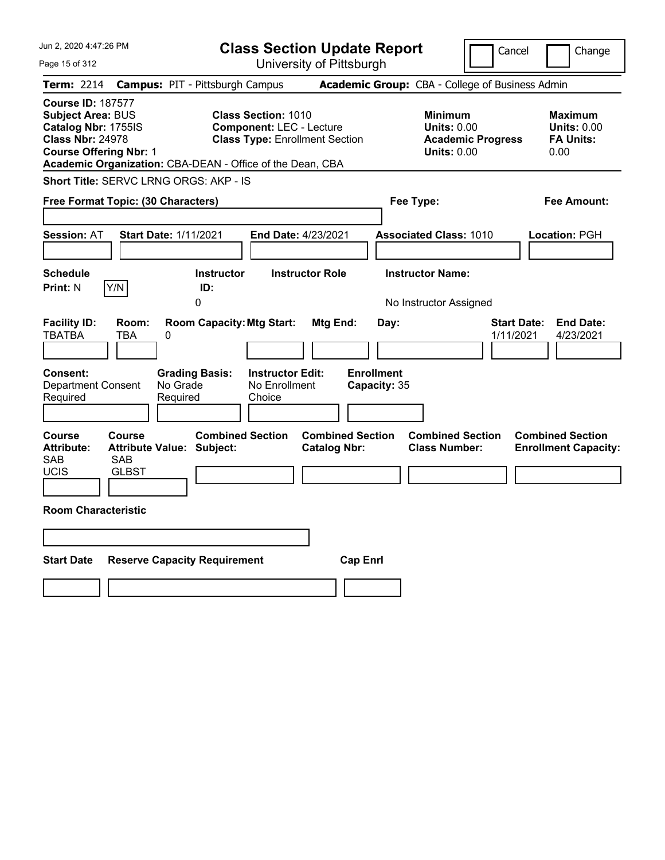| Jun 2, 2020 4:47:26 PM                                                                                                                                                                               | <b>Class Section Update Report</b>                                                                     |                                                                            | Cancel<br>Change                                                                      |
|------------------------------------------------------------------------------------------------------------------------------------------------------------------------------------------------------|--------------------------------------------------------------------------------------------------------|----------------------------------------------------------------------------|---------------------------------------------------------------------------------------|
| Page 15 of 312                                                                                                                                                                                       | University of Pittsburgh                                                                               |                                                                            |                                                                                       |
| <b>Term: 2214</b>                                                                                                                                                                                    | <b>Campus: PIT - Pittsburgh Campus</b>                                                                 | Academic Group: CBA - College of Business Admin                            |                                                                                       |
| <b>Course ID: 187577</b><br><b>Subject Area: BUS</b><br>Catalog Nbr: 1755IS<br><b>Class Nbr: 24978</b><br><b>Course Offering Nbr: 1</b><br>Academic Organization: CBA-DEAN - Office of the Dean, CBA | <b>Class Section: 1010</b><br><b>Component: LEC - Lecture</b><br><b>Class Type: Enrollment Section</b> | <b>Minimum</b><br><b>Units: 0.00</b><br><b>Units: 0.00</b>                 | Maximum<br><b>Units: 0.00</b><br><b>Academic Progress</b><br><b>FA Units:</b><br>0.00 |
| Short Title: SERVC LRNG ORGS: AKP - IS                                                                                                                                                               |                                                                                                        |                                                                            |                                                                                       |
| Free Format Topic: (30 Characters)                                                                                                                                                                   |                                                                                                        | Fee Type:                                                                  | Fee Amount:                                                                           |
| <b>Session: AT</b><br><b>Start Date: 1/11/2021</b>                                                                                                                                                   | <b>End Date: 4/23/2021</b>                                                                             | <b>Associated Class: 1010</b>                                              | Location: PGH                                                                         |
| <b>Schedule</b>                                                                                                                                                                                      | <b>Instructor</b><br><b>Instructor Role</b>                                                            | <b>Instructor Name:</b>                                                    |                                                                                       |
| Y/N<br>Print: N                                                                                                                                                                                      | ID:<br>0                                                                                               | No Instructor Assigned                                                     |                                                                                       |
| <b>Facility ID:</b><br>Room:<br>TBATBA<br>TBA<br>0<br><b>Consent:</b><br><b>Grading Basis:</b>                                                                                                       | <b>Room Capacity: Mtg Start:</b><br>Mtg End:<br><b>Instructor Edit:</b>                                | Day:<br><b>Enrollment</b>                                                  | <b>End Date:</b><br><b>Start Date:</b><br>1/11/2021<br>4/23/2021                      |
| Department Consent<br>No Grade<br>Required<br>Required                                                                                                                                               | No Enrollment<br>Choice                                                                                | Capacity: 35                                                               |                                                                                       |
| <b>Course</b><br><b>Course</b><br><b>Attribute Value: Subject:</b><br><b>Attribute:</b><br>SAB<br><b>SAB</b><br><b>UCIS</b><br><b>GLBST</b>                                                          | <b>Combined Section</b><br><b>Catalog Nbr:</b>                                                         | <b>Combined Section</b><br><b>Combined Section</b><br><b>Class Number:</b> | <b>Combined Section</b><br><b>Enrollment Capacity:</b>                                |
|                                                                                                                                                                                                      |                                                                                                        |                                                                            |                                                                                       |
| <b>Room Characteristic</b>                                                                                                                                                                           |                                                                                                        |                                                                            |                                                                                       |
|                                                                                                                                                                                                      |                                                                                                        |                                                                            |                                                                                       |
| <b>Start Date</b><br><b>Reserve Capacity Requirement</b>                                                                                                                                             |                                                                                                        | <b>Cap Enri</b>                                                            |                                                                                       |
|                                                                                                                                                                                                      |                                                                                                        |                                                                            |                                                                                       |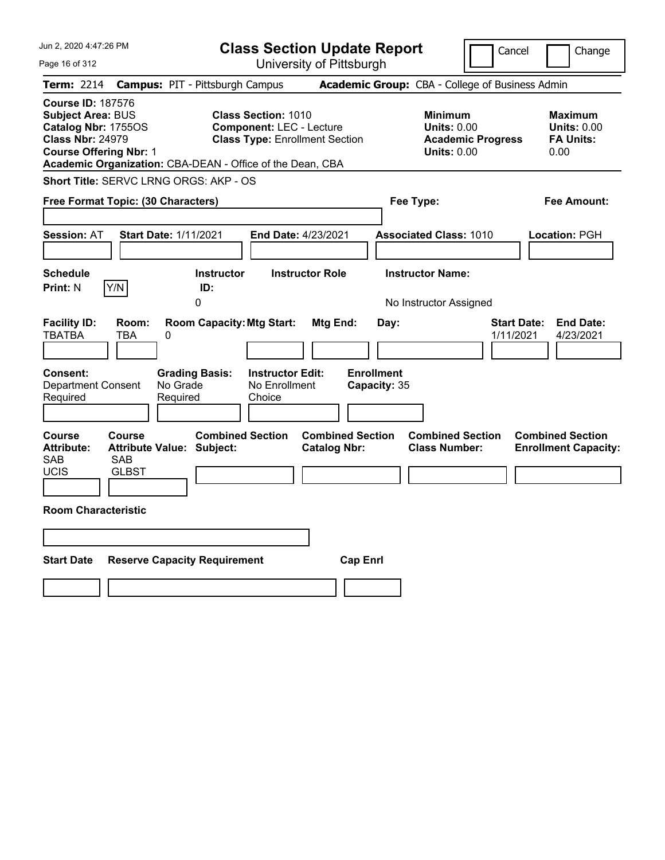| Jun 2, 2020 4:47:26 PM                                                                                                                                                                               | <b>Class Section Update Report</b>                                                                              |                                                       | Cancel                                                                                 | Change                                                           |
|------------------------------------------------------------------------------------------------------------------------------------------------------------------------------------------------------|-----------------------------------------------------------------------------------------------------------------|-------------------------------------------------------|----------------------------------------------------------------------------------------|------------------------------------------------------------------|
| Page 16 of 312                                                                                                                                                                                       | University of Pittsburgh                                                                                        |                                                       |                                                                                        |                                                                  |
| <b>Term: 2214</b>                                                                                                                                                                                    | <b>Campus: PIT - Pittsburgh Campus</b>                                                                          |                                                       | Academic Group: CBA - College of Business Admin                                        |                                                                  |
| <b>Course ID: 187576</b><br><b>Subject Area: BUS</b><br>Catalog Nbr: 1755OS<br><b>Class Nbr: 24979</b><br><b>Course Offering Nbr: 1</b><br>Academic Organization: CBA-DEAN - Office of the Dean, CBA | <b>Class Section: 1010</b><br><b>Component: LEC - Lecture</b><br><b>Class Type: Enrollment Section</b>          |                                                       | <b>Minimum</b><br><b>Units: 0.00</b><br><b>Academic Progress</b><br><b>Units: 0.00</b> | <b>Maximum</b><br><b>Units: 0.00</b><br><b>FA Units:</b><br>0.00 |
| <b>Short Title: SERVC LRNG ORGS: AKP - OS</b>                                                                                                                                                        |                                                                                                                 |                                                       |                                                                                        |                                                                  |
| Free Format Topic: (30 Characters)                                                                                                                                                                   |                                                                                                                 |                                                       | Fee Type:                                                                              | Fee Amount:                                                      |
| <b>Session: AT</b><br><b>Start Date: 1/11/2021</b>                                                                                                                                                   | <b>End Date: 4/23/2021</b>                                                                                      |                                                       | <b>Associated Class: 1010</b>                                                          | <b>Location: PGH</b>                                             |
| <b>Schedule</b>                                                                                                                                                                                      | <b>Instructor</b><br><b>Instructor Role</b>                                                                     |                                                       | <b>Instructor Name:</b>                                                                |                                                                  |
| Y/N<br><b>Print: N</b>                                                                                                                                                                               | ID:<br>0                                                                                                        |                                                       | No Instructor Assigned                                                                 |                                                                  |
| <b>Facility ID:</b><br>Room:<br><b>TBATBA</b><br>TBA<br>0<br>Consent:<br><b>Department Consent</b><br>No Grade<br>Required<br>Required                                                               | <b>Room Capacity: Mtg Start:</b><br><b>Grading Basis:</b><br><b>Instructor Edit:</b><br>No Enrollment<br>Choice | Mtg End:<br>Day:<br><b>Enrollment</b><br>Capacity: 35 | 1/11/2021                                                                              | <b>Start Date:</b><br><b>End Date:</b><br>4/23/2021              |
| <b>Course</b><br><b>Course</b><br><b>Attribute Value: Subject:</b><br><b>Attribute:</b><br>SAB<br><b>SAB</b><br><b>UCIS</b><br><b>GLBST</b>                                                          | <b>Combined Section</b>                                                                                         | <b>Combined Section</b><br><b>Catalog Nbr:</b>        | <b>Combined Section</b><br><b>Class Number:</b>                                        | <b>Combined Section</b><br><b>Enrollment Capacity:</b>           |
| <b>Room Characteristic</b>                                                                                                                                                                           |                                                                                                                 |                                                       |                                                                                        |                                                                  |
|                                                                                                                                                                                                      |                                                                                                                 |                                                       |                                                                                        |                                                                  |
| <b>Start Date</b><br><b>Reserve Capacity Requirement</b>                                                                                                                                             |                                                                                                                 | <b>Cap Enri</b>                                       |                                                                                        |                                                                  |
|                                                                                                                                                                                                      |                                                                                                                 |                                                       |                                                                                        |                                                                  |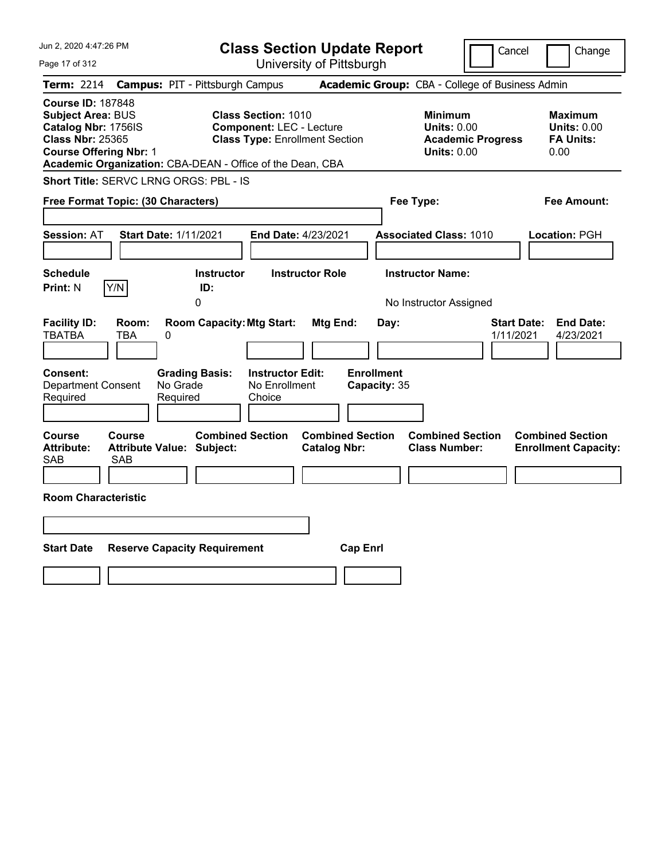| Jun 2, 2020 4:47:26 PM                                                                                                                                                                               | <b>Class Section Update Report</b>                                                                     | Cancel                                                                                 | Change                                                           |
|------------------------------------------------------------------------------------------------------------------------------------------------------------------------------------------------------|--------------------------------------------------------------------------------------------------------|----------------------------------------------------------------------------------------|------------------------------------------------------------------|
| Page 17 of 312                                                                                                                                                                                       | University of Pittsburgh                                                                               |                                                                                        |                                                                  |
| Term: 2214                                                                                                                                                                                           | <b>Campus: PIT - Pittsburgh Campus</b>                                                                 | Academic Group: CBA - College of Business Admin                                        |                                                                  |
| <b>Course ID: 187848</b><br><b>Subject Area: BUS</b><br>Catalog Nbr: 1756IS<br><b>Class Nbr: 25365</b><br><b>Course Offering Nbr: 1</b><br>Academic Organization: CBA-DEAN - Office of the Dean, CBA | <b>Class Section: 1010</b><br><b>Component: LEC - Lecture</b><br><b>Class Type: Enrollment Section</b> | <b>Minimum</b><br><b>Units: 0.00</b><br><b>Academic Progress</b><br><b>Units: 0.00</b> | <b>Maximum</b><br><b>Units: 0.00</b><br><b>FA Units:</b><br>0.00 |
| Short Title: SERVC LRNG ORGS: PBL - IS                                                                                                                                                               |                                                                                                        |                                                                                        |                                                                  |
| Free Format Topic: (30 Characters)                                                                                                                                                                   |                                                                                                        | Fee Type:                                                                              | Fee Amount:                                                      |
| <b>Start Date: 1/11/2021</b><br><b>Session: AT</b>                                                                                                                                                   | <b>End Date: 4/23/2021</b>                                                                             | <b>Associated Class: 1010</b>                                                          | Location: PGH                                                    |
| <b>Schedule</b><br>Y/N<br><b>Print: N</b>                                                                                                                                                            | <b>Instructor</b><br><b>Instructor Role</b><br>ID:<br>0                                                | <b>Instructor Name:</b><br>No Instructor Assigned                                      |                                                                  |
| <b>Facility ID:</b><br>Room:<br><b>TBATBA</b><br><b>TBA</b><br>0                                                                                                                                     | <b>Room Capacity: Mtg Start:</b><br>Mtg End:                                                           | <b>Start Date:</b><br>Day:<br>1/11/2021                                                | <b>End Date:</b><br>4/23/2021                                    |
| <b>Consent:</b><br><b>Grading Basis:</b><br><b>Department Consent</b><br>No Grade<br>Required<br>Required                                                                                            | <b>Instructor Edit:</b><br>No Enrollment<br>Choice                                                     | <b>Enrollment</b><br>Capacity: 35                                                      |                                                                  |
| Course<br><b>Course</b><br><b>Attribute:</b><br><b>Attribute Value: Subject:</b><br>SAB<br>SAB                                                                                                       | <b>Combined Section</b><br><b>Combined Section</b><br><b>Catalog Nbr:</b>                              | <b>Combined Section</b><br><b>Class Number:</b>                                        | <b>Combined Section</b><br><b>Enrollment Capacity:</b>           |
| <b>Room Characteristic</b>                                                                                                                                                                           |                                                                                                        |                                                                                        |                                                                  |
|                                                                                                                                                                                                      |                                                                                                        |                                                                                        |                                                                  |
| <b>Start Date</b><br><b>Reserve Capacity Requirement</b>                                                                                                                                             | <b>Cap Enrl</b>                                                                                        |                                                                                        |                                                                  |
|                                                                                                                                                                                                      |                                                                                                        |                                                                                        |                                                                  |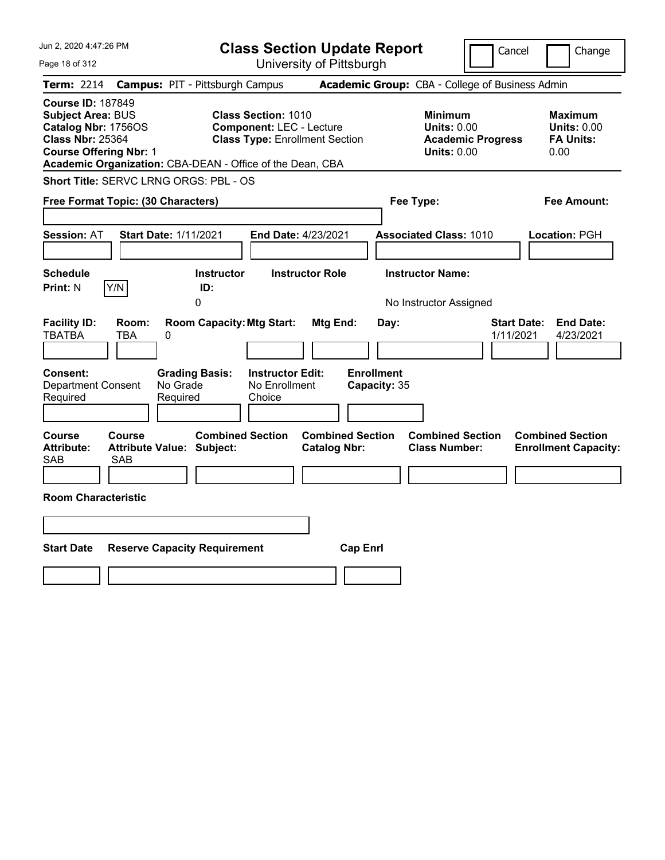| Jun 2, 2020 4:47:26 PM                                                                                                                                                                               | <b>Class Section Update Report</b>                                                                     |                                                                                                   | Cancel<br>Change                                                                             |
|------------------------------------------------------------------------------------------------------------------------------------------------------------------------------------------------------|--------------------------------------------------------------------------------------------------------|---------------------------------------------------------------------------------------------------|----------------------------------------------------------------------------------------------|
| Page 18 of 312                                                                                                                                                                                       | University of Pittsburgh                                                                               |                                                                                                   |                                                                                              |
| <b>Term: 2214</b>                                                                                                                                                                                    | <b>Campus: PIT - Pittsburgh Campus</b>                                                                 | Academic Group: CBA - College of Business Admin                                                   |                                                                                              |
| <b>Course ID: 187849</b><br><b>Subject Area: BUS</b><br>Catalog Nbr: 1756OS<br><b>Class Nbr: 25364</b><br><b>Course Offering Nbr: 1</b><br>Academic Organization: CBA-DEAN - Office of the Dean, CBA | <b>Class Section: 1010</b><br><b>Component: LEC - Lecture</b><br><b>Class Type: Enrollment Section</b> | <b>Minimum</b><br><b>Units: 0.00</b><br><b>Units: 0.00</b>                                        | <b>Maximum</b><br><b>Units: 0.00</b><br><b>FA Units:</b><br><b>Academic Progress</b><br>0.00 |
| Short Title: SERVC LRNG ORGS: PBL - OS                                                                                                                                                               |                                                                                                        |                                                                                                   |                                                                                              |
| Free Format Topic: (30 Characters)                                                                                                                                                                   |                                                                                                        | Fee Type:                                                                                         | Fee Amount:                                                                                  |
| <b>Session: AT</b><br><b>Start Date: 1/11/2021</b>                                                                                                                                                   | End Date: 4/23/2021                                                                                    | <b>Associated Class: 1010</b>                                                                     | Location: PGH                                                                                |
| <b>Schedule</b><br>Y/N<br><b>Print: N</b>                                                                                                                                                            | <b>Instructor</b><br><b>Instructor Role</b><br>ID:<br>0                                                | <b>Instructor Name:</b><br>No Instructor Assigned                                                 |                                                                                              |
| <b>Facility ID:</b><br>Room:<br><b>TBATBA</b><br><b>TBA</b><br>0                                                                                                                                     | <b>Room Capacity: Mtg Start:</b>                                                                       | Mtg End:<br>Day:                                                                                  | <b>Start Date:</b><br><b>End Date:</b><br>1/11/2021<br>4/23/2021                             |
| <b>Consent:</b><br><b>Department Consent</b><br>No Grade<br>Required<br>Required                                                                                                                     | <b>Instructor Edit:</b><br><b>Grading Basis:</b><br>No Enrollment<br>Choice                            | <b>Enrollment</b><br>Capacity: 35                                                                 |                                                                                              |
| <b>Course</b><br><b>Course</b><br><b>Attribute:</b><br><b>Attribute Value: Subject:</b><br><b>SAB</b><br><b>SAB</b>                                                                                  | <b>Combined Section</b>                                                                                | <b>Combined Section</b><br><b>Combined Section</b><br><b>Catalog Nbr:</b><br><b>Class Number:</b> | <b>Combined Section</b><br><b>Enrollment Capacity:</b>                                       |
| <b>Room Characteristic</b>                                                                                                                                                                           |                                                                                                        |                                                                                                   |                                                                                              |
|                                                                                                                                                                                                      |                                                                                                        |                                                                                                   |                                                                                              |
| <b>Start Date</b><br><b>Reserve Capacity Requirement</b>                                                                                                                                             |                                                                                                        | <b>Cap Enrl</b>                                                                                   |                                                                                              |
|                                                                                                                                                                                                      |                                                                                                        |                                                                                                   |                                                                                              |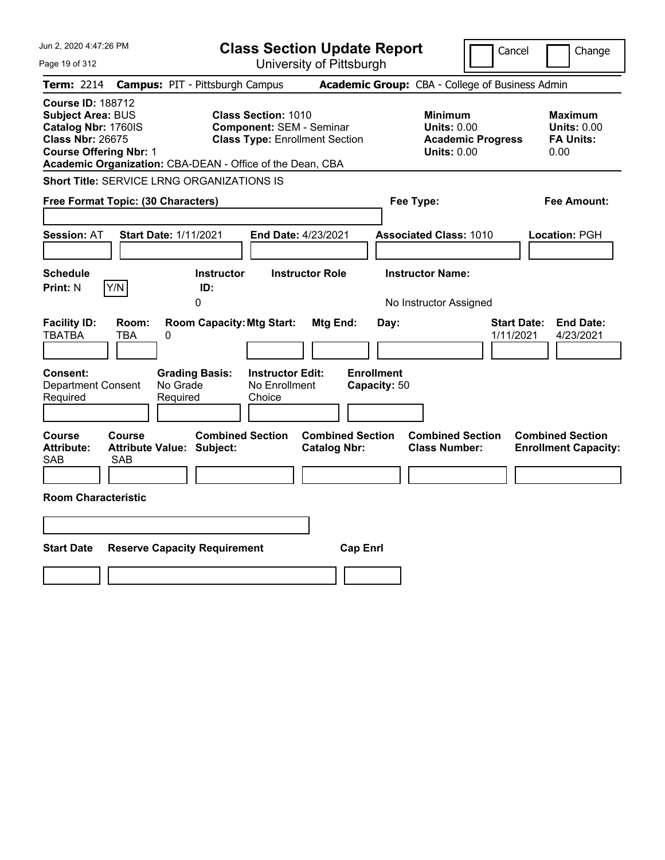| Jun 2, 2020 4:47:26 PM                                                                                                                                                                               | <b>Class Section Update Report</b>                                                                     |                                                                                        | Cancel<br>Change                                                 |
|------------------------------------------------------------------------------------------------------------------------------------------------------------------------------------------------------|--------------------------------------------------------------------------------------------------------|----------------------------------------------------------------------------------------|------------------------------------------------------------------|
| Page 19 of 312                                                                                                                                                                                       | University of Pittsburgh                                                                               |                                                                                        |                                                                  |
| <b>Term: 2214</b>                                                                                                                                                                                    | <b>Campus: PIT - Pittsburgh Campus</b>                                                                 | Academic Group: CBA - College of Business Admin                                        |                                                                  |
| <b>Course ID: 188712</b><br><b>Subject Area: BUS</b><br>Catalog Nbr: 1760IS<br><b>Class Nbr: 26675</b><br><b>Course Offering Nbr: 1</b><br>Academic Organization: CBA-DEAN - Office of the Dean, CBA | <b>Class Section: 1010</b><br><b>Component: SEM - Seminar</b><br><b>Class Type: Enrollment Section</b> | <b>Minimum</b><br><b>Units: 0.00</b><br><b>Academic Progress</b><br><b>Units: 0.00</b> | <b>Maximum</b><br><b>Units: 0.00</b><br><b>FA Units:</b><br>0.00 |
| <b>Short Title: SERVICE LRNG ORGANIZATIONS IS</b>                                                                                                                                                    |                                                                                                        |                                                                                        |                                                                  |
| Free Format Topic: (30 Characters)                                                                                                                                                                   |                                                                                                        | Fee Type:                                                                              | Fee Amount:                                                      |
| <b>Start Date: 1/11/2021</b><br><b>Session: AT</b>                                                                                                                                                   | End Date: 4/23/2021                                                                                    | <b>Associated Class: 1010</b>                                                          | Location: PGH                                                    |
| <b>Schedule</b><br>Y/N<br><b>Print: N</b>                                                                                                                                                            | <b>Instructor</b><br><b>Instructor Role</b><br>ID:<br>0                                                | <b>Instructor Name:</b><br>No Instructor Assigned                                      |                                                                  |
| <b>Facility ID:</b><br>Room:<br><b>TBATBA</b><br>TBA<br>0                                                                                                                                            | <b>Room Capacity: Mtg Start:</b><br>Mtg End:                                                           | Day:                                                                                   | <b>Start Date:</b><br><b>End Date:</b><br>1/11/2021<br>4/23/2021 |
| Consent:<br><b>Grading Basis:</b><br>No Grade<br><b>Department Consent</b><br>Required<br>Required                                                                                                   | <b>Instructor Edit:</b><br>No Enrollment<br>Choice                                                     | <b>Enrollment</b><br>Capacity: 50                                                      |                                                                  |
| Course<br><b>Course</b><br><b>Attribute:</b><br>Attribute Value: Subject:<br>SAB<br><b>SAB</b>                                                                                                       | <b>Combined Section</b><br><b>Combined Section</b><br><b>Catalog Nbr:</b>                              | <b>Combined Section</b><br><b>Class Number:</b>                                        | <b>Combined Section</b><br><b>Enrollment Capacity:</b>           |
| <b>Room Characteristic</b>                                                                                                                                                                           |                                                                                                        |                                                                                        |                                                                  |
|                                                                                                                                                                                                      |                                                                                                        |                                                                                        |                                                                  |
| <b>Start Date</b><br><b>Reserve Capacity Requirement</b>                                                                                                                                             |                                                                                                        | <b>Cap Enrl</b>                                                                        |                                                                  |
|                                                                                                                                                                                                      |                                                                                                        |                                                                                        |                                                                  |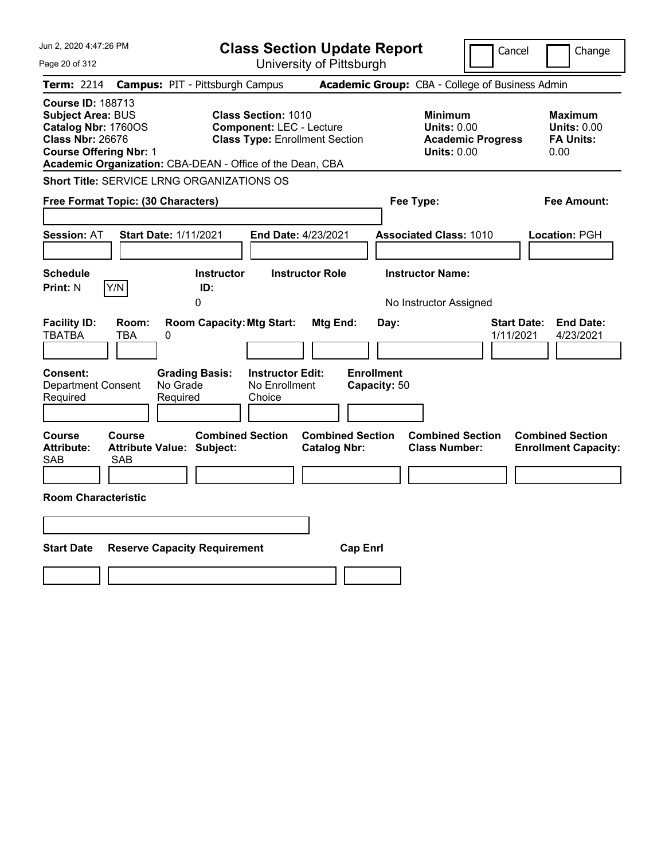| Jun 2, 2020 4:47:26 PM                                                                                                                                                                               | <b>Class Section Update Report</b>                                                                     | Cancel                                                                                 | Change                                                           |
|------------------------------------------------------------------------------------------------------------------------------------------------------------------------------------------------------|--------------------------------------------------------------------------------------------------------|----------------------------------------------------------------------------------------|------------------------------------------------------------------|
| Page 20 of 312                                                                                                                                                                                       | University of Pittsburgh                                                                               |                                                                                        |                                                                  |
| <b>Term: 2214</b>                                                                                                                                                                                    | <b>Campus: PIT - Pittsburgh Campus</b>                                                                 | Academic Group: CBA - College of Business Admin                                        |                                                                  |
| <b>Course ID: 188713</b><br><b>Subject Area: BUS</b><br>Catalog Nbr: 1760OS<br><b>Class Nbr: 26676</b><br><b>Course Offering Nbr: 1</b><br>Academic Organization: CBA-DEAN - Office of the Dean, CBA | <b>Class Section: 1010</b><br><b>Component: LEC - Lecture</b><br><b>Class Type: Enrollment Section</b> | <b>Minimum</b><br><b>Units: 0.00</b><br><b>Academic Progress</b><br><b>Units: 0.00</b> | <b>Maximum</b><br><b>Units: 0.00</b><br><b>FA Units:</b><br>0.00 |
| <b>Short Title: SERVICE LRNG ORGANIZATIONS OS</b>                                                                                                                                                    |                                                                                                        |                                                                                        |                                                                  |
| Free Format Topic: (30 Characters)                                                                                                                                                                   |                                                                                                        | Fee Type:                                                                              | Fee Amount:                                                      |
| Start Date: 1/11/2021<br><b>Session: AT</b><br><b>Schedule</b><br>Y/N<br><b>Print: N</b>                                                                                                             | End Date: 4/23/2021<br><b>Instructor Role</b><br><b>Instructor</b><br>ID:<br>0                         | <b>Associated Class: 1010</b><br><b>Instructor Name:</b><br>No Instructor Assigned     | Location: PGH                                                    |
| <b>Facility ID:</b><br>Room:<br><b>TBATBA</b><br>TBA<br>0<br><b>Consent:</b><br><b>Grading Basis:</b><br><b>Department Consent</b><br>No Grade<br>Required<br>Required                               | <b>Room Capacity: Mtg Start:</b><br>Mtg End:<br><b>Instructor Edit:</b><br>No Enrollment<br>Choice     | <b>Start Date:</b><br>Day:<br>1/11/2021<br><b>Enrollment</b><br>Capacity: 50           | <b>End Date:</b><br>4/23/2021                                    |
| Course<br><b>Course</b><br><b>Attribute:</b><br><b>Attribute Value: Subject:</b><br>SAB<br><b>SAB</b><br><b>Room Characteristic</b>                                                                  | <b>Combined Section</b><br><b>Combined Section</b><br><b>Catalog Nbr:</b>                              | <b>Combined Section</b><br><b>Class Number:</b>                                        | <b>Combined Section</b><br><b>Enrollment Capacity:</b>           |
| <b>Start Date</b><br><b>Reserve Capacity Requirement</b>                                                                                                                                             |                                                                                                        | <b>Cap Enrl</b>                                                                        |                                                                  |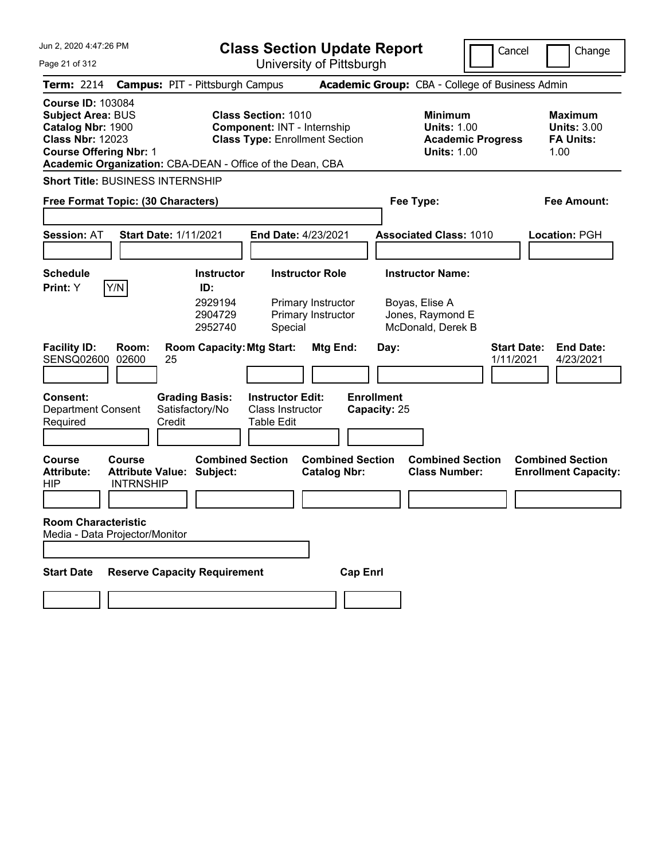| Jun 2, 2020 4:47:26 PM |  |
|------------------------|--|
|------------------------|--|

Page 21 of 312

**Class Section Update Report**

University of Pittsburgh

Cancel Change

| <b>Term: 2214</b>                                                                                                                     |                            | <b>Campus: PIT - Pittsburgh Campus</b>                      |                                                                  |                                                |                                   | Academic Group: CBA - College of Business Admin                                        |                                 |                                                                  |
|---------------------------------------------------------------------------------------------------------------------------------------|----------------------------|-------------------------------------------------------------|------------------------------------------------------------------|------------------------------------------------|-----------------------------------|----------------------------------------------------------------------------------------|---------------------------------|------------------------------------------------------------------|
| <b>Course ID: 103084</b><br><b>Subject Area: BUS</b><br>Catalog Nbr: 1900<br><b>Class Nbr: 12023</b><br><b>Course Offering Nbr: 1</b> |                            | Academic Organization: CBA-DEAN - Office of the Dean, CBA   | <b>Class Section: 1010</b><br><b>Component: INT - Internship</b> | <b>Class Type: Enrollment Section</b>          |                                   | <b>Minimum</b><br><b>Units: 1.00</b><br><b>Academic Progress</b><br><b>Units: 1.00</b> |                                 | <b>Maximum</b><br><b>Units: 3.00</b><br><b>FA Units:</b><br>1.00 |
| <b>Short Title: BUSINESS INTERNSHIP</b>                                                                                               |                            |                                                             |                                                                  |                                                |                                   |                                                                                        |                                 |                                                                  |
| Free Format Topic: (30 Characters)                                                                                                    |                            |                                                             |                                                                  |                                                |                                   | Fee Type:                                                                              |                                 | Fee Amount:                                                      |
| Session: AT                                                                                                                           |                            | <b>Start Date: 1/11/2021</b>                                |                                                                  | End Date: 4/23/2021                            |                                   | <b>Associated Class: 1010</b>                                                          |                                 | Location: PGH                                                    |
| <b>Schedule</b><br>Print: Y                                                                                                           | Y/N                        | <b>Instructor</b><br>ID:                                    |                                                                  | <b>Instructor Role</b>                         |                                   | <b>Instructor Name:</b>                                                                |                                 |                                                                  |
|                                                                                                                                       |                            | 2929194<br>2904729<br>2952740                               | Special                                                          | Primary Instructor<br>Primary Instructor       |                                   | Boyas, Elise A<br>Jones, Raymond E<br>McDonald, Derek B                                |                                 |                                                                  |
| <b>Facility ID:</b><br>SENSQ02600                                                                                                     | Room:<br>02600             | <b>Room Capacity: Mtg Start:</b><br>25                      |                                                                  | Mtg End:                                       | Day:                              |                                                                                        | <b>Start Date:</b><br>1/11/2021 | <b>End Date:</b><br>4/23/2021                                    |
| <b>Consent:</b><br><b>Department Consent</b><br>Required                                                                              |                            | <b>Grading Basis:</b><br>Satisfactory/No<br>Credit          | <b>Instructor Edit:</b><br>Class Instructor<br><b>Table Edit</b> |                                                | <b>Enrollment</b><br>Capacity: 25 |                                                                                        |                                 |                                                                  |
| Course<br><b>Attribute:</b><br><b>HIP</b>                                                                                             | Course<br><b>INTRNSHIP</b> | <b>Combined Section</b><br><b>Attribute Value: Subject:</b> |                                                                  | <b>Combined Section</b><br><b>Catalog Nbr:</b> |                                   | <b>Combined Section</b><br><b>Class Number:</b>                                        |                                 | <b>Combined Section</b><br><b>Enrollment Capacity:</b>           |
| <b>Room Characteristic</b><br>Media - Data Projector/Monitor                                                                          |                            |                                                             |                                                                  |                                                |                                   |                                                                                        |                                 |                                                                  |
| <b>Start Date</b>                                                                                                                     |                            | <b>Reserve Capacity Requirement</b>                         |                                                                  | <b>Cap Enrl</b>                                |                                   |                                                                                        |                                 |                                                                  |
|                                                                                                                                       |                            |                                                             |                                                                  |                                                |                                   |                                                                                        |                                 |                                                                  |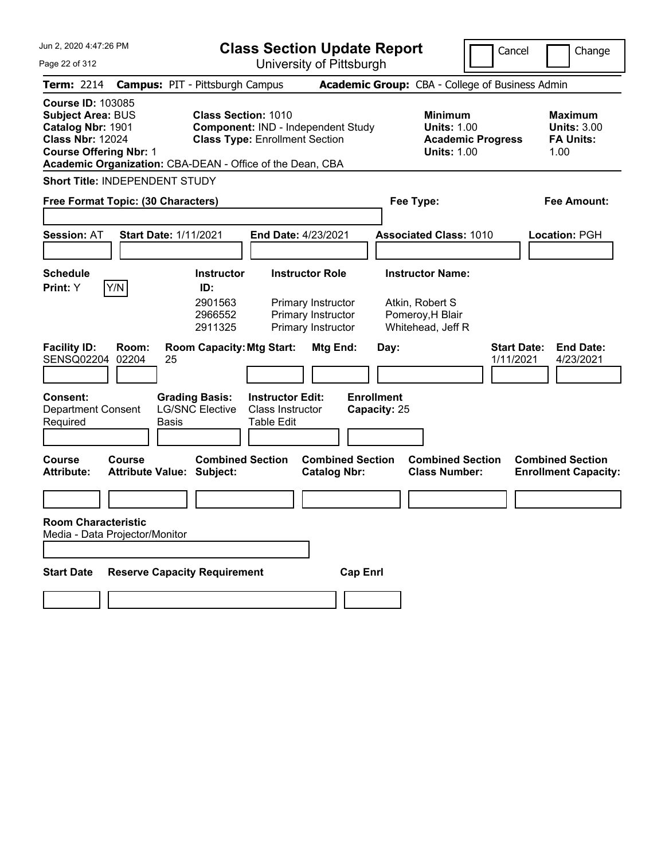| Jun 2, 2020 4:47:26 PM                                                                                                                                                                             | <b>Class Section Update Report</b>                                                                                  |                                                          | Cancel                                                                                 | Change                                                           |
|----------------------------------------------------------------------------------------------------------------------------------------------------------------------------------------------------|---------------------------------------------------------------------------------------------------------------------|----------------------------------------------------------|----------------------------------------------------------------------------------------|------------------------------------------------------------------|
| Page 22 of 312                                                                                                                                                                                     | University of Pittsburgh                                                                                            |                                                          |                                                                                        |                                                                  |
| <b>Term: 2214</b>                                                                                                                                                                                  | <b>Campus: PIT - Pittsburgh Campus</b>                                                                              | <b>Academic Group:</b> CBA - College of Business Admin   |                                                                                        |                                                                  |
| <b>Course ID: 103085</b><br><b>Subject Area: BUS</b><br>Catalog Nbr: 1901<br><b>Class Nbr: 12024</b><br><b>Course Offering Nbr: 1</b><br>Academic Organization: CBA-DEAN - Office of the Dean, CBA | <b>Class Section: 1010</b><br><b>Component: IND - Independent Study</b><br><b>Class Type: Enrollment Section</b>    |                                                          | <b>Minimum</b><br><b>Units: 1.00</b><br><b>Academic Progress</b><br><b>Units: 1.00</b> | <b>Maximum</b><br><b>Units: 3.00</b><br><b>FA Units:</b><br>1.00 |
| <b>Short Title: INDEPENDENT STUDY</b>                                                                                                                                                              |                                                                                                                     |                                                          |                                                                                        |                                                                  |
| Free Format Topic: (30 Characters)                                                                                                                                                                 |                                                                                                                     | Fee Type:                                                |                                                                                        | Fee Amount:                                                      |
|                                                                                                                                                                                                    |                                                                                                                     |                                                          |                                                                                        |                                                                  |
| <b>Session: AT</b><br><b>Start Date: 1/11/2021</b>                                                                                                                                                 | <b>End Date: 4/23/2021</b>                                                                                          |                                                          | <b>Associated Class: 1010</b>                                                          | Location: PGH                                                    |
| <b>Schedule</b>                                                                                                                                                                                    | <b>Instructor Role</b><br><b>Instructor</b>                                                                         | <b>Instructor Name:</b>                                  |                                                                                        |                                                                  |
| Y/N<br>Print: Y                                                                                                                                                                                    | ID:                                                                                                                 |                                                          |                                                                                        |                                                                  |
|                                                                                                                                                                                                    | 2901563<br>Primary Instructor<br>2966552<br>Primary Instructor<br>2911325<br>Primary Instructor                     | Atkin, Robert S<br>Pomeroy, H Blair<br>Whitehead, Jeff R |                                                                                        |                                                                  |
| <b>Facility ID:</b><br>Room:<br>02204<br>SENSQ02204<br>25                                                                                                                                          | <b>Room Capacity: Mtg Start:</b>                                                                                    | Mtg End:<br>Day:                                         | <b>Start Date:</b><br>1/11/2021                                                        | <b>End Date:</b><br>4/23/2021                                    |
| <b>Consent:</b><br><b>Department Consent</b><br>Required<br><b>Basis</b>                                                                                                                           | <b>Grading Basis:</b><br><b>Instructor Edit:</b><br><b>LG/SNC Elective</b><br><b>Class Instructor</b><br>Table Edit | <b>Enrollment</b><br>Capacity: 25                        |                                                                                        |                                                                  |
| <b>Course</b><br>Course<br><b>Attribute:</b><br><b>Attribute Value: Subject:</b>                                                                                                                   | <b>Combined Section</b>                                                                                             | <b>Combined Section</b><br><b>Catalog Nbr:</b>           | <b>Combined Section</b><br><b>Class Number:</b>                                        | <b>Combined Section</b><br><b>Enrollment Capacity:</b>           |
|                                                                                                                                                                                                    |                                                                                                                     |                                                          |                                                                                        |                                                                  |
| <b>Room Characteristic</b><br>Media - Data Projector/Monitor                                                                                                                                       |                                                                                                                     |                                                          |                                                                                        |                                                                  |
|                                                                                                                                                                                                    |                                                                                                                     |                                                          |                                                                                        |                                                                  |
| <b>Reserve Capacity Requirement</b><br><b>Start Date</b>                                                                                                                                           |                                                                                                                     | <b>Cap Enrl</b>                                          |                                                                                        |                                                                  |
|                                                                                                                                                                                                    |                                                                                                                     |                                                          |                                                                                        |                                                                  |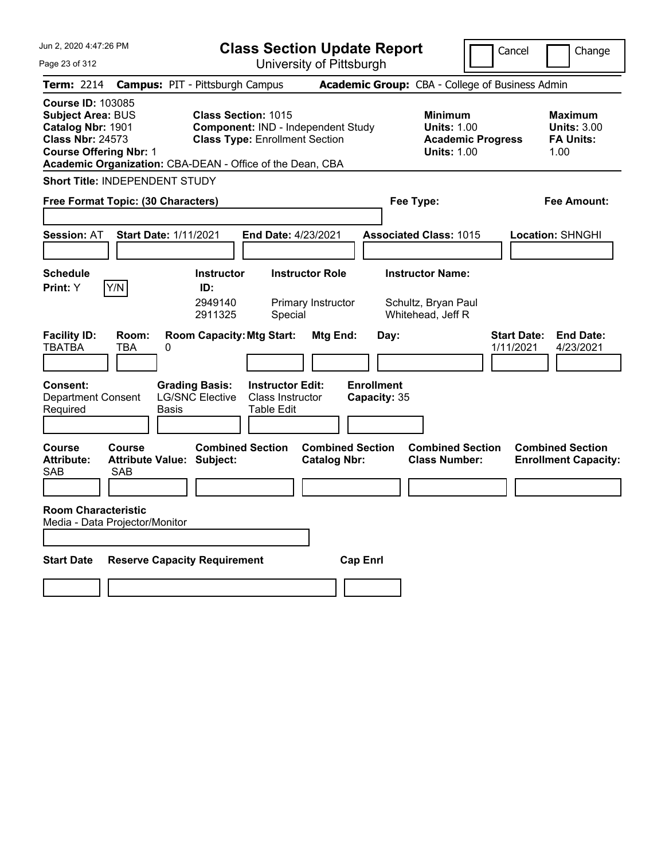| Jun 2, 2020 4:47:26 PM                                                                                                                |                                                           |                                                 | <b>Class Section Update Report</b>                                                 |                                                |                                   |                                                                     |                          | Cancel                          | Change                                                    |
|---------------------------------------------------------------------------------------------------------------------------------------|-----------------------------------------------------------|-------------------------------------------------|------------------------------------------------------------------------------------|------------------------------------------------|-----------------------------------|---------------------------------------------------------------------|--------------------------|---------------------------------|-----------------------------------------------------------|
| Page 23 of 312                                                                                                                        |                                                           |                                                 |                                                                                    | University of Pittsburgh                       |                                   |                                                                     |                          |                                 |                                                           |
| <b>Term:</b> 2214                                                                                                                     |                                                           | <b>Campus: PIT - Pittsburgh Campus</b>          |                                                                                    |                                                |                                   | Academic Group: CBA - College of Business Admin                     |                          |                                 |                                                           |
| <b>Course ID: 103085</b><br><b>Subject Area: BUS</b><br>Catalog Nbr: 1901<br><b>Class Nbr: 24573</b><br><b>Course Offering Nbr: 1</b> | Academic Organization: CBA-DEAN - Office of the Dean, CBA | <b>Class Section: 1015</b>                      | <b>Component: IND - Independent Study</b><br><b>Class Type: Enrollment Section</b> |                                                |                                   | <b>Minimum</b><br><b>Units: 1.00</b><br><b>Units: 1.00</b>          | <b>Academic Progress</b> |                                 | Maximum<br><b>Units: 3.00</b><br><b>FA Units:</b><br>1.00 |
|                                                                                                                                       | Short Title: INDEPENDENT STUDY                            |                                                 |                                                                                    |                                                |                                   |                                                                     |                          |                                 |                                                           |
|                                                                                                                                       | Free Format Topic: (30 Characters)                        |                                                 |                                                                                    |                                                |                                   | Fee Type:                                                           |                          |                                 | Fee Amount:                                               |
| <b>Session: AT</b>                                                                                                                    | <b>Start Date: 1/11/2021</b>                              |                                                 | <b>End Date: 4/23/2021</b>                                                         |                                                |                                   | <b>Associated Class: 1015</b>                                       |                          |                                 | Location: SHNGHI                                          |
| <b>Schedule</b><br>Print: Y                                                                                                           | Y/N                                                       | <b>Instructor</b><br>ID:<br>2949140<br>2911325  | Special                                                                            | <b>Instructor Role</b><br>Primary Instructor   |                                   | <b>Instructor Name:</b><br>Schultz, Bryan Paul<br>Whitehead, Jeff R |                          |                                 |                                                           |
| <b>Facility ID:</b><br><b>TBATBA</b>                                                                                                  | Room:<br><b>TBA</b><br>0                                  | <b>Room Capacity: Mtg Start:</b>                |                                                                                    | Mtg End:                                       | Day:                              |                                                                     |                          | <b>Start Date:</b><br>1/11/2021 | <b>End Date:</b><br>4/23/2021                             |
| <b>Consent:</b><br><b>Department Consent</b><br>Required                                                                              | Basis                                                     | <b>Grading Basis:</b><br><b>LG/SNC Elective</b> | <b>Instructor Edit:</b><br><b>Class Instructor</b><br>Table Edit                   |                                                | <b>Enrollment</b><br>Capacity: 35 |                                                                     |                          |                                 |                                                           |
| <b>Course</b><br><b>Attribute:</b><br><b>SAB</b>                                                                                      | Course<br><b>Attribute Value: Subject:</b><br>SAB         | <b>Combined Section</b>                         |                                                                                    | <b>Combined Section</b><br><b>Catalog Nbr:</b> |                                   | <b>Combined Section</b><br><b>Class Number:</b>                     |                          |                                 | <b>Combined Section</b><br><b>Enrollment Capacity:</b>    |
| <b>Room Characteristic</b>                                                                                                            | Media - Data Projector/Monitor                            |                                                 |                                                                                    |                                                |                                   |                                                                     |                          |                                 |                                                           |
| <b>Start Date</b>                                                                                                                     | <b>Reserve Capacity Requirement</b>                       |                                                 |                                                                                    |                                                | <b>Cap Enrl</b>                   |                                                                     |                          |                                 |                                                           |
|                                                                                                                                       |                                                           |                                                 |                                                                                    |                                                |                                   |                                                                     |                          |                                 |                                                           |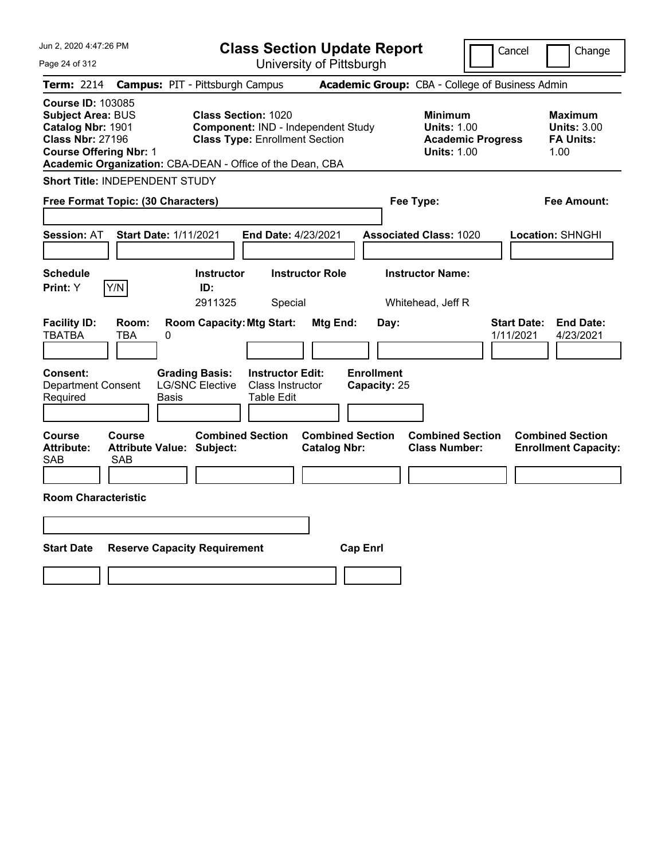| Jun 2, 2020 4:47:26 PM                                                                                                                                                                             | <b>Class Section Update Report</b>                                                                                       | Cancel<br>Change                                                                                                                                           |
|----------------------------------------------------------------------------------------------------------------------------------------------------------------------------------------------------|--------------------------------------------------------------------------------------------------------------------------|------------------------------------------------------------------------------------------------------------------------------------------------------------|
| Page 24 of 312                                                                                                                                                                                     | University of Pittsburgh                                                                                                 |                                                                                                                                                            |
| Term: 2214<br><b>Campus: PIT - Pittsburgh Campus</b>                                                                                                                                               |                                                                                                                          | Academic Group: CBA - College of Business Admin                                                                                                            |
| <b>Course ID: 103085</b><br><b>Subject Area: BUS</b><br>Catalog Nbr: 1901<br><b>Class Nbr: 27196</b><br><b>Course Offering Nbr: 1</b><br>Academic Organization: CBA-DEAN - Office of the Dean, CBA | <b>Class Section: 1020</b><br><b>Component: IND - Independent Study</b><br><b>Class Type: Enrollment Section</b>         | <b>Minimum</b><br><b>Maximum</b><br><b>Units: 1.00</b><br><b>Units: 3.00</b><br><b>FA Units:</b><br><b>Academic Progress</b><br><b>Units: 1.00</b><br>1.00 |
| Short Title: INDEPENDENT STUDY                                                                                                                                                                     |                                                                                                                          |                                                                                                                                                            |
| Free Format Topic: (30 Characters)                                                                                                                                                                 | Fee Type:                                                                                                                | Fee Amount:                                                                                                                                                |
| <b>Start Date: 1/11/2021</b><br><b>Session: AT</b>                                                                                                                                                 | End Date: 4/23/2021<br><b>Associated Class: 1020</b>                                                                     | Location: SHNGHI                                                                                                                                           |
| <b>Schedule</b><br>Y/N<br>Print: Y                                                                                                                                                                 | <b>Instructor Role</b><br><b>Instructor Name:</b><br><b>Instructor</b><br>ID:<br>2911325<br>Special<br>Whitehead, Jeff R |                                                                                                                                                            |
| <b>Facility ID:</b><br>Room:<br><b>TBATBA</b><br><b>TBA</b><br>0                                                                                                                                   | <b>Room Capacity: Mtg Start:</b><br>Mtg End:<br>Day:                                                                     | <b>Start Date:</b><br><b>End Date:</b><br>1/11/2021<br>4/23/2021                                                                                           |
| <b>Grading Basis:</b><br><b>Consent:</b><br><b>LG/SNC Elective</b><br><b>Department Consent</b><br>Required<br>Basis                                                                               | <b>Enrollment</b><br><b>Instructor Edit:</b><br>Class Instructor<br>Capacity: 25<br>Table Edit                           |                                                                                                                                                            |
| <b>Course</b><br><b>Course</b><br><b>Attribute:</b><br><b>Attribute Value: Subject:</b><br><b>SAB</b><br><b>SAB</b>                                                                                | <b>Combined Section</b><br><b>Combined Section</b><br><b>Catalog Nbr:</b>                                                | <b>Combined Section</b><br><b>Combined Section</b><br><b>Class Number:</b><br><b>Enrollment Capacity:</b>                                                  |
| <b>Room Characteristic</b>                                                                                                                                                                         |                                                                                                                          |                                                                                                                                                            |
|                                                                                                                                                                                                    |                                                                                                                          |                                                                                                                                                            |
| <b>Start Date</b><br><b>Reserve Capacity Requirement</b>                                                                                                                                           | <b>Cap Enrl</b>                                                                                                          |                                                                                                                                                            |
|                                                                                                                                                                                                    |                                                                                                                          |                                                                                                                                                            |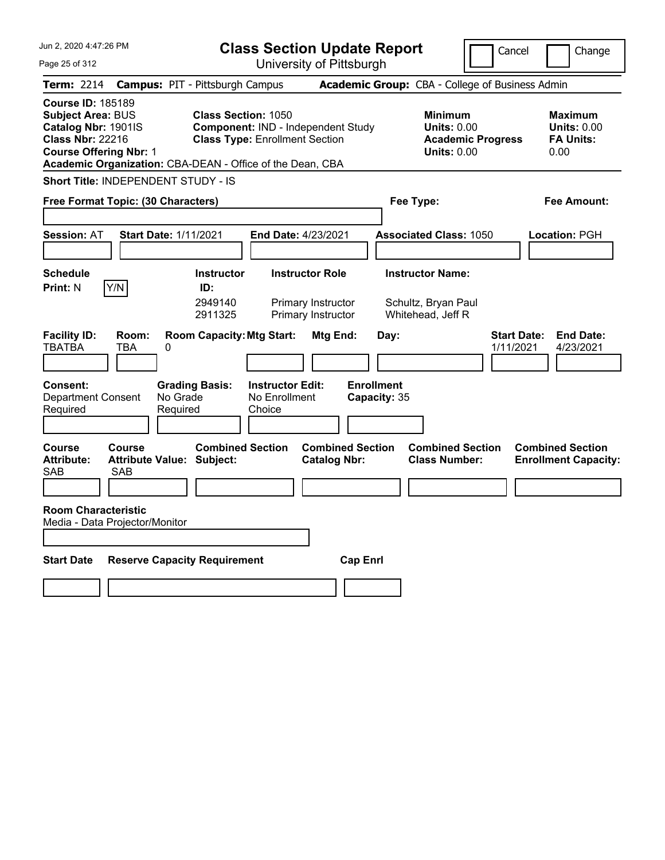| Jun 2, 2020 4:47:26 PM                                                                                                                                                                               |                                            |                                                |                                                    | <b>Class Section Update Report</b>                                 |                                   |                                                                     | Cancel                                          | Change                                                           |
|------------------------------------------------------------------------------------------------------------------------------------------------------------------------------------------------------|--------------------------------------------|------------------------------------------------|----------------------------------------------------|--------------------------------------------------------------------|-----------------------------------|---------------------------------------------------------------------|-------------------------------------------------|------------------------------------------------------------------|
| Page 25 of 312                                                                                                                                                                                       |                                            |                                                |                                                    | University of Pittsburgh                                           |                                   |                                                                     |                                                 |                                                                  |
| <b>Term: 2214</b>                                                                                                                                                                                    | <b>Campus: PIT - Pittsburgh Campus</b>     |                                                |                                                    |                                                                    |                                   |                                                                     | Academic Group: CBA - College of Business Admin |                                                                  |
| <b>Course ID: 185189</b><br><b>Subject Area: BUS</b><br>Catalog Nbr: 1901IS<br><b>Class Nbr: 22216</b><br><b>Course Offering Nbr: 1</b><br>Academic Organization: CBA-DEAN - Office of the Dean, CBA |                                            | <b>Class Section: 1050</b>                     | <b>Class Type: Enrollment Section</b>              | Component: IND - Independent Study                                 |                                   | <b>Minimum</b><br><b>Units: 0.00</b><br><b>Units: 0.00</b>          | <b>Academic Progress</b>                        | <b>Maximum</b><br><b>Units: 0.00</b><br><b>FA Units:</b><br>0.00 |
| Short Title: INDEPENDENT STUDY - IS                                                                                                                                                                  |                                            |                                                |                                                    |                                                                    |                                   |                                                                     |                                                 |                                                                  |
| Free Format Topic: (30 Characters)                                                                                                                                                                   |                                            |                                                |                                                    |                                                                    |                                   | Fee Type:                                                           |                                                 | Fee Amount:                                                      |
| <b>Session: AT</b>                                                                                                                                                                                   | <b>Start Date: 1/11/2021</b>               |                                                | <b>End Date: 4/23/2021</b>                         |                                                                    |                                   | <b>Associated Class: 1050</b>                                       |                                                 | Location: PGH                                                    |
| <b>Schedule</b><br>Y/N<br><b>Print: N</b>                                                                                                                                                            |                                            | <b>Instructor</b><br>ID:<br>2949140<br>2911325 |                                                    | <b>Instructor Role</b><br>Primary Instructor<br>Primary Instructor |                                   | <b>Instructor Name:</b><br>Schultz, Bryan Paul<br>Whitehead, Jeff R |                                                 |                                                                  |
| <b>Facility ID:</b><br><b>TBATBA</b>                                                                                                                                                                 | Room:<br><b>TBA</b><br>0                   | <b>Room Capacity: Mtg Start:</b>               |                                                    | Mtg End:                                                           | Day:                              |                                                                     | 1/11/2021                                       | <b>Start Date:</b><br><b>End Date:</b><br>4/23/2021              |
| <b>Consent:</b><br><b>Department Consent</b><br>Required                                                                                                                                             | No Grade<br>Required                       | <b>Grading Basis:</b>                          | <b>Instructor Edit:</b><br>No Enrollment<br>Choice |                                                                    | <b>Enrollment</b><br>Capacity: 35 |                                                                     |                                                 |                                                                  |
| Course<br><b>Attribute:</b><br><b>SAB</b><br>SAB                                                                                                                                                     | Course<br><b>Attribute Value: Subject:</b> | <b>Combined Section</b>                        |                                                    | <b>Combined Section</b><br><b>Catalog Nbr:</b>                     |                                   | <b>Combined Section</b><br><b>Class Number:</b>                     |                                                 | <b>Combined Section</b><br><b>Enrollment Capacity:</b>           |
| <b>Room Characteristic</b><br>Media - Data Projector/Monitor                                                                                                                                         |                                            |                                                |                                                    |                                                                    |                                   |                                                                     |                                                 |                                                                  |
| <b>Start Date</b>                                                                                                                                                                                    | <b>Reserve Capacity Requirement</b>        |                                                |                                                    |                                                                    | <b>Cap Enrl</b>                   |                                                                     |                                                 |                                                                  |
|                                                                                                                                                                                                      |                                            |                                                |                                                    |                                                                    |                                   |                                                                     |                                                 |                                                                  |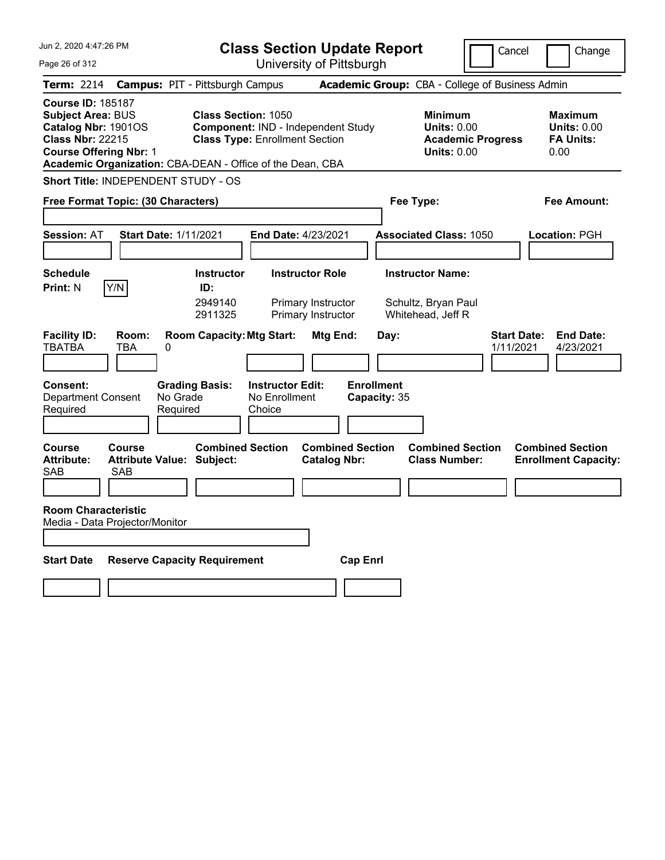| Jun 2, 2020 4:47:26 PM                                                                                                                                                                               |                                        |                                                |                                                    | <b>Class Section Update Report</b>                                 |                                   |                                                                                        | Cancel                          | Change                                                           |
|------------------------------------------------------------------------------------------------------------------------------------------------------------------------------------------------------|----------------------------------------|------------------------------------------------|----------------------------------------------------|--------------------------------------------------------------------|-----------------------------------|----------------------------------------------------------------------------------------|---------------------------------|------------------------------------------------------------------|
| Page 26 of 312                                                                                                                                                                                       |                                        |                                                |                                                    | University of Pittsburgh                                           |                                   |                                                                                        |                                 |                                                                  |
| <b>Term: 2214</b>                                                                                                                                                                                    | <b>Campus: PIT - Pittsburgh Campus</b> |                                                |                                                    |                                                                    |                                   | Academic Group: CBA - College of Business Admin                                        |                                 |                                                                  |
| <b>Course ID: 185187</b><br><b>Subject Area: BUS</b><br>Catalog Nbr: 1901OS<br><b>Class Nbr: 22215</b><br><b>Course Offering Nbr: 1</b><br>Academic Organization: CBA-DEAN - Office of the Dean, CBA |                                        | <b>Class Section: 1050</b>                     | <b>Class Type: Enrollment Section</b>              | <b>Component: IND - Independent Study</b>                          |                                   | <b>Minimum</b><br><b>Units: 0.00</b><br><b>Academic Progress</b><br><b>Units: 0.00</b> |                                 | <b>Maximum</b><br><b>Units: 0.00</b><br><b>FA Units:</b><br>0.00 |
| Short Title: INDEPENDENT STUDY - OS                                                                                                                                                                  |                                        |                                                |                                                    |                                                                    |                                   |                                                                                        |                                 |                                                                  |
| Free Format Topic: (30 Characters)                                                                                                                                                                   |                                        |                                                |                                                    |                                                                    |                                   | Fee Type:                                                                              |                                 | Fee Amount:                                                      |
| <b>Session: AT</b>                                                                                                                                                                                   | <b>Start Date: 1/11/2021</b>           |                                                | <b>End Date: 4/23/2021</b>                         |                                                                    |                                   | <b>Associated Class: 1050</b>                                                          |                                 | Location: PGH                                                    |
| <b>Schedule</b><br>Y/N<br>Print: N                                                                                                                                                                   |                                        | <b>Instructor</b><br>ID:<br>2949140<br>2911325 |                                                    | <b>Instructor Role</b><br>Primary Instructor<br>Primary Instructor |                                   | <b>Instructor Name:</b><br>Schultz, Bryan Paul<br>Whitehead, Jeff R                    |                                 |                                                                  |
| <b>Facility ID:</b><br>Room:<br><b>TBATBA</b><br><b>TBA</b>                                                                                                                                          | 0                                      | <b>Room Capacity: Mtg Start:</b>               |                                                    | Mtg End:                                                           | Day:                              |                                                                                        | <b>Start Date:</b><br>1/11/2021 | <b>End Date:</b><br>4/23/2021                                    |
| <b>Consent:</b><br><b>Department Consent</b><br>Required                                                                                                                                             | No Grade<br>Required                   | <b>Grading Basis:</b>                          | <b>Instructor Edit:</b><br>No Enrollment<br>Choice |                                                                    | <b>Enrollment</b><br>Capacity: 35 |                                                                                        |                                 |                                                                  |
| <b>Course</b><br>Course<br><b>Attribute:</b><br><b>SAB</b><br>SAB                                                                                                                                    | <b>Attribute Value: Subject:</b>       | <b>Combined Section</b>                        |                                                    | <b>Combined Section</b><br><b>Catalog Nbr:</b>                     |                                   | <b>Combined Section</b><br><b>Class Number:</b>                                        |                                 | <b>Combined Section</b><br><b>Enrollment Capacity:</b>           |
| <b>Room Characteristic</b><br>Media - Data Projector/Monitor                                                                                                                                         |                                        |                                                |                                                    |                                                                    |                                   |                                                                                        |                                 |                                                                  |
| <b>Start Date</b>                                                                                                                                                                                    | <b>Reserve Capacity Requirement</b>    |                                                |                                                    | <b>Cap Enrl</b>                                                    |                                   |                                                                                        |                                 |                                                                  |
|                                                                                                                                                                                                      |                                        |                                                |                                                    |                                                                    |                                   |                                                                                        |                                 |                                                                  |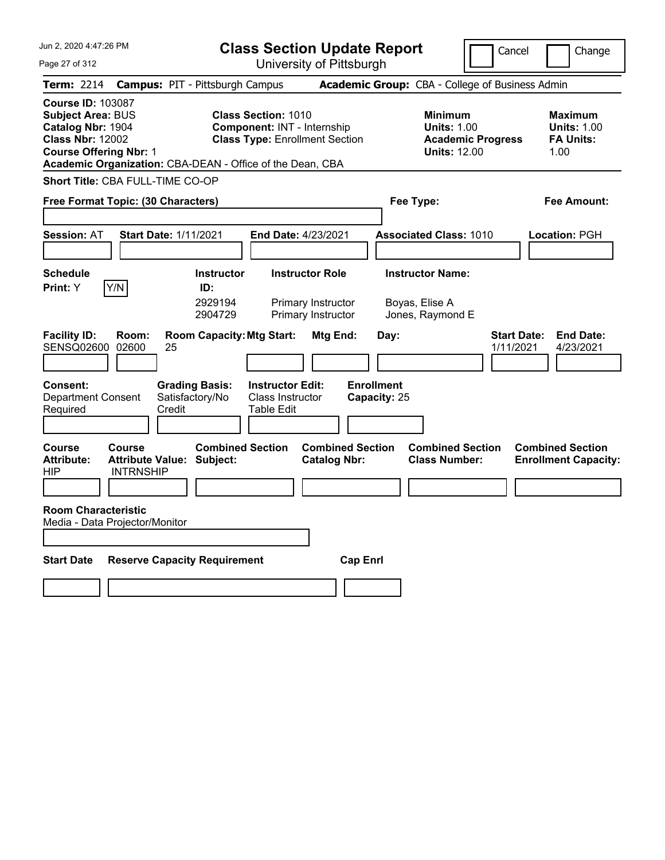Jun 2, 2020 4:47:26 PM Page 27 of 312 **Class Section Update Report** University of Pittsburgh Cancel | Change **Term:** 2214 **Campus:** PIT - Pittsburgh Campus **Academic Group:** CBA - College of Business Admin **Course ID:** 103087 **Subject Area:** BUS **Class Section:** 1010 **Minimum Maximum Catalog Nbr:** 1904 **Component:** INT - Internship **Units:** 1.00 **Units:** 1.00 **Class Nbr:** 12002 **Class Type:** Enrollment Section **Academic Progress FA Units: Course Offering Nbr:** 1 **Units:** 12.00 1.00 **Academic Organization:** CBA-DEAN - Office of the Dean, CBA **Short Title:** CBA FULL-TIME CO-OP **Free Format Topic: (30 Characters) Fee Type: Fee Amount: Session:** AT **Start Date:** 1/11/2021 **End Date:** 4/23/2021 **Associated Class:** 1010 **Location:** PGH **Schedule Instructor Instructor Role Instructor Name: Print:**  $Y$   $|Y/N|$  **ID:** 2929194 Primary Instructor Boyas, Elise A 2904729 Primary Instructor Jones, Raymond E **Facility ID: Room: Room Capacity:Mtg Start: Mtg End: Day: Start Date: End Date:** SENSQ02600 02600 25 1/11/2021 4/23/2021 **Consent: Grading Basis: Instructor Edit: Enrollment** Department Consent Required Satisfactory/No Credit Class Instructor Table Edit **Capacity:** 25 **Course Course Combined Section Combined Section Combined Section Combined Section**  Attribute: Attribute Value: Subject: Catalog Nbr: Class Number: Enrollment Capacity:<br>HIP MTRNSHIP **INTRNSHIP Room Characteristic** Media - Data Projector/Monitor **Start Date Reserve Capacity Requirement Cap Enrl**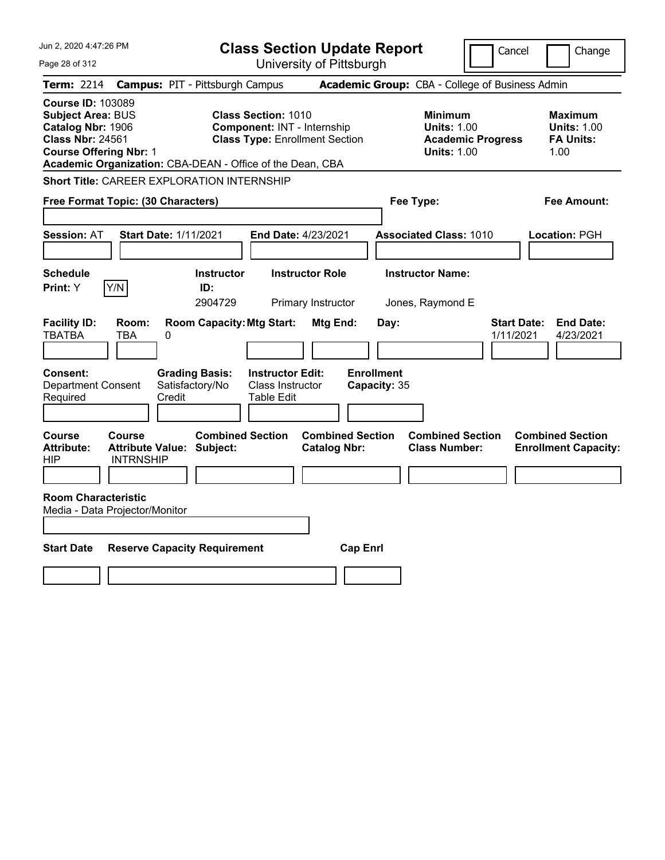| Jun 2, 2020 4:47:26 PM                                                                                                                                                                             |                                                                              | <b>Class Section Update Report</b>                      |                                                                                        | Cancel<br>Change                                                 |
|----------------------------------------------------------------------------------------------------------------------------------------------------------------------------------------------------|------------------------------------------------------------------------------|---------------------------------------------------------|----------------------------------------------------------------------------------------|------------------------------------------------------------------|
| Page 28 of 312                                                                                                                                                                                     |                                                                              | University of Pittsburgh                                |                                                                                        |                                                                  |
| <b>Term: 2214</b>                                                                                                                                                                                  | <b>Campus: PIT - Pittsburgh Campus</b>                                       |                                                         | Academic Group: CBA - College of Business Admin                                        |                                                                  |
| <b>Course ID: 103089</b><br><b>Subject Area: BUS</b><br>Catalog Nbr: 1906<br><b>Class Nbr: 24561</b><br><b>Course Offering Nbr: 1</b><br>Academic Organization: CBA-DEAN - Office of the Dean, CBA | <b>Class Section: 1010</b><br>Component: INT - Internship                    | <b>Class Type: Enrollment Section</b>                   | <b>Minimum</b><br><b>Units: 1.00</b><br><b>Academic Progress</b><br><b>Units: 1.00</b> | <b>Maximum</b><br><b>Units: 1.00</b><br><b>FA Units:</b><br>1.00 |
| <b>Short Title: CAREER EXPLORATION INTERNSHIP</b>                                                                                                                                                  |                                                                              |                                                         |                                                                                        |                                                                  |
| Free Format Topic: (30 Characters)                                                                                                                                                                 |                                                                              |                                                         | Fee Type:                                                                              | Fee Amount:                                                      |
| <b>Session: AT</b>                                                                                                                                                                                 | <b>Start Date: 1/11/2021</b>                                                 | End Date: 4/23/2021                                     | <b>Associated Class: 1010</b>                                                          | Location: PGH                                                    |
| <b>Schedule</b><br>Y/N<br>Print: Y                                                                                                                                                                 | <b>Instructor</b><br>ID:<br>2904729                                          | <b>Instructor Role</b><br>Primary Instructor            | <b>Instructor Name:</b><br>Jones, Raymond E                                            |                                                                  |
| <b>Facility ID:</b><br>Room:<br><b>TBATBA</b><br>TBA<br>0<br>Consent:<br><b>Department Consent</b>                                                                                                 | <b>Room Capacity: Mtg Start:</b><br><b>Grading Basis:</b><br>Satisfactory/No | Mtg End:<br><b>Instructor Edit:</b><br>Class Instructor | Day:<br><b>Enrollment</b><br>Capacity: 35                                              | <b>Start Date:</b><br><b>End Date:</b><br>1/11/2021<br>4/23/2021 |
| Required                                                                                                                                                                                           | Credit<br>Table Edit                                                         |                                                         |                                                                                        |                                                                  |
| Course<br>Course<br><b>Attribute:</b><br><b>INTRNSHIP</b><br>HIP                                                                                                                                   | <b>Combined Section</b><br><b>Attribute Value: Subject:</b>                  | <b>Combined Section</b><br><b>Catalog Nbr:</b>          | <b>Combined Section</b><br><b>Class Number:</b>                                        | <b>Combined Section</b><br><b>Enrollment Capacity:</b>           |
| <b>Room Characteristic</b><br>Media - Data Projector/Monitor                                                                                                                                       |                                                                              |                                                         |                                                                                        |                                                                  |
| <b>Start Date</b>                                                                                                                                                                                  | <b>Reserve Capacity Requirement</b>                                          | <b>Cap Enrl</b>                                         |                                                                                        |                                                                  |
|                                                                                                                                                                                                    |                                                                              |                                                         |                                                                                        |                                                                  |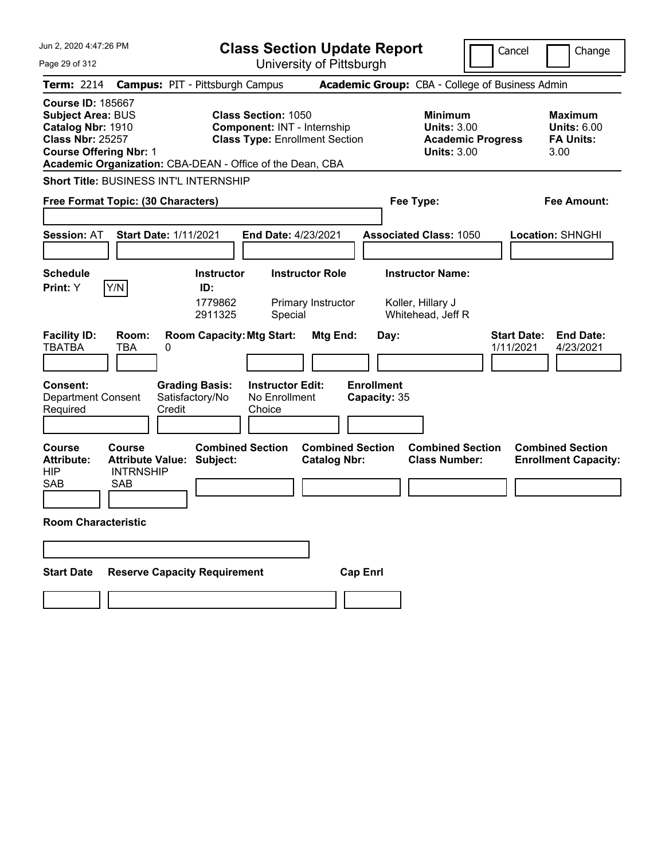| Jun 2, 2020 4:47:26 PM                                                                                                                | <b>Class Section Update Report</b>                                                                                                                                     |                                                                                        | Cancel<br>Change                                          |
|---------------------------------------------------------------------------------------------------------------------------------------|------------------------------------------------------------------------------------------------------------------------------------------------------------------------|----------------------------------------------------------------------------------------|-----------------------------------------------------------|
| Page 29 of 312                                                                                                                        | University of Pittsburgh                                                                                                                                               |                                                                                        |                                                           |
| <b>Term: 2214</b>                                                                                                                     | <b>Campus: PIT - Pittsburgh Campus</b>                                                                                                                                 | Academic Group: CBA - College of Business Admin                                        |                                                           |
| <b>Course ID: 185667</b><br><b>Subject Area: BUS</b><br>Catalog Nbr: 1910<br><b>Class Nbr: 25257</b><br><b>Course Offering Nbr: 1</b> | <b>Class Section: 1050</b><br><b>Component: INT - Internship</b><br><b>Class Type: Enrollment Section</b><br>Academic Organization: CBA-DEAN - Office of the Dean, CBA | <b>Minimum</b><br><b>Units: 3.00</b><br><b>Academic Progress</b><br><b>Units: 3.00</b> | Maximum<br><b>Units: 6.00</b><br><b>FA Units:</b><br>3.00 |
| Short Title: BUSINESS INT'L INTERNSHIP                                                                                                |                                                                                                                                                                        |                                                                                        |                                                           |
| Free Format Topic: (30 Characters)                                                                                                    |                                                                                                                                                                        | Fee Type:                                                                              | Fee Amount:                                               |
| <b>Start Date: 1/11/2021</b><br><b>Session: AT</b>                                                                                    | End Date: 4/23/2021                                                                                                                                                    | <b>Associated Class: 1050</b>                                                          | Location: SHNGHI                                          |
| <b>Schedule</b><br>Y/N<br>Print: Y<br>Room:                                                                                           | <b>Instructor Role</b><br><b>Instructor</b><br>ID:<br>1779862<br>Primary Instructor<br>2911325<br>Special<br><b>Room Capacity: Mtg Start:</b>                          | <b>Instructor Name:</b><br>Koller, Hillary J<br>Whitehead, Jeff R                      | <b>Start Date:</b><br><b>End Date:</b>                    |
| <b>Facility ID:</b><br><b>TBATBA</b><br><b>TBA</b><br>0                                                                               | Mtg End:                                                                                                                                                               | Day:                                                                                   | 1/11/2021<br>4/23/2021                                    |
| <b>Consent:</b><br><b>Department Consent</b><br>Credit<br>Required                                                                    | <b>Grading Basis:</b><br><b>Instructor Edit:</b><br>Satisfactory/No<br>No Enrollment<br>Choice                                                                         | <b>Enrollment</b><br>Capacity: 35                                                      |                                                           |
| <b>Course</b><br>Course<br><b>Attribute Value:</b><br><b>Attribute:</b><br><b>HIP</b><br><b>INTRNSHIP</b><br><b>SAB</b><br><b>SAB</b> | <b>Combined Section</b><br><b>Combined Section</b><br>Subject:<br><b>Catalog Nbr:</b>                                                                                  | <b>Combined Section</b><br><b>Class Number:</b>                                        | <b>Combined Section</b><br><b>Enrollment Capacity:</b>    |
| <b>Room Characteristic</b>                                                                                                            |                                                                                                                                                                        |                                                                                        |                                                           |
|                                                                                                                                       |                                                                                                                                                                        |                                                                                        |                                                           |
| <b>Reserve Capacity Requirement</b><br><b>Start Date</b>                                                                              |                                                                                                                                                                        | <b>Cap Enrl</b>                                                                        |                                                           |
|                                                                                                                                       |                                                                                                                                                                        |                                                                                        |                                                           |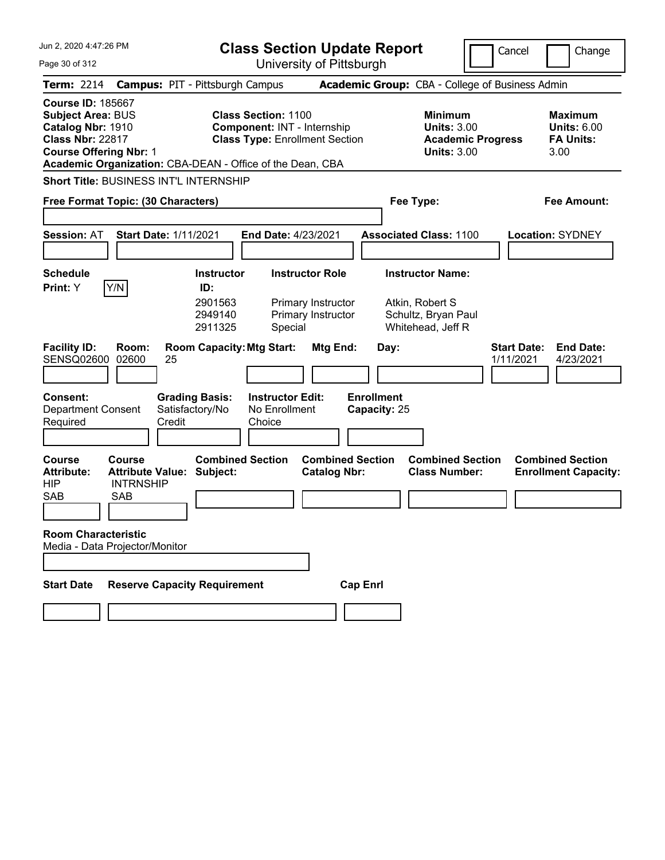| Jun 2, 2020 4:47:26 PM                                                                                                                                                                             |                                                                     |                                                    |                                                           | <b>Class Section Update Report</b>                                                                 |                                                                    |                                   |      |                                                                                        | Cancel                          | Change                                                           |
|----------------------------------------------------------------------------------------------------------------------------------------------------------------------------------------------------|---------------------------------------------------------------------|----------------------------------------------------|-----------------------------------------------------------|----------------------------------------------------------------------------------------------------|--------------------------------------------------------------------|-----------------------------------|------|----------------------------------------------------------------------------------------|---------------------------------|------------------------------------------------------------------|
| Page 30 of 312                                                                                                                                                                                     |                                                                     |                                                    |                                                           | University of Pittsburgh                                                                           |                                                                    |                                   |      |                                                                                        |                                 |                                                                  |
| <b>Term: 2214</b>                                                                                                                                                                                  |                                                                     |                                                    | <b>Campus: PIT - Pittsburgh Campus</b>                    |                                                                                                    |                                                                    |                                   |      | <b>Academic Group:</b> CBA - College of Business Admin                                 |                                 |                                                                  |
| <b>Course ID: 185667</b><br><b>Subject Area: BUS</b><br>Catalog Nbr: 1910<br><b>Class Nbr: 22817</b><br><b>Course Offering Nbr: 1</b><br>Academic Organization: CBA-DEAN - Office of the Dean, CBA |                                                                     |                                                    |                                                           | <b>Class Section: 1100</b><br>Component: INT - Internship<br><b>Class Type: Enrollment Section</b> |                                                                    |                                   |      | <b>Minimum</b><br><b>Units: 3.00</b><br><b>Academic Progress</b><br><b>Units: 3.00</b> |                                 | <b>Maximum</b><br><b>Units: 6.00</b><br><b>FA Units:</b><br>3.00 |
| Short Title: BUSINESS INT'L INTERNSHIP                                                                                                                                                             |                                                                     |                                                    |                                                           |                                                                                                    |                                                                    |                                   |      |                                                                                        |                                 |                                                                  |
| Free Format Topic: (30 Characters)                                                                                                                                                                 |                                                                     |                                                    |                                                           |                                                                                                    |                                                                    |                                   |      | Fee Type:                                                                              |                                 | Fee Amount:                                                      |
| <b>Session: AT</b>                                                                                                                                                                                 | <b>Start Date: 1/11/2021</b>                                        |                                                    |                                                           | End Date: 4/23/2021                                                                                |                                                                    |                                   |      | <b>Associated Class: 1100</b>                                                          |                                 | <b>Location: SYDNEY</b>                                          |
| <b>Schedule</b><br>Print: Y                                                                                                                                                                        | Y/N                                                                 |                                                    | <b>Instructor</b><br>ID:<br>2901563<br>2949140<br>2911325 | Special                                                                                            | <b>Instructor Role</b><br>Primary Instructor<br>Primary Instructor |                                   |      | <b>Instructor Name:</b><br>Atkin, Robert S<br>Schultz, Bryan Paul<br>Whitehead, Jeff R |                                 |                                                                  |
| <b>Facility ID:</b><br>SENSQ02600                                                                                                                                                                  | Room:<br>02600                                                      | 25                                                 |                                                           | <b>Room Capacity: Mtg Start:</b>                                                                   | Mtg End:                                                           |                                   | Day: |                                                                                        | <b>Start Date:</b><br>1/11/2021 | <b>End Date:</b><br>4/23/2021                                    |
| <b>Consent:</b><br><b>Department Consent</b><br>Required                                                                                                                                           |                                                                     | <b>Grading Basis:</b><br>Satisfactory/No<br>Credit |                                                           | <b>Instructor Edit:</b><br>No Enrollment<br>Choice                                                 |                                                                    | <b>Enrollment</b><br>Capacity: 25 |      |                                                                                        |                                 |                                                                  |
| <b>Course</b><br><b>Attribute:</b><br><b>HIP</b><br><b>SAB</b>                                                                                                                                     | Course<br><b>Attribute Value:</b><br><b>INTRNSHIP</b><br><b>SAB</b> |                                                    | <b>Combined Section</b><br>Subject:                       |                                                                                                    | <b>Combined Section</b><br><b>Catalog Nbr:</b>                     |                                   |      | <b>Combined Section</b><br><b>Class Number:</b>                                        |                                 | <b>Combined Section</b><br><b>Enrollment Capacity:</b>           |
| <b>Room Characteristic</b><br>Media - Data Projector/Monitor                                                                                                                                       |                                                                     |                                                    |                                                           |                                                                                                    |                                                                    |                                   |      |                                                                                        |                                 |                                                                  |
| <b>Start Date</b>                                                                                                                                                                                  | <b>Reserve Capacity Requirement</b>                                 |                                                    |                                                           |                                                                                                    |                                                                    | <b>Cap Enrl</b>                   |      |                                                                                        |                                 |                                                                  |
|                                                                                                                                                                                                    |                                                                     |                                                    |                                                           |                                                                                                    |                                                                    |                                   |      |                                                                                        |                                 |                                                                  |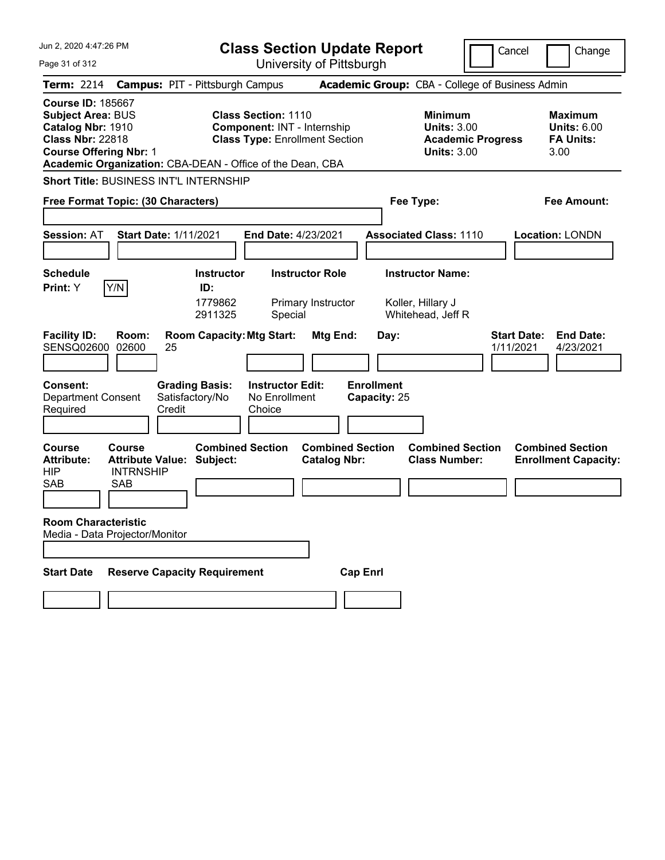| Jun 2, 2020 4:47:26 PM                                                                                                                                                                             | <b>Class Section Update Report</b>                                                                        |                                                                                                   | Cancel<br>Change                                                                             |
|----------------------------------------------------------------------------------------------------------------------------------------------------------------------------------------------------|-----------------------------------------------------------------------------------------------------------|---------------------------------------------------------------------------------------------------|----------------------------------------------------------------------------------------------|
| Page 31 of 312                                                                                                                                                                                     | University of Pittsburgh                                                                                  |                                                                                                   |                                                                                              |
| <b>Term: 2214</b>                                                                                                                                                                                  | <b>Campus: PIT - Pittsburgh Campus</b>                                                                    | Academic Group: CBA - College of Business Admin                                                   |                                                                                              |
| <b>Course ID: 185667</b><br><b>Subject Area: BUS</b><br>Catalog Nbr: 1910<br><b>Class Nbr: 22818</b><br><b>Course Offering Nbr: 1</b><br>Academic Organization: CBA-DEAN - Office of the Dean, CBA | <b>Class Section: 1110</b><br><b>Component: INT - Internship</b><br><b>Class Type: Enrollment Section</b> | <b>Minimum</b><br><b>Units: 3.00</b><br><b>Units: 3.00</b>                                        | <b>Maximum</b><br><b>Units: 6.00</b><br><b>FA Units:</b><br><b>Academic Progress</b><br>3.00 |
| <b>Short Title: BUSINESS INT'L INTERNSHIP</b>                                                                                                                                                      |                                                                                                           |                                                                                                   |                                                                                              |
| Free Format Topic: (30 Characters)                                                                                                                                                                 |                                                                                                           | Fee Type:                                                                                         | <b>Fee Amount:</b>                                                                           |
|                                                                                                                                                                                                    |                                                                                                           |                                                                                                   |                                                                                              |
| <b>Session: AT</b><br><b>Start Date: 1/11/2021</b>                                                                                                                                                 | End Date: 4/23/2021                                                                                       | <b>Associated Class: 1110</b>                                                                     | <b>Location: LONDN</b>                                                                       |
| <b>Schedule</b>                                                                                                                                                                                    | <b>Instructor Role</b><br><b>Instructor</b>                                                               | <b>Instructor Name:</b>                                                                           |                                                                                              |
| Y/N<br>Print: Y<br><b>Facility ID:</b><br>Room:                                                                                                                                                    | ID:<br>1779862<br>Primary Instructor<br>2911325<br>Special<br><b>Room Capacity: Mtg Start:</b>            | Koller, Hillary J<br>Whitehead, Jeff R                                                            | <b>Start Date:</b><br><b>End Date:</b>                                                       |
| SENSQ02600<br>02600<br>25                                                                                                                                                                          |                                                                                                           | Mtg End:<br>Day:                                                                                  | 1/11/2021<br>4/23/2021                                                                       |
| <b>Consent:</b><br><b>Department Consent</b><br>Credit<br>Required                                                                                                                                 | <b>Grading Basis:</b><br><b>Instructor Edit:</b><br>Satisfactory/No<br>No Enrollment<br>Choice            | <b>Enrollment</b><br>Capacity: 25                                                                 |                                                                                              |
| <b>Course</b><br>Course<br><b>Attribute Value:</b><br><b>Attribute:</b><br><b>HIP</b><br><b>INTRNSHIP</b><br>SAB<br><b>SAB</b>                                                                     | <b>Combined Section</b><br>Subject:                                                                       | <b>Combined Section</b><br><b>Combined Section</b><br><b>Class Number:</b><br><b>Catalog Nbr:</b> | <b>Combined Section</b><br><b>Enrollment Capacity:</b>                                       |
| <b>Room Characteristic</b><br>Media - Data Projector/Monitor                                                                                                                                       |                                                                                                           |                                                                                                   |                                                                                              |
| <b>Start Date</b>                                                                                                                                                                                  | <b>Reserve Capacity Requirement</b>                                                                       | <b>Cap Enrl</b>                                                                                   |                                                                                              |
|                                                                                                                                                                                                    |                                                                                                           |                                                                                                   |                                                                                              |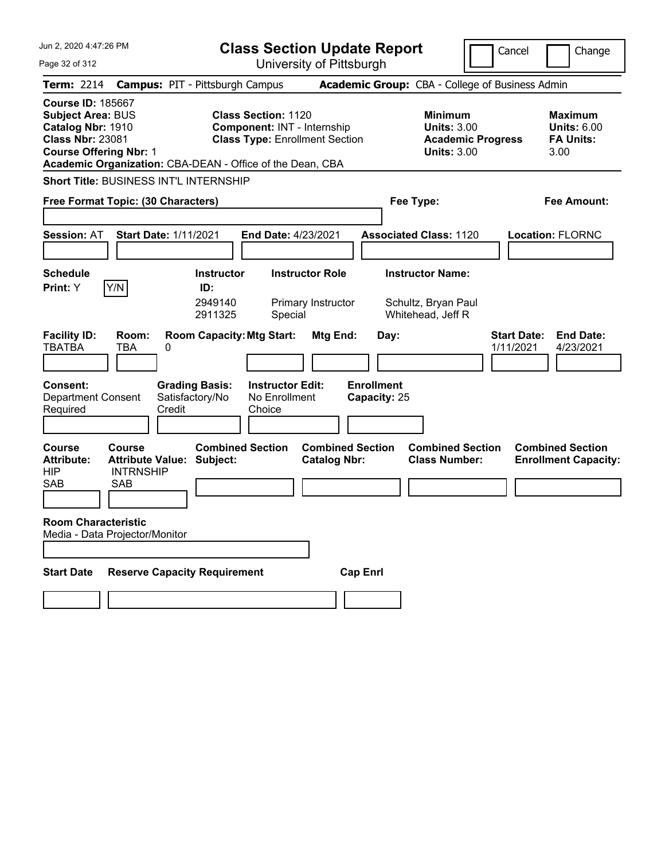| Jun 2, 2020 4:47:26 PM                                                                                                                                                                                | <b>Class Section Update Report</b>                                                                                                                                     |                                                                                 | Cancel<br>Change                                                                             |
|-------------------------------------------------------------------------------------------------------------------------------------------------------------------------------------------------------|------------------------------------------------------------------------------------------------------------------------------------------------------------------------|---------------------------------------------------------------------------------|----------------------------------------------------------------------------------------------|
| Page 32 of 312                                                                                                                                                                                        | University of Pittsburgh                                                                                                                                               |                                                                                 |                                                                                              |
| <b>Term: 2214</b>                                                                                                                                                                                     | <b>Campus: PIT - Pittsburgh Campus</b>                                                                                                                                 | <b>Academic Group:</b> CBA - College of Business Admin                          |                                                                                              |
| <b>Course ID: 185667</b><br><b>Subject Area: BUS</b><br>Catalog Nbr: 1910<br><b>Class Nbr: 23081</b><br><b>Course Offering Nbr: 1</b>                                                                 | <b>Class Section: 1120</b><br><b>Component: INT - Internship</b><br><b>Class Type: Enrollment Section</b><br>Academic Organization: CBA-DEAN - Office of the Dean, CBA | <b>Minimum</b><br><b>Units: 3.00</b><br><b>Units: 3.00</b>                      | <b>Maximum</b><br><b>Units: 6.00</b><br><b>FA Units:</b><br><b>Academic Progress</b><br>3.00 |
| <b>Short Title: BUSINESS INT'L INTERNSHIP</b>                                                                                                                                                         |                                                                                                                                                                        |                                                                                 |                                                                                              |
| Free Format Topic: (30 Characters)                                                                                                                                                                    |                                                                                                                                                                        | Fee Type:                                                                       | <b>Fee Amount:</b>                                                                           |
| <b>Start Date: 1/11/2021</b><br><b>Session: AT</b><br><b>Schedule</b><br>Y/N<br>Print: Y                                                                                                              | End Date: 4/23/2021<br><b>Instructor</b><br><b>Instructor Role</b><br>ID:<br>2949140<br>Primary Instructor                                                             | <b>Associated Class: 1120</b><br><b>Instructor Name:</b><br>Schultz, Bryan Paul | <b>Location: FLORNC</b>                                                                      |
| <b>Facility ID:</b><br>Room:<br><b>TBATBA</b><br><b>TBA</b><br>0<br><b>Consent:</b><br><b>Department Consent</b><br>Credit<br>Required                                                                | 2911325<br>Special<br><b>Room Capacity: Mtg Start:</b><br>Mtg End:<br><b>Grading Basis:</b><br><b>Instructor Edit:</b><br>Satisfactory/No<br>No Enrollment<br>Choice   | Whitehead, Jeff R<br>Day:<br><b>Enrollment</b><br>Capacity: 25                  | <b>Start Date:</b><br><b>End Date:</b><br>1/11/2021<br>4/23/2021                             |
| <b>Course</b><br><b>Course</b><br><b>Attribute Value:</b><br><b>Attribute:</b><br><b>HIP</b><br><b>INTRNSHIP</b><br><b>SAB</b><br>SAB<br><b>Room Characteristic</b><br>Media - Data Projector/Monitor | <b>Combined Section</b><br><b>Combined Section</b><br>Subject:<br><b>Catalog Nbr:</b>                                                                                  | <b>Combined Section</b><br><b>Class Number:</b>                                 | <b>Combined Section</b><br><b>Enrollment Capacity:</b>                                       |
| <b>Start Date</b>                                                                                                                                                                                     | <b>Reserve Capacity Requirement</b>                                                                                                                                    | <b>Cap Enrl</b>                                                                 |                                                                                              |
|                                                                                                                                                                                                       |                                                                                                                                                                        |                                                                                 |                                                                                              |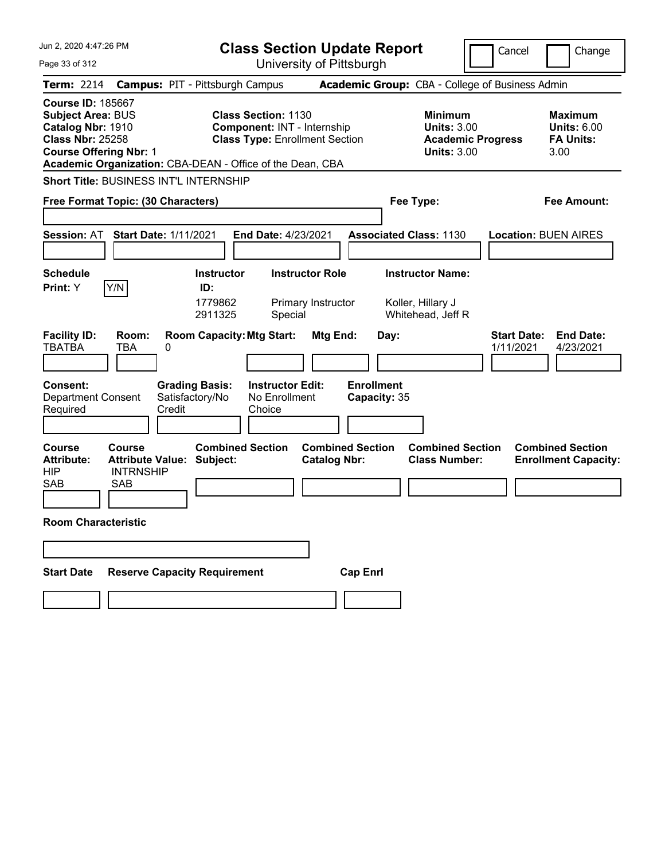| Jun 2, 2020 4:47:26 PM                                                                                                                                                                             | <b>Class Section Update Report</b>                                                                        |                                                                            | Cancel<br>Change                                                                             |
|----------------------------------------------------------------------------------------------------------------------------------------------------------------------------------------------------|-----------------------------------------------------------------------------------------------------------|----------------------------------------------------------------------------|----------------------------------------------------------------------------------------------|
| Page 33 of 312                                                                                                                                                                                     | University of Pittsburgh                                                                                  |                                                                            |                                                                                              |
| <b>Term: 2214</b>                                                                                                                                                                                  | <b>Campus: PIT - Pittsburgh Campus</b>                                                                    | <b>Academic Group:</b> CBA - College of Business Admin                     |                                                                                              |
| <b>Course ID: 185667</b><br><b>Subject Area: BUS</b><br>Catalog Nbr: 1910<br><b>Class Nbr: 25258</b><br><b>Course Offering Nbr: 1</b><br>Academic Organization: CBA-DEAN - Office of the Dean, CBA | <b>Class Section: 1130</b><br><b>Component: INT - Internship</b><br><b>Class Type: Enrollment Section</b> | <b>Minimum</b><br><b>Units: 3.00</b><br><b>Units: 3.00</b>                 | <b>Maximum</b><br><b>Units: 6.00</b><br><b>FA Units:</b><br><b>Academic Progress</b><br>3.00 |
| <b>Short Title: BUSINESS INT'L INTERNSHIP</b>                                                                                                                                                      |                                                                                                           |                                                                            |                                                                                              |
| Free Format Topic: (30 Characters)                                                                                                                                                                 |                                                                                                           | Fee Type:                                                                  | <b>Fee Amount:</b>                                                                           |
| <b>Start Date: 1/11/2021</b><br><b>Session: AT</b>                                                                                                                                                 | End Date: 4/23/2021                                                                                       | <b>Associated Class: 1130</b>                                              | <b>Location: BUEN AIRES</b>                                                                  |
| <b>Schedule</b>                                                                                                                                                                                    | <b>Instructor</b><br><b>Instructor Role</b>                                                               | <b>Instructor Name:</b>                                                    |                                                                                              |
| Y/N<br>Print: Y                                                                                                                                                                                    | ID:<br>1779862<br>Primary Instructor<br>2911325<br>Special                                                | Koller, Hillary J<br>Whitehead, Jeff R                                     |                                                                                              |
| <b>Facility ID:</b><br>Room:<br><b>TBATBA</b><br><b>TBA</b><br>0                                                                                                                                   | <b>Room Capacity: Mtg Start:</b><br>Mtg End:                                                              | Day:                                                                       | <b>Start Date:</b><br><b>End Date:</b><br>1/11/2021<br>4/23/2021                             |
| <b>Consent:</b><br>Satisfactory/No<br><b>Department Consent</b><br>Credit<br>Required                                                                                                              | <b>Grading Basis:</b><br><b>Instructor Edit:</b><br>No Enrollment<br>Choice                               | <b>Enrollment</b><br>Capacity: 35                                          |                                                                                              |
| <b>Course</b><br><b>Course</b><br><b>Attribute Value:</b><br><b>Attribute:</b><br><b>HIP</b><br><b>INTRNSHIP</b><br><b>SAB</b><br>SAB                                                              | <b>Combined Section</b><br>Subject:<br><b>Catalog Nbr:</b>                                                | <b>Combined Section</b><br><b>Combined Section</b><br><b>Class Number:</b> | <b>Combined Section</b><br><b>Enrollment Capacity:</b>                                       |
| <b>Room Characteristic</b>                                                                                                                                                                         |                                                                                                           |                                                                            |                                                                                              |
| <b>Reserve Capacity Requirement</b><br><b>Start Date</b>                                                                                                                                           |                                                                                                           | <b>Cap Enrl</b>                                                            |                                                                                              |
|                                                                                                                                                                                                    |                                                                                                           |                                                                            |                                                                                              |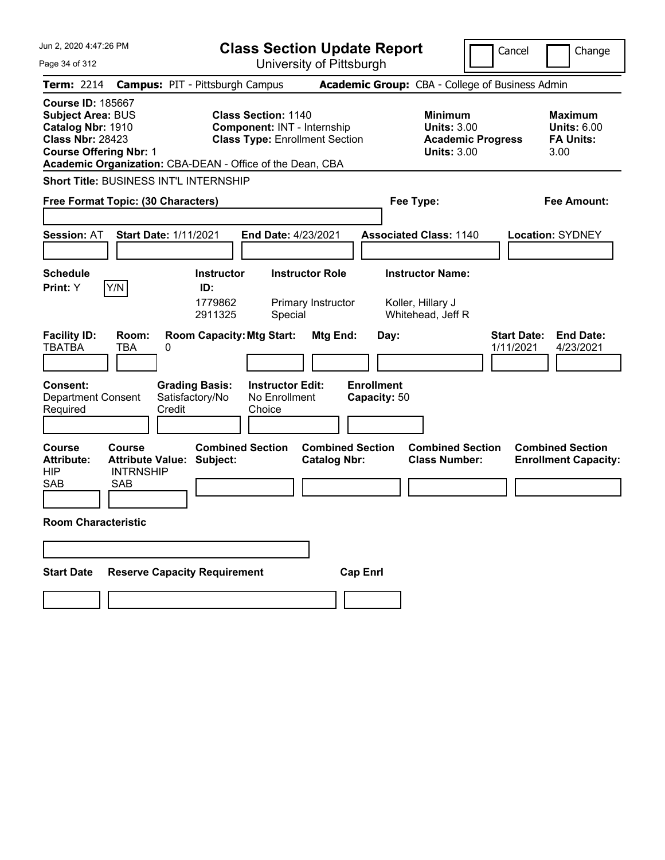| Jun 2, 2020 4:47:26 PM                                                                                                                                                                             | <b>Class Section Update Report</b>                                                                        |                                                                                        | Cancel<br>Change                                                 |
|----------------------------------------------------------------------------------------------------------------------------------------------------------------------------------------------------|-----------------------------------------------------------------------------------------------------------|----------------------------------------------------------------------------------------|------------------------------------------------------------------|
| Page 34 of 312                                                                                                                                                                                     | University of Pittsburgh                                                                                  |                                                                                        |                                                                  |
| <b>Term: 2214</b>                                                                                                                                                                                  | <b>Campus: PIT - Pittsburgh Campus</b>                                                                    | <b>Academic Group:</b> CBA - College of Business Admin                                 |                                                                  |
| <b>Course ID: 185667</b><br><b>Subject Area: BUS</b><br>Catalog Nbr: 1910<br><b>Class Nbr: 28423</b><br><b>Course Offering Nbr: 1</b><br>Academic Organization: CBA-DEAN - Office of the Dean, CBA | <b>Class Section: 1140</b><br><b>Component: INT - Internship</b><br><b>Class Type: Enrollment Section</b> | <b>Minimum</b><br><b>Units: 3.00</b><br><b>Academic Progress</b><br><b>Units: 3.00</b> | Maximum<br><b>Units: 6.00</b><br><b>FA Units:</b><br>3.00        |
| <b>Short Title: BUSINESS INT'L INTERNSHIP</b>                                                                                                                                                      |                                                                                                           |                                                                                        |                                                                  |
| Free Format Topic: (30 Characters)                                                                                                                                                                 |                                                                                                           | Fee Type:                                                                              | Fee Amount:                                                      |
| <b>Session: AT</b><br><b>Start Date: 1/11/2021</b>                                                                                                                                                 | End Date: 4/23/2021                                                                                       | <b>Associated Class: 1140</b>                                                          | <b>Location: SYDNEY</b>                                          |
| <b>Schedule</b><br>Y/N<br><b>Print:</b> Y                                                                                                                                                          | <b>Instructor Role</b><br><b>Instructor</b><br>ID:<br>1779862<br>Primary Instructor<br>2911325<br>Special | <b>Instructor Name:</b><br>Koller, Hillary J<br>Whitehead, Jeff R                      |                                                                  |
| <b>Facility ID:</b><br>Room:<br><b>TBATBA</b><br><b>TBA</b><br>0                                                                                                                                   | <b>Room Capacity: Mtg Start:</b><br>Mtg End:                                                              | Day:                                                                                   | <b>End Date:</b><br><b>Start Date:</b><br>1/11/2021<br>4/23/2021 |
| <b>Consent:</b><br><b>Grading Basis:</b><br>Satisfactory/No<br><b>Department Consent</b><br>Credit<br>Required                                                                                     | <b>Instructor Edit:</b><br>No Enrollment<br>Choice                                                        | <b>Enrollment</b><br>Capacity: 50                                                      |                                                                  |
| <b>Course</b><br>Course<br><b>Attribute Value: Subject:</b><br><b>Attribute:</b><br><b>HIP</b><br><b>INTRNSHIP</b><br><b>SAB</b><br><b>SAB</b>                                                     | <b>Combined Section</b><br><b>Combined Section</b><br><b>Catalog Nbr:</b>                                 | <b>Combined Section</b><br><b>Class Number:</b>                                        | <b>Combined Section</b><br><b>Enrollment Capacity:</b>           |
| <b>Room Characteristic</b>                                                                                                                                                                         |                                                                                                           |                                                                                        |                                                                  |
|                                                                                                                                                                                                    |                                                                                                           |                                                                                        |                                                                  |
| <b>Reserve Capacity Requirement</b><br><b>Start Date</b>                                                                                                                                           | <b>Cap Enrl</b>                                                                                           |                                                                                        |                                                                  |
|                                                                                                                                                                                                    |                                                                                                           |                                                                                        |                                                                  |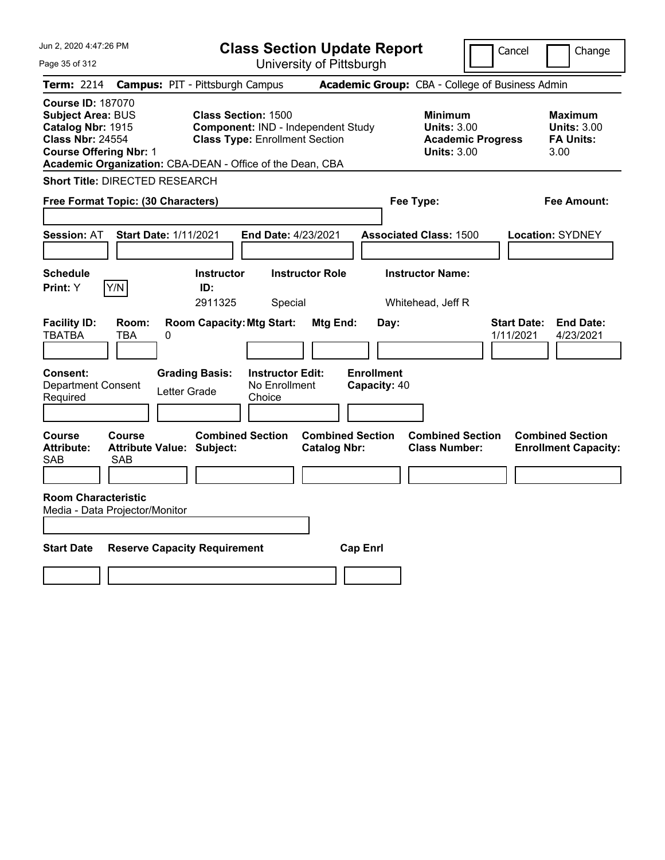| Jun 2, 2020 4:47:26 PM                                                                                                                | <b>Class Section Update Report</b>                                                                                                                                     |                                                            | Cancel<br>Change                                                                             |
|---------------------------------------------------------------------------------------------------------------------------------------|------------------------------------------------------------------------------------------------------------------------------------------------------------------------|------------------------------------------------------------|----------------------------------------------------------------------------------------------|
| Page 35 of 312                                                                                                                        | University of Pittsburgh                                                                                                                                               |                                                            |                                                                                              |
| Term: 2214                                                                                                                            | <b>Campus: PIT - Pittsburgh Campus</b>                                                                                                                                 | Academic Group: CBA - College of Business Admin            |                                                                                              |
| <b>Course ID: 187070</b><br><b>Subject Area: BUS</b><br>Catalog Nbr: 1915<br><b>Class Nbr: 24554</b><br><b>Course Offering Nbr: 1</b> | <b>Class Section: 1500</b><br>Component: IND - Independent Study<br><b>Class Type: Enrollment Section</b><br>Academic Organization: CBA-DEAN - Office of the Dean, CBA | <b>Minimum</b><br><b>Units: 3.00</b><br><b>Units: 3.00</b> | <b>Maximum</b><br><b>Units: 3.00</b><br><b>FA Units:</b><br><b>Academic Progress</b><br>3.00 |
| <b>Short Title: DIRECTED RESEARCH</b>                                                                                                 |                                                                                                                                                                        |                                                            |                                                                                              |
| Free Format Topic: (30 Characters)                                                                                                    |                                                                                                                                                                        | Fee Type:                                                  | Fee Amount:                                                                                  |
| <b>Start Date: 1/11/2021</b><br><b>Session: AT</b>                                                                                    | End Date: 4/23/2021                                                                                                                                                    | <b>Associated Class: 1500</b>                              | <b>Location: SYDNEY</b>                                                                      |
| <b>Schedule</b><br>Y/N<br>Print: Y                                                                                                    | <b>Instructor Role</b><br><b>Instructor</b><br>ID:<br>2911325<br>Special                                                                                               | <b>Instructor Name:</b><br>Whitehead, Jeff R               |                                                                                              |
| <b>Facility ID:</b><br>Room:<br><b>TBATBA</b><br>TBA<br>0                                                                             | <b>Room Capacity: Mtg Start:</b><br>Mtg End:                                                                                                                           | Day:                                                       | <b>End Date:</b><br><b>Start Date:</b><br>1/11/2021<br>4/23/2021                             |
| <b>Consent:</b><br><b>Department Consent</b><br>Letter Grade<br>Required                                                              | <b>Grading Basis:</b><br><b>Instructor Edit:</b><br>No Enrollment<br>Choice                                                                                            | <b>Enrollment</b><br>Capacity: 40                          |                                                                                              |
| Course<br><b>Course</b><br><b>Attribute:</b><br><b>Attribute Value: Subject:</b><br>SAB<br><b>SAB</b>                                 | <b>Combined Section</b><br><b>Combined Section</b><br><b>Catalog Nbr:</b>                                                                                              | <b>Combined Section</b><br><b>Class Number:</b>            | <b>Combined Section</b><br><b>Enrollment Capacity:</b>                                       |
|                                                                                                                                       |                                                                                                                                                                        |                                                            |                                                                                              |
| <b>Room Characteristic</b><br>Media - Data Projector/Monitor                                                                          |                                                                                                                                                                        |                                                            |                                                                                              |
|                                                                                                                                       |                                                                                                                                                                        |                                                            |                                                                                              |
| <b>Start Date</b><br><b>Reserve Capacity Requirement</b>                                                                              |                                                                                                                                                                        | <b>Cap Enrl</b>                                            |                                                                                              |
|                                                                                                                                       |                                                                                                                                                                        |                                                            |                                                                                              |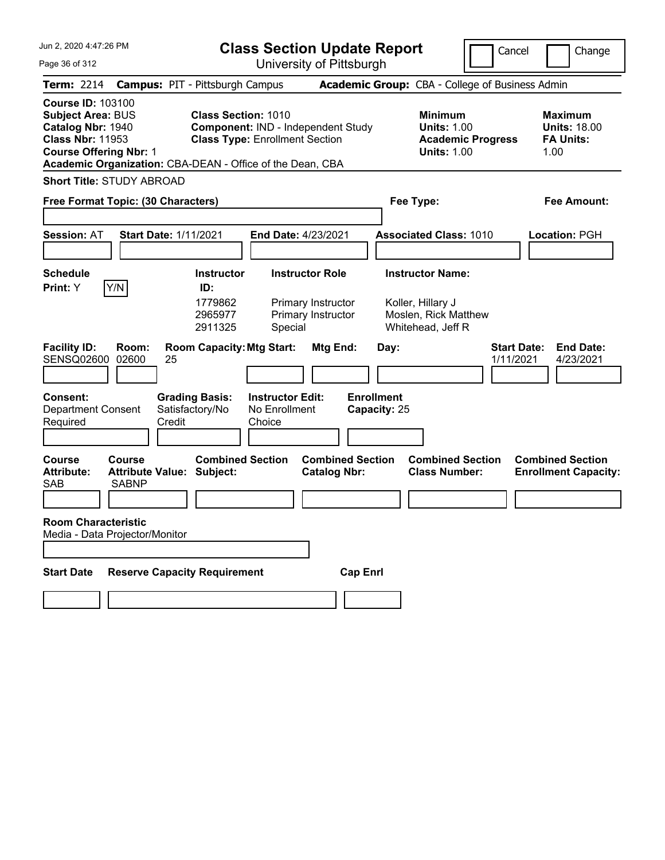|  | Jun 2, 2020 4:47:26 PM |
|--|------------------------|
|--|------------------------|

Page 36 of 312

**Class Section Update Report**

University of Pittsburgh

Cancel **Change** 

| uyu uu u u u u                                                                                                                        |                        |                                                                                                                                  |                                                    | UTIIVERSILY ULT ILLSDUIYIT                                         |                                   |                                                                                           |                                                                   |
|---------------------------------------------------------------------------------------------------------------------------------------|------------------------|----------------------------------------------------------------------------------------------------------------------------------|----------------------------------------------------|--------------------------------------------------------------------|-----------------------------------|-------------------------------------------------------------------------------------------|-------------------------------------------------------------------|
| <b>Term:</b> 2214                                                                                                                     |                        | <b>Campus: PIT - Pittsburgh Campus</b>                                                                                           |                                                    |                                                                    |                                   | <b>Academic Group:</b> CBA - College of Business Admin                                    |                                                                   |
| <b>Course ID: 103100</b><br><b>Subject Area: BUS</b><br>Catalog Nbr: 1940<br><b>Class Nbr: 11953</b><br><b>Course Offering Nbr: 1</b> |                        | <b>Class Section: 1010</b><br><b>Class Type: Enrollment Section</b><br>Academic Organization: CBA-DEAN - Office of the Dean, CBA |                                                    | Component: IND - Independent Study                                 |                                   | <b>Minimum</b><br><b>Units: 1.00</b><br><b>Academic Progress</b><br><b>Units: 1.00</b>    | <b>Maximum</b><br><b>Units: 18.00</b><br><b>FA Units:</b><br>1.00 |
| <b>Short Title: STUDY ABROAD</b>                                                                                                      |                        |                                                                                                                                  |                                                    |                                                                    |                                   |                                                                                           |                                                                   |
| Free Format Topic: (30 Characters)                                                                                                    |                        |                                                                                                                                  |                                                    |                                                                    |                                   | Fee Type:                                                                                 | Fee Amount:                                                       |
| Session: AT                                                                                                                           |                        | <b>Start Date: 1/11/2021</b>                                                                                                     | End Date: 4/23/2021                                |                                                                    |                                   | <b>Associated Class: 1010</b>                                                             | Location: PGH                                                     |
| <b>Schedule</b><br>Print: Y                                                                                                           | Y/N                    | <b>Instructor</b><br>ID:<br>1779862<br>2965977<br>2911325                                                                        | Special                                            | <b>Instructor Role</b><br>Primary Instructor<br>Primary Instructor |                                   | <b>Instructor Name:</b><br>Koller, Hillary J<br>Moslen, Rick Matthew<br>Whitehead, Jeff R |                                                                   |
| <b>Facility ID:</b><br><b>SENSQ02600</b>                                                                                              | Room:<br>02600         | <b>Room Capacity: Mtg Start:</b><br>25                                                                                           |                                                    | Mtg End:                                                           | Day:                              |                                                                                           | <b>Start Date:</b><br><b>End Date:</b><br>1/11/2021<br>4/23/2021  |
| <b>Consent:</b><br><b>Department Consent</b><br>Required                                                                              |                        | <b>Grading Basis:</b><br>Satisfactory/No<br>Credit                                                                               | <b>Instructor Edit:</b><br>No Enrollment<br>Choice |                                                                    | <b>Enrollment</b><br>Capacity: 25 |                                                                                           |                                                                   |
| <b>Course</b><br><b>Attribute:</b><br>SAB<br><b>Room Characteristic</b><br>Media - Data Projector/Monitor                             | <b>Course</b><br>SABNP | <b>Combined Section</b><br><b>Attribute Value: Subject:</b>                                                                      |                                                    | <b>Combined Section</b><br><b>Catalog Nbr:</b>                     |                                   | <b>Combined Section</b><br><b>Class Number:</b>                                           | <b>Combined Section</b><br><b>Enrollment Capacity:</b>            |
| <b>Start Date</b>                                                                                                                     |                        | <b>Reserve Capacity Requirement</b>                                                                                              |                                                    | <b>Cap Enrl</b>                                                    |                                   |                                                                                           |                                                                   |
|                                                                                                                                       |                        |                                                                                                                                  |                                                    |                                                                    |                                   |                                                                                           |                                                                   |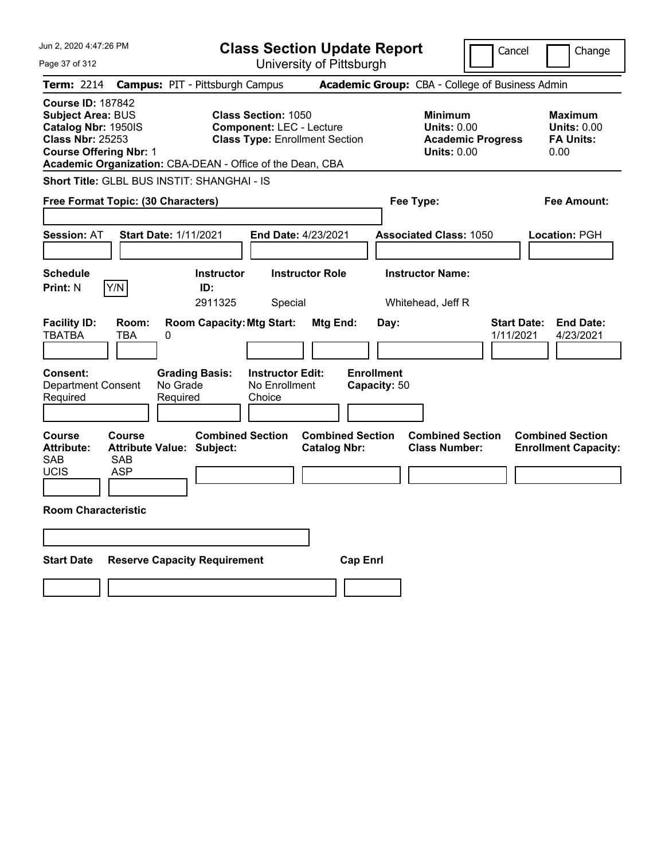| Jun 2, 2020 4:47:26 PM                                                                                                                                                                               |                                                             | <b>Class Section Update Report</b>                                                                     |                                                |                                                                                        | Cancel                          | Change                                                           |
|------------------------------------------------------------------------------------------------------------------------------------------------------------------------------------------------------|-------------------------------------------------------------|--------------------------------------------------------------------------------------------------------|------------------------------------------------|----------------------------------------------------------------------------------------|---------------------------------|------------------------------------------------------------------|
| Page 37 of 312                                                                                                                                                                                       |                                                             | University of Pittsburgh                                                                               |                                                |                                                                                        |                                 |                                                                  |
| Term: 2214                                                                                                                                                                                           | <b>Campus: PIT - Pittsburgh Campus</b>                      |                                                                                                        |                                                | Academic Group: CBA - College of Business Admin                                        |                                 |                                                                  |
| <b>Course ID: 187842</b><br><b>Subject Area: BUS</b><br>Catalog Nbr: 1950IS<br><b>Class Nbr: 25253</b><br><b>Course Offering Nbr: 1</b><br>Academic Organization: CBA-DEAN - Office of the Dean, CBA |                                                             | <b>Class Section: 1050</b><br><b>Component: LEC - Lecture</b><br><b>Class Type: Enrollment Section</b> |                                                | <b>Minimum</b><br><b>Units: 0.00</b><br><b>Academic Progress</b><br><b>Units: 0.00</b> |                                 | <b>Maximum</b><br><b>Units: 0.00</b><br><b>FA Units:</b><br>0.00 |
| <b>Short Title: GLBL BUS INSTIT: SHANGHAI - IS</b>                                                                                                                                                   |                                                             |                                                                                                        |                                                |                                                                                        |                                 |                                                                  |
| Free Format Topic: (30 Characters)                                                                                                                                                                   |                                                             |                                                                                                        |                                                | Fee Type:                                                                              |                                 | Fee Amount:                                                      |
| <b>Session: AT</b>                                                                                                                                                                                   | <b>Start Date: 1/11/2021</b>                                | End Date: 4/23/2021                                                                                    |                                                | <b>Associated Class: 1050</b>                                                          |                                 | <b>Location: PGH</b>                                             |
| <b>Schedule</b><br>Y/N<br><b>Print: N</b>                                                                                                                                                            | <b>Instructor</b><br>ID:<br>2911325                         | <b>Instructor Role</b><br>Special                                                                      |                                                | <b>Instructor Name:</b><br>Whitehead, Jeff R                                           |                                 |                                                                  |
| <b>Facility ID:</b><br>Room:<br>TBATBA<br>TBA                                                                                                                                                        | <b>Room Capacity: Mtg Start:</b><br>0                       |                                                                                                        | Mtg End:<br>Day:                               |                                                                                        | <b>Start Date:</b><br>1/11/2021 | <b>End Date:</b><br>4/23/2021                                    |
| <b>Consent:</b><br><b>Department Consent</b><br>Required                                                                                                                                             | <b>Grading Basis:</b><br>No Grade<br>Required               | <b>Instructor Edit:</b><br>No Enrollment<br>Choice                                                     | <b>Enrollment</b><br>Capacity: 50              |                                                                                        |                                 |                                                                  |
| <b>Course</b><br><b>Course</b><br><b>Attribute:</b><br>SAB<br><b>SAB</b><br><b>UCIS</b><br><b>ASP</b>                                                                                                | <b>Combined Section</b><br><b>Attribute Value: Subject:</b> |                                                                                                        | <b>Combined Section</b><br><b>Catalog Nbr:</b> | <b>Combined Section</b><br><b>Class Number:</b>                                        |                                 | <b>Combined Section</b><br><b>Enrollment Capacity:</b>           |
| <b>Room Characteristic</b>                                                                                                                                                                           |                                                             |                                                                                                        |                                                |                                                                                        |                                 |                                                                  |
|                                                                                                                                                                                                      |                                                             |                                                                                                        |                                                |                                                                                        |                                 |                                                                  |
| <b>Start Date</b>                                                                                                                                                                                    | <b>Reserve Capacity Requirement</b>                         |                                                                                                        | <b>Cap Enrl</b>                                |                                                                                        |                                 |                                                                  |
|                                                                                                                                                                                                      |                                                             |                                                                                                        |                                                |                                                                                        |                                 |                                                                  |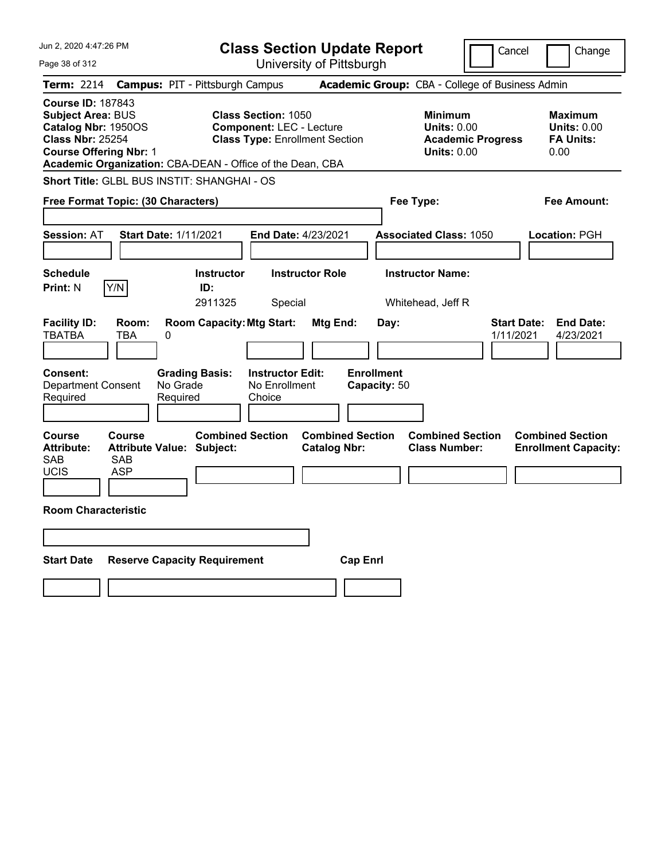| Jun 2, 2020 4:47:26 PM                                                                                                                                                                        | <b>Class Section Update Report</b>                                                                     |                                                                            | Cancel                          | Change                                                           |
|-----------------------------------------------------------------------------------------------------------------------------------------------------------------------------------------------|--------------------------------------------------------------------------------------------------------|----------------------------------------------------------------------------|---------------------------------|------------------------------------------------------------------|
| Page 38 of 312                                                                                                                                                                                | University of Pittsburgh                                                                               |                                                                            |                                 |                                                                  |
| Term: 2214                                                                                                                                                                                    | <b>Campus: PIT - Pittsburgh Campus</b>                                                                 | Academic Group: CBA - College of Business Admin                            |                                 |                                                                  |
| <b>Course ID: 187843</b><br>Subject Area: BUS<br>Catalog Nbr: 1950OS<br><b>Class Nbr: 25254</b><br><b>Course Offering Nbr: 1</b><br>Academic Organization: CBA-DEAN - Office of the Dean, CBA | <b>Class Section: 1050</b><br><b>Component: LEC - Lecture</b><br><b>Class Type: Enrollment Section</b> | <b>Minimum</b><br><b>Units: 0.00</b><br><b>Units: 0.00</b>                 | <b>Academic Progress</b>        | <b>Maximum</b><br><b>Units: 0.00</b><br><b>FA Units:</b><br>0.00 |
| Short Title: GLBL BUS INSTIT: SHANGHAI - OS                                                                                                                                                   |                                                                                                        |                                                                            |                                 |                                                                  |
| Free Format Topic: (30 Characters)                                                                                                                                                            |                                                                                                        | Fee Type:                                                                  |                                 | Fee Amount:                                                      |
| <b>Start Date: 1/11/2021</b><br><b>Session: AT</b>                                                                                                                                            | <b>End Date: 4/23/2021</b>                                                                             | <b>Associated Class: 1050</b>                                              |                                 | Location: PGH                                                    |
| <b>Schedule</b><br>Y/N<br><b>Print: N</b>                                                                                                                                                     | <b>Instructor</b><br><b>Instructor Role</b><br>ID:<br>2911325<br>Special                               | <b>Instructor Name:</b><br>Whitehead, Jeff R                               |                                 |                                                                  |
| <b>Facility ID:</b><br>Room:<br><b>TBATBA</b><br>TBA<br>0                                                                                                                                     | <b>Room Capacity: Mtg Start:</b>                                                                       | <b>Mtg End:</b><br>Day:                                                    | <b>Start Date:</b><br>1/11/2021 | <b>End Date:</b><br>4/23/2021                                    |
| <b>Grading Basis:</b><br><b>Consent:</b><br><b>Department Consent</b><br>No Grade<br>Required<br>Required                                                                                     | <b>Instructor Edit:</b><br>No Enrollment<br>Choice                                                     | <b>Enrollment</b><br>Capacity: 50                                          |                                 |                                                                  |
| <b>Course</b><br><b>Course</b><br><b>Attribute:</b><br><b>Attribute Value: Subject:</b><br>SAB<br>SAB<br><b>UCIS</b><br><b>ASP</b>                                                            | <b>Combined Section</b><br><b>Catalog Nbr:</b>                                                         | <b>Combined Section</b><br><b>Combined Section</b><br><b>Class Number:</b> |                                 | <b>Combined Section</b><br><b>Enrollment Capacity:</b>           |
| <b>Room Characteristic</b>                                                                                                                                                                    |                                                                                                        |                                                                            |                                 |                                                                  |
|                                                                                                                                                                                               |                                                                                                        |                                                                            |                                 |                                                                  |
| <b>Start Date</b><br><b>Reserve Capacity Requirement</b>                                                                                                                                      |                                                                                                        | <b>Cap Enrl</b>                                                            |                                 |                                                                  |
|                                                                                                                                                                                               |                                                                                                        |                                                                            |                                 |                                                                  |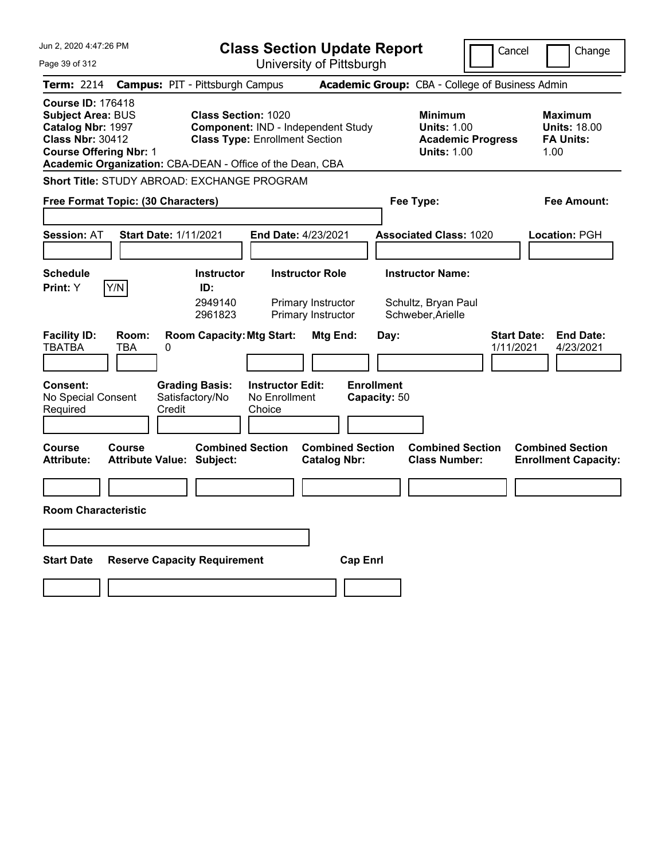| Jun 2, 2020 4:47:26 PM                                                                                                                | <b>Class Section Update Report</b>                                                                                                                                     |                                                                     | Cancel                                                               | Change                                                            |
|---------------------------------------------------------------------------------------------------------------------------------------|------------------------------------------------------------------------------------------------------------------------------------------------------------------------|---------------------------------------------------------------------|----------------------------------------------------------------------|-------------------------------------------------------------------|
| Page 39 of 312                                                                                                                        | University of Pittsburgh                                                                                                                                               |                                                                     |                                                                      |                                                                   |
| Term: 2214                                                                                                                            | <b>Campus: PIT - Pittsburgh Campus</b>                                                                                                                                 | Academic Group: CBA - College of Business Admin                     |                                                                      |                                                                   |
| <b>Course ID: 176418</b><br><b>Subject Area: BUS</b><br>Catalog Nbr: 1997<br><b>Class Nbr: 30412</b><br><b>Course Offering Nbr: 1</b> | <b>Class Section: 1020</b><br>Component: IND - Independent Study<br><b>Class Type: Enrollment Section</b><br>Academic Organization: CBA-DEAN - Office of the Dean, CBA | <b>Minimum</b>                                                      | <b>Units: 1.00</b><br><b>Academic Progress</b><br><b>Units: 1.00</b> | <b>Maximum</b><br><b>Units: 18.00</b><br><b>FA Units:</b><br>1.00 |
| Short Title: STUDY ABROAD: EXCHANGE PROGRAM                                                                                           |                                                                                                                                                                        |                                                                     |                                                                      |                                                                   |
| Free Format Topic: (30 Characters)                                                                                                    |                                                                                                                                                                        | Fee Type:                                                           |                                                                      | Fee Amount:                                                       |
| <b>Session: AT</b><br>Start Date: 1/11/2021                                                                                           | <b>End Date: 4/23/2021</b>                                                                                                                                             | <b>Associated Class: 1020</b>                                       |                                                                      | Location: PGH                                                     |
| <b>Schedule</b><br>Y/N<br>Print: Y                                                                                                    | <b>Instructor Role</b><br><b>Instructor</b><br>ID:<br>2949140<br>Primary Instructor<br>Primary Instructor<br>2961823                                                   | <b>Instructor Name:</b><br>Schultz, Bryan Paul<br>Schweber, Arielle |                                                                      |                                                                   |
| <b>Facility ID:</b><br>Room:<br><b>TBATBA</b><br>TBA<br>0                                                                             | <b>Room Capacity: Mtg Start:</b>                                                                                                                                       | Mtg End:<br>Day:                                                    | <b>Start Date:</b><br>1/11/2021                                      | <b>End Date:</b><br>4/23/2021                                     |
| <b>Consent:</b><br>No Special Consent<br>Credit<br>Required                                                                           | <b>Grading Basis:</b><br><b>Instructor Edit:</b><br>Satisfactory/No<br>No Enrollment<br>Choice                                                                         | <b>Enrollment</b><br>Capacity: 50                                   |                                                                      |                                                                   |
| <b>Course</b><br>Course<br><b>Attribute:</b><br><b>Attribute Value: Subject:</b>                                                      | <b>Combined Section</b>                                                                                                                                                | <b>Combined Section</b><br><b>Catalog Nbr:</b>                      | <b>Combined Section</b><br><b>Class Number:</b>                      | <b>Combined Section</b><br><b>Enrollment Capacity:</b>            |
|                                                                                                                                       |                                                                                                                                                                        |                                                                     |                                                                      |                                                                   |
| <b>Room Characteristic</b>                                                                                                            |                                                                                                                                                                        |                                                                     |                                                                      |                                                                   |
|                                                                                                                                       |                                                                                                                                                                        |                                                                     |                                                                      |                                                                   |
| <b>Start Date</b>                                                                                                                     | <b>Reserve Capacity Requirement</b>                                                                                                                                    | <b>Cap Enri</b>                                                     |                                                                      |                                                                   |
|                                                                                                                                       |                                                                                                                                                                        |                                                                     |                                                                      |                                                                   |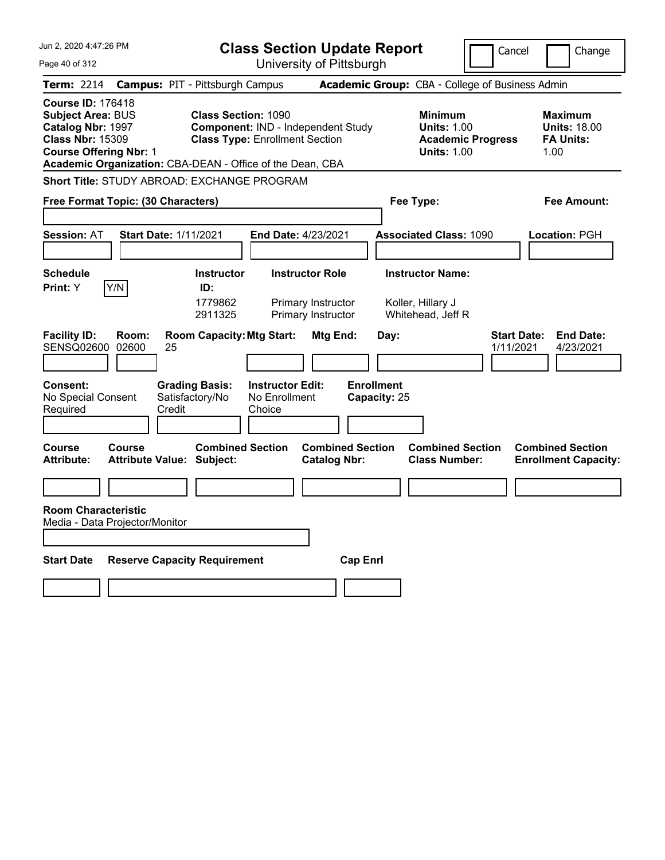| Jun 2, 2020 4:47:26 PM                                                                                                                                                                             |                                                             | <b>Class Section Update Report</b>                                          |                                                |                                   |                                                                                        | Cancel                          | Change                                                            |
|----------------------------------------------------------------------------------------------------------------------------------------------------------------------------------------------------|-------------------------------------------------------------|-----------------------------------------------------------------------------|------------------------------------------------|-----------------------------------|----------------------------------------------------------------------------------------|---------------------------------|-------------------------------------------------------------------|
| Page 40 of 312                                                                                                                                                                                     |                                                             |                                                                             | University of Pittsburgh                       |                                   |                                                                                        |                                 |                                                                   |
| <b>Term: 2214</b>                                                                                                                                                                                  | <b>Campus: PIT - Pittsburgh Campus</b>                      |                                                                             |                                                |                                   | Academic Group: CBA - College of Business Admin                                        |                                 |                                                                   |
| <b>Course ID: 176418</b><br><b>Subject Area: BUS</b><br>Catalog Nbr: 1997<br><b>Class Nbr: 15309</b><br><b>Course Offering Nbr: 1</b><br>Academic Organization: CBA-DEAN - Office of the Dean, CBA | <b>Class Section: 1090</b>                                  | Component: IND - Independent Study<br><b>Class Type: Enrollment Section</b> |                                                |                                   | <b>Minimum</b><br><b>Units: 1.00</b><br><b>Academic Progress</b><br><b>Units: 1.00</b> |                                 | <b>Maximum</b><br><b>Units: 18.00</b><br><b>FA Units:</b><br>1.00 |
| <b>Short Title: STUDY ABROAD: EXCHANGE PROGRAM</b>                                                                                                                                                 |                                                             |                                                                             |                                                |                                   |                                                                                        |                                 |                                                                   |
| Free Format Topic: (30 Characters)                                                                                                                                                                 |                                                             |                                                                             |                                                |                                   | Fee Type:                                                                              |                                 | Fee Amount:                                                       |
| <b>Session: AT</b>                                                                                                                                                                                 | <b>Start Date: 1/11/2021</b>                                | <b>End Date: 4/23/2021</b>                                                  |                                                |                                   | <b>Associated Class: 1090</b>                                                          |                                 | Location: PGH                                                     |
| <b>Schedule</b><br>Y/N<br>Print: Y                                                                                                                                                                 | <b>Instructor</b><br>ID:<br>1779862<br>2911325              | <b>Instructor Role</b>                                                      | Primary Instructor<br>Primary Instructor       |                                   | <b>Instructor Name:</b><br>Koller, Hillary J<br>Whitehead, Jeff R                      |                                 |                                                                   |
| <b>Facility ID:</b><br>Room:<br><b>SENSQ02600</b><br>02600                                                                                                                                         | <b>Room Capacity: Mtg Start:</b><br>25                      |                                                                             | <b>Mtg End:</b>                                | Day:                              |                                                                                        | <b>Start Date:</b><br>1/11/2021 | <b>End Date:</b><br>4/23/2021                                     |
| <b>Consent:</b><br>No Special Consent<br>Required                                                                                                                                                  | <b>Grading Basis:</b><br>Satisfactory/No<br>Credit          | <b>Instructor Edit:</b><br>No Enrollment<br>Choice                          |                                                | <b>Enrollment</b><br>Capacity: 25 |                                                                                        |                                 |                                                                   |
| Course<br><b>Course</b><br><b>Attribute:</b>                                                                                                                                                       | <b>Combined Section</b><br><b>Attribute Value: Subject:</b> |                                                                             | <b>Combined Section</b><br><b>Catalog Nbr:</b> |                                   | <b>Combined Section</b><br><b>Class Number:</b>                                        |                                 | <b>Combined Section</b><br><b>Enrollment Capacity:</b>            |
|                                                                                                                                                                                                    |                                                             |                                                                             |                                                |                                   |                                                                                        |                                 |                                                                   |
| <b>Room Characteristic</b><br>Media - Data Projector/Monitor                                                                                                                                       |                                                             |                                                                             |                                                |                                   |                                                                                        |                                 |                                                                   |
| <b>Start Date</b>                                                                                                                                                                                  | <b>Reserve Capacity Requirement</b>                         |                                                                             | <b>Cap Enrl</b>                                |                                   |                                                                                        |                                 |                                                                   |
|                                                                                                                                                                                                    |                                                             |                                                                             |                                                |                                   |                                                                                        |                                 |                                                                   |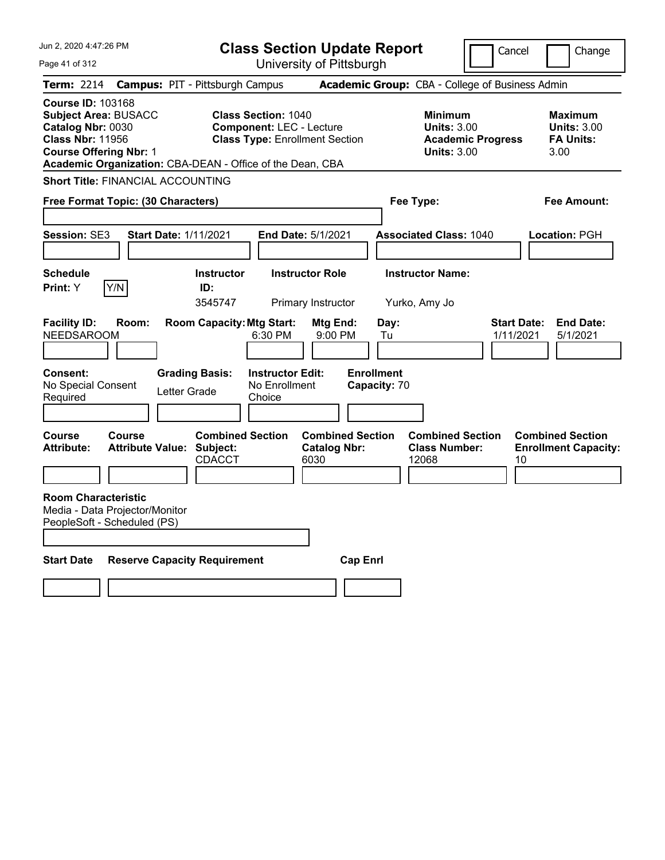| Jun 2, 2020 4:47:26 PM                                                                                                                   |                                                                                                                                                                     | <b>Class Section Update Report</b>                     |                                                                                        | Cancel<br>Change                                                 |
|------------------------------------------------------------------------------------------------------------------------------------------|---------------------------------------------------------------------------------------------------------------------------------------------------------------------|--------------------------------------------------------|----------------------------------------------------------------------------------------|------------------------------------------------------------------|
| Page 41 of 312                                                                                                                           |                                                                                                                                                                     | University of Pittsburgh                               |                                                                                        |                                                                  |
| Term: 2214                                                                                                                               | <b>Campus: PIT - Pittsburgh Campus</b>                                                                                                                              |                                                        | Academic Group: CBA - College of Business Admin                                        |                                                                  |
| <b>Course ID: 103168</b><br><b>Subject Area: BUSACC</b><br>Catalog Nbr: 0030<br><b>Class Nbr: 11956</b><br><b>Course Offering Nbr: 1</b> | <b>Class Section: 1040</b><br><b>Component: LEC - Lecture</b><br><b>Class Type: Enrollment Section</b><br>Academic Organization: CBA-DEAN - Office of the Dean, CBA |                                                        | <b>Minimum</b><br><b>Units: 3.00</b><br><b>Academic Progress</b><br><b>Units: 3.00</b> | <b>Maximum</b><br><b>Units: 3.00</b><br><b>FA Units:</b><br>3.00 |
| <b>Short Title: FINANCIAL ACCOUNTING</b>                                                                                                 |                                                                                                                                                                     |                                                        |                                                                                        |                                                                  |
| Free Format Topic: (30 Characters)                                                                                                       |                                                                                                                                                                     |                                                        | Fee Type:                                                                              | Fee Amount:                                                      |
| Session: SE3                                                                                                                             | <b>Start Date: 1/11/2021</b>                                                                                                                                        | <b>End Date: 5/1/2021</b>                              | <b>Associated Class: 1040</b>                                                          | Location: PGH                                                    |
| <b>Schedule</b><br>Y/N<br>Print: Y                                                                                                       | <b>Instructor</b><br>ID:<br>3545747                                                                                                                                 | <b>Instructor Role</b><br><b>Primary Instructor</b>    | <b>Instructor Name:</b><br>Yurko, Amy Jo                                               |                                                                  |
| <b>Facility ID:</b><br>Room:<br><b>NEEDSAROOM</b>                                                                                        | <b>Room Capacity: Mtg Start:</b><br>6:30 PM                                                                                                                         | Mtg End:<br>$9:00$ PM                                  | Day:<br>Tu                                                                             | <b>Start Date:</b><br><b>End Date:</b><br>1/11/2021<br>5/1/2021  |
| <b>Consent:</b><br>No Special Consent<br>Required                                                                                        | <b>Grading Basis:</b><br><b>Instructor Edit:</b><br>No Enrollment<br>Letter Grade<br>Choice                                                                         |                                                        | <b>Enrollment</b><br>Capacity: 70                                                      |                                                                  |
| Course<br><b>Course</b><br><b>Attribute:</b>                                                                                             | <b>Combined Section</b><br><b>Attribute Value: Subject:</b><br><b>CDACCT</b>                                                                                        | <b>Combined Section</b><br><b>Catalog Nbr:</b><br>6030 | <b>Combined Section</b><br><b>Class Number:</b><br>12068                               | <b>Combined Section</b><br><b>Enrollment Capacity:</b><br>10     |
| <b>Room Characteristic</b><br>Media - Data Projector/Monitor<br>PeopleSoft - Scheduled (PS)<br><b>Start Date</b>                         | <b>Reserve Capacity Requirement</b>                                                                                                                                 | <b>Cap Enrl</b>                                        |                                                                                        |                                                                  |
|                                                                                                                                          |                                                                                                                                                                     |                                                        |                                                                                        |                                                                  |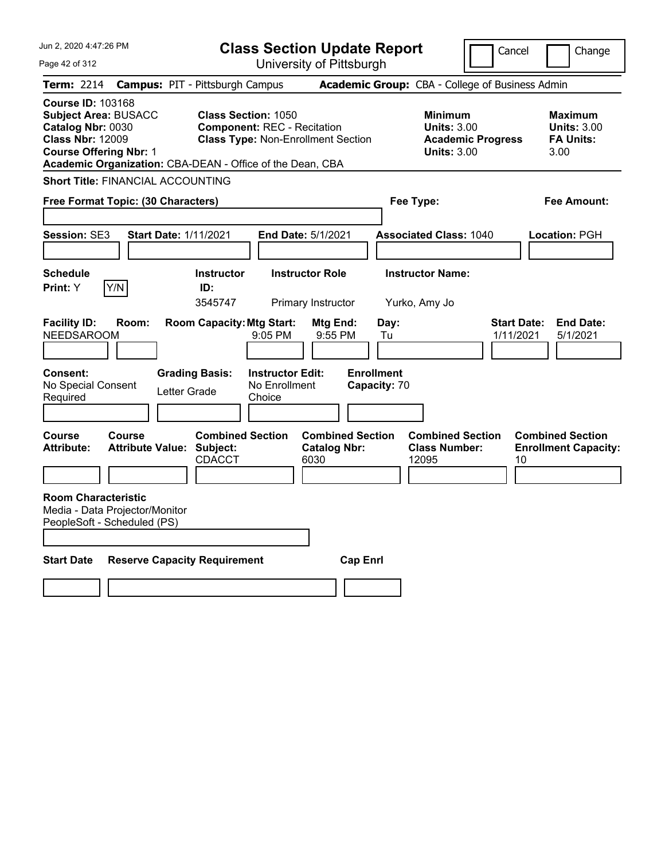| Jun 2, 2020 4:47:26 PM<br>Page 42 of 312                                                                                                                                                              | <b>Class Section Update Report</b><br>University of Pittsburgh                                                |                                                                                        | Cancel<br>Change                                                 |
|-------------------------------------------------------------------------------------------------------------------------------------------------------------------------------------------------------|---------------------------------------------------------------------------------------------------------------|----------------------------------------------------------------------------------------|------------------------------------------------------------------|
| <b>Term: 2214</b>                                                                                                                                                                                     | <b>Campus: PIT - Pittsburgh Campus</b>                                                                        | Academic Group: CBA - College of Business Admin                                        |                                                                  |
| <b>Course ID: 103168</b><br><b>Subject Area: BUSACC</b><br>Catalog Nbr: 0030<br><b>Class Nbr: 12009</b><br><b>Course Offering Nbr: 1</b><br>Academic Organization: CBA-DEAN - Office of the Dean, CBA | <b>Class Section: 1050</b><br><b>Component: REC - Recitation</b><br><b>Class Type: Non-Enrollment Section</b> | <b>Minimum</b><br><b>Units: 3.00</b><br><b>Academic Progress</b><br><b>Units: 3.00</b> | <b>Maximum</b><br><b>Units: 3.00</b><br><b>FA Units:</b><br>3.00 |
| <b>Short Title: FINANCIAL ACCOUNTING</b>                                                                                                                                                              |                                                                                                               |                                                                                        |                                                                  |
| Free Format Topic: (30 Characters)                                                                                                                                                                    |                                                                                                               | Fee Type:                                                                              | Fee Amount:                                                      |
| Session: SE3<br><b>Start Date: 1/11/2021</b>                                                                                                                                                          | End Date: 5/1/2021                                                                                            | <b>Associated Class: 1040</b>                                                          | Location: PGH                                                    |
| <b>Schedule</b><br>Y/N<br>Print: Y                                                                                                                                                                    | <b>Instructor Role</b><br><b>Instructor</b><br>ID:<br>3545747<br>Primary Instructor                           | <b>Instructor Name:</b><br>Yurko, Amy Jo                                               |                                                                  |
| <b>Facility ID:</b><br>Room:<br><b>NEEDSAROOM</b>                                                                                                                                                     | <b>Room Capacity: Mtg Start:</b><br>Mtg End:<br>$9:05$ PM<br>9:55 PM                                          | Day:<br>Tu                                                                             | <b>End Date:</b><br><b>Start Date:</b><br>1/11/2021<br>5/1/2021  |
| Consent:<br>No Special Consent<br>Letter Grade<br>Required                                                                                                                                            | <b>Grading Basis:</b><br><b>Instructor Edit:</b><br>No Enrollment<br>Choice                                   | <b>Enrollment</b><br>Capacity: 70                                                      |                                                                  |
| Course<br>Course<br><b>Attribute Value: Subject:</b><br><b>Attribute:</b>                                                                                                                             | <b>Combined Section</b><br><b>Combined Section</b><br><b>Catalog Nbr:</b><br>CDACCT<br>6030                   | <b>Combined Section</b><br><b>Class Number:</b><br>12095                               | <b>Combined Section</b><br><b>Enrollment Capacity:</b><br>10     |
| <b>Room Characteristic</b><br>Media - Data Projector/Monitor<br>PeopleSoft - Scheduled (PS)                                                                                                           |                                                                                                               |                                                                                        |                                                                  |
| <b>Start Date</b><br><b>Reserve Capacity Requirement</b>                                                                                                                                              |                                                                                                               | <b>Cap Enrl</b>                                                                        |                                                                  |
|                                                                                                                                                                                                       |                                                                                                               |                                                                                        |                                                                  |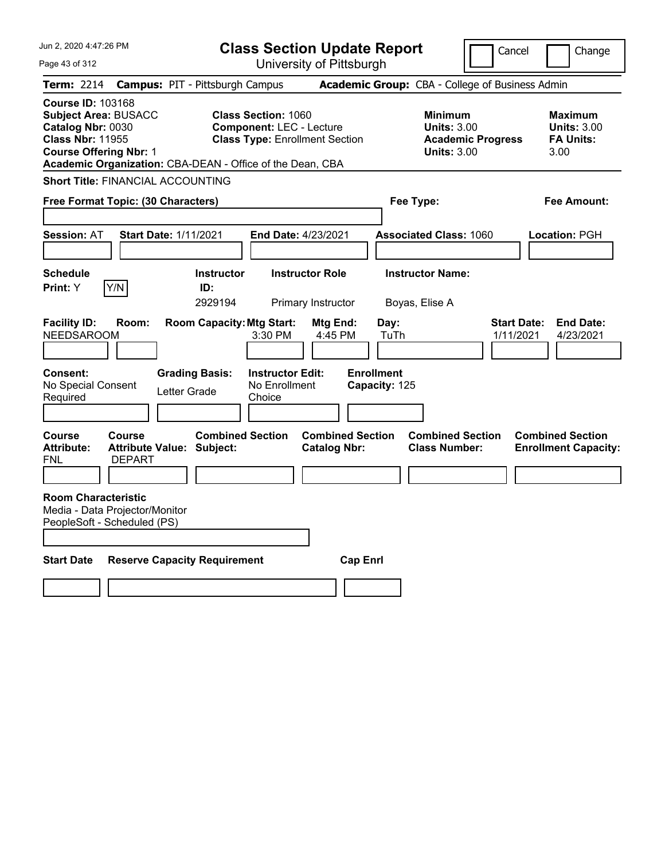| Jun 2, 2020 4:47:26 PM                                                                                                                                                                                |                                                                    |                                  |                                                               | <b>Class Section Update Report</b>             |                                    |                                                                                        | Cancel                          | Change                                                    |
|-------------------------------------------------------------------------------------------------------------------------------------------------------------------------------------------------------|--------------------------------------------------------------------|----------------------------------|---------------------------------------------------------------|------------------------------------------------|------------------------------------|----------------------------------------------------------------------------------------|---------------------------------|-----------------------------------------------------------|
| Page 43 of 312                                                                                                                                                                                        |                                                                    |                                  |                                                               | University of Pittsburgh                       |                                    |                                                                                        |                                 |                                                           |
| Term: 2214                                                                                                                                                                                            | <b>Campus: PIT - Pittsburgh Campus</b>                             |                                  |                                                               |                                                |                                    | Academic Group: CBA - College of Business Admin                                        |                                 |                                                           |
| <b>Course ID: 103168</b><br><b>Subject Area: BUSACC</b><br>Catalog Nbr: 0030<br><b>Class Nbr: 11955</b><br><b>Course Offering Nbr: 1</b><br>Academic Organization: CBA-DEAN - Office of the Dean, CBA |                                                                    |                                  | <b>Class Section: 1060</b><br><b>Component: LEC - Lecture</b> | <b>Class Type: Enrollment Section</b>          |                                    | <b>Minimum</b><br><b>Units: 3.00</b><br><b>Academic Progress</b><br><b>Units: 3.00</b> |                                 | Maximum<br><b>Units: 3.00</b><br><b>FA Units:</b><br>3.00 |
| <b>Short Title: FINANCIAL ACCOUNTING</b>                                                                                                                                                              |                                                                    |                                  |                                                               |                                                |                                    |                                                                                        |                                 |                                                           |
| Free Format Topic: (30 Characters)                                                                                                                                                                    |                                                                    |                                  |                                                               |                                                | Fee Type:                          |                                                                                        |                                 | Fee Amount:                                               |
| <b>Session: AT</b>                                                                                                                                                                                    | <b>Start Date: 1/11/2021</b>                                       |                                  | <b>End Date: 4/23/2021</b>                                    |                                                |                                    | <b>Associated Class: 1060</b>                                                          |                                 | Location: PGH                                             |
| <b>Schedule</b>                                                                                                                                                                                       |                                                                    | <b>Instructor</b>                |                                                               | <b>Instructor Role</b>                         |                                    | <b>Instructor Name:</b>                                                                |                                 |                                                           |
| Y/N<br>Print: Y                                                                                                                                                                                       |                                                                    | ID:<br>2929194                   |                                                               | Primary Instructor                             | Boyas, Elise A                     |                                                                                        |                                 |                                                           |
| <b>Facility ID:</b><br><b>NEEDSAROOM</b>                                                                                                                                                              | Room:                                                              | <b>Room Capacity: Mtg Start:</b> | 3:30 PM                                                       | Mtg End:<br>4:45 PM                            | Day:<br>TuTh                       |                                                                                        | <b>Start Date:</b><br>1/11/2021 | <b>End Date:</b><br>4/23/2021                             |
| <b>Consent:</b><br>No Special Consent<br>Required                                                                                                                                                     | Letter Grade                                                       | <b>Grading Basis:</b>            | <b>Instructor Edit:</b><br>No Enrollment<br>Choice            |                                                | <b>Enrollment</b><br>Capacity: 125 |                                                                                        |                                 |                                                           |
| <b>Course</b><br><b>Attribute:</b><br>FNL                                                                                                                                                             | <b>Course</b><br><b>Attribute Value: Subject:</b><br><b>DEPART</b> | <b>Combined Section</b>          |                                                               | <b>Combined Section</b><br><b>Catalog Nbr:</b> |                                    | <b>Combined Section</b><br><b>Class Number:</b>                                        |                                 | <b>Combined Section</b><br><b>Enrollment Capacity:</b>    |
| <b>Room Characteristic</b><br>Media - Data Projector/Monitor<br>PeopleSoft - Scheduled (PS)                                                                                                           |                                                                    |                                  |                                                               |                                                |                                    |                                                                                        |                                 |                                                           |
| <b>Start Date</b>                                                                                                                                                                                     | <b>Reserve Capacity Requirement</b>                                |                                  |                                                               | <b>Cap Enrl</b>                                |                                    |                                                                                        |                                 |                                                           |
|                                                                                                                                                                                                       |                                                                    |                                  |                                                               |                                                |                                    |                                                                                        |                                 |                                                           |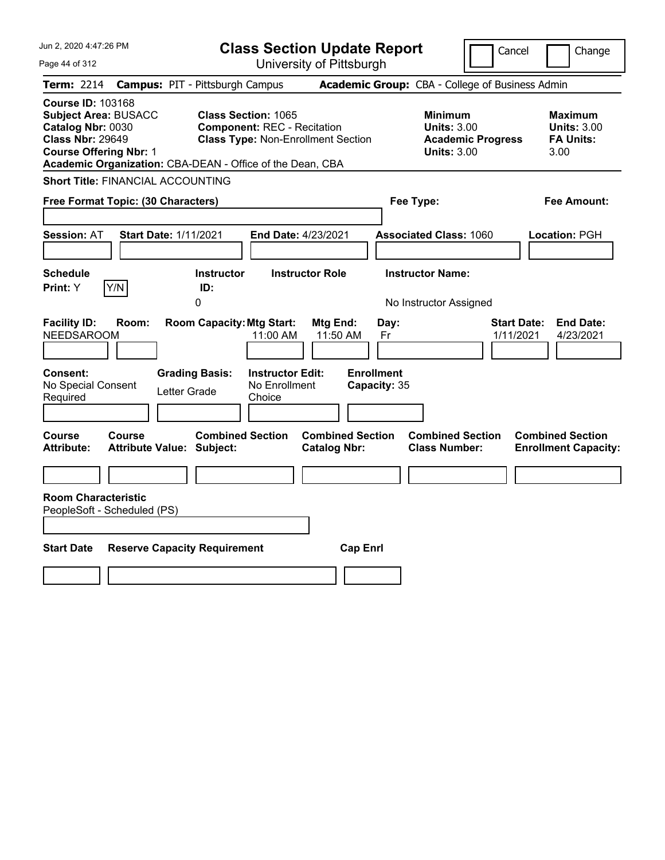| Jun 2, 2020 4:47:26 PM<br>Page 44 of 312                                                                                                                                                              | <b>Class Section Update Report</b>                                                                            | University of Pittsburgh                       |                                                                                        | Change<br>Cancel                                                 |
|-------------------------------------------------------------------------------------------------------------------------------------------------------------------------------------------------------|---------------------------------------------------------------------------------------------------------------|------------------------------------------------|----------------------------------------------------------------------------------------|------------------------------------------------------------------|
| <b>Term: 2214</b>                                                                                                                                                                                     | <b>Campus: PIT - Pittsburgh Campus</b>                                                                        |                                                | Academic Group: CBA - College of Business Admin                                        |                                                                  |
| <b>Course ID: 103168</b><br><b>Subject Area: BUSACC</b><br>Catalog Nbr: 0030<br><b>Class Nbr: 29649</b><br><b>Course Offering Nbr: 1</b><br>Academic Organization: CBA-DEAN - Office of the Dean, CBA | <b>Class Section: 1065</b><br><b>Component: REC - Recitation</b><br><b>Class Type: Non-Enrollment Section</b> |                                                | <b>Minimum</b><br><b>Units: 3.00</b><br><b>Academic Progress</b><br><b>Units: 3.00</b> | <b>Maximum</b><br><b>Units: 3.00</b><br><b>FA Units:</b><br>3.00 |
| <b>Short Title: FINANCIAL ACCOUNTING</b>                                                                                                                                                              |                                                                                                               |                                                |                                                                                        |                                                                  |
| Free Format Topic: (30 Characters)                                                                                                                                                                    |                                                                                                               |                                                | Fee Type:                                                                              | <b>Fee Amount:</b>                                               |
| <b>Session: AT</b><br><b>Start Date: 1/11/2021</b>                                                                                                                                                    | End Date: 4/23/2021                                                                                           |                                                | <b>Associated Class: 1060</b>                                                          | Location: PGH                                                    |
| <b>Schedule</b>                                                                                                                                                                                       | <b>Instructor</b><br><b>Instructor Role</b>                                                                   |                                                | <b>Instructor Name:</b>                                                                |                                                                  |
| Y/N<br><b>Print:</b> Y                                                                                                                                                                                | ID:<br>0                                                                                                      |                                                | No Instructor Assigned                                                                 |                                                                  |
| <b>Facility ID:</b><br>Room:<br><b>NEEDSAROOM</b>                                                                                                                                                     | <b>Room Capacity: Mtg Start:</b><br>11:00 AM                                                                  | Mtg End:<br>Day:<br>11:50 AM<br>Fr             |                                                                                        | <b>Start Date:</b><br><b>End Date:</b><br>1/11/2021<br>4/23/2021 |
| <b>Consent:</b><br>No Special Consent<br>Letter Grade<br>Required                                                                                                                                     | <b>Grading Basis:</b><br><b>Instructor Edit:</b><br>No Enrollment<br>Choice                                   | <b>Enrollment</b><br>Capacity: 35              |                                                                                        |                                                                  |
| <b>Course</b><br><b>Course</b><br><b>Attribute Value: Subject:</b><br><b>Attribute:</b>                                                                                                               | <b>Combined Section</b>                                                                                       | <b>Combined Section</b><br><b>Catalog Nbr:</b> | <b>Combined Section</b><br><b>Class Number:</b>                                        | <b>Combined Section</b><br><b>Enrollment Capacity:</b>           |
|                                                                                                                                                                                                       |                                                                                                               |                                                |                                                                                        |                                                                  |
| <b>Room Characteristic</b><br>PeopleSoft - Scheduled (PS)                                                                                                                                             |                                                                                                               |                                                |                                                                                        |                                                                  |
| <b>Start Date</b><br><b>Reserve Capacity Requirement</b>                                                                                                                                              |                                                                                                               | <b>Cap Enrl</b>                                |                                                                                        |                                                                  |
|                                                                                                                                                                                                       |                                                                                                               |                                                |                                                                                        |                                                                  |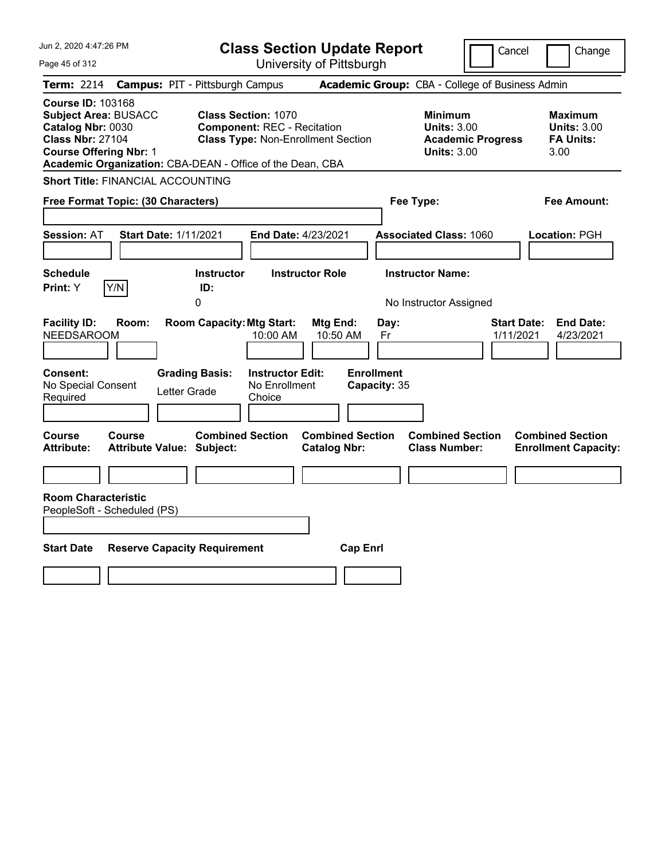| Jun 2, 2020 4:47:26 PM<br>Page 45 of 312                                                                                                                                                              | <b>Class Section Update Report</b><br>University of Pittsburgh                                                |                                                                                                   | Cancel                          | Change                                                           |
|-------------------------------------------------------------------------------------------------------------------------------------------------------------------------------------------------------|---------------------------------------------------------------------------------------------------------------|---------------------------------------------------------------------------------------------------|---------------------------------|------------------------------------------------------------------|
| <b>Term: 2214</b>                                                                                                                                                                                     | <b>Campus: PIT - Pittsburgh Campus</b>                                                                        | Academic Group: CBA - College of Business Admin                                                   |                                 |                                                                  |
| <b>Course ID: 103168</b><br><b>Subject Area: BUSACC</b><br>Catalog Nbr: 0030<br><b>Class Nbr: 27104</b><br><b>Course Offering Nbr: 1</b><br>Academic Organization: CBA-DEAN - Office of the Dean, CBA | <b>Class Section: 1070</b><br><b>Component: REC - Recitation</b><br><b>Class Type: Non-Enrollment Section</b> | <b>Minimum</b><br><b>Units: 3.00</b><br><b>Units: 3.00</b>                                        | <b>Academic Progress</b>        | <b>Maximum</b><br><b>Units: 3.00</b><br><b>FA Units:</b><br>3.00 |
| <b>Short Title: FINANCIAL ACCOUNTING</b><br>Free Format Topic: (30 Characters)                                                                                                                        |                                                                                                               | Fee Type:                                                                                         |                                 | Fee Amount:                                                      |
| <b>Start Date: 1/11/2021</b><br><b>Session: AT</b>                                                                                                                                                    | End Date: 4/23/2021                                                                                           | <b>Associated Class: 1060</b>                                                                     |                                 | Location: PGH                                                    |
| <b>Schedule</b><br>Y/N<br><b>Print:</b> Y                                                                                                                                                             | <b>Instructor</b><br><b>Instructor Role</b><br>ID:<br>0                                                       | <b>Instructor Name:</b><br>No Instructor Assigned                                                 |                                 |                                                                  |
| <b>Facility ID:</b><br>Room:<br>NEEDSAROOM                                                                                                                                                            | <b>Room Capacity: Mtg Start:</b><br>10:00 AM                                                                  | Mtg End:<br>Day:<br>10:50 AM<br>Fr                                                                | <b>Start Date:</b><br>1/11/2021 | <b>End Date:</b><br>4/23/2021                                    |
| Consent:<br>No Special Consent<br>Letter Grade<br>Required                                                                                                                                            | <b>Grading Basis:</b><br><b>Instructor Edit:</b><br>No Enrollment<br>Choice                                   | <b>Enrollment</b><br>Capacity: 35                                                                 |                                 |                                                                  |
| Course<br>Course<br><b>Attribute:</b><br><b>Attribute Value: Subject:</b>                                                                                                                             | <b>Combined Section</b>                                                                                       | <b>Combined Section</b><br><b>Combined Section</b><br><b>Class Number:</b><br><b>Catalog Nbr:</b> |                                 | <b>Combined Section</b><br><b>Enrollment Capacity:</b>           |
| <b>Room Characteristic</b><br>PeopleSoft - Scheduled (PS)                                                                                                                                             |                                                                                                               |                                                                                                   |                                 |                                                                  |
| <b>Start Date</b><br><b>Reserve Capacity Requirement</b>                                                                                                                                              |                                                                                                               | <b>Cap Enrl</b>                                                                                   |                                 |                                                                  |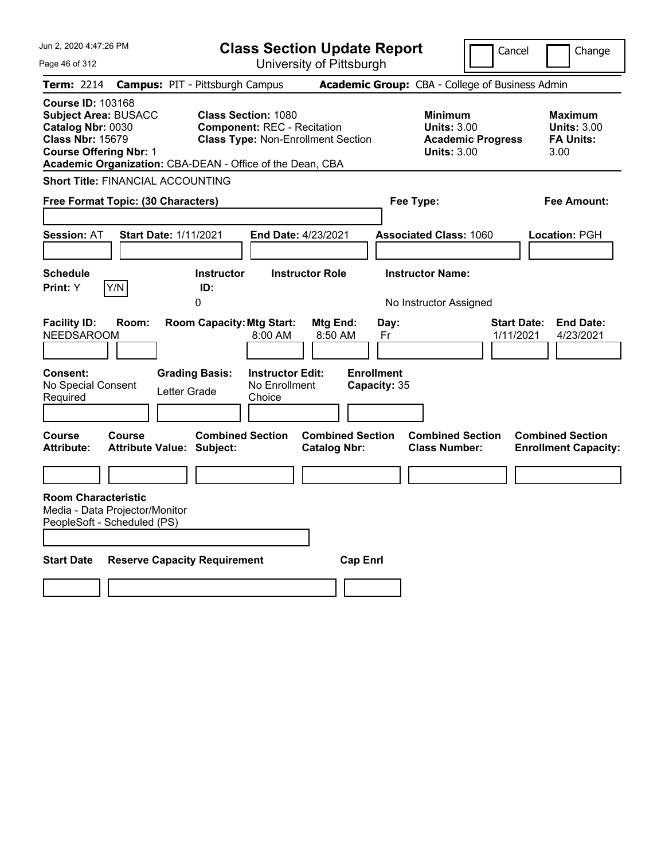| Jun 2, 2020 4:47:26 PM                                                                                                                   | <b>Class Section Update Report</b>                                                                                                                                         |                                                   | Cancel                                                               | Change                                                           |
|------------------------------------------------------------------------------------------------------------------------------------------|----------------------------------------------------------------------------------------------------------------------------------------------------------------------------|---------------------------------------------------|----------------------------------------------------------------------|------------------------------------------------------------------|
| Page 46 of 312                                                                                                                           | University of Pittsburgh                                                                                                                                                   |                                                   |                                                                      |                                                                  |
| Term: 2214                                                                                                                               | <b>Campus: PIT - Pittsburgh Campus</b>                                                                                                                                     | Academic Group: CBA - College of Business Admin   |                                                                      |                                                                  |
| <b>Course ID: 103168</b><br><b>Subject Area: BUSACC</b><br>Catalog Nbr: 0030<br><b>Class Nbr: 15679</b><br><b>Course Offering Nbr: 1</b> | <b>Class Section: 1080</b><br><b>Component: REC - Recitation</b><br><b>Class Type: Non-Enrollment Section</b><br>Academic Organization: CBA-DEAN - Office of the Dean, CBA | <b>Minimum</b>                                    | <b>Units: 3.00</b><br><b>Academic Progress</b><br><b>Units: 3.00</b> | <b>Maximum</b><br><b>Units: 3.00</b><br><b>FA Units:</b><br>3.00 |
| <b>Short Title: FINANCIAL ACCOUNTING</b>                                                                                                 |                                                                                                                                                                            |                                                   |                                                                      |                                                                  |
| Free Format Topic: (30 Characters)                                                                                                       |                                                                                                                                                                            | Fee Type:                                         |                                                                      | Fee Amount:                                                      |
| <b>Session: AT</b><br><b>Start Date: 1/11/2021</b>                                                                                       | End Date: 4/23/2021                                                                                                                                                        | <b>Associated Class: 1060</b>                     |                                                                      | Location: PGH                                                    |
| <b>Schedule</b><br>Y/N<br>Print: Y                                                                                                       | <b>Instructor Role</b><br><b>Instructor</b><br>ID:<br>0                                                                                                                    | <b>Instructor Name:</b><br>No Instructor Assigned |                                                                      |                                                                  |
| <b>Facility ID:</b><br>Room:<br><b>NEEDSAROOM</b>                                                                                        | <b>Room Capacity: Mtg Start:</b><br>Mtg End:<br>8:00 AM                                                                                                                    | Day:<br>8:50 AM<br>Fr                             | <b>Start Date:</b><br>1/11/2021                                      | <b>End Date:</b><br>4/23/2021                                    |
| <b>Consent:</b><br>No Special Consent<br>Required                                                                                        | <b>Grading Basis:</b><br><b>Instructor Edit:</b><br>No Enrollment<br>Letter Grade<br>Choice                                                                                | <b>Enrollment</b><br>Capacity: 35                 |                                                                      |                                                                  |
| Course<br><b>Course</b><br><b>Attribute:</b><br><b>Attribute Value: Subject:</b>                                                         | <b>Combined Section</b><br><b>Catalog Nbr:</b>                                                                                                                             | <b>Combined Section</b><br><b>Class Number:</b>   | <b>Combined Section</b>                                              | <b>Combined Section</b><br><b>Enrollment Capacity:</b>           |
|                                                                                                                                          |                                                                                                                                                                            |                                                   |                                                                      |                                                                  |
| <b>Room Characteristic</b><br>Media - Data Projector/Monitor<br>PeopleSoft - Scheduled (PS)                                              |                                                                                                                                                                            |                                                   |                                                                      |                                                                  |
| <b>Start Date</b>                                                                                                                        | <b>Reserve Capacity Requirement</b>                                                                                                                                        | <b>Cap Enrl</b>                                   |                                                                      |                                                                  |
|                                                                                                                                          |                                                                                                                                                                            |                                                   |                                                                      |                                                                  |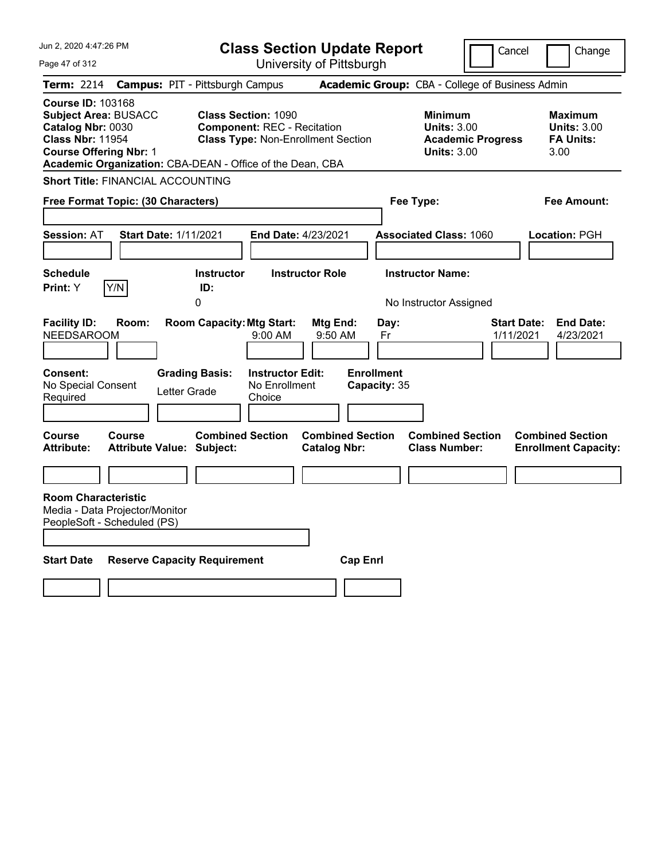| Jun 2, 2020 4:47:26 PM                                                                                                                                                                                | <b>Class Section Update Report</b>                                                                            |                                                            | Cancel                          | Change                                                           |
|-------------------------------------------------------------------------------------------------------------------------------------------------------------------------------------------------------|---------------------------------------------------------------------------------------------------------------|------------------------------------------------------------|---------------------------------|------------------------------------------------------------------|
| Page 47 of 312                                                                                                                                                                                        | University of Pittsburgh                                                                                      |                                                            |                                 |                                                                  |
| <b>Term: 2214</b>                                                                                                                                                                                     | <b>Campus: PIT - Pittsburgh Campus</b>                                                                        | Academic Group: CBA - College of Business Admin            |                                 |                                                                  |
| <b>Course ID: 103168</b><br><b>Subject Area: BUSACC</b><br>Catalog Nbr: 0030<br><b>Class Nbr: 11954</b><br><b>Course Offering Nbr: 1</b><br>Academic Organization: CBA-DEAN - Office of the Dean, CBA | <b>Class Section: 1090</b><br><b>Component: REC - Recitation</b><br><b>Class Type: Non-Enrollment Section</b> | <b>Minimum</b><br><b>Units: 3.00</b><br><b>Units: 3.00</b> | <b>Academic Progress</b>        | <b>Maximum</b><br><b>Units: 3.00</b><br><b>FA Units:</b><br>3.00 |
| <b>Short Title: FINANCIAL ACCOUNTING</b>                                                                                                                                                              |                                                                                                               |                                                            |                                 |                                                                  |
| Free Format Topic: (30 Characters)                                                                                                                                                                    |                                                                                                               | Fee Type:                                                  |                                 | Fee Amount:                                                      |
| <b>Session: AT</b><br><b>Start Date: 1/11/2021</b>                                                                                                                                                    | End Date: 4/23/2021                                                                                           | <b>Associated Class: 1060</b>                              |                                 | Location: PGH                                                    |
| <b>Schedule</b><br>Print: Y<br>Y/N                                                                                                                                                                    | <b>Instructor Role</b><br><b>Instructor</b><br>ID:<br>0                                                       | <b>Instructor Name:</b><br>No Instructor Assigned          |                                 |                                                                  |
| <b>Facility ID:</b><br>Room:<br><b>NEEDSAROOM</b>                                                                                                                                                     | Room Capacity: Mtg Start:<br>Mtg End:<br>$9:00$ AM                                                            | Day:<br>$9:50$ AM<br>Fr                                    | <b>Start Date:</b><br>1/11/2021 | <b>End Date:</b><br>4/23/2021                                    |
| <b>Consent:</b><br>No Special Consent<br>Letter Grade<br>Required                                                                                                                                     | <b>Grading Basis:</b><br><b>Instructor Edit:</b><br>No Enrollment<br>Choice                                   | <b>Enrollment</b><br>Capacity: 35                          |                                 |                                                                  |
| Course<br><b>Course</b><br><b>Attribute:</b><br><b>Attribute Value: Subject:</b>                                                                                                                      | <b>Combined Section</b><br><b>Catalog Nbr:</b>                                                                | <b>Combined Section</b><br><b>Class Number:</b>            | <b>Combined Section</b>         | <b>Combined Section</b><br><b>Enrollment Capacity:</b>           |
|                                                                                                                                                                                                       |                                                                                                               |                                                            |                                 |                                                                  |
| <b>Room Characteristic</b><br>Media - Data Projector/Monitor<br>PeopleSoft - Scheduled (PS)                                                                                                           |                                                                                                               |                                                            |                                 |                                                                  |
| <b>Start Date</b><br><b>Reserve Capacity Requirement</b>                                                                                                                                              |                                                                                                               | <b>Cap Enri</b>                                            |                                 |                                                                  |
|                                                                                                                                                                                                       |                                                                                                               |                                                            |                                 |                                                                  |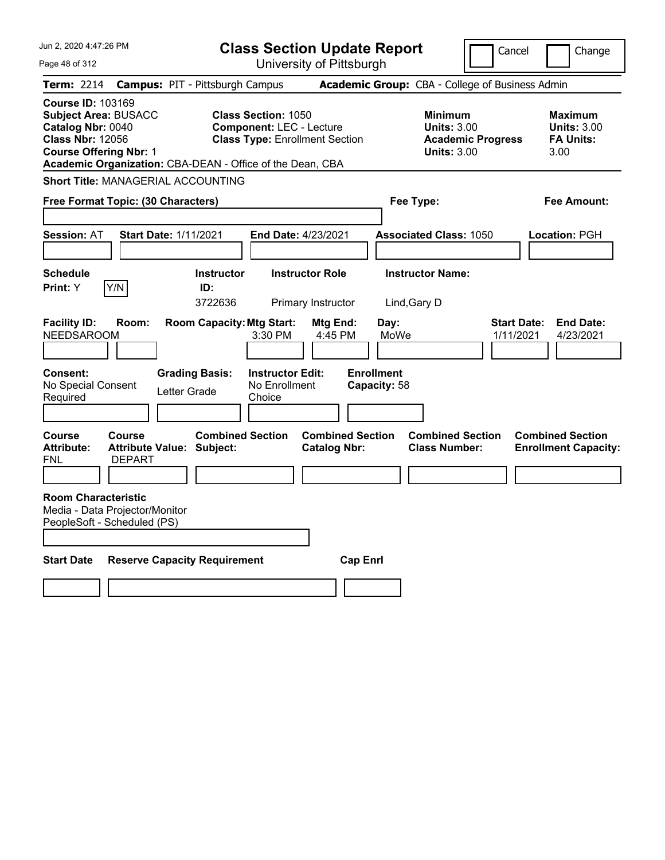| Jun 2, 2020 4:47:26 PM                                                                                                                                                                                |                                                             |                                     | <b>Class Section Update Report</b>                                                                     |                                                |                                   |                                                            | Cancel                                          | Change                                                           |
|-------------------------------------------------------------------------------------------------------------------------------------------------------------------------------------------------------|-------------------------------------------------------------|-------------------------------------|--------------------------------------------------------------------------------------------------------|------------------------------------------------|-----------------------------------|------------------------------------------------------------|-------------------------------------------------|------------------------------------------------------------------|
| Page 48 of 312                                                                                                                                                                                        |                                                             |                                     |                                                                                                        | University of Pittsburgh                       |                                   |                                                            |                                                 |                                                                  |
| Term: 2214                                                                                                                                                                                            | <b>Campus: PIT - Pittsburgh Campus</b>                      |                                     |                                                                                                        |                                                |                                   |                                                            | Academic Group: CBA - College of Business Admin |                                                                  |
| <b>Course ID: 103169</b><br><b>Subject Area: BUSACC</b><br>Catalog Nbr: 0040<br><b>Class Nbr: 12056</b><br><b>Course Offering Nbr: 1</b><br>Academic Organization: CBA-DEAN - Office of the Dean, CBA |                                                             |                                     | <b>Class Section: 1050</b><br><b>Component: LEC - Lecture</b><br><b>Class Type: Enrollment Section</b> |                                                |                                   | <b>Minimum</b><br><b>Units: 3.00</b><br><b>Units: 3.00</b> | <b>Academic Progress</b>                        | <b>Maximum</b><br><b>Units: 3.00</b><br><b>FA Units:</b><br>3.00 |
| <b>Short Title: MANAGERIAL ACCOUNTING</b>                                                                                                                                                             |                                                             |                                     |                                                                                                        |                                                |                                   |                                                            |                                                 |                                                                  |
| Free Format Topic: (30 Characters)                                                                                                                                                                    |                                                             |                                     |                                                                                                        | Fee Type:<br>Fee Amount:                       |                                   |                                                            |                                                 |                                                                  |
| <b>Session: AT</b>                                                                                                                                                                                    | <b>Start Date: 1/11/2021</b>                                |                                     | <b>End Date: 4/23/2021</b>                                                                             |                                                |                                   | <b>Associated Class: 1050</b>                              |                                                 | Location: PGH                                                    |
| <b>Schedule</b><br>Print: Y<br>Y/N                                                                                                                                                                    |                                                             | <b>Instructor</b><br>ID:<br>3722636 |                                                                                                        | <b>Instructor Role</b><br>Primary Instructor   | Lind, Gary D                      | <b>Instructor Name:</b>                                    |                                                 |                                                                  |
| <b>Facility ID:</b><br><b>NEEDSAROOM</b>                                                                                                                                                              | Room:                                                       | <b>Room Capacity: Mtg Start:</b>    | 3:30 PM                                                                                                | Mtg End:<br>4:45 PM                            | Day:<br>MoWe                      |                                                            | <b>Start Date:</b><br>1/11/2021                 | <b>End Date:</b><br>4/23/2021                                    |
| <b>Consent:</b><br>No Special Consent<br>Required                                                                                                                                                     | <b>Grading Basis:</b><br>Letter Grade                       |                                     | <b>Instructor Edit:</b><br>No Enrollment<br>Choice                                                     |                                                | <b>Enrollment</b><br>Capacity: 58 |                                                            |                                                 |                                                                  |
| Course<br><b>Attribute:</b><br>FNL                                                                                                                                                                    | Course<br><b>Attribute Value: Subject:</b><br><b>DEPART</b> | <b>Combined Section</b>             |                                                                                                        | <b>Combined Section</b><br><b>Catalog Nbr:</b> |                                   | <b>Combined Section</b><br><b>Class Number:</b>            |                                                 | <b>Combined Section</b><br><b>Enrollment Capacity:</b>           |
| <b>Room Characteristic</b><br>Media - Data Projector/Monitor<br>PeopleSoft - Scheduled (PS)                                                                                                           |                                                             |                                     |                                                                                                        |                                                |                                   |                                                            |                                                 |                                                                  |
| <b>Start Date</b>                                                                                                                                                                                     | <b>Reserve Capacity Requirement</b>                         |                                     |                                                                                                        |                                                | <b>Cap Enri</b>                   |                                                            |                                                 |                                                                  |
|                                                                                                                                                                                                       |                                                             |                                     |                                                                                                        |                                                |                                   |                                                            |                                                 |                                                                  |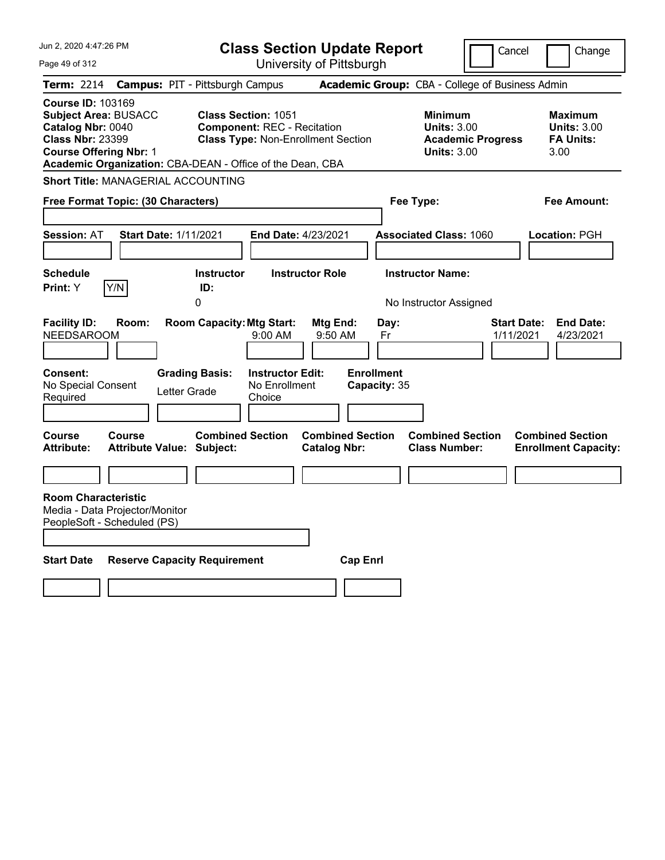| Jun 2, 2020 4:47:26 PM                                                                                                                   |                                                           |                                                           |                                                                  | <b>Class Section Update Report</b>             |                                                 |                                                            | Cancel                                          | Change                                                           |
|------------------------------------------------------------------------------------------------------------------------------------------|-----------------------------------------------------------|-----------------------------------------------------------|------------------------------------------------------------------|------------------------------------------------|-------------------------------------------------|------------------------------------------------------------|-------------------------------------------------|------------------------------------------------------------------|
| Page 49 of 312                                                                                                                           |                                                           |                                                           |                                                                  | University of Pittsburgh                       |                                                 |                                                            |                                                 |                                                                  |
| <b>Term: 2214</b>                                                                                                                        | <b>Campus: PIT - Pittsburgh Campus</b>                    |                                                           |                                                                  |                                                |                                                 |                                                            | Academic Group: CBA - College of Business Admin |                                                                  |
| <b>Course ID: 103169</b><br><b>Subject Area: BUSACC</b><br>Catalog Nbr: 0040<br><b>Class Nbr: 23399</b><br><b>Course Offering Nbr: 1</b> | Academic Organization: CBA-DEAN - Office of the Dean, CBA |                                                           | <b>Class Section: 1051</b><br><b>Component: REC - Recitation</b> | <b>Class Type: Non-Enrollment Section</b>      |                                                 | <b>Minimum</b><br><b>Units: 3.00</b><br><b>Units: 3.00</b> | <b>Academic Progress</b>                        | <b>Maximum</b><br><b>Units: 3.00</b><br><b>FA Units:</b><br>3.00 |
|                                                                                                                                          | <b>Short Title: MANAGERIAL ACCOUNTING</b>                 |                                                           |                                                                  |                                                |                                                 |                                                            |                                                 |                                                                  |
|                                                                                                                                          | Free Format Topic: (30 Characters)                        |                                                           |                                                                  |                                                |                                                 | Fee Type:                                                  |                                                 | Fee Amount:                                                      |
| <b>Session: AT</b>                                                                                                                       | Start Date: 1/11/2021                                     |                                                           | End Date: 4/23/2021                                              |                                                |                                                 | <b>Associated Class: 1060</b>                              |                                                 | Location: PGH                                                    |
| <b>Schedule</b>                                                                                                                          |                                                           | <b>Instructor</b>                                         |                                                                  | <b>Instructor Role</b>                         |                                                 | <b>Instructor Name:</b>                                    |                                                 |                                                                  |
| Print: Y                                                                                                                                 | Y/N                                                       | ID:<br>0                                                  |                                                                  |                                                |                                                 | No Instructor Assigned                                     |                                                 |                                                                  |
| <b>Facility ID:</b><br><b>NEEDSAROOM</b><br><b>Consent:</b><br>No Special Consent<br>Required                                            | Room:<br>Letter Grade                                     | <b>Room Capacity: Mtg Start:</b><br><b>Grading Basis:</b> | 9:00 AM<br><b>Instructor Edit:</b><br>No Enrollment<br>Choice    | Mtg End:<br>9:50 AM                            | Day:<br>Fr<br><b>Enrollment</b><br>Capacity: 35 |                                                            | <b>Start Date:</b><br>1/11/2021                 | <b>End Date:</b><br>4/23/2021                                    |
|                                                                                                                                          |                                                           |                                                           |                                                                  |                                                |                                                 |                                                            |                                                 |                                                                  |
| <b>Course</b><br><b>Attribute:</b>                                                                                                       | <b>Course</b><br>Attribute Value: Subject:                | <b>Combined Section</b>                                   |                                                                  | <b>Combined Section</b><br><b>Catalog Nbr:</b> |                                                 | <b>Combined Section</b><br><b>Class Number:</b>            |                                                 | <b>Combined Section</b><br><b>Enrollment Capacity:</b>           |
|                                                                                                                                          |                                                           |                                                           |                                                                  |                                                |                                                 |                                                            |                                                 |                                                                  |
| <b>Room Characteristic</b><br>PeopleSoft - Scheduled (PS)                                                                                | Media - Data Projector/Monitor                            |                                                           |                                                                  |                                                |                                                 |                                                            |                                                 |                                                                  |
| <b>Start Date</b>                                                                                                                        | <b>Reserve Capacity Requirement</b>                       |                                                           |                                                                  | <b>Cap Enrl</b>                                |                                                 |                                                            |                                                 |                                                                  |
|                                                                                                                                          |                                                           |                                                           |                                                                  |                                                |                                                 |                                                            |                                                 |                                                                  |
|                                                                                                                                          |                                                           |                                                           |                                                                  |                                                |                                                 |                                                            |                                                 |                                                                  |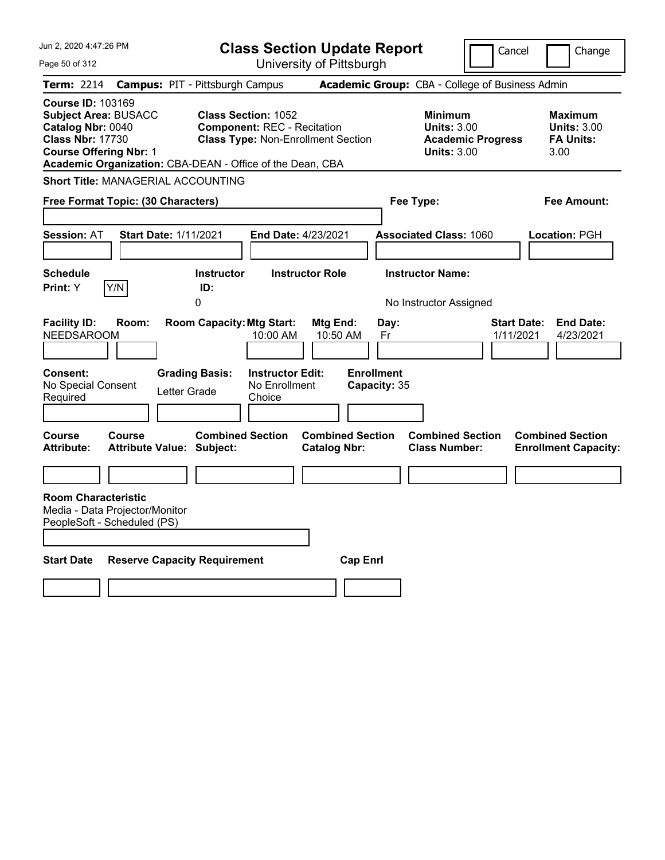| Jun 2, 2020 4:47:26 PM                                                                                                                   |                                                           |                                  |                                                                  | <b>Class Section Update Report</b>             |                                   |                                                                                        | Cancel                          | Change                                                    |
|------------------------------------------------------------------------------------------------------------------------------------------|-----------------------------------------------------------|----------------------------------|------------------------------------------------------------------|------------------------------------------------|-----------------------------------|----------------------------------------------------------------------------------------|---------------------------------|-----------------------------------------------------------|
| Page 50 of 312                                                                                                                           |                                                           |                                  |                                                                  | University of Pittsburgh                       |                                   |                                                                                        |                                 |                                                           |
| <b>Term: 2214</b>                                                                                                                        | <b>Campus: PIT - Pittsburgh Campus</b>                    |                                  |                                                                  |                                                |                                   | Academic Group: CBA - College of Business Admin                                        |                                 |                                                           |
| <b>Course ID: 103169</b><br><b>Subject Area: BUSACC</b><br>Catalog Nbr: 0040<br><b>Class Nbr: 17730</b><br><b>Course Offering Nbr: 1</b> | Academic Organization: CBA-DEAN - Office of the Dean, CBA |                                  | <b>Class Section: 1052</b><br><b>Component: REC - Recitation</b> | <b>Class Type: Non-Enrollment Section</b>      |                                   | <b>Minimum</b><br><b>Units: 3.00</b><br><b>Academic Progress</b><br><b>Units: 3.00</b> |                                 | Maximum<br><b>Units: 3.00</b><br><b>FA Units:</b><br>3.00 |
|                                                                                                                                          | <b>Short Title: MANAGERIAL ACCOUNTING</b>                 |                                  |                                                                  |                                                |                                   |                                                                                        |                                 |                                                           |
|                                                                                                                                          | Free Format Topic: (30 Characters)                        |                                  |                                                                  |                                                |                                   | Fee Type:                                                                              |                                 | Fee Amount:                                               |
| <b>Session: AT</b>                                                                                                                       | <b>Start Date: 1/11/2021</b>                              |                                  | End Date: 4/23/2021                                              |                                                |                                   | <b>Associated Class: 1060</b>                                                          |                                 | Location: PGH                                             |
| <b>Schedule</b><br>Print: Y                                                                                                              | Y/N                                                       | <b>Instructor</b><br>ID:<br>0    |                                                                  | <b>Instructor Role</b>                         |                                   | <b>Instructor Name:</b><br>No Instructor Assigned                                      |                                 |                                                           |
| <b>Facility ID:</b><br><b>NEEDSAROOM</b>                                                                                                 | Room:                                                     | <b>Room Capacity: Mtg Start:</b> | 10:00 AM                                                         | Mtg End:<br>10:50 AM                           | Day:<br>Fr                        |                                                                                        | <b>Start Date:</b><br>1/11/2021 | <b>End Date:</b><br>4/23/2021                             |
| Consent:<br>No Special Consent<br>Required                                                                                               | Letter Grade                                              | <b>Grading Basis:</b>            | <b>Instructor Edit:</b><br>No Enrollment<br>Choice               |                                                | <b>Enrollment</b><br>Capacity: 35 |                                                                                        |                                 |                                                           |
| Course<br><b>Attribute:</b>                                                                                                              | Course<br><b>Attribute Value: Subject:</b>                | <b>Combined Section</b>          |                                                                  | <b>Combined Section</b><br><b>Catalog Nbr:</b> |                                   | <b>Combined Section</b><br><b>Class Number:</b>                                        |                                 | <b>Combined Section</b><br><b>Enrollment Capacity:</b>    |
|                                                                                                                                          |                                                           |                                  |                                                                  |                                                |                                   |                                                                                        |                                 |                                                           |
| <b>Room Characteristic</b><br>PeopleSoft - Scheduled (PS)                                                                                | Media - Data Projector/Monitor                            |                                  |                                                                  |                                                |                                   |                                                                                        |                                 |                                                           |
| <b>Start Date</b>                                                                                                                        | <b>Reserve Capacity Requirement</b>                       |                                  |                                                                  | <b>Cap Enrl</b>                                |                                   |                                                                                        |                                 |                                                           |
|                                                                                                                                          |                                                           |                                  |                                                                  |                                                |                                   |                                                                                        |                                 |                                                           |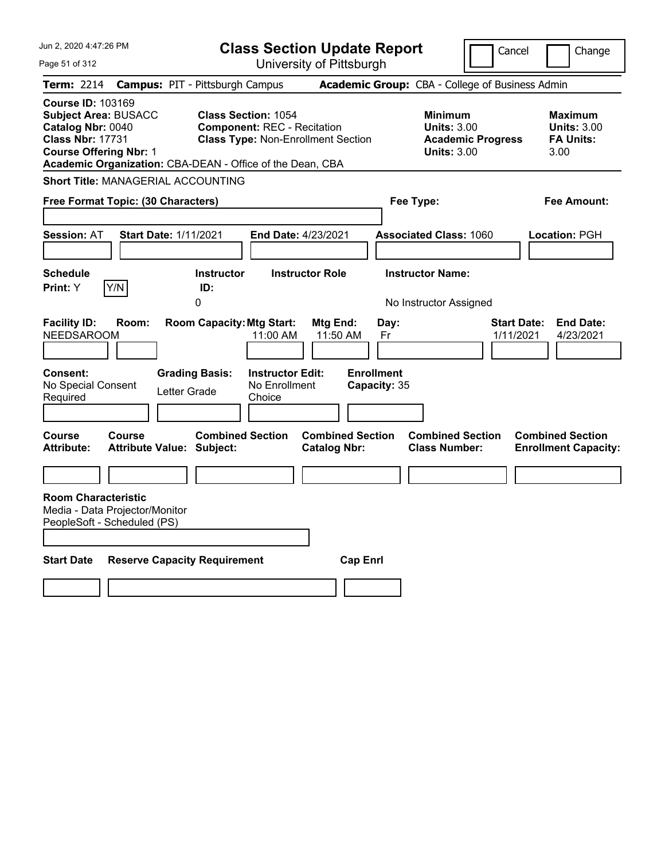| Jun 2, 2020 4:47:26 PM                                                                                                                                                                                |                                                                  | <b>Class Section Update Report</b>             |                                                            | Cancel                          | Change                                                           |
|-------------------------------------------------------------------------------------------------------------------------------------------------------------------------------------------------------|------------------------------------------------------------------|------------------------------------------------|------------------------------------------------------------|---------------------------------|------------------------------------------------------------------|
| Page 51 of 312                                                                                                                                                                                        |                                                                  | University of Pittsburgh                       |                                                            |                                 |                                                                  |
| <b>Term: 2214</b>                                                                                                                                                                                     | <b>Campus: PIT - Pittsburgh Campus</b>                           |                                                | Academic Group: CBA - College of Business Admin            |                                 |                                                                  |
| <b>Course ID: 103169</b><br><b>Subject Area: BUSACC</b><br>Catalog Nbr: 0040<br><b>Class Nbr: 17731</b><br><b>Course Offering Nbr: 1</b><br>Academic Organization: CBA-DEAN - Office of the Dean, CBA | <b>Class Section: 1054</b><br><b>Component: REC - Recitation</b> | <b>Class Type: Non-Enrollment Section</b>      | <b>Minimum</b><br><b>Units: 3.00</b><br><b>Units: 3.00</b> | <b>Academic Progress</b>        | <b>Maximum</b><br><b>Units: 3.00</b><br><b>FA Units:</b><br>3.00 |
| <b>Short Title: MANAGERIAL ACCOUNTING</b>                                                                                                                                                             |                                                                  |                                                |                                                            |                                 |                                                                  |
| Free Format Topic: (30 Characters)                                                                                                                                                                    |                                                                  |                                                | Fee Type:                                                  |                                 | Fee Amount:                                                      |
| <b>Session: AT</b>                                                                                                                                                                                    | Start Date: 1/11/2021                                            | End Date: 4/23/2021                            | <b>Associated Class: 1060</b>                              |                                 | Location: PGH                                                    |
| <b>Schedule</b><br>Y/N<br><b>Print:</b> Y                                                                                                                                                             | <b>Instructor</b><br>ID:<br>0                                    | <b>Instructor Role</b>                         | <b>Instructor Name:</b><br>No Instructor Assigned          |                                 |                                                                  |
| <b>Facility ID:</b><br>Room:<br><b>NEEDSAROOM</b>                                                                                                                                                     | <b>Room Capacity: Mtg Start:</b><br>11:00 AM                     | Mtg End:<br>11:50 AM                           | Day:<br>Fr                                                 | <b>Start Date:</b><br>1/11/2021 | <b>End Date:</b><br>4/23/2021                                    |
| <b>Consent:</b><br>No Special Consent<br>Required                                                                                                                                                     | <b>Grading Basis:</b><br>Letter Grade<br>Choice                  | <b>Instructor Edit:</b><br>No Enrollment       | <b>Enrollment</b><br>Capacity: 35                          |                                 |                                                                  |
| Course<br>Course<br><b>Attribute:</b>                                                                                                                                                                 | <b>Combined Section</b><br><b>Attribute Value: Subject:</b>      | <b>Combined Section</b><br><b>Catalog Nbr:</b> | <b>Combined Section</b><br><b>Class Number:</b>            |                                 | <b>Combined Section</b><br><b>Enrollment Capacity:</b>           |
|                                                                                                                                                                                                       |                                                                  |                                                |                                                            |                                 |                                                                  |
| <b>Room Characteristic</b><br>Media - Data Projector/Monitor<br>PeopleSoft - Scheduled (PS)                                                                                                           |                                                                  |                                                |                                                            |                                 |                                                                  |
| <b>Start Date</b>                                                                                                                                                                                     | <b>Reserve Capacity Requirement</b>                              | <b>Cap Enrl</b>                                |                                                            |                                 |                                                                  |
|                                                                                                                                                                                                       |                                                                  |                                                |                                                            |                                 |                                                                  |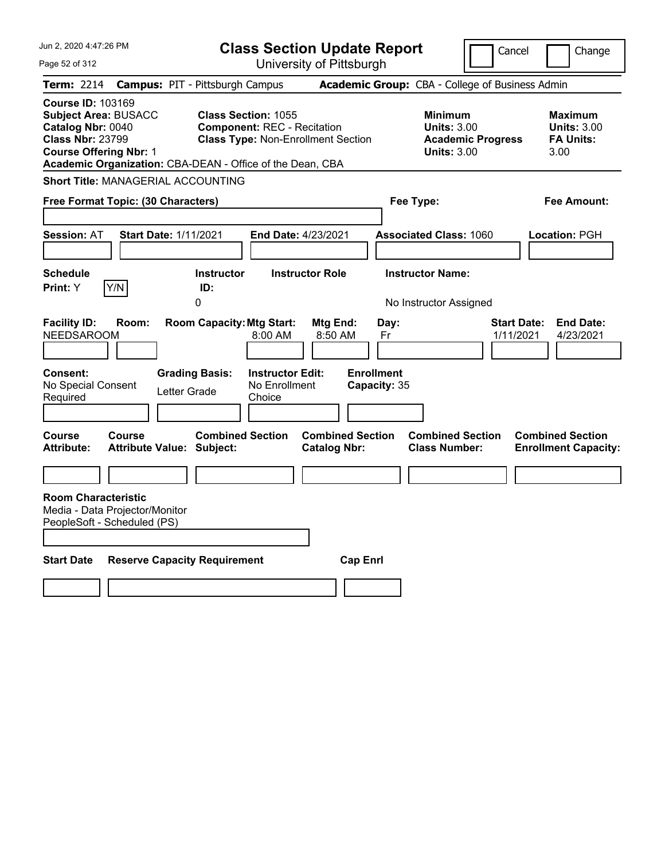| Jun 2, 2020 4:47:26 PM                                                                                                                                                                                |                                                                           | <b>Class Section Update Report</b>                                              |                                                |                                                 |                                                                                        | Cancel                          | Change                                                           |
|-------------------------------------------------------------------------------------------------------------------------------------------------------------------------------------------------------|---------------------------------------------------------------------------|---------------------------------------------------------------------------------|------------------------------------------------|-------------------------------------------------|----------------------------------------------------------------------------------------|---------------------------------|------------------------------------------------------------------|
| Page 52 of 312                                                                                                                                                                                        |                                                                           |                                                                                 | University of Pittsburgh                       |                                                 |                                                                                        |                                 |                                                                  |
| Term: 2214                                                                                                                                                                                            | <b>Campus: PIT - Pittsburgh Campus</b>                                    |                                                                                 |                                                |                                                 | Academic Group: CBA - College of Business Admin                                        |                                 |                                                                  |
| <b>Course ID: 103169</b><br><b>Subject Area: BUSACC</b><br>Catalog Nbr: 0040<br><b>Class Nbr: 23799</b><br><b>Course Offering Nbr: 1</b><br>Academic Organization: CBA-DEAN - Office of the Dean, CBA | <b>Class Section: 1055</b>                                                | <b>Component: REC - Recitation</b><br><b>Class Type: Non-Enrollment Section</b> |                                                |                                                 | <b>Minimum</b><br><b>Units: 3.00</b><br><b>Academic Progress</b><br><b>Units: 3.00</b> |                                 | <b>Maximum</b><br><b>Units: 3.00</b><br><b>FA Units:</b><br>3.00 |
| <b>Short Title: MANAGERIAL ACCOUNTING</b>                                                                                                                                                             |                                                                           |                                                                                 |                                                |                                                 |                                                                                        |                                 |                                                                  |
| Free Format Topic: (30 Characters)                                                                                                                                                                    |                                                                           |                                                                                 |                                                | Fee Type:                                       |                                                                                        |                                 | Fee Amount:                                                      |
| <b>Session: AT</b>                                                                                                                                                                                    | Start Date: 1/11/2021                                                     | End Date: 4/23/2021                                                             |                                                |                                                 | <b>Associated Class: 1060</b>                                                          |                                 | Location: PGH                                                    |
| <b>Schedule</b><br>Y/N<br>Print: Y                                                                                                                                                                    | <b>Instructor</b><br>ID:<br>0                                             | <b>Instructor Role</b>                                                          |                                                |                                                 | <b>Instructor Name:</b><br>No Instructor Assigned                                      |                                 |                                                                  |
| <b>Facility ID:</b><br>Room:<br><b>NEEDSAROOM</b><br><b>Consent:</b><br>No Special Consent<br>Required                                                                                                | <b>Room Capacity: Mtg Start:</b><br><b>Grading Basis:</b><br>Letter Grade | 8:00 AM<br><b>Instructor Edit:</b><br>No Enrollment<br>Choice                   | Mtg End:<br>8:50 AM                            | Day:<br>Fr<br><b>Enrollment</b><br>Capacity: 35 |                                                                                        | <b>Start Date:</b><br>1/11/2021 | <b>End Date:</b><br>4/23/2021                                    |
| <b>Course</b><br><b>Course</b><br><b>Attribute:</b>                                                                                                                                                   | <b>Combined Section</b><br>Attribute Value: Subject:                      |                                                                                 | <b>Combined Section</b><br><b>Catalog Nbr:</b> |                                                 | <b>Combined Section</b><br><b>Class Number:</b>                                        |                                 | <b>Combined Section</b><br><b>Enrollment Capacity:</b>           |
|                                                                                                                                                                                                       |                                                                           |                                                                                 |                                                |                                                 |                                                                                        |                                 |                                                                  |
| <b>Room Characteristic</b><br>Media - Data Projector/Monitor<br>PeopleSoft - Scheduled (PS)                                                                                                           |                                                                           |                                                                                 |                                                |                                                 |                                                                                        |                                 |                                                                  |
| <b>Start Date</b>                                                                                                                                                                                     | <b>Reserve Capacity Requirement</b>                                       |                                                                                 | <b>Cap Enrl</b>                                |                                                 |                                                                                        |                                 |                                                                  |
|                                                                                                                                                                                                       |                                                                           |                                                                                 |                                                |                                                 |                                                                                        |                                 |                                                                  |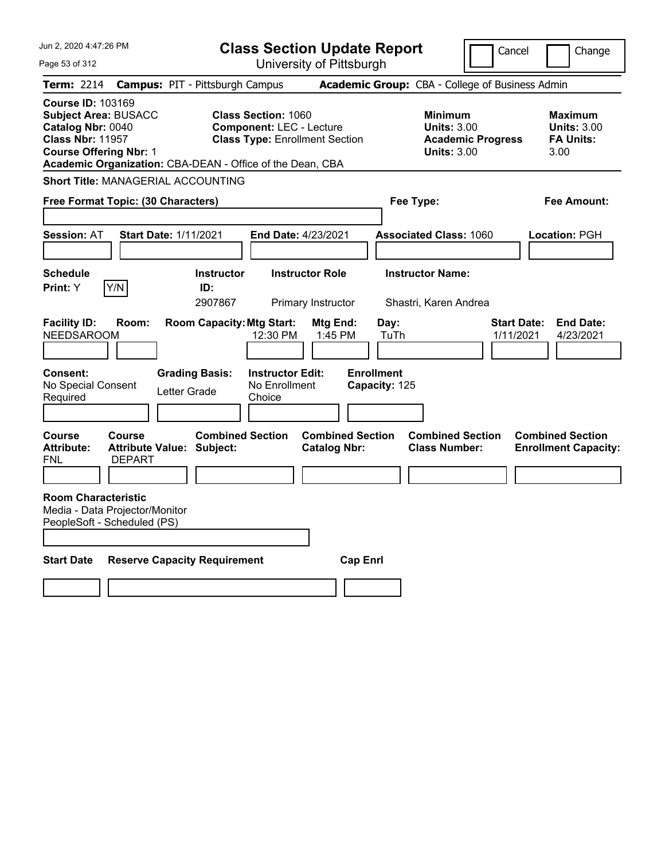| Jun 2, 2020 4:47:26 PM                                                                      |                                                                                                                                                                                                                                                                                                                 |                                                             | <b>Class Section Update Report</b>                 |                                                                                        |                                    |                                                           | Cancel    | Change                                                 |
|---------------------------------------------------------------------------------------------|-----------------------------------------------------------------------------------------------------------------------------------------------------------------------------------------------------------------------------------------------------------------------------------------------------------------|-------------------------------------------------------------|----------------------------------------------------|----------------------------------------------------------------------------------------|------------------------------------|-----------------------------------------------------------|-----------|--------------------------------------------------------|
| Page 53 of 312                                                                              |                                                                                                                                                                                                                                                                                                                 |                                                             |                                                    | University of Pittsburgh                                                               |                                    |                                                           |           |                                                        |
| <b>Term: 2214</b>                                                                           |                                                                                                                                                                                                                                                                                                                 | <b>Campus: PIT - Pittsburgh Campus</b>                      |                                                    |                                                                                        |                                    | Academic Group: CBA - College of Business Admin           |           |                                                        |
|                                                                                             | <b>Course ID: 103169</b><br><b>Class Section: 1060</b><br><b>Subject Area: BUSACC</b><br>Catalog Nbr: 0040<br><b>Component: LEC - Lecture</b><br><b>Class Nbr: 11957</b><br><b>Class Type: Enrollment Section</b><br><b>Course Offering Nbr: 1</b><br>Academic Organization: CBA-DEAN - Office of the Dean, CBA |                                                             |                                                    | <b>Minimum</b><br><b>Units: 3.00</b><br><b>Academic Progress</b><br><b>Units: 3.00</b> |                                    | Maximum<br><b>Units: 3.00</b><br><b>FA Units:</b><br>3.00 |           |                                                        |
|                                                                                             |                                                                                                                                                                                                                                                                                                                 | <b>Short Title: MANAGERIAL ACCOUNTING</b>                   |                                                    |                                                                                        |                                    |                                                           |           |                                                        |
| Free Format Topic: (30 Characters)                                                          |                                                                                                                                                                                                                                                                                                                 |                                                             |                                                    |                                                                                        |                                    | Fee Type:                                                 |           | Fee Amount:                                            |
| <b>Session: AT</b>                                                                          |                                                                                                                                                                                                                                                                                                                 | Start Date: 1/11/2021                                       | End Date: 4/23/2021                                |                                                                                        |                                    | <b>Associated Class: 1060</b>                             |           | Location: PGH                                          |
| <b>Schedule</b><br>Print: Y                                                                 | Y/N                                                                                                                                                                                                                                                                                                             | <b>Instructor</b><br>ID:<br>2907867                         |                                                    | <b>Instructor Role</b><br>Primary Instructor                                           |                                    | <b>Instructor Name:</b><br>Shastri, Karen Andrea          |           |                                                        |
| <b>Facility ID:</b><br><b>NEEDSAROOM</b>                                                    | Room:                                                                                                                                                                                                                                                                                                           | <b>Room Capacity: Mtg Start:</b>                            | 12:30 PM                                           | Mtg End:<br>1:45 PM                                                                    | Day:<br>TuTh                       |                                                           | 1/11/2021 | <b>Start Date:</b><br><b>End Date:</b><br>4/23/2021    |
| <b>Consent:</b><br>No Special Consent<br>Required                                           |                                                                                                                                                                                                                                                                                                                 | <b>Grading Basis:</b><br>Letter Grade                       | <b>Instructor Edit:</b><br>No Enrollment<br>Choice |                                                                                        | <b>Enrollment</b><br>Capacity: 125 |                                                           |           |                                                        |
| <b>Course</b><br><b>Attribute:</b><br>FNL                                                   | <b>Course</b><br><b>DEPART</b>                                                                                                                                                                                                                                                                                  | <b>Combined Section</b><br><b>Attribute Value: Subject:</b> |                                                    | <b>Combined Section</b><br><b>Catalog Nbr:</b>                                         |                                    | <b>Combined Section</b><br><b>Class Number:</b>           |           | <b>Combined Section</b><br><b>Enrollment Capacity:</b> |
| <b>Room Characteristic</b><br>Media - Data Projector/Monitor<br>PeopleSoft - Scheduled (PS) |                                                                                                                                                                                                                                                                                                                 |                                                             |                                                    |                                                                                        |                                    |                                                           |           |                                                        |
| <b>Start Date</b>                                                                           |                                                                                                                                                                                                                                                                                                                 | <b>Reserve Capacity Requirement</b>                         |                                                    | <b>Cap Enri</b>                                                                        |                                    |                                                           |           |                                                        |
|                                                                                             |                                                                                                                                                                                                                                                                                                                 |                                                             |                                                    |                                                                                        |                                    |                                                           |           |                                                        |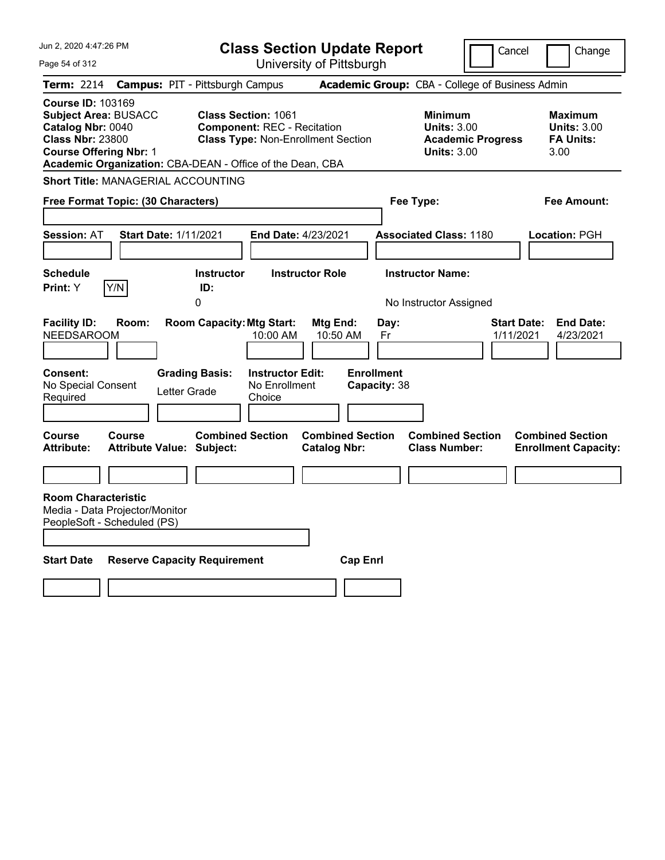| Jun 2, 2020 4:47:26 PM                                                                                                                                                                                | <b>Class Section Update Report</b>                                                                                         |                                                            | Cancel                          | Change                                                           |
|-------------------------------------------------------------------------------------------------------------------------------------------------------------------------------------------------------|----------------------------------------------------------------------------------------------------------------------------|------------------------------------------------------------|---------------------------------|------------------------------------------------------------------|
| Page 54 of 312                                                                                                                                                                                        | University of Pittsburgh                                                                                                   |                                                            |                                 |                                                                  |
| Term: 2214<br><b>Campus: PIT - Pittsburgh Campus</b>                                                                                                                                                  |                                                                                                                            | Academic Group: CBA - College of Business Admin            |                                 |                                                                  |
| <b>Course ID: 103169</b><br><b>Subject Area: BUSACC</b><br>Catalog Nbr: 0040<br><b>Class Nbr: 23800</b><br><b>Course Offering Nbr: 1</b><br>Academic Organization: CBA-DEAN - Office of the Dean, CBA | <b>Class Section: 1061</b><br><b>Component: REC - Recitation</b><br><b>Class Type: Non-Enrollment Section</b>              | <b>Minimum</b><br><b>Units: 3.00</b><br><b>Units: 3.00</b> | <b>Academic Progress</b>        | <b>Maximum</b><br><b>Units: 3.00</b><br><b>FA Units:</b><br>3.00 |
| <b>Short Title: MANAGERIAL ACCOUNTING</b>                                                                                                                                                             |                                                                                                                            |                                                            |                                 |                                                                  |
| Free Format Topic: (30 Characters)                                                                                                                                                                    |                                                                                                                            | Fee Type:                                                  |                                 | Fee Amount:                                                      |
| <b>Session: AT</b><br><b>Start Date: 1/11/2021</b>                                                                                                                                                    | <b>End Date: 4/23/2021</b>                                                                                                 | <b>Associated Class: 1180</b>                              |                                 | Location: PGH                                                    |
| <b>Schedule</b>                                                                                                                                                                                       | <b>Instructor</b><br><b>Instructor Role</b>                                                                                | <b>Instructor Name:</b>                                    |                                 |                                                                  |
| Y/N<br>Print: Y<br>ID:<br>0                                                                                                                                                                           |                                                                                                                            | No Instructor Assigned                                     |                                 |                                                                  |
| <b>Facility ID:</b><br>Room:<br><b>NEEDSAROOM</b><br><b>Consent:</b><br><b>Grading Basis:</b><br>No Special Consent<br>Letter Grade<br>Required                                                       | <b>Room Capacity: Mtg Start:</b><br>Mtg End:<br>10:50 AM<br>10:00 AM<br><b>Instructor Edit:</b><br>No Enrollment<br>Choice | Day:<br>Fr<br><b>Enrollment</b><br>Capacity: 38            | <b>Start Date:</b><br>1/11/2021 | <b>End Date:</b><br>4/23/2021                                    |
|                                                                                                                                                                                                       |                                                                                                                            |                                                            |                                 |                                                                  |
| Course<br><b>Course</b><br><b>Attribute:</b><br>Attribute Value: Subject:                                                                                                                             | <b>Combined Section</b><br><b>Combined Section</b><br><b>Catalog Nbr:</b>                                                  | <b>Combined Section</b><br><b>Class Number:</b>            |                                 | <b>Combined Section</b><br><b>Enrollment Capacity:</b>           |
|                                                                                                                                                                                                       |                                                                                                                            |                                                            |                                 |                                                                  |
| <b>Room Characteristic</b><br>Media - Data Projector/Monitor<br>PeopleSoft - Scheduled (PS)                                                                                                           |                                                                                                                            |                                                            |                                 |                                                                  |
| <b>Start Date</b><br><b>Reserve Capacity Requirement</b>                                                                                                                                              |                                                                                                                            | <b>Cap Enri</b>                                            |                                 |                                                                  |
|                                                                                                                                                                                                       |                                                                                                                            |                                                            |                                 |                                                                  |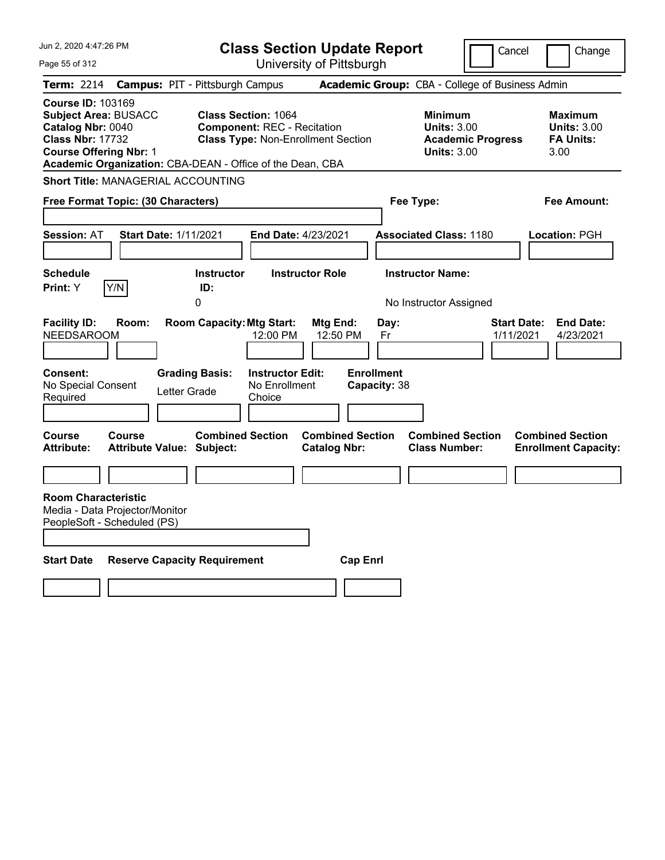| Jun 2, 2020 4:47:26 PM                                                                                                                                                                                |                                            |                                  |                                                                  | <b>Class Section Update Report</b>             |                                   |                                                                                        | Cancel                          | Change                                                           |
|-------------------------------------------------------------------------------------------------------------------------------------------------------------------------------------------------------|--------------------------------------------|----------------------------------|------------------------------------------------------------------|------------------------------------------------|-----------------------------------|----------------------------------------------------------------------------------------|---------------------------------|------------------------------------------------------------------|
| Page 55 of 312                                                                                                                                                                                        |                                            |                                  |                                                                  | University of Pittsburgh                       |                                   |                                                                                        |                                 |                                                                  |
| <b>Term: 2214</b>                                                                                                                                                                                     | <b>Campus: PIT - Pittsburgh Campus</b>     |                                  |                                                                  |                                                |                                   | Academic Group: CBA - College of Business Admin                                        |                                 |                                                                  |
| <b>Course ID: 103169</b><br><b>Subject Area: BUSACC</b><br>Catalog Nbr: 0040<br><b>Class Nbr: 17732</b><br><b>Course Offering Nbr: 1</b><br>Academic Organization: CBA-DEAN - Office of the Dean, CBA |                                            |                                  | <b>Class Section: 1064</b><br><b>Component: REC - Recitation</b> | <b>Class Type: Non-Enrollment Section</b>      |                                   | <b>Minimum</b><br><b>Units: 3.00</b><br><b>Academic Progress</b><br><b>Units: 3.00</b> |                                 | <b>Maximum</b><br><b>Units: 3.00</b><br><b>FA Units:</b><br>3.00 |
| <b>Short Title: MANAGERIAL ACCOUNTING</b>                                                                                                                                                             |                                            |                                  |                                                                  |                                                |                                   |                                                                                        |                                 |                                                                  |
| Free Format Topic: (30 Characters)                                                                                                                                                                    |                                            |                                  |                                                                  |                                                | Fee Type:                         |                                                                                        |                                 | Fee Amount:                                                      |
| <b>Session: AT</b>                                                                                                                                                                                    | Start Date: 1/11/2021                      |                                  | End Date: 4/23/2021                                              |                                                |                                   | <b>Associated Class: 1180</b>                                                          |                                 | <b>Location: PGH</b>                                             |
| <b>Schedule</b><br>Y/N<br><b>Print:</b> Y                                                                                                                                                             |                                            | <b>Instructor</b><br>ID:<br>0    |                                                                  | <b>Instructor Role</b>                         |                                   | <b>Instructor Name:</b><br>No Instructor Assigned                                      |                                 |                                                                  |
| <b>Facility ID:</b><br><b>NEEDSAROOM</b>                                                                                                                                                              | Room:                                      | <b>Room Capacity: Mtg Start:</b> | 12:00 PM                                                         | Mtg End:<br>12:50 PM                           | Day:<br>Fr                        |                                                                                        | <b>Start Date:</b><br>1/11/2021 | <b>End Date:</b><br>4/23/2021                                    |
| <b>Consent:</b><br>No Special Consent<br>Required                                                                                                                                                     | Letter Grade                               | <b>Grading Basis:</b>            | <b>Instructor Edit:</b><br>No Enrollment<br>Choice               |                                                | <b>Enrollment</b><br>Capacity: 38 |                                                                                        |                                 |                                                                  |
| Course<br><b>Attribute:</b>                                                                                                                                                                           | Course<br><b>Attribute Value: Subject:</b> | <b>Combined Section</b>          |                                                                  | <b>Combined Section</b><br><b>Catalog Nbr:</b> |                                   | <b>Combined Section</b><br><b>Class Number:</b>                                        |                                 | <b>Combined Section</b><br><b>Enrollment Capacity:</b>           |
|                                                                                                                                                                                                       |                                            |                                  |                                                                  |                                                |                                   |                                                                                        |                                 |                                                                  |
| <b>Room Characteristic</b><br>Media - Data Projector/Monitor<br>PeopleSoft - Scheduled (PS)                                                                                                           |                                            |                                  |                                                                  |                                                |                                   |                                                                                        |                                 |                                                                  |
| <b>Start Date</b>                                                                                                                                                                                     | <b>Reserve Capacity Requirement</b>        |                                  |                                                                  | <b>Cap Enrl</b>                                |                                   |                                                                                        |                                 |                                                                  |
|                                                                                                                                                                                                       |                                            |                                  |                                                                  |                                                |                                   |                                                                                        |                                 |                                                                  |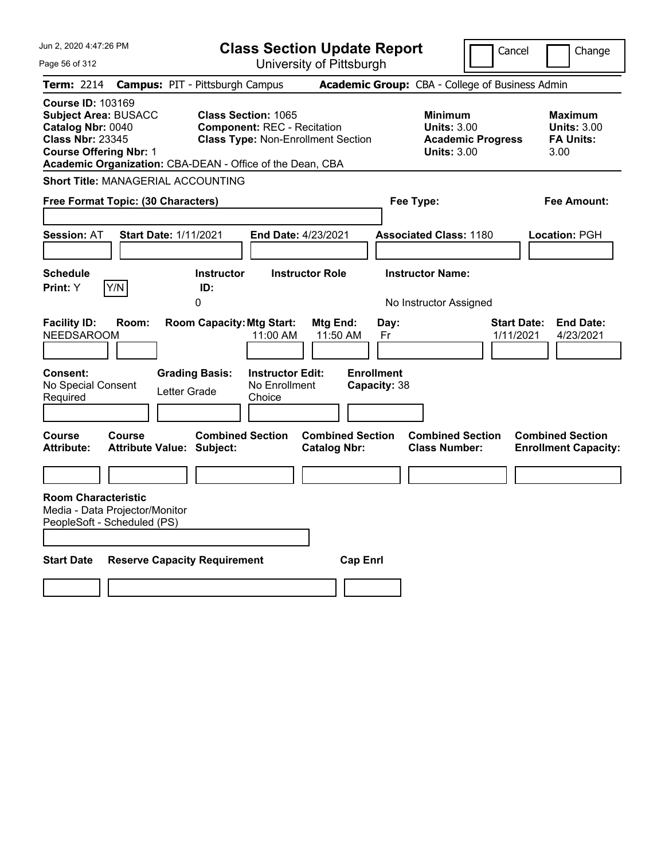| Jun 2, 2020 4:47:26 PM                                                                                                                                                                                | <b>Class Section Update Report</b>                                                                                          |                                                                                                   | Cancel                          | Change                                                           |
|-------------------------------------------------------------------------------------------------------------------------------------------------------------------------------------------------------|-----------------------------------------------------------------------------------------------------------------------------|---------------------------------------------------------------------------------------------------|---------------------------------|------------------------------------------------------------------|
| Page 56 of 312                                                                                                                                                                                        | University of Pittsburgh                                                                                                    |                                                                                                   |                                 |                                                                  |
| Term: 2214                                                                                                                                                                                            | <b>Campus: PIT - Pittsburgh Campus</b>                                                                                      | Academic Group: CBA - College of Business Admin                                                   |                                 |                                                                  |
| <b>Course ID: 103169</b><br><b>Subject Area: BUSACC</b><br>Catalog Nbr: 0040<br><b>Class Nbr: 23345</b><br><b>Course Offering Nbr: 1</b><br>Academic Organization: CBA-DEAN - Office of the Dean, CBA | <b>Class Section: 1065</b><br><b>Component: REC - Recitation</b><br><b>Class Type: Non-Enrollment Section</b>               | <b>Minimum</b><br><b>Units: 3.00</b><br><b>Units: 3.00</b>                                        | <b>Academic Progress</b>        | <b>Maximum</b><br><b>Units: 3.00</b><br><b>FA Units:</b><br>3.00 |
| <b>Short Title: MANAGERIAL ACCOUNTING</b>                                                                                                                                                             |                                                                                                                             |                                                                                                   |                                 |                                                                  |
| Free Format Topic: (30 Characters)                                                                                                                                                                    |                                                                                                                             | Fee Type:                                                                                         |                                 | Fee Amount:                                                      |
| <b>Session: AT</b><br><b>Start Date: 1/11/2021</b>                                                                                                                                                    | <b>End Date: 4/23/2021</b>                                                                                                  | <b>Associated Class: 1180</b>                                                                     |                                 | Location: PGH                                                    |
| <b>Schedule</b>                                                                                                                                                                                       | <b>Instructor</b><br><b>Instructor Role</b>                                                                                 | <b>Instructor Name:</b>                                                                           |                                 |                                                                  |
| Y/N<br>Print: Y                                                                                                                                                                                       | ID:<br>0                                                                                                                    | No Instructor Assigned                                                                            |                                 |                                                                  |
| <b>Facility ID:</b><br>Room:<br><b>NEEDSAROOM</b><br><b>Consent:</b><br>No Special Consent<br>Letter Grade<br>Required                                                                                | <b>Room Capacity: Mtg Start:</b><br>11:00 AM<br><b>Grading Basis:</b><br><b>Instructor Edit:</b><br>No Enrollment<br>Choice | Mtg End:<br>Day:<br>11:50 AM<br>Fr<br><b>Enrollment</b><br>Capacity: 38                           | <b>Start Date:</b><br>1/11/2021 | <b>End Date:</b><br>4/23/2021                                    |
|                                                                                                                                                                                                       |                                                                                                                             |                                                                                                   |                                 |                                                                  |
| Course<br><b>Course</b><br><b>Attribute:</b><br>Attribute Value: Subject:                                                                                                                             | <b>Combined Section</b>                                                                                                     | <b>Combined Section</b><br><b>Combined Section</b><br><b>Catalog Nbr:</b><br><b>Class Number:</b> |                                 | <b>Combined Section</b><br><b>Enrollment Capacity:</b>           |
|                                                                                                                                                                                                       |                                                                                                                             |                                                                                                   |                                 |                                                                  |
| <b>Room Characteristic</b><br>Media - Data Projector/Monitor<br>PeopleSoft - Scheduled (PS)                                                                                                           |                                                                                                                             |                                                                                                   |                                 |                                                                  |
| <b>Start Date</b><br><b>Reserve Capacity Requirement</b>                                                                                                                                              |                                                                                                                             | <b>Cap Enri</b>                                                                                   |                                 |                                                                  |
|                                                                                                                                                                                                       |                                                                                                                             |                                                                                                   |                                 |                                                                  |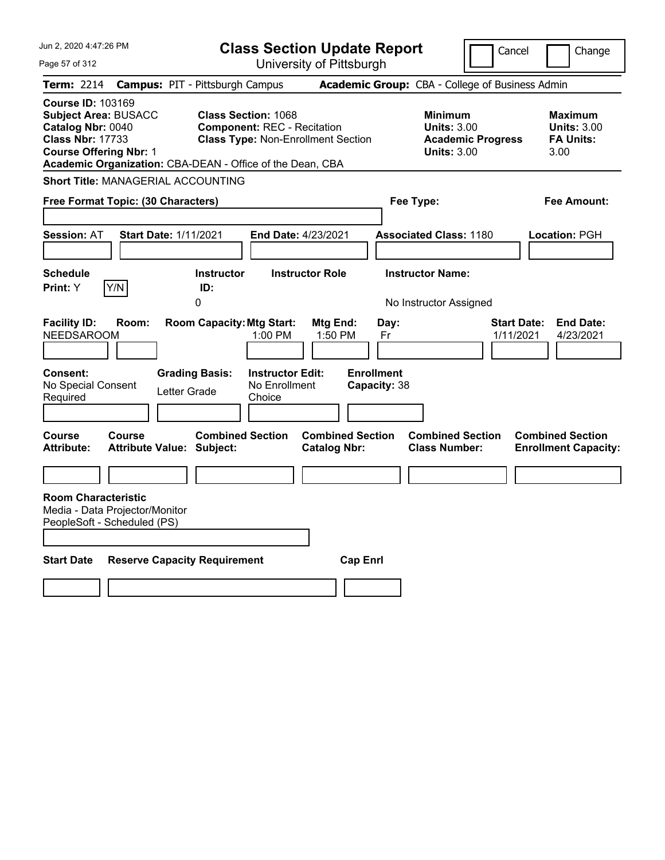| Jun 2, 2020 4:47:26 PM                                                                                                                                                                                | <b>Class Section Update Report</b>                                                                            |                                                                                         | Cancel<br>Change                                                                             |  |
|-------------------------------------------------------------------------------------------------------------------------------------------------------------------------------------------------------|---------------------------------------------------------------------------------------------------------------|-----------------------------------------------------------------------------------------|----------------------------------------------------------------------------------------------|--|
| Page 57 of 312                                                                                                                                                                                        | University of Pittsburgh                                                                                      |                                                                                         |                                                                                              |  |
| Term: 2214                                                                                                                                                                                            | <b>Campus: PIT - Pittsburgh Campus</b>                                                                        | Academic Group: CBA - College of Business Admin                                         |                                                                                              |  |
| <b>Course ID: 103169</b><br><b>Subject Area: BUSACC</b><br>Catalog Nbr: 0040<br><b>Class Nbr: 17733</b><br><b>Course Offering Nbr: 1</b><br>Academic Organization: CBA-DEAN - Office of the Dean, CBA | <b>Class Section: 1068</b><br><b>Component: REC - Recitation</b><br><b>Class Type: Non-Enrollment Section</b> | <b>Minimum</b><br><b>Units: 3.00</b><br><b>Units: 3.00</b>                              | <b>Maximum</b><br><b>Units: 3.00</b><br><b>Academic Progress</b><br><b>FA Units:</b><br>3.00 |  |
| <b>Short Title: MANAGERIAL ACCOUNTING</b>                                                                                                                                                             |                                                                                                               |                                                                                         |                                                                                              |  |
| Free Format Topic: (30 Characters)                                                                                                                                                                    |                                                                                                               | Fee Type:                                                                               | Fee Amount:                                                                                  |  |
| <b>Session: AT</b><br><b>Start Date: 1/11/2021</b>                                                                                                                                                    | End Date: 4/23/2021                                                                                           | <b>Associated Class: 1180</b>                                                           | <b>Location: PGH</b>                                                                         |  |
| <b>Schedule</b><br>Y/N<br><b>Print: Y</b>                                                                                                                                                             | <b>Instructor Role</b><br><b>Instructor</b><br>ID:<br>0                                                       | <b>Instructor Name:</b><br>No Instructor Assigned                                       |                                                                                              |  |
| <b>Facility ID:</b><br>Room:<br>NEEDSAROOM                                                                                                                                                            | <b>Room Capacity: Mtg Start:</b><br>Mtg End:<br>1:00 PM                                                       | Day:<br>1:50 PM<br>Fr                                                                   | <b>End Date:</b><br><b>Start Date:</b><br>1/11/2021<br>4/23/2021                             |  |
| Consent:<br>No Special Consent<br>Letter Grade<br>Required<br><b>Course</b><br><b>Course</b>                                                                                                          | <b>Grading Basis:</b><br><b>Instructor Edit:</b><br>No Enrollment<br>Choice<br><b>Combined Section</b>        | <b>Enrollment</b><br>Capacity: 38<br><b>Combined Section</b><br><b>Combined Section</b> | <b>Combined Section</b>                                                                      |  |
| <b>Attribute:</b><br><b>Attribute Value: Subject:</b>                                                                                                                                                 | <b>Catalog Nbr:</b>                                                                                           | <b>Class Number:</b>                                                                    | <b>Enrollment Capacity:</b>                                                                  |  |
|                                                                                                                                                                                                       |                                                                                                               |                                                                                         |                                                                                              |  |
| <b>Room Characteristic</b><br>Media - Data Projector/Monitor<br>PeopleSoft - Scheduled (PS)                                                                                                           |                                                                                                               |                                                                                         |                                                                                              |  |
| <b>Start Date</b><br><b>Reserve Capacity Requirement</b>                                                                                                                                              |                                                                                                               | <b>Cap Enri</b>                                                                         |                                                                                              |  |
|                                                                                                                                                                                                       |                                                                                                               |                                                                                         |                                                                                              |  |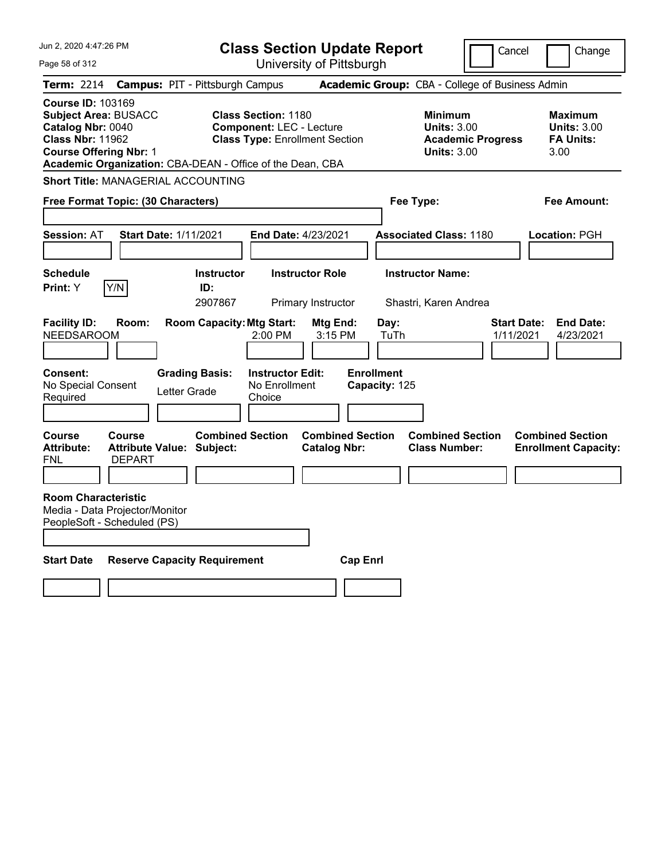| Jun 2, 2020 4:47:26 PM                                                                                                                                                                                |                                                             |                                        | <b>Class Section Update Report</b>                                                                     |                                                |                                                 |                                                            | Cancel                   | Change                                                    |
|-------------------------------------------------------------------------------------------------------------------------------------------------------------------------------------------------------|-------------------------------------------------------------|----------------------------------------|--------------------------------------------------------------------------------------------------------|------------------------------------------------|-------------------------------------------------|------------------------------------------------------------|--------------------------|-----------------------------------------------------------|
| Page 58 of 312                                                                                                                                                                                        |                                                             |                                        |                                                                                                        | University of Pittsburgh                       |                                                 |                                                            |                          |                                                           |
| Term: 2214                                                                                                                                                                                            |                                                             | <b>Campus: PIT - Pittsburgh Campus</b> |                                                                                                        |                                                | Academic Group: CBA - College of Business Admin |                                                            |                          |                                                           |
| <b>Course ID: 103169</b><br><b>Subject Area: BUSACC</b><br>Catalog Nbr: 0040<br><b>Class Nbr: 11962</b><br><b>Course Offering Nbr: 1</b><br>Academic Organization: CBA-DEAN - Office of the Dean, CBA |                                                             |                                        | <b>Class Section: 1180</b><br><b>Component: LEC - Lecture</b><br><b>Class Type: Enrollment Section</b> |                                                |                                                 | <b>Minimum</b><br><b>Units: 3.00</b><br><b>Units: 3.00</b> | <b>Academic Progress</b> | Maximum<br><b>Units: 3.00</b><br><b>FA Units:</b><br>3.00 |
| <b>Short Title: MANAGERIAL ACCOUNTING</b>                                                                                                                                                             |                                                             |                                        |                                                                                                        |                                                |                                                 |                                                            |                          |                                                           |
| Free Format Topic: (30 Characters)                                                                                                                                                                    |                                                             |                                        |                                                                                                        | Fee Type:<br>Fee Amount:                       |                                                 |                                                            |                          |                                                           |
| <b>Session: AT</b>                                                                                                                                                                                    | <b>Start Date: 1/11/2021</b>                                |                                        | <b>End Date: 4/23/2021</b>                                                                             |                                                |                                                 | <b>Associated Class: 1180</b>                              |                          | Location: PGH                                             |
| <b>Schedule</b><br>Print: Y                                                                                                                                                                           | Y/N                                                         | <b>Instructor</b><br>ID:<br>2907867    |                                                                                                        | <b>Instructor Role</b><br>Primary Instructor   |                                                 | <b>Instructor Name:</b><br>Shastri, Karen Andrea           |                          |                                                           |
| <b>Facility ID:</b><br><b>NEEDSAROOM</b>                                                                                                                                                              | Room:                                                       | <b>Room Capacity: Mtg Start:</b>       | 2:00 PM                                                                                                | Mtg End:<br>3:15 PM                            | Day:<br>TuTh                                    |                                                            | 1/11/2021                | <b>Start Date:</b><br><b>End Date:</b><br>4/23/2021       |
| <b>Consent:</b><br>No Special Consent<br>Required                                                                                                                                                     |                                                             | <b>Grading Basis:</b><br>Letter Grade  | <b>Instructor Edit:</b><br>No Enrollment<br>Choice                                                     |                                                | <b>Enrollment</b><br>Capacity: 125              |                                                            |                          |                                                           |
| Course<br><b>Attribute:</b><br>FNL                                                                                                                                                                    | Course<br><b>Attribute Value: Subject:</b><br><b>DEPART</b> | <b>Combined Section</b>                |                                                                                                        | <b>Combined Section</b><br><b>Catalog Nbr:</b> |                                                 | <b>Combined Section</b><br><b>Class Number:</b>            |                          | <b>Combined Section</b><br><b>Enrollment Capacity:</b>    |
| <b>Room Characteristic</b><br>Media - Data Projector/Monitor<br>PeopleSoft - Scheduled (PS)                                                                                                           |                                                             |                                        |                                                                                                        |                                                |                                                 |                                                            |                          |                                                           |
| <b>Start Date</b>                                                                                                                                                                                     |                                                             | <b>Reserve Capacity Requirement</b>    |                                                                                                        |                                                | <b>Cap Enri</b>                                 |                                                            |                          |                                                           |
|                                                                                                                                                                                                       |                                                             |                                        |                                                                                                        |                                                |                                                 |                                                            |                          |                                                           |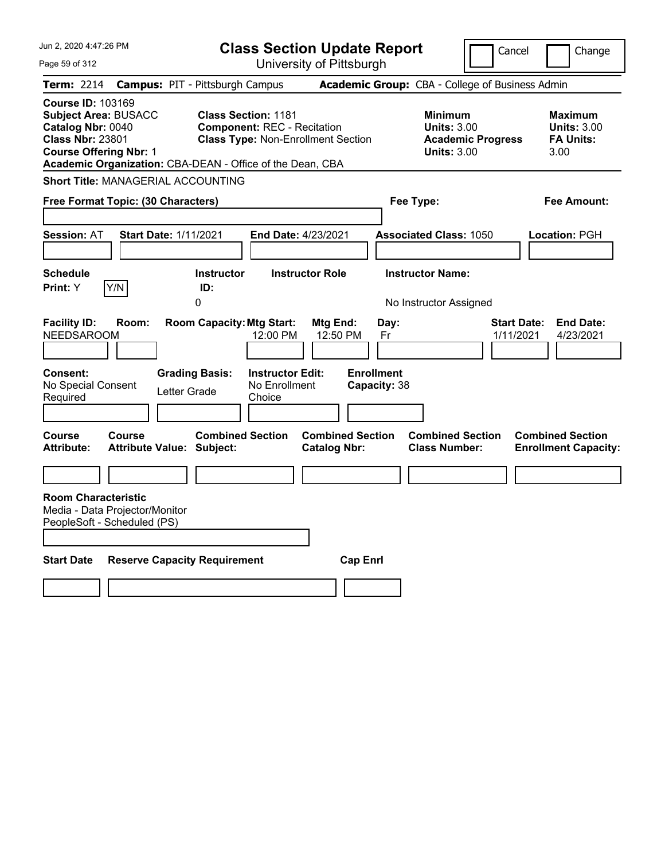| Jun 2, 2020 4:47:26 PM                                                                                                                                                                                |                                        |                                                  |                                                    | <b>Class Section Update Report</b>        |                                   |                                                                                        | Cancel                          | Change                                                           |
|-------------------------------------------------------------------------------------------------------------------------------------------------------------------------------------------------------|----------------------------------------|--------------------------------------------------|----------------------------------------------------|-------------------------------------------|-----------------------------------|----------------------------------------------------------------------------------------|---------------------------------|------------------------------------------------------------------|
| Page 59 of 312                                                                                                                                                                                        |                                        |                                                  |                                                    | University of Pittsburgh                  |                                   |                                                                                        |                                 |                                                                  |
| <b>Term: 2214</b>                                                                                                                                                                                     | <b>Campus: PIT - Pittsburgh Campus</b> |                                                  |                                                    |                                           |                                   | Academic Group: CBA - College of Business Admin                                        |                                 |                                                                  |
| <b>Course ID: 103169</b><br><b>Subject Area: BUSACC</b><br>Catalog Nbr: 0040<br><b>Class Nbr: 23801</b><br><b>Course Offering Nbr: 1</b><br>Academic Organization: CBA-DEAN - Office of the Dean, CBA |                                        | <b>Class Section: 1181</b>                       | <b>Component: REC - Recitation</b>                 | <b>Class Type: Non-Enrollment Section</b> |                                   | <b>Minimum</b><br><b>Units: 3.00</b><br><b>Academic Progress</b><br><b>Units: 3.00</b> |                                 | <b>Maximum</b><br><b>Units: 3.00</b><br><b>FA Units:</b><br>3.00 |
| <b>Short Title: MANAGERIAL ACCOUNTING</b>                                                                                                                                                             |                                        |                                                  |                                                    |                                           |                                   |                                                                                        |                                 |                                                                  |
| Free Format Topic: (30 Characters)                                                                                                                                                                    |                                        |                                                  |                                                    |                                           |                                   | Fee Type:                                                                              |                                 | Fee Amount:                                                      |
| <b>Session: AT</b>                                                                                                                                                                                    | <b>Start Date: 1/11/2021</b>           |                                                  | <b>End Date: 4/23/2021</b>                         |                                           |                                   | <b>Associated Class: 1050</b>                                                          |                                 | Location: PGH                                                    |
| <b>Schedule</b><br>Y/N<br>Print: Y                                                                                                                                                                    |                                        | <b>Instructor</b><br>ID:<br>0                    |                                                    | <b>Instructor Role</b>                    |                                   | <b>Instructor Name:</b><br>No Instructor Assigned                                      |                                 |                                                                  |
| <b>Facility ID:</b><br><b>NEEDSAROOM</b>                                                                                                                                                              | Room:                                  | <b>Room Capacity: Mtg Start:</b>                 | 12:00 PM                                           | Mtg End:<br>12:50 PM                      | Day:<br>Fr                        |                                                                                        | <b>Start Date:</b><br>1/11/2021 | <b>End Date:</b><br>4/23/2021                                    |
| <b>Consent:</b><br>No Special Consent<br>Required<br><b>Course</b>                                                                                                                                    | Letter Grade<br><b>Course</b>          | <b>Grading Basis:</b><br><b>Combined Section</b> | <b>Instructor Edit:</b><br>No Enrollment<br>Choice | <b>Combined Section</b>                   | <b>Enrollment</b><br>Capacity: 38 | <b>Combined Section</b>                                                                |                                 | <b>Combined Section</b>                                          |
| <b>Attribute:</b>                                                                                                                                                                                     | <b>Attribute Value: Subject:</b>       |                                                  |                                                    | <b>Catalog Nbr:</b>                       |                                   | <b>Class Number:</b>                                                                   |                                 | <b>Enrollment Capacity:</b>                                      |
|                                                                                                                                                                                                       |                                        |                                                  |                                                    |                                           |                                   |                                                                                        |                                 |                                                                  |
| <b>Room Characteristic</b><br>Media - Data Projector/Monitor<br>PeopleSoft - Scheduled (PS)                                                                                                           |                                        |                                                  |                                                    |                                           |                                   |                                                                                        |                                 |                                                                  |
| <b>Start Date</b>                                                                                                                                                                                     | <b>Reserve Capacity Requirement</b>    |                                                  |                                                    | <b>Cap Enri</b>                           |                                   |                                                                                        |                                 |                                                                  |
|                                                                                                                                                                                                       |                                        |                                                  |                                                    |                                           |                                   |                                                                                        |                                 |                                                                  |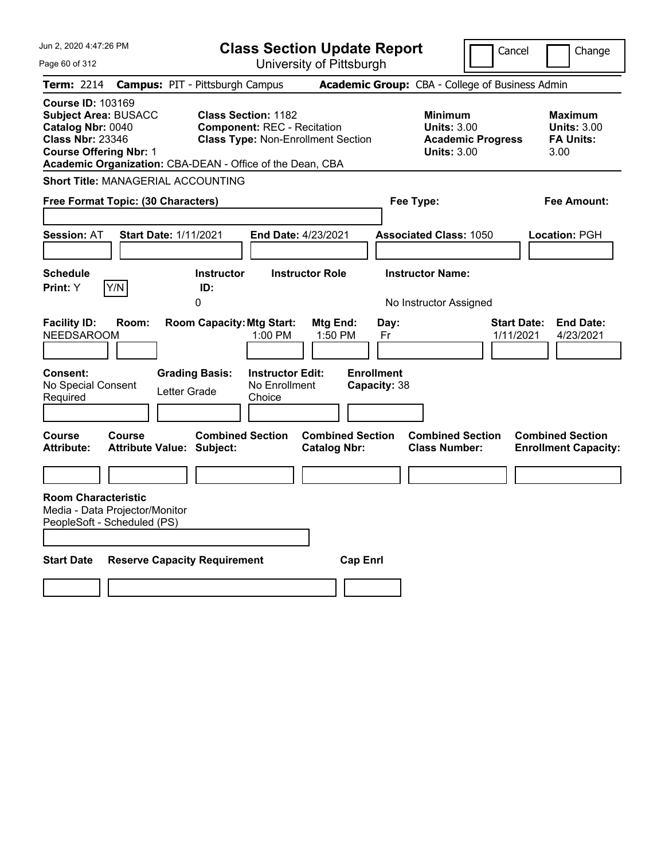| Jun 2, 2020 4:47:26 PM                                                                                                                                                                                | <b>Class Section Update Report</b>                                                                                                         |                                                                        | Cancel                                                                                 | Change                                                           |
|-------------------------------------------------------------------------------------------------------------------------------------------------------------------------------------------------------|--------------------------------------------------------------------------------------------------------------------------------------------|------------------------------------------------------------------------|----------------------------------------------------------------------------------------|------------------------------------------------------------------|
| Page 60 of 312                                                                                                                                                                                        |                                                                                                                                            | University of Pittsburgh                                               |                                                                                        |                                                                  |
| <b>Term: 2214</b>                                                                                                                                                                                     | <b>Campus: PIT - Pittsburgh Campus</b>                                                                                                     |                                                                        | Academic Group: CBA - College of Business Admin                                        |                                                                  |
| <b>Course ID: 103169</b><br><b>Subject Area: BUSACC</b><br>Catalog Nbr: 0040<br><b>Class Nbr: 23346</b><br><b>Course Offering Nbr: 1</b><br>Academic Organization: CBA-DEAN - Office of the Dean, CBA | <b>Class Section: 1182</b><br><b>Component: REC - Recitation</b><br><b>Class Type: Non-Enrollment Section</b>                              |                                                                        | <b>Minimum</b><br><b>Units: 3.00</b><br><b>Academic Progress</b><br><b>Units: 3.00</b> | <b>Maximum</b><br><b>Units: 3.00</b><br><b>FA Units:</b><br>3.00 |
| <b>Short Title: MANAGERIAL ACCOUNTING</b>                                                                                                                                                             |                                                                                                                                            |                                                                        |                                                                                        |                                                                  |
| Free Format Topic: (30 Characters)                                                                                                                                                                    |                                                                                                                                            |                                                                        | Fee Type:                                                                              | Fee Amount:                                                      |
| <b>Start Date: 1/11/2021</b><br><b>Session: AT</b>                                                                                                                                                    | End Date: 4/23/2021                                                                                                                        |                                                                        | <b>Associated Class: 1050</b>                                                          | Location: PGH                                                    |
| <b>Schedule</b>                                                                                                                                                                                       | <b>Instructor Role</b><br><b>Instructor</b>                                                                                                |                                                                        | <b>Instructor Name:</b>                                                                |                                                                  |
| Y/N<br><b>Print:</b> Y                                                                                                                                                                                | ID:<br>0                                                                                                                                   |                                                                        | No Instructor Assigned                                                                 |                                                                  |
| <b>Facility ID:</b><br>Room:<br><b>NEEDSAROOM</b><br><b>Consent:</b><br>No Special Consent<br>Required                                                                                                | <b>Room Capacity: Mtg Start:</b><br>1:00 PM<br><b>Grading Basis:</b><br><b>Instructor Edit:</b><br>No Enrollment<br>Letter Grade<br>Choice | Mtg End:<br>Day:<br>1:50 PM<br>Fr<br><b>Enrollment</b><br>Capacity: 38 |                                                                                        | <b>Start Date:</b><br><b>End Date:</b><br>1/11/2021<br>4/23/2021 |
|                                                                                                                                                                                                       |                                                                                                                                            |                                                                        |                                                                                        |                                                                  |
| Course<br>Course<br><b>Attribute:</b><br><b>Attribute Value: Subject:</b>                                                                                                                             | <b>Combined Section</b>                                                                                                                    | <b>Combined Section</b><br><b>Catalog Nbr:</b>                         | <b>Combined Section</b><br><b>Class Number:</b>                                        | <b>Combined Section</b><br><b>Enrollment Capacity:</b>           |
|                                                                                                                                                                                                       |                                                                                                                                            |                                                                        |                                                                                        |                                                                  |
| <b>Room Characteristic</b><br>Media - Data Projector/Monitor<br>PeopleSoft - Scheduled (PS)                                                                                                           |                                                                                                                                            |                                                                        |                                                                                        |                                                                  |
| <b>Start Date</b>                                                                                                                                                                                     | <b>Reserve Capacity Requirement</b>                                                                                                        | <b>Cap Enrl</b>                                                        |                                                                                        |                                                                  |
|                                                                                                                                                                                                       |                                                                                                                                            |                                                                        |                                                                                        |                                                                  |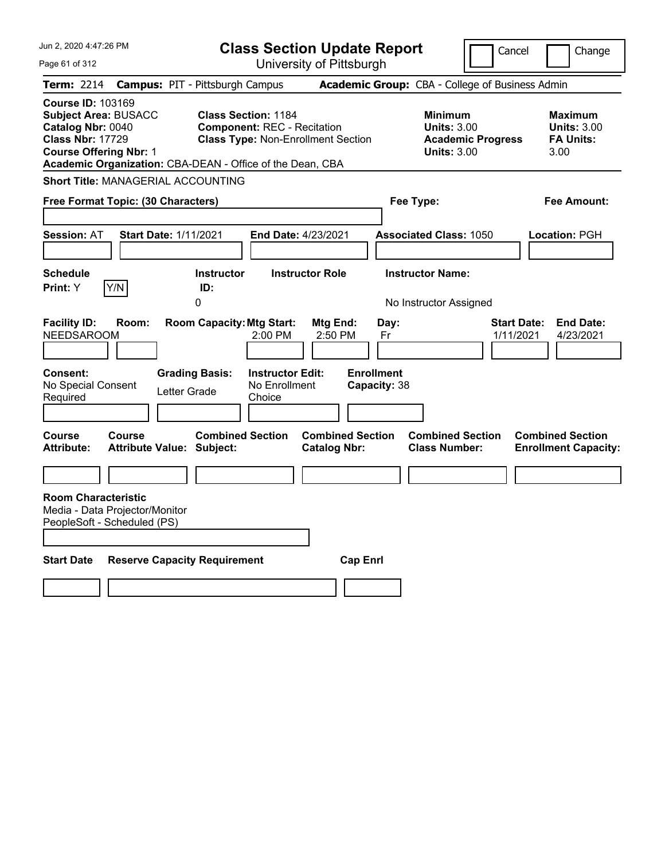| Jun 2, 2020 4:47:26 PM                                                                                                                                                                                |                                        |                                  |                                                                  | <b>Class Section Update Report</b>             |                                   |                                                            | Cancel                          | Change                                                           |  |
|-------------------------------------------------------------------------------------------------------------------------------------------------------------------------------------------------------|----------------------------------------|----------------------------------|------------------------------------------------------------------|------------------------------------------------|-----------------------------------|------------------------------------------------------------|---------------------------------|------------------------------------------------------------------|--|
| Page 61 of 312                                                                                                                                                                                        |                                        |                                  |                                                                  | University of Pittsburgh                       |                                   |                                                            |                                 |                                                                  |  |
| <b>Term: 2214</b>                                                                                                                                                                                     | <b>Campus: PIT - Pittsburgh Campus</b> |                                  |                                                                  |                                                |                                   | Academic Group: CBA - College of Business Admin            |                                 |                                                                  |  |
| <b>Course ID: 103169</b><br><b>Subject Area: BUSACC</b><br>Catalog Nbr: 0040<br><b>Class Nbr: 17729</b><br><b>Course Offering Nbr: 1</b><br>Academic Organization: CBA-DEAN - Office of the Dean, CBA |                                        |                                  | <b>Class Section: 1184</b><br><b>Component: REC - Recitation</b> | <b>Class Type: Non-Enrollment Section</b>      |                                   | <b>Minimum</b><br><b>Units: 3.00</b><br><b>Units: 3.00</b> | <b>Academic Progress</b>        | <b>Maximum</b><br><b>Units: 3.00</b><br><b>FA Units:</b><br>3.00 |  |
| <b>Short Title: MANAGERIAL ACCOUNTING</b>                                                                                                                                                             |                                        |                                  |                                                                  |                                                |                                   |                                                            |                                 |                                                                  |  |
| Free Format Topic: (30 Characters)                                                                                                                                                                    |                                        |                                  |                                                                  |                                                |                                   | Fee Type:                                                  |                                 | Fee Amount:                                                      |  |
| <b>Session: AT</b>                                                                                                                                                                                    | <b>Start Date: 1/11/2021</b>           |                                  | End Date: 4/23/2021                                              |                                                |                                   | <b>Associated Class: 1050</b>                              |                                 | <b>Location: PGH</b>                                             |  |
| <b>Schedule</b><br>Y/N<br><b>Print:</b> Y                                                                                                                                                             | 0                                      | <b>Instructor</b><br>ID:         |                                                                  | <b>Instructor Role</b>                         |                                   | <b>Instructor Name:</b><br>No Instructor Assigned          |                                 |                                                                  |  |
| <b>Facility ID:</b><br>Room:<br><b>NEEDSAROOM</b>                                                                                                                                                     |                                        | <b>Room Capacity: Mtg Start:</b> | 2:00 PM                                                          | Mtg End:<br>2:50 PM                            | Day:<br>Fr                        |                                                            | <b>Start Date:</b><br>1/11/2021 | <b>End Date:</b><br>4/23/2021                                    |  |
| <b>Consent:</b><br>No Special Consent<br>Required                                                                                                                                                     | <b>Grading Basis:</b><br>Letter Grade  |                                  | <b>Instructor Edit:</b><br>No Enrollment<br>Choice               |                                                | <b>Enrollment</b><br>Capacity: 38 |                                                            |                                 |                                                                  |  |
| Course<br>Course<br><b>Attribute:</b>                                                                                                                                                                 | <b>Attribute Value: Subject:</b>       | <b>Combined Section</b>          |                                                                  | <b>Combined Section</b><br><b>Catalog Nbr:</b> |                                   | <b>Combined Section</b><br><b>Class Number:</b>            |                                 | <b>Combined Section</b><br><b>Enrollment Capacity:</b>           |  |
|                                                                                                                                                                                                       |                                        |                                  |                                                                  |                                                |                                   |                                                            |                                 |                                                                  |  |
| <b>Room Characteristic</b><br>Media - Data Projector/Monitor<br>PeopleSoft - Scheduled (PS)                                                                                                           |                                        |                                  |                                                                  |                                                |                                   |                                                            |                                 |                                                                  |  |
| <b>Start Date</b>                                                                                                                                                                                     | <b>Reserve Capacity Requirement</b>    |                                  |                                                                  | <b>Cap Enrl</b>                                |                                   |                                                            |                                 |                                                                  |  |
|                                                                                                                                                                                                       |                                        |                                  |                                                                  |                                                |                                   |                                                            |                                 |                                                                  |  |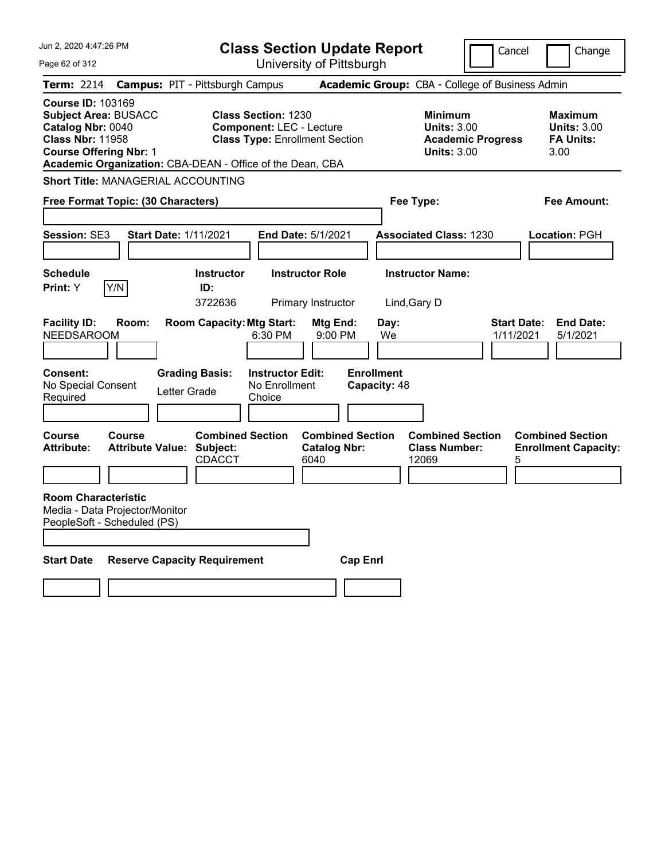| Jun 2, 2020 4:47:26 PM                                                                                                                                                                                |                                                   |                                          |                                                               | <b>Class Section Update Report</b>                     |                                   |                                                                                        | Cancel                          | Change                                                           |
|-------------------------------------------------------------------------------------------------------------------------------------------------------------------------------------------------------|---------------------------------------------------|------------------------------------------|---------------------------------------------------------------|--------------------------------------------------------|-----------------------------------|----------------------------------------------------------------------------------------|---------------------------------|------------------------------------------------------------------|
| Page 62 of 312                                                                                                                                                                                        |                                                   |                                          |                                                               | University of Pittsburgh                               |                                   |                                                                                        |                                 |                                                                  |
| Term: 2214                                                                                                                                                                                            | <b>Campus: PIT - Pittsburgh Campus</b>            |                                          |                                                               |                                                        |                                   | Academic Group: CBA - College of Business Admin                                        |                                 |                                                                  |
| <b>Course ID: 103169</b><br><b>Subject Area: BUSACC</b><br>Catalog Nbr: 0040<br><b>Class Nbr: 11958</b><br><b>Course Offering Nbr: 1</b><br>Academic Organization: CBA-DEAN - Office of the Dean, CBA |                                                   |                                          | <b>Class Section: 1230</b><br><b>Component: LEC - Lecture</b> | <b>Class Type: Enrollment Section</b>                  |                                   | <b>Minimum</b><br><b>Units: 3.00</b><br><b>Academic Progress</b><br><b>Units: 3.00</b> |                                 | <b>Maximum</b><br><b>Units: 3.00</b><br><b>FA Units:</b><br>3.00 |
| <b>Short Title: MANAGERIAL ACCOUNTING</b>                                                                                                                                                             |                                                   |                                          |                                                               |                                                        |                                   |                                                                                        |                                 |                                                                  |
| Free Format Topic: (30 Characters)                                                                                                                                                                    |                                                   |                                          |                                                               |                                                        | Fee Type:                         |                                                                                        |                                 | Fee Amount:                                                      |
| Session: SE3                                                                                                                                                                                          | <b>Start Date: 1/11/2021</b>                      |                                          |                                                               | End Date: 5/1/2021                                     |                                   | <b>Associated Class: 1230</b>                                                          |                                 | Location: PGH                                                    |
| <b>Schedule</b><br>Y/N<br>Print: Y                                                                                                                                                                    |                                                   | <b>Instructor</b><br>ID:<br>3722636      |                                                               | <b>Instructor Role</b><br>Primary Instructor           | Lind, Gary D                      | <b>Instructor Name:</b>                                                                |                                 |                                                                  |
| <b>Facility ID:</b><br><b>NEEDSAROOM</b>                                                                                                                                                              | Room:                                             | <b>Room Capacity: Mtg Start:</b>         | 6:30 PM                                                       | Mtg End:<br>9:00 PM                                    | Day:<br>We                        |                                                                                        | <b>Start Date:</b><br>1/11/2021 | <b>End Date:</b><br>5/1/2021                                     |
| <b>Consent:</b><br>No Special Consent<br>Required                                                                                                                                                     | Letter Grade                                      | <b>Grading Basis:</b>                    | <b>Instructor Edit:</b><br>No Enrollment<br>Choice            |                                                        | <b>Enrollment</b><br>Capacity: 48 |                                                                                        |                                 |                                                                  |
| Course<br><b>Attribute:</b>                                                                                                                                                                           | <b>Course</b><br><b>Attribute Value: Subject:</b> | <b>Combined Section</b><br><b>CDACCT</b> |                                                               | <b>Combined Section</b><br><b>Catalog Nbr:</b><br>6040 |                                   | <b>Combined Section</b><br><b>Class Number:</b><br>12069                               | 5                               | <b>Combined Section</b><br><b>Enrollment Capacity:</b>           |
| <b>Room Characteristic</b><br>Media - Data Projector/Monitor<br>PeopleSoft - Scheduled (PS)                                                                                                           |                                                   |                                          |                                                               |                                                        |                                   |                                                                                        |                                 |                                                                  |
| <b>Start Date</b>                                                                                                                                                                                     | <b>Reserve Capacity Requirement</b>               |                                          |                                                               | <b>Cap Enrl</b>                                        |                                   |                                                                                        |                                 |                                                                  |
|                                                                                                                                                                                                       |                                                   |                                          |                                                               |                                                        |                                   |                                                                                        |                                 |                                                                  |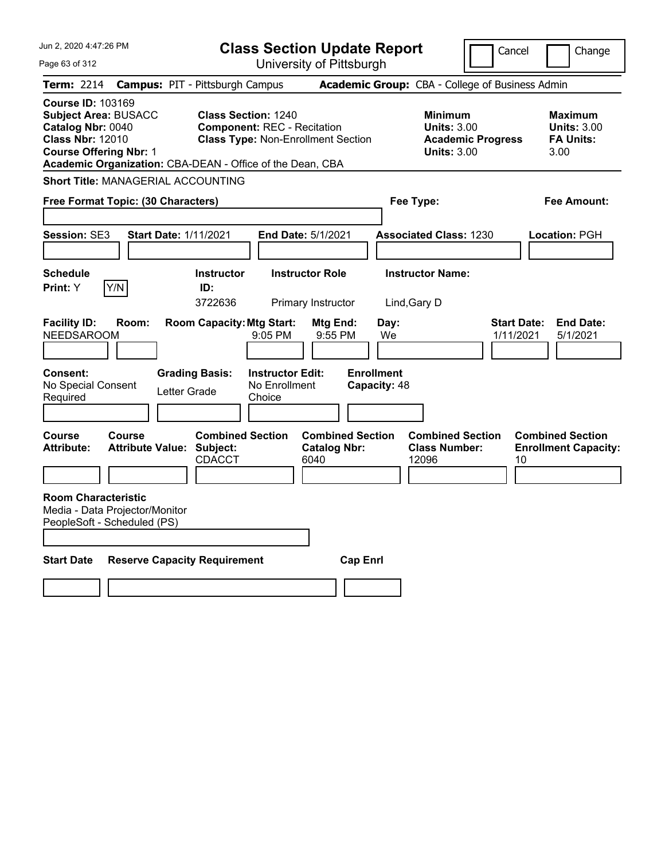| Jun 2, 2020 4:47:26 PM                                                                                                                   | <b>Class Section Update Report</b>                                                                                                                                         |                                                                               | Cancel                                                                                 | Change                                                           |
|------------------------------------------------------------------------------------------------------------------------------------------|----------------------------------------------------------------------------------------------------------------------------------------------------------------------------|-------------------------------------------------------------------------------|----------------------------------------------------------------------------------------|------------------------------------------------------------------|
| Page 63 of 312                                                                                                                           | University of Pittsburgh                                                                                                                                                   |                                                                               |                                                                                        |                                                                  |
| Term: 2214                                                                                                                               | <b>Campus: PIT - Pittsburgh Campus</b>                                                                                                                                     |                                                                               | Academic Group: CBA - College of Business Admin                                        |                                                                  |
| <b>Course ID: 103169</b><br><b>Subject Area: BUSACC</b><br>Catalog Nbr: 0040<br><b>Class Nbr: 12010</b><br><b>Course Offering Nbr: 1</b> | <b>Class Section: 1240</b><br><b>Component: REC - Recitation</b><br><b>Class Type: Non-Enrollment Section</b><br>Academic Organization: CBA-DEAN - Office of the Dean, CBA |                                                                               | <b>Minimum</b><br><b>Units: 3.00</b><br><b>Academic Progress</b><br><b>Units: 3.00</b> | <b>Maximum</b><br><b>Units: 3.00</b><br><b>FA Units:</b><br>3.00 |
| <b>Short Title: MANAGERIAL ACCOUNTING</b>                                                                                                |                                                                                                                                                                            |                                                                               |                                                                                        |                                                                  |
| Free Format Topic: (30 Characters)                                                                                                       |                                                                                                                                                                            | Fee Type:                                                                     |                                                                                        | Fee Amount:                                                      |
| Session: SE3                                                                                                                             | <b>Start Date: 1/11/2021</b><br><b>End Date: 5/1/2021</b>                                                                                                                  |                                                                               | <b>Associated Class: 1230</b>                                                          | Location: PGH                                                    |
| <b>Schedule</b><br>Y/N<br>Print: Y                                                                                                       | <b>Instructor</b><br><b>Instructor Role</b><br>ID:<br>3722636<br>Primary Instructor                                                                                        | Lind, Gary D                                                                  | <b>Instructor Name:</b>                                                                |                                                                  |
| <b>Facility ID:</b><br>Room:<br><b>NEEDSAROOM</b><br><b>Consent:</b><br>No Special Consent<br>Required                                   | <b>Room Capacity: Mtg Start:</b><br>9:05 PM<br><b>Grading Basis:</b><br><b>Instructor Edit:</b><br>No Enrollment<br>Letter Grade<br>Choice                                 | <b>Mtg End:</b><br>Day:<br>9:55 PM<br>We<br><b>Enrollment</b><br>Capacity: 48 | <b>Start Date:</b><br>1/11/2021                                                        | <b>End Date:</b><br>5/1/2021                                     |
| Course<br>Course<br><b>Attribute Value: Subject:</b><br><b>Attribute:</b>                                                                | <b>Combined Section</b><br><b>CDACCT</b><br>6040                                                                                                                           | <b>Combined Section</b><br><b>Catalog Nbr:</b>                                | <b>Combined Section</b><br><b>Class Number:</b><br>12096<br>10                         | <b>Combined Section</b><br><b>Enrollment Capacity:</b>           |
| <b>Room Characteristic</b><br>Media - Data Projector/Monitor<br>PeopleSoft - Scheduled (PS)                                              |                                                                                                                                                                            |                                                                               |                                                                                        |                                                                  |
| <b>Start Date</b>                                                                                                                        | <b>Reserve Capacity Requirement</b>                                                                                                                                        | <b>Cap Enrl</b>                                                               |                                                                                        |                                                                  |
|                                                                                                                                          |                                                                                                                                                                            |                                                                               |                                                                                        |                                                                  |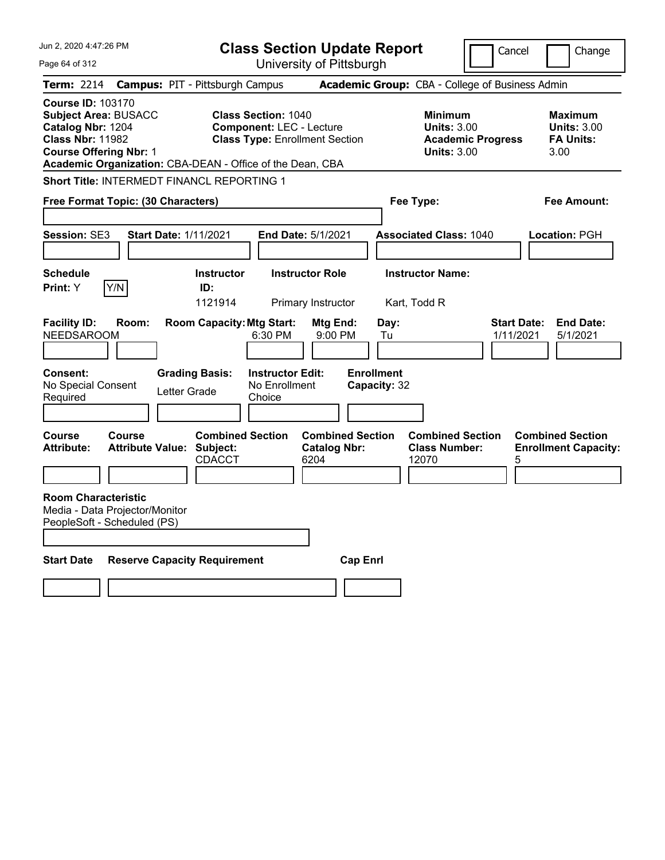| Jun 2, 2020 4:47:26 PM                                                                                                                   |        |                                                                       |                                                               | <b>Class Section Update Report</b>                     |                                   |                                                          | Cancel                          | Change                                                           |
|------------------------------------------------------------------------------------------------------------------------------------------|--------|-----------------------------------------------------------------------|---------------------------------------------------------------|--------------------------------------------------------|-----------------------------------|----------------------------------------------------------|---------------------------------|------------------------------------------------------------------|
| Page 64 of 312                                                                                                                           |        |                                                                       |                                                               | University of Pittsburgh                               |                                   |                                                          |                                 |                                                                  |
| <b>Term: 2214</b>                                                                                                                        |        | <b>Campus: PIT - Pittsburgh Campus</b>                                |                                                               |                                                        |                                   | Academic Group: CBA - College of Business Admin          |                                 |                                                                  |
| <b>Course ID: 103170</b><br><b>Subject Area: BUSACC</b><br>Catalog Nbr: 1204<br><b>Class Nbr: 11982</b><br><b>Course Offering Nbr: 1</b> |        | Academic Organization: CBA-DEAN - Office of the Dean, CBA             | <b>Class Section: 1040</b><br><b>Component: LEC - Lecture</b> | <b>Class Type: Enrollment Section</b>                  |                                   | Minimum<br><b>Units: 3.00</b><br><b>Units: 3.00</b>      | <b>Academic Progress</b>        | <b>Maximum</b><br><b>Units: 3.00</b><br><b>FA Units:</b><br>3.00 |
|                                                                                                                                          |        | Short Title: INTERMEDT FINANCL REPORTING 1                            |                                                               |                                                        |                                   |                                                          |                                 |                                                                  |
| Free Format Topic: (30 Characters)                                                                                                       |        |                                                                       |                                                               |                                                        |                                   | Fee Type:                                                |                                 | Fee Amount:                                                      |
| Session: SE3                                                                                                                             |        | <b>Start Date: 1/11/2021</b>                                          |                                                               | End Date: 5/1/2021                                     |                                   | <b>Associated Class: 1040</b>                            |                                 | Location: PGH                                                    |
|                                                                                                                                          |        |                                                                       |                                                               |                                                        |                                   |                                                          |                                 |                                                                  |
| <b>Schedule</b><br>Print: Y                                                                                                              | Y/N    | <b>Instructor</b><br>ID:<br>1121914                                   |                                                               | <b>Instructor Role</b><br>Primary Instructor           |                                   | <b>Instructor Name:</b><br>Kart, Todd R                  |                                 |                                                                  |
| <b>Facility ID:</b><br><b>NEEDSAROOM</b>                                                                                                 | Room:  | <b>Room Capacity: Mtg Start:</b>                                      | 6:30 PM                                                       | Mtg End:<br>9:00 PM                                    | Day:<br>Tu                        |                                                          | <b>Start Date:</b><br>1/11/2021 | <b>End Date:</b><br>5/1/2021                                     |
| Consent:<br>No Special Consent<br>Required                                                                                               |        | <b>Grading Basis:</b><br>Letter Grade                                 | <b>Instructor Edit:</b><br>No Enrollment<br>Choice            |                                                        | <b>Enrollment</b><br>Capacity: 32 |                                                          |                                 |                                                                  |
| Course<br><b>Attribute:</b>                                                                                                              | Course | <b>Combined Section</b><br><b>Attribute Value: Subject:</b><br>CDACCT |                                                               | <b>Combined Section</b><br><b>Catalog Nbr:</b><br>6204 |                                   | <b>Combined Section</b><br><b>Class Number:</b><br>12070 | 5                               | <b>Combined Section</b><br><b>Enrollment Capacity:</b>           |
| <b>Room Characteristic</b><br>Media - Data Projector/Monitor<br>PeopleSoft - Scheduled (PS)<br><b>Start Date</b>                         |        | <b>Reserve Capacity Requirement</b>                                   |                                                               | <b>Cap Enrl</b>                                        |                                   |                                                          |                                 |                                                                  |
|                                                                                                                                          |        |                                                                       |                                                               |                                                        |                                   |                                                          |                                 |                                                                  |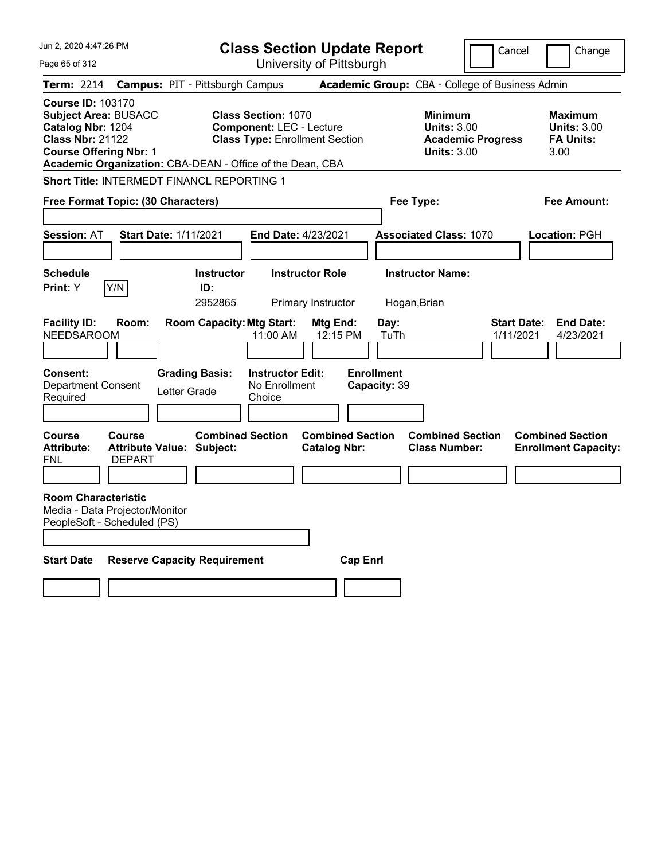| Jun 2, 2020 4:47:26 PM                                                                                                                                                                                | <b>Class Section Update Report</b>                                                                     | Cancel                                                                                 | Change                                                           |
|-------------------------------------------------------------------------------------------------------------------------------------------------------------------------------------------------------|--------------------------------------------------------------------------------------------------------|----------------------------------------------------------------------------------------|------------------------------------------------------------------|
| Page 65 of 312                                                                                                                                                                                        | University of Pittsburgh                                                                               |                                                                                        |                                                                  |
| <b>Campus: PIT - Pittsburgh Campus</b><br>Term: 2214                                                                                                                                                  |                                                                                                        | Academic Group: CBA - College of Business Admin                                        |                                                                  |
| <b>Course ID: 103170</b><br><b>Subject Area: BUSACC</b><br>Catalog Nbr: 1204<br><b>Class Nbr: 21122</b><br><b>Course Offering Nbr: 1</b><br>Academic Organization: CBA-DEAN - Office of the Dean, CBA | <b>Class Section: 1070</b><br><b>Component: LEC - Lecture</b><br><b>Class Type: Enrollment Section</b> | <b>Minimum</b><br><b>Units: 3.00</b><br><b>Academic Progress</b><br><b>Units: 3.00</b> | <b>Maximum</b><br><b>Units: 3.00</b><br><b>FA Units:</b><br>3.00 |
| Short Title: INTERMEDT FINANCL REPORTING 1                                                                                                                                                            |                                                                                                        |                                                                                        |                                                                  |
| Free Format Topic: (30 Characters)                                                                                                                                                                    |                                                                                                        | Fee Type:                                                                              | Fee Amount:                                                      |
| <b>Session: AT</b><br><b>Start Date: 1/11/2021</b>                                                                                                                                                    | <b>End Date: 4/23/2021</b>                                                                             | <b>Associated Class: 1070</b>                                                          | Location: PGH                                                    |
|                                                                                                                                                                                                       |                                                                                                        |                                                                                        |                                                                  |
| <b>Schedule</b><br>Print: Y<br>Y/N                                                                                                                                                                    | <b>Instructor Role</b><br><b>Instructor</b><br>ID:                                                     | <b>Instructor Name:</b>                                                                |                                                                  |
|                                                                                                                                                                                                       | 2952865<br>Primary Instructor                                                                          | Hogan, Brian                                                                           |                                                                  |
| <b>Facility ID:</b><br>Room:<br><b>NEEDSAROOM</b>                                                                                                                                                     | <b>Room Capacity: Mtg Start:</b><br>Mtg End:<br>11:00 AM<br>12:15 PM                                   | Day:<br><b>Start Date:</b><br>TuTh<br>1/11/2021                                        | <b>End Date:</b><br>4/23/2021                                    |
| <b>Consent:</b><br><b>Grading Basis:</b><br><b>Department Consent</b><br>Letter Grade<br>Required                                                                                                     | <b>Instructor Edit:</b><br>No Enrollment<br>Choice                                                     | <b>Enrollment</b><br>Capacity: 39                                                      |                                                                  |
| Course<br><b>Course</b><br><b>Attribute:</b><br>Attribute Value: Subject:<br><b>DEPART</b><br>FNL                                                                                                     | <b>Combined Section</b><br><b>Combined Section</b><br><b>Catalog Nbr:</b>                              | <b>Combined Section</b><br><b>Class Number:</b>                                        | <b>Combined Section</b><br><b>Enrollment Capacity:</b>           |
| <b>Room Characteristic</b><br>Media - Data Projector/Monitor<br>PeopleSoft - Scheduled (PS)                                                                                                           |                                                                                                        |                                                                                        |                                                                  |
| <b>Start Date</b><br><b>Reserve Capacity Requirement</b>                                                                                                                                              | <b>Cap Enri</b>                                                                                        |                                                                                        |                                                                  |
|                                                                                                                                                                                                       |                                                                                                        |                                                                                        |                                                                  |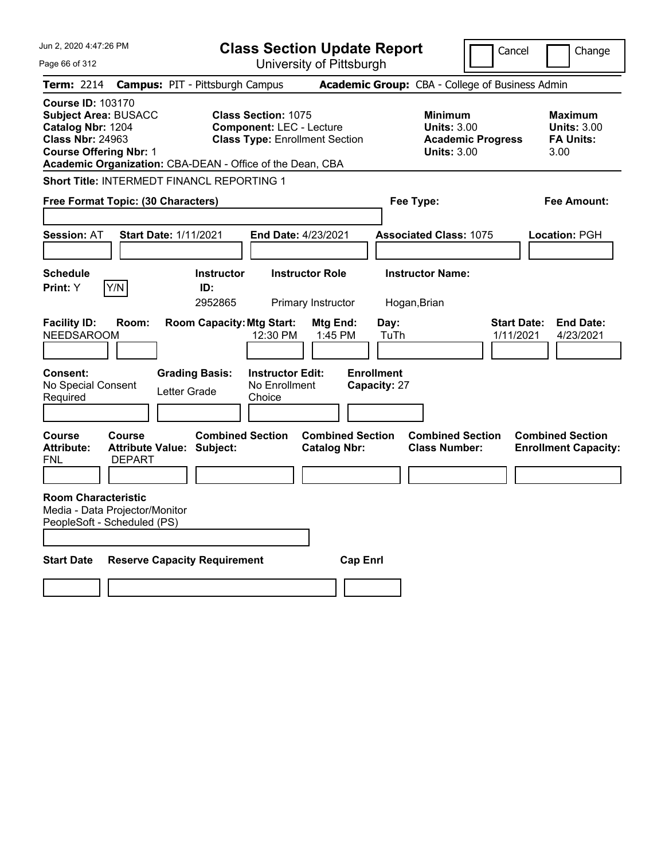| Jun 2, 2020 4:47:26 PM                                                                                                                   |                                                             |                                       | <b>Class Section Update Report</b>                                                                     |                                                |                                   |                                                                                        | Cancel                          | Change                                                           |
|------------------------------------------------------------------------------------------------------------------------------------------|-------------------------------------------------------------|---------------------------------------|--------------------------------------------------------------------------------------------------------|------------------------------------------------|-----------------------------------|----------------------------------------------------------------------------------------|---------------------------------|------------------------------------------------------------------|
| Page 66 of 312                                                                                                                           |                                                             |                                       |                                                                                                        | University of Pittsburgh                       |                                   |                                                                                        |                                 |                                                                  |
| <b>Term: 2214</b>                                                                                                                        | <b>Campus: PIT - Pittsburgh Campus</b>                      |                                       |                                                                                                        |                                                |                                   | Academic Group: CBA - College of Business Admin                                        |                                 |                                                                  |
| <b>Course ID: 103170</b><br><b>Subject Area: BUSACC</b><br>Catalog Nbr: 1204<br><b>Class Nbr: 24963</b><br><b>Course Offering Nbr: 1</b> | Academic Organization: CBA-DEAN - Office of the Dean, CBA   |                                       | <b>Class Section: 1075</b><br><b>Component: LEC - Lecture</b><br><b>Class Type: Enrollment Section</b> |                                                |                                   | <b>Minimum</b><br><b>Units: 3.00</b><br><b>Academic Progress</b><br><b>Units: 3.00</b> |                                 | <b>Maximum</b><br><b>Units: 3.00</b><br><b>FA Units:</b><br>3.00 |
|                                                                                                                                          | Short Title: INTERMEDT FINANCL REPORTING 1                  |                                       |                                                                                                        |                                                |                                   |                                                                                        |                                 |                                                                  |
|                                                                                                                                          | Free Format Topic: (30 Characters)                          |                                       |                                                                                                        |                                                | Fee Type:                         |                                                                                        |                                 | Fee Amount:                                                      |
| <b>Session: AT</b>                                                                                                                       | <b>Start Date: 1/11/2021</b>                                |                                       | <b>End Date: 4/23/2021</b>                                                                             |                                                |                                   | <b>Associated Class: 1075</b>                                                          |                                 | Location: PGH                                                    |
| <b>Schedule</b><br>Print: Y                                                                                                              | Y/N                                                         | <b>Instructor</b><br>ID:<br>2952865   |                                                                                                        | <b>Instructor Role</b><br>Primary Instructor   | Hogan, Brian                      | <b>Instructor Name:</b>                                                                |                                 |                                                                  |
| <b>Facility ID:</b><br><b>NEEDSAROOM</b>                                                                                                 | Room:                                                       | <b>Room Capacity: Mtg Start:</b>      | 12:30 PM                                                                                               | Mtg End:<br>1:45 PM                            | Day:<br>TuTh                      |                                                                                        | <b>Start Date:</b><br>1/11/2021 | <b>End Date:</b><br>4/23/2021                                    |
| <b>Consent:</b><br>No Special Consent<br>Required                                                                                        |                                                             | <b>Grading Basis:</b><br>Letter Grade | <b>Instructor Edit:</b><br>No Enrollment<br>Choice                                                     |                                                | <b>Enrollment</b><br>Capacity: 27 |                                                                                        |                                 |                                                                  |
| Course<br><b>Attribute:</b><br>FNL                                                                                                       | <b>Course</b><br>Attribute Value: Subject:<br><b>DEPART</b> | <b>Combined Section</b>               |                                                                                                        | <b>Combined Section</b><br><b>Catalog Nbr:</b> |                                   | <b>Combined Section</b><br><b>Class Number:</b>                                        |                                 | <b>Combined Section</b><br><b>Enrollment Capacity:</b>           |
| <b>Room Characteristic</b><br>PeopleSoft - Scheduled (PS)                                                                                | Media - Data Projector/Monitor                              |                                       |                                                                                                        |                                                |                                   |                                                                                        |                                 |                                                                  |
| <b>Start Date</b>                                                                                                                        | <b>Reserve Capacity Requirement</b>                         |                                       |                                                                                                        | <b>Cap Enri</b>                                |                                   |                                                                                        |                                 |                                                                  |
|                                                                                                                                          |                                                             |                                       |                                                                                                        |                                                |                                   |                                                                                        |                                 |                                                                  |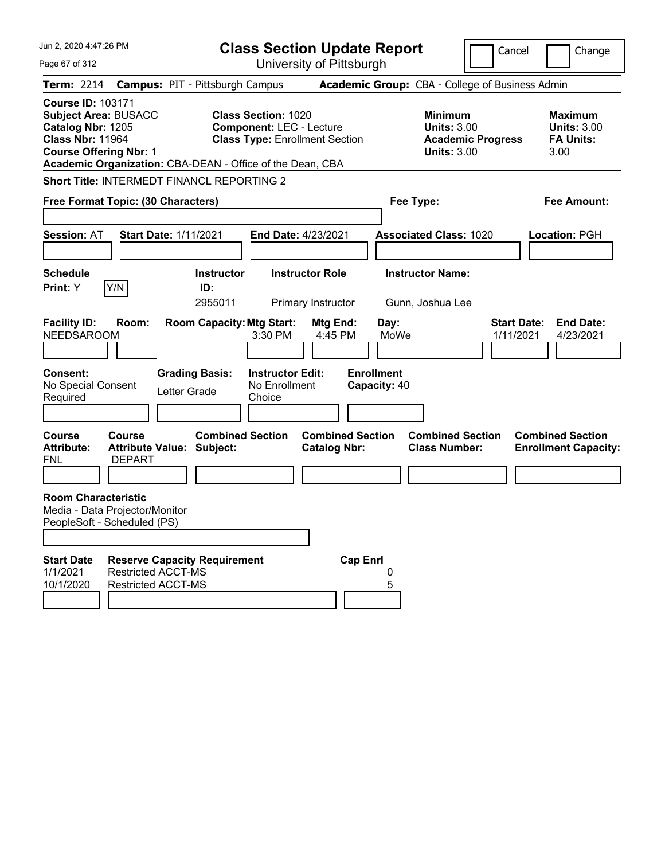| Jun 2, 2020 4:47:26 PM<br>Page 67 of 312                                                                                                                                                                                                                                                                  |                                        | <b>Class Section Update Report</b><br>University of Pittsburgh                                         |                     |                                                            | Cancel                          | Change                                                           |
|-----------------------------------------------------------------------------------------------------------------------------------------------------------------------------------------------------------------------------------------------------------------------------------------------------------|----------------------------------------|--------------------------------------------------------------------------------------------------------|---------------------|------------------------------------------------------------|---------------------------------|------------------------------------------------------------------|
| <b>Term: 2214</b>                                                                                                                                                                                                                                                                                         | <b>Campus: PIT - Pittsburgh Campus</b> |                                                                                                        |                     | Academic Group: CBA - College of Business Admin            |                                 |                                                                  |
| <b>Course ID: 103171</b><br><b>Subject Area: BUSACC</b><br>Catalog Nbr: 1205<br><b>Class Nbr: 11964</b><br><b>Course Offering Nbr: 1</b><br>Academic Organization: CBA-DEAN - Office of the Dean, CBA                                                                                                     |                                        | <b>Class Section: 1020</b><br><b>Component: LEC - Lecture</b><br><b>Class Type: Enrollment Section</b> |                     | <b>Minimum</b><br><b>Units: 3.00</b><br><b>Units: 3.00</b> | <b>Academic Progress</b>        | <b>Maximum</b><br><b>Units: 3.00</b><br><b>FA Units:</b><br>3.00 |
| Short Title: INTERMEDT FINANCL REPORTING 2<br>Free Format Topic: (30 Characters)                                                                                                                                                                                                                          |                                        |                                                                                                        |                     | Fee Type:                                                  |                                 | <b>Fee Amount:</b>                                               |
| <b>Session: AT</b>                                                                                                                                                                                                                                                                                        | <b>Start Date: 1/11/2021</b>           | End Date: 4/23/2021                                                                                    |                     | <b>Associated Class: 1020</b>                              |                                 | <b>Location: PGH</b>                                             |
| <b>Schedule</b><br>Y/N<br>Print: Y                                                                                                                                                                                                                                                                        | <b>Instructor</b><br>ID:<br>2955011    | <b>Instructor Role</b><br>Primary Instructor                                                           |                     | <b>Instructor Name:</b><br>Gunn, Joshua Lee                |                                 |                                                                  |
| <b>Facility ID:</b><br>Room:<br><b>NEEDSAROOM</b>                                                                                                                                                                                                                                                         | <b>Room Capacity: Mtg Start:</b>       | 3:30 PM                                                                                                | Mtg End:<br>4:45 PM | Day:<br>MoWe                                               | <b>Start Date:</b><br>1/11/2021 | <b>End Date:</b><br>4/23/2021                                    |
| <b>Consent:</b><br>No Special Consent<br>Required                                                                                                                                                                                                                                                         | <b>Grading Basis:</b><br>Letter Grade  | <b>Instructor Edit:</b><br>No Enrollment<br>Choice                                                     |                     | <b>Enrollment</b><br>Capacity: 40                          |                                 |                                                                  |
| <b>Combined Section</b><br><b>Combined Section</b><br><b>Combined Section</b><br><b>Combined Section</b><br><b>Course</b><br>Course<br><b>Attribute:</b><br><b>Attribute Value: Subject:</b><br><b>Class Number:</b><br><b>Catalog Nbr:</b><br><b>Enrollment Capacity:</b><br><b>DEPART</b><br><b>FNL</b> |                                        |                                                                                                        |                     |                                                            |                                 |                                                                  |
| <b>Room Characteristic</b><br>Media - Data Projector/Monitor<br>PeopleSoft - Scheduled (PS)                                                                                                                                                                                                               |                                        |                                                                                                        |                     |                                                            |                                 |                                                                  |
| <b>Start Date</b><br>1/1/2021<br><b>Restricted ACCT-MS</b><br>10/1/2020<br><b>Restricted ACCT-MS</b>                                                                                                                                                                                                      | <b>Reserve Capacity Requirement</b>    |                                                                                                        | <b>Cap Enrl</b>     | 0<br>5                                                     |                                 |                                                                  |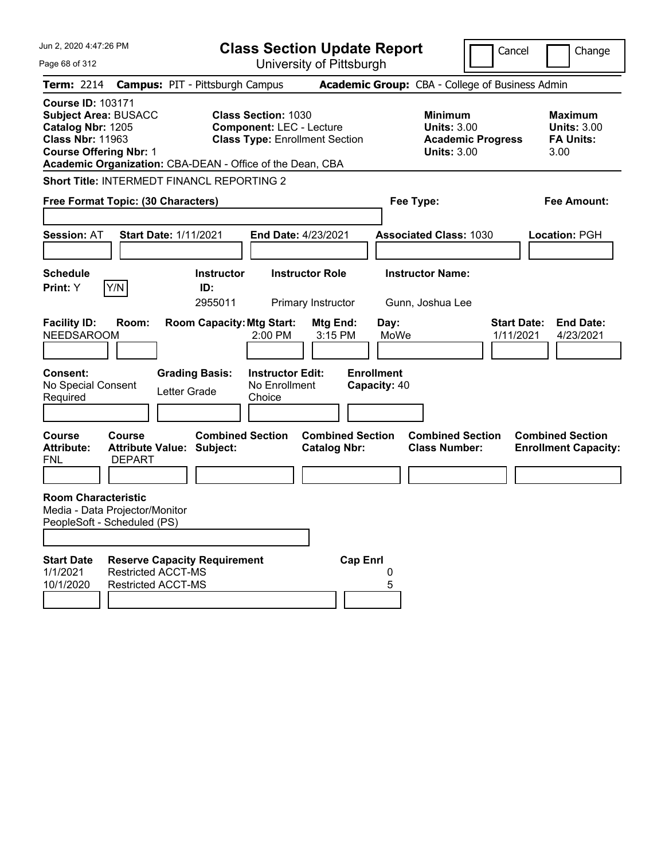| Jun 2, 2020 4:47:26 PM                                                                                                                                                                                |                                                                                                                                                                                                                                                       |                                                                           |                                                               | <b>Class Section Update Report</b>    |                                                   |                                                            | Cancel                   |                                 | Change                                                   |
|-------------------------------------------------------------------------------------------------------------------------------------------------------------------------------------------------------|-------------------------------------------------------------------------------------------------------------------------------------------------------------------------------------------------------------------------------------------------------|---------------------------------------------------------------------------|---------------------------------------------------------------|---------------------------------------|---------------------------------------------------|------------------------------------------------------------|--------------------------|---------------------------------|----------------------------------------------------------|
| Page 68 of 312                                                                                                                                                                                        |                                                                                                                                                                                                                                                       |                                                                           |                                                               | University of Pittsburgh              |                                                   |                                                            |                          |                                 |                                                          |
| <b>Term: 2214</b>                                                                                                                                                                                     | <b>Campus: PIT - Pittsburgh Campus</b>                                                                                                                                                                                                                |                                                                           |                                                               |                                       |                                                   | Academic Group: CBA - College of Business Admin            |                          |                                 |                                                          |
| <b>Course ID: 103171</b><br><b>Subject Area: BUSACC</b><br>Catalog Nbr: 1205<br><b>Class Nbr: 11963</b><br><b>Course Offering Nbr: 1</b><br>Academic Organization: CBA-DEAN - Office of the Dean, CBA |                                                                                                                                                                                                                                                       |                                                                           | <b>Class Section: 1030</b><br><b>Component: LEC - Lecture</b> | <b>Class Type: Enrollment Section</b> |                                                   | <b>Minimum</b><br><b>Units: 3.00</b><br><b>Units: 3.00</b> | <b>Academic Progress</b> | 3.00                            | <b>Maximum</b><br><b>Units: 3.00</b><br><b>FA Units:</b> |
| Short Title: INTERMEDT FINANCL REPORTING 2                                                                                                                                                            |                                                                                                                                                                                                                                                       |                                                                           |                                                               |                                       |                                                   |                                                            |                          |                                 |                                                          |
| Free Format Topic: (30 Characters)                                                                                                                                                                    |                                                                                                                                                                                                                                                       |                                                                           |                                                               |                                       |                                                   | Fee Type:                                                  |                          |                                 | <b>Fee Amount:</b>                                       |
| <b>Session: AT</b>                                                                                                                                                                                    | <b>Start Date: 1/11/2021</b>                                                                                                                                                                                                                          |                                                                           | <b>End Date: 4/23/2021</b>                                    |                                       |                                                   | <b>Associated Class: 1030</b>                              |                          |                                 | <b>Location: PGH</b>                                     |
| <b>Schedule</b>                                                                                                                                                                                       |                                                                                                                                                                                                                                                       | <b>Instructor</b>                                                         |                                                               | <b>Instructor Role</b>                |                                                   | <b>Instructor Name:</b>                                    |                          |                                 |                                                          |
| Y/N<br>Print: Y                                                                                                                                                                                       |                                                                                                                                                                                                                                                       | ID:<br>2955011                                                            |                                                               | Primary Instructor                    |                                                   | Gunn, Joshua Lee                                           |                          |                                 |                                                          |
| <b>Facility ID:</b><br><b>NEEDSAROOM</b><br><b>Consent:</b><br>No Special Consent<br>Required                                                                                                         | Room:                                                                                                                                                                                                                                                 | <b>Room Capacity: Mtg Start:</b><br><b>Grading Basis:</b><br>Letter Grade | 2:00 PM<br><b>Instructor Edit:</b><br>No Enrollment<br>Choice | Mtg End:<br>3:15 PM                   | Day:<br>MoWe<br><b>Enrollment</b><br>Capacity: 40 |                                                            |                          | <b>Start Date:</b><br>1/11/2021 | <b>End Date:</b><br>4/23/2021                            |
| <b>Course</b><br><b>Attribute:</b><br><b>FNL</b>                                                                                                                                                      | <b>Combined Section</b><br><b>Combined Section</b><br><b>Combined Section</b><br><b>Combined Section</b><br>Course<br><b>Attribute Value: Subject:</b><br><b>Class Number:</b><br><b>Catalog Nbr:</b><br><b>Enrollment Capacity:</b><br><b>DEPART</b> |                                                                           |                                                               |                                       |                                                   |                                                            |                          |                                 |                                                          |
| <b>Room Characteristic</b><br>Media - Data Projector/Monitor<br>PeopleSoft - Scheduled (PS)                                                                                                           |                                                                                                                                                                                                                                                       |                                                                           |                                                               |                                       |                                                   |                                                            |                          |                                 |                                                          |
| <b>Start Date</b><br>1/1/2021<br>10/1/2020                                                                                                                                                            | <b>Reserve Capacity Requirement</b><br><b>Restricted ACCT-MS</b><br><b>Restricted ACCT-MS</b>                                                                                                                                                         |                                                                           |                                                               | <b>Cap Enrl</b>                       | 0<br>5                                            |                                                            |                          |                                 |                                                          |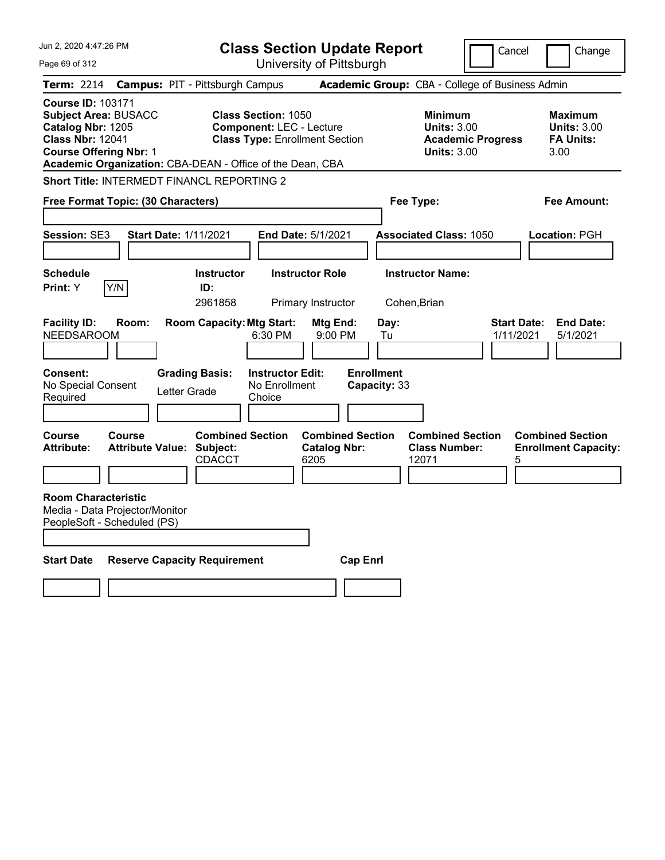| Jun 2, 2020 4:47:26 PM                                                                                                                   |                                                                              | <b>Class Section Update Report</b>                                                                     |                                                                                        | Cancel<br>Change                                                 |
|------------------------------------------------------------------------------------------------------------------------------------------|------------------------------------------------------------------------------|--------------------------------------------------------------------------------------------------------|----------------------------------------------------------------------------------------|------------------------------------------------------------------|
| Page 69 of 312                                                                                                                           |                                                                              | University of Pittsburgh                                                                               |                                                                                        |                                                                  |
| Term: 2214                                                                                                                               | <b>Campus: PIT - Pittsburgh Campus</b>                                       |                                                                                                        | Academic Group: CBA - College of Business Admin                                        |                                                                  |
| <b>Course ID: 103171</b><br><b>Subject Area: BUSACC</b><br>Catalog Nbr: 1205<br><b>Class Nbr: 12041</b><br><b>Course Offering Nbr: 1</b> | Academic Organization: CBA-DEAN - Office of the Dean, CBA                    | <b>Class Section: 1050</b><br><b>Component: LEC - Lecture</b><br><b>Class Type: Enrollment Section</b> | <b>Minimum</b><br><b>Units: 3.00</b><br><b>Academic Progress</b><br><b>Units: 3.00</b> | <b>Maximum</b><br><b>Units: 3.00</b><br><b>FA Units:</b><br>3.00 |
|                                                                                                                                          | <b>Short Title: INTERMEDT FINANCL REPORTING 2</b>                            |                                                                                                        |                                                                                        |                                                                  |
| Free Format Topic: (30 Characters)                                                                                                       |                                                                              |                                                                                                        | Fee Type:                                                                              | Fee Amount:                                                      |
| <b>Session: SE3</b>                                                                                                                      | <b>Start Date: 1/11/2021</b>                                                 | <b>End Date: 5/1/2021</b>                                                                              | <b>Associated Class: 1050</b>                                                          | Location: PGH                                                    |
| <b>Schedule</b><br>Y/N<br>Print: Y                                                                                                       | <b>Instructor</b><br>ID:<br>2961858                                          | <b>Instructor Role</b><br>Primary Instructor                                                           | <b>Instructor Name:</b><br>Cohen, Brian                                                |                                                                  |
| <b>Facility ID:</b><br>Room:<br><b>NEEDSAROOM</b>                                                                                        | <b>Room Capacity: Mtg Start:</b>                                             | Mtg End:<br>6:30 PM<br>9:00 PM                                                                         | Day:<br>Tu                                                                             | <b>End Date:</b><br><b>Start Date:</b><br>1/11/2021<br>5/1/2021  |
| <b>Consent:</b><br>No Special Consent<br>Required                                                                                        | <b>Grading Basis:</b><br>Letter Grade                                        | <b>Instructor Edit:</b><br>No Enrollment<br>Choice                                                     | <b>Enrollment</b><br>Capacity: 33                                                      |                                                                  |
| <b>Course</b><br><b>Course</b><br><b>Attribute:</b>                                                                                      | <b>Combined Section</b><br><b>Attribute Value: Subject:</b><br><b>CDACCT</b> | <b>Combined Section</b><br><b>Catalog Nbr:</b><br>6205                                                 | <b>Combined Section</b><br><b>Class Number:</b><br>12071                               | <b>Combined Section</b><br><b>Enrollment Capacity:</b><br>5      |
| <b>Room Characteristic</b><br>Media - Data Projector/Monitor<br>PeopleSoft - Scheduled (PS)                                              |                                                                              |                                                                                                        |                                                                                        |                                                                  |
| <b>Start Date</b>                                                                                                                        | <b>Reserve Capacity Requirement</b>                                          |                                                                                                        | <b>Cap Enrl</b>                                                                        |                                                                  |
|                                                                                                                                          |                                                                              |                                                                                                        |                                                                                        |                                                                  |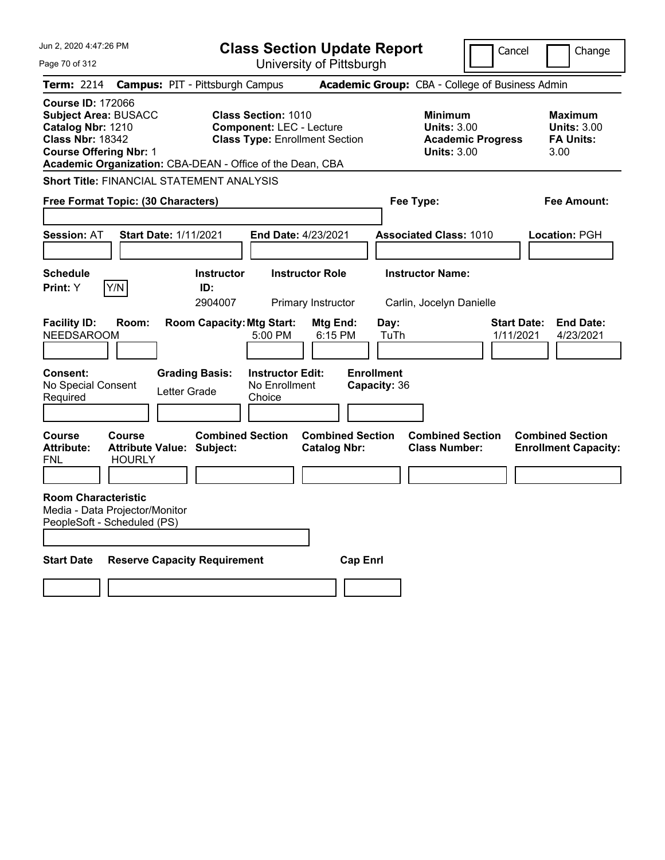| Jun 2, 2020 4:47:26 PM                                                                                                                                                                                | <b>Class Section Update Report</b>                                                                                       |                                                                                        | Cancel<br>Change                                                 |
|-------------------------------------------------------------------------------------------------------------------------------------------------------------------------------------------------------|--------------------------------------------------------------------------------------------------------------------------|----------------------------------------------------------------------------------------|------------------------------------------------------------------|
| Page 70 of 312                                                                                                                                                                                        | University of Pittsburgh                                                                                                 |                                                                                        |                                                                  |
| Term: 2214                                                                                                                                                                                            | <b>Campus: PIT - Pittsburgh Campus</b>                                                                                   | Academic Group: CBA - College of Business Admin                                        |                                                                  |
| <b>Course ID: 172066</b><br><b>Subject Area: BUSACC</b><br>Catalog Nbr: 1210<br><b>Class Nbr: 18342</b><br><b>Course Offering Nbr: 1</b><br>Academic Organization: CBA-DEAN - Office of the Dean, CBA | <b>Class Section: 1010</b><br><b>Component: LEC - Lecture</b><br><b>Class Type: Enrollment Section</b>                   | <b>Minimum</b><br><b>Units: 3.00</b><br><b>Academic Progress</b><br><b>Units: 3.00</b> | <b>Maximum</b><br><b>Units: 3.00</b><br><b>FA Units:</b><br>3.00 |
| <b>Short Title: FINANCIAL STATEMENT ANALYSIS</b>                                                                                                                                                      |                                                                                                                          |                                                                                        |                                                                  |
| Free Format Topic: (30 Characters)                                                                                                                                                                    |                                                                                                                          | Fee Type:                                                                              | Fee Amount:                                                      |
|                                                                                                                                                                                                       |                                                                                                                          |                                                                                        |                                                                  |
| <b>Session: AT</b><br><b>Start Date: 1/11/2021</b>                                                                                                                                                    | <b>End Date: 4/23/2021</b>                                                                                               | <b>Associated Class: 1010</b>                                                          | Location: PGH                                                    |
|                                                                                                                                                                                                       |                                                                                                                          |                                                                                        |                                                                  |
| <b>Schedule</b>                                                                                                                                                                                       | <b>Instructor Role</b><br><b>Instructor</b>                                                                              | <b>Instructor Name:</b>                                                                |                                                                  |
| Print: Y<br>Y/N                                                                                                                                                                                       | ID:<br>2904007<br>Primary Instructor                                                                                     | Carlin, Jocelyn Danielle                                                               |                                                                  |
| <b>Facility ID:</b><br>Room:<br><b>NEEDSAROOM</b><br>Consent:<br><b>Grading Basis:</b><br>No Special Consent<br>Letter Grade<br>Required                                                              | <b>Room Capacity: Mtg Start:</b><br>Mtg End:<br>5:00 PM<br>6:15 PM<br><b>Instructor Edit:</b><br>No Enrollment<br>Choice | Day:<br>TuTh<br><b>Enrollment</b><br>Capacity: 36                                      | <b>Start Date:</b><br><b>End Date:</b><br>1/11/2021<br>4/23/2021 |
| Course<br><b>Course</b><br><b>Attribute:</b><br><b>Attribute Value: Subject:</b><br><b>HOURLY</b><br>FNL                                                                                              | <b>Combined Section</b><br><b>Catalog Nbr:</b>                                                                           | <b>Combined Section</b><br><b>Combined Section</b><br><b>Class Number:</b>             | <b>Combined Section</b><br><b>Enrollment Capacity:</b>           |
| <b>Room Characteristic</b><br>Media - Data Projector/Monitor<br>PeopleSoft - Scheduled (PS)                                                                                                           |                                                                                                                          |                                                                                        |                                                                  |
| <b>Start Date</b><br><b>Reserve Capacity Requirement</b>                                                                                                                                              |                                                                                                                          | <b>Cap Enri</b>                                                                        |                                                                  |
|                                                                                                                                                                                                       |                                                                                                                          |                                                                                        |                                                                  |
|                                                                                                                                                                                                       |                                                                                                                          |                                                                                        |                                                                  |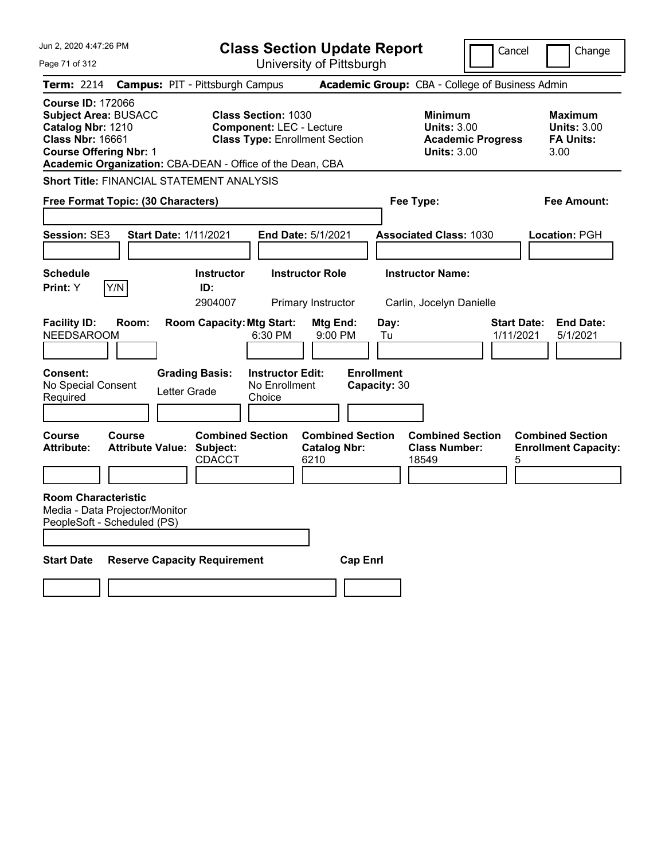| Jun 2, 2020 4:47:26 PM                                                                                                                                                                                                                          | <b>Class Section Update Report</b>                                                                                                                                                                                                                      | Cancel                                                                                                                                              | Change                                                                                 |
|-------------------------------------------------------------------------------------------------------------------------------------------------------------------------------------------------------------------------------------------------|---------------------------------------------------------------------------------------------------------------------------------------------------------------------------------------------------------------------------------------------------------|-----------------------------------------------------------------------------------------------------------------------------------------------------|----------------------------------------------------------------------------------------|
| Page 71 of 312                                                                                                                                                                                                                                  | University of Pittsburgh                                                                                                                                                                                                                                |                                                                                                                                                     |                                                                                        |
| Term: 2214                                                                                                                                                                                                                                      | <b>Campus: PIT - Pittsburgh Campus</b>                                                                                                                                                                                                                  | Academic Group: CBA - College of Business Admin                                                                                                     |                                                                                        |
| <b>Course ID: 172066</b><br><b>Subject Area: BUSACC</b><br>Catalog Nbr: 1210<br><b>Class Nbr: 16661</b><br><b>Course Offering Nbr: 1</b>                                                                                                        | <b>Class Section: 1030</b><br><b>Component: LEC - Lecture</b><br><b>Class Type: Enrollment Section</b><br>Academic Organization: CBA-DEAN - Office of the Dean, CBA                                                                                     | <b>Minimum</b><br><b>Units: 3.00</b><br><b>Academic Progress</b><br><b>Units: 3.00</b>                                                              | <b>Maximum</b><br><b>Units: 3.00</b><br><b>FA Units:</b><br>3.00                       |
| <b>Short Title: FINANCIAL STATEMENT ANALYSIS</b>                                                                                                                                                                                                |                                                                                                                                                                                                                                                         |                                                                                                                                                     |                                                                                        |
| Free Format Topic: (30 Characters)                                                                                                                                                                                                              |                                                                                                                                                                                                                                                         | Fee Type:                                                                                                                                           | Fee Amount:                                                                            |
|                                                                                                                                                                                                                                                 |                                                                                                                                                                                                                                                         |                                                                                                                                                     |                                                                                        |
| Session: SE3<br><b>Start Date: 1/11/2021</b>                                                                                                                                                                                                    | End Date: 5/1/2021                                                                                                                                                                                                                                      | <b>Associated Class: 1030</b>                                                                                                                       | Location: PGH                                                                          |
|                                                                                                                                                                                                                                                 |                                                                                                                                                                                                                                                         |                                                                                                                                                     |                                                                                        |
| <b>Schedule</b>                                                                                                                                                                                                                                 | <b>Instructor Role</b><br><b>Instructor</b>                                                                                                                                                                                                             | <b>Instructor Name:</b>                                                                                                                             |                                                                                        |
| Y/N<br>Print: Y                                                                                                                                                                                                                                 | ID:<br>2904007<br>Primary Instructor                                                                                                                                                                                                                    | Carlin, Jocelyn Danielle                                                                                                                            |                                                                                        |
| <b>Facility ID:</b><br>Room:<br><b>NEEDSAROOM</b><br><b>Consent:</b><br>No Special Consent<br>Letter Grade<br>Required<br><b>Course</b><br><b>Course</b><br><b>Attribute:</b><br><b>Attribute Value: Subject:</b><br><b>Room Characteristic</b> | <b>Room Capacity: Mtg Start:</b><br>Mtg End:<br>6:30 PM<br>9:00 PM<br><b>Grading Basis:</b><br><b>Instructor Edit:</b><br>No Enrollment<br>Choice<br><b>Combined Section</b><br><b>Combined Section</b><br><b>Catalog Nbr:</b><br><b>CDACCT</b><br>6210 | Day:<br><b>Start Date:</b><br>1/11/2021<br>Tu<br><b>Enrollment</b><br>Capacity: 30<br><b>Combined Section</b><br><b>Class Number:</b><br>18549<br>5 | <b>End Date:</b><br>5/1/2021<br><b>Combined Section</b><br><b>Enrollment Capacity:</b> |
| Media - Data Projector/Monitor<br>PeopleSoft - Scheduled (PS)                                                                                                                                                                                   |                                                                                                                                                                                                                                                         |                                                                                                                                                     |                                                                                        |
| <b>Start Date</b><br><b>Reserve Capacity Requirement</b><br><b>Cap Enrl</b>                                                                                                                                                                     |                                                                                                                                                                                                                                                         |                                                                                                                                                     |                                                                                        |
|                                                                                                                                                                                                                                                 |                                                                                                                                                                                                                                                         |                                                                                                                                                     |                                                                                        |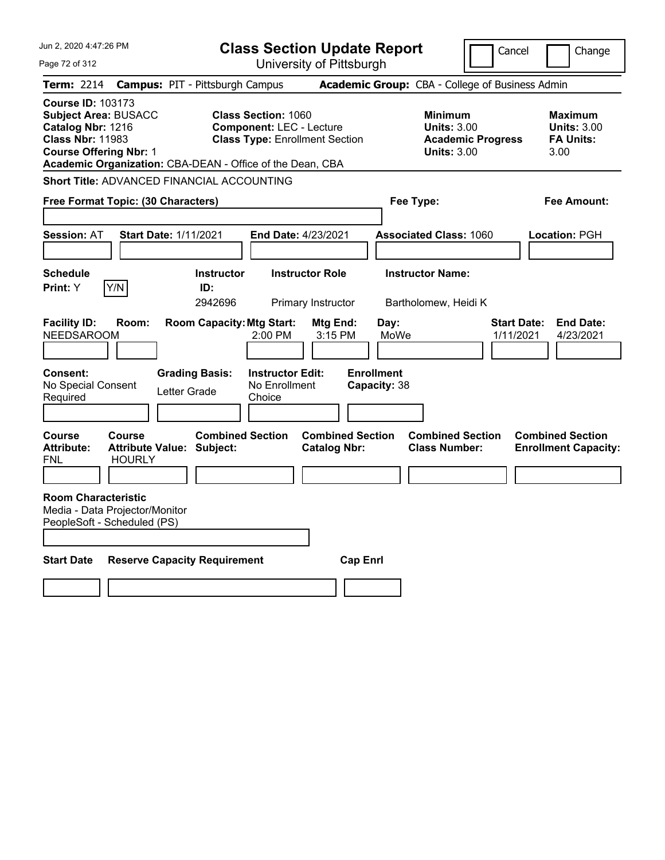| Jun 2, 2020 4:47:26 PM                                                                                                                   |                                                                    |                                     | <b>Class Section Update Report</b>                                                                     |                                                |                                   |                                                                                        | Cancel                          | Change                                                           |
|------------------------------------------------------------------------------------------------------------------------------------------|--------------------------------------------------------------------|-------------------------------------|--------------------------------------------------------------------------------------------------------|------------------------------------------------|-----------------------------------|----------------------------------------------------------------------------------------|---------------------------------|------------------------------------------------------------------|
| Page 72 of 312                                                                                                                           |                                                                    |                                     |                                                                                                        | University of Pittsburgh                       |                                   |                                                                                        |                                 |                                                                  |
| <b>Term: 2214</b>                                                                                                                        | <b>Campus: PIT - Pittsburgh Campus</b>                             |                                     |                                                                                                        |                                                |                                   | Academic Group: CBA - College of Business Admin                                        |                                 |                                                                  |
| <b>Course ID: 103173</b><br><b>Subject Area: BUSACC</b><br>Catalog Nbr: 1216<br><b>Class Nbr: 11983</b><br><b>Course Offering Nbr: 1</b> | Academic Organization: CBA-DEAN - Office of the Dean, CBA          |                                     | <b>Class Section: 1060</b><br><b>Component: LEC - Lecture</b><br><b>Class Type: Enrollment Section</b> |                                                |                                   | <b>Minimum</b><br><b>Units: 3.00</b><br><b>Academic Progress</b><br><b>Units: 3.00</b> |                                 | <b>Maximum</b><br><b>Units: 3.00</b><br><b>FA Units:</b><br>3.00 |
|                                                                                                                                          | Short Title: ADVANCED FINANCIAL ACCOUNTING                         |                                     |                                                                                                        |                                                |                                   |                                                                                        |                                 |                                                                  |
|                                                                                                                                          | Free Format Topic: (30 Characters)                                 |                                     |                                                                                                        |                                                | Fee Type:                         |                                                                                        |                                 | Fee Amount:                                                      |
| <b>Session: AT</b>                                                                                                                       | <b>Start Date: 1/11/2021</b>                                       |                                     | <b>End Date: 4/23/2021</b>                                                                             |                                                |                                   | <b>Associated Class: 1060</b>                                                          |                                 | Location: PGH                                                    |
| <b>Schedule</b><br>Print: Y                                                                                                              | Y/N                                                                | <b>Instructor</b><br>ID:<br>2942696 |                                                                                                        | <b>Instructor Role</b><br>Primary Instructor   |                                   | <b>Instructor Name:</b><br>Bartholomew, Heidi K                                        |                                 |                                                                  |
| <b>Facility ID:</b><br><b>NEEDSAROOM</b>                                                                                                 | Room:                                                              | <b>Room Capacity: Mtg Start:</b>    | $2:00$ PM                                                                                              | Mtg End:<br>3:15 PM                            | Day:<br>MoWe                      |                                                                                        | <b>Start Date:</b><br>1/11/2021 | <b>End Date:</b><br>4/23/2021                                    |
| <b>Consent:</b><br>No Special Consent<br>Required                                                                                        | Letter Grade                                                       | <b>Grading Basis:</b>               | <b>Instructor Edit:</b><br>No Enrollment<br>Choice                                                     |                                                | <b>Enrollment</b><br>Capacity: 38 |                                                                                        |                                 |                                                                  |
| Course<br><b>Attribute:</b><br>FNL                                                                                                       | <b>Course</b><br><b>Attribute Value: Subject:</b><br><b>HOURLY</b> | <b>Combined Section</b>             |                                                                                                        | <b>Combined Section</b><br><b>Catalog Nbr:</b> |                                   | <b>Combined Section</b><br><b>Class Number:</b>                                        |                                 | <b>Combined Section</b><br><b>Enrollment Capacity:</b>           |
| <b>Room Characteristic</b><br>PeopleSoft - Scheduled (PS)                                                                                | Media - Data Projector/Monitor                                     |                                     |                                                                                                        |                                                |                                   |                                                                                        |                                 |                                                                  |
| <b>Start Date</b>                                                                                                                        | <b>Reserve Capacity Requirement</b>                                |                                     |                                                                                                        | <b>Cap Enri</b>                                |                                   |                                                                                        |                                 |                                                                  |
|                                                                                                                                          |                                                                    |                                     |                                                                                                        |                                                |                                   |                                                                                        |                                 |                                                                  |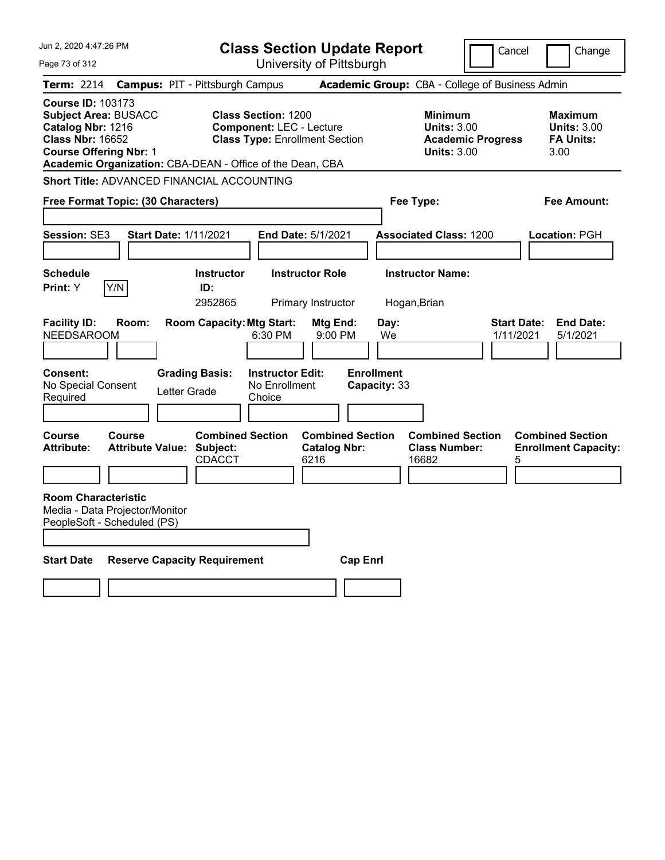| Jun 2, 2020 4:47:26 PM                                                                                                                                                                                |                                            |                                                           |                                                               | <b>Class Section Update Report</b>                     |                                                 |                                                          | Cancel                   | Change                                                      |
|-------------------------------------------------------------------------------------------------------------------------------------------------------------------------------------------------------|--------------------------------------------|-----------------------------------------------------------|---------------------------------------------------------------|--------------------------------------------------------|-------------------------------------------------|----------------------------------------------------------|--------------------------|-------------------------------------------------------------|
| Page 73 of 312                                                                                                                                                                                        |                                            |                                                           |                                                               | University of Pittsburgh                               |                                                 |                                                          |                          |                                                             |
| <b>Term: 2214</b>                                                                                                                                                                                     | <b>Campus: PIT - Pittsburgh Campus</b>     |                                                           |                                                               |                                                        |                                                 | Academic Group: CBA - College of Business Admin          |                          |                                                             |
| <b>Course ID: 103173</b><br><b>Subject Area: BUSACC</b><br>Catalog Nbr: 1216<br><b>Class Nbr: 16652</b><br><b>Course Offering Nbr: 1</b><br>Academic Organization: CBA-DEAN - Office of the Dean, CBA |                                            |                                                           | <b>Class Section: 1200</b><br><b>Component: LEC - Lecture</b> | <b>Class Type: Enrollment Section</b>                  |                                                 | Minimum<br><b>Units: 3.00</b><br><b>Units: 3.00</b>      | <b>Academic Progress</b> | Maximum<br><b>Units: 3.00</b><br><b>FA Units:</b><br>3.00   |
| Short Title: ADVANCED FINANCIAL ACCOUNTING                                                                                                                                                            |                                            |                                                           |                                                               |                                                        |                                                 |                                                          |                          |                                                             |
| Free Format Topic: (30 Characters)                                                                                                                                                                    |                                            |                                                           |                                                               |                                                        |                                                 | Fee Type:                                                |                          | Fee Amount:                                                 |
|                                                                                                                                                                                                       |                                            |                                                           |                                                               |                                                        |                                                 |                                                          |                          |                                                             |
| Session: SE3                                                                                                                                                                                          | <b>Start Date: 1/11/2021</b>               |                                                           |                                                               | End Date: 5/1/2021                                     |                                                 | <b>Associated Class: 1200</b>                            |                          | Location: PGH                                               |
|                                                                                                                                                                                                       |                                            |                                                           |                                                               |                                                        |                                                 |                                                          |                          |                                                             |
| <b>Schedule</b>                                                                                                                                                                                       |                                            | <b>Instructor</b>                                         |                                                               | <b>Instructor Role</b>                                 |                                                 | <b>Instructor Name:</b>                                  |                          |                                                             |
| Y/N<br><b>Print:</b> Y                                                                                                                                                                                |                                            | ID:<br>2952865                                            |                                                               | Primary Instructor                                     |                                                 | Hogan, Brian                                             |                          |                                                             |
| <b>Facility ID:</b><br><b>NEEDSAROOM</b><br><b>Consent:</b><br>No Special Consent<br>Required                                                                                                         | Room:<br>Letter Grade                      | <b>Room Capacity: Mtg Start:</b><br><b>Grading Basis:</b> | 6:30 PM<br><b>Instructor Edit:</b><br>No Enrollment<br>Choice | Mtg End:<br>9:00 PM                                    | Day:<br>We<br><b>Enrollment</b><br>Capacity: 33 |                                                          | 1/11/2021                | <b>Start Date:</b><br><b>End Date:</b><br>5/1/2021          |
| Course<br><b>Attribute:</b>                                                                                                                                                                           | Course<br><b>Attribute Value: Subject:</b> | <b>Combined Section</b><br>CDACCT                         |                                                               | <b>Combined Section</b><br><b>Catalog Nbr:</b><br>6216 |                                                 | <b>Combined Section</b><br><b>Class Number:</b><br>16682 |                          | <b>Combined Section</b><br><b>Enrollment Capacity:</b><br>5 |
| <b>Room Characteristic</b><br>Media - Data Projector/Monitor<br>PeopleSoft - Scheduled (PS)                                                                                                           |                                            |                                                           |                                                               |                                                        |                                                 |                                                          |                          |                                                             |
| <b>Start Date</b>                                                                                                                                                                                     | <b>Reserve Capacity Requirement</b>        |                                                           |                                                               |                                                        | <b>Cap Enrl</b>                                 |                                                          |                          |                                                             |
|                                                                                                                                                                                                       |                                            |                                                           |                                                               |                                                        |                                                 |                                                          |                          |                                                             |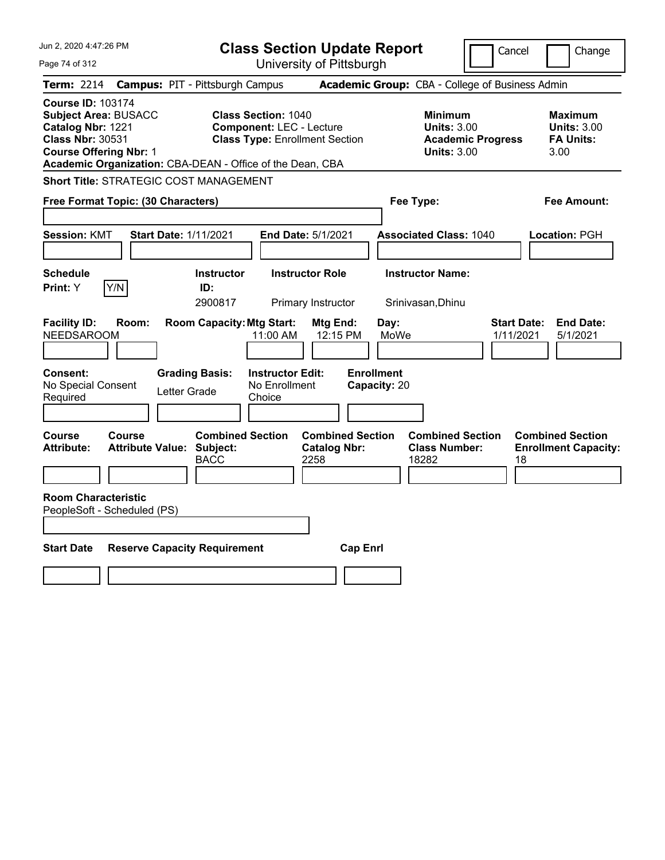| Jun 2, 2020 4:47:26 PM                                                                                                                                                                                | <b>Class Section Update Report</b>                                                                     | Cancel                                                                                 | Change                                                           |
|-------------------------------------------------------------------------------------------------------------------------------------------------------------------------------------------------------|--------------------------------------------------------------------------------------------------------|----------------------------------------------------------------------------------------|------------------------------------------------------------------|
| Page 74 of 312                                                                                                                                                                                        | University of Pittsburgh                                                                               |                                                                                        |                                                                  |
| <b>Term: 2214</b>                                                                                                                                                                                     | <b>Campus: PIT - Pittsburgh Campus</b>                                                                 | Academic Group: CBA - College of Business Admin                                        |                                                                  |
| <b>Course ID: 103174</b><br><b>Subject Area: BUSACC</b><br>Catalog Nbr: 1221<br><b>Class Nbr: 30531</b><br><b>Course Offering Nbr: 1</b><br>Academic Organization: CBA-DEAN - Office of the Dean, CBA | <b>Class Section: 1040</b><br><b>Component: LEC - Lecture</b><br><b>Class Type: Enrollment Section</b> | <b>Minimum</b><br><b>Units: 3.00</b><br><b>Academic Progress</b><br><b>Units: 3.00</b> | <b>Maximum</b><br><b>Units: 3.00</b><br><b>FA Units:</b><br>3.00 |
| <b>Short Title: STRATEGIC COST MANAGEMENT</b>                                                                                                                                                         |                                                                                                        |                                                                                        |                                                                  |
| Free Format Topic: (30 Characters)                                                                                                                                                                    |                                                                                                        | Fee Type:                                                                              | Fee Amount:                                                      |
| <b>Session: KMT</b><br><b>Start Date: 1/11/2021</b>                                                                                                                                                   | End Date: 5/1/2021                                                                                     | <b>Associated Class: 1040</b>                                                          | Location: PGH                                                    |
| <b>Schedule</b><br>Y/N<br>Print: Y                                                                                                                                                                    | <b>Instructor Role</b><br><b>Instructor</b><br>ID:<br>2900817<br>Primary Instructor                    | <b>Instructor Name:</b><br>Srinivasan, Dhinu                                           |                                                                  |
| <b>Facility ID:</b><br>Room:<br><b>NEEDSAROOM</b>                                                                                                                                                     | <b>Room Capacity: Mtg Start:</b><br>Mtg End:<br>12:15 PM<br>11:00 AM                                   | <b>Start Date:</b><br>Day:<br>MoWe<br>1/11/2021                                        | <b>End Date:</b><br>5/1/2021                                     |
| <b>Consent:</b><br>No Special Consent<br>Letter Grade<br>Required                                                                                                                                     | <b>Enrollment</b><br><b>Instructor Edit:</b><br><b>Grading Basis:</b><br>No Enrollment<br>Choice       | Capacity: 20                                                                           |                                                                  |
| <b>Course</b><br><b>Course</b><br>Attribute Value: Subject:<br><b>Attribute:</b>                                                                                                                      | <b>Combined Section</b><br><b>Combined Section</b><br><b>Catalog Nbr:</b><br><b>BACC</b><br>2258       | <b>Combined Section</b><br><b>Class Number:</b><br>18282<br>18                         | <b>Combined Section</b><br><b>Enrollment Capacity:</b>           |
| <b>Room Characteristic</b><br>PeopleSoft - Scheduled (PS)                                                                                                                                             |                                                                                                        |                                                                                        |                                                                  |
| <b>Start Date</b><br><b>Reserve Capacity Requirement</b>                                                                                                                                              | <b>Cap Enrl</b>                                                                                        |                                                                                        |                                                                  |
|                                                                                                                                                                                                       |                                                                                                        |                                                                                        |                                                                  |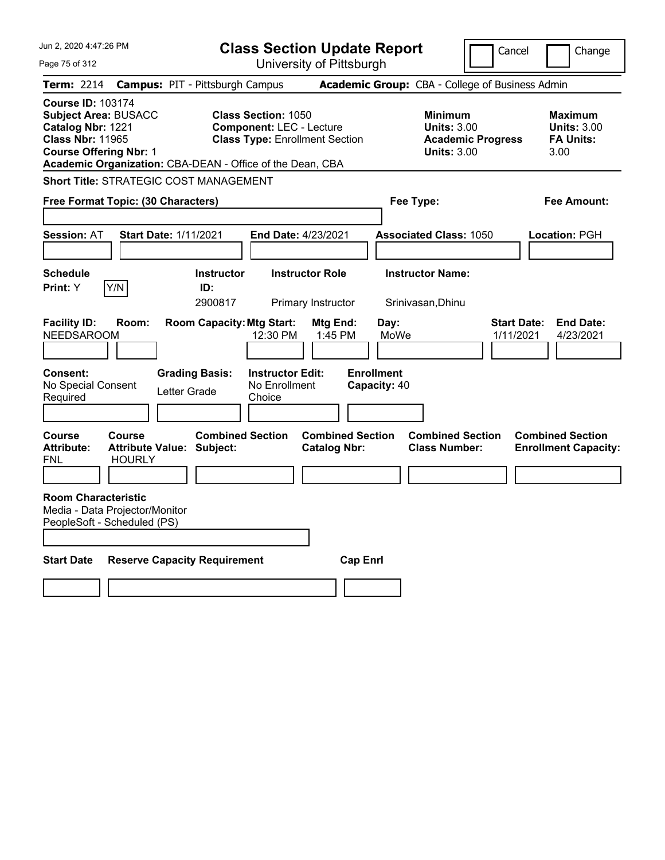| Jun 2, 2020 4:47:26 PM                                                                                                                   |                                                             |                                       | <b>Class Section Update Report</b><br>Cancel<br>Change                                                 |                                                |                                   |                                                                                        |                                 |                                                                  |
|------------------------------------------------------------------------------------------------------------------------------------------|-------------------------------------------------------------|---------------------------------------|--------------------------------------------------------------------------------------------------------|------------------------------------------------|-----------------------------------|----------------------------------------------------------------------------------------|---------------------------------|------------------------------------------------------------------|
| Page 75 of 312                                                                                                                           |                                                             |                                       |                                                                                                        | University of Pittsburgh                       |                                   |                                                                                        |                                 |                                                                  |
| <b>Term: 2214</b>                                                                                                                        | <b>Campus: PIT - Pittsburgh Campus</b>                      |                                       |                                                                                                        |                                                |                                   | Academic Group: CBA - College of Business Admin                                        |                                 |                                                                  |
| <b>Course ID: 103174</b><br><b>Subject Area: BUSACC</b><br>Catalog Nbr: 1221<br><b>Class Nbr: 11965</b><br><b>Course Offering Nbr: 1</b> | Academic Organization: CBA-DEAN - Office of the Dean, CBA   |                                       | <b>Class Section: 1050</b><br><b>Component: LEC - Lecture</b><br><b>Class Type: Enrollment Section</b> |                                                |                                   | <b>Minimum</b><br><b>Units: 3.00</b><br><b>Academic Progress</b><br><b>Units: 3.00</b> |                                 | <b>Maximum</b><br><b>Units: 3.00</b><br><b>FA Units:</b><br>3.00 |
|                                                                                                                                          | <b>Short Title: STRATEGIC COST MANAGEMENT</b>               |                                       |                                                                                                        |                                                |                                   |                                                                                        |                                 |                                                                  |
|                                                                                                                                          | Free Format Topic: (30 Characters)                          |                                       |                                                                                                        |                                                | Fee Type:                         |                                                                                        |                                 | Fee Amount:                                                      |
| <b>Session: AT</b>                                                                                                                       | <b>Start Date: 1/11/2021</b>                                |                                       | End Date: 4/23/2021                                                                                    |                                                |                                   | <b>Associated Class: 1050</b>                                                          |                                 | Location: PGH                                                    |
| <b>Schedule</b><br>Print: Y                                                                                                              | Y/N                                                         | <b>Instructor</b><br>ID:<br>2900817   |                                                                                                        | <b>Instructor Role</b><br>Primary Instructor   |                                   | <b>Instructor Name:</b><br>Srinivasan, Dhinu                                           |                                 |                                                                  |
| <b>Facility ID:</b><br><b>NEEDSAROOM</b>                                                                                                 | Room:                                                       | <b>Room Capacity: Mtg Start:</b>      | 12:30 PM                                                                                               | Mtg End:<br>1:45 PM                            | Day:<br>MoWe                      |                                                                                        | <b>Start Date:</b><br>1/11/2021 | <b>End Date:</b><br>4/23/2021                                    |
| Consent:<br>No Special Consent<br>Required                                                                                               |                                                             | <b>Grading Basis:</b><br>Letter Grade | <b>Instructor Edit:</b><br>No Enrollment<br>Choice                                                     |                                                | <b>Enrollment</b><br>Capacity: 40 |                                                                                        |                                 |                                                                  |
| Course<br><b>Attribute:</b><br>FNL                                                                                                       | Course<br><b>Attribute Value: Subject:</b><br><b>HOURLY</b> | <b>Combined Section</b>               |                                                                                                        | <b>Combined Section</b><br><b>Catalog Nbr:</b> |                                   | <b>Combined Section</b><br><b>Class Number:</b>                                        |                                 | <b>Combined Section</b><br><b>Enrollment Capacity:</b>           |
| <b>Room Characteristic</b><br>PeopleSoft - Scheduled (PS)                                                                                | Media - Data Projector/Monitor                              |                                       |                                                                                                        |                                                |                                   |                                                                                        |                                 |                                                                  |
| <b>Start Date</b>                                                                                                                        | <b>Reserve Capacity Requirement</b>                         |                                       |                                                                                                        | <b>Cap Enri</b>                                |                                   |                                                                                        |                                 |                                                                  |
|                                                                                                                                          |                                                             |                                       |                                                                                                        |                                                |                                   |                                                                                        |                                 |                                                                  |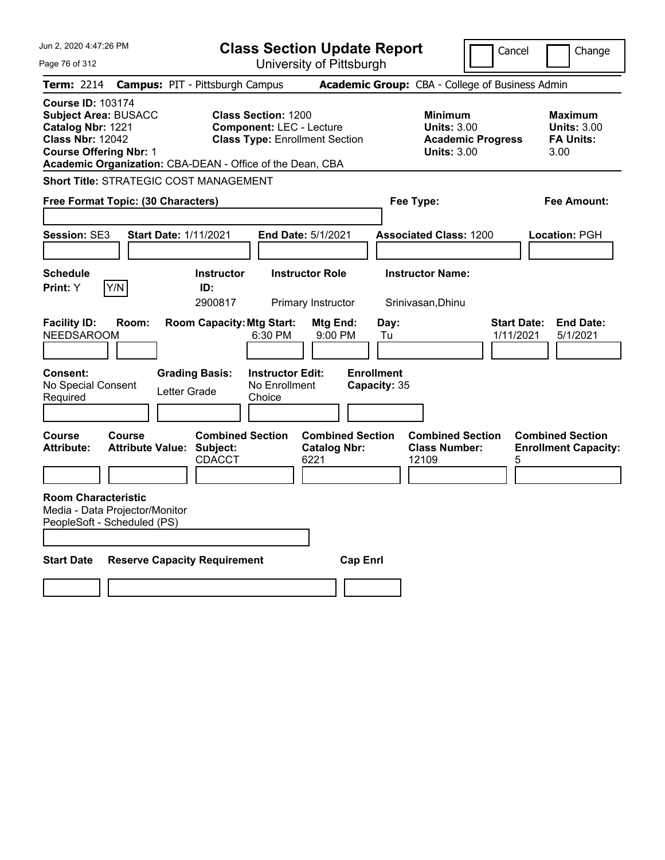| Jun 2, 2020 4:47:26 PM                                                                                                                                                                                | <b>Class Section Update Report</b>                                                                     | Cancel                                                                          | Change                                                           |
|-------------------------------------------------------------------------------------------------------------------------------------------------------------------------------------------------------|--------------------------------------------------------------------------------------------------------|---------------------------------------------------------------------------------|------------------------------------------------------------------|
| Page 76 of 312                                                                                                                                                                                        | University of Pittsburgh                                                                               |                                                                                 |                                                                  |
| <b>Term: 2214</b>                                                                                                                                                                                     | <b>Campus: PIT - Pittsburgh Campus</b>                                                                 | Academic Group: CBA - College of Business Admin                                 |                                                                  |
| <b>Course ID: 103174</b><br><b>Subject Area: BUSACC</b><br>Catalog Nbr: 1221<br><b>Class Nbr: 12042</b><br><b>Course Offering Nbr: 1</b><br>Academic Organization: CBA-DEAN - Office of the Dean, CBA | <b>Class Section: 1200</b><br><b>Component: LEC - Lecture</b><br><b>Class Type: Enrollment Section</b> | Minimum<br><b>Units: 3.00</b><br><b>Academic Progress</b><br><b>Units: 3.00</b> | <b>Maximum</b><br><b>Units: 3.00</b><br><b>FA Units:</b><br>3.00 |
| <b>Short Title: STRATEGIC COST MANAGEMENT</b>                                                                                                                                                         |                                                                                                        |                                                                                 |                                                                  |
| Free Format Topic: (30 Characters)                                                                                                                                                                    |                                                                                                        | Fee Type:                                                                       | Fee Amount:                                                      |
| Session: SE3<br><b>Start Date: 1/11/2021</b>                                                                                                                                                          | End Date: 5/1/2021                                                                                     | <b>Associated Class: 1200</b>                                                   | <b>Location: PGH</b>                                             |
| <b>Schedule</b><br>Y/N<br>Print: Y                                                                                                                                                                    | <b>Instructor Role</b><br><b>Instructor</b><br>ID:<br>2900817<br>Primary Instructor                    | <b>Instructor Name:</b><br>Srinivasan, Dhinu                                    |                                                                  |
| <b>Facility ID:</b><br>Room:<br><b>NEEDSAROOM</b>                                                                                                                                                     | <b>Room Capacity: Mtg Start:</b><br>Mtg End:<br>6:30 PM<br>9:00 PM                                     | Day:<br><b>Start Date:</b><br>1/11/2021<br>Tu                                   | <b>End Date:</b><br>5/1/2021                                     |
| Consent:<br>No Special Consent<br>Letter Grade<br>Required                                                                                                                                            | <b>Grading Basis:</b><br><b>Instructor Edit:</b><br>No Enrollment<br>Choice                            | <b>Enrollment</b><br>Capacity: 35                                               |                                                                  |
| <b>Course</b><br>Course<br><b>Attribute Value: Subject:</b><br><b>Attribute:</b>                                                                                                                      | <b>Combined Section</b><br><b>Combined Section</b><br><b>Catalog Nbr:</b><br><b>CDACCT</b><br>6221     | <b>Combined Section</b><br><b>Class Number:</b><br>12109<br>5                   | <b>Combined Section</b><br><b>Enrollment Capacity:</b>           |
| <b>Room Characteristic</b><br>Media - Data Projector/Monitor<br>PeopleSoft - Scheduled (PS)                                                                                                           |                                                                                                        |                                                                                 |                                                                  |
| <b>Start Date</b><br><b>Reserve Capacity Requirement</b>                                                                                                                                              |                                                                                                        | <b>Cap Enrl</b>                                                                 |                                                                  |
|                                                                                                                                                                                                       |                                                                                                        |                                                                                 |                                                                  |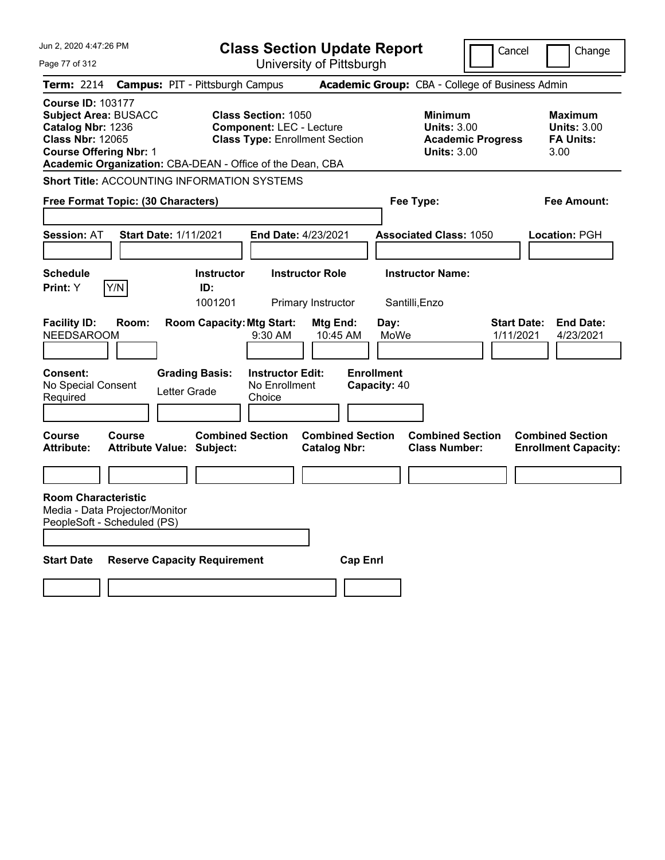| Jun 2, 2020 4:47:26 PM                                                                                                                                                                                | <b>Class Section Update Report</b>                                                                                                                                              | Cancel                                                                                                          | Change                                                    |
|-------------------------------------------------------------------------------------------------------------------------------------------------------------------------------------------------------|---------------------------------------------------------------------------------------------------------------------------------------------------------------------------------|-----------------------------------------------------------------------------------------------------------------|-----------------------------------------------------------|
| Page 77 of 312                                                                                                                                                                                        | University of Pittsburgh                                                                                                                                                        |                                                                                                                 |                                                           |
| Term: 2214                                                                                                                                                                                            | <b>Campus: PIT - Pittsburgh Campus</b>                                                                                                                                          | Academic Group: CBA - College of Business Admin                                                                 |                                                           |
| <b>Course ID: 103177</b><br><b>Subject Area: BUSACC</b><br>Catalog Nbr: 1236<br><b>Class Nbr: 12065</b><br><b>Course Offering Nbr: 1</b><br>Academic Organization: CBA-DEAN - Office of the Dean, CBA | <b>Class Section: 1050</b><br><b>Component: LEC - Lecture</b><br><b>Class Type: Enrollment Section</b>                                                                          | Minimum<br><b>Units: 3.00</b><br><b>Academic Progress</b><br><b>Units: 3.00</b>                                 | Maximum<br><b>Units: 3.00</b><br><b>FA Units:</b><br>3.00 |
| <b>Short Title: ACCOUNTING INFORMATION SYSTEMS</b>                                                                                                                                                    |                                                                                                                                                                                 |                                                                                                                 |                                                           |
| Free Format Topic: (30 Characters)                                                                                                                                                                    |                                                                                                                                                                                 | Fee Type:                                                                                                       | Fee Amount:                                               |
|                                                                                                                                                                                                       |                                                                                                                                                                                 |                                                                                                                 |                                                           |
| <b>Start Date: 1/11/2021</b><br><b>Session: AT</b>                                                                                                                                                    | End Date: 4/23/2021                                                                                                                                                             | <b>Associated Class: 1050</b>                                                                                   | Location: PGH                                             |
|                                                                                                                                                                                                       |                                                                                                                                                                                 |                                                                                                                 |                                                           |
| <b>Schedule</b>                                                                                                                                                                                       | <b>Instructor Role</b><br><b>Instructor</b>                                                                                                                                     | <b>Instructor Name:</b>                                                                                         |                                                           |
| Y/N<br>Print: Y                                                                                                                                                                                       | ID:<br>1001201<br>Primary Instructor                                                                                                                                            | Santilli, Enzo                                                                                                  |                                                           |
| <b>Facility ID:</b><br>Room:<br><b>NEEDSAROOM</b><br>Consent:<br><b>Grading Basis:</b><br>No Special Consent<br>Letter Grade<br>Required<br>Course<br>Course                                          | <b>Room Capacity: Mtg Start:</b><br>Mtg End:<br>10:45 AM<br>9:30 AM<br><b>Instructor Edit:</b><br>No Enrollment<br>Choice<br><b>Combined Section</b><br><b>Combined Section</b> | Day:<br><b>Start Date:</b><br>MoWe<br>1/11/2021<br><b>Enrollment</b><br>Capacity: 40<br><b>Combined Section</b> | <b>End Date:</b><br>4/23/2021<br><b>Combined Section</b>  |
| <b>Attribute:</b><br><b>Attribute Value: Subject:</b>                                                                                                                                                 | <b>Catalog Nbr:</b>                                                                                                                                                             | <b>Class Number:</b>                                                                                            | <b>Enrollment Capacity:</b>                               |
|                                                                                                                                                                                                       |                                                                                                                                                                                 |                                                                                                                 |                                                           |
| <b>Room Characteristic</b><br>Media - Data Projector/Monitor<br>PeopleSoft - Scheduled (PS)                                                                                                           |                                                                                                                                                                                 |                                                                                                                 |                                                           |
| <b>Start Date</b><br><b>Reserve Capacity Requirement</b>                                                                                                                                              |                                                                                                                                                                                 | <b>Cap Enrl</b>                                                                                                 |                                                           |
|                                                                                                                                                                                                       |                                                                                                                                                                                 |                                                                                                                 |                                                           |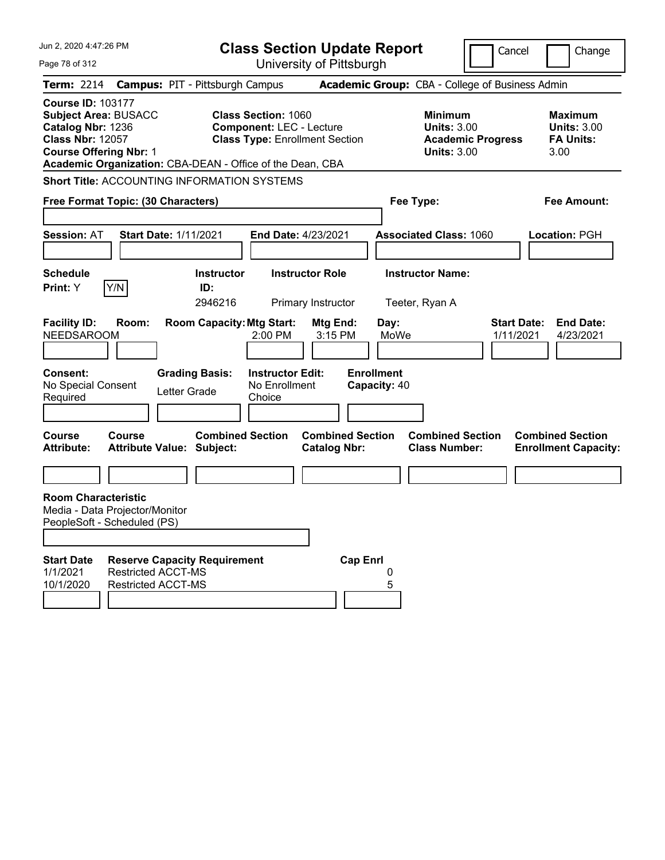| Jun 2, 2020 4:47:26 PM                                                                                                                                                                                |                                                                           | <b>Class Section Update Report</b>                                                                     |                                                |                                                   | Cancel                                                               | Change                                                           |
|-------------------------------------------------------------------------------------------------------------------------------------------------------------------------------------------------------|---------------------------------------------------------------------------|--------------------------------------------------------------------------------------------------------|------------------------------------------------|---------------------------------------------------|----------------------------------------------------------------------|------------------------------------------------------------------|
| Page 78 of 312                                                                                                                                                                                        |                                                                           | University of Pittsburgh                                                                               |                                                |                                                   |                                                                      |                                                                  |
| <b>Term: 2214</b>                                                                                                                                                                                     | <b>Campus: PIT - Pittsburgh Campus</b>                                    |                                                                                                        |                                                | Academic Group: CBA - College of Business Admin   |                                                                      |                                                                  |
| <b>Course ID: 103177</b><br><b>Subject Area: BUSACC</b><br>Catalog Nbr: 1236<br><b>Class Nbr: 12057</b><br><b>Course Offering Nbr: 1</b><br>Academic Organization: CBA-DEAN - Office of the Dean, CBA |                                                                           | <b>Class Section: 1060</b><br><b>Component: LEC - Lecture</b><br><b>Class Type: Enrollment Section</b> |                                                | <b>Minimum</b>                                    | <b>Units: 3.00</b><br><b>Academic Progress</b><br><b>Units: 3.00</b> | <b>Maximum</b><br><b>Units: 3.00</b><br><b>FA Units:</b><br>3.00 |
| <b>Short Title: ACCOUNTING INFORMATION SYSTEMS</b>                                                                                                                                                    |                                                                           |                                                                                                        |                                                |                                                   |                                                                      |                                                                  |
| Free Format Topic: (30 Characters)                                                                                                                                                                    |                                                                           |                                                                                                        |                                                | Fee Type:                                         |                                                                      | <b>Fee Amount:</b>                                               |
| <b>Session: AT</b><br><b>Start Date: 1/11/2021</b>                                                                                                                                                    |                                                                           | End Date: 4/23/2021                                                                                    |                                                | <b>Associated Class: 1060</b>                     |                                                                      | <b>Location: PGH</b>                                             |
| <b>Schedule</b>                                                                                                                                                                                       | <b>Instructor</b>                                                         | <b>Instructor Role</b>                                                                                 |                                                | <b>Instructor Name:</b>                           |                                                                      |                                                                  |
| Y/N<br>Print: Y                                                                                                                                                                                       | ID:<br>2946216                                                            | Primary Instructor                                                                                     |                                                | Teeter, Ryan A                                    |                                                                      |                                                                  |
| <b>Facility ID:</b><br>Room:<br><b>NEEDSAROOM</b><br><b>Consent:</b><br>No Special Consent<br>Required                                                                                                | <b>Room Capacity: Mtg Start:</b><br><b>Grading Basis:</b><br>Letter Grade | 2:00 PM<br><b>Instructor Edit:</b><br>No Enrollment<br>Choice                                          | Mtg End:<br>3:15 PM                            | Day:<br>MoWe<br><b>Enrollment</b><br>Capacity: 40 | <b>Start Date:</b><br>1/11/2021                                      | <b>End Date:</b><br>4/23/2021                                    |
| <b>Course</b><br>Course<br><b>Attribute:</b><br><b>Attribute Value: Subject:</b>                                                                                                                      | <b>Combined Section</b>                                                   |                                                                                                        | <b>Combined Section</b><br><b>Catalog Nbr:</b> | <b>Class Number:</b>                              | <b>Combined Section</b>                                              | <b>Combined Section</b><br><b>Enrollment Capacity:</b>           |
|                                                                                                                                                                                                       |                                                                           |                                                                                                        |                                                |                                                   |                                                                      |                                                                  |
| <b>Room Characteristic</b><br>Media - Data Projector/Monitor<br>PeopleSoft - Scheduled (PS)<br><b>Start Date</b><br>1/1/2021<br><b>Restricted ACCT-MS</b><br>10/1/2020<br><b>Restricted ACCT-MS</b>   | <b>Reserve Capacity Requirement</b>                                       |                                                                                                        | <b>Cap Enrl</b>                                | 0<br>5                                            |                                                                      |                                                                  |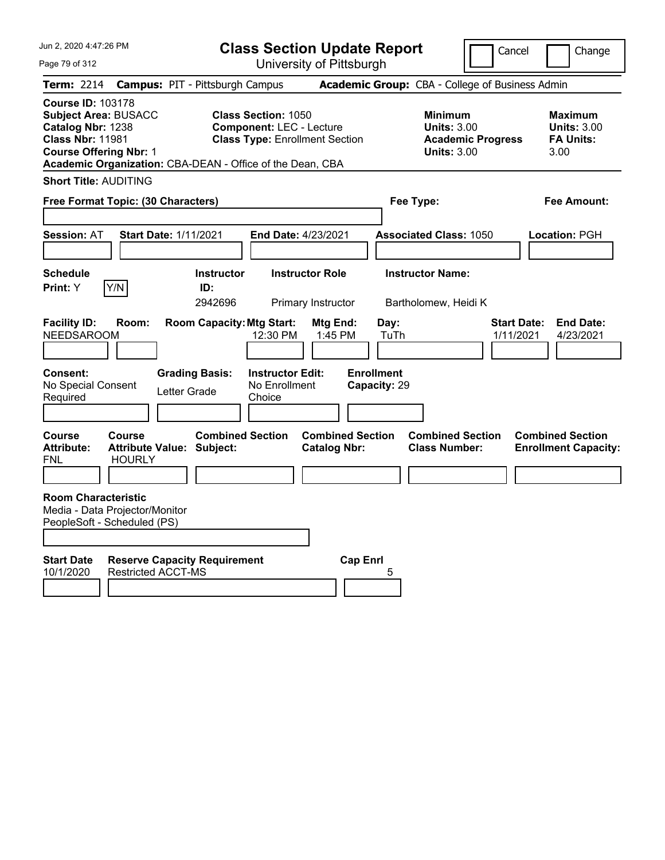Page 79 of 312

**Class Section Update Report**

University of Pittsburgh

Cancel Change

| Term: 2214 Campus: PIT - Pittsburgh Campus                                                                                                                                                     |                                                                  |                                                              | Academic Group: CBA - College of Business Admin                                        |                                                                  |
|------------------------------------------------------------------------------------------------------------------------------------------------------------------------------------------------|------------------------------------------------------------------|--------------------------------------------------------------|----------------------------------------------------------------------------------------|------------------------------------------------------------------|
| Course ID: 103178<br><b>Subject Area: BUSACC</b><br>Catalog Nbr: 1238<br><b>Class Nbr: 11981</b><br><b>Course Offering Nbr: 1</b><br>Academic Organization: CBA-DEAN - Office of the Dean, CBA | <b>Class Section: 1050</b><br><b>Component: LEC - Lecture</b>    | <b>Class Type: Enrollment Section</b>                        | <b>Minimum</b><br><b>Units: 3.00</b><br><b>Academic Progress</b><br><b>Units: 3.00</b> | <b>Maximum</b><br><b>Units: 3.00</b><br><b>FA Units:</b><br>3.00 |
| <b>Short Title: AUDITING</b><br>Free Format Topic: (30 Characters)                                                                                                                             |                                                                  |                                                              | Fee Type:                                                                              | <b>Fee Amount:</b>                                               |
| <b>Session: AT</b>                                                                                                                                                                             | <b>Start Date: 1/11/2021</b>                                     | End Date: 4/23/2021                                          | <b>Associated Class: 1050</b>                                                          | Location: PGH                                                    |
| Schedule<br>Y/N<br>Print: Y                                                                                                                                                                    | <b>Instructor</b><br>ID:<br>2942696                              | <b>Instructor Role</b>                                       | <b>Instructor Name:</b>                                                                |                                                                  |
| <b>Facility ID:</b><br>Room:<br>NEEDSAROOM                                                                                                                                                     | <b>Room Capacity: Mtg Start:</b><br>12:30 PM                     | Primary Instructor<br>Mtg End:<br>Day:<br>1:45 PM            | Bartholomew, Heidi K<br><b>Start Date:</b><br>TuTh<br>1/11/2021                        | <b>End Date:</b><br>4/23/2021                                    |
| Consent:<br>No Special Consent<br>Required                                                                                                                                                     | <b>Grading Basis:</b><br>No Enrollment<br>Letter Grade<br>Choice | <b>Enrollment</b><br><b>Instructor Edit:</b><br>Capacity: 29 |                                                                                        |                                                                  |
| Course<br>Course<br><b>Attribute Value:</b><br>Attribute:<br>FNL<br><b>HOURLY</b>                                                                                                              | <b>Combined Section</b><br>Subject:                              | <b>Combined Section</b><br><b>Catalog Nbr:</b>               | <b>Combined Section</b><br><b>Class Number:</b>                                        | <b>Combined Section</b><br><b>Enrollment Capacity:</b>           |
| Room Characteristic<br>Media - Data Projector/Monitor<br>PeopleSoft - Scheduled (PS)                                                                                                           |                                                                  |                                                              |                                                                                        |                                                                  |
| <b>Start Date</b><br>10/1/2020<br><b>Restricted ACCT-MS</b>                                                                                                                                    | <b>Reserve Capacity Requirement</b>                              | <b>Cap Enrl</b><br>5                                         |                                                                                        |                                                                  |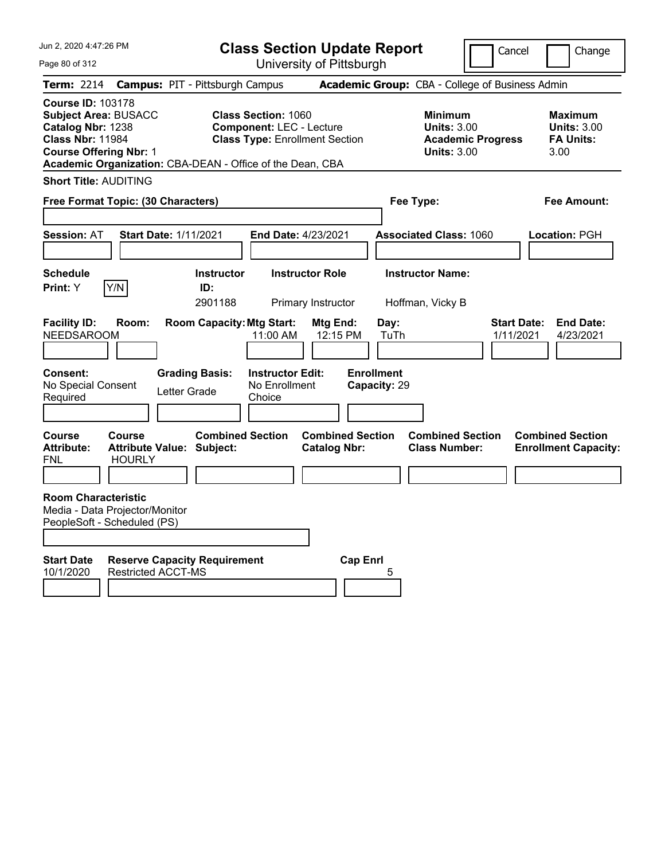Page 80 of 312

**Class Section Update Report**

University of Pittsburgh

Cancel Change

| <b>Term: 2214</b>                                                                                                                 |                                | <b>Campus: PIT - Pittsburgh Campus</b>                      |                                                                                                                                                                     | Academic Group: CBA - College of Business Admin                                 |                                                                  |
|-----------------------------------------------------------------------------------------------------------------------------------|--------------------------------|-------------------------------------------------------------|---------------------------------------------------------------------------------------------------------------------------------------------------------------------|---------------------------------------------------------------------------------|------------------------------------------------------------------|
| Course ID: 103178<br><b>Subject Area: BUSACC</b><br>Catalog Nbr: 1238<br><b>Class Nbr: 11984</b><br><b>Course Offering Nbr: 1</b> |                                |                                                             | <b>Class Section: 1060</b><br><b>Component: LEC - Lecture</b><br><b>Class Type: Enrollment Section</b><br>Academic Organization: CBA-DEAN - Office of the Dean, CBA | Minimum<br><b>Units: 3.00</b><br><b>Academic Progress</b><br><b>Units: 3.00</b> | <b>Maximum</b><br><b>Units: 3.00</b><br><b>FA Units:</b><br>3.00 |
| <b>Short Title: AUDITING</b>                                                                                                      |                                |                                                             |                                                                                                                                                                     |                                                                                 |                                                                  |
| Free Format Topic: (30 Characters)                                                                                                |                                |                                                             |                                                                                                                                                                     | Fee Type:                                                                       | <b>Fee Amount:</b>                                               |
| Session: AT                                                                                                                       |                                | <b>Start Date: 1/11/2021</b>                                | End Date: 4/23/2021                                                                                                                                                 | <b>Associated Class: 1060</b>                                                   | Location: PGH                                                    |
| Schedule<br>Print: Y                                                                                                              | Y/N                            | <b>Instructor</b><br>ID:<br>2901188                         | <b>Instructor Role</b><br>Primary Instructor                                                                                                                        | <b>Instructor Name:</b><br>Hoffman, Vicky B                                     |                                                                  |
| <b>Facility ID:</b><br>NEEDSAROOM                                                                                                 | Room:                          | <b>Room Capacity: Mtg Start:</b>                            | Mtg End:<br>11:00 AM<br>12:15 PM                                                                                                                                    | <b>Start Date:</b><br>Day:<br>TuTh<br>1/11/2021                                 | <b>End Date:</b><br>4/23/2021                                    |
| <b>Consent:</b><br>No Special Consent<br>Required                                                                                 |                                | <b>Grading Basis:</b><br>Letter Grade                       | <b>Instructor Edit:</b><br>No Enrollment<br>Choice                                                                                                                  | <b>Enrollment</b><br>Capacity: 29                                               |                                                                  |
| Course<br>Attribute:<br>FNL                                                                                                       | <b>Course</b><br><b>HOURLY</b> | <b>Combined Section</b><br><b>Attribute Value: Subject:</b> | <b>Combined Section</b><br><b>Catalog Nbr:</b>                                                                                                                      | <b>Combined Section</b><br><b>Class Number:</b>                                 | <b>Combined Section</b><br><b>Enrollment Capacity:</b>           |
| <b>Room Characteristic</b><br>Media - Data Projector/Monitor<br>PeopleSoft - Scheduled (PS)                                       |                                |                                                             |                                                                                                                                                                     |                                                                                 |                                                                  |
| <b>Start Date</b><br>10/1/2020                                                                                                    | <b>Restricted ACCT-MS</b>      | <b>Reserve Capacity Requirement</b>                         | <b>Cap Enri</b>                                                                                                                                                     | 5                                                                               |                                                                  |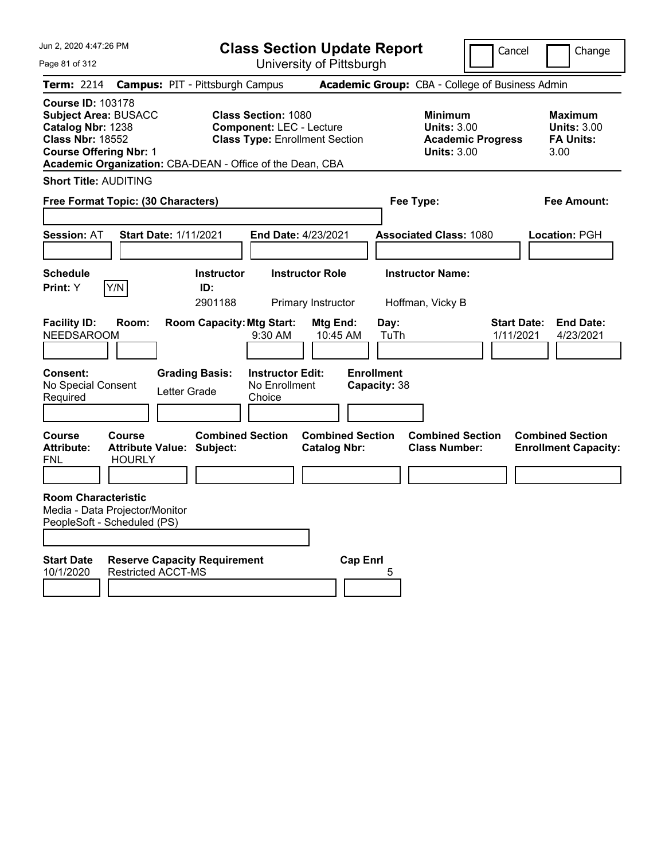Page 81 of 312

**Class Section Update Report**

University of Pittsburgh

Cancel Change

| <b>Term: 2214</b>                                                 |                                                                                             |              | <b>Campus: PIT - Pittsburgh Campus</b>                    |                                                               |                                                |                                   | Academic Group: CBA - College of Business Admin                                 |                                 |                                                                  |
|-------------------------------------------------------------------|---------------------------------------------------------------------------------------------|--------------|-----------------------------------------------------------|---------------------------------------------------------------|------------------------------------------------|-----------------------------------|---------------------------------------------------------------------------------|---------------------------------|------------------------------------------------------------------|
| Course ID: 103178<br>Catalog Nbr: 1238<br><b>Class Nbr: 18552</b> | <b>Subject Area: BUSACC</b><br><b>Course Offering Nbr: 1</b>                                |              | Academic Organization: CBA-DEAN - Office of the Dean, CBA | <b>Class Section: 1080</b><br><b>Component: LEC - Lecture</b> | <b>Class Type: Enrollment Section</b>          |                                   | Minimum<br><b>Units: 3.00</b><br><b>Academic Progress</b><br><b>Units: 3.00</b> |                                 | <b>Maximum</b><br><b>Units: 3.00</b><br><b>FA Units:</b><br>3.00 |
|                                                                   | <b>Short Title: AUDITING</b>                                                                |              |                                                           |                                                               |                                                |                                   |                                                                                 |                                 |                                                                  |
|                                                                   | Free Format Topic: (30 Characters)                                                          |              |                                                           |                                                               |                                                |                                   | Fee Type:                                                                       |                                 | Fee Amount:                                                      |
| Session: AT                                                       | <b>Start Date: 1/11/2021</b>                                                                |              |                                                           | End Date: 4/23/2021                                           |                                                |                                   | <b>Associated Class: 1080</b>                                                   |                                 | Location: PGH                                                    |
| Schedule<br>Print: Y                                              | Y/N                                                                                         |              | <b>Instructor</b><br>ID:<br>2901188                       |                                                               | <b>Instructor Role</b><br>Primary Instructor   |                                   | <b>Instructor Name:</b><br>Hoffman, Vicky B                                     |                                 |                                                                  |
| <b>Facility ID:</b><br>NEEDSAROOM                                 | Room:                                                                                       |              | <b>Room Capacity: Mtg Start:</b>                          | $9:30$ AM                                                     | Mtg End:<br>10:45 AM                           | Day:<br>TuTh                      |                                                                                 | <b>Start Date:</b><br>1/11/2021 | <b>End Date:</b><br>4/23/2021                                    |
| <b>Consent:</b><br>No Special Consent<br>Required                 |                                                                                             | Letter Grade | <b>Grading Basis:</b>                                     | <b>Instructor Edit:</b><br>No Enrollment<br>Choice            |                                                | <b>Enrollment</b><br>Capacity: 38 |                                                                                 |                                 |                                                                  |
| Course<br>Attribute:<br><b>FNL</b>                                | Course<br><b>Attribute Value: Subject:</b><br><b>HOURLY</b>                                 |              | <b>Combined Section</b>                                   |                                                               | <b>Combined Section</b><br><b>Catalog Nbr:</b> |                                   | <b>Combined Section</b><br><b>Class Number:</b>                                 |                                 | <b>Combined Section</b><br><b>Enrollment Capacity:</b>           |
|                                                                   | <b>Room Characteristic</b><br>Media - Data Projector/Monitor<br>PeopleSoft - Scheduled (PS) |              |                                                           |                                                               |                                                |                                   |                                                                                 |                                 |                                                                  |
| <b>Start Date</b><br>10/1/2020                                    | <b>Restricted ACCT-MS</b>                                                                   |              | <b>Reserve Capacity Requirement</b>                       |                                                               |                                                | <b>Cap Enrl</b><br>5              |                                                                                 |                                 |                                                                  |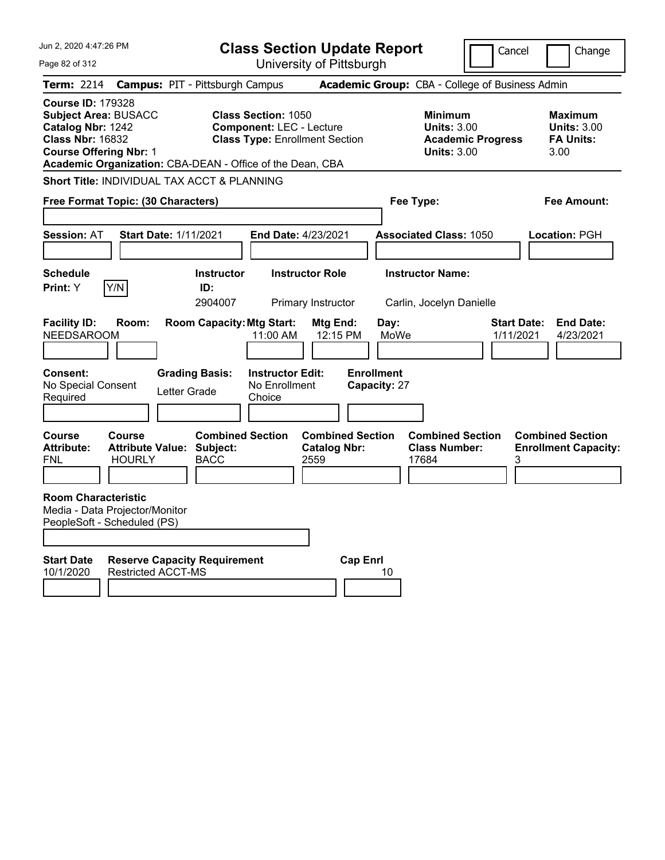| Jun 2, 2020 4:47:26 PM                                                                                                                   |                                                                    |                                                           | <b>Class Section Update Report</b>                                                                     |                                                        |                                                   |                                                          | Cancel                   | Change                                                           |
|------------------------------------------------------------------------------------------------------------------------------------------|--------------------------------------------------------------------|-----------------------------------------------------------|--------------------------------------------------------------------------------------------------------|--------------------------------------------------------|---------------------------------------------------|----------------------------------------------------------|--------------------------|------------------------------------------------------------------|
| Page 82 of 312                                                                                                                           |                                                                    |                                                           |                                                                                                        | University of Pittsburgh                               |                                                   |                                                          |                          |                                                                  |
| <b>Term: 2214</b>                                                                                                                        | <b>Campus: PIT - Pittsburgh Campus</b>                             |                                                           |                                                                                                        |                                                        |                                                   |                                                          |                          | Academic Group: CBA - College of Business Admin                  |
| <b>Course ID: 179328</b><br><b>Subject Area: BUSACC</b><br>Catalog Nbr: 1242<br><b>Class Nbr: 16832</b><br><b>Course Offering Nbr: 1</b> | Academic Organization: CBA-DEAN - Office of the Dean, CBA          |                                                           | <b>Class Section: 1050</b><br><b>Component: LEC - Lecture</b><br><b>Class Type: Enrollment Section</b> |                                                        |                                                   | Minimum<br><b>Units: 3.00</b><br><b>Units: 3.00</b>      | <b>Academic Progress</b> | Maximum<br><b>Units: 3.00</b><br><b>FA Units:</b><br>3.00        |
|                                                                                                                                          | Short Title: INDIVIDUAL TAX ACCT & PLANNING                        |                                                           |                                                                                                        |                                                        |                                                   |                                                          |                          |                                                                  |
|                                                                                                                                          | Free Format Topic: (30 Characters)                                 |                                                           |                                                                                                        |                                                        | Fee Type:                                         |                                                          |                          | Fee Amount:                                                      |
| <b>Session: AT</b>                                                                                                                       | <b>Start Date: 1/11/2021</b>                                       |                                                           | End Date: 4/23/2021                                                                                    |                                                        |                                                   | <b>Associated Class: 1050</b>                            |                          | Location: PGH                                                    |
| <b>Schedule</b>                                                                                                                          |                                                                    | <b>Instructor</b>                                         |                                                                                                        | <b>Instructor Role</b>                                 |                                                   | <b>Instructor Name:</b>                                  |                          |                                                                  |
| <b>Print:</b> Y                                                                                                                          | Y/N                                                                | ID:<br>2904007                                            |                                                                                                        | Primary Instructor                                     |                                                   | Carlin, Jocelyn Danielle                                 |                          |                                                                  |
| <b>Facility ID:</b><br><b>NEEDSAROOM</b><br>Consent:<br>No Special Consent<br>Required                                                   | Room:<br>Letter Grade                                              | <b>Room Capacity: Mtg Start:</b><br><b>Grading Basis:</b> | 11:00 AM<br><b>Instructor Edit:</b><br>No Enrollment<br>Choice                                         | Mtg End:<br>12:15 PM                                   | Day:<br>MoWe<br><b>Enrollment</b><br>Capacity: 27 |                                                          |                          | <b>Start Date:</b><br><b>End Date:</b><br>1/11/2021<br>4/23/2021 |
| <b>Course</b><br><b>Attribute:</b><br>FNL                                                                                                | <b>Course</b><br><b>Attribute Value: Subject:</b><br><b>HOURLY</b> | <b>Combined Section</b><br><b>BACC</b>                    |                                                                                                        | <b>Combined Section</b><br><b>Catalog Nbr:</b><br>2559 |                                                   | <b>Combined Section</b><br><b>Class Number:</b><br>17684 |                          | <b>Combined Section</b><br><b>Enrollment Capacity:</b><br>3      |
| <b>Room Characteristic</b><br>PeopleSoft - Scheduled (PS)                                                                                | Media - Data Projector/Monitor                                     |                                                           |                                                                                                        |                                                        |                                                   |                                                          |                          |                                                                  |
| <b>Start Date</b><br>10/1/2020                                                                                                           | <b>Reserve Capacity Requirement</b><br><b>Restricted ACCT-MS</b>   |                                                           |                                                                                                        | <b>Cap Enrl</b>                                        | 10                                                |                                                          |                          |                                                                  |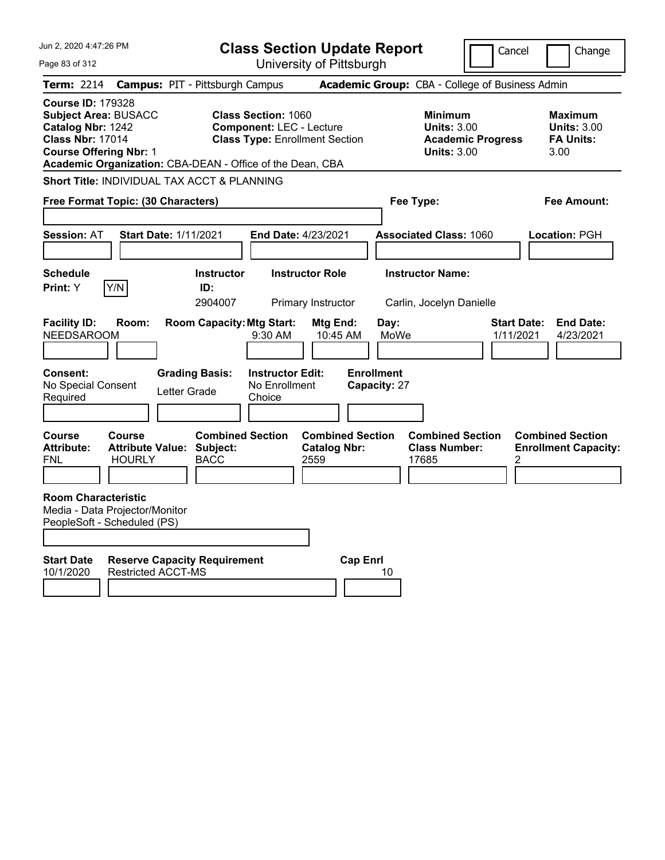| Jun 2, 2020 4:47:26 PM                                                                                                                                                                                | <b>Class Section Update Report</b><br>Cancel<br>Change                                                                     |                                                                           |                                                                                 |                                                           |  |
|-------------------------------------------------------------------------------------------------------------------------------------------------------------------------------------------------------|----------------------------------------------------------------------------------------------------------------------------|---------------------------------------------------------------------------|---------------------------------------------------------------------------------|-----------------------------------------------------------|--|
| Page 83 of 312                                                                                                                                                                                        | University of Pittsburgh                                                                                                   |                                                                           |                                                                                 |                                                           |  |
| Term: 2214                                                                                                                                                                                            | <b>Campus: PIT - Pittsburgh Campus</b>                                                                                     |                                                                           | Academic Group: CBA - College of Business Admin                                 |                                                           |  |
| <b>Course ID: 179328</b><br><b>Subject Area: BUSACC</b><br>Catalog Nbr: 1242<br><b>Class Nbr: 17014</b><br><b>Course Offering Nbr: 1</b><br>Academic Organization: CBA-DEAN - Office of the Dean, CBA | <b>Class Section: 1060</b><br><b>Component: LEC - Lecture</b><br><b>Class Type: Enrollment Section</b>                     |                                                                           | Minimum<br><b>Units: 3.00</b><br><b>Academic Progress</b><br><b>Units: 3.00</b> | Maximum<br><b>Units: 3.00</b><br><b>FA Units:</b><br>3.00 |  |
| Short Title: INDIVIDUAL TAX ACCT & PLANNING                                                                                                                                                           |                                                                                                                            |                                                                           |                                                                                 |                                                           |  |
| Free Format Topic: (30 Characters)                                                                                                                                                                    |                                                                                                                            | Fee Type:                                                                 |                                                                                 | Fee Amount:                                               |  |
| <b>Session: AT</b><br><b>Start Date: 1/11/2021</b>                                                                                                                                                    | End Date: 4/23/2021                                                                                                        |                                                                           | <b>Associated Class: 1060</b>                                                   | Location: PGH                                             |  |
| <b>Schedule</b>                                                                                                                                                                                       | <b>Instructor Role</b><br><b>Instructor</b>                                                                                |                                                                           | <b>Instructor Name:</b>                                                         |                                                           |  |
| Y/N<br>Print: Y                                                                                                                                                                                       | ID:<br>2904007<br>Primary Instructor                                                                                       |                                                                           | Carlin, Jocelyn Danielle                                                        |                                                           |  |
| <b>Facility ID:</b><br>Room:<br><b>NEEDSAROOM</b><br>Consent:<br>No Special Consent<br>Letter Grade<br>Required                                                                                       | <b>Room Capacity: Mtg Start:</b><br>9:30 AM<br><b>Grading Basis:</b><br><b>Instructor Edit:</b><br>No Enrollment<br>Choice | Day:<br>Mtg End:<br>MoWe<br>10:45 AM<br><b>Enrollment</b><br>Capacity: 27 | <b>Start Date:</b><br>1/11/2021                                                 | <b>End Date:</b><br>4/23/2021                             |  |
| Course<br>Course<br><b>Attribute Value: Subject:</b><br><b>Attribute:</b><br><b>HOURLY</b><br>FNL<br><b>Room Characteristic</b><br>Media - Data Projector/Monitor<br>PeopleSoft - Scheduled (PS)      | <b>Combined Section</b><br><b>BACC</b><br>2559                                                                             | <b>Combined Section</b><br><b>Catalog Nbr:</b>                            | <b>Combined Section</b><br><b>Class Number:</b><br>17685<br>2                   | <b>Combined Section</b><br><b>Enrollment Capacity:</b>    |  |
| <b>Start Date</b><br><b>Reserve Capacity Requirement</b><br>10/1/2020<br><b>Restricted ACCT-MS</b>                                                                                                    |                                                                                                                            | <b>Cap Enrl</b><br>10                                                     |                                                                                 |                                                           |  |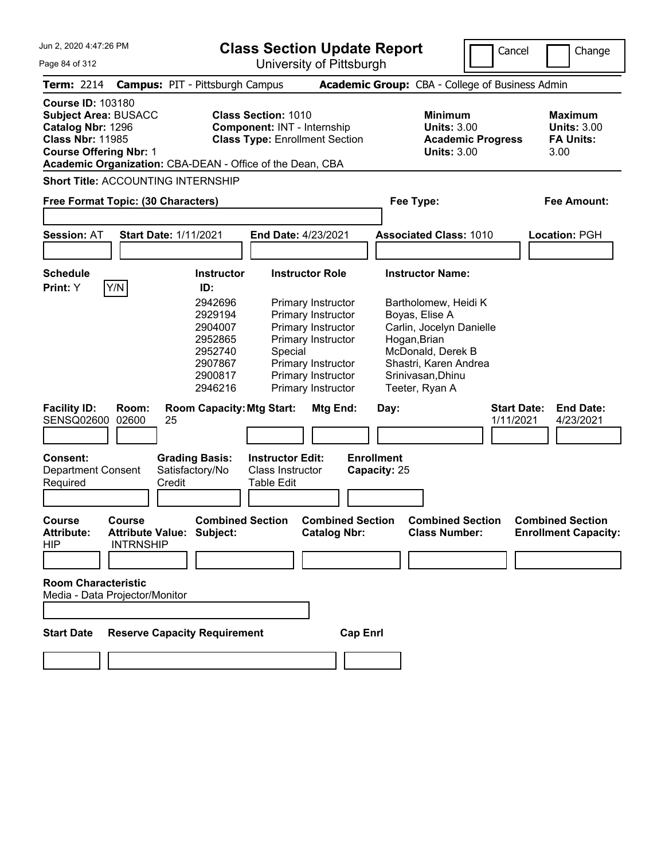**Class Section Update Report**

University of Pittsburgh

Cancel **I** Change

Page 84 of 312

| <b>Term: 2214</b>                                                        |                                                              | <b>Campus: PIT - Pittsburgh Campus</b>                    |                                                                                      |                                                                  |                                                                                                                                                               |                                   |                                                                                            | <b>Academic Group:</b> CBA - College of Business Admin                                 |                                 |                                                                  |
|--------------------------------------------------------------------------|--------------------------------------------------------------|-----------------------------------------------------------|--------------------------------------------------------------------------------------|------------------------------------------------------------------|---------------------------------------------------------------------------------------------------------------------------------------------------------------|-----------------------------------|--------------------------------------------------------------------------------------------|----------------------------------------------------------------------------------------|---------------------------------|------------------------------------------------------------------|
| <b>Course ID: 103180</b><br>Catalog Nbr: 1296<br><b>Class Nbr: 11985</b> | <b>Subject Area: BUSACC</b><br><b>Course Offering Nbr: 1</b> | Academic Organization: CBA-DEAN - Office of the Dean, CBA |                                                                                      | <b>Class Section: 1010</b><br><b>Component: INT - Internship</b> | <b>Class Type: Enrollment Section</b>                                                                                                                         |                                   |                                                                                            | <b>Minimum</b><br><b>Units: 3.00</b><br><b>Academic Progress</b><br><b>Units: 3.00</b> |                                 | <b>Maximum</b><br><b>Units: 3.00</b><br><b>FA Units:</b><br>3.00 |
|                                                                          |                                                              | <b>Short Title: ACCOUNTING INTERNSHIP</b>                 |                                                                                      |                                                                  |                                                                                                                                                               |                                   |                                                                                            |                                                                                        |                                 |                                                                  |
|                                                                          |                                                              | Free Format Topic: (30 Characters)                        |                                                                                      |                                                                  |                                                                                                                                                               |                                   | Fee Type:                                                                                  |                                                                                        |                                 | <b>Fee Amount:</b>                                               |
|                                                                          |                                                              |                                                           |                                                                                      |                                                                  |                                                                                                                                                               |                                   |                                                                                            |                                                                                        |                                 |                                                                  |
| <b>Session: AT</b>                                                       |                                                              | <b>Start Date: 1/11/2021</b>                              |                                                                                      | <b>End Date: 4/23/2021</b>                                       |                                                                                                                                                               |                                   |                                                                                            | <b>Associated Class: 1010</b>                                                          |                                 | Location: PGH                                                    |
| <b>Schedule</b><br>Print: Y                                              | Y/N                                                          | ID:                                                       | Instructor                                                                           |                                                                  | <b>Instructor Role</b>                                                                                                                                        |                                   | <b>Instructor Name:</b>                                                                    |                                                                                        |                                 |                                                                  |
|                                                                          |                                                              |                                                           | 2942696<br>2929194<br>2904007<br>2952865<br>2952740<br>2907867<br>2900817<br>2946216 | Special                                                          | <b>Primary Instructor</b><br>Primary Instructor<br>Primary Instructor<br>Primary Instructor<br>Primary Instructor<br>Primary Instructor<br>Primary Instructor |                                   | Boyas, Elise A<br>Hogan, Brian<br>McDonald, Derek B<br>Srinivasan, Dhinu<br>Teeter, Ryan A | Bartholomew, Heidi K<br>Carlin, Jocelyn Danielle<br>Shastri, Karen Andrea              |                                 |                                                                  |
| <b>Facility ID:</b><br>SENSQ02600                                        | Room:<br>02600                                               | <b>Room Capacity: Mtg Start:</b><br>25                    |                                                                                      |                                                                  | Mtg End:                                                                                                                                                      |                                   | Day:                                                                                       |                                                                                        | <b>Start Date:</b><br>1/11/2021 | <b>End Date:</b><br>4/23/2021                                    |
|                                                                          |                                                              |                                                           |                                                                                      |                                                                  |                                                                                                                                                               |                                   |                                                                                            |                                                                                        |                                 |                                                                  |
| Consent:<br>Required                                                     | Department Consent                                           | <b>Grading Basis:</b><br>Satisfactory/No<br>Credit        |                                                                                      | <b>Instructor Edit:</b><br>Class Instructor<br>Table Edit        |                                                                                                                                                               | <b>Enrollment</b><br>Capacity: 25 |                                                                                            |                                                                                        |                                 |                                                                  |
| Course<br><b>Attribute:</b><br>HIP                                       | <b>Course</b><br><b>INTRNSHIP</b>                            | <b>Attribute Value: Subject:</b>                          | <b>Combined Section</b>                                                              |                                                                  | <b>Combined Section</b><br><b>Catalog Nbr:</b>                                                                                                                |                                   |                                                                                            | <b>Combined Section</b><br><b>Class Number:</b>                                        |                                 | <b>Combined Section</b><br><b>Enrollment Capacity:</b>           |
|                                                                          |                                                              |                                                           |                                                                                      |                                                                  |                                                                                                                                                               |                                   |                                                                                            |                                                                                        |                                 |                                                                  |
|                                                                          | <b>Room Characteristic</b><br>Media - Data Projector/Monitor |                                                           |                                                                                      |                                                                  |                                                                                                                                                               |                                   |                                                                                            |                                                                                        |                                 |                                                                  |
| <b>Start Date</b>                                                        |                                                              | <b>Reserve Capacity Requirement</b>                       |                                                                                      |                                                                  |                                                                                                                                                               | <b>Cap Enrl</b>                   |                                                                                            |                                                                                        |                                 |                                                                  |
|                                                                          |                                                              |                                                           |                                                                                      |                                                                  |                                                                                                                                                               |                                   |                                                                                            |                                                                                        |                                 |                                                                  |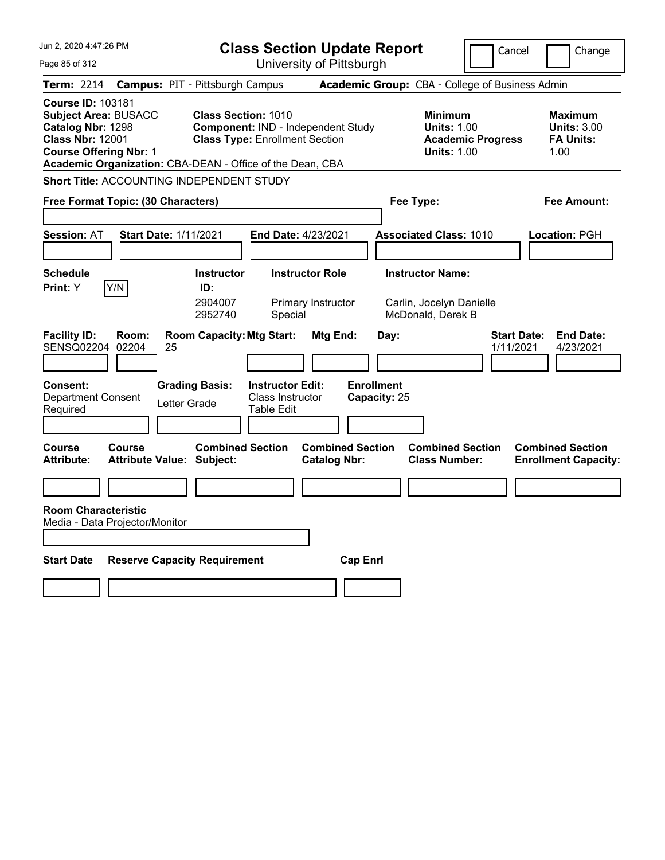| Jun 2, 2020 4:47:26 PM                                                                                                                   | <b>Class Section Update Report</b>                                                                                                                                     |                                                                          | Cancel                          | Change                                                           |
|------------------------------------------------------------------------------------------------------------------------------------------|------------------------------------------------------------------------------------------------------------------------------------------------------------------------|--------------------------------------------------------------------------|---------------------------------|------------------------------------------------------------------|
| Page 85 of 312                                                                                                                           | University of Pittsburgh                                                                                                                                               |                                                                          |                                 |                                                                  |
| <b>Term: 2214</b>                                                                                                                        | <b>Campus: PIT - Pittsburgh Campus</b>                                                                                                                                 | Academic Group: CBA - College of Business Admin                          |                                 |                                                                  |
| <b>Course ID: 103181</b><br><b>Subject Area: BUSACC</b><br>Catalog Nbr: 1298<br><b>Class Nbr: 12001</b><br><b>Course Offering Nbr: 1</b> | <b>Class Section: 1010</b><br>Component: IND - Independent Study<br><b>Class Type: Enrollment Section</b><br>Academic Organization: CBA-DEAN - Office of the Dean, CBA | <b>Minimum</b><br><b>Units: 1.00</b><br><b>Units: 1.00</b>               | <b>Academic Progress</b>        | <b>Maximum</b><br><b>Units: 3.00</b><br><b>FA Units:</b><br>1.00 |
| <b>Short Title: ACCOUNTING INDEPENDENT STUDY</b>                                                                                         |                                                                                                                                                                        |                                                                          |                                 |                                                                  |
| Free Format Topic: (30 Characters)                                                                                                       |                                                                                                                                                                        | Fee Type:                                                                |                                 | Fee Amount:                                                      |
| <b>Session: AT</b><br><b>Start Date: 1/11/2021</b>                                                                                       | End Date: 4/23/2021                                                                                                                                                    | <b>Associated Class: 1010</b>                                            |                                 | Location: PGH                                                    |
| <b>Schedule</b><br>Y/N<br>Print: Y                                                                                                       | <b>Instructor Role</b><br>Instructor<br>ID:<br>2904007<br>Primary Instructor<br>2952740<br>Special                                                                     | <b>Instructor Name:</b><br>Carlin, Jocelyn Danielle<br>McDonald, Derek B |                                 |                                                                  |
| <b>Facility ID:</b><br>Room:<br>SENSQ02204<br>02204<br>25                                                                                | <b>Room Capacity: Mtg Start:</b><br><b>Mtg End:</b>                                                                                                                    | Day:                                                                     | <b>Start Date:</b><br>1/11/2021 | <b>End Date:</b><br>4/23/2021                                    |
| <b>Consent:</b><br><b>Department Consent</b><br>Letter Grade<br>Required                                                                 | <b>Grading Basis:</b><br><b>Instructor Edit:</b><br><b>Class Instructor</b><br><b>Table Edit</b>                                                                       | <b>Enrollment</b><br>Capacity: 25                                        |                                 |                                                                  |
| <b>Course</b><br>Course<br><b>Attribute:</b><br>Attribute Value: Subject:                                                                | <b>Combined Section</b><br><b>Combined Section</b><br><b>Catalog Nbr:</b>                                                                                              | <b>Combined Section</b><br><b>Class Number:</b>                          |                                 | <b>Combined Section</b><br><b>Enrollment Capacity:</b>           |
|                                                                                                                                          |                                                                                                                                                                        |                                                                          |                                 |                                                                  |
| <b>Room Characteristic</b><br>Media - Data Projector/Monitor                                                                             |                                                                                                                                                                        |                                                                          |                                 |                                                                  |
| <b>Start Date</b><br><b>Reserve Capacity Requirement</b>                                                                                 |                                                                                                                                                                        | <b>Cap Enrl</b>                                                          |                                 |                                                                  |
|                                                                                                                                          |                                                                                                                                                                        |                                                                          |                                 |                                                                  |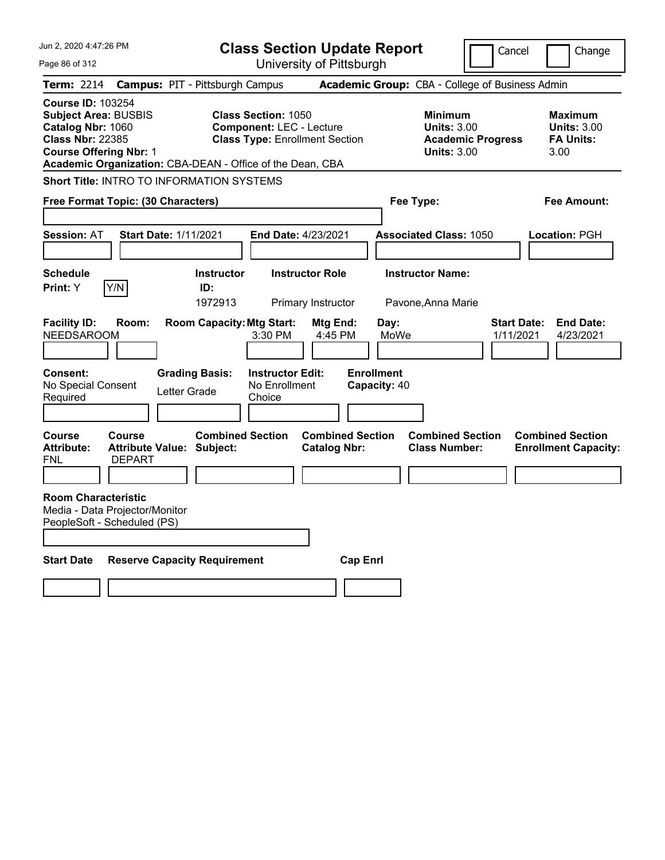| Jun 2, 2020 4:47:26 PM                                                                                                                                                                                |                                                                    |                                        | <b>Class Section Update Report</b><br>Cancel                  |                                                |                                   |                                                                                        | Change                                                           |
|-------------------------------------------------------------------------------------------------------------------------------------------------------------------------------------------------------|--------------------------------------------------------------------|----------------------------------------|---------------------------------------------------------------|------------------------------------------------|-----------------------------------|----------------------------------------------------------------------------------------|------------------------------------------------------------------|
| Page 86 of 312                                                                                                                                                                                        |                                                                    |                                        | University of Pittsburgh                                      |                                                |                                   |                                                                                        |                                                                  |
| <b>Term: 2214</b>                                                                                                                                                                                     |                                                                    | <b>Campus: PIT - Pittsburgh Campus</b> |                                                               |                                                |                                   | Academic Group: CBA - College of Business Admin                                        |                                                                  |
| <b>Course ID: 103254</b><br><b>Subject Area: BUSBIS</b><br>Catalog Nbr: 1060<br><b>Class Nbr: 22385</b><br><b>Course Offering Nbr: 1</b><br>Academic Organization: CBA-DEAN - Office of the Dean, CBA |                                                                    |                                        | <b>Class Section: 1050</b><br><b>Component: LEC - Lecture</b> | <b>Class Type: Enrollment Section</b>          |                                   | <b>Minimum</b><br><b>Units: 3.00</b><br><b>Academic Progress</b><br><b>Units: 3.00</b> | <b>Maximum</b><br><b>Units: 3.00</b><br><b>FA Units:</b><br>3.00 |
| <b>Short Title: INTRO TO INFORMATION SYSTEMS</b>                                                                                                                                                      |                                                                    |                                        |                                                               |                                                |                                   |                                                                                        |                                                                  |
| Free Format Topic: (30 Characters)                                                                                                                                                                    |                                                                    |                                        |                                                               |                                                | Fee Type:                         |                                                                                        | Fee Amount:                                                      |
| <b>Session: AT</b>                                                                                                                                                                                    | <b>Start Date: 1/11/2021</b>                                       |                                        | <b>End Date: 4/23/2021</b>                                    |                                                |                                   | <b>Associated Class: 1050</b>                                                          | Location: PGH                                                    |
| <b>Schedule</b><br>Print: Y                                                                                                                                                                           | Y/N                                                                | <b>Instructor</b><br>ID:<br>1972913    |                                                               | <b>Instructor Role</b><br>Primary Instructor   | <b>Instructor Name:</b>           | Pavone, Anna Marie                                                                     |                                                                  |
| <b>Facility ID:</b><br><b>NEEDSAROOM</b>                                                                                                                                                              | Room:                                                              | <b>Room Capacity: Mtg Start:</b>       | 3:30 PM                                                       | Mtg End:<br>4:45 PM                            | Day:<br>MoWe                      |                                                                                        | Start Date:<br><b>End Date:</b><br>1/11/2021<br>4/23/2021        |
| <b>Consent:</b><br>No Special Consent<br>Required                                                                                                                                                     |                                                                    | <b>Grading Basis:</b><br>Letter Grade  | <b>Instructor Edit:</b><br>No Enrollment<br>Choice            |                                                | <b>Enrollment</b><br>Capacity: 40 |                                                                                        |                                                                  |
| <b>Course</b><br><b>Attribute:</b><br>FNL                                                                                                                                                             | <b>Course</b><br><b>Attribute Value: Subject:</b><br><b>DEPART</b> | <b>Combined Section</b>                |                                                               | <b>Combined Section</b><br><b>Catalog Nbr:</b> |                                   | <b>Combined Section</b><br><b>Class Number:</b>                                        | <b>Combined Section</b><br><b>Enrollment Capacity:</b>           |
| <b>Room Characteristic</b><br>Media - Data Projector/Monitor<br>PeopleSoft - Scheduled (PS)                                                                                                           |                                                                    |                                        |                                                               |                                                |                                   |                                                                                        |                                                                  |
| <b>Start Date</b>                                                                                                                                                                                     | <b>Reserve Capacity Requirement</b>                                |                                        |                                                               | <b>Cap Enrl</b>                                |                                   |                                                                                        |                                                                  |
|                                                                                                                                                                                                       |                                                                    |                                        |                                                               |                                                |                                   |                                                                                        |                                                                  |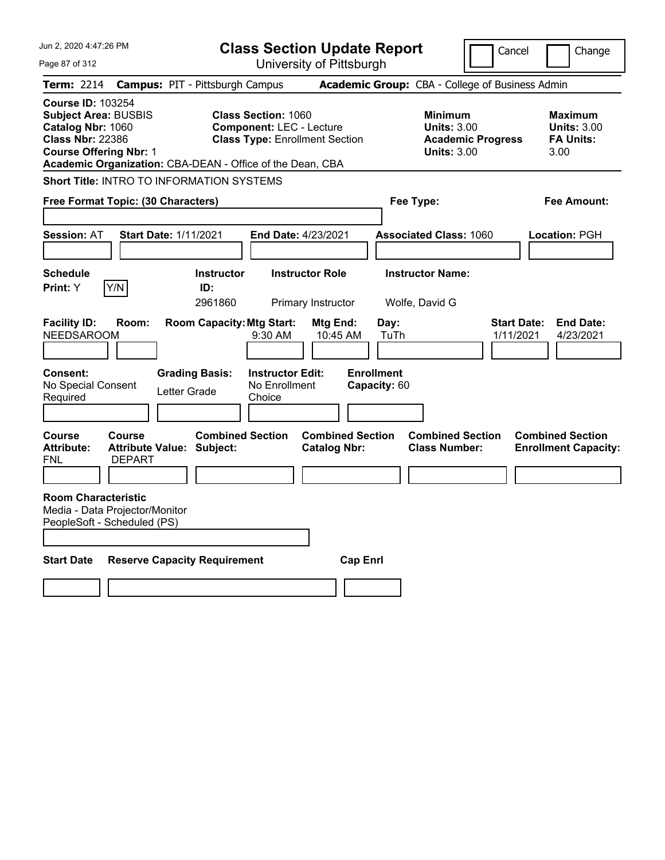| Jun 2, 2020 4:47:26 PM                                                                                                                   |                                                               |                                                           | <b>Class Section Update Report</b><br>Cancel                                                           |                                                |                                                   |                                                                                        | Change                          |                                                                  |
|------------------------------------------------------------------------------------------------------------------------------------------|---------------------------------------------------------------|-----------------------------------------------------------|--------------------------------------------------------------------------------------------------------|------------------------------------------------|---------------------------------------------------|----------------------------------------------------------------------------------------|---------------------------------|------------------------------------------------------------------|
| Page 87 of 312                                                                                                                           |                                                               |                                                           |                                                                                                        | University of Pittsburgh                       |                                                   |                                                                                        |                                 |                                                                  |
| Term: 2214                                                                                                                               | <b>Campus: PIT - Pittsburgh Campus</b>                        |                                                           |                                                                                                        |                                                |                                                   | Academic Group: CBA - College of Business Admin                                        |                                 |                                                                  |
| <b>Course ID: 103254</b><br><b>Subject Area: BUSBIS</b><br>Catalog Nbr: 1060<br><b>Class Nbr: 22386</b><br><b>Course Offering Nbr: 1</b> | Academic Organization: CBA-DEAN - Office of the Dean, CBA     |                                                           | <b>Class Section: 1060</b><br><b>Component: LEC - Lecture</b><br><b>Class Type: Enrollment Section</b> |                                                |                                                   | <b>Minimum</b><br><b>Units: 3.00</b><br><b>Academic Progress</b><br><b>Units: 3.00</b> |                                 | <b>Maximum</b><br><b>Units: 3.00</b><br><b>FA Units:</b><br>3.00 |
|                                                                                                                                          | Short Title: INTRO TO INFORMATION SYSTEMS                     |                                                           |                                                                                                        |                                                |                                                   |                                                                                        |                                 |                                                                  |
|                                                                                                                                          | Free Format Topic: (30 Characters)                            |                                                           |                                                                                                        |                                                | Fee Type:                                         |                                                                                        |                                 | Fee Amount:                                                      |
|                                                                                                                                          |                                                               |                                                           |                                                                                                        |                                                |                                                   |                                                                                        |                                 |                                                                  |
| <b>Session: AT</b>                                                                                                                       | <b>Start Date: 1/11/2021</b>                                  |                                                           | <b>End Date: 4/23/2021</b>                                                                             |                                                |                                                   | <b>Associated Class: 1060</b>                                                          |                                 | Location: PGH                                                    |
|                                                                                                                                          |                                                               |                                                           |                                                                                                        |                                                |                                                   |                                                                                        |                                 |                                                                  |
| <b>Schedule</b>                                                                                                                          |                                                               | <b>Instructor</b>                                         |                                                                                                        | <b>Instructor Role</b>                         |                                                   | <b>Instructor Name:</b>                                                                |                                 |                                                                  |
| <b>Print:</b> Y                                                                                                                          | Y/N                                                           | ID:<br>2961860                                            |                                                                                                        | Primary Instructor                             |                                                   | Wolfe, David G                                                                         |                                 |                                                                  |
| <b>Facility ID:</b><br><b>NEEDSAROOM</b><br><b>Consent:</b><br>No Special Consent<br>Required                                            | Room:<br>Letter Grade                                         | <b>Room Capacity: Mtg Start:</b><br><b>Grading Basis:</b> | 9:30 AM<br><b>Instructor Edit:</b><br>No Enrollment<br>Choice                                          | Mtg End:<br>10:45 AM                           | Day:<br>TuTh<br><b>Enrollment</b><br>Capacity: 60 |                                                                                        | <b>Start Date:</b><br>1/11/2021 | <b>End Date:</b><br>4/23/2021                                    |
| Course<br><b>Attribute:</b><br>FNL                                                                                                       | <b>Course</b><br>Attribute Value: Subject:<br><b>DEPART</b>   | <b>Combined Section</b>                                   |                                                                                                        | <b>Combined Section</b><br><b>Catalog Nbr:</b> |                                                   | <b>Combined Section</b><br><b>Class Number:</b>                                        |                                 | <b>Combined Section</b><br><b>Enrollment Capacity:</b>           |
| <b>Room Characteristic</b>                                                                                                               | Media - Data Projector/Monitor<br>PeopleSoft - Scheduled (PS) |                                                           |                                                                                                        |                                                |                                                   |                                                                                        |                                 |                                                                  |
| <b>Start Date</b>                                                                                                                        | <b>Reserve Capacity Requirement</b>                           |                                                           |                                                                                                        | <b>Cap Enri</b>                                |                                                   |                                                                                        |                                 |                                                                  |
|                                                                                                                                          |                                                               |                                                           |                                                                                                        |                                                |                                                   |                                                                                        |                                 |                                                                  |
|                                                                                                                                          |                                                               |                                                           |                                                                                                        |                                                |                                                   |                                                                                        |                                 |                                                                  |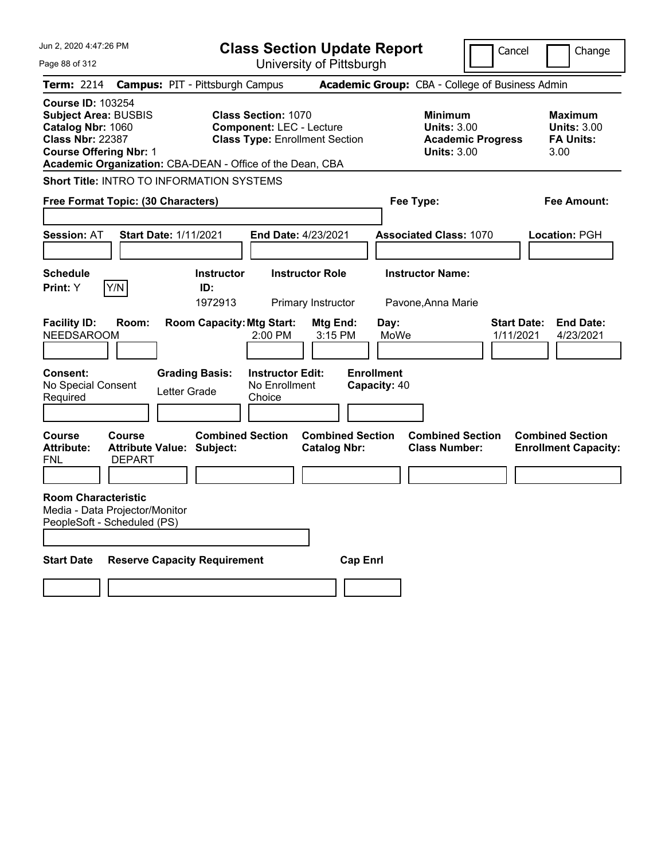| Jun 2, 2020 4:47:26 PM                                                                                                                   |                                |                                                             | <b>Class Section Update Report</b><br>Cancel                                                           |                                                |                                   |                                                            | Change                                          |                                                                  |
|------------------------------------------------------------------------------------------------------------------------------------------|--------------------------------|-------------------------------------------------------------|--------------------------------------------------------------------------------------------------------|------------------------------------------------|-----------------------------------|------------------------------------------------------------|-------------------------------------------------|------------------------------------------------------------------|
| Page 88 of 312                                                                                                                           |                                |                                                             | University of Pittsburgh                                                                               |                                                |                                   |                                                            |                                                 |                                                                  |
| <b>Term: 2214</b>                                                                                                                        |                                | <b>Campus: PIT - Pittsburgh Campus</b>                      |                                                                                                        |                                                |                                   |                                                            | Academic Group: CBA - College of Business Admin |                                                                  |
| <b>Course ID: 103254</b><br><b>Subject Area: BUSBIS</b><br>Catalog Nbr: 1060<br><b>Class Nbr: 22387</b><br><b>Course Offering Nbr: 1</b> |                                | Academic Organization: CBA-DEAN - Office of the Dean, CBA   | <b>Class Section: 1070</b><br><b>Component: LEC - Lecture</b><br><b>Class Type: Enrollment Section</b> |                                                |                                   | <b>Minimum</b><br><b>Units: 3.00</b><br><b>Units: 3.00</b> | <b>Academic Progress</b>                        | <b>Maximum</b><br><b>Units: 3.00</b><br><b>FA Units:</b><br>3.00 |
|                                                                                                                                          |                                | Short Title: INTRO TO INFORMATION SYSTEMS                   |                                                                                                        |                                                |                                   |                                                            |                                                 |                                                                  |
| Free Format Topic: (30 Characters)                                                                                                       |                                |                                                             |                                                                                                        |                                                | Fee Type:                         |                                                            |                                                 | Fee Amount:                                                      |
| <b>Session: AT</b>                                                                                                                       |                                | <b>Start Date: 1/11/2021</b>                                | End Date: 4/23/2021                                                                                    |                                                |                                   | <b>Associated Class: 1070</b>                              |                                                 | Location: PGH                                                    |
| <b>Schedule</b><br>Print: Y                                                                                                              | Y/N                            | <b>Instructor</b><br>ID:<br>1972913                         | <b>Instructor Role</b>                                                                                 | Primary Instructor                             |                                   | <b>Instructor Name:</b><br>Pavone, Anna Marie              |                                                 |                                                                  |
| <b>Facility ID:</b><br><b>NEEDSAROOM</b>                                                                                                 | Room:                          | <b>Room Capacity: Mtg Start:</b>                            | 2:00 PM                                                                                                | Mtg End:<br>3:15 PM                            | Day:<br>MoWe                      |                                                            | Start Date:<br>1/11/2021                        | <b>End Date:</b><br>4/23/2021                                    |
| <b>Consent:</b><br>No Special Consent<br>Required                                                                                        |                                | <b>Grading Basis:</b><br>Letter Grade                       | <b>Instructor Edit:</b><br>No Enrollment<br>Choice                                                     |                                                | <b>Enrollment</b><br>Capacity: 40 |                                                            |                                                 |                                                                  |
| Course<br><b>Attribute:</b><br>FNL                                                                                                       | <b>Course</b><br><b>DEPART</b> | <b>Combined Section</b><br><b>Attribute Value: Subject:</b> |                                                                                                        | <b>Combined Section</b><br><b>Catalog Nbr:</b> |                                   | <b>Combined Section</b><br><b>Class Number:</b>            |                                                 | <b>Combined Section</b><br><b>Enrollment Capacity:</b>           |
| <b>Room Characteristic</b><br>Media - Data Projector/Monitor<br>PeopleSoft - Scheduled (PS)                                              |                                |                                                             |                                                                                                        |                                                |                                   |                                                            |                                                 |                                                                  |
| <b>Start Date</b>                                                                                                                        |                                | <b>Reserve Capacity Requirement</b>                         |                                                                                                        | <b>Cap Enri</b>                                |                                   |                                                            |                                                 |                                                                  |
|                                                                                                                                          |                                |                                                             |                                                                                                        |                                                |                                   |                                                            |                                                 |                                                                  |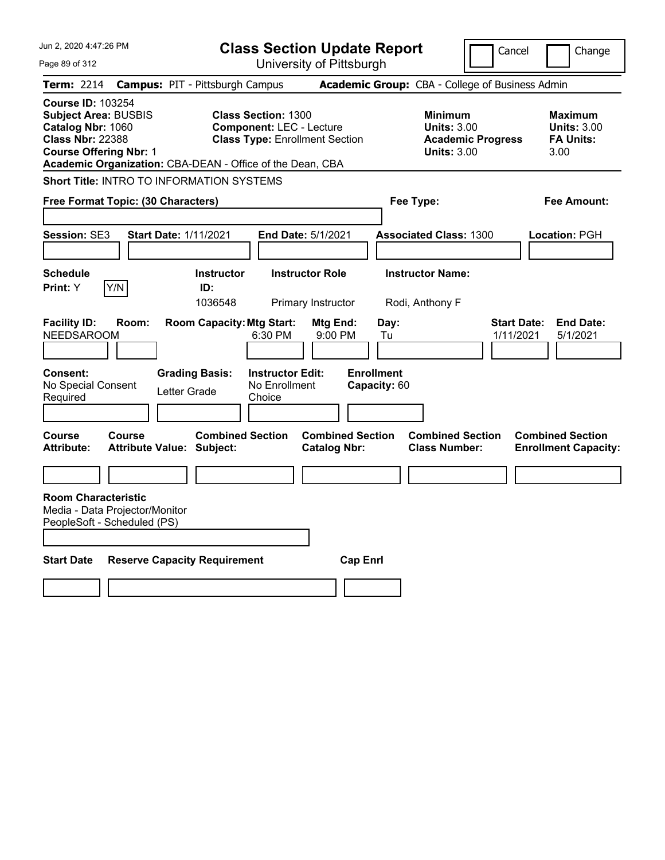| Jun 2, 2020 4:47:26 PM                                                                                                                   |        |                                                             | <b>Class Section Update Report</b><br>Cancel                                                           |                                                |                                   |                                                                                        | Change                   |                                                                  |
|------------------------------------------------------------------------------------------------------------------------------------------|--------|-------------------------------------------------------------|--------------------------------------------------------------------------------------------------------|------------------------------------------------|-----------------------------------|----------------------------------------------------------------------------------------|--------------------------|------------------------------------------------------------------|
| Page 89 of 312                                                                                                                           |        |                                                             |                                                                                                        | University of Pittsburgh                       |                                   |                                                                                        |                          |                                                                  |
| <b>Term: 2214</b>                                                                                                                        |        | <b>Campus: PIT - Pittsburgh Campus</b>                      |                                                                                                        |                                                |                                   | Academic Group: CBA - College of Business Admin                                        |                          |                                                                  |
| <b>Course ID: 103254</b><br><b>Subject Area: BUSBIS</b><br>Catalog Nbr: 1060<br><b>Class Nbr: 22388</b><br><b>Course Offering Nbr: 1</b> |        | Academic Organization: CBA-DEAN - Office of the Dean, CBA   | <b>Class Section: 1300</b><br><b>Component: LEC - Lecture</b><br><b>Class Type: Enrollment Section</b> |                                                |                                   | <b>Minimum</b><br><b>Units: 3.00</b><br><b>Academic Progress</b><br><b>Units: 3.00</b> |                          | <b>Maximum</b><br><b>Units: 3.00</b><br><b>FA Units:</b><br>3.00 |
|                                                                                                                                          |        | Short Title: INTRO TO INFORMATION SYSTEMS                   |                                                                                                        |                                                |                                   |                                                                                        |                          |                                                                  |
| Free Format Topic: (30 Characters)                                                                                                       |        |                                                             |                                                                                                        |                                                | Fee Type:                         |                                                                                        |                          | Fee Amount:                                                      |
| Session: SE3                                                                                                                             |        | <b>Start Date: 1/11/2021</b>                                | End Date: 5/1/2021                                                                                     |                                                |                                   | <b>Associated Class: 1300</b>                                                          |                          | Location: PGH                                                    |
| <b>Schedule</b><br>Print: Y                                                                                                              | Y/N    | <b>Instructor</b><br>ID:<br>1036548                         |                                                                                                        | <b>Instructor Role</b><br>Primary Instructor   |                                   | <b>Instructor Name:</b><br>Rodi, Anthony F                                             |                          |                                                                  |
| <b>Facility ID:</b><br><b>NEEDSAROOM</b>                                                                                                 | Room:  | <b>Room Capacity: Mtg Start:</b>                            | $6:30$ PM                                                                                              | Mtg End:<br>9:00 PM                            | Day:<br>Tu                        |                                                                                        | Start Date:<br>1/11/2021 | <b>End Date:</b><br>5/1/2021                                     |
| <b>Consent:</b><br>No Special Consent<br>Required                                                                                        |        | <b>Grading Basis:</b><br>Letter Grade                       | <b>Instructor Edit:</b><br>No Enrollment<br>Choice                                                     |                                                | <b>Enrollment</b><br>Capacity: 60 |                                                                                        |                          |                                                                  |
| Course<br><b>Attribute:</b>                                                                                                              | Course | <b>Combined Section</b><br><b>Attribute Value: Subject:</b> |                                                                                                        | <b>Combined Section</b><br><b>Catalog Nbr:</b> |                                   | <b>Combined Section</b><br><b>Class Number:</b>                                        |                          | <b>Combined Section</b><br><b>Enrollment Capacity:</b>           |
|                                                                                                                                          |        |                                                             |                                                                                                        |                                                |                                   |                                                                                        |                          |                                                                  |
| <b>Room Characteristic</b><br>Media - Data Projector/Monitor<br>PeopleSoft - Scheduled (PS)                                              |        |                                                             |                                                                                                        |                                                |                                   |                                                                                        |                          |                                                                  |
| <b>Start Date</b>                                                                                                                        |        | <b>Reserve Capacity Requirement</b>                         |                                                                                                        | <b>Cap Enri</b>                                |                                   |                                                                                        |                          |                                                                  |
|                                                                                                                                          |        |                                                             |                                                                                                        |                                                |                                   |                                                                                        |                          |                                                                  |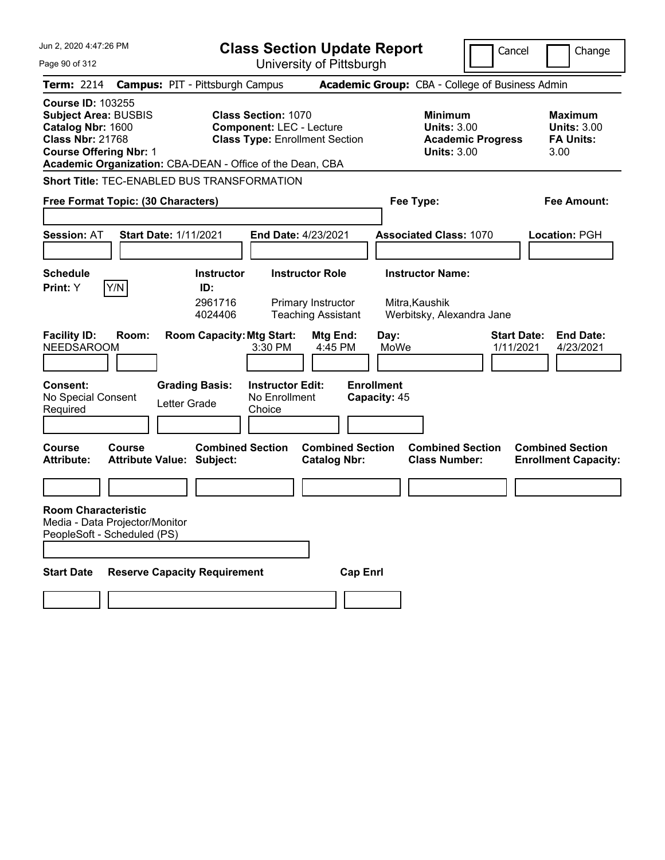| Jun 2, 2020 4:47:26 PM                                                                                                                                                                |                 |                                                                                                                                          | <b>Class Section Update Report</b><br>Cancel                                                           |                                                                       |                                                   |                                                            | Change                          |                                                                                         |
|---------------------------------------------------------------------------------------------------------------------------------------------------------------------------------------|-----------------|------------------------------------------------------------------------------------------------------------------------------------------|--------------------------------------------------------------------------------------------------------|-----------------------------------------------------------------------|---------------------------------------------------|------------------------------------------------------------|---------------------------------|-----------------------------------------------------------------------------------------|
| Page 90 of 312                                                                                                                                                                        |                 |                                                                                                                                          |                                                                                                        | University of Pittsburgh                                              |                                                   |                                                            |                                 |                                                                                         |
| <b>Term: 2214</b>                                                                                                                                                                     |                 | <b>Campus: PIT - Pittsburgh Campus</b>                                                                                                   |                                                                                                        |                                                                       |                                                   | Academic Group: CBA - College of Business Admin            |                                 |                                                                                         |
| <b>Course ID: 103255</b><br><b>Subject Area: BUSBIS</b><br>Catalog Nbr: 1600<br><b>Class Nbr: 21768</b><br><b>Course Offering Nbr: 1</b>                                              |                 | Academic Organization: CBA-DEAN - Office of the Dean, CBA                                                                                | <b>Class Section: 1070</b><br><b>Component: LEC - Lecture</b><br><b>Class Type: Enrollment Section</b> |                                                                       |                                                   | <b>Minimum</b><br><b>Units: 3.00</b><br><b>Units: 3.00</b> | <b>Academic Progress</b>        | <b>Maximum</b><br><b>Units: 3.00</b><br><b>FA Units:</b><br>3.00                        |
|                                                                                                                                                                                       |                 | <b>Short Title: TEC-ENABLED BUS TRANSFORMATION</b>                                                                                       |                                                                                                        |                                                                       |                                                   |                                                            |                                 |                                                                                         |
| Free Format Topic: (30 Characters)                                                                                                                                                    |                 |                                                                                                                                          |                                                                                                        |                                                                       |                                                   | Fee Type:                                                  |                                 | <b>Fee Amount:</b>                                                                      |
|                                                                                                                                                                                       |                 |                                                                                                                                          |                                                                                                        |                                                                       |                                                   |                                                            |                                 |                                                                                         |
| <b>Session: AT</b>                                                                                                                                                                    |                 | <b>Start Date: 1/11/2021</b>                                                                                                             | <b>End Date: 4/23/2021</b>                                                                             |                                                                       |                                                   | <b>Associated Class: 1070</b>                              |                                 | Location: PGH                                                                           |
|                                                                                                                                                                                       |                 |                                                                                                                                          |                                                                                                        |                                                                       |                                                   |                                                            |                                 |                                                                                         |
| <b>Schedule</b>                                                                                                                                                                       |                 | <b>Instructor</b>                                                                                                                        |                                                                                                        | <b>Instructor Role</b>                                                |                                                   | <b>Instructor Name:</b>                                    |                                 |                                                                                         |
| Print: Y                                                                                                                                                                              | Y/N             | ID:                                                                                                                                      |                                                                                                        |                                                                       |                                                   |                                                            |                                 |                                                                                         |
|                                                                                                                                                                                       |                 | 2961716<br>4024406                                                                                                                       |                                                                                                        | Primary Instructor<br><b>Teaching Assistant</b>                       |                                                   | Mitra, Kaushik<br>Werbitsky, Alexandra Jane                |                                 |                                                                                         |
| <b>Facility ID:</b><br><b>NEEDSAROOM</b><br>Consent:<br>No Special Consent<br>Required<br>Course<br><b>Attribute:</b><br><b>Room Characteristic</b><br>Media - Data Projector/Monitor | Room:<br>Course | <b>Room Capacity: Mtg Start:</b><br><b>Grading Basis:</b><br>Letter Grade<br><b>Combined Section</b><br><b>Attribute Value: Subject:</b> | 3:30 PM<br><b>Instructor Edit:</b><br>No Enrollment<br>Choice                                          | Mtg End:<br>4:45 PM<br><b>Combined Section</b><br><b>Catalog Nbr:</b> | Day:<br>MoWe<br><b>Enrollment</b><br>Capacity: 45 | <b>Combined Section</b><br><b>Class Number:</b>            | <b>Start Date:</b><br>1/11/2021 | <b>End Date:</b><br>4/23/2021<br><b>Combined Section</b><br><b>Enrollment Capacity:</b> |
| PeopleSoft - Scheduled (PS)                                                                                                                                                           |                 |                                                                                                                                          |                                                                                                        |                                                                       |                                                   |                                                            |                                 |                                                                                         |
|                                                                                                                                                                                       |                 |                                                                                                                                          |                                                                                                        |                                                                       |                                                   |                                                            |                                 |                                                                                         |
| <b>Start Date</b>                                                                                                                                                                     |                 | <b>Reserve Capacity Requirement</b>                                                                                                      |                                                                                                        | <b>Cap Enrl</b>                                                       |                                                   |                                                            |                                 |                                                                                         |
|                                                                                                                                                                                       |                 |                                                                                                                                          |                                                                                                        |                                                                       |                                                   |                                                            |                                 |                                                                                         |
|                                                                                                                                                                                       |                 |                                                                                                                                          |                                                                                                        |                                                                       |                                                   |                                                            |                                 |                                                                                         |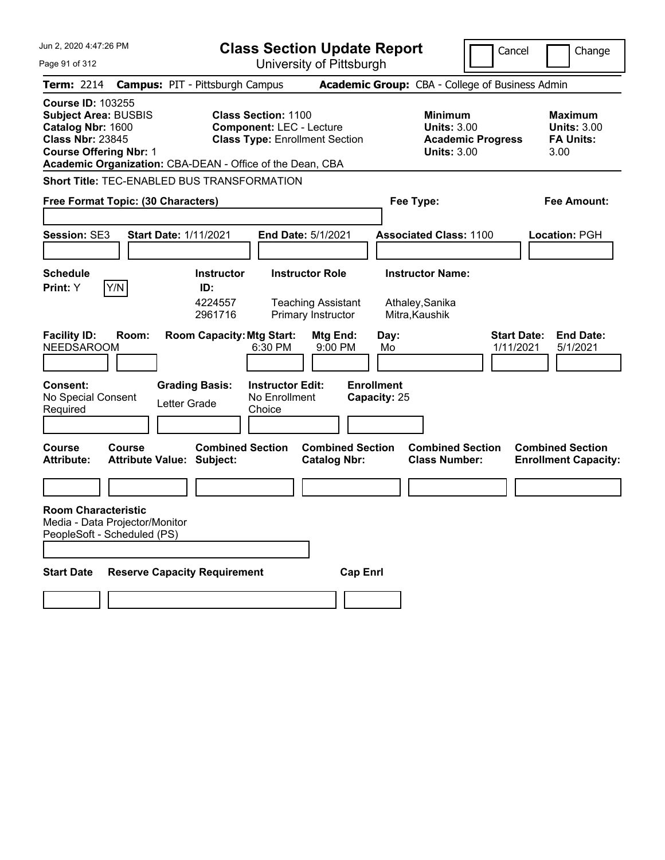| Jun 2, 2020 4:47:26 PM                                                                                                                   |              |                                                                                                      | <b>Class Section Update Report</b>                                                                     |                                                                        |                                   |                                                            | Cancel                          | Change                                                           |
|------------------------------------------------------------------------------------------------------------------------------------------|--------------|------------------------------------------------------------------------------------------------------|--------------------------------------------------------------------------------------------------------|------------------------------------------------------------------------|-----------------------------------|------------------------------------------------------------|---------------------------------|------------------------------------------------------------------|
| Page 91 of 312                                                                                                                           |              |                                                                                                      |                                                                                                        | University of Pittsburgh                                               |                                   |                                                            |                                 |                                                                  |
| <b>Term: 2214</b>                                                                                                                        |              | <b>Campus: PIT - Pittsburgh Campus</b>                                                               |                                                                                                        |                                                                        |                                   | Academic Group: CBA - College of Business Admin            |                                 |                                                                  |
| <b>Course ID: 103255</b><br><b>Subject Area: BUSBIS</b><br>Catalog Nbr: 1600<br><b>Class Nbr: 23845</b><br><b>Course Offering Nbr: 1</b> |              | Academic Organization: CBA-DEAN - Office of the Dean, CBA                                            | <b>Class Section: 1100</b><br><b>Component: LEC - Lecture</b><br><b>Class Type: Enrollment Section</b> |                                                                        |                                   | <b>Minimum</b><br><b>Units: 3.00</b><br><b>Units: 3.00</b> | <b>Academic Progress</b>        | <b>Maximum</b><br><b>Units: 3.00</b><br><b>FA Units:</b><br>3.00 |
|                                                                                                                                          |              | <b>Short Title: TEC-ENABLED BUS TRANSFORMATION</b>                                                   |                                                                                                        |                                                                        |                                   |                                                            |                                 |                                                                  |
| Free Format Topic: (30 Characters)                                                                                                       |              |                                                                                                      |                                                                                                        |                                                                        |                                   | Fee Type:                                                  |                                 | <b>Fee Amount:</b>                                               |
| <b>Session: SE3</b>                                                                                                                      |              | <b>Start Date: 1/11/2021</b>                                                                         | <b>End Date: 5/1/2021</b>                                                                              |                                                                        |                                   | <b>Associated Class: 1100</b>                              |                                 | <b>Location: PGH</b>                                             |
| <b>Schedule</b>                                                                                                                          |              | <b>Instructor</b>                                                                                    |                                                                                                        | <b>Instructor Role</b>                                                 |                                   | <b>Instructor Name:</b>                                    |                                 |                                                                  |
| Print: Y<br><b>Facility ID:</b><br><b>NEEDSAROOM</b>                                                                                     | Y/N<br>Room: | ID:<br>4224557<br>2961716<br><b>Room Capacity: Mtg Start:</b>                                        | 6:30 PM                                                                                                | <b>Teaching Assistant</b><br>Primary Instructor<br>Mtg End:<br>9:00 PM | Day:<br>Mo                        | Athaley, Sanika<br>Mitra, Kaushik                          | <b>Start Date:</b><br>1/11/2021 | <b>End Date:</b><br>5/1/2021                                     |
| <b>Consent:</b><br>No Special Consent<br>Required<br><b>Course</b><br><b>Attribute:</b>                                                  | Course       | <b>Grading Basis:</b><br>Letter Grade<br><b>Combined Section</b><br><b>Attribute Value: Subject:</b> | <b>Instructor Edit:</b><br>No Enrollment<br>Choice                                                     | <b>Combined Section</b><br><b>Catalog Nbr:</b>                         | <b>Enrollment</b><br>Capacity: 25 | <b>Combined Section</b><br><b>Class Number:</b>            |                                 | <b>Combined Section</b><br><b>Enrollment Capacity:</b>           |
| <b>Room Characteristic</b><br>Media - Data Projector/Monitor<br>PeopleSoft - Scheduled (PS)                                              |              |                                                                                                      |                                                                                                        |                                                                        |                                   |                                                            |                                 |                                                                  |
| <b>Start Date</b>                                                                                                                        |              | <b>Reserve Capacity Requirement</b>                                                                  |                                                                                                        | <b>Cap Enrl</b>                                                        |                                   |                                                            |                                 |                                                                  |
|                                                                                                                                          |              |                                                                                                      |                                                                                                        |                                                                        |                                   |                                                            |                                 |                                                                  |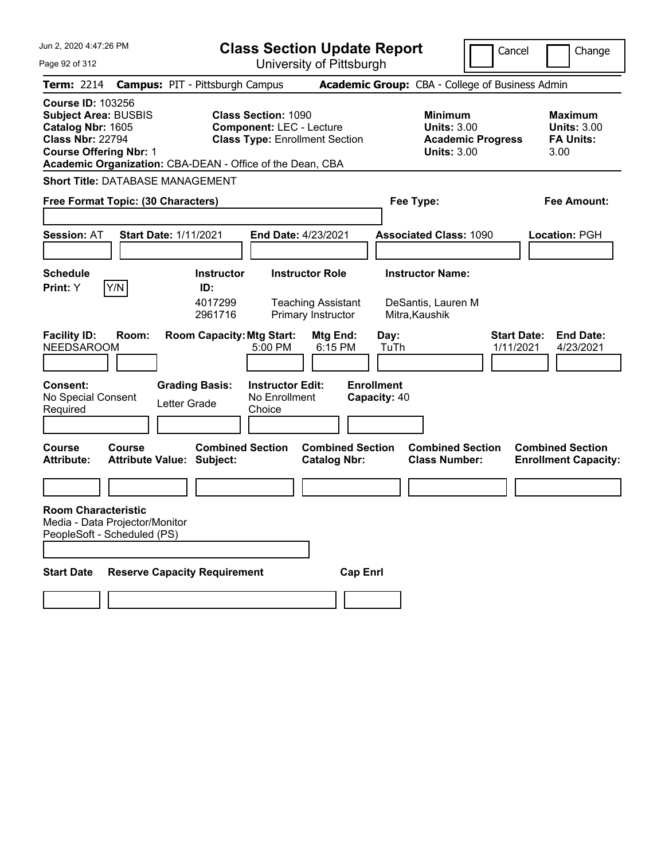| Jun 2, 2020 4:47:26 PM                                                                                                                                                                                |                                                               | <b>Class Section Update Report</b>                                                                     |                                                 |                                                            |                                 | Cancel<br>Change                                                 |
|-------------------------------------------------------------------------------------------------------------------------------------------------------------------------------------------------------|---------------------------------------------------------------|--------------------------------------------------------------------------------------------------------|-------------------------------------------------|------------------------------------------------------------|---------------------------------|------------------------------------------------------------------|
| Page 92 of 312                                                                                                                                                                                        |                                                               | University of Pittsburgh                                                                               |                                                 |                                                            |                                 |                                                                  |
| <b>Term: 2214</b>                                                                                                                                                                                     | <b>Campus: PIT - Pittsburgh Campus</b>                        |                                                                                                        | Academic Group: CBA - College of Business Admin |                                                            |                                 |                                                                  |
| <b>Course ID: 103256</b><br><b>Subject Area: BUSBIS</b><br>Catalog Nbr: 1605<br><b>Class Nbr: 22794</b><br><b>Course Offering Nbr: 1</b><br>Academic Organization: CBA-DEAN - Office of the Dean, CBA |                                                               | <b>Class Section: 1090</b><br><b>Component: LEC - Lecture</b><br><b>Class Type: Enrollment Section</b> |                                                 | <b>Minimum</b><br><b>Units: 3.00</b><br><b>Units: 3.00</b> | <b>Academic Progress</b>        | <b>Maximum</b><br><b>Units: 3.00</b><br><b>FA Units:</b><br>3.00 |
| <b>Short Title: DATABASE MANAGEMENT</b>                                                                                                                                                               |                                                               |                                                                                                        |                                                 |                                                            |                                 |                                                                  |
| Free Format Topic: (30 Characters)                                                                                                                                                                    |                                                               |                                                                                                        |                                                 | Fee Type:                                                  |                                 | Fee Amount:                                                      |
| <b>Session: AT</b><br><b>Start Date: 1/11/2021</b>                                                                                                                                                    |                                                               | End Date: 4/23/2021                                                                                    |                                                 | <b>Associated Class: 1090</b>                              |                                 | <b>Location: PGH</b>                                             |
| <b>Schedule</b>                                                                                                                                                                                       | <b>Instructor</b>                                             | <b>Instructor Role</b>                                                                                 |                                                 | <b>Instructor Name:</b>                                    |                                 |                                                                  |
| Y/N<br>Print: Y<br><b>Facility ID:</b><br>Room:<br><b>NEEDSAROOM</b>                                                                                                                                  | ID:<br>4017299<br>2961716<br><b>Room Capacity: Mtg Start:</b> | <b>Teaching Assistant</b><br>Primary Instructor<br>Mtg End:<br>$5:00$ PM                               | Day:<br>6:15 PM<br>TuTh                         | DeSantis, Lauren M<br>Mitra, Kaushik                       | <b>Start Date:</b><br>1/11/2021 | <b>End Date:</b><br>4/23/2021                                    |
| <b>Consent:</b><br>No Special Consent<br>Required                                                                                                                                                     | <b>Grading Basis:</b><br>Letter Grade                         | <b>Instructor Edit:</b><br>No Enrollment<br>Choice                                                     | <b>Enrollment</b><br>Capacity: 40               |                                                            |                                 |                                                                  |
| <b>Course</b><br>Course<br><b>Attribute Value: Subject:</b><br><b>Attribute:</b>                                                                                                                      | <b>Combined Section</b>                                       | <b>Catalog Nbr:</b>                                                                                    | <b>Combined Section</b>                         | <b>Combined Section</b><br><b>Class Number:</b>            |                                 | <b>Combined Section</b><br><b>Enrollment Capacity:</b>           |
|                                                                                                                                                                                                       |                                                               |                                                                                                        |                                                 |                                                            |                                 |                                                                  |
| <b>Room Characteristic</b><br>Media - Data Projector/Monitor<br>PeopleSoft - Scheduled (PS)                                                                                                           |                                                               |                                                                                                        |                                                 |                                                            |                                 |                                                                  |
| <b>Start Date</b>                                                                                                                                                                                     | <b>Reserve Capacity Requirement</b>                           |                                                                                                        | <b>Cap Enrl</b>                                 |                                                            |                                 |                                                                  |
|                                                                                                                                                                                                       |                                                               |                                                                                                        |                                                 |                                                            |                                 |                                                                  |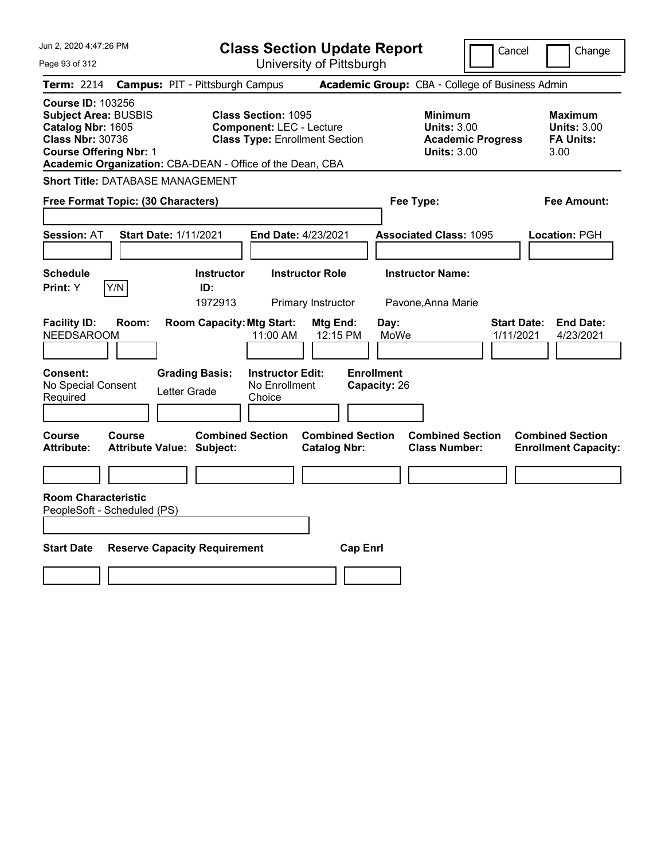| Jun 2, 2020 4:47:26 PM                                                                                                                                                                                | <b>Class Section Update Report</b>                                                                     | Cancel                                                                                 | Change                                                           |
|-------------------------------------------------------------------------------------------------------------------------------------------------------------------------------------------------------|--------------------------------------------------------------------------------------------------------|----------------------------------------------------------------------------------------|------------------------------------------------------------------|
| Page 93 of 312                                                                                                                                                                                        | University of Pittsburgh                                                                               |                                                                                        |                                                                  |
| <b>Term: 2214</b>                                                                                                                                                                                     | <b>Campus: PIT - Pittsburgh Campus</b>                                                                 | Academic Group: CBA - College of Business Admin                                        |                                                                  |
| <b>Course ID: 103256</b><br><b>Subject Area: BUSBIS</b><br>Catalog Nbr: 1605<br><b>Class Nbr: 30736</b><br><b>Course Offering Nbr: 1</b><br>Academic Organization: CBA-DEAN - Office of the Dean, CBA | <b>Class Section: 1095</b><br><b>Component: LEC - Lecture</b><br><b>Class Type: Enrollment Section</b> | <b>Minimum</b><br><b>Units: 3.00</b><br><b>Academic Progress</b><br><b>Units: 3.00</b> | <b>Maximum</b><br><b>Units: 3.00</b><br><b>FA Units:</b><br>3.00 |
| <b>Short Title: DATABASE MANAGEMENT</b>                                                                                                                                                               |                                                                                                        |                                                                                        |                                                                  |
| Free Format Topic: (30 Characters)                                                                                                                                                                    |                                                                                                        | Fee Type:                                                                              | Fee Amount:                                                      |
| Start Date: 1/11/2021<br><b>Session: AT</b>                                                                                                                                                           | End Date: 4/23/2021                                                                                    | <b>Associated Class: 1095</b>                                                          | Location: PGH                                                    |
| <b>Schedule</b><br>Y/N<br><b>Print: Y</b>                                                                                                                                                             | <b>Instructor Role</b><br><b>Instructor</b><br>ID:<br>1972913<br>Primary Instructor                    | <b>Instructor Name:</b><br>Pavone, Anna Marie                                          |                                                                  |
| <b>Facility ID:</b><br>Room:<br><b>NEEDSAROOM</b>                                                                                                                                                     | <b>Room Capacity: Mtg Start:</b><br>Mtg End:<br>11:00 AM<br>12:15 PM                                   | Day:<br>MoWe<br>1/11/2021                                                              | <b>Start Date:</b><br><b>End Date:</b><br>4/23/2021              |
| Consent:<br><b>Grading Basis:</b><br>No Special Consent<br>Letter Grade<br>Required                                                                                                                   | <b>Instructor Edit:</b><br>No Enrollment<br>Choice                                                     | <b>Enrollment</b><br>Capacity: 26                                                      |                                                                  |
| Course<br>Course<br><b>Attribute Value: Subject:</b><br><b>Attribute:</b>                                                                                                                             | <b>Combined Section</b><br><b>Combined Section</b><br><b>Catalog Nbr:</b>                              | <b>Combined Section</b><br><b>Class Number:</b>                                        | <b>Combined Section</b><br><b>Enrollment Capacity:</b>           |
|                                                                                                                                                                                                       |                                                                                                        |                                                                                        |                                                                  |
| <b>Room Characteristic</b><br>PeopleSoft - Scheduled (PS)                                                                                                                                             |                                                                                                        |                                                                                        |                                                                  |
| <b>Start Date</b><br><b>Reserve Capacity Requirement</b>                                                                                                                                              |                                                                                                        | <b>Cap Enrl</b>                                                                        |                                                                  |
|                                                                                                                                                                                                       |                                                                                                        |                                                                                        |                                                                  |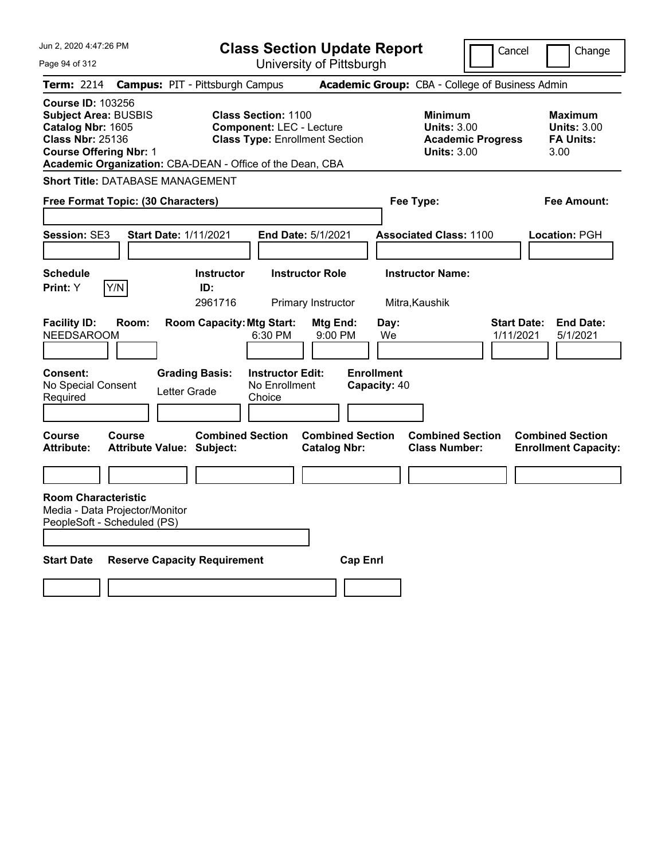| Jun 2, 2020 4:47:26 PM                                                                                                                   |                                                                                                                                                                     | <b>Class Section Update Report</b><br>Cancel<br>Change |                                                            |                                 |                                                           |
|------------------------------------------------------------------------------------------------------------------------------------------|---------------------------------------------------------------------------------------------------------------------------------------------------------------------|--------------------------------------------------------|------------------------------------------------------------|---------------------------------|-----------------------------------------------------------|
| Page 94 of 312                                                                                                                           |                                                                                                                                                                     | University of Pittsburgh                               |                                                            |                                 |                                                           |
| <b>Term: 2214</b>                                                                                                                        | <b>Campus: PIT - Pittsburgh Campus</b>                                                                                                                              |                                                        | Academic Group: CBA - College of Business Admin            |                                 |                                                           |
| <b>Course ID: 103256</b><br><b>Subject Area: BUSBIS</b><br>Catalog Nbr: 1605<br><b>Class Nbr: 25136</b><br><b>Course Offering Nbr: 1</b> | <b>Class Section: 1100</b><br><b>Component: LEC - Lecture</b><br><b>Class Type: Enrollment Section</b><br>Academic Organization: CBA-DEAN - Office of the Dean, CBA |                                                        | <b>Minimum</b><br><b>Units: 3.00</b><br><b>Units: 3.00</b> | <b>Academic Progress</b>        | Maximum<br><b>Units: 3.00</b><br><b>FA Units:</b><br>3.00 |
| <b>Short Title: DATABASE MANAGEMENT</b>                                                                                                  |                                                                                                                                                                     |                                                        |                                                            |                                 |                                                           |
| Free Format Topic: (30 Characters)                                                                                                       |                                                                                                                                                                     |                                                        | Fee Type:                                                  |                                 | Fee Amount:                                               |
|                                                                                                                                          |                                                                                                                                                                     |                                                        |                                                            |                                 |                                                           |
| Session: SE3                                                                                                                             | <b>Start Date: 1/11/2021</b>                                                                                                                                        | End Date: 5/1/2021                                     | <b>Associated Class: 1100</b>                              |                                 | Location: PGH                                             |
|                                                                                                                                          |                                                                                                                                                                     |                                                        |                                                            |                                 |                                                           |
| <b>Schedule</b>                                                                                                                          | <b>Instructor</b>                                                                                                                                                   | <b>Instructor Role</b>                                 | <b>Instructor Name:</b>                                    |                                 |                                                           |
| Y/N<br>Print: Y                                                                                                                          | ID:<br>2961716                                                                                                                                                      | Primary Instructor                                     | Mitra, Kaushik                                             |                                 |                                                           |
| <b>Facility ID:</b><br>Room:<br><b>NEEDSAROOM</b><br><b>Consent:</b><br>No Special Consent<br>Required                                   | <b>Room Capacity: Mtg Start:</b><br>6:30 PM<br><b>Instructor Edit:</b><br><b>Grading Basis:</b><br>No Enrollment<br>Letter Grade<br>Choice                          | Mtg End:<br>$9:00$ PM                                  | Day:<br>We<br><b>Enrollment</b><br>Capacity: 40            | <b>Start Date:</b><br>1/11/2021 | <b>End Date:</b><br>5/1/2021                              |
| <b>Course</b><br>Course                                                                                                                  | <b>Combined Section</b>                                                                                                                                             | <b>Combined Section</b>                                | <b>Combined Section</b>                                    |                                 | <b>Combined Section</b>                                   |
| <b>Attribute:</b>                                                                                                                        | <b>Attribute Value: Subject:</b>                                                                                                                                    | <b>Catalog Nbr:</b>                                    | <b>Class Number:</b>                                       |                                 | <b>Enrollment Capacity:</b>                               |
|                                                                                                                                          |                                                                                                                                                                     |                                                        |                                                            |                                 |                                                           |
| <b>Room Characteristic</b><br>Media - Data Projector/Monitor<br>PeopleSoft - Scheduled (PS)                                              |                                                                                                                                                                     |                                                        |                                                            |                                 |                                                           |
| <b>Start Date</b>                                                                                                                        | <b>Reserve Capacity Requirement</b>                                                                                                                                 | <b>Cap Enri</b>                                        |                                                            |                                 |                                                           |
|                                                                                                                                          |                                                                                                                                                                     |                                                        |                                                            |                                 |                                                           |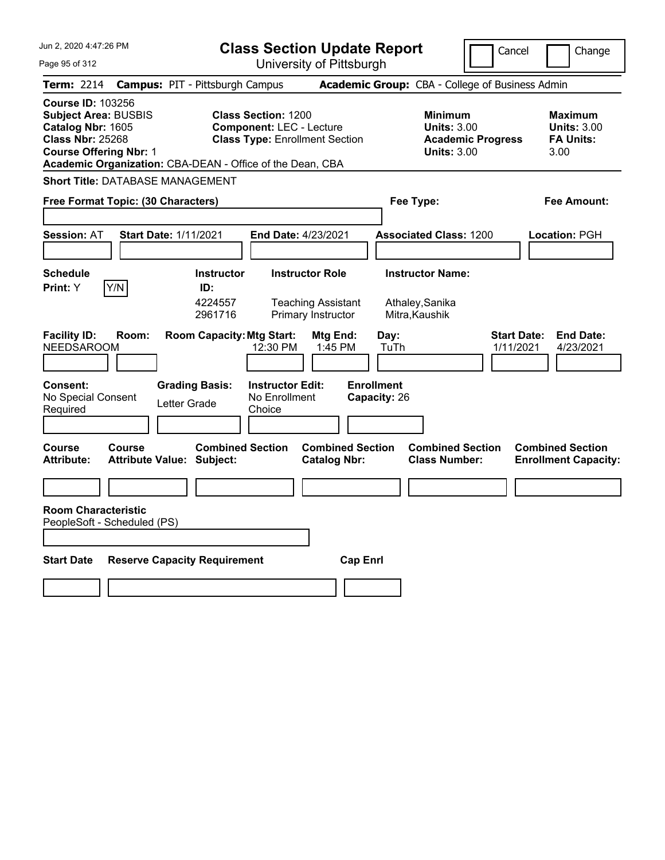| Jun 2, 2020 4:47:26 PM                                                                                                                                                                                | <b>Class Section Update Report</b>                                                                                          | Cancel<br>Change                                                                       |                                                                  |
|-------------------------------------------------------------------------------------------------------------------------------------------------------------------------------------------------------|-----------------------------------------------------------------------------------------------------------------------------|----------------------------------------------------------------------------------------|------------------------------------------------------------------|
| Page 95 of 312                                                                                                                                                                                        | University of Pittsburgh                                                                                                    |                                                                                        |                                                                  |
| <b>Term: 2214</b>                                                                                                                                                                                     | <b>Campus: PIT - Pittsburgh Campus</b>                                                                                      | Academic Group: CBA - College of Business Admin                                        |                                                                  |
| <b>Course ID: 103256</b><br><b>Subject Area: BUSBIS</b><br>Catalog Nbr: 1605<br><b>Class Nbr: 25268</b><br><b>Course Offering Nbr: 1</b><br>Academic Organization: CBA-DEAN - Office of the Dean, CBA | <b>Class Section: 1200</b><br><b>Component: LEC - Lecture</b><br><b>Class Type: Enrollment Section</b>                      | <b>Minimum</b><br><b>Units: 3.00</b><br><b>Academic Progress</b><br><b>Units: 3.00</b> | <b>Maximum</b><br><b>Units: 3.00</b><br><b>FA Units:</b><br>3.00 |
| <b>Short Title: DATABASE MANAGEMENT</b>                                                                                                                                                               |                                                                                                                             |                                                                                        |                                                                  |
| Free Format Topic: (30 Characters)                                                                                                                                                                    |                                                                                                                             | Fee Type:                                                                              | Fee Amount:                                                      |
| <b>Session: AT</b><br><b>Start Date: 1/11/2021</b>                                                                                                                                                    | End Date: 4/23/2021                                                                                                         | <b>Associated Class: 1200</b>                                                          | <b>Location: PGH</b>                                             |
| <b>Schedule</b><br>Y/N<br><b>Print: Y</b>                                                                                                                                                             | <b>Instructor</b><br><b>Instructor Role</b><br>ID:<br>4224557<br><b>Teaching Assistant</b><br>Primary Instructor<br>2961716 | <b>Instructor Name:</b><br>Athaley, Sanika<br>Mitra, Kaushik                           |                                                                  |
| <b>Facility ID:</b><br>Room:<br><b>NEEDSAROOM</b>                                                                                                                                                     | <b>Room Capacity: Mtg Start:</b><br>Mtg End:<br>12:30 PM<br>1:45 PM                                                         | Day:<br>TuTh                                                                           | <b>Start Date:</b><br><b>End Date:</b><br>1/11/2021<br>4/23/2021 |
| <b>Consent:</b><br><b>Grading Basis:</b><br>No Special Consent<br>Letter Grade<br>Required                                                                                                            | <b>Instructor Edit:</b><br>No Enrollment<br>Choice                                                                          | <b>Enrollment</b><br>Capacity: 26                                                      |                                                                  |
| Course<br>Course<br><b>Attribute:</b><br><b>Attribute Value: Subject:</b>                                                                                                                             | <b>Combined Section</b><br><b>Catalog Nbr:</b>                                                                              | <b>Combined Section</b><br><b>Combined Section</b><br><b>Class Number:</b>             | <b>Combined Section</b><br><b>Enrollment Capacity:</b>           |
|                                                                                                                                                                                                       |                                                                                                                             |                                                                                        |                                                                  |
| <b>Room Characteristic</b><br>PeopleSoft - Scheduled (PS)                                                                                                                                             |                                                                                                                             |                                                                                        |                                                                  |
| <b>Start Date</b><br><b>Reserve Capacity Requirement</b>                                                                                                                                              |                                                                                                                             | <b>Cap Enrl</b>                                                                        |                                                                  |
|                                                                                                                                                                                                       |                                                                                                                             |                                                                                        |                                                                  |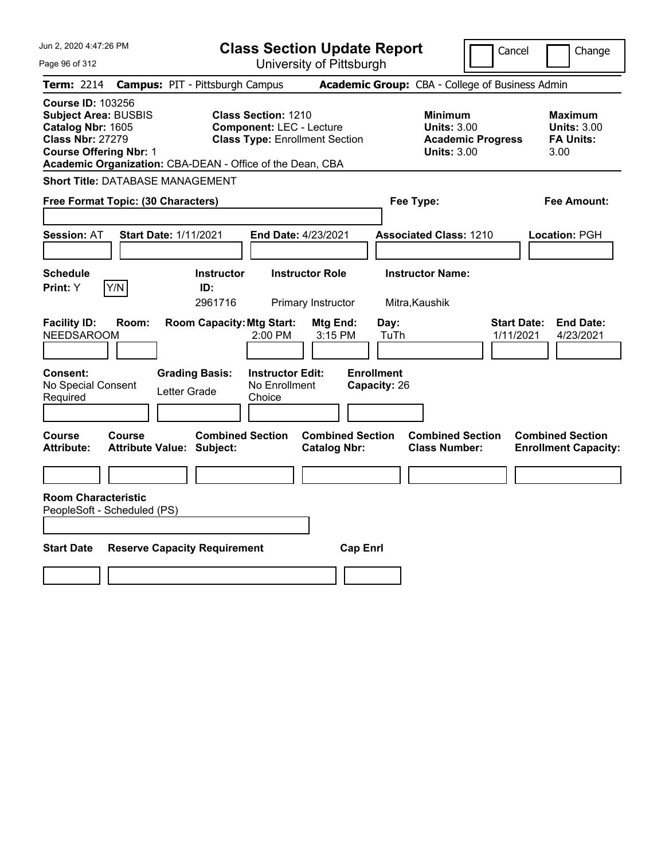| Jun 2, 2020 4:47:26 PM                                                                                                                                                                                |                                                                                                        | <b>Class Section Update Report</b>             |                                                                                        | Cancel<br>Change                                                 |
|-------------------------------------------------------------------------------------------------------------------------------------------------------------------------------------------------------|--------------------------------------------------------------------------------------------------------|------------------------------------------------|----------------------------------------------------------------------------------------|------------------------------------------------------------------|
| Page 96 of 312                                                                                                                                                                                        |                                                                                                        | University of Pittsburgh                       |                                                                                        |                                                                  |
| Term: 2214                                                                                                                                                                                            | <b>Campus: PIT - Pittsburgh Campus</b>                                                                 |                                                | Academic Group: CBA - College of Business Admin                                        |                                                                  |
| <b>Course ID: 103256</b><br><b>Subject Area: BUSBIS</b><br>Catalog Nbr: 1605<br><b>Class Nbr: 27279</b><br><b>Course Offering Nbr: 1</b><br>Academic Organization: CBA-DEAN - Office of the Dean, CBA | <b>Class Section: 1210</b><br><b>Component: LEC - Lecture</b><br><b>Class Type: Enrollment Section</b> |                                                | <b>Minimum</b><br><b>Units: 3.00</b><br><b>Academic Progress</b><br><b>Units: 3.00</b> | <b>Maximum</b><br><b>Units: 3.00</b><br><b>FA Units:</b><br>3.00 |
| <b>Short Title: DATABASE MANAGEMENT</b>                                                                                                                                                               |                                                                                                        |                                                |                                                                                        |                                                                  |
| Free Format Topic: (30 Characters)                                                                                                                                                                    |                                                                                                        |                                                | Fee Type:                                                                              | Fee Amount:                                                      |
| <b>Start Date: 1/11/2021</b><br><b>Session: AT</b>                                                                                                                                                    | End Date: 4/23/2021                                                                                    |                                                | <b>Associated Class: 1210</b>                                                          | Location: PGH                                                    |
| <b>Schedule</b><br>Y/N<br>Print: Y                                                                                                                                                                    | <b>Instructor</b><br>ID:                                                                               | <b>Instructor Role</b>                         | <b>Instructor Name:</b>                                                                |                                                                  |
|                                                                                                                                                                                                       | 2961716                                                                                                | Primary Instructor                             | Mitra, Kaushik                                                                         |                                                                  |
| <b>Facility ID:</b><br>Room:<br><b>NEEDSAROOM</b>                                                                                                                                                     | <b>Room Capacity: Mtg Start:</b><br>2:00 PM                                                            | Mtg End:<br>Day:<br>3:15 PM                    | TuTh                                                                                   | <b>End Date:</b><br><b>Start Date:</b><br>1/11/2021<br>4/23/2021 |
| Consent:<br>No Special Consent<br>Letter Grade<br>Required                                                                                                                                            | <b>Instructor Edit:</b><br><b>Grading Basis:</b><br>No Enrollment<br>Choice                            | <b>Enrollment</b><br>Capacity: 26              |                                                                                        |                                                                  |
| Course<br>Course<br><b>Attribute Value: Subject:</b><br>Attribute:                                                                                                                                    | <b>Combined Section</b>                                                                                | <b>Combined Section</b><br><b>Catalog Nbr:</b> | <b>Combined Section</b><br><b>Class Number:</b>                                        | <b>Combined Section</b><br><b>Enrollment Capacity:</b>           |
|                                                                                                                                                                                                       |                                                                                                        |                                                |                                                                                        |                                                                  |
| <b>Room Characteristic</b><br>PeopleSoft - Scheduled (PS)                                                                                                                                             |                                                                                                        |                                                |                                                                                        |                                                                  |
| <b>Start Date</b><br><b>Reserve Capacity Requirement</b>                                                                                                                                              |                                                                                                        | <b>Cap Enrl</b>                                |                                                                                        |                                                                  |
|                                                                                                                                                                                                       |                                                                                                        |                                                |                                                                                        |                                                                  |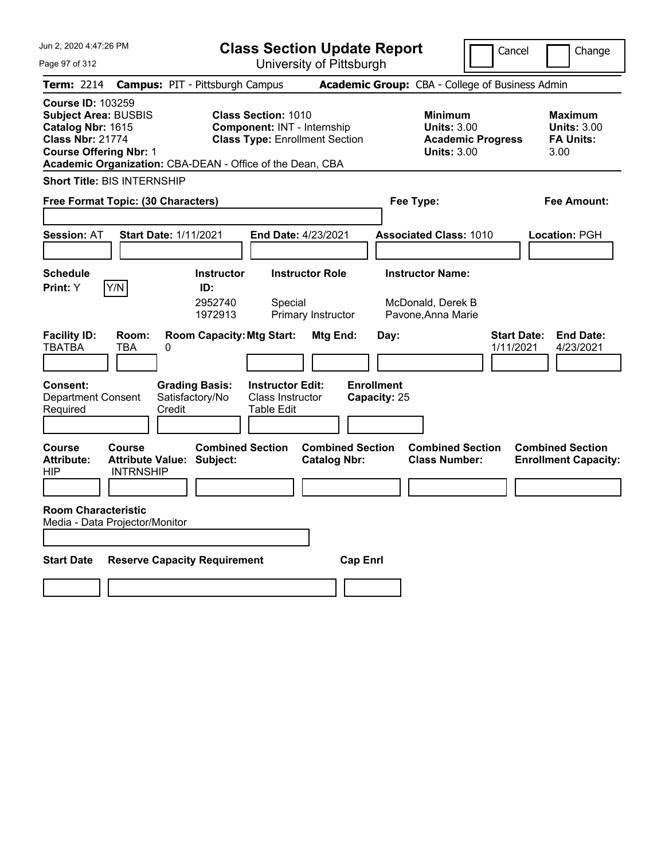Jun 2, 2020 4:47:26 PM Page 97 of 312 **Class Section Update Report** University of Pittsburgh Cancel | Change **Term:** 2214 **Campus:** PIT - Pittsburgh Campus **Academic Group:** CBA - College of Business Admin **Course ID:** 103259 **Subject Area:** BUSBIS **Class Section:** 1010 **Minimum Maximum Catalog Nbr:** 1615 **Component:** INT - Internship **Units:** 3.00<br> **Class Nbr:** 21774 **Class Type:** Enrollment Section **Academic I Class Type: Enrollment Section <b>Academic Progress FA Units: Course Offering Nbr:** 1 **Units:** 3.00 3.00 **Academic Organization:** CBA-DEAN - Office of the Dean, CBA **Short Title:** BIS INTERNSHIP **Free Format Topic: (30 Characters) Fee Type: Fee Amount: Session:** AT **Start Date:** 1/11/2021 **End Date:** 4/23/2021 **Associated Class:** 1010 **Location:** PGH **Schedule Instructor Instructor Role Instructor Name: Print:**  $Y$   $|Y/N|$  **ID:** 2952740 Special McDonald, Derek B 1972913 Primary Instructor Pavone,Anna Marie **Facility ID: Room: Room Capacity:Mtg Start: Mtg End: Day: Start Date: End Date:** TBATBA TBA 0 1/11/2021 4/23/2021 **Consent: Grading Basis: Instructor Edit: Enrollment** Department Consent Required Satisfactory/No Credit Class Instructor Table Edit **Capacity:** 25 **Course Course Combined Section Combined Section Combined Section Combined Section**  Attribute: Attribute Value: Subject: Catalog Nbr: Class Number: Enrollment Capacity:<br>HIP MTRNSHIP **INTRNSHIP Room Characteristic** Media - Data Projector/Monitor **Start Date Reserve Capacity Requirement Cap Enrl**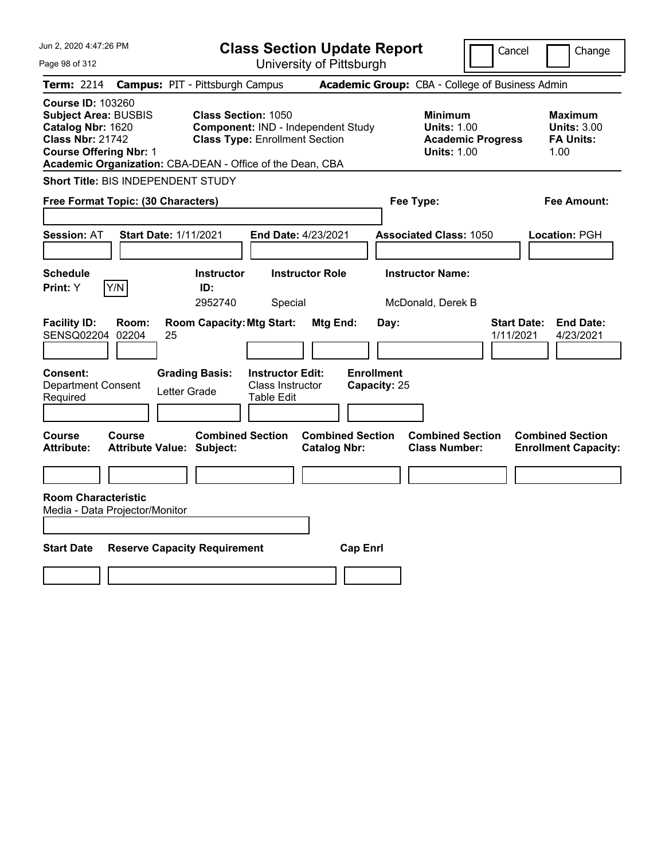| Jun 2, 2020 4:47:26 PM                                                                                                                                                                                |                                        |                                                                     |                                                           | <b>Class Section Update Report</b>             |                                   |                                                            | Cancel                   | Change                                                           |
|-------------------------------------------------------------------------------------------------------------------------------------------------------------------------------------------------------|----------------------------------------|---------------------------------------------------------------------|-----------------------------------------------------------|------------------------------------------------|-----------------------------------|------------------------------------------------------------|--------------------------|------------------------------------------------------------------|
| Page 98 of 312                                                                                                                                                                                        |                                        |                                                                     |                                                           | University of Pittsburgh                       |                                   |                                                            |                          |                                                                  |
| Term: 2214                                                                                                                                                                                            | <b>Campus: PIT - Pittsburgh Campus</b> |                                                                     |                                                           |                                                |                                   | Academic Group: CBA - College of Business Admin            |                          |                                                                  |
| <b>Course ID: 103260</b><br><b>Subject Area: BUSBIS</b><br>Catalog Nbr: 1620<br><b>Class Nbr: 21742</b><br><b>Course Offering Nbr: 1</b><br>Academic Organization: CBA-DEAN - Office of the Dean, CBA |                                        | <b>Class Section: 1050</b><br><b>Class Type: Enrollment Section</b> |                                                           | Component: IND - Independent Study             |                                   | <b>Minimum</b><br><b>Units: 1.00</b><br><b>Units: 1.00</b> | <b>Academic Progress</b> | <b>Maximum</b><br><b>Units: 3.00</b><br><b>FA Units:</b><br>1.00 |
| Short Title: BIS INDEPENDENT STUDY                                                                                                                                                                    |                                        |                                                                     |                                                           |                                                |                                   |                                                            |                          |                                                                  |
| Free Format Topic: (30 Characters)                                                                                                                                                                    |                                        |                                                                     |                                                           |                                                |                                   | Fee Type:                                                  |                          | Fee Amount:                                                      |
| <b>Session: AT</b>                                                                                                                                                                                    | <b>Start Date: 1/11/2021</b>           |                                                                     | End Date: 4/23/2021                                       |                                                |                                   | <b>Associated Class: 1050</b>                              |                          | Location: PGH                                                    |
| <b>Schedule</b><br>Y/N<br>Print: Y                                                                                                                                                                    |                                        | <b>Instructor</b><br>ID:<br>2952740                                 | Special                                                   | <b>Instructor Role</b>                         |                                   | <b>Instructor Name:</b><br>McDonald, Derek B               |                          |                                                                  |
| <b>Facility ID:</b><br>Room:<br>SENSQ02204<br>02204                                                                                                                                                   | 25                                     | <b>Room Capacity: Mtg Start:</b>                                    |                                                           | <b>Mtg End:</b>                                | Day:                              |                                                            | 1/11/2021                | <b>Start Date:</b><br><b>End Date:</b><br>4/23/2021              |
| Consent:<br>Department Consent<br>Required                                                                                                                                                            | Letter Grade                           | <b>Grading Basis:</b>                                               | <b>Instructor Edit:</b><br>Class Instructor<br>Table Edit |                                                | <b>Enrollment</b><br>Capacity: 25 |                                                            |                          |                                                                  |
| <b>Course</b><br><b>Course</b><br><b>Attribute:</b>                                                                                                                                                   | <b>Attribute Value: Subject:</b>       | <b>Combined Section</b>                                             |                                                           | <b>Combined Section</b><br><b>Catalog Nbr:</b> |                                   | <b>Combined Section</b><br><b>Class Number:</b>            |                          | <b>Combined Section</b><br><b>Enrollment Capacity:</b>           |
|                                                                                                                                                                                                       |                                        |                                                                     |                                                           |                                                |                                   |                                                            |                          |                                                                  |
| <b>Room Characteristic</b><br>Media - Data Projector/Monitor                                                                                                                                          |                                        |                                                                     |                                                           |                                                |                                   |                                                            |                          |                                                                  |
| <b>Start Date</b>                                                                                                                                                                                     | <b>Reserve Capacity Requirement</b>    |                                                                     |                                                           |                                                | <b>Cap Enrl</b>                   |                                                            |                          |                                                                  |
|                                                                                                                                                                                                       |                                        |                                                                     |                                                           |                                                |                                   |                                                            |                          |                                                                  |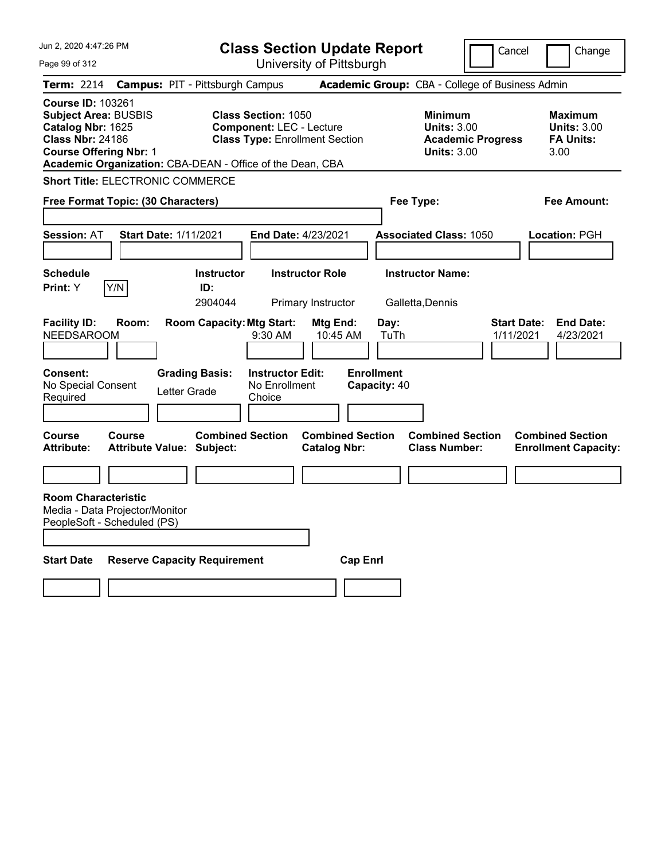| Jun 2, 2020 4:47:26 PM                                                                                                                                                                                | <b>Class Section Update Report</b>                                                                     |                                                                            | Cancel<br>Change                                                                             |
|-------------------------------------------------------------------------------------------------------------------------------------------------------------------------------------------------------|--------------------------------------------------------------------------------------------------------|----------------------------------------------------------------------------|----------------------------------------------------------------------------------------------|
| Page 99 of 312                                                                                                                                                                                        | University of Pittsburgh                                                                               |                                                                            |                                                                                              |
| <b>Term: 2214</b>                                                                                                                                                                                     | <b>Campus: PIT - Pittsburgh Campus</b>                                                                 | Academic Group: CBA - College of Business Admin                            |                                                                                              |
| <b>Course ID: 103261</b><br><b>Subject Area: BUSBIS</b><br>Catalog Nbr: 1625<br><b>Class Nbr: 24186</b><br><b>Course Offering Nbr: 1</b><br>Academic Organization: CBA-DEAN - Office of the Dean, CBA | <b>Class Section: 1050</b><br><b>Component: LEC - Lecture</b><br><b>Class Type: Enrollment Section</b> | <b>Minimum</b><br><b>Units: 3.00</b><br><b>Units: 3.00</b>                 | <b>Maximum</b><br><b>Units: 3.00</b><br><b>FA Units:</b><br><b>Academic Progress</b><br>3.00 |
| <b>Short Title: ELECTRONIC COMMERCE</b>                                                                                                                                                               |                                                                                                        |                                                                            |                                                                                              |
| Free Format Topic: (30 Characters)                                                                                                                                                                    |                                                                                                        | Fee Type:                                                                  | Fee Amount:                                                                                  |
| <b>Session: AT</b><br><b>Start Date: 1/11/2021</b>                                                                                                                                                    | <b>End Date: 4/23/2021</b>                                                                             | <b>Associated Class: 1050</b>                                              | <b>Location: PGH</b>                                                                         |
| <b>Schedule</b><br>Y/N<br>Print: Y                                                                                                                                                                    | <b>Instructor</b><br><b>Instructor Role</b><br>ID:                                                     | <b>Instructor Name:</b>                                                    |                                                                                              |
|                                                                                                                                                                                                       | 2904044<br>Primary Instructor                                                                          | Galletta, Dennis                                                           |                                                                                              |
| <b>Facility ID:</b><br>Room:<br><b>NEEDSAROOM</b>                                                                                                                                                     | <b>Room Capacity: Mtg Start:</b><br>Mtg End:<br>9:30 AM<br>10:45 AM                                    | Day:<br>TuTh                                                               | <b>Start Date:</b><br><b>End Date:</b><br>1/11/2021<br>4/23/2021                             |
| <b>Consent:</b><br><b>Grading Basis:</b><br>No Special Consent<br>Letter Grade<br>Required                                                                                                            | <b>Instructor Edit:</b><br>No Enrollment<br>Choice                                                     | <b>Enrollment</b><br>Capacity: 40                                          |                                                                                              |
| <b>Course</b><br><b>Course</b><br><b>Attribute:</b><br><b>Attribute Value: Subject:</b>                                                                                                               | <b>Combined Section</b><br><b>Catalog Nbr:</b>                                                         | <b>Combined Section</b><br><b>Combined Section</b><br><b>Class Number:</b> | <b>Combined Section</b><br><b>Enrollment Capacity:</b>                                       |
|                                                                                                                                                                                                       |                                                                                                        |                                                                            |                                                                                              |
| <b>Room Characteristic</b><br>Media - Data Projector/Monitor<br>PeopleSoft - Scheduled (PS)                                                                                                           |                                                                                                        |                                                                            |                                                                                              |
| <b>Start Date</b><br><b>Reserve Capacity Requirement</b>                                                                                                                                              |                                                                                                        | <b>Cap Enri</b>                                                            |                                                                                              |
|                                                                                                                                                                                                       |                                                                                                        |                                                                            |                                                                                              |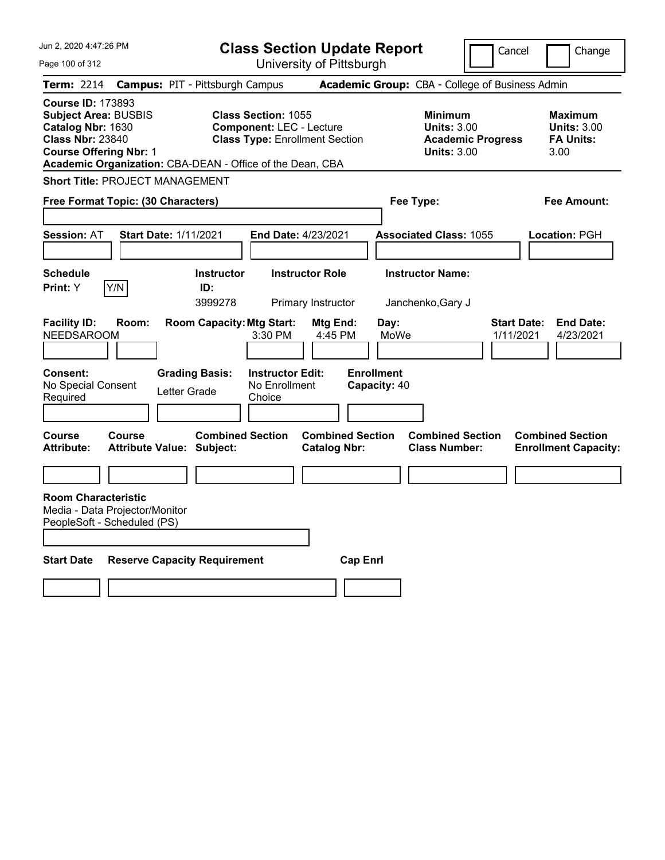| Jun 2, 2020 4:47:26 PM                                                                                                                                                                                | <b>Class Section Update Report</b>                                                                     |                                                                            | Cancel<br>Change                                                                             |
|-------------------------------------------------------------------------------------------------------------------------------------------------------------------------------------------------------|--------------------------------------------------------------------------------------------------------|----------------------------------------------------------------------------|----------------------------------------------------------------------------------------------|
| Page 100 of 312                                                                                                                                                                                       | University of Pittsburgh                                                                               |                                                                            |                                                                                              |
| Term: 2214                                                                                                                                                                                            | <b>Campus: PIT - Pittsburgh Campus</b>                                                                 | Academic Group: CBA - College of Business Admin                            |                                                                                              |
| <b>Course ID: 173893</b><br><b>Subject Area: BUSBIS</b><br>Catalog Nbr: 1630<br><b>Class Nbr: 23840</b><br><b>Course Offering Nbr: 1</b><br>Academic Organization: CBA-DEAN - Office of the Dean, CBA | <b>Class Section: 1055</b><br><b>Component: LEC - Lecture</b><br><b>Class Type: Enrollment Section</b> | <b>Minimum</b><br><b>Units: 3.00</b><br><b>Units: 3.00</b>                 | <b>Maximum</b><br><b>Units: 3.00</b><br><b>FA Units:</b><br><b>Academic Progress</b><br>3.00 |
| <b>Short Title: PROJECT MANAGEMENT</b>                                                                                                                                                                |                                                                                                        |                                                                            |                                                                                              |
| Free Format Topic: (30 Characters)                                                                                                                                                                    |                                                                                                        | Fee Type:                                                                  | Fee Amount:                                                                                  |
| <b>Start Date: 1/11/2021</b><br><b>Session: AT</b>                                                                                                                                                    | End Date: 4/23/2021                                                                                    | <b>Associated Class: 1055</b>                                              | Location: PGH                                                                                |
| <b>Schedule</b>                                                                                                                                                                                       | <b>Instructor</b><br><b>Instructor Role</b>                                                            | <b>Instructor Name:</b>                                                    |                                                                                              |
| Y/N<br>Print: Y                                                                                                                                                                                       | ID:<br>3999278<br>Primary Instructor                                                                   | Janchenko, Gary J                                                          |                                                                                              |
| <b>Facility ID:</b><br>Room:<br><b>NEEDSAROOM</b>                                                                                                                                                     | <b>Room Capacity: Mtg Start:</b><br>Mtg End:<br>3:30 PM<br>4:45 PM                                     | Day:<br>MoWe                                                               | <b>Start Date:</b><br><b>End Date:</b><br>1/11/2021<br>4/23/2021                             |
| <b>Consent:</b><br><b>Grading Basis:</b><br>No Special Consent<br>Letter Grade<br>Required                                                                                                            | <b>Instructor Edit:</b><br>No Enrollment<br>Choice                                                     | <b>Enrollment</b><br>Capacity: 40                                          |                                                                                              |
| Course<br><b>Course</b><br><b>Attribute:</b><br><b>Attribute Value: Subject:</b>                                                                                                                      | <b>Combined Section</b><br><b>Catalog Nbr:</b>                                                         | <b>Combined Section</b><br><b>Combined Section</b><br><b>Class Number:</b> | <b>Combined Section</b><br><b>Enrollment Capacity:</b>                                       |
|                                                                                                                                                                                                       |                                                                                                        |                                                                            |                                                                                              |
| <b>Room Characteristic</b><br>Media - Data Projector/Monitor<br>PeopleSoft - Scheduled (PS)                                                                                                           |                                                                                                        |                                                                            |                                                                                              |
| <b>Start Date</b><br><b>Reserve Capacity Requirement</b>                                                                                                                                              |                                                                                                        | <b>Cap Enri</b>                                                            |                                                                                              |
|                                                                                                                                                                                                       |                                                                                                        |                                                                            |                                                                                              |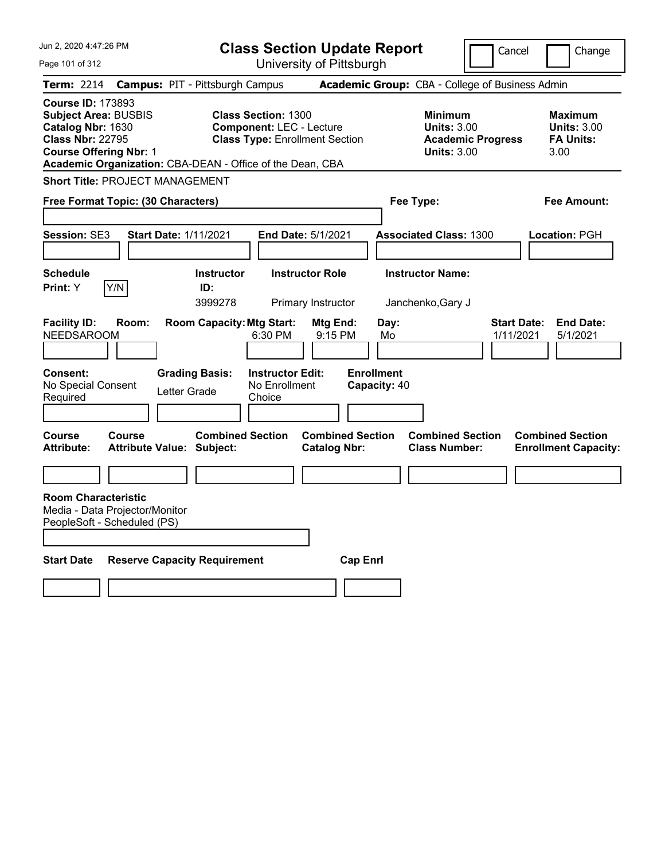| Jun 2, 2020 4:47:26 PM                                                                                                                   |               |                                                             |                                                                                                        | <b>Class Section Update Report</b>             |                                   |                                                                                 | Cancel                          | Change                                                           |
|------------------------------------------------------------------------------------------------------------------------------------------|---------------|-------------------------------------------------------------|--------------------------------------------------------------------------------------------------------|------------------------------------------------|-----------------------------------|---------------------------------------------------------------------------------|---------------------------------|------------------------------------------------------------------|
| Page 101 of 312                                                                                                                          |               |                                                             |                                                                                                        | University of Pittsburgh                       |                                   |                                                                                 |                                 |                                                                  |
| Term: 2214                                                                                                                               |               | <b>Campus: PIT - Pittsburgh Campus</b>                      |                                                                                                        |                                                |                                   | Academic Group: CBA - College of Business Admin                                 |                                 |                                                                  |
| <b>Course ID: 173893</b><br><b>Subject Area: BUSBIS</b><br>Catalog Nbr: 1630<br><b>Class Nbr: 22795</b><br><b>Course Offering Nbr: 1</b> |               | Academic Organization: CBA-DEAN - Office of the Dean, CBA   | <b>Class Section: 1300</b><br><b>Component: LEC - Lecture</b><br><b>Class Type: Enrollment Section</b> |                                                |                                   | Minimum<br><b>Units: 3.00</b><br><b>Academic Progress</b><br><b>Units: 3.00</b> |                                 | <b>Maximum</b><br><b>Units: 3.00</b><br><b>FA Units:</b><br>3.00 |
| <b>Short Title: PROJECT MANAGEMENT</b>                                                                                                   |               |                                                             |                                                                                                        |                                                |                                   |                                                                                 |                                 |                                                                  |
| Free Format Topic: (30 Characters)                                                                                                       |               |                                                             |                                                                                                        |                                                | Fee Type:                         |                                                                                 |                                 | Fee Amount:                                                      |
| <b>Session: SE3</b>                                                                                                                      |               | Start Date: 1/11/2021                                       | End Date: 5/1/2021                                                                                     |                                                |                                   | <b>Associated Class: 1300</b>                                                   |                                 | Location: PGH                                                    |
| <b>Schedule</b><br>Print: Y                                                                                                              | Y/N           | <b>Instructor</b><br>ID:<br>3999278                         |                                                                                                        | <b>Instructor Role</b><br>Primary Instructor   |                                   | <b>Instructor Name:</b><br>Janchenko, Gary J                                    |                                 |                                                                  |
| <b>Facility ID:</b><br><b>NEEDSAROOM</b>                                                                                                 | Room:         | <b>Room Capacity: Mtg Start:</b>                            | 6:30 PM                                                                                                | Mtg End:<br>9:15 PM                            | Day:<br>Mo                        |                                                                                 | <b>Start Date:</b><br>1/11/2021 | <b>End Date:</b><br>5/1/2021                                     |
| Consent:<br>No Special Consent<br>Required                                                                                               |               | <b>Grading Basis:</b><br>Letter Grade                       | <b>Instructor Edit:</b><br>No Enrollment<br>Choice                                                     |                                                | <b>Enrollment</b><br>Capacity: 40 |                                                                                 |                                 |                                                                  |
| Course<br><b>Attribute:</b>                                                                                                              | <b>Course</b> | <b>Combined Section</b><br><b>Attribute Value: Subject:</b> |                                                                                                        | <b>Combined Section</b><br><b>Catalog Nbr:</b> |                                   | <b>Combined Section</b><br><b>Class Number:</b>                                 |                                 | <b>Combined Section</b><br><b>Enrollment Capacity:</b>           |
|                                                                                                                                          |               |                                                             |                                                                                                        |                                                |                                   |                                                                                 |                                 |                                                                  |
| <b>Room Characteristic</b><br>Media - Data Projector/Monitor<br>PeopleSoft - Scheduled (PS)                                              |               |                                                             |                                                                                                        |                                                |                                   |                                                                                 |                                 |                                                                  |
| <b>Start Date</b>                                                                                                                        |               | <b>Reserve Capacity Requirement</b>                         |                                                                                                        | <b>Cap Enrl</b>                                |                                   |                                                                                 |                                 |                                                                  |
|                                                                                                                                          |               |                                                             |                                                                                                        |                                                |                                   |                                                                                 |                                 |                                                                  |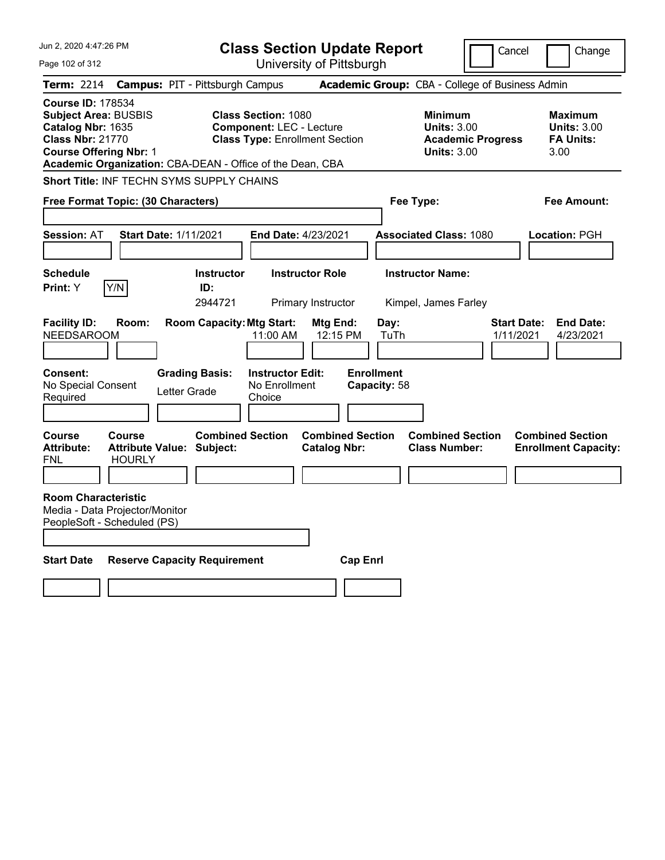| Jun 2, 2020 4:47:26 PM                                                                                                                                                                                | <b>Class Section Update Report</b>                                                                     |                                                |                                                            | Cancel                   | Change                                                    |
|-------------------------------------------------------------------------------------------------------------------------------------------------------------------------------------------------------|--------------------------------------------------------------------------------------------------------|------------------------------------------------|------------------------------------------------------------|--------------------------|-----------------------------------------------------------|
| Page 102 of 312                                                                                                                                                                                       |                                                                                                        | University of Pittsburgh                       |                                                            |                          |                                                           |
| <b>Term: 2214</b>                                                                                                                                                                                     | <b>Campus: PIT - Pittsburgh Campus</b>                                                                 |                                                | Academic Group: CBA - College of Business Admin            |                          |                                                           |
| <b>Course ID: 178534</b><br><b>Subject Area: BUSBIS</b><br>Catalog Nbr: 1635<br><b>Class Nbr: 21770</b><br><b>Course Offering Nbr: 1</b><br>Academic Organization: CBA-DEAN - Office of the Dean, CBA | <b>Class Section: 1080</b><br><b>Component: LEC - Lecture</b><br><b>Class Type: Enrollment Section</b> |                                                | <b>Minimum</b><br><b>Units: 3.00</b><br><b>Units: 3.00</b> | <b>Academic Progress</b> | Maximum<br><b>Units: 3.00</b><br><b>FA Units:</b><br>3.00 |
| Short Title: INF TECHN SYMS SUPPLY CHAINS                                                                                                                                                             |                                                                                                        |                                                |                                                            |                          |                                                           |
| Free Format Topic: (30 Characters)                                                                                                                                                                    |                                                                                                        |                                                | Fee Type:                                                  |                          | Fee Amount:                                               |
| <b>Start Date: 1/11/2021</b><br><b>Session: AT</b>                                                                                                                                                    | End Date: 4/23/2021                                                                                    |                                                | <b>Associated Class: 1080</b>                              |                          | Location: PGH                                             |
| <b>Schedule</b><br>Y/N<br>Print: Y                                                                                                                                                                    | <b>Instructor</b><br>ID:<br>2944721                                                                    | <b>Instructor Role</b><br>Primary Instructor   | <b>Instructor Name:</b><br>Kimpel, James Farley            |                          |                                                           |
| <b>Facility ID:</b><br>Room:<br><b>NEEDSAROOM</b>                                                                                                                                                     | <b>Room Capacity: Mtg Start:</b><br>11:00 AM                                                           | Mtg End:<br>12:15 PM                           | Day:<br>TuTh                                               | Start Date:<br>1/11/2021 | <b>End Date:</b><br>4/23/2021                             |
| Consent:<br>No Special Consent<br>Required                                                                                                                                                            | <b>Grading Basis:</b><br><b>Instructor Edit:</b><br>No Enrollment<br>Letter Grade<br>Choice            |                                                | <b>Enrollment</b><br>Capacity: 58                          |                          |                                                           |
| Course<br>Course<br><b>Attribute:</b><br><b>Attribute Value: Subject:</b><br><b>HOURLY</b><br><b>FNL</b>                                                                                              | <b>Combined Section</b>                                                                                | <b>Combined Section</b><br><b>Catalog Nbr:</b> | <b>Combined Section</b><br><b>Class Number:</b>            |                          | <b>Combined Section</b><br><b>Enrollment Capacity:</b>    |
| <b>Room Characteristic</b><br>Media - Data Projector/Monitor<br>PeopleSoft - Scheduled (PS)                                                                                                           |                                                                                                        |                                                |                                                            |                          |                                                           |
| <b>Start Date</b>                                                                                                                                                                                     | <b>Reserve Capacity Requirement</b>                                                                    | <b>Cap Enrl</b>                                |                                                            |                          |                                                           |
|                                                                                                                                                                                                       |                                                                                                        |                                                |                                                            |                          |                                                           |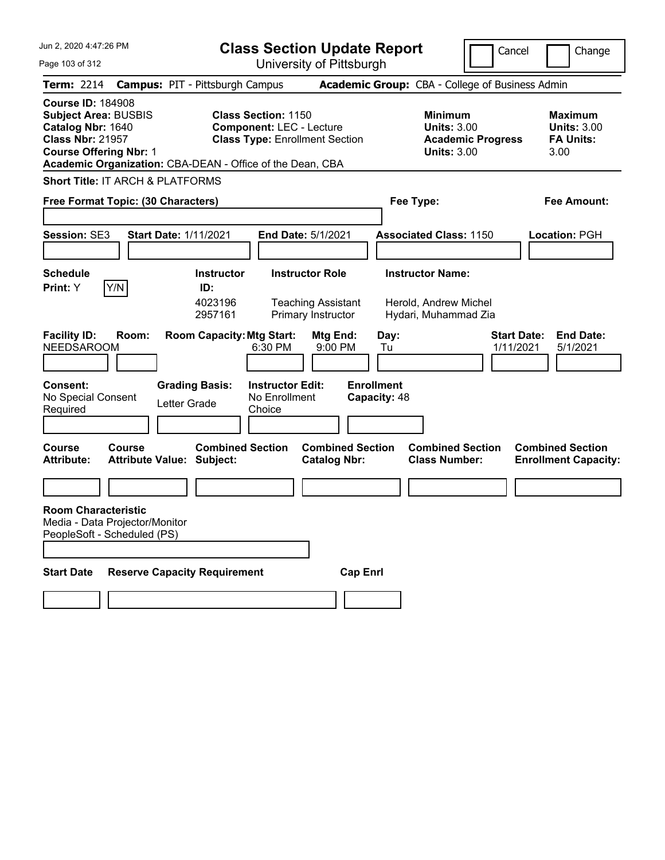Jun 2, 2020 4:47:26 PM Page 103 of 312 **Class Section Update Report** University of Pittsburgh Cancel Change **Term:** 2214 **Campus:** PIT - Pittsburgh Campus **Academic Group:** CBA - College of Business Admin **Course ID:** 184908 **Subject Area: BUSBIS Class Section: 1150 Minimum 10.1150 Minimum Maximum Catalog Nbr:** 1640 **Component:** LEC - Lecture **Units:** 3.00 **Units:** 3.00 **Class Nbr:** 21957 **Class Type:** Enrollment Section **Academic Progress FA Units: Course Offering Nbr:** 1 **Units:** 3.00 3.00 **Academic Organization:** CBA-DEAN - Office of the Dean, CBA **Short Title:** IT ARCH & PLATFORMS **Free Format Topic: (30 Characters) Fee Type: Fee Amount: Session:** SE3 **Start Date:** 1/11/2021 **End Date:** 5/1/2021 **Associated Class:** 1150 **Location:** PGH **Schedule Instructor Instructor Role Instructor Name: Print:**  $Y$   $|Y/N|$  **ID:** 4023196 Teaching Assistant Herold, Andrew Michel 2957161 Primary Instructor Hydari, Muhammad Zia **Facility ID: Room: Room Capacity:Mtg Start: Mtg End: Day: Start Date: End Date:** NEEDSAROOM 6:30 PM 9:00 PM Tu 1/11/2021 5/1/2021 **Consent: Grading Basis: Instructor Edit: Enrollment** No Special Consent Required Letter Grade No Enrollment **Choice Capacity:** 48 **Course Course Combined Section Combined Section Combined Section Combined Section Attribute: Attribute Value: Subject: Catalog Nbr: Class Number: Enrollment Capacity: Room Characteristic** Media - Data Projector/Monitor PeopleSoft - Scheduled (PS) **Start Date Reserve Capacity Requirement Cap Enrl**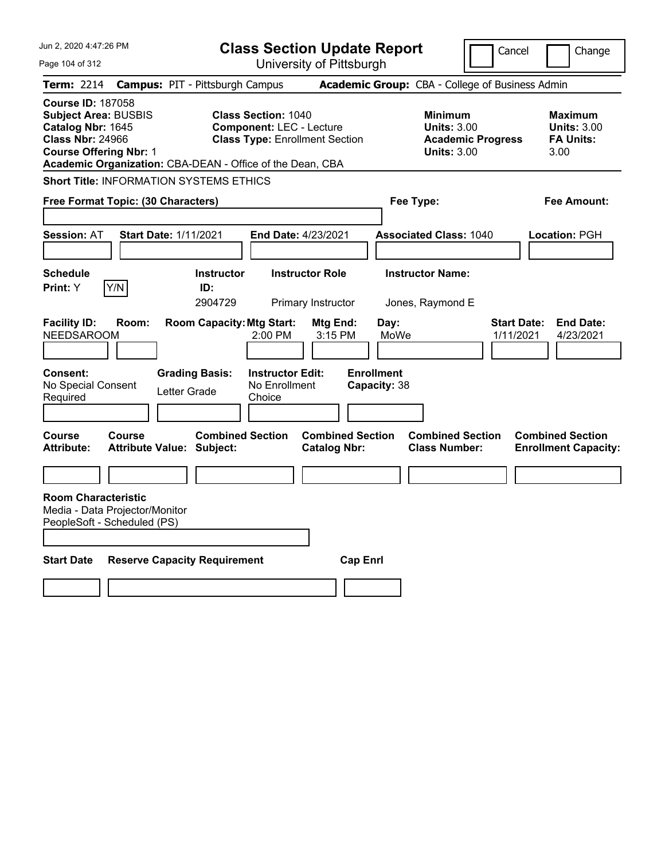| Jun 2, 2020 4:47:26 PM                                                                                                                                                                                |                                                                  | <b>Class Section Update Report</b>                                                                     |                                                              |                                                                                        | Cancel<br>Change                                                 |
|-------------------------------------------------------------------------------------------------------------------------------------------------------------------------------------------------------|------------------------------------------------------------------|--------------------------------------------------------------------------------------------------------|--------------------------------------------------------------|----------------------------------------------------------------------------------------|------------------------------------------------------------------|
| Page 104 of 312                                                                                                                                                                                       |                                                                  | University of Pittsburgh                                                                               |                                                              |                                                                                        |                                                                  |
| Term: 2214                                                                                                                                                                                            | <b>Campus: PIT - Pittsburgh Campus</b>                           |                                                                                                        |                                                              | Academic Group: CBA - College of Business Admin                                        |                                                                  |
| <b>Course ID: 187058</b><br><b>Subject Area: BUSBIS</b><br>Catalog Nbr: 1645<br><b>Class Nbr: 24966</b><br><b>Course Offering Nbr: 1</b><br>Academic Organization: CBA-DEAN - Office of the Dean, CBA |                                                                  | <b>Class Section: 1040</b><br><b>Component: LEC - Lecture</b><br><b>Class Type: Enrollment Section</b> |                                                              | <b>Minimum</b><br><b>Units: 3.00</b><br><b>Academic Progress</b><br><b>Units: 3.00</b> | <b>Maximum</b><br><b>Units: 3.00</b><br><b>FA Units:</b><br>3.00 |
| <b>Short Title: INFORMATION SYSTEMS ETHICS</b>                                                                                                                                                        |                                                                  |                                                                                                        |                                                              |                                                                                        |                                                                  |
| Free Format Topic: (30 Characters)                                                                                                                                                                    |                                                                  |                                                                                                        |                                                              | Fee Type:                                                                              | Fee Amount:                                                      |
| <b>Session: AT</b>                                                                                                                                                                                    | <b>Start Date: 1/11/2021</b>                                     | End Date: 4/23/2021                                                                                    |                                                              | <b>Associated Class: 1040</b>                                                          | Location: PGH                                                    |
| <b>Schedule</b><br>Y/N<br>Print: Y                                                                                                                                                                    | <b>Instructor</b><br>ID:<br>2904729                              | <b>Instructor Role</b><br>Primary Instructor                                                           |                                                              | <b>Instructor Name:</b><br>Jones, Raymond E                                            |                                                                  |
| <b>Facility ID:</b><br>Room:<br><b>NEEDSAROOM</b>                                                                                                                                                     | <b>Room Capacity: Mtg Start:</b>                                 | 2:00 PM                                                                                                | Mtg End:<br>Day:<br>MoWe<br>3:15 PM                          |                                                                                        | Start Date:<br><b>End Date:</b><br>1/11/2021<br>4/23/2021        |
| <b>Consent:</b><br>No Special Consent<br>Required<br>Course<br>Course                                                                                                                                 | <b>Grading Basis:</b><br>Letter Grade<br><b>Combined Section</b> | <b>Instructor Edit:</b><br>No Enrollment<br>Choice                                                     | <b>Enrollment</b><br>Capacity: 38<br><b>Combined Section</b> | <b>Combined Section</b>                                                                | <b>Combined Section</b>                                          |
| <b>Attribute:</b>                                                                                                                                                                                     | <b>Attribute Value: Subject:</b>                                 | <b>Catalog Nbr:</b>                                                                                    |                                                              | <b>Class Number:</b>                                                                   | <b>Enrollment Capacity:</b>                                      |
|                                                                                                                                                                                                       |                                                                  |                                                                                                        |                                                              |                                                                                        |                                                                  |
| <b>Room Characteristic</b><br>Media - Data Projector/Monitor<br>PeopleSoft - Scheduled (PS)                                                                                                           |                                                                  |                                                                                                        |                                                              |                                                                                        |                                                                  |
| <b>Start Date</b>                                                                                                                                                                                     | <b>Reserve Capacity Requirement</b>                              |                                                                                                        | <b>Cap Enri</b>                                              |                                                                                        |                                                                  |
|                                                                                                                                                                                                       |                                                                  |                                                                                                        |                                                              |                                                                                        |                                                                  |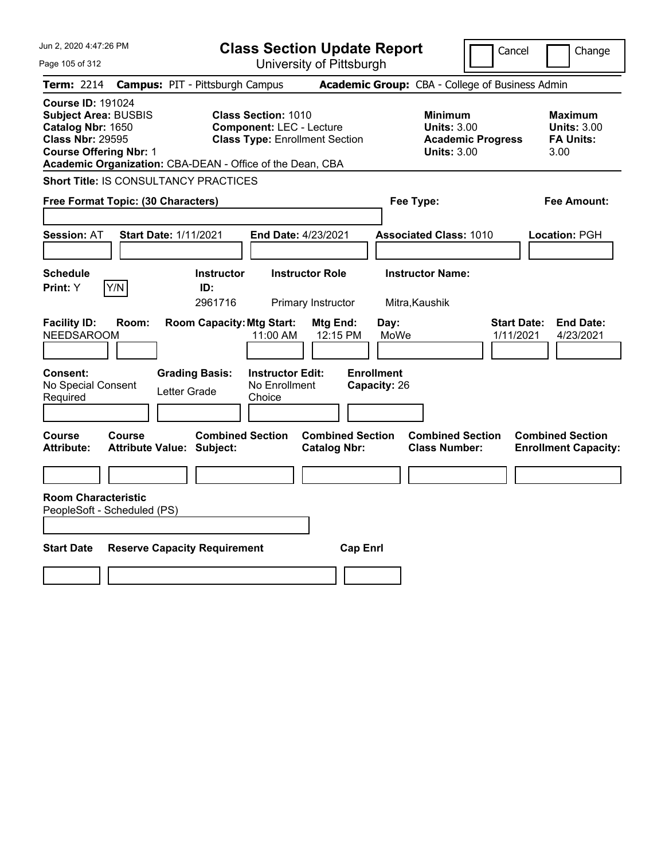| Jun 2, 2020 4:47:26 PM                                                                                                                                                                                | <b>Class Section Update Report</b>                                                                     | Cancel                                                                                 | Change                                                           |
|-------------------------------------------------------------------------------------------------------------------------------------------------------------------------------------------------------|--------------------------------------------------------------------------------------------------------|----------------------------------------------------------------------------------------|------------------------------------------------------------------|
| Page 105 of 312                                                                                                                                                                                       | University of Pittsburgh                                                                               |                                                                                        |                                                                  |
| <b>Term: 2214</b>                                                                                                                                                                                     | <b>Campus: PIT - Pittsburgh Campus</b>                                                                 | Academic Group: CBA - College of Business Admin                                        |                                                                  |
| <b>Course ID: 191024</b><br><b>Subject Area: BUSBIS</b><br>Catalog Nbr: 1650<br><b>Class Nbr: 29595</b><br><b>Course Offering Nbr: 1</b><br>Academic Organization: CBA-DEAN - Office of the Dean, CBA | <b>Class Section: 1010</b><br><b>Component: LEC - Lecture</b><br><b>Class Type: Enrollment Section</b> | <b>Minimum</b><br><b>Units: 3.00</b><br><b>Academic Progress</b><br><b>Units: 3.00</b> | <b>Maximum</b><br><b>Units: 3.00</b><br><b>FA Units:</b><br>3.00 |
| <b>Short Title: IS CONSULTANCY PRACTICES</b>                                                                                                                                                          |                                                                                                        |                                                                                        |                                                                  |
| Free Format Topic: (30 Characters)                                                                                                                                                                    |                                                                                                        | Fee Type:                                                                              | Fee Amount:                                                      |
| <b>Start Date: 1/11/2021</b><br><b>Session: AT</b>                                                                                                                                                    | End Date: 4/23/2021                                                                                    | <b>Associated Class: 1010</b>                                                          | Location: PGH                                                    |
| <b>Schedule</b><br>Y/N<br><b>Print: Y</b>                                                                                                                                                             | <b>Instructor Role</b><br><b>Instructor</b><br>ID:<br>2961716<br>Primary Instructor                    | <b>Instructor Name:</b><br>Mitra, Kaushik                                              |                                                                  |
| <b>Facility ID:</b><br>Room:<br><b>NEEDSAROOM</b>                                                                                                                                                     | <b>Room Capacity: Mtg Start:</b><br>Mtg End:<br>11:00 AM<br>12:15 PM                                   | Day:<br>MoWe                                                                           | <b>Start Date:</b><br><b>End Date:</b><br>1/11/2021<br>4/23/2021 |
| Consent:<br>No Special Consent<br>Letter Grade<br>Required                                                                                                                                            | <b>Grading Basis:</b><br><b>Instructor Edit:</b><br>No Enrollment<br>Choice                            | <b>Enrollment</b><br>Capacity: 26                                                      |                                                                  |
| Course<br>Course<br><b>Attribute Value: Subject:</b><br><b>Attribute:</b>                                                                                                                             | <b>Combined Section</b><br><b>Catalog Nbr:</b>                                                         | <b>Combined Section</b><br><b>Combined Section</b><br><b>Class Number:</b>             | <b>Combined Section</b><br><b>Enrollment Capacity:</b>           |
|                                                                                                                                                                                                       |                                                                                                        |                                                                                        |                                                                  |
| <b>Room Characteristic</b><br>PeopleSoft - Scheduled (PS)                                                                                                                                             |                                                                                                        |                                                                                        |                                                                  |
| <b>Start Date</b><br><b>Reserve Capacity Requirement</b>                                                                                                                                              |                                                                                                        | <b>Cap Enrl</b>                                                                        |                                                                  |
|                                                                                                                                                                                                       |                                                                                                        |                                                                                        |                                                                  |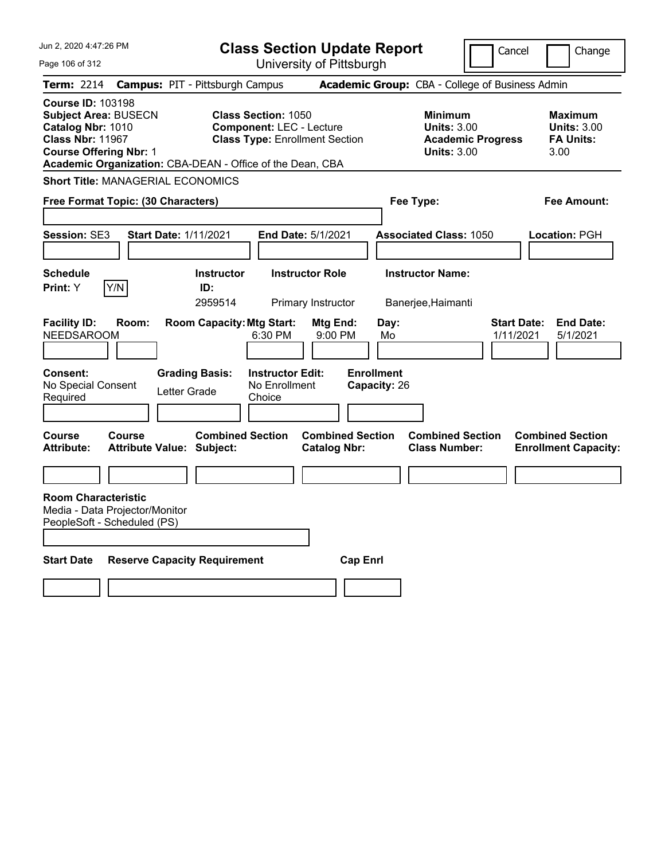| Jun 2, 2020 4:47:26 PM                                                                                                                   | <b>Class Section Update Report</b>                                                                                                                                  |                                                |                                                            | Cancel                          | Change                                                           |
|------------------------------------------------------------------------------------------------------------------------------------------|---------------------------------------------------------------------------------------------------------------------------------------------------------------------|------------------------------------------------|------------------------------------------------------------|---------------------------------|------------------------------------------------------------------|
| Page 106 of 312                                                                                                                          |                                                                                                                                                                     | University of Pittsburgh                       |                                                            |                                 |                                                                  |
| <b>Term: 2214</b>                                                                                                                        | <b>Campus: PIT - Pittsburgh Campus</b>                                                                                                                              |                                                | Academic Group: CBA - College of Business Admin            |                                 |                                                                  |
| <b>Course ID: 103198</b><br><b>Subject Area: BUSECN</b><br>Catalog Nbr: 1010<br><b>Class Nbr: 11967</b><br><b>Course Offering Nbr: 1</b> | <b>Class Section: 1050</b><br><b>Component: LEC - Lecture</b><br><b>Class Type: Enrollment Section</b><br>Academic Organization: CBA-DEAN - Office of the Dean, CBA |                                                | <b>Minimum</b><br><b>Units: 3.00</b><br><b>Units: 3.00</b> | <b>Academic Progress</b>        | <b>Maximum</b><br><b>Units: 3.00</b><br><b>FA Units:</b><br>3.00 |
| <b>Short Title: MANAGERIAL ECONOMICS</b>                                                                                                 |                                                                                                                                                                     |                                                |                                                            |                                 |                                                                  |
| Free Format Topic: (30 Characters)                                                                                                       |                                                                                                                                                                     |                                                | Fee Type:                                                  |                                 | Fee Amount:                                                      |
| Session: SE3                                                                                                                             | <b>Start Date: 1/11/2021</b>                                                                                                                                        | End Date: 5/1/2021                             | <b>Associated Class: 1050</b>                              |                                 | Location: PGH                                                    |
| <b>Schedule</b><br>Y/N<br>Print: Y                                                                                                       | <b>Instructor</b><br>ID:<br>2959514                                                                                                                                 | <b>Instructor Role</b><br>Primary Instructor   | <b>Instructor Name:</b><br>Banerjee, Haimanti              |                                 |                                                                  |
| <b>Facility ID:</b><br>Room:<br><b>NEEDSAROOM</b>                                                                                        | <b>Room Capacity: Mtg Start:</b><br>6:30 PM                                                                                                                         | Mtg End:<br>9:00 PM                            | Day:<br>Mo                                                 | <b>Start Date:</b><br>1/11/2021 | <b>End Date:</b><br>5/1/2021                                     |
| <b>Consent:</b><br>No Special Consent<br>Required                                                                                        | <b>Grading Basis:</b><br><b>Instructor Edit:</b><br>No Enrollment<br>Letter Grade<br>Choice                                                                         |                                                | <b>Enrollment</b><br>Capacity: 26                          |                                 |                                                                  |
| <b>Course</b><br><b>Course</b><br><b>Attribute:</b>                                                                                      | <b>Combined Section</b><br><b>Attribute Value: Subject:</b>                                                                                                         | <b>Combined Section</b><br><b>Catalog Nbr:</b> | <b>Combined Section</b><br><b>Class Number:</b>            |                                 | <b>Combined Section</b><br><b>Enrollment Capacity:</b>           |
|                                                                                                                                          |                                                                                                                                                                     |                                                |                                                            |                                 |                                                                  |
| <b>Room Characteristic</b><br>Media - Data Projector/Monitor<br>PeopleSoft - Scheduled (PS)                                              |                                                                                                                                                                     |                                                |                                                            |                                 |                                                                  |
| <b>Start Date</b>                                                                                                                        | <b>Reserve Capacity Requirement</b>                                                                                                                                 | <b>Cap Enri</b>                                |                                                            |                                 |                                                                  |
|                                                                                                                                          |                                                                                                                                                                     |                                                |                                                            |                                 |                                                                  |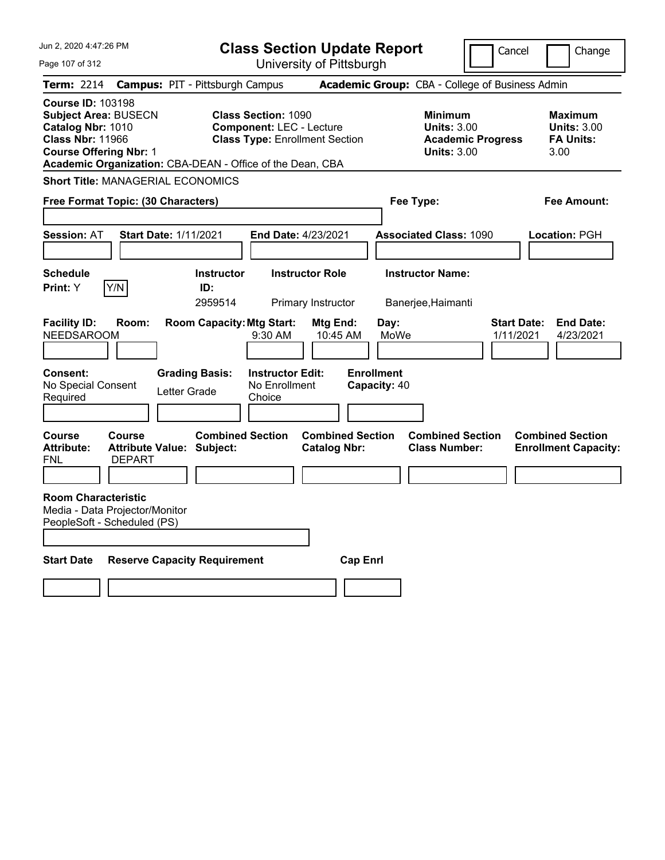| Jun 2, 2020 4:47:26 PM                                                                                                                                                                                | <b>Class Section Update Report</b>                                                                     |                                                                            | Cancel<br>Change                                                                             |
|-------------------------------------------------------------------------------------------------------------------------------------------------------------------------------------------------------|--------------------------------------------------------------------------------------------------------|----------------------------------------------------------------------------|----------------------------------------------------------------------------------------------|
| Page 107 of 312                                                                                                                                                                                       | University of Pittsburgh                                                                               |                                                                            |                                                                                              |
| <b>Term: 2214</b>                                                                                                                                                                                     | <b>Campus: PIT - Pittsburgh Campus</b>                                                                 | Academic Group: CBA - College of Business Admin                            |                                                                                              |
| <b>Course ID: 103198</b><br><b>Subject Area: BUSECN</b><br>Catalog Nbr: 1010<br><b>Class Nbr: 11966</b><br><b>Course Offering Nbr: 1</b><br>Academic Organization: CBA-DEAN - Office of the Dean, CBA | <b>Class Section: 1090</b><br><b>Component: LEC - Lecture</b><br><b>Class Type: Enrollment Section</b> | <b>Minimum</b><br><b>Units: 3.00</b><br><b>Units: 3.00</b>                 | <b>Maximum</b><br><b>Units: 3.00</b><br><b>FA Units:</b><br><b>Academic Progress</b><br>3.00 |
| <b>Short Title: MANAGERIAL ECONOMICS</b>                                                                                                                                                              |                                                                                                        |                                                                            |                                                                                              |
| Free Format Topic: (30 Characters)                                                                                                                                                                    |                                                                                                        | Fee Type:                                                                  | Fee Amount:                                                                                  |
| <b>Session: AT</b><br><b>Start Date: 1/11/2021</b>                                                                                                                                                    | <b>End Date: 4/23/2021</b>                                                                             | <b>Associated Class: 1090</b>                                              | Location: PGH                                                                                |
| <b>Schedule</b><br>Y/N<br>Print: Y                                                                                                                                                                    | <b>Instructor</b><br><b>Instructor Role</b><br>ID:<br>2959514<br>Primary Instructor                    | <b>Instructor Name:</b><br>Banerjee, Haimanti                              |                                                                                              |
| <b>Facility ID:</b><br>Room:<br><b>NEEDSAROOM</b>                                                                                                                                                     | <b>Room Capacity: Mtg Start:</b><br>Mtg End:<br>9:30 AM                                                | Day:<br>MoWe<br>10:45 AM                                                   | <b>Start Date:</b><br><b>End Date:</b><br>1/11/2021<br>4/23/2021                             |
| <b>Consent:</b><br><b>Grading Basis:</b><br>No Special Consent<br>Letter Grade<br>Required                                                                                                            | <b>Instructor Edit:</b><br>No Enrollment<br>Choice                                                     | <b>Enrollment</b><br>Capacity: 40                                          |                                                                                              |
| <b>Course</b><br><b>Course</b><br><b>Attribute:</b><br><b>Attribute Value: Subject:</b><br><b>DEPART</b><br>FNL                                                                                       | <b>Combined Section</b><br><b>Catalog Nbr:</b>                                                         | <b>Combined Section</b><br><b>Combined Section</b><br><b>Class Number:</b> | <b>Combined Section</b><br><b>Enrollment Capacity:</b>                                       |
| <b>Room Characteristic</b><br>Media - Data Projector/Monitor<br>PeopleSoft - Scheduled (PS)                                                                                                           |                                                                                                        |                                                                            |                                                                                              |
| <b>Start Date</b><br><b>Reserve Capacity Requirement</b>                                                                                                                                              |                                                                                                        | <b>Cap Enri</b>                                                            |                                                                                              |
|                                                                                                                                                                                                       |                                                                                                        |                                                                            |                                                                                              |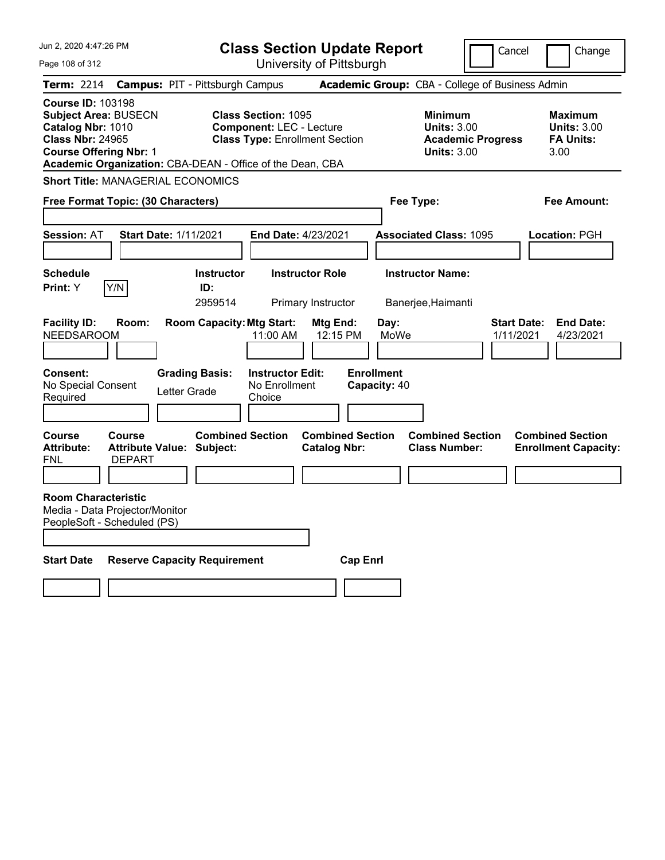| Jun 2, 2020 4:47:26 PM                                                                                                                                                                                | <b>Class Section Update Report</b>                                                                                                      |                                                                            | Cancel<br>Change                                                                             |  |
|-------------------------------------------------------------------------------------------------------------------------------------------------------------------------------------------------------|-----------------------------------------------------------------------------------------------------------------------------------------|----------------------------------------------------------------------------|----------------------------------------------------------------------------------------------|--|
| Page 108 of 312                                                                                                                                                                                       | University of Pittsburgh                                                                                                                |                                                                            |                                                                                              |  |
| Term: 2214                                                                                                                                                                                            | <b>Campus: PIT - Pittsburgh Campus</b>                                                                                                  | Academic Group: CBA - College of Business Admin                            |                                                                                              |  |
| <b>Course ID: 103198</b><br><b>Subject Area: BUSECN</b><br>Catalog Nbr: 1010<br><b>Class Nbr: 24965</b><br><b>Course Offering Nbr: 1</b><br>Academic Organization: CBA-DEAN - Office of the Dean, CBA | <b>Class Section: 1095</b><br><b>Component: LEC - Lecture</b><br><b>Class Type: Enrollment Section</b>                                  | <b>Minimum</b><br><b>Units: 3.00</b><br><b>Units: 3.00</b>                 | <b>Maximum</b><br><b>Units: 3.00</b><br><b>Academic Progress</b><br><b>FA Units:</b><br>3.00 |  |
| <b>Short Title: MANAGERIAL ECONOMICS</b>                                                                                                                                                              |                                                                                                                                         |                                                                            |                                                                                              |  |
| Free Format Topic: (30 Characters)                                                                                                                                                                    |                                                                                                                                         | Fee Type:                                                                  | Fee Amount:                                                                                  |  |
| <b>Session: AT</b><br><b>Start Date: 1/11/2021</b>                                                                                                                                                    | End Date: 4/23/2021                                                                                                                     | <b>Associated Class: 1095</b>                                              | Location: PGH                                                                                |  |
| <b>Schedule</b><br>Y/N<br>Print: Y                                                                                                                                                                    | <b>Instructor</b><br><b>Instructor Role</b><br>ID:<br>2959514<br>Primary Instructor                                                     | <b>Instructor Name:</b><br>Banerjee, Haimanti                              |                                                                                              |  |
| <b>Facility ID:</b><br>Room:<br><b>NEEDSAROOM</b><br><b>Consent:</b><br>No Special Consent<br>Letter Grade<br>Required                                                                                | <b>Room Capacity: Mtg Start:</b><br>Mtg End:<br>11:00 AM<br><b>Grading Basis:</b><br><b>Instructor Edit:</b><br>No Enrollment<br>Choice | Day:<br>12:15 PM<br>MoWe<br><b>Enrollment</b><br>Capacity: 40              | <b>Start Date:</b><br><b>End Date:</b><br>1/11/2021<br>4/23/2021                             |  |
| <b>Course</b><br><b>Course</b><br><b>Attribute:</b><br><b>Attribute Value: Subject:</b><br>FNL<br><b>DEPART</b>                                                                                       | <b>Combined Section</b><br><b>Catalog Nbr:</b>                                                                                          | <b>Combined Section</b><br><b>Combined Section</b><br><b>Class Number:</b> | <b>Combined Section</b><br><b>Enrollment Capacity:</b>                                       |  |
| <b>Room Characteristic</b><br>Media - Data Projector/Monitor<br>PeopleSoft - Scheduled (PS)                                                                                                           |                                                                                                                                         |                                                                            |                                                                                              |  |
| <b>Start Date</b><br><b>Reserve Capacity Requirement</b>                                                                                                                                              |                                                                                                                                         | <b>Cap Enrl</b>                                                            |                                                                                              |  |
|                                                                                                                                                                                                       |                                                                                                                                         |                                                                            |                                                                                              |  |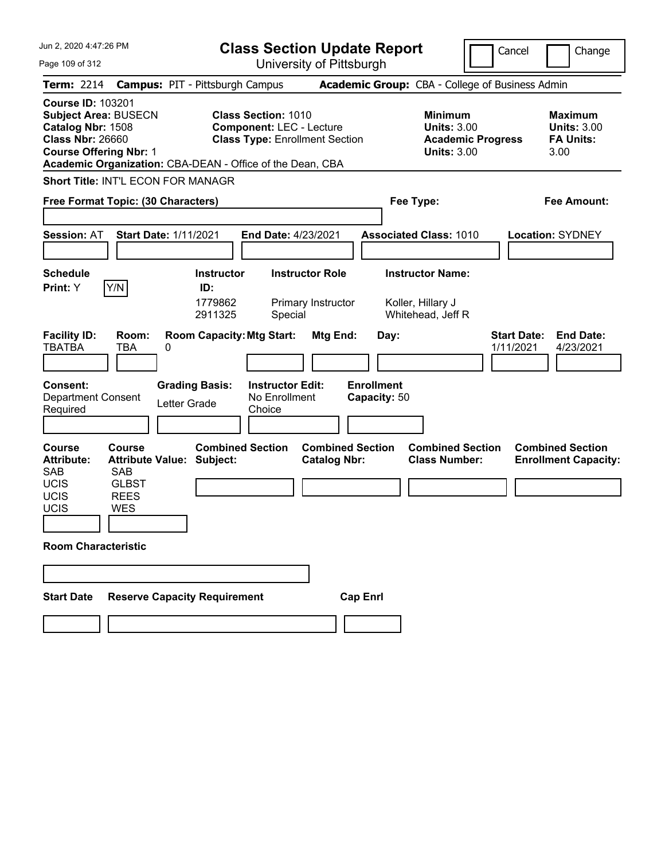| Jun 2, 2020 4:47:26 PM                                                                                                                                      |                                                             | <b>Class Section Update Report</b>                                                                     |                                   |                                                                                        | Cancel<br>Change                                                 |
|-------------------------------------------------------------------------------------------------------------------------------------------------------------|-------------------------------------------------------------|--------------------------------------------------------------------------------------------------------|-----------------------------------|----------------------------------------------------------------------------------------|------------------------------------------------------------------|
| Page 109 of 312                                                                                                                                             |                                                             | University of Pittsburgh                                                                               |                                   |                                                                                        |                                                                  |
| <b>Term: 2214</b>                                                                                                                                           | <b>Campus: PIT - Pittsburgh Campus</b>                      |                                                                                                        |                                   | Academic Group: CBA - College of Business Admin                                        |                                                                  |
| <b>Course ID: 103201</b><br><b>Subject Area: BUSECN</b><br>Catalog Nbr: 1508<br><b>Class Nbr: 26660</b><br><b>Course Offering Nbr: 1</b>                    | Academic Organization: CBA-DEAN - Office of the Dean, CBA   | <b>Class Section: 1010</b><br><b>Component: LEC - Lecture</b><br><b>Class Type: Enrollment Section</b> |                                   | <b>Minimum</b><br><b>Units: 3.00</b><br><b>Academic Progress</b><br><b>Units: 3.00</b> | <b>Maximum</b><br><b>Units: 3.00</b><br><b>FA Units:</b><br>3.00 |
|                                                                                                                                                             | <b>Short Title: INT'L ECON FOR MANAGR</b>                   |                                                                                                        |                                   |                                                                                        |                                                                  |
| Free Format Topic: (30 Characters)                                                                                                                          |                                                             |                                                                                                        | Fee Type:                         |                                                                                        | <b>Fee Amount:</b>                                               |
| <b>Session: AT</b>                                                                                                                                          | <b>Start Date: 1/11/2021</b>                                | <b>End Date: 4/23/2021</b>                                                                             |                                   | <b>Associated Class: 1010</b>                                                          | <b>Location: SYDNEY</b>                                          |
| <b>Schedule</b>                                                                                                                                             | <b>Instructor</b><br>ID:                                    | <b>Instructor Role</b>                                                                                 |                                   | <b>Instructor Name:</b>                                                                |                                                                  |
| Y/N<br>Print: Y<br><b>Facility ID:</b><br>Room:<br><b>TBATBA</b><br>TBA                                                                                     | 1779862<br>2911325<br><b>Room Capacity: Mtg Start:</b><br>0 | Primary Instructor<br>Special<br>Mtg End:                                                              | Day:                              | Koller, Hillary J<br>Whitehead, Jeff R                                                 | <b>Start Date:</b><br><b>End Date:</b><br>1/11/2021<br>4/23/2021 |
| <b>Consent:</b><br><b>Department Consent</b><br>Required                                                                                                    | <b>Grading Basis:</b><br>Letter Grade                       | <b>Instructor Edit:</b><br>No Enrollment<br>Choice                                                     | <b>Enrollment</b><br>Capacity: 50 |                                                                                        |                                                                  |
| <b>Course</b><br><b>Course</b><br><b>Attribute:</b><br><b>SAB</b><br><b>SAB</b><br><b>UCIS</b><br><b>GLBST</b><br>UCIS<br><b>REES</b><br>UCIS<br><b>WES</b> | <b>Combined Section</b><br><b>Attribute Value: Subject:</b> | <b>Catalog Nbr:</b>                                                                                    | <b>Combined Section</b>           | <b>Combined Section</b><br><b>Class Number:</b>                                        | <b>Combined Section</b><br><b>Enrollment Capacity:</b>           |
| <b>Room Characteristic</b>                                                                                                                                  |                                                             |                                                                                                        |                                   |                                                                                        |                                                                  |
|                                                                                                                                                             |                                                             |                                                                                                        |                                   |                                                                                        |                                                                  |
| <b>Start Date</b>                                                                                                                                           | <b>Reserve Capacity Requirement</b>                         |                                                                                                        | <b>Cap Enrl</b>                   |                                                                                        |                                                                  |
|                                                                                                                                                             |                                                             |                                                                                                        |                                   |                                                                                        |                                                                  |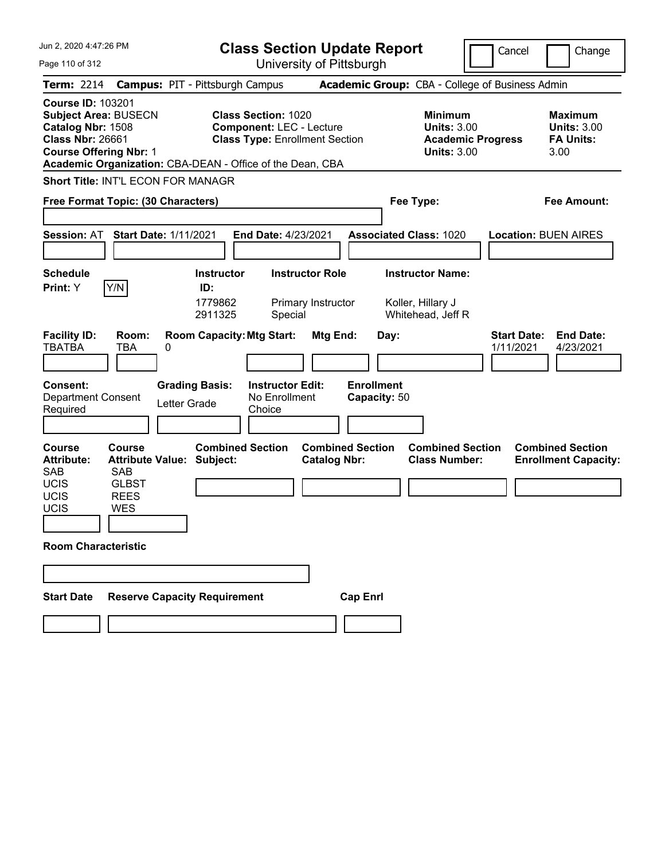| Jun 2, 2020 4:47:26 PM                                                                                                                                   |                                                                   | <b>Class Section Update Report</b>                                                                                                                                  |                                                |                                                                   | Cancel                          | Change                                                           |
|----------------------------------------------------------------------------------------------------------------------------------------------------------|-------------------------------------------------------------------|---------------------------------------------------------------------------------------------------------------------------------------------------------------------|------------------------------------------------|-------------------------------------------------------------------|---------------------------------|------------------------------------------------------------------|
| Page 110 of 312                                                                                                                                          |                                                                   |                                                                                                                                                                     | University of Pittsburgh                       |                                                                   |                                 |                                                                  |
| <b>Term: 2214</b>                                                                                                                                        | <b>Campus: PIT - Pittsburgh Campus</b>                            |                                                                                                                                                                     |                                                | <b>Academic Group: CBA - College of Business Admin</b>            |                                 |                                                                  |
| <b>Course ID: 103201</b><br><b>Subject Area: BUSECN</b><br>Catalog Nbr: 1508<br><b>Class Nbr: 26661</b><br><b>Course Offering Nbr: 1</b>                 |                                                                   | <b>Class Section: 1020</b><br><b>Component: LEC - Lecture</b><br><b>Class Type: Enrollment Section</b><br>Academic Organization: CBA-DEAN - Office of the Dean, CBA |                                                | <b>Minimum</b><br><b>Units: 3.00</b><br><b>Units: 3.00</b>        | <b>Academic Progress</b>        | <b>Maximum</b><br><b>Units: 3.00</b><br><b>FA Units:</b><br>3.00 |
| <b>Short Title: INT'L ECON FOR MANAGR</b>                                                                                                                |                                                                   |                                                                                                                                                                     |                                                |                                                                   |                                 |                                                                  |
| Free Format Topic: (30 Characters)                                                                                                                       |                                                                   |                                                                                                                                                                     |                                                | Fee Type:                                                         |                                 | Fee Amount:                                                      |
| <b>Session: AT</b>                                                                                                                                       | <b>Start Date: 1/11/2021</b>                                      | <b>End Date: 4/23/2021</b>                                                                                                                                          |                                                | <b>Associated Class: 1020</b>                                     |                                 | <b>Location: BUEN AIRES</b>                                      |
| <b>Schedule</b><br>Y/N<br>Print: Y                                                                                                                       |                                                                   | <b>Instructor</b><br>ID:<br>1779862<br>2911325<br>Special                                                                                                           | <b>Instructor Role</b><br>Primary Instructor   | <b>Instructor Name:</b><br>Koller, Hillary J<br>Whitehead, Jeff R |                                 |                                                                  |
| <b>Facility ID:</b><br><b>TBATBA</b><br><b>Consent:</b><br><b>Department Consent</b><br>Required                                                         | Room:<br>TBA<br>0<br><b>Grading Basis:</b><br>Letter Grade        | <b>Room Capacity: Mtg Start:</b><br><b>Instructor Edit:</b><br>No Enrollment<br>Choice                                                                              | Mtg End:<br><b>Enrollment</b>                  | Day:<br>Capacity: 50                                              | <b>Start Date:</b><br>1/11/2021 | <b>End Date:</b><br>4/23/2021                                    |
| <b>Course</b><br><b>Attribute:</b><br><b>SAB</b><br><b>SAB</b><br><b>UCIS</b><br>UCIS<br><b>REES</b><br>UCIS<br><b>WES</b><br><b>Room Characteristic</b> | <b>Course</b><br><b>Attribute Value: Subject:</b><br><b>GLBST</b> | <b>Combined Section</b>                                                                                                                                             | <b>Combined Section</b><br><b>Catalog Nbr:</b> | <b>Combined Section</b><br><b>Class Number:</b>                   |                                 | <b>Combined Section</b><br><b>Enrollment Capacity:</b>           |
| <b>Start Date</b>                                                                                                                                        | <b>Reserve Capacity Requirement</b>                               |                                                                                                                                                                     | <b>Cap Enrl</b>                                |                                                                   |                                 |                                                                  |
|                                                                                                                                                          |                                                                   |                                                                                                                                                                     |                                                |                                                                   |                                 |                                                                  |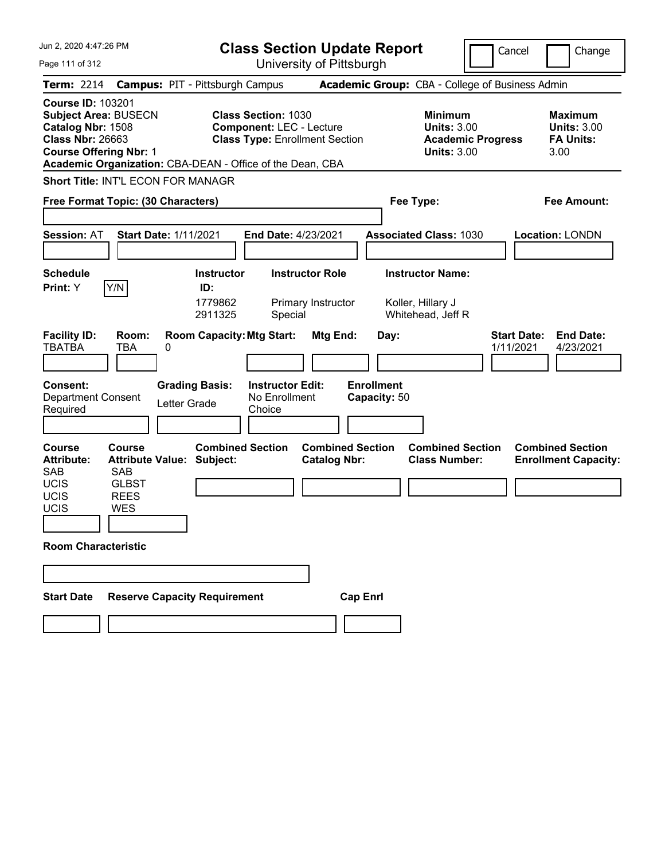| Jun 2, 2020 4:47:26 PM                                                                                                                                                                    |                                                                                         | <b>Class Section Update Report</b>                                                                     |                                                                   | Cancel                          | Change                                                           |
|-------------------------------------------------------------------------------------------------------------------------------------------------------------------------------------------|-----------------------------------------------------------------------------------------|--------------------------------------------------------------------------------------------------------|-------------------------------------------------------------------|---------------------------------|------------------------------------------------------------------|
| Page 111 of 312                                                                                                                                                                           |                                                                                         | University of Pittsburgh                                                                               |                                                                   |                                 |                                                                  |
| <b>Term: 2214</b>                                                                                                                                                                         | <b>Campus: PIT - Pittsburgh Campus</b>                                                  |                                                                                                        | Academic Group: CBA - College of Business Admin                   |                                 |                                                                  |
| <b>Course ID: 103201</b><br><b>Subject Area: BUSECN</b><br>Catalog Nbr: 1508<br><b>Class Nbr: 26663</b><br><b>Course Offering Nbr: 1</b>                                                  | Academic Organization: CBA-DEAN - Office of the Dean, CBA                               | <b>Class Section: 1030</b><br><b>Component: LEC - Lecture</b><br><b>Class Type: Enrollment Section</b> | <b>Minimum</b><br><b>Units: 3.00</b><br><b>Units: 3.00</b>        | <b>Academic Progress</b>        | <b>Maximum</b><br><b>Units: 3.00</b><br><b>FA Units:</b><br>3.00 |
|                                                                                                                                                                                           | <b>Short Title: INT'L ECON FOR MANAGR</b>                                               |                                                                                                        |                                                                   |                                 |                                                                  |
|                                                                                                                                                                                           | Free Format Topic: (30 Characters)                                                      |                                                                                                        | Fee Type:                                                         |                                 | <b>Fee Amount:</b>                                               |
| <b>Session: AT</b>                                                                                                                                                                        | <b>Start Date: 1/11/2021</b>                                                            | <b>End Date: 4/23/2021</b>                                                                             | <b>Associated Class: 1030</b>                                     |                                 | <b>Location: LONDN</b>                                           |
| <b>Schedule</b><br>Y/N<br>Print: Y                                                                                                                                                        | <b>Instructor</b><br>ID:<br>1779862<br>2911325                                          | <b>Instructor Role</b><br>Primary Instructor<br>Special                                                | <b>Instructor Name:</b><br>Koller, Hillary J<br>Whitehead, Jeff R |                                 |                                                                  |
| <b>Facility ID:</b><br><b>TBATBA</b><br>TBA<br><b>Consent:</b><br><b>Department Consent</b><br>Required                                                                                   | <b>Room Capacity: Mtg Start:</b><br>Room:<br>0<br><b>Grading Basis:</b><br>Letter Grade | Mtg End:<br><b>Instructor Edit:</b><br>No Enrollment<br>Choice                                         | Day:<br><b>Enrollment</b><br>Capacity: 50                         | <b>Start Date:</b><br>1/11/2021 | <b>End Date:</b><br>4/23/2021                                    |
| <b>Course</b><br><b>Course</b><br><b>Attribute:</b><br><b>SAB</b><br><b>SAB</b><br><b>UCIS</b><br><b>GLBST</b><br>UCIS<br><b>REES</b><br>UCIS<br><b>WES</b><br><b>Room Characteristic</b> | <b>Combined Section</b><br><b>Attribute Value: Subject:</b>                             | <b>Catalog Nbr:</b>                                                                                    | <b>Combined Section</b><br><b>Class Number:</b>                   | <b>Combined Section</b>         | <b>Combined Section</b><br><b>Enrollment Capacity:</b>           |
| <b>Start Date</b>                                                                                                                                                                         | <b>Reserve Capacity Requirement</b>                                                     |                                                                                                        | <b>Cap Enrl</b>                                                   |                                 |                                                                  |
|                                                                                                                                                                                           |                                                                                         |                                                                                                        |                                                                   |                                 |                                                                  |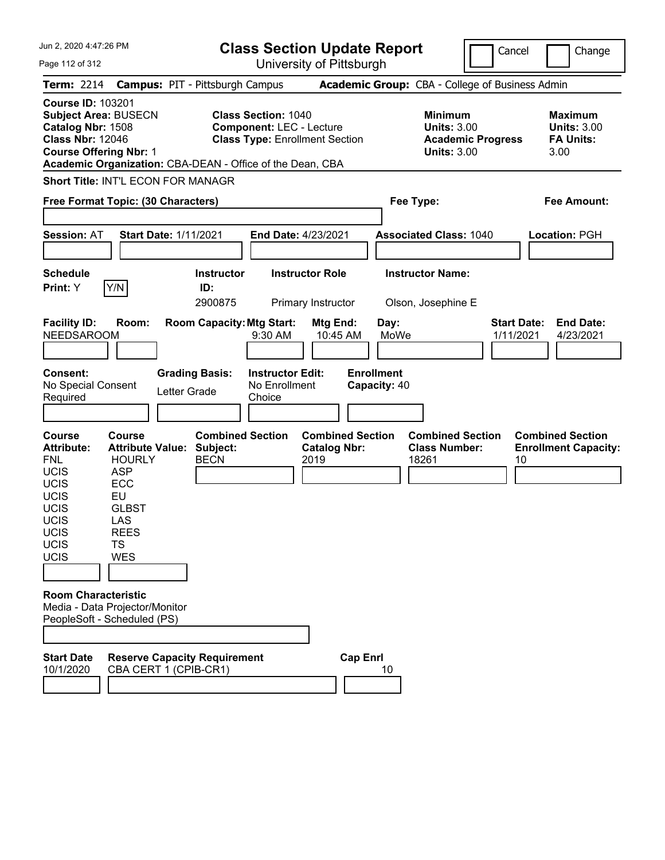| Jun 2, 2020 4:47:26 PM                                                                                                                                                                                                                                                      |          |                                                                                                                                                                                                       |              |                                                                                                                 | <b>Class Section Update Report</b>                                                                     |                                                                                |                 |                                                   |                                                            |                          | Cancel                                |      | Change                                                                                  |
|-----------------------------------------------------------------------------------------------------------------------------------------------------------------------------------------------------------------------------------------------------------------------------|----------|-------------------------------------------------------------------------------------------------------------------------------------------------------------------------------------------------------|--------------|-----------------------------------------------------------------------------------------------------------------|--------------------------------------------------------------------------------------------------------|--------------------------------------------------------------------------------|-----------------|---------------------------------------------------|------------------------------------------------------------|--------------------------|---------------------------------------|------|-----------------------------------------------------------------------------------------|
| Page 112 of 312                                                                                                                                                                                                                                                             |          |                                                                                                                                                                                                       |              |                                                                                                                 |                                                                                                        | University of Pittsburgh                                                       |                 |                                                   |                                                            |                          |                                       |      |                                                                                         |
| <b>Term: 2214</b>                                                                                                                                                                                                                                                           |          |                                                                                                                                                                                                       |              | <b>Campus: PIT - Pittsburgh Campus</b>                                                                          |                                                                                                        |                                                                                |                 |                                                   | Academic Group: CBA - College of Business Admin            |                          |                                       |      |                                                                                         |
| <b>Course ID: 103201</b><br><b>Subject Area: BUSECN</b><br>Catalog Nbr: 1508<br><b>Class Nbr: 12046</b><br><b>Course Offering Nbr: 1</b>                                                                                                                                    |          |                                                                                                                                                                                                       |              | Academic Organization: CBA-DEAN - Office of the Dean, CBA                                                       | <b>Class Section: 1040</b><br><b>Component: LEC - Lecture</b><br><b>Class Type: Enrollment Section</b> |                                                                                |                 |                                                   | <b>Minimum</b><br><b>Units: 3.00</b><br><b>Units: 3.00</b> | <b>Academic Progress</b> |                                       | 3.00 | <b>Maximum</b><br><b>Units: 3.00</b><br><b>FA Units:</b>                                |
|                                                                                                                                                                                                                                                                             |          | <b>Short Title: INT'L ECON FOR MANAGR</b>                                                                                                                                                             |              |                                                                                                                 |                                                                                                        |                                                                                |                 |                                                   |                                                            |                          |                                       |      |                                                                                         |
|                                                                                                                                                                                                                                                                             |          | Free Format Topic: (30 Characters)                                                                                                                                                                    |              |                                                                                                                 |                                                                                                        |                                                                                |                 |                                                   | Fee Type:                                                  |                          |                                       |      | <b>Fee Amount:</b>                                                                      |
|                                                                                                                                                                                                                                                                             |          |                                                                                                                                                                                                       |              |                                                                                                                 |                                                                                                        |                                                                                |                 |                                                   |                                                            |                          |                                       |      |                                                                                         |
| <b>Session: AT</b>                                                                                                                                                                                                                                                          |          | <b>Start Date: 1/11/2021</b>                                                                                                                                                                          |              |                                                                                                                 | End Date: 4/23/2021                                                                                    |                                                                                |                 |                                                   | <b>Associated Class: 1040</b>                              |                          |                                       |      | <b>Location: PGH</b>                                                                    |
|                                                                                                                                                                                                                                                                             |          |                                                                                                                                                                                                       |              |                                                                                                                 |                                                                                                        |                                                                                |                 |                                                   |                                                            |                          |                                       |      |                                                                                         |
| <b>Schedule</b>                                                                                                                                                                                                                                                             |          |                                                                                                                                                                                                       |              | <b>Instructor</b>                                                                                               |                                                                                                        | <b>Instructor Role</b>                                                         |                 |                                                   | <b>Instructor Name:</b>                                    |                          |                                       |      |                                                                                         |
| Print: Y                                                                                                                                                                                                                                                                    | Y/N      |                                                                                                                                                                                                       |              | ID:<br>2900875                                                                                                  |                                                                                                        | Primary Instructor                                                             |                 |                                                   | Olson, Josephine E                                         |                          |                                       |      |                                                                                         |
| <b>Facility ID:</b><br><b>NEEDSAROOM</b><br>Consent:<br>No Special Consent<br>Required<br><b>Course</b><br><b>Attribute:</b><br><b>FNL</b><br><b>UCIS</b><br><b>UCIS</b><br><b>UCIS</b><br><b>UCIS</b><br>UCIS<br>UCIS<br><b>UCIS</b><br>UCIS<br><b>Room Characteristic</b> | EU<br>TS | Room:<br>Course<br><b>Attribute Value:</b><br><b>HOURLY</b><br><b>ASP</b><br>ECC<br><b>GLBST</b><br>LAS<br><b>REES</b><br><b>WES</b><br>Media - Data Projector/Monitor<br>PeopleSoft - Scheduled (PS) | Letter Grade | <b>Room Capacity: Mtg Start:</b><br><b>Grading Basis:</b><br><b>Combined Section</b><br>Subject:<br><b>BECN</b> | $9:30$ AM<br><b>Instructor Edit:</b><br>No Enrollment<br>Choice                                        | Mtg End:<br>10:45 AM<br><b>Combined Section</b><br><b>Catalog Nbr:</b><br>2019 |                 | Day:<br>MoWe<br><b>Enrollment</b><br>Capacity: 40 | <b>Combined Section</b><br><b>Class Number:</b><br>18261   |                          | <b>Start Date:</b><br>1/11/2021<br>10 |      | <b>End Date:</b><br>4/23/2021<br><b>Combined Section</b><br><b>Enrollment Capacity:</b> |
| <b>Start Date</b><br>10/1/2020                                                                                                                                                                                                                                              |          | CBA CERT 1 (CPIB-CR1)                                                                                                                                                                                 |              | <b>Reserve Capacity Requirement</b>                                                                             |                                                                                                        |                                                                                | <b>Cap Enrl</b> | 10                                                |                                                            |                          |                                       |      |                                                                                         |
|                                                                                                                                                                                                                                                                             |          |                                                                                                                                                                                                       |              |                                                                                                                 |                                                                                                        |                                                                                |                 |                                                   |                                                            |                          |                                       |      |                                                                                         |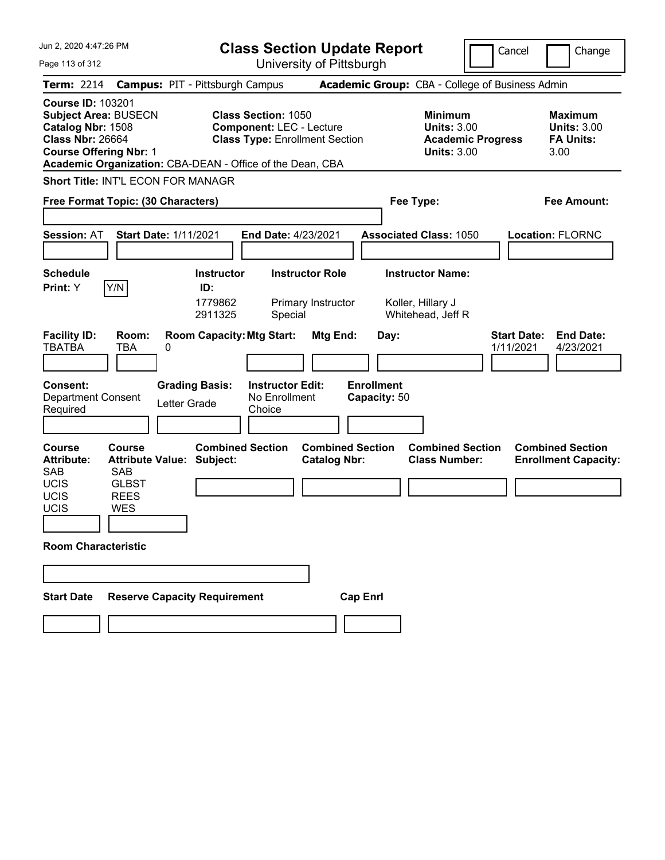| Jun 2, 2020 4:47:26 PM                                                                                                                                      |                                                                                                                                                                     | <b>Class Section Update Report</b>             |                                                                                        | Cancel<br>Change                                                 |
|-------------------------------------------------------------------------------------------------------------------------------------------------------------|---------------------------------------------------------------------------------------------------------------------------------------------------------------------|------------------------------------------------|----------------------------------------------------------------------------------------|------------------------------------------------------------------|
| Page 113 of 312                                                                                                                                             |                                                                                                                                                                     | University of Pittsburgh                       |                                                                                        |                                                                  |
| <b>Term: 2214</b>                                                                                                                                           | <b>Campus: PIT - Pittsburgh Campus</b>                                                                                                                              |                                                | Academic Group: CBA - College of Business Admin                                        |                                                                  |
| <b>Course ID: 103201</b><br><b>Subject Area: BUSECN</b><br>Catalog Nbr: 1508<br><b>Class Nbr: 26664</b><br><b>Course Offering Nbr: 1</b>                    | <b>Class Section: 1050</b><br><b>Component: LEC - Lecture</b><br><b>Class Type: Enrollment Section</b><br>Academic Organization: CBA-DEAN - Office of the Dean, CBA |                                                | <b>Minimum</b><br><b>Units: 3.00</b><br><b>Academic Progress</b><br><b>Units: 3.00</b> | <b>Maximum</b><br><b>Units: 3.00</b><br><b>FA Units:</b><br>3.00 |
| <b>Short Title: INT'L ECON FOR MANAGR</b>                                                                                                                   |                                                                                                                                                                     |                                                |                                                                                        |                                                                  |
| Free Format Topic: (30 Characters)                                                                                                                          |                                                                                                                                                                     |                                                | Fee Type:                                                                              | <b>Fee Amount:</b>                                               |
| <b>Session: AT</b>                                                                                                                                          | <b>Start Date: 1/11/2021</b><br><b>End Date: 4/23/2021</b>                                                                                                          |                                                | <b>Associated Class: 1050</b>                                                          | <b>Location: FLORNC</b>                                          |
| <b>Schedule</b>                                                                                                                                             | <b>Instructor</b>                                                                                                                                                   | <b>Instructor Role</b>                         | <b>Instructor Name:</b>                                                                |                                                                  |
| Y/N<br>Print: Y<br><b>Facility ID:</b><br>Room:                                                                                                             | ID:<br>1779862<br>2911325<br>Special<br><b>Room Capacity: Mtg Start:</b>                                                                                            | Primary Instructor<br>Mtg End:<br>Day:         | Koller, Hillary J<br>Whitehead, Jeff R                                                 | <b>Start Date:</b><br><b>End Date:</b>                           |
| <b>TBATBA</b><br>TBA                                                                                                                                        | 0                                                                                                                                                                   |                                                |                                                                                        | 1/11/2021<br>4/23/2021                                           |
| <b>Consent:</b><br><b>Department Consent</b><br>Required                                                                                                    | <b>Grading Basis:</b><br><b>Instructor Edit:</b><br>No Enrollment<br>Letter Grade<br>Choice                                                                         | <b>Enrollment</b><br>Capacity: 50              |                                                                                        |                                                                  |
| <b>Course</b><br><b>Course</b><br><b>Attribute:</b><br><b>SAB</b><br><b>SAB</b><br><b>UCIS</b><br><b>GLBST</b><br>UCIS<br><b>REES</b><br>UCIS<br><b>WES</b> | <b>Combined Section</b><br><b>Attribute Value: Subject:</b>                                                                                                         | <b>Combined Section</b><br><b>Catalog Nbr:</b> | <b>Combined Section</b><br><b>Class Number:</b>                                        | <b>Combined Section</b><br><b>Enrollment Capacity:</b>           |
| <b>Room Characteristic</b>                                                                                                                                  |                                                                                                                                                                     |                                                |                                                                                        |                                                                  |
|                                                                                                                                                             |                                                                                                                                                                     |                                                |                                                                                        |                                                                  |
| <b>Start Date</b>                                                                                                                                           | <b>Reserve Capacity Requirement</b>                                                                                                                                 | <b>Cap Enrl</b>                                |                                                                                        |                                                                  |
|                                                                                                                                                             |                                                                                                                                                                     |                                                |                                                                                        |                                                                  |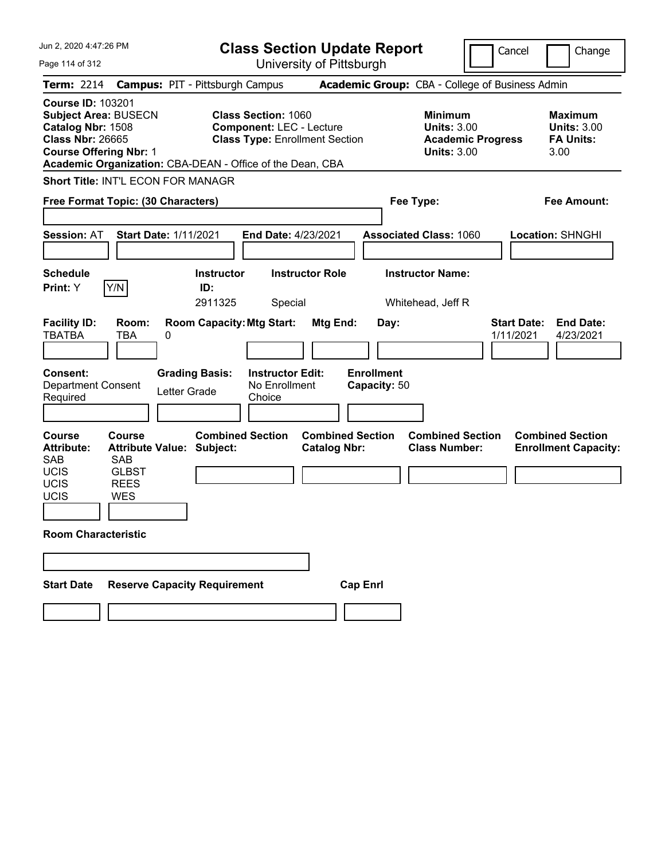| Jun 2, 2020 4:47:26 PM                                                                                                                   |                                                                   |                                                           | <b>Class Section Update Report</b>                                                                     |                                                |                                   |                                                                                        | Cancel                          | Change                                                           |
|------------------------------------------------------------------------------------------------------------------------------------------|-------------------------------------------------------------------|-----------------------------------------------------------|--------------------------------------------------------------------------------------------------------|------------------------------------------------|-----------------------------------|----------------------------------------------------------------------------------------|---------------------------------|------------------------------------------------------------------|
| Page 114 of 312                                                                                                                          |                                                                   |                                                           | University of Pittsburgh                                                                               |                                                |                                   |                                                                                        |                                 |                                                                  |
| <b>Term: 2214</b>                                                                                                                        |                                                                   | <b>Campus: PIT - Pittsburgh Campus</b>                    |                                                                                                        |                                                |                                   | Academic Group: CBA - College of Business Admin                                        |                                 |                                                                  |
| <b>Course ID: 103201</b><br><b>Subject Area: BUSECN</b><br>Catalog Nbr: 1508<br><b>Class Nbr: 26665</b><br><b>Course Offering Nbr: 1</b> |                                                                   | Academic Organization: CBA-DEAN - Office of the Dean, CBA | <b>Class Section: 1060</b><br><b>Component: LEC - Lecture</b><br><b>Class Type: Enrollment Section</b> |                                                |                                   | <b>Minimum</b><br><b>Units: 3.00</b><br><b>Academic Progress</b><br><b>Units: 3.00</b> |                                 | <b>Maximum</b><br><b>Units: 3.00</b><br><b>FA Units:</b><br>3.00 |
| <b>Short Title: INT'L ECON FOR MANAGR</b>                                                                                                |                                                                   |                                                           |                                                                                                        |                                                |                                   |                                                                                        |                                 |                                                                  |
| Free Format Topic: (30 Characters)                                                                                                       |                                                                   |                                                           |                                                                                                        |                                                |                                   | Fee Type:                                                                              |                                 | <b>Fee Amount:</b>                                               |
| <b>Session: AT</b>                                                                                                                       | <b>Start Date: 1/11/2021</b>                                      |                                                           | <b>End Date: 4/23/2021</b>                                                                             |                                                |                                   | <b>Associated Class: 1060</b>                                                          |                                 | <b>Location: SHNGHI</b>                                          |
| <b>Schedule</b>                                                                                                                          |                                                                   | <b>Instructor</b>                                         | <b>Instructor Role</b>                                                                                 |                                                |                                   | <b>Instructor Name:</b>                                                                |                                 |                                                                  |
| Print: Y                                                                                                                                 | Y/N                                                               | ID:                                                       |                                                                                                        |                                                |                                   |                                                                                        |                                 |                                                                  |
|                                                                                                                                          |                                                                   | 2911325                                                   | Special                                                                                                |                                                |                                   | Whitehead, Jeff R                                                                      |                                 |                                                                  |
| <b>Facility ID:</b><br><b>TBATBA</b>                                                                                                     | Room:<br>TBA<br>0                                                 | <b>Room Capacity: Mtg Start:</b>                          |                                                                                                        | Mtg End:                                       | Day:                              |                                                                                        | <b>Start Date:</b><br>1/11/2021 | <b>End Date:</b><br>4/23/2021                                    |
|                                                                                                                                          |                                                                   |                                                           |                                                                                                        |                                                |                                   |                                                                                        |                                 |                                                                  |
| <b>Consent:</b><br><b>Department Consent</b><br>Required                                                                                 |                                                                   | <b>Grading Basis:</b><br>Letter Grade                     | <b>Instructor Edit:</b><br>No Enrollment<br>Choice                                                     |                                                | <b>Enrollment</b><br>Capacity: 50 |                                                                                        |                                 |                                                                  |
| <b>Course</b><br><b>Attribute:</b><br><b>SAB</b><br><b>UCIS</b><br>UCIS<br>UCIS                                                          | Course<br><b>SAB</b><br><b>GLBST</b><br><b>REES</b><br><b>WES</b> | <b>Combined Section</b><br>Attribute Value: Subject:      |                                                                                                        | <b>Combined Section</b><br><b>Catalog Nbr:</b> |                                   | <b>Combined Section</b><br><b>Class Number:</b>                                        |                                 | <b>Combined Section</b><br><b>Enrollment Capacity:</b>           |
| <b>Room Characteristic</b>                                                                                                               |                                                                   |                                                           |                                                                                                        |                                                |                                   |                                                                                        |                                 |                                                                  |
|                                                                                                                                          |                                                                   |                                                           |                                                                                                        |                                                |                                   |                                                                                        |                                 |                                                                  |
|                                                                                                                                          |                                                                   |                                                           |                                                                                                        |                                                |                                   |                                                                                        |                                 |                                                                  |
| <b>Start Date</b>                                                                                                                        |                                                                   | <b>Reserve Capacity Requirement</b>                       |                                                                                                        | <b>Cap Enrl</b>                                |                                   |                                                                                        |                                 |                                                                  |
|                                                                                                                                          |                                                                   |                                                           |                                                                                                        |                                                |                                   |                                                                                        |                                 |                                                                  |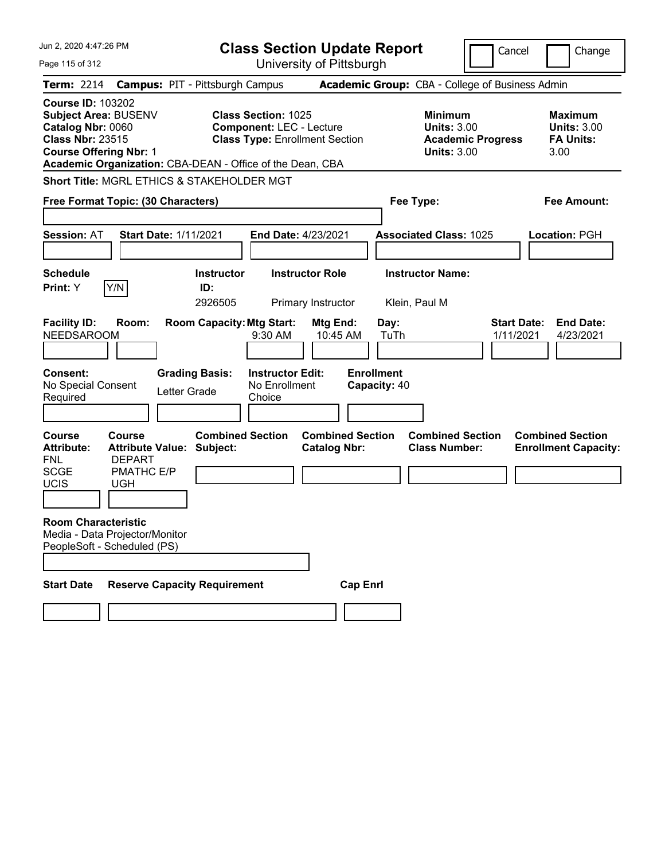| Jun 2, 2020 4:47:26 PM                                                                                                                   |                                                    |                                                           |                                                               | <b>Class Section Update Report</b>             |                                   |                                                            |                          | Cancel                          | Change                                                           |
|------------------------------------------------------------------------------------------------------------------------------------------|----------------------------------------------------|-----------------------------------------------------------|---------------------------------------------------------------|------------------------------------------------|-----------------------------------|------------------------------------------------------------|--------------------------|---------------------------------|------------------------------------------------------------------|
| Page 115 of 312                                                                                                                          |                                                    |                                                           |                                                               | University of Pittsburgh                       |                                   |                                                            |                          |                                 |                                                                  |
| <b>Term: 2214</b>                                                                                                                        |                                                    | <b>Campus: PIT - Pittsburgh Campus</b>                    |                                                               |                                                |                                   | Academic Group: CBA - College of Business Admin            |                          |                                 |                                                                  |
| <b>Course ID: 103202</b><br><b>Subject Area: BUSENV</b><br>Catalog Nbr: 0060<br><b>Class Nbr: 23515</b><br><b>Course Offering Nbr: 1</b> |                                                    | Academic Organization: CBA-DEAN - Office of the Dean, CBA | <b>Class Section: 1025</b><br><b>Component: LEC - Lecture</b> | <b>Class Type: Enrollment Section</b>          |                                   | <b>Minimum</b><br><b>Units: 3.00</b><br><b>Units: 3.00</b> | <b>Academic Progress</b> |                                 | <b>Maximum</b><br><b>Units: 3.00</b><br><b>FA Units:</b><br>3.00 |
|                                                                                                                                          |                                                    | Short Title: MGRL ETHICS & STAKEHOLDER MGT                |                                                               |                                                |                                   |                                                            |                          |                                 |                                                                  |
| Free Format Topic: (30 Characters)                                                                                                       |                                                    |                                                           |                                                               |                                                |                                   | Fee Type:                                                  |                          |                                 | <b>Fee Amount:</b>                                               |
| <b>Session: AT</b>                                                                                                                       |                                                    | <b>Start Date: 1/11/2021</b>                              |                                                               | <b>End Date: 4/23/2021</b>                     |                                   | <b>Associated Class: 1025</b>                              |                          |                                 | <b>Location: PGH</b>                                             |
| <b>Schedule</b><br>Print: Y                                                                                                              | Y/N                                                | <b>Instructor</b><br>ID:<br>2926505                       |                                                               | <b>Instructor Role</b><br>Primary Instructor   |                                   | <b>Instructor Name:</b><br>Klein, Paul M                   |                          |                                 |                                                                  |
| <b>Facility ID:</b><br><b>NEEDSAROOM</b>                                                                                                 | Room:                                              | <b>Room Capacity: Mtg Start:</b>                          | 9:30 AM                                                       | Mtg End:<br>10:45 AM                           | Day:<br>TuTh                      |                                                            |                          | <b>Start Date:</b><br>1/11/2021 | <b>End Date:</b><br>4/23/2021                                    |
| <b>Consent:</b><br>No Special Consent<br>Required                                                                                        |                                                    | <b>Grading Basis:</b><br>Letter Grade                     | <b>Instructor Edit:</b><br>No Enrollment<br>Choice            |                                                | <b>Enrollment</b><br>Capacity: 40 |                                                            |                          |                                 |                                                                  |
| <b>Course</b><br><b>Attribute:</b><br><b>FNL</b>                                                                                         | Course<br><b>Attribute Value:</b><br><b>DEPART</b> | <b>Combined Section</b><br>Subject:                       |                                                               | <b>Combined Section</b><br><b>Catalog Nbr:</b> |                                   | <b>Combined Section</b><br><b>Class Number:</b>            |                          |                                 | <b>Combined Section</b><br><b>Enrollment Capacity:</b>           |
| <b>SCGE</b><br>UCIS                                                                                                                      | PMATHC E/P<br><b>UGH</b>                           |                                                           |                                                               |                                                |                                   |                                                            |                          |                                 |                                                                  |
| <b>Room Characteristic</b><br>Media - Data Projector/Monitor<br>PeopleSoft - Scheduled (PS)                                              |                                                    |                                                           |                                                               |                                                |                                   |                                                            |                          |                                 |                                                                  |
|                                                                                                                                          |                                                    |                                                           |                                                               |                                                |                                   |                                                            |                          |                                 |                                                                  |
| <b>Start Date</b>                                                                                                                        |                                                    | <b>Reserve Capacity Requirement</b>                       |                                                               |                                                | <b>Cap Enrl</b>                   |                                                            |                          |                                 |                                                                  |
|                                                                                                                                          |                                                    |                                                           |                                                               |                                                |                                   |                                                            |                          |                                 |                                                                  |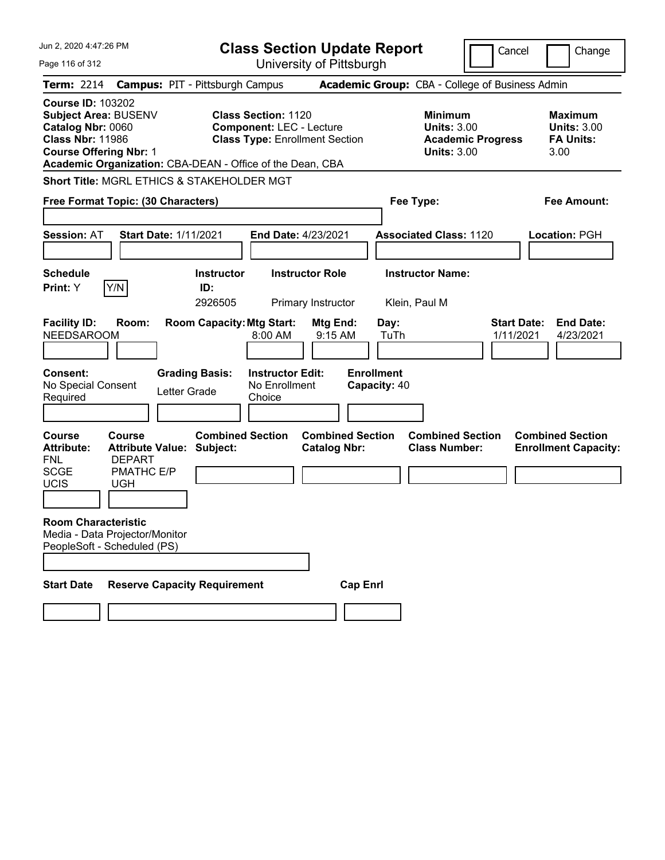| Jun 2, 2020 4:47:26 PM                                                                                                                                                                                |                                        |                                                               | <b>Class Section Update Report</b>             |                                                 |                                                                                        | Cancel                          | Change                                                           |
|-------------------------------------------------------------------------------------------------------------------------------------------------------------------------------------------------------|----------------------------------------|---------------------------------------------------------------|------------------------------------------------|-------------------------------------------------|----------------------------------------------------------------------------------------|---------------------------------|------------------------------------------------------------------|
| Page 116 of 312                                                                                                                                                                                       |                                        |                                                               | University of Pittsburgh                       |                                                 |                                                                                        |                                 |                                                                  |
| <b>Term: 2214</b>                                                                                                                                                                                     | <b>Campus: PIT - Pittsburgh Campus</b> |                                                               |                                                | Academic Group: CBA - College of Business Admin |                                                                                        |                                 |                                                                  |
| <b>Course ID: 103202</b><br><b>Subject Area: BUSENV</b><br>Catalog Nbr: 0060<br><b>Class Nbr: 11986</b><br><b>Course Offering Nbr: 1</b><br>Academic Organization: CBA-DEAN - Office of the Dean, CBA |                                        | <b>Class Section: 1120</b><br><b>Component: LEC - Lecture</b> | <b>Class Type: Enrollment Section</b>          |                                                 | <b>Minimum</b><br><b>Units: 3.00</b><br><b>Academic Progress</b><br><b>Units: 3.00</b> |                                 | <b>Maximum</b><br><b>Units: 3.00</b><br><b>FA Units:</b><br>3.00 |
| Short Title: MGRL ETHICS & STAKEHOLDER MGT                                                                                                                                                            |                                        |                                                               |                                                |                                                 |                                                                                        |                                 |                                                                  |
| Free Format Topic: (30 Characters)                                                                                                                                                                    |                                        |                                                               |                                                | Fee Type:                                       |                                                                                        |                                 | <b>Fee Amount:</b>                                               |
| <b>Session: AT</b>                                                                                                                                                                                    | <b>Start Date: 1/11/2021</b>           |                                                               | <b>End Date: 4/23/2021</b>                     |                                                 | <b>Associated Class: 1120</b>                                                          |                                 | <b>Location: PGH</b>                                             |
| <b>Schedule</b><br>Y/N<br>Print: Y                                                                                                                                                                    | <b>Instructor</b><br>ID:<br>2926505    |                                                               | <b>Instructor Role</b><br>Primary Instructor   | <b>Instructor Name:</b><br>Klein, Paul M        |                                                                                        |                                 |                                                                  |
| <b>Facility ID:</b><br>Room:<br><b>NEEDSAROOM</b>                                                                                                                                                     | <b>Room Capacity: Mtg Start:</b>       | 8:00 AM                                                       | Mtg End:<br>9:15 AM                            | Day:<br>TuTh                                    |                                                                                        | <b>Start Date:</b><br>1/11/2021 | <b>End Date:</b><br>4/23/2021                                    |
| <b>Consent:</b><br>No Special Consent<br>Required                                                                                                                                                     | <b>Grading Basis:</b><br>Letter Grade  | <b>Instructor Edit:</b><br>No Enrollment<br>Choice            |                                                | <b>Enrollment</b><br>Capacity: 40               |                                                                                        |                                 |                                                                  |
| <b>Course</b><br>Course<br><b>Attribute:</b><br><b>Attribute Value:</b><br><b>DEPART</b><br><b>FNL</b>                                                                                                | <b>Combined Section</b><br>Subject:    |                                                               | <b>Combined Section</b><br><b>Catalog Nbr:</b> |                                                 | <b>Combined Section</b><br><b>Class Number:</b>                                        |                                 | <b>Combined Section</b><br><b>Enrollment Capacity:</b>           |
| <b>SCGE</b><br>PMATHC E/P<br>UCIS<br><b>UGH</b>                                                                                                                                                       |                                        |                                                               |                                                |                                                 |                                                                                        |                                 |                                                                  |
| <b>Room Characteristic</b><br>Media - Data Projector/Monitor<br>PeopleSoft - Scheduled (PS)                                                                                                           |                                        |                                                               |                                                |                                                 |                                                                                        |                                 |                                                                  |
|                                                                                                                                                                                                       |                                        |                                                               |                                                |                                                 |                                                                                        |                                 |                                                                  |
| <b>Start Date</b>                                                                                                                                                                                     | <b>Reserve Capacity Requirement</b>    |                                                               | <b>Cap Enrl</b>                                |                                                 |                                                                                        |                                 |                                                                  |
|                                                                                                                                                                                                       |                                        |                                                               |                                                |                                                 |                                                                                        |                                 |                                                                  |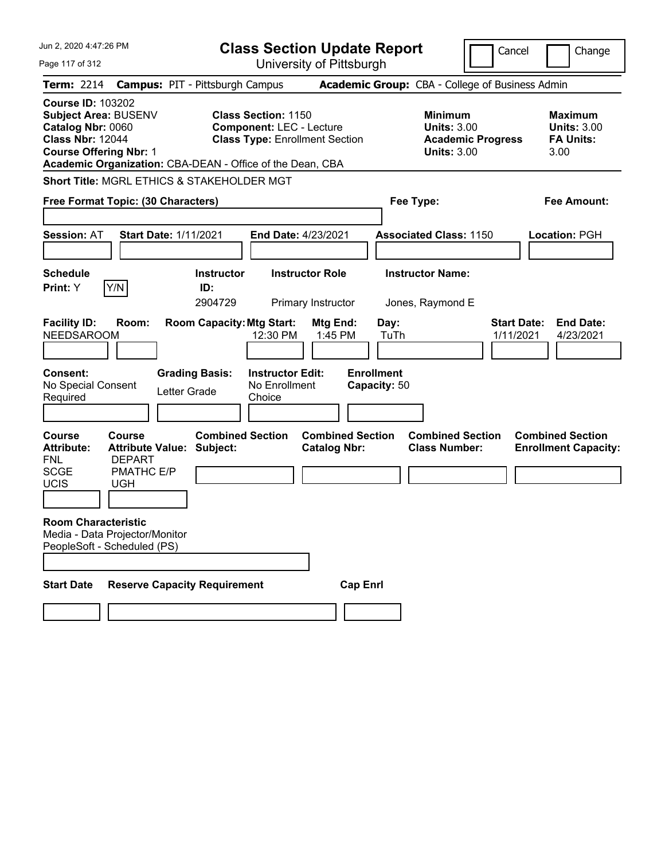| Jun 2, 2020 4:47:26 PM                                                                                                                   |                                                    |                                                           |                                                                                                        |                                              | <b>Class Section Update Report</b> |                                                            |                          | Cancel<br>Change                                                 |
|------------------------------------------------------------------------------------------------------------------------------------------|----------------------------------------------------|-----------------------------------------------------------|--------------------------------------------------------------------------------------------------------|----------------------------------------------|------------------------------------|------------------------------------------------------------|--------------------------|------------------------------------------------------------------|
| Page 117 of 312                                                                                                                          |                                                    |                                                           |                                                                                                        | University of Pittsburgh                     |                                    |                                                            |                          |                                                                  |
| <b>Term: 2214</b>                                                                                                                        |                                                    | <b>Campus: PIT - Pittsburgh Campus</b>                    |                                                                                                        |                                              |                                    | Academic Group: CBA - College of Business Admin            |                          |                                                                  |
| <b>Course ID: 103202</b><br><b>Subject Area: BUSENV</b><br>Catalog Nbr: 0060<br><b>Class Nbr: 12044</b><br><b>Course Offering Nbr: 1</b> |                                                    | Academic Organization: CBA-DEAN - Office of the Dean, CBA | <b>Class Section: 1150</b><br><b>Component: LEC - Lecture</b><br><b>Class Type: Enrollment Section</b> |                                              |                                    | <b>Minimum</b><br><b>Units: 3.00</b><br><b>Units: 3.00</b> | <b>Academic Progress</b> | <b>Maximum</b><br><b>Units: 3.00</b><br><b>FA Units:</b><br>3.00 |
|                                                                                                                                          |                                                    | Short Title: MGRL ETHICS & STAKEHOLDER MGT                |                                                                                                        |                                              |                                    |                                                            |                          |                                                                  |
| Free Format Topic: (30 Characters)                                                                                                       |                                                    |                                                           |                                                                                                        |                                              |                                    | Fee Type:                                                  |                          | <b>Fee Amount:</b>                                               |
| <b>Session: AT</b>                                                                                                                       |                                                    | <b>Start Date: 1/11/2021</b>                              | <b>End Date: 4/23/2021</b>                                                                             |                                              |                                    | <b>Associated Class: 1150</b>                              |                          | <b>Location: PGH</b>                                             |
| <b>Schedule</b><br>Print: Y                                                                                                              | Y/N                                                | <b>Instructor</b><br>ID:<br>2904729                       |                                                                                                        | <b>Instructor Role</b><br>Primary Instructor |                                    | <b>Instructor Name:</b><br>Jones, Raymond E                |                          |                                                                  |
| <b>Facility ID:</b><br><b>NEEDSAROOM</b>                                                                                                 | Room:                                              | <b>Room Capacity: Mtg Start:</b>                          | 12:30 PM                                                                                               | Mtg End:<br>1:45 PM                          | Day:<br>TuTh                       |                                                            |                          | <b>Start Date:</b><br><b>End Date:</b><br>1/11/2021<br>4/23/2021 |
| <b>Consent:</b><br>No Special Consent<br>Required                                                                                        |                                                    | <b>Grading Basis:</b><br>Letter Grade                     | <b>Instructor Edit:</b><br>No Enrollment<br>Choice                                                     |                                              | <b>Enrollment</b><br>Capacity: 50  |                                                            |                          |                                                                  |
| <b>Course</b><br><b>Attribute:</b><br><b>FNL</b>                                                                                         | Course<br><b>Attribute Value:</b><br><b>DEPART</b> | <b>Combined Section</b><br>Subject:                       |                                                                                                        | <b>Catalog Nbr:</b>                          | <b>Combined Section</b>            | <b>Combined Section</b><br><b>Class Number:</b>            |                          | <b>Combined Section</b><br><b>Enrollment Capacity:</b>           |
| <b>SCGE</b><br>UCIS                                                                                                                      | PMATHC E/P<br><b>UGH</b>                           |                                                           |                                                                                                        |                                              |                                    |                                                            |                          |                                                                  |
| <b>Room Characteristic</b><br>Media - Data Projector/Monitor<br>PeopleSoft - Scheduled (PS)                                              |                                                    |                                                           |                                                                                                        |                                              |                                    |                                                            |                          |                                                                  |
|                                                                                                                                          |                                                    |                                                           |                                                                                                        |                                              |                                    |                                                            |                          |                                                                  |
| <b>Start Date</b>                                                                                                                        |                                                    | <b>Reserve Capacity Requirement</b>                       |                                                                                                        |                                              | <b>Cap Enrl</b>                    |                                                            |                          |                                                                  |
|                                                                                                                                          |                                                    |                                                           |                                                                                                        |                                              |                                    |                                                            |                          |                                                                  |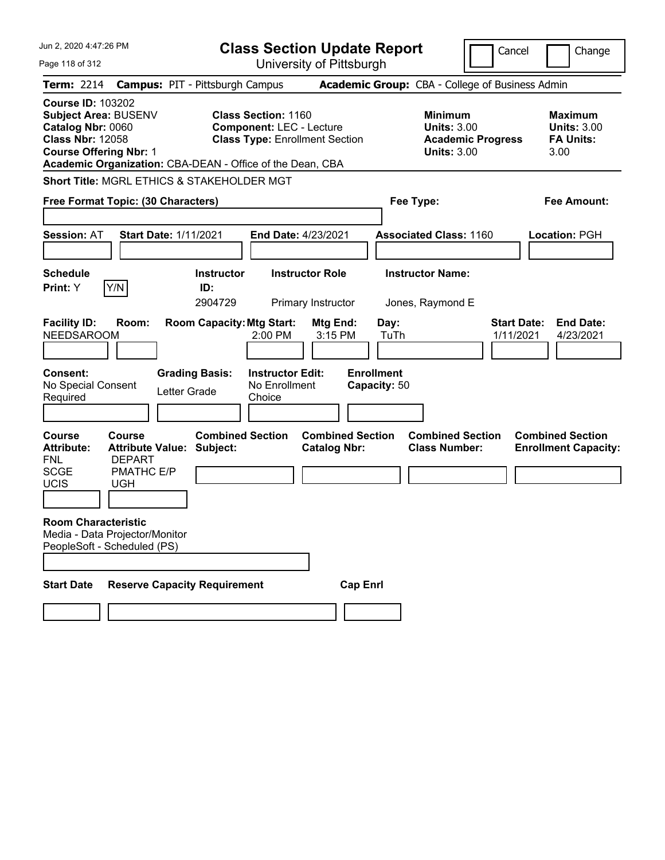| Jun 2, 2020 4:47:26 PM                                                                                                                   |                                                    |                                                           |                                                                                                        |                                              | <b>Class Section Update Report</b> |                                                            |                          | Cancel<br>Change                                                 |
|------------------------------------------------------------------------------------------------------------------------------------------|----------------------------------------------------|-----------------------------------------------------------|--------------------------------------------------------------------------------------------------------|----------------------------------------------|------------------------------------|------------------------------------------------------------|--------------------------|------------------------------------------------------------------|
| Page 118 of 312                                                                                                                          |                                                    |                                                           |                                                                                                        | University of Pittsburgh                     |                                    |                                                            |                          |                                                                  |
| <b>Term: 2214</b>                                                                                                                        |                                                    | <b>Campus: PIT - Pittsburgh Campus</b>                    |                                                                                                        |                                              |                                    | Academic Group: CBA - College of Business Admin            |                          |                                                                  |
| <b>Course ID: 103202</b><br><b>Subject Area: BUSENV</b><br>Catalog Nbr: 0060<br><b>Class Nbr: 12058</b><br><b>Course Offering Nbr: 1</b> |                                                    | Academic Organization: CBA-DEAN - Office of the Dean, CBA | <b>Class Section: 1160</b><br><b>Component: LEC - Lecture</b><br><b>Class Type: Enrollment Section</b> |                                              |                                    | <b>Minimum</b><br><b>Units: 3.00</b><br><b>Units: 3.00</b> | <b>Academic Progress</b> | <b>Maximum</b><br><b>Units: 3.00</b><br><b>FA Units:</b><br>3.00 |
|                                                                                                                                          |                                                    | Short Title: MGRL ETHICS & STAKEHOLDER MGT                |                                                                                                        |                                              |                                    |                                                            |                          |                                                                  |
| Free Format Topic: (30 Characters)                                                                                                       |                                                    |                                                           |                                                                                                        |                                              |                                    | Fee Type:                                                  |                          | <b>Fee Amount:</b>                                               |
| <b>Session: AT</b>                                                                                                                       |                                                    | <b>Start Date: 1/11/2021</b>                              |                                                                                                        | <b>End Date: 4/23/2021</b>                   |                                    | <b>Associated Class: 1160</b>                              |                          | <b>Location: PGH</b>                                             |
| <b>Schedule</b><br>Print: Y                                                                                                              | Y/N                                                | <b>Instructor</b><br>ID:<br>2904729                       |                                                                                                        | <b>Instructor Role</b><br>Primary Instructor |                                    | <b>Instructor Name:</b><br>Jones, Raymond E                |                          |                                                                  |
| <b>Facility ID:</b><br><b>NEEDSAROOM</b>                                                                                                 | Room:                                              | <b>Room Capacity: Mtg Start:</b>                          | 2:00 PM                                                                                                | Mtg End:<br>3:15 PM                          | Day:<br>TuTh                       |                                                            |                          | <b>Start Date:</b><br><b>End Date:</b><br>1/11/2021<br>4/23/2021 |
| <b>Consent:</b><br>No Special Consent<br>Required                                                                                        |                                                    | <b>Grading Basis:</b><br>Letter Grade                     | <b>Instructor Edit:</b><br>No Enrollment<br>Choice                                                     |                                              | <b>Enrollment</b><br>Capacity: 50  |                                                            |                          |                                                                  |
| <b>Course</b><br><b>Attribute:</b><br><b>FNL</b>                                                                                         | Course<br><b>Attribute Value:</b><br><b>DEPART</b> | <b>Combined Section</b><br>Subject:                       |                                                                                                        | <b>Catalog Nbr:</b>                          | <b>Combined Section</b>            | <b>Combined Section</b><br><b>Class Number:</b>            |                          | <b>Combined Section</b><br><b>Enrollment Capacity:</b>           |
| <b>SCGE</b><br>UCIS                                                                                                                      | PMATHC E/P<br><b>UGH</b>                           |                                                           |                                                                                                        |                                              |                                    |                                                            |                          |                                                                  |
| <b>Room Characteristic</b><br>Media - Data Projector/Monitor<br>PeopleSoft - Scheduled (PS)                                              |                                                    |                                                           |                                                                                                        |                                              |                                    |                                                            |                          |                                                                  |
|                                                                                                                                          |                                                    |                                                           |                                                                                                        |                                              |                                    |                                                            |                          |                                                                  |
| <b>Start Date</b>                                                                                                                        |                                                    | <b>Reserve Capacity Requirement</b>                       |                                                                                                        |                                              | <b>Cap Enrl</b>                    |                                                            |                          |                                                                  |
|                                                                                                                                          |                                                    |                                                           |                                                                                                        |                                              |                                    |                                                            |                          |                                                                  |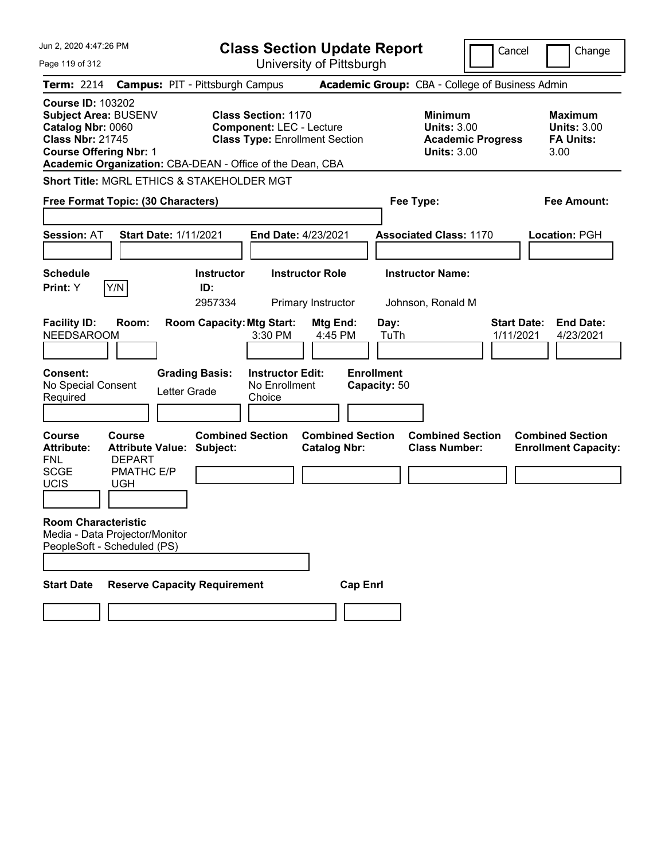| Jun 2, 2020 4:47:26 PM                                                                                                                                                                                |                                        |                                                               | <b>Class Section Update Report</b>             |                                   |                                                                                        | Cancel                          | Change                                                           |
|-------------------------------------------------------------------------------------------------------------------------------------------------------------------------------------------------------|----------------------------------------|---------------------------------------------------------------|------------------------------------------------|-----------------------------------|----------------------------------------------------------------------------------------|---------------------------------|------------------------------------------------------------------|
| Page 119 of 312                                                                                                                                                                                       |                                        |                                                               | University of Pittsburgh                       |                                   |                                                                                        |                                 |                                                                  |
| <b>Term: 2214</b>                                                                                                                                                                                     | <b>Campus: PIT - Pittsburgh Campus</b> |                                                               |                                                |                                   | Academic Group: CBA - College of Business Admin                                        |                                 |                                                                  |
| <b>Course ID: 103202</b><br><b>Subject Area: BUSENV</b><br>Catalog Nbr: 0060<br><b>Class Nbr: 21745</b><br><b>Course Offering Nbr: 1</b><br>Academic Organization: CBA-DEAN - Office of the Dean, CBA |                                        | <b>Class Section: 1170</b><br><b>Component: LEC - Lecture</b> | <b>Class Type: Enrollment Section</b>          |                                   | <b>Minimum</b><br><b>Units: 3.00</b><br><b>Academic Progress</b><br><b>Units: 3.00</b> |                                 | <b>Maximum</b><br><b>Units: 3.00</b><br><b>FA Units:</b><br>3.00 |
| Short Title: MGRL ETHICS & STAKEHOLDER MGT                                                                                                                                                            |                                        |                                                               |                                                |                                   |                                                                                        |                                 |                                                                  |
| Free Format Topic: (30 Characters)                                                                                                                                                                    |                                        |                                                               |                                                | Fee Type:                         |                                                                                        |                                 | <b>Fee Amount:</b>                                               |
| <b>Session: AT</b>                                                                                                                                                                                    | <b>Start Date: 1/11/2021</b>           | End Date: 4/23/2021                                           |                                                |                                   | <b>Associated Class: 1170</b>                                                          |                                 | <b>Location: PGH</b>                                             |
| <b>Schedule</b><br>Y/N<br>Print: Y                                                                                                                                                                    | <b>Instructor</b><br>ID:<br>2957334    |                                                               | <b>Instructor Role</b><br>Primary Instructor   |                                   | <b>Instructor Name:</b><br>Johnson, Ronald M                                           |                                 |                                                                  |
| <b>Facility ID:</b><br>Room:<br><b>NEEDSAROOM</b>                                                                                                                                                     | <b>Room Capacity: Mtg Start:</b>       | 3:30 PM                                                       | Mtg End:<br>4:45 PM                            | Day:<br>TuTh                      |                                                                                        | <b>Start Date:</b><br>1/11/2021 | <b>End Date:</b><br>4/23/2021                                    |
| <b>Consent:</b><br>No Special Consent<br>Required                                                                                                                                                     | <b>Grading Basis:</b><br>Letter Grade  | <b>Instructor Edit:</b><br>No Enrollment<br>Choice            |                                                | <b>Enrollment</b><br>Capacity: 50 |                                                                                        |                                 |                                                                  |
| <b>Course</b><br><b>Course</b><br><b>Attribute:</b><br><b>Attribute Value:</b><br><b>DEPART</b><br><b>FNL</b>                                                                                         | <b>Combined Section</b><br>Subject:    |                                                               | <b>Combined Section</b><br><b>Catalog Nbr:</b> |                                   | <b>Combined Section</b><br><b>Class Number:</b>                                        |                                 | <b>Combined Section</b><br><b>Enrollment Capacity:</b>           |
| <b>SCGE</b><br>PMATHC E/P<br><b>UCIS</b><br><b>UGH</b>                                                                                                                                                |                                        |                                                               |                                                |                                   |                                                                                        |                                 |                                                                  |
| <b>Room Characteristic</b><br>Media - Data Projector/Monitor<br>PeopleSoft - Scheduled (PS)                                                                                                           |                                        |                                                               |                                                |                                   |                                                                                        |                                 |                                                                  |
|                                                                                                                                                                                                       |                                        |                                                               |                                                |                                   |                                                                                        |                                 |                                                                  |
| <b>Start Date</b>                                                                                                                                                                                     | <b>Reserve Capacity Requirement</b>    |                                                               | <b>Cap Enrl</b>                                |                                   |                                                                                        |                                 |                                                                  |
|                                                                                                                                                                                                       |                                        |                                                               |                                                |                                   |                                                                                        |                                 |                                                                  |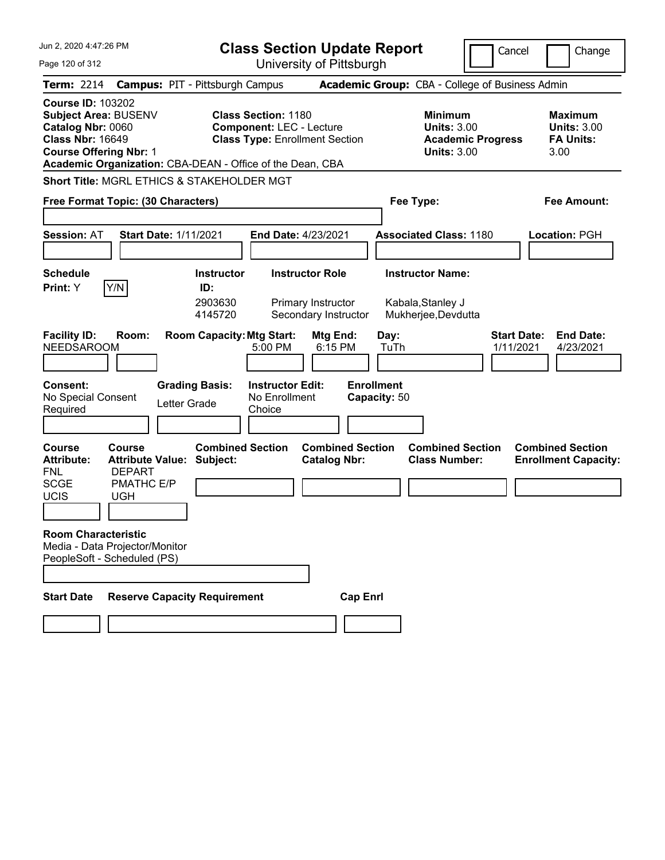| Jun 2, 2020 4:47:26 PM                                                                                                            |                                                                                              |                                                | <b>Class Section Update Report</b>                                                                                                                                  |                   |                                                                     |                                                                                        | Cancel<br>Change                                                 |
|-----------------------------------------------------------------------------------------------------------------------------------|----------------------------------------------------------------------------------------------|------------------------------------------------|---------------------------------------------------------------------------------------------------------------------------------------------------------------------|-------------------|---------------------------------------------------------------------|----------------------------------------------------------------------------------------|------------------------------------------------------------------|
| Page 120 of 312                                                                                                                   |                                                                                              |                                                | University of Pittsburgh                                                                                                                                            |                   |                                                                     |                                                                                        |                                                                  |
| <b>Term: 2214</b>                                                                                                                 | <b>Campus: PIT - Pittsburgh Campus</b>                                                       |                                                |                                                                                                                                                                     |                   |                                                                     | <b>Academic Group: CBA - College of Business Admin</b>                                 |                                                                  |
| <b>Course ID: 103202</b><br>Subject Area: BUSENV<br>Catalog Nbr: 0060<br><b>Class Nbr: 16649</b><br><b>Course Offering Nbr: 1</b> |                                                                                              |                                                | <b>Class Section: 1180</b><br><b>Component: LEC - Lecture</b><br><b>Class Type: Enrollment Section</b><br>Academic Organization: CBA-DEAN - Office of the Dean, CBA |                   |                                                                     | <b>Minimum</b><br><b>Units: 3.00</b><br><b>Academic Progress</b><br><b>Units: 3.00</b> | <b>Maximum</b><br><b>Units: 3.00</b><br><b>FA Units:</b><br>3.00 |
| <b>Short Title: MGRL ETHICS &amp; STAKEHOLDER MGT</b>                                                                             |                                                                                              |                                                |                                                                                                                                                                     |                   |                                                                     |                                                                                        |                                                                  |
| Free Format Topic: (30 Characters)                                                                                                |                                                                                              |                                                |                                                                                                                                                                     |                   | Fee Type:                                                           |                                                                                        | <b>Fee Amount:</b>                                               |
| <b>Session: AT</b>                                                                                                                | <b>Start Date: 1/11/2021</b>                                                                 |                                                | <b>End Date: 4/23/2021</b>                                                                                                                                          |                   | <b>Associated Class: 1180</b>                                       |                                                                                        | <b>Location: PGH</b>                                             |
| <b>Schedule</b><br>Y/N<br>Print: Y                                                                                                |                                                                                              | <b>Instructor</b><br>ID:<br>2903630<br>4145720 | <b>Instructor Role</b><br>Primary Instructor<br>Secondary Instructor                                                                                                |                   | <b>Instructor Name:</b><br>Kabala, Stanley J<br>Mukherjee, Devdutta |                                                                                        |                                                                  |
| <b>Facility ID:</b><br><b>NEEDSAROOM</b>                                                                                          | Room:                                                                                        | <b>Room Capacity: Mtg Start:</b>               | <b>Mtg End:</b><br>5:00 PM<br>6:15 PM                                                                                                                               |                   | Day:<br>TuTh                                                        |                                                                                        | <b>Start Date:</b><br><b>End Date:</b><br>1/11/2021<br>4/23/2021 |
| Consent:<br>No Special Consent<br>Required                                                                                        | <b>Grading Basis:</b><br>Letter Grade                                                        |                                                | <b>Instructor Edit:</b><br>No Enrollment<br>Choice                                                                                                                  | <b>Enrollment</b> | Capacity: 50                                                        |                                                                                        |                                                                  |
| <b>Course</b><br><b>Attribute:</b><br><b>FNL</b><br><b>SCGE</b><br>UCIS<br><b>Room Characteristic</b>                             | <b>Course</b><br><b>Attribute Value:</b><br><b>DEPART</b><br><b>PMATHC E/P</b><br><b>UGH</b> | <b>Combined Section</b><br>Subject:            | <b>Combined Section</b><br><b>Catalog Nbr:</b>                                                                                                                      |                   |                                                                     | <b>Combined Section</b><br><b>Class Number:</b>                                        | <b>Combined Section</b><br><b>Enrollment Capacity:</b>           |
| Media - Data Projector/Monitor<br>PeopleSoft - Scheduled (PS)                                                                     |                                                                                              |                                                |                                                                                                                                                                     |                   |                                                                     |                                                                                        |                                                                  |
| <b>Start Date</b>                                                                                                                 | <b>Reserve Capacity Requirement</b>                                                          |                                                |                                                                                                                                                                     | <b>Cap Enrl</b>   |                                                                     |                                                                                        |                                                                  |
|                                                                                                                                   |                                                                                              |                                                |                                                                                                                                                                     |                   |                                                                     |                                                                                        |                                                                  |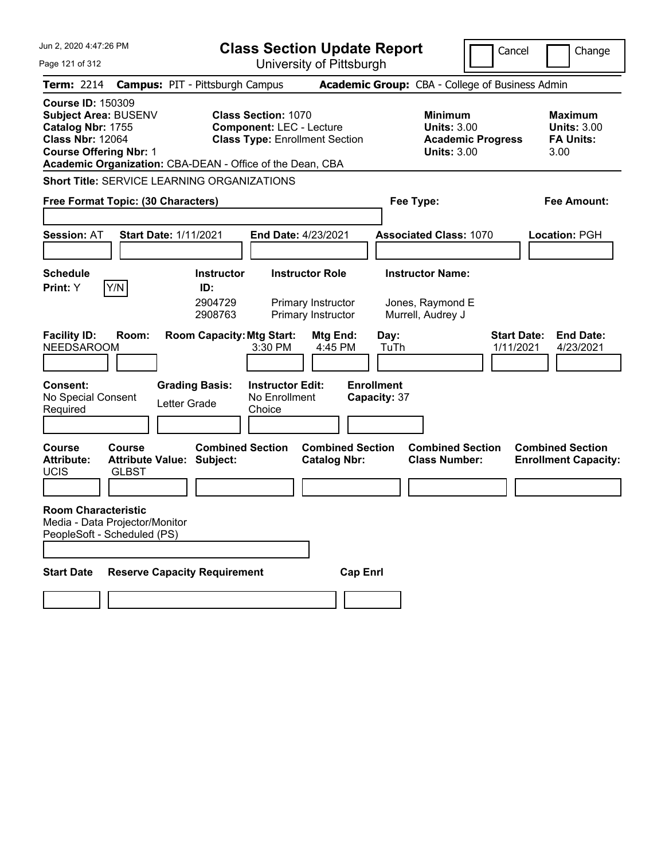| Jun 2, 2020 4:47:26 PM                                                                                                                                                                                |                                                               | <b>Class Section Update Report</b>                                                                     |                                   |                                                                                        | Cancel<br>Change                                                 |
|-------------------------------------------------------------------------------------------------------------------------------------------------------------------------------------------------------|---------------------------------------------------------------|--------------------------------------------------------------------------------------------------------|-----------------------------------|----------------------------------------------------------------------------------------|------------------------------------------------------------------|
| Page 121 of 312                                                                                                                                                                                       |                                                               | University of Pittsburgh                                                                               |                                   |                                                                                        |                                                                  |
| <b>Term: 2214</b>                                                                                                                                                                                     | <b>Campus: PIT - Pittsburgh Campus</b>                        |                                                                                                        |                                   | Academic Group: CBA - College of Business Admin                                        |                                                                  |
| <b>Course ID: 150309</b><br><b>Subject Area: BUSENV</b><br>Catalog Nbr: 1755<br><b>Class Nbr: 12064</b><br><b>Course Offering Nbr: 1</b><br>Academic Organization: CBA-DEAN - Office of the Dean, CBA |                                                               | <b>Class Section: 1070</b><br><b>Component: LEC - Lecture</b><br><b>Class Type: Enrollment Section</b> |                                   | <b>Minimum</b><br><b>Units: 3.00</b><br><b>Academic Progress</b><br><b>Units: 3.00</b> | <b>Maximum</b><br><b>Units: 3.00</b><br><b>FA Units:</b><br>3.00 |
| <b>Short Title: SERVICE LEARNING ORGANIZATIONS</b>                                                                                                                                                    |                                                               |                                                                                                        |                                   |                                                                                        |                                                                  |
| Free Format Topic: (30 Characters)                                                                                                                                                                    |                                                               |                                                                                                        | Fee Type:                         |                                                                                        | <b>Fee Amount:</b>                                               |
| <b>Session: AT</b>                                                                                                                                                                                    | <b>Start Date: 1/11/2021</b>                                  | End Date: 4/23/2021                                                                                    |                                   | <b>Associated Class: 1070</b>                                                          | <b>Location: PGH</b>                                             |
| <b>Schedule</b>                                                                                                                                                                                       | <b>Instructor</b>                                             | <b>Instructor Role</b>                                                                                 |                                   | <b>Instructor Name:</b>                                                                |                                                                  |
| Y/N<br>Print: Y<br><b>Facility ID:</b><br>Room:<br><b>NEEDSAROOM</b>                                                                                                                                  | ID:<br>2904729<br>2908763<br><b>Room Capacity: Mtg Start:</b> | Primary Instructor<br>Primary Instructor<br>Mtg End:<br>4:45 PM<br>3:30 PM                             | Day:<br>TuTh                      | Jones, Raymond E<br>Murrell, Audrey J                                                  | <b>Start Date:</b><br><b>End Date:</b><br>1/11/2021<br>4/23/2021 |
| <b>Consent:</b><br>No Special Consent<br>Required                                                                                                                                                     | <b>Grading Basis:</b><br>Letter Grade                         | <b>Instructor Edit:</b><br>No Enrollment<br>Choice                                                     | <b>Enrollment</b><br>Capacity: 37 |                                                                                        |                                                                  |
| <b>Course</b><br>Course<br><b>Attribute:</b><br><b>UCIS</b><br><b>GLBST</b>                                                                                                                           | <b>Combined Section</b><br><b>Attribute Value: Subject:</b>   | <b>Catalog Nbr:</b>                                                                                    | <b>Combined Section</b>           | <b>Combined Section</b><br><b>Class Number:</b>                                        | <b>Combined Section</b><br><b>Enrollment Capacity:</b>           |
| <b>Room Characteristic</b><br>Media - Data Projector/Monitor<br>PeopleSoft - Scheduled (PS)                                                                                                           |                                                               |                                                                                                        |                                   |                                                                                        |                                                                  |
| <b>Start Date</b>                                                                                                                                                                                     | <b>Reserve Capacity Requirement</b>                           |                                                                                                        | <b>Cap Enrl</b>                   |                                                                                        |                                                                  |
|                                                                                                                                                                                                       |                                                               |                                                                                                        |                                   |                                                                                        |                                                                  |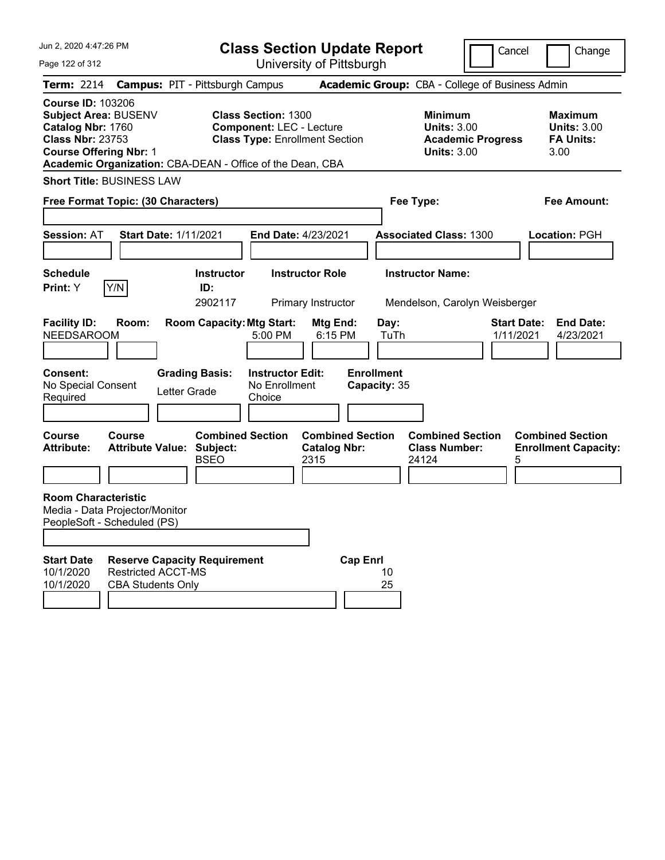| Jun 2, 2020 4:47:26 PM<br>Page 122 of 312                                                                                                   | <b>Class Section Update Report</b><br>University of Pittsburgh                                                                                                      |                                                                                        | Cancel<br>Change                                                 |
|---------------------------------------------------------------------------------------------------------------------------------------------|---------------------------------------------------------------------------------------------------------------------------------------------------------------------|----------------------------------------------------------------------------------------|------------------------------------------------------------------|
| <b>Term: 2214</b>                                                                                                                           | <b>Campus: PIT - Pittsburgh Campus</b>                                                                                                                              | Academic Group: CBA - College of Business Admin                                        |                                                                  |
| <b>Course ID: 103206</b><br>Subject Area: BUSENV<br>Catalog Nbr: 1760<br><b>Class Nbr: 23753</b><br><b>Course Offering Nbr: 1</b>           | <b>Class Section: 1300</b><br><b>Component: LEC - Lecture</b><br><b>Class Type: Enrollment Section</b><br>Academic Organization: CBA-DEAN - Office of the Dean, CBA | <b>Minimum</b><br><b>Units: 3.00</b><br><b>Academic Progress</b><br><b>Units: 3.00</b> | <b>Maximum</b><br><b>Units: 3.00</b><br><b>FA Units:</b><br>3.00 |
| <b>Short Title: BUSINESS LAW</b>                                                                                                            |                                                                                                                                                                     |                                                                                        |                                                                  |
| Free Format Topic: (30 Characters)                                                                                                          |                                                                                                                                                                     | Fee Type:                                                                              | Fee Amount:                                                      |
| <b>Session: AT</b><br><b>Start Date: 1/11/2021</b>                                                                                          | End Date: 4/23/2021                                                                                                                                                 | <b>Associated Class: 1300</b>                                                          | Location: PGH                                                    |
| <b>Schedule</b><br>Y/N<br>Print: Y                                                                                                          | <b>Instructor</b><br><b>Instructor Role</b><br>ID:<br>2902117<br>Primary Instructor                                                                                 | <b>Instructor Name:</b><br>Mendelson, Carolyn Weisberger                               |                                                                  |
| <b>Facility ID:</b><br>Room:<br><b>NEEDSAROOM</b>                                                                                           | <b>Room Capacity: Mtg Start:</b><br>Mtg End:<br>5:00 PM<br>6:15 PM                                                                                                  | Day:<br>TuTh                                                                           | <b>Start Date:</b><br><b>End Date:</b><br>1/11/2021<br>4/23/2021 |
| Consent:<br>No Special Consent<br>Letter Grade<br>Required                                                                                  | <b>Grading Basis:</b><br><b>Instructor Edit:</b><br>No Enrollment<br>Choice                                                                                         | <b>Enrollment</b><br>Capacity: 35                                                      |                                                                  |
| <b>Course</b><br><b>Course</b><br><b>Attribute:</b><br><b>Attribute Value:</b>                                                              | <b>Combined Section</b><br>Subject:<br><b>Catalog Nbr:</b><br><b>BSEO</b><br>2315                                                                                   | <b>Combined Section</b><br><b>Combined Section</b><br><b>Class Number:</b><br>24124    | <b>Combined Section</b><br><b>Enrollment Capacity:</b><br>5      |
| <b>Room Characteristic</b><br>Media - Data Projector/Monitor<br>PeopleSoft - Scheduled (PS)                                                 |                                                                                                                                                                     |                                                                                        |                                                                  |
| <b>Start Date</b><br><b>Reserve Capacity Requirement</b><br><b>Restricted ACCT-MS</b><br>10/1/2020<br>10/1/2020<br><b>CBA Students Only</b> |                                                                                                                                                                     | <b>Cap Enrl</b><br>10<br>25                                                            |                                                                  |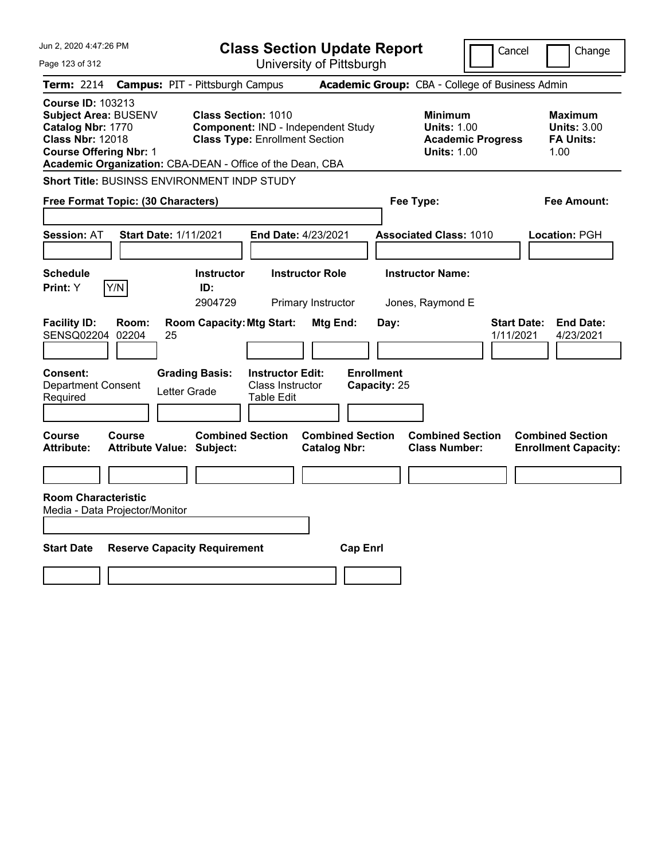| Jun 2, 2020 4:47:26 PM                                                                                                                                                                                |                                                                                                           | <b>Class Section Update Report</b>             |                                                                                        | Cancel<br>Change                                                 |
|-------------------------------------------------------------------------------------------------------------------------------------------------------------------------------------------------------|-----------------------------------------------------------------------------------------------------------|------------------------------------------------|----------------------------------------------------------------------------------------|------------------------------------------------------------------|
| Page 123 of 312                                                                                                                                                                                       |                                                                                                           | University of Pittsburgh                       |                                                                                        |                                                                  |
| <b>Term: 2214</b>                                                                                                                                                                                     | <b>Campus: PIT - Pittsburgh Campus</b>                                                                    |                                                | Academic Group: CBA - College of Business Admin                                        |                                                                  |
| <b>Course ID: 103213</b><br><b>Subject Area: BUSENV</b><br>Catalog Nbr: 1770<br><b>Class Nbr: 12018</b><br><b>Course Offering Nbr: 1</b><br>Academic Organization: CBA-DEAN - Office of the Dean, CBA | <b>Class Section: 1010</b><br>Component: IND - Independent Study<br><b>Class Type: Enrollment Section</b> |                                                | <b>Minimum</b><br><b>Units: 1.00</b><br><b>Academic Progress</b><br><b>Units: 1.00</b> | <b>Maximum</b><br><b>Units: 3.00</b><br><b>FA Units:</b><br>1.00 |
| <b>Short Title: BUSINSS ENVIRONMENT INDP STUDY</b>                                                                                                                                                    |                                                                                                           |                                                |                                                                                        |                                                                  |
| Free Format Topic: (30 Characters)                                                                                                                                                                    |                                                                                                           |                                                | Fee Type:                                                                              | <b>Fee Amount:</b>                                               |
| <b>Session: AT</b><br><b>Start Date: 1/11/2021</b>                                                                                                                                                    | End Date: 4/23/2021                                                                                       |                                                | <b>Associated Class: 1010</b>                                                          | Location: PGH                                                    |
| <b>Schedule</b><br>Print: Y<br>Y/N                                                                                                                                                                    | <b>Instructor Role</b><br><b>Instructor</b><br>ID:<br>2904729<br>Primary Instructor                       |                                                | <b>Instructor Name:</b><br>Jones, Raymond E                                            |                                                                  |
| <b>Facility ID:</b><br>Room:<br>SENSQ02204 02204<br>25<br><b>Consent:</b>                                                                                                                             | <b>Room Capacity: Mtg Start:</b><br><b>Grading Basis:</b><br><b>Instructor Edit:</b>                      | Mtg End:<br>Day:<br><b>Enrollment</b>          |                                                                                        | <b>End Date:</b><br><b>Start Date:</b><br>1/11/2021<br>4/23/2021 |
| <b>Department Consent</b><br>Letter Grade<br>Required                                                                                                                                                 | <b>Class Instructor</b><br><b>Table Edit</b>                                                              | Capacity: 25                                   |                                                                                        |                                                                  |
| <b>Course</b><br>Course<br><b>Attribute:</b><br>Attribute Value: Subject:                                                                                                                             | <b>Combined Section</b>                                                                                   | <b>Combined Section</b><br><b>Catalog Nbr:</b> | <b>Combined Section</b><br><b>Class Number:</b>                                        | <b>Combined Section</b><br><b>Enrollment Capacity:</b>           |
| <b>Room Characteristic</b><br>Media - Data Projector/Monitor<br><b>Start Date</b><br><b>Reserve Capacity Requirement</b>                                                                              |                                                                                                           | <b>Cap Enrl</b>                                |                                                                                        |                                                                  |
|                                                                                                                                                                                                       |                                                                                                           |                                                |                                                                                        |                                                                  |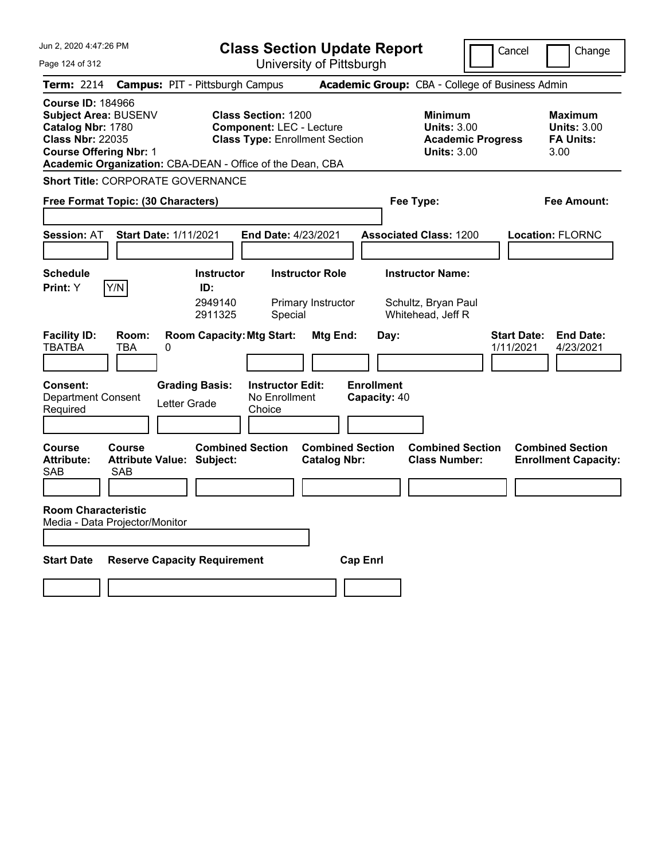| Jun 2, 2020 4:47:26 PM                                                                                                            |                                                           | <b>Class Section Update Report</b>                                                                     |                                                |                                                                     | Cancel                          | Change                                                    |
|-----------------------------------------------------------------------------------------------------------------------------------|-----------------------------------------------------------|--------------------------------------------------------------------------------------------------------|------------------------------------------------|---------------------------------------------------------------------|---------------------------------|-----------------------------------------------------------|
| Page 124 of 312                                                                                                                   |                                                           | University of Pittsburgh                                                                               |                                                |                                                                     |                                 |                                                           |
| <b>Term:</b> 2214                                                                                                                 | <b>Campus: PIT - Pittsburgh Campus</b>                    |                                                                                                        |                                                | Academic Group: CBA - College of Business Admin                     |                                 |                                                           |
| <b>Course ID: 184966</b><br>Subject Area: BUSENV<br>Catalog Nbr: 1780<br><b>Class Nbr: 22035</b><br><b>Course Offering Nbr: 1</b> | Academic Organization: CBA-DEAN - Office of the Dean, CBA | <b>Class Section: 1200</b><br><b>Component: LEC - Lecture</b><br><b>Class Type: Enrollment Section</b> |                                                | <b>Minimum</b><br><b>Units: 3.00</b><br><b>Units: 3.00</b>          | <b>Academic Progress</b>        | Maximum<br><b>Units: 3.00</b><br><b>FA Units:</b><br>3.00 |
|                                                                                                                                   | <b>Short Title: CORPORATE GOVERNANCE</b>                  |                                                                                                        |                                                |                                                                     |                                 |                                                           |
| Free Format Topic: (30 Characters)                                                                                                |                                                           |                                                                                                        |                                                | Fee Type:                                                           |                                 | Fee Amount:                                               |
| <b>Session: AT</b>                                                                                                                | <b>Start Date: 1/11/2021</b>                              | <b>End Date: 4/23/2021</b>                                                                             |                                                | <b>Associated Class: 1200</b>                                       |                                 | <b>Location: FLORNC</b>                                   |
| <b>Schedule</b><br>Y/N<br>Print: Y                                                                                                | <b>Instructor</b><br>ID:<br>2949140<br>2911325            | <b>Instructor Role</b><br>Primary Instructor<br>Special                                                |                                                | <b>Instructor Name:</b><br>Schultz, Bryan Paul<br>Whitehead, Jeff R |                                 |                                                           |
| <b>Facility ID:</b><br>Room:<br><b>TBATBA</b><br><b>TBA</b>                                                                       | <b>Room Capacity: Mtg Start:</b><br>0                     |                                                                                                        | Mtg End:                                       | Day:                                                                | <b>Start Date:</b><br>1/11/2021 | <b>End Date:</b><br>4/23/2021                             |
| <b>Consent:</b><br><b>Department Consent</b><br>Required                                                                          | <b>Grading Basis:</b><br>Letter Grade                     | <b>Instructor Edit:</b><br>No Enrollment<br>Choice                                                     | <b>Enrollment</b>                              | Capacity: 40                                                        |                                 |                                                           |
| <b>Course</b><br>Course<br><b>Attribute:</b><br><b>SAB</b><br>SAB                                                                 | <b>Attribute Value: Subject:</b>                          | <b>Combined Section</b>                                                                                | <b>Combined Section</b><br><b>Catalog Nbr:</b> | <b>Combined Section</b><br><b>Class Number:</b>                     |                                 | <b>Combined Section</b><br><b>Enrollment Capacity:</b>    |
| <b>Room Characteristic</b><br>Media - Data Projector/Monitor                                                                      |                                                           |                                                                                                        |                                                |                                                                     |                                 |                                                           |
| <b>Start Date</b>                                                                                                                 | <b>Reserve Capacity Requirement</b>                       |                                                                                                        | <b>Cap Enrl</b>                                |                                                                     |                                 |                                                           |
|                                                                                                                                   |                                                           |                                                                                                        |                                                |                                                                     |                                 |                                                           |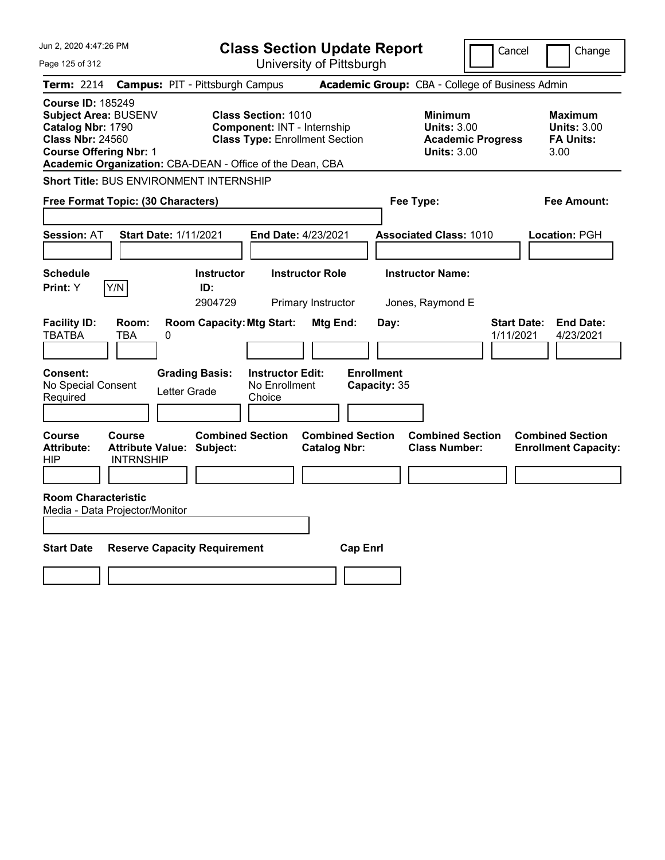| Jun 2, 2020 4:47:26 PM                                                                                                                                                                         |                                                                                                    | <b>Class Section Update Report</b>             |                                                                                        | Cancel<br>Change                                                 |
|------------------------------------------------------------------------------------------------------------------------------------------------------------------------------------------------|----------------------------------------------------------------------------------------------------|------------------------------------------------|----------------------------------------------------------------------------------------|------------------------------------------------------------------|
| Page 125 of 312                                                                                                                                                                                |                                                                                                    | University of Pittsburgh                       |                                                                                        |                                                                  |
| <b>Term: 2214</b>                                                                                                                                                                              | <b>Campus: PIT - Pittsburgh Campus</b>                                                             |                                                | Academic Group: CBA - College of Business Admin                                        |                                                                  |
| <b>Course ID: 185249</b><br>Subject Area: BUSENV<br>Catalog Nbr: 1790<br><b>Class Nbr: 24560</b><br><b>Course Offering Nbr: 1</b><br>Academic Organization: CBA-DEAN - Office of the Dean, CBA | <b>Class Section: 1010</b><br>Component: INT - Internship<br><b>Class Type: Enrollment Section</b> |                                                | <b>Minimum</b><br><b>Units: 3.00</b><br><b>Academic Progress</b><br><b>Units: 3.00</b> | <b>Maximum</b><br><b>Units: 3.00</b><br><b>FA Units:</b><br>3.00 |
| Short Title: BUS ENVIRONMENT INTERNSHIP                                                                                                                                                        |                                                                                                    |                                                |                                                                                        |                                                                  |
| Free Format Topic: (30 Characters)                                                                                                                                                             |                                                                                                    |                                                | Fee Type:                                                                              | Fee Amount:                                                      |
| <b>Session: AT</b><br><b>Start Date: 1/11/2021</b>                                                                                                                                             | <b>End Date: 4/23/2021</b>                                                                         |                                                | <b>Associated Class: 1010</b>                                                          | Location: PGH                                                    |
| <b>Schedule</b><br>Y/N<br>Print: Y                                                                                                                                                             | <b>Instructor Role</b><br><b>Instructor</b><br>ID:<br>2904729                                      | Primary Instructor                             | <b>Instructor Name:</b><br>Jones, Raymond E                                            |                                                                  |
| <b>Facility ID:</b><br>Room:<br><b>TBATBA</b><br>TBA<br>0                                                                                                                                      | <b>Room Capacity: Mtg Start:</b>                                                                   | Mtg End:<br>Day:                               |                                                                                        | <b>Start Date:</b><br><b>End Date:</b><br>1/11/2021<br>4/23/2021 |
| Consent:<br>No Special Consent<br>Letter Grade<br>Required                                                                                                                                     | <b>Grading Basis:</b><br><b>Instructor Edit:</b><br>No Enrollment<br>Choice                        | <b>Enrollment</b><br>Capacity: 35              |                                                                                        |                                                                  |
| Course<br>Course<br><b>Attribute:</b><br><b>Attribute Value: Subject:</b><br><b>INTRNSHIP</b><br>HIP                                                                                           | <b>Combined Section</b>                                                                            | <b>Combined Section</b><br><b>Catalog Nbr:</b> | <b>Combined Section</b><br><b>Class Number:</b>                                        | <b>Combined Section</b><br><b>Enrollment Capacity:</b>           |
| <b>Room Characteristic</b><br>Media - Data Projector/Monitor                                                                                                                                   |                                                                                                    |                                                |                                                                                        |                                                                  |
| <b>Start Date</b><br><b>Reserve Capacity Requirement</b>                                                                                                                                       |                                                                                                    | <b>Cap Enrl</b>                                |                                                                                        |                                                                  |
|                                                                                                                                                                                                |                                                                                                    |                                                |                                                                                        |                                                                  |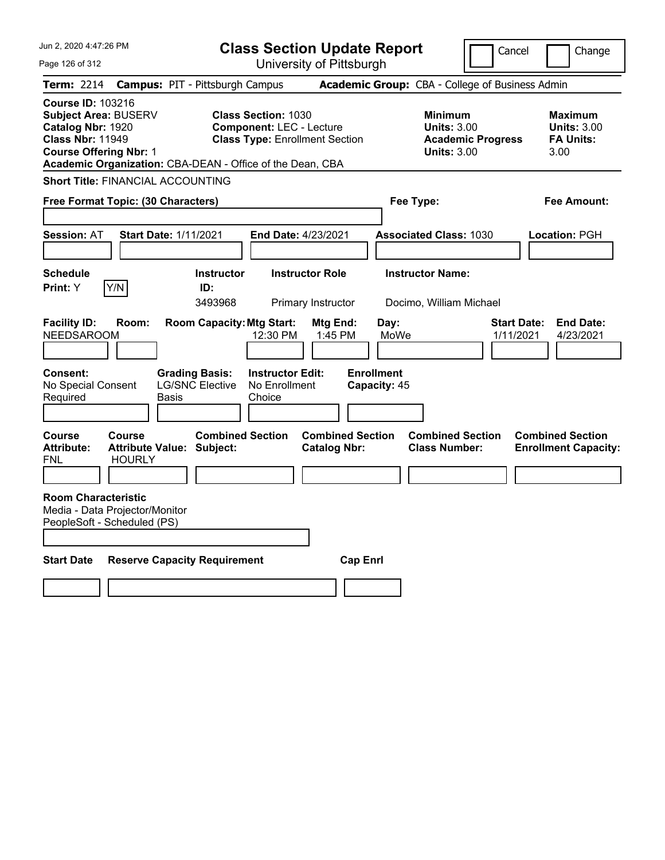| Jun 2, 2020 4:47:26 PM<br>Page 126 of 312                                                                                                                                                      |                                                             | <b>Class Section Update Report</b><br>University of Pittsburgh                                         |                                                            | Cancel                          | Change                                                           |
|------------------------------------------------------------------------------------------------------------------------------------------------------------------------------------------------|-------------------------------------------------------------|--------------------------------------------------------------------------------------------------------|------------------------------------------------------------|---------------------------------|------------------------------------------------------------------|
| <b>Term: 2214</b>                                                                                                                                                                              | <b>Campus: PIT - Pittsburgh Campus</b>                      |                                                                                                        | Academic Group: CBA - College of Business Admin            |                                 |                                                                  |
| <b>Course ID: 103216</b><br>Subject Area: BUSERV<br>Catalog Nbr: 1920<br><b>Class Nbr: 11949</b><br><b>Course Offering Nbr: 1</b><br>Academic Organization: CBA-DEAN - Office of the Dean, CBA |                                                             | <b>Class Section: 1030</b><br><b>Component: LEC - Lecture</b><br><b>Class Type: Enrollment Section</b> | <b>Minimum</b><br><b>Units: 3.00</b><br><b>Units: 3.00</b> | <b>Academic Progress</b>        | <b>Maximum</b><br><b>Units: 3.00</b><br><b>FA Units:</b><br>3.00 |
| <b>Short Title: FINANCIAL ACCOUNTING</b>                                                                                                                                                       |                                                             |                                                                                                        |                                                            |                                 |                                                                  |
| Free Format Topic: (30 Characters)                                                                                                                                                             |                                                             |                                                                                                        | Fee Type:                                                  |                                 | Fee Amount:                                                      |
| <b>Session: AT</b>                                                                                                                                                                             | <b>Start Date: 1/11/2021</b>                                | End Date: 4/23/2021                                                                                    | <b>Associated Class: 1030</b>                              |                                 | Location: PGH                                                    |
| <b>Schedule</b><br>Y/N<br>Print: Y                                                                                                                                                             | <b>Instructor</b><br>ID:<br>3493968                         | <b>Instructor Role</b><br>Primary Instructor                                                           | <b>Instructor Name:</b><br>Docimo, William Michael         |                                 |                                                                  |
| <b>Facility ID:</b><br>Room:<br><b>NEEDSAROOM</b>                                                                                                                                              | <b>Room Capacity: Mtg Start:</b>                            | Mtg End:<br>12:30 PM<br>1:45 PM                                                                        | Day:<br>MoWe                                               | <b>Start Date:</b><br>1/11/2021 | <b>End Date:</b><br>4/23/2021                                    |
| Consent:<br>No Special Consent<br>Required                                                                                                                                                     | <b>Grading Basis:</b><br><b>LG/SNC Elective</b><br>Basis    | <b>Instructor Edit:</b><br>No Enrollment<br>Choice                                                     | <b>Enrollment</b><br>Capacity: 45                          |                                 |                                                                  |
| <b>Course</b><br><b>Course</b><br><b>Attribute:</b><br><b>HOURLY</b><br>FNL                                                                                                                    | <b>Combined Section</b><br><b>Attribute Value: Subject:</b> | <b>Combined Section</b><br><b>Catalog Nbr:</b>                                                         | <b>Class Number:</b>                                       | <b>Combined Section</b>         | <b>Combined Section</b><br><b>Enrollment Capacity:</b>           |
| <b>Room Characteristic</b><br>Media - Data Projector/Monitor<br>PeopleSoft - Scheduled (PS)                                                                                                    |                                                             |                                                                                                        |                                                            |                                 |                                                                  |
| <b>Start Date</b>                                                                                                                                                                              | <b>Reserve Capacity Requirement</b>                         | <b>Cap Enri</b>                                                                                        |                                                            |                                 |                                                                  |
|                                                                                                                                                                                                |                                                             |                                                                                                        |                                                            |                                 |                                                                  |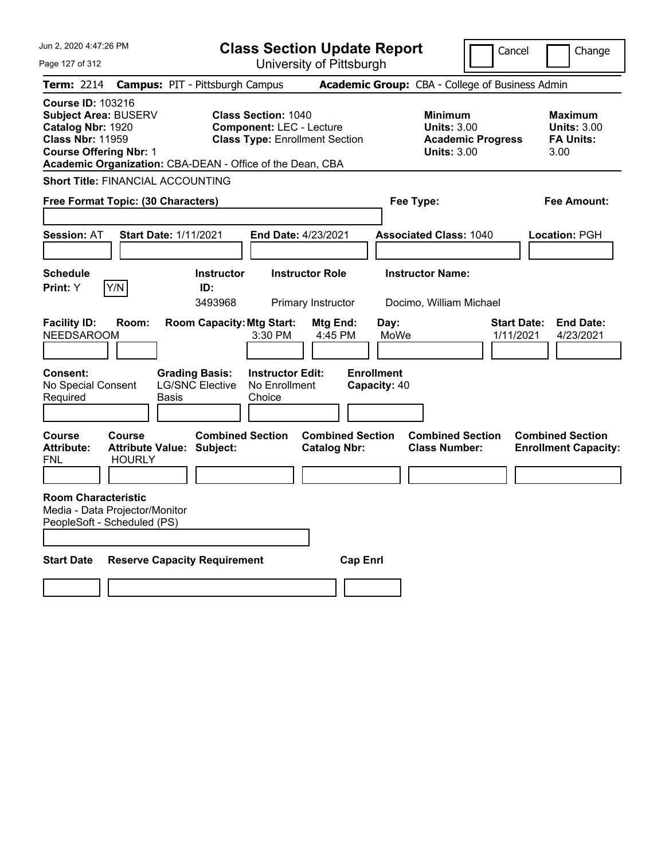| Jun 2, 2020 4:47:26 PM<br>Page 127 of 312                                                                                                                                                      | <b>Class Section Update Report</b><br>University of Pittsburgh                                         |                                                                                        | Cancel<br>Change                                                 |
|------------------------------------------------------------------------------------------------------------------------------------------------------------------------------------------------|--------------------------------------------------------------------------------------------------------|----------------------------------------------------------------------------------------|------------------------------------------------------------------|
| Term: 2214                                                                                                                                                                                     | <b>Campus: PIT - Pittsburgh Campus</b>                                                                 | Academic Group: CBA - College of Business Admin                                        |                                                                  |
| <b>Course ID: 103216</b><br>Subject Area: BUSERV<br>Catalog Nbr: 1920<br><b>Class Nbr: 11959</b><br><b>Course Offering Nbr: 1</b><br>Academic Organization: CBA-DEAN - Office of the Dean, CBA | <b>Class Section: 1040</b><br><b>Component: LEC - Lecture</b><br><b>Class Type: Enrollment Section</b> | <b>Minimum</b><br><b>Units: 3.00</b><br><b>Academic Progress</b><br><b>Units: 3.00</b> | <b>Maximum</b><br><b>Units: 3.00</b><br><b>FA Units:</b><br>3.00 |
| <b>Short Title: FINANCIAL ACCOUNTING</b>                                                                                                                                                       |                                                                                                        |                                                                                        |                                                                  |
| Free Format Topic: (30 Characters)                                                                                                                                                             |                                                                                                        | Fee Type:                                                                              | Fee Amount:                                                      |
| <b>Session: AT</b><br><b>Start Date: 1/11/2021</b>                                                                                                                                             | End Date: 4/23/2021                                                                                    | <b>Associated Class: 1040</b>                                                          | Location: PGH                                                    |
| <b>Schedule</b><br>Y/N<br>Print: Y                                                                                                                                                             | <b>Instructor</b><br><b>Instructor Role</b><br>ID:<br>3493968<br>Primary Instructor                    | <b>Instructor Name:</b><br>Docimo, William Michael                                     |                                                                  |
| <b>Facility ID:</b><br>Room:<br><b>NEEDSAROOM</b>                                                                                                                                              | <b>Room Capacity: Mtg Start:</b><br>Mtg End:<br>3:30 PM<br>4:45 PM                                     | Day:<br>MoWe                                                                           | <b>End Date:</b><br><b>Start Date:</b><br>1/11/2021<br>4/23/2021 |
| <b>Consent:</b><br><b>Grading Basis:</b><br><b>LG/SNC Elective</b><br>No Special Consent<br>Required<br>Basis                                                                                  | <b>Instructor Edit:</b><br>No Enrollment<br>Choice                                                     | <b>Enrollment</b><br>Capacity: 40                                                      |                                                                  |
| Course<br>Course<br><b>Attribute Value: Subject:</b><br><b>Attribute:</b><br>FNL<br><b>HOURLY</b>                                                                                              | <b>Combined Section</b><br><b>Combined Section</b><br><b>Catalog Nbr:</b>                              | <b>Combined Section</b><br><b>Class Number:</b>                                        | <b>Combined Section</b><br><b>Enrollment Capacity:</b>           |
| <b>Room Characteristic</b><br>Media - Data Projector/Monitor<br>PeopleSoft - Scheduled (PS)                                                                                                    |                                                                                                        |                                                                                        |                                                                  |
| <b>Start Date</b><br><b>Reserve Capacity Requirement</b>                                                                                                                                       |                                                                                                        | <b>Cap Enri</b>                                                                        |                                                                  |
|                                                                                                                                                                                                |                                                                                                        |                                                                                        |                                                                  |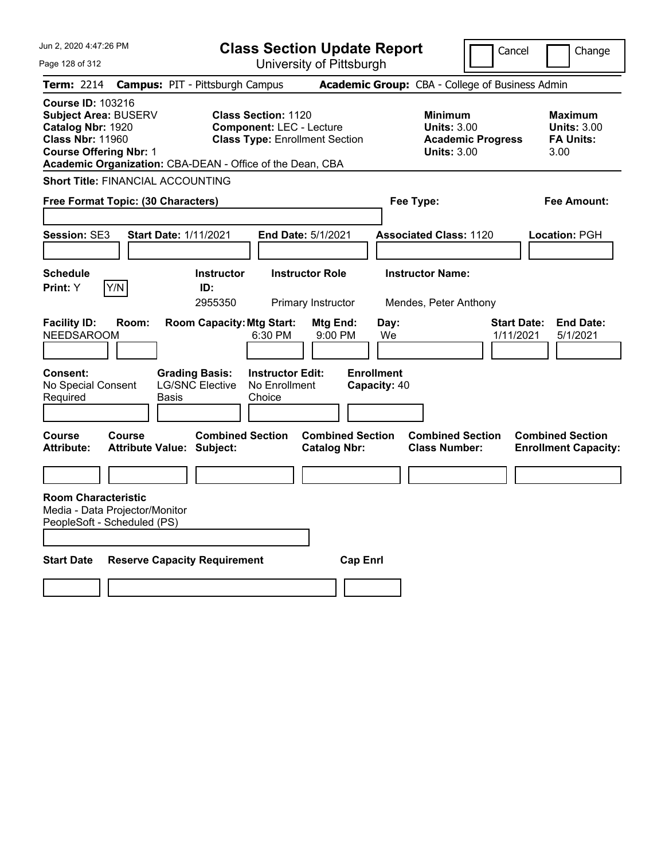| Jun 2, 2020 4:47:26 PM                                                                                                                                                                                | <b>Class Section Update Report</b>                                                                     |                                                                            | Cancel                          | Change                                                           |
|-------------------------------------------------------------------------------------------------------------------------------------------------------------------------------------------------------|--------------------------------------------------------------------------------------------------------|----------------------------------------------------------------------------|---------------------------------|------------------------------------------------------------------|
| Page 128 of 312                                                                                                                                                                                       | University of Pittsburgh                                                                               |                                                                            |                                 |                                                                  |
| Term: 2214                                                                                                                                                                                            | <b>Campus: PIT - Pittsburgh Campus</b>                                                                 | <b>Academic Group:</b> CBA - College of Business Admin                     |                                 |                                                                  |
| <b>Course ID: 103216</b><br><b>Subject Area: BUSERV</b><br>Catalog Nbr: 1920<br><b>Class Nbr: 11960</b><br><b>Course Offering Nbr: 1</b><br>Academic Organization: CBA-DEAN - Office of the Dean, CBA | <b>Class Section: 1120</b><br><b>Component: LEC - Lecture</b><br><b>Class Type: Enrollment Section</b> | <b>Minimum</b><br><b>Units: 3.00</b><br><b>Units: 3.00</b>                 | <b>Academic Progress</b>        | <b>Maximum</b><br><b>Units: 3.00</b><br><b>FA Units:</b><br>3.00 |
| <b>Short Title: FINANCIAL ACCOUNTING</b>                                                                                                                                                              |                                                                                                        |                                                                            |                                 |                                                                  |
| Free Format Topic: (30 Characters)                                                                                                                                                                    |                                                                                                        | Fee Type:                                                                  |                                 | Fee Amount:                                                      |
| <b>Session: SE3</b><br><b>Start Date: 1/11/2021</b>                                                                                                                                                   | End Date: 5/1/2021                                                                                     | <b>Associated Class: 1120</b>                                              |                                 | Location: PGH                                                    |
| <b>Schedule</b><br>Y/N<br>Print: Y                                                                                                                                                                    | <b>Instructor Role</b><br><b>Instructor</b><br>ID:<br>2955350<br>Primary Instructor                    | <b>Instructor Name:</b><br>Mendes, Peter Anthony                           |                                 |                                                                  |
| <b>Facility ID:</b><br>Room:<br><b>NEEDSAROOM</b>                                                                                                                                                     | <b>Room Capacity: Mtg Start:</b><br>Mtg End:<br>6:30 PM<br>9:00 PM                                     | Day:<br>We                                                                 | <b>Start Date:</b><br>1/11/2021 | <b>End Date:</b><br>5/1/2021                                     |
| <b>Grading Basis:</b><br><b>Consent:</b><br><b>LG/SNC Elective</b><br>No Special Consent<br>Required<br><b>Basis</b>                                                                                  | <b>Instructor Edit:</b><br>No Enrollment<br>Choice                                                     | <b>Enrollment</b><br>Capacity: 40                                          |                                 |                                                                  |
| Course<br><b>Course</b><br><b>Attribute:</b><br><b>Attribute Value: Subject:</b>                                                                                                                      | <b>Combined Section</b><br><b>Catalog Nbr:</b>                                                         | <b>Combined Section</b><br><b>Combined Section</b><br><b>Class Number:</b> |                                 | <b>Combined Section</b><br><b>Enrollment Capacity:</b>           |
|                                                                                                                                                                                                       |                                                                                                        |                                                                            |                                 |                                                                  |
| <b>Room Characteristic</b><br>Media - Data Projector/Monitor<br>PeopleSoft - Scheduled (PS)                                                                                                           |                                                                                                        |                                                                            |                                 |                                                                  |
| <b>Start Date</b><br><b>Reserve Capacity Requirement</b>                                                                                                                                              |                                                                                                        | <b>Cap Enrl</b>                                                            |                                 |                                                                  |
|                                                                                                                                                                                                       |                                                                                                        |                                                                            |                                 |                                                                  |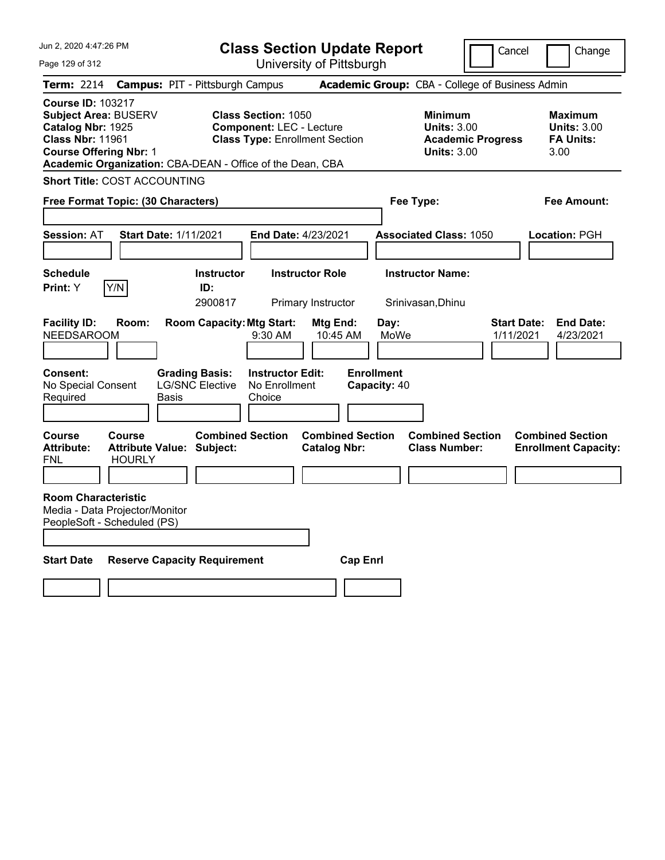| Jun 2. 2020 4:47:26 PM                                                                                                                   | <b>Class Section Update Report</b>                                                                                                                                  |                                                            | Cancel                          | Change                                                           |
|------------------------------------------------------------------------------------------------------------------------------------------|---------------------------------------------------------------------------------------------------------------------------------------------------------------------|------------------------------------------------------------|---------------------------------|------------------------------------------------------------------|
| Page 129 of 312                                                                                                                          | University of Pittsburgh                                                                                                                                            |                                                            |                                 |                                                                  |
| <b>Term: 2214</b>                                                                                                                        | <b>Campus: PIT - Pittsburgh Campus</b>                                                                                                                              | Academic Group: CBA - College of Business Admin            |                                 |                                                                  |
| <b>Course ID: 103217</b><br><b>Subject Area: BUSERV</b><br>Catalog Nbr: 1925<br><b>Class Nbr: 11961</b><br><b>Course Offering Nbr: 1</b> | <b>Class Section: 1050</b><br><b>Component: LEC - Lecture</b><br><b>Class Type: Enrollment Section</b><br>Academic Organization: CBA-DEAN - Office of the Dean, CBA | <b>Minimum</b><br><b>Units: 3.00</b><br><b>Units: 3.00</b> | <b>Academic Progress</b>        | <b>Maximum</b><br><b>Units: 3.00</b><br><b>FA Units:</b><br>3.00 |
| <b>Short Title: COST ACCOUNTING</b>                                                                                                      |                                                                                                                                                                     |                                                            |                                 |                                                                  |
| Free Format Topic: (30 Characters)                                                                                                       |                                                                                                                                                                     | Fee Type:                                                  |                                 | Fee Amount:                                                      |
| <b>Session: AT</b><br><b>Start Date: 1/11/2021</b>                                                                                       | End Date: 4/23/2021                                                                                                                                                 | <b>Associated Class: 1050</b>                              |                                 | Location: PGH                                                    |
| <b>Schedule</b><br>Y/N<br>Print: Y                                                                                                       | <b>Instructor</b><br><b>Instructor Role</b><br>ID:<br>2900817<br>Primary Instructor                                                                                 | <b>Instructor Name:</b><br>Srinivasan, Dhinu               |                                 |                                                                  |
| <b>Facility ID:</b><br>Room:<br><b>NEEDSAROOM</b>                                                                                        | <b>Room Capacity: Mtg Start:</b><br>9:30 AM                                                                                                                         | Mtg End:<br>Day:<br>MoWe<br>10:45 AM                       | <b>Start Date:</b><br>1/11/2021 | <b>End Date:</b><br>4/23/2021                                    |
| Consent:<br>No Special Consent<br>Required<br>Basis                                                                                      | <b>Grading Basis:</b><br><b>Instructor Edit:</b><br><b>LG/SNC Elective</b><br>No Enrollment<br>Choice                                                               | <b>Enrollment</b><br>Capacity: 40                          |                                 |                                                                  |
| <b>Course</b><br><b>Course</b><br><b>Attribute:</b><br><b>Attribute Value: Subject:</b><br><b>HOURLY</b><br>FNL                          | <b>Combined Section</b><br><b>Catalog Nbr:</b>                                                                                                                      | <b>Combined Section</b><br><b>Class Number:</b>            | <b>Combined Section</b>         | <b>Combined Section</b><br><b>Enrollment Capacity:</b>           |
| <b>Room Characteristic</b><br>Media - Data Projector/Monitor<br>PeopleSoft - Scheduled (PS)                                              |                                                                                                                                                                     |                                                            |                                 |                                                                  |
| <b>Start Date</b>                                                                                                                        | <b>Reserve Capacity Requirement</b>                                                                                                                                 | <b>Cap Enri</b>                                            |                                 |                                                                  |
|                                                                                                                                          |                                                                                                                                                                     |                                                            |                                 |                                                                  |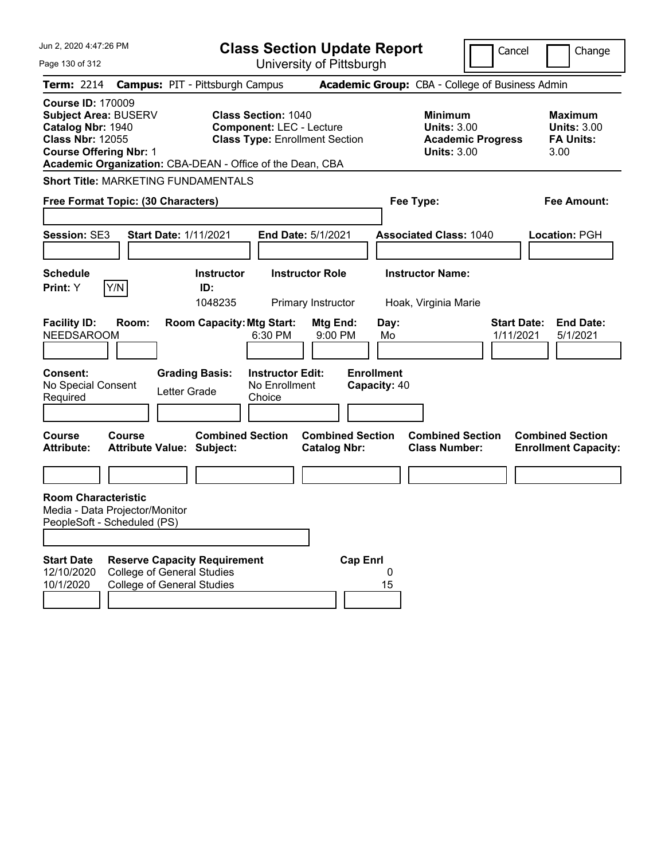| Jun 2, 2020 4:47:26 PM                                                                                                                                                                         |                                                                                                               | <b>Class Section Update Report</b>                                       |                                                            | Cancel                          | Change                                                           |
|------------------------------------------------------------------------------------------------------------------------------------------------------------------------------------------------|---------------------------------------------------------------------------------------------------------------|--------------------------------------------------------------------------|------------------------------------------------------------|---------------------------------|------------------------------------------------------------------|
| Page 130 of 312                                                                                                                                                                                |                                                                                                               | University of Pittsburgh                                                 |                                                            |                                 |                                                                  |
| <b>Term: 2214</b>                                                                                                                                                                              | <b>Campus: PIT - Pittsburgh Campus</b>                                                                        |                                                                          | Academic Group: CBA - College of Business Admin            |                                 |                                                                  |
| <b>Course ID: 170009</b><br>Subject Area: BUSERV<br>Catalog Nbr: 1940<br><b>Class Nbr: 12055</b><br><b>Course Offering Nbr: 1</b><br>Academic Organization: CBA-DEAN - Office of the Dean, CBA | <b>Class Section: 1040</b>                                                                                    | <b>Component: LEC - Lecture</b><br><b>Class Type: Enrollment Section</b> | <b>Minimum</b><br><b>Units: 3.00</b><br><b>Units: 3.00</b> | <b>Academic Progress</b>        | <b>Maximum</b><br><b>Units: 3.00</b><br><b>FA Units:</b><br>3.00 |
| <b>Short Title: MARKETING FUNDAMENTALS</b>                                                                                                                                                     |                                                                                                               |                                                                          |                                                            |                                 |                                                                  |
| Free Format Topic: (30 Characters)                                                                                                                                                             |                                                                                                               |                                                                          | Fee Type:                                                  |                                 | <b>Fee Amount:</b>                                               |
| <b>Session: SE3</b>                                                                                                                                                                            | <b>Start Date: 1/11/2021</b>                                                                                  | <b>End Date: 5/1/2021</b>                                                | <b>Associated Class: 1040</b>                              |                                 | Location: PGH                                                    |
| <b>Schedule</b>                                                                                                                                                                                | <b>Instructor</b>                                                                                             | <b>Instructor Role</b>                                                   | <b>Instructor Name:</b>                                    |                                 |                                                                  |
| Y/N<br>Print: Y                                                                                                                                                                                | ID:<br>1048235                                                                                                | Primary Instructor                                                       | Hoak, Virginia Marie                                       |                                 |                                                                  |
| <b>Facility ID:</b><br>Room:<br><b>NEEDSAROOM</b><br><b>Consent:</b><br>No Special Consent<br>Required                                                                                         | <b>Room Capacity: Mtg Start:</b><br>6:30 PM<br><b>Grading Basis:</b><br>Letter Grade<br>Choice                | Mtg End:<br>9:00 PM<br><b>Instructor Edit:</b><br>No Enrollment          | Day:<br>Mo<br><b>Enrollment</b><br>Capacity: 40            | <b>Start Date:</b><br>1/11/2021 | <b>End Date:</b><br>5/1/2021                                     |
| <b>Course</b><br>Course<br><b>Attribute:</b>                                                                                                                                                   | <b>Combined Section</b><br><b>Attribute Value: Subject:</b>                                                   | <b>Combined Section</b><br><b>Catalog Nbr:</b>                           | <b>Combined Section</b><br><b>Class Number:</b>            |                                 | <b>Combined Section</b><br><b>Enrollment Capacity:</b>           |
|                                                                                                                                                                                                |                                                                                                               |                                                                          |                                                            |                                 |                                                                  |
| <b>Room Characteristic</b><br>Media - Data Projector/Monitor<br>PeopleSoft - Scheduled (PS)<br><b>Start Date</b><br>12/10/2020<br>10/1/2020                                                    | <b>Reserve Capacity Requirement</b><br><b>College of General Studies</b><br><b>College of General Studies</b> | <b>Cap Enrl</b>                                                          | 0<br>15                                                    |                                 |                                                                  |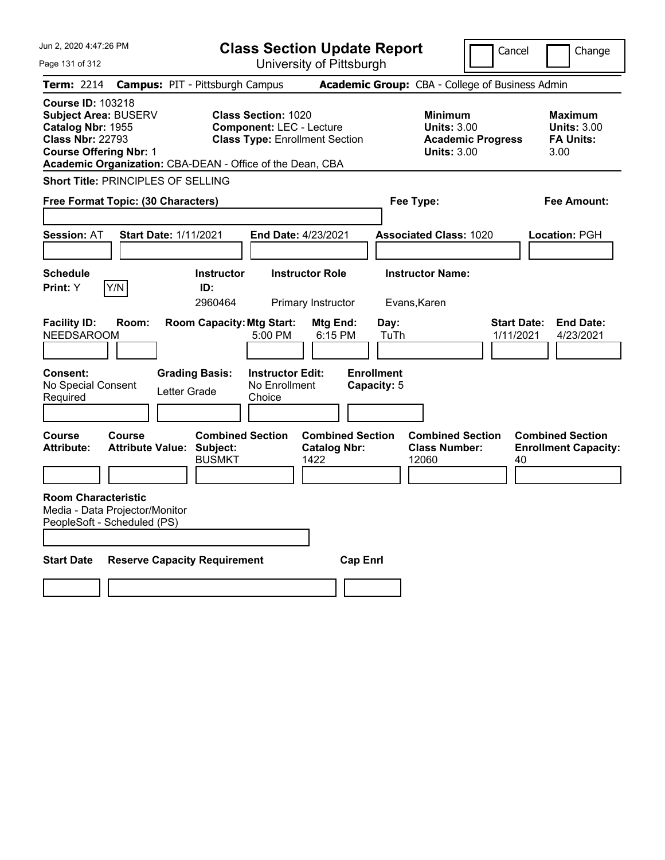| Jun 2, 2020 4:47:26 PM                                                                                                                                                                                |                                                                                                | <b>Class Section Update Report</b>                                       |                                                            | Cancel                          | Change                                                           |
|-------------------------------------------------------------------------------------------------------------------------------------------------------------------------------------------------------|------------------------------------------------------------------------------------------------|--------------------------------------------------------------------------|------------------------------------------------------------|---------------------------------|------------------------------------------------------------------|
| Page 131 of 312                                                                                                                                                                                       |                                                                                                | University of Pittsburgh                                                 |                                                            |                                 |                                                                  |
| <b>Term: 2214</b>                                                                                                                                                                                     | <b>Campus: PIT - Pittsburgh Campus</b>                                                         |                                                                          | Academic Group: CBA - College of Business Admin            |                                 |                                                                  |
| <b>Course ID: 103218</b><br><b>Subject Area: BUSERV</b><br>Catalog Nbr: 1955<br><b>Class Nbr: 22793</b><br><b>Course Offering Nbr: 1</b><br>Academic Organization: CBA-DEAN - Office of the Dean, CBA | <b>Class Section: 1020</b>                                                                     | <b>Component: LEC - Lecture</b><br><b>Class Type: Enrollment Section</b> | <b>Minimum</b><br><b>Units: 3.00</b><br><b>Units: 3.00</b> | <b>Academic Progress</b>        | <b>Maximum</b><br><b>Units: 3.00</b><br><b>FA Units:</b><br>3.00 |
| <b>Short Title: PRINCIPLES OF SELLING</b>                                                                                                                                                             |                                                                                                |                                                                          |                                                            |                                 |                                                                  |
| Free Format Topic: (30 Characters)                                                                                                                                                                    |                                                                                                |                                                                          | Fee Type:                                                  |                                 | Fee Amount:                                                      |
|                                                                                                                                                                                                       |                                                                                                |                                                                          |                                                            |                                 |                                                                  |
| <b>Session: AT</b>                                                                                                                                                                                    | <b>Start Date: 1/11/2021</b>                                                                   | <b>End Date: 4/23/2021</b>                                               | <b>Associated Class: 1020</b>                              |                                 | Location: PGH                                                    |
|                                                                                                                                                                                                       |                                                                                                |                                                                          |                                                            |                                 |                                                                  |
| <b>Schedule</b>                                                                                                                                                                                       | <b>Instructor</b>                                                                              | <b>Instructor Role</b>                                                   | <b>Instructor Name:</b>                                    |                                 |                                                                  |
| Y/N<br><b>Print:</b> Y                                                                                                                                                                                | ID:<br>2960464                                                                                 | Primary Instructor                                                       | Evans, Karen                                               |                                 |                                                                  |
| <b>Facility ID:</b><br>Room:<br><b>NEEDSAROOM</b><br><b>Consent:</b><br>No Special Consent<br>Required                                                                                                | <b>Room Capacity: Mtg Start:</b><br>5:00 PM<br><b>Grading Basis:</b><br>Letter Grade<br>Choice | Mtg End:<br>6:15 PM<br><b>Instructor Edit:</b><br>No Enrollment          | Day:<br>TuTh<br><b>Enrollment</b><br>Capacity: 5           | <b>Start Date:</b><br>1/11/2021 | <b>End Date:</b><br>4/23/2021                                    |
| <b>Course</b><br>Course<br><b>Attribute:</b>                                                                                                                                                          | <b>Combined Section</b><br><b>Attribute Value: Subject:</b><br><b>BUSMKT</b>                   | <b>Combined Section</b><br><b>Catalog Nbr:</b><br>1422                   | <b>Combined Section</b><br><b>Class Number:</b><br>12060   | 40                              | <b>Combined Section</b><br><b>Enrollment Capacity:</b>           |
| <b>Room Characteristic</b><br>Media - Data Projector/Monitor<br>PeopleSoft - Scheduled (PS)                                                                                                           |                                                                                                |                                                                          |                                                            |                                 |                                                                  |
| <b>Start Date</b>                                                                                                                                                                                     | <b>Reserve Capacity Requirement</b>                                                            | <b>Cap Enri</b>                                                          |                                                            |                                 |                                                                  |
|                                                                                                                                                                                                       |                                                                                                |                                                                          |                                                            |                                 |                                                                  |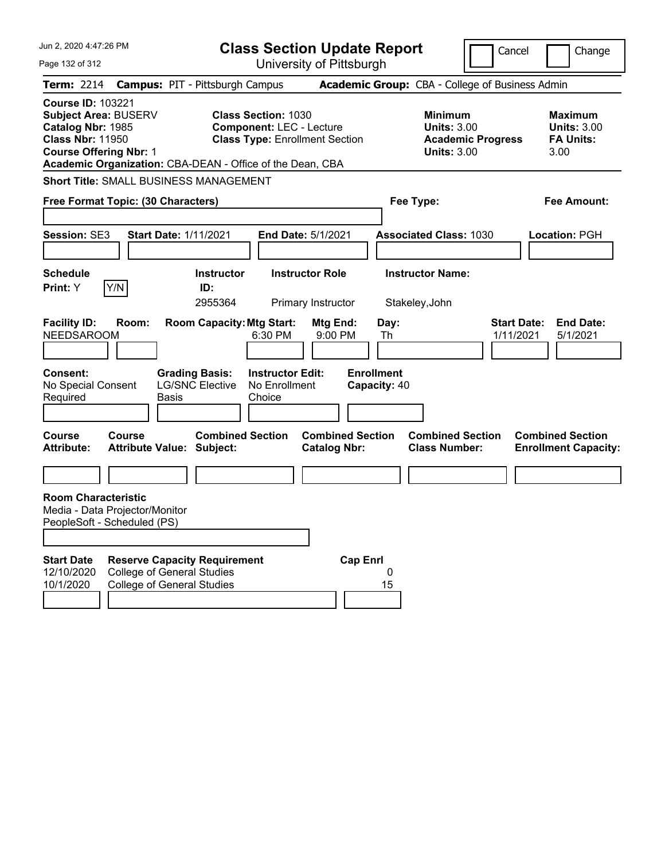| Jun 2, 2020 4:47:26 PM                                                                                                                      | <b>Class Section Update Report</b>                                                                                                                                  |                                                                        | Cancel                                                                                 | Change                                                           |
|---------------------------------------------------------------------------------------------------------------------------------------------|---------------------------------------------------------------------------------------------------------------------------------------------------------------------|------------------------------------------------------------------------|----------------------------------------------------------------------------------------|------------------------------------------------------------------|
| Page 132 of 312                                                                                                                             |                                                                                                                                                                     | University of Pittsburgh                                               |                                                                                        |                                                                  |
| <b>Term: 2214</b>                                                                                                                           | <b>Campus: PIT - Pittsburgh Campus</b>                                                                                                                              |                                                                        | Academic Group: CBA - College of Business Admin                                        |                                                                  |
| <b>Course ID: 103221</b><br>Subject Area: BUSERV<br>Catalog Nbr: 1985<br><b>Class Nbr: 11950</b><br><b>Course Offering Nbr: 1</b>           | <b>Class Section: 1030</b><br><b>Component: LEC - Lecture</b><br><b>Class Type: Enrollment Section</b><br>Academic Organization: CBA-DEAN - Office of the Dean, CBA |                                                                        | <b>Minimum</b><br><b>Units: 3.00</b><br><b>Academic Progress</b><br><b>Units: 3.00</b> | <b>Maximum</b><br><b>Units: 3.00</b><br><b>FA Units:</b><br>3.00 |
| <b>Short Title: SMALL BUSINESS MANAGEMENT</b>                                                                                               |                                                                                                                                                                     |                                                                        |                                                                                        |                                                                  |
| Free Format Topic: (30 Characters)                                                                                                          |                                                                                                                                                                     |                                                                        | Fee Type:                                                                              | <b>Fee Amount:</b>                                               |
| <b>Session: SE3</b>                                                                                                                         | <b>Start Date: 1/11/2021</b><br><b>End Date: 5/1/2021</b>                                                                                                           |                                                                        | <b>Associated Class: 1030</b>                                                          | <b>Location: PGH</b>                                             |
| <b>Schedule</b>                                                                                                                             | <b>Instructor</b><br><b>Instructor Role</b>                                                                                                                         |                                                                        | <b>Instructor Name:</b>                                                                |                                                                  |
| Y/N<br><b>Print:</b> Y                                                                                                                      | ID:<br>2955364<br>Primary Instructor                                                                                                                                |                                                                        | Stakeley, John                                                                         |                                                                  |
| <b>Facility ID:</b><br>Room:<br><b>NEEDSAROOM</b><br><b>Consent:</b><br>No Special Consent<br>Required                                      | <b>Room Capacity: Mtg Start:</b><br>6:30 PM<br><b>Grading Basis:</b><br><b>Instructor Edit:</b><br><b>LG/SNC Elective</b><br>No Enrollment<br>Basis<br>Choice       | Mtg End:<br>Day:<br>9:00 PM<br>Th<br><b>Enrollment</b><br>Capacity: 40 | 1/11/2021                                                                              | <b>Start Date:</b><br><b>End Date:</b><br>5/1/2021               |
| <b>Course</b><br>Course<br><b>Attribute:</b>                                                                                                | <b>Combined Section</b><br><b>Attribute Value: Subject:</b>                                                                                                         | <b>Combined Section</b><br><b>Catalog Nbr:</b>                         | <b>Combined Section</b><br><b>Class Number:</b>                                        | <b>Combined Section</b><br><b>Enrollment Capacity:</b>           |
|                                                                                                                                             |                                                                                                                                                                     |                                                                        |                                                                                        |                                                                  |
| <b>Room Characteristic</b><br>Media - Data Projector/Monitor<br>PeopleSoft - Scheduled (PS)<br><b>Start Date</b><br>12/10/2020<br>10/1/2020 | <b>Reserve Capacity Requirement</b><br><b>College of General Studies</b><br><b>College of General Studies</b>                                                       | <b>Cap Enrl</b><br>0<br>15                                             |                                                                                        |                                                                  |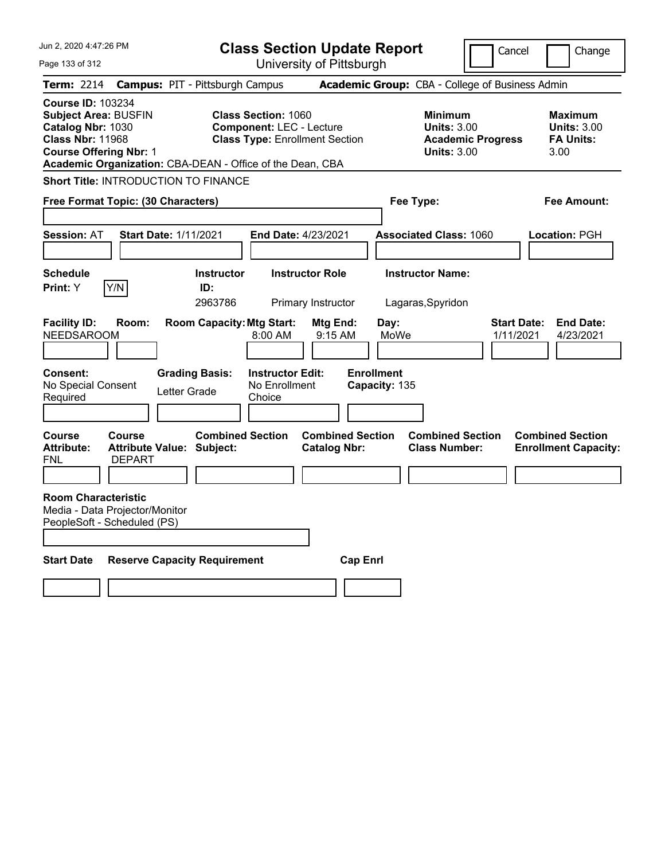| Jun 2, 2020 4:47:26 PM                                                                                                                   | <b>Class Section Update Report</b>                                                                                                                                  |                                                            | Cancel                          | Change                                                           |
|------------------------------------------------------------------------------------------------------------------------------------------|---------------------------------------------------------------------------------------------------------------------------------------------------------------------|------------------------------------------------------------|---------------------------------|------------------------------------------------------------------|
| Page 133 of 312                                                                                                                          | University of Pittsburgh                                                                                                                                            |                                                            |                                 |                                                                  |
| <b>Term: 2214</b>                                                                                                                        | <b>Campus: PIT - Pittsburgh Campus</b>                                                                                                                              | Academic Group: CBA - College of Business Admin            |                                 |                                                                  |
| <b>Course ID: 103234</b><br><b>Subject Area: BUSFIN</b><br>Catalog Nbr: 1030<br><b>Class Nbr: 11968</b><br><b>Course Offering Nbr: 1</b> | <b>Class Section: 1060</b><br><b>Component: LEC - Lecture</b><br><b>Class Type: Enrollment Section</b><br>Academic Organization: CBA-DEAN - Office of the Dean, CBA | <b>Minimum</b><br><b>Units: 3.00</b><br><b>Units: 3.00</b> | <b>Academic Progress</b>        | <b>Maximum</b><br><b>Units: 3.00</b><br><b>FA Units:</b><br>3.00 |
| Short Title: INTRODUCTION TO FINANCE                                                                                                     |                                                                                                                                                                     |                                                            |                                 |                                                                  |
| Free Format Topic: (30 Characters)                                                                                                       |                                                                                                                                                                     | Fee Type:                                                  |                                 | Fee Amount:                                                      |
| <b>Session: AT</b><br><b>Start Date: 1/11/2021</b>                                                                                       | End Date: 4/23/2021                                                                                                                                                 | <b>Associated Class: 1060</b>                              |                                 | Location: PGH                                                    |
| <b>Schedule</b><br>Y/N<br>Print: Y                                                                                                       | <b>Instructor</b><br><b>Instructor Role</b><br>ID:<br>2963786<br>Primary Instructor                                                                                 | <b>Instructor Name:</b><br>Lagaras, Spyridon               |                                 |                                                                  |
| <b>Facility ID:</b><br>Room:<br><b>NEEDSAROOM</b>                                                                                        | <b>Room Capacity: Mtg Start:</b><br>Mtg End:<br>8:00 AM                                                                                                             | Day:<br>MoWe<br>9:15 AM                                    | <b>Start Date:</b><br>1/11/2021 | <b>End Date:</b><br>4/23/2021                                    |
| Consent:<br>No Special Consent<br>Required                                                                                               | <b>Grading Basis:</b><br><b>Instructor Edit:</b><br>No Enrollment<br>Letter Grade<br>Choice                                                                         | <b>Enrollment</b><br>Capacity: 135                         |                                 |                                                                  |
| <b>Course</b><br><b>Course</b><br><b>Attribute:</b><br><b>Attribute Value: Subject:</b><br><b>DEPART</b><br>FNL                          | <b>Combined Section</b><br><b>Catalog Nbr:</b>                                                                                                                      | <b>Combined Section</b><br><b>Class Number:</b>            | <b>Combined Section</b>         | <b>Combined Section</b><br><b>Enrollment Capacity:</b>           |
| <b>Room Characteristic</b><br>Media - Data Projector/Monitor<br>PeopleSoft - Scheduled (PS)                                              |                                                                                                                                                                     |                                                            |                                 |                                                                  |
| <b>Start Date</b>                                                                                                                        | <b>Reserve Capacity Requirement</b>                                                                                                                                 | <b>Cap Enri</b>                                            |                                 |                                                                  |
|                                                                                                                                          |                                                                                                                                                                     |                                                            |                                 |                                                                  |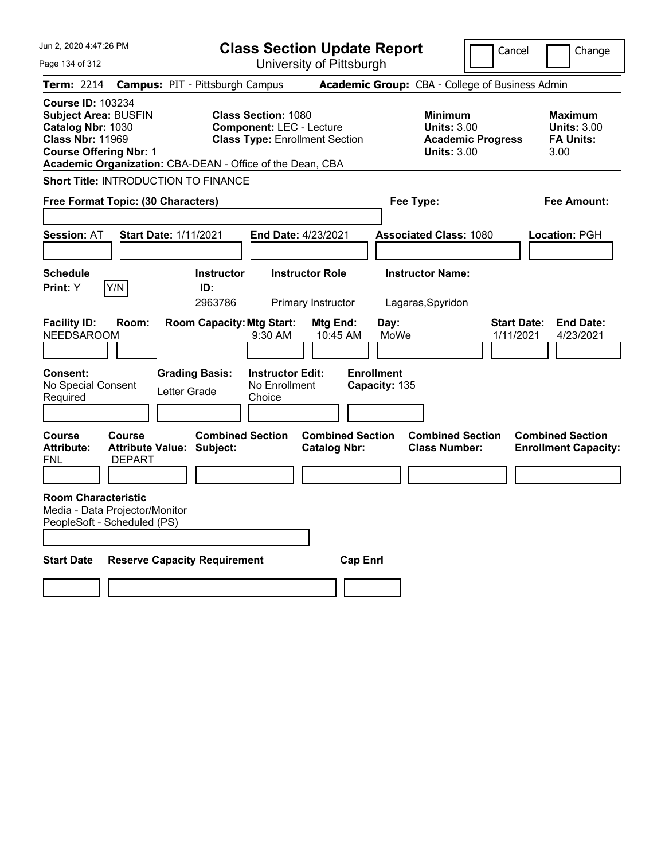| Jun 2. 2020 4:47:26 PM                                                                                                                   | <b>Class Section Update Report</b>                                                                                                                                  |                                                            | Cancel                          | Change                                                           |
|------------------------------------------------------------------------------------------------------------------------------------------|---------------------------------------------------------------------------------------------------------------------------------------------------------------------|------------------------------------------------------------|---------------------------------|------------------------------------------------------------------|
| Page 134 of 312                                                                                                                          | University of Pittsburgh                                                                                                                                            |                                                            |                                 |                                                                  |
| <b>Term: 2214</b>                                                                                                                        | <b>Campus: PIT - Pittsburgh Campus</b>                                                                                                                              | Academic Group: CBA - College of Business Admin            |                                 |                                                                  |
| <b>Course ID: 103234</b><br><b>Subject Area: BUSFIN</b><br>Catalog Nbr: 1030<br><b>Class Nbr: 11969</b><br><b>Course Offering Nbr: 1</b> | <b>Class Section: 1080</b><br><b>Component: LEC - Lecture</b><br><b>Class Type: Enrollment Section</b><br>Academic Organization: CBA-DEAN - Office of the Dean, CBA | <b>Minimum</b><br><b>Units: 3.00</b><br><b>Units: 3.00</b> | <b>Academic Progress</b>        | <b>Maximum</b><br><b>Units: 3.00</b><br><b>FA Units:</b><br>3.00 |
| Short Title: INTRODUCTION TO FINANCE                                                                                                     |                                                                                                                                                                     |                                                            |                                 |                                                                  |
| Free Format Topic: (30 Characters)                                                                                                       |                                                                                                                                                                     | Fee Type:                                                  |                                 | Fee Amount:                                                      |
| <b>Session: AT</b><br><b>Start Date: 1/11/2021</b>                                                                                       | End Date: 4/23/2021                                                                                                                                                 | <b>Associated Class: 1080</b>                              |                                 | Location: PGH                                                    |
| <b>Schedule</b><br>Y/N<br>Print: Y                                                                                                       | <b>Instructor</b><br><b>Instructor Role</b><br>ID:<br>2963786<br>Primary Instructor                                                                                 | <b>Instructor Name:</b><br>Lagaras, Spyridon               |                                 |                                                                  |
| <b>Facility ID:</b><br>Room:<br><b>NEEDSAROOM</b><br>Consent:                                                                            | <b>Room Capacity: Mtg Start:</b><br>Mtg End:<br>9:30 AM<br><b>Grading Basis:</b><br><b>Instructor Edit:</b>                                                         | Day:<br>MoWe<br>10:45 AM<br><b>Enrollment</b>              | <b>Start Date:</b><br>1/11/2021 | <b>End Date:</b><br>4/23/2021                                    |
| No Special Consent<br>Required                                                                                                           | No Enrollment<br>Letter Grade<br>Choice                                                                                                                             | Capacity: 135                                              |                                 |                                                                  |
| <b>Course</b><br><b>Course</b><br><b>Attribute:</b><br><b>Attribute Value: Subject:</b><br><b>DEPART</b><br>FNL                          | <b>Combined Section</b><br><b>Catalog Nbr:</b>                                                                                                                      | <b>Combined Section</b><br><b>Class Number:</b>            | <b>Combined Section</b>         | <b>Combined Section</b><br><b>Enrollment Capacity:</b>           |
| <b>Room Characteristic</b><br>Media - Data Projector/Monitor<br>PeopleSoft - Scheduled (PS)                                              |                                                                                                                                                                     |                                                            |                                 |                                                                  |
| <b>Start Date</b><br><b>Reserve Capacity Requirement</b>                                                                                 |                                                                                                                                                                     | <b>Cap Enri</b>                                            |                                 |                                                                  |
|                                                                                                                                          |                                                                                                                                                                     |                                                            |                                 |                                                                  |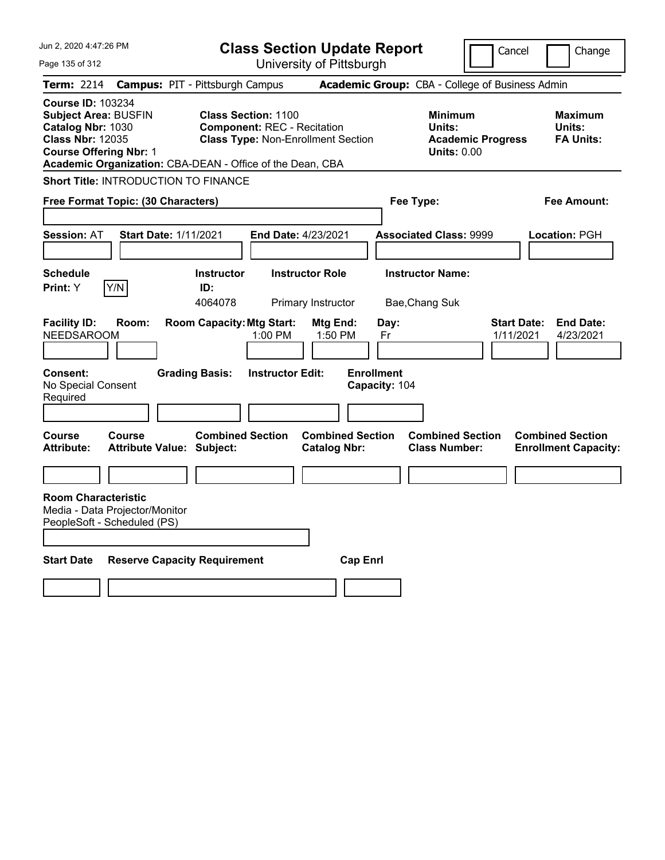| Jun 2, 2020 4:47:26 PM<br>Page 135 of 312                                                                                                | <b>Class Section Update Report</b><br>University of Pittsburgh                                                                                                             |                                                        | Cancel                                                                     | Change                                                           |
|------------------------------------------------------------------------------------------------------------------------------------------|----------------------------------------------------------------------------------------------------------------------------------------------------------------------------|--------------------------------------------------------|----------------------------------------------------------------------------|------------------------------------------------------------------|
| <b>Term: 2214</b>                                                                                                                        | <b>Campus: PIT - Pittsburgh Campus</b>                                                                                                                                     |                                                        | Academic Group: CBA - College of Business Admin                            |                                                                  |
| <b>Course ID: 103234</b><br><b>Subject Area: BUSFIN</b><br>Catalog Nbr: 1030<br><b>Class Nbr: 12035</b><br><b>Course Offering Nbr: 1</b> | <b>Class Section: 1100</b><br><b>Component: REC - Recitation</b><br><b>Class Type: Non-Enrollment Section</b><br>Academic Organization: CBA-DEAN - Office of the Dean, CBA |                                                        | <b>Minimum</b><br>Units:<br><b>Academic Progress</b><br><b>Units: 0.00</b> | <b>Maximum</b><br>Units:<br><b>FA Units:</b>                     |
| Short Title: INTRODUCTION TO FINANCE                                                                                                     |                                                                                                                                                                            |                                                        |                                                                            |                                                                  |
| Free Format Topic: (30 Characters)                                                                                                       |                                                                                                                                                                            |                                                        | Fee Type:                                                                  | Fee Amount:                                                      |
| <b>Session: AT</b><br><b>Start Date: 1/11/2021</b>                                                                                       | <b>End Date: 4/23/2021</b>                                                                                                                                                 |                                                        | <b>Associated Class: 9999</b>                                              | Location: PGH                                                    |
| <b>Schedule</b><br> Y/N <br>Print: Y                                                                                                     | <b>Instructor Role</b><br><b>Instructor</b><br>ID:<br>4064078<br>Primary Instructor                                                                                        |                                                        | <b>Instructor Name:</b><br>Bae, Chang Suk                                  |                                                                  |
| <b>Facility ID:</b><br>Room:<br><b>NEEDSAROOM</b><br><b>Consent:</b>                                                                     | <b>Room Capacity: Mtg Start:</b><br>1:00 PM<br><b>Grading Basis:</b><br><b>Instructor Edit:</b>                                                                            | Mtg End:<br>Day:<br>1:50 PM<br>Fr<br><b>Enrollment</b> |                                                                            | <b>End Date:</b><br><b>Start Date:</b><br>1/11/2021<br>4/23/2021 |
| No Special Consent<br>Required                                                                                                           |                                                                                                                                                                            | Capacity: 104                                          |                                                                            |                                                                  |
| <b>Course</b><br>Course<br><b>Attribute:</b><br><b>Attribute Value: Subject:</b>                                                         | <b>Combined Section</b>                                                                                                                                                    | <b>Combined Section</b><br><b>Catalog Nbr:</b>         | <b>Combined Section</b><br><b>Class Number:</b>                            | <b>Combined Section</b><br><b>Enrollment Capacity:</b>           |
|                                                                                                                                          |                                                                                                                                                                            |                                                        |                                                                            |                                                                  |
| <b>Room Characteristic</b><br>Media - Data Projector/Monitor<br>PeopleSoft - Scheduled (PS)                                              |                                                                                                                                                                            |                                                        |                                                                            |                                                                  |
| <b>Start Date</b>                                                                                                                        | <b>Reserve Capacity Requirement</b>                                                                                                                                        | <b>Cap Enrl</b>                                        |                                                                            |                                                                  |
|                                                                                                                                          |                                                                                                                                                                            |                                                        |                                                                            |                                                                  |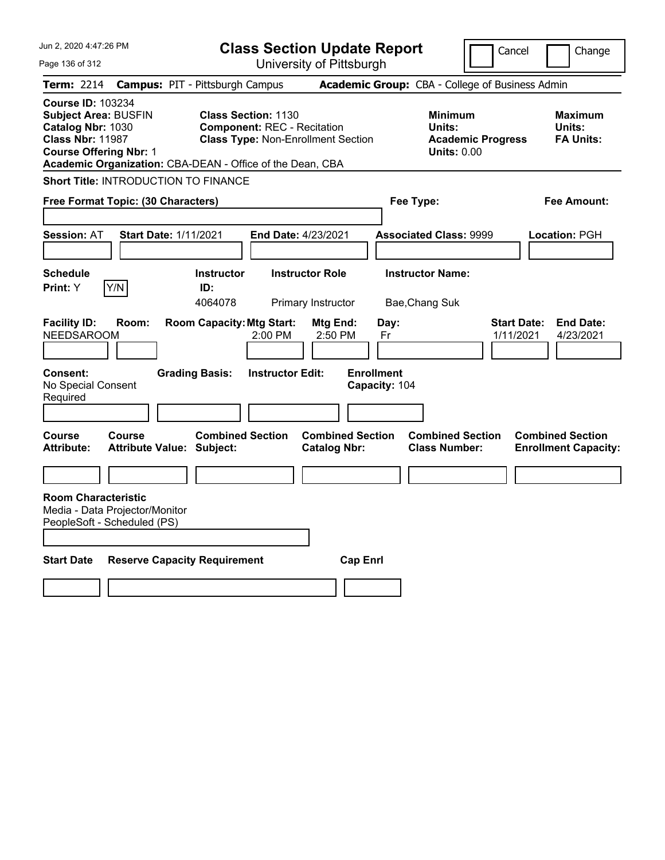| Jun 2, 2020 4:47:26 PM<br>Page 136 of 312                                                                                                                                                             | <b>Class Section Update Report</b><br>University of Pittsburgh                                                |                                                                            | Cancel<br>Change                                                 |
|-------------------------------------------------------------------------------------------------------------------------------------------------------------------------------------------------------|---------------------------------------------------------------------------------------------------------------|----------------------------------------------------------------------------|------------------------------------------------------------------|
| <b>Term: 2214</b><br><b>Campus: PIT - Pittsburgh Campus</b>                                                                                                                                           |                                                                                                               | Academic Group: CBA - College of Business Admin                            |                                                                  |
| <b>Course ID: 103234</b><br><b>Subject Area: BUSFIN</b><br>Catalog Nbr: 1030<br><b>Class Nbr: 11987</b><br><b>Course Offering Nbr: 1</b><br>Academic Organization: CBA-DEAN - Office of the Dean, CBA | <b>Class Section: 1130</b><br><b>Component: REC - Recitation</b><br><b>Class Type: Non-Enrollment Section</b> | <b>Minimum</b><br>Units:<br><b>Academic Progress</b><br><b>Units: 0.00</b> | <b>Maximum</b><br>Units:<br><b>FA Units:</b>                     |
| Short Title: INTRODUCTION TO FINANCE                                                                                                                                                                  |                                                                                                               |                                                                            |                                                                  |
| Free Format Topic: (30 Characters)                                                                                                                                                                    |                                                                                                               | Fee Type:                                                                  | Fee Amount:                                                      |
| <b>Session: AT</b><br><b>Start Date: 1/11/2021</b>                                                                                                                                                    | <b>End Date: 4/23/2021</b>                                                                                    | <b>Associated Class: 9999</b>                                              | Location: PGH                                                    |
| <b>Schedule</b><br> Y/N <br>Print: Y                                                                                                                                                                  | <b>Instructor Role</b><br><b>Instructor</b><br>ID:<br>4064078<br>Primary Instructor                           | <b>Instructor Name:</b><br>Bae, Chang Suk                                  |                                                                  |
| <b>Facility ID:</b><br>Room:<br><b>NEEDSAROOM</b><br><b>Consent:</b><br><b>Grading Basis:</b>                                                                                                         | <b>Room Capacity: Mtg Start:</b><br>Mtg End:<br>2:50 PM<br>2:00 PM<br><b>Instructor Edit:</b>                 | Day:<br>Fr<br><b>Enrollment</b>                                            | <b>End Date:</b><br><b>Start Date:</b><br>1/11/2021<br>4/23/2021 |
| No Special Consent<br>Required                                                                                                                                                                        |                                                                                                               | Capacity: 104                                                              |                                                                  |
| <b>Course</b><br>Course<br><b>Attribute:</b><br><b>Attribute Value: Subject:</b>                                                                                                                      | <b>Combined Section</b><br><b>Combined Section</b><br><b>Catalog Nbr:</b>                                     | <b>Combined Section</b><br><b>Class Number:</b>                            | <b>Combined Section</b><br><b>Enrollment Capacity:</b>           |
|                                                                                                                                                                                                       |                                                                                                               |                                                                            |                                                                  |
| <b>Room Characteristic</b><br>Media - Data Projector/Monitor<br>PeopleSoft - Scheduled (PS)                                                                                                           |                                                                                                               |                                                                            |                                                                  |
| <b>Start Date</b><br><b>Reserve Capacity Requirement</b>                                                                                                                                              | <b>Cap Enrl</b>                                                                                               |                                                                            |                                                                  |
|                                                                                                                                                                                                       |                                                                                                               |                                                                            |                                                                  |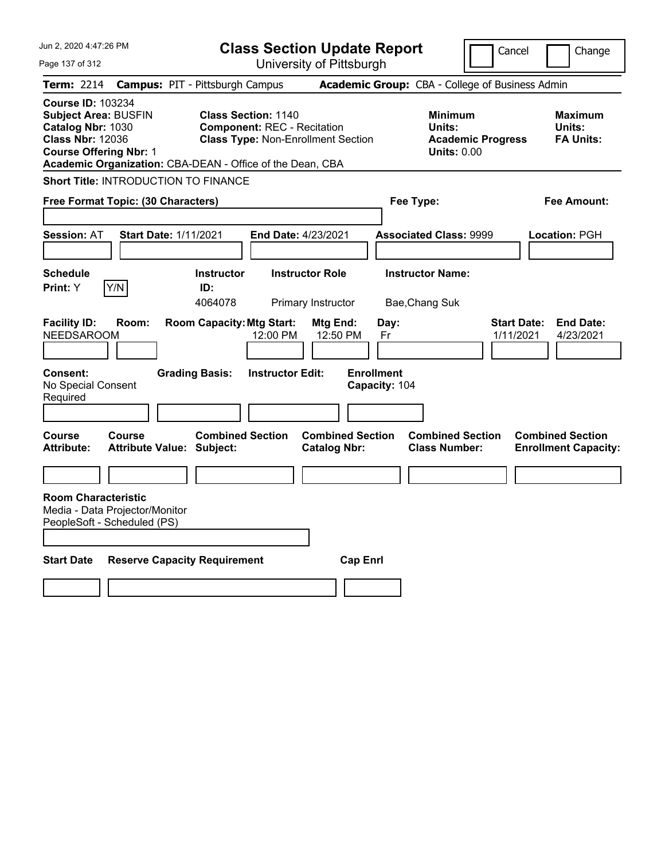| Jun 2, 2020 4:47:26 PM<br>Page 137 of 312                                                                                                                                                             | <b>Class Section Update Report</b><br>University of Pittsburgh                                                |                                                                            | Cancel<br>Change                                                 |
|-------------------------------------------------------------------------------------------------------------------------------------------------------------------------------------------------------|---------------------------------------------------------------------------------------------------------------|----------------------------------------------------------------------------|------------------------------------------------------------------|
| <b>Term: 2214</b><br><b>Campus: PIT - Pittsburgh Campus</b>                                                                                                                                           |                                                                                                               | Academic Group: CBA - College of Business Admin                            |                                                                  |
| <b>Course ID: 103234</b><br><b>Subject Area: BUSFIN</b><br>Catalog Nbr: 1030<br><b>Class Nbr: 12036</b><br><b>Course Offering Nbr: 1</b><br>Academic Organization: CBA-DEAN - Office of the Dean, CBA | <b>Class Section: 1140</b><br><b>Component: REC - Recitation</b><br><b>Class Type: Non-Enrollment Section</b> | <b>Minimum</b><br>Units:<br><b>Academic Progress</b><br><b>Units: 0.00</b> | <b>Maximum</b><br>Units:<br><b>FA Units:</b>                     |
| Short Title: INTRODUCTION TO FINANCE                                                                                                                                                                  |                                                                                                               |                                                                            |                                                                  |
| Free Format Topic: (30 Characters)                                                                                                                                                                    |                                                                                                               | Fee Type:                                                                  | Fee Amount:                                                      |
| <b>Session: AT</b><br><b>Start Date: 1/11/2021</b>                                                                                                                                                    | <b>End Date: 4/23/2021</b>                                                                                    | <b>Associated Class: 9999</b>                                              | Location: PGH                                                    |
| <b>Schedule</b><br>Print: Y<br>Y/N                                                                                                                                                                    | Instructor<br><b>Instructor Role</b><br>ID:<br>4064078<br>Primary Instructor                                  | <b>Instructor Name:</b><br>Bae, Chang Suk                                  |                                                                  |
| <b>Facility ID:</b><br>Room:<br><b>NEEDSAROOM</b><br>Consent:<br><b>Grading Basis:</b><br>No Special Consent                                                                                          | <b>Room Capacity: Mtg Start:</b><br>Mtg End:<br>12:50 PM<br>12:00 PM<br><b>Instructor Edit:</b>               | Day:<br>Fr<br><b>Enrollment</b><br>Capacity: 104                           | <b>End Date:</b><br><b>Start Date:</b><br>1/11/2021<br>4/23/2021 |
| Required                                                                                                                                                                                              |                                                                                                               |                                                                            |                                                                  |
| Course<br>Course<br><b>Attribute Value: Subject:</b><br><b>Attribute:</b>                                                                                                                             | <b>Combined Section</b><br><b>Combined Section</b><br><b>Catalog Nbr:</b>                                     | <b>Combined Section</b><br><b>Class Number:</b>                            | <b>Combined Section</b><br><b>Enrollment Capacity:</b>           |
| <b>Room Characteristic</b><br>Media - Data Projector/Monitor<br>PeopleSoft - Scheduled (PS)                                                                                                           |                                                                                                               |                                                                            |                                                                  |
| <b>Start Date</b><br><b>Reserve Capacity Requirement</b>                                                                                                                                              | <b>Cap Enrl</b>                                                                                               |                                                                            |                                                                  |
|                                                                                                                                                                                                       |                                                                                                               |                                                                            |                                                                  |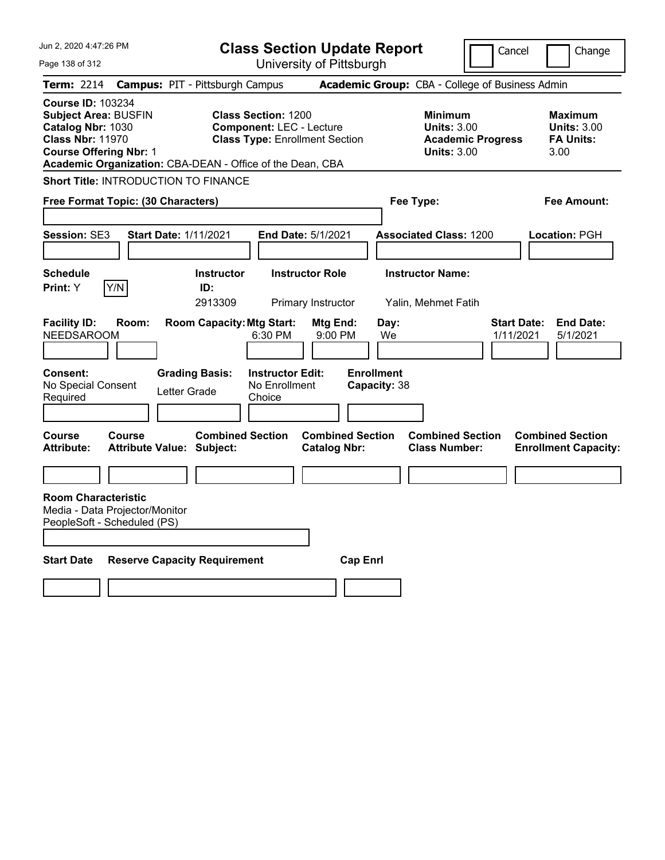| Jun 2, 2020 4:47:26 PM                                                                                                                                                                                | <b>Class Section Update Report</b>                                                                                                                |                                                            | Cancel                          | Change                                                           |
|-------------------------------------------------------------------------------------------------------------------------------------------------------------------------------------------------------|---------------------------------------------------------------------------------------------------------------------------------------------------|------------------------------------------------------------|---------------------------------|------------------------------------------------------------------|
| Page 138 of 312                                                                                                                                                                                       | University of Pittsburgh                                                                                                                          |                                                            |                                 |                                                                  |
| <b>Term: 2214</b>                                                                                                                                                                                     | <b>Campus: PIT - Pittsburgh Campus</b>                                                                                                            | Academic Group: CBA - College of Business Admin            |                                 |                                                                  |
| <b>Course ID: 103234</b><br><b>Subject Area: BUSFIN</b><br>Catalog Nbr: 1030<br><b>Class Nbr: 11970</b><br><b>Course Offering Nbr: 1</b><br>Academic Organization: CBA-DEAN - Office of the Dean, CBA | <b>Class Section: 1200</b><br><b>Component: LEC - Lecture</b><br><b>Class Type: Enrollment Section</b>                                            | <b>Minimum</b><br><b>Units: 3.00</b><br><b>Units: 3.00</b> | <b>Academic Progress</b>        | <b>Maximum</b><br><b>Units: 3.00</b><br><b>FA Units:</b><br>3.00 |
| Short Title: INTRODUCTION TO FINANCE                                                                                                                                                                  |                                                                                                                                                   |                                                            |                                 |                                                                  |
| Free Format Topic: (30 Characters)                                                                                                                                                                    |                                                                                                                                                   | Fee Type:                                                  |                                 | Fee Amount:                                                      |
| <b>Start Date: 1/11/2021</b><br><b>Session: SE3</b>                                                                                                                                                   | End Date: 5/1/2021                                                                                                                                | <b>Associated Class: 1200</b>                              |                                 | Location: PGH                                                    |
| <b>Schedule</b><br>Y/N<br>Print: Y                                                                                                                                                                    | <b>Instructor</b><br><b>Instructor Role</b><br>ID:<br>2913309<br>Primary Instructor                                                               | <b>Instructor Name:</b><br>Yalin, Mehmet Fatih             |                                 |                                                                  |
| <b>Facility ID:</b><br>Room:<br><b>NEEDSAROOM</b><br><b>Consent:</b><br>No Special Consent<br>Letter Grade<br>Required                                                                                | <b>Room Capacity: Mtg Start:</b><br>Mtg End:<br>6:30 PM<br>9:00 PM<br><b>Grading Basis:</b><br><b>Instructor Edit:</b><br>No Enrollment<br>Choice | Day:<br>We<br><b>Enrollment</b><br>Capacity: 38            | <b>Start Date:</b><br>1/11/2021 | <b>End Date:</b><br>5/1/2021                                     |
|                                                                                                                                                                                                       |                                                                                                                                                   |                                                            |                                 |                                                                  |
| <b>Course</b><br><b>Course</b><br><b>Attribute:</b><br><b>Attribute Value: Subject:</b>                                                                                                               | <b>Combined Section</b><br><b>Catalog Nbr:</b>                                                                                                    | <b>Combined Section</b><br><b>Class Number:</b>            | <b>Combined Section</b>         | <b>Combined Section</b><br><b>Enrollment Capacity:</b>           |
|                                                                                                                                                                                                       |                                                                                                                                                   |                                                            |                                 |                                                                  |
| <b>Room Characteristic</b><br>Media - Data Projector/Monitor<br>PeopleSoft - Scheduled (PS)                                                                                                           |                                                                                                                                                   |                                                            |                                 |                                                                  |
| <b>Start Date</b><br><b>Reserve Capacity Requirement</b>                                                                                                                                              |                                                                                                                                                   | <b>Cap Enrl</b>                                            |                                 |                                                                  |
|                                                                                                                                                                                                       |                                                                                                                                                   |                                                            |                                 |                                                                  |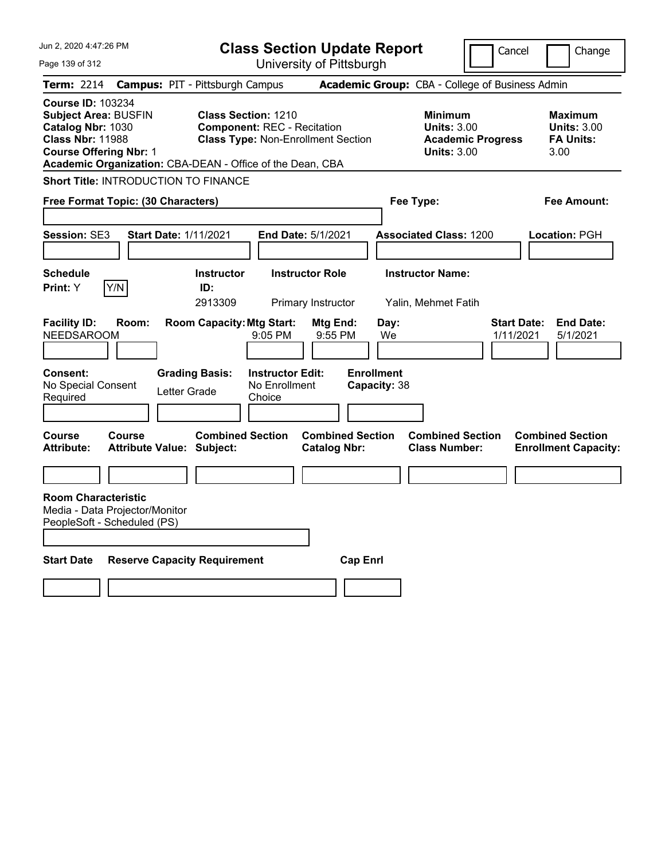| Jun 2, 2020 4:47:26 PM<br>Page 139 of 312                                                                                                                                                             | <b>Class Section Update Report</b><br>University of Pittsburgh                                                                                                              | Cancel<br>Change                                                                                                                                           |
|-------------------------------------------------------------------------------------------------------------------------------------------------------------------------------------------------------|-----------------------------------------------------------------------------------------------------------------------------------------------------------------------------|------------------------------------------------------------------------------------------------------------------------------------------------------------|
| <b>Term: 2214</b><br><b>Campus: PIT - Pittsburgh Campus</b>                                                                                                                                           |                                                                                                                                                                             | Academic Group: CBA - College of Business Admin                                                                                                            |
| <b>Course ID: 103234</b><br><b>Subject Area: BUSFIN</b><br>Catalog Nbr: 1030<br><b>Class Nbr: 11988</b><br><b>Course Offering Nbr: 1</b><br>Academic Organization: CBA-DEAN - Office of the Dean, CBA | <b>Class Section: 1210</b><br><b>Component: REC - Recitation</b><br><b>Class Type: Non-Enrollment Section</b>                                                               | <b>Minimum</b><br><b>Maximum</b><br><b>Units: 3.00</b><br><b>Units: 3.00</b><br><b>Academic Progress</b><br><b>FA Units:</b><br><b>Units: 3.00</b><br>3.00 |
| Short Title: INTRODUCTION TO FINANCE                                                                                                                                                                  |                                                                                                                                                                             |                                                                                                                                                            |
| Free Format Topic: (30 Characters)                                                                                                                                                                    |                                                                                                                                                                             | Fee Type:<br>Fee Amount:                                                                                                                                   |
| <b>Session: SE3</b><br><b>Start Date: 1/11/2021</b>                                                                                                                                                   | <b>End Date: 5/1/2021</b>                                                                                                                                                   | <b>Associated Class: 1200</b><br>Location: PGH                                                                                                             |
| <b>Schedule</b>                                                                                                                                                                                       | Instructor<br><b>Instructor Role</b>                                                                                                                                        | <b>Instructor Name:</b>                                                                                                                                    |
| Print: Y<br> Y/N <br>ID:                                                                                                                                                                              | 2913309<br>Primary Instructor                                                                                                                                               | Yalin, Mehmet Fatih                                                                                                                                        |
| <b>Facility ID:</b><br>Room:<br><b>NEEDSAROOM</b><br>Consent:<br><b>Grading Basis:</b><br>No Special Consent<br>Letter Grade<br>Required                                                              | <b>Room Capacity: Mtg Start:</b><br>Mtg End:<br>Day:<br>9:55 PM<br>9:05 PM<br>We<br><b>Enrollment</b><br><b>Instructor Edit:</b><br>Capacity: 38<br>No Enrollment<br>Choice | <b>End Date:</b><br><b>Start Date:</b><br>1/11/2021<br>5/1/2021                                                                                            |
| Course<br><b>Course</b><br><b>Attribute Value: Subject:</b><br><b>Attribute:</b>                                                                                                                      | <b>Combined Section</b><br><b>Combined Section</b><br><b>Catalog Nbr:</b>                                                                                                   | <b>Combined Section</b><br><b>Combined Section</b><br><b>Class Number:</b><br><b>Enrollment Capacity:</b>                                                  |
|                                                                                                                                                                                                       |                                                                                                                                                                             |                                                                                                                                                            |
| <b>Room Characteristic</b><br>Media - Data Projector/Monitor<br>PeopleSoft - Scheduled (PS)<br><b>Start Date</b><br><b>Reserve Capacity Requirement</b>                                               | <b>Cap Enrl</b>                                                                                                                                                             |                                                                                                                                                            |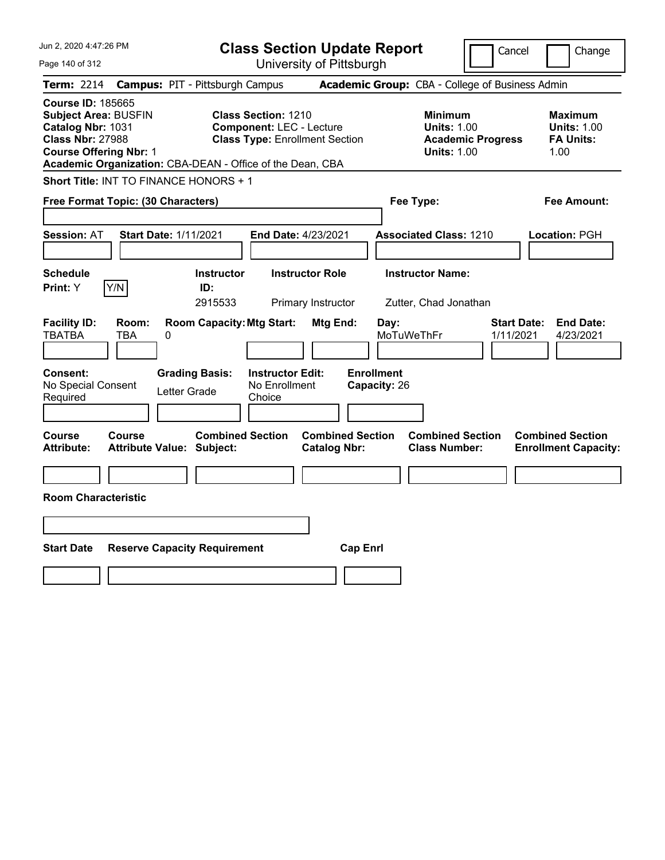| Jun 2, 2020 4:47:26 PM                                                                                                                                                                                | <b>Class Section Update Report</b>                                                                     | Cancel                                                                                 | Change                                                           |
|-------------------------------------------------------------------------------------------------------------------------------------------------------------------------------------------------------|--------------------------------------------------------------------------------------------------------|----------------------------------------------------------------------------------------|------------------------------------------------------------------|
| Page 140 of 312                                                                                                                                                                                       | University of Pittsburgh                                                                               |                                                                                        |                                                                  |
| <b>Term: 2214</b>                                                                                                                                                                                     | <b>Campus: PIT - Pittsburgh Campus</b>                                                                 | Academic Group: CBA - College of Business Admin                                        |                                                                  |
| <b>Course ID: 185665</b><br><b>Subject Area: BUSFIN</b><br>Catalog Nbr: 1031<br><b>Class Nbr: 27988</b><br><b>Course Offering Nbr: 1</b><br>Academic Organization: CBA-DEAN - Office of the Dean, CBA | <b>Class Section: 1210</b><br><b>Component: LEC - Lecture</b><br><b>Class Type: Enrollment Section</b> | <b>Minimum</b><br><b>Units: 1.00</b><br><b>Academic Progress</b><br><b>Units: 1.00</b> | <b>Maximum</b><br><b>Units: 1.00</b><br><b>FA Units:</b><br>1.00 |
| Short Title: INT TO FINANCE HONORS + 1                                                                                                                                                                |                                                                                                        |                                                                                        |                                                                  |
| Free Format Topic: (30 Characters)                                                                                                                                                                    |                                                                                                        | Fee Type:                                                                              | Fee Amount:                                                      |
| <b>Session: AT</b><br><b>Start Date: 1/11/2021</b>                                                                                                                                                    | End Date: 4/23/2021                                                                                    | <b>Associated Class: 1210</b>                                                          | Location: PGH                                                    |
| <b>Schedule</b><br>Y/N<br>Print: Y                                                                                                                                                                    | <b>Instructor Role</b><br><b>Instructor</b><br>ID:<br>2915533<br>Primary Instructor                    | <b>Instructor Name:</b><br>Zutter, Chad Jonathan                                       |                                                                  |
| <b>Facility ID:</b><br>Room:<br><b>TBATBA</b><br><b>TBA</b><br>0                                                                                                                                      | <b>Room Capacity: Mtg Start:</b><br>Mtg End:                                                           | Day:<br>MoTuWeThFr                                                                     | <b>Start Date:</b><br><b>End Date:</b><br>1/11/2021<br>4/23/2021 |
| Consent:<br><b>Grading Basis:</b><br>No Special Consent<br>Letter Grade<br>Required                                                                                                                   | <b>Instructor Edit:</b><br>No Enrollment<br>Choice                                                     | <b>Enrollment</b><br>Capacity: 26                                                      |                                                                  |
| Course<br><b>Course</b><br><b>Attribute:</b><br><b>Attribute Value: Subject:</b>                                                                                                                      | <b>Combined Section</b><br><b>Combined Section</b><br><b>Catalog Nbr:</b>                              | <b>Combined Section</b><br><b>Class Number:</b>                                        | <b>Combined Section</b><br><b>Enrollment Capacity:</b>           |
|                                                                                                                                                                                                       |                                                                                                        |                                                                                        |                                                                  |
| <b>Room Characteristic</b>                                                                                                                                                                            |                                                                                                        |                                                                                        |                                                                  |
|                                                                                                                                                                                                       |                                                                                                        |                                                                                        |                                                                  |
| <b>Start Date</b><br><b>Reserve Capacity Requirement</b>                                                                                                                                              |                                                                                                        | <b>Cap Enrl</b>                                                                        |                                                                  |
|                                                                                                                                                                                                       |                                                                                                        |                                                                                        |                                                                  |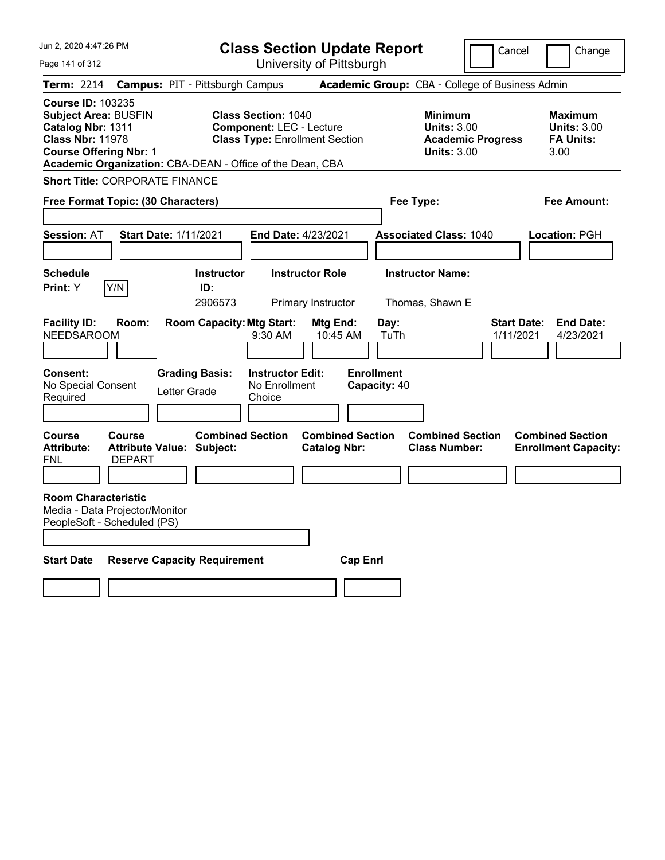| Jun 2, 2020 4:47:26 PM                                                                                                                                                                                | <b>Class Section Update Report</b>                                                                     |                                                                            | Cancel<br>Change                                                                      |
|-------------------------------------------------------------------------------------------------------------------------------------------------------------------------------------------------------|--------------------------------------------------------------------------------------------------------|----------------------------------------------------------------------------|---------------------------------------------------------------------------------------|
| Page 141 of 312                                                                                                                                                                                       | University of Pittsburgh                                                                               |                                                                            |                                                                                       |
| Term: 2214                                                                                                                                                                                            | <b>Campus: PIT - Pittsburgh Campus</b>                                                                 | Academic Group: CBA - College of Business Admin                            |                                                                                       |
| <b>Course ID: 103235</b><br><b>Subject Area: BUSFIN</b><br>Catalog Nbr: 1311<br><b>Class Nbr: 11978</b><br><b>Course Offering Nbr: 1</b><br>Academic Organization: CBA-DEAN - Office of the Dean, CBA | <b>Class Section: 1040</b><br><b>Component: LEC - Lecture</b><br><b>Class Type: Enrollment Section</b> | <b>Minimum</b><br><b>Units: 3.00</b><br><b>Units: 3.00</b>                 | Maximum<br><b>Units: 3.00</b><br><b>FA Units:</b><br><b>Academic Progress</b><br>3.00 |
| <b>Short Title: CORPORATE FINANCE</b>                                                                                                                                                                 |                                                                                                        |                                                                            |                                                                                       |
| Free Format Topic: (30 Characters)                                                                                                                                                                    |                                                                                                        | Fee Type:                                                                  | Fee Amount:                                                                           |
| <b>Start Date: 1/11/2021</b><br><b>Session: AT</b>                                                                                                                                                    | <b>End Date: 4/23/2021</b>                                                                             | <b>Associated Class: 1040</b>                                              | Location: PGH                                                                         |
| <b>Schedule</b><br>Print: Y<br>Y/N                                                                                                                                                                    | <b>Instructor</b><br><b>Instructor Role</b><br>ID:<br>2906573<br>Primary Instructor                    | <b>Instructor Name:</b><br>Thomas, Shawn E                                 |                                                                                       |
| <b>Facility ID:</b><br>Room:<br><b>NEEDSAROOM</b><br><b>Consent:</b><br><b>Grading Basis:</b><br>No Special Consent                                                                                   | <b>Room Capacity: Mtg Start:</b><br>$9:30$ AM<br><b>Instructor Edit:</b><br>No Enrollment              | Mtg End:<br>Day:<br>TuTh<br>10:45 AM<br><b>Enrollment</b><br>Capacity: 40  | <b>End Date:</b><br><b>Start Date:</b><br>1/11/2021<br>4/23/2021                      |
| Letter Grade<br>Required                                                                                                                                                                              | Choice                                                                                                 |                                                                            |                                                                                       |
| Course<br><b>Course</b><br><b>Attribute:</b><br><b>Attribute Value: Subject:</b><br>FNL<br><b>DEPART</b>                                                                                              | <b>Combined Section</b><br><b>Catalog Nbr:</b>                                                         | <b>Combined Section</b><br><b>Combined Section</b><br><b>Class Number:</b> | <b>Combined Section</b><br><b>Enrollment Capacity:</b>                                |
| <b>Room Characteristic</b><br>Media - Data Projector/Monitor<br>PeopleSoft - Scheduled (PS)                                                                                                           |                                                                                                        |                                                                            |                                                                                       |
| <b>Start Date</b><br><b>Reserve Capacity Requirement</b>                                                                                                                                              |                                                                                                        | <b>Cap Enri</b>                                                            |                                                                                       |
|                                                                                                                                                                                                       |                                                                                                        |                                                                            |                                                                                       |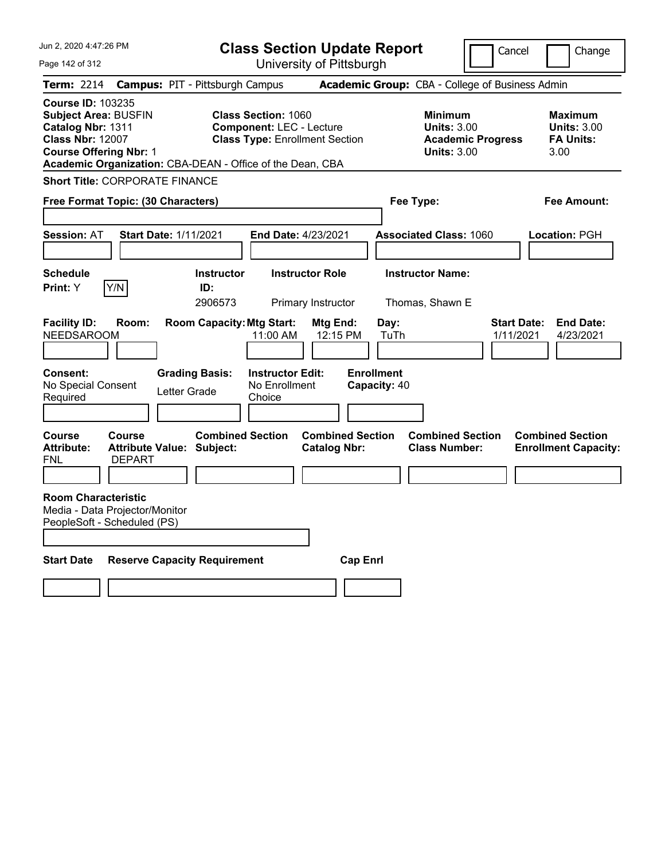| Jun 2, 2020 4:47:26 PM                                                                                                                   | <b>Class Section Update Report</b>                                                                                                                                  |                                                           | Cancel                                                                                 | Change                                                           |
|------------------------------------------------------------------------------------------------------------------------------------------|---------------------------------------------------------------------------------------------------------------------------------------------------------------------|-----------------------------------------------------------|----------------------------------------------------------------------------------------|------------------------------------------------------------------|
| Page 142 of 312                                                                                                                          | University of Pittsburgh                                                                                                                                            |                                                           |                                                                                        |                                                                  |
| Term: 2214                                                                                                                               | <b>Campus: PIT - Pittsburgh Campus</b>                                                                                                                              | Academic Group: CBA - College of Business Admin           |                                                                                        |                                                                  |
| <b>Course ID: 103235</b><br><b>Subject Area: BUSFIN</b><br>Catalog Nbr: 1311<br><b>Class Nbr: 12007</b><br><b>Course Offering Nbr: 1</b> | <b>Class Section: 1060</b><br><b>Component: LEC - Lecture</b><br><b>Class Type: Enrollment Section</b><br>Academic Organization: CBA-DEAN - Office of the Dean, CBA |                                                           | <b>Minimum</b><br><b>Units: 3.00</b><br><b>Academic Progress</b><br><b>Units: 3.00</b> | <b>Maximum</b><br><b>Units: 3.00</b><br><b>FA Units:</b><br>3.00 |
| <b>Short Title: CORPORATE FINANCE</b>                                                                                                    |                                                                                                                                                                     |                                                           |                                                                                        |                                                                  |
| Free Format Topic: (30 Characters)                                                                                                       |                                                                                                                                                                     | Fee Type:                                                 |                                                                                        | Fee Amount:                                                      |
| <b>Session: AT</b><br><b>Start Date: 1/11/2021</b>                                                                                       | <b>End Date: 4/23/2021</b>                                                                                                                                          | <b>Associated Class: 1060</b>                             |                                                                                        | Location: PGH                                                    |
| <b>Schedule</b><br>Y/N<br><b>Print: Y</b>                                                                                                | <b>Instructor Role</b><br><b>Instructor</b><br>ID:<br>2906573<br>Primary Instructor                                                                                 | <b>Instructor Name:</b><br>Thomas, Shawn E                |                                                                                        |                                                                  |
| <b>Facility ID:</b><br>Room:<br><b>NEEDSAROOM</b><br>Consent:                                                                            | <b>Room Capacity: Mtg Start:</b><br>11:00 AM<br><b>Grading Basis:</b><br><b>Instructor Edit:</b>                                                                    | Mtg End:<br>Day:<br>12:15 PM<br>TuTh<br><b>Enrollment</b> | <b>Start Date:</b><br>1/11/2021                                                        | <b>End Date:</b><br>4/23/2021                                    |
| No Special Consent<br>Required                                                                                                           | No Enrollment<br>Letter Grade<br>Choice                                                                                                                             | Capacity: 40                                              |                                                                                        |                                                                  |
| Course<br><b>Course</b><br><b>Attribute:</b><br><b>Attribute Value: Subject:</b><br>FNL<br><b>DEPART</b>                                 | <b>Combined Section</b>                                                                                                                                             | <b>Combined Section</b><br><b>Catalog Nbr:</b>            | <b>Combined Section</b><br><b>Class Number:</b>                                        | <b>Combined Section</b><br><b>Enrollment Capacity:</b>           |
| <b>Room Characteristic</b><br>Media - Data Projector/Monitor<br>PeopleSoft - Scheduled (PS)                                              |                                                                                                                                                                     |                                                           |                                                                                        |                                                                  |
| <b>Start Date</b>                                                                                                                        | <b>Reserve Capacity Requirement</b>                                                                                                                                 | <b>Cap Enri</b>                                           |                                                                                        |                                                                  |
|                                                                                                                                          |                                                                                                                                                                     |                                                           |                                                                                        |                                                                  |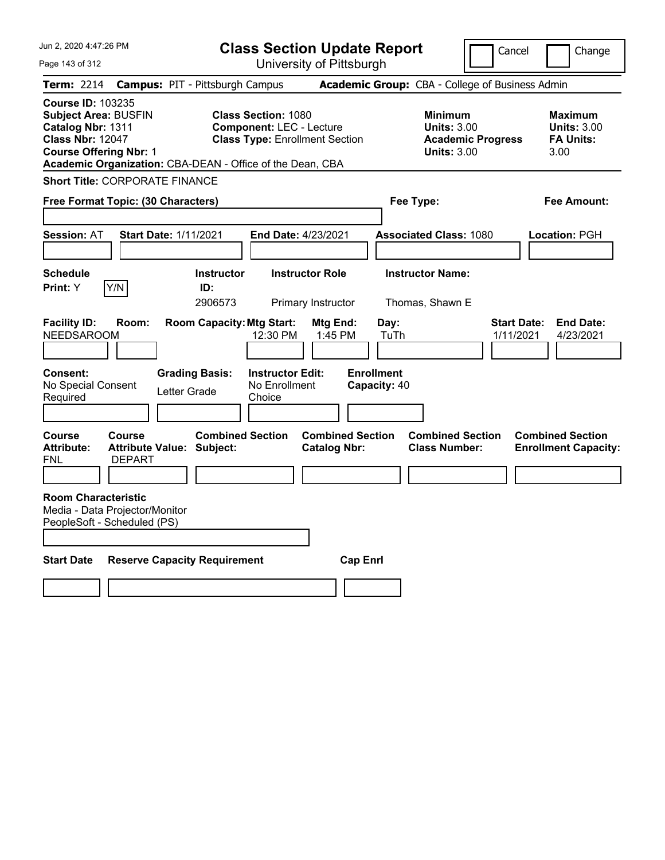| Jun 2, 2020 4:47:26 PM                                                                                                                                                                                | <b>Class Section Update Report</b>                                                                             |                                                                            | Cancel<br>Change                                                                             |
|-------------------------------------------------------------------------------------------------------------------------------------------------------------------------------------------------------|----------------------------------------------------------------------------------------------------------------|----------------------------------------------------------------------------|----------------------------------------------------------------------------------------------|
| Page 143 of 312                                                                                                                                                                                       | University of Pittsburgh                                                                                       |                                                                            |                                                                                              |
| Term: 2214                                                                                                                                                                                            | <b>Campus: PIT - Pittsburgh Campus</b>                                                                         | Academic Group: CBA - College of Business Admin                            |                                                                                              |
| <b>Course ID: 103235</b><br><b>Subject Area: BUSFIN</b><br>Catalog Nbr: 1311<br><b>Class Nbr: 12047</b><br><b>Course Offering Nbr: 1</b><br>Academic Organization: CBA-DEAN - Office of the Dean, CBA | <b>Class Section: 1080</b><br><b>Component: LEC - Lecture</b><br><b>Class Type: Enrollment Section</b>         | <b>Minimum</b><br><b>Units: 3.00</b><br><b>Units: 3.00</b>                 | <b>Maximum</b><br><b>Units: 3.00</b><br><b>FA Units:</b><br><b>Academic Progress</b><br>3.00 |
| <b>Short Title: CORPORATE FINANCE</b>                                                                                                                                                                 |                                                                                                                |                                                                            |                                                                                              |
| Free Format Topic: (30 Characters)                                                                                                                                                                    |                                                                                                                | Fee Type:                                                                  | Fee Amount:                                                                                  |
| <b>Session: AT</b><br><b>Start Date: 1/11/2021</b>                                                                                                                                                    | End Date: 4/23/2021                                                                                            | <b>Associated Class: 1080</b>                                              | Location: PGH                                                                                |
| <b>Schedule</b><br>Print: Y<br>Y/N                                                                                                                                                                    | <b>Instructor Role</b><br><b>Instructor</b><br>ID:<br>2906573<br>Primary Instructor                            | <b>Instructor Name:</b><br>Thomas, Shawn E                                 |                                                                                              |
| <b>Facility ID:</b><br>Room:<br><b>NEEDSAROOM</b><br><b>Consent:</b><br><b>Grading Basis:</b><br>No Special Consent<br>Letter Grade<br>Required                                                       | <b>Room Capacity: Mtg Start:</b><br>Mtg End:<br>12:30 PM<br><b>Instructor Edit:</b><br>No Enrollment<br>Choice | Day:<br>1:45 PM<br>TuTh<br><b>Enrollment</b><br>Capacity: 40               | <b>Start Date:</b><br><b>End Date:</b><br>1/11/2021<br>4/23/2021                             |
| Course<br><b>Course</b><br><b>Attribute:</b><br><b>Attribute Value: Subject:</b><br>FNL<br><b>DEPART</b>                                                                                              | <b>Combined Section</b><br><b>Catalog Nbr:</b>                                                                 | <b>Combined Section</b><br><b>Combined Section</b><br><b>Class Number:</b> | <b>Combined Section</b><br><b>Enrollment Capacity:</b>                                       |
| <b>Room Characteristic</b><br>Media - Data Projector/Monitor<br>PeopleSoft - Scheduled (PS)                                                                                                           |                                                                                                                |                                                                            |                                                                                              |
| <b>Start Date</b><br><b>Reserve Capacity Requirement</b>                                                                                                                                              |                                                                                                                | <b>Cap Enrl</b>                                                            |                                                                                              |
|                                                                                                                                                                                                       |                                                                                                                |                                                                            |                                                                                              |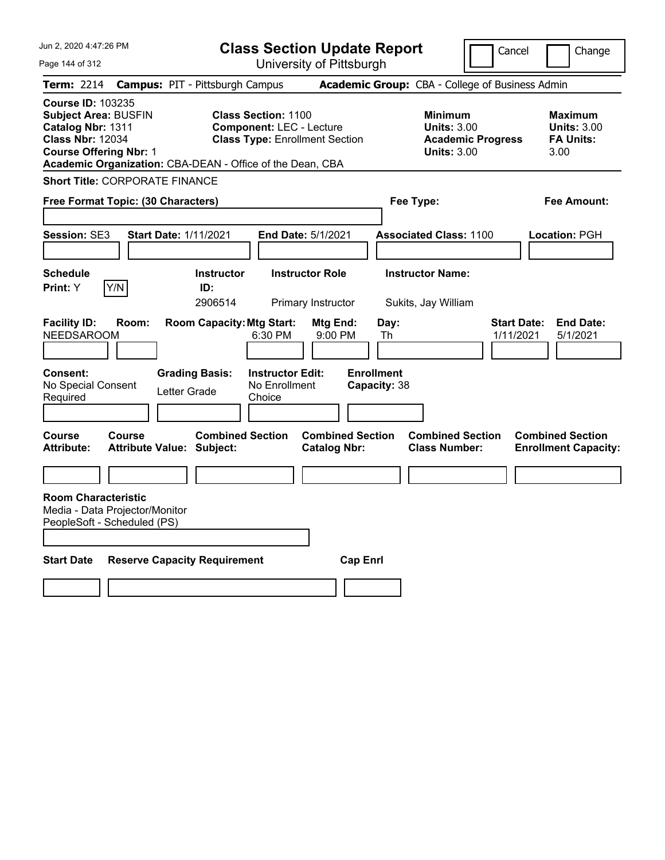| Jun 2, 2020 4:47:26 PM                                                                                                                                                                                | <b>Class Section Update Report</b>                                                                                       |                                                 | Cancel                                                               | Change                                                           |
|-------------------------------------------------------------------------------------------------------------------------------------------------------------------------------------------------------|--------------------------------------------------------------------------------------------------------------------------|-------------------------------------------------|----------------------------------------------------------------------|------------------------------------------------------------------|
| Page 144 of 312                                                                                                                                                                                       | University of Pittsburgh                                                                                                 |                                                 |                                                                      |                                                                  |
| <b>Term: 2214</b><br><b>Campus: PIT - Pittsburgh Campus</b>                                                                                                                                           |                                                                                                                          | Academic Group: CBA - College of Business Admin |                                                                      |                                                                  |
| <b>Course ID: 103235</b><br><b>Subject Area: BUSFIN</b><br>Catalog Nbr: 1311<br><b>Class Nbr: 12034</b><br><b>Course Offering Nbr: 1</b><br>Academic Organization: CBA-DEAN - Office of the Dean, CBA | <b>Class Section: 1100</b><br><b>Component: LEC - Lecture</b><br><b>Class Type: Enrollment Section</b>                   | <b>Minimum</b>                                  | <b>Units: 3.00</b><br><b>Academic Progress</b><br><b>Units: 3.00</b> | <b>Maximum</b><br><b>Units: 3.00</b><br><b>FA Units:</b><br>3.00 |
| <b>Short Title: CORPORATE FINANCE</b>                                                                                                                                                                 |                                                                                                                          |                                                 |                                                                      |                                                                  |
| Free Format Topic: (30 Characters)                                                                                                                                                                    |                                                                                                                          | Fee Type:                                       |                                                                      | Fee Amount:                                                      |
| Session: SE3<br>Start Date: 1/11/2021                                                                                                                                                                 | <b>End Date: 5/1/2021</b>                                                                                                | <b>Associated Class: 1100</b>                   |                                                                      | Location: PGH                                                    |
| <b>Schedule</b><br>Y/N<br>Print: Y                                                                                                                                                                    | <b>Instructor Role</b><br><b>Instructor</b><br>ID:<br>2906514<br>Primary Instructor                                      | <b>Instructor Name:</b><br>Sukits, Jay William  |                                                                      |                                                                  |
| <b>Facility ID:</b><br>Room:<br><b>NEEDSAROOM</b><br>Consent:<br><b>Grading Basis:</b><br>No Special Consent<br>Letter Grade<br>Required                                                              | <b>Room Capacity: Mtg Start:</b><br>Mtg End:<br>6:30 PM<br>9:00 PM<br><b>Instructor Edit:</b><br>No Enrollment<br>Choice | Day:<br>Th<br><b>Enrollment</b><br>Capacity: 38 | <b>Start Date:</b><br>1/11/2021                                      | <b>End Date:</b><br>5/1/2021                                     |
| Course<br>Course<br><b>Attribute:</b><br><b>Attribute Value: Subject:</b>                                                                                                                             | <b>Combined Section</b><br><b>Catalog Nbr:</b>                                                                           | <b>Combined Section</b><br><b>Class Number:</b> | <b>Combined Section</b>                                              | <b>Combined Section</b><br><b>Enrollment Capacity:</b>           |
|                                                                                                                                                                                                       |                                                                                                                          |                                                 |                                                                      |                                                                  |
| <b>Room Characteristic</b><br>Media - Data Projector/Monitor<br>PeopleSoft - Scheduled (PS)                                                                                                           |                                                                                                                          |                                                 |                                                                      |                                                                  |
| <b>Start Date</b><br><b>Reserve Capacity Requirement</b>                                                                                                                                              |                                                                                                                          | <b>Cap Enri</b>                                 |                                                                      |                                                                  |
|                                                                                                                                                                                                       |                                                                                                                          |                                                 |                                                                      |                                                                  |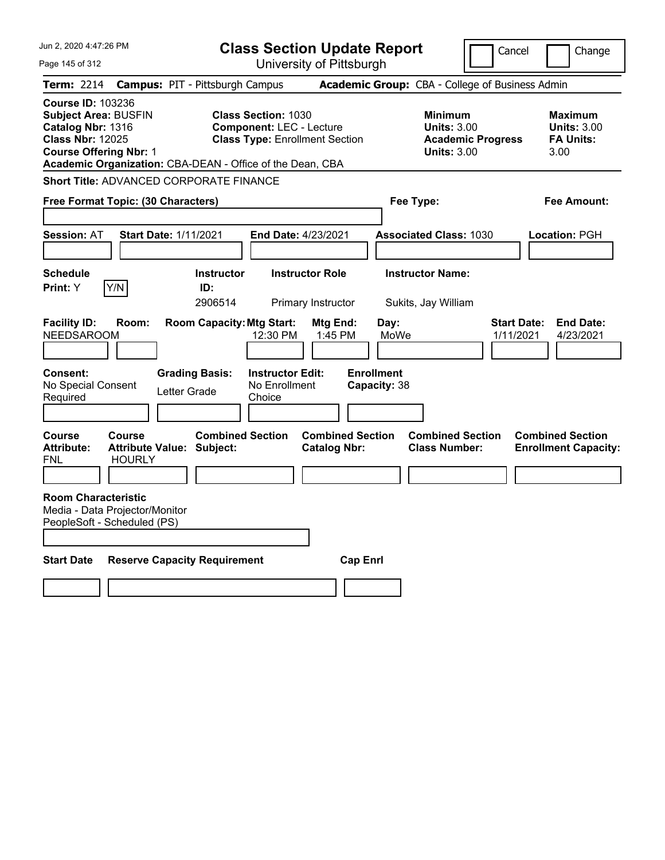| Jun 2, 2020 4:47:26 PM                                                                                                                   |                                |                                                             | <b>Class Section Update Report</b>                                                                     |                                                |                                   |                                                                                        | Cancel                   | Change                                                           |
|------------------------------------------------------------------------------------------------------------------------------------------|--------------------------------|-------------------------------------------------------------|--------------------------------------------------------------------------------------------------------|------------------------------------------------|-----------------------------------|----------------------------------------------------------------------------------------|--------------------------|------------------------------------------------------------------|
| Page 145 of 312                                                                                                                          |                                |                                                             |                                                                                                        | University of Pittsburgh                       |                                   |                                                                                        |                          |                                                                  |
| Term: 2214                                                                                                                               |                                | <b>Campus: PIT - Pittsburgh Campus</b>                      |                                                                                                        |                                                |                                   | Academic Group: CBA - College of Business Admin                                        |                          |                                                                  |
| <b>Course ID: 103236</b><br><b>Subject Area: BUSFIN</b><br>Catalog Nbr: 1316<br><b>Class Nbr: 12025</b><br><b>Course Offering Nbr: 1</b> |                                | Academic Organization: CBA-DEAN - Office of the Dean, CBA   | <b>Class Section: 1030</b><br><b>Component: LEC - Lecture</b><br><b>Class Type: Enrollment Section</b> |                                                |                                   | <b>Minimum</b><br><b>Units: 3.00</b><br><b>Academic Progress</b><br><b>Units: 3.00</b> |                          | <b>Maximum</b><br><b>Units: 3.00</b><br><b>FA Units:</b><br>3.00 |
|                                                                                                                                          |                                | Short Title: ADVANCED CORPORATE FINANCE                     |                                                                                                        |                                                |                                   |                                                                                        |                          |                                                                  |
| Free Format Topic: (30 Characters)                                                                                                       |                                |                                                             |                                                                                                        |                                                | Fee Type:                         |                                                                                        |                          | Fee Amount:                                                      |
| <b>Session: AT</b>                                                                                                                       |                                | <b>Start Date: 1/11/2021</b>                                | End Date: 4/23/2021                                                                                    |                                                |                                   | <b>Associated Class: 1030</b>                                                          |                          | Location: PGH                                                    |
| <b>Schedule</b><br>Print: Y                                                                                                              | Y/N                            | <b>Instructor</b><br>ID:<br>2906514                         |                                                                                                        | <b>Instructor Role</b><br>Primary Instructor   |                                   | <b>Instructor Name:</b><br>Sukits, Jay William                                         |                          |                                                                  |
| <b>Facility ID:</b><br><b>NEEDSAROOM</b>                                                                                                 | Room:                          | <b>Room Capacity: Mtg Start:</b>                            | 12:30 PM                                                                                               | Mtg End:<br>1:45 PM                            | Day:<br>MoWe                      |                                                                                        | Start Date:<br>1/11/2021 | <b>End Date:</b><br>4/23/2021                                    |
| <b>Consent:</b><br>No Special Consent<br>Required                                                                                        |                                | <b>Grading Basis:</b><br>Letter Grade                       | <b>Instructor Edit:</b><br>No Enrollment<br>Choice                                                     |                                                | <b>Enrollment</b><br>Capacity: 38 |                                                                                        |                          |                                                                  |
| Course<br><b>Attribute:</b><br>FNL                                                                                                       | <b>Course</b><br><b>HOURLY</b> | <b>Combined Section</b><br><b>Attribute Value: Subject:</b> |                                                                                                        | <b>Combined Section</b><br><b>Catalog Nbr:</b> |                                   | <b>Combined Section</b><br><b>Class Number:</b>                                        |                          | <b>Combined Section</b><br><b>Enrollment Capacity:</b>           |
| <b>Room Characteristic</b><br>Media - Data Projector/Monitor<br>PeopleSoft - Scheduled (PS)                                              |                                |                                                             |                                                                                                        |                                                |                                   |                                                                                        |                          |                                                                  |
| <b>Start Date</b>                                                                                                                        |                                | <b>Reserve Capacity Requirement</b>                         |                                                                                                        | <b>Cap Enri</b>                                |                                   |                                                                                        |                          |                                                                  |
|                                                                                                                                          |                                |                                                             |                                                                                                        |                                                |                                   |                                                                                        |                          |                                                                  |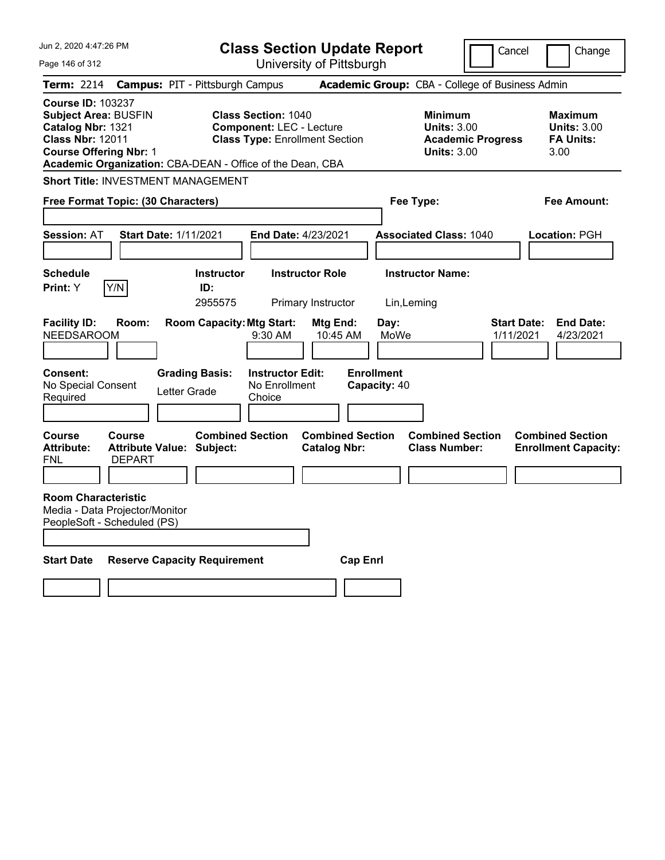| Jun 2, 2020 4:47:26 PM                                                                                                                                                                                |                                                             | <b>Class Section Update Report</b>                                                                     |                                                |                                        |                                                                                        | Cancel<br>Change                                                 |
|-------------------------------------------------------------------------------------------------------------------------------------------------------------------------------------------------------|-------------------------------------------------------------|--------------------------------------------------------------------------------------------------------|------------------------------------------------|----------------------------------------|----------------------------------------------------------------------------------------|------------------------------------------------------------------|
| Page 146 of 312                                                                                                                                                                                       |                                                             | University of Pittsburgh                                                                               |                                                |                                        |                                                                                        |                                                                  |
| <b>Term: 2214</b>                                                                                                                                                                                     | <b>Campus: PIT - Pittsburgh Campus</b>                      |                                                                                                        |                                                |                                        | Academic Group: CBA - College of Business Admin                                        |                                                                  |
| <b>Course ID: 103237</b><br><b>Subject Area: BUSFIN</b><br>Catalog Nbr: 1321<br><b>Class Nbr: 12011</b><br><b>Course Offering Nbr: 1</b><br>Academic Organization: CBA-DEAN - Office of the Dean, CBA |                                                             | <b>Class Section: 1040</b><br><b>Component: LEC - Lecture</b><br><b>Class Type: Enrollment Section</b> |                                                |                                        | <b>Minimum</b><br><b>Units: 3.00</b><br><b>Academic Progress</b><br><b>Units: 3.00</b> | Maximum<br><b>Units: 3.00</b><br><b>FA Units:</b><br>3.00        |
| <b>Short Title: INVESTMENT MANAGEMENT</b>                                                                                                                                                             |                                                             |                                                                                                        |                                                |                                        |                                                                                        |                                                                  |
| Free Format Topic: (30 Characters)                                                                                                                                                                    |                                                             |                                                                                                        |                                                | Fee Type:                              |                                                                                        | Fee Amount:                                                      |
| <b>Session: AT</b>                                                                                                                                                                                    | <b>Start Date: 1/11/2021</b>                                | End Date: 4/23/2021                                                                                    |                                                |                                        | <b>Associated Class: 1040</b>                                                          | Location: PGH                                                    |
| <b>Schedule</b><br>Y/N<br>Print: Y                                                                                                                                                                    | <b>Instructor</b><br>ID:<br>2955575                         | <b>Instructor Role</b><br>Primary Instructor                                                           |                                                | <b>Instructor Name:</b><br>Lin, Leming |                                                                                        |                                                                  |
| <b>Facility ID:</b><br>Room:<br><b>NEEDSAROOM</b>                                                                                                                                                     | <b>Room Capacity: Mtg Start:</b>                            | $9:30$ AM                                                                                              | Mtg End:<br>10:45 AM                           | Day:<br>MoWe                           |                                                                                        | <b>Start Date:</b><br><b>End Date:</b><br>1/11/2021<br>4/23/2021 |
| Consent:<br>No Special Consent<br>Required                                                                                                                                                            | <b>Grading Basis:</b><br>Letter Grade                       | <b>Instructor Edit:</b><br>No Enrollment<br>Choice                                                     |                                                | <b>Enrollment</b><br>Capacity: 40      |                                                                                        |                                                                  |
| Course<br>Course<br><b>Attribute:</b><br><b>FNL</b><br><b>DEPART</b>                                                                                                                                  | <b>Combined Section</b><br><b>Attribute Value: Subject:</b> |                                                                                                        | <b>Combined Section</b><br><b>Catalog Nbr:</b> |                                        | <b>Combined Section</b><br><b>Class Number:</b>                                        | <b>Combined Section</b><br><b>Enrollment Capacity:</b>           |
| <b>Room Characteristic</b><br>Media - Data Projector/Monitor<br>PeopleSoft - Scheduled (PS)                                                                                                           |                                                             |                                                                                                        |                                                |                                        |                                                                                        |                                                                  |
| <b>Start Date</b>                                                                                                                                                                                     | <b>Reserve Capacity Requirement</b>                         |                                                                                                        | <b>Cap Enrl</b>                                |                                        |                                                                                        |                                                                  |
|                                                                                                                                                                                                       |                                                             |                                                                                                        |                                                |                                        |                                                                                        |                                                                  |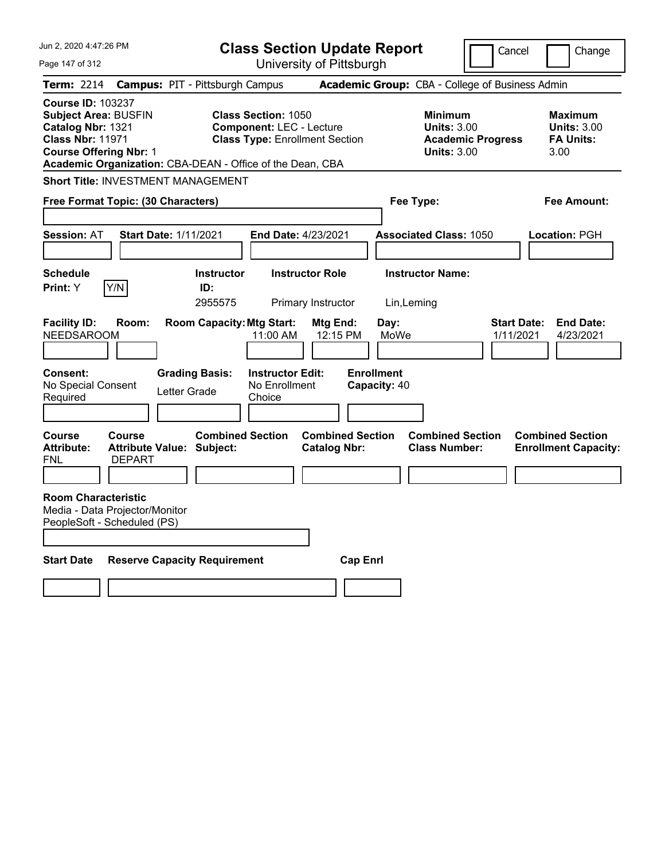| Jun 2, 2020 4:47:26 PM                                                                                                                                                                                | <b>Class Section Update Report</b>                                                                     |                                                |                                                            | Cancel                          | Change                                                    |
|-------------------------------------------------------------------------------------------------------------------------------------------------------------------------------------------------------|--------------------------------------------------------------------------------------------------------|------------------------------------------------|------------------------------------------------------------|---------------------------------|-----------------------------------------------------------|
| Page 147 of 312                                                                                                                                                                                       |                                                                                                        | University of Pittsburgh                       |                                                            |                                 |                                                           |
| <b>Term: 2214</b>                                                                                                                                                                                     | <b>Campus: PIT - Pittsburgh Campus</b>                                                                 |                                                | Academic Group: CBA - College of Business Admin            |                                 |                                                           |
| <b>Course ID: 103237</b><br><b>Subject Area: BUSFIN</b><br>Catalog Nbr: 1321<br><b>Class Nbr: 11971</b><br><b>Course Offering Nbr: 1</b><br>Academic Organization: CBA-DEAN - Office of the Dean, CBA | <b>Class Section: 1050</b><br><b>Component: LEC - Lecture</b><br><b>Class Type: Enrollment Section</b> |                                                | <b>Minimum</b><br><b>Units: 3.00</b><br><b>Units: 3.00</b> | <b>Academic Progress</b>        | Maximum<br><b>Units: 3.00</b><br><b>FA Units:</b><br>3.00 |
| <b>Short Title: INVESTMENT MANAGEMENT</b>                                                                                                                                                             |                                                                                                        |                                                |                                                            |                                 |                                                           |
| Free Format Topic: (30 Characters)                                                                                                                                                                    |                                                                                                        |                                                | Fee Type:                                                  |                                 | Fee Amount:                                               |
| <b>Start Date: 1/11/2021</b><br><b>Session: AT</b>                                                                                                                                                    | End Date: 4/23/2021                                                                                    |                                                | <b>Associated Class: 1050</b>                              |                                 | Location: PGH                                             |
| <b>Schedule</b><br>Y/N<br>Print: Y                                                                                                                                                                    | <b>Instructor</b><br>ID:<br>2955575                                                                    | <b>Instructor Role</b><br>Primary Instructor   | <b>Instructor Name:</b><br>Lin, Leming                     |                                 |                                                           |
| <b>Facility ID:</b><br>Room:<br><b>NEEDSAROOM</b>                                                                                                                                                     | <b>Room Capacity: Mtg Start:</b><br>11:00 AM                                                           | Mtg End:<br>12:15 PM                           | Day:<br>MoWe                                               | <b>Start Date:</b><br>1/11/2021 | <b>End Date:</b><br>4/23/2021                             |
| Consent:<br>No Special Consent<br>Required                                                                                                                                                            | <b>Grading Basis:</b><br><b>Instructor Edit:</b><br>No Enrollment<br>Letter Grade<br>Choice            |                                                | <b>Enrollment</b><br>Capacity: 40                          |                                 |                                                           |
| Course<br>Course<br><b>Attribute:</b><br><b>Attribute Value: Subject:</b><br><b>FNL</b><br><b>DEPART</b>                                                                                              | <b>Combined Section</b>                                                                                | <b>Combined Section</b><br><b>Catalog Nbr:</b> | <b>Combined Section</b><br><b>Class Number:</b>            |                                 | <b>Combined Section</b><br><b>Enrollment Capacity:</b>    |
| <b>Room Characteristic</b><br>Media - Data Projector/Monitor<br>PeopleSoft - Scheduled (PS)                                                                                                           |                                                                                                        |                                                |                                                            |                                 |                                                           |
| <b>Start Date</b>                                                                                                                                                                                     | <b>Reserve Capacity Requirement</b>                                                                    | <b>Cap Enrl</b>                                |                                                            |                                 |                                                           |
|                                                                                                                                                                                                       |                                                                                                        |                                                |                                                            |                                 |                                                           |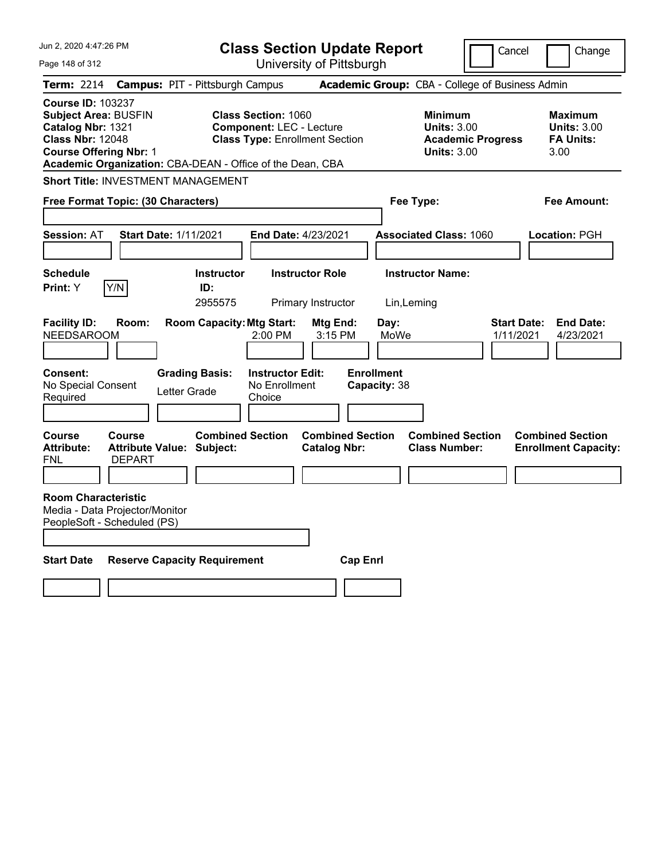| Jun 2, 2020 4:47:26 PM                                                                                                                                                                                |                                                                  | <b>Class Section Update Report</b>             |                                                            | Cancel                          | Change                                                    |
|-------------------------------------------------------------------------------------------------------------------------------------------------------------------------------------------------------|------------------------------------------------------------------|------------------------------------------------|------------------------------------------------------------|---------------------------------|-----------------------------------------------------------|
| Page 148 of 312                                                                                                                                                                                       |                                                                  | University of Pittsburgh                       |                                                            |                                 |                                                           |
| <b>Term: 2214</b>                                                                                                                                                                                     | <b>Campus: PIT - Pittsburgh Campus</b>                           |                                                | Academic Group: CBA - College of Business Admin            |                                 |                                                           |
| <b>Course ID: 103237</b><br><b>Subject Area: BUSFIN</b><br>Catalog Nbr: 1321<br><b>Class Nbr: 12048</b><br><b>Course Offering Nbr: 1</b><br>Academic Organization: CBA-DEAN - Office of the Dean, CBA | <b>Class Section: 1060</b><br><b>Component: LEC - Lecture</b>    | <b>Class Type: Enrollment Section</b>          | <b>Minimum</b><br><b>Units: 3.00</b><br><b>Units: 3.00</b> | <b>Academic Progress</b>        | Maximum<br><b>Units: 3.00</b><br><b>FA Units:</b><br>3.00 |
| <b>Short Title: INVESTMENT MANAGEMENT</b>                                                                                                                                                             |                                                                  |                                                |                                                            |                                 |                                                           |
| Free Format Topic: (30 Characters)                                                                                                                                                                    |                                                                  |                                                | Fee Type:                                                  |                                 | Fee Amount:                                               |
| <b>Session: AT</b>                                                                                                                                                                                    | <b>Start Date: 1/11/2021</b>                                     | End Date: 4/23/2021                            | <b>Associated Class: 1060</b>                              |                                 | Location: PGH                                             |
| <b>Schedule</b><br>Y/N<br>Print: Y                                                                                                                                                                    | <b>Instructor</b><br>ID:<br>2955575                              | <b>Instructor Role</b><br>Primary Instructor   | <b>Instructor Name:</b><br>Lin, Leming                     |                                 |                                                           |
| <b>Facility ID:</b><br>Room:<br><b>NEEDSAROOM</b>                                                                                                                                                     | <b>Room Capacity: Mtg Start:</b><br>2:00 PM                      | Mtg End:<br>3:15 PM                            | Day:<br>MoWe                                               | <b>Start Date:</b><br>1/11/2021 | <b>End Date:</b><br>4/23/2021                             |
| Consent:<br>No Special Consent<br>Required                                                                                                                                                            | <b>Grading Basis:</b><br>No Enrollment<br>Letter Grade<br>Choice | <b>Instructor Edit:</b>                        | <b>Enrollment</b><br>Capacity: 38                          |                                 |                                                           |
| Course<br>Course<br><b>Attribute:</b><br><b>FNL</b><br><b>DEPART</b>                                                                                                                                  | <b>Combined Section</b><br><b>Attribute Value: Subject:</b>      | <b>Combined Section</b><br><b>Catalog Nbr:</b> | <b>Combined Section</b><br><b>Class Number:</b>            |                                 | <b>Combined Section</b><br><b>Enrollment Capacity:</b>    |
| <b>Room Characteristic</b><br>Media - Data Projector/Monitor<br>PeopleSoft - Scheduled (PS)                                                                                                           |                                                                  |                                                |                                                            |                                 |                                                           |
| <b>Start Date</b>                                                                                                                                                                                     | <b>Reserve Capacity Requirement</b>                              | <b>Cap Enrl</b>                                |                                                            |                                 |                                                           |
|                                                                                                                                                                                                       |                                                                  |                                                |                                                            |                                 |                                                           |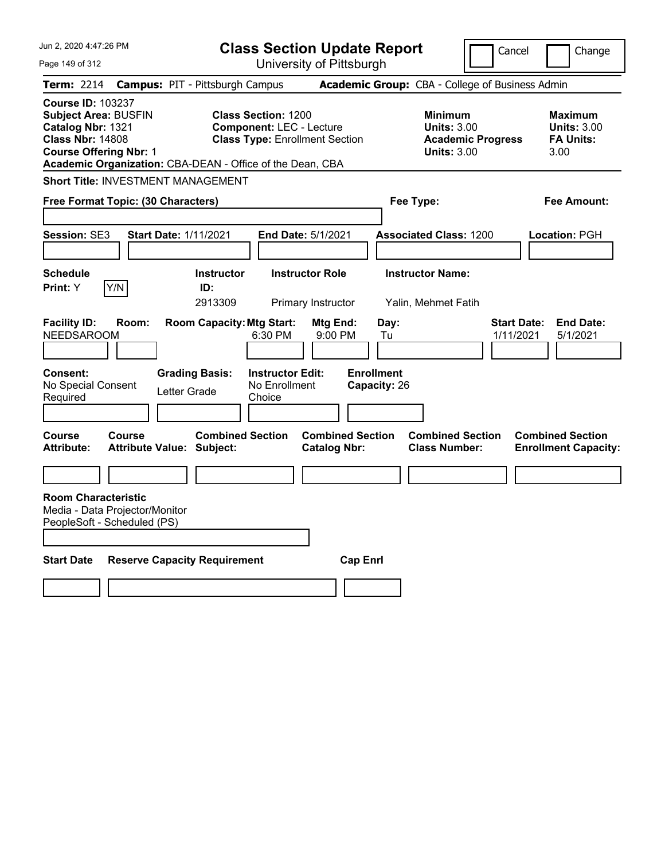| Jun 2, 2020 4:47:26 PM                                                                                                                   |               |                                                                           |                                                                                                        | <b>Class Section Update Report</b>             |                                                 |                                                                                        | Cancel                          | Change                                                    |
|------------------------------------------------------------------------------------------------------------------------------------------|---------------|---------------------------------------------------------------------------|--------------------------------------------------------------------------------------------------------|------------------------------------------------|-------------------------------------------------|----------------------------------------------------------------------------------------|---------------------------------|-----------------------------------------------------------|
| Page 149 of 312                                                                                                                          |               |                                                                           |                                                                                                        | University of Pittsburgh                       |                                                 |                                                                                        |                                 |                                                           |
| Term: 2214                                                                                                                               |               | <b>Campus: PIT - Pittsburgh Campus</b>                                    |                                                                                                        |                                                |                                                 | Academic Group: CBA - College of Business Admin                                        |                                 |                                                           |
| <b>Course ID: 103237</b><br><b>Subject Area: BUSFIN</b><br>Catalog Nbr: 1321<br><b>Class Nbr: 14808</b><br><b>Course Offering Nbr: 1</b> |               | Academic Organization: CBA-DEAN - Office of the Dean, CBA                 | <b>Class Section: 1200</b><br><b>Component: LEC - Lecture</b><br><b>Class Type: Enrollment Section</b> |                                                |                                                 | <b>Minimum</b><br><b>Units: 3.00</b><br><b>Academic Progress</b><br><b>Units: 3.00</b> |                                 | Maximum<br><b>Units: 3.00</b><br><b>FA Units:</b><br>3.00 |
|                                                                                                                                          |               | <b>Short Title: INVESTMENT MANAGEMENT</b>                                 |                                                                                                        |                                                |                                                 |                                                                                        |                                 |                                                           |
| Free Format Topic: (30 Characters)                                                                                                       |               |                                                                           |                                                                                                        |                                                | Fee Type:                                       |                                                                                        |                                 | Fee Amount:                                               |
|                                                                                                                                          |               |                                                                           |                                                                                                        |                                                |                                                 |                                                                                        |                                 |                                                           |
| Session: SE3                                                                                                                             |               | <b>Start Date: 1/11/2021</b>                                              | <b>End Date: 5/1/2021</b>                                                                              |                                                |                                                 | <b>Associated Class: 1200</b>                                                          |                                 | Location: PGH                                             |
|                                                                                                                                          |               |                                                                           |                                                                                                        |                                                |                                                 |                                                                                        |                                 |                                                           |
| <b>Schedule</b>                                                                                                                          |               | <b>Instructor</b>                                                         |                                                                                                        | <b>Instructor Role</b>                         |                                                 | <b>Instructor Name:</b>                                                                |                                 |                                                           |
| Print: Y                                                                                                                                 | Y/N           | ID:<br>2913309                                                            |                                                                                                        | Primary Instructor                             |                                                 | Yalin, Mehmet Fatih                                                                    |                                 |                                                           |
| <b>Facility ID:</b><br><b>NEEDSAROOM</b><br><b>Consent:</b><br>No Special Consent<br>Required                                            | Room:         | <b>Room Capacity: Mtg Start:</b><br><b>Grading Basis:</b><br>Letter Grade | 6:30 PM<br><b>Instructor Edit:</b><br>No Enrollment<br>Choice                                          | Mtg End:<br>9:00 PM                            | Day:<br>Tu<br><b>Enrollment</b><br>Capacity: 26 |                                                                                        | <b>Start Date:</b><br>1/11/2021 | <b>End Date:</b><br>5/1/2021                              |
| Course<br><b>Attribute:</b>                                                                                                              | <b>Course</b> | <b>Combined Section</b><br><b>Attribute Value: Subject:</b>               |                                                                                                        | <b>Combined Section</b><br><b>Catalog Nbr:</b> |                                                 | <b>Combined Section</b><br><b>Class Number:</b>                                        |                                 | <b>Combined Section</b><br><b>Enrollment Capacity:</b>    |
|                                                                                                                                          |               |                                                                           |                                                                                                        |                                                |                                                 |                                                                                        |                                 |                                                           |
| <b>Room Characteristic</b><br>Media - Data Projector/Monitor<br>PeopleSoft - Scheduled (PS)                                              |               |                                                                           |                                                                                                        |                                                |                                                 |                                                                                        |                                 |                                                           |
| <b>Start Date</b>                                                                                                                        |               | <b>Reserve Capacity Requirement</b>                                       |                                                                                                        | <b>Cap Enri</b>                                |                                                 |                                                                                        |                                 |                                                           |
|                                                                                                                                          |               |                                                                           |                                                                                                        |                                                |                                                 |                                                                                        |                                 |                                                           |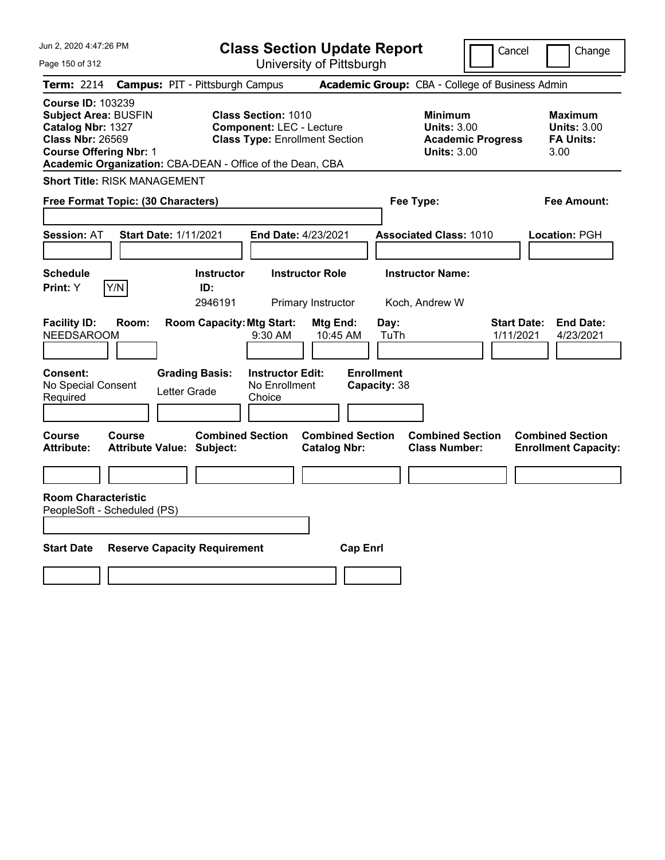| Jun 2, 2020 4:47:26 PM                                                                                                                                                                                | <b>Class Section Update Report</b>                                                                                                  | Cancel                                                                                 | Change                                                           |
|-------------------------------------------------------------------------------------------------------------------------------------------------------------------------------------------------------|-------------------------------------------------------------------------------------------------------------------------------------|----------------------------------------------------------------------------------------|------------------------------------------------------------------|
| Page 150 of 312                                                                                                                                                                                       | University of Pittsburgh                                                                                                            |                                                                                        |                                                                  |
| Term: 2214                                                                                                                                                                                            | <b>Campus: PIT - Pittsburgh Campus</b>                                                                                              | Academic Group: CBA - College of Business Admin                                        |                                                                  |
| <b>Course ID: 103239</b><br><b>Subject Area: BUSFIN</b><br>Catalog Nbr: 1327<br><b>Class Nbr: 26569</b><br><b>Course Offering Nbr: 1</b><br>Academic Organization: CBA-DEAN - Office of the Dean, CBA | <b>Class Section: 1010</b><br><b>Component: LEC - Lecture</b><br><b>Class Type: Enrollment Section</b>                              | <b>Minimum</b><br><b>Units: 3.00</b><br><b>Academic Progress</b><br><b>Units: 3.00</b> | <b>Maximum</b><br><b>Units: 3.00</b><br><b>FA Units:</b><br>3.00 |
| <b>Short Title: RISK MANAGEMENT</b>                                                                                                                                                                   |                                                                                                                                     |                                                                                        |                                                                  |
| Free Format Topic: (30 Characters)                                                                                                                                                                    |                                                                                                                                     | Fee Type:                                                                              | Fee Amount:                                                      |
| <b>Start Date: 1/11/2021</b><br><b>Session: AT</b>                                                                                                                                                    | End Date: 4/23/2021                                                                                                                 | <b>Associated Class: 1010</b>                                                          | Location: PGH                                                    |
| <b>Schedule</b><br>Y/N<br>Print: Y<br><b>Facility ID:</b><br>Room:                                                                                                                                    | <b>Instructor</b><br><b>Instructor Role</b><br>ID:<br>2946191<br>Primary Instructor<br><b>Room Capacity: Mtg Start:</b><br>Mtg End: | <b>Instructor Name:</b><br>Koch, Andrew W<br><b>Start Date:</b><br>Day:                | <b>End Date:</b>                                                 |
| <b>NEEDSAROOM</b>                                                                                                                                                                                     | 9:30 AM<br>10:45 AM                                                                                                                 | TuTh<br>1/11/2021                                                                      | 4/23/2021                                                        |
| Consent:<br><b>Grading Basis:</b><br>No Special Consent<br>Letter Grade<br>Required                                                                                                                   | <b>Instructor Edit:</b><br>No Enrollment<br>Choice                                                                                  | <b>Enrollment</b><br>Capacity: 38                                                      |                                                                  |
| Course<br>Course<br><b>Attribute Value: Subject:</b><br>Attribute:                                                                                                                                    | <b>Combined Section</b><br><b>Combined Section</b><br><b>Catalog Nbr:</b>                                                           | <b>Combined Section</b><br><b>Class Number:</b>                                        | <b>Combined Section</b><br><b>Enrollment Capacity:</b>           |
|                                                                                                                                                                                                       |                                                                                                                                     |                                                                                        |                                                                  |
| <b>Room Characteristic</b><br>PeopleSoft - Scheduled (PS)                                                                                                                                             |                                                                                                                                     |                                                                                        |                                                                  |
| <b>Start Date</b><br><b>Reserve Capacity Requirement</b>                                                                                                                                              | <b>Cap Enrl</b>                                                                                                                     |                                                                                        |                                                                  |
|                                                                                                                                                                                                       |                                                                                                                                     |                                                                                        |                                                                  |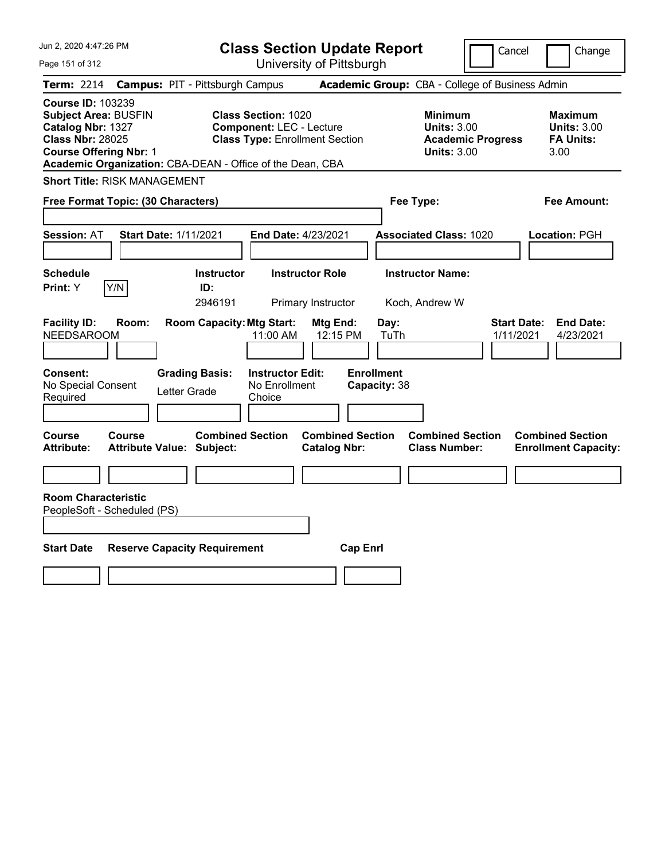| Jun 2, 2020 4:47:26 PM                                                                                                                                                                                | <b>Class Section Update Report</b>                                                                     | Cancel                                                                                 | Change                                                           |
|-------------------------------------------------------------------------------------------------------------------------------------------------------------------------------------------------------|--------------------------------------------------------------------------------------------------------|----------------------------------------------------------------------------------------|------------------------------------------------------------------|
| Page 151 of 312                                                                                                                                                                                       | University of Pittsburgh                                                                               |                                                                                        |                                                                  |
| Term: 2214                                                                                                                                                                                            | <b>Campus: PIT - Pittsburgh Campus</b>                                                                 | Academic Group: CBA - College of Business Admin                                        |                                                                  |
| <b>Course ID: 103239</b><br><b>Subject Area: BUSFIN</b><br>Catalog Nbr: 1327<br><b>Class Nbr: 28025</b><br><b>Course Offering Nbr: 1</b><br>Academic Organization: CBA-DEAN - Office of the Dean, CBA | <b>Class Section: 1020</b><br><b>Component: LEC - Lecture</b><br><b>Class Type: Enrollment Section</b> | <b>Minimum</b><br><b>Units: 3.00</b><br><b>Academic Progress</b><br><b>Units: 3.00</b> | <b>Maximum</b><br><b>Units: 3.00</b><br><b>FA Units:</b><br>3.00 |
| <b>Short Title: RISK MANAGEMENT</b>                                                                                                                                                                   |                                                                                                        |                                                                                        |                                                                  |
| Free Format Topic: (30 Characters)                                                                                                                                                                    |                                                                                                        | Fee Type:                                                                              | Fee Amount:                                                      |
| <b>Start Date: 1/11/2021</b><br><b>Session: AT</b>                                                                                                                                                    | End Date: 4/23/2021                                                                                    | <b>Associated Class: 1020</b>                                                          | Location: PGH                                                    |
| <b>Schedule</b><br>Y/N<br>Print: Y                                                                                                                                                                    | <b>Instructor Role</b><br><b>Instructor</b><br>ID:<br>2946191<br>Primary Instructor                    | <b>Instructor Name:</b><br>Koch, Andrew W                                              |                                                                  |
| <b>Facility ID:</b><br>Room:<br>NEEDSAROOM                                                                                                                                                            | <b>Room Capacity: Mtg Start:</b><br>Mtg End:<br>11:00 AM<br>12:15 PM                                   | <b>Start Date:</b><br>Day:<br>TuTh<br>1/11/2021                                        | <b>End Date:</b><br>4/23/2021                                    |
| <b>Consent:</b><br><b>Grading Basis:</b><br>No Special Consent<br>Letter Grade<br>Required                                                                                                            | <b>Instructor Edit:</b><br>No Enrollment<br>Choice                                                     | <b>Enrollment</b><br>Capacity: 38                                                      |                                                                  |
| <b>Course</b><br><b>Course</b><br><b>Attribute:</b><br><b>Attribute Value: Subject:</b>                                                                                                               | <b>Combined Section</b><br><b>Combined Section</b><br><b>Catalog Nbr:</b>                              | <b>Combined Section</b><br><b>Class Number:</b>                                        | <b>Combined Section</b><br><b>Enrollment Capacity:</b>           |
|                                                                                                                                                                                                       |                                                                                                        |                                                                                        |                                                                  |
| <b>Room Characteristic</b><br>PeopleSoft - Scheduled (PS)                                                                                                                                             |                                                                                                        |                                                                                        |                                                                  |
| <b>Start Date</b><br><b>Reserve Capacity Requirement</b>                                                                                                                                              | <b>Cap Enrl</b>                                                                                        |                                                                                        |                                                                  |
|                                                                                                                                                                                                       |                                                                                                        |                                                                                        |                                                                  |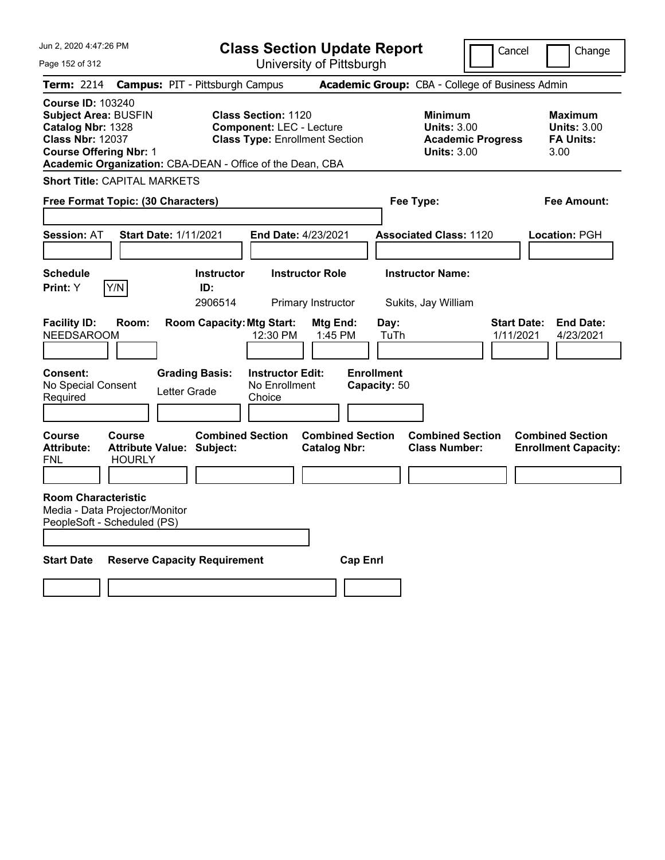| Jun 2, 2020 4:47:26 PM                                                                                                                                                                                | <b>Class Section Update Report</b>                                                                     |                                                                                                   | Cancel<br>Change                                                                             |
|-------------------------------------------------------------------------------------------------------------------------------------------------------------------------------------------------------|--------------------------------------------------------------------------------------------------------|---------------------------------------------------------------------------------------------------|----------------------------------------------------------------------------------------------|
| Page 152 of 312                                                                                                                                                                                       | University of Pittsburgh                                                                               |                                                                                                   |                                                                                              |
| Term: 2214                                                                                                                                                                                            | <b>Campus: PIT - Pittsburgh Campus</b>                                                                 | Academic Group: CBA - College of Business Admin                                                   |                                                                                              |
| <b>Course ID: 103240</b><br><b>Subject Area: BUSFIN</b><br>Catalog Nbr: 1328<br><b>Class Nbr: 12037</b><br><b>Course Offering Nbr: 1</b><br>Academic Organization: CBA-DEAN - Office of the Dean, CBA | <b>Class Section: 1120</b><br><b>Component: LEC - Lecture</b><br><b>Class Type: Enrollment Section</b> | <b>Minimum</b><br><b>Units: 3.00</b><br><b>Units: 3.00</b>                                        | <b>Maximum</b><br><b>Units: 3.00</b><br><b>Academic Progress</b><br><b>FA Units:</b><br>3.00 |
| <b>Short Title: CAPITAL MARKETS</b>                                                                                                                                                                   |                                                                                                        |                                                                                                   |                                                                                              |
| Free Format Topic: (30 Characters)                                                                                                                                                                    |                                                                                                        | Fee Type:                                                                                         | Fee Amount:                                                                                  |
| <b>Session: AT</b><br><b>Start Date: 1/11/2021</b>                                                                                                                                                    | <b>End Date: 4/23/2021</b>                                                                             | <b>Associated Class: 1120</b>                                                                     | Location: PGH                                                                                |
| <b>Schedule</b><br>Y/N<br><b>Print: Y</b>                                                                                                                                                             | <b>Instructor Role</b><br><b>Instructor</b><br>ID:<br>2906514<br>Primary Instructor                    | <b>Instructor Name:</b><br>Sukits, Jay William                                                    |                                                                                              |
| <b>Facility ID:</b><br>Room:<br><b>NEEDSAROOM</b>                                                                                                                                                     | <b>Room Capacity: Mtg Start:</b><br>12:30 PM                                                           | Mtg End:<br>Day:<br>1:45 PM<br>TuTh                                                               | <b>Start Date:</b><br><b>End Date:</b><br>1/11/2021<br>4/23/2021                             |
| Consent:<br>No Special Consent<br>Letter Grade<br>Required                                                                                                                                            | <b>Grading Basis:</b><br><b>Instructor Edit:</b><br>No Enrollment<br>Choice                            | <b>Enrollment</b><br>Capacity: 50                                                                 |                                                                                              |
| Course<br>Course<br><b>Attribute:</b><br><b>Attribute Value: Subject:</b><br>FNL<br><b>HOURLY</b>                                                                                                     | <b>Combined Section</b>                                                                                | <b>Combined Section</b><br><b>Combined Section</b><br><b>Class Number:</b><br><b>Catalog Nbr:</b> | <b>Combined Section</b><br><b>Enrollment Capacity:</b>                                       |
| <b>Room Characteristic</b><br>Media - Data Projector/Monitor<br>PeopleSoft - Scheduled (PS)                                                                                                           |                                                                                                        |                                                                                                   |                                                                                              |
| <b>Start Date</b><br><b>Reserve Capacity Requirement</b>                                                                                                                                              |                                                                                                        | <b>Cap Enri</b>                                                                                   |                                                                                              |
|                                                                                                                                                                                                       |                                                                                                        |                                                                                                   |                                                                                              |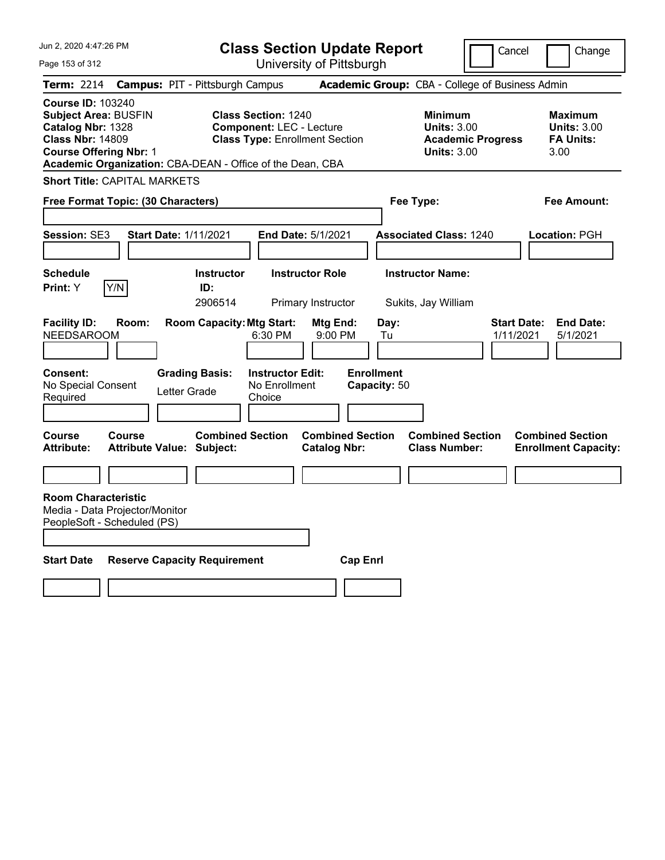| Jun 2, 2020 4:47:26 PM                                                                                                                                                                                | <b>Class Section Update Report</b>                                                                     |                                                                                        | Cancel<br>Change                                                 |
|-------------------------------------------------------------------------------------------------------------------------------------------------------------------------------------------------------|--------------------------------------------------------------------------------------------------------|----------------------------------------------------------------------------------------|------------------------------------------------------------------|
| Page 153 of 312                                                                                                                                                                                       | University of Pittsburgh                                                                               |                                                                                        |                                                                  |
| <b>Campus: PIT - Pittsburgh Campus</b><br><b>Term: 2214</b>                                                                                                                                           |                                                                                                        | Academic Group: CBA - College of Business Admin                                        |                                                                  |
| <b>Course ID: 103240</b><br><b>Subject Area: BUSFIN</b><br>Catalog Nbr: 1328<br><b>Class Nbr: 14809</b><br><b>Course Offering Nbr: 1</b><br>Academic Organization: CBA-DEAN - Office of the Dean, CBA | <b>Class Section: 1240</b><br><b>Component: LEC - Lecture</b><br><b>Class Type: Enrollment Section</b> | <b>Minimum</b><br><b>Units: 3.00</b><br><b>Academic Progress</b><br><b>Units: 3.00</b> | <b>Maximum</b><br><b>Units: 3.00</b><br><b>FA Units:</b><br>3.00 |
| <b>Short Title: CAPITAL MARKETS</b>                                                                                                                                                                   |                                                                                                        |                                                                                        |                                                                  |
| Free Format Topic: (30 Characters)                                                                                                                                                                    |                                                                                                        | Fee Type:                                                                              | Fee Amount:                                                      |
| Session: SE3<br><b>Start Date: 1/11/2021</b>                                                                                                                                                          | End Date: 5/1/2021                                                                                     | <b>Associated Class: 1240</b>                                                          | Location: PGH                                                    |
| <b>Schedule</b><br>Y/N<br>Print: Y                                                                                                                                                                    | <b>Instructor Role</b><br><b>Instructor</b><br>ID:<br>2906514<br>Primary Instructor                    | <b>Instructor Name:</b><br>Sukits, Jay William                                         |                                                                  |
| <b>Facility ID:</b><br>Room:<br><b>NEEDSAROOM</b>                                                                                                                                                     | <b>Room Capacity: Mtg Start:</b><br>Mtg End:<br>6:30 PM<br>9:00 PM                                     | Day:<br>Tu                                                                             | <b>Start Date:</b><br><b>End Date:</b><br>1/11/2021<br>5/1/2021  |
| <b>Consent:</b><br><b>Grading Basis:</b><br>No Special Consent<br>Letter Grade<br>Required                                                                                                            | <b>Instructor Edit:</b><br>No Enrollment<br>Choice                                                     | <b>Enrollment</b><br>Capacity: 50                                                      |                                                                  |
| <b>Course</b><br>Course<br><b>Attribute:</b><br><b>Attribute Value: Subject:</b>                                                                                                                      | <b>Combined Section</b><br><b>Combined Section</b><br><b>Catalog Nbr:</b>                              | <b>Combined Section</b><br><b>Class Number:</b>                                        | <b>Combined Section</b><br><b>Enrollment Capacity:</b>           |
|                                                                                                                                                                                                       |                                                                                                        |                                                                                        |                                                                  |
| <b>Room Characteristic</b><br>Media - Data Projector/Monitor<br>PeopleSoft - Scheduled (PS)                                                                                                           |                                                                                                        |                                                                                        |                                                                  |
| <b>Start Date</b><br><b>Reserve Capacity Requirement</b>                                                                                                                                              | <b>Cap Enri</b>                                                                                        |                                                                                        |                                                                  |
|                                                                                                                                                                                                       |                                                                                                        |                                                                                        |                                                                  |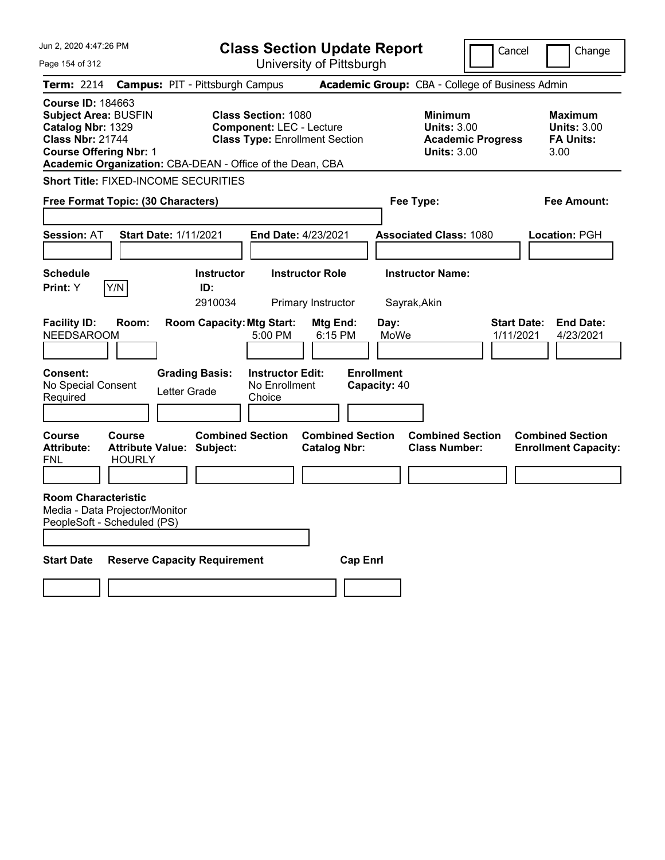| Jun 2, 2020 4:47:26 PM                                                                                                                                                                                |                                                                                                        | <b>Class Section Update Report</b>             |                                                            | Cancel                          | Change                                                    |
|-------------------------------------------------------------------------------------------------------------------------------------------------------------------------------------------------------|--------------------------------------------------------------------------------------------------------|------------------------------------------------|------------------------------------------------------------|---------------------------------|-----------------------------------------------------------|
| Page 154 of 312                                                                                                                                                                                       |                                                                                                        | University of Pittsburgh                       |                                                            |                                 |                                                           |
| <b>Term: 2214</b>                                                                                                                                                                                     | <b>Campus: PIT - Pittsburgh Campus</b>                                                                 |                                                | Academic Group: CBA - College of Business Admin            |                                 |                                                           |
| <b>Course ID: 184663</b><br><b>Subject Area: BUSFIN</b><br>Catalog Nbr: 1329<br><b>Class Nbr: 21744</b><br><b>Course Offering Nbr: 1</b><br>Academic Organization: CBA-DEAN - Office of the Dean, CBA | <b>Class Section: 1080</b><br><b>Component: LEC - Lecture</b><br><b>Class Type: Enrollment Section</b> |                                                | <b>Minimum</b><br><b>Units: 3.00</b><br><b>Units: 3.00</b> | <b>Academic Progress</b>        | Maximum<br><b>Units: 3.00</b><br><b>FA Units:</b><br>3.00 |
| <b>Short Title: FIXED-INCOME SECURITIES</b>                                                                                                                                                           |                                                                                                        |                                                |                                                            |                                 |                                                           |
| Free Format Topic: (30 Characters)                                                                                                                                                                    |                                                                                                        |                                                | Fee Type:                                                  |                                 | Fee Amount:                                               |
| <b>Session: AT</b>                                                                                                                                                                                    | <b>Start Date: 1/11/2021</b>                                                                           | End Date: 4/23/2021                            | <b>Associated Class: 1080</b>                              |                                 | Location: PGH                                             |
| <b>Schedule</b><br>Y/N<br>Print: Y                                                                                                                                                                    | <b>Instructor</b><br>ID:<br>2910034                                                                    | <b>Instructor Role</b><br>Primary Instructor   | <b>Instructor Name:</b><br>Sayrak, Akin                    |                                 |                                                           |
| <b>Facility ID:</b><br>Room:<br><b>NEEDSAROOM</b>                                                                                                                                                     | <b>Room Capacity: Mtg Start:</b><br>5:00 PM                                                            | Mtg End:<br>6:15 PM                            | Day:<br>MoWe                                               | <b>Start Date:</b><br>1/11/2021 | <b>End Date:</b><br>4/23/2021                             |
| Consent:<br>No Special Consent<br>Required                                                                                                                                                            | <b>Grading Basis:</b><br><b>Instructor Edit:</b><br>No Enrollment<br>Letter Grade<br>Choice            |                                                | <b>Enrollment</b><br>Capacity: 40                          |                                 |                                                           |
| Course<br>Course<br><b>Attribute:</b><br><b>HOURLY</b><br><b>FNL</b>                                                                                                                                  | <b>Combined Section</b><br><b>Attribute Value: Subject:</b>                                            | <b>Combined Section</b><br><b>Catalog Nbr:</b> | <b>Combined Section</b><br><b>Class Number:</b>            |                                 | <b>Combined Section</b><br><b>Enrollment Capacity:</b>    |
| <b>Room Characteristic</b><br>Media - Data Projector/Monitor<br>PeopleSoft - Scheduled (PS)                                                                                                           |                                                                                                        |                                                |                                                            |                                 |                                                           |
| <b>Start Date</b>                                                                                                                                                                                     | <b>Reserve Capacity Requirement</b>                                                                    | <b>Cap Enrl</b>                                |                                                            |                                 |                                                           |
|                                                                                                                                                                                                       |                                                                                                        |                                                |                                                            |                                 |                                                           |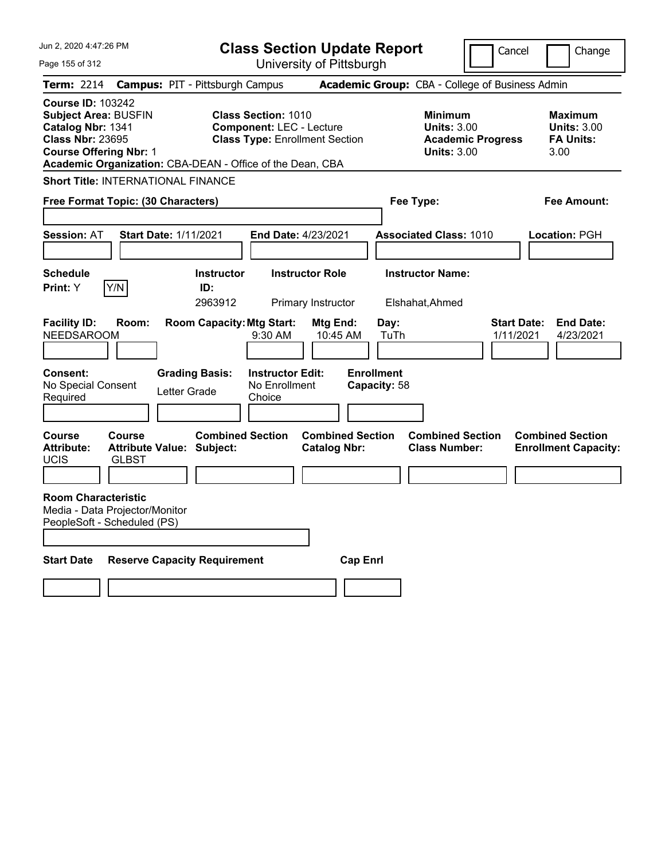| Jun 2, 2020 4:47:26 PM                                                                                                                                                                                | <b>Class Section Update Report</b>                                                                     |                                                |                                                            | Cancel                          | Change                                                           |
|-------------------------------------------------------------------------------------------------------------------------------------------------------------------------------------------------------|--------------------------------------------------------------------------------------------------------|------------------------------------------------|------------------------------------------------------------|---------------------------------|------------------------------------------------------------------|
| Page 155 of 312                                                                                                                                                                                       |                                                                                                        | University of Pittsburgh                       |                                                            |                                 |                                                                  |
| Term: 2214                                                                                                                                                                                            | <b>Campus: PIT - Pittsburgh Campus</b>                                                                 |                                                | Academic Group: CBA - College of Business Admin            |                                 |                                                                  |
| <b>Course ID: 103242</b><br><b>Subject Area: BUSFIN</b><br>Catalog Nbr: 1341<br><b>Class Nbr: 23695</b><br><b>Course Offering Nbr: 1</b><br>Academic Organization: CBA-DEAN - Office of the Dean, CBA | <b>Class Section: 1010</b><br><b>Component: LEC - Lecture</b><br><b>Class Type: Enrollment Section</b> |                                                | <b>Minimum</b><br><b>Units: 3.00</b><br><b>Units: 3.00</b> | <b>Academic Progress</b>        | <b>Maximum</b><br><b>Units: 3.00</b><br><b>FA Units:</b><br>3.00 |
| <b>Short Title: INTERNATIONAL FINANCE</b>                                                                                                                                                             |                                                                                                        |                                                |                                                            |                                 |                                                                  |
| Free Format Topic: (30 Characters)                                                                                                                                                                    |                                                                                                        |                                                | Fee Type:                                                  |                                 | Fee Amount:                                                      |
| <b>Start Date: 1/11/2021</b><br><b>Session: AT</b>                                                                                                                                                    | End Date: 4/23/2021                                                                                    |                                                | <b>Associated Class: 1010</b>                              |                                 | Location: PGH                                                    |
| <b>Schedule</b><br>Y/N<br>Print: Y                                                                                                                                                                    | <b>Instructor</b><br>ID:<br>2963912                                                                    | <b>Instructor Role</b><br>Primary Instructor   | <b>Instructor Name:</b><br>Elshahat, Ahmed                 |                                 |                                                                  |
| <b>Facility ID:</b><br>Room:<br><b>NEEDSAROOM</b>                                                                                                                                                     | <b>Room Capacity: Mtg Start:</b><br>9:30 AM                                                            | Mtg End:<br>10:45 AM                           | Day:<br>TuTh                                               | <b>Start Date:</b><br>1/11/2021 | <b>End Date:</b><br>4/23/2021                                    |
| Consent:<br>No Special Consent<br>Required                                                                                                                                                            | <b>Grading Basis:</b><br><b>Instructor Edit:</b><br>No Enrollment<br>Letter Grade<br>Choice            |                                                | <b>Enrollment</b><br>Capacity: 58                          |                                 |                                                                  |
| Course<br>Course<br><b>Attribute:</b><br><b>Attribute Value: Subject:</b><br>UCIS<br><b>GLBST</b>                                                                                                     | <b>Combined Section</b>                                                                                | <b>Combined Section</b><br><b>Catalog Nbr:</b> | <b>Combined Section</b><br><b>Class Number:</b>            |                                 | <b>Combined Section</b><br><b>Enrollment Capacity:</b>           |
| <b>Room Characteristic</b><br>Media - Data Projector/Monitor<br>PeopleSoft - Scheduled (PS)                                                                                                           |                                                                                                        |                                                |                                                            |                                 |                                                                  |
| <b>Start Date</b>                                                                                                                                                                                     | <b>Reserve Capacity Requirement</b>                                                                    | <b>Cap Enrl</b>                                |                                                            |                                 |                                                                  |
|                                                                                                                                                                                                       |                                                                                                        |                                                |                                                            |                                 |                                                                  |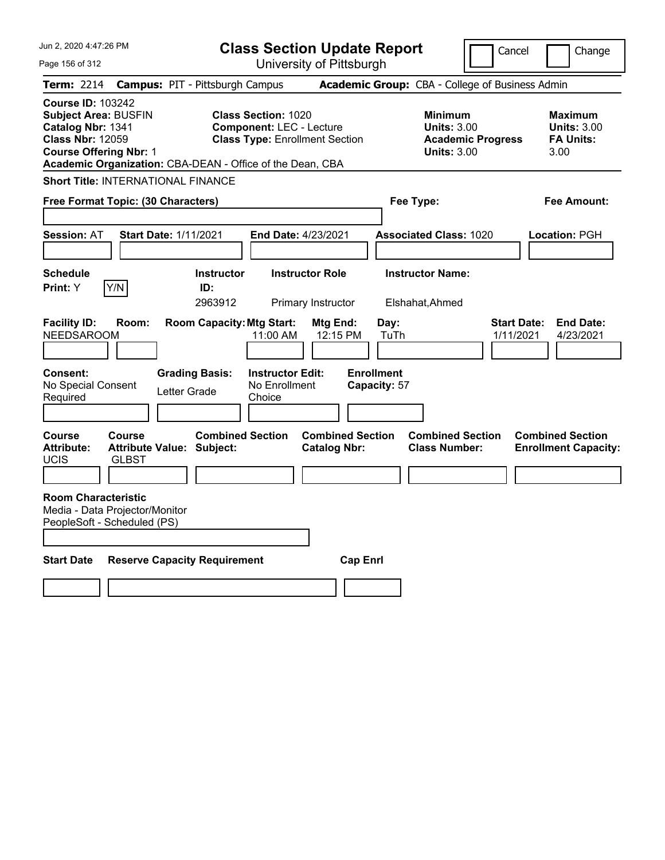| Jun 2, 2020 4:47:26 PM                                                                                                                                                                                | <b>Class Section Update Report</b>                                                                     |                                                |                                                            | Cancel                          | Change                                                           |
|-------------------------------------------------------------------------------------------------------------------------------------------------------------------------------------------------------|--------------------------------------------------------------------------------------------------------|------------------------------------------------|------------------------------------------------------------|---------------------------------|------------------------------------------------------------------|
| Page 156 of 312                                                                                                                                                                                       |                                                                                                        | University of Pittsburgh                       |                                                            |                                 |                                                                  |
| Term: 2214                                                                                                                                                                                            | <b>Campus: PIT - Pittsburgh Campus</b>                                                                 |                                                | Academic Group: CBA - College of Business Admin            |                                 |                                                                  |
| <b>Course ID: 103242</b><br><b>Subject Area: BUSFIN</b><br>Catalog Nbr: 1341<br><b>Class Nbr: 12059</b><br><b>Course Offering Nbr: 1</b><br>Academic Organization: CBA-DEAN - Office of the Dean, CBA | <b>Class Section: 1020</b><br><b>Component: LEC - Lecture</b><br><b>Class Type: Enrollment Section</b> |                                                | <b>Minimum</b><br><b>Units: 3.00</b><br><b>Units: 3.00</b> | <b>Academic Progress</b>        | <b>Maximum</b><br><b>Units: 3.00</b><br><b>FA Units:</b><br>3.00 |
| <b>Short Title: INTERNATIONAL FINANCE</b>                                                                                                                                                             |                                                                                                        |                                                |                                                            |                                 |                                                                  |
| Free Format Topic: (30 Characters)                                                                                                                                                                    |                                                                                                        |                                                | Fee Type:                                                  |                                 | Fee Amount:                                                      |
| <b>Start Date: 1/11/2021</b><br><b>Session: AT</b>                                                                                                                                                    | End Date: 4/23/2021                                                                                    |                                                | <b>Associated Class: 1020</b>                              |                                 | Location: PGH                                                    |
| <b>Schedule</b><br>Y/N<br>Print: Y                                                                                                                                                                    | <b>Instructor</b><br>ID:<br>2963912                                                                    | <b>Instructor Role</b><br>Primary Instructor   | <b>Instructor Name:</b><br>Elshahat, Ahmed                 |                                 |                                                                  |
| <b>Facility ID:</b><br>Room:<br><b>NEEDSAROOM</b>                                                                                                                                                     | <b>Room Capacity: Mtg Start:</b><br>11:00 AM                                                           | Mtg End:<br>12:15 PM                           | Day:<br>TuTh                                               | <b>Start Date:</b><br>1/11/2021 | <b>End Date:</b><br>4/23/2021                                    |
| Consent:<br>No Special Consent<br>Required                                                                                                                                                            | <b>Grading Basis:</b><br><b>Instructor Edit:</b><br>No Enrollment<br>Letter Grade<br>Choice            |                                                | <b>Enrollment</b><br>Capacity: 57                          |                                 |                                                                  |
| Course<br>Course<br><b>Attribute:</b><br><b>Attribute Value: Subject:</b><br>UCIS<br><b>GLBST</b>                                                                                                     | <b>Combined Section</b>                                                                                | <b>Combined Section</b><br><b>Catalog Nbr:</b> | <b>Combined Section</b><br><b>Class Number:</b>            |                                 | <b>Combined Section</b><br><b>Enrollment Capacity:</b>           |
| <b>Room Characteristic</b><br>Media - Data Projector/Monitor<br>PeopleSoft - Scheduled (PS)                                                                                                           |                                                                                                        |                                                |                                                            |                                 |                                                                  |
| <b>Start Date</b>                                                                                                                                                                                     | <b>Reserve Capacity Requirement</b>                                                                    | <b>Cap Enrl</b>                                |                                                            |                                 |                                                                  |
|                                                                                                                                                                                                       |                                                                                                        |                                                |                                                            |                                 |                                                                  |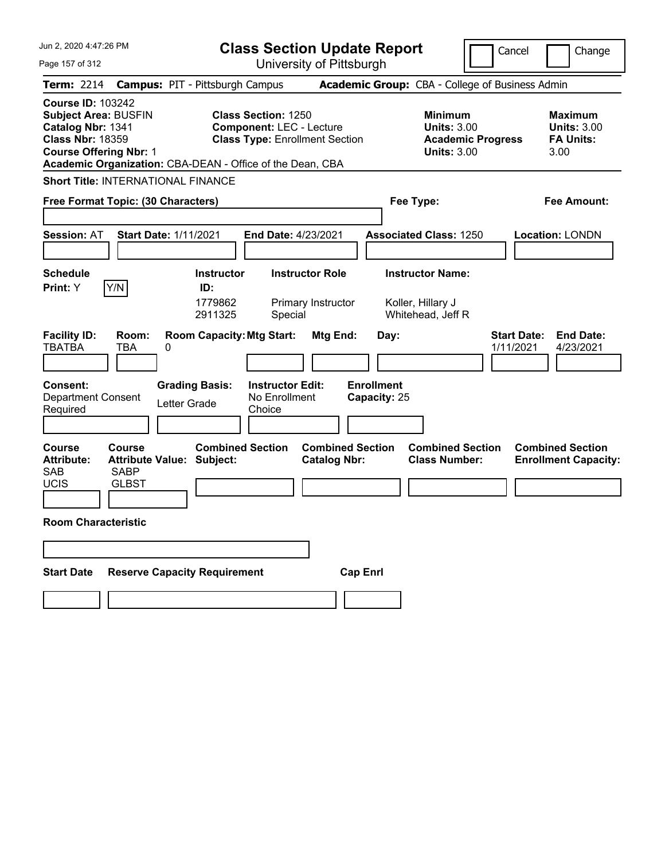| Jun 2, 2020 4:47:26 PM                                                                                                                       | <b>Class Section Update Report</b>                                                                                                                                  |                                                                                        | Cancel<br>Change                                                 |
|----------------------------------------------------------------------------------------------------------------------------------------------|---------------------------------------------------------------------------------------------------------------------------------------------------------------------|----------------------------------------------------------------------------------------|------------------------------------------------------------------|
| Page 157 of 312                                                                                                                              | University of Pittsburgh                                                                                                                                            |                                                                                        |                                                                  |
| <b>Term: 2214</b>                                                                                                                            | <b>Campus: PIT - Pittsburgh Campus</b>                                                                                                                              | Academic Group: CBA - College of Business Admin                                        |                                                                  |
| <b>Course ID: 103242</b><br><b>Subject Area: BUSFIN</b><br>Catalog Nbr: 1341<br><b>Class Nbr: 18359</b><br><b>Course Offering Nbr: 1</b>     | <b>Class Section: 1250</b><br><b>Component: LEC - Lecture</b><br><b>Class Type: Enrollment Section</b><br>Academic Organization: CBA-DEAN - Office of the Dean, CBA | <b>Minimum</b><br><b>Units: 3.00</b><br><b>Academic Progress</b><br><b>Units: 3.00</b> | <b>Maximum</b><br><b>Units: 3.00</b><br><b>FA Units:</b><br>3.00 |
| <b>Short Title: INTERNATIONAL FINANCE</b>                                                                                                    |                                                                                                                                                                     |                                                                                        |                                                                  |
| Free Format Topic: (30 Characters)                                                                                                           |                                                                                                                                                                     | Fee Type:                                                                              | <b>Fee Amount:</b>                                               |
| <b>Start Date: 1/11/2021</b><br><b>Session: AT</b>                                                                                           | End Date: 4/23/2021                                                                                                                                                 | <b>Associated Class: 1250</b>                                                          | <b>Location: LONDN</b>                                           |
| <b>Schedule</b>                                                                                                                              | <b>Instructor Role</b><br><b>Instructor</b>                                                                                                                         | <b>Instructor Name:</b>                                                                |                                                                  |
| Y/N<br>Print: Y                                                                                                                              | ID:<br>1779862<br>Primary Instructor<br>2911325<br>Special                                                                                                          | Koller, Hillary J<br>Whitehead, Jeff R                                                 |                                                                  |
| <b>Facility ID:</b><br>Room:<br><b>TBATBA</b><br>TBA<br>0                                                                                    | <b>Room Capacity: Mtg Start:</b><br><b>Mtg End:</b>                                                                                                                 | Day:                                                                                   | <b>Start Date:</b><br><b>End Date:</b><br>1/11/2021<br>4/23/2021 |
| <b>Consent:</b><br><b>Department Consent</b><br>Letter Grade<br>Required                                                                     | <b>Grading Basis:</b><br><b>Instructor Edit:</b><br>No Enrollment<br>Choice                                                                                         | <b>Enrollment</b><br>Capacity: 25                                                      |                                                                  |
| <b>Course</b><br>Course<br><b>Attribute Value: Subject:</b><br><b>Attribute:</b><br><b>SAB</b><br><b>SABP</b><br><b>UCIS</b><br><b>GLBST</b> | <b>Combined Section</b><br><b>Catalog Nbr:</b>                                                                                                                      | <b>Combined Section</b><br><b>Combined Section</b><br><b>Class Number:</b>             | <b>Combined Section</b><br><b>Enrollment Capacity:</b>           |
| <b>Room Characteristic</b>                                                                                                                   |                                                                                                                                                                     |                                                                                        |                                                                  |
| <b>Reserve Capacity Requirement</b><br><b>Start Date</b>                                                                                     |                                                                                                                                                                     | <b>Cap Enrl</b>                                                                        |                                                                  |
|                                                                                                                                              |                                                                                                                                                                     |                                                                                        |                                                                  |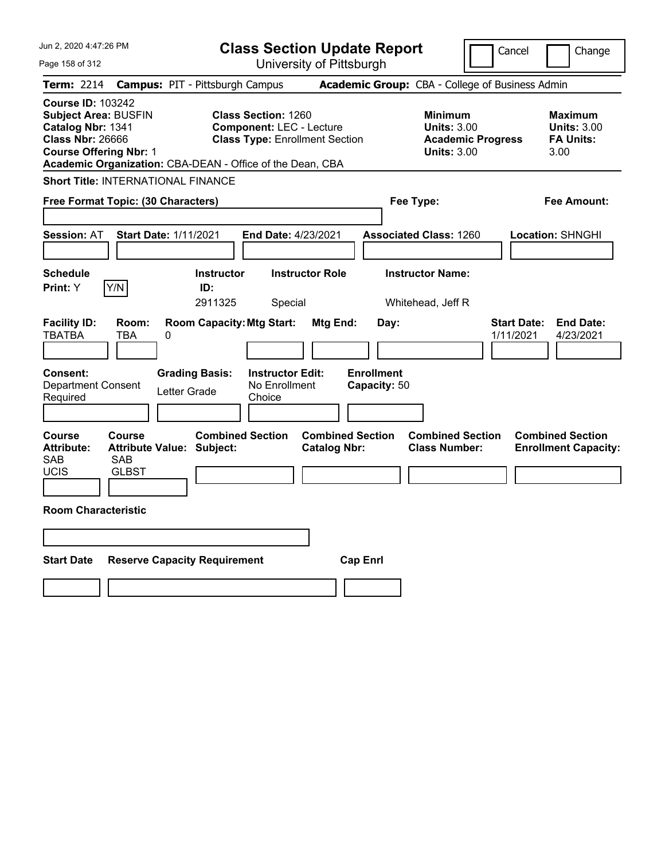| Jun 2, 2020 4:47:26 PM                                                                                                                   | <b>Class Section Update Report</b>                                                                                                                                  |                                                                                                   | Cancel<br>Change                                                                             |
|------------------------------------------------------------------------------------------------------------------------------------------|---------------------------------------------------------------------------------------------------------------------------------------------------------------------|---------------------------------------------------------------------------------------------------|----------------------------------------------------------------------------------------------|
| Page 158 of 312                                                                                                                          | University of Pittsburgh                                                                                                                                            |                                                                                                   |                                                                                              |
| <b>Term: 2214</b>                                                                                                                        | <b>Campus: PIT - Pittsburgh Campus</b>                                                                                                                              | Academic Group: CBA - College of Business Admin                                                   |                                                                                              |
| <b>Course ID: 103242</b><br><b>Subject Area: BUSFIN</b><br>Catalog Nbr: 1341<br><b>Class Nbr: 26666</b><br><b>Course Offering Nbr: 1</b> | <b>Class Section: 1260</b><br><b>Component: LEC - Lecture</b><br><b>Class Type: Enrollment Section</b><br>Academic Organization: CBA-DEAN - Office of the Dean, CBA | <b>Minimum</b><br><b>Units: 3.00</b><br><b>Units: 3.00</b>                                        | <b>Maximum</b><br><b>Units: 3.00</b><br><b>Academic Progress</b><br><b>FA Units:</b><br>3.00 |
| <b>Short Title: INTERNATIONAL FINANCE</b>                                                                                                |                                                                                                                                                                     |                                                                                                   |                                                                                              |
| Free Format Topic: (30 Characters)                                                                                                       |                                                                                                                                                                     | Fee Type:                                                                                         | Fee Amount:                                                                                  |
| <b>Session: AT</b><br><b>Start Date: 1/11/2021</b>                                                                                       | <b>End Date: 4/23/2021</b>                                                                                                                                          | <b>Associated Class: 1260</b>                                                                     | Location: SHNGHI                                                                             |
| <b>Schedule</b>                                                                                                                          | <b>Instructor</b><br><b>Instructor Role</b>                                                                                                                         | <b>Instructor Name:</b>                                                                           |                                                                                              |
| Y/N<br><b>Print:</b> Y                                                                                                                   | ID:<br>2911325<br>Special                                                                                                                                           | Whitehead, Jeff R                                                                                 |                                                                                              |
| <b>Facility ID:</b><br>Room:<br>TBATBA<br>TBA<br>0<br>Consent:<br><b>Department Consent</b><br>Required                                  | <b>Room Capacity: Mtg Start:</b><br><b>Grading Basis:</b><br><b>Instructor Edit:</b><br>No Enrollment<br>Letter Grade<br>Choice                                     | Mtg End:<br>Day:<br><b>Enrollment</b><br>Capacity: 50                                             | <b>Start Date:</b><br><b>End Date:</b><br>4/23/2021<br>1/11/2021                             |
| <b>Course</b><br><b>Course</b><br><b>Attribute Value: Subject:</b><br><b>Attribute:</b><br>SAB<br>SAB<br><b>UCIS</b><br><b>GLBST</b>     | <b>Combined Section</b>                                                                                                                                             | <b>Combined Section</b><br><b>Combined Section</b><br><b>Class Number:</b><br><b>Catalog Nbr:</b> | <b>Combined Section</b><br><b>Enrollment Capacity:</b>                                       |
| <b>Room Characteristic</b>                                                                                                               |                                                                                                                                                                     |                                                                                                   |                                                                                              |
|                                                                                                                                          |                                                                                                                                                                     |                                                                                                   |                                                                                              |
| <b>Start Date</b>                                                                                                                        | <b>Reserve Capacity Requirement</b>                                                                                                                                 | <b>Cap Enrl</b>                                                                                   |                                                                                              |
|                                                                                                                                          |                                                                                                                                                                     |                                                                                                   |                                                                                              |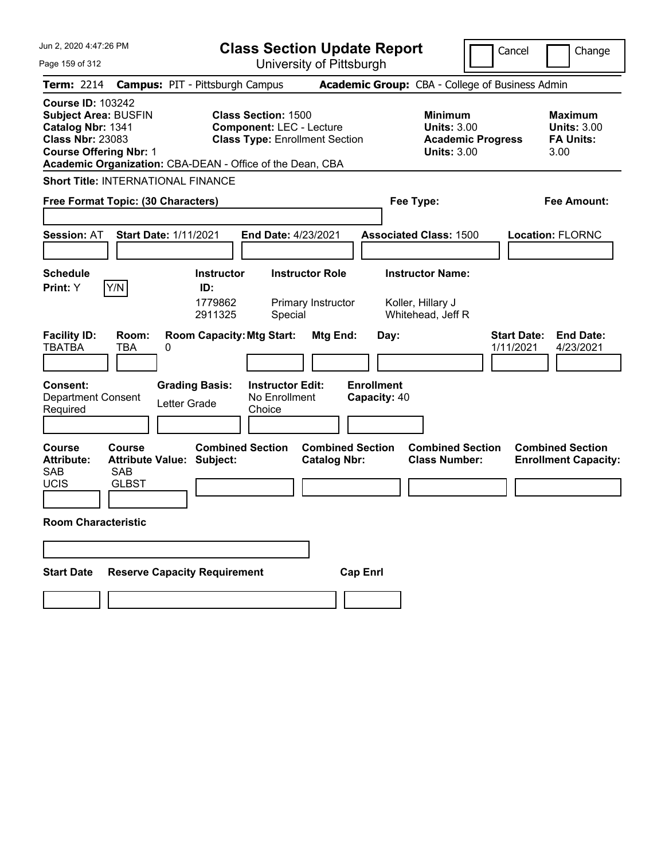| Jun 2, 2020 4:47:26 PM                                                                                                                   | <b>Class Section Update Report</b>                                                                                                                                  |                                                                                                    | Cancel<br>Change                                                 |
|------------------------------------------------------------------------------------------------------------------------------------------|---------------------------------------------------------------------------------------------------------------------------------------------------------------------|----------------------------------------------------------------------------------------------------|------------------------------------------------------------------|
| Page 159 of 312                                                                                                                          | University of Pittsburgh                                                                                                                                            |                                                                                                    |                                                                  |
| <b>Term: 2214</b>                                                                                                                        | <b>Campus: PIT - Pittsburgh Campus</b>                                                                                                                              | Academic Group: CBA - College of Business Admin                                                    |                                                                  |
| <b>Course ID: 103242</b><br><b>Subject Area: BUSFIN</b><br>Catalog Nbr: 1341<br><b>Class Nbr: 23083</b><br><b>Course Offering Nbr: 1</b> | <b>Class Section: 1500</b><br><b>Component: LEC - Lecture</b><br><b>Class Type: Enrollment Section</b><br>Academic Organization: CBA-DEAN - Office of the Dean, CBA | <b>Minimum</b><br><b>Units: 3.00</b><br><b>Academic Progress</b><br><b>Units: 3.00</b>             | <b>Maximum</b><br><b>Units: 3.00</b><br><b>FA Units:</b><br>3.00 |
| <b>Short Title: INTERNATIONAL FINANCE</b>                                                                                                |                                                                                                                                                                     |                                                                                                    |                                                                  |
| Free Format Topic: (30 Characters)                                                                                                       |                                                                                                                                                                     | Fee Type:                                                                                          | <b>Fee Amount:</b>                                               |
| <b>Start Date: 1/11/2021</b><br><b>Session: AT</b><br><b>Schedule</b><br>Y/N<br>Print: Y                                                 | End Date: 4/23/2021<br><b>Instructor Role</b><br><b>Instructor</b><br>ID:<br>1779862<br>Primary Instructor<br>2911325<br>Special                                    | <b>Associated Class: 1500</b><br><b>Instructor Name:</b><br>Koller, Hillary J<br>Whitehead, Jeff R | <b>Location: FLORNC</b>                                          |
| <b>Facility ID:</b><br>Room:<br><b>TBATBA</b><br>TBA<br>0<br><b>Consent:</b>                                                             | <b>Room Capacity: Mtg Start:</b><br><b>Mtg End:</b><br><b>Grading Basis:</b><br><b>Instructor Edit:</b>                                                             | Day:<br><b>Enrollment</b>                                                                          | <b>Start Date:</b><br><b>End Date:</b><br>1/11/2021<br>4/23/2021 |
| <b>Department Consent</b><br>Letter Grade<br>Required                                                                                    | No Enrollment<br>Choice                                                                                                                                             | Capacity: 40                                                                                       |                                                                  |
| <b>Course</b><br>Course<br><b>Attribute Value: Subject:</b><br><b>Attribute:</b><br><b>SAB</b><br>SAB<br><b>UCIS</b><br><b>GLBST</b>     | <b>Combined Section</b><br><b>Combined Section</b><br><b>Catalog Nbr:</b>                                                                                           | <b>Combined Section</b><br><b>Class Number:</b>                                                    | <b>Combined Section</b><br><b>Enrollment Capacity:</b>           |
| <b>Room Characteristic</b>                                                                                                               |                                                                                                                                                                     |                                                                                                    |                                                                  |
| <b>Reserve Capacity Requirement</b><br><b>Start Date</b>                                                                                 |                                                                                                                                                                     | <b>Cap Enrl</b>                                                                                    |                                                                  |
|                                                                                                                                          |                                                                                                                                                                     |                                                                                                    |                                                                  |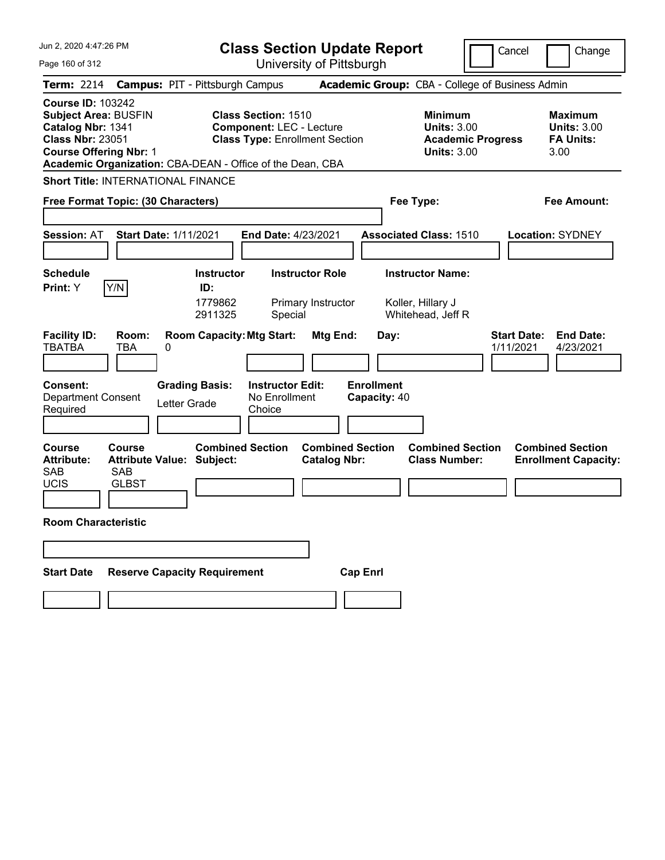| Jun 2, 2020 4:47:26 PM                                                                                                                                             | <b>Class Section Update Report</b>                                                                                                                                  |                                                                                                    | Cancel<br>Change                                                 |
|--------------------------------------------------------------------------------------------------------------------------------------------------------------------|---------------------------------------------------------------------------------------------------------------------------------------------------------------------|----------------------------------------------------------------------------------------------------|------------------------------------------------------------------|
| Page 160 of 312                                                                                                                                                    | University of Pittsburgh                                                                                                                                            |                                                                                                    |                                                                  |
| <b>Term: 2214</b>                                                                                                                                                  | <b>Campus: PIT - Pittsburgh Campus</b>                                                                                                                              | Academic Group: CBA - College of Business Admin                                                    |                                                                  |
| <b>Course ID: 103242</b><br><b>Subject Area: BUSFIN</b><br>Catalog Nbr: 1341<br><b>Class Nbr: 23051</b><br><b>Course Offering Nbr: 1</b>                           | <b>Class Section: 1510</b><br><b>Component: LEC - Lecture</b><br><b>Class Type: Enrollment Section</b><br>Academic Organization: CBA-DEAN - Office of the Dean, CBA | <b>Minimum</b><br><b>Units: 3.00</b><br><b>Academic Progress</b><br><b>Units: 3.00</b>             | <b>Maximum</b><br><b>Units: 3.00</b><br><b>FA Units:</b><br>3.00 |
| <b>Short Title: INTERNATIONAL FINANCE</b>                                                                                                                          |                                                                                                                                                                     |                                                                                                    |                                                                  |
| Free Format Topic: (30 Characters)                                                                                                                                 |                                                                                                                                                                     | Fee Type:                                                                                          | <b>Fee Amount:</b>                                               |
| <b>Start Date: 1/11/2021</b><br><b>Session: AT</b><br><b>Schedule</b><br>Y/N<br>Print: Y                                                                           | End Date: 4/23/2021<br><b>Instructor Role</b><br><b>Instructor</b><br>ID:<br>1779862<br>Primary Instructor<br>2911325                                               | <b>Associated Class: 1510</b><br><b>Instructor Name:</b><br>Koller, Hillary J<br>Whitehead, Jeff R | <b>Location: SYDNEY</b>                                          |
| <b>Facility ID:</b><br>Room:<br><b>TBATBA</b><br>TBA<br>0<br><b>Consent:</b><br><b>Department Consent</b><br>Required                                              | Special<br><b>Room Capacity: Mtg Start:</b><br><b>Mtg End:</b><br><b>Grading Basis:</b><br><b>Instructor Edit:</b><br>No Enrollment<br>Letter Grade<br>Choice       | Day:<br><b>Enrollment</b><br>Capacity: 40                                                          | <b>Start Date:</b><br><b>End Date:</b><br>1/11/2021<br>4/23/2021 |
| <b>Course</b><br>Course<br><b>Attribute Value: Subject:</b><br><b>Attribute:</b><br><b>SAB</b><br>SAB<br><b>UCIS</b><br><b>GLBST</b><br><b>Room Characteristic</b> | <b>Combined Section</b><br><b>Combined Section</b><br><b>Catalog Nbr:</b>                                                                                           | <b>Combined Section</b><br><b>Class Number:</b>                                                    | <b>Combined Section</b><br><b>Enrollment Capacity:</b>           |
|                                                                                                                                                                    |                                                                                                                                                                     |                                                                                                    |                                                                  |
| <b>Reserve Capacity Requirement</b><br><b>Start Date</b>                                                                                                           | <b>Cap Enrl</b>                                                                                                                                                     |                                                                                                    |                                                                  |
|                                                                                                                                                                    |                                                                                                                                                                     |                                                                                                    |                                                                  |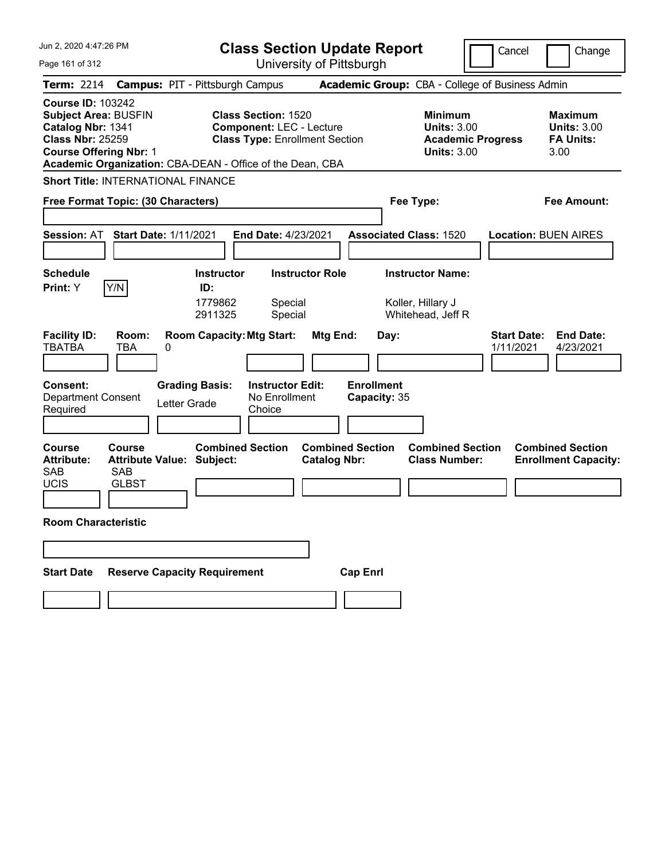| Jun 2, 2020 4:47:26 PM                                                                                                                             | <b>Class Section Update Report</b>                                                                                                                                  |                                                                                        | Cancel<br>Change                                                 |
|----------------------------------------------------------------------------------------------------------------------------------------------------|---------------------------------------------------------------------------------------------------------------------------------------------------------------------|----------------------------------------------------------------------------------------|------------------------------------------------------------------|
| Page 161 of 312                                                                                                                                    | University of Pittsburgh                                                                                                                                            |                                                                                        |                                                                  |
| <b>Term: 2214</b>                                                                                                                                  | <b>Campus: PIT - Pittsburgh Campus</b>                                                                                                                              | Academic Group: CBA - College of Business Admin                                        |                                                                  |
| <b>Course ID: 103242</b><br><b>Subject Area: BUSFIN</b><br>Catalog Nbr: 1341<br><b>Class Nbr: 25259</b><br><b>Course Offering Nbr: 1</b>           | <b>Class Section: 1520</b><br><b>Component: LEC - Lecture</b><br><b>Class Type: Enrollment Section</b><br>Academic Organization: CBA-DEAN - Office of the Dean, CBA | <b>Minimum</b><br><b>Units: 3.00</b><br><b>Academic Progress</b><br><b>Units: 3.00</b> | <b>Maximum</b><br><b>Units: 3.00</b><br><b>FA Units:</b><br>3.00 |
| <b>Short Title: INTERNATIONAL FINANCE</b>                                                                                                          |                                                                                                                                                                     |                                                                                        |                                                                  |
| Free Format Topic: (30 Characters)                                                                                                                 |                                                                                                                                                                     | Fee Type:                                                                              | <b>Fee Amount:</b>                                               |
|                                                                                                                                                    |                                                                                                                                                                     |                                                                                        |                                                                  |
| <b>Session: AT</b><br><b>Start Date: 1/11/2021</b>                                                                                                 | End Date: 4/23/2021                                                                                                                                                 | <b>Associated Class: 1520</b>                                                          | <b>Location: BUEN AIRES</b>                                      |
|                                                                                                                                                    |                                                                                                                                                                     |                                                                                        |                                                                  |
| <b>Schedule</b>                                                                                                                                    | <b>Instructor Role</b><br><b>Instructor</b>                                                                                                                         | <b>Instructor Name:</b>                                                                |                                                                  |
| Y/N<br>Print: Y                                                                                                                                    | ID:<br>1779862<br>Special<br>2911325<br>Special                                                                                                                     | Koller, Hillary J<br>Whitehead, Jeff R                                                 |                                                                  |
| <b>Facility ID:</b><br>Room:<br><b>TBATBA</b><br>TBA<br>0                                                                                          | <b>Room Capacity: Mtg Start:</b><br>Mtg End:                                                                                                                        | Day:                                                                                   | <b>Start Date:</b><br><b>End Date:</b><br>1/11/2021<br>4/23/2021 |
| <b>Consent:</b><br><b>Department Consent</b><br>Letter Grade<br>Required                                                                           | <b>Grading Basis:</b><br><b>Instructor Edit:</b><br>No Enrollment<br>Choice                                                                                         | <b>Enrollment</b><br>Capacity: 35                                                      |                                                                  |
| <b>Course</b><br><b>Course</b><br><b>Attribute Value: Subject:</b><br><b>Attribute:</b><br><b>SAB</b><br><b>SAB</b><br><b>UCIS</b><br><b>GLBST</b> | <b>Combined Section</b><br><b>Catalog Nbr:</b>                                                                                                                      | <b>Combined Section</b><br><b>Combined Section</b><br><b>Class Number:</b>             | <b>Combined Section</b><br><b>Enrollment Capacity:</b>           |
| <b>Room Characteristic</b>                                                                                                                         |                                                                                                                                                                     |                                                                                        |                                                                  |
|                                                                                                                                                    |                                                                                                                                                                     |                                                                                        |                                                                  |
| <b>Reserve Capacity Requirement</b><br><b>Start Date</b>                                                                                           |                                                                                                                                                                     | <b>Cap Enrl</b>                                                                        |                                                                  |
|                                                                                                                                                    |                                                                                                                                                                     |                                                                                        |                                                                  |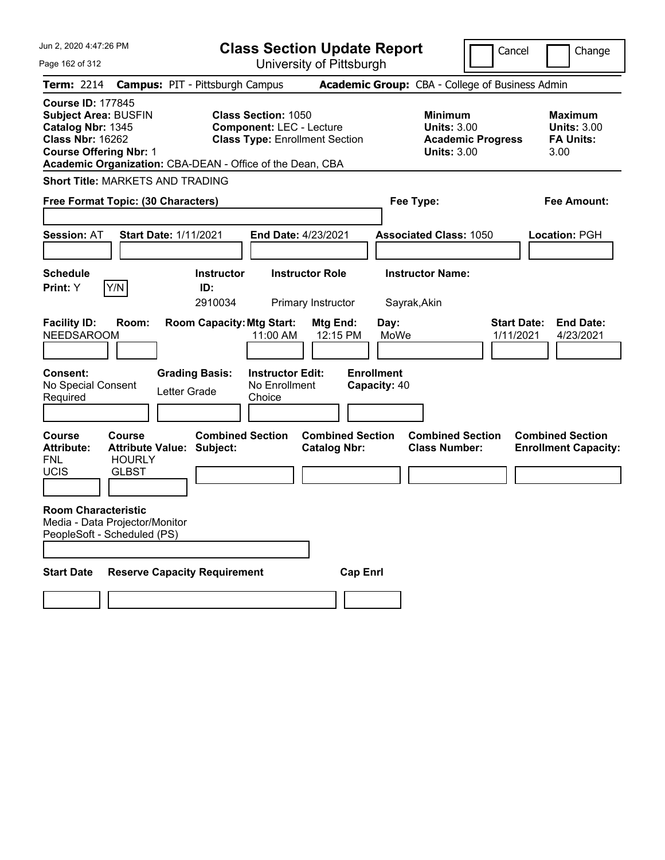| Jun 2, 2020 4:47:26 PM<br><b>Class Section Update Report</b>                                                                             |                                                             |                                                                                                        |                                   |                                                                                        | Cancel<br>Change                                                 |
|------------------------------------------------------------------------------------------------------------------------------------------|-------------------------------------------------------------|--------------------------------------------------------------------------------------------------------|-----------------------------------|----------------------------------------------------------------------------------------|------------------------------------------------------------------|
| Page 162 of 312                                                                                                                          |                                                             | University of Pittsburgh                                                                               |                                   |                                                                                        |                                                                  |
| <b>Term: 2214</b>                                                                                                                        | <b>Campus: PIT - Pittsburgh Campus</b>                      |                                                                                                        |                                   | Academic Group: CBA - College of Business Admin                                        |                                                                  |
| <b>Course ID: 177845</b><br><b>Subject Area: BUSFIN</b><br>Catalog Nbr: 1345<br><b>Class Nbr: 16262</b><br><b>Course Offering Nbr: 1</b> | Academic Organization: CBA-DEAN - Office of the Dean, CBA   | <b>Class Section: 1050</b><br><b>Component: LEC - Lecture</b><br><b>Class Type: Enrollment Section</b> |                                   | <b>Minimum</b><br><b>Units: 3.00</b><br><b>Academic Progress</b><br><b>Units: 3.00</b> | <b>Maximum</b><br><b>Units: 3.00</b><br><b>FA Units:</b><br>3.00 |
| <b>Short Title: MARKETS AND TRADING</b>                                                                                                  |                                                             |                                                                                                        |                                   |                                                                                        |                                                                  |
| Free Format Topic: (30 Characters)                                                                                                       |                                                             |                                                                                                        |                                   | Fee Type:                                                                              | Fee Amount:                                                      |
| <b>Session: AT</b>                                                                                                                       | <b>Start Date: 1/11/2021</b>                                | End Date: 4/23/2021                                                                                    |                                   | <b>Associated Class: 1050</b>                                                          | <b>Location: PGH</b>                                             |
| <b>Schedule</b>                                                                                                                          | <b>Instructor</b>                                           | <b>Instructor Role</b>                                                                                 |                                   | <b>Instructor Name:</b>                                                                |                                                                  |
| Y/N<br>Print: Y                                                                                                                          | ID:<br>2910034                                              | Primary Instructor                                                                                     |                                   | Sayrak, Akin                                                                           |                                                                  |
| <b>Facility ID:</b><br>Room:<br><b>NEEDSAROOM</b>                                                                                        | <b>Room Capacity: Mtg Start:</b>                            | Mtg End:<br>11:00 AM                                                                                   | Day:<br>12:15 PM<br>MoWe          |                                                                                        | <b>Start Date:</b><br><b>End Date:</b><br>1/11/2021<br>4/23/2021 |
| <b>Consent:</b><br>No Special Consent<br>Required                                                                                        | <b>Grading Basis:</b><br>Letter Grade                       | <b>Instructor Edit:</b><br>No Enrollment<br>Choice                                                     | <b>Enrollment</b><br>Capacity: 40 |                                                                                        |                                                                  |
| <b>Course</b><br>Course<br><b>Attribute:</b><br><b>HOURLY</b><br><b>FNL</b><br><b>UCIS</b><br><b>GLBST</b>                               | <b>Combined Section</b><br><b>Attribute Value: Subject:</b> | <b>Catalog Nbr:</b>                                                                                    | <b>Combined Section</b>           | <b>Combined Section</b><br><b>Class Number:</b>                                        | <b>Combined Section</b><br><b>Enrollment Capacity:</b>           |
| <b>Room Characteristic</b><br>Media - Data Projector/Monitor<br>PeopleSoft - Scheduled (PS)                                              |                                                             |                                                                                                        |                                   |                                                                                        |                                                                  |
| <b>Start Date</b>                                                                                                                        | <b>Reserve Capacity Requirement</b>                         |                                                                                                        | <b>Cap Enrl</b>                   |                                                                                        |                                                                  |
|                                                                                                                                          |                                                             |                                                                                                        |                                   |                                                                                        |                                                                  |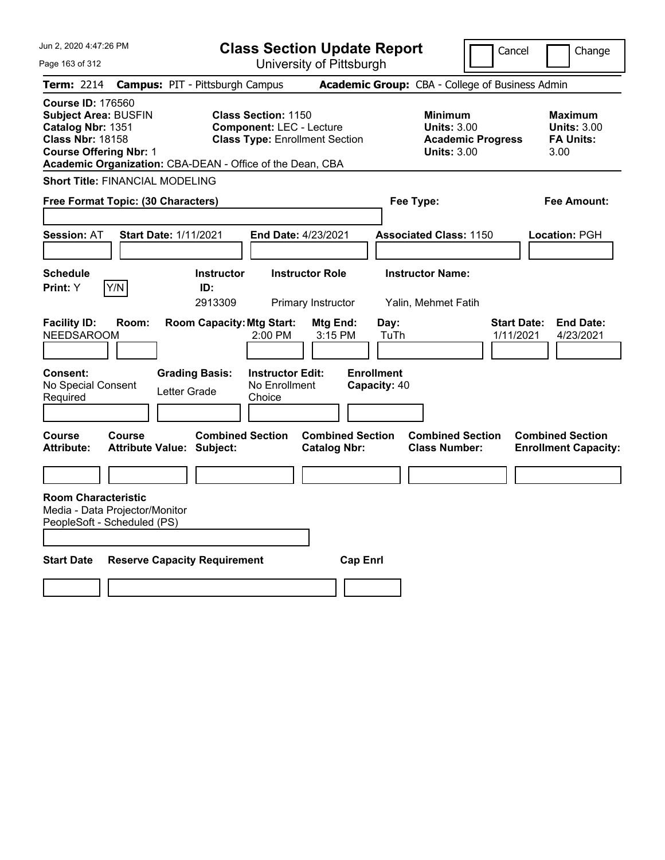| Jun 2, 2020 4:47:26 PM                                                                                                                                                                                | <b>Class Section Update Report</b>                                                                               |                                                                                        | Cancel<br>Change                                                 |
|-------------------------------------------------------------------------------------------------------------------------------------------------------------------------------------------------------|------------------------------------------------------------------------------------------------------------------|----------------------------------------------------------------------------------------|------------------------------------------------------------------|
| Page 163 of 312                                                                                                                                                                                       | University of Pittsburgh                                                                                         |                                                                                        |                                                                  |
| <b>Term: 2214</b>                                                                                                                                                                                     | <b>Campus: PIT - Pittsburgh Campus</b>                                                                           | Academic Group: CBA - College of Business Admin                                        |                                                                  |
| <b>Course ID: 176560</b><br><b>Subject Area: BUSFIN</b><br>Catalog Nbr: 1351<br><b>Class Nbr: 18158</b><br><b>Course Offering Nbr: 1</b><br>Academic Organization: CBA-DEAN - Office of the Dean, CBA | <b>Class Section: 1150</b><br><b>Component: LEC - Lecture</b><br><b>Class Type: Enrollment Section</b>           | <b>Minimum</b><br><b>Units: 3.00</b><br><b>Academic Progress</b><br><b>Units: 3.00</b> | <b>Maximum</b><br><b>Units: 3.00</b><br><b>FA Units:</b><br>3.00 |
| <b>Short Title: FINANCIAL MODELING</b>                                                                                                                                                                |                                                                                                                  |                                                                                        |                                                                  |
| Free Format Topic: (30 Characters)                                                                                                                                                                    |                                                                                                                  | Fee Type:                                                                              | Fee Amount:                                                      |
| <b>Session: AT</b><br><b>Start Date: 1/11/2021</b>                                                                                                                                                    | End Date: 4/23/2021                                                                                              | <b>Associated Class: 1150</b>                                                          | Location: PGH                                                    |
| <b>Schedule</b><br>Print: Y<br>Y/N                                                                                                                                                                    | <b>Instructor</b><br><b>Instructor Role</b><br>ID:<br>2913309<br>Primary Instructor                              | <b>Instructor Name:</b><br>Yalin, Mehmet Fatih                                         |                                                                  |
| <b>Facility ID:</b><br>Room:<br><b>NEEDSAROOM</b><br><b>Consent:</b><br><b>Grading Basis:</b><br>No Special Consent<br>Letter Grade                                                                   | <b>Room Capacity: Mtg Start:</b><br>Mtg End:<br>3:15 PM<br>$2:00$ PM<br><b>Instructor Edit:</b><br>No Enrollment | Day:<br>TuTh<br><b>Enrollment</b><br>Capacity: 40                                      | <b>End Date:</b><br><b>Start Date:</b><br>4/23/2021<br>1/11/2021 |
| Required                                                                                                                                                                                              | Choice                                                                                                           |                                                                                        |                                                                  |
| Course<br><b>Course</b><br><b>Attribute:</b><br><b>Attribute Value: Subject:</b>                                                                                                                      | <b>Combined Section</b><br><b>Combined Section</b><br><b>Catalog Nbr:</b>                                        | <b>Combined Section</b><br><b>Class Number:</b>                                        | <b>Combined Section</b><br><b>Enrollment Capacity:</b>           |
|                                                                                                                                                                                                       |                                                                                                                  |                                                                                        |                                                                  |
| <b>Room Characteristic</b><br>Media - Data Projector/Monitor<br>PeopleSoft - Scheduled (PS)                                                                                                           |                                                                                                                  |                                                                                        |                                                                  |
| <b>Start Date</b><br><b>Reserve Capacity Requirement</b>                                                                                                                                              |                                                                                                                  | <b>Cap Enri</b>                                                                        |                                                                  |
|                                                                                                                                                                                                       |                                                                                                                  |                                                                                        |                                                                  |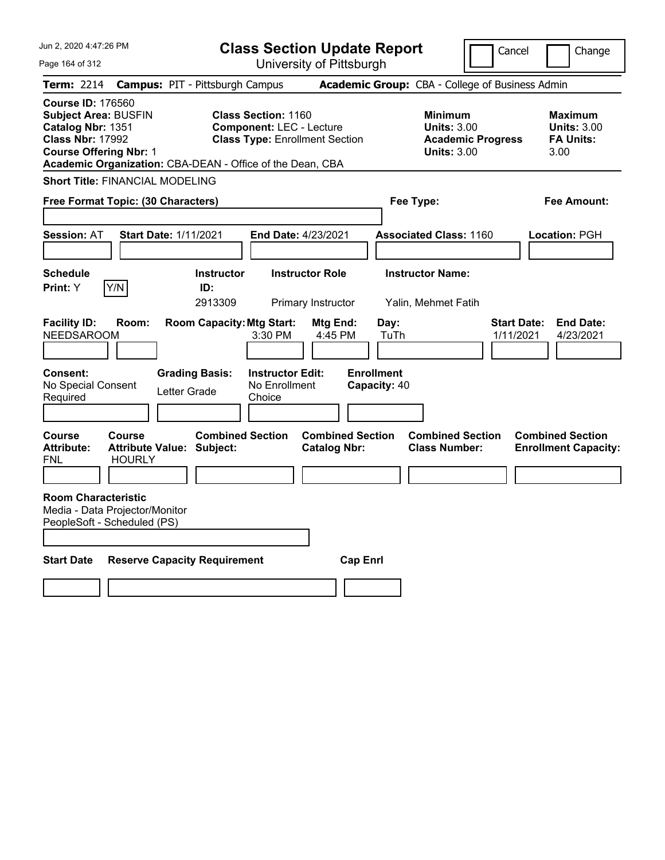| Jun 2, 2020 4:47:26 PM                                                                                                                                                                                | <b>Class Section Update Report</b>                                                                                       |                                                            | Change<br>Cancel                                                                             |
|-------------------------------------------------------------------------------------------------------------------------------------------------------------------------------------------------------|--------------------------------------------------------------------------------------------------------------------------|------------------------------------------------------------|----------------------------------------------------------------------------------------------|
| Page 164 of 312                                                                                                                                                                                       | University of Pittsburgh                                                                                                 |                                                            |                                                                                              |
| <b>Term: 2214</b>                                                                                                                                                                                     | <b>Campus: PIT - Pittsburgh Campus</b>                                                                                   | <b>Academic Group:</b> CBA - College of Business Admin     |                                                                                              |
| <b>Course ID: 176560</b><br><b>Subject Area: BUSFIN</b><br>Catalog Nbr: 1351<br><b>Class Nbr: 17992</b><br><b>Course Offering Nbr: 1</b><br>Academic Organization: CBA-DEAN - Office of the Dean, CBA | <b>Class Section: 1160</b><br><b>Component: LEC - Lecture</b><br><b>Class Type: Enrollment Section</b>                   | <b>Minimum</b><br><b>Units: 3.00</b><br><b>Units: 3.00</b> | <b>Maximum</b><br><b>Units: 3.00</b><br><b>Academic Progress</b><br><b>FA Units:</b><br>3.00 |
| <b>Short Title: FINANCIAL MODELING</b>                                                                                                                                                                |                                                                                                                          |                                                            |                                                                                              |
| Free Format Topic: (30 Characters)                                                                                                                                                                    |                                                                                                                          | Fee Type:                                                  | Fee Amount:                                                                                  |
| <b>Session: AT</b><br><b>Start Date: 1/11/2021</b>                                                                                                                                                    | <b>End Date: 4/23/2021</b>                                                                                               | <b>Associated Class: 1160</b>                              | Location: PGH                                                                                |
| Schedule<br>Y/N<br><b>Print:</b> Y                                                                                                                                                                    | <b>Instructor Role</b><br><b>Instructor</b><br>ID:<br>2913309<br>Primary Instructor                                      | <b>Instructor Name:</b><br>Yalin, Mehmet Fatih             |                                                                                              |
| <b>Facility ID:</b><br>Room:<br><b>NEEDSAROOM</b><br><b>Consent:</b><br><b>Grading Basis:</b><br>No Special Consent<br>Letter Grade<br>Required                                                       | <b>Room Capacity: Mtg Start:</b><br>Mtg End:<br>3:30 PM<br>4:45 PM<br><b>Instructor Edit:</b><br>No Enrollment<br>Choice | Day:<br>TuTh<br><b>Enrollment</b><br>Capacity: 40          | <b>Start Date:</b><br><b>End Date:</b><br>1/11/2021<br>4/23/2021                             |
| Course<br>Course<br><b>Attribute:</b><br><b>Attribute Value: Subject:</b><br><b>HOURLY</b><br>FNL                                                                                                     | <b>Combined Section</b><br><b>Combined Section</b><br><b>Catalog Nbr:</b>                                                | <b>Combined Section</b><br><b>Class Number:</b>            | <b>Combined Section</b><br><b>Enrollment Capacity:</b>                                       |
| <b>Room Characteristic</b><br>Media - Data Projector/Monitor<br>PeopleSoft - Scheduled (PS)                                                                                                           |                                                                                                                          |                                                            |                                                                                              |
| <b>Start Date</b><br><b>Reserve Capacity Requirement</b>                                                                                                                                              |                                                                                                                          | <b>Cap Enrl</b>                                            |                                                                                              |
|                                                                                                                                                                                                       |                                                                                                                          |                                                            |                                                                                              |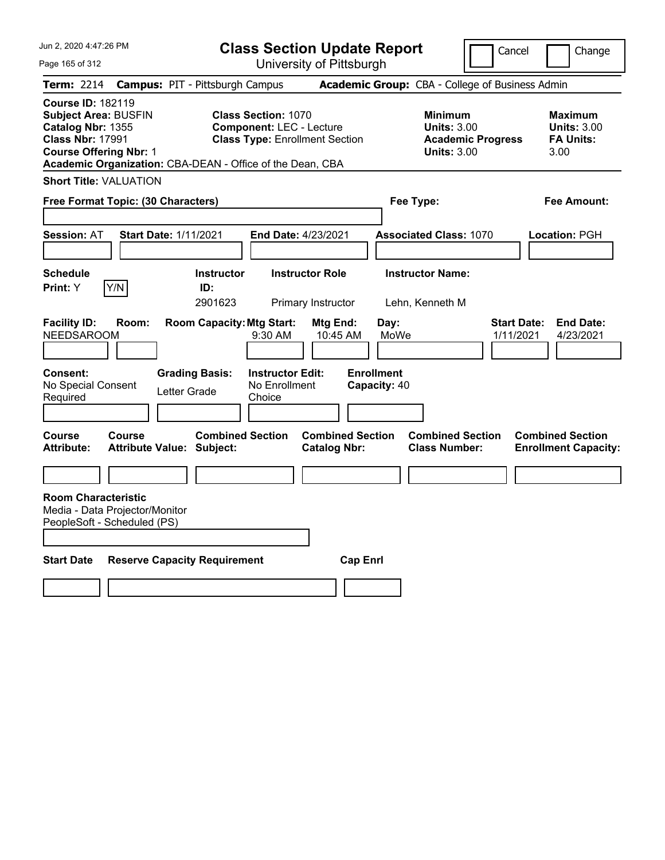Jun 2, 2020 4:47:26 PM

Page 165 of 312

**Class Section Update Report**

Cancel **Change** 

University of Pittsburgh

|                                                                                                                                          |               |                                                             |                                                                                                        | University of Fillspurgh                       |                                   |                                                                                        |                                 |                                                                  |
|------------------------------------------------------------------------------------------------------------------------------------------|---------------|-------------------------------------------------------------|--------------------------------------------------------------------------------------------------------|------------------------------------------------|-----------------------------------|----------------------------------------------------------------------------------------|---------------------------------|------------------------------------------------------------------|
| <b>Term: 2214</b>                                                                                                                        |               | <b>Campus: PIT - Pittsburgh Campus</b>                      |                                                                                                        |                                                |                                   | <b>Academic Group: CBA - College of Business Admin</b>                                 |                                 |                                                                  |
| <b>Course ID: 182119</b><br><b>Subject Area: BUSFIN</b><br>Catalog Nbr: 1355<br><b>Class Nbr: 17991</b><br><b>Course Offering Nbr: 1</b> |               | Academic Organization: CBA-DEAN - Office of the Dean, CBA   | <b>Class Section: 1070</b><br><b>Component: LEC - Lecture</b><br><b>Class Type: Enrollment Section</b> |                                                |                                   | <b>Minimum</b><br><b>Units: 3.00</b><br><b>Academic Progress</b><br><b>Units: 3.00</b> |                                 | <b>Maximum</b><br><b>Units: 3.00</b><br><b>FA Units:</b><br>3.00 |
| <b>Short Title: VALUATION</b>                                                                                                            |               |                                                             |                                                                                                        |                                                |                                   |                                                                                        |                                 |                                                                  |
| Free Format Topic: (30 Characters)                                                                                                       |               |                                                             |                                                                                                        |                                                |                                   | Fee Type:                                                                              |                                 | Fee Amount:                                                      |
| <b>Session: AT</b>                                                                                                                       |               | <b>Start Date: 1/11/2021</b>                                | End Date: 4/23/2021                                                                                    |                                                |                                   | <b>Associated Class: 1070</b>                                                          |                                 | Location: PGH                                                    |
| <b>Schedule</b><br>Print: Y                                                                                                              | Y/N           | <b>Instructor</b><br>ID:<br>2901623                         |                                                                                                        | <b>Instructor Role</b><br>Primary Instructor   |                                   | <b>Instructor Name:</b><br>Lehn, Kenneth M                                             |                                 |                                                                  |
| <b>Facility ID:</b><br><b>NEEDSAROOM</b>                                                                                                 | Room:         | <b>Room Capacity: Mtg Start:</b>                            | 9:30 AM                                                                                                | Mtg End:<br>10:45 AM                           | Day:<br>MoWe                      |                                                                                        | <b>Start Date:</b><br>1/11/2021 | <b>End Date:</b><br>4/23/2021                                    |
| <b>Consent:</b><br>No Special Consent<br>Required                                                                                        |               | <b>Grading Basis:</b><br>Letter Grade                       | <b>Instructor Edit:</b><br>No Enrollment<br>Choice                                                     |                                                | <b>Enrollment</b><br>Capacity: 40 |                                                                                        |                                 |                                                                  |
| Course<br>Attribute:                                                                                                                     | <b>Course</b> | <b>Combined Section</b><br><b>Attribute Value: Subject:</b> |                                                                                                        | <b>Combined Section</b><br><b>Catalog Nbr:</b> |                                   | <b>Combined Section</b><br><b>Class Number:</b>                                        |                                 | <b>Combined Section</b><br><b>Enrollment Capacity:</b>           |
| <b>Room Characteristic</b><br>Media - Data Projector/Monitor<br>PeopleSoft - Scheduled (PS)                                              |               |                                                             |                                                                                                        |                                                |                                   |                                                                                        |                                 |                                                                  |
| <b>Start Date</b>                                                                                                                        |               | <b>Reserve Capacity Requirement</b>                         |                                                                                                        | <b>Cap Enrl</b>                                |                                   |                                                                                        |                                 |                                                                  |
|                                                                                                                                          |               |                                                             |                                                                                                        |                                                |                                   |                                                                                        |                                 |                                                                  |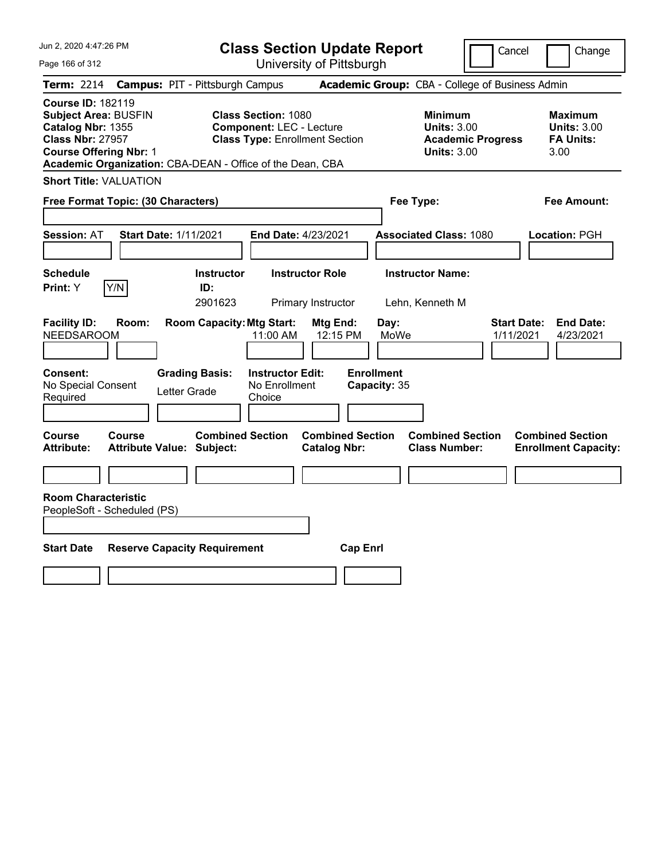Jun 2, 2020 4:47:26 PM

Page 166 of 312

**Class Section Update Report**

University of Pittsburgh

Cancel Change

**Term:** 2214 **Campus:** PIT - Pittsburgh Campus **Academic Group:** CBA - College of Business Admin **Course ID:** 182119 **Subject Area: BUSFIN Class Section: 1080 Minimum Maximum Maximum Maximum Catalog Nbr:** 1355 **Component:** LEC - Lecture **Units:** 3.00 **Units:** 3.00 **Class Nbr:** 27957 **Class Type:** Enrollment Section **Academic Progress FA Units: Course Offering Nbr:** 1 **Units:** 3.00 3.00 **Academic Organization:** CBA-DEAN - Office of the Dean, CBA **Short Title:** VALUATION **Free Format Topic: (30 Characters) Fee Type: Fee Amount: Session:** AT **Start Date:** 1/11/2021 **End Date:** 4/23/2021 **Associated Class:** 1080 **Location:** PGH **Schedule Instructor Instructor Role Instructor Name: Print:**  $Y$   $|Y/N|$  **ID:** 2901623 Primary Instructor Lehn, Kenneth M **Facility ID: Room: Room Capacity:Mtg Start: Mtg End: Day: Start Date: End Date:** NEEDSAROOM 11:00 AM 12:15 PM MoWe 1/11/2021 4/23/2021 **Consent: Grading Basis: Instructor Edit: Enrollment** No Special Consent Required Letter Grade No Enrollment Choice **Capacity:** 35 **Course Course Combined Section Combined Section Combined Section Combined Section Attribute: Attribute Value: Subject: Catalog Nbr: Class Number: Enrollment Capacity: Room Characteristic** PeopleSoft - Scheduled (PS) **Start Date Reserve Capacity Requirement Cap Enrl**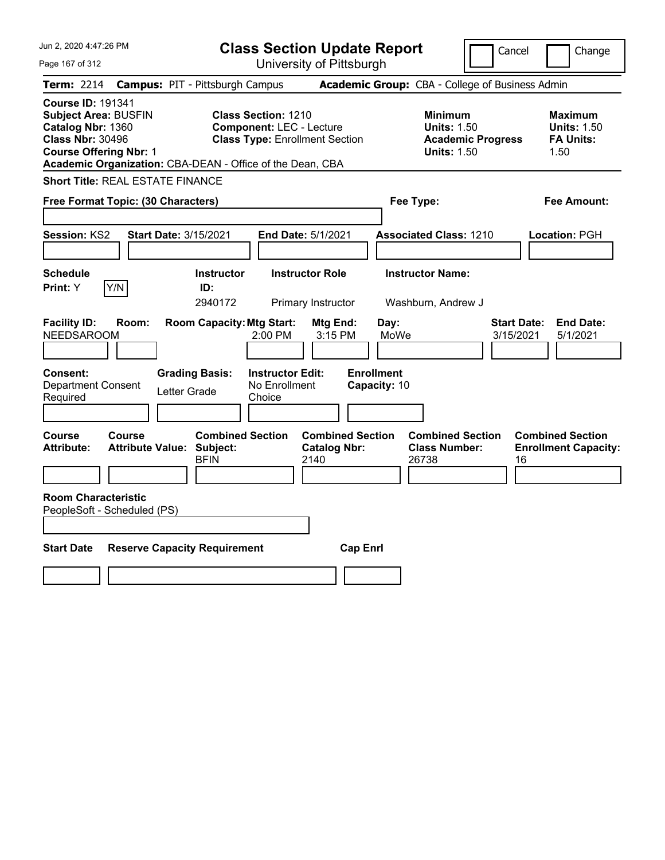| Jun 2, 2020 4:47:26 PM<br>Page 167 of 312                                                                                                                                                             | <b>Class Section Update Report</b><br>University of Pittsburgh                                                                                                      | Cancel                                                                                 | Change                                                           |
|-------------------------------------------------------------------------------------------------------------------------------------------------------------------------------------------------------|---------------------------------------------------------------------------------------------------------------------------------------------------------------------|----------------------------------------------------------------------------------------|------------------------------------------------------------------|
| <b>Campus: PIT - Pittsburgh Campus</b><br><b>Term: 2214</b>                                                                                                                                           |                                                                                                                                                                     | Academic Group: CBA - College of Business Admin                                        |                                                                  |
| <b>Course ID: 191341</b><br><b>Subject Area: BUSFIN</b><br>Catalog Nbr: 1360<br><b>Class Nbr: 30496</b><br><b>Course Offering Nbr: 1</b><br>Academic Organization: CBA-DEAN - Office of the Dean, CBA | <b>Class Section: 1210</b><br><b>Component: LEC - Lecture</b><br><b>Class Type: Enrollment Section</b>                                                              | <b>Minimum</b><br><b>Units: 1.50</b><br><b>Academic Progress</b><br><b>Units: 1.50</b> | <b>Maximum</b><br><b>Units: 1.50</b><br><b>FA Units:</b><br>1.50 |
| <b>Short Title: REAL ESTATE FINANCE</b>                                                                                                                                                               |                                                                                                                                                                     |                                                                                        |                                                                  |
| Free Format Topic: (30 Characters)                                                                                                                                                                    |                                                                                                                                                                     | Fee Type:                                                                              | Fee Amount:                                                      |
| Session: KS2<br><b>Start Date: 3/15/2021</b>                                                                                                                                                          | End Date: 5/1/2021                                                                                                                                                  | <b>Associated Class: 1210</b>                                                          | Location: PGH                                                    |
| <b>Schedule</b>                                                                                                                                                                                       | <b>Instructor</b><br><b>Instructor Role</b>                                                                                                                         | <b>Instructor Name:</b>                                                                |                                                                  |
| Y/N<br>Print: Y                                                                                                                                                                                       | ID:<br>2940172                                                                                                                                                      |                                                                                        |                                                                  |
| <b>Facility ID:</b><br>Room:<br><b>NEEDSAROOM</b><br><b>Grading Basis:</b><br>Consent:<br>Department Consent<br>Letter Grade<br>Required                                                              | Primary Instructor<br><b>Room Capacity: Mtg Start:</b><br>Mtg End:<br>2:00 PM<br>3:15 PM<br><b>Enrollment</b><br><b>Instructor Edit:</b><br>No Enrollment<br>Choice | Washburn, Andrew J<br><b>Start Date:</b><br>Day:<br>MoWe<br>3/15/2021<br>Capacity: 10  | <b>End Date:</b><br>5/1/2021                                     |
| Course<br>Course<br><b>Attribute Value: Subject:</b><br><b>Attribute:</b>                                                                                                                             | <b>Combined Section</b><br><b>Combined Section</b><br><b>Catalog Nbr:</b><br><b>BFIN</b><br>2140                                                                    | <b>Combined Section</b><br><b>Class Number:</b><br>26738<br>16                         | <b>Combined Section</b><br><b>Enrollment Capacity:</b>           |
| <b>Room Characteristic</b><br>PeopleSoft - Scheduled (PS)                                                                                                                                             |                                                                                                                                                                     |                                                                                        |                                                                  |
| <b>Start Date</b><br><b>Reserve Capacity Requirement</b>                                                                                                                                              | <b>Cap Enrl</b>                                                                                                                                                     |                                                                                        |                                                                  |
|                                                                                                                                                                                                       |                                                                                                                                                                     |                                                                                        |                                                                  |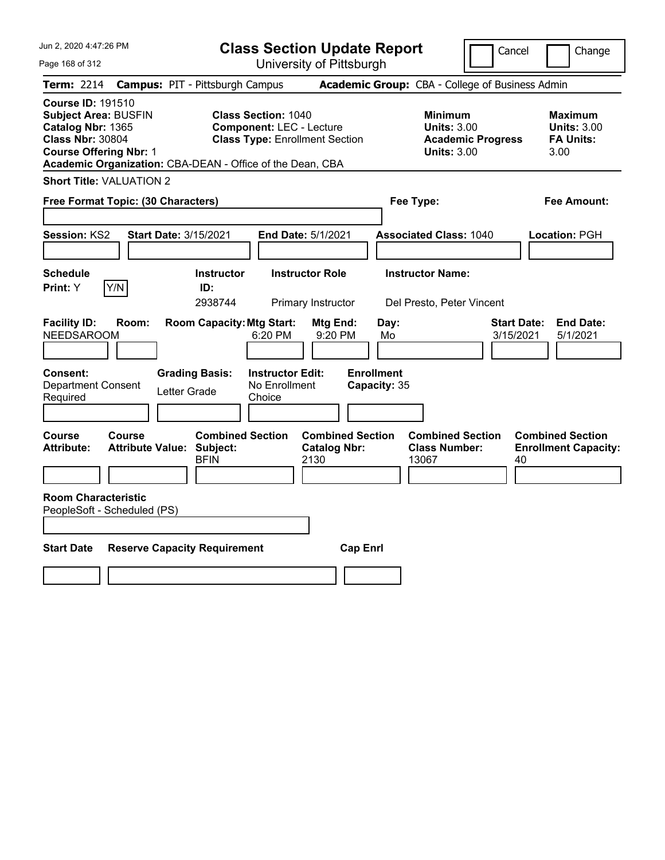Jun 2, 2020 4:47:26 PM

Page 168 of 312

**Class Section Update Report**

University of Pittsburgh

Cancel Change

| Term: 2214                                                                                                                                                                                            |                                          |              | <b>Campus: PIT - Pittsburgh Campus</b>             |                                                                                                        |                                                        |                 |                                   | Academic Group: CBA - College of Business Admin                                        |                                 |                                                                  |
|-------------------------------------------------------------------------------------------------------------------------------------------------------------------------------------------------------|------------------------------------------|--------------|----------------------------------------------------|--------------------------------------------------------------------------------------------------------|--------------------------------------------------------|-----------------|-----------------------------------|----------------------------------------------------------------------------------------|---------------------------------|------------------------------------------------------------------|
| <b>Course ID: 191510</b><br><b>Subject Area: BUSFIN</b><br>Catalog Nbr: 1365<br><b>Class Nbr: 30804</b><br><b>Course Offering Nbr: 1</b><br>Academic Organization: CBA-DEAN - Office of the Dean, CBA |                                          |              |                                                    | <b>Class Section: 1040</b><br><b>Component: LEC - Lecture</b><br><b>Class Type: Enrollment Section</b> |                                                        |                 |                                   | <b>Minimum</b><br><b>Units: 3.00</b><br><b>Academic Progress</b><br><b>Units: 3.00</b> |                                 | <b>Maximum</b><br><b>Units: 3.00</b><br><b>FA Units:</b><br>3.00 |
| <b>Short Title: VALUATION 2</b>                                                                                                                                                                       |                                          |              |                                                    |                                                                                                        |                                                        |                 |                                   |                                                                                        |                                 |                                                                  |
| Free Format Topic: (30 Characters)                                                                                                                                                                    |                                          |              |                                                    |                                                                                                        |                                                        |                 |                                   | Fee Type:                                                                              |                                 | <b>Fee Amount:</b>                                               |
| Session: KS2                                                                                                                                                                                          |                                          |              | <b>Start Date: 3/15/2021</b>                       |                                                                                                        | End Date: 5/1/2021                                     |                 |                                   | <b>Associated Class: 1040</b>                                                          |                                 | Location: PGH                                                    |
| <b>Schedule</b><br>Print: Y                                                                                                                                                                           | Y/N                                      |              | <b>Instructor</b><br>ID:<br>2938744                |                                                                                                        | <b>Instructor Role</b><br>Primary Instructor           |                 |                                   | <b>Instructor Name:</b><br>Del Presto, Peter Vincent                                   |                                 |                                                                  |
| <b>Facility ID:</b><br><b>NEEDSAROOM</b>                                                                                                                                                              | Room:                                    |              | <b>Room Capacity: Mtg Start:</b>                   | 6:20 PM                                                                                                | Mtg End:<br>9:20 PM                                    |                 | Day:<br>Mo                        |                                                                                        | <b>Start Date:</b><br>3/15/2021 | <b>End Date:</b><br>5/1/2021                                     |
| <b>Consent:</b><br><b>Department Consent</b><br>Required                                                                                                                                              |                                          | Letter Grade | <b>Grading Basis:</b>                              | <b>Instructor Edit:</b><br>No Enrollment<br>Choice                                                     |                                                        |                 | <b>Enrollment</b><br>Capacity: 35 |                                                                                        |                                 |                                                                  |
| Course<br><b>Attribute:</b>                                                                                                                                                                           | <b>Course</b><br><b>Attribute Value:</b> |              | <b>Combined Section</b><br>Subject:<br><b>BFIN</b> |                                                                                                        | <b>Combined Section</b><br><b>Catalog Nbr:</b><br>2130 |                 |                                   | <b>Combined Section</b><br><b>Class Number:</b><br>13067                               | 40                              | <b>Combined Section</b><br><b>Enrollment Capacity:</b>           |
| <b>Room Characteristic</b><br>PeopleSoft - Scheduled (PS)                                                                                                                                             |                                          |              |                                                    |                                                                                                        |                                                        |                 |                                   |                                                                                        |                                 |                                                                  |
| <b>Start Date</b>                                                                                                                                                                                     |                                          |              | <b>Reserve Capacity Requirement</b>                |                                                                                                        |                                                        | <b>Cap Enrl</b> |                                   |                                                                                        |                                 |                                                                  |
|                                                                                                                                                                                                       |                                          |              |                                                    |                                                                                                        |                                                        |                 |                                   |                                                                                        |                                 |                                                                  |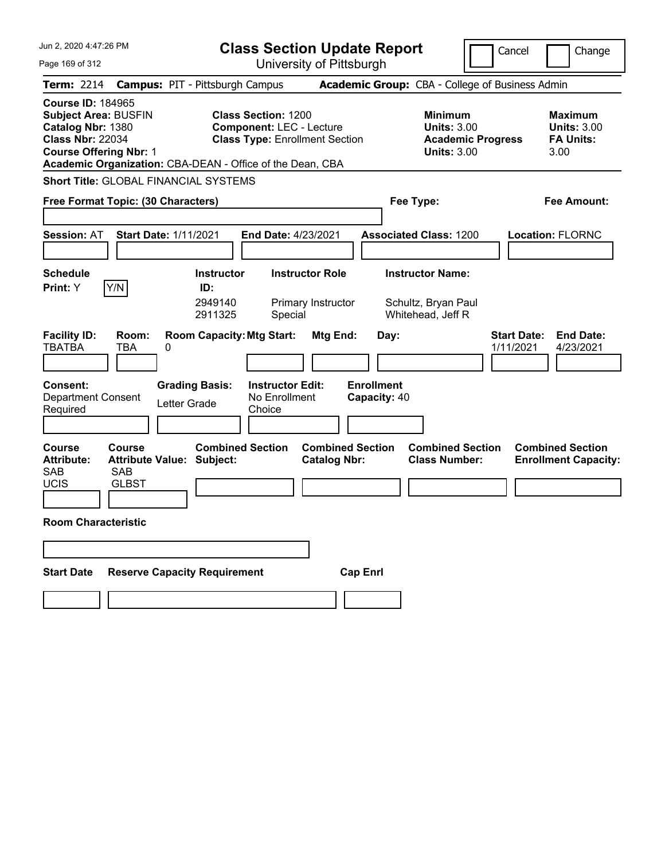| Jun 2, 2020 4:47:26 PM                                                                                                                                                                                | <b>Class Section Update Report</b>                                                                     |                                                                                        | Cancel<br>Change                                                 |
|-------------------------------------------------------------------------------------------------------------------------------------------------------------------------------------------------------|--------------------------------------------------------------------------------------------------------|----------------------------------------------------------------------------------------|------------------------------------------------------------------|
| Page 169 of 312                                                                                                                                                                                       | University of Pittsburgh                                                                               |                                                                                        |                                                                  |
| <b>Term: 2214</b>                                                                                                                                                                                     | <b>Campus: PIT - Pittsburgh Campus</b>                                                                 | Academic Group: CBA - College of Business Admin                                        |                                                                  |
| <b>Course ID: 184965</b><br><b>Subject Area: BUSFIN</b><br>Catalog Nbr: 1380<br><b>Class Nbr: 22034</b><br><b>Course Offering Nbr: 1</b><br>Academic Organization: CBA-DEAN - Office of the Dean, CBA | <b>Class Section: 1200</b><br><b>Component: LEC - Lecture</b><br><b>Class Type: Enrollment Section</b> | <b>Minimum</b><br><b>Units: 3.00</b><br><b>Academic Progress</b><br><b>Units: 3.00</b> | <b>Maximum</b><br><b>Units: 3.00</b><br><b>FA Units:</b><br>3.00 |
| <b>Short Title: GLOBAL FINANCIAL SYSTEMS</b>                                                                                                                                                          |                                                                                                        |                                                                                        |                                                                  |
| Free Format Topic: (30 Characters)                                                                                                                                                                    |                                                                                                        | Fee Type:                                                                              | Fee Amount:                                                      |
| <b>Start Date: 1/11/2021</b><br><b>Session: AT</b><br><b>Schedule</b><br>Y/N<br>Print: Y                                                                                                              | End Date: 4/23/2021<br><b>Instructor Role</b><br><b>Instructor</b><br>ID:                              | <b>Associated Class: 1200</b><br><b>Instructor Name:</b>                               | <b>Location: FLORNC</b>                                          |
| <b>Facility ID:</b><br>Room:<br><b>TBATBA</b><br>TBA<br>0                                                                                                                                             | 2949140<br>Primary Instructor<br>2911325<br>Special<br><b>Room Capacity: Mtg Start:</b><br>Mtg End:    | Schultz, Bryan Paul<br>Whitehead, Jeff R<br>Day:                                       | <b>Start Date:</b><br><b>End Date:</b><br>1/11/2021<br>4/23/2021 |
| <b>Consent:</b><br><b>Grading Basis:</b><br><b>Department Consent</b><br>Letter Grade<br>Required                                                                                                     | <b>Enrollment</b><br><b>Instructor Edit:</b><br>No Enrollment<br>Choice                                | Capacity: 40                                                                           |                                                                  |
| <b>Course</b><br>Course<br><b>Attribute Value: Subject:</b><br><b>Attribute:</b><br><b>SAB</b><br><b>SAB</b><br><b>UCIS</b><br><b>GLBST</b><br><b>Room Characteristic</b>                             | <b>Combined Section</b><br><b>Combined Section</b><br><b>Catalog Nbr:</b>                              | <b>Combined Section</b><br><b>Class Number:</b>                                        | <b>Combined Section</b><br><b>Enrollment Capacity:</b>           |
|                                                                                                                                                                                                       |                                                                                                        |                                                                                        |                                                                  |
| <b>Reserve Capacity Requirement</b><br><b>Start Date</b>                                                                                                                                              | <b>Cap Enrl</b>                                                                                        |                                                                                        |                                                                  |
|                                                                                                                                                                                                       |                                                                                                        |                                                                                        |                                                                  |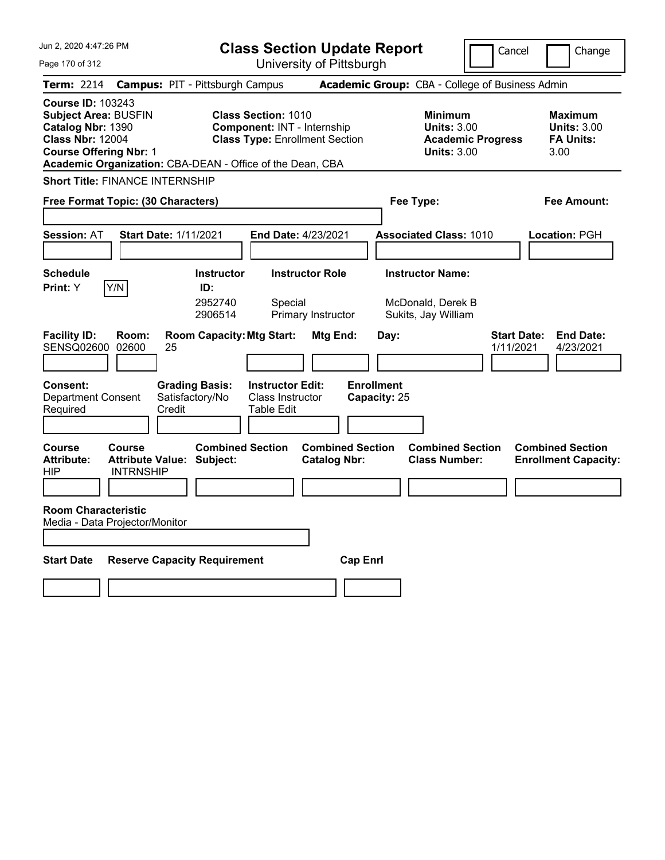| Jun 2, 2020 4:47:26 PM                                                                                                                                                                                | <b>Class Section Update Report</b>                                                                 |                                                |                                                                     | Cancel                          | Change                                                    |
|-------------------------------------------------------------------------------------------------------------------------------------------------------------------------------------------------------|----------------------------------------------------------------------------------------------------|------------------------------------------------|---------------------------------------------------------------------|---------------------------------|-----------------------------------------------------------|
| Page 170 of 312                                                                                                                                                                                       |                                                                                                    | University of Pittsburgh                       |                                                                     |                                 |                                                           |
| <b>Term: 2214</b>                                                                                                                                                                                     | <b>Campus: PIT - Pittsburgh Campus</b>                                                             |                                                | Academic Group: CBA - College of Business Admin                     |                                 |                                                           |
| <b>Course ID: 103243</b><br><b>Subject Area: BUSFIN</b><br>Catalog Nbr: 1390<br><b>Class Nbr: 12004</b><br><b>Course Offering Nbr: 1</b><br>Academic Organization: CBA-DEAN - Office of the Dean, CBA | <b>Class Section: 1010</b><br>Component: INT - Internship<br><b>Class Type: Enrollment Section</b> |                                                | <b>Minimum</b><br><b>Units: 3.00</b><br><b>Units: 3.00</b>          | <b>Academic Progress</b>        | Maximum<br><b>Units: 3.00</b><br><b>FA Units:</b><br>3.00 |
| <b>Short Title: FINANCE INTERNSHIP</b>                                                                                                                                                                |                                                                                                    |                                                |                                                                     |                                 |                                                           |
| Free Format Topic: (30 Characters)                                                                                                                                                                    |                                                                                                    |                                                | Fee Type:                                                           |                                 | Fee Amount:                                               |
| <b>Start Date: 1/11/2021</b><br><b>Session: AT</b>                                                                                                                                                    |                                                                                                    | End Date: 4/23/2021                            | <b>Associated Class: 1010</b>                                       |                                 | Location: PGH                                             |
| <b>Schedule</b><br>Y/N<br>Print: Y                                                                                                                                                                    | <b>Instructor</b><br>ID:<br>2952740<br>Special<br>2906514                                          | <b>Instructor Role</b><br>Primary Instructor   | <b>Instructor Name:</b><br>McDonald, Derek B<br>Sukits, Jay William |                                 |                                                           |
| <b>Facility ID:</b><br>Room:<br><b>SENSQ02600</b><br>02600<br>25<br><b>Consent:</b>                                                                                                                   | <b>Room Capacity: Mtg Start:</b><br><b>Grading Basis:</b><br><b>Instructor Edit:</b>               | Mtg End:                                       | Day:<br><b>Enrollment</b>                                           | <b>Start Date:</b><br>1/11/2021 | <b>End Date:</b><br>4/23/2021                             |
| <b>Department Consent</b><br>Credit<br>Required                                                                                                                                                       | Satisfactory/No<br>Class Instructor<br><b>Table Edit</b>                                           |                                                | Capacity: 25                                                        |                                 |                                                           |
| <b>Course</b><br><b>Course</b><br><b>Attribute:</b><br><b>Attribute Value: Subject:</b><br>HIP<br><b>INTRNSHIP</b>                                                                                    | <b>Combined Section</b>                                                                            | <b>Combined Section</b><br><b>Catalog Nbr:</b> | <b>Combined Section</b><br><b>Class Number:</b>                     |                                 | <b>Combined Section</b><br><b>Enrollment Capacity:</b>    |
| <b>Room Characteristic</b><br>Media - Data Projector/Monitor                                                                                                                                          |                                                                                                    |                                                |                                                                     |                                 |                                                           |
| <b>Start Date</b>                                                                                                                                                                                     | <b>Reserve Capacity Requirement</b>                                                                | <b>Cap Enri</b>                                |                                                                     |                                 |                                                           |
|                                                                                                                                                                                                       |                                                                                                    |                                                |                                                                     |                                 |                                                           |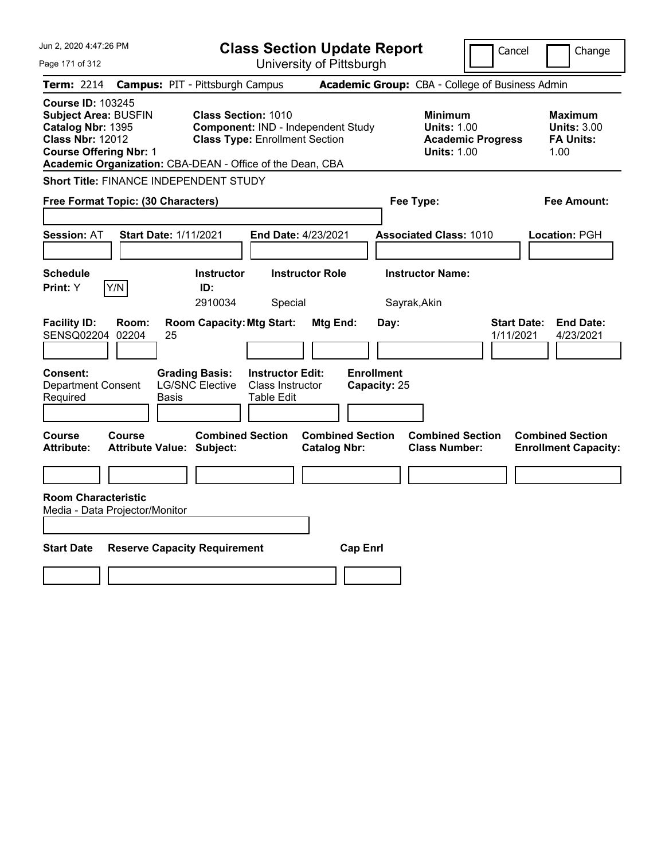| Jun 2, 2020 4:47:26 PM<br>Page 171 of 312                                                                                                                                                             | <b>Class Section Update Report</b>                                                                                  | University of Pittsburgh                       |                                                                                        | Cancel<br>Change                                                 |
|-------------------------------------------------------------------------------------------------------------------------------------------------------------------------------------------------------|---------------------------------------------------------------------------------------------------------------------|------------------------------------------------|----------------------------------------------------------------------------------------|------------------------------------------------------------------|
| <b>Term: 2214</b>                                                                                                                                                                                     | <b>Campus: PIT - Pittsburgh Campus</b>                                                                              |                                                | Academic Group: CBA - College of Business Admin                                        |                                                                  |
| <b>Course ID: 103245</b><br><b>Subject Area: BUSFIN</b><br>Catalog Nbr: 1395<br><b>Class Nbr: 12012</b><br><b>Course Offering Nbr: 1</b><br>Academic Organization: CBA-DEAN - Office of the Dean, CBA | <b>Class Section: 1010</b><br>Component: IND - Independent Study<br><b>Class Type: Enrollment Section</b>           |                                                | <b>Minimum</b><br><b>Units: 1.00</b><br><b>Academic Progress</b><br><b>Units: 1.00</b> | <b>Maximum</b><br><b>Units: 3.00</b><br><b>FA Units:</b><br>1.00 |
| <b>Short Title: FINANCE INDEPENDENT STUDY</b>                                                                                                                                                         |                                                                                                                     |                                                |                                                                                        |                                                                  |
| Free Format Topic: (30 Characters)                                                                                                                                                                    |                                                                                                                     |                                                | Fee Type:                                                                              | Fee Amount:                                                      |
| <b>Start Date: 1/11/2021</b><br><b>Session: AT</b>                                                                                                                                                    | <b>End Date: 4/23/2021</b>                                                                                          |                                                | <b>Associated Class: 1010</b>                                                          | Location: PGH                                                    |
| Schedule<br>Print: Y<br>Y/N                                                                                                                                                                           | <b>Instructor</b><br><b>Instructor Role</b><br>ID:<br>2910034<br>Special                                            |                                                | <b>Instructor Name:</b><br>Sayrak, Akin                                                |                                                                  |
| <b>Facility ID:</b><br>Room:<br>SENSQ02204<br>02204<br>25                                                                                                                                             | <b>Room Capacity: Mtg Start:</b>                                                                                    | Mtg End:<br>Day:                               |                                                                                        | <b>Start Date:</b><br><b>End Date:</b><br>1/11/2021<br>4/23/2021 |
| Consent:<br><b>Department Consent</b><br>Required<br>Basis                                                                                                                                            | <b>Grading Basis:</b><br><b>Instructor Edit:</b><br><b>LG/SNC Elective</b><br>Class Instructor<br><b>Table Edit</b> | <b>Enrollment</b><br>Capacity: 25              |                                                                                        |                                                                  |
| Course<br>Course<br><b>Attribute:</b><br><b>Attribute Value: Subject:</b>                                                                                                                             | <b>Combined Section</b>                                                                                             | <b>Combined Section</b><br><b>Catalog Nbr:</b> | <b>Combined Section</b><br><b>Class Number:</b>                                        | <b>Combined Section</b><br><b>Enrollment Capacity:</b>           |
|                                                                                                                                                                                                       |                                                                                                                     |                                                |                                                                                        |                                                                  |
| <b>Room Characteristic</b><br>Media - Data Projector/Monitor                                                                                                                                          |                                                                                                                     |                                                |                                                                                        |                                                                  |
| <b>Start Date</b><br><b>Reserve Capacity Requirement</b>                                                                                                                                              |                                                                                                                     | <b>Cap Enrl</b>                                |                                                                                        |                                                                  |
|                                                                                                                                                                                                       |                                                                                                                     |                                                |                                                                                        |                                                                  |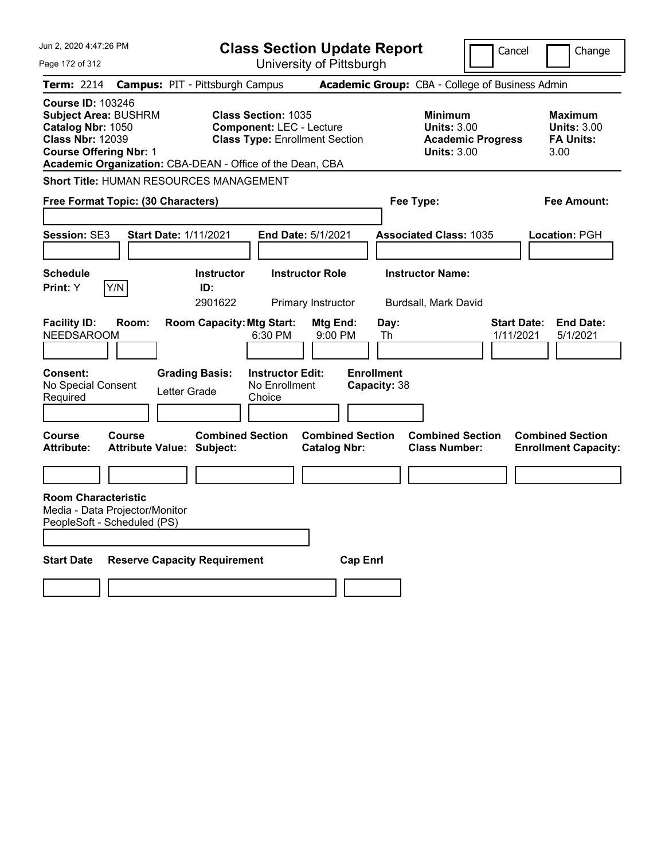| Jun 2, 2020 4:47:26 PM                                                                                                                                                                                |                                                             | <b>Class Section Update Report</b>                                                                     |                                                 | Cancel                                                               | Change                                                           |
|-------------------------------------------------------------------------------------------------------------------------------------------------------------------------------------------------------|-------------------------------------------------------------|--------------------------------------------------------------------------------------------------------|-------------------------------------------------|----------------------------------------------------------------------|------------------------------------------------------------------|
| Page 172 of 312                                                                                                                                                                                       |                                                             | University of Pittsburgh                                                                               |                                                 |                                                                      |                                                                  |
| <b>Term: 2214</b>                                                                                                                                                                                     | <b>Campus: PIT - Pittsburgh Campus</b>                      |                                                                                                        | Academic Group: CBA - College of Business Admin |                                                                      |                                                                  |
| <b>Course ID: 103246</b><br><b>Subject Area: BUSHRM</b><br>Catalog Nbr: 1050<br><b>Class Nbr: 12039</b><br><b>Course Offering Nbr: 1</b><br>Academic Organization: CBA-DEAN - Office of the Dean, CBA |                                                             | <b>Class Section: 1035</b><br><b>Component: LEC - Lecture</b><br><b>Class Type: Enrollment Section</b> | <b>Minimum</b>                                  | <b>Units: 3.00</b><br><b>Academic Progress</b><br><b>Units: 3.00</b> | <b>Maximum</b><br><b>Units: 3.00</b><br><b>FA Units:</b><br>3.00 |
| <b>Short Title: HUMAN RESOURCES MANAGEMENT</b>                                                                                                                                                        |                                                             |                                                                                                        |                                                 |                                                                      |                                                                  |
| Free Format Topic: (30 Characters)                                                                                                                                                                    |                                                             |                                                                                                        | Fee Type:                                       |                                                                      | Fee Amount:                                                      |
| Session: SE3                                                                                                                                                                                          | <b>Start Date: 1/11/2021</b>                                | <b>End Date: 5/1/2021</b>                                                                              | <b>Associated Class: 1035</b>                   |                                                                      | Location: PGH                                                    |
| <b>Schedule</b><br>Y/N<br>Print: Y                                                                                                                                                                    | <b>Instructor</b><br>ID:<br>2901622                         | <b>Instructor Role</b><br>Primary Instructor                                                           | <b>Instructor Name:</b><br>Burdsall, Mark David |                                                                      |                                                                  |
| <b>Facility ID:</b><br>Room:<br><b>NEEDSAROOM</b>                                                                                                                                                     | <b>Room Capacity: Mtg Start:</b>                            | <b>Mtg End:</b><br>6:30 PM<br>9:00 PM                                                                  | Day:<br>Th                                      | <b>Start Date:</b><br>1/11/2021                                      | <b>End Date:</b><br>5/1/2021                                     |
| <b>Consent:</b><br>No Special Consent<br>Required                                                                                                                                                     | <b>Grading Basis:</b><br>Letter Grade                       | <b>Instructor Edit:</b><br>No Enrollment<br>Choice                                                     | <b>Enrollment</b><br>Capacity: 38               |                                                                      |                                                                  |
| <b>Course</b><br>Course<br>Attribute:                                                                                                                                                                 | <b>Combined Section</b><br><b>Attribute Value: Subject:</b> | <b>Catalog Nbr:</b>                                                                                    | <b>Combined Section</b><br><b>Class Number:</b> | <b>Combined Section</b>                                              | <b>Combined Section</b><br><b>Enrollment Capacity:</b>           |
|                                                                                                                                                                                                       |                                                             |                                                                                                        |                                                 |                                                                      |                                                                  |
| <b>Room Characteristic</b><br>Media - Data Projector/Monitor<br>PeopleSoft - Scheduled (PS)                                                                                                           |                                                             |                                                                                                        |                                                 |                                                                      |                                                                  |
| <b>Start Date</b>                                                                                                                                                                                     | <b>Reserve Capacity Requirement</b>                         |                                                                                                        | <b>Cap Enri</b>                                 |                                                                      |                                                                  |
|                                                                                                                                                                                                       |                                                             |                                                                                                        |                                                 |                                                                      |                                                                  |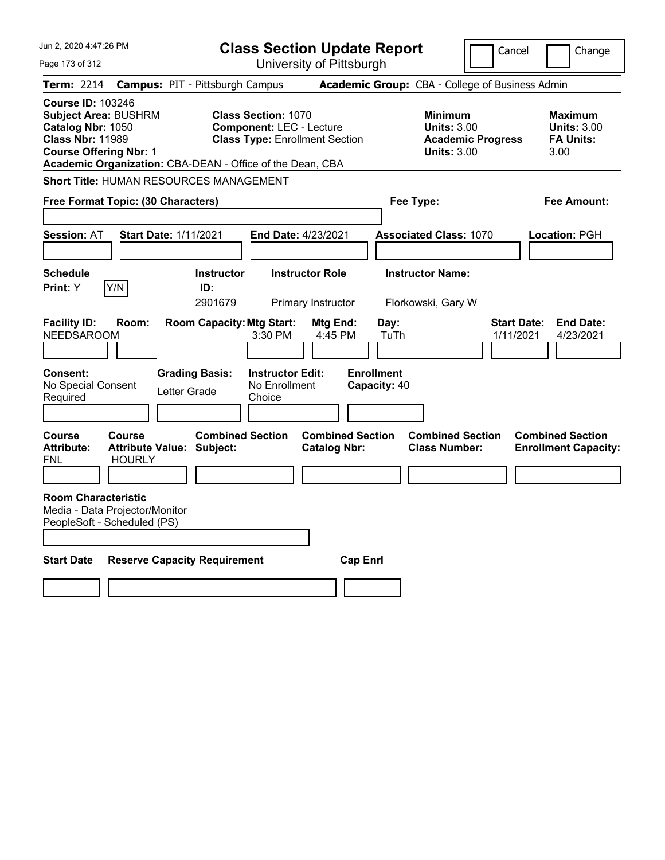| Jun 2, 2020 4:47:26 PM                                                                                                                   |                                                                    |                                                                           | <b>Class Section Update Report</b>                                                                     |                                                |                                                   |                                                     | Cancel                          | Change                                                           |
|------------------------------------------------------------------------------------------------------------------------------------------|--------------------------------------------------------------------|---------------------------------------------------------------------------|--------------------------------------------------------------------------------------------------------|------------------------------------------------|---------------------------------------------------|-----------------------------------------------------|---------------------------------|------------------------------------------------------------------|
| Page 173 of 312                                                                                                                          |                                                                    |                                                                           |                                                                                                        | University of Pittsburgh                       |                                                   |                                                     |                                 |                                                                  |
| Term: 2214                                                                                                                               | <b>Campus: PIT - Pittsburgh Campus</b>                             |                                                                           |                                                                                                        |                                                |                                                   | Academic Group: CBA - College of Business Admin     |                                 |                                                                  |
| <b>Course ID: 103246</b><br><b>Subject Area: BUSHRM</b><br>Catalog Nbr: 1050<br><b>Class Nbr: 11989</b><br><b>Course Offering Nbr: 1</b> | Academic Organization: CBA-DEAN - Office of the Dean, CBA          |                                                                           | <b>Class Section: 1070</b><br><b>Component: LEC - Lecture</b><br><b>Class Type: Enrollment Section</b> |                                                |                                                   | Minimum<br><b>Units: 3.00</b><br><b>Units: 3.00</b> | <b>Academic Progress</b>        | <b>Maximum</b><br><b>Units: 3.00</b><br><b>FA Units:</b><br>3.00 |
|                                                                                                                                          | <b>Short Title: HUMAN RESOURCES MANAGEMENT</b>                     |                                                                           |                                                                                                        |                                                |                                                   |                                                     |                                 |                                                                  |
|                                                                                                                                          | Free Format Topic: (30 Characters)                                 |                                                                           |                                                                                                        |                                                |                                                   | Fee Type:                                           |                                 | Fee Amount:                                                      |
|                                                                                                                                          |                                                                    |                                                                           |                                                                                                        |                                                |                                                   |                                                     |                                 |                                                                  |
| <b>Session: AT</b>                                                                                                                       | <b>Start Date: 1/11/2021</b>                                       |                                                                           | <b>End Date: 4/23/2021</b>                                                                             |                                                |                                                   | <b>Associated Class: 1070</b>                       |                                 | Location: PGH                                                    |
|                                                                                                                                          |                                                                    |                                                                           |                                                                                                        |                                                |                                                   |                                                     |                                 |                                                                  |
| <b>Schedule</b>                                                                                                                          |                                                                    | <b>Instructor</b>                                                         |                                                                                                        | <b>Instructor Role</b>                         |                                                   | <b>Instructor Name:</b>                             |                                 |                                                                  |
| <b>Print:</b> Y                                                                                                                          | Y/N                                                                | ID:<br>2901679                                                            |                                                                                                        | Primary Instructor                             |                                                   | Florkowski, Gary W                                  |                                 |                                                                  |
| <b>Facility ID:</b><br><b>NEEDSAROOM</b><br><b>Consent:</b><br>No Special Consent<br>Required                                            | Room:                                                              | <b>Room Capacity: Mtg Start:</b><br><b>Grading Basis:</b><br>Letter Grade | 3:30 PM<br><b>Instructor Edit:</b><br>No Enrollment<br>Choice                                          | Mtg End:<br>4:45 PM                            | Day:<br>TuTh<br><b>Enrollment</b><br>Capacity: 40 |                                                     | <b>Start Date:</b><br>1/11/2021 | <b>End Date:</b><br>4/23/2021                                    |
| <b>Course</b><br><b>Attribute:</b><br>FNL                                                                                                | <b>Course</b><br><b>Attribute Value: Subject:</b><br><b>HOURLY</b> | <b>Combined Section</b>                                                   |                                                                                                        | <b>Combined Section</b><br><b>Catalog Nbr:</b> |                                                   | <b>Combined Section</b><br><b>Class Number:</b>     |                                 | <b>Combined Section</b><br><b>Enrollment Capacity:</b>           |
| <b>Room Characteristic</b>                                                                                                               | Media - Data Projector/Monitor<br>PeopleSoft - Scheduled (PS)      |                                                                           |                                                                                                        |                                                |                                                   |                                                     |                                 |                                                                  |
| <b>Start Date</b>                                                                                                                        | <b>Reserve Capacity Requirement</b>                                |                                                                           |                                                                                                        |                                                | <b>Cap Enri</b>                                   |                                                     |                                 |                                                                  |
|                                                                                                                                          |                                                                    |                                                                           |                                                                                                        |                                                |                                                   |                                                     |                                 |                                                                  |
|                                                                                                                                          |                                                                    |                                                                           |                                                                                                        |                                                |                                                   |                                                     |                                 |                                                                  |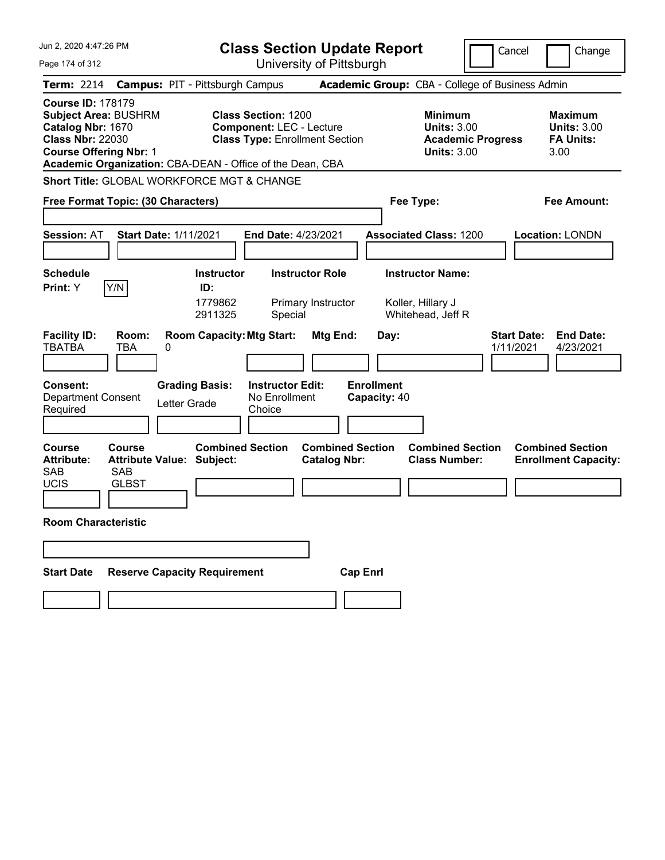| Jun 2, 2020 4:47:26 PM                                                                                                                                                                                | <b>Class Section Update Report</b>                                                                     |                                                                                        | Cancel<br>Change                                                 |
|-------------------------------------------------------------------------------------------------------------------------------------------------------------------------------------------------------|--------------------------------------------------------------------------------------------------------|----------------------------------------------------------------------------------------|------------------------------------------------------------------|
| Page 174 of 312                                                                                                                                                                                       | University of Pittsburgh                                                                               |                                                                                        |                                                                  |
| <b>Term: 2214</b>                                                                                                                                                                                     | <b>Campus: PIT - Pittsburgh Campus</b>                                                                 | Academic Group: CBA - College of Business Admin                                        |                                                                  |
| <b>Course ID: 178179</b><br><b>Subject Area: BUSHRM</b><br>Catalog Nbr: 1670<br><b>Class Nbr: 22030</b><br><b>Course Offering Nbr: 1</b><br>Academic Organization: CBA-DEAN - Office of the Dean, CBA | <b>Class Section: 1200</b><br><b>Component: LEC - Lecture</b><br><b>Class Type: Enrollment Section</b> | <b>Minimum</b><br><b>Units: 3.00</b><br><b>Academic Progress</b><br><b>Units: 3.00</b> | <b>Maximum</b><br><b>Units: 3.00</b><br><b>FA Units:</b><br>3.00 |
| <b>Short Title: GLOBAL WORKFORCE MGT &amp; CHANGE</b>                                                                                                                                                 |                                                                                                        |                                                                                        |                                                                  |
| Free Format Topic: (30 Characters)                                                                                                                                                                    |                                                                                                        | Fee Type:                                                                              | Fee Amount:                                                      |
| <b>Start Date: 1/11/2021</b><br><b>Session: AT</b>                                                                                                                                                    | End Date: 4/23/2021                                                                                    | <b>Associated Class: 1200</b>                                                          | <b>Location: LONDN</b>                                           |
| <b>Schedule</b>                                                                                                                                                                                       | <b>Instructor Role</b><br>Instructor                                                                   | <b>Instructor Name:</b>                                                                |                                                                  |
| Y/N<br>Print: Y                                                                                                                                                                                       | ID:<br>1779862<br>Primary Instructor<br>2911325<br>Special                                             | Koller, Hillary J<br>Whitehead, Jeff R                                                 |                                                                  |
| <b>Facility ID:</b><br>Room:<br><b>TBATBA</b><br>TBA<br>0                                                                                                                                             | <b>Room Capacity: Mtg Start:</b><br>Mtg End:                                                           | Day:                                                                                   | <b>Start Date:</b><br><b>End Date:</b><br>4/23/2021<br>1/11/2021 |
| <b>Consent:</b><br><b>Grading Basis:</b><br><b>Department Consent</b><br>Letter Grade<br>Required                                                                                                     | <b>Instructor Edit:</b><br>No Enrollment<br>Choice                                                     | <b>Enrollment</b><br>Capacity: 40                                                      |                                                                  |
| Course<br><b>Course</b><br><b>Attribute Value: Subject:</b><br><b>Attribute:</b><br><b>SAB</b><br><b>SAB</b><br><b>UCIS</b><br><b>GLBST</b>                                                           | <b>Combined Section</b><br><b>Combined Section</b><br><b>Catalog Nbr:</b>                              | <b>Combined Section</b><br><b>Class Number:</b>                                        | <b>Combined Section</b><br><b>Enrollment Capacity:</b>           |
| <b>Room Characteristic</b>                                                                                                                                                                            |                                                                                                        |                                                                                        |                                                                  |
|                                                                                                                                                                                                       |                                                                                                        |                                                                                        |                                                                  |
| <b>Reserve Capacity Requirement</b><br><b>Start Date</b>                                                                                                                                              | <b>Cap Enrl</b>                                                                                        |                                                                                        |                                                                  |
|                                                                                                                                                                                                       |                                                                                                        |                                                                                        |                                                                  |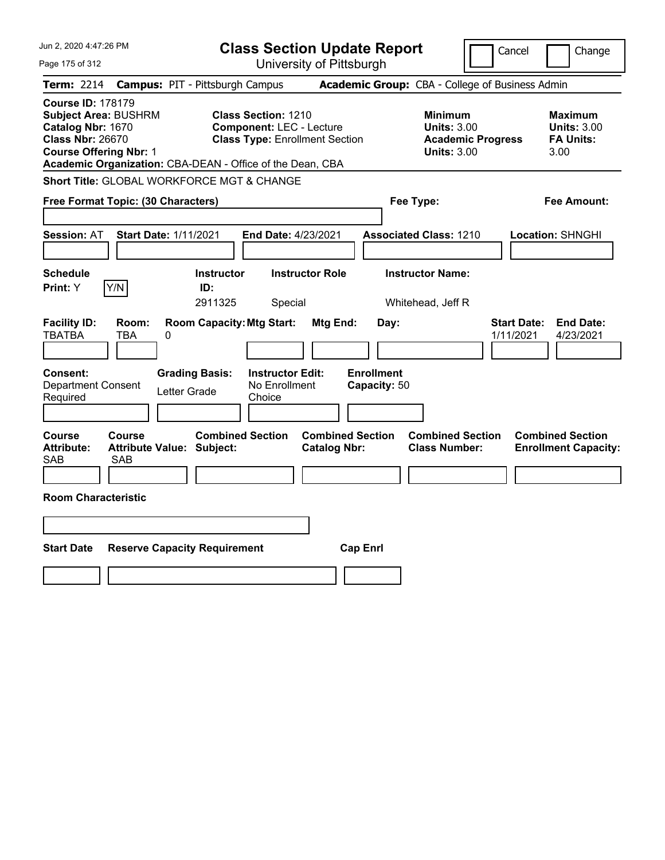| Jun 2, 2020 4:47:26 PM                                                                                                                                                                                | <b>Class Section Update Report</b>                                                                     |                                                                                        | Cancel<br>Change                                                 |
|-------------------------------------------------------------------------------------------------------------------------------------------------------------------------------------------------------|--------------------------------------------------------------------------------------------------------|----------------------------------------------------------------------------------------|------------------------------------------------------------------|
| Page 175 of 312                                                                                                                                                                                       | University of Pittsburgh                                                                               |                                                                                        |                                                                  |
| <b>Term: 2214</b>                                                                                                                                                                                     | <b>Campus: PIT - Pittsburgh Campus</b>                                                                 | Academic Group: CBA - College of Business Admin                                        |                                                                  |
| <b>Course ID: 178179</b><br><b>Subject Area: BUSHRM</b><br>Catalog Nbr: 1670<br><b>Class Nbr: 26670</b><br><b>Course Offering Nbr: 1</b><br>Academic Organization: CBA-DEAN - Office of the Dean, CBA | <b>Class Section: 1210</b><br><b>Component: LEC - Lecture</b><br><b>Class Type: Enrollment Section</b> | <b>Minimum</b><br><b>Units: 3.00</b><br><b>Academic Progress</b><br><b>Units: 3.00</b> | <b>Maximum</b><br><b>Units: 3.00</b><br><b>FA Units:</b><br>3.00 |
| <b>Short Title: GLOBAL WORKFORCE MGT &amp; CHANGE</b>                                                                                                                                                 |                                                                                                        |                                                                                        |                                                                  |
| Free Format Topic: (30 Characters)                                                                                                                                                                    |                                                                                                        | Fee Type:                                                                              | Fee Amount:                                                      |
| <b>Session: AT</b><br><b>Start Date: 1/11/2021</b>                                                                                                                                                    | End Date: 4/23/2021                                                                                    | <b>Associated Class: 1210</b>                                                          | Location: SHNGHI                                                 |
| <b>Schedule</b><br>Y/N<br>Print: Y                                                                                                                                                                    | <b>Instructor Role</b><br><b>Instructor</b><br>ID:<br>2911325<br>Special                               | <b>Instructor Name:</b><br>Whitehead, Jeff R                                           |                                                                  |
| <b>Facility ID:</b><br>Room:<br><b>TBATBA</b><br>TBA<br>0                                                                                                                                             | <b>Room Capacity: Mtg Start:</b><br>Mtg End:                                                           | Day:                                                                                   | <b>Start Date:</b><br><b>End Date:</b><br>1/11/2021<br>4/23/2021 |
| Consent:<br><b>Grading Basis:</b><br><b>Department Consent</b><br>Letter Grade<br>Required                                                                                                            | <b>Instructor Edit:</b><br>No Enrollment<br>Choice                                                     | <b>Enrollment</b><br>Capacity: 50                                                      |                                                                  |
| Course<br>Course<br><b>Attribute:</b><br><b>Attribute Value: Subject:</b><br>SAB<br>SAB                                                                                                               | <b>Combined Section</b><br><b>Combined Section</b><br><b>Catalog Nbr:</b>                              | <b>Combined Section</b><br><b>Class Number:</b>                                        | <b>Combined Section</b><br><b>Enrollment Capacity:</b>           |
| <b>Room Characteristic</b>                                                                                                                                                                            |                                                                                                        |                                                                                        |                                                                  |
| <b>Start Date</b><br><b>Reserve Capacity Requirement</b>                                                                                                                                              |                                                                                                        | <b>Cap Enrl</b>                                                                        |                                                                  |
|                                                                                                                                                                                                       |                                                                                                        |                                                                                        |                                                                  |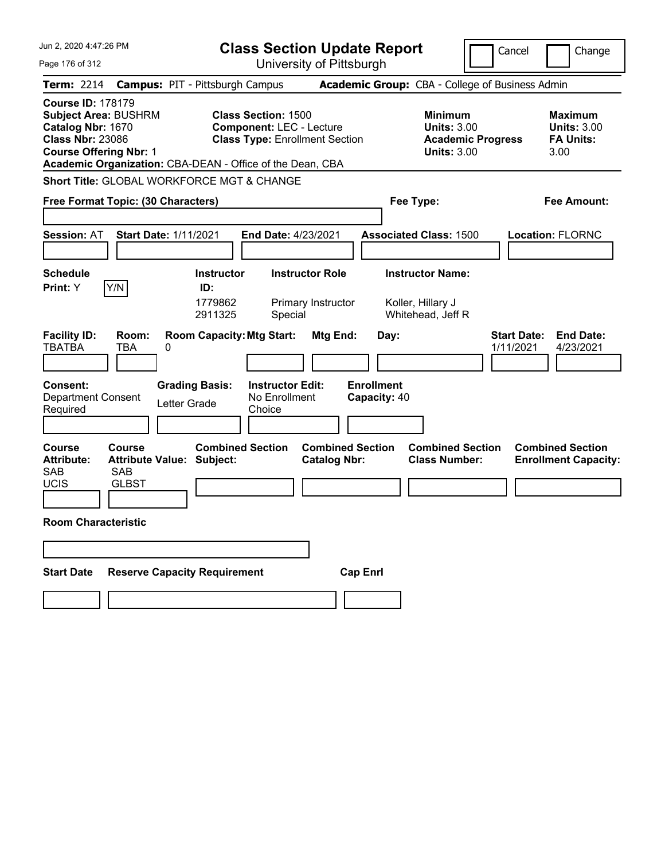| Jun 2, 2020 4:47:26 PM                                                                                                                                                                                | <b>Class Section Update Report</b>                                                                     | Cancel<br>Change                                                                                                                                           |  |
|-------------------------------------------------------------------------------------------------------------------------------------------------------------------------------------------------------|--------------------------------------------------------------------------------------------------------|------------------------------------------------------------------------------------------------------------------------------------------------------------|--|
| Page 176 of 312                                                                                                                                                                                       | University of Pittsburgh                                                                               |                                                                                                                                                            |  |
| <b>Term: 2214</b>                                                                                                                                                                                     | <b>Campus: PIT - Pittsburgh Campus</b>                                                                 | Academic Group: CBA - College of Business Admin                                                                                                            |  |
| <b>Course ID: 178179</b><br><b>Subject Area: BUSHRM</b><br>Catalog Nbr: 1670<br><b>Class Nbr: 23086</b><br><b>Course Offering Nbr: 1</b><br>Academic Organization: CBA-DEAN - Office of the Dean, CBA | <b>Class Section: 1500</b><br><b>Component: LEC - Lecture</b><br><b>Class Type: Enrollment Section</b> | <b>Minimum</b><br><b>Maximum</b><br><b>Units: 3.00</b><br><b>Units: 3.00</b><br><b>FA Units:</b><br><b>Academic Progress</b><br><b>Units: 3.00</b><br>3.00 |  |
| <b>Short Title: GLOBAL WORKFORCE MGT &amp; CHANGE</b>                                                                                                                                                 |                                                                                                        |                                                                                                                                                            |  |
| Free Format Topic: (30 Characters)                                                                                                                                                                    |                                                                                                        | Fee Type:<br>Fee Amount:                                                                                                                                   |  |
| <b>Session: AT</b><br><b>Start Date: 1/11/2021</b><br><b>Schedule</b>                                                                                                                                 | End Date: 4/23/2021<br><b>Instructor Role</b><br><b>Instructor</b>                                     | <b>Associated Class: 1500</b><br><b>Location: FLORNC</b><br><b>Instructor Name:</b>                                                                        |  |
| Y/N<br>Print: Y                                                                                                                                                                                       | ID:<br>1779862<br>Primary Instructor<br>2911325<br>Special                                             | Koller, Hillary J<br>Whitehead, Jeff R                                                                                                                     |  |
| <b>Facility ID:</b><br>Room:<br><b>TBATBA</b><br>TBA<br>0                                                                                                                                             | <b>Room Capacity: Mtg Start:</b><br>Mtg End:<br>Day:                                                   | <b>Start Date:</b><br><b>End Date:</b><br>1/11/2021<br>4/23/2021                                                                                           |  |
| <b>Consent:</b><br><b>Grading Basis:</b><br><b>Department Consent</b><br>Letter Grade<br>Required                                                                                                     | <b>Enrollment</b><br><b>Instructor Edit:</b><br>No Enrollment<br>Capacity: 40<br>Choice                |                                                                                                                                                            |  |
| <b>Course</b><br>Course<br><b>Attribute Value: Subject:</b><br><b>Attribute:</b><br><b>SAB</b><br><b>SAB</b><br><b>UCIS</b><br><b>GLBST</b>                                                           | <b>Combined Section</b><br><b>Combined Section</b><br><b>Catalog Nbr:</b>                              | <b>Combined Section</b><br><b>Combined Section</b><br><b>Class Number:</b><br><b>Enrollment Capacity:</b>                                                  |  |
| <b>Room Characteristic</b>                                                                                                                                                                            |                                                                                                        |                                                                                                                                                            |  |
|                                                                                                                                                                                                       |                                                                                                        |                                                                                                                                                            |  |
| <b>Reserve Capacity Requirement</b><br><b>Start Date</b>                                                                                                                                              | <b>Cap Enrl</b>                                                                                        |                                                                                                                                                            |  |
|                                                                                                                                                                                                       |                                                                                                        |                                                                                                                                                            |  |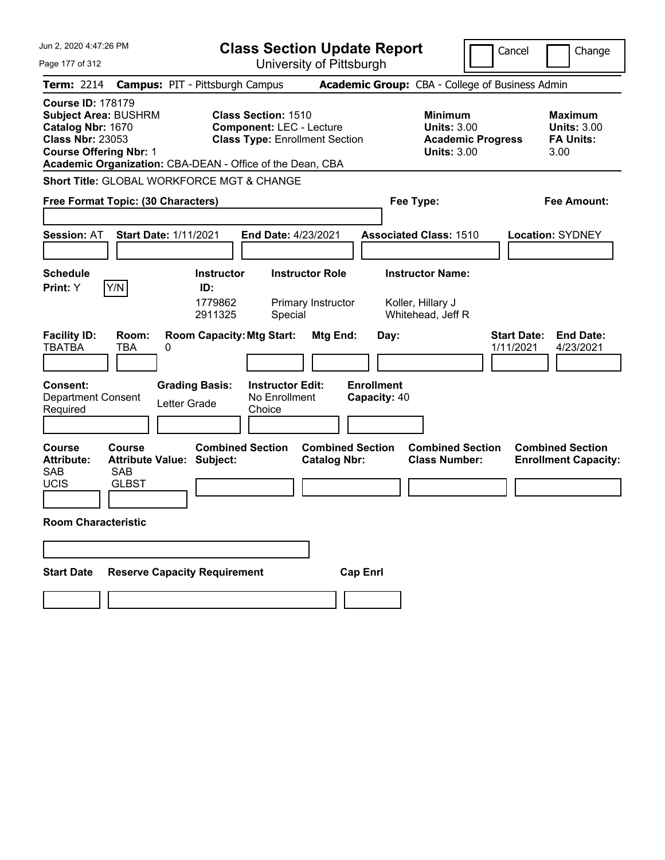| Jun 2, 2020 4:47:26 PM                                                                                                                   | <b>Class Section Update Report</b>                                                                                                                                  |                                                                                                    | Cancel<br>Change                                                 |
|------------------------------------------------------------------------------------------------------------------------------------------|---------------------------------------------------------------------------------------------------------------------------------------------------------------------|----------------------------------------------------------------------------------------------------|------------------------------------------------------------------|
| Page 177 of 312                                                                                                                          | University of Pittsburgh                                                                                                                                            |                                                                                                    |                                                                  |
| <b>Term: 2214</b>                                                                                                                        | <b>Campus: PIT - Pittsburgh Campus</b>                                                                                                                              | Academic Group: CBA - College of Business Admin                                                    |                                                                  |
| <b>Course ID: 178179</b><br><b>Subject Area: BUSHRM</b><br>Catalog Nbr: 1670<br><b>Class Nbr: 23053</b><br><b>Course Offering Nbr: 1</b> | <b>Class Section: 1510</b><br><b>Component: LEC - Lecture</b><br><b>Class Type: Enrollment Section</b><br>Academic Organization: CBA-DEAN - Office of the Dean, CBA | <b>Minimum</b><br><b>Units: 3.00</b><br><b>Academic Progress</b><br><b>Units: 3.00</b>             | <b>Maximum</b><br><b>Units: 3.00</b><br><b>FA Units:</b><br>3.00 |
|                                                                                                                                          | <b>Short Title: GLOBAL WORKFORCE MGT &amp; CHANGE</b>                                                                                                               |                                                                                                    |                                                                  |
| Free Format Topic: (30 Characters)                                                                                                       |                                                                                                                                                                     | Fee Type:                                                                                          | Fee Amount:                                                      |
| <b>Session: AT</b><br><b>Schedule</b><br>Y/N<br>Print: Y                                                                                 | <b>Start Date: 1/11/2021</b><br>End Date: 4/23/2021<br><b>Instructor Role</b><br><b>Instructor</b><br>ID:<br>1779862<br>Primary Instructor<br>2911325<br>Special    | <b>Associated Class: 1510</b><br><b>Instructor Name:</b><br>Koller, Hillary J<br>Whitehead, Jeff R | <b>Location: SYDNEY</b>                                          |
| <b>Facility ID:</b><br>Room:<br><b>TBATBA</b><br>TBA<br><b>Consent:</b><br>Department Consent<br>Required                                | <b>Room Capacity: Mtg Start:</b><br>Mtg End:<br>0<br><b>Grading Basis:</b><br><b>Instructor Edit:</b><br>No Enrollment<br>Letter Grade<br>Choice                    | Day:<br><b>Enrollment</b><br>Capacity: 40                                                          | <b>End Date:</b><br><b>Start Date:</b><br>1/11/2021<br>4/23/2021 |
| Course<br>Course<br><b>Attribute:</b><br><b>SAB</b><br><b>SAB</b><br><b>UCIS</b><br><b>GLBST</b><br><b>Room Characteristic</b>           | <b>Combined Section</b><br><b>Combined Section</b><br><b>Attribute Value: Subject:</b><br><b>Catalog Nbr:</b>                                                       | <b>Combined Section</b><br><b>Class Number:</b>                                                    | <b>Combined Section</b><br><b>Enrollment Capacity:</b>           |
| <b>Start Date</b>                                                                                                                        | <b>Reserve Capacity Requirement</b><br><b>Cap Enrl</b>                                                                                                              |                                                                                                    |                                                                  |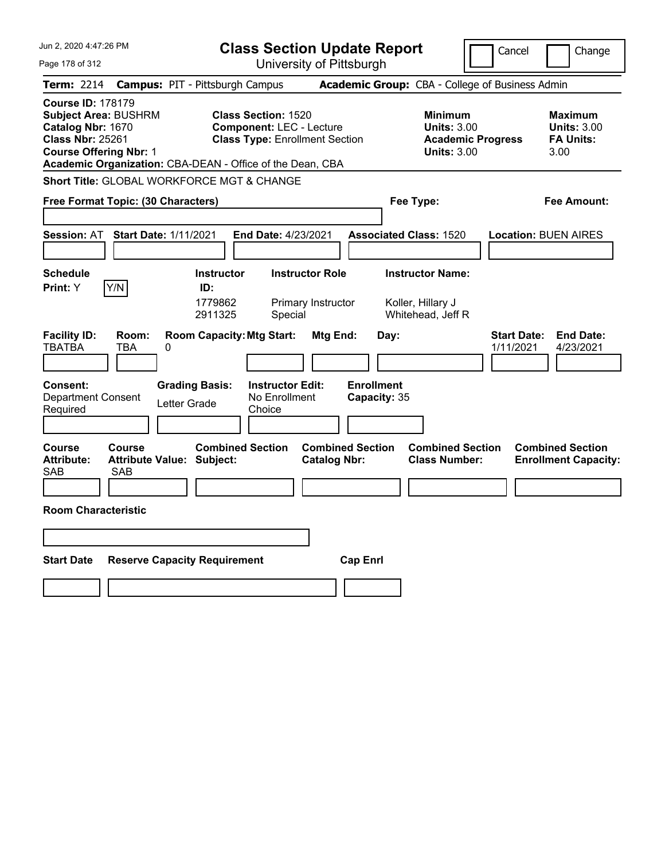| Jun 2, 2020 4:47:26 PM                                                                                                                                                                                | <b>Class Section Update Report</b>                                                                     |                                                                                        | Cancel<br>Change                                                 |
|-------------------------------------------------------------------------------------------------------------------------------------------------------------------------------------------------------|--------------------------------------------------------------------------------------------------------|----------------------------------------------------------------------------------------|------------------------------------------------------------------|
| Page 178 of 312                                                                                                                                                                                       | University of Pittsburgh                                                                               |                                                                                        |                                                                  |
| <b>Term: 2214</b>                                                                                                                                                                                     | <b>Campus: PIT - Pittsburgh Campus</b>                                                                 | Academic Group: CBA - College of Business Admin                                        |                                                                  |
| <b>Course ID: 178179</b><br><b>Subject Area: BUSHRM</b><br>Catalog Nbr: 1670<br><b>Class Nbr: 25261</b><br><b>Course Offering Nbr: 1</b><br>Academic Organization: CBA-DEAN - Office of the Dean, CBA | <b>Class Section: 1520</b><br><b>Component: LEC - Lecture</b><br><b>Class Type: Enrollment Section</b> | <b>Minimum</b><br><b>Units: 3.00</b><br><b>Academic Progress</b><br><b>Units: 3.00</b> | <b>Maximum</b><br><b>Units: 3.00</b><br><b>FA Units:</b><br>3.00 |
| <b>Short Title: GLOBAL WORKFORCE MGT &amp; CHANGE</b>                                                                                                                                                 |                                                                                                        |                                                                                        |                                                                  |
| Free Format Topic: (30 Characters)                                                                                                                                                                    |                                                                                                        | Fee Type:                                                                              | Fee Amount:                                                      |
| <b>Start Date: 1/11/2021</b><br><b>Session: AT</b>                                                                                                                                                    | End Date: 4/23/2021                                                                                    | <b>Associated Class: 1520</b>                                                          | <b>Location: BUEN AIRES</b>                                      |
| <b>Schedule</b>                                                                                                                                                                                       | <b>Instructor</b><br><b>Instructor Role</b>                                                            | <b>Instructor Name:</b>                                                                |                                                                  |
| Y/N<br>Print: Y                                                                                                                                                                                       | ID:                                                                                                    |                                                                                        |                                                                  |
|                                                                                                                                                                                                       | 1779862<br>Primary Instructor<br>2911325<br>Special                                                    | Koller, Hillary J<br>Whitehead, Jeff R                                                 |                                                                  |
| <b>Facility ID:</b><br>Room:<br><b>TBATBA</b><br><b>TBA</b><br>0                                                                                                                                      | <b>Room Capacity: Mtg Start:</b><br><b>Mtg End:</b>                                                    | Day:                                                                                   | <b>Start Date:</b><br><b>End Date:</b><br>1/11/2021<br>4/23/2021 |
| <b>Grading Basis:</b><br><b>Consent:</b><br><b>Department Consent</b><br>Letter Grade<br>Required                                                                                                     | <b>Instructor Edit:</b><br>No Enrollment<br>Choice                                                     | <b>Enrollment</b><br>Capacity: 35                                                      |                                                                  |
| Course<br>Course<br><b>Attribute:</b><br><b>Attribute Value: Subject:</b><br><b>SAB</b><br><b>SAB</b>                                                                                                 | <b>Combined Section</b><br><b>Combined Section</b><br><b>Catalog Nbr:</b>                              | <b>Combined Section</b><br><b>Class Number:</b>                                        | <b>Combined Section</b><br><b>Enrollment Capacity:</b>           |
|                                                                                                                                                                                                       |                                                                                                        |                                                                                        |                                                                  |
| <b>Room Characteristic</b>                                                                                                                                                                            |                                                                                                        |                                                                                        |                                                                  |
|                                                                                                                                                                                                       |                                                                                                        |                                                                                        |                                                                  |
| <b>Start Date</b><br><b>Reserve Capacity Requirement</b>                                                                                                                                              |                                                                                                        | <b>Cap Enrl</b>                                                                        |                                                                  |
|                                                                                                                                                                                                       |                                                                                                        |                                                                                        |                                                                  |
|                                                                                                                                                                                                       |                                                                                                        |                                                                                        |                                                                  |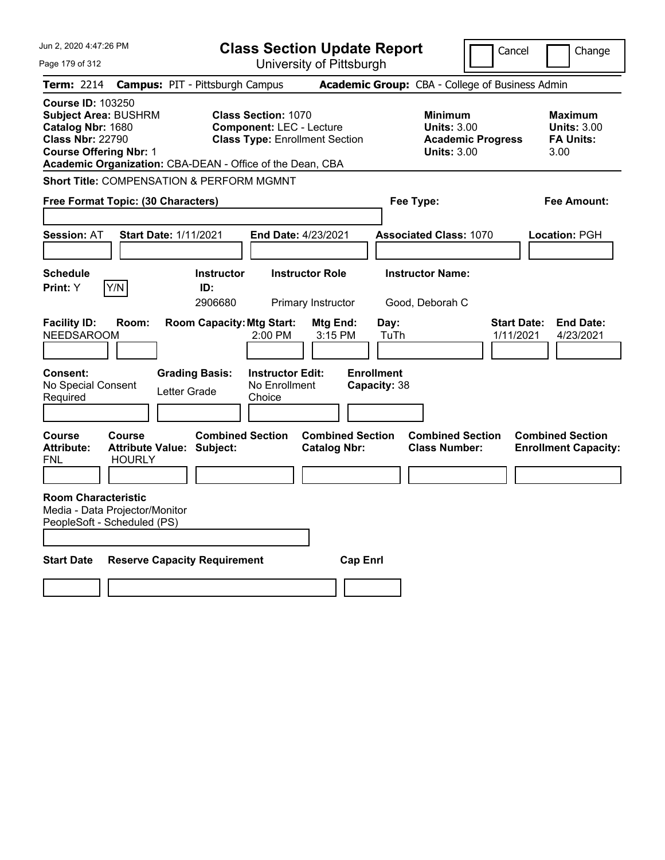| Jun 2, 2020 4:47:26 PM                                                                                                                                                                                |                                        |                                     | <b>Class Section Update Report</b>                                                                     |                                                |                                   |                                                            | Cancel                                          | Change                                                           |
|-------------------------------------------------------------------------------------------------------------------------------------------------------------------------------------------------------|----------------------------------------|-------------------------------------|--------------------------------------------------------------------------------------------------------|------------------------------------------------|-----------------------------------|------------------------------------------------------------|-------------------------------------------------|------------------------------------------------------------------|
| Page 179 of 312                                                                                                                                                                                       |                                        |                                     |                                                                                                        | University of Pittsburgh                       |                                   |                                                            |                                                 |                                                                  |
| Term: 2214                                                                                                                                                                                            | <b>Campus: PIT - Pittsburgh Campus</b> |                                     |                                                                                                        |                                                |                                   |                                                            | Academic Group: CBA - College of Business Admin |                                                                  |
| <b>Course ID: 103250</b><br><b>Subject Area: BUSHRM</b><br>Catalog Nbr: 1680<br><b>Class Nbr: 22790</b><br><b>Course Offering Nbr: 1</b><br>Academic Organization: CBA-DEAN - Office of the Dean, CBA |                                        |                                     | <b>Class Section: 1070</b><br><b>Component: LEC - Lecture</b><br><b>Class Type: Enrollment Section</b> |                                                |                                   | <b>Minimum</b><br><b>Units: 3.00</b><br><b>Units: 3.00</b> | <b>Academic Progress</b>                        | <b>Maximum</b><br><b>Units: 3.00</b><br><b>FA Units:</b><br>3.00 |
| <b>Short Title: COMPENSATION &amp; PERFORM MGMNT</b>                                                                                                                                                  |                                        |                                     |                                                                                                        |                                                |                                   |                                                            |                                                 |                                                                  |
| Free Format Topic: (30 Characters)                                                                                                                                                                    |                                        |                                     |                                                                                                        |                                                |                                   | Fee Type:                                                  |                                                 | Fee Amount:                                                      |
| <b>Session: AT</b>                                                                                                                                                                                    | <b>Start Date: 1/11/2021</b>           |                                     | <b>End Date: 4/23/2021</b>                                                                             |                                                |                                   | <b>Associated Class: 1070</b>                              |                                                 | Location: PGH                                                    |
| <b>Schedule</b><br>Y/N<br>Print: Y                                                                                                                                                                    |                                        | <b>Instructor</b><br>ID:<br>2906680 |                                                                                                        | <b>Instructor Role</b><br>Primary Instructor   |                                   | <b>Instructor Name:</b><br>Good, Deborah C                 |                                                 |                                                                  |
| <b>Facility ID:</b><br>Room:<br><b>NEEDSAROOM</b>                                                                                                                                                     |                                        | <b>Room Capacity: Mtg Start:</b>    | $2:00$ PM                                                                                              | Mtg End:<br>3:15 PM                            | Day:<br>TuTh                      |                                                            | <b>Start Date:</b><br>1/11/2021                 | <b>End Date:</b><br>4/23/2021                                    |
| <b>Consent:</b><br>No Special Consent<br>Required                                                                                                                                                     | <b>Grading Basis:</b><br>Letter Grade  |                                     | <b>Instructor Edit:</b><br>No Enrollment<br>Choice                                                     |                                                | <b>Enrollment</b><br>Capacity: 38 |                                                            |                                                 |                                                                  |
| <b>Course</b><br>Course<br><b>Attribute:</b><br><b>HOURLY</b><br>FNL                                                                                                                                  | <b>Attribute Value: Subject:</b>       | <b>Combined Section</b>             |                                                                                                        | <b>Combined Section</b><br><b>Catalog Nbr:</b> |                                   | <b>Combined Section</b><br><b>Class Number:</b>            |                                                 | <b>Combined Section</b><br><b>Enrollment Capacity:</b>           |
| <b>Room Characteristic</b><br>Media - Data Projector/Monitor<br>PeopleSoft - Scheduled (PS)                                                                                                           |                                        |                                     |                                                                                                        |                                                |                                   |                                                            |                                                 |                                                                  |
| <b>Start Date</b>                                                                                                                                                                                     | <b>Reserve Capacity Requirement</b>    |                                     |                                                                                                        |                                                | <b>Cap Enri</b>                   |                                                            |                                                 |                                                                  |
|                                                                                                                                                                                                       |                                        |                                     |                                                                                                        |                                                |                                   |                                                            |                                                 |                                                                  |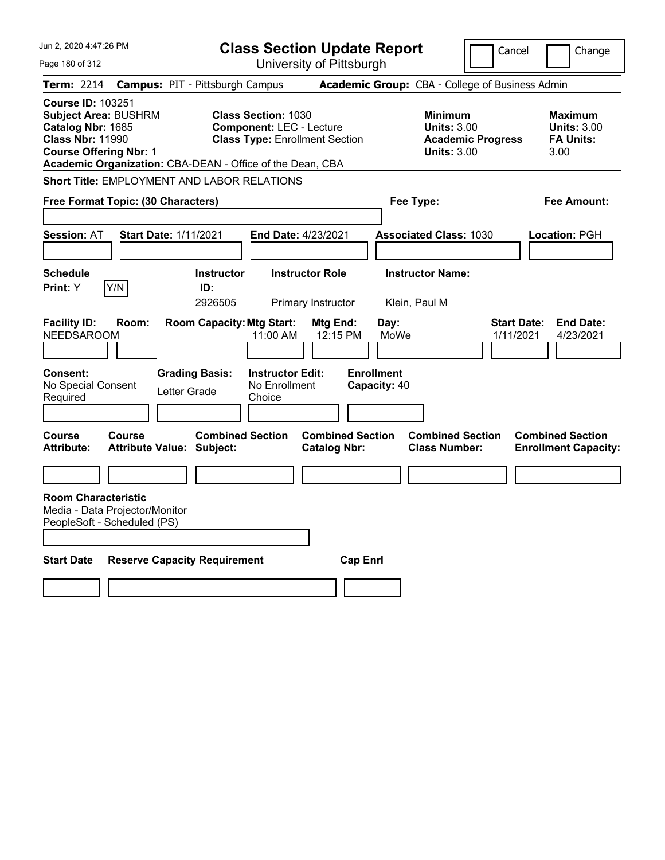| Jun 2, 2020 4:47:26 PM                                                                                                                                                                                |                                                                           | <b>Class Section Update Report</b>                                                     |                                                            | Cancel                          | Change                                                           |
|-------------------------------------------------------------------------------------------------------------------------------------------------------------------------------------------------------|---------------------------------------------------------------------------|----------------------------------------------------------------------------------------|------------------------------------------------------------|---------------------------------|------------------------------------------------------------------|
| Page 180 of 312                                                                                                                                                                                       |                                                                           | University of Pittsburgh                                                               |                                                            |                                 |                                                                  |
| <b>Term: 2214</b>                                                                                                                                                                                     | <b>Campus: PIT - Pittsburgh Campus</b>                                    |                                                                                        | Academic Group: CBA - College of Business Admin            |                                 |                                                                  |
| <b>Course ID: 103251</b><br><b>Subject Area: BUSHRM</b><br>Catalog Nbr: 1685<br><b>Class Nbr: 11990</b><br><b>Course Offering Nbr: 1</b><br>Academic Organization: CBA-DEAN - Office of the Dean, CBA | <b>Class Section: 1030</b>                                                | <b>Component: LEC - Lecture</b><br><b>Class Type: Enrollment Section</b>               | <b>Minimum</b><br><b>Units: 3.00</b><br><b>Units: 3.00</b> | <b>Academic Progress</b>        | <b>Maximum</b><br><b>Units: 3.00</b><br><b>FA Units:</b><br>3.00 |
| <b>Short Title: EMPLOYMENT AND LABOR RELATIONS</b>                                                                                                                                                    |                                                                           |                                                                                        |                                                            |                                 |                                                                  |
| Free Format Topic: (30 Characters)                                                                                                                                                                    |                                                                           |                                                                                        | Fee Type:                                                  |                                 | Fee Amount:                                                      |
| <b>Session: AT</b>                                                                                                                                                                                    | <b>Start Date: 1/11/2021</b>                                              | End Date: 4/23/2021                                                                    | <b>Associated Class: 1030</b>                              |                                 | Location: PGH                                                    |
| <b>Schedule</b>                                                                                                                                                                                       | <b>Instructor</b>                                                         | <b>Instructor Role</b>                                                                 | <b>Instructor Name:</b>                                    |                                 |                                                                  |
| Y/N<br><b>Print: Y</b>                                                                                                                                                                                | ID:<br>2926505                                                            | Primary Instructor                                                                     | Klein, Paul M                                              |                                 |                                                                  |
| <b>Facility ID:</b><br>Room:<br><b>NEEDSAROOM</b><br><b>Consent:</b><br>No Special Consent<br>Required                                                                                                | <b>Room Capacity: Mtg Start:</b><br><b>Grading Basis:</b><br>Letter Grade | Mtg End:<br>11:00 AM<br>12:15 PM<br><b>Instructor Edit:</b><br>No Enrollment<br>Choice | Day:<br>MoWe<br><b>Enrollment</b><br>Capacity: 40          | <b>Start Date:</b><br>1/11/2021 | <b>End Date:</b><br>4/23/2021                                    |
| <b>Course</b><br>Course<br><b>Attribute:</b>                                                                                                                                                          | <b>Combined Section</b><br>Attribute Value: Subject:                      | <b>Combined Section</b><br><b>Catalog Nbr:</b>                                         | <b>Combined Section</b><br><b>Class Number:</b>            |                                 | <b>Combined Section</b><br><b>Enrollment Capacity:</b>           |
|                                                                                                                                                                                                       |                                                                           |                                                                                        |                                                            |                                 |                                                                  |
| <b>Room Characteristic</b><br>Media - Data Projector/Monitor<br>PeopleSoft - Scheduled (PS)                                                                                                           |                                                                           |                                                                                        |                                                            |                                 |                                                                  |
| <b>Start Date</b>                                                                                                                                                                                     | <b>Reserve Capacity Requirement</b>                                       |                                                                                        | <b>Cap Enrl</b>                                            |                                 |                                                                  |
|                                                                                                                                                                                                       |                                                                           |                                                                                        |                                                            |                                 |                                                                  |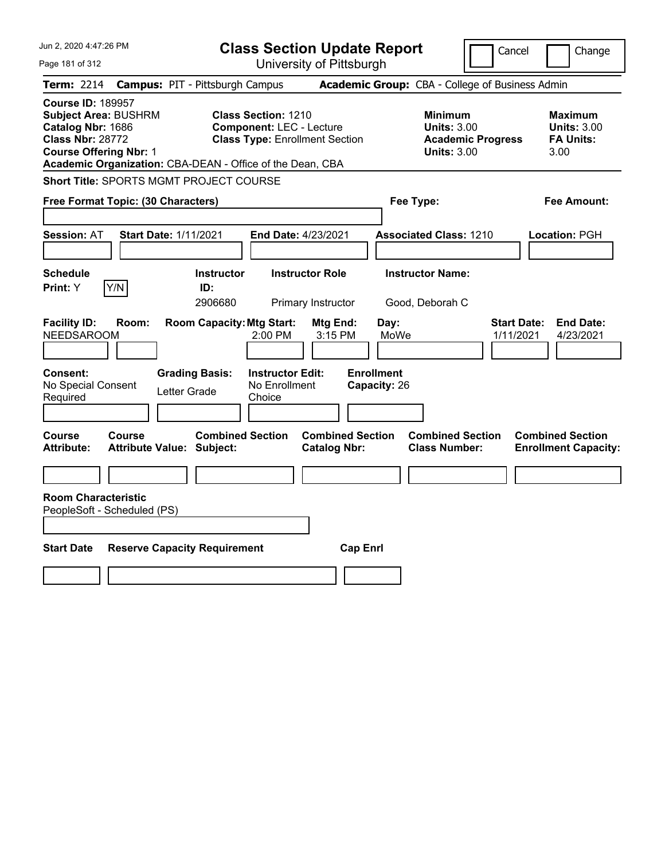| Jun 2, 2020 4:47:26 PM                                                                                                                   |                                                                                                                                                                     | <b>Class Section Update Report</b>             |                                                                                        | Cancel<br>Change                                                 |
|------------------------------------------------------------------------------------------------------------------------------------------|---------------------------------------------------------------------------------------------------------------------------------------------------------------------|------------------------------------------------|----------------------------------------------------------------------------------------|------------------------------------------------------------------|
| Page 181 of 312                                                                                                                          |                                                                                                                                                                     | University of Pittsburgh                       |                                                                                        |                                                                  |
| <b>Term: 2214</b>                                                                                                                        | <b>Campus: PIT - Pittsburgh Campus</b>                                                                                                                              |                                                | <b>Academic Group: CBA - College of Business Admin</b>                                 |                                                                  |
| <b>Course ID: 189957</b><br><b>Subject Area: BUSHRM</b><br>Catalog Nbr: 1686<br><b>Class Nbr: 28772</b><br><b>Course Offering Nbr: 1</b> | <b>Class Section: 1210</b><br><b>Component: LEC - Lecture</b><br><b>Class Type: Enrollment Section</b><br>Academic Organization: CBA-DEAN - Office of the Dean, CBA |                                                | <b>Minimum</b><br><b>Units: 3.00</b><br><b>Academic Progress</b><br><b>Units: 3.00</b> | <b>Maximum</b><br><b>Units: 3.00</b><br><b>FA Units:</b><br>3.00 |
| Short Title: SPORTS MGMT PROJECT COURSE                                                                                                  |                                                                                                                                                                     |                                                |                                                                                        |                                                                  |
| Free Format Topic: (30 Characters)                                                                                                       |                                                                                                                                                                     |                                                | Fee Type:                                                                              | Fee Amount:                                                      |
| <b>Session: AT</b>                                                                                                                       | <b>Start Date: 1/11/2021</b>                                                                                                                                        | End Date: 4/23/2021                            | <b>Associated Class: 1210</b>                                                          | Location: PGH                                                    |
| <b>Schedule</b><br>Y/N<br>Print: Y                                                                                                       | <b>Instructor</b><br>ID:<br>2906680                                                                                                                                 | <b>Instructor Role</b><br>Primary Instructor   | <b>Instructor Name:</b><br>Good, Deborah C                                             |                                                                  |
| <b>Facility ID:</b><br>Room:<br><b>NEEDSAROOM</b>                                                                                        | <b>Room Capacity: Mtg Start:</b><br>2:00 PM                                                                                                                         | Mtg End:<br>3:15 PM                            | Day:<br>MoWe                                                                           | <b>End Date:</b><br><b>Start Date:</b><br>1/11/2021<br>4/23/2021 |
| Consent:<br>No Special Consent<br>Required                                                                                               | <b>Grading Basis:</b><br><b>Instructor Edit:</b><br>No Enrollment<br>Letter Grade<br>Choice                                                                         |                                                | <b>Enrollment</b><br>Capacity: 26                                                      |                                                                  |
| Course<br>Course<br><b>Attribute:</b>                                                                                                    | <b>Combined Section</b><br><b>Attribute Value: Subject:</b>                                                                                                         | <b>Combined Section</b><br><b>Catalog Nbr:</b> | <b>Combined Section</b><br><b>Class Number:</b>                                        | <b>Combined Section</b><br><b>Enrollment Capacity:</b>           |
| <b>Room Characteristic</b><br>PeopleSoft - Scheduled (PS)                                                                                |                                                                                                                                                                     |                                                |                                                                                        |                                                                  |
| <b>Start Date</b>                                                                                                                        | <b>Reserve Capacity Requirement</b>                                                                                                                                 | <b>Cap Enrl</b>                                |                                                                                        |                                                                  |
|                                                                                                                                          |                                                                                                                                                                     |                                                |                                                                                        |                                                                  |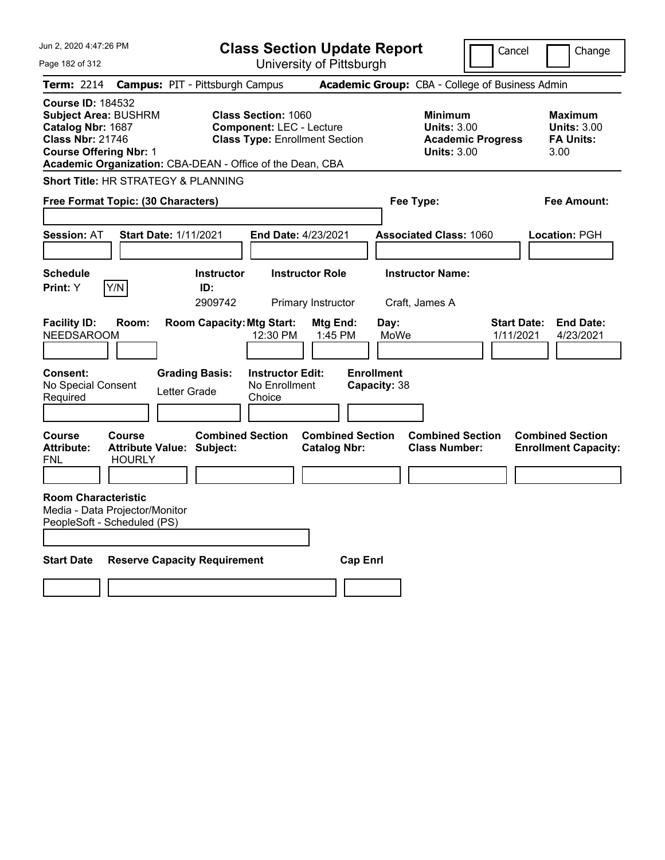| Jun 2, 2020 4:47:26 PM                                                                                                                                                                                |                                                             | <b>Class Section Update Report</b>                                                                     |                                                |                                                            | Cancel                          | Change                                                           |
|-------------------------------------------------------------------------------------------------------------------------------------------------------------------------------------------------------|-------------------------------------------------------------|--------------------------------------------------------------------------------------------------------|------------------------------------------------|------------------------------------------------------------|---------------------------------|------------------------------------------------------------------|
| Page 182 of 312                                                                                                                                                                                       |                                                             | University of Pittsburgh                                                                               |                                                |                                                            |                                 |                                                                  |
| Term: 2214                                                                                                                                                                                            | <b>Campus: PIT - Pittsburgh Campus</b>                      |                                                                                                        |                                                | Academic Group: CBA - College of Business Admin            |                                 |                                                                  |
| <b>Course ID: 184532</b><br><b>Subject Area: BUSHRM</b><br>Catalog Nbr: 1687<br><b>Class Nbr: 21746</b><br><b>Course Offering Nbr: 1</b><br>Academic Organization: CBA-DEAN - Office of the Dean, CBA |                                                             | <b>Class Section: 1060</b><br><b>Component: LEC - Lecture</b><br><b>Class Type: Enrollment Section</b> |                                                | <b>Minimum</b><br><b>Units: 3.00</b><br><b>Units: 3.00</b> | <b>Academic Progress</b>        | <b>Maximum</b><br><b>Units: 3.00</b><br><b>FA Units:</b><br>3.00 |
| <b>Short Title: HR STRATEGY &amp; PLANNING</b>                                                                                                                                                        |                                                             |                                                                                                        |                                                |                                                            |                                 |                                                                  |
| Free Format Topic: (30 Characters)                                                                                                                                                                    |                                                             |                                                                                                        |                                                | Fee Type:                                                  |                                 | Fee Amount:                                                      |
| <b>Session: AT</b>                                                                                                                                                                                    | <b>Start Date: 1/11/2021</b>                                | End Date: 4/23/2021                                                                                    |                                                | <b>Associated Class: 1060</b>                              |                                 | Location: PGH                                                    |
| <b>Schedule</b><br>Y/N<br>Print: Y                                                                                                                                                                    | <b>Instructor</b><br>ID:<br>2909742                         | <b>Instructor Role</b><br>Primary Instructor                                                           |                                                | <b>Instructor Name:</b><br>Craft, James A                  |                                 |                                                                  |
| <b>Facility ID:</b><br>Room:<br><b>NEEDSAROOM</b>                                                                                                                                                     | <b>Room Capacity: Mtg Start:</b>                            | 12:30 PM                                                                                               | Mtg End:<br>1:45 PM                            | Day:<br>MoWe                                               | <b>Start Date:</b><br>1/11/2021 | <b>End Date:</b><br>4/23/2021                                    |
| <b>Consent:</b><br>No Special Consent<br>Required                                                                                                                                                     | <b>Grading Basis:</b><br>Letter Grade                       | <b>Instructor Edit:</b><br>No Enrollment<br>Choice                                                     |                                                | <b>Enrollment</b><br>Capacity: 38                          |                                 |                                                                  |
| <b>Course</b><br>Course<br><b>Attribute:</b><br><b>HOURLY</b><br>FNL                                                                                                                                  | <b>Combined Section</b><br><b>Attribute Value: Subject:</b> |                                                                                                        | <b>Combined Section</b><br><b>Catalog Nbr:</b> | <b>Combined Section</b><br><b>Class Number:</b>            |                                 | <b>Combined Section</b><br><b>Enrollment Capacity:</b>           |
| <b>Room Characteristic</b><br>Media - Data Projector/Monitor<br>PeopleSoft - Scheduled (PS)                                                                                                           |                                                             |                                                                                                        |                                                |                                                            |                                 |                                                                  |
| <b>Start Date</b>                                                                                                                                                                                     | <b>Reserve Capacity Requirement</b>                         |                                                                                                        | <b>Cap Enrl</b>                                |                                                            |                                 |                                                                  |
|                                                                                                                                                                                                       |                                                             |                                                                                                        |                                                |                                                            |                                 |                                                                  |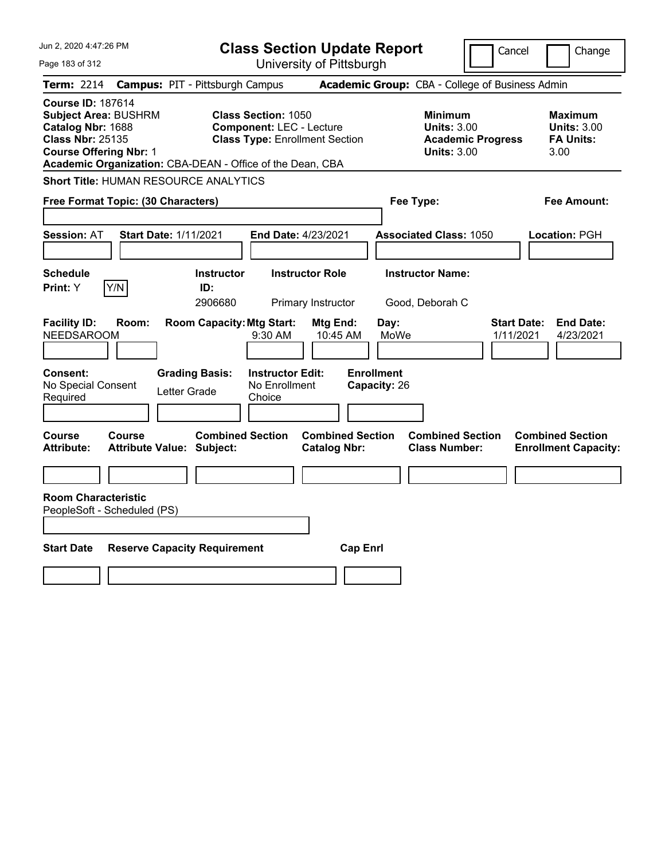| Jun 2, 2020 4:47:26 PM                                                                                                                   | <b>Class Section Update Report</b>                                                                                                                                  |                                                |                                                            | Cancel                          | Change                                                           |
|------------------------------------------------------------------------------------------------------------------------------------------|---------------------------------------------------------------------------------------------------------------------------------------------------------------------|------------------------------------------------|------------------------------------------------------------|---------------------------------|------------------------------------------------------------------|
| Page 183 of 312                                                                                                                          |                                                                                                                                                                     | University of Pittsburgh                       |                                                            |                                 |                                                                  |
| <b>Term: 2214</b>                                                                                                                        | <b>Campus: PIT - Pittsburgh Campus</b>                                                                                                                              |                                                | Academic Group: CBA - College of Business Admin            |                                 |                                                                  |
| <b>Course ID: 187614</b><br><b>Subject Area: BUSHRM</b><br>Catalog Nbr: 1688<br><b>Class Nbr: 25135</b><br><b>Course Offering Nbr: 1</b> | <b>Class Section: 1050</b><br><b>Component: LEC - Lecture</b><br><b>Class Type: Enrollment Section</b><br>Academic Organization: CBA-DEAN - Office of the Dean, CBA |                                                | <b>Minimum</b><br><b>Units: 3.00</b><br><b>Units: 3.00</b> | <b>Academic Progress</b>        | <b>Maximum</b><br><b>Units: 3.00</b><br><b>FA Units:</b><br>3.00 |
| <b>Short Title: HUMAN RESOURCE ANALYTICS</b>                                                                                             |                                                                                                                                                                     |                                                |                                                            |                                 |                                                                  |
| Free Format Topic: (30 Characters)                                                                                                       |                                                                                                                                                                     |                                                | Fee Type:                                                  |                                 | Fee Amount:                                                      |
| <b>Session: AT</b>                                                                                                                       | <b>Start Date: 1/11/2021</b>                                                                                                                                        | End Date: 4/23/2021                            | <b>Associated Class: 1050</b>                              |                                 | Location: PGH                                                    |
| <b>Schedule</b><br>Y/N<br>Print: Y                                                                                                       | <b>Instructor</b><br>ID:<br>2906680                                                                                                                                 | <b>Instructor Role</b><br>Primary Instructor   | <b>Instructor Name:</b><br>Good, Deborah C                 |                                 |                                                                  |
| <b>Facility ID:</b><br>Room:<br><b>NEEDSAROOM</b>                                                                                        | <b>Room Capacity: Mtg Start:</b><br>9:30 AM                                                                                                                         | Mtg End:<br>10:45 AM                           | Day:<br>MoWe                                               | <b>Start Date:</b><br>1/11/2021 | <b>End Date:</b><br>4/23/2021                                    |
| Consent:<br>No Special Consent<br>Required                                                                                               | <b>Grading Basis:</b><br><b>Instructor Edit:</b><br>No Enrollment<br>Letter Grade<br>Choice                                                                         |                                                | <b>Enrollment</b><br>Capacity: 26                          |                                 |                                                                  |
| Course<br>Course<br>Attribute:                                                                                                           | <b>Combined Section</b><br><b>Attribute Value: Subject:</b>                                                                                                         | <b>Combined Section</b><br><b>Catalog Nbr:</b> | <b>Combined Section</b><br><b>Class Number:</b>            |                                 | <b>Combined Section</b><br><b>Enrollment Capacity:</b>           |
| <b>Room Characteristic</b><br>PeopleSoft - Scheduled (PS)                                                                                |                                                                                                                                                                     |                                                |                                                            |                                 |                                                                  |
| <b>Start Date</b>                                                                                                                        | <b>Reserve Capacity Requirement</b>                                                                                                                                 | <b>Cap Enrl</b>                                |                                                            |                                 |                                                                  |
|                                                                                                                                          |                                                                                                                                                                     |                                                |                                                            |                                 |                                                                  |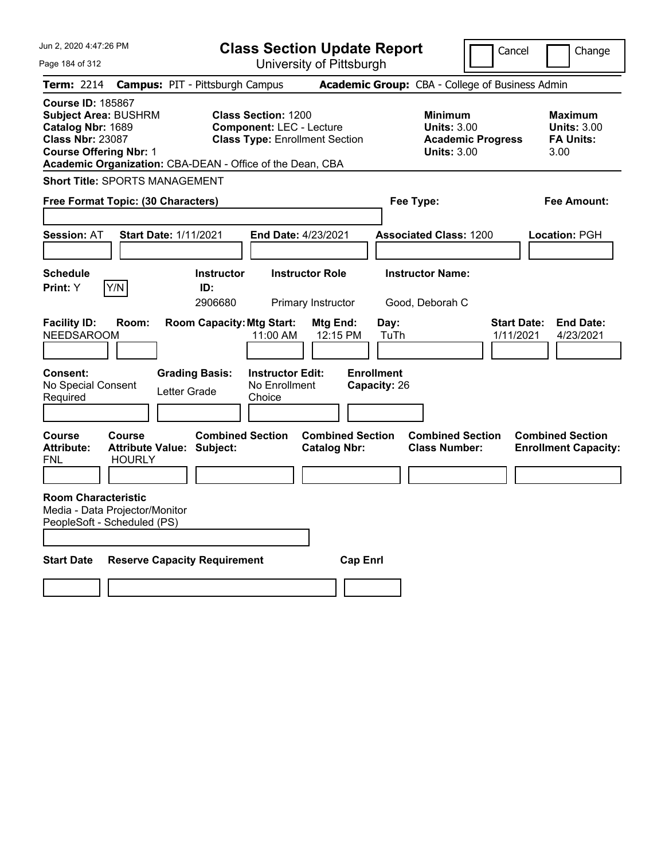| Jun 2, 2020 4:47:26 PM                                                                                                                   |                                |                                                           | <b>Class Section Update Report</b>                                                                     |                                                |                                   |                                                     | Cancel                          | Change                                                           |
|------------------------------------------------------------------------------------------------------------------------------------------|--------------------------------|-----------------------------------------------------------|--------------------------------------------------------------------------------------------------------|------------------------------------------------|-----------------------------------|-----------------------------------------------------|---------------------------------|------------------------------------------------------------------|
| Page 184 of 312                                                                                                                          |                                |                                                           |                                                                                                        | University of Pittsburgh                       |                                   |                                                     |                                 |                                                                  |
| Term: 2214                                                                                                                               |                                | <b>Campus: PIT - Pittsburgh Campus</b>                    |                                                                                                        |                                                |                                   | Academic Group: CBA - College of Business Admin     |                                 |                                                                  |
| <b>Course ID: 185867</b><br><b>Subject Area: BUSHRM</b><br>Catalog Nbr: 1689<br><b>Class Nbr: 23087</b><br><b>Course Offering Nbr: 1</b> |                                | Academic Organization: CBA-DEAN - Office of the Dean, CBA | <b>Class Section: 1200</b><br><b>Component: LEC - Lecture</b><br><b>Class Type: Enrollment Section</b> |                                                |                                   | Minimum<br><b>Units: 3.00</b><br><b>Units: 3.00</b> | <b>Academic Progress</b>        | <b>Maximum</b><br><b>Units: 3.00</b><br><b>FA Units:</b><br>3.00 |
| <b>Short Title: SPORTS MANAGEMENT</b>                                                                                                    |                                |                                                           |                                                                                                        |                                                |                                   |                                                     |                                 |                                                                  |
| Free Format Topic: (30 Characters)                                                                                                       |                                |                                                           |                                                                                                        |                                                | Fee Type:                         |                                                     |                                 | Fee Amount:                                                      |
| <b>Session: AT</b>                                                                                                                       |                                | <b>Start Date: 1/11/2021</b>                              | <b>End Date: 4/23/2021</b>                                                                             |                                                |                                   | <b>Associated Class: 1200</b>                       |                                 | Location: PGH                                                    |
| <b>Schedule</b><br><b>Print:</b> Y                                                                                                       | Y/N                            | <b>Instructor</b><br>ID:<br>2906680                       |                                                                                                        | <b>Instructor Role</b><br>Primary Instructor   |                                   | <b>Instructor Name:</b><br>Good, Deborah C          |                                 |                                                                  |
| <b>Facility ID:</b><br><b>NEEDSAROOM</b>                                                                                                 | Room:                          | <b>Room Capacity: Mtg Start:</b>                          | 11:00 AM                                                                                               | Mtg End:<br>12:15 PM                           | Day:<br>TuTh                      |                                                     | <b>Start Date:</b><br>1/11/2021 | <b>End Date:</b><br>4/23/2021                                    |
| Consent:<br>No Special Consent<br>Required                                                                                               |                                | <b>Grading Basis:</b><br>Letter Grade                     | <b>Instructor Edit:</b><br>No Enrollment<br>Choice                                                     |                                                | <b>Enrollment</b><br>Capacity: 26 |                                                     |                                 |                                                                  |
| <b>Course</b><br><b>Attribute:</b><br><b>FNL</b>                                                                                         | <b>Course</b><br><b>HOURLY</b> | <b>Combined Section</b><br>Attribute Value: Subject:      |                                                                                                        | <b>Combined Section</b><br><b>Catalog Nbr:</b> |                                   | <b>Combined Section</b><br><b>Class Number:</b>     |                                 | <b>Combined Section</b><br><b>Enrollment Capacity:</b>           |
| <b>Room Characteristic</b><br>Media - Data Projector/Monitor<br>PeopleSoft - Scheduled (PS)                                              |                                |                                                           |                                                                                                        |                                                |                                   |                                                     |                                 |                                                                  |
| <b>Start Date</b>                                                                                                                        |                                | <b>Reserve Capacity Requirement</b>                       |                                                                                                        | <b>Cap Enrl</b>                                |                                   |                                                     |                                 |                                                                  |
|                                                                                                                                          |                                |                                                           |                                                                                                        |                                                |                                   |                                                     |                                 |                                                                  |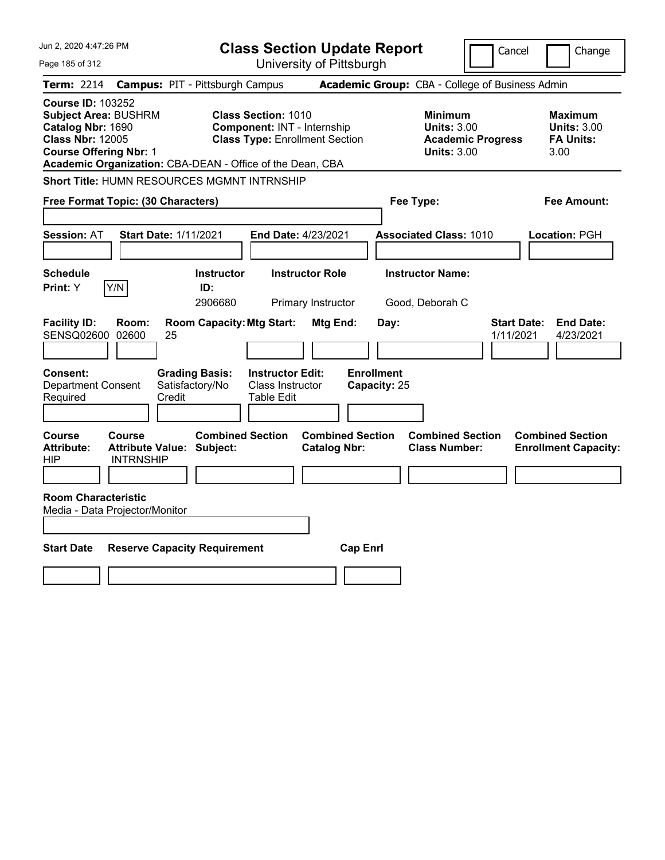| Jun 2, 2020 4:47:26 PM                                                                                                                                                                                |                                                             | <b>Class Section Update Report</b>                                      |                                                            | Cancel                          | Change                                                           |
|-------------------------------------------------------------------------------------------------------------------------------------------------------------------------------------------------------|-------------------------------------------------------------|-------------------------------------------------------------------------|------------------------------------------------------------|---------------------------------|------------------------------------------------------------------|
| Page 185 of 312                                                                                                                                                                                       |                                                             | University of Pittsburgh                                                |                                                            |                                 |                                                                  |
| Term: 2214                                                                                                                                                                                            | <b>Campus: PIT - Pittsburgh Campus</b>                      |                                                                         | Academic Group: CBA - College of Business Admin            |                                 |                                                                  |
| <b>Course ID: 103252</b><br><b>Subject Area: BUSHRM</b><br>Catalog Nbr: 1690<br><b>Class Nbr: 12005</b><br><b>Course Offering Nbr: 1</b><br>Academic Organization: CBA-DEAN - Office of the Dean, CBA | <b>Class Section: 1010</b>                                  | Component: INT - Internship<br><b>Class Type: Enrollment Section</b>    | <b>Minimum</b><br><b>Units: 3.00</b><br><b>Units: 3.00</b> | <b>Academic Progress</b>        | <b>Maximum</b><br><b>Units: 3.00</b><br><b>FA Units:</b><br>3.00 |
| Short Title: HUMN RESOURCES MGMNT INTRNSHIP                                                                                                                                                           |                                                             |                                                                         |                                                            |                                 |                                                                  |
| Free Format Topic: (30 Characters)                                                                                                                                                                    |                                                             |                                                                         | Fee Type:                                                  |                                 | Fee Amount:                                                      |
| <b>Session: AT</b>                                                                                                                                                                                    | <b>Start Date: 1/11/2021</b>                                | End Date: 4/23/2021                                                     | <b>Associated Class: 1010</b>                              |                                 | Location: PGH                                                    |
| <b>Schedule</b><br>Y/N<br>Print: Y                                                                                                                                                                    | <b>Instructor</b><br>ID:<br>2906680                         | <b>Instructor Role</b><br>Primary Instructor                            | <b>Instructor Name:</b><br>Good, Deborah C                 |                                 |                                                                  |
| <b>Facility ID:</b><br>Room:<br>SENSQ02600 02600                                                                                                                                                      | <b>Room Capacity: Mtg Start:</b><br>25                      | Mtg End:                                                                | Day:                                                       | <b>Start Date:</b><br>1/11/2021 | <b>End Date:</b><br>4/23/2021                                    |
| Consent:<br><b>Department Consent</b><br>Required                                                                                                                                                     | <b>Grading Basis:</b><br>Satisfactory/No<br>Credit          | <b>Instructor Edit:</b><br><b>Class Instructor</b><br><b>Table Edit</b> | <b>Enrollment</b><br>Capacity: 25                          |                                 |                                                                  |
| Course<br>Course<br><b>Attribute:</b><br>HIP<br><b>INTRNSHIP</b>                                                                                                                                      | <b>Combined Section</b><br><b>Attribute Value: Subject:</b> | <b>Combined Section</b><br><b>Catalog Nbr:</b>                          | <b>Combined Section</b><br><b>Class Number:</b>            |                                 | <b>Combined Section</b><br><b>Enrollment Capacity:</b>           |
| <b>Room Characteristic</b><br>Media - Data Projector/Monitor                                                                                                                                          |                                                             |                                                                         |                                                            |                                 |                                                                  |
| <b>Start Date</b>                                                                                                                                                                                     | <b>Reserve Capacity Requirement</b>                         | <b>Cap Enrl</b>                                                         |                                                            |                                 |                                                                  |
|                                                                                                                                                                                                       |                                                             |                                                                         |                                                            |                                 |                                                                  |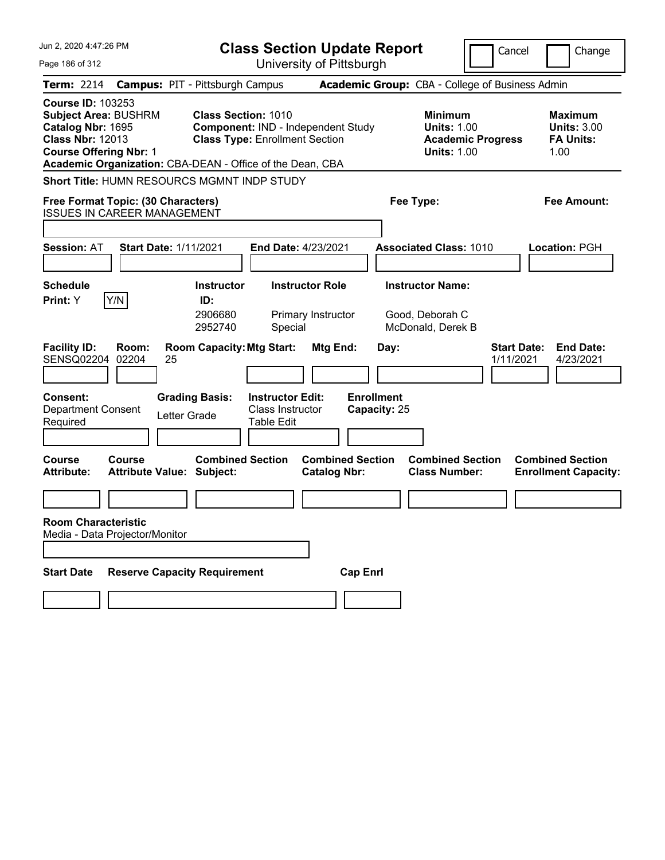| Jun 2, 2020 4:47:26 PM                                                                                                                                                                                |                                                                                                           | <b>Class Section Update Report</b>             | Cancel                                                                                 | Change                                                           |
|-------------------------------------------------------------------------------------------------------------------------------------------------------------------------------------------------------|-----------------------------------------------------------------------------------------------------------|------------------------------------------------|----------------------------------------------------------------------------------------|------------------------------------------------------------------|
| Page 186 of 312                                                                                                                                                                                       |                                                                                                           | University of Pittsburgh                       |                                                                                        |                                                                  |
| <b>Term: 2214</b>                                                                                                                                                                                     | <b>Campus: PIT - Pittsburgh Campus</b>                                                                    |                                                | <b>Academic Group:</b> CBA - College of Business Admin                                 |                                                                  |
| <b>Course ID: 103253</b><br><b>Subject Area: BUSHRM</b><br>Catalog Nbr: 1695<br><b>Class Nbr: 12013</b><br><b>Course Offering Nbr: 1</b><br>Academic Organization: CBA-DEAN - Office of the Dean, CBA | <b>Class Section: 1010</b><br>Component: IND - Independent Study<br><b>Class Type: Enrollment Section</b> |                                                | <b>Minimum</b><br><b>Units: 1.00</b><br><b>Academic Progress</b><br><b>Units: 1.00</b> | <b>Maximum</b><br><b>Units: 3.00</b><br><b>FA Units:</b><br>1.00 |
| Short Title: HUMN RESOURCS MGMNT INDP STUDY                                                                                                                                                           |                                                                                                           |                                                |                                                                                        |                                                                  |
| Free Format Topic: (30 Characters)<br><b>ISSUES IN CAREER MANAGEMENT</b>                                                                                                                              |                                                                                                           |                                                | Fee Type:                                                                              | Fee Amount:                                                      |
| <b>Session: AT</b><br><b>Start Date: 1/11/2021</b>                                                                                                                                                    | End Date: 4/23/2021                                                                                       |                                                | <b>Associated Class: 1010</b>                                                          | <b>Location: PGH</b>                                             |
|                                                                                                                                                                                                       |                                                                                                           |                                                |                                                                                        |                                                                  |
| <b>Schedule</b>                                                                                                                                                                                       | <b>Instructor Role</b><br><b>Instructor</b>                                                               |                                                | <b>Instructor Name:</b>                                                                |                                                                  |
| Y/N<br>Print: Y                                                                                                                                                                                       | ID:                                                                                                       |                                                |                                                                                        |                                                                  |
|                                                                                                                                                                                                       | 2906680<br>Primary Instructor<br>2952740<br>Special                                                       |                                                | Good, Deborah C<br>McDonald, Derek B                                                   |                                                                  |
| <b>Facility ID:</b><br>Room:<br>02204<br>SENSQ02204<br>25                                                                                                                                             | <b>Room Capacity: Mtg Start:</b>                                                                          | Mtg End:<br>Day:                               | <b>Start Date:</b><br>1/11/2021                                                        | <b>End Date:</b><br>4/23/2021                                    |
| <b>Consent:</b>                                                                                                                                                                                       | <b>Grading Basis:</b><br><b>Instructor Edit:</b>                                                          | <b>Enrollment</b>                              |                                                                                        |                                                                  |
| Department Consent                                                                                                                                                                                    | Class Instructor<br>Letter Grade<br><b>Table Edit</b>                                                     | Capacity: 25                                   |                                                                                        |                                                                  |
| Required                                                                                                                                                                                              |                                                                                                           |                                                |                                                                                        |                                                                  |
| Course<br>Course<br><b>Attribute Value: Subject:</b><br><b>Attribute:</b>                                                                                                                             | <b>Combined Section</b>                                                                                   | <b>Combined Section</b><br><b>Catalog Nbr:</b> | <b>Combined Section</b><br><b>Class Number:</b>                                        | <b>Combined Section</b><br><b>Enrollment Capacity:</b>           |
|                                                                                                                                                                                                       |                                                                                                           |                                                |                                                                                        |                                                                  |
| <b>Room Characteristic</b><br>Media - Data Projector/Monitor                                                                                                                                          |                                                                                                           |                                                |                                                                                        |                                                                  |
|                                                                                                                                                                                                       |                                                                                                           |                                                |                                                                                        |                                                                  |
| <b>Start Date</b><br><b>Reserve Capacity Requirement</b>                                                                                                                                              |                                                                                                           | <b>Cap Enrl</b>                                |                                                                                        |                                                                  |
|                                                                                                                                                                                                       |                                                                                                           |                                                |                                                                                        |                                                                  |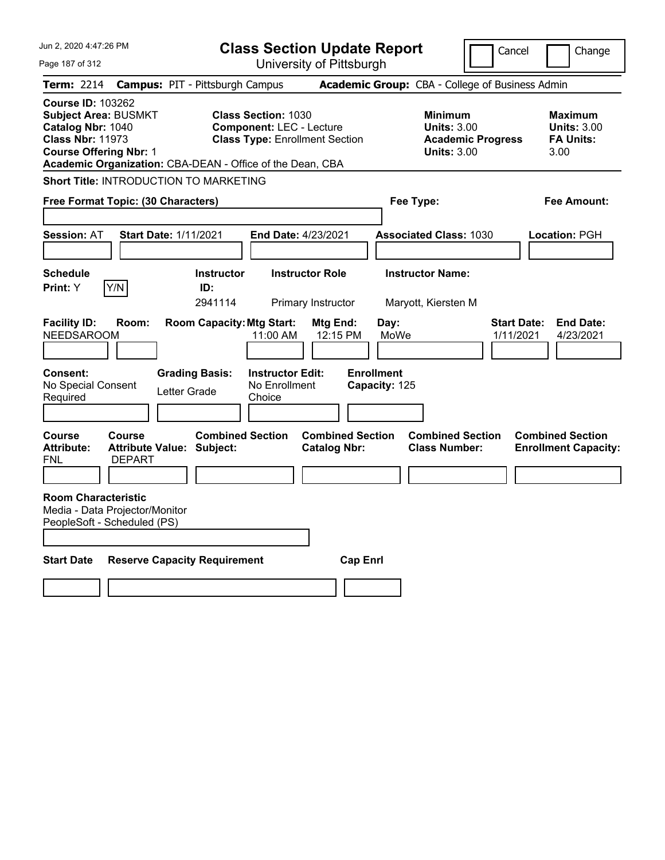| <b>Class Section Update Report</b><br>Cancel<br>University of Pittsburgh<br>Page 187 of 312                                                                                                                                                                                                                                                                                                               | Change                                                    |
|-----------------------------------------------------------------------------------------------------------------------------------------------------------------------------------------------------------------------------------------------------------------------------------------------------------------------------------------------------------------------------------------------------------|-----------------------------------------------------------|
|                                                                                                                                                                                                                                                                                                                                                                                                           |                                                           |
| Academic Group: CBA - College of Business Admin<br>Term: 2214<br><b>Campus: PIT - Pittsburgh Campus</b>                                                                                                                                                                                                                                                                                                   |                                                           |
| <b>Course ID: 103262</b><br><b>Subject Area: BUSMKT</b><br><b>Class Section: 1030</b><br><b>Minimum</b><br>Catalog Nbr: 1040<br><b>Component: LEC - Lecture</b><br><b>Units: 3.00</b><br><b>Class Nbr: 11973</b><br><b>Class Type: Enrollment Section</b><br><b>Academic Progress</b><br><b>Course Offering Nbr: 1</b><br><b>Units: 3.00</b><br>Academic Organization: CBA-DEAN - Office of the Dean, CBA | Maximum<br><b>Units: 3.00</b><br><b>FA Units:</b><br>3.00 |
| Short Title: INTRODUCTION TO MARKETING                                                                                                                                                                                                                                                                                                                                                                    |                                                           |
| Free Format Topic: (30 Characters)<br>Fee Type:                                                                                                                                                                                                                                                                                                                                                           | Fee Amount:                                               |
|                                                                                                                                                                                                                                                                                                                                                                                                           |                                                           |
| <b>Session: AT</b><br>Start Date: 1/11/2021<br><b>End Date: 4/23/2021</b><br><b>Associated Class: 1030</b>                                                                                                                                                                                                                                                                                                | Location: PGH                                             |
|                                                                                                                                                                                                                                                                                                                                                                                                           |                                                           |
| <b>Schedule</b><br><b>Instructor Role</b><br><b>Instructor Name:</b><br><b>Instructor</b>                                                                                                                                                                                                                                                                                                                 |                                                           |
| Y/N<br>Print: Y<br>ID:<br>2941114<br>Primary Instructor<br>Maryott, Kiersten M                                                                                                                                                                                                                                                                                                                            |                                                           |
| <b>Room Capacity: Mtg Start:</b><br><b>Facility ID:</b><br>Room:<br>Mtg End:<br>Day:<br><b>Start Date:</b><br>MoWe<br><b>NEEDSAROOM</b><br>11:00 AM<br>12:15 PM<br>1/11/2021<br><b>Enrollment</b><br><b>Instructor Edit:</b><br><b>Consent:</b><br><b>Grading Basis:</b><br>No Special Consent<br>No Enrollment<br>Capacity: 125<br>Letter Grade<br>Choice<br>Required                                    | <b>End Date:</b><br>4/23/2021                             |
| <b>Combined Section</b><br><b>Combined Section</b><br><b>Course</b><br><b>Combined Section</b><br>Course<br><b>Attribute:</b><br>Attribute Value: Subject:<br><b>Catalog Nbr:</b><br><b>Class Number:</b><br><b>DEPART</b><br>FNL                                                                                                                                                                         | <b>Combined Section</b><br><b>Enrollment Capacity:</b>    |
| <b>Room Characteristic</b><br>Media - Data Projector/Monitor<br>PeopleSoft - Scheduled (PS)                                                                                                                                                                                                                                                                                                               |                                                           |
| <b>Start Date</b><br><b>Reserve Capacity Requirement</b><br><b>Cap Enri</b>                                                                                                                                                                                                                                                                                                                               |                                                           |
|                                                                                                                                                                                                                                                                                                                                                                                                           |                                                           |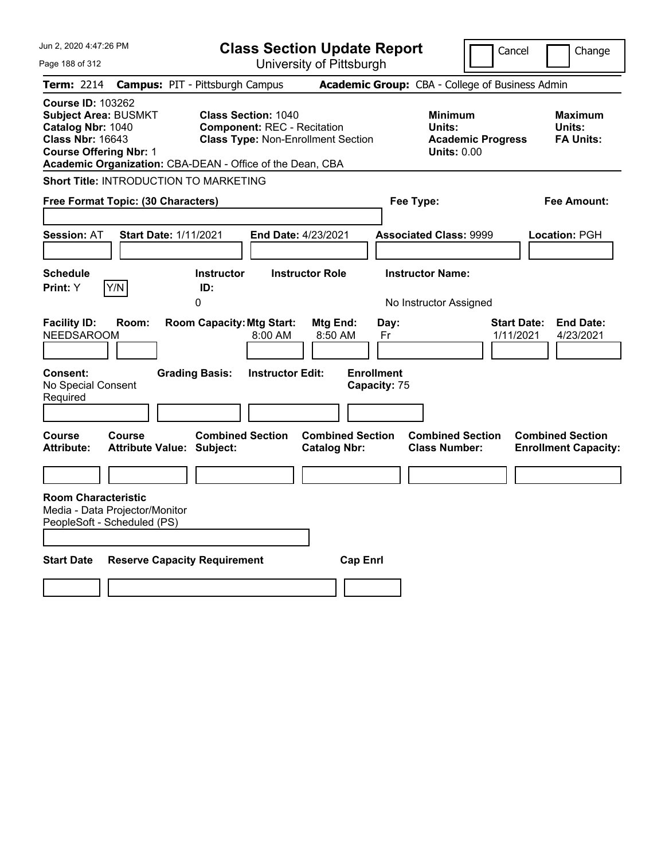| Jun 2, 2020 4:47:26 PM                                                                                                                                                                                                                                               | <b>Class Section Update Report</b>                                                                                 | Change<br>Cancel                                                                                                                                                              |
|----------------------------------------------------------------------------------------------------------------------------------------------------------------------------------------------------------------------------------------------------------------------|--------------------------------------------------------------------------------------------------------------------|-------------------------------------------------------------------------------------------------------------------------------------------------------------------------------|
| Page 188 of 312                                                                                                                                                                                                                                                      | University of Pittsburgh                                                                                           |                                                                                                                                                                               |
| <b>Term: 2214</b><br><b>Campus: PIT - Pittsburgh Campus</b><br><b>Course ID: 103262</b><br><b>Subject Area: BUSMKT</b><br>Catalog Nbr: 1040<br><b>Class Nbr: 16643</b><br><b>Course Offering Nbr: 1</b><br>Academic Organization: CBA-DEAN - Office of the Dean, CBA | <b>Class Section: 1040</b><br><b>Component: REC - Recitation</b><br><b>Class Type: Non-Enrollment Section</b>      | Academic Group: CBA - College of Business Admin<br><b>Minimum</b><br><b>Maximum</b><br>Units:<br>Units:<br><b>Academic Progress</b><br><b>FA Units:</b><br><b>Units: 0.00</b> |
| Short Title: INTRODUCTION TO MARKETING                                                                                                                                                                                                                               |                                                                                                                    |                                                                                                                                                                               |
| Free Format Topic: (30 Characters)                                                                                                                                                                                                                                   |                                                                                                                    | Fee Type:<br>Fee Amount:                                                                                                                                                      |
| <b>Session: AT</b><br><b>Start Date: 1/11/2021</b>                                                                                                                                                                                                                   | End Date: 4/23/2021                                                                                                | <b>Associated Class: 9999</b><br><b>Location: PGH</b>                                                                                                                         |
| <b>Schedule</b><br> Y/N <br>Print: Y<br>ID:<br>$\Omega$                                                                                                                                                                                                              | <b>Instructor</b><br><b>Instructor Role</b>                                                                        | <b>Instructor Name:</b><br>No Instructor Assigned                                                                                                                             |
| <b>Facility ID:</b><br>Room:<br><b>NEEDSAROOM</b><br><b>Grading Basis:</b><br><b>Consent:</b><br>No Special Consent                                                                                                                                                  | <b>Room Capacity: Mtg Start:</b><br>Mtg End:<br>8:00 AM<br>8:50 AM<br><b>Enrollment</b><br><b>Instructor Edit:</b> | <b>Start Date:</b><br><b>End Date:</b><br>Day:<br>1/11/2021<br>4/23/2021<br>Fr<br>Capacity: 75                                                                                |
| Required                                                                                                                                                                                                                                                             |                                                                                                                    |                                                                                                                                                                               |
| <b>Course</b><br><b>Course</b><br><b>Attribute:</b><br><b>Attribute Value: Subject:</b>                                                                                                                                                                              | <b>Combined Section</b><br><b>Combined Section</b><br><b>Catalog Nbr:</b>                                          | <b>Combined Section</b><br><b>Combined Section</b><br><b>Class Number:</b><br><b>Enrollment Capacity:</b>                                                                     |
|                                                                                                                                                                                                                                                                      |                                                                                                                    |                                                                                                                                                                               |
| <b>Room Characteristic</b><br>Media - Data Projector/Monitor<br>PeopleSoft - Scheduled (PS)<br><b>Start Date</b><br><b>Reserve Capacity Requirement</b>                                                                                                              | <b>Cap Enrl</b>                                                                                                    |                                                                                                                                                                               |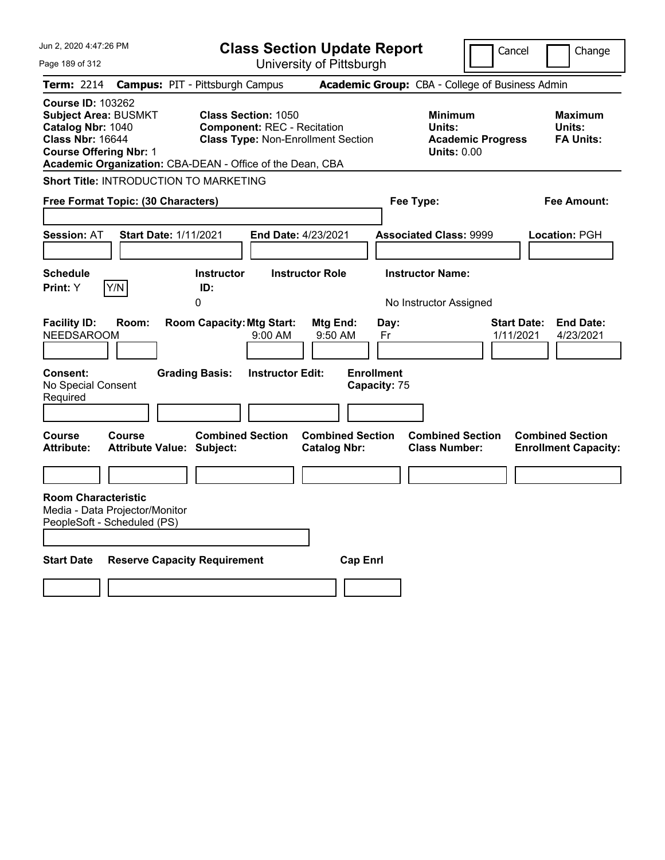| Jun 2, 2020 4:47:26 PM                                                                                                                   | <b>Class Section Update Report</b>                                                                                                                                         |                                                            | Cancel                                                           | Change                                                 |
|------------------------------------------------------------------------------------------------------------------------------------------|----------------------------------------------------------------------------------------------------------------------------------------------------------------------------|------------------------------------------------------------|------------------------------------------------------------------|--------------------------------------------------------|
| Page 189 of 312                                                                                                                          | University of Pittsburgh                                                                                                                                                   |                                                            |                                                                  |                                                        |
| <b>Term: 2214</b>                                                                                                                        | <b>Campus: PIT - Pittsburgh Campus</b>                                                                                                                                     | Academic Group: CBA - College of Business Admin            |                                                                  |                                                        |
| <b>Course ID: 103262</b><br><b>Subject Area: BUSMKT</b><br>Catalog Nbr: 1040<br><b>Class Nbr: 16644</b><br><b>Course Offering Nbr: 1</b> | <b>Class Section: 1050</b><br><b>Component: REC - Recitation</b><br><b>Class Type: Non-Enrollment Section</b><br>Academic Organization: CBA-DEAN - Office of the Dean, CBA | Units:                                                     | <b>Minimum</b><br><b>Academic Progress</b><br><b>Units: 0.00</b> | <b>Maximum</b><br>Units:<br><b>FA Units:</b>           |
| Short Title: INTRODUCTION TO MARKETING                                                                                                   |                                                                                                                                                                            |                                                            |                                                                  |                                                        |
| Free Format Topic: (30 Characters)                                                                                                       |                                                                                                                                                                            | Fee Type:                                                  |                                                                  | Fee Amount:                                            |
| <b>Start Date: 1/11/2021</b><br><b>Session: AT</b>                                                                                       | End Date: 4/23/2021                                                                                                                                                        | <b>Associated Class: 9999</b>                              |                                                                  | <b>Location: PGH</b>                                   |
| <b>Schedule</b><br>Y/N<br>Print: Y                                                                                                       | <b>Instructor Role</b><br><b>Instructor</b><br>ID:<br>0                                                                                                                    | <b>Instructor Name:</b><br>No Instructor Assigned          |                                                                  |                                                        |
| <b>Facility ID:</b><br>Room:<br><b>NEEDSAROOM</b><br><b>Consent:</b><br>No Special Consent<br>Required                                   | <b>Room Capacity: Mtg Start:</b><br>Mtg End:<br>$9:00$ AM<br><b>Grading Basis:</b><br><b>Instructor Edit:</b>                                                              | Day:<br>9:50 AM<br>Fr<br><b>Enrollment</b><br>Capacity: 75 | <b>Start Date:</b><br>1/11/2021                                  | <b>End Date:</b><br>4/23/2021                          |
|                                                                                                                                          |                                                                                                                                                                            |                                                            |                                                                  |                                                        |
| Course<br><b>Course</b><br><b>Attribute:</b><br><b>Attribute Value: Subject:</b>                                                         | <b>Combined Section</b><br><b>Catalog Nbr:</b>                                                                                                                             | <b>Combined Section</b><br><b>Class Number:</b>            | <b>Combined Section</b>                                          | <b>Combined Section</b><br><b>Enrollment Capacity:</b> |
|                                                                                                                                          |                                                                                                                                                                            |                                                            |                                                                  |                                                        |
| <b>Room Characteristic</b><br>Media - Data Projector/Monitor<br>PeopleSoft - Scheduled (PS)                                              |                                                                                                                                                                            |                                                            |                                                                  |                                                        |
| <b>Start Date</b>                                                                                                                        | <b>Reserve Capacity Requirement</b>                                                                                                                                        | <b>Cap Enrl</b>                                            |                                                                  |                                                        |
|                                                                                                                                          |                                                                                                                                                                            |                                                            |                                                                  |                                                        |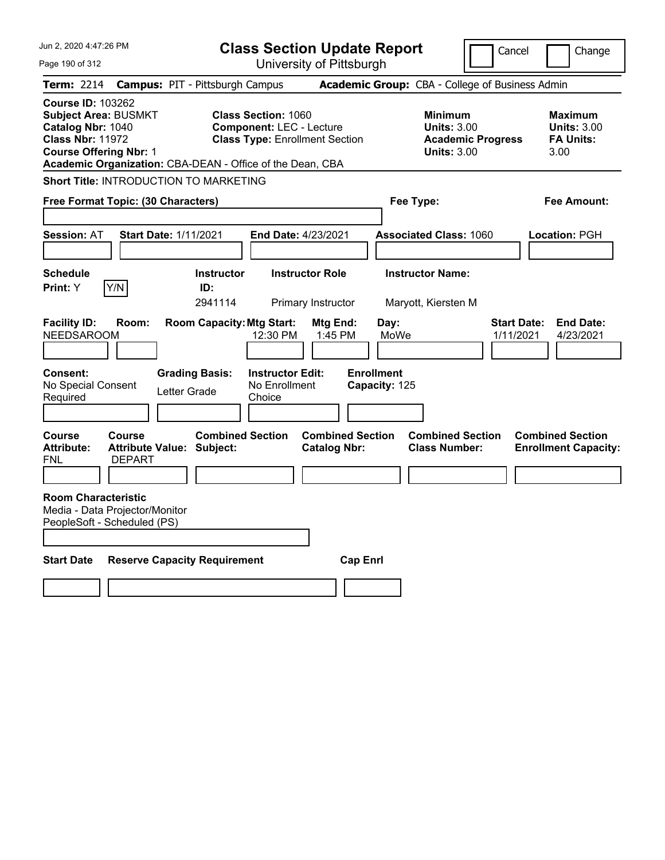| Jun 2, 2020 4:47:26 PM                                                                                                                                                                                |                                                             |                                     | <b>Class Section Update Report</b>                                                                     |                                                |                                    |                                                     | Cancel                          | Change                                                           |
|-------------------------------------------------------------------------------------------------------------------------------------------------------------------------------------------------------|-------------------------------------------------------------|-------------------------------------|--------------------------------------------------------------------------------------------------------|------------------------------------------------|------------------------------------|-----------------------------------------------------|---------------------------------|------------------------------------------------------------------|
| Page 190 of 312                                                                                                                                                                                       |                                                             |                                     |                                                                                                        | University of Pittsburgh                       |                                    |                                                     |                                 |                                                                  |
| Term: 2214                                                                                                                                                                                            | <b>Campus: PIT - Pittsburgh Campus</b>                      |                                     |                                                                                                        |                                                |                                    | Academic Group: CBA - College of Business Admin     |                                 |                                                                  |
| <b>Course ID: 103262</b><br><b>Subject Area: BUSMKT</b><br>Catalog Nbr: 1040<br><b>Class Nbr: 11972</b><br><b>Course Offering Nbr: 1</b><br>Academic Organization: CBA-DEAN - Office of the Dean, CBA |                                                             |                                     | <b>Class Section: 1060</b><br><b>Component: LEC - Lecture</b><br><b>Class Type: Enrollment Section</b> |                                                |                                    | Minimum<br><b>Units: 3.00</b><br><b>Units: 3.00</b> | <b>Academic Progress</b>        | <b>Maximum</b><br><b>Units: 3.00</b><br><b>FA Units:</b><br>3.00 |
| Short Title: INTRODUCTION TO MARKETING                                                                                                                                                                |                                                             |                                     |                                                                                                        |                                                |                                    |                                                     |                                 |                                                                  |
| Free Format Topic: (30 Characters)                                                                                                                                                                    |                                                             |                                     |                                                                                                        |                                                |                                    | Fee Type:                                           |                                 | Fee Amount:                                                      |
| <b>Session: AT</b>                                                                                                                                                                                    | <b>Start Date: 1/11/2021</b>                                |                                     | <b>End Date: 4/23/2021</b>                                                                             |                                                |                                    | <b>Associated Class: 1060</b>                       |                                 | Location: PGH                                                    |
| <b>Schedule</b><br>Y/N<br><b>Print:</b> Y                                                                                                                                                             |                                                             | <b>Instructor</b><br>ID:<br>2941114 |                                                                                                        | <b>Instructor Role</b><br>Primary Instructor   |                                    | <b>Instructor Name:</b><br>Maryott, Kiersten M      |                                 |                                                                  |
| <b>Facility ID:</b><br><b>NEEDSAROOM</b>                                                                                                                                                              | Room:                                                       | <b>Room Capacity: Mtg Start:</b>    | 12:30 PM                                                                                               | Mtg End:<br>1:45 PM                            | Day:<br>MoWe                       |                                                     | <b>Start Date:</b><br>1/11/2021 | <b>End Date:</b><br>4/23/2021                                    |
| Consent:<br>No Special Consent<br>Required                                                                                                                                                            | Letter Grade                                                | <b>Grading Basis:</b>               | <b>Instructor Edit:</b><br>No Enrollment<br>Choice                                                     |                                                | <b>Enrollment</b><br>Capacity: 125 |                                                     |                                 |                                                                  |
| <b>Course</b><br><b>Attribute:</b><br><b>FNL</b>                                                                                                                                                      | <b>Course</b><br>Attribute Value: Subject:<br><b>DEPART</b> | <b>Combined Section</b>             |                                                                                                        | <b>Combined Section</b><br><b>Catalog Nbr:</b> |                                    | <b>Combined Section</b><br><b>Class Number:</b>     |                                 | <b>Combined Section</b><br><b>Enrollment Capacity:</b>           |
| <b>Room Characteristic</b><br>Media - Data Projector/Monitor<br>PeopleSoft - Scheduled (PS)                                                                                                           |                                                             |                                     |                                                                                                        |                                                |                                    |                                                     |                                 |                                                                  |
| <b>Start Date</b>                                                                                                                                                                                     | <b>Reserve Capacity Requirement</b>                         |                                     |                                                                                                        |                                                | <b>Cap Enri</b>                    |                                                     |                                 |                                                                  |
|                                                                                                                                                                                                       |                                                             |                                     |                                                                                                        |                                                |                                    |                                                     |                                 |                                                                  |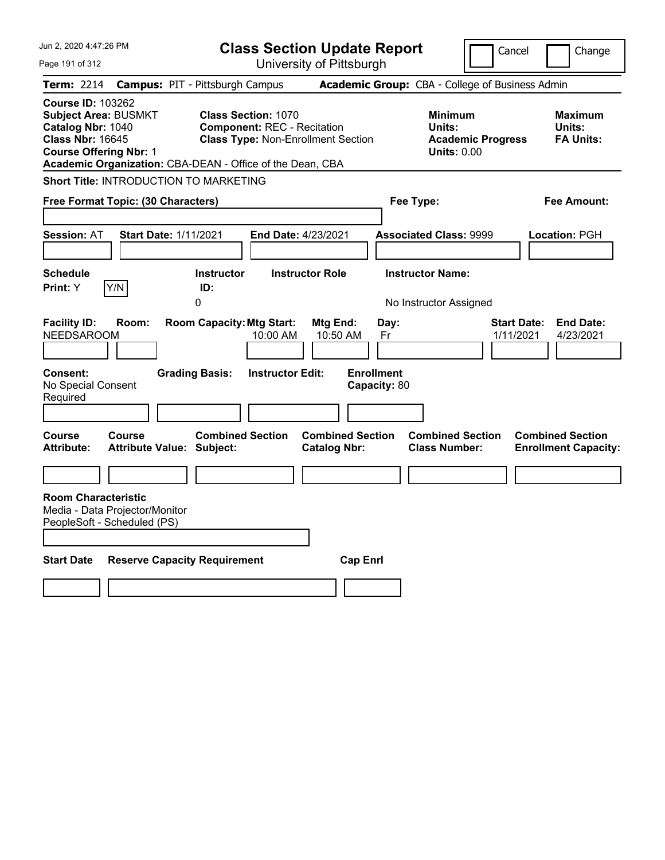| Jun 2, 2020 4:47:26 PM                                                                                                                                                                                | <b>Class Section Update Report</b>                                                                            |                                                                         | Cancel                                         | Change                                                 |
|-------------------------------------------------------------------------------------------------------------------------------------------------------------------------------------------------------|---------------------------------------------------------------------------------------------------------------|-------------------------------------------------------------------------|------------------------------------------------|--------------------------------------------------------|
| Page 191 of 312                                                                                                                                                                                       | University of Pittsburgh                                                                                      |                                                                         |                                                |                                                        |
| Term: 2214                                                                                                                                                                                            | <b>Campus: PIT - Pittsburgh Campus</b>                                                                        | Academic Group: CBA - College of Business Admin                         |                                                |                                                        |
| <b>Course ID: 103262</b><br><b>Subject Area: BUSMKT</b><br>Catalog Nbr: 1040<br><b>Class Nbr: 16645</b><br><b>Course Offering Nbr: 1</b><br>Academic Organization: CBA-DEAN - Office of the Dean, CBA | <b>Class Section: 1070</b><br><b>Component: REC - Recitation</b><br><b>Class Type: Non-Enrollment Section</b> | <b>Minimum</b><br>Units:                                                | <b>Academic Progress</b><br><b>Units: 0.00</b> | <b>Maximum</b><br>Units:<br><b>FA Units:</b>           |
| Short Title: INTRODUCTION TO MARKETING                                                                                                                                                                |                                                                                                               |                                                                         |                                                |                                                        |
| Free Format Topic: (30 Characters)                                                                                                                                                                    |                                                                                                               | Fee Type:                                                               |                                                | Fee Amount:                                            |
| <b>Session: AT</b><br><b>Start Date: 1/11/2021</b>                                                                                                                                                    | <b>End Date: 4/23/2021</b>                                                                                    | <b>Associated Class: 9999</b>                                           |                                                | Location: PGH                                          |
| <b>Schedule</b><br>Y/N<br><b>Print: Y</b>                                                                                                                                                             | <b>Instructor Role</b><br><b>Instructor</b><br>ID:<br>0                                                       | <b>Instructor Name:</b><br>No Instructor Assigned                       |                                                |                                                        |
| <b>Facility ID:</b><br>Room:<br><b>NEEDSAROOM</b><br><b>Consent:</b><br>No Special Consent<br>Required                                                                                                | <b>Room Capacity: Mtg Start:</b><br>10:00 AM<br><b>Grading Basis:</b><br><b>Instructor Edit:</b>              | Mtg End:<br>Day:<br>10:50 AM<br>Fr<br><b>Enrollment</b><br>Capacity: 80 | <b>Start Date:</b><br>1/11/2021                | <b>End Date:</b><br>4/23/2021                          |
|                                                                                                                                                                                                       |                                                                                                               |                                                                         |                                                |                                                        |
| <b>Course</b><br><b>Course</b><br><b>Attribute:</b><br><b>Attribute Value: Subject:</b>                                                                                                               | <b>Combined Section</b>                                                                                       | <b>Combined Section</b><br><b>Catalog Nbr:</b><br><b>Class Number:</b>  | <b>Combined Section</b>                        | <b>Combined Section</b><br><b>Enrollment Capacity:</b> |
|                                                                                                                                                                                                       |                                                                                                               |                                                                         |                                                |                                                        |
| <b>Room Characteristic</b><br>Media - Data Projector/Monitor<br>PeopleSoft - Scheduled (PS)                                                                                                           |                                                                                                               |                                                                         |                                                |                                                        |
| <b>Start Date</b><br><b>Reserve Capacity Requirement</b>                                                                                                                                              |                                                                                                               | <b>Cap Enri</b>                                                         |                                                |                                                        |
|                                                                                                                                                                                                       |                                                                                                               |                                                                         |                                                |                                                        |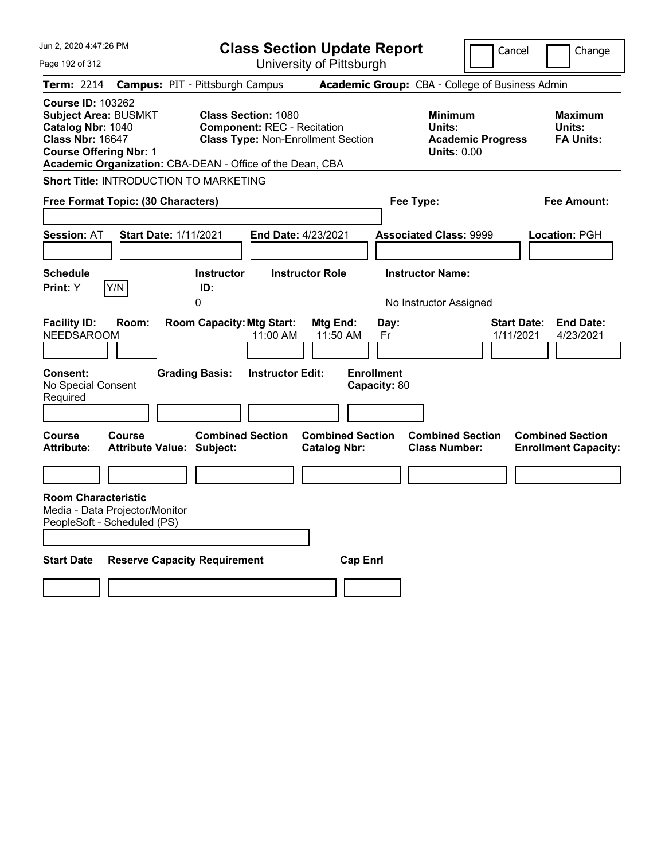| Jun 2, 2020 4:47:26 PM                                                                                                                   | <b>Class Section Update Report</b>                                                                                                                                         |                                                         | Cancel                                                                     | Change                                                 |
|------------------------------------------------------------------------------------------------------------------------------------------|----------------------------------------------------------------------------------------------------------------------------------------------------------------------------|---------------------------------------------------------|----------------------------------------------------------------------------|--------------------------------------------------------|
| Page 192 of 312                                                                                                                          |                                                                                                                                                                            | University of Pittsburgh                                |                                                                            |                                                        |
| <b>Term: 2214</b>                                                                                                                        | <b>Campus: PIT - Pittsburgh Campus</b>                                                                                                                                     |                                                         | Academic Group: CBA - College of Business Admin                            |                                                        |
| <b>Course ID: 103262</b><br><b>Subject Area: BUSMKT</b><br>Catalog Nbr: 1040<br><b>Class Nbr: 16647</b><br><b>Course Offering Nbr: 1</b> | <b>Class Section: 1080</b><br><b>Component: REC - Recitation</b><br><b>Class Type: Non-Enrollment Section</b><br>Academic Organization: CBA-DEAN - Office of the Dean, CBA |                                                         | <b>Minimum</b><br>Units:<br><b>Academic Progress</b><br><b>Units: 0.00</b> | <b>Maximum</b><br>Units:<br><b>FA Units:</b>           |
| Short Title: INTRODUCTION TO MARKETING                                                                                                   |                                                                                                                                                                            |                                                         |                                                                            |                                                        |
| Free Format Topic: (30 Characters)                                                                                                       |                                                                                                                                                                            |                                                         | Fee Type:                                                                  | Fee Amount:                                            |
| <b>Session: AT</b><br><b>Start Date: 1/11/2021</b>                                                                                       | End Date: 4/23/2021                                                                                                                                                        |                                                         | <b>Associated Class: 9999</b>                                              | Location: PGH                                          |
| <b>Schedule</b><br>Print: Y<br>Y/N                                                                                                       | <b>Instructor Role</b><br><b>Instructor</b><br>ID:<br>0                                                                                                                    |                                                         | <b>Instructor Name:</b><br>No Instructor Assigned                          |                                                        |
| <b>Facility ID:</b><br>Room:<br><b>NEEDSAROOM</b><br><b>Consent:</b>                                                                     | <b>Room Capacity: Mtg Start:</b><br>11:00 AM<br><b>Grading Basis:</b><br><b>Instructor Edit:</b>                                                                           | Mtg End:<br>Day:<br>11:50 AM<br>Fr<br><b>Enrollment</b> | <b>Start Date:</b><br>1/11/2021                                            | <b>End Date:</b><br>4/23/2021                          |
| No Special Consent<br>Required                                                                                                           |                                                                                                                                                                            | Capacity: 80                                            |                                                                            |                                                        |
| Course<br>Course<br><b>Attribute Value: Subject:</b><br><b>Attribute:</b>                                                                | <b>Combined Section</b>                                                                                                                                                    | <b>Combined Section</b><br><b>Catalog Nbr:</b>          | <b>Combined Section</b><br><b>Class Number:</b>                            | <b>Combined Section</b><br><b>Enrollment Capacity:</b> |
|                                                                                                                                          |                                                                                                                                                                            |                                                         |                                                                            |                                                        |
| <b>Room Characteristic</b><br>Media - Data Projector/Monitor<br>PeopleSoft - Scheduled (PS)                                              |                                                                                                                                                                            |                                                         |                                                                            |                                                        |
| <b>Start Date</b>                                                                                                                        | <b>Reserve Capacity Requirement</b>                                                                                                                                        | <b>Cap Enrl</b>                                         |                                                                            |                                                        |
|                                                                                                                                          |                                                                                                                                                                            |                                                         |                                                                            |                                                        |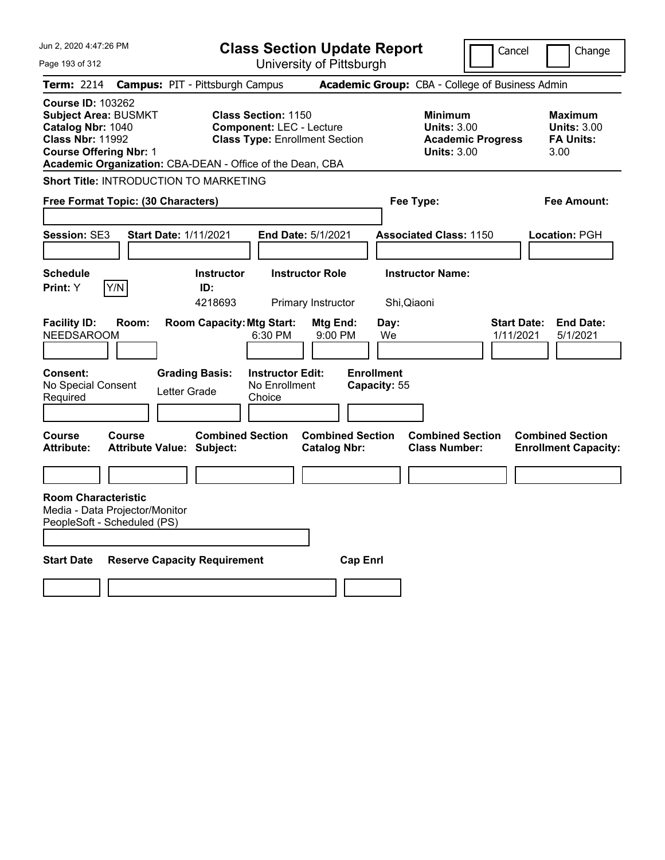| Jun 2, 2020 4:47:26 PM                                                                                                                   |                                                                                                                                                                     | <b>Class Section Update Report</b>             |                                                            | Cancel                          | Change                                                    |
|------------------------------------------------------------------------------------------------------------------------------------------|---------------------------------------------------------------------------------------------------------------------------------------------------------------------|------------------------------------------------|------------------------------------------------------------|---------------------------------|-----------------------------------------------------------|
| Page 193 of 312                                                                                                                          |                                                                                                                                                                     | University of Pittsburgh                       |                                                            |                                 |                                                           |
| Term: 2214                                                                                                                               | <b>Campus: PIT - Pittsburgh Campus</b>                                                                                                                              |                                                | Academic Group: CBA - College of Business Admin            |                                 |                                                           |
| <b>Course ID: 103262</b><br><b>Subject Area: BUSMKT</b><br>Catalog Nbr: 1040<br><b>Class Nbr: 11992</b><br><b>Course Offering Nbr: 1</b> | <b>Class Section: 1150</b><br><b>Component: LEC - Lecture</b><br><b>Class Type: Enrollment Section</b><br>Academic Organization: CBA-DEAN - Office of the Dean, CBA |                                                | <b>Minimum</b><br><b>Units: 3.00</b><br><b>Units: 3.00</b> | <b>Academic Progress</b>        | Maximum<br><b>Units: 3.00</b><br><b>FA Units:</b><br>3.00 |
| Short Title: INTRODUCTION TO MARKETING                                                                                                   |                                                                                                                                                                     |                                                |                                                            |                                 |                                                           |
| Free Format Topic: (30 Characters)                                                                                                       |                                                                                                                                                                     |                                                | Fee Type:                                                  |                                 | Fee Amount:                                               |
|                                                                                                                                          |                                                                                                                                                                     |                                                |                                                            |                                 |                                                           |
| Session: SE3                                                                                                                             | <b>Start Date: 1/11/2021</b>                                                                                                                                        | <b>End Date: 5/1/2021</b>                      | <b>Associated Class: 1150</b>                              |                                 | Location: PGH                                             |
|                                                                                                                                          |                                                                                                                                                                     |                                                |                                                            |                                 |                                                           |
| <b>Schedule</b>                                                                                                                          | <b>Instructor</b>                                                                                                                                                   | <b>Instructor Role</b>                         | <b>Instructor Name:</b>                                    |                                 |                                                           |
| Y/N<br>Print: Y                                                                                                                          | ID:<br>4218693                                                                                                                                                      | Primary Instructor                             | Shi, Qiaoni                                                |                                 |                                                           |
| <b>Facility ID:</b><br>Room:<br><b>NEEDSAROOM</b><br><b>Consent:</b><br>No Special Consent<br>Required                                   | <b>Room Capacity: Mtg Start:</b><br>6:30 PM<br><b>Instructor Edit:</b><br><b>Grading Basis:</b><br>No Enrollment<br>Letter Grade<br>Choice                          | Mtg End:<br>9:00 PM                            | Day:<br>We<br><b>Enrollment</b><br>Capacity: 55            | <b>Start Date:</b><br>1/11/2021 | <b>End Date:</b><br>5/1/2021                              |
| <b>Course</b><br>Course<br><b>Attribute:</b>                                                                                             | <b>Combined Section</b><br><b>Attribute Value: Subject:</b>                                                                                                         | <b>Combined Section</b><br><b>Catalog Nbr:</b> | <b>Combined Section</b><br><b>Class Number:</b>            |                                 | <b>Combined Section</b><br><b>Enrollment Capacity:</b>    |
|                                                                                                                                          |                                                                                                                                                                     |                                                |                                                            |                                 |                                                           |
| <b>Room Characteristic</b><br>Media - Data Projector/Monitor<br>PeopleSoft - Scheduled (PS)                                              |                                                                                                                                                                     |                                                |                                                            |                                 |                                                           |
| <b>Start Date</b>                                                                                                                        | <b>Reserve Capacity Requirement</b>                                                                                                                                 | <b>Cap Enri</b>                                |                                                            |                                 |                                                           |
|                                                                                                                                          |                                                                                                                                                                     |                                                |                                                            |                                 |                                                           |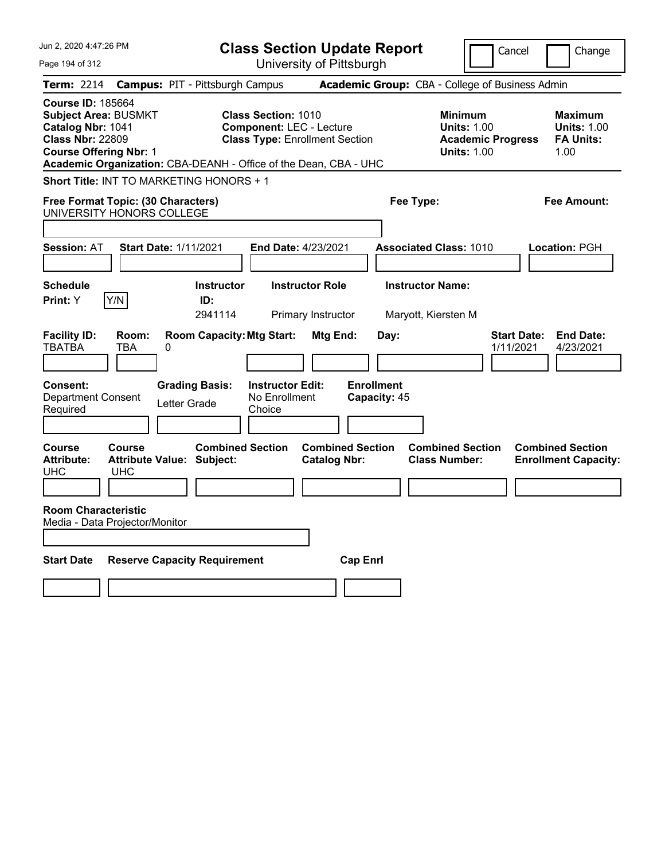| Jun 2, 2020 4:47:26 PM                                                                                                                                                                                       | <b>Class Section Update Report</b>                                                                      | Cancel<br>Change                                                                                                                                           |
|--------------------------------------------------------------------------------------------------------------------------------------------------------------------------------------------------------------|---------------------------------------------------------------------------------------------------------|------------------------------------------------------------------------------------------------------------------------------------------------------------|
| Page 194 of 312                                                                                                                                                                                              | University of Pittsburgh                                                                                |                                                                                                                                                            |
| <b>Campus: PIT - Pittsburgh Campus</b><br><b>Term: 2214</b>                                                                                                                                                  |                                                                                                         | Academic Group: CBA - College of Business Admin                                                                                                            |
| <b>Course ID: 185664</b><br><b>Subject Area: BUSMKT</b><br>Catalog Nbr: 1041<br><b>Class Nbr: 22809</b><br><b>Course Offering Nbr: 1</b><br>Academic Organization: CBA-DEANH - Office of the Dean, CBA - UHC | <b>Class Section: 1010</b><br><b>Component: LEC - Lecture</b><br><b>Class Type: Enrollment Section</b>  | <b>Minimum</b><br><b>Maximum</b><br><b>Units: 1.00</b><br><b>Units: 1.00</b><br><b>FA Units:</b><br><b>Academic Progress</b><br><b>Units: 1.00</b><br>1.00 |
| Short Title: INT TO MARKETING HONORS + 1                                                                                                                                                                     |                                                                                                         |                                                                                                                                                            |
| Free Format Topic: (30 Characters)<br>UNIVERSITY HONORS COLLEGE                                                                                                                                              | Fee Type:                                                                                               | Fee Amount:                                                                                                                                                |
| <b>Session: AT</b><br><b>Start Date: 1/11/2021</b>                                                                                                                                                           | End Date: 4/23/2021                                                                                     | <b>Associated Class: 1010</b><br>Location: PGH                                                                                                             |
| <b>Schedule</b><br>Y/N<br>Print: Y<br>ID:                                                                                                                                                                    | <b>Instructor Name:</b><br><b>Instructor</b><br><b>Instructor Role</b><br>2941114<br>Primary Instructor | Maryott, Kiersten M                                                                                                                                        |
| <b>Facility ID:</b><br>Room:<br><b>TBATBA</b><br><b>TBA</b><br>0                                                                                                                                             | <b>Room Capacity: Mtg Start:</b><br>Mtg End:<br>Day:                                                    | <b>Start Date:</b><br><b>End Date:</b><br>1/11/2021<br>4/23/2021                                                                                           |
| <b>Consent:</b><br><b>Grading Basis:</b><br><b>Department Consent</b><br>Letter Grade<br>Required                                                                                                            | <b>Enrollment</b><br><b>Instructor Edit:</b><br>No Enrollment<br>Capacity: 45<br>Choice                 |                                                                                                                                                            |
| <b>Course</b><br>Course<br><b>Attribute Value: Subject:</b><br><b>Attribute:</b><br><b>UHC</b><br><b>UHC</b>                                                                                                 | <b>Combined Section</b><br><b>Combined Section</b><br><b>Catalog Nbr:</b>                               | <b>Combined Section</b><br><b>Combined Section</b><br><b>Class Number:</b><br><b>Enrollment Capacity:</b>                                                  |
| <b>Room Characteristic</b><br>Media - Data Proiector/Monitor                                                                                                                                                 |                                                                                                         |                                                                                                                                                            |
| <b>Reserve Capacity Requirement</b><br><b>Start Date</b>                                                                                                                                                     | <b>Cap Enrl</b>                                                                                         |                                                                                                                                                            |
|                                                                                                                                                                                                              |                                                                                                         |                                                                                                                                                            |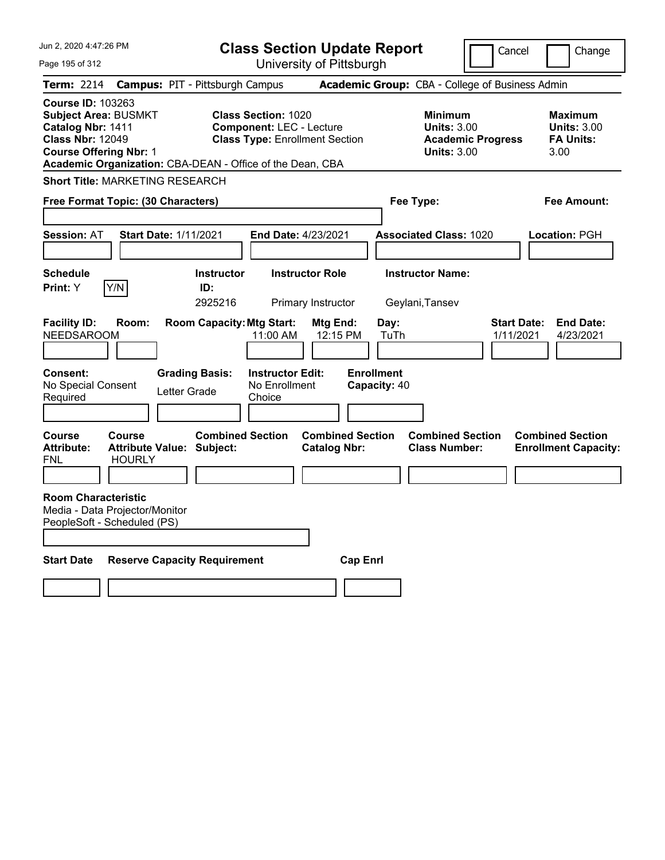| Jun 2, 2020 4:47:26 PM                                                                                                                                                                                |                                                                    |                                        | <b>Class Section Update Report</b>                                                                     |                                                |                                   |                                                            | Cancel                          | Change                                                    |
|-------------------------------------------------------------------------------------------------------------------------------------------------------------------------------------------------------|--------------------------------------------------------------------|----------------------------------------|--------------------------------------------------------------------------------------------------------|------------------------------------------------|-----------------------------------|------------------------------------------------------------|---------------------------------|-----------------------------------------------------------|
| Page 195 of 312                                                                                                                                                                                       |                                                                    |                                        |                                                                                                        | University of Pittsburgh                       |                                   |                                                            |                                 |                                                           |
| Term: 2214                                                                                                                                                                                            |                                                                    | <b>Campus: PIT - Pittsburgh Campus</b> |                                                                                                        |                                                |                                   | Academic Group: CBA - College of Business Admin            |                                 |                                                           |
| <b>Course ID: 103263</b><br><b>Subject Area: BUSMKT</b><br>Catalog Nbr: 1411<br><b>Class Nbr: 12049</b><br><b>Course Offering Nbr: 1</b><br>Academic Organization: CBA-DEAN - Office of the Dean, CBA |                                                                    |                                        | <b>Class Section: 1020</b><br><b>Component: LEC - Lecture</b><br><b>Class Type: Enrollment Section</b> |                                                |                                   | <b>Minimum</b><br><b>Units: 3.00</b><br><b>Units: 3.00</b> | <b>Academic Progress</b>        | Maximum<br><b>Units: 3.00</b><br><b>FA Units:</b><br>3.00 |
| <b>Short Title: MARKETING RESEARCH</b>                                                                                                                                                                |                                                                    |                                        |                                                                                                        |                                                |                                   |                                                            |                                 |                                                           |
| Free Format Topic: (30 Characters)                                                                                                                                                                    |                                                                    |                                        |                                                                                                        |                                                | Fee Type:                         |                                                            |                                 | Fee Amount:                                               |
| <b>Session: AT</b>                                                                                                                                                                                    | Start Date: 1/11/2021                                              |                                        | <b>End Date: 4/23/2021</b>                                                                             |                                                |                                   | <b>Associated Class: 1020</b>                              |                                 | Location: PGH                                             |
| <b>Schedule</b><br>Print: Y                                                                                                                                                                           | Y/N                                                                | <b>Instructor</b><br>ID:<br>2925216    |                                                                                                        | <b>Instructor Role</b><br>Primary Instructor   |                                   | <b>Instructor Name:</b><br>Geylani, Tansev                 |                                 |                                                           |
| <b>Facility ID:</b><br><b>NEEDSAROOM</b>                                                                                                                                                              | Room:                                                              | <b>Room Capacity: Mtg Start:</b>       | 11:00 AM                                                                                               | Mtg End:<br>12:15 PM                           | Day:<br>TuTh                      |                                                            | <b>Start Date:</b><br>1/11/2021 | <b>End Date:</b><br>4/23/2021                             |
| <b>Consent:</b><br>No Special Consent<br>Required                                                                                                                                                     |                                                                    | <b>Grading Basis:</b><br>Letter Grade  | <b>Instructor Edit:</b><br>No Enrollment<br>Choice                                                     |                                                | <b>Enrollment</b><br>Capacity: 40 |                                                            |                                 |                                                           |
| Course<br><b>Attribute:</b><br>FNL                                                                                                                                                                    | <b>Course</b><br><b>Attribute Value: Subject:</b><br><b>HOURLY</b> | <b>Combined Section</b>                |                                                                                                        | <b>Combined Section</b><br><b>Catalog Nbr:</b> |                                   | <b>Combined Section</b><br><b>Class Number:</b>            |                                 | <b>Combined Section</b><br><b>Enrollment Capacity:</b>    |
| <b>Room Characteristic</b><br>Media - Data Projector/Monitor<br>PeopleSoft - Scheduled (PS)                                                                                                           |                                                                    |                                        |                                                                                                        |                                                |                                   |                                                            |                                 |                                                           |
| <b>Start Date</b>                                                                                                                                                                                     |                                                                    | <b>Reserve Capacity Requirement</b>    |                                                                                                        | <b>Cap Enri</b>                                |                                   |                                                            |                                 |                                                           |
|                                                                                                                                                                                                       |                                                                    |                                        |                                                                                                        |                                                |                                   |                                                            |                                 |                                                           |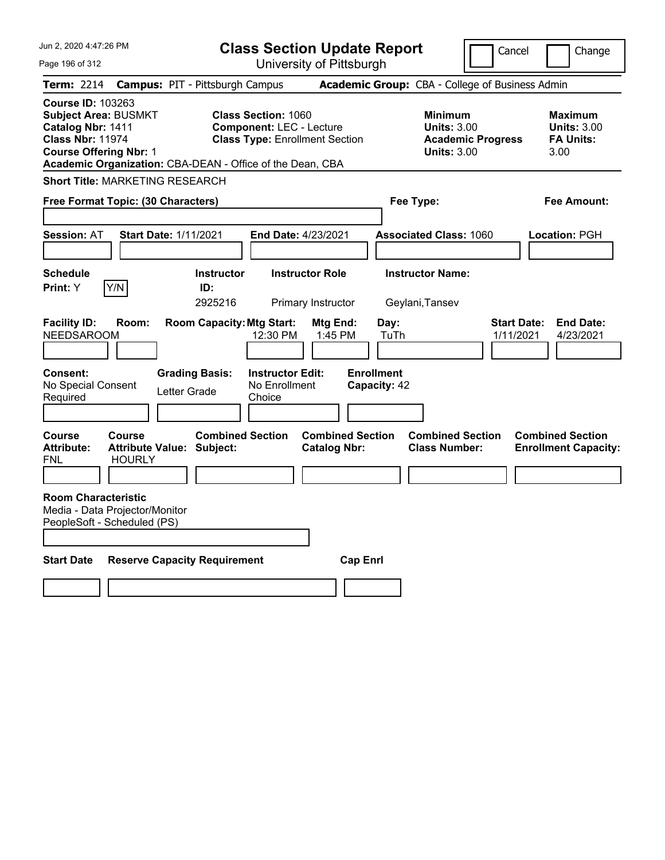| Jun 2, 2020 4:47:26 PM                                                                                                                                                                                |                                                             |                                       | <b>Class Section Update Report</b>                                                                     |                                                |                                   |                                                            | Cancel                          | Change                                                    |
|-------------------------------------------------------------------------------------------------------------------------------------------------------------------------------------------------------|-------------------------------------------------------------|---------------------------------------|--------------------------------------------------------------------------------------------------------|------------------------------------------------|-----------------------------------|------------------------------------------------------------|---------------------------------|-----------------------------------------------------------|
| Page 196 of 312                                                                                                                                                                                       |                                                             |                                       |                                                                                                        | University of Pittsburgh                       |                                   |                                                            |                                 |                                                           |
| Term: 2214                                                                                                                                                                                            | <b>Campus: PIT - Pittsburgh Campus</b>                      |                                       |                                                                                                        |                                                |                                   | Academic Group: CBA - College of Business Admin            |                                 |                                                           |
| <b>Course ID: 103263</b><br><b>Subject Area: BUSMKT</b><br>Catalog Nbr: 1411<br><b>Class Nbr: 11974</b><br><b>Course Offering Nbr: 1</b><br>Academic Organization: CBA-DEAN - Office of the Dean, CBA |                                                             |                                       | <b>Class Section: 1060</b><br><b>Component: LEC - Lecture</b><br><b>Class Type: Enrollment Section</b> |                                                |                                   | <b>Minimum</b><br><b>Units: 3.00</b><br><b>Units: 3.00</b> | <b>Academic Progress</b>        | Maximum<br><b>Units: 3.00</b><br><b>FA Units:</b><br>3.00 |
| <b>Short Title: MARKETING RESEARCH</b>                                                                                                                                                                |                                                             |                                       |                                                                                                        |                                                |                                   |                                                            |                                 |                                                           |
| Free Format Topic: (30 Characters)                                                                                                                                                                    |                                                             |                                       |                                                                                                        |                                                | Fee Type:                         |                                                            |                                 | Fee Amount:                                               |
| <b>Session: AT</b>                                                                                                                                                                                    | <b>Start Date: 1/11/2021</b>                                |                                       | <b>End Date: 4/23/2021</b>                                                                             |                                                |                                   | <b>Associated Class: 1060</b>                              |                                 | Location: PGH                                             |
| <b>Schedule</b><br>Print: Y<br>Y/N                                                                                                                                                                    |                                                             | <b>Instructor</b><br>ID:<br>2925216   |                                                                                                        | <b>Instructor Role</b><br>Primary Instructor   |                                   | <b>Instructor Name:</b><br>Geylani, Tansev                 |                                 |                                                           |
| <b>Facility ID:</b><br><b>NEEDSAROOM</b>                                                                                                                                                              | Room:                                                       | <b>Room Capacity: Mtg Start:</b>      | 12:30 PM                                                                                               | Mtg End:<br>1:45 PM                            | Day:<br>TuTh                      |                                                            | <b>Start Date:</b><br>1/11/2021 | <b>End Date:</b><br>4/23/2021                             |
| <b>Consent:</b><br>No Special Consent<br>Required                                                                                                                                                     |                                                             | <b>Grading Basis:</b><br>Letter Grade | <b>Instructor Edit:</b><br>No Enrollment<br>Choice                                                     |                                                | <b>Enrollment</b><br>Capacity: 42 |                                                            |                                 |                                                           |
| Course<br><b>Attribute:</b><br>FNL                                                                                                                                                                    | Course<br><b>Attribute Value: Subject:</b><br><b>HOURLY</b> | <b>Combined Section</b>               |                                                                                                        | <b>Combined Section</b><br><b>Catalog Nbr:</b> |                                   | <b>Combined Section</b><br><b>Class Number:</b>            |                                 | <b>Combined Section</b><br><b>Enrollment Capacity:</b>    |
| <b>Room Characteristic</b><br>Media - Data Projector/Monitor<br>PeopleSoft - Scheduled (PS)                                                                                                           |                                                             |                                       |                                                                                                        |                                                |                                   |                                                            |                                 |                                                           |
| <b>Start Date</b>                                                                                                                                                                                     | <b>Reserve Capacity Requirement</b>                         |                                       |                                                                                                        | <b>Cap Enri</b>                                |                                   |                                                            |                                 |                                                           |
|                                                                                                                                                                                                       |                                                             |                                       |                                                                                                        |                                                |                                   |                                                            |                                 |                                                           |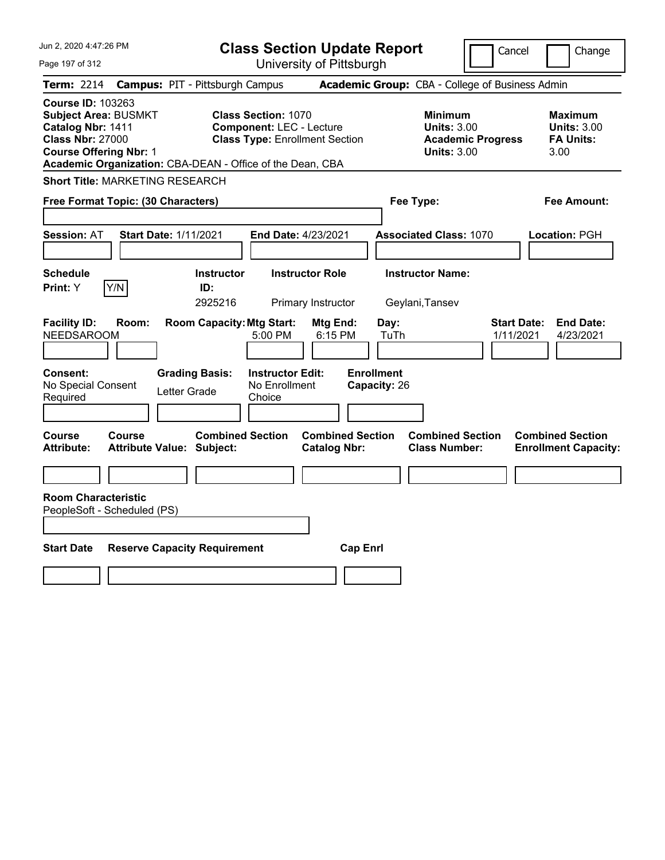| Jun 2, 2020 4:47:26 PM                                                                                                                                                                                | <b>Class Section Update Report</b>                                                                     |                                                |                                                            | Cancel                          | Change                                                           |
|-------------------------------------------------------------------------------------------------------------------------------------------------------------------------------------------------------|--------------------------------------------------------------------------------------------------------|------------------------------------------------|------------------------------------------------------------|---------------------------------|------------------------------------------------------------------|
| Page 197 of 312                                                                                                                                                                                       |                                                                                                        | University of Pittsburgh                       |                                                            |                                 |                                                                  |
| <b>Term: 2214</b>                                                                                                                                                                                     | <b>Campus: PIT - Pittsburgh Campus</b>                                                                 |                                                | Academic Group: CBA - College of Business Admin            |                                 |                                                                  |
| <b>Course ID: 103263</b><br><b>Subject Area: BUSMKT</b><br>Catalog Nbr: 1411<br><b>Class Nbr: 27000</b><br><b>Course Offering Nbr: 1</b><br>Academic Organization: CBA-DEAN - Office of the Dean, CBA | <b>Class Section: 1070</b><br><b>Component: LEC - Lecture</b><br><b>Class Type: Enrollment Section</b> |                                                | <b>Minimum</b><br><b>Units: 3.00</b><br><b>Units: 3.00</b> | <b>Academic Progress</b>        | <b>Maximum</b><br><b>Units: 3.00</b><br><b>FA Units:</b><br>3.00 |
| <b>Short Title: MARKETING RESEARCH</b>                                                                                                                                                                |                                                                                                        |                                                |                                                            |                                 |                                                                  |
| Free Format Topic: (30 Characters)                                                                                                                                                                    |                                                                                                        |                                                | Fee Type:                                                  |                                 | Fee Amount:                                                      |
| <b>Session: AT</b>                                                                                                                                                                                    | <b>Start Date: 1/11/2021</b>                                                                           | End Date: 4/23/2021                            | <b>Associated Class: 1070</b>                              |                                 | Location: PGH                                                    |
| <b>Schedule</b><br>Print: Y<br>Y/N                                                                                                                                                                    | <b>Instructor</b><br>ID:<br>2925216                                                                    | <b>Instructor Role</b><br>Primary Instructor   | <b>Instructor Name:</b><br>Geylani, Tansev                 |                                 |                                                                  |
| <b>Facility ID:</b><br>Room:<br>NEEDSAROOM                                                                                                                                                            | <b>Room Capacity: Mtg Start:</b><br>5:00 PM                                                            | Mtg End:<br>6:15 PM                            | Day:<br>TuTh                                               | <b>Start Date:</b><br>1/11/2021 | <b>End Date:</b><br>4/23/2021                                    |
| Consent:<br>No Special Consent<br>Required                                                                                                                                                            | <b>Grading Basis:</b><br><b>Instructor Edit:</b><br>No Enrollment<br>Letter Grade<br>Choice            |                                                | <b>Enrollment</b><br>Capacity: 26                          |                                 |                                                                  |
| <b>Course</b><br>Course<br><b>Attribute:</b>                                                                                                                                                          | <b>Combined Section</b><br><b>Attribute Value: Subject:</b>                                            | <b>Combined Section</b><br><b>Catalog Nbr:</b> | <b>Combined Section</b><br><b>Class Number:</b>            |                                 | <b>Combined Section</b><br><b>Enrollment Capacity:</b>           |
|                                                                                                                                                                                                       |                                                                                                        |                                                |                                                            |                                 |                                                                  |
| <b>Room Characteristic</b><br>PeopleSoft - Scheduled (PS)                                                                                                                                             |                                                                                                        |                                                |                                                            |                                 |                                                                  |
| <b>Start Date</b>                                                                                                                                                                                     | <b>Reserve Capacity Requirement</b>                                                                    | <b>Cap Enrl</b>                                |                                                            |                                 |                                                                  |
|                                                                                                                                                                                                       |                                                                                                        |                                                |                                                            |                                 |                                                                  |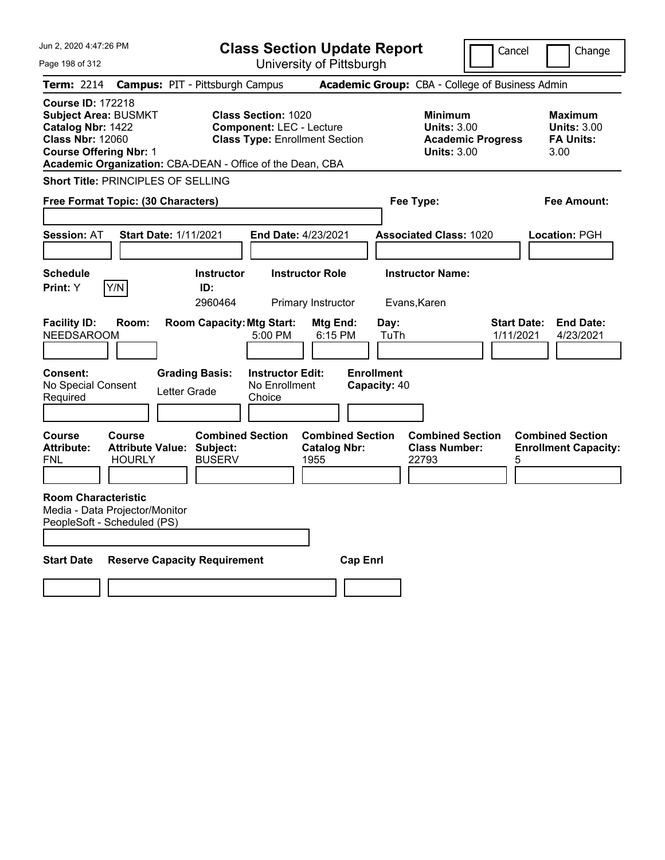| Jun 2, 2020 4:47:26 PM                                                                                                                   | <b>Class Section Update Report</b>                                                                                                                                  |                                                        |                                                            | Cancel                          | Change                                                           |
|------------------------------------------------------------------------------------------------------------------------------------------|---------------------------------------------------------------------------------------------------------------------------------------------------------------------|--------------------------------------------------------|------------------------------------------------------------|---------------------------------|------------------------------------------------------------------|
| Page 198 of 312                                                                                                                          |                                                                                                                                                                     | University of Pittsburgh                               |                                                            |                                 |                                                                  |
| <b>Term: 2214</b>                                                                                                                        | <b>Campus: PIT - Pittsburgh Campus</b>                                                                                                                              |                                                        | Academic Group: CBA - College of Business Admin            |                                 |                                                                  |
| <b>Course ID: 172218</b><br><b>Subject Area: BUSMKT</b><br>Catalog Nbr: 1422<br><b>Class Nbr: 12060</b><br><b>Course Offering Nbr: 1</b> | <b>Class Section: 1020</b><br><b>Component: LEC - Lecture</b><br><b>Class Type: Enrollment Section</b><br>Academic Organization: CBA-DEAN - Office of the Dean, CBA |                                                        | <b>Minimum</b><br><b>Units: 3.00</b><br><b>Units: 3.00</b> | <b>Academic Progress</b>        | <b>Maximum</b><br><b>Units: 3.00</b><br><b>FA Units:</b><br>3.00 |
| Short Title: PRINCIPLES OF SELLING                                                                                                       |                                                                                                                                                                     |                                                        |                                                            |                                 |                                                                  |
| Free Format Topic: (30 Characters)                                                                                                       |                                                                                                                                                                     |                                                        | Fee Type:                                                  |                                 | Fee Amount:                                                      |
| <b>Session: AT</b><br><b>Start Date: 1/11/2021</b>                                                                                       | <b>End Date: 4/23/2021</b>                                                                                                                                          |                                                        | <b>Associated Class: 1020</b>                              |                                 | Location: PGH                                                    |
| <b>Schedule</b><br>Y/N<br><b>Print:</b> Y                                                                                                | <b>Instructor</b><br>ID:<br>2960464                                                                                                                                 | <b>Instructor Role</b><br>Primary Instructor           | <b>Instructor Name:</b><br>Evans, Karen                    |                                 |                                                                  |
| <b>Facility ID:</b><br>Room:<br><b>NEEDSAROOM</b>                                                                                        | <b>Room Capacity: Mtg Start:</b><br>5:00 PM                                                                                                                         | Mtg End:<br>6:15 PM                                    | Day:<br>TuTh                                               | <b>Start Date:</b><br>1/11/2021 | <b>End Date:</b><br>4/23/2021                                    |
| Consent:<br>No Special Consent<br>Required                                                                                               | <b>Grading Basis:</b><br><b>Instructor Edit:</b><br>No Enrollment<br>Letter Grade<br>Choice                                                                         |                                                        | <b>Enrollment</b><br>Capacity: 40                          |                                 |                                                                  |
| <b>Course</b><br>Course<br><b>Attribute:</b><br><b>Attribute Value: Subject:</b><br>FNL<br>HOURLY                                        | <b>Combined Section</b><br><b>BUSERV</b>                                                                                                                            | <b>Combined Section</b><br><b>Catalog Nbr:</b><br>1955 | <b>Combined Section</b><br><b>Class Number:</b><br>22793   | 5                               | <b>Combined Section</b><br><b>Enrollment Capacity:</b>           |
| <b>Room Characteristic</b><br>Media - Data Projector/Monitor<br>PeopleSoft - Scheduled (PS)                                              |                                                                                                                                                                     |                                                        |                                                            |                                 |                                                                  |
| <b>Start Date</b>                                                                                                                        | <b>Reserve Capacity Requirement</b>                                                                                                                                 | <b>Cap Enrl</b>                                        |                                                            |                                 |                                                                  |
|                                                                                                                                          |                                                                                                                                                                     |                                                        |                                                            |                                 |                                                                  |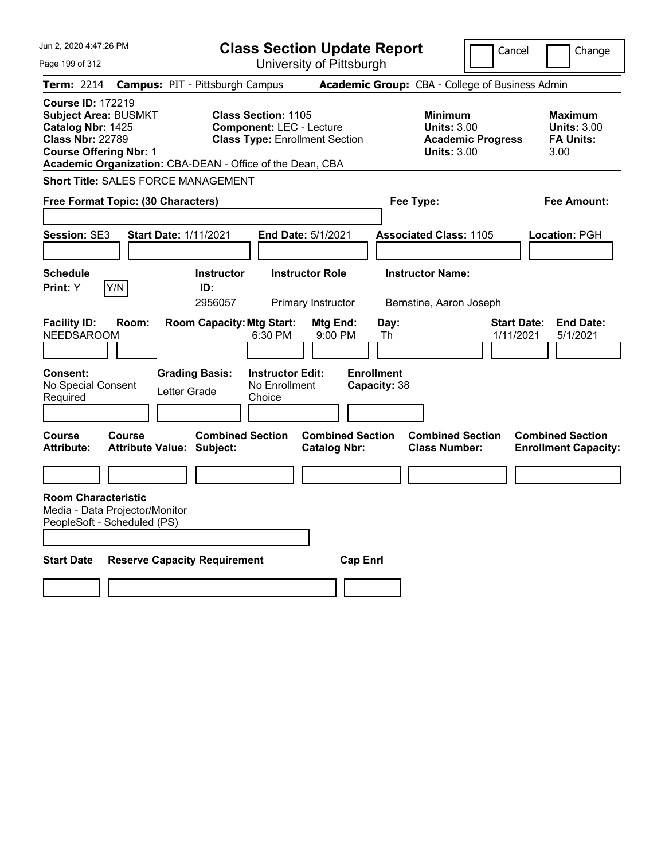| Jun 2, 2020 4:47:26 PM                                                                                                                   |               |                                                             |                                                                                                        | <b>Class Section Update Report</b>             |                                   |                                                                                        | Cancel                          | Change                                                    |
|------------------------------------------------------------------------------------------------------------------------------------------|---------------|-------------------------------------------------------------|--------------------------------------------------------------------------------------------------------|------------------------------------------------|-----------------------------------|----------------------------------------------------------------------------------------|---------------------------------|-----------------------------------------------------------|
| Page 199 of 312                                                                                                                          |               |                                                             |                                                                                                        | University of Pittsburgh                       |                                   |                                                                                        |                                 |                                                           |
| Term: 2214                                                                                                                               |               | <b>Campus: PIT - Pittsburgh Campus</b>                      |                                                                                                        |                                                |                                   | Academic Group: CBA - College of Business Admin                                        |                                 |                                                           |
| <b>Course ID: 172219</b><br><b>Subject Area: BUSMKT</b><br>Catalog Nbr: 1425<br><b>Class Nbr: 22789</b><br><b>Course Offering Nbr: 1</b> |               | Academic Organization: CBA-DEAN - Office of the Dean, CBA   | <b>Class Section: 1105</b><br><b>Component: LEC - Lecture</b><br><b>Class Type: Enrollment Section</b> |                                                |                                   | <b>Minimum</b><br><b>Units: 3.00</b><br><b>Academic Progress</b><br><b>Units: 3.00</b> |                                 | Maximum<br><b>Units: 3.00</b><br><b>FA Units:</b><br>3.00 |
|                                                                                                                                          |               | <b>Short Title: SALES FORCE MANAGEMENT</b>                  |                                                                                                        |                                                |                                   |                                                                                        |                                 |                                                           |
| Free Format Topic: (30 Characters)                                                                                                       |               |                                                             |                                                                                                        |                                                | Fee Type:                         |                                                                                        |                                 | Fee Amount:                                               |
| Session: SE3                                                                                                                             |               | <b>Start Date: 1/11/2021</b>                                | <b>End Date: 5/1/2021</b>                                                                              |                                                |                                   | <b>Associated Class: 1105</b>                                                          |                                 | Location: PGH                                             |
| <b>Schedule</b><br>Print: Y                                                                                                              | Y/N           | <b>Instructor</b><br>ID:<br>2956057                         |                                                                                                        | <b>Instructor Role</b><br>Primary Instructor   |                                   | <b>Instructor Name:</b><br>Bernstine, Aaron Joseph                                     |                                 |                                                           |
| <b>Facility ID:</b><br><b>NEEDSAROOM</b>                                                                                                 | Room:         | <b>Room Capacity: Mtg Start:</b>                            | 6:30 PM                                                                                                | Mtg End:<br>9:00 PM                            | Day:<br>Th                        |                                                                                        | <b>Start Date:</b><br>1/11/2021 | <b>End Date:</b><br>5/1/2021                              |
| <b>Consent:</b><br>No Special Consent<br>Required                                                                                        |               | <b>Grading Basis:</b><br>Letter Grade                       | <b>Instructor Edit:</b><br>No Enrollment<br>Choice                                                     |                                                | <b>Enrollment</b><br>Capacity: 38 |                                                                                        |                                 |                                                           |
| Course<br><b>Attribute:</b>                                                                                                              | <b>Course</b> | <b>Combined Section</b><br><b>Attribute Value: Subject:</b> |                                                                                                        | <b>Combined Section</b><br><b>Catalog Nbr:</b> |                                   | <b>Combined Section</b><br><b>Class Number:</b>                                        |                                 | <b>Combined Section</b><br><b>Enrollment Capacity:</b>    |
|                                                                                                                                          |               |                                                             |                                                                                                        |                                                |                                   |                                                                                        |                                 |                                                           |
| <b>Room Characteristic</b><br>Media - Data Projector/Monitor<br>PeopleSoft - Scheduled (PS)                                              |               |                                                             |                                                                                                        |                                                |                                   |                                                                                        |                                 |                                                           |
| <b>Start Date</b>                                                                                                                        |               | <b>Reserve Capacity Requirement</b>                         |                                                                                                        | <b>Cap Enri</b>                                |                                   |                                                                                        |                                 |                                                           |
|                                                                                                                                          |               |                                                             |                                                                                                        |                                                |                                   |                                                                                        |                                 |                                                           |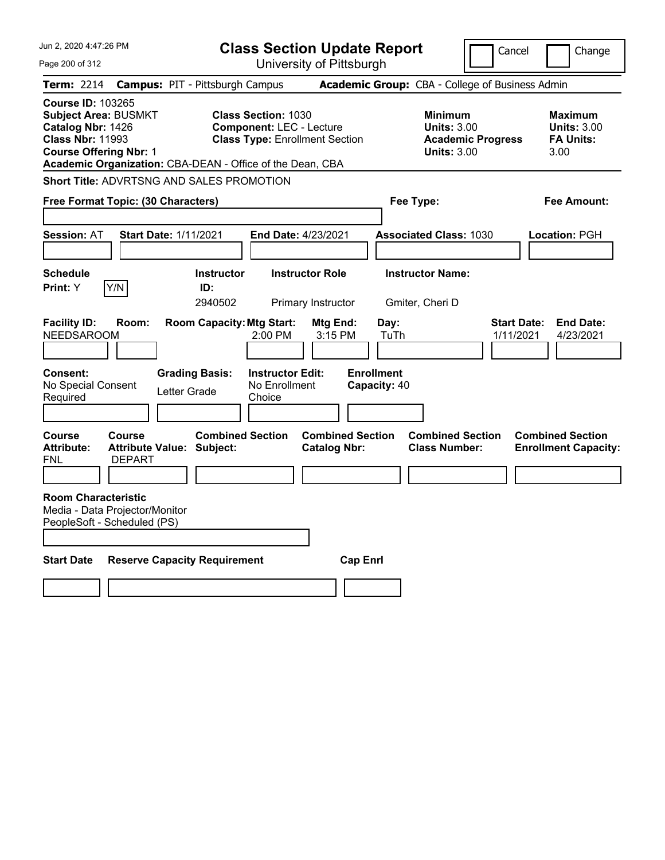| Jun 2, 2020 4:47:26 PM                                                                                                                   |                                        | <b>Class Section Update Report</b>                                                                                                                                  |                                                                          | Cancel                                                                                 | Change                                                           |
|------------------------------------------------------------------------------------------------------------------------------------------|----------------------------------------|---------------------------------------------------------------------------------------------------------------------------------------------------------------------|--------------------------------------------------------------------------|----------------------------------------------------------------------------------------|------------------------------------------------------------------|
| Page 200 of 312                                                                                                                          |                                        | University of Pittsburgh                                                                                                                                            |                                                                          |                                                                                        |                                                                  |
| Term: 2214                                                                                                                               | <b>Campus: PIT - Pittsburgh Campus</b> |                                                                                                                                                                     |                                                                          | Academic Group: CBA - College of Business Admin                                        |                                                                  |
| <b>Course ID: 103265</b><br><b>Subject Area: BUSMKT</b><br>Catalog Nbr: 1426<br><b>Class Nbr: 11993</b><br><b>Course Offering Nbr: 1</b> |                                        | <b>Class Section: 1030</b><br><b>Component: LEC - Lecture</b><br><b>Class Type: Enrollment Section</b><br>Academic Organization: CBA-DEAN - Office of the Dean, CBA |                                                                          | <b>Minimum</b><br><b>Units: 3.00</b><br><b>Academic Progress</b><br><b>Units: 3.00</b> | <b>Maximum</b><br><b>Units: 3.00</b><br><b>FA Units:</b><br>3.00 |
| Short Title: ADVRTSNG AND SALES PROMOTION                                                                                                |                                        |                                                                                                                                                                     |                                                                          |                                                                                        |                                                                  |
| Free Format Topic: (30 Characters)                                                                                                       |                                        |                                                                                                                                                                     | Fee Type:                                                                |                                                                                        | Fee Amount:                                                      |
| <b>Session: AT</b>                                                                                                                       | <b>Start Date: 1/11/2021</b>           | <b>End Date: 4/23/2021</b>                                                                                                                                          |                                                                          | <b>Associated Class: 1030</b>                                                          | Location: PGH                                                    |
| <b>Schedule</b><br>Y/N<br>Print: Y                                                                                                       | <b>Instructor</b><br>ID:<br>2940502    | <b>Instructor Role</b><br>Primary Instructor                                                                                                                        |                                                                          | <b>Instructor Name:</b><br>Gmiter, Cheri D                                             |                                                                  |
| <b>Facility ID:</b><br>Room:<br><b>NEEDSAROOM</b><br><b>Consent:</b><br>No Special Consent<br>Required                                   | <b>Grading Basis:</b><br>Letter Grade  | <b>Room Capacity: Mtg Start:</b><br>$2:00$ PM<br><b>Instructor Edit:</b><br>No Enrollment<br>Choice                                                                 | Mtg End:<br>Day:<br>3:15 PM<br>TuTh<br><b>Enrollment</b><br>Capacity: 40 |                                                                                        | <b>Start Date:</b><br><b>End Date:</b><br>1/11/2021<br>4/23/2021 |
| <b>Course</b><br>Course<br><b>Attribute:</b><br><b>DEPART</b><br>FNL                                                                     | Attribute Value: Subject:              | <b>Combined Section</b><br><b>Catalog Nbr:</b>                                                                                                                      | <b>Combined Section</b>                                                  | <b>Combined Section</b><br><b>Class Number:</b>                                        | <b>Combined Section</b><br><b>Enrollment Capacity:</b>           |
| <b>Room Characteristic</b><br>Media - Data Projector/Monitor<br>PeopleSoft - Scheduled (PS)                                              |                                        |                                                                                                                                                                     |                                                                          |                                                                                        |                                                                  |
| <b>Start Date</b>                                                                                                                        | <b>Reserve Capacity Requirement</b>    |                                                                                                                                                                     | <b>Cap Enri</b>                                                          |                                                                                        |                                                                  |
|                                                                                                                                          |                                        |                                                                                                                                                                     |                                                                          |                                                                                        |                                                                  |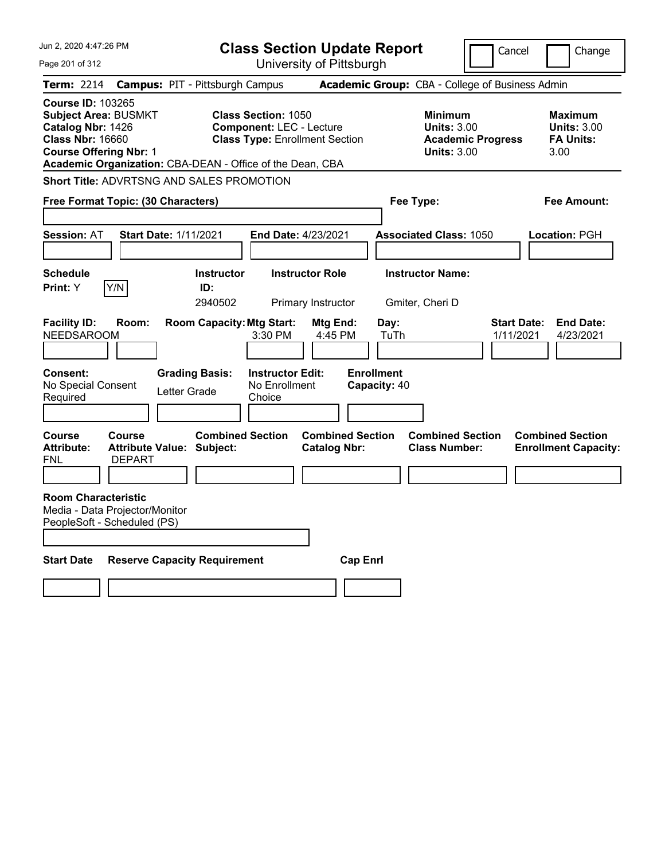| Jun 2, 2020 4:47:26 PM                                                                                                                   |                                                               |                                       |                                                                                                        | <b>Class Section Update Report</b>             |                                   |                                                                                        | Cancel                          | Change                                                           |
|------------------------------------------------------------------------------------------------------------------------------------------|---------------------------------------------------------------|---------------------------------------|--------------------------------------------------------------------------------------------------------|------------------------------------------------|-----------------------------------|----------------------------------------------------------------------------------------|---------------------------------|------------------------------------------------------------------|
| Page 201 of 312                                                                                                                          |                                                               |                                       |                                                                                                        | University of Pittsburgh                       |                                   |                                                                                        |                                 |                                                                  |
| Term: 2214                                                                                                                               | <b>Campus: PIT - Pittsburgh Campus</b>                        |                                       |                                                                                                        |                                                |                                   | Academic Group: CBA - College of Business Admin                                        |                                 |                                                                  |
| <b>Course ID: 103265</b><br><b>Subject Area: BUSMKT</b><br>Catalog Nbr: 1426<br><b>Class Nbr: 16660</b><br><b>Course Offering Nbr: 1</b> | Academic Organization: CBA-DEAN - Office of the Dean, CBA     |                                       | <b>Class Section: 1050</b><br><b>Component: LEC - Lecture</b><br><b>Class Type: Enrollment Section</b> |                                                |                                   | <b>Minimum</b><br><b>Units: 3.00</b><br><b>Academic Progress</b><br><b>Units: 3.00</b> |                                 | <b>Maximum</b><br><b>Units: 3.00</b><br><b>FA Units:</b><br>3.00 |
|                                                                                                                                          | Short Title: ADVRTSNG AND SALES PROMOTION                     |                                       |                                                                                                        |                                                |                                   |                                                                                        |                                 |                                                                  |
|                                                                                                                                          | Free Format Topic: (30 Characters)                            |                                       |                                                                                                        |                                                | Fee Type:                         |                                                                                        |                                 | Fee Amount:                                                      |
| <b>Session: AT</b>                                                                                                                       | <b>Start Date: 1/11/2021</b>                                  |                                       | <b>End Date: 4/23/2021</b>                                                                             |                                                |                                   | <b>Associated Class: 1050</b>                                                          |                                 | Location: PGH                                                    |
| <b>Schedule</b><br>Print: Y                                                                                                              | Y/N                                                           | <b>Instructor</b><br>ID:<br>2940502   |                                                                                                        | <b>Instructor Role</b><br>Primary Instructor   |                                   | <b>Instructor Name:</b><br>Gmiter, Cheri D                                             |                                 |                                                                  |
| <b>Facility ID:</b><br><b>NEEDSAROOM</b>                                                                                                 | Room:                                                         | <b>Room Capacity: Mtg Start:</b>      | 3:30 PM                                                                                                | Mtg End:<br>4:45 PM                            | Day:<br>TuTh                      |                                                                                        | <b>Start Date:</b><br>1/11/2021 | <b>End Date:</b><br>4/23/2021                                    |
| <b>Consent:</b><br>No Special Consent<br>Required                                                                                        |                                                               | <b>Grading Basis:</b><br>Letter Grade | <b>Instructor Edit:</b><br>No Enrollment<br>Choice                                                     |                                                | <b>Enrollment</b><br>Capacity: 40 |                                                                                        |                                 |                                                                  |
| Course<br><b>Attribute:</b><br>FNL                                                                                                       | Course<br><b>Attribute Value: Subject:</b><br><b>DEPART</b>   | <b>Combined Section</b>               |                                                                                                        | <b>Combined Section</b><br><b>Catalog Nbr:</b> |                                   | <b>Combined Section</b><br><b>Class Number:</b>                                        |                                 | <b>Combined Section</b><br><b>Enrollment Capacity:</b>           |
| <b>Room Characteristic</b>                                                                                                               | Media - Data Projector/Monitor<br>PeopleSoft - Scheduled (PS) |                                       |                                                                                                        |                                                |                                   |                                                                                        |                                 |                                                                  |
| <b>Start Date</b>                                                                                                                        | <b>Reserve Capacity Requirement</b>                           |                                       |                                                                                                        | <b>Cap Enri</b>                                |                                   |                                                                                        |                                 |                                                                  |
|                                                                                                                                          |                                                               |                                       |                                                                                                        |                                                |                                   |                                                                                        |                                 |                                                                  |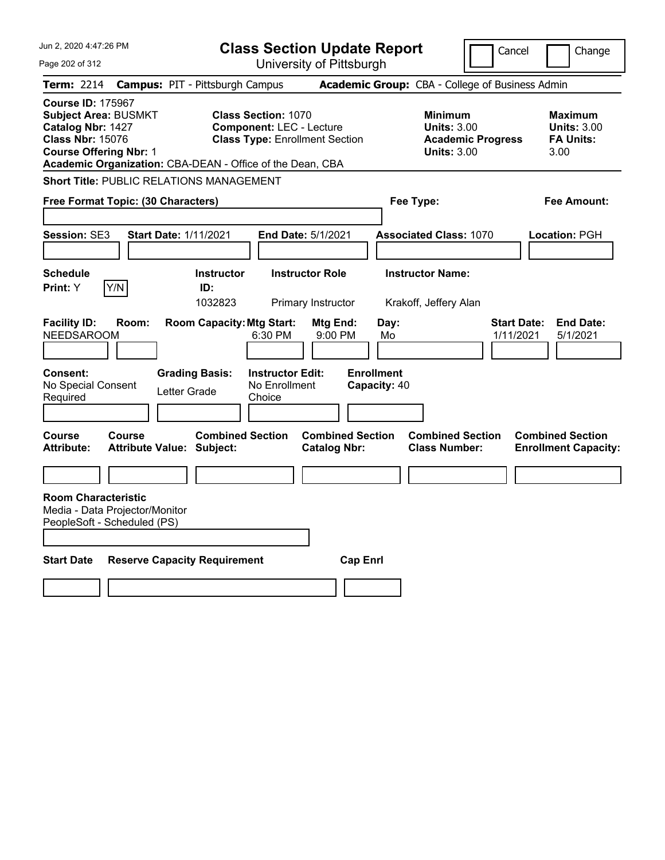| <b>Class Section Update Report</b><br>Cancel<br>Change<br>University of Pittsburgh<br>Page 202 of 312<br>Academic Group: CBA - College of Business Admin<br>Term: 2214<br><b>Campus: PIT - Pittsburgh Campus</b><br><b>Course ID: 175967</b><br><b>Subject Area: BUSMKT</b><br><b>Class Section: 1070</b><br><b>Minimum</b><br><b>Maximum</b><br>Catalog Nbr: 1427<br><b>Component: LEC - Lecture</b><br><b>Units: 3.00</b><br><b>Units: 3.00</b><br><b>Class Nbr: 15076</b><br><b>Class Type: Enrollment Section</b><br><b>Academic Progress</b><br><b>FA Units:</b><br><b>Course Offering Nbr: 1</b><br><b>Units: 3.00</b><br>3.00<br>Academic Organization: CBA-DEAN - Office of the Dean, CBA<br><b>Short Title: PUBLIC RELATIONS MANAGEMENT</b><br>Free Format Topic: (30 Characters)<br>Fee Type:<br>Fee Amount:<br><b>Session: SE3</b><br><b>Start Date: 1/11/2021</b><br><b>End Date: 5/1/2021</b><br><b>Associated Class: 1070</b><br>Location: PGH<br><b>Schedule</b><br><b>Instructor Role</b><br><b>Instructor Name:</b><br><b>Instructor</b><br>Y/N<br><b>Print:</b> Y<br>ID:<br>1032823<br>Primary Instructor<br>Krakoff, Jeffery Alan<br><b>Facility ID:</b><br>Room:<br><b>Room Capacity: Mtg Start:</b><br><b>Start Date:</b><br><b>End Date:</b><br>Mtg End:<br>Day:<br><b>NEEDSAROOM</b><br>6:30 PM<br>1/11/2021<br>5/1/2021<br>9:00 PM<br>Mo<br><b>Enrollment</b><br>Consent:<br><b>Grading Basis:</b><br><b>Instructor Edit:</b><br>No Special Consent<br>No Enrollment<br>Capacity: 40<br>Letter Grade<br>Required<br>Choice<br><b>Combined Section</b><br><b>Combined Section</b><br><b>Combined Section</b><br><b>Combined Section</b><br><b>Course</b><br><b>Course</b><br><b>Attribute:</b><br><b>Attribute Value: Subject:</b><br><b>Catalog Nbr:</b><br><b>Class Number:</b><br><b>Enrollment Capacity:</b> |
|-----------------------------------------------------------------------------------------------------------------------------------------------------------------------------------------------------------------------------------------------------------------------------------------------------------------------------------------------------------------------------------------------------------------------------------------------------------------------------------------------------------------------------------------------------------------------------------------------------------------------------------------------------------------------------------------------------------------------------------------------------------------------------------------------------------------------------------------------------------------------------------------------------------------------------------------------------------------------------------------------------------------------------------------------------------------------------------------------------------------------------------------------------------------------------------------------------------------------------------------------------------------------------------------------------------------------------------------------------------------------------------------------------------------------------------------------------------------------------------------------------------------------------------------------------------------------------------------------------------------------------------------------------------------------------------------------------------------------------------------------------------------------------------------------------------------------------------------|
|                                                                                                                                                                                                                                                                                                                                                                                                                                                                                                                                                                                                                                                                                                                                                                                                                                                                                                                                                                                                                                                                                                                                                                                                                                                                                                                                                                                                                                                                                                                                                                                                                                                                                                                                                                                                                                         |
|                                                                                                                                                                                                                                                                                                                                                                                                                                                                                                                                                                                                                                                                                                                                                                                                                                                                                                                                                                                                                                                                                                                                                                                                                                                                                                                                                                                                                                                                                                                                                                                                                                                                                                                                                                                                                                         |
|                                                                                                                                                                                                                                                                                                                                                                                                                                                                                                                                                                                                                                                                                                                                                                                                                                                                                                                                                                                                                                                                                                                                                                                                                                                                                                                                                                                                                                                                                                                                                                                                                                                                                                                                                                                                                                         |
|                                                                                                                                                                                                                                                                                                                                                                                                                                                                                                                                                                                                                                                                                                                                                                                                                                                                                                                                                                                                                                                                                                                                                                                                                                                                                                                                                                                                                                                                                                                                                                                                                                                                                                                                                                                                                                         |
|                                                                                                                                                                                                                                                                                                                                                                                                                                                                                                                                                                                                                                                                                                                                                                                                                                                                                                                                                                                                                                                                                                                                                                                                                                                                                                                                                                                                                                                                                                                                                                                                                                                                                                                                                                                                                                         |
|                                                                                                                                                                                                                                                                                                                                                                                                                                                                                                                                                                                                                                                                                                                                                                                                                                                                                                                                                                                                                                                                                                                                                                                                                                                                                                                                                                                                                                                                                                                                                                                                                                                                                                                                                                                                                                         |
|                                                                                                                                                                                                                                                                                                                                                                                                                                                                                                                                                                                                                                                                                                                                                                                                                                                                                                                                                                                                                                                                                                                                                                                                                                                                                                                                                                                                                                                                                                                                                                                                                                                                                                                                                                                                                                         |
|                                                                                                                                                                                                                                                                                                                                                                                                                                                                                                                                                                                                                                                                                                                                                                                                                                                                                                                                                                                                                                                                                                                                                                                                                                                                                                                                                                                                                                                                                                                                                                                                                                                                                                                                                                                                                                         |
|                                                                                                                                                                                                                                                                                                                                                                                                                                                                                                                                                                                                                                                                                                                                                                                                                                                                                                                                                                                                                                                                                                                                                                                                                                                                                                                                                                                                                                                                                                                                                                                                                                                                                                                                                                                                                                         |
|                                                                                                                                                                                                                                                                                                                                                                                                                                                                                                                                                                                                                                                                                                                                                                                                                                                                                                                                                                                                                                                                                                                                                                                                                                                                                                                                                                                                                                                                                                                                                                                                                                                                                                                                                                                                                                         |
|                                                                                                                                                                                                                                                                                                                                                                                                                                                                                                                                                                                                                                                                                                                                                                                                                                                                                                                                                                                                                                                                                                                                                                                                                                                                                                                                                                                                                                                                                                                                                                                                                                                                                                                                                                                                                                         |
|                                                                                                                                                                                                                                                                                                                                                                                                                                                                                                                                                                                                                                                                                                                                                                                                                                                                                                                                                                                                                                                                                                                                                                                                                                                                                                                                                                                                                                                                                                                                                                                                                                                                                                                                                                                                                                         |
|                                                                                                                                                                                                                                                                                                                                                                                                                                                                                                                                                                                                                                                                                                                                                                                                                                                                                                                                                                                                                                                                                                                                                                                                                                                                                                                                                                                                                                                                                                                                                                                                                                                                                                                                                                                                                                         |
| <b>Room Characteristic</b><br>Media - Data Projector/Monitor<br>PeopleSoft - Scheduled (PS)                                                                                                                                                                                                                                                                                                                                                                                                                                                                                                                                                                                                                                                                                                                                                                                                                                                                                                                                                                                                                                                                                                                                                                                                                                                                                                                                                                                                                                                                                                                                                                                                                                                                                                                                             |
| <b>Start Date</b><br><b>Reserve Capacity Requirement</b><br><b>Cap Enrl</b>                                                                                                                                                                                                                                                                                                                                                                                                                                                                                                                                                                                                                                                                                                                                                                                                                                                                                                                                                                                                                                                                                                                                                                                                                                                                                                                                                                                                                                                                                                                                                                                                                                                                                                                                                             |
|                                                                                                                                                                                                                                                                                                                                                                                                                                                                                                                                                                                                                                                                                                                                                                                                                                                                                                                                                                                                                                                                                                                                                                                                                                                                                                                                                                                                                                                                                                                                                                                                                                                                                                                                                                                                                                         |
|                                                                                                                                                                                                                                                                                                                                                                                                                                                                                                                                                                                                                                                                                                                                                                                                                                                                                                                                                                                                                                                                                                                                                                                                                                                                                                                                                                                                                                                                                                                                                                                                                                                                                                                                                                                                                                         |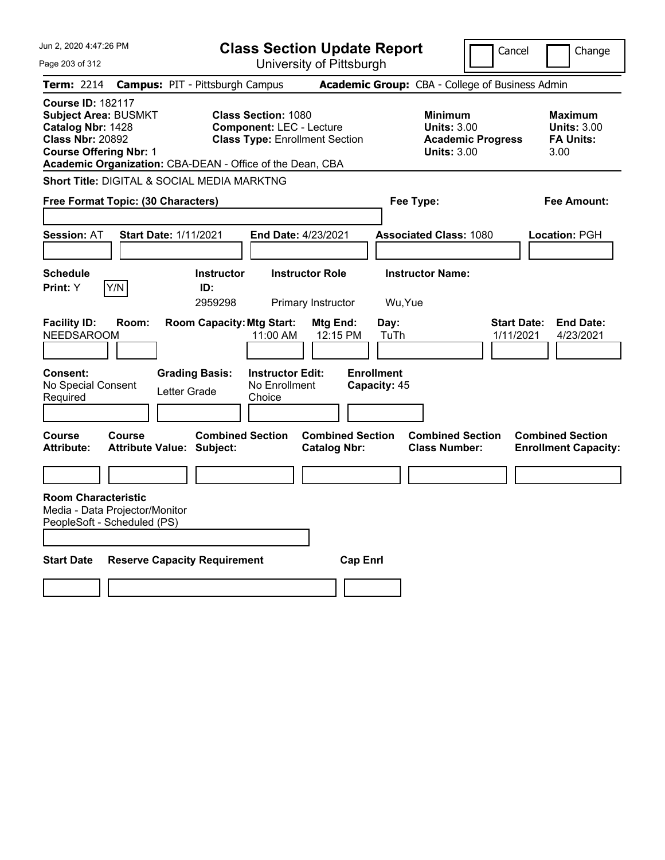|       |                                                                                                                                                                                                                                                                                                    |                                                                                                                                                                                   |                                                                                                                                                                                                                  |                                                                                                                                                                                                                                                                                                                      |                                                                                                             | Cancel                                                                                                                                                           | Change                                                                                                                                  |
|-------|----------------------------------------------------------------------------------------------------------------------------------------------------------------------------------------------------------------------------------------------------------------------------------------------------|-----------------------------------------------------------------------------------------------------------------------------------------------------------------------------------|------------------------------------------------------------------------------------------------------------------------------------------------------------------------------------------------------------------|----------------------------------------------------------------------------------------------------------------------------------------------------------------------------------------------------------------------------------------------------------------------------------------------------------------------|-------------------------------------------------------------------------------------------------------------|------------------------------------------------------------------------------------------------------------------------------------------------------------------|-----------------------------------------------------------------------------------------------------------------------------------------|
|       |                                                                                                                                                                                                                                                                                                    |                                                                                                                                                                                   |                                                                                                                                                                                                                  |                                                                                                                                                                                                                                                                                                                      |                                                                                                             |                                                                                                                                                                  |                                                                                                                                         |
|       |                                                                                                                                                                                                                                                                                                    |                                                                                                                                                                                   |                                                                                                                                                                                                                  |                                                                                                                                                                                                                                                                                                                      |                                                                                                             |                                                                                                                                                                  |                                                                                                                                         |
|       |                                                                                                                                                                                                                                                                                                    |                                                                                                                                                                                   |                                                                                                                                                                                                                  |                                                                                                                                                                                                                                                                                                                      |                                                                                                             |                                                                                                                                                                  | <b>Maximum</b><br><b>Units: 3.00</b><br><b>FA Units:</b><br>3.00                                                                        |
|       |                                                                                                                                                                                                                                                                                                    |                                                                                                                                                                                   |                                                                                                                                                                                                                  |                                                                                                                                                                                                                                                                                                                      |                                                                                                             |                                                                                                                                                                  |                                                                                                                                         |
|       |                                                                                                                                                                                                                                                                                                    |                                                                                                                                                                                   |                                                                                                                                                                                                                  |                                                                                                                                                                                                                                                                                                                      |                                                                                                             |                                                                                                                                                                  | Fee Amount:                                                                                                                             |
|       |                                                                                                                                                                                                                                                                                                    |                                                                                                                                                                                   |                                                                                                                                                                                                                  |                                                                                                                                                                                                                                                                                                                      |                                                                                                             |                                                                                                                                                                  |                                                                                                                                         |
|       |                                                                                                                                                                                                                                                                                                    |                                                                                                                                                                                   |                                                                                                                                                                                                                  |                                                                                                                                                                                                                                                                                                                      |                                                                                                             |                                                                                                                                                                  | Location: PGH                                                                                                                           |
|       |                                                                                                                                                                                                                                                                                                    |                                                                                                                                                                                   |                                                                                                                                                                                                                  |                                                                                                                                                                                                                                                                                                                      |                                                                                                             |                                                                                                                                                                  |                                                                                                                                         |
|       | ID:                                                                                                                                                                                                                                                                                                |                                                                                                                                                                                   |                                                                                                                                                                                                                  |                                                                                                                                                                                                                                                                                                                      |                                                                                                             |                                                                                                                                                                  |                                                                                                                                         |
|       | 2959298                                                                                                                                                                                                                                                                                            |                                                                                                                                                                                   |                                                                                                                                                                                                                  | Wu, Yue                                                                                                                                                                                                                                                                                                              |                                                                                                             |                                                                                                                                                                  |                                                                                                                                         |
| Room: |                                                                                                                                                                                                                                                                                                    | 11:00 AM                                                                                                                                                                          | Mtg End:<br>12:15 PM                                                                                                                                                                                             | Day:<br>TuTh                                                                                                                                                                                                                                                                                                         |                                                                                                             | <b>Start Date:</b><br>1/11/2021                                                                                                                                  | <b>End Date:</b><br>4/23/2021                                                                                                           |
|       |                                                                                                                                                                                                                                                                                                    | Choice                                                                                                                                                                            |                                                                                                                                                                                                                  |                                                                                                                                                                                                                                                                                                                      |                                                                                                             |                                                                                                                                                                  |                                                                                                                                         |
|       |                                                                                                                                                                                                                                                                                                    |                                                                                                                                                                                   |                                                                                                                                                                                                                  |                                                                                                                                                                                                                                                                                                                      |                                                                                                             |                                                                                                                                                                  | <b>Combined Section</b><br><b>Enrollment Capacity:</b>                                                                                  |
|       |                                                                                                                                                                                                                                                                                                    |                                                                                                                                                                                   |                                                                                                                                                                                                                  |                                                                                                                                                                                                                                                                                                                      |                                                                                                             |                                                                                                                                                                  |                                                                                                                                         |
|       |                                                                                                                                                                                                                                                                                                    |                                                                                                                                                                                   |                                                                                                                                                                                                                  |                                                                                                                                                                                                                                                                                                                      |                                                                                                             |                                                                                                                                                                  |                                                                                                                                         |
|       |                                                                                                                                                                                                                                                                                                    |                                                                                                                                                                                   |                                                                                                                                                                                                                  |                                                                                                                                                                                                                                                                                                                      |                                                                                                             |                                                                                                                                                                  |                                                                                                                                         |
|       |                                                                                                                                                                                                                                                                                                    |                                                                                                                                                                                   |                                                                                                                                                                                                                  |                                                                                                                                                                                                                                                                                                                      |                                                                                                             |                                                                                                                                                                  |                                                                                                                                         |
|       |                                                                                                                                                                                                                                                                                                    |                                                                                                                                                                                   |                                                                                                                                                                                                                  |                                                                                                                                                                                                                                                                                                                      |                                                                                                             |                                                                                                                                                                  |                                                                                                                                         |
|       | Jun 2, 2020 4:47:26 PM<br><b>Course ID: 182117</b><br><b>Subject Area: BUSMKT</b><br>Catalog Nbr: 1428<br><b>Class Nbr: 20892</b><br><b>Course Offering Nbr: 1</b><br>Y/N<br><b>NEEDSAROOM</b><br>No Special Consent<br><b>Course</b><br><b>Room Characteristic</b><br>PeopleSoft - Scheduled (PS) | Free Format Topic: (30 Characters)<br><b>Start Date: 1/11/2021</b><br><b>Grading Basis:</b><br>Letter Grade<br><b>Attribute Value: Subject:</b><br>Media - Data Projector/Monitor | <b>Campus: PIT - Pittsburgh Campus</b><br>Short Title: DIGITAL & SOCIAL MEDIA MARKTNG<br><b>Instructor</b><br><b>Room Capacity: Mtg Start:</b><br><b>Combined Section</b><br><b>Reserve Capacity Requirement</b> | <b>Class Section: 1080</b><br><b>Component: LEC - Lecture</b><br><b>Class Type: Enrollment Section</b><br>Academic Organization: CBA-DEAN - Office of the Dean, CBA<br><b>End Date: 4/23/2021</b><br><b>Instructor Role</b><br>Primary Instructor<br><b>Instructor Edit:</b><br>No Enrollment<br><b>Catalog Nbr:</b> | University of Pittsburgh<br><b>Enrollment</b><br>Capacity: 45<br><b>Combined Section</b><br><b>Cap Enri</b> | <b>Class Section Update Report</b><br><b>Minimum</b><br><b>Units: 3.00</b><br><b>Units: 3.00</b><br>Fee Type:<br><b>Instructor Name:</b><br><b>Class Number:</b> | Academic Group: CBA - College of Business Admin<br><b>Academic Progress</b><br><b>Associated Class: 1080</b><br><b>Combined Section</b> |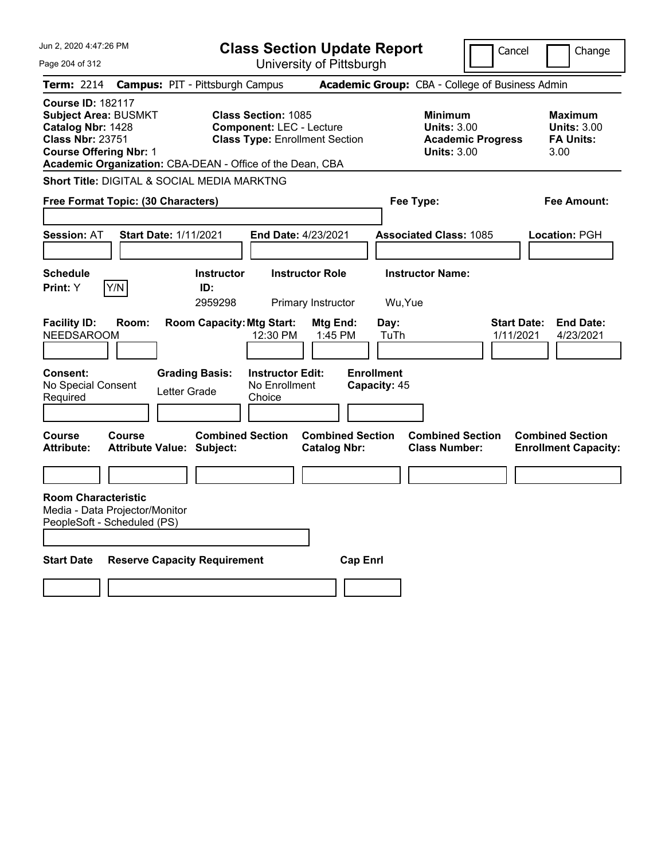| Jun 2, 2020 4:47:26 PM                                                                                                                   | <b>Class Section Update Report</b>                                                                                                                                  |                                                                          |                                                                                        | Cancel<br>Change                                                 |
|------------------------------------------------------------------------------------------------------------------------------------------|---------------------------------------------------------------------------------------------------------------------------------------------------------------------|--------------------------------------------------------------------------|----------------------------------------------------------------------------------------|------------------------------------------------------------------|
| Page 204 of 312                                                                                                                          |                                                                                                                                                                     | University of Pittsburgh                                                 |                                                                                        |                                                                  |
| Term: 2214                                                                                                                               | <b>Campus: PIT - Pittsburgh Campus</b>                                                                                                                              |                                                                          | Academic Group: CBA - College of Business Admin                                        |                                                                  |
| <b>Course ID: 182117</b><br><b>Subject Area: BUSMKT</b><br>Catalog Nbr: 1428<br><b>Class Nbr: 23751</b><br><b>Course Offering Nbr: 1</b> | <b>Class Section: 1085</b><br><b>Component: LEC - Lecture</b><br><b>Class Type: Enrollment Section</b><br>Academic Organization: CBA-DEAN - Office of the Dean, CBA |                                                                          | <b>Minimum</b><br><b>Units: 3.00</b><br><b>Academic Progress</b><br><b>Units: 3.00</b> | <b>Maximum</b><br><b>Units: 3.00</b><br><b>FA Units:</b><br>3.00 |
| Short Title: DIGITAL & SOCIAL MEDIA MARKTNG                                                                                              |                                                                                                                                                                     |                                                                          |                                                                                        |                                                                  |
| Free Format Topic: (30 Characters)                                                                                                       |                                                                                                                                                                     |                                                                          | Fee Type:                                                                              | Fee Amount:                                                      |
|                                                                                                                                          |                                                                                                                                                                     |                                                                          |                                                                                        |                                                                  |
| <b>Session: AT</b><br><b>Start Date: 1/11/2021</b>                                                                                       | <b>End Date: 4/23/2021</b>                                                                                                                                          |                                                                          | <b>Associated Class: 1085</b>                                                          | Location: PGH                                                    |
|                                                                                                                                          |                                                                                                                                                                     |                                                                          |                                                                                        |                                                                  |
| <b>Schedule</b>                                                                                                                          | <b>Instructor Role</b><br><b>Instructor</b>                                                                                                                         |                                                                          | <b>Instructor Name:</b>                                                                |                                                                  |
| Print: Y<br>Y/N                                                                                                                          | ID:<br>2959298<br>Primary Instructor                                                                                                                                | Wu, Yue                                                                  |                                                                                        |                                                                  |
| <b>Facility ID:</b><br>Room:<br><b>NEEDSAROOM</b><br>Consent:<br>No Special Consent<br>Required                                          | <b>Room Capacity: Mtg Start:</b><br>12:30 PM<br><b>Grading Basis:</b><br><b>Instructor Edit:</b><br>No Enrollment<br>Letter Grade<br>Choice                         | Day:<br>Mtg End:<br>1:45 PM<br>TuTh<br><b>Enrollment</b><br>Capacity: 45 |                                                                                        | <b>Start Date:</b><br><b>End Date:</b><br>1/11/2021<br>4/23/2021 |
|                                                                                                                                          |                                                                                                                                                                     |                                                                          |                                                                                        |                                                                  |
| <b>Course</b><br><b>Course</b><br><b>Attribute:</b><br><b>Attribute Value: Subject:</b>                                                  | <b>Combined Section</b>                                                                                                                                             | <b>Combined Section</b><br><b>Catalog Nbr:</b>                           | <b>Combined Section</b><br><b>Class Number:</b>                                        | <b>Combined Section</b><br><b>Enrollment Capacity:</b>           |
|                                                                                                                                          |                                                                                                                                                                     |                                                                          |                                                                                        |                                                                  |
| <b>Room Characteristic</b><br>Media - Data Projector/Monitor<br>PeopleSoft - Scheduled (PS)                                              |                                                                                                                                                                     |                                                                          |                                                                                        |                                                                  |
| <b>Start Date</b>                                                                                                                        | <b>Reserve Capacity Requirement</b>                                                                                                                                 | <b>Cap Enri</b>                                                          |                                                                                        |                                                                  |
|                                                                                                                                          |                                                                                                                                                                     |                                                                          |                                                                                        |                                                                  |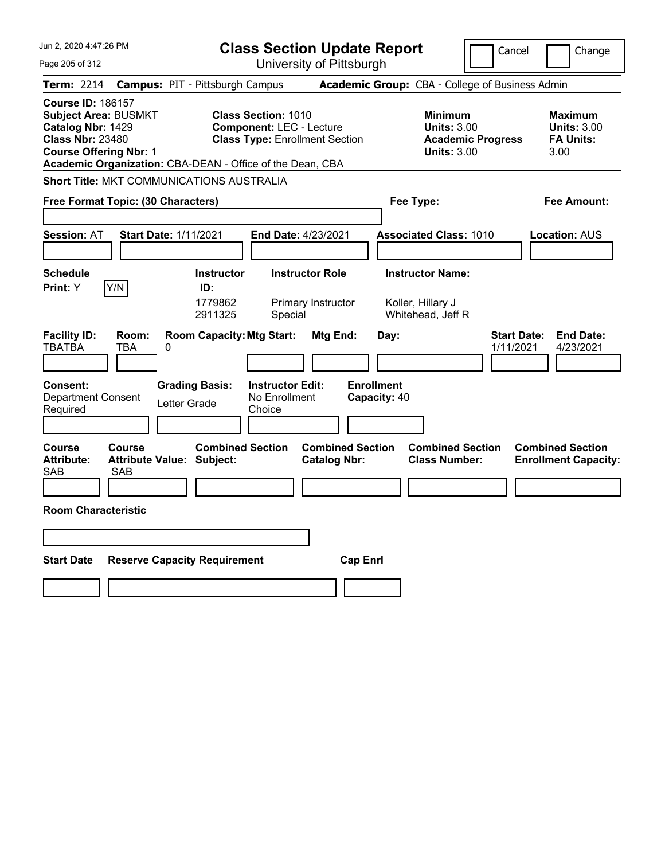| Jun 2, 2020 4:47:26 PM                                                                                                                                                                                | <b>Class Section Update Report</b>                                                                        | Cancel                                                                                 | Change                                                           |
|-------------------------------------------------------------------------------------------------------------------------------------------------------------------------------------------------------|-----------------------------------------------------------------------------------------------------------|----------------------------------------------------------------------------------------|------------------------------------------------------------------|
| Page 205 of 312                                                                                                                                                                                       | University of Pittsburgh                                                                                  |                                                                                        |                                                                  |
| <b>Term: 2214</b>                                                                                                                                                                                     | <b>Campus: PIT - Pittsburgh Campus</b>                                                                    | Academic Group: CBA - College of Business Admin                                        |                                                                  |
| <b>Course ID: 186157</b><br><b>Subject Area: BUSMKT</b><br>Catalog Nbr: 1429<br><b>Class Nbr: 23480</b><br><b>Course Offering Nbr: 1</b><br>Academic Organization: CBA-DEAN - Office of the Dean, CBA | <b>Class Section: 1010</b><br><b>Component: LEC - Lecture</b><br><b>Class Type: Enrollment Section</b>    | <b>Minimum</b><br><b>Units: 3.00</b><br><b>Academic Progress</b><br><b>Units: 3.00</b> | <b>Maximum</b><br><b>Units: 3.00</b><br><b>FA Units:</b><br>3.00 |
| <b>Short Title: MKT COMMUNICATIONS AUSTRALIA</b>                                                                                                                                                      |                                                                                                           |                                                                                        |                                                                  |
| Free Format Topic: (30 Characters)                                                                                                                                                                    |                                                                                                           | Fee Type:                                                                              | Fee Amount:                                                      |
| Start Date: 1/11/2021<br><b>Session: AT</b>                                                                                                                                                           | End Date: 4/23/2021                                                                                       | <b>Associated Class: 1010</b>                                                          | <b>Location: AUS</b>                                             |
| <b>Schedule</b><br>Y/N<br>Print: Y                                                                                                                                                                    | <b>Instructor Role</b><br><b>Instructor</b><br>ID:<br>1779862<br>Primary Instructor<br>2911325<br>Special | <b>Instructor Name:</b><br>Koller, Hillary J<br>Whitehead, Jeff R                      |                                                                  |
| <b>Facility ID:</b><br>Room:<br><b>TBATBA</b><br><b>TBA</b><br>0                                                                                                                                      | <b>Room Capacity: Mtg Start:</b><br>Mtg End:                                                              | <b>Start Date:</b><br>Day:<br>1/11/2021                                                | <b>End Date:</b><br>4/23/2021                                    |
| <b>Grading Basis:</b><br><b>Consent:</b><br><b>Department Consent</b><br>Letter Grade<br>Required                                                                                                     | <b>Instructor Edit:</b><br>No Enrollment<br>Choice                                                        | <b>Enrollment</b><br>Capacity: 40                                                      |                                                                  |
| Course<br>Course<br><b>Attribute:</b><br><b>Attribute Value: Subject:</b><br><b>SAB</b><br>SAB                                                                                                        | <b>Combined Section</b><br><b>Combined Section</b><br><b>Catalog Nbr:</b>                                 | <b>Combined Section</b><br><b>Class Number:</b>                                        | <b>Combined Section</b><br><b>Enrollment Capacity:</b>           |
| <b>Room Characteristic</b>                                                                                                                                                                            |                                                                                                           |                                                                                        |                                                                  |
|                                                                                                                                                                                                       |                                                                                                           |                                                                                        |                                                                  |
| <b>Start Date</b><br><b>Reserve Capacity Requirement</b>                                                                                                                                              | <b>Cap Enrl</b>                                                                                           |                                                                                        |                                                                  |
|                                                                                                                                                                                                       |                                                                                                           |                                                                                        |                                                                  |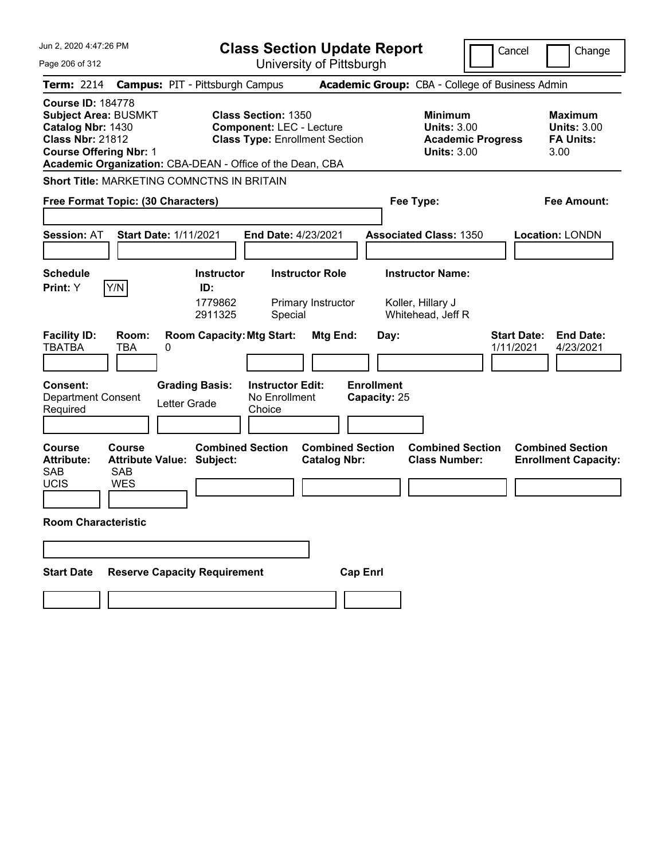| Jun 2, 2020 4:47:26 PM                                                                                                                                                                                | <b>Class Section Update Report</b>                                                                     |                                                                                        | Cancel<br>Change                                                 |
|-------------------------------------------------------------------------------------------------------------------------------------------------------------------------------------------------------|--------------------------------------------------------------------------------------------------------|----------------------------------------------------------------------------------------|------------------------------------------------------------------|
| Page 206 of 312                                                                                                                                                                                       | University of Pittsburgh                                                                               |                                                                                        |                                                                  |
| <b>Term: 2214</b>                                                                                                                                                                                     | <b>Campus: PIT - Pittsburgh Campus</b>                                                                 | Academic Group: CBA - College of Business Admin                                        |                                                                  |
| <b>Course ID: 184778</b><br><b>Subject Area: BUSMKT</b><br>Catalog Nbr: 1430<br><b>Class Nbr: 21812</b><br><b>Course Offering Nbr: 1</b><br>Academic Organization: CBA-DEAN - Office of the Dean, CBA | <b>Class Section: 1350</b><br><b>Component: LEC - Lecture</b><br><b>Class Type: Enrollment Section</b> | <b>Minimum</b><br><b>Units: 3.00</b><br><b>Academic Progress</b><br><b>Units: 3.00</b> | <b>Maximum</b><br><b>Units: 3.00</b><br><b>FA Units:</b><br>3.00 |
| <b>Short Title: MARKETING COMNCTNS IN BRITAIN</b>                                                                                                                                                     |                                                                                                        |                                                                                        |                                                                  |
| Free Format Topic: (30 Characters)                                                                                                                                                                    |                                                                                                        | Fee Type:                                                                              | Fee Amount:                                                      |
| <b>Session: AT</b><br><b>Start Date: 1/11/2021</b>                                                                                                                                                    | End Date: 4/23/2021                                                                                    | <b>Associated Class: 1350</b>                                                          | <b>Location: LONDN</b>                                           |
| <b>Schedule</b><br>Y/N                                                                                                                                                                                | <b>Instructor Role</b><br><b>Instructor</b>                                                            | <b>Instructor Name:</b>                                                                |                                                                  |
| Print: Y                                                                                                                                                                                              | ID:<br>1779862<br>Primary Instructor<br>2911325<br>Special                                             | Koller, Hillary J<br>Whitehead, Jeff R                                                 |                                                                  |
| <b>Facility ID:</b><br>Room:<br><b>TBATBA</b><br>TBA<br>0                                                                                                                                             | <b>Room Capacity: Mtg Start:</b><br>Mtg End:                                                           | Day:                                                                                   | <b>Start Date:</b><br><b>End Date:</b><br>1/11/2021<br>4/23/2021 |
| <b>Consent:</b><br><b>Grading Basis:</b><br><b>Department Consent</b><br>Letter Grade<br>Required                                                                                                     | <b>Enrollment</b><br><b>Instructor Edit:</b><br>No Enrollment<br>Capacity: 25<br>Choice                |                                                                                        |                                                                  |
| <b>Course</b><br>Course<br><b>Attribute Value: Subject:</b><br><b>Attribute:</b><br><b>SAB</b><br><b>SAB</b><br><b>UCIS</b><br><b>WES</b>                                                             | <b>Combined Section</b><br><b>Combined Section</b><br><b>Catalog Nbr:</b>                              | <b>Combined Section</b><br><b>Class Number:</b>                                        | <b>Combined Section</b><br><b>Enrollment Capacity:</b>           |
| <b>Room Characteristic</b>                                                                                                                                                                            |                                                                                                        |                                                                                        |                                                                  |
|                                                                                                                                                                                                       |                                                                                                        |                                                                                        |                                                                  |
| <b>Reserve Capacity Requirement</b><br><b>Start Date</b>                                                                                                                                              | <b>Cap Enrl</b>                                                                                        |                                                                                        |                                                                  |
|                                                                                                                                                                                                       |                                                                                                        |                                                                                        |                                                                  |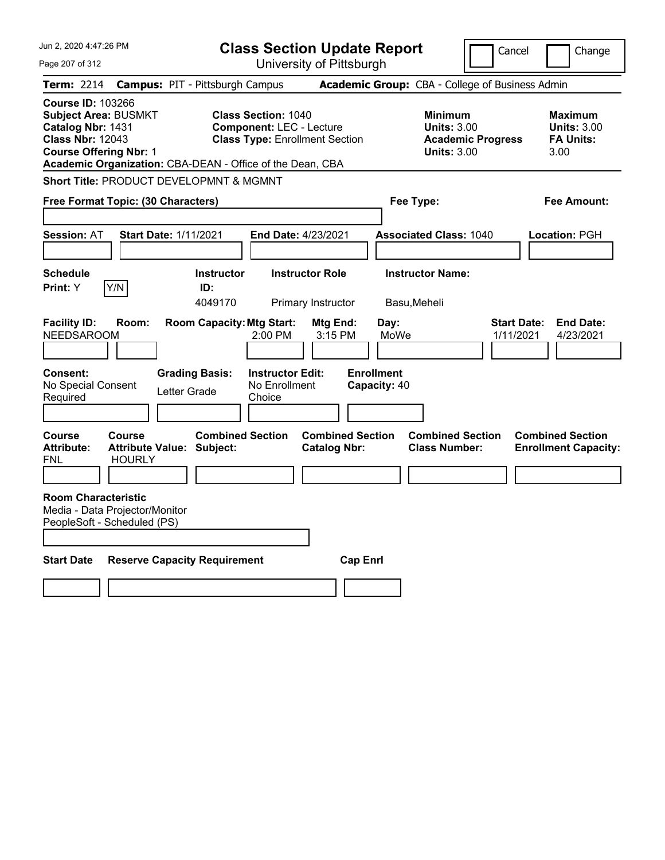| Jun 2, 2020 4:47:26 PM                                                                                                                                                                                | <b>Class Section Update Report</b>                                                                                       |                                                                            | Cancel<br>Change                                                                             |
|-------------------------------------------------------------------------------------------------------------------------------------------------------------------------------------------------------|--------------------------------------------------------------------------------------------------------------------------|----------------------------------------------------------------------------|----------------------------------------------------------------------------------------------|
| Page 207 of 312                                                                                                                                                                                       | University of Pittsburgh                                                                                                 |                                                                            |                                                                                              |
| Term: 2214                                                                                                                                                                                            | <b>Campus: PIT - Pittsburgh Campus</b>                                                                                   | Academic Group: CBA - College of Business Admin                            |                                                                                              |
| <b>Course ID: 103266</b><br><b>Subject Area: BUSMKT</b><br>Catalog Nbr: 1431<br><b>Class Nbr: 12043</b><br><b>Course Offering Nbr: 1</b><br>Academic Organization: CBA-DEAN - Office of the Dean, CBA | <b>Class Section: 1040</b><br><b>Component: LEC - Lecture</b><br><b>Class Type: Enrollment Section</b>                   | <b>Minimum</b><br><b>Units: 3.00</b><br><b>Units: 3.00</b>                 | <b>Maximum</b><br><b>Units: 3.00</b><br><b>FA Units:</b><br><b>Academic Progress</b><br>3.00 |
| Short Title: PRODUCT DEVELOPMNT & MGMNT                                                                                                                                                               |                                                                                                                          |                                                                            |                                                                                              |
| Free Format Topic: (30 Characters)                                                                                                                                                                    |                                                                                                                          | Fee Type:                                                                  | Fee Amount:                                                                                  |
|                                                                                                                                                                                                       |                                                                                                                          |                                                                            |                                                                                              |
| <b>Session: AT</b><br><b>Start Date: 1/11/2021</b>                                                                                                                                                    | <b>End Date: 4/23/2021</b>                                                                                               | <b>Associated Class: 1040</b>                                              | Location: PGH                                                                                |
|                                                                                                                                                                                                       |                                                                                                                          |                                                                            |                                                                                              |
| <b>Schedule</b>                                                                                                                                                                                       | <b>Instructor Role</b><br><b>Instructor</b>                                                                              | <b>Instructor Name:</b>                                                    |                                                                                              |
| Y/N<br><b>Print:</b> Y                                                                                                                                                                                | ID:<br>4049170<br>Primary Instructor                                                                                     | Basu, Meheli                                                               |                                                                                              |
| <b>Facility ID:</b><br>Room:<br><b>NEEDSAROOM</b><br><b>Consent:</b><br><b>Grading Basis:</b><br>No Special Consent<br>Letter Grade<br>Required                                                       | <b>Room Capacity: Mtg Start:</b><br>Mtg End:<br>2:00 PM<br>3:15 PM<br><b>Instructor Edit:</b><br>No Enrollment<br>Choice | Day:<br>MoWe<br><b>Enrollment</b><br>Capacity: 40                          | <b>Start Date:</b><br><b>End Date:</b><br>1/11/2021<br>4/23/2021                             |
| <b>Course</b><br><b>Course</b><br><b>Attribute:</b><br><b>Attribute Value: Subject:</b><br><b>HOURLY</b><br>FNL                                                                                       | <b>Combined Section</b><br><b>Catalog Nbr:</b>                                                                           | <b>Combined Section</b><br><b>Combined Section</b><br><b>Class Number:</b> | <b>Combined Section</b><br><b>Enrollment Capacity:</b>                                       |
| <b>Room Characteristic</b><br>Media - Data Projector/Monitor<br>PeopleSoft - Scheduled (PS)                                                                                                           |                                                                                                                          |                                                                            |                                                                                              |
| <b>Start Date</b><br><b>Reserve Capacity Requirement</b>                                                                                                                                              |                                                                                                                          | <b>Cap Enri</b>                                                            |                                                                                              |
|                                                                                                                                                                                                       |                                                                                                                          |                                                                            |                                                                                              |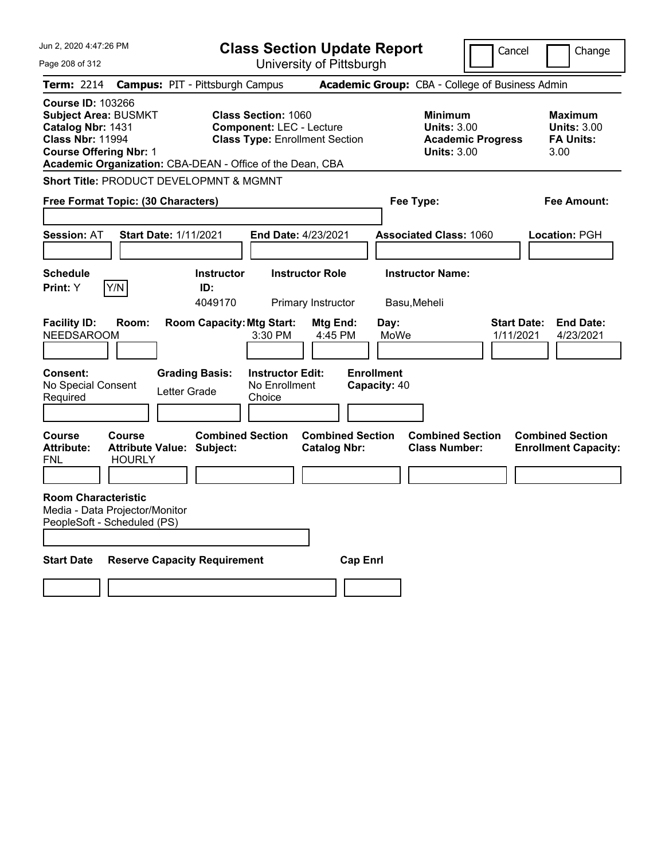| Jun 2, 2020 4:47:26 PM                                                                                                                                                                                | <b>Class Section Update Report</b>                                                                                       | Cancel                                                                                 | Change                                                           |
|-------------------------------------------------------------------------------------------------------------------------------------------------------------------------------------------------------|--------------------------------------------------------------------------------------------------------------------------|----------------------------------------------------------------------------------------|------------------------------------------------------------------|
| Page 208 of 312                                                                                                                                                                                       | University of Pittsburgh                                                                                                 |                                                                                        |                                                                  |
| <b>Campus: PIT - Pittsburgh Campus</b><br>Term: 2214                                                                                                                                                  |                                                                                                                          | Academic Group: CBA - College of Business Admin                                        |                                                                  |
| <b>Course ID: 103266</b><br><b>Subject Area: BUSMKT</b><br>Catalog Nbr: 1431<br><b>Class Nbr: 11994</b><br><b>Course Offering Nbr: 1</b><br>Academic Organization: CBA-DEAN - Office of the Dean, CBA | <b>Class Section: 1060</b><br><b>Component: LEC - Lecture</b><br><b>Class Type: Enrollment Section</b>                   | <b>Minimum</b><br><b>Units: 3.00</b><br><b>Academic Progress</b><br><b>Units: 3.00</b> | <b>Maximum</b><br><b>Units: 3.00</b><br><b>FA Units:</b><br>3.00 |
| Short Title: PRODUCT DEVELOPMNT & MGMNT                                                                                                                                                               |                                                                                                                          |                                                                                        |                                                                  |
| Free Format Topic: (30 Characters)                                                                                                                                                                    |                                                                                                                          | Fee Type:                                                                              | Fee Amount:                                                      |
|                                                                                                                                                                                                       |                                                                                                                          |                                                                                        |                                                                  |
| <b>Session: AT</b><br><b>Start Date: 1/11/2021</b>                                                                                                                                                    | <b>End Date: 4/23/2021</b>                                                                                               | <b>Associated Class: 1060</b>                                                          | Location: PGH                                                    |
|                                                                                                                                                                                                       |                                                                                                                          |                                                                                        |                                                                  |
| <b>Schedule</b>                                                                                                                                                                                       | <b>Instructor Role</b><br><b>Instructor</b>                                                                              | <b>Instructor Name:</b>                                                                |                                                                  |
| Y/N<br><b>Print:</b> Y                                                                                                                                                                                | ID:<br>4049170<br>Primary Instructor                                                                                     | Basu, Meheli                                                                           |                                                                  |
| <b>Facility ID:</b><br>Room:<br><b>NEEDSAROOM</b><br><b>Consent:</b><br><b>Grading Basis:</b><br>No Special Consent<br>Letter Grade<br>Required                                                       | <b>Room Capacity: Mtg Start:</b><br>Mtg End:<br>3:30 PM<br>4:45 PM<br><b>Instructor Edit:</b><br>No Enrollment<br>Choice | Day:<br><b>Start Date:</b><br>MoWe<br>1/11/2021<br><b>Enrollment</b><br>Capacity: 40   | <b>End Date:</b><br>4/23/2021                                    |
| <b>Course</b><br><b>Course</b><br><b>Attribute:</b><br><b>Attribute Value: Subject:</b><br><b>HOURLY</b><br>FNL                                                                                       | <b>Combined Section</b><br><b>Combined Section</b><br><b>Catalog Nbr:</b>                                                | <b>Combined Section</b><br><b>Class Number:</b>                                        | <b>Combined Section</b><br><b>Enrollment Capacity:</b>           |
| <b>Room Characteristic</b><br>Media - Data Projector/Monitor<br>PeopleSoft - Scheduled (PS)                                                                                                           |                                                                                                                          |                                                                                        |                                                                  |
| <b>Start Date</b><br><b>Reserve Capacity Requirement</b>                                                                                                                                              | <b>Cap Enri</b>                                                                                                          |                                                                                        |                                                                  |
|                                                                                                                                                                                                       |                                                                                                                          |                                                                                        |                                                                  |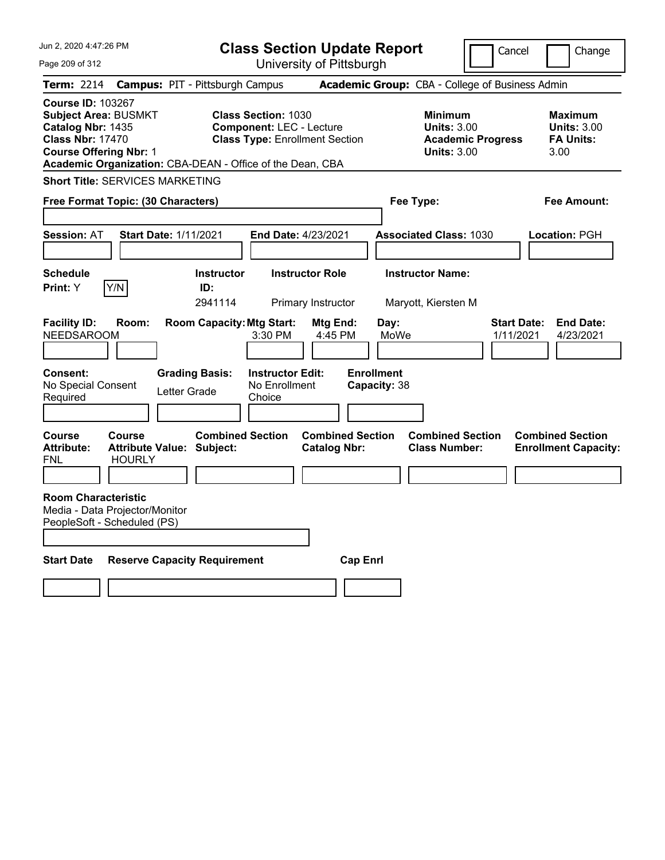| Jun 2, 2020 4:47:26 PM                                                                                                                                                                                | <b>Class Section Update Report</b>                                                                     |                                                |                                                            | Cancel                          | Change                                                           |
|-------------------------------------------------------------------------------------------------------------------------------------------------------------------------------------------------------|--------------------------------------------------------------------------------------------------------|------------------------------------------------|------------------------------------------------------------|---------------------------------|------------------------------------------------------------------|
| Page 209 of 312                                                                                                                                                                                       |                                                                                                        | University of Pittsburgh                       |                                                            |                                 |                                                                  |
| Term: 2214                                                                                                                                                                                            | <b>Campus: PIT - Pittsburgh Campus</b>                                                                 |                                                | Academic Group: CBA - College of Business Admin            |                                 |                                                                  |
| <b>Course ID: 103267</b><br><b>Subject Area: BUSMKT</b><br>Catalog Nbr: 1435<br><b>Class Nbr: 17470</b><br><b>Course Offering Nbr: 1</b><br>Academic Organization: CBA-DEAN - Office of the Dean, CBA | <b>Class Section: 1030</b><br><b>Component: LEC - Lecture</b><br><b>Class Type: Enrollment Section</b> |                                                | <b>Minimum</b><br><b>Units: 3.00</b><br><b>Units: 3.00</b> | <b>Academic Progress</b>        | <b>Maximum</b><br><b>Units: 3.00</b><br><b>FA Units:</b><br>3.00 |
| <b>Short Title: SERVICES MARKETING</b>                                                                                                                                                                |                                                                                                        |                                                |                                                            |                                 |                                                                  |
| Free Format Topic: (30 Characters)                                                                                                                                                                    |                                                                                                        |                                                | Fee Type:                                                  |                                 | Fee Amount:                                                      |
| <b>Session: AT</b><br><b>Start Date: 1/11/2021</b>                                                                                                                                                    | <b>End Date: 4/23/2021</b>                                                                             |                                                | <b>Associated Class: 1030</b>                              |                                 | Location: PGH                                                    |
| <b>Schedule</b><br>Y/N<br>Print: Y                                                                                                                                                                    | <b>Instructor</b><br>ID:<br>2941114                                                                    | <b>Instructor Role</b><br>Primary Instructor   | <b>Instructor Name:</b><br>Maryott, Kiersten M             |                                 |                                                                  |
| <b>Facility ID:</b><br>Room:<br><b>NEEDSAROOM</b>                                                                                                                                                     | <b>Room Capacity: Mtg Start:</b><br>3:30 PM                                                            | Mtg End:<br>4:45 PM                            | Day:<br>MoWe                                               | <b>Start Date:</b><br>1/11/2021 | <b>End Date:</b><br>4/23/2021                                    |
| <b>Consent:</b><br>No Special Consent<br>Required                                                                                                                                                     | <b>Grading Basis:</b><br><b>Instructor Edit:</b><br>No Enrollment<br>Letter Grade<br>Choice            |                                                | <b>Enrollment</b><br>Capacity: 38                          |                                 |                                                                  |
| <b>Course</b><br><b>Course</b><br><b>Attribute:</b><br><b>Attribute Value: Subject:</b><br><b>HOURLY</b><br>FNL                                                                                       | <b>Combined Section</b>                                                                                | <b>Combined Section</b><br><b>Catalog Nbr:</b> | <b>Combined Section</b><br><b>Class Number:</b>            |                                 | <b>Combined Section</b><br><b>Enrollment Capacity:</b>           |
| <b>Room Characteristic</b><br>Media - Data Projector/Monitor<br>PeopleSoft - Scheduled (PS)                                                                                                           |                                                                                                        |                                                |                                                            |                                 |                                                                  |
| <b>Start Date</b>                                                                                                                                                                                     | <b>Reserve Capacity Requirement</b>                                                                    | <b>Cap Enri</b>                                |                                                            |                                 |                                                                  |
|                                                                                                                                                                                                       |                                                                                                        |                                                |                                                            |                                 |                                                                  |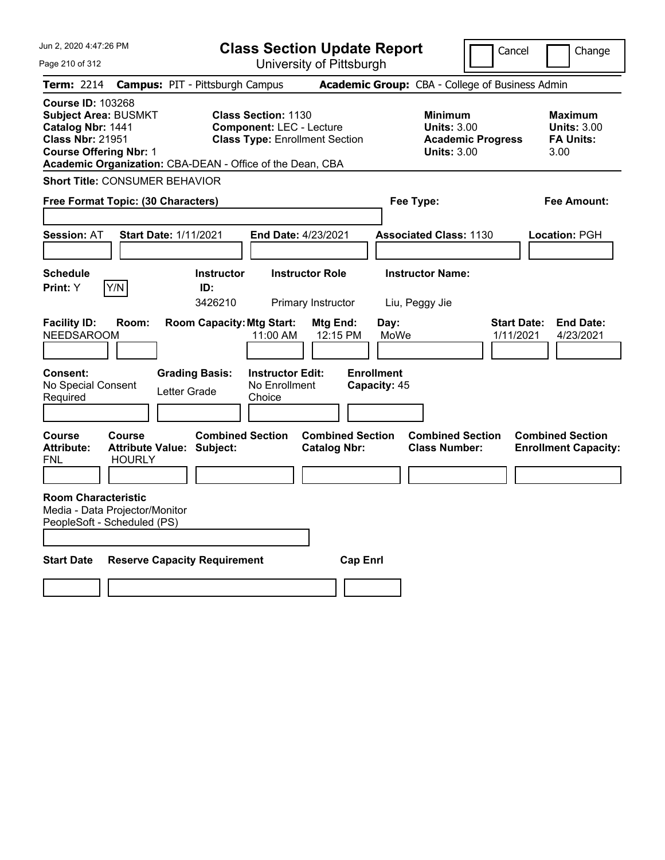| Jun 2, 2020 4:47:26 PM                                                                                                                   |                                |                                                                           | <b>Class Section Update Report</b>                                                                     |                                                |                                                   |                                                            | Cancel                                          | Change                                                    |
|------------------------------------------------------------------------------------------------------------------------------------------|--------------------------------|---------------------------------------------------------------------------|--------------------------------------------------------------------------------------------------------|------------------------------------------------|---------------------------------------------------|------------------------------------------------------------|-------------------------------------------------|-----------------------------------------------------------|
| Page 210 of 312                                                                                                                          |                                |                                                                           |                                                                                                        | University of Pittsburgh                       |                                                   |                                                            |                                                 |                                                           |
| Term: 2214                                                                                                                               |                                | <b>Campus: PIT - Pittsburgh Campus</b>                                    |                                                                                                        |                                                |                                                   |                                                            | Academic Group: CBA - College of Business Admin |                                                           |
| <b>Course ID: 103268</b><br><b>Subject Area: BUSMKT</b><br>Catalog Nbr: 1441<br><b>Class Nbr: 21951</b><br><b>Course Offering Nbr: 1</b> |                                | Academic Organization: CBA-DEAN - Office of the Dean, CBA                 | <b>Class Section: 1130</b><br><b>Component: LEC - Lecture</b><br><b>Class Type: Enrollment Section</b> |                                                |                                                   | <b>Minimum</b><br><b>Units: 3.00</b><br><b>Units: 3.00</b> | <b>Academic Progress</b>                        | Maximum<br><b>Units: 3.00</b><br><b>FA Units:</b><br>3.00 |
| <b>Short Title: CONSUMER BEHAVIOR</b>                                                                                                    |                                |                                                                           |                                                                                                        |                                                |                                                   |                                                            |                                                 |                                                           |
| Free Format Topic: (30 Characters)                                                                                                       |                                |                                                                           |                                                                                                        |                                                | Fee Type:                                         |                                                            |                                                 | Fee Amount:                                               |
| <b>Session: AT</b>                                                                                                                       |                                | <b>Start Date: 1/11/2021</b>                                              | <b>End Date: 4/23/2021</b>                                                                             |                                                |                                                   | <b>Associated Class: 1130</b>                              |                                                 | Location: PGH                                             |
| <b>Schedule</b>                                                                                                                          |                                | <b>Instructor</b>                                                         |                                                                                                        | <b>Instructor Role</b>                         |                                                   | <b>Instructor Name:</b>                                    |                                                 |                                                           |
| Print: Y                                                                                                                                 | Y/N                            | ID:<br>3426210                                                            |                                                                                                        | Primary Instructor                             |                                                   | Liu, Peggy Jie                                             |                                                 |                                                           |
| <b>Facility ID:</b><br><b>NEEDSAROOM</b><br><b>Consent:</b><br>No Special Consent<br>Required                                            | Room:                          | <b>Room Capacity: Mtg Start:</b><br><b>Grading Basis:</b><br>Letter Grade | 11:00 AM<br><b>Instructor Edit:</b><br>No Enrollment<br>Choice                                         | Mtg End:<br>12:15 PM                           | Day:<br>MoWe<br><b>Enrollment</b><br>Capacity: 45 |                                                            | <b>Start Date:</b><br>1/11/2021                 | <b>End Date:</b><br>4/23/2021                             |
| Course<br><b>Attribute:</b><br>FNL                                                                                                       | <b>Course</b><br><b>HOURLY</b> | <b>Combined Section</b><br><b>Attribute Value: Subject:</b>               |                                                                                                        | <b>Combined Section</b><br><b>Catalog Nbr:</b> |                                                   | <b>Combined Section</b><br><b>Class Number:</b>            |                                                 | <b>Combined Section</b><br><b>Enrollment Capacity:</b>    |
| <b>Room Characteristic</b><br>Media - Data Projector/Monitor<br>PeopleSoft - Scheduled (PS)                                              |                                |                                                                           |                                                                                                        |                                                |                                                   |                                                            |                                                 |                                                           |
| <b>Start Date</b>                                                                                                                        |                                | <b>Reserve Capacity Requirement</b>                                       |                                                                                                        | <b>Cap Enri</b>                                |                                                   |                                                            |                                                 |                                                           |
|                                                                                                                                          |                                |                                                                           |                                                                                                        |                                                |                                                   |                                                            |                                                 |                                                           |
|                                                                                                                                          |                                |                                                                           |                                                                                                        |                                                |                                                   |                                                            |                                                 |                                                           |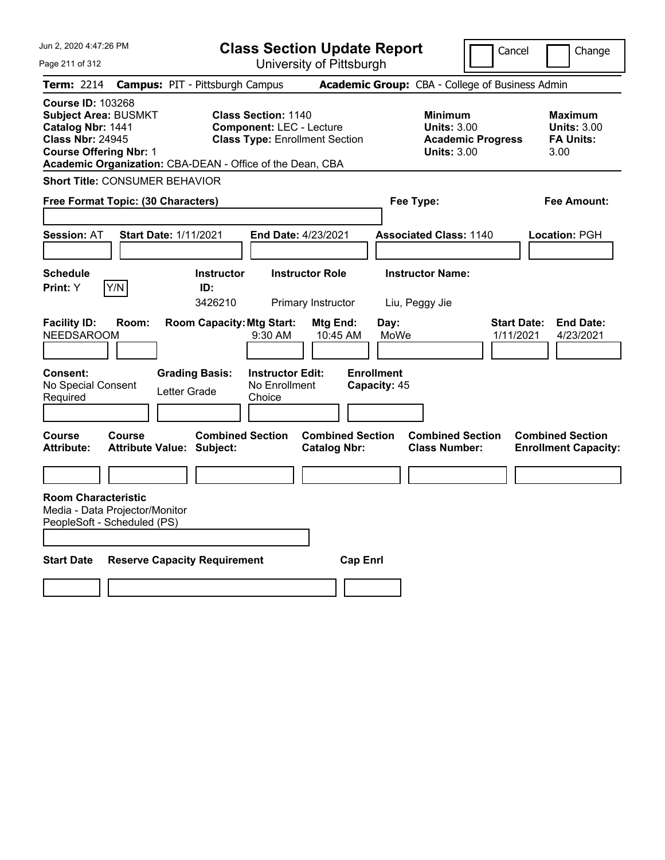| Jun 2, 2020 4:47:26 PM                                                                                                                                                                                |                                                                                                      |                                                                                                        | <b>Class Section Update Report</b>              |                                                   |                                                                                        | Cancel    | Change                                                           |
|-------------------------------------------------------------------------------------------------------------------------------------------------------------------------------------------------------|------------------------------------------------------------------------------------------------------|--------------------------------------------------------------------------------------------------------|-------------------------------------------------|---------------------------------------------------|----------------------------------------------------------------------------------------|-----------|------------------------------------------------------------------|
| Page 211 of 312                                                                                                                                                                                       |                                                                                                      |                                                                                                        | University of Pittsburgh                        |                                                   |                                                                                        |           |                                                                  |
| <b>Term: 2214</b>                                                                                                                                                                                     | <b>Campus: PIT - Pittsburgh Campus</b>                                                               |                                                                                                        |                                                 |                                                   | Academic Group: CBA - College of Business Admin                                        |           |                                                                  |
| <b>Course ID: 103268</b><br><b>Subject Area: BUSMKT</b><br>Catalog Nbr: 1441<br><b>Class Nbr: 24945</b><br><b>Course Offering Nbr: 1</b><br>Academic Organization: CBA-DEAN - Office of the Dean, CBA |                                                                                                      | <b>Class Section: 1140</b><br><b>Component: LEC - Lecture</b><br><b>Class Type: Enrollment Section</b> |                                                 |                                                   | <b>Minimum</b><br><b>Units: 3.00</b><br><b>Academic Progress</b><br><b>Units: 3.00</b> |           | <b>Maximum</b><br><b>Units: 3.00</b><br><b>FA Units:</b><br>3.00 |
| <b>Short Title: CONSUMER BEHAVIOR</b>                                                                                                                                                                 |                                                                                                      |                                                                                                        |                                                 |                                                   |                                                                                        |           |                                                                  |
| Free Format Topic: (30 Characters)                                                                                                                                                                    |                                                                                                      |                                                                                                        |                                                 | Fee Type:                                         |                                                                                        |           | Fee Amount:                                                      |
|                                                                                                                                                                                                       |                                                                                                      |                                                                                                        |                                                 |                                                   |                                                                                        |           |                                                                  |
| <b>Session: AT</b>                                                                                                                                                                                    | <b>Start Date: 1/11/2021</b>                                                                         | End Date: 4/23/2021                                                                                    |                                                 |                                                   | <b>Associated Class: 1140</b>                                                          |           | <b>Location: PGH</b>                                             |
|                                                                                                                                                                                                       |                                                                                                      |                                                                                                        |                                                 |                                                   |                                                                                        |           |                                                                  |
| <b>Schedule</b>                                                                                                                                                                                       | <b>Instructor</b>                                                                                    | <b>Instructor Role</b>                                                                                 |                                                 |                                                   | <b>Instructor Name:</b>                                                                |           |                                                                  |
| Y/N<br><b>Print:</b> Y                                                                                                                                                                                | ID:<br>3426210                                                                                       |                                                                                                        | Primary Instructor                              | Liu, Peggy Jie                                    |                                                                                        |           |                                                                  |
| <b>Facility ID:</b><br><b>NEEDSAROOM</b><br>Consent:<br>No Special Consent<br>Required<br>Course<br>Course                                                                                            | <b>Room Capacity: Mtg Start:</b><br><b>Grading Basis:</b><br>Letter Grade<br><b>Combined Section</b> | 9:30 AM<br><b>Instructor Edit:</b><br>No Enrollment<br>Choice                                          | Mtg End:<br>10:45 AM<br><b>Combined Section</b> | Day:<br>MoWe<br><b>Enrollment</b><br>Capacity: 45 | <b>Combined Section</b>                                                                | 1/11/2021 | 4/23/2021<br><b>Combined Section</b>                             |
| <b>Attribute:</b>                                                                                                                                                                                     | <b>Attribute Value: Subject:</b>                                                                     |                                                                                                        | <b>Catalog Nbr:</b>                             |                                                   | <b>Class Number:</b>                                                                   |           | <b>Enrollment Capacity:</b>                                      |
|                                                                                                                                                                                                       |                                                                                                      |                                                                                                        |                                                 |                                                   |                                                                                        |           |                                                                  |
| <b>Room Characteristic</b><br>Media - Data Projector/Monitor<br>PeopleSoft - Scheduled (PS)                                                                                                           |                                                                                                      |                                                                                                        |                                                 |                                                   |                                                                                        |           |                                                                  |
| <b>Start Date</b>                                                                                                                                                                                     | <b>Reserve Capacity Requirement</b>                                                                  |                                                                                                        | <b>Cap Enri</b>                                 |                                                   |                                                                                        |           |                                                                  |
|                                                                                                                                                                                                       |                                                                                                      |                                                                                                        |                                                 |                                                   |                                                                                        |           |                                                                  |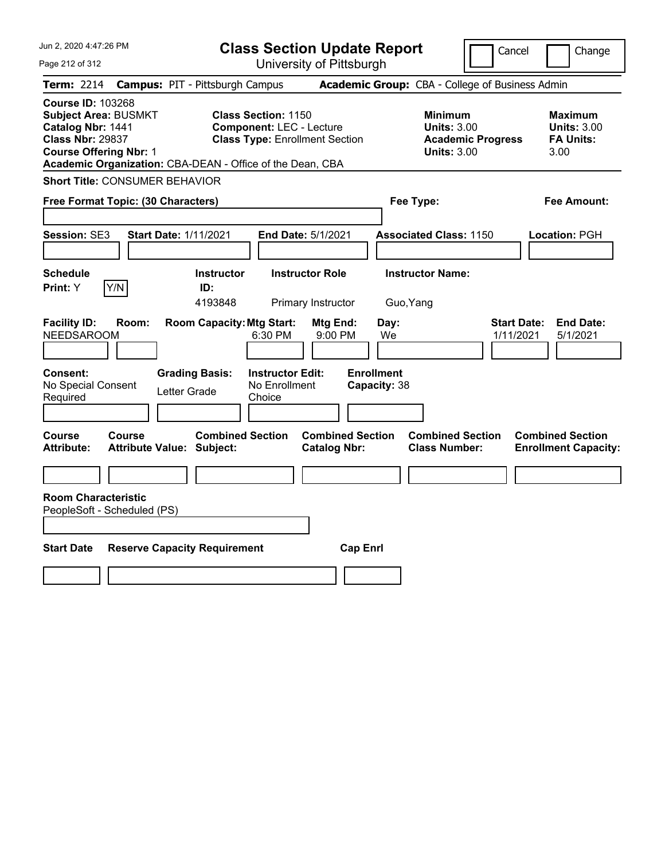| Jun 2, 2020 4:47:26 PM                                                                                                                   | <b>Class Section Update Report</b>                                                                                                                                  | Cancel                                                                                 | Change                                                           |
|------------------------------------------------------------------------------------------------------------------------------------------|---------------------------------------------------------------------------------------------------------------------------------------------------------------------|----------------------------------------------------------------------------------------|------------------------------------------------------------------|
| Page 212 of 312                                                                                                                          | University of Pittsburgh                                                                                                                                            |                                                                                        |                                                                  |
| <b>Term:</b> 2214                                                                                                                        | <b>Campus: PIT - Pittsburgh Campus</b>                                                                                                                              | Academic Group: CBA - College of Business Admin                                        |                                                                  |
| <b>Course ID: 103268</b><br><b>Subject Area: BUSMKT</b><br>Catalog Nbr: 1441<br><b>Class Nbr: 29837</b><br><b>Course Offering Nbr: 1</b> | <b>Class Section: 1150</b><br><b>Component: LEC - Lecture</b><br><b>Class Type: Enrollment Section</b><br>Academic Organization: CBA-DEAN - Office of the Dean, CBA | <b>Minimum</b><br><b>Units: 3.00</b><br><b>Academic Progress</b><br><b>Units: 3.00</b> | <b>Maximum</b><br><b>Units: 3.00</b><br><b>FA Units:</b><br>3.00 |
| <b>Short Title: CONSUMER BEHAVIOR</b>                                                                                                    |                                                                                                                                                                     |                                                                                        |                                                                  |
| Free Format Topic: (30 Characters)                                                                                                       |                                                                                                                                                                     | Fee Type:                                                                              | Fee Amount:                                                      |
| Session: SE3<br><b>Start Date: 1/11/2021</b>                                                                                             | <b>End Date: 5/1/2021</b>                                                                                                                                           | <b>Associated Class: 1150</b>                                                          | Location: PGH                                                    |
| <b>Schedule</b><br>Y/N<br>Print: Y                                                                                                       | <b>Instructor Role</b><br><b>Instructor</b><br>ID:<br>4193848<br>Primary Instructor                                                                                 | <b>Instructor Name:</b><br>Guo, Yang                                                   |                                                                  |
| <b>Facility ID:</b><br>Room:<br><b>NEEDSAROOM</b>                                                                                        | <b>Room Capacity: Mtg Start:</b><br>Mtg End:<br>6:30 PM<br>9:00 PM                                                                                                  | Day:<br>We                                                                             | <b>End Date:</b><br><b>Start Date:</b><br>1/11/2021<br>5/1/2021  |
| Consent:<br>No Special Consent<br>Required                                                                                               | <b>Instructor Edit:</b><br><b>Grading Basis:</b><br>No Enrollment<br>Letter Grade<br>Choice                                                                         | <b>Enrollment</b><br>Capacity: 38                                                      |                                                                  |
| Course<br>Course<br><b>Attribute:</b><br>Attribute Value: Subject:                                                                       | <b>Combined Section</b><br><b>Combined Section</b><br><b>Catalog Nbr:</b>                                                                                           | <b>Combined Section</b><br><b>Class Number:</b>                                        | <b>Combined Section</b><br><b>Enrollment Capacity:</b>           |
|                                                                                                                                          |                                                                                                                                                                     |                                                                                        |                                                                  |
| <b>Room Characteristic</b><br>PeopleSoft - Scheduled (PS)                                                                                |                                                                                                                                                                     |                                                                                        |                                                                  |
| <b>Start Date</b>                                                                                                                        | <b>Reserve Capacity Requirement</b>                                                                                                                                 | <b>Cap Enrl</b>                                                                        |                                                                  |
|                                                                                                                                          |                                                                                                                                                                     |                                                                                        |                                                                  |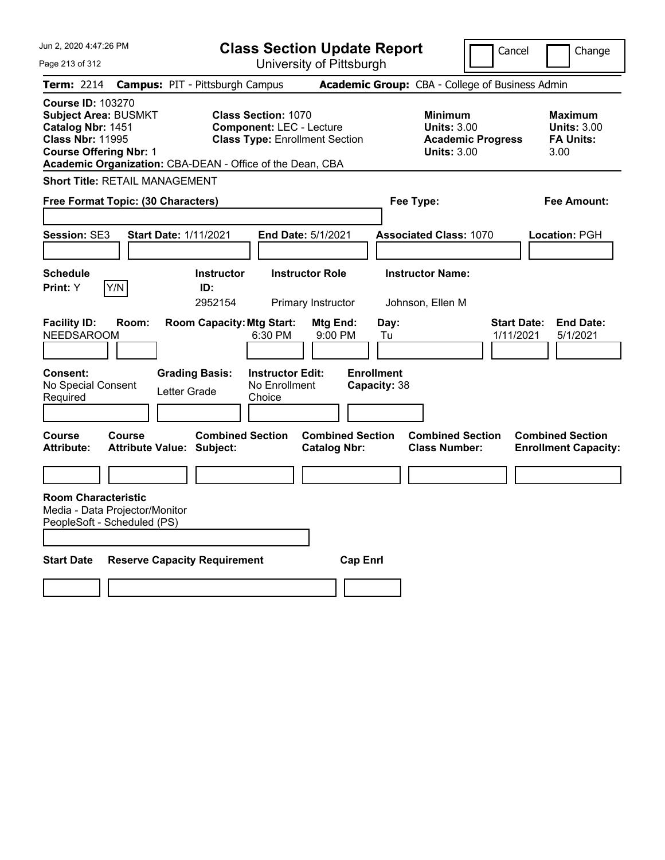| Jun 2, 2020 4:47:26 PM                                                                                                                   |                 |                                                                                                      |                                                                                                        |                           | <b>Class Section Update Report</b>                                         |                                                            | Cancel                   | Change                                                                                     |
|------------------------------------------------------------------------------------------------------------------------------------------|-----------------|------------------------------------------------------------------------------------------------------|--------------------------------------------------------------------------------------------------------|---------------------------|----------------------------------------------------------------------------|------------------------------------------------------------|--------------------------|--------------------------------------------------------------------------------------------|
| Page 213 of 312                                                                                                                          |                 |                                                                                                      |                                                                                                        | University of Pittsburgh  |                                                                            |                                                            |                          |                                                                                            |
| <b>Term: 2214</b>                                                                                                                        |                 | <b>Campus: PIT - Pittsburgh Campus</b>                                                               |                                                                                                        |                           |                                                                            | Academic Group: CBA - College of Business Admin            |                          |                                                                                            |
| <b>Course ID: 103270</b><br><b>Subject Area: BUSMKT</b><br>Catalog Nbr: 1451<br><b>Class Nbr: 11995</b><br><b>Course Offering Nbr: 1</b> |                 | Academic Organization: CBA-DEAN - Office of the Dean, CBA                                            | <b>Class Section: 1070</b><br><b>Component: LEC - Lecture</b><br><b>Class Type: Enrollment Section</b> |                           |                                                                            | <b>Minimum</b><br><b>Units: 3.00</b><br><b>Units: 3.00</b> | <b>Academic Progress</b> | <b>Maximum</b><br><b>Units: 3.00</b><br><b>FA Units:</b><br>3.00                           |
| <b>Short Title: RETAIL MANAGEMENT</b>                                                                                                    |                 |                                                                                                      |                                                                                                        |                           |                                                                            |                                                            |                          |                                                                                            |
| Free Format Topic: (30 Characters)                                                                                                       |                 |                                                                                                      |                                                                                                        |                           |                                                                            | Fee Type:                                                  |                          | Fee Amount:                                                                                |
|                                                                                                                                          |                 |                                                                                                      |                                                                                                        |                           |                                                                            |                                                            |                          |                                                                                            |
| Session: SE3                                                                                                                             |                 | <b>Start Date: 1/11/2021</b>                                                                         |                                                                                                        | <b>End Date: 5/1/2021</b> |                                                                            | <b>Associated Class: 1070</b>                              |                          | <b>Location: PGH</b>                                                                       |
|                                                                                                                                          |                 |                                                                                                      |                                                                                                        |                           |                                                                            |                                                            |                          |                                                                                            |
| <b>Schedule</b>                                                                                                                          |                 | <b>Instructor</b>                                                                                    |                                                                                                        | <b>Instructor Role</b>    |                                                                            | <b>Instructor Name:</b>                                    |                          |                                                                                            |
| <b>Print:</b> Y                                                                                                                          | Y/N             | ID:<br>2952154                                                                                       |                                                                                                        | Primary Instructor        |                                                                            | Johnson, Ellen M                                           |                          |                                                                                            |
| <b>Facility ID:</b><br><b>NEEDSAROOM</b><br>Consent:<br>No Special Consent<br>Required<br>Course                                         | Room:<br>Course | <b>Room Capacity: Mtg Start:</b><br><b>Grading Basis:</b><br>Letter Grade<br><b>Combined Section</b> | 6:30 PM<br><b>Instructor Edit:</b><br>No Enrollment<br>Choice                                          | Mtg End:<br>$9:00$ PM     | Day:<br>Tu<br><b>Enrollment</b><br>Capacity: 38<br><b>Combined Section</b> | <b>Combined Section</b>                                    |                          | <b>End Date:</b><br><b>Start Date:</b><br>1/11/2021<br>5/1/2021<br><b>Combined Section</b> |
| <b>Attribute:</b>                                                                                                                        |                 | <b>Attribute Value: Subject:</b>                                                                     |                                                                                                        | <b>Catalog Nbr:</b>       |                                                                            | <b>Class Number:</b>                                       |                          | <b>Enrollment Capacity:</b>                                                                |
|                                                                                                                                          |                 |                                                                                                      |                                                                                                        |                           |                                                                            |                                                            |                          |                                                                                            |
| <b>Room Characteristic</b><br>Media - Data Projector/Monitor<br>PeopleSoft - Scheduled (PS)<br><b>Start Date</b>                         |                 | <b>Reserve Capacity Requirement</b>                                                                  |                                                                                                        |                           | <b>Cap Enri</b>                                                            |                                                            |                          |                                                                                            |
|                                                                                                                                          |                 |                                                                                                      |                                                                                                        |                           |                                                                            |                                                            |                          |                                                                                            |
|                                                                                                                                          |                 |                                                                                                      |                                                                                                        |                           |                                                                            |                                                            |                          |                                                                                            |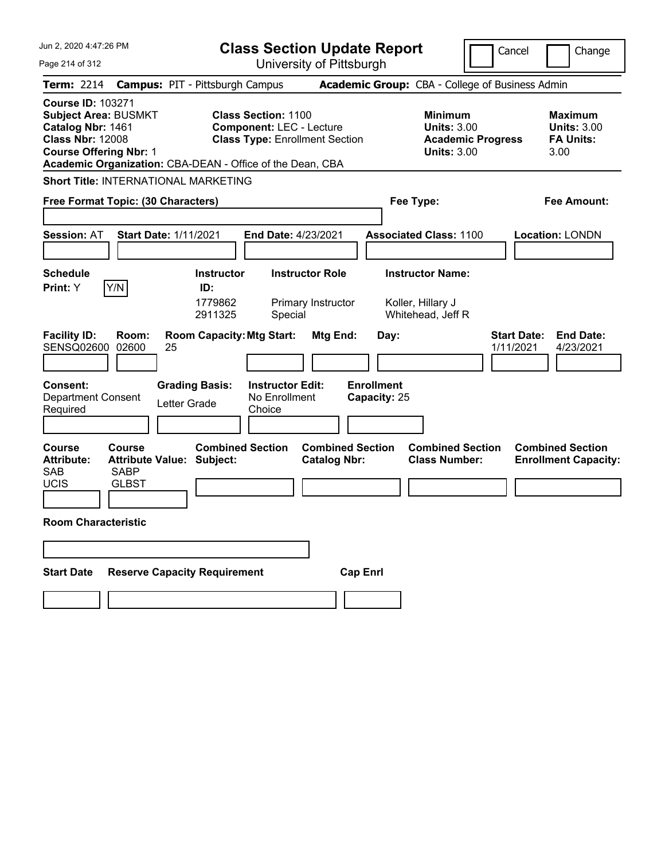| Jun 2, 2020 4:47:26 PM                                                                                                                                                                                | <b>Class Section Update Report</b>                                                                     |                                                                                        | Cancel<br>Change                                                 |
|-------------------------------------------------------------------------------------------------------------------------------------------------------------------------------------------------------|--------------------------------------------------------------------------------------------------------|----------------------------------------------------------------------------------------|------------------------------------------------------------------|
| Page 214 of 312                                                                                                                                                                                       | University of Pittsburgh                                                                               |                                                                                        |                                                                  |
| <b>Term: 2214</b>                                                                                                                                                                                     | <b>Campus: PIT - Pittsburgh Campus</b>                                                                 | Academic Group: CBA - College of Business Admin                                        |                                                                  |
| <b>Course ID: 103271</b><br><b>Subject Area: BUSMKT</b><br>Catalog Nbr: 1461<br><b>Class Nbr: 12008</b><br><b>Course Offering Nbr: 1</b><br>Academic Organization: CBA-DEAN - Office of the Dean, CBA | <b>Class Section: 1100</b><br><b>Component: LEC - Lecture</b><br><b>Class Type: Enrollment Section</b> | <b>Minimum</b><br><b>Units: 3.00</b><br><b>Academic Progress</b><br><b>Units: 3.00</b> | <b>Maximum</b><br><b>Units: 3.00</b><br><b>FA Units:</b><br>3.00 |
| <b>Short Title: INTERNATIONAL MARKETING</b>                                                                                                                                                           |                                                                                                        |                                                                                        |                                                                  |
| Free Format Topic: (30 Characters)                                                                                                                                                                    |                                                                                                        | Fee Type:                                                                              | <b>Fee Amount:</b>                                               |
| <b>Start Date: 1/11/2021</b><br><b>Session: AT</b>                                                                                                                                                    | End Date: 4/23/2021                                                                                    | <b>Associated Class: 1100</b>                                                          | Location: LONDN                                                  |
| <b>Schedule</b><br>Y/N<br>Print: Y                                                                                                                                                                    | <b>Instructor Role</b><br><b>Instructor</b><br>ID:                                                     | <b>Instructor Name:</b>                                                                |                                                                  |
|                                                                                                                                                                                                       | 1779862<br>Primary Instructor<br>2911325<br>Special                                                    | Koller, Hillary J<br>Whitehead, Jeff R                                                 |                                                                  |
| <b>Facility ID:</b><br>Room:<br>SENSQ02600 02600<br>25                                                                                                                                                | <b>Room Capacity: Mtg Start:</b><br>Mtg End:                                                           | Day:                                                                                   | <b>Start Date:</b><br><b>End Date:</b><br>1/11/2021<br>4/23/2021 |
| <b>Consent:</b><br><b>Grading Basis:</b><br><b>Department Consent</b><br>Letter Grade<br>Required                                                                                                     | <b>Instructor Edit:</b><br>No Enrollment<br>Choice                                                     | <b>Enrollment</b><br>Capacity: 25                                                      |                                                                  |
| <b>Course</b><br><b>Course</b><br><b>Attribute Value: Subject:</b><br><b>Attribute:</b><br><b>SAB</b><br><b>SABP</b><br><b>UCIS</b><br><b>GLBST</b>                                                   | <b>Combined Section</b><br><b>Combined Section</b><br><b>Catalog Nbr:</b>                              | <b>Combined Section</b><br><b>Class Number:</b>                                        | <b>Combined Section</b><br><b>Enrollment Capacity:</b>           |
| <b>Room Characteristic</b>                                                                                                                                                                            |                                                                                                        |                                                                                        |                                                                  |
|                                                                                                                                                                                                       |                                                                                                        |                                                                                        |                                                                  |
| <b>Reserve Capacity Requirement</b><br><b>Start Date</b>                                                                                                                                              | <b>Cap Enrl</b>                                                                                        |                                                                                        |                                                                  |
|                                                                                                                                                                                                       |                                                                                                        |                                                                                        |                                                                  |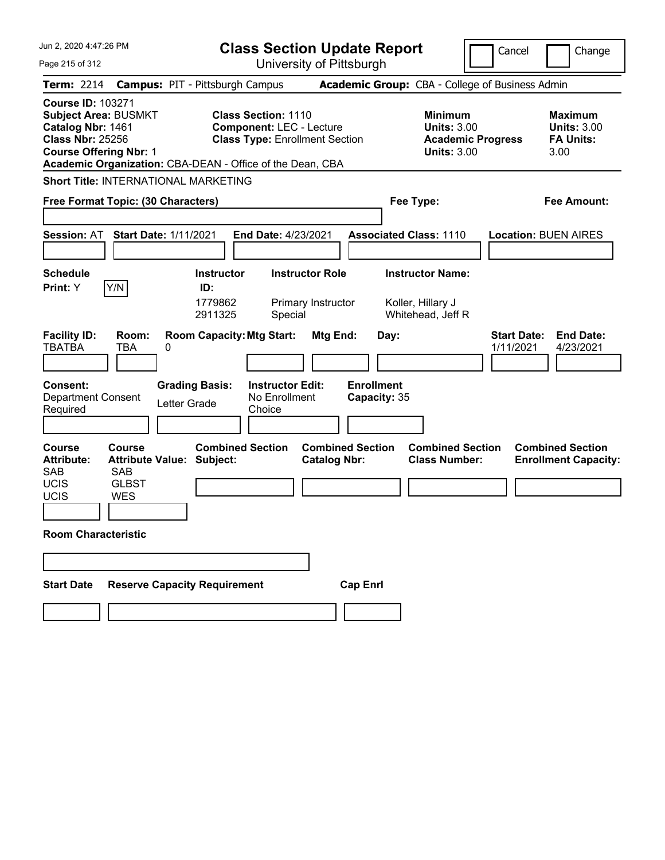| Jun 2, 2020 4:47:26 PM                                                                                                                                                                                | <b>Class Section Update Report</b>                                                                                            | Cancel                                                                                 | Change                                                           |
|-------------------------------------------------------------------------------------------------------------------------------------------------------------------------------------------------------|-------------------------------------------------------------------------------------------------------------------------------|----------------------------------------------------------------------------------------|------------------------------------------------------------------|
| Page 215 of 312                                                                                                                                                                                       | University of Pittsburgh                                                                                                      |                                                                                        |                                                                  |
| <b>Term: 2214</b>                                                                                                                                                                                     | <b>Campus: PIT - Pittsburgh Campus</b>                                                                                        | Academic Group: CBA - College of Business Admin                                        |                                                                  |
| <b>Course ID: 103271</b><br><b>Subject Area: BUSMKT</b><br>Catalog Nbr: 1461<br><b>Class Nbr: 25256</b><br><b>Course Offering Nbr: 1</b><br>Academic Organization: CBA-DEAN - Office of the Dean, CBA | <b>Class Section: 1110</b><br><b>Component: LEC - Lecture</b><br><b>Class Type: Enrollment Section</b>                        | <b>Minimum</b><br><b>Units: 3.00</b><br><b>Academic Progress</b><br><b>Units: 3.00</b> | <b>Maximum</b><br><b>Units: 3.00</b><br><b>FA Units:</b><br>3.00 |
| <b>Short Title: INTERNATIONAL MARKETING</b>                                                                                                                                                           |                                                                                                                               |                                                                                        |                                                                  |
| Free Format Topic: (30 Characters)                                                                                                                                                                    |                                                                                                                               | Fee Type:                                                                              | Fee Amount:                                                      |
| <b>Session: AT</b><br><b>Start Date: 1/11/2021</b>                                                                                                                                                    | End Date: 4/23/2021                                                                                                           | <b>Associated Class: 1110</b>                                                          | <b>Location: BUEN AIRES</b>                                      |
| <b>Schedule</b><br>Y/N<br>Print: Y                                                                                                                                                                    | <b>Instructor Role</b><br><b>Instructor</b><br>ID:<br>1779862<br>Primary Instructor<br>2911325<br>Special                     | <b>Instructor Name:</b><br>Koller, Hillary J<br>Whitehead, Jeff R                      |                                                                  |
| <b>Facility ID:</b><br>Room:<br><b>TBATBA</b><br>TBA<br>0<br><b>Consent:</b><br><b>Grading Basis:</b><br><b>Department Consent</b>                                                                    | <b>Room Capacity: Mtg Start:</b><br>Mtg End:<br><b>Enrollment</b><br><b>Instructor Edit:</b><br>No Enrollment<br>Capacity: 35 | <b>Start Date:</b><br>Day:<br>1/11/2021                                                | <b>End Date:</b><br>4/23/2021                                    |
| Letter Grade<br>Required                                                                                                                                                                              | Choice                                                                                                                        |                                                                                        |                                                                  |
| <b>Course</b><br>Course<br><b>Attribute:</b><br><b>Attribute Value: Subject:</b><br><b>SAB</b><br><b>SAB</b><br><b>UCIS</b><br><b>GLBST</b><br>UCIS<br><b>WES</b>                                     | <b>Combined Section</b><br><b>Combined Section</b><br><b>Catalog Nbr:</b>                                                     | <b>Combined Section</b><br><b>Class Number:</b>                                        | <b>Combined Section</b><br><b>Enrollment Capacity:</b>           |
| <b>Room Characteristic</b>                                                                                                                                                                            |                                                                                                                               |                                                                                        |                                                                  |
|                                                                                                                                                                                                       |                                                                                                                               |                                                                                        |                                                                  |
| <b>Reserve Capacity Requirement</b><br><b>Start Date</b>                                                                                                                                              | <b>Cap Enrl</b>                                                                                                               |                                                                                        |                                                                  |
|                                                                                                                                                                                                       |                                                                                                                               |                                                                                        |                                                                  |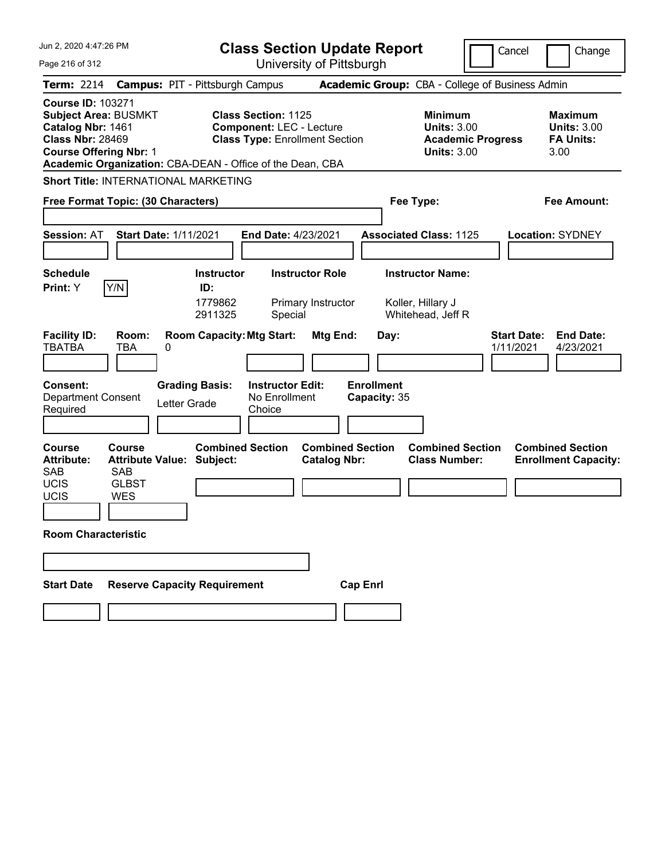| Jun 2. 2020 4:47:26 PM                                                                                                                                                                                | <b>Class Section Update Report</b>                                                                         |                                                                                        | Cancel<br>Change                                                 |
|-------------------------------------------------------------------------------------------------------------------------------------------------------------------------------------------------------|------------------------------------------------------------------------------------------------------------|----------------------------------------------------------------------------------------|------------------------------------------------------------------|
| Page 216 of 312                                                                                                                                                                                       | University of Pittsburgh                                                                                   |                                                                                        |                                                                  |
| <b>Term: 2214</b>                                                                                                                                                                                     | <b>Campus: PIT - Pittsburgh Campus</b>                                                                     | Academic Group: CBA - College of Business Admin                                        |                                                                  |
| <b>Course ID: 103271</b><br><b>Subject Area: BUSMKT</b><br>Catalog Nbr: 1461<br><b>Class Nbr: 28469</b><br><b>Course Offering Nbr: 1</b><br>Academic Organization: CBA-DEAN - Office of the Dean, CBA | <b>Class Section: 1125</b><br><b>Component: LEC - Lecture</b><br><b>Class Type: Enrollment Section</b>     | <b>Minimum</b><br><b>Units: 3.00</b><br><b>Academic Progress</b><br><b>Units: 3.00</b> | <b>Maximum</b><br><b>Units: 3.00</b><br><b>FA Units:</b><br>3.00 |
| <b>Short Title: INTERNATIONAL MARKETING</b>                                                                                                                                                           |                                                                                                            |                                                                                        |                                                                  |
| Free Format Topic: (30 Characters)                                                                                                                                                                    |                                                                                                            | Fee Type:                                                                              | Fee Amount:                                                      |
| <b>Session: AT</b><br><b>Start Date: 1/11/2021</b>                                                                                                                                                    | End Date: 4/23/2021                                                                                        | <b>Associated Class: 1125</b>                                                          | <b>Location: SYDNEY</b>                                          |
| <b>Schedule</b>                                                                                                                                                                                       | <b>Instructor Role</b><br><b>Instructor</b>                                                                | <b>Instructor Name:</b>                                                                |                                                                  |
| Y/N<br>Print: Y<br><b>Facility ID:</b><br>Room:<br><b>TBATBA</b><br>TBA<br>0                                                                                                                          | ID:<br>1779862<br>Primary Instructor<br>2911325<br>Special<br><b>Room Capacity: Mtg Start:</b><br>Mtg End: | Koller, Hillary J<br>Whitehead, Jeff R<br>Day:                                         | <b>Start Date:</b><br><b>End Date:</b><br>1/11/2021<br>4/23/2021 |
| <b>Consent:</b><br><b>Grading Basis:</b><br>Department Consent<br>Letter Grade<br>Required                                                                                                            | <b>Enrollment</b><br><b>Instructor Edit:</b><br>No Enrollment<br>Capacity: 35<br>Choice                    |                                                                                        |                                                                  |
| <b>Course</b><br>Course<br><b>Attribute Value: Subject:</b><br><b>Attribute:</b><br><b>SAB</b><br><b>SAB</b><br><b>UCIS</b><br><b>GLBST</b><br>UCIS<br><b>WES</b>                                     | <b>Combined Section</b><br><b>Combined Section</b><br><b>Catalog Nbr:</b>                                  | <b>Combined Section</b><br><b>Class Number:</b>                                        | <b>Combined Section</b><br><b>Enrollment Capacity:</b>           |
| <b>Room Characteristic</b>                                                                                                                                                                            |                                                                                                            |                                                                                        |                                                                  |
| <b>Reserve Capacity Requirement</b><br><b>Start Date</b>                                                                                                                                              | <b>Cap Enrl</b>                                                                                            |                                                                                        |                                                                  |
|                                                                                                                                                                                                       |                                                                                                            |                                                                                        |                                                                  |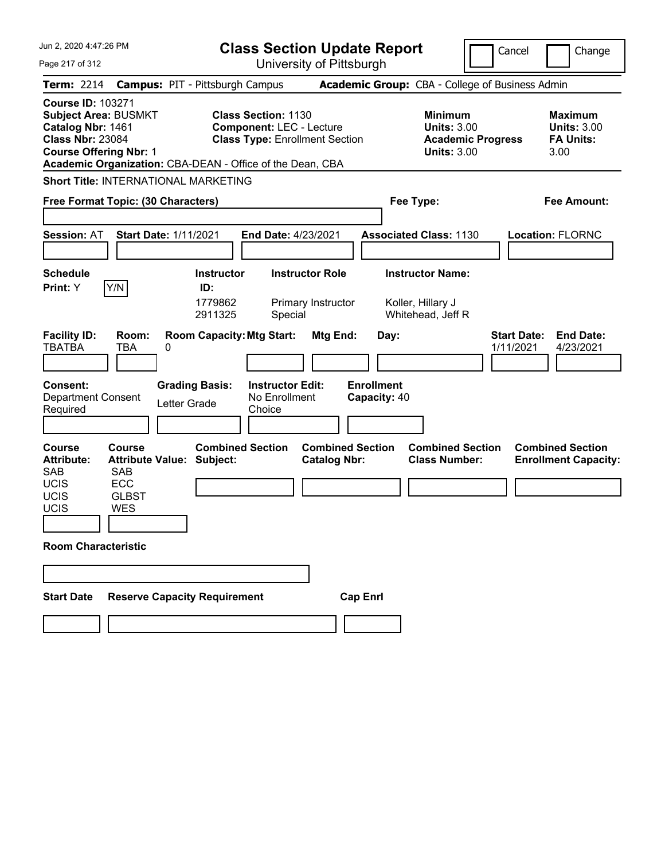| Jun 2, 2020 4:47:26 PM                                                                                                                   |                                                                   | <b>Class Section Update Report</b>                                                                     |                                                                   | Cancel                                                               | Change                                                           |
|------------------------------------------------------------------------------------------------------------------------------------------|-------------------------------------------------------------------|--------------------------------------------------------------------------------------------------------|-------------------------------------------------------------------|----------------------------------------------------------------------|------------------------------------------------------------------|
| Page 217 of 312                                                                                                                          |                                                                   | University of Pittsburgh                                                                               |                                                                   |                                                                      |                                                                  |
| <b>Term: 2214</b>                                                                                                                        | <b>Campus: PIT - Pittsburgh Campus</b>                            |                                                                                                        | Academic Group: CBA - College of Business Admin                   |                                                                      |                                                                  |
| <b>Course ID: 103271</b><br><b>Subject Area: BUSMKT</b><br>Catalog Nbr: 1461<br><b>Class Nbr: 23084</b><br><b>Course Offering Nbr: 1</b> | Academic Organization: CBA-DEAN - Office of the Dean, CBA         | <b>Class Section: 1130</b><br><b>Component: LEC - Lecture</b><br><b>Class Type: Enrollment Section</b> | <b>Minimum</b>                                                    | <b>Units: 3.00</b><br><b>Academic Progress</b><br><b>Units: 3.00</b> | <b>Maximum</b><br><b>Units: 3.00</b><br><b>FA Units:</b><br>3.00 |
|                                                                                                                                          | <b>Short Title: INTERNATIONAL MARKETING</b>                       |                                                                                                        |                                                                   |                                                                      |                                                                  |
|                                                                                                                                          | Free Format Topic: (30 Characters)                                |                                                                                                        | Fee Type:                                                         |                                                                      | <b>Fee Amount:</b>                                               |
| <b>Session: AT</b>                                                                                                                       | <b>Start Date: 1/11/2021</b>                                      | <b>End Date: 4/23/2021</b>                                                                             | <b>Associated Class: 1130</b>                                     |                                                                      | <b>Location: FLORNC</b>                                          |
| <b>Schedule</b><br>Y/N<br>Print: Y                                                                                                       | <b>Instructor</b><br>ID:<br>1779862<br>2911325                    | <b>Instructor Role</b><br>Primary Instructor<br>Special                                                | <b>Instructor Name:</b><br>Koller, Hillary J<br>Whitehead, Jeff R |                                                                      |                                                                  |
| <b>Facility ID:</b><br><b>TBATBA</b>                                                                                                     | Room:<br><b>Room Capacity: Mtg Start:</b><br>TBA<br>0             | Mtg End:                                                                                               | Day:                                                              | <b>Start Date:</b><br>1/11/2021                                      | <b>End Date:</b><br>4/23/2021                                    |
| <b>Consent:</b><br><b>Department Consent</b><br>Required                                                                                 | <b>Grading Basis:</b><br>Letter Grade                             | <b>Instructor Edit:</b><br>No Enrollment<br>Choice                                                     | <b>Enrollment</b><br>Capacity: 40                                 |                                                                      |                                                                  |
| <b>Course</b><br><b>Attribute:</b><br><b>SAB</b><br><b>SAB</b><br><b>ECC</b><br><b>UCIS</b><br>UCIS<br>UCIS<br><b>WES</b>                | <b>Course</b><br><b>Attribute Value: Subject:</b><br><b>GLBST</b> | <b>Combined Section</b><br><b>Catalog Nbr:</b>                                                         | <b>Combined Section</b><br><b>Class Number:</b>                   | <b>Combined Section</b>                                              | <b>Combined Section</b><br><b>Enrollment Capacity:</b>           |
| <b>Room Characteristic</b>                                                                                                               |                                                                   |                                                                                                        |                                                                   |                                                                      |                                                                  |
|                                                                                                                                          |                                                                   |                                                                                                        |                                                                   |                                                                      |                                                                  |
| <b>Start Date</b>                                                                                                                        | <b>Reserve Capacity Requirement</b>                               |                                                                                                        | <b>Cap Enrl</b>                                                   |                                                                      |                                                                  |
|                                                                                                                                          |                                                                   |                                                                                                        |                                                                   |                                                                      |                                                                  |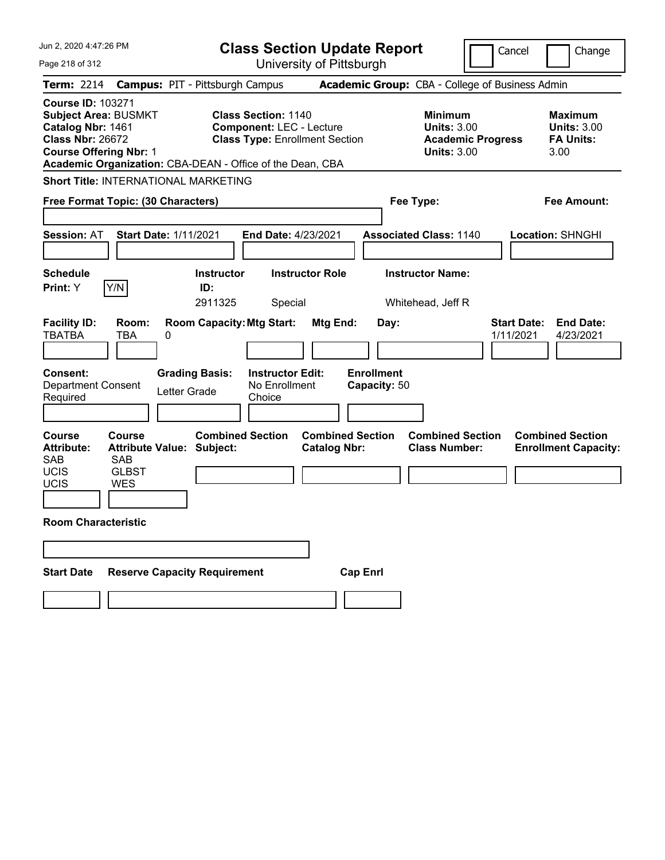| Jun 2, 2020 4:47:26 PM                                                                                                                   |                                                                                                                               |                                                                           | <b>Class Section Update Report</b>                                                                     |                                                |                 |                                           |                                                                               |                          | Cancel                          | Change                                                           |
|------------------------------------------------------------------------------------------------------------------------------------------|-------------------------------------------------------------------------------------------------------------------------------|---------------------------------------------------------------------------|--------------------------------------------------------------------------------------------------------|------------------------------------------------|-----------------|-------------------------------------------|-------------------------------------------------------------------------------|--------------------------|---------------------------------|------------------------------------------------------------------|
| Page 218 of 312                                                                                                                          |                                                                                                                               |                                                                           |                                                                                                        | University of Pittsburgh                       |                 |                                           |                                                                               |                          |                                 |                                                                  |
| <b>Term: 2214</b>                                                                                                                        | <b>Campus: PIT - Pittsburgh Campus</b>                                                                                        |                                                                           |                                                                                                        |                                                |                 |                                           | Academic Group: CBA - College of Business Admin                               |                          |                                 |                                                                  |
| <b>Course ID: 103271</b><br><b>Subject Area: BUSMKT</b><br>Catalog Nbr: 1461<br><b>Class Nbr: 26672</b><br><b>Course Offering Nbr: 1</b> | Academic Organization: CBA-DEAN - Office of the Dean, CBA                                                                     |                                                                           | <b>Class Section: 1140</b><br><b>Component: LEC - Lecture</b><br><b>Class Type: Enrollment Section</b> |                                                |                 |                                           | <b>Minimum</b><br><b>Units: 3.00</b><br><b>Units: 3.00</b>                    | <b>Academic Progress</b> |                                 | <b>Maximum</b><br><b>Units: 3.00</b><br><b>FA Units:</b><br>3.00 |
|                                                                                                                                          | <b>Short Title: INTERNATIONAL MARKETING</b>                                                                                   |                                                                           |                                                                                                        |                                                |                 |                                           |                                                                               |                          |                                 |                                                                  |
|                                                                                                                                          | Free Format Topic: (30 Characters)                                                                                            |                                                                           |                                                                                                        |                                                |                 |                                           | Fee Type:                                                                     |                          |                                 | Fee Amount:                                                      |
| <b>Session: AT</b><br><b>Schedule</b><br>Print: Y                                                                                        | <b>Start Date: 1/11/2021</b><br>Y/N                                                                                           | <b>Instructor</b><br>ID:<br>2911325                                       | <b>End Date: 4/23/2021</b><br>Special                                                                  | <b>Instructor Role</b>                         |                 |                                           | <b>Associated Class: 1140</b><br><b>Instructor Name:</b><br>Whitehead, Jeff R |                          |                                 | <b>Location: SHNGHI</b>                                          |
| <b>Facility ID:</b><br><b>TBATBA</b><br><b>Consent:</b><br><b>Department Consent</b><br>Required                                         | Room:<br><b>TBA</b><br>0                                                                                                      | <b>Room Capacity: Mtg Start:</b><br><b>Grading Basis:</b><br>Letter Grade | <b>Instructor Edit:</b><br>No Enrollment<br>Choice                                                     | Mtg End:                                       |                 | Day:<br><b>Enrollment</b><br>Capacity: 50 |                                                                               |                          | <b>Start Date:</b><br>1/11/2021 | <b>End Date:</b><br>4/23/2021                                    |
| <b>Course</b><br><b>Attribute:</b><br><b>SAB</b><br><b>UCIS</b><br>UCIS<br><b>Room Characteristic</b><br><b>Start Date</b>               | Course<br><b>Attribute Value: Subject:</b><br><b>SAB</b><br><b>GLBST</b><br><b>WES</b><br><b>Reserve Capacity Requirement</b> | <b>Combined Section</b>                                                   |                                                                                                        | <b>Combined Section</b><br><b>Catalog Nbr:</b> | <b>Cap Enrl</b> |                                           | <b>Combined Section</b><br><b>Class Number:</b>                               |                          |                                 | <b>Combined Section</b><br><b>Enrollment Capacity:</b>           |
|                                                                                                                                          |                                                                                                                               |                                                                           |                                                                                                        |                                                |                 |                                           |                                                                               |                          |                                 |                                                                  |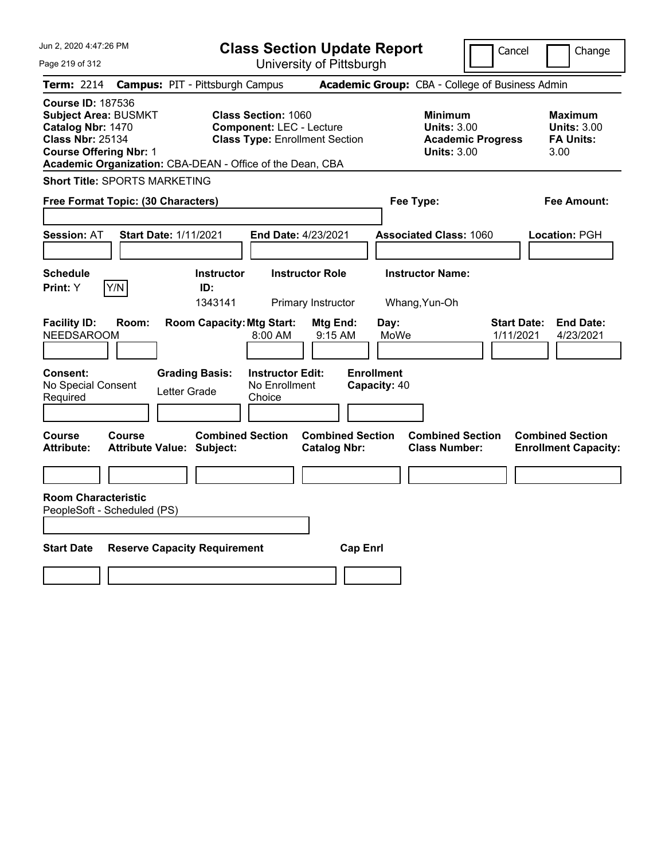| Jun 2, 2020 4:47:26 PM                                                                                                                                                                                | <b>Class Section Update Report</b>                                                                     | Cancel                                                                                 | Change                                                           |
|-------------------------------------------------------------------------------------------------------------------------------------------------------------------------------------------------------|--------------------------------------------------------------------------------------------------------|----------------------------------------------------------------------------------------|------------------------------------------------------------------|
| Page 219 of 312                                                                                                                                                                                       | University of Pittsburgh                                                                               |                                                                                        |                                                                  |
| <b>Term:</b> 2214                                                                                                                                                                                     | <b>Campus: PIT - Pittsburgh Campus</b>                                                                 | Academic Group: CBA - College of Business Admin                                        |                                                                  |
| <b>Course ID: 187536</b><br><b>Subject Area: BUSMKT</b><br>Catalog Nbr: 1470<br><b>Class Nbr: 25134</b><br><b>Course Offering Nbr: 1</b><br>Academic Organization: CBA-DEAN - Office of the Dean, CBA | <b>Class Section: 1060</b><br><b>Component: LEC - Lecture</b><br><b>Class Type: Enrollment Section</b> | <b>Minimum</b><br><b>Units: 3.00</b><br><b>Academic Progress</b><br><b>Units: 3.00</b> | <b>Maximum</b><br><b>Units: 3.00</b><br><b>FA Units:</b><br>3.00 |
| <b>Short Title: SPORTS MARKETING</b>                                                                                                                                                                  |                                                                                                        |                                                                                        |                                                                  |
| Free Format Topic: (30 Characters)                                                                                                                                                                    |                                                                                                        | Fee Type:                                                                              | Fee Amount:                                                      |
| <b>Session: AT</b><br><b>Start Date: 1/11/2021</b>                                                                                                                                                    | <b>End Date: 4/23/2021</b>                                                                             | <b>Associated Class: 1060</b>                                                          | Location: PGH                                                    |
| <b>Schedule</b>                                                                                                                                                                                       | <b>Instructor Role</b><br><b>Instructor</b>                                                            | <b>Instructor Name:</b>                                                                |                                                                  |
| Y/N<br>Print: Y                                                                                                                                                                                       | ID:<br>1343141<br>Primary Instructor                                                                   | Whang, Yun-Oh                                                                          |                                                                  |
| <b>Facility ID:</b><br>Room:<br><b>NEEDSAROOM</b><br>Consent:<br><b>Grading Basis:</b>                                                                                                                | <b>Room Capacity: Mtg Start:</b><br>Mtg End:<br>$8:00$ AM<br>9:15 AM<br><b>Instructor Edit:</b>        | Day:<br><b>Start Date:</b><br>MoWe<br>1/11/2021<br><b>Enrollment</b>                   | <b>End Date:</b><br>4/23/2021                                    |
| No Special Consent<br>Letter Grade<br>Required                                                                                                                                                        | No Enrollment<br>Choice                                                                                | Capacity: 40                                                                           |                                                                  |
| Course<br>Course<br><b>Attribute:</b><br>Attribute Value: Subject:                                                                                                                                    | <b>Combined Section</b><br><b>Combined Section</b><br><b>Catalog Nbr:</b>                              | <b>Combined Section</b><br><b>Class Number:</b>                                        | <b>Combined Section</b><br><b>Enrollment Capacity:</b>           |
|                                                                                                                                                                                                       |                                                                                                        |                                                                                        |                                                                  |
| <b>Room Characteristic</b><br>PeopleSoft - Scheduled (PS)                                                                                                                                             |                                                                                                        |                                                                                        |                                                                  |
| <b>Start Date</b><br><b>Reserve Capacity Requirement</b>                                                                                                                                              | <b>Cap Enrl</b>                                                                                        |                                                                                        |                                                                  |
|                                                                                                                                                                                                       |                                                                                                        |                                                                                        |                                                                  |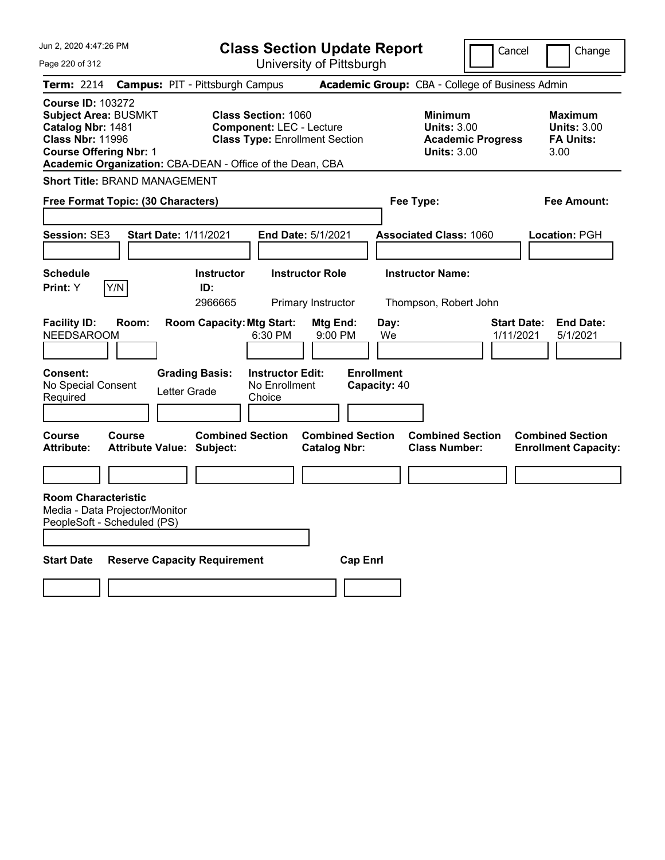| Jun 2, 2020 4:47:26 PM                                                                                                                   | <b>Class Section Update Report</b>                                                                                                                                  |                                                                            | Cancel<br>Change                                                                             |
|------------------------------------------------------------------------------------------------------------------------------------------|---------------------------------------------------------------------------------------------------------------------------------------------------------------------|----------------------------------------------------------------------------|----------------------------------------------------------------------------------------------|
| Page 220 of 312                                                                                                                          | University of Pittsburgh                                                                                                                                            |                                                                            |                                                                                              |
| Term: 2214                                                                                                                               | <b>Campus: PIT - Pittsburgh Campus</b>                                                                                                                              | Academic Group: CBA - College of Business Admin                            |                                                                                              |
| <b>Course ID: 103272</b><br><b>Subject Area: BUSMKT</b><br>Catalog Nbr: 1481<br><b>Class Nbr: 11996</b><br><b>Course Offering Nbr: 1</b> | <b>Class Section: 1060</b><br><b>Component: LEC - Lecture</b><br><b>Class Type: Enrollment Section</b><br>Academic Organization: CBA-DEAN - Office of the Dean, CBA | <b>Minimum</b><br><b>Units: 3.00</b><br><b>Units: 3.00</b>                 | <b>Maximum</b><br><b>Units: 3.00</b><br><b>FA Units:</b><br><b>Academic Progress</b><br>3.00 |
| <b>Short Title: BRAND MANAGEMENT</b>                                                                                                     |                                                                                                                                                                     |                                                                            |                                                                                              |
| Free Format Topic: (30 Characters)                                                                                                       |                                                                                                                                                                     | Fee Type:                                                                  | Fee Amount:                                                                                  |
| Session: SE3<br><b>Start Date: 1/11/2021</b>                                                                                             | <b>End Date: 5/1/2021</b>                                                                                                                                           | <b>Associated Class: 1060</b>                                              | Location: PGH                                                                                |
| <b>Schedule</b><br>Y/N<br>Print: Y                                                                                                       | <b>Instructor Role</b><br><b>Instructor</b><br>ID:<br>2966665<br>Primary Instructor                                                                                 | <b>Instructor Name:</b><br>Thompson, Robert John                           |                                                                                              |
| <b>Facility ID:</b><br>Room:<br><b>NEEDSAROOM</b>                                                                                        | <b>Room Capacity: Mtg Start:</b><br>Mtg End:<br>6:30 PM                                                                                                             | Day:<br>9:00 PM<br>We                                                      | <b>Start Date:</b><br><b>End Date:</b><br>1/11/2021<br>5/1/2021                              |
| <b>Consent:</b><br>No Special Consent<br>Required                                                                                        | <b>Grading Basis:</b><br><b>Instructor Edit:</b><br>No Enrollment<br>Letter Grade<br>Choice                                                                         | <b>Enrollment</b><br>Capacity: 40                                          |                                                                                              |
| Course<br><b>Course</b><br><b>Attribute:</b><br><b>Attribute Value: Subject:</b>                                                         | <b>Combined Section</b><br><b>Catalog Nbr:</b>                                                                                                                      | <b>Combined Section</b><br><b>Combined Section</b><br><b>Class Number:</b> | <b>Combined Section</b><br><b>Enrollment Capacity:</b>                                       |
|                                                                                                                                          |                                                                                                                                                                     |                                                                            |                                                                                              |
| <b>Room Characteristic</b><br>Media - Data Projector/Monitor<br>PeopleSoft - Scheduled (PS)                                              |                                                                                                                                                                     |                                                                            |                                                                                              |
| <b>Start Date</b>                                                                                                                        | <b>Reserve Capacity Requirement</b>                                                                                                                                 | <b>Cap Enri</b>                                                            |                                                                                              |
|                                                                                                                                          |                                                                                                                                                                     |                                                                            |                                                                                              |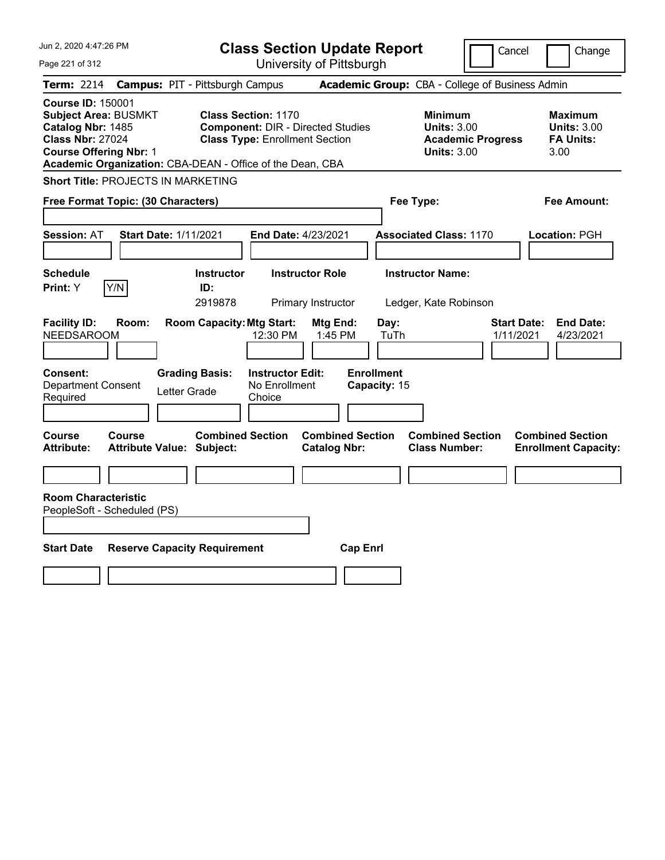| Jun 2, 2020 4:47:26 PM                                                                                                                                                                                | <b>Class Section Update Report</b>                                                                              |                                                |                                                                                        | Cancel<br>Change                                                 |
|-------------------------------------------------------------------------------------------------------------------------------------------------------------------------------------------------------|-----------------------------------------------------------------------------------------------------------------|------------------------------------------------|----------------------------------------------------------------------------------------|------------------------------------------------------------------|
| Page 221 of 312                                                                                                                                                                                       |                                                                                                                 | University of Pittsburgh                       |                                                                                        |                                                                  |
| <b>Term: 2214</b>                                                                                                                                                                                     | <b>Campus: PIT - Pittsburgh Campus</b>                                                                          |                                                | Academic Group: CBA - College of Business Admin                                        |                                                                  |
| <b>Course ID: 150001</b><br><b>Subject Area: BUSMKT</b><br>Catalog Nbr: 1485<br><b>Class Nbr: 27024</b><br><b>Course Offering Nbr: 1</b><br>Academic Organization: CBA-DEAN - Office of the Dean, CBA | <b>Class Section: 1170</b><br><b>Component: DIR - Directed Studies</b><br><b>Class Type: Enrollment Section</b> |                                                | <b>Minimum</b><br><b>Units: 3.00</b><br><b>Academic Progress</b><br><b>Units: 3.00</b> | <b>Maximum</b><br><b>Units: 3.00</b><br><b>FA Units:</b><br>3.00 |
| <b>Short Title: PROJECTS IN MARKETING</b>                                                                                                                                                             |                                                                                                                 |                                                |                                                                                        |                                                                  |
| Free Format Topic: (30 Characters)                                                                                                                                                                    |                                                                                                                 |                                                | Fee Type:                                                                              | Fee Amount:                                                      |
| Session: AT<br><b>Start Date: 1/11/2021</b>                                                                                                                                                           | End Date: 4/23/2021                                                                                             |                                                | <b>Associated Class: 1170</b>                                                          | Location: PGH                                                    |
| <b>Schedule</b><br>Print: Y<br>Y/N                                                                                                                                                                    | <b>Instructor Role</b><br><b>Instructor</b><br>ID:<br>2919878                                                   | Primary Instructor                             | <b>Instructor Name:</b><br>Ledger, Kate Robinson                                       |                                                                  |
| <b>Facility ID:</b><br>Room:<br><b>NEEDSAROOM</b>                                                                                                                                                     | <b>Room Capacity: Mtg Start:</b><br>12:30 PM                                                                    | Mtg End:<br>Day:<br>1:45 PM<br>TuTh            |                                                                                        | <b>End Date:</b><br><b>Start Date:</b><br>1/11/2021<br>4/23/2021 |
| <b>Consent:</b><br><b>Department Consent</b><br>Required                                                                                                                                              | <b>Instructor Edit:</b><br><b>Grading Basis:</b><br>No Enrollment<br>Letter Grade<br>Choice                     | <b>Enrollment</b><br>Capacity: 15              |                                                                                        |                                                                  |
| Course<br><b>Course</b><br><b>Attribute Value: Subject:</b><br><b>Attribute:</b>                                                                                                                      | <b>Combined Section</b>                                                                                         | <b>Combined Section</b><br><b>Catalog Nbr:</b> | <b>Combined Section</b><br><b>Class Number:</b>                                        | <b>Combined Section</b><br><b>Enrollment Capacity:</b>           |
|                                                                                                                                                                                                       |                                                                                                                 |                                                |                                                                                        |                                                                  |
| <b>Room Characteristic</b><br>PeopleSoft - Scheduled (PS)                                                                                                                                             |                                                                                                                 |                                                |                                                                                        |                                                                  |
| <b>Start Date</b><br><b>Reserve Capacity Requirement</b>                                                                                                                                              |                                                                                                                 | <b>Cap Enrl</b>                                |                                                                                        |                                                                  |
|                                                                                                                                                                                                       |                                                                                                                 |                                                |                                                                                        |                                                                  |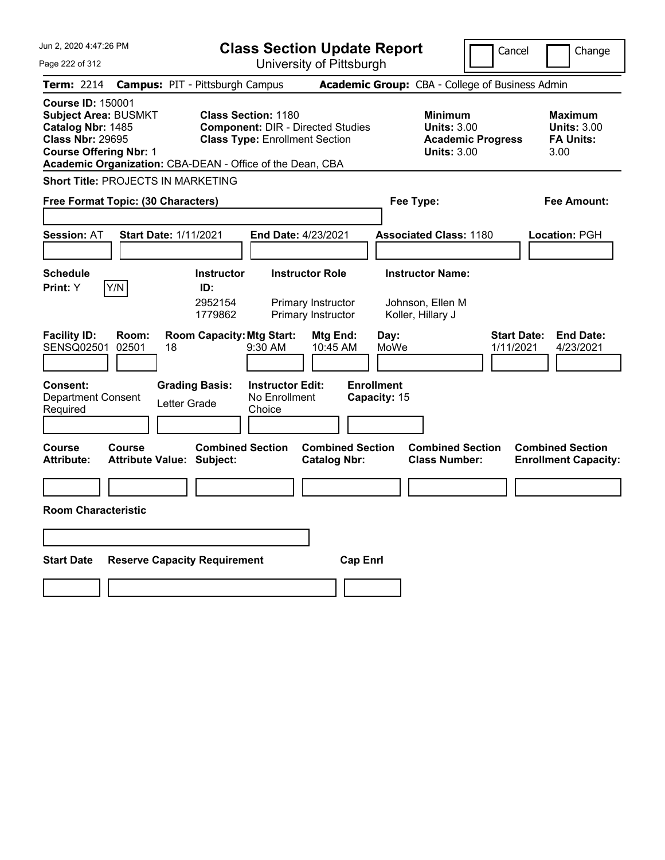| Jun 2, 2020 4:47:26 PM                                                                                                                                                                                | <b>Class Section Update Report</b>                                                                                                         |                                                                           | Cancel                                                                                 | Change                                                           |
|-------------------------------------------------------------------------------------------------------------------------------------------------------------------------------------------------------|--------------------------------------------------------------------------------------------------------------------------------------------|---------------------------------------------------------------------------|----------------------------------------------------------------------------------------|------------------------------------------------------------------|
| Page 222 of 312                                                                                                                                                                                       | University of Pittsburgh                                                                                                                   |                                                                           |                                                                                        |                                                                  |
| Term: 2214                                                                                                                                                                                            | <b>Campus: PIT - Pittsburgh Campus</b>                                                                                                     | Academic Group: CBA - College of Business Admin                           |                                                                                        |                                                                  |
| <b>Course ID: 150001</b><br><b>Subject Area: BUSMKT</b><br>Catalog Nbr: 1485<br><b>Class Nbr: 29695</b><br><b>Course Offering Nbr: 1</b><br>Academic Organization: CBA-DEAN - Office of the Dean, CBA | <b>Class Section: 1180</b><br><b>Component: DIR - Directed Studies</b><br><b>Class Type: Enrollment Section</b>                            |                                                                           | <b>Minimum</b><br><b>Units: 3.00</b><br><b>Academic Progress</b><br><b>Units: 3.00</b> | <b>Maximum</b><br><b>Units: 3.00</b><br><b>FA Units:</b><br>3.00 |
| <b>Short Title: PROJECTS IN MARKETING</b>                                                                                                                                                             |                                                                                                                                            |                                                                           |                                                                                        |                                                                  |
| Free Format Topic: (30 Characters)                                                                                                                                                                    |                                                                                                                                            | Fee Type:                                                                 |                                                                                        | Fee Amount:                                                      |
| <b>Session: AT</b><br><b>Start Date: 1/11/2021</b>                                                                                                                                                    | <b>End Date: 4/23/2021</b>                                                                                                                 | <b>Associated Class: 1180</b>                                             |                                                                                        | Location: PGH                                                    |
| <b>Schedule</b><br>Y/N<br><b>Print:</b> Y                                                                                                                                                             | <b>Instructor Role</b><br><b>Instructor</b><br>ID:<br>2952154<br>Primary Instructor<br>1779862<br>Primary Instructor                       | <b>Instructor Name:</b><br>Johnson, Ellen M<br>Koller, Hillary J          |                                                                                        |                                                                  |
| <b>Facility ID:</b><br>Room:<br><b>SENSQ02501</b><br>02501<br>18<br>Consent:<br><b>Department Consent</b><br>Required                                                                                 | <b>Room Capacity: Mtg Start:</b><br>9:30 AM<br><b>Grading Basis:</b><br><b>Instructor Edit:</b><br>No Enrollment<br>Letter Grade<br>Choice | Mtg End:<br>Day:<br>MoWe<br>10:45 AM<br><b>Enrollment</b><br>Capacity: 15 | <b>Start Date:</b><br>1/11/2021                                                        | <b>End Date:</b><br>4/23/2021                                    |
| <b>Course</b><br><b>Course</b><br><b>Attribute:</b><br><b>Attribute Value: Subject:</b>                                                                                                               | <b>Combined Section</b>                                                                                                                    | <b>Combined Section</b><br><b>Catalog Nbr:</b>                            | <b>Combined Section</b><br><b>Class Number:</b>                                        | <b>Combined Section</b><br><b>Enrollment Capacity:</b>           |
|                                                                                                                                                                                                       |                                                                                                                                            |                                                                           |                                                                                        |                                                                  |
| <b>Room Characteristic</b>                                                                                                                                                                            |                                                                                                                                            |                                                                           |                                                                                        |                                                                  |
|                                                                                                                                                                                                       |                                                                                                                                            |                                                                           |                                                                                        |                                                                  |
| <b>Start Date</b>                                                                                                                                                                                     | <b>Reserve Capacity Requirement</b>                                                                                                        | <b>Cap Enri</b>                                                           |                                                                                        |                                                                  |
|                                                                                                                                                                                                       |                                                                                                                                            |                                                                           |                                                                                        |                                                                  |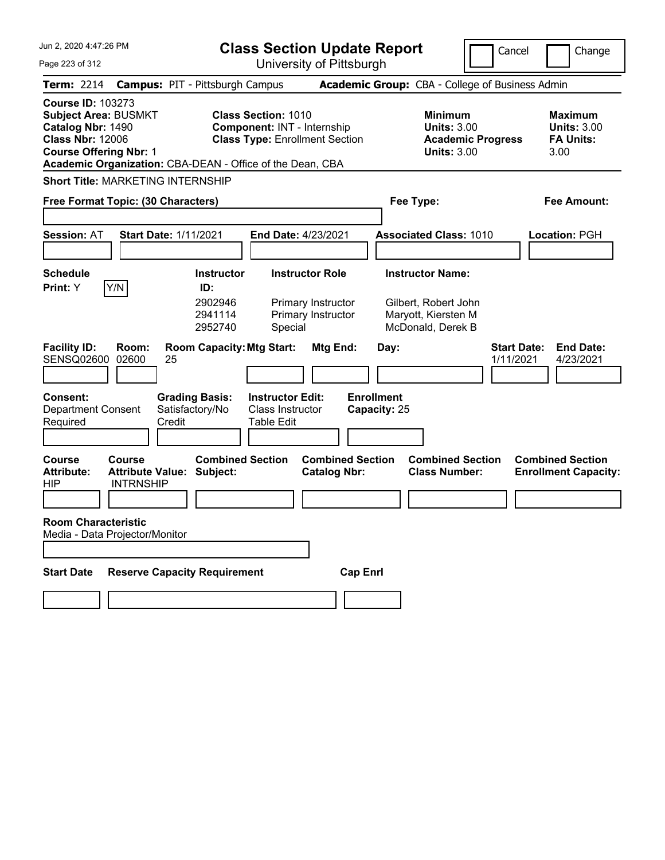| Jun 2, 2020 4:47:26 PM<br>Page 223 of 312                                                                                                                                                             |                                                       |                                                           |                                                           | <b>Class Section Update Report</b><br>University of Pittsburgh       |                                   |                                                                                             | Cancel                          | Change                                                           |
|-------------------------------------------------------------------------------------------------------------------------------------------------------------------------------------------------------|-------------------------------------------------------|-----------------------------------------------------------|-----------------------------------------------------------|----------------------------------------------------------------------|-----------------------------------|---------------------------------------------------------------------------------------------|---------------------------------|------------------------------------------------------------------|
| <b>Term: 2214</b>                                                                                                                                                                                     |                                                       | <b>Campus: PIT - Pittsburgh Campus</b>                    |                                                           |                                                                      |                                   | Academic Group: CBA - College of Business Admin                                             |                                 |                                                                  |
| <b>Course ID: 103273</b><br><b>Subject Area: BUSMKT</b><br>Catalog Nbr: 1490<br><b>Class Nbr: 12006</b><br><b>Course Offering Nbr: 1</b><br>Academic Organization: CBA-DEAN - Office of the Dean, CBA |                                                       |                                                           | Class Section: 1010                                       | Component: INT - Internship<br><b>Class Type: Enrollment Section</b> |                                   | <b>Minimum</b><br><b>Units: 3.00</b><br><b>Academic Progress</b><br><b>Units: 3.00</b>      |                                 | <b>Maximum</b><br><b>Units: 3.00</b><br><b>FA Units:</b><br>3.00 |
| <b>Short Title: MARKETING INTERNSHIP</b>                                                                                                                                                              |                                                       |                                                           |                                                           |                                                                      |                                   |                                                                                             |                                 |                                                                  |
| Free Format Topic: (30 Characters)                                                                                                                                                                    |                                                       |                                                           |                                                           |                                                                      | Fee Type:                         |                                                                                             |                                 | Fee Amount:                                                      |
| <b>Session: AT</b>                                                                                                                                                                                    | <b>Start Date: 1/11/2021</b>                          |                                                           |                                                           | End Date: 4/23/2021                                                  |                                   | <b>Associated Class: 1010</b>                                                               |                                 | Location: PGH                                                    |
| <b>Schedule</b><br>Y/N<br>Print: Y                                                                                                                                                                    |                                                       | <b>Instructor</b><br>ID:<br>2902946<br>2941114<br>2952740 | Special                                                   | <b>Instructor Role</b><br>Primary Instructor<br>Primary Instructor   |                                   | <b>Instructor Name:</b><br>Gilbert, Robert John<br>Maryott, Kiersten M<br>McDonald, Derek B |                                 |                                                                  |
| <b>Facility ID:</b><br>SENSQ02600                                                                                                                                                                     | Room:<br>02600<br>25                                  | <b>Room Capacity: Mtg Start:</b>                          |                                                           | Mtg End:                                                             | Day:                              |                                                                                             | <b>Start Date:</b><br>1/11/2021 | <b>End Date:</b><br>4/23/2021                                    |
| <b>Consent:</b><br><b>Department Consent</b><br>Required                                                                                                                                              | Credit                                                | <b>Grading Basis:</b><br>Satisfactory/No                  | <b>Instructor Edit:</b><br>Class Instructor<br>Table Edit |                                                                      | <b>Enrollment</b><br>Capacity: 25 |                                                                                             |                                 |                                                                  |
| <b>Course</b><br><b>Attribute:</b><br><b>HIP</b>                                                                                                                                                      | Course<br><b>Attribute Value:</b><br><b>INTRNSHIP</b> | <b>Combined Section</b><br>Subject:                       |                                                           | <b>Combined Section</b><br><b>Catalog Nbr:</b>                       |                                   | <b>Combined Section</b><br><b>Class Number:</b>                                             |                                 | <b>Combined Section</b><br><b>Enrollment Capacity:</b>           |
| <b>Room Characteristic</b><br>Media - Data Projector/Monitor                                                                                                                                          |                                                       |                                                           |                                                           |                                                                      |                                   |                                                                                             |                                 |                                                                  |
| <b>Start Date</b>                                                                                                                                                                                     |                                                       | <b>Reserve Capacity Requirement</b>                       |                                                           | <b>Cap Enrl</b>                                                      |                                   |                                                                                             |                                 |                                                                  |
|                                                                                                                                                                                                       |                                                       |                                                           |                                                           |                                                                      |                                   |                                                                                             |                                 |                                                                  |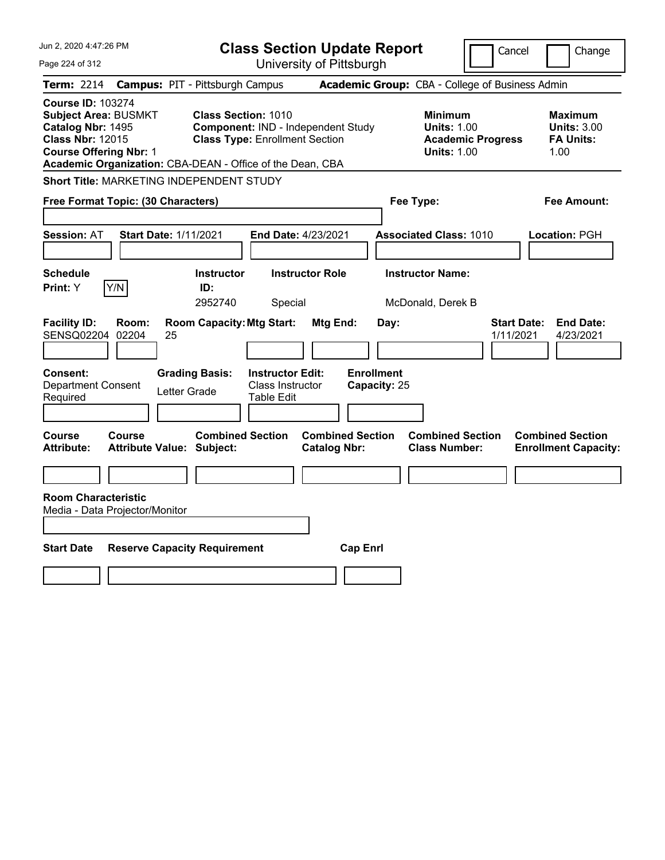| Jun 2, 2020 4:47:26 PM<br>Page 224 of 312                                                                                                                                                             | <b>Class Section Update Report</b><br>University of Pittsburgh                                            |                                                |                                                                                        | Cancel<br>Change                                                 |
|-------------------------------------------------------------------------------------------------------------------------------------------------------------------------------------------------------|-----------------------------------------------------------------------------------------------------------|------------------------------------------------|----------------------------------------------------------------------------------------|------------------------------------------------------------------|
| <b>Term: 2214</b>                                                                                                                                                                                     | <b>Campus: PIT - Pittsburgh Campus</b>                                                                    |                                                | Academic Group: CBA - College of Business Admin                                        |                                                                  |
| <b>Course ID: 103274</b><br><b>Subject Area: BUSMKT</b><br>Catalog Nbr: 1495<br><b>Class Nbr: 12015</b><br><b>Course Offering Nbr: 1</b><br>Academic Organization: CBA-DEAN - Office of the Dean, CBA | <b>Class Section: 1010</b><br>Component: IND - Independent Study<br><b>Class Type: Enrollment Section</b> |                                                | <b>Minimum</b><br><b>Units: 1.00</b><br><b>Academic Progress</b><br><b>Units: 1.00</b> | <b>Maximum</b><br><b>Units: 3.00</b><br><b>FA Units:</b><br>1.00 |
| Short Title: MARKETING INDEPENDENT STUDY                                                                                                                                                              |                                                                                                           |                                                |                                                                                        |                                                                  |
| Free Format Topic: (30 Characters)                                                                                                                                                                    |                                                                                                           | Fee Type:                                      |                                                                                        | Fee Amount:                                                      |
| <b>Session: AT</b><br><b>Start Date: 1/11/2021</b>                                                                                                                                                    | <b>End Date: 4/23/2021</b>                                                                                |                                                | <b>Associated Class: 1010</b>                                                          | Location: PGH                                                    |
| <b>Schedule</b><br>Print: Y<br>Y/N                                                                                                                                                                    | <b>Instructor</b><br><b>Instructor Role</b><br>ID:<br>2952740<br>Special                                  |                                                | <b>Instructor Name:</b><br>McDonald, Derek B                                           |                                                                  |
| <b>Facility ID:</b><br>Room:<br>SENSQ02204<br>02204<br>25                                                                                                                                             | <b>Room Capacity: Mtg Start:</b>                                                                          | Mtg End:<br>Day:                               |                                                                                        | <b>Start Date:</b><br><b>End Date:</b><br>1/11/2021<br>4/23/2021 |
| Consent:<br><b>Department Consent</b><br>Letter Grade<br>Required                                                                                                                                     | <b>Grading Basis:</b><br><b>Instructor Edit:</b><br>Class Instructor<br><b>Table Edit</b>                 | <b>Enrollment</b><br>Capacity: 25              |                                                                                        |                                                                  |
| Course<br><b>Course</b><br><b>Attribute Value: Subject:</b><br><b>Attribute:</b>                                                                                                                      | <b>Combined Section</b>                                                                                   | <b>Combined Section</b><br><b>Catalog Nbr:</b> | <b>Combined Section</b><br><b>Class Number:</b>                                        | <b>Combined Section</b><br><b>Enrollment Capacity:</b>           |
| <b>Room Characteristic</b><br>Media - Data Projector/Monitor<br><b>Start Date</b><br><b>Reserve Capacity Requirement</b>                                                                              |                                                                                                           | <b>Cap Enrl</b>                                |                                                                                        |                                                                  |
|                                                                                                                                                                                                       |                                                                                                           |                                                |                                                                                        |                                                                  |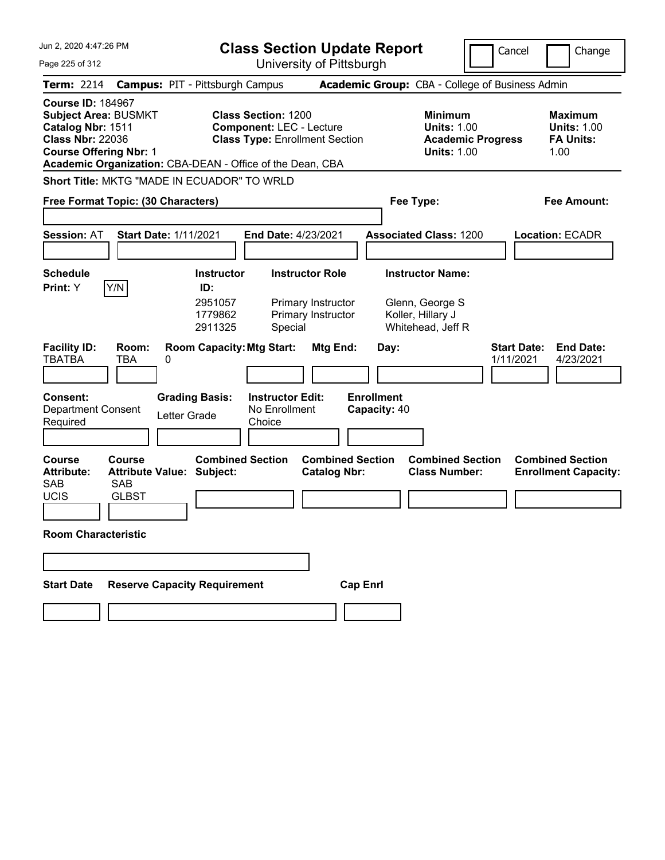| Jun 2, 2020 4:47:26 PM<br>Page 225 of 312                                                                                                                                                             |                                                            |                                                           | <b>Class Section Update Report</b>                                                                     | University of Pittsburgh                                           |                                   |                                                                                      |                          | Cancel                          | Change                                                           |
|-------------------------------------------------------------------------------------------------------------------------------------------------------------------------------------------------------|------------------------------------------------------------|-----------------------------------------------------------|--------------------------------------------------------------------------------------------------------|--------------------------------------------------------------------|-----------------------------------|--------------------------------------------------------------------------------------|--------------------------|---------------------------------|------------------------------------------------------------------|
| <b>Term: 2214</b>                                                                                                                                                                                     | <b>Campus: PIT - Pittsburgh Campus</b>                     |                                                           |                                                                                                        |                                                                    |                                   | <b>Academic Group:</b> CBA - College of Business Admin                               |                          |                                 |                                                                  |
| <b>Course ID: 184967</b><br><b>Subject Area: BUSMKT</b><br>Catalog Nbr: 1511<br><b>Class Nbr: 22036</b><br><b>Course Offering Nbr: 1</b><br>Academic Organization: CBA-DEAN - Office of the Dean, CBA |                                                            |                                                           | <b>Class Section: 1200</b><br><b>Component: LEC - Lecture</b><br><b>Class Type: Enrollment Section</b> |                                                                    |                                   | <b>Minimum</b><br><b>Units: 1.00</b><br><b>Units: 1.00</b>                           | <b>Academic Progress</b> |                                 | <b>Maximum</b><br><b>Units: 1.00</b><br><b>FA Units:</b><br>1.00 |
| Short Title: MKTG "MADE IN ECUADOR" TO WRLD                                                                                                                                                           |                                                            |                                                           |                                                                                                        |                                                                    |                                   |                                                                                      |                          |                                 |                                                                  |
| Free Format Topic: (30 Characters)                                                                                                                                                                    |                                                            |                                                           |                                                                                                        |                                                                    |                                   | Fee Type:                                                                            |                          |                                 | Fee Amount:                                                      |
| <b>Session: AT</b>                                                                                                                                                                                    | <b>Start Date: 1/11/2021</b>                               |                                                           | End Date: 4/23/2021                                                                                    |                                                                    |                                   | <b>Associated Class: 1200</b>                                                        |                          |                                 | <b>Location: ECADR</b>                                           |
| <b>Schedule</b><br>Y/N<br>Print: Y                                                                                                                                                                    |                                                            | <b>Instructor</b><br>ID:<br>2951057<br>1779862<br>2911325 | Special                                                                                                | <b>Instructor Role</b><br>Primary Instructor<br>Primary Instructor |                                   | <b>Instructor Name:</b><br>Glenn, George S<br>Koller, Hillary J<br>Whitehead, Jeff R |                          |                                 |                                                                  |
| <b>Facility ID:</b><br><b>TBATBA</b>                                                                                                                                                                  | Room:<br>TBA<br>0                                          |                                                           | <b>Room Capacity: Mtg Start:</b>                                                                       | Mtg End:                                                           | Day:                              |                                                                                      |                          | <b>Start Date:</b><br>1/11/2021 | <b>End Date:</b><br>4/23/2021                                    |
| <b>Consent:</b><br><b>Department Consent</b><br>Required                                                                                                                                              | <b>Grading Basis:</b><br>Letter Grade                      |                                                           | <b>Instructor Edit:</b><br>No Enrollment<br>Choice                                                     |                                                                    | <b>Enrollment</b><br>Capacity: 40 |                                                                                      |                          |                                 |                                                                  |
| <b>Course</b><br><b>Attribute:</b><br><b>SAB</b><br><b>SAB</b><br>UCIS                                                                                                                                | Course<br><b>Attribute Value: Subject:</b><br><b>GLBST</b> | <b>Combined Section</b>                                   |                                                                                                        | <b>Combined Section</b><br><b>Catalog Nbr:</b>                     |                                   | <b>Combined Section</b><br><b>Class Number:</b>                                      |                          |                                 | <b>Combined Section</b><br><b>Enrollment Capacity:</b>           |
| <b>Room Characteristic</b>                                                                                                                                                                            |                                                            |                                                           |                                                                                                        |                                                                    |                                   |                                                                                      |                          |                                 |                                                                  |
|                                                                                                                                                                                                       |                                                            |                                                           |                                                                                                        |                                                                    |                                   |                                                                                      |                          |                                 |                                                                  |
| <b>Start Date</b>                                                                                                                                                                                     | <b>Reserve Capacity Requirement</b>                        |                                                           |                                                                                                        |                                                                    | <b>Cap Enrl</b>                   |                                                                                      |                          |                                 |                                                                  |
|                                                                                                                                                                                                       |                                                            |                                                           |                                                                                                        |                                                                    |                                   |                                                                                      |                          |                                 |                                                                  |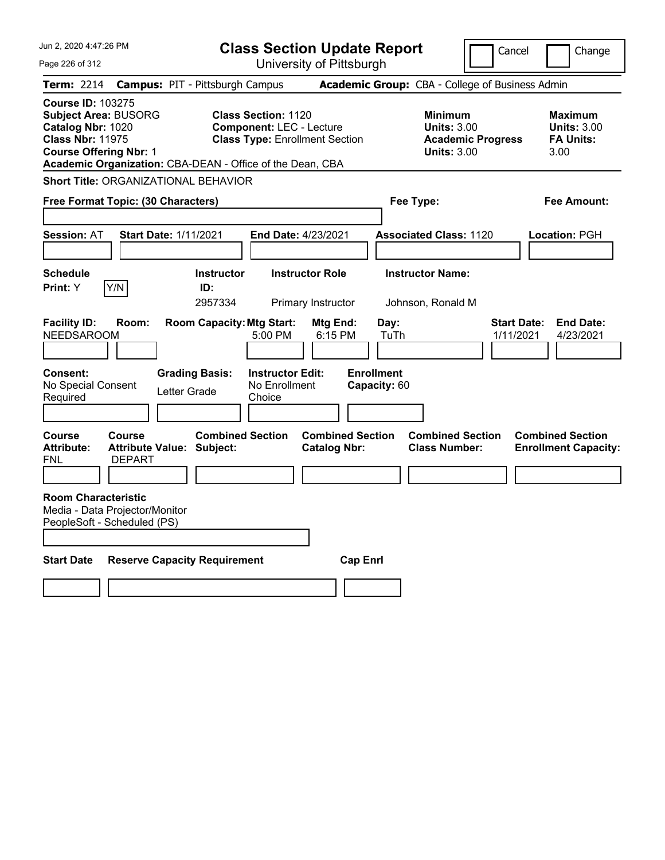| Jun 2, 2020 4:47:26 PM                                                                                                                   |                                |                                                           | <b>Class Section Update Report</b>                                                                     |                                                |                                   |                                                     | Cancel                          | Change                                                           |
|------------------------------------------------------------------------------------------------------------------------------------------|--------------------------------|-----------------------------------------------------------|--------------------------------------------------------------------------------------------------------|------------------------------------------------|-----------------------------------|-----------------------------------------------------|---------------------------------|------------------------------------------------------------------|
| Page 226 of 312                                                                                                                          |                                |                                                           |                                                                                                        | University of Pittsburgh                       |                                   |                                                     |                                 |                                                                  |
| Term: 2214                                                                                                                               |                                | <b>Campus: PIT - Pittsburgh Campus</b>                    |                                                                                                        |                                                |                                   | Academic Group: CBA - College of Business Admin     |                                 |                                                                  |
| <b>Course ID: 103275</b><br><b>Subject Area: BUSORG</b><br>Catalog Nbr: 1020<br><b>Class Nbr: 11975</b><br><b>Course Offering Nbr: 1</b> |                                | Academic Organization: CBA-DEAN - Office of the Dean, CBA | <b>Class Section: 1120</b><br><b>Component: LEC - Lecture</b><br><b>Class Type: Enrollment Section</b> |                                                |                                   | Minimum<br><b>Units: 3.00</b><br><b>Units: 3.00</b> | <b>Academic Progress</b>        | <b>Maximum</b><br><b>Units: 3.00</b><br><b>FA Units:</b><br>3.00 |
|                                                                                                                                          |                                | <b>Short Title: ORGANIZATIONAL BEHAVIOR</b>               |                                                                                                        |                                                |                                   |                                                     |                                 |                                                                  |
| Free Format Topic: (30 Characters)                                                                                                       |                                |                                                           |                                                                                                        |                                                |                                   | Fee Type:                                           |                                 | Fee Amount:                                                      |
| <b>Session: AT</b>                                                                                                                       |                                | <b>Start Date: 1/11/2021</b>                              | <b>End Date: 4/23/2021</b>                                                                             |                                                |                                   | <b>Associated Class: 1120</b>                       |                                 | Location: PGH                                                    |
| <b>Schedule</b><br><b>Print:</b> Y                                                                                                       | Y/N                            | <b>Instructor</b><br>ID:<br>2957334                       |                                                                                                        | <b>Instructor Role</b><br>Primary Instructor   |                                   | <b>Instructor Name:</b><br>Johnson, Ronald M        |                                 |                                                                  |
| <b>Facility ID:</b><br><b>NEEDSAROOM</b>                                                                                                 | Room:                          | <b>Room Capacity: Mtg Start:</b>                          | 5:00 PM                                                                                                | Mtg End:<br>6:15 PM                            | Day:<br>TuTh                      |                                                     | <b>Start Date:</b><br>1/11/2021 | <b>End Date:</b><br>4/23/2021                                    |
| Consent:<br>No Special Consent<br>Required                                                                                               |                                | <b>Grading Basis:</b><br>Letter Grade                     | <b>Instructor Edit:</b><br>No Enrollment<br>Choice                                                     |                                                | <b>Enrollment</b><br>Capacity: 60 |                                                     |                                 |                                                                  |
| <b>Course</b><br><b>Attribute:</b><br><b>FNL</b>                                                                                         | <b>Course</b><br><b>DEPART</b> | <b>Combined Section</b><br>Attribute Value: Subject:      |                                                                                                        | <b>Combined Section</b><br><b>Catalog Nbr:</b> |                                   | <b>Combined Section</b><br><b>Class Number:</b>     |                                 | <b>Combined Section</b><br><b>Enrollment Capacity:</b>           |
| <b>Room Characteristic</b><br>Media - Data Projector/Monitor<br>PeopleSoft - Scheduled (PS)                                              |                                |                                                           |                                                                                                        |                                                |                                   |                                                     |                                 |                                                                  |
| <b>Start Date</b>                                                                                                                        |                                | <b>Reserve Capacity Requirement</b>                       |                                                                                                        | <b>Cap Enri</b>                                |                                   |                                                     |                                 |                                                                  |
|                                                                                                                                          |                                |                                                           |                                                                                                        |                                                |                                   |                                                     |                                 |                                                                  |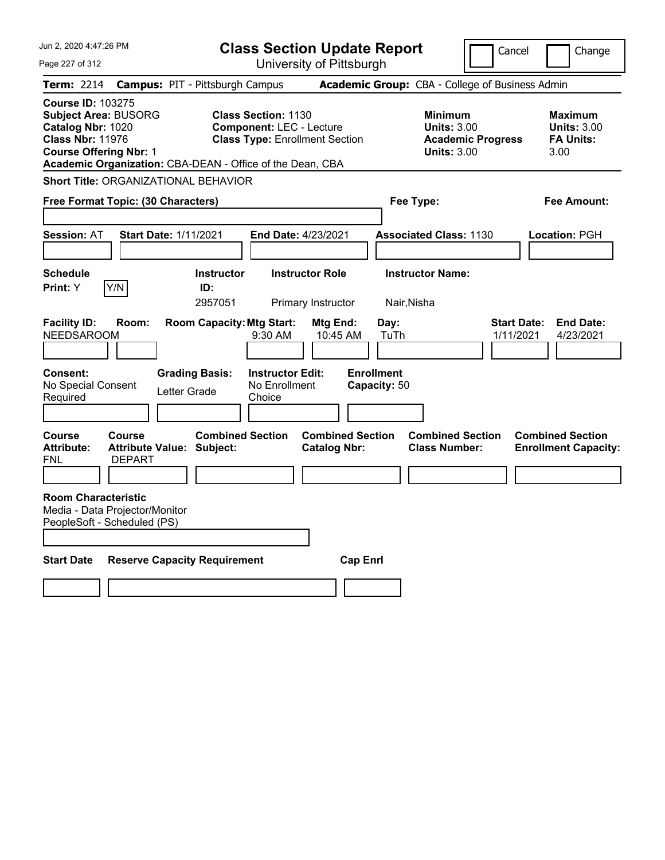| Jun 2, 2020 4:47:26 PM                                                                                                                                                                                | <b>Class Section Update Report</b>                                                                     |                                                |                                                            | Cancel                          | Change                                                    |
|-------------------------------------------------------------------------------------------------------------------------------------------------------------------------------------------------------|--------------------------------------------------------------------------------------------------------|------------------------------------------------|------------------------------------------------------------|---------------------------------|-----------------------------------------------------------|
| Page 227 of 312                                                                                                                                                                                       |                                                                                                        | University of Pittsburgh                       |                                                            |                                 |                                                           |
| <b>Term: 2214</b>                                                                                                                                                                                     | <b>Campus: PIT - Pittsburgh Campus</b>                                                                 |                                                | Academic Group: CBA - College of Business Admin            |                                 |                                                           |
| <b>Course ID: 103275</b><br><b>Subject Area: BUSORG</b><br>Catalog Nbr: 1020<br><b>Class Nbr: 11976</b><br><b>Course Offering Nbr: 1</b><br>Academic Organization: CBA-DEAN - Office of the Dean, CBA | <b>Class Section: 1130</b><br><b>Component: LEC - Lecture</b><br><b>Class Type: Enrollment Section</b> |                                                | <b>Minimum</b><br><b>Units: 3.00</b><br><b>Units: 3.00</b> | <b>Academic Progress</b>        | Maximum<br><b>Units: 3.00</b><br><b>FA Units:</b><br>3.00 |
| <b>Short Title: ORGANIZATIONAL BEHAVIOR</b>                                                                                                                                                           |                                                                                                        |                                                |                                                            |                                 |                                                           |
| Free Format Topic: (30 Characters)                                                                                                                                                                    |                                                                                                        |                                                | Fee Type:                                                  |                                 | Fee Amount:                                               |
| <b>Start Date: 1/11/2021</b><br><b>Session: AT</b>                                                                                                                                                    | End Date: 4/23/2021                                                                                    |                                                | <b>Associated Class: 1130</b>                              |                                 | Location: PGH                                             |
| <b>Schedule</b><br>Y/N<br>Print: Y                                                                                                                                                                    | <b>Instructor</b><br>ID:<br>2957051                                                                    | <b>Instructor Role</b><br>Primary Instructor   | <b>Instructor Name:</b><br>Nair, Nisha                     |                                 |                                                           |
| <b>Facility ID:</b><br>Room:<br><b>NEEDSAROOM</b>                                                                                                                                                     | <b>Room Capacity: Mtg Start:</b><br>9:30 AM                                                            | Mtg End:<br>10:45 AM                           | Day:<br>TuTh                                               | <b>Start Date:</b><br>1/11/2021 | <b>End Date:</b><br>4/23/2021                             |
| Consent:<br>No Special Consent<br>Required                                                                                                                                                            | <b>Grading Basis:</b><br><b>Instructor Edit:</b><br>No Enrollment<br>Letter Grade<br>Choice            |                                                | <b>Enrollment</b><br>Capacity: 50                          |                                 |                                                           |
| Course<br>Course<br><b>Attribute:</b><br><b>Attribute Value: Subject:</b><br><b>FNL</b><br><b>DEPART</b>                                                                                              | <b>Combined Section</b>                                                                                | <b>Combined Section</b><br><b>Catalog Nbr:</b> | <b>Combined Section</b><br><b>Class Number:</b>            |                                 | <b>Combined Section</b><br><b>Enrollment Capacity:</b>    |
| <b>Room Characteristic</b><br>Media - Data Projector/Monitor<br>PeopleSoft - Scheduled (PS)                                                                                                           |                                                                                                        |                                                |                                                            |                                 |                                                           |
| <b>Start Date</b>                                                                                                                                                                                     | <b>Reserve Capacity Requirement</b>                                                                    | <b>Cap Enrl</b>                                |                                                            |                                 |                                                           |
|                                                                                                                                                                                                       |                                                                                                        |                                                |                                                            |                                 |                                                           |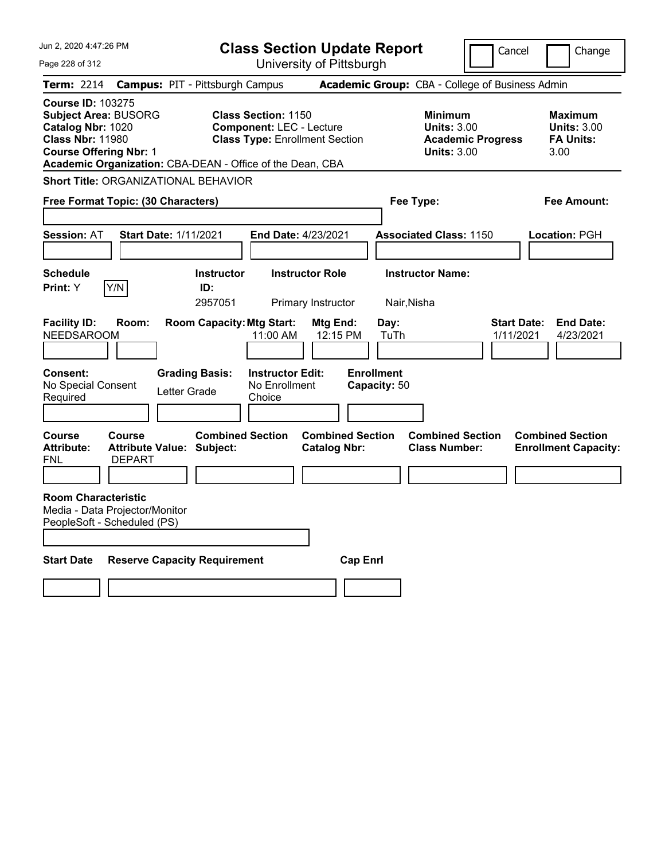| Jun 2, 2020 4:47:26 PM                                                                                                                                                                                | <b>Class Section Update Report</b>                          |                                                                                                        |                                                |                                                 | Cancel                                                               | Change                                                           |
|-------------------------------------------------------------------------------------------------------------------------------------------------------------------------------------------------------|-------------------------------------------------------------|--------------------------------------------------------------------------------------------------------|------------------------------------------------|-------------------------------------------------|----------------------------------------------------------------------|------------------------------------------------------------------|
| Page 228 of 312                                                                                                                                                                                       |                                                             | University of Pittsburgh                                                                               |                                                |                                                 |                                                                      |                                                                  |
| Term: 2214                                                                                                                                                                                            | <b>Campus: PIT - Pittsburgh Campus</b>                      |                                                                                                        |                                                | Academic Group: CBA - College of Business Admin |                                                                      |                                                                  |
| <b>Course ID: 103275</b><br><b>Subject Area: BUSORG</b><br>Catalog Nbr: 1020<br><b>Class Nbr: 11980</b><br><b>Course Offering Nbr: 1</b><br>Academic Organization: CBA-DEAN - Office of the Dean, CBA |                                                             | <b>Class Section: 1150</b><br><b>Component: LEC - Lecture</b><br><b>Class Type: Enrollment Section</b> |                                                | <b>Minimum</b>                                  | <b>Units: 3.00</b><br><b>Academic Progress</b><br><b>Units: 3.00</b> | <b>Maximum</b><br><b>Units: 3.00</b><br><b>FA Units:</b><br>3.00 |
| <b>Short Title: ORGANIZATIONAL BEHAVIOR</b>                                                                                                                                                           |                                                             |                                                                                                        |                                                |                                                 |                                                                      |                                                                  |
| Free Format Topic: (30 Characters)                                                                                                                                                                    |                                                             |                                                                                                        |                                                | Fee Type:                                       |                                                                      | Fee Amount:                                                      |
| <b>Session: AT</b>                                                                                                                                                                                    | <b>Start Date: 1/11/2021</b>                                | End Date: 4/23/2021                                                                                    |                                                | <b>Associated Class: 1150</b>                   |                                                                      | Location: PGH                                                    |
| <b>Schedule</b><br>Y/N<br>Print: Y                                                                                                                                                                    | <b>Instructor</b><br>ID:<br>2957051                         | <b>Instructor Role</b><br>Primary Instructor                                                           |                                                | <b>Instructor Name:</b><br>Nair, Nisha          |                                                                      |                                                                  |
| <b>Facility ID:</b><br>Room:<br><b>NEEDSAROOM</b>                                                                                                                                                     | <b>Room Capacity: Mtg Start:</b>                            | 11:00 AM                                                                                               | Mtg End:<br>12:15 PM                           | Day:<br>TuTh                                    | <b>Start Date:</b><br>1/11/2021                                      | <b>End Date:</b><br>4/23/2021                                    |
| <b>Consent:</b><br>No Special Consent<br>Required                                                                                                                                                     | <b>Grading Basis:</b><br>Letter Grade                       | <b>Instructor Edit:</b><br>No Enrollment<br>Choice                                                     |                                                | <b>Enrollment</b><br>Capacity: 50               |                                                                      |                                                                  |
| Course<br><b>Course</b><br><b>Attribute:</b><br>FNL<br><b>DEPART</b>                                                                                                                                  | <b>Combined Section</b><br><b>Attribute Value: Subject:</b> |                                                                                                        | <b>Combined Section</b><br><b>Catalog Nbr:</b> | <b>Class Number:</b>                            | <b>Combined Section</b>                                              | <b>Combined Section</b><br><b>Enrollment Capacity:</b>           |
| <b>Room Characteristic</b><br>Media - Data Projector/Monitor<br>PeopleSoft - Scheduled (PS)                                                                                                           |                                                             |                                                                                                        |                                                |                                                 |                                                                      |                                                                  |
| <b>Start Date</b>                                                                                                                                                                                     | <b>Reserve Capacity Requirement</b>                         |                                                                                                        | <b>Cap Enri</b>                                |                                                 |                                                                      |                                                                  |
|                                                                                                                                                                                                       |                                                             |                                                                                                        |                                                |                                                 |                                                                      |                                                                  |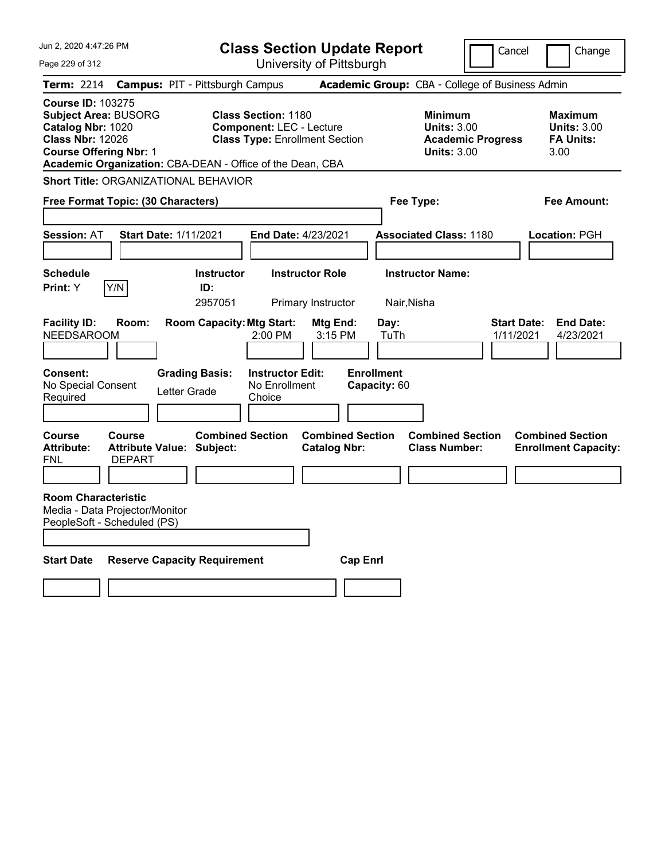| Jun 2, 2020 4:47:26 PM                                                                                                                                                                                | <b>Class Section Update Report</b>                                 |                                     |                                                               |                                                |                                   | Cancel                                                     | Change                          |                                                                  |
|-------------------------------------------------------------------------------------------------------------------------------------------------------------------------------------------------------|--------------------------------------------------------------------|-------------------------------------|---------------------------------------------------------------|------------------------------------------------|-----------------------------------|------------------------------------------------------------|---------------------------------|------------------------------------------------------------------|
| Page 229 of 312                                                                                                                                                                                       |                                                                    |                                     |                                                               | University of Pittsburgh                       |                                   |                                                            |                                 |                                                                  |
| Term: 2214                                                                                                                                                                                            | <b>Campus: PIT - Pittsburgh Campus</b>                             |                                     |                                                               |                                                |                                   | Academic Group: CBA - College of Business Admin            |                                 |                                                                  |
| <b>Course ID: 103275</b><br><b>Subject Area: BUSORG</b><br>Catalog Nbr: 1020<br><b>Class Nbr: 12026</b><br><b>Course Offering Nbr: 1</b><br>Academic Organization: CBA-DEAN - Office of the Dean, CBA |                                                                    |                                     | <b>Class Section: 1180</b><br><b>Component: LEC - Lecture</b> | <b>Class Type: Enrollment Section</b>          |                                   | <b>Minimum</b><br><b>Units: 3.00</b><br><b>Units: 3.00</b> | <b>Academic Progress</b>        | <b>Maximum</b><br><b>Units: 3.00</b><br><b>FA Units:</b><br>3.00 |
| <b>Short Title: ORGANIZATIONAL BEHAVIOR</b>                                                                                                                                                           |                                                                    |                                     |                                                               |                                                |                                   |                                                            |                                 |                                                                  |
| Free Format Topic: (30 Characters)                                                                                                                                                                    |                                                                    |                                     |                                                               |                                                | Fee Type:                         |                                                            |                                 | Fee Amount:                                                      |
| <b>Session: AT</b>                                                                                                                                                                                    | <b>Start Date: 1/11/2021</b>                                       |                                     | End Date: 4/23/2021                                           |                                                |                                   | <b>Associated Class: 1180</b>                              |                                 | Location: PGH                                                    |
| <b>Schedule</b><br>Y/N<br>Print: Y                                                                                                                                                                    |                                                                    | <b>Instructor</b><br>ID:<br>2957051 |                                                               | <b>Instructor Role</b><br>Primary Instructor   | Nair, Nisha                       | <b>Instructor Name:</b>                                    |                                 |                                                                  |
| <b>Facility ID:</b><br><b>NEEDSAROOM</b>                                                                                                                                                              | Room:                                                              | <b>Room Capacity: Mtg Start:</b>    | 2:00 PM                                                       | Mtg End:<br>3:15 PM                            | Day:<br>TuTh                      |                                                            | <b>Start Date:</b><br>1/11/2021 | <b>End Date:</b><br>4/23/2021                                    |
| <b>Consent:</b><br>No Special Consent<br>Required                                                                                                                                                     | <b>Grading Basis:</b><br>Letter Grade                              |                                     | <b>Instructor Edit:</b><br>No Enrollment<br>Choice            |                                                | <b>Enrollment</b><br>Capacity: 60 |                                                            |                                 |                                                                  |
| Course<br><b>Attribute:</b><br>FNL                                                                                                                                                                    | <b>Course</b><br><b>Attribute Value: Subject:</b><br><b>DEPART</b> | <b>Combined Section</b>             |                                                               | <b>Combined Section</b><br><b>Catalog Nbr:</b> |                                   | <b>Combined Section</b><br><b>Class Number:</b>            |                                 | <b>Combined Section</b><br><b>Enrollment Capacity:</b>           |
| <b>Room Characteristic</b><br>Media - Data Projector/Monitor<br>PeopleSoft - Scheduled (PS)                                                                                                           |                                                                    |                                     |                                                               |                                                |                                   |                                                            |                                 |                                                                  |
| <b>Start Date</b>                                                                                                                                                                                     | <b>Reserve Capacity Requirement</b>                                |                                     |                                                               | <b>Cap Enri</b>                                |                                   |                                                            |                                 |                                                                  |
|                                                                                                                                                                                                       |                                                                    |                                     |                                                               |                                                |                                   |                                                            |                                 |                                                                  |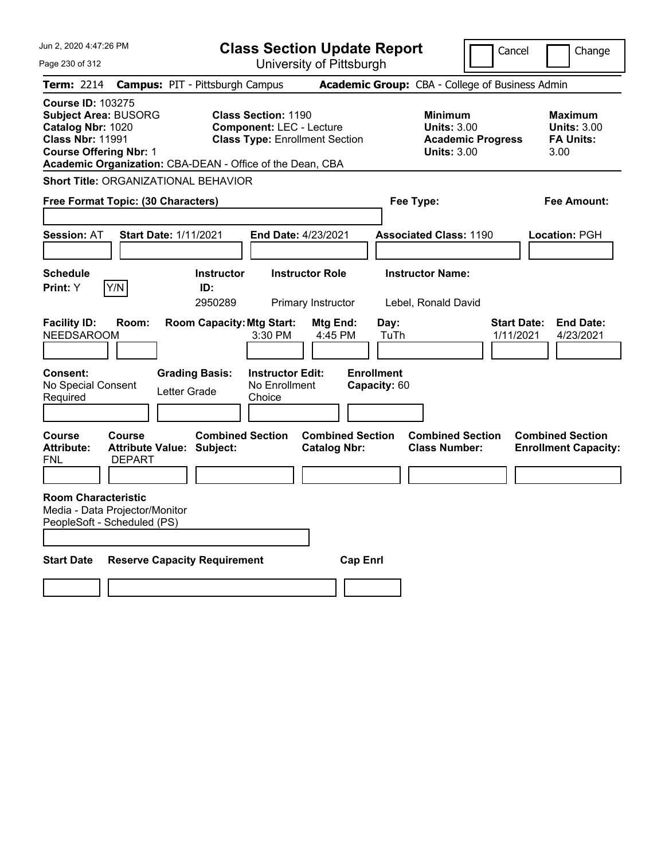| Jun 2, 2020 4:47:26 PM<br><b>Class Section Update Report</b>                                                                                                                                          |                                                             |                                                                                                        |                                                |                                                            | Cancel                          | Change                                                           |
|-------------------------------------------------------------------------------------------------------------------------------------------------------------------------------------------------------|-------------------------------------------------------------|--------------------------------------------------------------------------------------------------------|------------------------------------------------|------------------------------------------------------------|---------------------------------|------------------------------------------------------------------|
| Page 230 of 312                                                                                                                                                                                       |                                                             | University of Pittsburgh                                                                               |                                                |                                                            |                                 |                                                                  |
| Term: 2214                                                                                                                                                                                            | <b>Campus: PIT - Pittsburgh Campus</b>                      |                                                                                                        |                                                | Academic Group: CBA - College of Business Admin            |                                 |                                                                  |
| <b>Course ID: 103275</b><br><b>Subject Area: BUSORG</b><br>Catalog Nbr: 1020<br><b>Class Nbr: 11991</b><br><b>Course Offering Nbr: 1</b><br>Academic Organization: CBA-DEAN - Office of the Dean, CBA |                                                             | <b>Class Section: 1190</b><br><b>Component: LEC - Lecture</b><br><b>Class Type: Enrollment Section</b> |                                                | <b>Minimum</b><br><b>Units: 3.00</b><br><b>Units: 3.00</b> | <b>Academic Progress</b>        | <b>Maximum</b><br><b>Units: 3.00</b><br><b>FA Units:</b><br>3.00 |
| <b>Short Title: ORGANIZATIONAL BEHAVIOR</b>                                                                                                                                                           |                                                             |                                                                                                        |                                                |                                                            |                                 |                                                                  |
| Free Format Topic: (30 Characters)                                                                                                                                                                    |                                                             |                                                                                                        |                                                | Fee Type:                                                  |                                 | Fee Amount:                                                      |
| <b>Session: AT</b>                                                                                                                                                                                    | <b>Start Date: 1/11/2021</b>                                | End Date: 4/23/2021                                                                                    |                                                | <b>Associated Class: 1190</b>                              |                                 | Location: PGH                                                    |
| <b>Schedule</b><br>Y/N<br>Print: Y                                                                                                                                                                    | <b>Instructor</b><br>ID:<br>2950289                         | <b>Instructor Role</b><br>Primary Instructor                                                           |                                                | <b>Instructor Name:</b><br>Lebel, Ronald David             |                                 |                                                                  |
| <b>Facility ID:</b><br>Room:<br><b>NEEDSAROOM</b>                                                                                                                                                     | <b>Room Capacity: Mtg Start:</b>                            | 3:30 PM                                                                                                | Mtg End:<br>4:45 PM                            | Day:<br>TuTh                                               | <b>Start Date:</b><br>1/11/2021 | <b>End Date:</b><br>4/23/2021                                    |
| <b>Consent:</b><br>No Special Consent<br>Required                                                                                                                                                     | <b>Grading Basis:</b><br>Letter Grade                       | <b>Instructor Edit:</b><br>No Enrollment<br>Choice                                                     | <b>Enrollment</b><br>Capacity: 60              |                                                            |                                 |                                                                  |
| <b>Course</b><br>Course<br><b>Attribute:</b><br><b>DEPART</b><br>FNL                                                                                                                                  | <b>Combined Section</b><br><b>Attribute Value: Subject:</b> |                                                                                                        | <b>Combined Section</b><br><b>Catalog Nbr:</b> | <b>Combined Section</b><br><b>Class Number:</b>            |                                 | <b>Combined Section</b><br><b>Enrollment Capacity:</b>           |
| <b>Room Characteristic</b><br>Media - Data Projector/Monitor<br>PeopleSoft - Scheduled (PS)                                                                                                           |                                                             |                                                                                                        |                                                |                                                            |                                 |                                                                  |
| <b>Start Date</b>                                                                                                                                                                                     | <b>Reserve Capacity Requirement</b>                         |                                                                                                        | <b>Cap Enrl</b>                                |                                                            |                                 |                                                                  |
|                                                                                                                                                                                                       |                                                             |                                                                                                        |                                                |                                                            |                                 |                                                                  |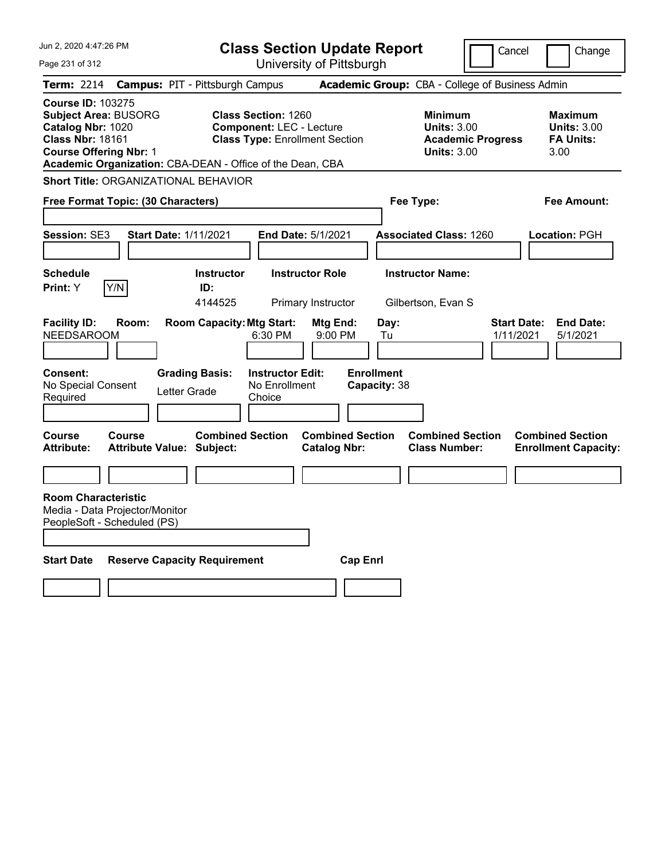| Jun 2, 2020 4:47:26 PM                                                                                                                   |               | <b>Class Section Update Report</b>                          |                                                                                                        |                                                |                                   |                                                                                 | Cancel                          | Change                                                           |
|------------------------------------------------------------------------------------------------------------------------------------------|---------------|-------------------------------------------------------------|--------------------------------------------------------------------------------------------------------|------------------------------------------------|-----------------------------------|---------------------------------------------------------------------------------|---------------------------------|------------------------------------------------------------------|
| Page 231 of 312                                                                                                                          |               |                                                             |                                                                                                        | University of Pittsburgh                       |                                   |                                                                                 |                                 |                                                                  |
| Term: 2214                                                                                                                               |               | <b>Campus: PIT - Pittsburgh Campus</b>                      |                                                                                                        |                                                |                                   | Academic Group: CBA - College of Business Admin                                 |                                 |                                                                  |
| <b>Course ID: 103275</b><br><b>Subject Area: BUSORG</b><br>Catalog Nbr: 1020<br><b>Class Nbr: 18161</b><br><b>Course Offering Nbr: 1</b> |               | Academic Organization: CBA-DEAN - Office of the Dean, CBA   | <b>Class Section: 1260</b><br><b>Component: LEC - Lecture</b><br><b>Class Type: Enrollment Section</b> |                                                |                                   | Minimum<br><b>Units: 3.00</b><br><b>Academic Progress</b><br><b>Units: 3.00</b> |                                 | <b>Maximum</b><br><b>Units: 3.00</b><br><b>FA Units:</b><br>3.00 |
|                                                                                                                                          |               | <b>Short Title: ORGANIZATIONAL BEHAVIOR</b>                 |                                                                                                        |                                                |                                   |                                                                                 |                                 |                                                                  |
| Free Format Topic: (30 Characters)                                                                                                       |               |                                                             |                                                                                                        |                                                | Fee Type:                         |                                                                                 |                                 | Fee Amount:                                                      |
| <b>Session: SE3</b>                                                                                                                      |               | <b>Start Date: 1/11/2021</b>                                | End Date: 5/1/2021                                                                                     |                                                |                                   | <b>Associated Class: 1260</b>                                                   |                                 | Location: PGH                                                    |
| <b>Schedule</b><br>Print: Y                                                                                                              | Y/N           | <b>Instructor</b><br>ID:<br>4144525                         |                                                                                                        | <b>Instructor Role</b><br>Primary Instructor   |                                   | <b>Instructor Name:</b><br>Gilbertson, Evan S                                   |                                 |                                                                  |
| <b>Facility ID:</b><br><b>NEEDSAROOM</b>                                                                                                 | Room:         | <b>Room Capacity: Mtg Start:</b>                            | 6:30 PM                                                                                                | Mtg End:<br>9:00 PM                            | Day:<br>Tu                        |                                                                                 | <b>Start Date:</b><br>1/11/2021 | <b>End Date:</b><br>5/1/2021                                     |
| Consent:<br>No Special Consent<br>Required                                                                                               |               | <b>Grading Basis:</b><br>Letter Grade                       | <b>Instructor Edit:</b><br>No Enrollment<br>Choice                                                     |                                                | <b>Enrollment</b><br>Capacity: 38 |                                                                                 |                                 |                                                                  |
| <b>Course</b><br><b>Attribute:</b>                                                                                                       | <b>Course</b> | <b>Combined Section</b><br><b>Attribute Value: Subject:</b> |                                                                                                        | <b>Combined Section</b><br><b>Catalog Nbr:</b> |                                   | <b>Combined Section</b><br><b>Class Number:</b>                                 |                                 | <b>Combined Section</b><br><b>Enrollment Capacity:</b>           |
|                                                                                                                                          |               |                                                             |                                                                                                        |                                                |                                   |                                                                                 |                                 |                                                                  |
| <b>Room Characteristic</b><br>Media - Data Projector/Monitor<br>PeopleSoft - Scheduled (PS)                                              |               |                                                             |                                                                                                        |                                                |                                   |                                                                                 |                                 |                                                                  |
| <b>Start Date</b>                                                                                                                        |               | <b>Reserve Capacity Requirement</b>                         |                                                                                                        | <b>Cap Enri</b>                                |                                   |                                                                                 |                                 |                                                                  |
|                                                                                                                                          |               |                                                             |                                                                                                        |                                                |                                   |                                                                                 |                                 |                                                                  |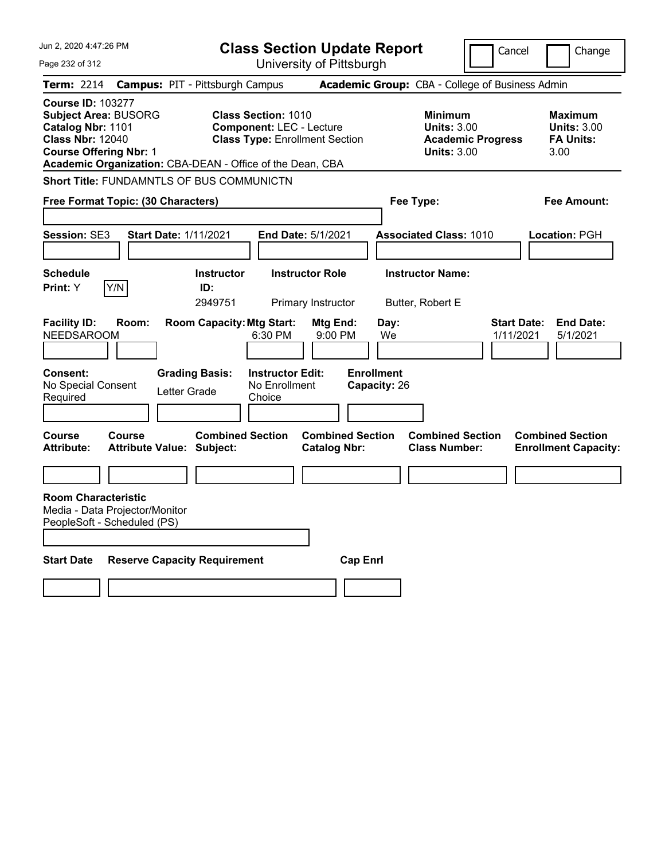| Jun 2, 2020 4:47:26 PM                                                                                                                                                                                | <b>Class Section Update Report</b>                                                                     |                                                | Cancel                                              | Change                          |                                                           |
|-------------------------------------------------------------------------------------------------------------------------------------------------------------------------------------------------------|--------------------------------------------------------------------------------------------------------|------------------------------------------------|-----------------------------------------------------|---------------------------------|-----------------------------------------------------------|
| Page 232 of 312                                                                                                                                                                                       |                                                                                                        | University of Pittsburgh                       |                                                     |                                 |                                                           |
| Term: 2214                                                                                                                                                                                            | <b>Campus: PIT - Pittsburgh Campus</b>                                                                 |                                                | Academic Group: CBA - College of Business Admin     |                                 |                                                           |
| <b>Course ID: 103277</b><br><b>Subject Area: BUSORG</b><br>Catalog Nbr: 1101<br><b>Class Nbr: 12040</b><br><b>Course Offering Nbr: 1</b><br>Academic Organization: CBA-DEAN - Office of the Dean, CBA | <b>Class Section: 1010</b><br><b>Component: LEC - Lecture</b><br><b>Class Type: Enrollment Section</b> |                                                | Minimum<br><b>Units: 3.00</b><br><b>Units: 3.00</b> | <b>Academic Progress</b>        | Maximum<br><b>Units: 3.00</b><br><b>FA Units:</b><br>3.00 |
| Short Title: FUNDAMNTLS OF BUS COMMUNICTN                                                                                                                                                             |                                                                                                        |                                                |                                                     |                                 |                                                           |
| Free Format Topic: (30 Characters)                                                                                                                                                                    |                                                                                                        |                                                | Fee Type:                                           |                                 | Fee Amount:                                               |
|                                                                                                                                                                                                       |                                                                                                        |                                                |                                                     |                                 |                                                           |
| Session: SE3<br><b>Start Date: 1/11/2021</b>                                                                                                                                                          | End Date: 5/1/2021                                                                                     |                                                | <b>Associated Class: 1010</b>                       |                                 | Location: PGH                                             |
|                                                                                                                                                                                                       |                                                                                                        |                                                |                                                     |                                 |                                                           |
| <b>Schedule</b>                                                                                                                                                                                       | <b>Instructor Role</b><br><b>Instructor</b>                                                            |                                                | <b>Instructor Name:</b>                             |                                 |                                                           |
| Y/N<br>Print: Y                                                                                                                                                                                       | ID:                                                                                                    |                                                |                                                     |                                 |                                                           |
|                                                                                                                                                                                                       | 2949751<br>Primary Instructor                                                                          |                                                | Butter, Robert E                                    |                                 |                                                           |
| <b>Facility ID:</b><br>Room:<br><b>NEEDSAROOM</b>                                                                                                                                                     | <b>Room Capacity: Mtg Start:</b><br>6:30 PM                                                            | Mtg End:<br>9:00 PM                            | Day:<br>We                                          | <b>Start Date:</b><br>1/11/2021 | <b>End Date:</b><br>5/1/2021                              |
| Consent:<br>No Special Consent<br>Required                                                                                                                                                            | <b>Grading Basis:</b><br><b>Instructor Edit:</b><br>No Enrollment<br>Letter Grade<br>Choice            | <b>Enrollment</b>                              | Capacity: 26                                        |                                 |                                                           |
| <b>Course</b><br>Course<br><b>Attribute:</b><br><b>Attribute Value: Subject:</b>                                                                                                                      | <b>Combined Section</b>                                                                                | <b>Combined Section</b><br><b>Catalog Nbr:</b> | <b>Combined Section</b><br><b>Class Number:</b>     |                                 | <b>Combined Section</b><br><b>Enrollment Capacity:</b>    |
|                                                                                                                                                                                                       |                                                                                                        |                                                |                                                     |                                 |                                                           |
| <b>Room Characteristic</b><br>Media - Data Projector/Monitor<br>PeopleSoft - Scheduled (PS)                                                                                                           |                                                                                                        |                                                |                                                     |                                 |                                                           |
| <b>Start Date</b>                                                                                                                                                                                     | <b>Reserve Capacity Requirement</b>                                                                    | <b>Cap Enrl</b>                                |                                                     |                                 |                                                           |
|                                                                                                                                                                                                       |                                                                                                        |                                                |                                                     |                                 |                                                           |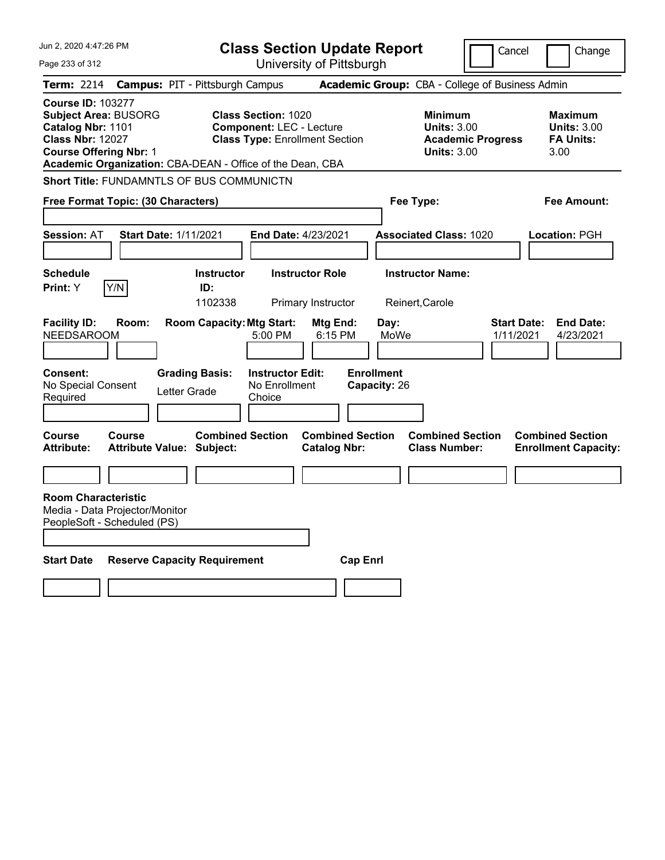| Jun 2, 2020 4:47:26 PM                                                                                                                                                                                |                                                   |                                       | <b>Class Section Update Report</b>                                                                     |                                                |                                   |                                                                                 | Cancel                          | Change                                                    |
|-------------------------------------------------------------------------------------------------------------------------------------------------------------------------------------------------------|---------------------------------------------------|---------------------------------------|--------------------------------------------------------------------------------------------------------|------------------------------------------------|-----------------------------------|---------------------------------------------------------------------------------|---------------------------------|-----------------------------------------------------------|
| Page 233 of 312                                                                                                                                                                                       |                                                   |                                       |                                                                                                        | University of Pittsburgh                       |                                   |                                                                                 |                                 |                                                           |
| Term: 2214                                                                                                                                                                                            | <b>Campus: PIT - Pittsburgh Campus</b>            |                                       |                                                                                                        |                                                |                                   | Academic Group: CBA - College of Business Admin                                 |                                 |                                                           |
| <b>Course ID: 103277</b><br><b>Subject Area: BUSORG</b><br>Catalog Nbr: 1101<br><b>Class Nbr: 12027</b><br><b>Course Offering Nbr: 1</b><br>Academic Organization: CBA-DEAN - Office of the Dean, CBA |                                                   |                                       | <b>Class Section: 1020</b><br><b>Component: LEC - Lecture</b><br><b>Class Type: Enrollment Section</b> |                                                |                                   | Minimum<br><b>Units: 3.00</b><br><b>Academic Progress</b><br><b>Units: 3.00</b> |                                 | Maximum<br><b>Units: 3.00</b><br><b>FA Units:</b><br>3.00 |
| <b>Short Title: FUNDAMNTLS OF BUS COMMUNICTN</b>                                                                                                                                                      |                                                   |                                       |                                                                                                        |                                                |                                   |                                                                                 |                                 |                                                           |
| Free Format Topic: (30 Characters)                                                                                                                                                                    |                                                   |                                       |                                                                                                        |                                                | Fee Type:                         |                                                                                 |                                 | Fee Amount:                                               |
|                                                                                                                                                                                                       |                                                   |                                       |                                                                                                        |                                                |                                   |                                                                                 |                                 |                                                           |
| <b>Session: AT</b>                                                                                                                                                                                    | <b>Start Date: 1/11/2021</b>                      |                                       | End Date: 4/23/2021                                                                                    |                                                |                                   | <b>Associated Class: 1020</b>                                                   |                                 | <b>Location: PGH</b>                                      |
|                                                                                                                                                                                                       |                                                   |                                       |                                                                                                        |                                                |                                   |                                                                                 |                                 |                                                           |
| <b>Schedule</b>                                                                                                                                                                                       |                                                   | <b>Instructor</b>                     |                                                                                                        | <b>Instructor Role</b>                         |                                   | <b>Instructor Name:</b>                                                         |                                 |                                                           |
| <b>Print:</b> Y                                                                                                                                                                                       | Y/N                                               | ID:                                   |                                                                                                        |                                                |                                   |                                                                                 |                                 |                                                           |
|                                                                                                                                                                                                       |                                                   | 1102338                               |                                                                                                        | Primary Instructor                             | Reinert, Carole                   |                                                                                 |                                 |                                                           |
| <b>Facility ID:</b><br><b>NEEDSAROOM</b>                                                                                                                                                              | Room:                                             | <b>Room Capacity: Mtg Start:</b>      | 5:00 PM                                                                                                | Mtg End:<br>6:15 PM                            | Day:<br>MoWe                      |                                                                                 | <b>Start Date:</b><br>1/11/2021 | <b>End Date:</b><br>4/23/2021                             |
| <b>Consent:</b><br>No Special Consent<br>Required                                                                                                                                                     |                                                   | <b>Grading Basis:</b><br>Letter Grade | <b>Instructor Edit:</b><br>No Enrollment<br>Choice                                                     |                                                | <b>Enrollment</b><br>Capacity: 26 |                                                                                 |                                 |                                                           |
|                                                                                                                                                                                                       |                                                   |                                       |                                                                                                        |                                                |                                   |                                                                                 |                                 |                                                           |
| <b>Course</b><br><b>Attribute:</b>                                                                                                                                                                    | <b>Course</b><br><b>Attribute Value: Subject:</b> | <b>Combined Section</b>               |                                                                                                        | <b>Combined Section</b><br><b>Catalog Nbr:</b> |                                   | <b>Combined Section</b><br><b>Class Number:</b>                                 |                                 | <b>Combined Section</b><br><b>Enrollment Capacity:</b>    |
|                                                                                                                                                                                                       |                                                   |                                       |                                                                                                        |                                                |                                   |                                                                                 |                                 |                                                           |
| <b>Room Characteristic</b><br>Media - Data Projector/Monitor<br>PeopleSoft - Scheduled (PS)                                                                                                           |                                                   |                                       |                                                                                                        |                                                |                                   |                                                                                 |                                 |                                                           |
| <b>Start Date</b>                                                                                                                                                                                     | <b>Reserve Capacity Requirement</b>               |                                       |                                                                                                        | <b>Cap Enrl</b>                                |                                   |                                                                                 |                                 |                                                           |
|                                                                                                                                                                                                       |                                                   |                                       |                                                                                                        |                                                |                                   |                                                                                 |                                 |                                                           |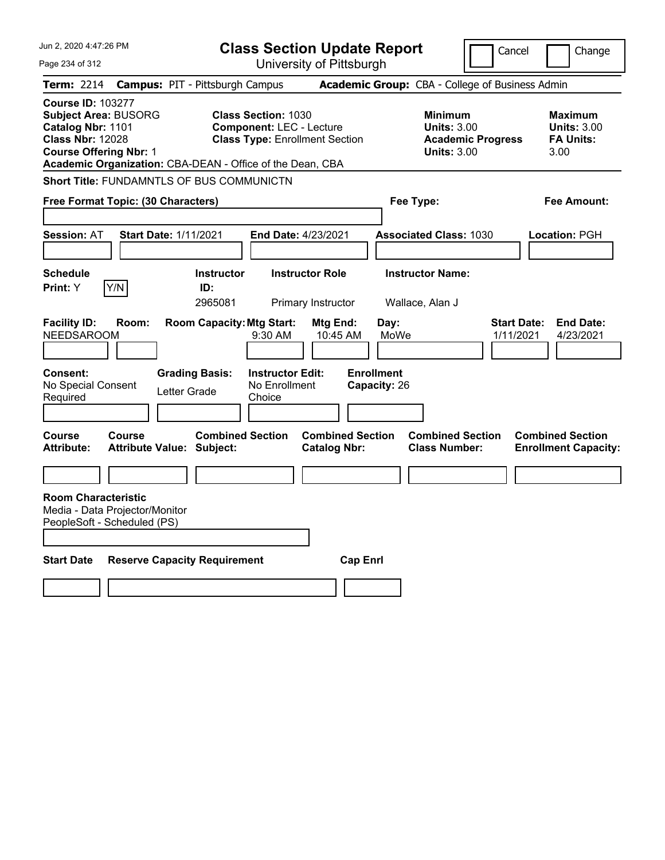| Jun 2, 2020 4:47:26 PM                                                                                                                   |               |                                                             |                                                               | <b>Class Section Update Report</b>             |                                   |                                                                                        | Cancel                          | Change                                                           |
|------------------------------------------------------------------------------------------------------------------------------------------|---------------|-------------------------------------------------------------|---------------------------------------------------------------|------------------------------------------------|-----------------------------------|----------------------------------------------------------------------------------------|---------------------------------|------------------------------------------------------------------|
| Page 234 of 312                                                                                                                          |               |                                                             |                                                               | University of Pittsburgh                       |                                   |                                                                                        |                                 |                                                                  |
| <b>Term: 2214</b>                                                                                                                        |               | <b>Campus: PIT - Pittsburgh Campus</b>                      |                                                               |                                                |                                   | Academic Group: CBA - College of Business Admin                                        |                                 |                                                                  |
| <b>Course ID: 103277</b><br><b>Subject Area: BUSORG</b><br>Catalog Nbr: 1101<br><b>Class Nbr: 12028</b><br><b>Course Offering Nbr: 1</b> |               | Academic Organization: CBA-DEAN - Office of the Dean, CBA   | <b>Class Section: 1030</b><br><b>Component: LEC - Lecture</b> | <b>Class Type: Enrollment Section</b>          |                                   | <b>Minimum</b><br><b>Units: 3.00</b><br><b>Academic Progress</b><br><b>Units: 3.00</b> |                                 | <b>Maximum</b><br><b>Units: 3.00</b><br><b>FA Units:</b><br>3.00 |
|                                                                                                                                          |               | <b>Short Title: FUNDAMNTLS OF BUS COMMUNICTN</b>            |                                                               |                                                |                                   |                                                                                        |                                 |                                                                  |
| Free Format Topic: (30 Characters)                                                                                                       |               |                                                             |                                                               | Fee Type:                                      |                                   |                                                                                        | Fee Amount:                     |                                                                  |
| <b>Session: AT</b>                                                                                                                       |               | <b>Start Date: 1/11/2021</b>                                | <b>End Date: 4/23/2021</b>                                    |                                                |                                   | <b>Associated Class: 1030</b>                                                          |                                 | Location: PGH                                                    |
| <b>Schedule</b>                                                                                                                          |               | <b>Instructor</b>                                           |                                                               | <b>Instructor Role</b>                         |                                   | <b>Instructor Name:</b>                                                                |                                 |                                                                  |
| <b>Print:</b> Y                                                                                                                          | Y/N           | ID:<br>2965081                                              |                                                               | Primary Instructor                             | Wallace, Alan J                   |                                                                                        |                                 |                                                                  |
| <b>Facility ID:</b><br><b>NEEDSAROOM</b>                                                                                                 | Room:         | <b>Room Capacity: Mtg Start:</b>                            | $9:30$ AM                                                     | Mtg End:<br>10:45 AM                           | Day:<br>MoWe                      |                                                                                        | <b>Start Date:</b><br>1/11/2021 | <b>End Date:</b><br>4/23/2021                                    |
| Consent:<br>No Special Consent<br>Required                                                                                               |               | <b>Grading Basis:</b><br>Letter Grade                       | <b>Instructor Edit:</b><br>No Enrollment<br>Choice            |                                                | <b>Enrollment</b><br>Capacity: 26 |                                                                                        |                                 |                                                                  |
| Course<br><b>Attribute:</b>                                                                                                              | <b>Course</b> | <b>Combined Section</b><br><b>Attribute Value: Subject:</b> |                                                               | <b>Combined Section</b><br><b>Catalog Nbr:</b> |                                   | <b>Combined Section</b><br><b>Class Number:</b>                                        |                                 | <b>Combined Section</b><br><b>Enrollment Capacity:</b>           |
|                                                                                                                                          |               |                                                             |                                                               |                                                |                                   |                                                                                        |                                 |                                                                  |
| <b>Room Characteristic</b><br>Media - Data Projector/Monitor<br>PeopleSoft - Scheduled (PS)                                              |               |                                                             |                                                               |                                                |                                   |                                                                                        |                                 |                                                                  |
| <b>Start Date</b>                                                                                                                        |               | <b>Reserve Capacity Requirement</b>                         |                                                               | <b>Cap Enri</b>                                |                                   |                                                                                        |                                 |                                                                  |
|                                                                                                                                          |               |                                                             |                                                               |                                                |                                   |                                                                                        |                                 |                                                                  |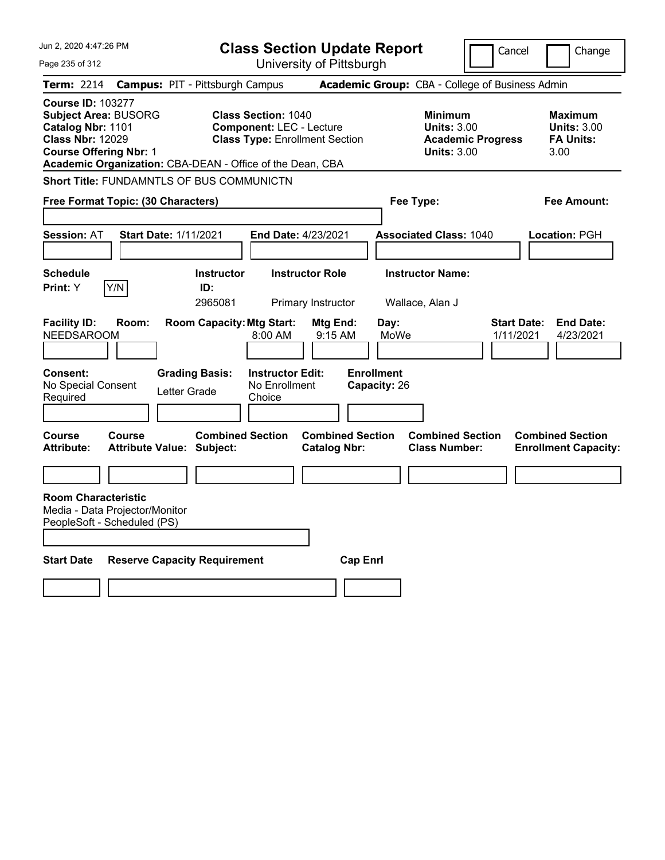| Jun 2, 2020 4:47:26 PM                                                                                                                                                                                | <b>Class Section Update Report</b>                                                                                                                            |                                                                                        | Cancel<br>Change                                                 |
|-------------------------------------------------------------------------------------------------------------------------------------------------------------------------------------------------------|---------------------------------------------------------------------------------------------------------------------------------------------------------------|----------------------------------------------------------------------------------------|------------------------------------------------------------------|
| Page 235 of 312                                                                                                                                                                                       | University of Pittsburgh                                                                                                                                      |                                                                                        |                                                                  |
| Term: 2214                                                                                                                                                                                            | <b>Campus: PIT - Pittsburgh Campus</b>                                                                                                                        | Academic Group: CBA - College of Business Admin                                        |                                                                  |
| <b>Course ID: 103277</b><br><b>Subject Area: BUSORG</b><br>Catalog Nbr: 1101<br><b>Class Nbr: 12029</b><br><b>Course Offering Nbr: 1</b><br>Academic Organization: CBA-DEAN - Office of the Dean, CBA | <b>Class Section: 1040</b><br><b>Component: LEC - Lecture</b><br><b>Class Type: Enrollment Section</b>                                                        | <b>Minimum</b><br><b>Units: 3.00</b><br><b>Academic Progress</b><br><b>Units: 3.00</b> | <b>Maximum</b><br><b>Units: 3.00</b><br><b>FA Units:</b><br>3.00 |
| <b>Short Title: FUNDAMNTLS OF BUS COMMUNICTN</b>                                                                                                                                                      |                                                                                                                                                               |                                                                                        |                                                                  |
| Free Format Topic: (30 Characters)                                                                                                                                                                    |                                                                                                                                                               | Fee Type:                                                                              | Fee Amount:                                                      |
| <b>Session: AT</b><br><b>Start Date: 1/11/2021</b>                                                                                                                                                    | <b>End Date: 4/23/2021</b>                                                                                                                                    | <b>Associated Class: 1040</b>                                                          | Location: PGH                                                    |
| <b>Schedule</b>                                                                                                                                                                                       | <b>Instructor Role</b><br><b>Instructor</b>                                                                                                                   | <b>Instructor Name:</b>                                                                |                                                                  |
| Y/N<br>Print: Y                                                                                                                                                                                       | ID:<br>2965081<br>Primary Instructor                                                                                                                          | Wallace, Alan J                                                                        |                                                                  |
| <b>Facility ID:</b><br>Room:<br><b>NEEDSAROOM</b><br><b>Consent:</b><br>No Special Consent<br>Letter Grade<br>Required                                                                                | <b>Room Capacity: Mtg Start:</b><br>Mtg End:<br>$8:00 \, \text{AM}$<br>9:15 AM<br><b>Grading Basis:</b><br><b>Instructor Edit:</b><br>No Enrollment<br>Choice | Day:<br>MoWe<br><b>Enrollment</b><br>Capacity: 26                                      | <b>Start Date:</b><br><b>End Date:</b><br>1/11/2021<br>4/23/2021 |
| <b>Course</b><br>Course<br>Attribute:<br><b>Attribute Value: Subject:</b>                                                                                                                             | <b>Combined Section</b><br><b>Catalog Nbr:</b>                                                                                                                | <b>Combined Section</b><br><b>Combined Section</b><br><b>Class Number:</b>             | <b>Combined Section</b><br><b>Enrollment Capacity:</b>           |
|                                                                                                                                                                                                       |                                                                                                                                                               |                                                                                        |                                                                  |
| <b>Room Characteristic</b><br>Media - Data Projector/Monitor<br>PeopleSoft - Scheduled (PS)                                                                                                           |                                                                                                                                                               |                                                                                        |                                                                  |
| <b>Start Date</b><br><b>Reserve Capacity Requirement</b>                                                                                                                                              |                                                                                                                                                               | <b>Cap Enri</b>                                                                        |                                                                  |
|                                                                                                                                                                                                       |                                                                                                                                                               |                                                                                        |                                                                  |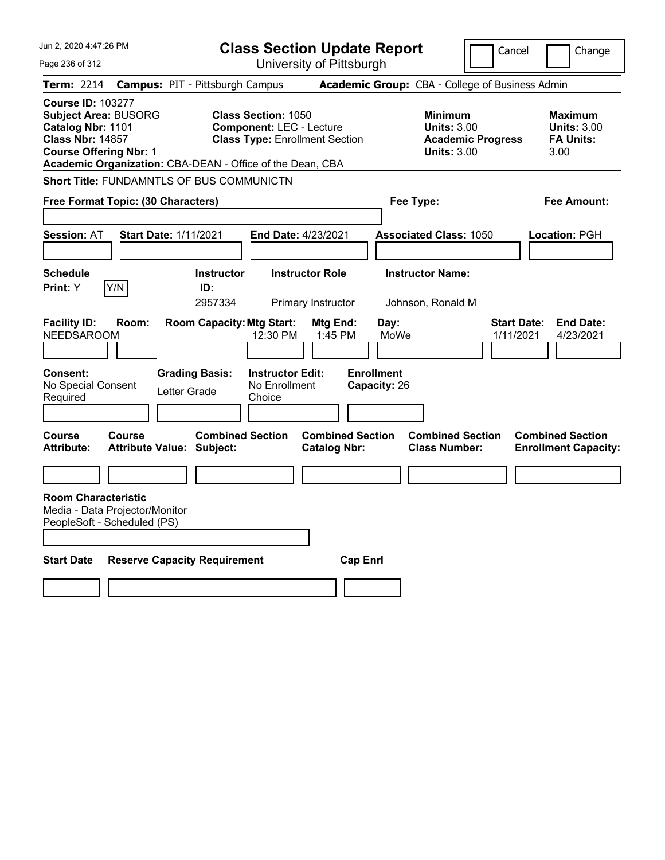| Jun 2, 2020 4:47:26 PM                                                                                                                   | <b>Class Section Update Report</b>                        |                                     |                                                                                                        |                                                |                                   |                                                                                        | Cancel                          | Change                                                           |
|------------------------------------------------------------------------------------------------------------------------------------------|-----------------------------------------------------------|-------------------------------------|--------------------------------------------------------------------------------------------------------|------------------------------------------------|-----------------------------------|----------------------------------------------------------------------------------------|---------------------------------|------------------------------------------------------------------|
| Page 236 of 312                                                                                                                          |                                                           |                                     |                                                                                                        | University of Pittsburgh                       |                                   |                                                                                        |                                 |                                                                  |
| <b>Term: 2214</b>                                                                                                                        | <b>Campus: PIT - Pittsburgh Campus</b>                    |                                     |                                                                                                        |                                                |                                   | Academic Group: CBA - College of Business Admin                                        |                                 |                                                                  |
| <b>Course ID: 103277</b><br><b>Subject Area: BUSORG</b><br>Catalog Nbr: 1101<br><b>Class Nbr: 14857</b><br><b>Course Offering Nbr: 1</b> | Academic Organization: CBA-DEAN - Office of the Dean, CBA |                                     | <b>Class Section: 1050</b><br><b>Component: LEC - Lecture</b><br><b>Class Type: Enrollment Section</b> |                                                |                                   | <b>Minimum</b><br><b>Units: 3.00</b><br><b>Academic Progress</b><br><b>Units: 3.00</b> |                                 | <b>Maximum</b><br><b>Units: 3.00</b><br><b>FA Units:</b><br>3.00 |
|                                                                                                                                          | <b>Short Title: FUNDAMNTLS OF BUS COMMUNICTN</b>          |                                     |                                                                                                        |                                                |                                   |                                                                                        |                                 |                                                                  |
|                                                                                                                                          | Free Format Topic: (30 Characters)                        |                                     |                                                                                                        | Fee Type:                                      |                                   |                                                                                        | Fee Amount:                     |                                                                  |
| <b>Session: AT</b>                                                                                                                       | <b>Start Date: 1/11/2021</b>                              |                                     | End Date: 4/23/2021                                                                                    |                                                |                                   | <b>Associated Class: 1050</b>                                                          |                                 | Location: PGH                                                    |
| <b>Schedule</b><br><b>Print:</b> Y                                                                                                       | Y/N                                                       | <b>Instructor</b><br>ID:<br>2957334 |                                                                                                        | <b>Instructor Role</b><br>Primary Instructor   |                                   | <b>Instructor Name:</b><br>Johnson, Ronald M                                           |                                 |                                                                  |
| <b>Facility ID:</b><br><b>NEEDSAROOM</b>                                                                                                 | Room:                                                     | <b>Room Capacity: Mtg Start:</b>    | 12:30 PM                                                                                               | Mtg End:<br>1:45 PM                            | Day:<br>MoWe                      |                                                                                        | <b>Start Date:</b><br>1/11/2021 | <b>End Date:</b><br>4/23/2021                                    |
| Consent:<br>No Special Consent<br>Required                                                                                               | Letter Grade                                              | <b>Grading Basis:</b>               | <b>Instructor Edit:</b><br>No Enrollment<br>Choice                                                     |                                                | <b>Enrollment</b><br>Capacity: 26 |                                                                                        |                                 |                                                                  |
| <b>Course</b><br><b>Attribute:</b>                                                                                                       | <b>Course</b><br><b>Attribute Value: Subject:</b>         | <b>Combined Section</b>             |                                                                                                        | <b>Combined Section</b><br><b>Catalog Nbr:</b> |                                   | <b>Combined Section</b><br><b>Class Number:</b>                                        |                                 | <b>Combined Section</b><br><b>Enrollment Capacity:</b>           |
|                                                                                                                                          |                                                           |                                     |                                                                                                        |                                                |                                   |                                                                                        |                                 |                                                                  |
| <b>Room Characteristic</b><br>PeopleSoft - Scheduled (PS)                                                                                | Media - Data Projector/Monitor                            |                                     |                                                                                                        |                                                |                                   |                                                                                        |                                 |                                                                  |
| <b>Start Date</b>                                                                                                                        | <b>Reserve Capacity Requirement</b>                       |                                     |                                                                                                        | <b>Cap Enrl</b>                                |                                   |                                                                                        |                                 |                                                                  |
|                                                                                                                                          |                                                           |                                     |                                                                                                        |                                                |                                   |                                                                                        |                                 |                                                                  |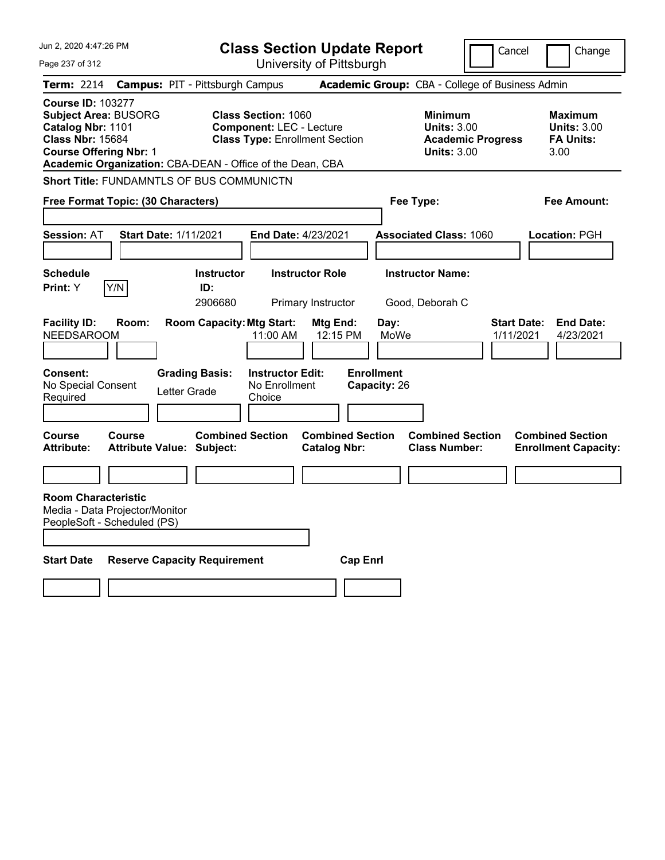| Jun 2, 2020 4:47:26 PM                                                                                                                   |                                                  | <b>Class Section Update Report</b>                                                                                                                                  | Cancel<br>Change                                                                |                                                                  |
|------------------------------------------------------------------------------------------------------------------------------------------|--------------------------------------------------|---------------------------------------------------------------------------------------------------------------------------------------------------------------------|---------------------------------------------------------------------------------|------------------------------------------------------------------|
| Page 237 of 312                                                                                                                          |                                                  | University of Pittsburgh                                                                                                                                            |                                                                                 |                                                                  |
| Term: 2214                                                                                                                               | <b>Campus: PIT - Pittsburgh Campus</b>           |                                                                                                                                                                     | Academic Group: CBA - College of Business Admin                                 |                                                                  |
| <b>Course ID: 103277</b><br><b>Subject Area: BUSORG</b><br>Catalog Nbr: 1101<br><b>Class Nbr: 15684</b><br><b>Course Offering Nbr: 1</b> |                                                  | <b>Class Section: 1060</b><br><b>Component: LEC - Lecture</b><br><b>Class Type: Enrollment Section</b><br>Academic Organization: CBA-DEAN - Office of the Dean, CBA | Minimum<br><b>Units: 3.00</b><br><b>Academic Progress</b><br><b>Units: 3.00</b> | Maximum<br><b>Units: 3.00</b><br><b>FA Units:</b><br>3.00        |
|                                                                                                                                          | <b>Short Title: FUNDAMNTLS OF BUS COMMUNICTN</b> |                                                                                                                                                                     |                                                                                 |                                                                  |
| Free Format Topic: (30 Characters)                                                                                                       |                                                  |                                                                                                                                                                     | Fee Type:                                                                       | Fee Amount:                                                      |
| <b>Session: AT</b>                                                                                                                       | <b>Start Date: 1/11/2021</b>                     | <b>End Date: 4/23/2021</b>                                                                                                                                          | <b>Associated Class: 1060</b>                                                   | Location: PGH                                                    |
| <b>Schedule</b><br>Y/N<br>Print: Y                                                                                                       | <b>Instructor</b><br>ID:<br>2906680              | <b>Instructor Role</b><br>Primary Instructor                                                                                                                        | <b>Instructor Name:</b><br>Good, Deborah C                                      |                                                                  |
| <b>Facility ID:</b><br><b>NEEDSAROOM</b>                                                                                                 | Room:                                            | <b>Room Capacity: Mtg Start:</b><br>Mtg End:<br>11:00 AM<br>12:15 PM                                                                                                | Day:<br>MoWe                                                                    | <b>End Date:</b><br><b>Start Date:</b><br>1/11/2021<br>4/23/2021 |
| <b>Consent:</b><br>No Special Consent<br>Required                                                                                        | <b>Grading Basis:</b><br>Letter Grade            | <b>Instructor Edit:</b><br>No Enrollment<br>Choice                                                                                                                  | <b>Enrollment</b><br>Capacity: 26                                               |                                                                  |
| <b>Course</b><br>Course<br><b>Attribute:</b>                                                                                             | <b>Attribute Value: Subject:</b>                 | <b>Combined Section</b><br><b>Combined Section</b><br><b>Catalog Nbr:</b>                                                                                           | <b>Combined Section</b><br><b>Class Number:</b>                                 | <b>Combined Section</b><br><b>Enrollment Capacity:</b>           |
|                                                                                                                                          |                                                  |                                                                                                                                                                     |                                                                                 |                                                                  |
| <b>Room Characteristic</b><br>Media - Data Projector/Monitor<br>PeopleSoft - Scheduled (PS)                                              |                                                  |                                                                                                                                                                     |                                                                                 |                                                                  |
| <b>Start Date</b>                                                                                                                        | <b>Reserve Capacity Requirement</b>              |                                                                                                                                                                     | <b>Cap Enrl</b>                                                                 |                                                                  |
|                                                                                                                                          |                                                  |                                                                                                                                                                     |                                                                                 |                                                                  |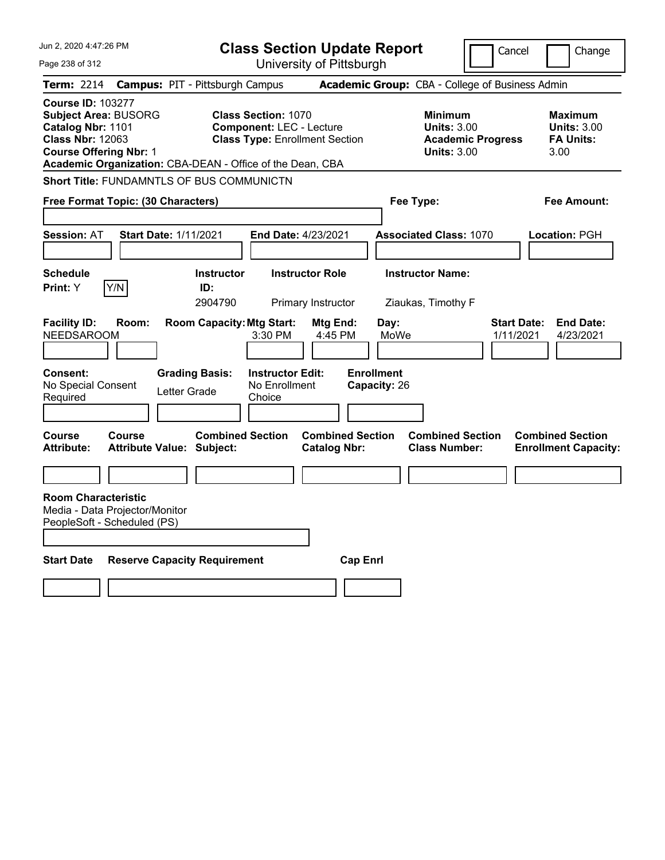| Jun 2, 2020 4:47:26 PM                                                                                                                   |                                                                       | <b>Class Section Update Report</b>                                        |                                                                                                        |                                                |                                                   |                                                                                 | Cancel                          | Change                                                    |
|------------------------------------------------------------------------------------------------------------------------------------------|-----------------------------------------------------------------------|---------------------------------------------------------------------------|--------------------------------------------------------------------------------------------------------|------------------------------------------------|---------------------------------------------------|---------------------------------------------------------------------------------|---------------------------------|-----------------------------------------------------------|
| Page 238 of 312                                                                                                                          |                                                                       |                                                                           |                                                                                                        | University of Pittsburgh                       |                                                   |                                                                                 |                                 |                                                           |
| Term: 2214                                                                                                                               | <b>Campus: PIT - Pittsburgh Campus</b>                                |                                                                           |                                                                                                        |                                                |                                                   | Academic Group: CBA - College of Business Admin                                 |                                 |                                                           |
| <b>Course ID: 103277</b><br><b>Subject Area: BUSORG</b><br>Catalog Nbr: 1101<br><b>Class Nbr: 12063</b><br><b>Course Offering Nbr: 1</b> | Academic Organization: CBA-DEAN - Office of the Dean, CBA             |                                                                           | <b>Class Section: 1070</b><br><b>Component: LEC - Lecture</b><br><b>Class Type: Enrollment Section</b> |                                                |                                                   | Minimum<br><b>Units: 3.00</b><br><b>Academic Progress</b><br><b>Units: 3.00</b> |                                 | Maximum<br><b>Units: 3.00</b><br><b>FA Units:</b><br>3.00 |
|                                                                                                                                          | <b>Short Title: FUNDAMNTLS OF BUS COMMUNICTN</b>                      |                                                                           |                                                                                                        |                                                |                                                   |                                                                                 |                                 |                                                           |
|                                                                                                                                          | Free Format Topic: (30 Characters)                                    |                                                                           |                                                                                                        |                                                | Fee Type:                                         |                                                                                 |                                 | Fee Amount:                                               |
| <b>Session: AT</b>                                                                                                                       | <b>Start Date: 1/11/2021</b>                                          |                                                                           | End Date: 4/23/2021                                                                                    |                                                |                                                   | <b>Associated Class: 1070</b>                                                   |                                 | <b>Location: PGH</b>                                      |
| <b>Schedule</b>                                                                                                                          |                                                                       | <b>Instructor</b>                                                         |                                                                                                        | <b>Instructor Role</b>                         |                                                   | <b>Instructor Name:</b>                                                         |                                 |                                                           |
| <b>Print:</b> Y                                                                                                                          | Y/N                                                                   | ID:<br>2904790                                                            |                                                                                                        | Primary Instructor                             |                                                   | Ziaukas, Timothy F                                                              |                                 |                                                           |
| <b>Facility ID:</b><br><b>NEEDSAROOM</b><br><b>Consent:</b><br>No Special Consent<br>Required                                            | Room:                                                                 | <b>Room Capacity: Mtg Start:</b><br><b>Grading Basis:</b><br>Letter Grade | 3:30 PM<br><b>Instructor Edit:</b><br>No Enrollment<br>Choice                                          | Mtg End:<br>4:45 PM                            | Day:<br>MoWe<br><b>Enrollment</b><br>Capacity: 26 |                                                                                 | <b>Start Date:</b><br>1/11/2021 | <b>End Date:</b><br>4/23/2021                             |
| <b>Course</b><br><b>Attribute:</b>                                                                                                       | <b>Course</b><br><b>Attribute Value: Subject:</b>                     | <b>Combined Section</b>                                                   |                                                                                                        | <b>Combined Section</b><br><b>Catalog Nbr:</b> |                                                   | <b>Combined Section</b><br><b>Class Number:</b>                                 |                                 | <b>Combined Section</b><br><b>Enrollment Capacity:</b>    |
| <b>Room Characteristic</b><br>PeopleSoft - Scheduled (PS)<br><b>Start Date</b>                                                           | Media - Data Projector/Monitor<br><b>Reserve Capacity Requirement</b> |                                                                           |                                                                                                        | <b>Cap Enrl</b>                                |                                                   |                                                                                 |                                 |                                                           |
|                                                                                                                                          |                                                                       |                                                                           |                                                                                                        |                                                |                                                   |                                                                                 |                                 |                                                           |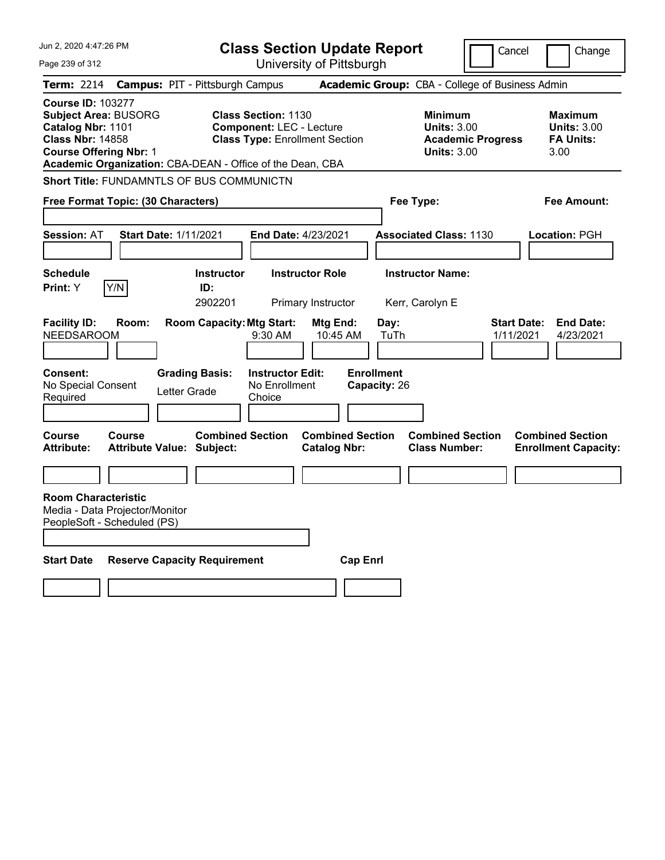| Jun 2, 2020 4:47:26 PM                                                                                                                                                                                | <b>Class Section Update Report</b>                                                                                        |                                                                                 | Cancel<br>Change                                                 |
|-------------------------------------------------------------------------------------------------------------------------------------------------------------------------------------------------------|---------------------------------------------------------------------------------------------------------------------------|---------------------------------------------------------------------------------|------------------------------------------------------------------|
| Page 239 of 312                                                                                                                                                                                       | University of Pittsburgh                                                                                                  |                                                                                 |                                                                  |
| Term: 2214                                                                                                                                                                                            | <b>Campus: PIT - Pittsburgh Campus</b>                                                                                    | Academic Group: CBA - College of Business Admin                                 |                                                                  |
| <b>Course ID: 103277</b><br><b>Subject Area: BUSORG</b><br>Catalog Nbr: 1101<br><b>Class Nbr: 14858</b><br><b>Course Offering Nbr: 1</b><br>Academic Organization: CBA-DEAN - Office of the Dean, CBA | <b>Class Section: 1130</b><br><b>Component: LEC - Lecture</b><br><b>Class Type: Enrollment Section</b>                    | Minimum<br><b>Units: 3.00</b><br><b>Academic Progress</b><br><b>Units: 3.00</b> | Maximum<br><b>Units: 3.00</b><br><b>FA Units:</b><br>3.00        |
| <b>Short Title: FUNDAMNTLS OF BUS COMMUNICTN</b>                                                                                                                                                      |                                                                                                                           |                                                                                 |                                                                  |
| Free Format Topic: (30 Characters)                                                                                                                                                                    |                                                                                                                           | Fee Type:                                                                       | Fee Amount:                                                      |
| <b>Session: AT</b><br><b>Start Date: 1/11/2021</b>                                                                                                                                                    | End Date: 4/23/2021                                                                                                       | <b>Associated Class: 1130</b>                                                   | <b>Location: PGH</b>                                             |
| <b>Schedule</b>                                                                                                                                                                                       | <b>Instructor Role</b><br><b>Instructor</b>                                                                               | <b>Instructor Name:</b>                                                         |                                                                  |
| Y/N<br><b>Print:</b> Y                                                                                                                                                                                | ID:<br>2902201<br>Primary Instructor                                                                                      | Kerr, Carolyn E                                                                 |                                                                  |
| <b>Facility ID:</b><br>Room:<br><b>NEEDSAROOM</b><br><b>Consent:</b><br><b>Grading Basis:</b><br>No Special Consent<br>Letter Grade<br>Required                                                       | <b>Room Capacity: Mtg Start:</b><br>Mtg End:<br>9:30 AM<br>10:45 AM<br><b>Instructor Edit:</b><br>No Enrollment<br>Choice | Day:<br>TuTh<br><b>Enrollment</b><br>Capacity: 26                               | <b>Start Date:</b><br><b>End Date:</b><br>1/11/2021<br>4/23/2021 |
| <b>Course</b><br><b>Course</b><br><b>Attribute:</b><br><b>Attribute Value: Subject:</b>                                                                                                               | <b>Combined Section</b><br><b>Catalog Nbr:</b>                                                                            | <b>Combined Section</b><br><b>Combined Section</b><br><b>Class Number:</b>      | <b>Combined Section</b><br><b>Enrollment Capacity:</b>           |
|                                                                                                                                                                                                       |                                                                                                                           |                                                                                 |                                                                  |
| <b>Room Characteristic</b><br>Media - Data Projector/Monitor<br>PeopleSoft - Scheduled (PS)                                                                                                           |                                                                                                                           |                                                                                 |                                                                  |
| <b>Start Date</b><br><b>Reserve Capacity Requirement</b>                                                                                                                                              |                                                                                                                           | <b>Cap Enrl</b>                                                                 |                                                                  |
|                                                                                                                                                                                                       |                                                                                                                           |                                                                                 |                                                                  |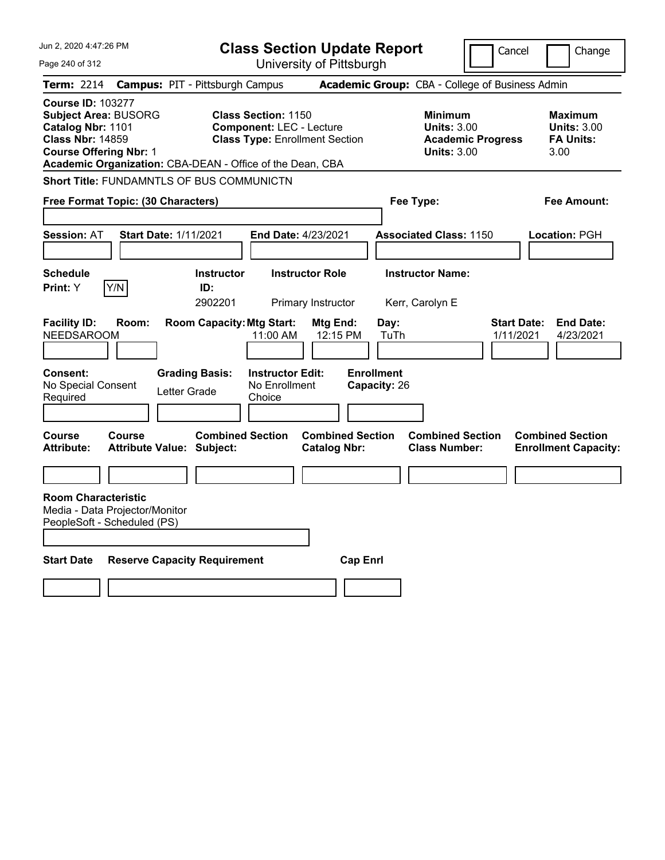| Jun 2, 2020 4:47:26 PM                                                                                                                                                                                | <b>Class Section Update Report</b>                                                                                                                  |                                                                                 | Cancel<br>Change                                                 |
|-------------------------------------------------------------------------------------------------------------------------------------------------------------------------------------------------------|-----------------------------------------------------------------------------------------------------------------------------------------------------|---------------------------------------------------------------------------------|------------------------------------------------------------------|
| Page 240 of 312                                                                                                                                                                                       | University of Pittsburgh                                                                                                                            |                                                                                 |                                                                  |
| Term: 2214                                                                                                                                                                                            | <b>Campus: PIT - Pittsburgh Campus</b>                                                                                                              | Academic Group: CBA - College of Business Admin                                 |                                                                  |
| <b>Course ID: 103277</b><br><b>Subject Area: BUSORG</b><br>Catalog Nbr: 1101<br><b>Class Nbr: 14859</b><br><b>Course Offering Nbr: 1</b><br>Academic Organization: CBA-DEAN - Office of the Dean, CBA | <b>Class Section: 1150</b><br><b>Component: LEC - Lecture</b><br><b>Class Type: Enrollment Section</b>                                              | Minimum<br><b>Units: 3.00</b><br><b>Academic Progress</b><br><b>Units: 3.00</b> | Maximum<br><b>Units: 3.00</b><br><b>FA Units:</b><br>3.00        |
| <b>Short Title: FUNDAMNTLS OF BUS COMMUNICTN</b>                                                                                                                                                      |                                                                                                                                                     |                                                                                 |                                                                  |
| Free Format Topic: (30 Characters)                                                                                                                                                                    |                                                                                                                                                     | Fee Type:                                                                       | Fee Amount:                                                      |
| <b>Session: AT</b><br><b>Start Date: 1/11/2021</b>                                                                                                                                                    | End Date: 4/23/2021                                                                                                                                 | <b>Associated Class: 1150</b>                                                   | <b>Location: PGH</b>                                             |
| <b>Schedule</b>                                                                                                                                                                                       | <b>Instructor Role</b><br><b>Instructor</b>                                                                                                         | <b>Instructor Name:</b>                                                         |                                                                  |
| Y/N<br><b>Print:</b> Y                                                                                                                                                                                | ID:<br>2902201<br>Primary Instructor                                                                                                                | Kerr, Carolyn E                                                                 |                                                                  |
| <b>Facility ID:</b><br>Room:<br><b>NEEDSAROOM</b><br>Consent:<br>No Special Consent<br>Letter Grade<br>Required                                                                                       | <b>Room Capacity: Mtg Start:</b><br>Mtg End:<br>12:15 PM<br>11:00 AM<br><b>Grading Basis:</b><br><b>Instructor Edit:</b><br>No Enrollment<br>Choice | Day:<br>TuTh<br><b>Enrollment</b><br>Capacity: 26                               | <b>Start Date:</b><br><b>End Date:</b><br>1/11/2021<br>4/23/2021 |
| <b>Course</b><br><b>Course</b><br><b>Attribute:</b><br><b>Attribute Value: Subject:</b>                                                                                                               | <b>Combined Section</b><br><b>Catalog Nbr:</b>                                                                                                      | <b>Combined Section</b><br><b>Combined Section</b><br><b>Class Number:</b>      | <b>Combined Section</b><br><b>Enrollment Capacity:</b>           |
|                                                                                                                                                                                                       |                                                                                                                                                     |                                                                                 |                                                                  |
| <b>Room Characteristic</b><br>Media - Data Projector/Monitor<br>PeopleSoft - Scheduled (PS)                                                                                                           |                                                                                                                                                     |                                                                                 |                                                                  |
| <b>Start Date</b><br><b>Reserve Capacity Requirement</b>                                                                                                                                              |                                                                                                                                                     | <b>Cap Enrl</b>                                                                 |                                                                  |
|                                                                                                                                                                                                       |                                                                                                                                                     |                                                                                 |                                                                  |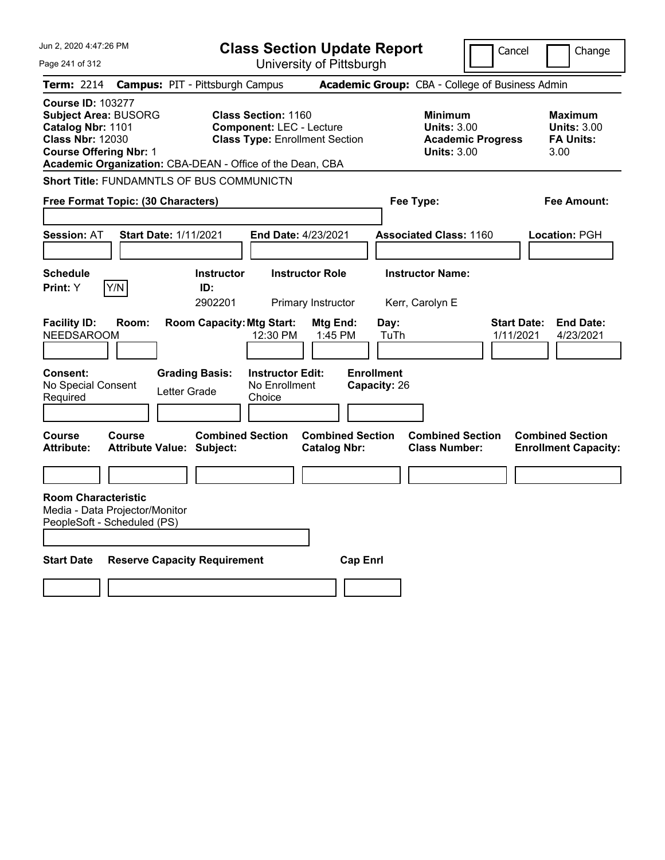| Jun 2, 2020 4:47:26 PM                                                                                                                                                                                | <b>Class Section Update Report</b>                                                                                        |                                                                                 | Cancel<br>Change                                                 |
|-------------------------------------------------------------------------------------------------------------------------------------------------------------------------------------------------------|---------------------------------------------------------------------------------------------------------------------------|---------------------------------------------------------------------------------|------------------------------------------------------------------|
| Page 241 of 312                                                                                                                                                                                       | University of Pittsburgh                                                                                                  |                                                                                 |                                                                  |
| Term: 2214                                                                                                                                                                                            | <b>Campus: PIT - Pittsburgh Campus</b>                                                                                    | Academic Group: CBA - College of Business Admin                                 |                                                                  |
| <b>Course ID: 103277</b><br><b>Subject Area: BUSORG</b><br>Catalog Nbr: 1101<br><b>Class Nbr: 12030</b><br><b>Course Offering Nbr: 1</b><br>Academic Organization: CBA-DEAN - Office of the Dean, CBA | <b>Class Section: 1160</b><br><b>Component: LEC - Lecture</b><br><b>Class Type: Enrollment Section</b>                    | Minimum<br><b>Units: 3.00</b><br><b>Academic Progress</b><br><b>Units: 3.00</b> | Maximum<br><b>Units: 3.00</b><br><b>FA Units:</b><br>3.00        |
| <b>Short Title: FUNDAMNTLS OF BUS COMMUNICTN</b>                                                                                                                                                      |                                                                                                                           |                                                                                 |                                                                  |
| Free Format Topic: (30 Characters)                                                                                                                                                                    |                                                                                                                           | Fee Type:                                                                       | Fee Amount:                                                      |
| <b>Session: AT</b><br><b>Start Date: 1/11/2021</b>                                                                                                                                                    | End Date: 4/23/2021                                                                                                       | <b>Associated Class: 1160</b>                                                   | <b>Location: PGH</b>                                             |
| <b>Schedule</b>                                                                                                                                                                                       | <b>Instructor Role</b><br><b>Instructor</b>                                                                               | <b>Instructor Name:</b>                                                         |                                                                  |
| Y/N<br><b>Print:</b> Y                                                                                                                                                                                | ID:<br>2902201<br>Primary Instructor                                                                                      | Kerr, Carolyn E                                                                 |                                                                  |
| <b>Facility ID:</b><br>Room:<br><b>NEEDSAROOM</b><br><b>Consent:</b><br><b>Grading Basis:</b><br>No Special Consent<br>Letter Grade<br>Required                                                       | <b>Room Capacity: Mtg Start:</b><br>Mtg End:<br>1:45 PM<br>12:30 PM<br><b>Instructor Edit:</b><br>No Enrollment<br>Choice | Day:<br>TuTh<br><b>Enrollment</b><br>Capacity: 26                               | <b>Start Date:</b><br><b>End Date:</b><br>1/11/2021<br>4/23/2021 |
| <b>Course</b><br><b>Course</b><br><b>Attribute:</b><br><b>Attribute Value: Subject:</b>                                                                                                               | <b>Combined Section</b><br><b>Catalog Nbr:</b>                                                                            | <b>Combined Section</b><br><b>Combined Section</b><br><b>Class Number:</b>      | <b>Combined Section</b><br><b>Enrollment Capacity:</b>           |
|                                                                                                                                                                                                       |                                                                                                                           |                                                                                 |                                                                  |
| <b>Room Characteristic</b><br>Media - Data Projector/Monitor<br>PeopleSoft - Scheduled (PS)                                                                                                           |                                                                                                                           |                                                                                 |                                                                  |
| <b>Start Date</b><br><b>Reserve Capacity Requirement</b>                                                                                                                                              |                                                                                                                           | <b>Cap Enrl</b>                                                                 |                                                                  |
|                                                                                                                                                                                                       |                                                                                                                           |                                                                                 |                                                                  |
|                                                                                                                                                                                                       |                                                                                                                           |                                                                                 |                                                                  |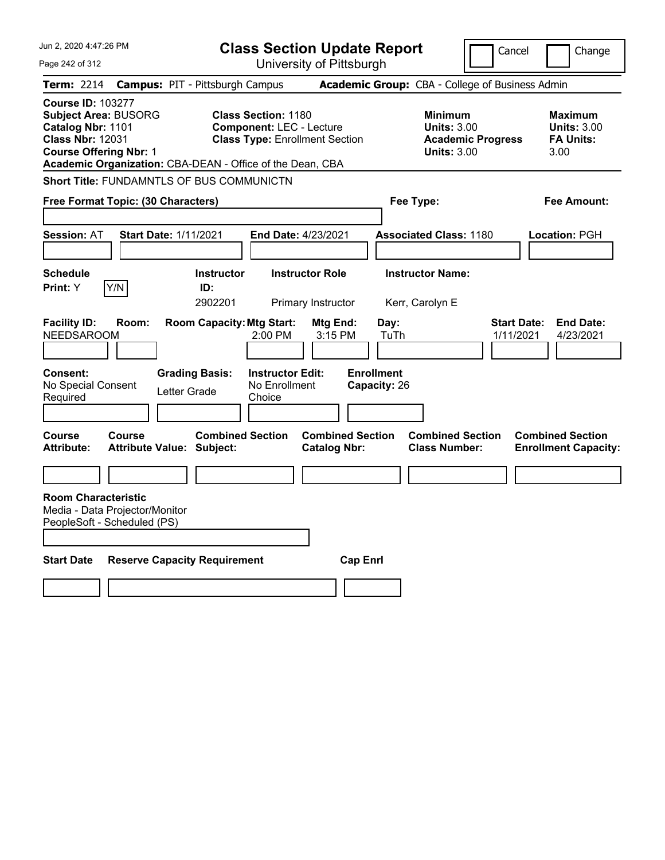| Jun 2, 2020 4:47:26 PM                                                                                                                                                                                | <b>Class Section Update Report</b>                                                                                                                |                                                                                 | Cancel<br>Change                                                 |
|-------------------------------------------------------------------------------------------------------------------------------------------------------------------------------------------------------|---------------------------------------------------------------------------------------------------------------------------------------------------|---------------------------------------------------------------------------------|------------------------------------------------------------------|
| Page 242 of 312                                                                                                                                                                                       | University of Pittsburgh                                                                                                                          |                                                                                 |                                                                  |
| Term: 2214                                                                                                                                                                                            | <b>Campus: PIT - Pittsburgh Campus</b>                                                                                                            | Academic Group: CBA - College of Business Admin                                 |                                                                  |
| <b>Course ID: 103277</b><br><b>Subject Area: BUSORG</b><br>Catalog Nbr: 1101<br><b>Class Nbr: 12031</b><br><b>Course Offering Nbr: 1</b><br>Academic Organization: CBA-DEAN - Office of the Dean, CBA | <b>Class Section: 1180</b><br><b>Component: LEC - Lecture</b><br><b>Class Type: Enrollment Section</b>                                            | Minimum<br><b>Units: 3.00</b><br><b>Academic Progress</b><br><b>Units: 3.00</b> | Maximum<br><b>Units: 3.00</b><br><b>FA Units:</b><br>3.00        |
| <b>Short Title: FUNDAMNTLS OF BUS COMMUNICTN</b>                                                                                                                                                      |                                                                                                                                                   |                                                                                 |                                                                  |
| Free Format Topic: (30 Characters)                                                                                                                                                                    |                                                                                                                                                   | Fee Type:                                                                       | Fee Amount:                                                      |
| <b>Session: AT</b><br><b>Start Date: 1/11/2021</b>                                                                                                                                                    | End Date: 4/23/2021                                                                                                                               | <b>Associated Class: 1180</b>                                                   | <b>Location: PGH</b>                                             |
| <b>Schedule</b>                                                                                                                                                                                       | <b>Instructor Role</b><br><b>Instructor</b>                                                                                                       | <b>Instructor Name:</b>                                                         |                                                                  |
| Y/N<br><b>Print:</b> Y                                                                                                                                                                                | ID:<br>2902201<br>Primary Instructor                                                                                                              | Kerr, Carolyn E                                                                 |                                                                  |
| <b>Facility ID:</b><br>Room:<br><b>NEEDSAROOM</b><br><b>Consent:</b><br>No Special Consent<br>Letter Grade<br>Required                                                                                | <b>Room Capacity: Mtg Start:</b><br>Mtg End:<br>3:15 PM<br>2:00 PM<br><b>Grading Basis:</b><br><b>Instructor Edit:</b><br>No Enrollment<br>Choice | Day:<br>TuTh<br><b>Enrollment</b><br>Capacity: 26                               | <b>Start Date:</b><br><b>End Date:</b><br>1/11/2021<br>4/23/2021 |
| <b>Course</b><br><b>Course</b><br><b>Attribute:</b><br><b>Attribute Value: Subject:</b>                                                                                                               | <b>Combined Section</b><br><b>Catalog Nbr:</b>                                                                                                    | <b>Combined Section</b><br><b>Combined Section</b><br><b>Class Number:</b>      | <b>Combined Section</b><br><b>Enrollment Capacity:</b>           |
|                                                                                                                                                                                                       |                                                                                                                                                   |                                                                                 |                                                                  |
| <b>Room Characteristic</b><br>Media - Data Projector/Monitor<br>PeopleSoft - Scheduled (PS)                                                                                                           |                                                                                                                                                   |                                                                                 |                                                                  |
| <b>Start Date</b><br><b>Reserve Capacity Requirement</b>                                                                                                                                              |                                                                                                                                                   | <b>Cap Enrl</b>                                                                 |                                                                  |
|                                                                                                                                                                                                       |                                                                                                                                                   |                                                                                 |                                                                  |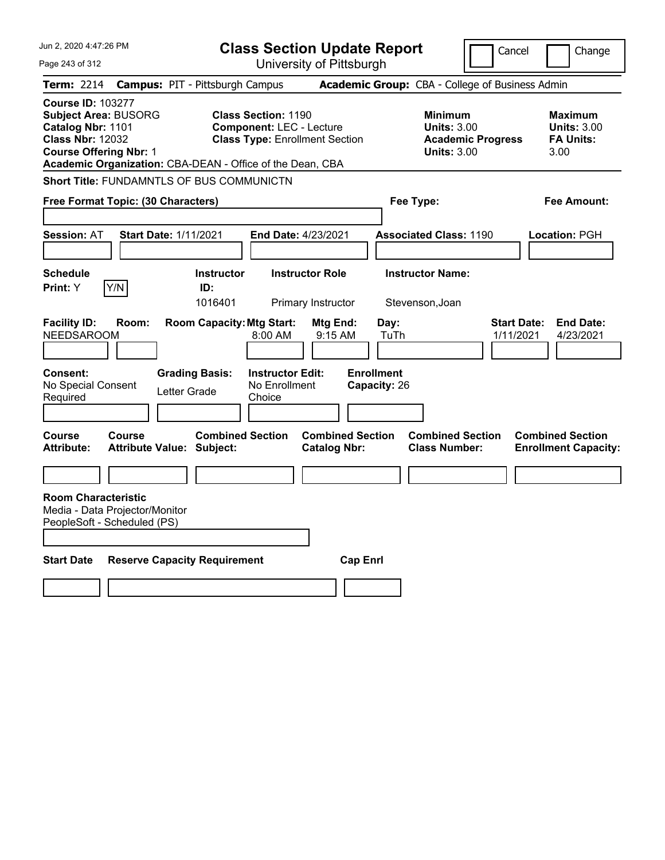| Jun 2, 2020 4:47:26 PM                                                                                                                                                                                |                                                                                             | <b>Class Section Update Report</b>             |                                                            | Cancel                          | Change                                                           |
|-------------------------------------------------------------------------------------------------------------------------------------------------------------------------------------------------------|---------------------------------------------------------------------------------------------|------------------------------------------------|------------------------------------------------------------|---------------------------------|------------------------------------------------------------------|
| Page 243 of 312                                                                                                                                                                                       |                                                                                             | University of Pittsburgh                       |                                                            |                                 |                                                                  |
| Term: 2214                                                                                                                                                                                            | <b>Campus: PIT - Pittsburgh Campus</b>                                                      |                                                | Academic Group: CBA - College of Business Admin            |                                 |                                                                  |
| <b>Course ID: 103277</b><br><b>Subject Area: BUSORG</b><br>Catalog Nbr: 1101<br><b>Class Nbr: 12032</b><br><b>Course Offering Nbr: 1</b><br>Academic Organization: CBA-DEAN - Office of the Dean, CBA | <b>Class Section: 1190</b><br><b>Component: LEC - Lecture</b>                               | <b>Class Type: Enrollment Section</b>          | <b>Minimum</b><br><b>Units: 3.00</b><br><b>Units: 3.00</b> | <b>Academic Progress</b>        | <b>Maximum</b><br><b>Units: 3.00</b><br><b>FA Units:</b><br>3.00 |
| <b>Short Title: FUNDAMNTLS OF BUS COMMUNICTN</b>                                                                                                                                                      |                                                                                             |                                                |                                                            |                                 |                                                                  |
| Free Format Topic: (30 Characters)                                                                                                                                                                    |                                                                                             |                                                | Fee Type:                                                  |                                 | Fee Amount:                                                      |
| <b>Session: AT</b>                                                                                                                                                                                    | <b>Start Date: 1/11/2021</b>                                                                | <b>End Date: 4/23/2021</b>                     | <b>Associated Class: 1190</b>                              |                                 | Location: PGH                                                    |
| <b>Schedule</b>                                                                                                                                                                                       | <b>Instructor</b>                                                                           | <b>Instructor Role</b>                         | <b>Instructor Name:</b>                                    |                                 |                                                                  |
| Y/N<br>Print: Y                                                                                                                                                                                       | ID:<br>1016401                                                                              | Primary Instructor                             | Stevenson, Joan                                            |                                 |                                                                  |
| <b>Facility ID:</b><br>Room:<br><b>NEEDSAROOM</b>                                                                                                                                                     | <b>Room Capacity: Mtg Start:</b><br>$8:00 \, \text{AM}$                                     | Mtg End:<br>9:15 AM                            | Day:<br>TuTh                                               | <b>Start Date:</b><br>1/11/2021 | <b>End Date:</b><br>4/23/2021                                    |
| <b>Consent:</b><br>No Special Consent<br>Required                                                                                                                                                     | <b>Grading Basis:</b><br><b>Instructor Edit:</b><br>No Enrollment<br>Letter Grade<br>Choice |                                                | <b>Enrollment</b><br>Capacity: 26                          |                                 |                                                                  |
| <b>Course</b><br>Course<br>Attribute:                                                                                                                                                                 | <b>Combined Section</b><br><b>Attribute Value: Subject:</b>                                 | <b>Combined Section</b><br><b>Catalog Nbr:</b> | <b>Combined Section</b><br><b>Class Number:</b>            |                                 | <b>Combined Section</b><br><b>Enrollment Capacity:</b>           |
|                                                                                                                                                                                                       |                                                                                             |                                                |                                                            |                                 |                                                                  |
| <b>Room Characteristic</b><br>Media - Data Projector/Monitor<br>PeopleSoft - Scheduled (PS)                                                                                                           |                                                                                             |                                                |                                                            |                                 |                                                                  |
| <b>Start Date</b>                                                                                                                                                                                     | <b>Reserve Capacity Requirement</b>                                                         | <b>Cap Enri</b>                                |                                                            |                                 |                                                                  |
|                                                                                                                                                                                                       |                                                                                             |                                                |                                                            |                                 |                                                                  |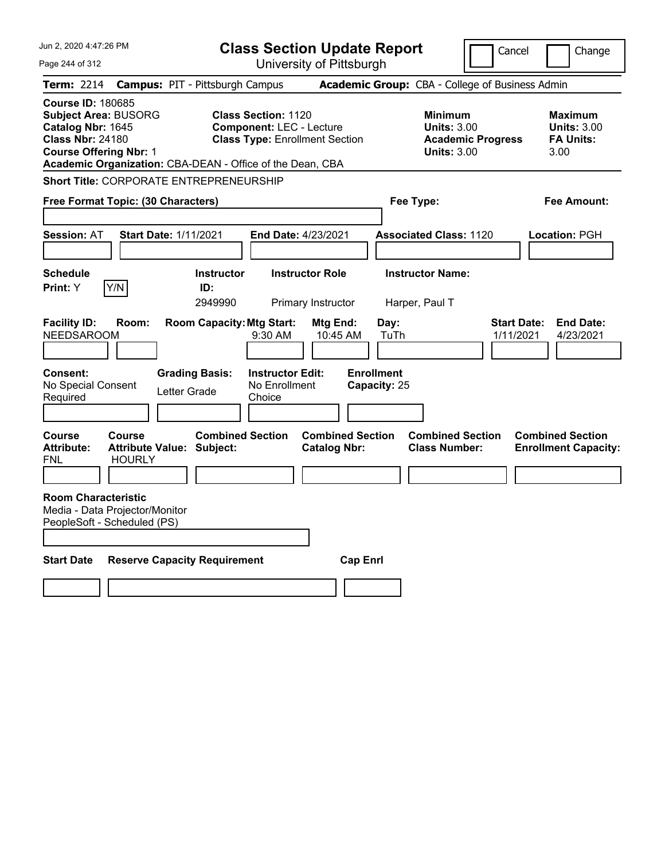| Jun 2, 2020 4:47:26 PM                                                                                                                   |                                                                    |                                                                           | <b>Class Section Update Report</b>                                                                     |                                                |                                                   |                                                                                        | Cancel                          | Change                                                           |
|------------------------------------------------------------------------------------------------------------------------------------------|--------------------------------------------------------------------|---------------------------------------------------------------------------|--------------------------------------------------------------------------------------------------------|------------------------------------------------|---------------------------------------------------|----------------------------------------------------------------------------------------|---------------------------------|------------------------------------------------------------------|
| Page 244 of 312                                                                                                                          |                                                                    |                                                                           |                                                                                                        | University of Pittsburgh                       |                                                   |                                                                                        |                                 |                                                                  |
| Term: 2214                                                                                                                               | <b>Campus: PIT - Pittsburgh Campus</b>                             |                                                                           |                                                                                                        |                                                |                                                   | Academic Group: CBA - College of Business Admin                                        |                                 |                                                                  |
| <b>Course ID: 180685</b><br><b>Subject Area: BUSORG</b><br>Catalog Nbr: 1645<br><b>Class Nbr: 24180</b><br><b>Course Offering Nbr: 1</b> | Academic Organization: CBA-DEAN - Office of the Dean, CBA          |                                                                           | <b>Class Section: 1120</b><br><b>Component: LEC - Lecture</b><br><b>Class Type: Enrollment Section</b> |                                                |                                                   | <b>Minimum</b><br><b>Units: 3.00</b><br><b>Academic Progress</b><br><b>Units: 3.00</b> |                                 | <b>Maximum</b><br><b>Units: 3.00</b><br><b>FA Units:</b><br>3.00 |
|                                                                                                                                          | <b>Short Title: CORPORATE ENTREPRENEURSHIP</b>                     |                                                                           |                                                                                                        |                                                |                                                   |                                                                                        |                                 |                                                                  |
|                                                                                                                                          | Free Format Topic: (30 Characters)                                 |                                                                           |                                                                                                        |                                                | Fee Type:                                         |                                                                                        |                                 | Fee Amount:                                                      |
| <b>Session: AT</b>                                                                                                                       | <b>Start Date: 1/11/2021</b>                                       |                                                                           | <b>End Date: 4/23/2021</b>                                                                             |                                                |                                                   | <b>Associated Class: 1120</b>                                                          |                                 | Location: PGH                                                    |
| <b>Schedule</b>                                                                                                                          |                                                                    | <b>Instructor</b>                                                         |                                                                                                        | <b>Instructor Role</b>                         |                                                   | <b>Instructor Name:</b>                                                                |                                 |                                                                  |
| Print: Y                                                                                                                                 | Y/N                                                                | ID:<br>2949990                                                            |                                                                                                        | Primary Instructor                             | Harper, Paul T                                    |                                                                                        |                                 |                                                                  |
| <b>Facility ID:</b><br><b>NEEDSAROOM</b><br><b>Consent:</b><br>No Special Consent<br>Required                                            | Room:                                                              | <b>Room Capacity: Mtg Start:</b><br><b>Grading Basis:</b><br>Letter Grade | $9:30$ AM<br><b>Instructor Edit:</b><br>No Enrollment<br>Choice                                        | Mtg End:<br>10:45 AM                           | Day:<br>TuTh<br><b>Enrollment</b><br>Capacity: 25 |                                                                                        | <b>Start Date:</b><br>1/11/2021 | <b>End Date:</b><br>4/23/2021                                    |
| Course<br><b>Attribute:</b><br>FNL                                                                                                       | <b>Course</b><br><b>Attribute Value: Subject:</b><br><b>HOURLY</b> | <b>Combined Section</b>                                                   |                                                                                                        | <b>Combined Section</b><br><b>Catalog Nbr:</b> |                                                   | <b>Combined Section</b><br><b>Class Number:</b>                                        |                                 | <b>Combined Section</b><br><b>Enrollment Capacity:</b>           |
| <b>Room Characteristic</b><br>PeopleSoft - Scheduled (PS)                                                                                | Media - Data Projector/Monitor                                     |                                                                           |                                                                                                        |                                                |                                                   |                                                                                        |                                 |                                                                  |
| <b>Start Date</b>                                                                                                                        | <b>Reserve Capacity Requirement</b>                                |                                                                           |                                                                                                        | <b>Cap Enri</b>                                |                                                   |                                                                                        |                                 |                                                                  |
|                                                                                                                                          |                                                                    |                                                                           |                                                                                                        |                                                |                                                   |                                                                                        |                                 |                                                                  |
|                                                                                                                                          |                                                                    |                                                                           |                                                                                                        |                                                |                                                   |                                                                                        |                                 |                                                                  |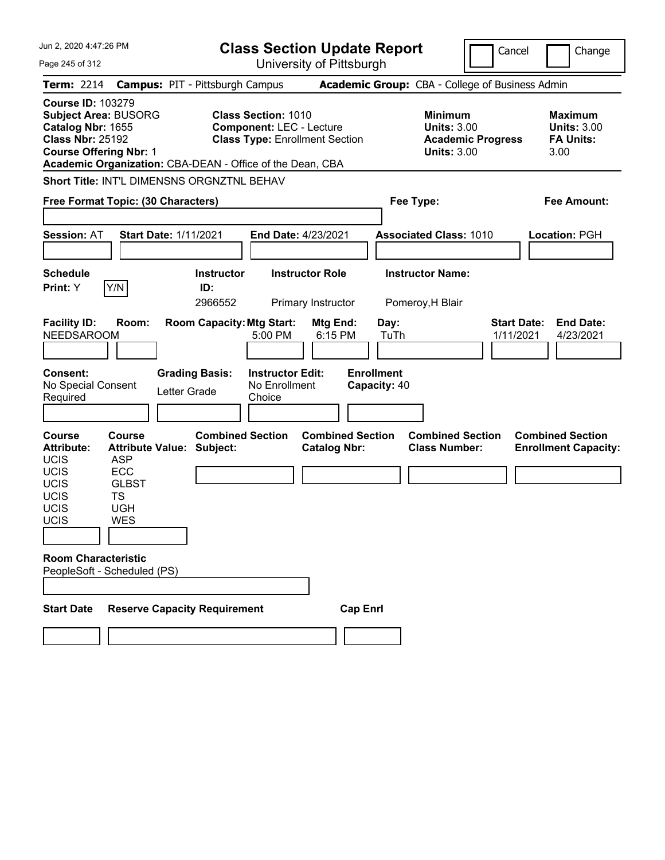| Jun 2, 2020 4:47:26 PM                                                                                                                                                                                                              |                                                                                                                            | <b>Class Section Update Report</b>                       |                                                                                        | Cancel<br>Change                                                 |
|-------------------------------------------------------------------------------------------------------------------------------------------------------------------------------------------------------------------------------------|----------------------------------------------------------------------------------------------------------------------------|----------------------------------------------------------|----------------------------------------------------------------------------------------|------------------------------------------------------------------|
| Page 245 of 312                                                                                                                                                                                                                     |                                                                                                                            | University of Pittsburgh                                 |                                                                                        |                                                                  |
| <b>Term: 2214</b>                                                                                                                                                                                                                   | <b>Campus: PIT - Pittsburgh Campus</b>                                                                                     |                                                          | Academic Group: CBA - College of Business Admin                                        |                                                                  |
| <b>Course ID: 103279</b><br><b>Subject Area: BUSORG</b><br>Catalog Nbr: 1655<br><b>Class Nbr: 25192</b><br><b>Course Offering Nbr: 1</b><br>Academic Organization: CBA-DEAN - Office of the Dean, CBA                               | <b>Class Section: 1010</b><br><b>Component: LEC - Lecture</b><br><b>Class Type: Enrollment Section</b>                     |                                                          | <b>Minimum</b><br><b>Units: 3.00</b><br><b>Academic Progress</b><br><b>Units: 3.00</b> | <b>Maximum</b><br><b>Units: 3.00</b><br><b>FA Units:</b><br>3.00 |
| Short Title: INT'L DIMENSNS ORGNZTNL BEHAV                                                                                                                                                                                          |                                                                                                                            |                                                          |                                                                                        |                                                                  |
| Free Format Topic: (30 Characters)                                                                                                                                                                                                  |                                                                                                                            |                                                          | Fee Type:                                                                              | <b>Fee Amount:</b>                                               |
| Session: AT<br><b>Start Date: 1/11/2021</b>                                                                                                                                                                                         |                                                                                                                            | End Date: 4/23/2021                                      | <b>Associated Class: 1010</b>                                                          | Location: PGH                                                    |
| <b>Schedule</b><br>Y/N<br>Print: Y                                                                                                                                                                                                  | <b>Instructor</b><br>ID:<br>2966552                                                                                        | <b>Instructor Role</b><br>Primary Instructor             | <b>Instructor Name:</b><br>Pomeroy, H Blair                                            |                                                                  |
| <b>Facility ID:</b><br>Room:<br><b>NEEDSAROOM</b><br><b>Consent:</b><br>No Special Consent<br>Letter Grade<br>Required                                                                                                              | <b>Room Capacity: Mtg Start:</b><br>5:00 PM<br><b>Grading Basis:</b><br><b>Instructor Edit:</b><br>No Enrollment<br>Choice | Mtg End:<br>6:15 PM<br><b>Enrollment</b><br>Capacity: 40 | Day:<br>TuTh                                                                           | <b>End Date:</b><br><b>Start Date:</b><br>1/11/2021<br>4/23/2021 |
| <b>Course</b><br><b>Course</b><br><b>Attribute:</b><br><b>Attribute Value: Subject:</b><br>UCIS<br><b>ASP</b><br>ECC<br><b>UCIS</b><br>UCIS<br><b>GLBST</b><br><b>UCIS</b><br><b>TS</b><br>UCIS<br><b>UGH</b><br>UCIS<br><b>WES</b> | <b>Combined Section</b>                                                                                                    | <b>Combined Section</b><br><b>Catalog Nbr:</b>           | <b>Combined Section</b><br><b>Class Number:</b>                                        | <b>Combined Section</b><br><b>Enrollment Capacity:</b>           |
| <b>Room Characteristic</b><br>PeopleSoft - Scheduled (PS)                                                                                                                                                                           |                                                                                                                            |                                                          |                                                                                        |                                                                  |
| <b>Reserve Capacity Requirement</b><br><b>Start Date</b>                                                                                                                                                                            |                                                                                                                            | <b>Cap Enrl</b>                                          |                                                                                        |                                                                  |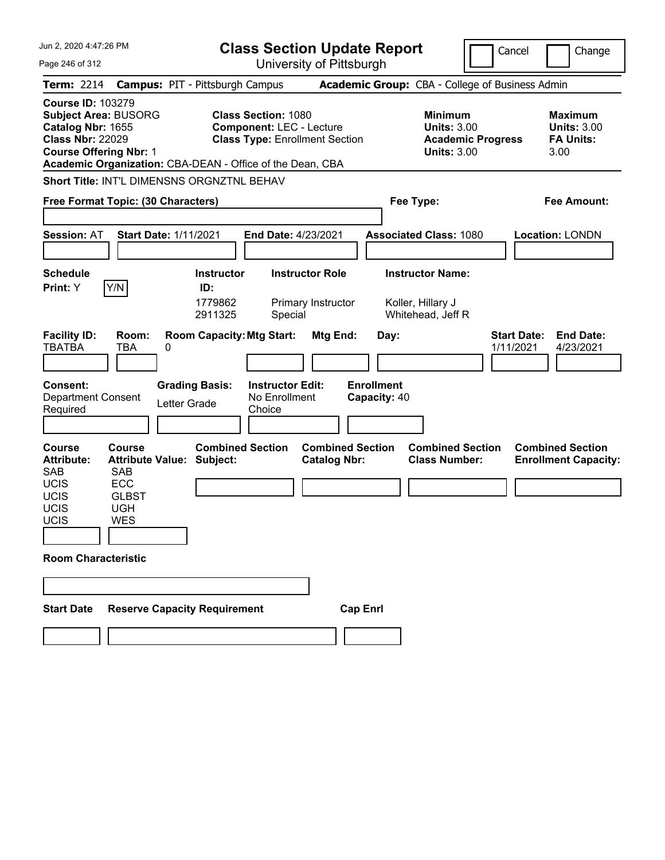| Jun 2, 2020 4:47:26 PM                                                                                                                     |                                                                                |                                                                                                    | <b>Class Section Update Report</b>                                                                     |                                                                   |                                                                   |                                                                                        | Cancel                          | Change                                                           |
|--------------------------------------------------------------------------------------------------------------------------------------------|--------------------------------------------------------------------------------|----------------------------------------------------------------------------------------------------|--------------------------------------------------------------------------------------------------------|-------------------------------------------------------------------|-------------------------------------------------------------------|----------------------------------------------------------------------------------------|---------------------------------|------------------------------------------------------------------|
| Page 246 of 312                                                                                                                            |                                                                                |                                                                                                    |                                                                                                        | University of Pittsburgh                                          |                                                                   |                                                                                        |                                 |                                                                  |
| <b>Term: 2214</b>                                                                                                                          |                                                                                | <b>Campus: PIT - Pittsburgh Campus</b>                                                             |                                                                                                        |                                                                   | Academic Group: CBA - College of Business Admin                   |                                                                                        |                                 |                                                                  |
| <b>Course ID: 103279</b><br><b>Subject Area: BUSORG</b><br>Catalog Nbr: 1655<br><b>Class Nbr: 22029</b><br><b>Course Offering Nbr: 1</b>   |                                                                                | Academic Organization: CBA-DEAN - Office of the Dean, CBA                                          | <b>Class Section: 1080</b><br><b>Component: LEC - Lecture</b><br><b>Class Type: Enrollment Section</b> |                                                                   |                                                                   | <b>Minimum</b><br><b>Units: 3.00</b><br><b>Academic Progress</b><br><b>Units: 3.00</b> |                                 | <b>Maximum</b><br><b>Units: 3.00</b><br><b>FA Units:</b><br>3.00 |
|                                                                                                                                            |                                                                                | Short Title: INT'L DIMENSNS ORGNZTNL BEHAV                                                         |                                                                                                        |                                                                   |                                                                   |                                                                                        |                                 |                                                                  |
| Free Format Topic: (30 Characters)                                                                                                         |                                                                                |                                                                                                    |                                                                                                        |                                                                   | Fee Type:                                                         |                                                                                        |                                 | Fee Amount:                                                      |
| <b>Session: AT</b>                                                                                                                         |                                                                                | <b>Start Date: 1/11/2021</b>                                                                       | End Date: 4/23/2021                                                                                    |                                                                   | <b>Associated Class: 1080</b>                                     |                                                                                        |                                 | <b>Location: LONDN</b>                                           |
| <b>Schedule</b><br>Print: Y                                                                                                                | Y/N                                                                            | <b>Instructor</b><br>ID:<br>1779862<br>2911325                                                     | Special                                                                                                | <b>Instructor Role</b><br>Primary Instructor                      | <b>Instructor Name:</b><br>Koller, Hillary J<br>Whitehead, Jeff R |                                                                                        |                                 |                                                                  |
| <b>Facility ID:</b><br><b>TBATBA</b><br><b>Consent:</b><br><b>Department Consent</b><br>Required                                           | Room:<br>TBA                                                                   | <b>Room Capacity: Mtg Start:</b><br>0<br><b>Grading Basis:</b><br>Letter Grade                     | <b>Instructor Edit:</b><br>No Enrollment<br>Choice                                                     | Mtg End:                                                          | Day:<br><b>Enrollment</b><br>Capacity: 40                         |                                                                                        | <b>Start Date:</b><br>1/11/2021 | <b>End Date:</b><br>4/23/2021                                    |
| <b>Course</b><br><b>Attribute:</b><br><b>SAB</b><br><b>UCIS</b><br>UCIS<br>UCIS<br>UCIS<br><b>Room Characteristic</b><br><b>Start Date</b> | Course<br><b>SAB</b><br><b>ECC</b><br><b>GLBST</b><br><b>UGH</b><br><b>WES</b> | <b>Combined Section</b><br><b>Attribute Value: Subject:</b><br><b>Reserve Capacity Requirement</b> |                                                                                                        | <b>Combined Section</b><br><b>Catalog Nbr:</b><br><b>Cap Enrl</b> |                                                                   | <b>Combined Section</b><br><b>Class Number:</b>                                        |                                 | <b>Combined Section</b><br><b>Enrollment Capacity:</b>           |
|                                                                                                                                            |                                                                                |                                                                                                    |                                                                                                        |                                                                   |                                                                   |                                                                                        |                                 |                                                                  |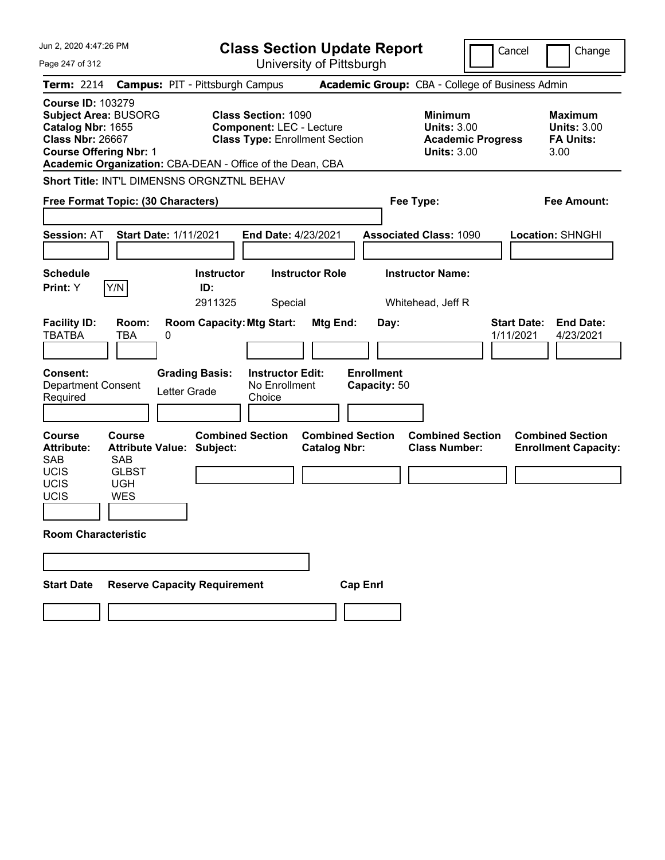| Jun 2, 2020 4:47:26 PM                                                                                                                                                                                |                                                             | <b>Class Section Update Report</b>                                                                     |                                                 |                                                                                        | Cancel<br>Change                                                 |
|-------------------------------------------------------------------------------------------------------------------------------------------------------------------------------------------------------|-------------------------------------------------------------|--------------------------------------------------------------------------------------------------------|-------------------------------------------------|----------------------------------------------------------------------------------------|------------------------------------------------------------------|
| Page 247 of 312                                                                                                                                                                                       |                                                             | University of Pittsburgh                                                                               |                                                 |                                                                                        |                                                                  |
| <b>Term: 2214</b>                                                                                                                                                                                     | <b>Campus: PIT - Pittsburgh Campus</b>                      |                                                                                                        | Academic Group: CBA - College of Business Admin |                                                                                        |                                                                  |
| <b>Course ID: 103279</b><br><b>Subject Area: BUSORG</b><br>Catalog Nbr: 1655<br><b>Class Nbr: 26667</b><br><b>Course Offering Nbr: 1</b><br>Academic Organization: CBA-DEAN - Office of the Dean, CBA |                                                             | <b>Class Section: 1090</b><br><b>Component: LEC - Lecture</b><br><b>Class Type: Enrollment Section</b> |                                                 | <b>Minimum</b><br><b>Units: 3.00</b><br><b>Academic Progress</b><br><b>Units: 3.00</b> | <b>Maximum</b><br><b>Units: 3.00</b><br><b>FA Units:</b><br>3.00 |
| Short Title: INT'L DIMENSNS ORGNZTNL BEHAV                                                                                                                                                            |                                                             |                                                                                                        |                                                 |                                                                                        |                                                                  |
| Free Format Topic: (30 Characters)                                                                                                                                                                    |                                                             |                                                                                                        | Fee Type:                                       |                                                                                        | Fee Amount:                                                      |
| <b>Session: AT</b>                                                                                                                                                                                    | <b>Start Date: 1/11/2021</b>                                | End Date: 4/23/2021                                                                                    | <b>Associated Class: 1090</b>                   |                                                                                        | <b>Location: SHNGHI</b>                                          |
| <b>Schedule</b>                                                                                                                                                                                       | <b>Instructor</b>                                           | <b>Instructor Role</b>                                                                                 | <b>Instructor Name:</b>                         |                                                                                        |                                                                  |
| Y/N<br>Print: Y                                                                                                                                                                                       | ID:                                                         |                                                                                                        |                                                 |                                                                                        |                                                                  |
|                                                                                                                                                                                                       | 2911325                                                     | Special                                                                                                | Whitehead, Jeff R                               |                                                                                        |                                                                  |
| <b>Facility ID:</b><br>Room:<br>TBATBA<br>TBA                                                                                                                                                         | <b>Room Capacity: Mtg Start:</b><br>0                       | Mtg End:                                                                                               | Day:                                            |                                                                                        | <b>End Date:</b><br><b>Start Date:</b><br>1/11/2021<br>4/23/2021 |
|                                                                                                                                                                                                       |                                                             |                                                                                                        |                                                 |                                                                                        |                                                                  |
| <b>Consent:</b><br><b>Department Consent</b><br>Required                                                                                                                                              | <b>Grading Basis:</b><br>Letter Grade                       | <b>Instructor Edit:</b><br>No Enrollment<br>Choice                                                     | <b>Enrollment</b><br>Capacity: 50               |                                                                                        |                                                                  |
| <b>Course</b><br>Course<br><b>Attribute:</b><br><b>SAB</b><br><b>SAB</b>                                                                                                                              | <b>Combined Section</b><br><b>Attribute Value: Subject:</b> | <b>Catalog Nbr:</b>                                                                                    | <b>Combined Section</b>                         | <b>Combined Section</b><br><b>Class Number:</b>                                        | <b>Combined Section</b><br><b>Enrollment Capacity:</b>           |
| <b>UCIS</b><br><b>GLBST</b>                                                                                                                                                                           |                                                             |                                                                                                        |                                                 |                                                                                        |                                                                  |
| UCIS<br><b>UGH</b><br>UCIS<br><b>WES</b>                                                                                                                                                              |                                                             |                                                                                                        |                                                 |                                                                                        |                                                                  |
|                                                                                                                                                                                                       |                                                             |                                                                                                        |                                                 |                                                                                        |                                                                  |
| <b>Room Characteristic</b>                                                                                                                                                                            |                                                             |                                                                                                        |                                                 |                                                                                        |                                                                  |
|                                                                                                                                                                                                       |                                                             |                                                                                                        |                                                 |                                                                                        |                                                                  |
|                                                                                                                                                                                                       |                                                             |                                                                                                        |                                                 |                                                                                        |                                                                  |
| <b>Start Date</b>                                                                                                                                                                                     | <b>Reserve Capacity Requirement</b>                         |                                                                                                        | <b>Cap Enrl</b>                                 |                                                                                        |                                                                  |
|                                                                                                                                                                                                       |                                                             |                                                                                                        |                                                 |                                                                                        |                                                                  |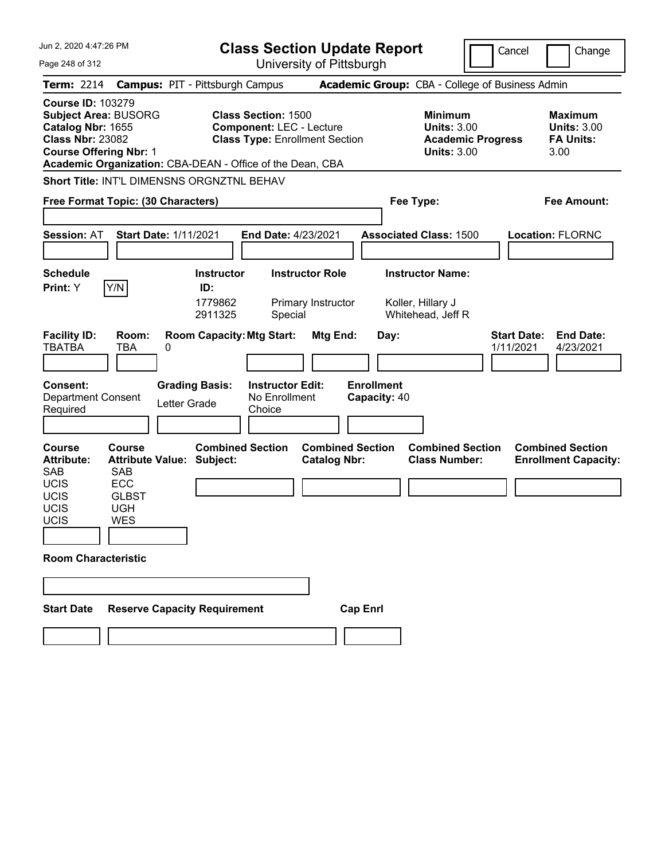| Jun 2, 2020 4:47:26 PM                                                                                                                     |                                                                                |                                                                                                    | <b>Class Section Update Report</b>                                                                     |                                                |                                           |                                                                                        | Cancel                          | Change                                                           |
|--------------------------------------------------------------------------------------------------------------------------------------------|--------------------------------------------------------------------------------|----------------------------------------------------------------------------------------------------|--------------------------------------------------------------------------------------------------------|------------------------------------------------|-------------------------------------------|----------------------------------------------------------------------------------------|---------------------------------|------------------------------------------------------------------|
| Page 248 of 312                                                                                                                            |                                                                                |                                                                                                    | University of Pittsburgh                                                                               |                                                |                                           |                                                                                        |                                 |                                                                  |
| <b>Term: 2214</b>                                                                                                                          |                                                                                | <b>Campus: PIT - Pittsburgh Campus</b>                                                             |                                                                                                        |                                                |                                           | Academic Group: CBA - College of Business Admin                                        |                                 |                                                                  |
| <b>Course ID: 103279</b><br><b>Subject Area: BUSORG</b><br>Catalog Nbr: 1655<br><b>Class Nbr: 23082</b><br><b>Course Offering Nbr: 1</b>   |                                                                                | Academic Organization: CBA-DEAN - Office of the Dean, CBA                                          | <b>Class Section: 1500</b><br><b>Component: LEC - Lecture</b><br><b>Class Type: Enrollment Section</b> |                                                |                                           | <b>Minimum</b><br><b>Units: 3.00</b><br><b>Academic Progress</b><br><b>Units: 3.00</b> |                                 | <b>Maximum</b><br><b>Units: 3.00</b><br><b>FA Units:</b><br>3.00 |
|                                                                                                                                            |                                                                                | Short Title: INT'L DIMENSNS ORGNZTNL BEHAV                                                         |                                                                                                        |                                                |                                           |                                                                                        |                                 |                                                                  |
| Free Format Topic: (30 Characters)                                                                                                         |                                                                                |                                                                                                    |                                                                                                        |                                                |                                           | Fee Type:                                                                              |                                 | Fee Amount:                                                      |
| <b>Session: AT</b>                                                                                                                         |                                                                                | <b>Start Date: 1/11/2021</b>                                                                       | End Date: 4/23/2021                                                                                    |                                                |                                           | <b>Associated Class: 1500</b>                                                          |                                 | <b>Location: FLORNC</b>                                          |
| <b>Schedule</b><br>Print: Y                                                                                                                | Y/N                                                                            | <b>Instructor</b><br>ID:<br>1779862<br>2911325                                                     | Special                                                                                                | <b>Instructor Role</b><br>Primary Instructor   |                                           | <b>Instructor Name:</b><br>Koller, Hillary J<br>Whitehead, Jeff R                      |                                 |                                                                  |
| <b>Facility ID:</b><br><b>TBATBA</b><br><b>Consent:</b><br><b>Department Consent</b><br>Required                                           | Room:<br>TBA                                                                   | <b>Room Capacity: Mtg Start:</b><br>0<br><b>Grading Basis:</b><br>Letter Grade                     | <b>Instructor Edit:</b><br>No Enrollment<br>Choice                                                     | Mtg End:                                       | Day:<br><b>Enrollment</b><br>Capacity: 40 |                                                                                        | <b>Start Date:</b><br>1/11/2021 | <b>End Date:</b><br>4/23/2021                                    |
| <b>Course</b><br><b>Attribute:</b><br><b>SAB</b><br><b>UCIS</b><br>UCIS<br>UCIS<br>UCIS<br><b>Room Characteristic</b><br><b>Start Date</b> | Course<br><b>SAB</b><br><b>ECC</b><br><b>GLBST</b><br><b>UGH</b><br><b>WES</b> | <b>Combined Section</b><br><b>Attribute Value: Subject:</b><br><b>Reserve Capacity Requirement</b> |                                                                                                        | <b>Combined Section</b><br><b>Catalog Nbr:</b> | <b>Cap Enrl</b>                           | <b>Combined Section</b><br><b>Class Number:</b>                                        |                                 | <b>Combined Section</b><br><b>Enrollment Capacity:</b>           |
|                                                                                                                                            |                                                                                |                                                                                                    |                                                                                                        |                                                |                                           |                                                                                        |                                 |                                                                  |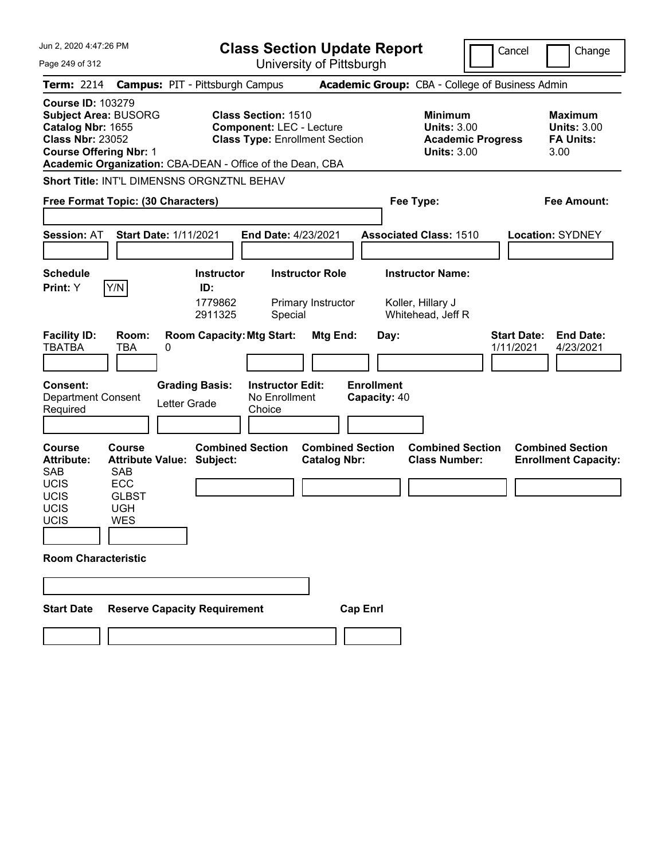| Jun 2, 2020 4:47:26 PM                                                                                                                     |                                                                                |                                                                                                    | <b>Class Section Update Report</b>                                                                     |                                                |                                           |                                                                                        | Cancel                          | Change                                                           |
|--------------------------------------------------------------------------------------------------------------------------------------------|--------------------------------------------------------------------------------|----------------------------------------------------------------------------------------------------|--------------------------------------------------------------------------------------------------------|------------------------------------------------|-------------------------------------------|----------------------------------------------------------------------------------------|---------------------------------|------------------------------------------------------------------|
| Page 249 of 312                                                                                                                            |                                                                                |                                                                                                    |                                                                                                        | University of Pittsburgh                       |                                           |                                                                                        |                                 |                                                                  |
| <b>Term: 2214</b>                                                                                                                          |                                                                                | <b>Campus: PIT - Pittsburgh Campus</b>                                                             |                                                                                                        |                                                |                                           | Academic Group: CBA - College of Business Admin                                        |                                 |                                                                  |
| <b>Course ID: 103279</b><br><b>Subject Area: BUSORG</b><br>Catalog Nbr: 1655<br><b>Class Nbr: 23052</b><br><b>Course Offering Nbr: 1</b>   |                                                                                | Academic Organization: CBA-DEAN - Office of the Dean, CBA                                          | <b>Class Section: 1510</b><br><b>Component: LEC - Lecture</b><br><b>Class Type: Enrollment Section</b> |                                                |                                           | <b>Minimum</b><br><b>Units: 3.00</b><br><b>Academic Progress</b><br><b>Units: 3.00</b> |                                 | <b>Maximum</b><br><b>Units: 3.00</b><br><b>FA Units:</b><br>3.00 |
|                                                                                                                                            |                                                                                | Short Title: INT'L DIMENSNS ORGNZTNL BEHAV                                                         |                                                                                                        |                                                |                                           |                                                                                        |                                 |                                                                  |
| Free Format Topic: (30 Characters)                                                                                                         |                                                                                |                                                                                                    |                                                                                                        |                                                |                                           | Fee Type:                                                                              |                                 | Fee Amount:                                                      |
| <b>Session: AT</b>                                                                                                                         |                                                                                | <b>Start Date: 1/11/2021</b>                                                                       | End Date: 4/23/2021                                                                                    |                                                |                                           | <b>Associated Class: 1510</b>                                                          |                                 | <b>Location: SYDNEY</b>                                          |
| <b>Schedule</b><br>Print: Y                                                                                                                | Y/N                                                                            | <b>Instructor</b><br>ID:<br>1779862<br>2911325                                                     | Special                                                                                                | <b>Instructor Role</b><br>Primary Instructor   |                                           | <b>Instructor Name:</b><br>Koller, Hillary J<br>Whitehead, Jeff R                      |                                 |                                                                  |
| <b>Facility ID:</b><br><b>TBATBA</b><br><b>Consent:</b><br><b>Department Consent</b><br>Required                                           | Room:<br>TBA                                                                   | <b>Room Capacity: Mtg Start:</b><br>0<br><b>Grading Basis:</b><br>Letter Grade                     | <b>Instructor Edit:</b><br>No Enrollment<br>Choice                                                     | Mtg End:                                       | Day:<br><b>Enrollment</b><br>Capacity: 40 |                                                                                        | <b>Start Date:</b><br>1/11/2021 | <b>End Date:</b><br>4/23/2021                                    |
| <b>Course</b><br><b>Attribute:</b><br><b>SAB</b><br><b>UCIS</b><br>UCIS<br>UCIS<br>UCIS<br><b>Room Characteristic</b><br><b>Start Date</b> | Course<br><b>SAB</b><br><b>ECC</b><br><b>GLBST</b><br><b>UGH</b><br><b>WES</b> | <b>Combined Section</b><br><b>Attribute Value: Subject:</b><br><b>Reserve Capacity Requirement</b> |                                                                                                        | <b>Combined Section</b><br><b>Catalog Nbr:</b> | <b>Cap Enrl</b>                           | <b>Combined Section</b><br><b>Class Number:</b>                                        |                                 | <b>Combined Section</b><br><b>Enrollment Capacity:</b>           |
|                                                                                                                                            |                                                                                |                                                                                                    |                                                                                                        |                                                |                                           |                                                                                        |                                 |                                                                  |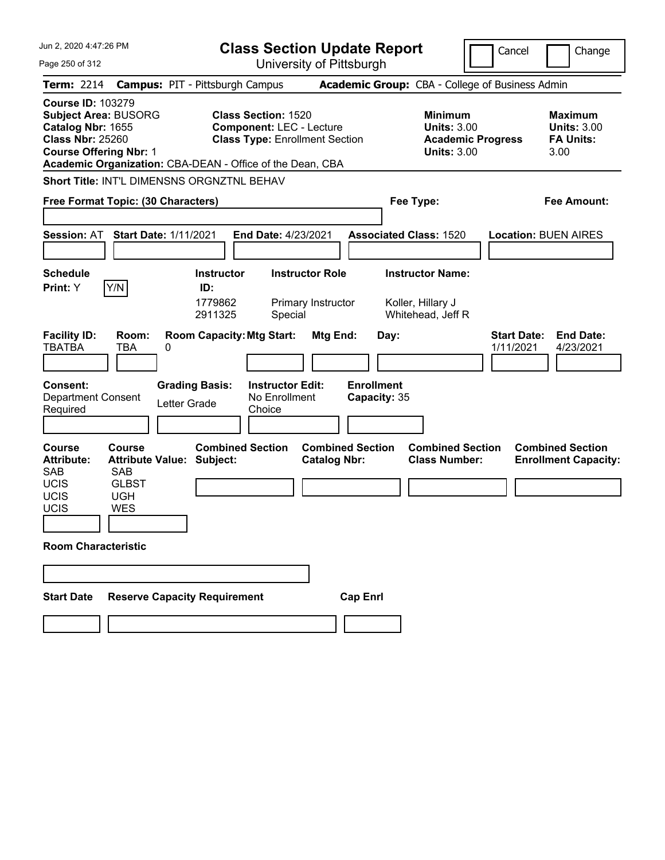| Jun 2, 2020 4:47:26 PM                                                                                                                                                                                                                                                            | <b>Class Section Update Report</b>                                                                        |                                                                                        | Cancel<br>Change                                                 |
|-----------------------------------------------------------------------------------------------------------------------------------------------------------------------------------------------------------------------------------------------------------------------------------|-----------------------------------------------------------------------------------------------------------|----------------------------------------------------------------------------------------|------------------------------------------------------------------|
| Page 250 of 312                                                                                                                                                                                                                                                                   | University of Pittsburgh                                                                                  |                                                                                        |                                                                  |
| <b>Term: 2214</b>                                                                                                                                                                                                                                                                 | <b>Campus: PIT - Pittsburgh Campus</b>                                                                    | Academic Group: CBA - College of Business Admin                                        |                                                                  |
| <b>Course ID: 103279</b><br><b>Subject Area: BUSORG</b><br>Catalog Nbr: 1655<br><b>Class Nbr: 25260</b><br><b>Course Offering Nbr: 1</b><br>Academic Organization: CBA-DEAN - Office of the Dean, CBA                                                                             | <b>Class Section: 1520</b><br><b>Component: LEC - Lecture</b><br><b>Class Type: Enrollment Section</b>    | <b>Minimum</b><br><b>Units: 3.00</b><br><b>Academic Progress</b><br><b>Units: 3.00</b> | <b>Maximum</b><br><b>Units: 3.00</b><br><b>FA Units:</b><br>3.00 |
| Short Title: INT'L DIMENSNS ORGNZTNL BEHAV                                                                                                                                                                                                                                        |                                                                                                           |                                                                                        |                                                                  |
| Free Format Topic: (30 Characters)                                                                                                                                                                                                                                                |                                                                                                           | Fee Type:                                                                              | Fee Amount:                                                      |
| <b>Start Date: 1/11/2021</b><br><b>Session: AT</b>                                                                                                                                                                                                                                | End Date: 4/23/2021                                                                                       | <b>Associated Class: 1520</b>                                                          | <b>Location: BUEN AIRES</b>                                      |
| <b>Schedule</b><br>Y/N<br>Print: Y                                                                                                                                                                                                                                                | <b>Instructor Role</b><br><b>Instructor</b><br>ID:<br>1779862<br>Primary Instructor<br>2911325<br>Special | <b>Instructor Name:</b><br>Koller, Hillary J<br>Whitehead, Jeff R                      |                                                                  |
| <b>Facility ID:</b><br>Room:<br><b>TBATBA</b><br>TBA<br>0<br><b>Grading Basis:</b><br>Consent:<br><b>Department Consent</b><br>Letter Grade<br>Required                                                                                                                           | <b>Room Capacity: Mtg Start:</b><br>Mtg End:<br><b>Instructor Edit:</b><br>No Enrollment<br>Choice        | Day:<br><b>Enrollment</b><br>Capacity: 35                                              | <b>Start Date:</b><br><b>End Date:</b><br>1/11/2021<br>4/23/2021 |
| <b>Course</b><br>Course<br><b>Attribute Value: Subject:</b><br><b>Attribute:</b><br><b>SAB</b><br><b>SAB</b><br><b>UCIS</b><br><b>GLBST</b><br>UCIS<br><b>UGH</b><br>UCIS<br><b>WES</b><br><b>Room Characteristic</b><br><b>Reserve Capacity Requirement</b><br><b>Start Date</b> | <b>Combined Section</b><br><b>Combined Section</b><br><b>Catalog Nbr:</b><br><b>Cap Enrl</b>              | <b>Combined Section</b><br><b>Class Number:</b>                                        | <b>Combined Section</b><br><b>Enrollment Capacity:</b>           |
|                                                                                                                                                                                                                                                                                   |                                                                                                           |                                                                                        |                                                                  |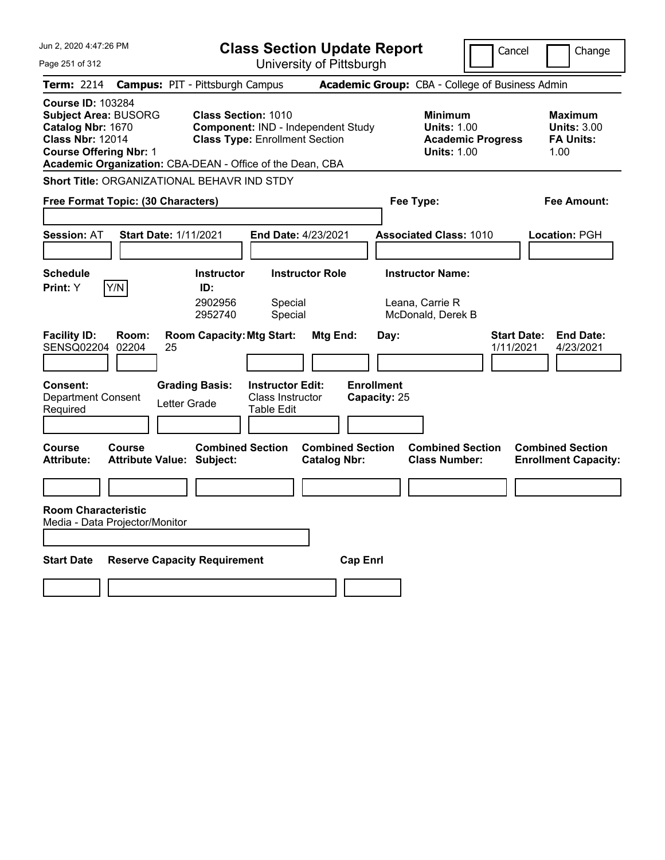| Jun 2, 2020 4:47:26 PM                                                                                                                   | <b>Class Section Update Report</b>                                                                                                                                     |                                                                            | Cancel                          | Change                                                           |
|------------------------------------------------------------------------------------------------------------------------------------------|------------------------------------------------------------------------------------------------------------------------------------------------------------------------|----------------------------------------------------------------------------|---------------------------------|------------------------------------------------------------------|
| Page 251 of 312                                                                                                                          | University of Pittsburgh                                                                                                                                               |                                                                            |                                 |                                                                  |
| <b>Term: 2214</b>                                                                                                                        | <b>Campus: PIT - Pittsburgh Campus</b>                                                                                                                                 | Academic Group: CBA - College of Business Admin                            |                                 |                                                                  |
| <b>Course ID: 103284</b><br><b>Subject Area: BUSORG</b><br>Catalog Nbr: 1670<br><b>Class Nbr: 12014</b><br><b>Course Offering Nbr: 1</b> | <b>Class Section: 1010</b><br>Component: IND - Independent Study<br><b>Class Type: Enrollment Section</b><br>Academic Organization: CBA-DEAN - Office of the Dean, CBA | <b>Minimum</b><br><b>Units: 1.00</b><br><b>Units: 1.00</b>                 | <b>Academic Progress</b>        | <b>Maximum</b><br><b>Units: 3.00</b><br><b>FA Units:</b><br>1.00 |
| <b>Short Title: ORGANIZATIONAL BEHAVR IND STDY</b>                                                                                       |                                                                                                                                                                        |                                                                            |                                 |                                                                  |
| Free Format Topic: (30 Characters)                                                                                                       |                                                                                                                                                                        | Fee Type:                                                                  |                                 | Fee Amount:                                                      |
| <b>Session: AT</b><br><b>Start Date: 1/11/2021</b>                                                                                       | End Date: 4/23/2021                                                                                                                                                    | <b>Associated Class: 1010</b>                                              |                                 | Location: PGH                                                    |
| <b>Schedule</b><br>Y/N<br>Print: Y                                                                                                       | <b>Instructor Role</b><br>Instructor<br>ID:<br>2902956<br>Special<br>2952740<br>Special                                                                                | <b>Instructor Name:</b><br>Leana, Carrie R<br>McDonald, Derek B            |                                 |                                                                  |
| <b>Facility ID:</b><br>Room:<br>SENSQ02204<br>02204<br>25                                                                                | <b>Room Capacity: Mtg Start:</b><br>Mtg End:                                                                                                                           | Day:                                                                       | <b>Start Date:</b><br>1/11/2021 | <b>End Date:</b><br>4/23/2021                                    |
| <b>Consent:</b><br><b>Department Consent</b><br>Letter Grade<br>Required                                                                 | <b>Grading Basis:</b><br><b>Instructor Edit:</b><br><b>Class Instructor</b><br><b>Table Edit</b>                                                                       | <b>Enrollment</b><br>Capacity: 25                                          |                                 |                                                                  |
| <b>Course</b><br>Course<br><b>Attribute:</b><br>Attribute Value: Subject:                                                                | <b>Combined Section</b><br><b>Catalog Nbr:</b>                                                                                                                         | <b>Combined Section</b><br><b>Combined Section</b><br><b>Class Number:</b> |                                 | <b>Combined Section</b><br><b>Enrollment Capacity:</b>           |
|                                                                                                                                          |                                                                                                                                                                        |                                                                            |                                 |                                                                  |
| <b>Room Characteristic</b><br>Media - Data Projector/Monitor                                                                             |                                                                                                                                                                        |                                                                            |                                 |                                                                  |
| <b>Start Date</b><br><b>Reserve Capacity Requirement</b>                                                                                 |                                                                                                                                                                        | <b>Cap Enrl</b>                                                            |                                 |                                                                  |
|                                                                                                                                          |                                                                                                                                                                        |                                                                            |                                 |                                                                  |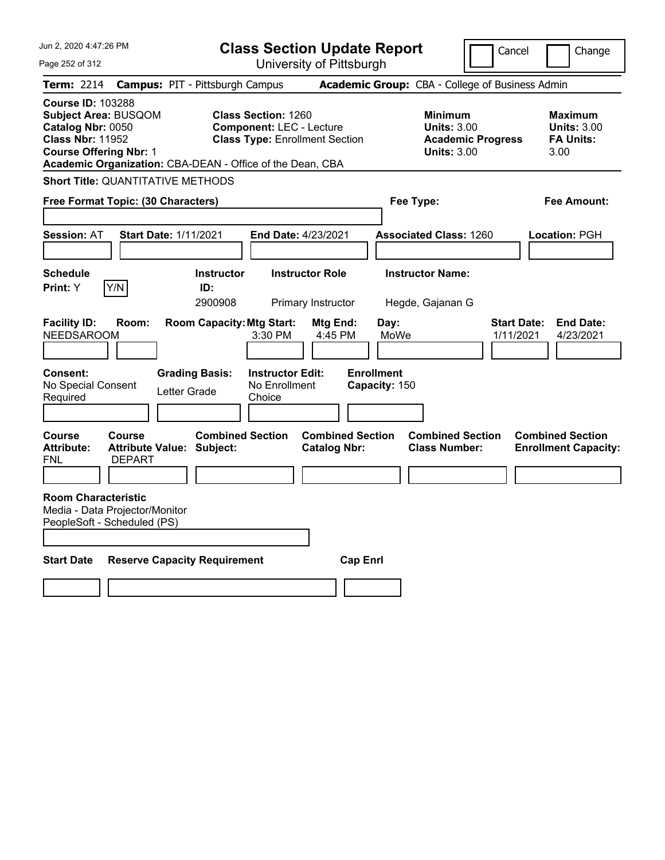| Jun 2, 2020 4:47:26 PM                                                                                                                                                                                |                                                             |                                        |                                                                                                        | <b>Class Section Update Report</b>             |                                    |                                                                                        | Cancel                          | Change                                                           |
|-------------------------------------------------------------------------------------------------------------------------------------------------------------------------------------------------------|-------------------------------------------------------------|----------------------------------------|--------------------------------------------------------------------------------------------------------|------------------------------------------------|------------------------------------|----------------------------------------------------------------------------------------|---------------------------------|------------------------------------------------------------------|
| Page 252 of 312                                                                                                                                                                                       |                                                             |                                        |                                                                                                        | University of Pittsburgh                       |                                    |                                                                                        |                                 |                                                                  |
| Term: 2214                                                                                                                                                                                            |                                                             | <b>Campus: PIT - Pittsburgh Campus</b> |                                                                                                        |                                                |                                    | Academic Group: CBA - College of Business Admin                                        |                                 |                                                                  |
| <b>Course ID: 103288</b><br><b>Subject Area: BUSQOM</b><br>Catalog Nbr: 0050<br><b>Class Nbr: 11952</b><br><b>Course Offering Nbr: 1</b><br>Academic Organization: CBA-DEAN - Office of the Dean, CBA |                                                             |                                        | <b>Class Section: 1260</b><br><b>Component: LEC - Lecture</b><br><b>Class Type: Enrollment Section</b> |                                                |                                    | <b>Minimum</b><br><b>Units: 3.00</b><br><b>Academic Progress</b><br><b>Units: 3.00</b> |                                 | <b>Maximum</b><br><b>Units: 3.00</b><br><b>FA Units:</b><br>3.00 |
| <b>Short Title: QUANTITATIVE METHODS</b>                                                                                                                                                              |                                                             |                                        |                                                                                                        |                                                |                                    |                                                                                        |                                 |                                                                  |
| Free Format Topic: (30 Characters)                                                                                                                                                                    |                                                             |                                        |                                                                                                        |                                                | Fee Type:                          |                                                                                        |                                 | Fee Amount:                                                      |
| <b>Session: AT</b>                                                                                                                                                                                    | <b>Start Date: 1/11/2021</b>                                |                                        | <b>End Date: 4/23/2021</b>                                                                             |                                                |                                    | <b>Associated Class: 1260</b>                                                          |                                 | Location: PGH                                                    |
| <b>Schedule</b><br>Print: Y                                                                                                                                                                           | Y/N                                                         | <b>Instructor</b><br>ID:<br>2900908    |                                                                                                        | <b>Instructor Role</b><br>Primary Instructor   |                                    | <b>Instructor Name:</b><br>Hegde, Gajanan G                                            |                                 |                                                                  |
| <b>Facility ID:</b><br><b>NEEDSAROOM</b>                                                                                                                                                              | Room:                                                       | <b>Room Capacity: Mtg Start:</b>       | 3:30 PM                                                                                                | Mtg End:<br>4:45 PM                            | Day:<br>MoWe                       |                                                                                        | <b>Start Date:</b><br>1/11/2021 | <b>End Date:</b><br>4/23/2021                                    |
| <b>Consent:</b><br>No Special Consent<br>Required                                                                                                                                                     |                                                             | <b>Grading Basis:</b><br>Letter Grade  | <b>Instructor Edit:</b><br>No Enrollment<br>Choice                                                     |                                                | <b>Enrollment</b><br>Capacity: 150 |                                                                                        |                                 |                                                                  |
| Course<br><b>Attribute:</b><br>FNL                                                                                                                                                                    | Course<br><b>Attribute Value: Subject:</b><br><b>DEPART</b> | <b>Combined Section</b>                |                                                                                                        | <b>Combined Section</b><br><b>Catalog Nbr:</b> |                                    | <b>Combined Section</b><br><b>Class Number:</b>                                        |                                 | <b>Combined Section</b><br><b>Enrollment Capacity:</b>           |
| <b>Room Characteristic</b><br>Media - Data Projector/Monitor<br>PeopleSoft - Scheduled (PS)                                                                                                           |                                                             |                                        |                                                                                                        |                                                |                                    |                                                                                        |                                 |                                                                  |
| <b>Start Date</b>                                                                                                                                                                                     |                                                             | <b>Reserve Capacity Requirement</b>    |                                                                                                        | <b>Cap Enri</b>                                |                                    |                                                                                        |                                 |                                                                  |
|                                                                                                                                                                                                       |                                                             |                                        |                                                                                                        |                                                |                                    |                                                                                        |                                 |                                                                  |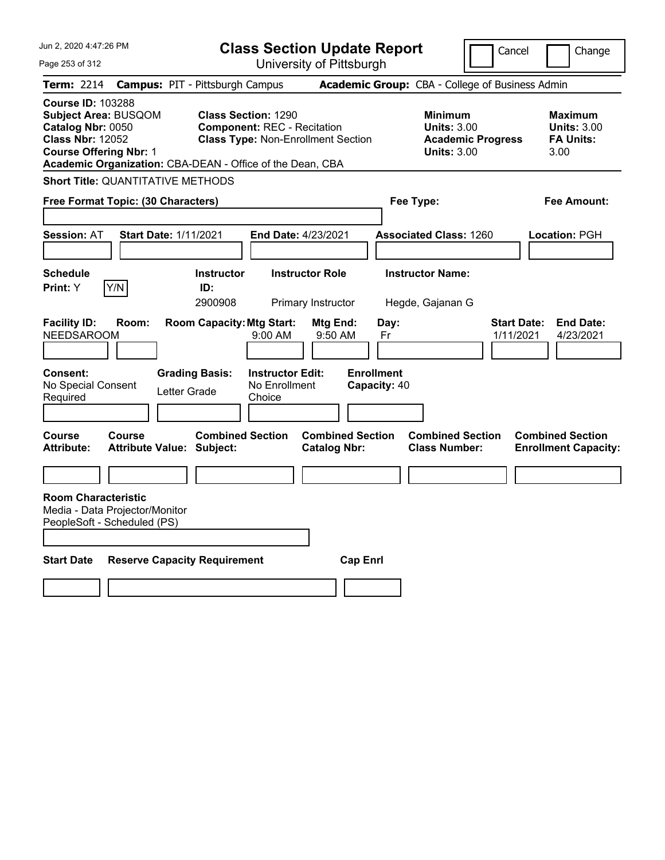| Jun 2, 2020 4:47:26 PM                                                                                                                                                                                | <b>Class Section Update Report</b>                                                                            |                                                | Cancel                                                                                 | Change                                                           |
|-------------------------------------------------------------------------------------------------------------------------------------------------------------------------------------------------------|---------------------------------------------------------------------------------------------------------------|------------------------------------------------|----------------------------------------------------------------------------------------|------------------------------------------------------------------|
| Page 253 of 312                                                                                                                                                                                       | University of Pittsburgh                                                                                      |                                                |                                                                                        |                                                                  |
| <b>Term: 2214</b>                                                                                                                                                                                     | <b>Campus: PIT - Pittsburgh Campus</b>                                                                        |                                                | Academic Group: CBA - College of Business Admin                                        |                                                                  |
| <b>Course ID: 103288</b><br><b>Subject Area: BUSQOM</b><br>Catalog Nbr: 0050<br><b>Class Nbr: 12052</b><br><b>Course Offering Nbr: 1</b><br>Academic Organization: CBA-DEAN - Office of the Dean, CBA | <b>Class Section: 1290</b><br><b>Component: REC - Recitation</b><br><b>Class Type: Non-Enrollment Section</b> |                                                | <b>Minimum</b><br><b>Units: 3.00</b><br><b>Academic Progress</b><br><b>Units: 3.00</b> | <b>Maximum</b><br><b>Units: 3.00</b><br><b>FA Units:</b><br>3.00 |
| <b>Short Title: QUANTITATIVE METHODS</b>                                                                                                                                                              |                                                                                                               |                                                |                                                                                        |                                                                  |
| Free Format Topic: (30 Characters)                                                                                                                                                                    |                                                                                                               | Fee Type:                                      |                                                                                        | <b>Fee Amount:</b>                                               |
| <b>Start Date: 1/11/2021</b><br><b>Session: AT</b>                                                                                                                                                    | End Date: 4/23/2021                                                                                           |                                                | <b>Associated Class: 1260</b>                                                          | Location: PGH                                                    |
| <b>Schedule</b><br>Y/N<br>Print: Y                                                                                                                                                                    | <b>Instructor Role</b><br><b>Instructor</b><br>ID:<br>2900908<br>Primary Instructor                           |                                                | <b>Instructor Name:</b><br>Hegde, Gajanan G                                            |                                                                  |
| <b>Facility ID:</b><br>Room:<br><b>NEEDSAROOM</b>                                                                                                                                                     | <b>Room Capacity: Mtg Start:</b><br>$9:00$ AM                                                                 | Mtg End:<br>Day:<br>9:50 AM<br>Fr              | <b>Start Date:</b><br>1/11/2021                                                        | <b>End Date:</b><br>4/23/2021                                    |
| <b>Consent:</b><br>No Special Consent<br>Letter Grade<br>Required                                                                                                                                     | <b>Grading Basis:</b><br><b>Instructor Edit:</b><br>No Enrollment<br>Choice                                   | <b>Enrollment</b><br>Capacity: 40              |                                                                                        |                                                                  |
| <b>Course</b><br>Course<br><b>Attribute:</b><br><b>Attribute Value: Subject:</b>                                                                                                                      | <b>Combined Section</b>                                                                                       | <b>Combined Section</b><br><b>Catalog Nbr:</b> | <b>Combined Section</b><br><b>Class Number:</b>                                        | <b>Combined Section</b><br><b>Enrollment Capacity:</b>           |
|                                                                                                                                                                                                       |                                                                                                               |                                                |                                                                                        |                                                                  |
| <b>Room Characteristic</b><br>Media - Data Projector/Monitor<br>PeopleSoft - Scheduled (PS)                                                                                                           |                                                                                                               |                                                |                                                                                        |                                                                  |
| <b>Start Date</b><br><b>Reserve Capacity Requirement</b>                                                                                                                                              |                                                                                                               | <b>Cap Enri</b>                                |                                                                                        |                                                                  |
|                                                                                                                                                                                                       |                                                                                                               |                                                |                                                                                        |                                                                  |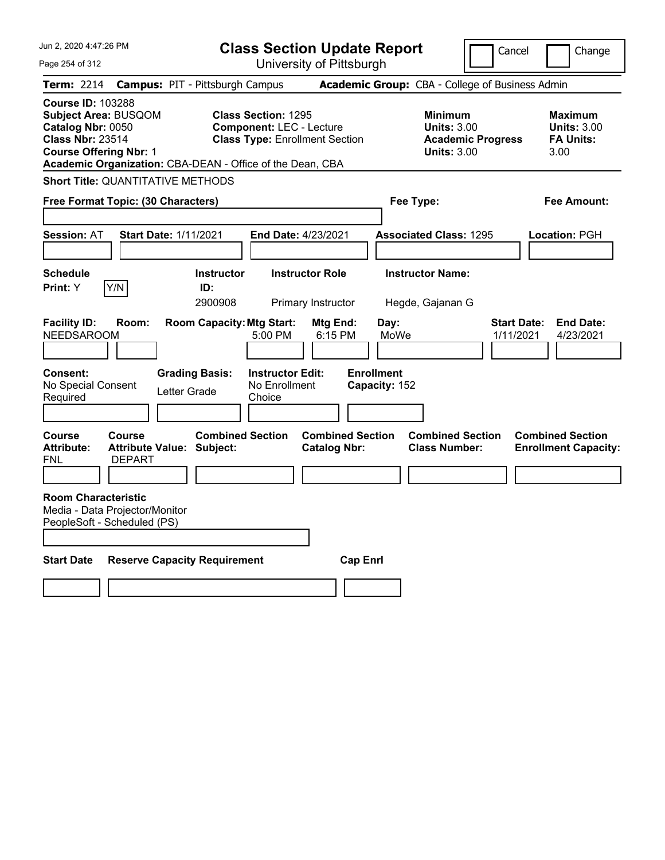| Jun 2, 2020 4:47:26 PM                                                                                                                   |                                                           | <b>Class Section Update Report</b>                                                                     |                                     |                                                                                        | Cancel<br>Change                                                 |
|------------------------------------------------------------------------------------------------------------------------------------------|-----------------------------------------------------------|--------------------------------------------------------------------------------------------------------|-------------------------------------|----------------------------------------------------------------------------------------|------------------------------------------------------------------|
| Page 254 of 312                                                                                                                          |                                                           | University of Pittsburgh                                                                               |                                     |                                                                                        |                                                                  |
| Term: 2214                                                                                                                               | <b>Campus: PIT - Pittsburgh Campus</b>                    |                                                                                                        |                                     | Academic Group: CBA - College of Business Admin                                        |                                                                  |
| <b>Course ID: 103288</b><br><b>Subject Area: BUSQOM</b><br>Catalog Nbr: 0050<br><b>Class Nbr: 23514</b><br><b>Course Offering Nbr: 1</b> | Academic Organization: CBA-DEAN - Office of the Dean, CBA | <b>Class Section: 1295</b><br><b>Component: LEC - Lecture</b><br><b>Class Type: Enrollment Section</b> |                                     | <b>Minimum</b><br><b>Units: 3.00</b><br><b>Academic Progress</b><br><b>Units: 3.00</b> | Maximum<br><b>Units: 3.00</b><br><b>FA Units:</b><br>3.00        |
|                                                                                                                                          | <b>Short Title: QUANTITATIVE METHODS</b>                  |                                                                                                        |                                     |                                                                                        |                                                                  |
| Free Format Topic: (30 Characters)                                                                                                       |                                                           |                                                                                                        |                                     | Fee Type:                                                                              | Fee Amount:                                                      |
| <b>Session: AT</b>                                                                                                                       | <b>Start Date: 1/11/2021</b>                              | <b>End Date: 4/23/2021</b>                                                                             |                                     | <b>Associated Class: 1295</b>                                                          | Location: PGH                                                    |
| <b>Schedule</b><br>Y/N<br>Print: Y                                                                                                       | <b>Instructor</b><br>ID:<br>2900908                       | <b>Instructor Role</b><br>Primary Instructor                                                           |                                     | <b>Instructor Name:</b><br>Hegde, Gajanan G                                            |                                                                  |
| <b>Facility ID:</b><br><b>NEEDSAROOM</b>                                                                                                 | <b>Room Capacity: Mtg Start:</b><br>Room:                 | 5:00 PM                                                                                                | Mtg End:<br>Day:<br>MoWe<br>6:15 PM |                                                                                        | <b>Start Date:</b><br><b>End Date:</b><br>1/11/2021<br>4/23/2021 |
| <b>Consent:</b><br>No Special Consent<br>Required                                                                                        | <b>Grading Basis:</b><br>Letter Grade                     | <b>Instructor Edit:</b><br>No Enrollment<br>Choice                                                     | <b>Enrollment</b><br>Capacity: 152  |                                                                                        |                                                                  |
| <b>Course</b><br><b>Course</b><br><b>Attribute:</b><br><b>DEPART</b><br>FNL                                                              | <b>Attribute Value: Subject:</b>                          | <b>Combined Section</b><br><b>Catalog Nbr:</b>                                                         | <b>Combined Section</b>             | <b>Combined Section</b><br><b>Class Number:</b>                                        | <b>Combined Section</b><br><b>Enrollment Capacity:</b>           |
| <b>Room Characteristic</b><br>Media - Data Projector/Monitor<br>PeopleSoft - Scheduled (PS)                                              |                                                           |                                                                                                        |                                     |                                                                                        |                                                                  |
| <b>Start Date</b>                                                                                                                        | <b>Reserve Capacity Requirement</b>                       |                                                                                                        | <b>Cap Enrl</b>                     |                                                                                        |                                                                  |
|                                                                                                                                          |                                                           |                                                                                                        |                                     |                                                                                        |                                                                  |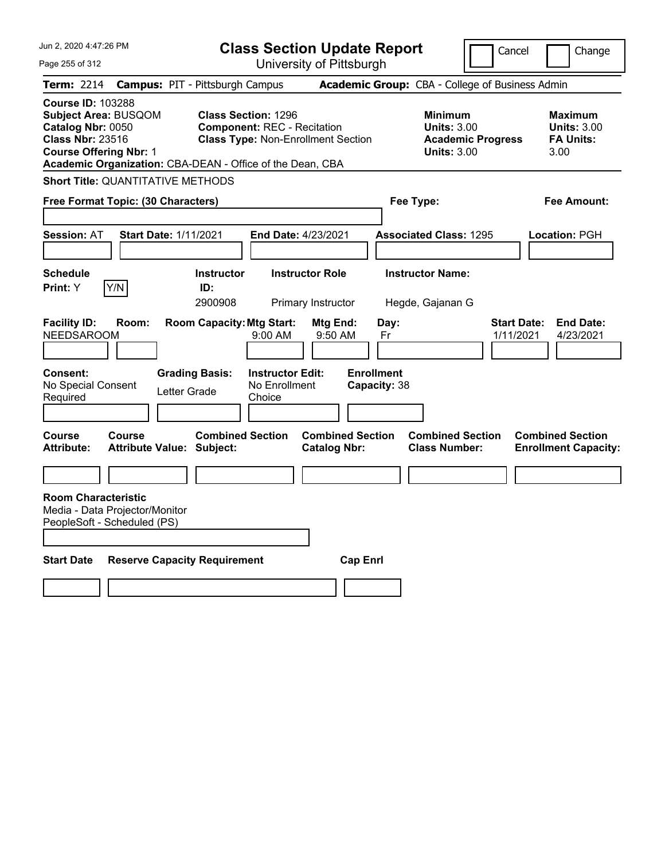| Jun 2, 2020 4:47:26 PM                                                                                                                   | <b>Class Section Update Report</b>                                                                                                                                         |                                                            | Cancel                          | Change                                                           |
|------------------------------------------------------------------------------------------------------------------------------------------|----------------------------------------------------------------------------------------------------------------------------------------------------------------------------|------------------------------------------------------------|---------------------------------|------------------------------------------------------------------|
| Page 255 of 312                                                                                                                          | University of Pittsburgh                                                                                                                                                   |                                                            |                                 |                                                                  |
| <b>Term: 2214</b>                                                                                                                        | <b>Campus: PIT - Pittsburgh Campus</b>                                                                                                                                     | Academic Group: CBA - College of Business Admin            |                                 |                                                                  |
| <b>Course ID: 103288</b><br><b>Subject Area: BUSQOM</b><br>Catalog Nbr: 0050<br><b>Class Nbr: 23516</b><br><b>Course Offering Nbr: 1</b> | <b>Class Section: 1296</b><br><b>Component: REC - Recitation</b><br><b>Class Type: Non-Enrollment Section</b><br>Academic Organization: CBA-DEAN - Office of the Dean, CBA | <b>Minimum</b><br><b>Units: 3.00</b><br><b>Units: 3.00</b> | <b>Academic Progress</b>        | <b>Maximum</b><br><b>Units: 3.00</b><br><b>FA Units:</b><br>3.00 |
| <b>Short Title: QUANTITATIVE METHODS</b>                                                                                                 |                                                                                                                                                                            |                                                            |                                 |                                                                  |
| Free Format Topic: (30 Characters)                                                                                                       |                                                                                                                                                                            | Fee Type:                                                  |                                 | Fee Amount:                                                      |
| <b>Session: AT</b><br><b>Start Date: 1/11/2021</b>                                                                                       | End Date: 4/23/2021                                                                                                                                                        | <b>Associated Class: 1295</b>                              |                                 | Location: PGH                                                    |
| <b>Schedule</b><br>Y/N<br>Print: Y                                                                                                       | <b>Instructor</b><br><b>Instructor Role</b><br>ID:<br>2900908<br>Primary Instructor                                                                                        | <b>Instructor Name:</b><br>Hegde, Gajanan G                |                                 |                                                                  |
| <b>Facility ID:</b><br>Room:<br><b>NEEDSAROOM</b>                                                                                        | <b>Room Capacity: Mtg Start:</b><br>Mtg End:<br>9:00 AM                                                                                                                    | Day:<br>9:50 AM<br>Fr                                      | <b>Start Date:</b><br>1/11/2021 | <b>End Date:</b><br>4/23/2021                                    |
| Consent:<br>No Special Consent<br>Required                                                                                               | <b>Grading Basis:</b><br><b>Instructor Edit:</b><br>No Enrollment<br>Letter Grade<br>Choice                                                                                | <b>Enrollment</b><br>Capacity: 38                          |                                 |                                                                  |
| <b>Course</b><br><b>Course</b><br><b>Attribute:</b><br><b>Attribute Value: Subject:</b>                                                  | <b>Combined Section</b><br><b>Catalog Nbr:</b>                                                                                                                             | <b>Combined Section</b><br><b>Class Number:</b>            | <b>Combined Section</b>         | <b>Combined Section</b><br><b>Enrollment Capacity:</b>           |
|                                                                                                                                          |                                                                                                                                                                            |                                                            |                                 |                                                                  |
| <b>Room Characteristic</b><br>Media - Data Projector/Monitor<br>PeopleSoft - Scheduled (PS)                                              |                                                                                                                                                                            |                                                            |                                 |                                                                  |
| <b>Start Date</b>                                                                                                                        | <b>Reserve Capacity Requirement</b>                                                                                                                                        | <b>Cap Enri</b>                                            |                                 |                                                                  |
|                                                                                                                                          |                                                                                                                                                                            |                                                            |                                 |                                                                  |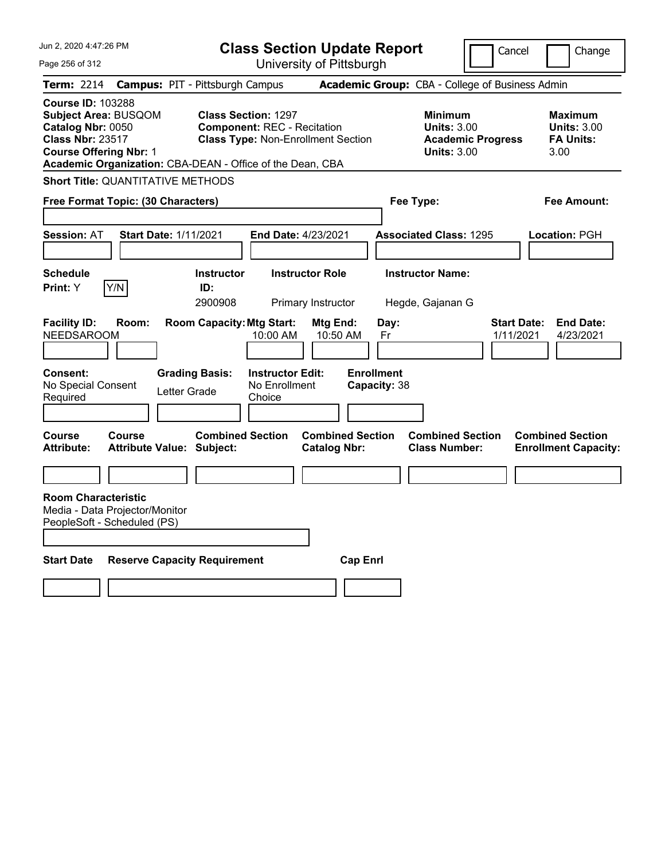| Jun 2, 2020 4:47:26 PM                                                                                                                                                                         |                                                             | <b>Class Section Update Report</b>                                                                            |                                   |                                                                                        | Cancel<br>Change                                                 |
|------------------------------------------------------------------------------------------------------------------------------------------------------------------------------------------------|-------------------------------------------------------------|---------------------------------------------------------------------------------------------------------------|-----------------------------------|----------------------------------------------------------------------------------------|------------------------------------------------------------------|
| Page 256 of 312                                                                                                                                                                                |                                                             | University of Pittsburgh                                                                                      |                                   |                                                                                        |                                                                  |
| Term: 2214                                                                                                                                                                                     | <b>Campus: PIT - Pittsburgh Campus</b>                      |                                                                                                               |                                   | Academic Group: CBA - College of Business Admin                                        |                                                                  |
| <b>Course ID: 103288</b><br>Subject Area: BUSQOM<br>Catalog Nbr: 0050<br><b>Class Nbr: 23517</b><br><b>Course Offering Nbr: 1</b><br>Academic Organization: CBA-DEAN - Office of the Dean, CBA |                                                             | <b>Class Section: 1297</b><br><b>Component: REC - Recitation</b><br><b>Class Type: Non-Enrollment Section</b> |                                   | <b>Minimum</b><br><b>Units: 3.00</b><br><b>Academic Progress</b><br><b>Units: 3.00</b> | <b>Maximum</b><br><b>Units: 3.00</b><br><b>FA Units:</b><br>3.00 |
| <b>Short Title: QUANTITATIVE METHODS</b>                                                                                                                                                       |                                                             |                                                                                                               |                                   |                                                                                        |                                                                  |
| Free Format Topic: (30 Characters)                                                                                                                                                             |                                                             |                                                                                                               |                                   | Fee Type:                                                                              | Fee Amount:                                                      |
| <b>Session: AT</b>                                                                                                                                                                             | Start Date: 1/11/2021                                       | End Date: 4/23/2021                                                                                           |                                   | <b>Associated Class: 1295</b>                                                          | Location: PGH                                                    |
| <b>Schedule</b><br>Y/N<br><b>Print:</b> Y                                                                                                                                                      | <b>Instructor</b><br>ID:<br>2900908                         | <b>Instructor Role</b><br>Primary Instructor                                                                  |                                   | <b>Instructor Name:</b><br>Hegde, Gajanan G                                            |                                                                  |
| <b>Facility ID:</b><br>Room:<br><b>NEEDSAROOM</b>                                                                                                                                              | <b>Room Capacity: Mtg Start:</b>                            | Mtg End:<br>10:00 AM                                                                                          | Day:<br>10:50 AM<br>Fr            |                                                                                        | <b>End Date:</b><br><b>Start Date:</b><br>1/11/2021<br>4/23/2021 |
| <b>Consent:</b><br>No Special Consent<br>Required                                                                                                                                              | <b>Grading Basis:</b><br>Letter Grade                       | <b>Instructor Edit:</b><br>No Enrollment<br>Choice                                                            | <b>Enrollment</b><br>Capacity: 38 |                                                                                        |                                                                  |
| <b>Course</b><br><b>Course</b><br><b>Attribute:</b>                                                                                                                                            | <b>Combined Section</b><br><b>Attribute Value: Subject:</b> | <b>Catalog Nbr:</b>                                                                                           | <b>Combined Section</b>           | <b>Combined Section</b><br><b>Class Number:</b>                                        | <b>Combined Section</b><br><b>Enrollment Capacity:</b>           |
|                                                                                                                                                                                                |                                                             |                                                                                                               |                                   |                                                                                        |                                                                  |
| <b>Room Characteristic</b><br>Media - Data Projector/Monitor<br>PeopleSoft - Scheduled (PS)                                                                                                    |                                                             |                                                                                                               |                                   |                                                                                        |                                                                  |
| <b>Start Date</b>                                                                                                                                                                              | <b>Reserve Capacity Requirement</b>                         |                                                                                                               | <b>Cap Enri</b>                   |                                                                                        |                                                                  |
|                                                                                                                                                                                                |                                                             |                                                                                                               |                                   |                                                                                        |                                                                  |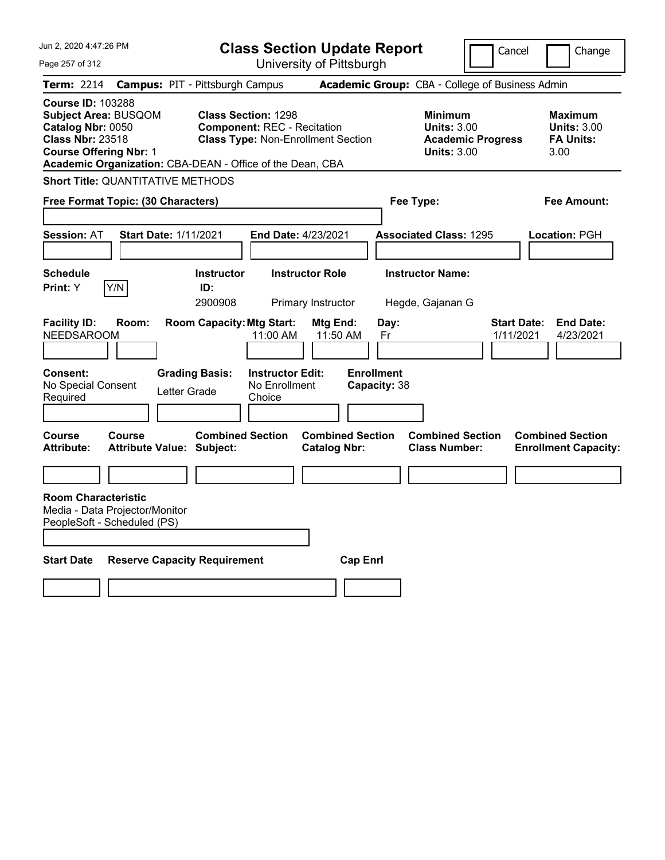| Academic Group: CBA - College of Business Admin                                        |                                                                  |
|----------------------------------------------------------------------------------------|------------------------------------------------------------------|
|                                                                                        |                                                                  |
|                                                                                        |                                                                  |
| <b>Minimum</b><br><b>Units: 3.00</b><br><b>Academic Progress</b><br><b>Units: 3.00</b> | <b>Maximum</b><br><b>Units: 3.00</b><br><b>FA Units:</b><br>3.00 |
|                                                                                        |                                                                  |
| Fee Type:                                                                              | <b>Fee Amount:</b>                                               |
| <b>Associated Class: 1295</b>                                                          | Location: PGH                                                    |
| <b>Instructor Name:</b><br>Hegde, Gajanan G                                            |                                                                  |
| <b>Start Date:</b><br>1/11/2021                                                        | <b>End Date:</b><br>4/23/2021                                    |
|                                                                                        |                                                                  |
| <b>Combined Section</b><br><b>Class Number:</b>                                        | <b>Combined Section</b><br><b>Enrollment Capacity:</b>           |
|                                                                                        |                                                                  |
|                                                                                        |                                                                  |
|                                                                                        |                                                                  |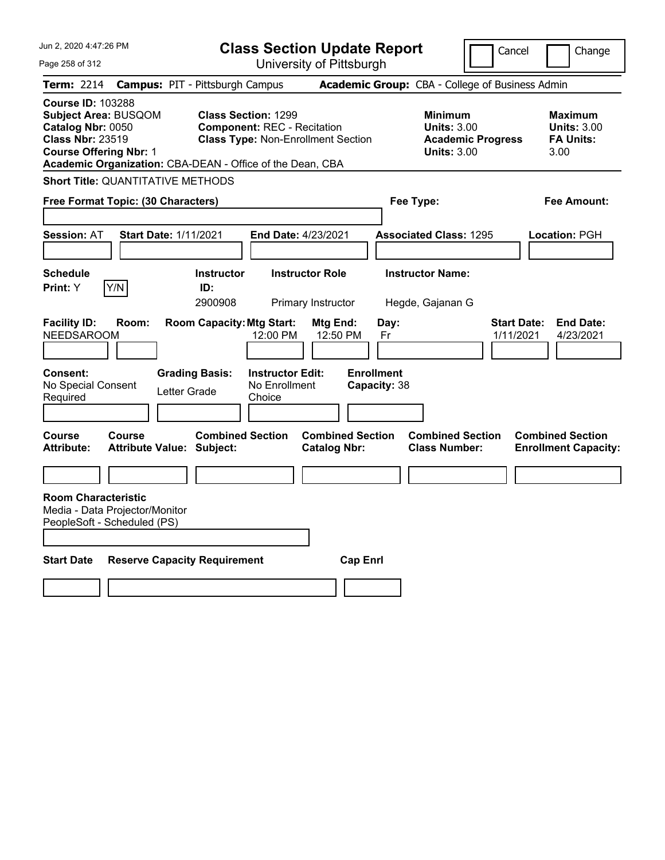| Jun 2, 2020 4:47:26 PM                                                                                                                                                                                | <b>Class Section Update Report</b>                                                                                            |                                                                            | Cancel                          | Change                                                           |
|-------------------------------------------------------------------------------------------------------------------------------------------------------------------------------------------------------|-------------------------------------------------------------------------------------------------------------------------------|----------------------------------------------------------------------------|---------------------------------|------------------------------------------------------------------|
| Page 258 of 312                                                                                                                                                                                       | University of Pittsburgh                                                                                                      |                                                                            |                                 |                                                                  |
| <b>Term: 2214</b>                                                                                                                                                                                     | <b>Campus: PIT - Pittsburgh Campus</b>                                                                                        | <b>Academic Group:</b> CBA - College of Business Admin                     |                                 |                                                                  |
| <b>Course ID: 103288</b><br><b>Subject Area: BUSQOM</b><br>Catalog Nbr: 0050<br><b>Class Nbr: 23519</b><br><b>Course Offering Nbr: 1</b><br>Academic Organization: CBA-DEAN - Office of the Dean, CBA | <b>Class Section: 1299</b><br><b>Component: REC - Recitation</b><br><b>Class Type: Non-Enrollment Section</b>                 | <b>Minimum</b><br><b>Units: 3.00</b><br><b>Units: 3.00</b>                 | <b>Academic Progress</b>        | <b>Maximum</b><br><b>Units: 3.00</b><br><b>FA Units:</b><br>3.00 |
| <b>Short Title: QUANTITATIVE METHODS</b>                                                                                                                                                              |                                                                                                                               |                                                                            |                                 |                                                                  |
| Free Format Topic: (30 Characters)                                                                                                                                                                    |                                                                                                                               | Fee Type:                                                                  |                                 | Fee Amount:                                                      |
| <b>Session: AT</b><br><b>Start Date: 1/11/2021</b>                                                                                                                                                    | <b>End Date: 4/23/2021</b>                                                                                                    | <b>Associated Class: 1295</b>                                              |                                 | Location: PGH                                                    |
| Schedule<br>Y/N<br><b>Print:</b> Y                                                                                                                                                                    | <b>Instructor Role</b><br><b>Instructor</b><br>ID:<br>2900908<br>Primary Instructor                                           | <b>Instructor Name:</b><br>Hegde, Gajanan G                                |                                 |                                                                  |
| <b>Facility ID:</b><br>Room:<br><b>NEEDSAROOM</b><br><b>Consent:</b><br>No Special Consent                                                                                                            | <b>Room Capacity: Mtg Start:</b><br>Mtg End:<br>12:00 PM<br><b>Grading Basis:</b><br><b>Instructor Edit:</b><br>No Enrollment | Day:<br>12:50 PM<br>Fr<br><b>Enrollment</b><br>Capacity: 38                | <b>Start Date:</b><br>1/11/2021 | <b>End Date:</b><br>4/23/2021                                    |
| Letter Grade<br>Required                                                                                                                                                                              | Choice                                                                                                                        |                                                                            |                                 |                                                                  |
| <b>Course</b><br>Course<br><b>Attribute:</b><br><b>Attribute Value: Subject:</b>                                                                                                                      | <b>Combined Section</b><br><b>Catalog Nbr:</b>                                                                                | <b>Combined Section</b><br><b>Combined Section</b><br><b>Class Number:</b> |                                 | <b>Combined Section</b><br><b>Enrollment Capacity:</b>           |
|                                                                                                                                                                                                       |                                                                                                                               |                                                                            |                                 |                                                                  |
| <b>Room Characteristic</b><br>Media - Data Projector/Monitor<br>PeopleSoft - Scheduled (PS)                                                                                                           |                                                                                                                               |                                                                            |                                 |                                                                  |
| <b>Start Date</b><br><b>Reserve Capacity Requirement</b>                                                                                                                                              |                                                                                                                               | <b>Cap Enrl</b>                                                            |                                 |                                                                  |
|                                                                                                                                                                                                       |                                                                                                                               |                                                                            |                                 |                                                                  |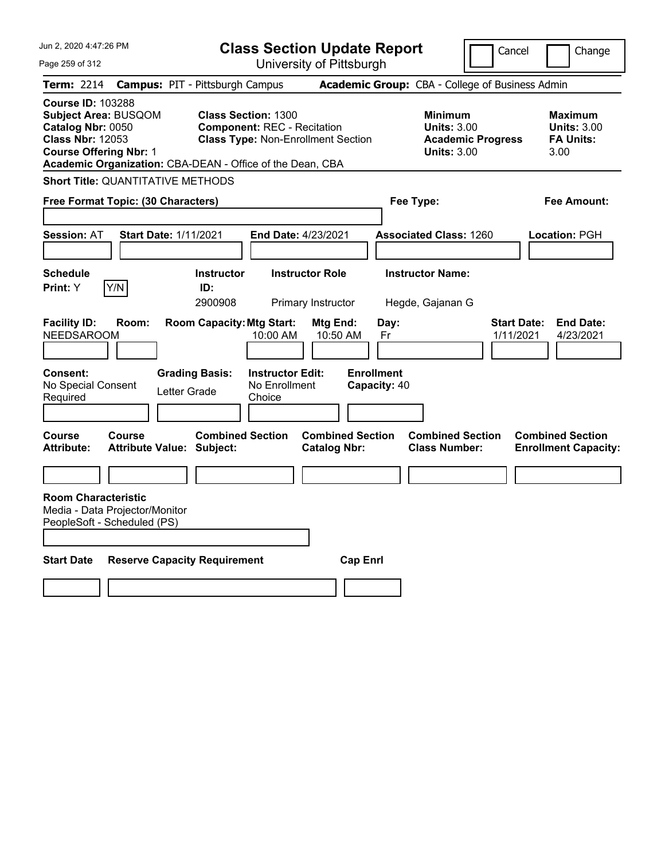| Jun 2, 2020 4:47:26 PM                                                                                                                                                                                | <b>Class Section Update Report</b>                                                                            |                                                         | Cancel                                                                                 | Change                                                           |
|-------------------------------------------------------------------------------------------------------------------------------------------------------------------------------------------------------|---------------------------------------------------------------------------------------------------------------|---------------------------------------------------------|----------------------------------------------------------------------------------------|------------------------------------------------------------------|
| Page 259 of 312                                                                                                                                                                                       |                                                                                                               | University of Pittsburgh                                |                                                                                        |                                                                  |
| <b>Term: 2214</b>                                                                                                                                                                                     | <b>Campus: PIT - Pittsburgh Campus</b>                                                                        |                                                         | Academic Group: CBA - College of Business Admin                                        |                                                                  |
| <b>Course ID: 103288</b><br><b>Subject Area: BUSQOM</b><br>Catalog Nbr: 0050<br><b>Class Nbr: 12053</b><br><b>Course Offering Nbr: 1</b><br>Academic Organization: CBA-DEAN - Office of the Dean, CBA | <b>Class Section: 1300</b><br><b>Component: REC - Recitation</b><br><b>Class Type: Non-Enrollment Section</b> |                                                         | <b>Minimum</b><br><b>Units: 3.00</b><br><b>Academic Progress</b><br><b>Units: 3.00</b> | <b>Maximum</b><br><b>Units: 3.00</b><br><b>FA Units:</b><br>3.00 |
| <b>Short Title: QUANTITATIVE METHODS</b>                                                                                                                                                              |                                                                                                               |                                                         |                                                                                        |                                                                  |
| Free Format Topic: (30 Characters)                                                                                                                                                                    |                                                                                                               |                                                         | Fee Type:                                                                              | <b>Fee Amount:</b>                                               |
| <b>Start Date: 1/11/2021</b><br><b>Session: AT</b>                                                                                                                                                    | End Date: 4/23/2021                                                                                           |                                                         | <b>Associated Class: 1260</b>                                                          | Location: PGH                                                    |
| <b>Schedule</b><br>Y/N<br>Print: Y                                                                                                                                                                    | <b>Instructor Role</b><br><b>Instructor</b><br>ID:<br>2900908<br>Primary Instructor                           |                                                         | <b>Instructor Name:</b><br>Hegde, Gajanan G                                            |                                                                  |
| <b>Facility ID:</b><br>Room:<br><b>NEEDSAROOM</b><br><b>Consent:</b>                                                                                                                                  | <b>Room Capacity: Mtg Start:</b><br>10:00 AM<br><b>Grading Basis:</b><br><b>Instructor Edit:</b>              | Mtg End:<br>Day:<br>10:50 AM<br>Fr<br><b>Enrollment</b> |                                                                                        | <b>Start Date:</b><br><b>End Date:</b><br>1/11/2021<br>4/23/2021 |
| No Special Consent<br>Letter Grade<br>Required                                                                                                                                                        | No Enrollment<br>Choice                                                                                       | Capacity: 40                                            |                                                                                        |                                                                  |
| Course<br>Course<br><b>Attribute:</b><br><b>Attribute Value: Subject:</b>                                                                                                                             | <b>Combined Section</b>                                                                                       | <b>Combined Section</b><br><b>Catalog Nbr:</b>          | <b>Combined Section</b><br><b>Class Number:</b>                                        | <b>Combined Section</b><br><b>Enrollment Capacity:</b>           |
|                                                                                                                                                                                                       |                                                                                                               |                                                         |                                                                                        |                                                                  |
| <b>Room Characteristic</b><br>Media - Data Projector/Monitor<br>PeopleSoft - Scheduled (PS)                                                                                                           |                                                                                                               |                                                         |                                                                                        |                                                                  |
| <b>Start Date</b><br><b>Reserve Capacity Requirement</b>                                                                                                                                              |                                                                                                               | <b>Cap Enri</b>                                         |                                                                                        |                                                                  |
|                                                                                                                                                                                                       |                                                                                                               |                                                         |                                                                                        |                                                                  |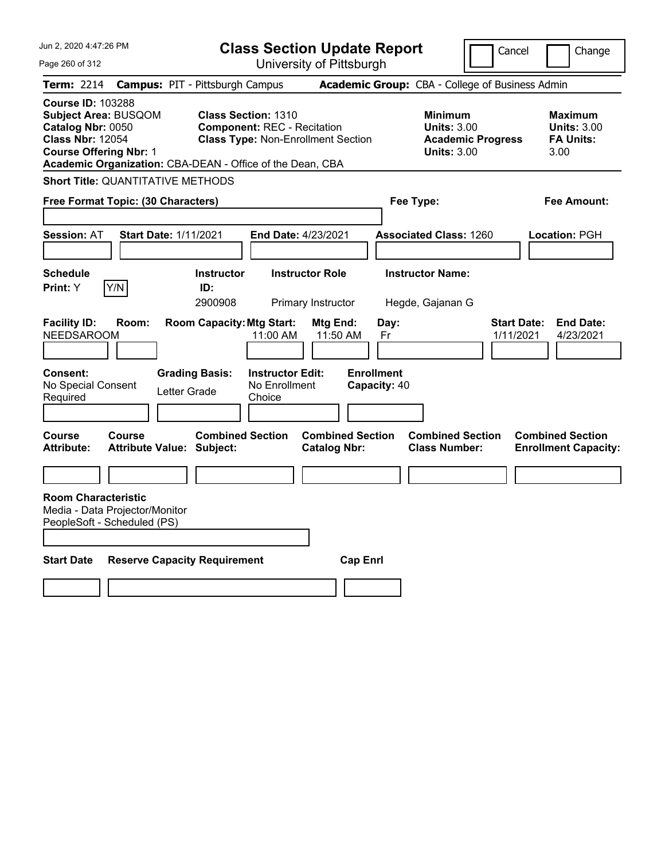| Jun 2, 2020 4:47:26 PM                                                                                                            |               |                                                                                         |                                     | <b>Class Section Update Report</b>              |                                 |                                                            | Cancel                          | Change                                                           |
|-----------------------------------------------------------------------------------------------------------------------------------|---------------|-----------------------------------------------------------------------------------------|-------------------------------------|-------------------------------------------------|---------------------------------|------------------------------------------------------------|---------------------------------|------------------------------------------------------------------|
| Page 260 of 312                                                                                                                   |               |                                                                                         |                                     | University of Pittsburgh                        |                                 |                                                            |                                 |                                                                  |
| Term: 2214                                                                                                                        |               | <b>Campus: PIT - Pittsburgh Campus</b>                                                  |                                     | Academic Group: CBA - College of Business Admin |                                 |                                                            |                                 |                                                                  |
| <b>Course ID: 103288</b><br>Subject Area: BUSQOM<br>Catalog Nbr: 0050<br><b>Class Nbr: 12054</b><br><b>Course Offering Nbr: 1</b> |               | <b>Class Section: 1310</b><br>Academic Organization: CBA-DEAN - Office of the Dean, CBA | <b>Component: REC - Recitation</b>  | <b>Class Type: Non-Enrollment Section</b>       |                                 | <b>Minimum</b><br><b>Units: 3.00</b><br><b>Units: 3.00</b> | <b>Academic Progress</b>        | <b>Maximum</b><br><b>Units: 3.00</b><br><b>FA Units:</b><br>3.00 |
| <b>Short Title: QUANTITATIVE METHODS</b>                                                                                          |               |                                                                                         |                                     |                                                 |                                 |                                                            |                                 |                                                                  |
| Free Format Topic: (30 Characters)                                                                                                |               |                                                                                         |                                     |                                                 |                                 | Fee Type:                                                  |                                 | Fee Amount:                                                      |
| <b>Session: AT</b>                                                                                                                |               | <b>Start Date: 1/11/2021</b>                                                            | End Date: 4/23/2021                 |                                                 |                                 | <b>Associated Class: 1260</b>                              |                                 | Location: PGH                                                    |
| <b>Schedule</b><br>Print: Y                                                                                                       | Y/N           | <b>Instructor</b><br>ID:<br>2900908                                                     |                                     | <b>Instructor Role</b><br>Primary Instructor    |                                 | <b>Instructor Name:</b><br>Hegde, Gajanan G                |                                 |                                                                  |
| <b>Facility ID:</b><br><b>NEEDSAROOM</b><br><b>Consent:</b>                                                                       | Room:         | <b>Room Capacity: Mtg Start:</b><br><b>Grading Basis:</b>                               | 11:00 AM<br><b>Instructor Edit:</b> | Mtg End:<br>11:50 AM                            | Day:<br>Fr<br><b>Enrollment</b> |                                                            | <b>Start Date:</b><br>1/11/2021 | <b>End Date:</b><br>4/23/2021                                    |
| No Special Consent<br>Required                                                                                                    |               | Letter Grade                                                                            | No Enrollment<br>Choice             |                                                 | Capacity: 40                    |                                                            |                                 |                                                                  |
| Course<br><b>Attribute:</b>                                                                                                       | <b>Course</b> | <b>Combined Section</b><br><b>Attribute Value: Subject:</b>                             |                                     | <b>Combined Section</b><br><b>Catalog Nbr:</b>  |                                 | <b>Combined Section</b><br><b>Class Number:</b>            |                                 | <b>Combined Section</b><br><b>Enrollment Capacity:</b>           |
|                                                                                                                                   |               |                                                                                         |                                     |                                                 |                                 |                                                            |                                 |                                                                  |
| <b>Room Characteristic</b><br>Media - Data Projector/Monitor<br>PeopleSoft - Scheduled (PS)                                       |               |                                                                                         |                                     |                                                 |                                 |                                                            |                                 |                                                                  |
| <b>Start Date</b>                                                                                                                 |               | <b>Reserve Capacity Requirement</b>                                                     |                                     | <b>Cap Enri</b>                                 |                                 |                                                            |                                 |                                                                  |
|                                                                                                                                   |               |                                                                                         |                                     |                                                 |                                 |                                                            |                                 |                                                                  |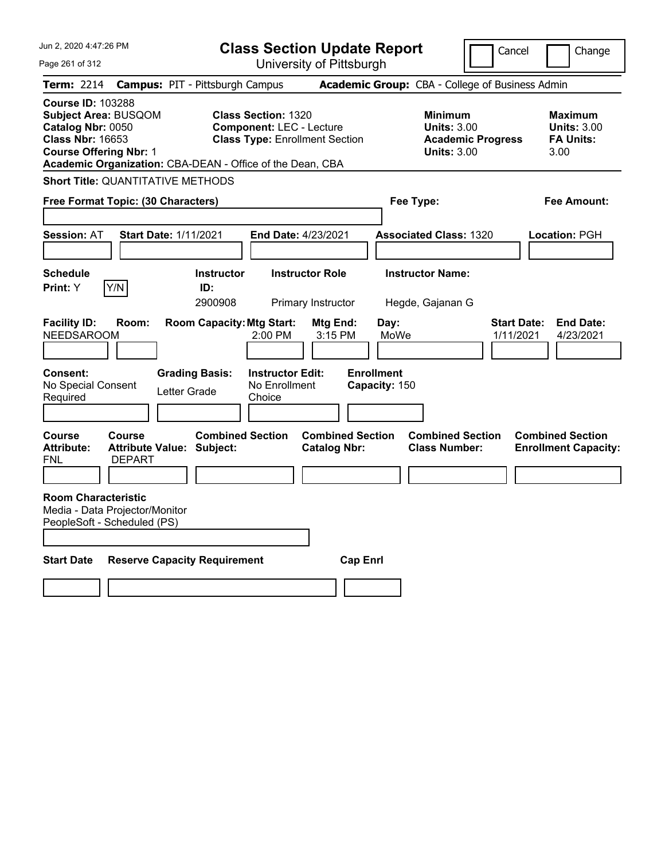| Jun 2, 2020 4:47:26 PM                                                                                                                                                                         |                                                                           | <b>Class Section Update Report</b>                                                                     |                                                |                                                    | Cancel                                                               | Change                                                           |
|------------------------------------------------------------------------------------------------------------------------------------------------------------------------------------------------|---------------------------------------------------------------------------|--------------------------------------------------------------------------------------------------------|------------------------------------------------|----------------------------------------------------|----------------------------------------------------------------------|------------------------------------------------------------------|
| Page 261 of 312                                                                                                                                                                                |                                                                           | University of Pittsburgh                                                                               |                                                |                                                    |                                                                      |                                                                  |
| Term: 2214                                                                                                                                                                                     | <b>Campus: PIT - Pittsburgh Campus</b>                                    |                                                                                                        |                                                | Academic Group: CBA - College of Business Admin    |                                                                      |                                                                  |
| <b>Course ID: 103288</b><br>Subject Area: BUSQOM<br>Catalog Nbr: 0050<br><b>Class Nbr: 16653</b><br><b>Course Offering Nbr: 1</b><br>Academic Organization: CBA-DEAN - Office of the Dean, CBA |                                                                           | <b>Class Section: 1320</b><br><b>Component: LEC - Lecture</b><br><b>Class Type: Enrollment Section</b> |                                                | <b>Minimum</b>                                     | <b>Units: 3.00</b><br><b>Academic Progress</b><br><b>Units: 3.00</b> | <b>Maximum</b><br><b>Units: 3.00</b><br><b>FA Units:</b><br>3.00 |
| <b>Short Title: QUANTITATIVE METHODS</b>                                                                                                                                                       |                                                                           |                                                                                                        |                                                |                                                    |                                                                      |                                                                  |
| Free Format Topic: (30 Characters)                                                                                                                                                             |                                                                           |                                                                                                        |                                                | Fee Type:                                          |                                                                      | Fee Amount:                                                      |
|                                                                                                                                                                                                |                                                                           |                                                                                                        |                                                |                                                    |                                                                      |                                                                  |
| <b>Session: AT</b>                                                                                                                                                                             | <b>Start Date: 1/11/2021</b>                                              | <b>End Date: 4/23/2021</b>                                                                             |                                                | <b>Associated Class: 1320</b>                      |                                                                      | Location: PGH                                                    |
|                                                                                                                                                                                                |                                                                           |                                                                                                        |                                                |                                                    |                                                                      |                                                                  |
| <b>Schedule</b>                                                                                                                                                                                | <b>Instructor</b>                                                         | <b>Instructor Role</b>                                                                                 |                                                | <b>Instructor Name:</b>                            |                                                                      |                                                                  |
| Y/N<br>Print: Y                                                                                                                                                                                | ID:<br>2900908                                                            | Primary Instructor                                                                                     |                                                | Hegde, Gajanan G                                   |                                                                      |                                                                  |
| <b>Facility ID:</b><br>Room:<br><b>NEEDSAROOM</b><br><b>Consent:</b><br>No Special Consent<br>Required                                                                                         | <b>Room Capacity: Mtg Start:</b><br><b>Grading Basis:</b><br>Letter Grade | 2:00 PM<br><b>Instructor Edit:</b><br>No Enrollment<br>Choice                                          | Mtg End:<br>3:15 PM                            | Day:<br>MoWe<br><b>Enrollment</b><br>Capacity: 150 | <b>Start Date:</b><br>1/11/2021                                      | <b>End Date:</b><br>4/23/2021                                    |
| Course<br><b>Course</b><br><b>Attribute:</b><br>FNL<br><b>DEPART</b>                                                                                                                           | <b>Combined Section</b><br><b>Attribute Value: Subject:</b>               |                                                                                                        | <b>Combined Section</b><br><b>Catalog Nbr:</b> | <b>Class Number:</b>                               | <b>Combined Section</b>                                              | <b>Combined Section</b><br><b>Enrollment Capacity:</b>           |
| <b>Room Characteristic</b><br>Media - Data Projector/Monitor<br>PeopleSoft - Scheduled (PS)                                                                                                    |                                                                           |                                                                                                        |                                                |                                                    |                                                                      |                                                                  |
| <b>Start Date</b>                                                                                                                                                                              | <b>Reserve Capacity Requirement</b>                                       |                                                                                                        | <b>Cap Enrl</b>                                |                                                    |                                                                      |                                                                  |
|                                                                                                                                                                                                |                                                                           |                                                                                                        |                                                |                                                    |                                                                      |                                                                  |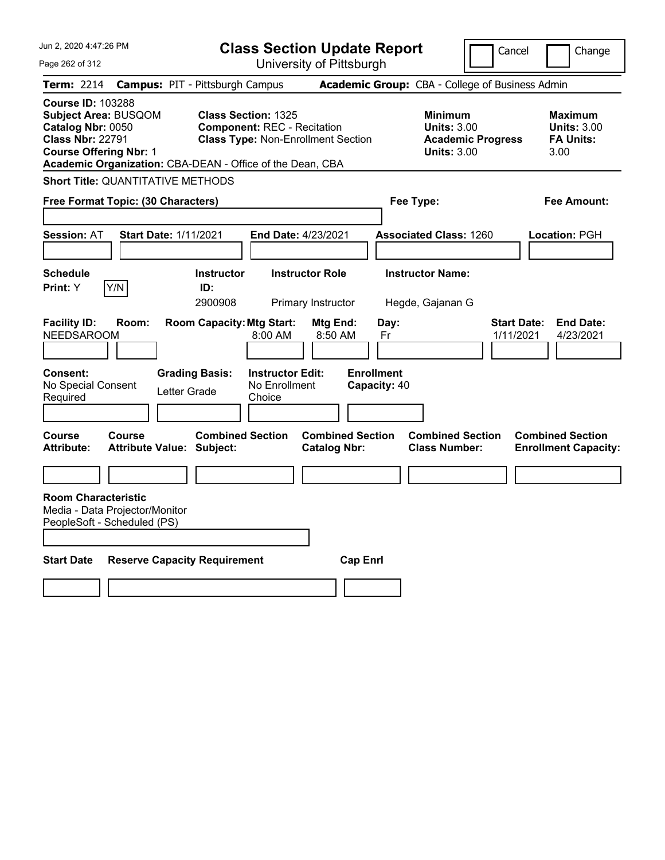| Jun 2, 2020 4:47:26 PM                                                                                                                   |                              |                                                                                         |                                                    | <b>Class Section Update Report</b>             |                                   |                                                            | Cancel                          | Change                                                           |
|------------------------------------------------------------------------------------------------------------------------------------------|------------------------------|-----------------------------------------------------------------------------------------|----------------------------------------------------|------------------------------------------------|-----------------------------------|------------------------------------------------------------|---------------------------------|------------------------------------------------------------------|
| Page 262 of 312                                                                                                                          |                              |                                                                                         |                                                    | University of Pittsburgh                       |                                   |                                                            |                                 |                                                                  |
| Term: 2214                                                                                                                               |                              | <b>Campus: PIT - Pittsburgh Campus</b>                                                  |                                                    |                                                |                                   | Academic Group: CBA - College of Business Admin            |                                 |                                                                  |
| <b>Course ID: 103288</b><br><b>Subject Area: BUSQOM</b><br>Catalog Nbr: 0050<br><b>Class Nbr: 22791</b><br><b>Course Offering Nbr: 1</b> |                              | <b>Class Section: 1325</b><br>Academic Organization: CBA-DEAN - Office of the Dean, CBA | <b>Component: REC - Recitation</b>                 | <b>Class Type: Non-Enrollment Section</b>      |                                   | <b>Minimum</b><br><b>Units: 3.00</b><br><b>Units: 3.00</b> | <b>Academic Progress</b>        | <b>Maximum</b><br><b>Units: 3.00</b><br><b>FA Units:</b><br>3.00 |
| <b>Short Title: QUANTITATIVE METHODS</b>                                                                                                 |                              |                                                                                         |                                                    |                                                |                                   |                                                            |                                 |                                                                  |
| Free Format Topic: (30 Characters)                                                                                                       |                              |                                                                                         |                                                    |                                                |                                   | Fee Type:                                                  |                                 | Fee Amount:                                                      |
| <b>Session: AT</b>                                                                                                                       | <b>Start Date: 1/11/2021</b> |                                                                                         | <b>End Date: 4/23/2021</b>                         |                                                |                                   | <b>Associated Class: 1260</b>                              |                                 | Location: PGH                                                    |
| <b>Schedule</b><br><b>Print:</b> Y                                                                                                       | Y/N                          | <b>Instructor</b><br>ID:<br>2900908                                                     |                                                    | <b>Instructor Role</b><br>Primary Instructor   |                                   | <b>Instructor Name:</b><br>Hegde, Gajanan G                |                                 |                                                                  |
| <b>Facility ID:</b><br><b>NEEDSAROOM</b>                                                                                                 | Room:                        | <b>Room Capacity: Mtg Start:</b>                                                        | 8:00 AM                                            | Mtg End:<br>8:50 AM                            | Day:<br>Fr                        |                                                            | <b>Start Date:</b><br>1/11/2021 | <b>End Date:</b><br>4/23/2021                                    |
| Consent:<br>No Special Consent<br>Required                                                                                               |                              | <b>Grading Basis:</b><br>Letter Grade                                                   | <b>Instructor Edit:</b><br>No Enrollment<br>Choice |                                                | <b>Enrollment</b><br>Capacity: 40 |                                                            |                                 |                                                                  |
| Course<br><b>Attribute:</b>                                                                                                              | <b>Course</b>                | <b>Combined Section</b><br><b>Attribute Value: Subject:</b>                             |                                                    | <b>Combined Section</b><br><b>Catalog Nbr:</b> |                                   | <b>Combined Section</b><br><b>Class Number:</b>            |                                 | <b>Combined Section</b><br><b>Enrollment Capacity:</b>           |
|                                                                                                                                          |                              |                                                                                         |                                                    |                                                |                                   |                                                            |                                 |                                                                  |
| <b>Room Characteristic</b><br>Media - Data Projector/Monitor<br>PeopleSoft - Scheduled (PS)                                              |                              |                                                                                         |                                                    |                                                |                                   |                                                            |                                 |                                                                  |
| <b>Start Date</b>                                                                                                                        |                              | <b>Reserve Capacity Requirement</b>                                                     |                                                    | <b>Cap Enri</b>                                |                                   |                                                            |                                 |                                                                  |
|                                                                                                                                          |                              |                                                                                         |                                                    |                                                |                                   |                                                            |                                 |                                                                  |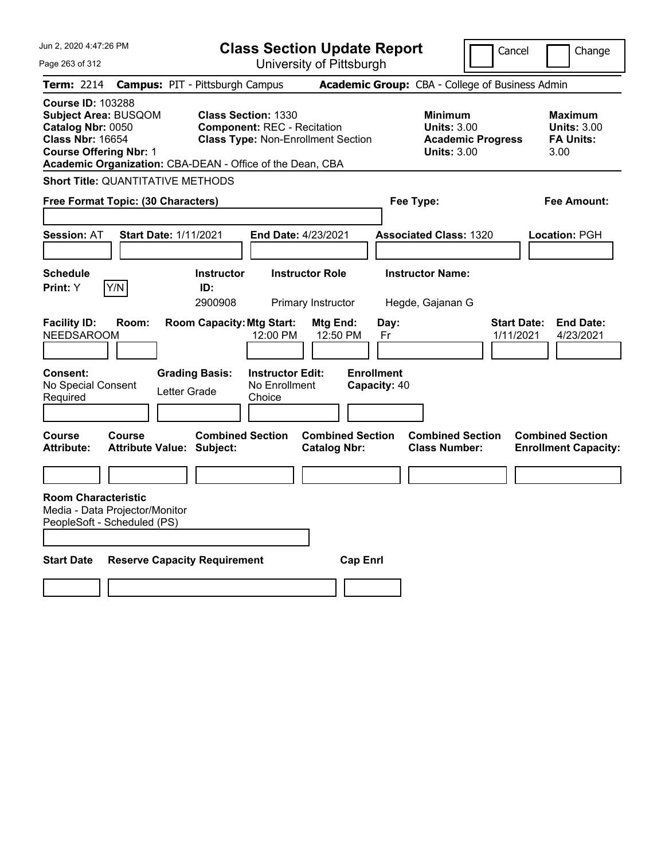| Jun 2, 2020 4:47:26 PM                                                                                                                                                                         |                                                   |              |                                        | <b>Class Section Update Report</b>                                                                            |                                                |                 |                                   |                                                                                        | Cancel                          | Change                                                           |
|------------------------------------------------------------------------------------------------------------------------------------------------------------------------------------------------|---------------------------------------------------|--------------|----------------------------------------|---------------------------------------------------------------------------------------------------------------|------------------------------------------------|-----------------|-----------------------------------|----------------------------------------------------------------------------------------|---------------------------------|------------------------------------------------------------------|
| Page 263 of 312                                                                                                                                                                                |                                                   |              |                                        | University of Pittsburgh                                                                                      |                                                |                 |                                   |                                                                                        |                                 |                                                                  |
| Term: 2214                                                                                                                                                                                     |                                                   |              | <b>Campus: PIT - Pittsburgh Campus</b> |                                                                                                               |                                                |                 |                                   | Academic Group: CBA - College of Business Admin                                        |                                 |                                                                  |
| <b>Course ID: 103288</b><br>Subject Area: BUSQOM<br>Catalog Nbr: 0050<br><b>Class Nbr: 16654</b><br><b>Course Offering Nbr: 1</b><br>Academic Organization: CBA-DEAN - Office of the Dean, CBA |                                                   |              |                                        | <b>Class Section: 1330</b><br><b>Component: REC - Recitation</b><br><b>Class Type: Non-Enrollment Section</b> |                                                |                 |                                   | <b>Minimum</b><br><b>Units: 3.00</b><br><b>Academic Progress</b><br><b>Units: 3.00</b> |                                 | <b>Maximum</b><br><b>Units: 3.00</b><br><b>FA Units:</b><br>3.00 |
| <b>Short Title: QUANTITATIVE METHODS</b>                                                                                                                                                       |                                                   |              |                                        |                                                                                                               |                                                |                 |                                   |                                                                                        |                                 |                                                                  |
| Free Format Topic: (30 Characters)                                                                                                                                                             |                                                   |              |                                        |                                                                                                               |                                                |                 |                                   | Fee Type:                                                                              |                                 | Fee Amount:                                                      |
| <b>Session: AT</b>                                                                                                                                                                             | <b>Start Date: 1/11/2021</b>                      |              |                                        | End Date: 4/23/2021                                                                                           |                                                |                 |                                   | <b>Associated Class: 1320</b>                                                          |                                 | Location: PGH                                                    |
| <b>Schedule</b><br>Print: Y                                                                                                                                                                    | Y/N                                               |              | <b>Instructor</b><br>ID:<br>2900908    |                                                                                                               | <b>Instructor Role</b><br>Primary Instructor   |                 |                                   | <b>Instructor Name:</b><br>Hegde, Gajanan G                                            |                                 |                                                                  |
| <b>Facility ID:</b><br><b>NEEDSAROOM</b>                                                                                                                                                       | Room:                                             |              | <b>Room Capacity: Mtg Start:</b>       | 12:00 PM                                                                                                      | Mtg End:<br>12:50 PM                           |                 | Day:<br>Fr                        |                                                                                        | <b>Start Date:</b><br>1/11/2021 | <b>End Date:</b><br>4/23/2021                                    |
| <b>Consent:</b><br>No Special Consent<br>Required                                                                                                                                              |                                                   | Letter Grade | <b>Grading Basis:</b>                  | <b>Instructor Edit:</b><br>No Enrollment<br>Choice                                                            |                                                |                 | <b>Enrollment</b><br>Capacity: 40 |                                                                                        |                                 |                                                                  |
| Course<br><b>Attribute:</b>                                                                                                                                                                    | <b>Course</b><br><b>Attribute Value: Subject:</b> |              | <b>Combined Section</b>                |                                                                                                               | <b>Combined Section</b><br><b>Catalog Nbr:</b> |                 |                                   | <b>Combined Section</b><br><b>Class Number:</b>                                        |                                 | <b>Combined Section</b><br><b>Enrollment Capacity:</b>           |
|                                                                                                                                                                                                |                                                   |              |                                        |                                                                                                               |                                                |                 |                                   |                                                                                        |                                 |                                                                  |
| <b>Room Characteristic</b><br>Media - Data Projector/Monitor<br>PeopleSoft - Scheduled (PS)                                                                                                    |                                                   |              |                                        |                                                                                                               |                                                |                 |                                   |                                                                                        |                                 |                                                                  |
| <b>Start Date</b>                                                                                                                                                                              | <b>Reserve Capacity Requirement</b>               |              |                                        |                                                                                                               |                                                | <b>Cap Enri</b> |                                   |                                                                                        |                                 |                                                                  |
|                                                                                                                                                                                                |                                                   |              |                                        |                                                                                                               |                                                |                 |                                   |                                                                                        |                                 |                                                                  |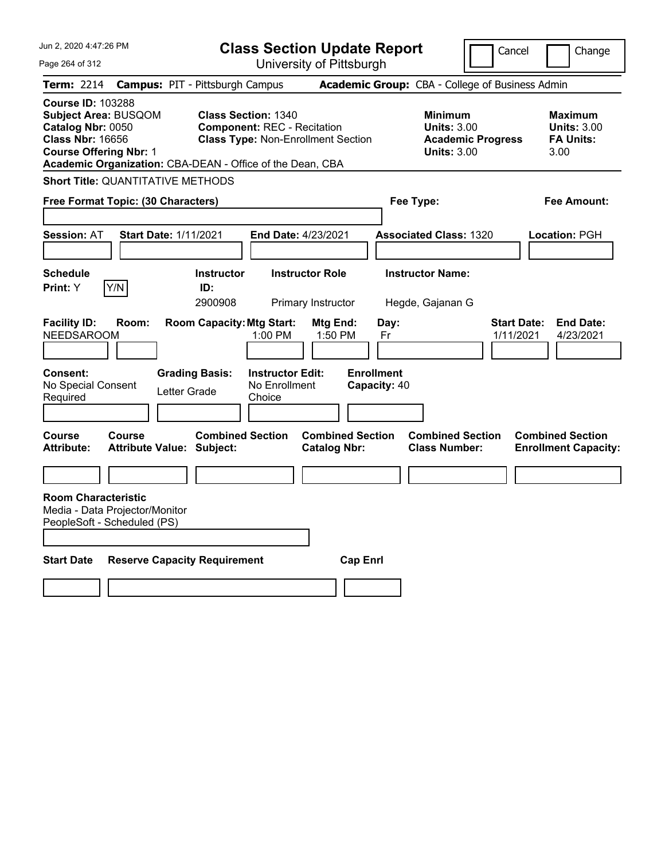| Jun 2, 2020 4:47:26 PM                                                                                                                                                                                | <b>Class Section Update Report</b>                                                                                         |                                                                        | Cancel                                                                                 | Change                                                           |
|-------------------------------------------------------------------------------------------------------------------------------------------------------------------------------------------------------|----------------------------------------------------------------------------------------------------------------------------|------------------------------------------------------------------------|----------------------------------------------------------------------------------------|------------------------------------------------------------------|
| Page 264 of 312                                                                                                                                                                                       | University of Pittsburgh                                                                                                   |                                                                        |                                                                                        |                                                                  |
| <b>Term: 2214</b>                                                                                                                                                                                     | <b>Campus: PIT - Pittsburgh Campus</b>                                                                                     |                                                                        | Academic Group: CBA - College of Business Admin                                        |                                                                  |
| <b>Course ID: 103288</b><br><b>Subject Area: BUSQOM</b><br>Catalog Nbr: 0050<br><b>Class Nbr: 16656</b><br><b>Course Offering Nbr: 1</b><br>Academic Organization: CBA-DEAN - Office of the Dean, CBA | <b>Class Section: 1340</b><br><b>Component: REC - Recitation</b><br><b>Class Type: Non-Enrollment Section</b>              |                                                                        | <b>Minimum</b><br><b>Units: 3.00</b><br><b>Academic Progress</b><br><b>Units: 3.00</b> | <b>Maximum</b><br><b>Units: 3.00</b><br><b>FA Units:</b><br>3.00 |
| <b>Short Title: QUANTITATIVE METHODS</b>                                                                                                                                                              |                                                                                                                            |                                                                        |                                                                                        |                                                                  |
| Free Format Topic: (30 Characters)                                                                                                                                                                    |                                                                                                                            | Fee Type:                                                              |                                                                                        | Fee Amount:                                                      |
| <b>Session: AT</b><br><b>Start Date: 1/11/2021</b>                                                                                                                                                    | End Date: 4/23/2021                                                                                                        |                                                                        | <b>Associated Class: 1320</b>                                                          | Location: PGH                                                    |
| <b>Schedule</b><br>Y/N<br>Print: Y                                                                                                                                                                    | <b>Instructor Role</b><br><b>Instructor</b><br>ID:<br>2900908<br>Primary Instructor                                        |                                                                        | <b>Instructor Name:</b><br>Hegde, Gajanan G                                            |                                                                  |
| <b>Facility ID:</b><br>Room:<br><b>NEEDSAROOM</b><br>Consent:<br>No Special Consent<br>Letter Grade<br>Required                                                                                       | <b>Room Capacity: Mtg Start:</b><br>1:00 PM<br><b>Grading Basis:</b><br><b>Instructor Edit:</b><br>No Enrollment<br>Choice | Mtg End:<br>Day:<br>1:50 PM<br>Fr<br><b>Enrollment</b><br>Capacity: 40 | 1/11/2021                                                                              | <b>Start Date:</b><br><b>End Date:</b><br>4/23/2021              |
| Course<br>Course<br><b>Attribute:</b><br><b>Attribute Value: Subject:</b>                                                                                                                             | <b>Combined Section</b>                                                                                                    | <b>Combined Section</b><br><b>Catalog Nbr:</b>                         | <b>Combined Section</b><br><b>Class Number:</b>                                        | <b>Combined Section</b><br><b>Enrollment Capacity:</b>           |
|                                                                                                                                                                                                       |                                                                                                                            |                                                                        |                                                                                        |                                                                  |
| <b>Room Characteristic</b><br>Media - Data Projector/Monitor<br>PeopleSoft - Scheduled (PS)                                                                                                           |                                                                                                                            |                                                                        |                                                                                        |                                                                  |
| <b>Start Date</b><br><b>Reserve Capacity Requirement</b>                                                                                                                                              |                                                                                                                            | <b>Cap Enri</b>                                                        |                                                                                        |                                                                  |
|                                                                                                                                                                                                       |                                                                                                                            |                                                                        |                                                                                        |                                                                  |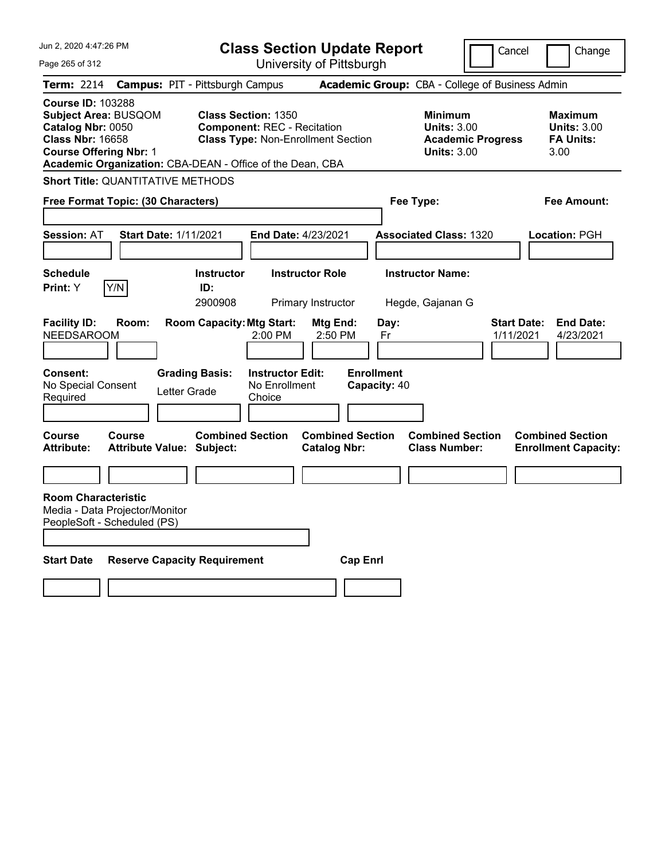| Jun 2, 2020 4:47:26 PM                                                                                                                                                                                | <b>Class Section Update Report</b>                                                                                           |                                                                        | Cancel                                                                                 | Change                                                           |
|-------------------------------------------------------------------------------------------------------------------------------------------------------------------------------------------------------|------------------------------------------------------------------------------------------------------------------------------|------------------------------------------------------------------------|----------------------------------------------------------------------------------------|------------------------------------------------------------------|
| Page 265 of 312                                                                                                                                                                                       |                                                                                                                              | University of Pittsburgh                                               |                                                                                        |                                                                  |
| Term: 2214                                                                                                                                                                                            | <b>Campus: PIT - Pittsburgh Campus</b>                                                                                       |                                                                        | Academic Group: CBA - College of Business Admin                                        |                                                                  |
| <b>Course ID: 103288</b><br><b>Subject Area: BUSQOM</b><br>Catalog Nbr: 0050<br><b>Class Nbr: 16658</b><br><b>Course Offering Nbr: 1</b><br>Academic Organization: CBA-DEAN - Office of the Dean, CBA | <b>Class Section: 1350</b><br><b>Component: REC - Recitation</b><br><b>Class Type: Non-Enrollment Section</b>                |                                                                        | <b>Minimum</b><br><b>Units: 3.00</b><br><b>Academic Progress</b><br><b>Units: 3.00</b> | <b>Maximum</b><br><b>Units: 3.00</b><br><b>FA Units:</b><br>3.00 |
| <b>Short Title: QUANTITATIVE METHODS</b>                                                                                                                                                              |                                                                                                                              |                                                                        |                                                                                        |                                                                  |
| Free Format Topic: (30 Characters)                                                                                                                                                                    |                                                                                                                              | Fee Type:                                                              |                                                                                        | Fee Amount:                                                      |
| <b>Session: AT</b><br><b>Start Date: 1/11/2021</b>                                                                                                                                                    | End Date: 4/23/2021                                                                                                          |                                                                        | <b>Associated Class: 1320</b>                                                          | Location: PGH                                                    |
| <b>Schedule</b><br>Y/N<br><b>Print:</b> Y                                                                                                                                                             | <b>Instructor Role</b><br><b>Instructor</b><br>ID:<br>2900908<br>Primary Instructor                                          |                                                                        | <b>Instructor Name:</b><br>Hegde, Gajanan G                                            |                                                                  |
| <b>Facility ID:</b><br>Room:<br><b>NEEDSAROOM</b><br><b>Consent:</b><br>No Special Consent<br>Letter Grade<br>Required                                                                                | <b>Room Capacity: Mtg Start:</b><br>$2:00$ PM<br><b>Grading Basis:</b><br><b>Instructor Edit:</b><br>No Enrollment<br>Choice | Mtg End:<br>Day:<br>2:50 PM<br>Fr<br><b>Enrollment</b><br>Capacity: 40 | <b>Start Date:</b><br>1/11/2021                                                        | <b>End Date:</b><br>4/23/2021                                    |
| Course<br>Course<br><b>Attribute:</b><br><b>Attribute Value: Subject:</b>                                                                                                                             | <b>Combined Section</b>                                                                                                      | <b>Combined Section</b><br><b>Catalog Nbr:</b>                         | <b>Combined Section</b><br><b>Class Number:</b>                                        | <b>Combined Section</b><br><b>Enrollment Capacity:</b>           |
| <b>Room Characteristic</b>                                                                                                                                                                            |                                                                                                                              |                                                                        |                                                                                        |                                                                  |
| Media - Data Projector/Monitor<br>PeopleSoft - Scheduled (PS)                                                                                                                                         |                                                                                                                              |                                                                        |                                                                                        |                                                                  |
| <b>Start Date</b><br><b>Reserve Capacity Requirement</b>                                                                                                                                              |                                                                                                                              | <b>Cap Enrl</b>                                                        |                                                                                        |                                                                  |
|                                                                                                                                                                                                       |                                                                                                                              |                                                                        |                                                                                        |                                                                  |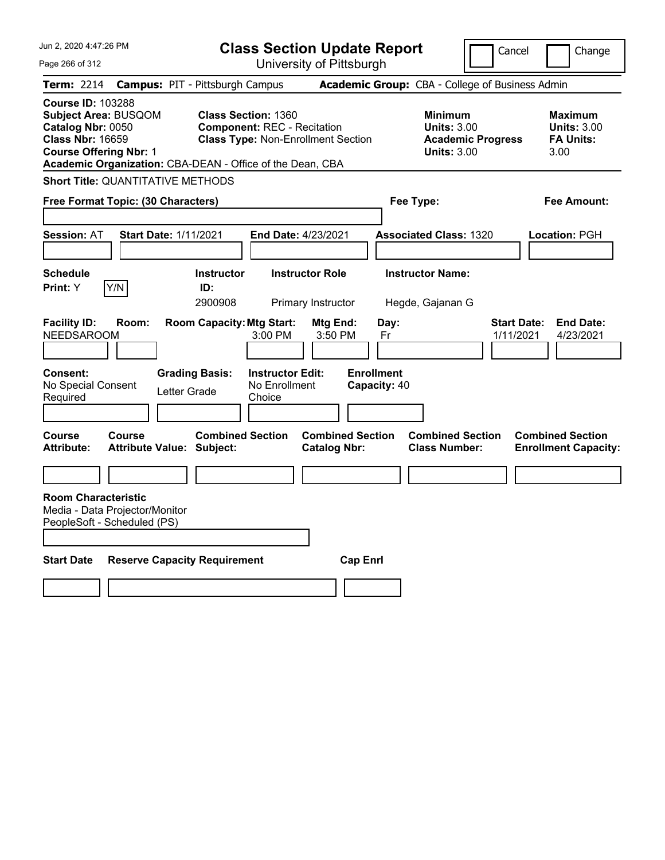| Jun 2, 2020 4:47:26 PM                                                                                                                                                                                | <b>Class Section Update Report</b>                                                                                     |                                                                            | Cancel                          | Change                                                           |
|-------------------------------------------------------------------------------------------------------------------------------------------------------------------------------------------------------|------------------------------------------------------------------------------------------------------------------------|----------------------------------------------------------------------------|---------------------------------|------------------------------------------------------------------|
| Page 266 of 312                                                                                                                                                                                       | University of Pittsburgh                                                                                               |                                                                            |                                 |                                                                  |
| <b>Term: 2214</b>                                                                                                                                                                                     | <b>Campus: PIT - Pittsburgh Campus</b>                                                                                 | <b>Academic Group:</b> CBA - College of Business Admin                     |                                 |                                                                  |
| <b>Course ID: 103288</b><br><b>Subject Area: BUSQOM</b><br>Catalog Nbr: 0050<br><b>Class Nbr: 16659</b><br><b>Course Offering Nbr: 1</b><br>Academic Organization: CBA-DEAN - Office of the Dean, CBA | <b>Class Section: 1360</b><br><b>Component: REC - Recitation</b><br><b>Class Type: Non-Enrollment Section</b>          | <b>Minimum</b><br><b>Units: 3.00</b><br><b>Units: 3.00</b>                 | <b>Academic Progress</b>        | <b>Maximum</b><br><b>Units: 3.00</b><br><b>FA Units:</b><br>3.00 |
| <b>Short Title: QUANTITATIVE METHODS</b>                                                                                                                                                              |                                                                                                                        |                                                                            |                                 |                                                                  |
| Free Format Topic: (30 Characters)                                                                                                                                                                    |                                                                                                                        | Fee Type:                                                                  |                                 | Fee Amount:                                                      |
| <b>Session: AT</b><br><b>Start Date: 1/11/2021</b>                                                                                                                                                    | <b>End Date: 4/23/2021</b>                                                                                             | <b>Associated Class: 1320</b>                                              |                                 | Location: PGH                                                    |
| Schedule<br>Y/N<br><b>Print:</b> Y                                                                                                                                                                    | <b>Instructor Role</b><br><b>Instructor</b><br>ID:<br>2900908<br>Primary Instructor                                    | <b>Instructor Name:</b><br>Hegde, Gajanan G                                |                                 |                                                                  |
| <b>Facility ID:</b><br>Room:<br><b>NEEDSAROOM</b><br><b>Consent:</b>                                                                                                                                  | <b>Room Capacity: Mtg Start:</b><br>Mtg End:<br>3:00 PM<br>3:50 PM<br><b>Grading Basis:</b><br><b>Instructor Edit:</b> | Day:<br>Fr<br><b>Enrollment</b>                                            | <b>Start Date:</b><br>1/11/2021 | <b>End Date:</b><br>4/23/2021                                    |
| No Special Consent<br>Letter Grade<br>Required                                                                                                                                                        | No Enrollment<br>Choice                                                                                                | Capacity: 40                                                               |                                 |                                                                  |
| <b>Course</b><br>Course<br><b>Attribute:</b><br><b>Attribute Value: Subject:</b>                                                                                                                      | <b>Combined Section</b><br><b>Catalog Nbr:</b>                                                                         | <b>Combined Section</b><br><b>Combined Section</b><br><b>Class Number:</b> |                                 | <b>Combined Section</b><br><b>Enrollment Capacity:</b>           |
|                                                                                                                                                                                                       |                                                                                                                        |                                                                            |                                 |                                                                  |
| <b>Room Characteristic</b><br>Media - Data Projector/Monitor<br>PeopleSoft - Scheduled (PS)                                                                                                           |                                                                                                                        |                                                                            |                                 |                                                                  |
| <b>Start Date</b><br><b>Reserve Capacity Requirement</b>                                                                                                                                              |                                                                                                                        | <b>Cap Enrl</b>                                                            |                                 |                                                                  |
|                                                                                                                                                                                                       |                                                                                                                        |                                                                            |                                 |                                                                  |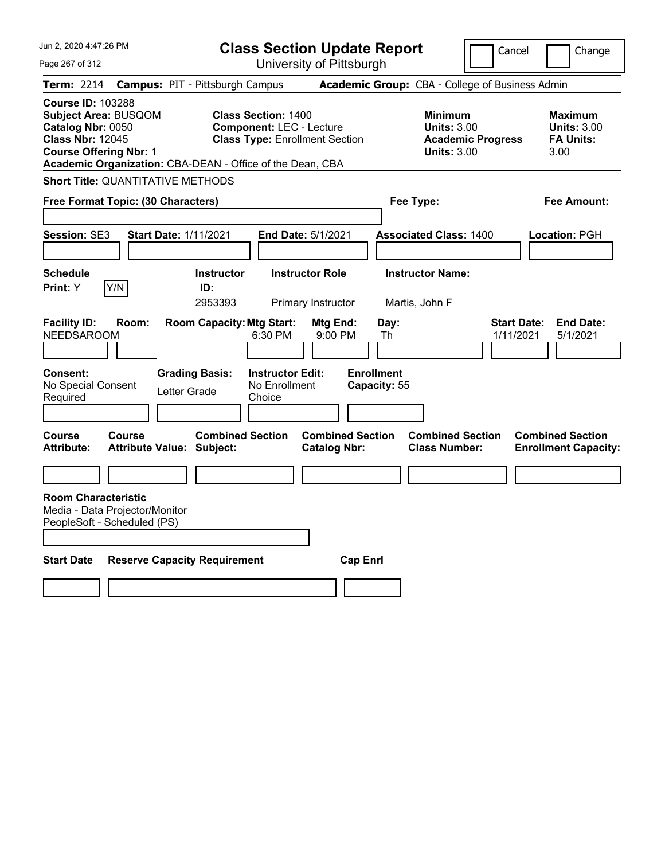| Jun 2, 2020 4:47:26 PM                                                                                                                   |                                                                                                                                                                       | <b>Class Section Update Report</b>               |                                                                            | Cancel                          | Change                                                           |
|------------------------------------------------------------------------------------------------------------------------------------------|-----------------------------------------------------------------------------------------------------------------------------------------------------------------------|--------------------------------------------------|----------------------------------------------------------------------------|---------------------------------|------------------------------------------------------------------|
| Page 267 of 312                                                                                                                          |                                                                                                                                                                       | University of Pittsburgh                         |                                                                            |                                 |                                                                  |
| <b>Term: 2214</b>                                                                                                                        | <b>Campus: PIT - Pittsburgh Campus</b>                                                                                                                                |                                                  | Academic Group: CBA - College of Business Admin                            |                                 |                                                                  |
| <b>Course ID: 103288</b><br><b>Subject Area: BUSQOM</b><br>Catalog Nbr: 0050<br><b>Class Nbr: 12045</b><br><b>Course Offering Nbr: 1</b> | <b>Class Section: 1400</b><br><b>Component: LEC - Lecture</b><br><b>Class Type: Enrollment Section</b><br>Academic Organization: CBA-DEAN - Office of the Dean, CBA   |                                                  | <b>Minimum</b><br><b>Units: 3.00</b><br><b>Units: 3.00</b>                 | <b>Academic Progress</b>        | <b>Maximum</b><br><b>Units: 3.00</b><br><b>FA Units:</b><br>3.00 |
| <b>Short Title: QUANTITATIVE METHODS</b>                                                                                                 |                                                                                                                                                                       |                                                  |                                                                            |                                 |                                                                  |
| Free Format Topic: (30 Characters)                                                                                                       |                                                                                                                                                                       |                                                  | Fee Type:                                                                  |                                 | Fee Amount:                                                      |
|                                                                                                                                          |                                                                                                                                                                       |                                                  |                                                                            |                                 |                                                                  |
| Session: SE3                                                                                                                             | <b>Start Date: 1/11/2021</b>                                                                                                                                          | <b>End Date: 5/1/2021</b>                        | <b>Associated Class: 1400</b>                                              |                                 | <b>Location: PGH</b>                                             |
|                                                                                                                                          |                                                                                                                                                                       |                                                  |                                                                            |                                 |                                                                  |
| <b>Schedule</b>                                                                                                                          | <b>Instructor</b>                                                                                                                                                     | <b>Instructor Role</b>                           | <b>Instructor Name:</b>                                                    |                                 |                                                                  |
| Y/N<br><b>Print:</b> Y                                                                                                                   | ID:<br>2953393                                                                                                                                                        | Primary Instructor                               | Martis, John F                                                             |                                 |                                                                  |
| <b>Facility ID:</b><br>Room:<br><b>NEEDSAROOM</b><br>Consent:<br>No Special Consent<br>Required<br>Course<br>Course                      | <b>Room Capacity: Mtg Start:</b><br>6:30 PM<br><b>Grading Basis:</b><br><b>Instructor Edit:</b><br>No Enrollment<br>Letter Grade<br>Choice<br><b>Combined Section</b> | Mtg End:<br>$9:00$ PM<br><b>Combined Section</b> | Day:<br>Th<br><b>Enrollment</b><br>Capacity: 55<br><b>Combined Section</b> | <b>Start Date:</b><br>1/11/2021 | <b>End Date:</b><br>5/1/2021<br><b>Combined Section</b>          |
| <b>Attribute:</b>                                                                                                                        | <b>Attribute Value: Subject:</b>                                                                                                                                      | <b>Catalog Nbr:</b>                              | <b>Class Number:</b>                                                       |                                 | <b>Enrollment Capacity:</b>                                      |
|                                                                                                                                          |                                                                                                                                                                       |                                                  |                                                                            |                                 |                                                                  |
| <b>Room Characteristic</b><br>Media - Data Projector/Monitor<br>PeopleSoft - Scheduled (PS)                                              |                                                                                                                                                                       |                                                  |                                                                            |                                 |                                                                  |
| <b>Start Date</b>                                                                                                                        | <b>Reserve Capacity Requirement</b>                                                                                                                                   | <b>Cap Enri</b>                                  |                                                                            |                                 |                                                                  |
|                                                                                                                                          |                                                                                                                                                                       |                                                  |                                                                            |                                 |                                                                  |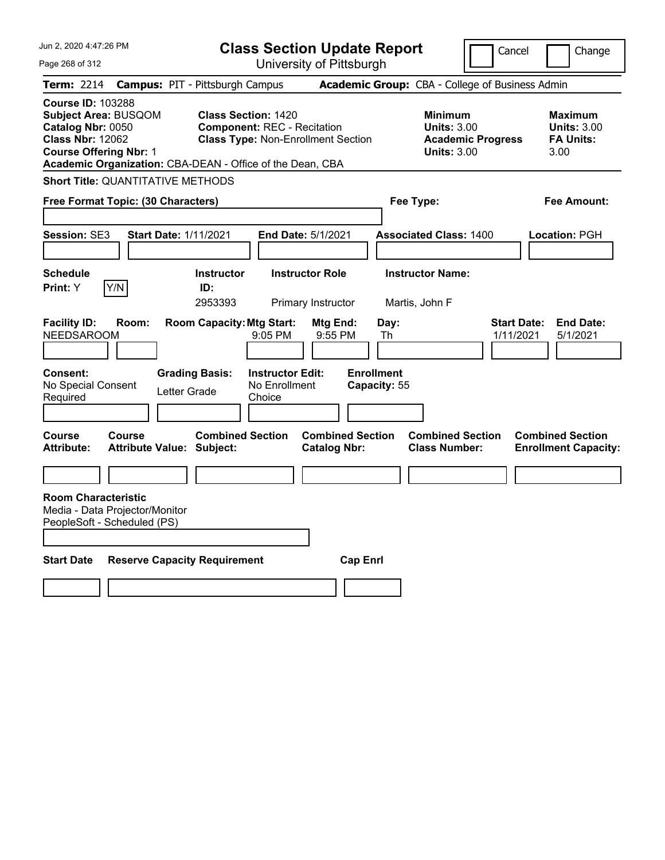| Jun 2, 2020 4:47:26 PM                                                                                                                   | <b>Class Section Update Report</b>                                                                                                                                         |                                                            | Cancel                          | Change                                                           |
|------------------------------------------------------------------------------------------------------------------------------------------|----------------------------------------------------------------------------------------------------------------------------------------------------------------------------|------------------------------------------------------------|---------------------------------|------------------------------------------------------------------|
| Page 268 of 312                                                                                                                          | University of Pittsburgh                                                                                                                                                   |                                                            |                                 |                                                                  |
| <b>Term: 2214</b>                                                                                                                        | <b>Campus: PIT - Pittsburgh Campus</b>                                                                                                                                     | Academic Group: CBA - College of Business Admin            |                                 |                                                                  |
| <b>Course ID: 103288</b><br><b>Subject Area: BUSQOM</b><br>Catalog Nbr: 0050<br><b>Class Nbr: 12062</b><br><b>Course Offering Nbr: 1</b> | <b>Class Section: 1420</b><br><b>Component: REC - Recitation</b><br><b>Class Type: Non-Enrollment Section</b><br>Academic Organization: CBA-DEAN - Office of the Dean, CBA | <b>Minimum</b><br><b>Units: 3.00</b><br><b>Units: 3.00</b> | <b>Academic Progress</b>        | <b>Maximum</b><br><b>Units: 3.00</b><br><b>FA Units:</b><br>3.00 |
| <b>Short Title: QUANTITATIVE METHODS</b>                                                                                                 |                                                                                                                                                                            |                                                            |                                 |                                                                  |
| Free Format Topic: (30 Characters)                                                                                                       |                                                                                                                                                                            | Fee Type:                                                  |                                 | <b>Fee Amount:</b>                                               |
| <b>Session: SE3</b><br><b>Start Date: 1/11/2021</b>                                                                                      | End Date: 5/1/2021                                                                                                                                                         | <b>Associated Class: 1400</b>                              |                                 | Location: PGH                                                    |
| <b>Schedule</b><br>Y/N<br>Print: Y                                                                                                       | <b>Instructor</b><br><b>Instructor Role</b><br>ID:<br>2953393<br>Primary Instructor                                                                                        | <b>Instructor Name:</b><br>Martis, John F                  |                                 |                                                                  |
| <b>Facility ID:</b><br>Room:<br><b>NEEDSAROOM</b><br><b>Consent:</b><br>No Special Consent<br>Letter Grade<br>Required                   | <b>Room Capacity: Mtg Start:</b><br>Mtg End:<br>9:05 PM<br><b>Grading Basis:</b><br><b>Instructor Edit:</b><br>No Enrollment<br>Choice                                     | Day:<br>9:55 PM<br>Th<br><b>Enrollment</b><br>Capacity: 55 | <b>Start Date:</b><br>1/11/2021 | <b>End Date:</b><br>5/1/2021                                     |
| <b>Course</b><br>Course<br><b>Attribute Value: Subject:</b><br><b>Attribute:</b>                                                         | <b>Combined Section</b><br><b>Catalog Nbr:</b>                                                                                                                             | <b>Combined Section</b><br><b>Class Number:</b>            | <b>Combined Section</b>         | <b>Combined Section</b><br><b>Enrollment Capacity:</b>           |
|                                                                                                                                          |                                                                                                                                                                            |                                                            |                                 |                                                                  |
| <b>Room Characteristic</b><br>Media - Data Projector/Monitor<br>PeopleSoft - Scheduled (PS)                                              |                                                                                                                                                                            |                                                            |                                 |                                                                  |
| <b>Start Date</b><br><b>Reserve Capacity Requirement</b>                                                                                 |                                                                                                                                                                            | <b>Cap Enrl</b>                                            |                                 |                                                                  |
|                                                                                                                                          |                                                                                                                                                                            |                                                            |                                 |                                                                  |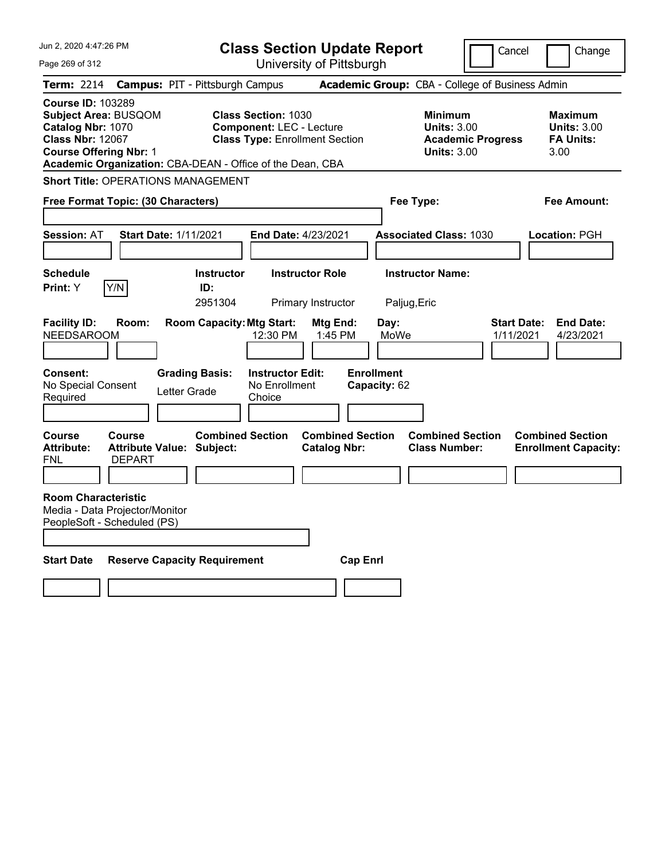| Jun 2, 2020 4:47:26 PM                                                                                                                   |                                |                                                           | <b>Class Section Update Report</b>                                                                     |                                                |                                   |                                                                                        | Cancel                          | Change                                                    |
|------------------------------------------------------------------------------------------------------------------------------------------|--------------------------------|-----------------------------------------------------------|--------------------------------------------------------------------------------------------------------|------------------------------------------------|-----------------------------------|----------------------------------------------------------------------------------------|---------------------------------|-----------------------------------------------------------|
| Page 269 of 312                                                                                                                          |                                |                                                           |                                                                                                        | University of Pittsburgh                       |                                   |                                                                                        |                                 |                                                           |
| Term: 2214                                                                                                                               |                                | <b>Campus: PIT - Pittsburgh Campus</b>                    |                                                                                                        |                                                |                                   | Academic Group: CBA - College of Business Admin                                        |                                 |                                                           |
| <b>Course ID: 103289</b><br><b>Subject Area: BUSQOM</b><br>Catalog Nbr: 1070<br><b>Class Nbr: 12067</b><br><b>Course Offering Nbr: 1</b> |                                | Academic Organization: CBA-DEAN - Office of the Dean, CBA | <b>Class Section: 1030</b><br><b>Component: LEC - Lecture</b><br><b>Class Type: Enrollment Section</b> |                                                |                                   | <b>Minimum</b><br><b>Units: 3.00</b><br><b>Academic Progress</b><br><b>Units: 3.00</b> |                                 | Maximum<br><b>Units: 3.00</b><br><b>FA Units:</b><br>3.00 |
|                                                                                                                                          |                                | <b>Short Title: OPERATIONS MANAGEMENT</b>                 |                                                                                                        |                                                |                                   |                                                                                        |                                 |                                                           |
| Free Format Topic: (30 Characters)                                                                                                       |                                |                                                           |                                                                                                        |                                                | Fee Type:                         |                                                                                        |                                 | Fee Amount:                                               |
| <b>Session: AT</b>                                                                                                                       | <b>Start Date: 1/11/2021</b>   |                                                           | <b>End Date: 4/23/2021</b>                                                                             |                                                |                                   | <b>Associated Class: 1030</b>                                                          |                                 | Location: PGH                                             |
| <b>Schedule</b><br>Print: Y                                                                                                              | Y/N                            | <b>Instructor</b><br>ID:<br>2951304                       |                                                                                                        | <b>Instructor Role</b><br>Primary Instructor   | Paljug, Eric                      | <b>Instructor Name:</b>                                                                |                                 |                                                           |
| <b>Facility ID:</b><br><b>NEEDSAROOM</b>                                                                                                 | Room:                          | <b>Room Capacity: Mtg Start:</b>                          | 12:30 PM                                                                                               | Mtg End:<br>1:45 PM                            | Day:<br>MoWe                      |                                                                                        | <b>Start Date:</b><br>1/11/2021 | <b>End Date:</b><br>4/23/2021                             |
| <b>Consent:</b><br>No Special Consent<br>Required                                                                                        |                                | <b>Grading Basis:</b><br>Letter Grade                     | <b>Instructor Edit:</b><br>No Enrollment<br>Choice                                                     |                                                | <b>Enrollment</b><br>Capacity: 62 |                                                                                        |                                 |                                                           |
| Course<br><b>Attribute:</b><br>FNL                                                                                                       | <b>Course</b><br><b>DEPART</b> | <b>Combined Section</b><br>Attribute Value: Subject:      |                                                                                                        | <b>Combined Section</b><br><b>Catalog Nbr:</b> |                                   | <b>Combined Section</b><br><b>Class Number:</b>                                        |                                 | <b>Combined Section</b><br><b>Enrollment Capacity:</b>    |
| <b>Room Characteristic</b><br>Media - Data Projector/Monitor<br>PeopleSoft - Scheduled (PS)                                              |                                |                                                           |                                                                                                        |                                                |                                   |                                                                                        |                                 |                                                           |
| <b>Start Date</b>                                                                                                                        |                                | <b>Reserve Capacity Requirement</b>                       |                                                                                                        | <b>Cap Enri</b>                                |                                   |                                                                                        |                                 |                                                           |
|                                                                                                                                          |                                |                                                           |                                                                                                        |                                                |                                   |                                                                                        |                                 |                                                           |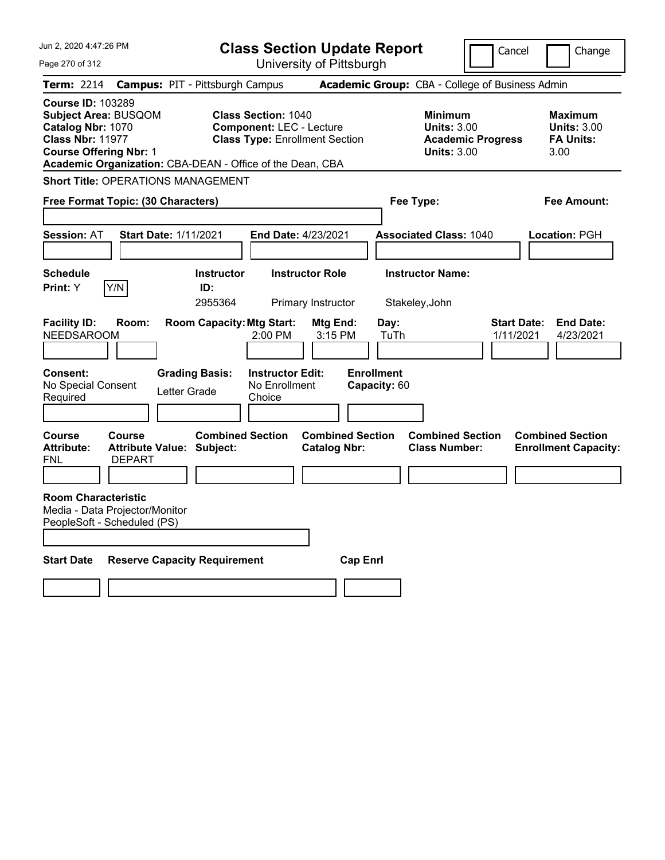| Jun 2, 2020 4:47:26 PM                                                                                                                                                                                |                                                             |                                        | <b>Class Section Update Report</b>                                                                     |                                                |                                   |                                                            | Cancel                                          | Change                                                    |
|-------------------------------------------------------------------------------------------------------------------------------------------------------------------------------------------------------|-------------------------------------------------------------|----------------------------------------|--------------------------------------------------------------------------------------------------------|------------------------------------------------|-----------------------------------|------------------------------------------------------------|-------------------------------------------------|-----------------------------------------------------------|
| Page 270 of 312                                                                                                                                                                                       |                                                             |                                        |                                                                                                        | University of Pittsburgh                       |                                   |                                                            |                                                 |                                                           |
| Term: 2214                                                                                                                                                                                            |                                                             | <b>Campus: PIT - Pittsburgh Campus</b> |                                                                                                        |                                                |                                   |                                                            | Academic Group: CBA - College of Business Admin |                                                           |
| <b>Course ID: 103289</b><br><b>Subject Area: BUSQOM</b><br>Catalog Nbr: 1070<br><b>Class Nbr: 11977</b><br><b>Course Offering Nbr: 1</b><br>Academic Organization: CBA-DEAN - Office of the Dean, CBA |                                                             |                                        | <b>Class Section: 1040</b><br><b>Component: LEC - Lecture</b><br><b>Class Type: Enrollment Section</b> |                                                |                                   | <b>Minimum</b><br><b>Units: 3.00</b><br><b>Units: 3.00</b> | <b>Academic Progress</b>                        | Maximum<br><b>Units: 3.00</b><br><b>FA Units:</b><br>3.00 |
| <b>Short Title: OPERATIONS MANAGEMENT</b>                                                                                                                                                             |                                                             |                                        |                                                                                                        |                                                |                                   |                                                            |                                                 |                                                           |
| Free Format Topic: (30 Characters)                                                                                                                                                                    |                                                             |                                        |                                                                                                        |                                                | Fee Type:                         |                                                            |                                                 | Fee Amount:                                               |
| <b>Session: AT</b>                                                                                                                                                                                    | <b>Start Date: 1/11/2021</b>                                |                                        | <b>End Date: 4/23/2021</b>                                                                             |                                                |                                   | <b>Associated Class: 1040</b>                              |                                                 | Location: PGH                                             |
| <b>Schedule</b><br>Print: Y                                                                                                                                                                           | Y/N                                                         | <b>Instructor</b><br>ID:<br>2955364    |                                                                                                        | <b>Instructor Role</b><br>Primary Instructor   |                                   | <b>Instructor Name:</b><br>Stakeley, John                  |                                                 |                                                           |
| <b>Facility ID:</b><br><b>NEEDSAROOM</b>                                                                                                                                                              | Room:                                                       | <b>Room Capacity: Mtg Start:</b>       | 2:00 PM                                                                                                | Mtg End:<br>3:15 PM                            | Day:<br>TuTh                      |                                                            | <b>Start Date:</b><br>1/11/2021                 | <b>End Date:</b><br>4/23/2021                             |
| <b>Consent:</b><br>No Special Consent<br>Required                                                                                                                                                     |                                                             | <b>Grading Basis:</b><br>Letter Grade  | <b>Instructor Edit:</b><br>No Enrollment<br>Choice                                                     |                                                | <b>Enrollment</b><br>Capacity: 60 |                                                            |                                                 |                                                           |
| Course<br><b>Attribute:</b><br>FNL                                                                                                                                                                    | <b>Course</b><br>Attribute Value: Subject:<br><b>DEPART</b> | <b>Combined Section</b>                |                                                                                                        | <b>Combined Section</b><br><b>Catalog Nbr:</b> |                                   | <b>Combined Section</b><br><b>Class Number:</b>            |                                                 | <b>Combined Section</b><br><b>Enrollment Capacity:</b>    |
| <b>Room Characteristic</b><br>Media - Data Projector/Monitor<br>PeopleSoft - Scheduled (PS)                                                                                                           |                                                             |                                        |                                                                                                        |                                                |                                   |                                                            |                                                 |                                                           |
| <b>Start Date</b>                                                                                                                                                                                     |                                                             | <b>Reserve Capacity Requirement</b>    |                                                                                                        | <b>Cap Enri</b>                                |                                   |                                                            |                                                 |                                                           |
|                                                                                                                                                                                                       |                                                             |                                        |                                                                                                        |                                                |                                   |                                                            |                                                 |                                                           |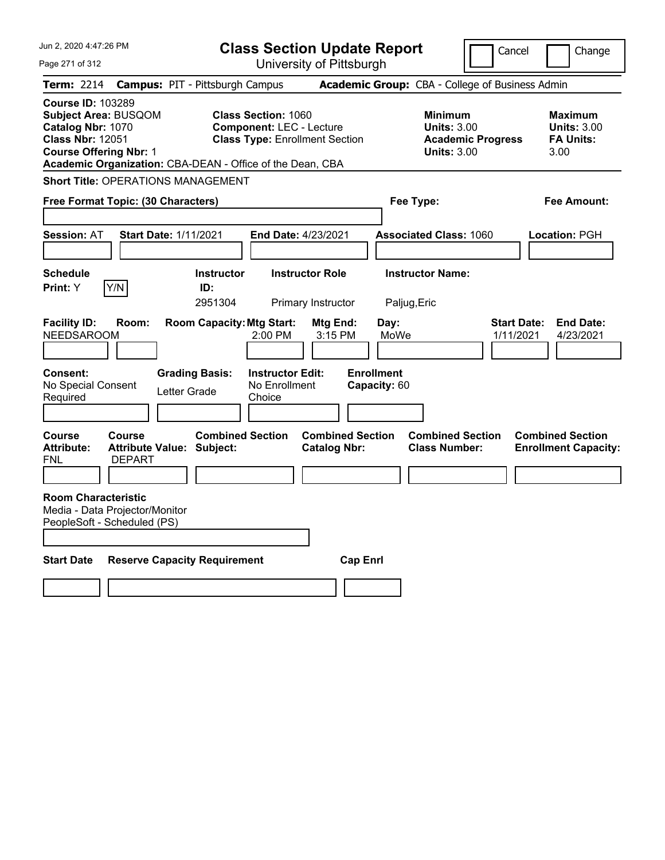| Jun 2, 2020 4:47:26 PM                                                                                                                                                                                | <b>Class Section Update Report</b>                                                                     |                                                |                                                                                        | Cancel<br>Change                                                 |
|-------------------------------------------------------------------------------------------------------------------------------------------------------------------------------------------------------|--------------------------------------------------------------------------------------------------------|------------------------------------------------|----------------------------------------------------------------------------------------|------------------------------------------------------------------|
| Page 271 of 312                                                                                                                                                                                       | University of Pittsburgh                                                                               |                                                |                                                                                        |                                                                  |
| Term: 2214                                                                                                                                                                                            | <b>Campus: PIT - Pittsburgh Campus</b>                                                                 |                                                | Academic Group: CBA - College of Business Admin                                        |                                                                  |
| <b>Course ID: 103289</b><br><b>Subject Area: BUSQOM</b><br>Catalog Nbr: 1070<br><b>Class Nbr: 12051</b><br><b>Course Offering Nbr: 1</b><br>Academic Organization: CBA-DEAN - Office of the Dean, CBA | <b>Class Section: 1060</b><br><b>Component: LEC - Lecture</b><br><b>Class Type: Enrollment Section</b> |                                                | <b>Minimum</b><br><b>Units: 3.00</b><br><b>Academic Progress</b><br><b>Units: 3.00</b> | Maximum<br><b>Units: 3.00</b><br><b>FA Units:</b><br>3.00        |
| <b>Short Title: OPERATIONS MANAGEMENT</b>                                                                                                                                                             |                                                                                                        |                                                |                                                                                        |                                                                  |
| Free Format Topic: (30 Characters)                                                                                                                                                                    |                                                                                                        |                                                | Fee Type:                                                                              | Fee Amount:                                                      |
| <b>Session: AT</b><br><b>Start Date: 1/11/2021</b>                                                                                                                                                    | <b>End Date: 4/23/2021</b>                                                                             |                                                | <b>Associated Class: 1060</b>                                                          | Location: PGH                                                    |
| <b>Schedule</b>                                                                                                                                                                                       | <b>Instructor Role</b><br><b>Instructor</b>                                                            |                                                | <b>Instructor Name:</b>                                                                |                                                                  |
| Y/N<br>Print: Y                                                                                                                                                                                       | ID:<br>2951304<br>Primary Instructor                                                                   | Paljug, Eric                                   |                                                                                        |                                                                  |
| <b>Facility ID:</b><br>Room:<br><b>NEEDSAROOM</b>                                                                                                                                                     | <b>Room Capacity: Mtg Start:</b><br>2:00 PM                                                            | Mtg End:<br>Day:<br>MoWe<br>3:15 PM            |                                                                                        | <b>Start Date:</b><br><b>End Date:</b><br>1/11/2021<br>4/23/2021 |
| <b>Consent:</b><br>No Special Consent<br>Letter Grade<br>Required                                                                                                                                     | <b>Instructor Edit:</b><br><b>Grading Basis:</b><br>No Enrollment<br>Choice                            | <b>Enrollment</b><br>Capacity: 60              |                                                                                        |                                                                  |
| <b>Course</b><br>Course<br><b>Attribute:</b><br>Attribute Value: Subject:<br><b>DEPART</b><br>FNL                                                                                                     | <b>Combined Section</b>                                                                                | <b>Combined Section</b><br><b>Catalog Nbr:</b> | <b>Combined Section</b><br><b>Class Number:</b>                                        | <b>Combined Section</b><br><b>Enrollment Capacity:</b>           |
| <b>Room Characteristic</b><br>Media - Data Projector/Monitor<br>PeopleSoft - Scheduled (PS)                                                                                                           |                                                                                                        |                                                |                                                                                        |                                                                  |
| <b>Start Date</b><br><b>Reserve Capacity Requirement</b>                                                                                                                                              |                                                                                                        | <b>Cap Enri</b>                                |                                                                                        |                                                                  |
|                                                                                                                                                                                                       |                                                                                                        |                                                |                                                                                        |                                                                  |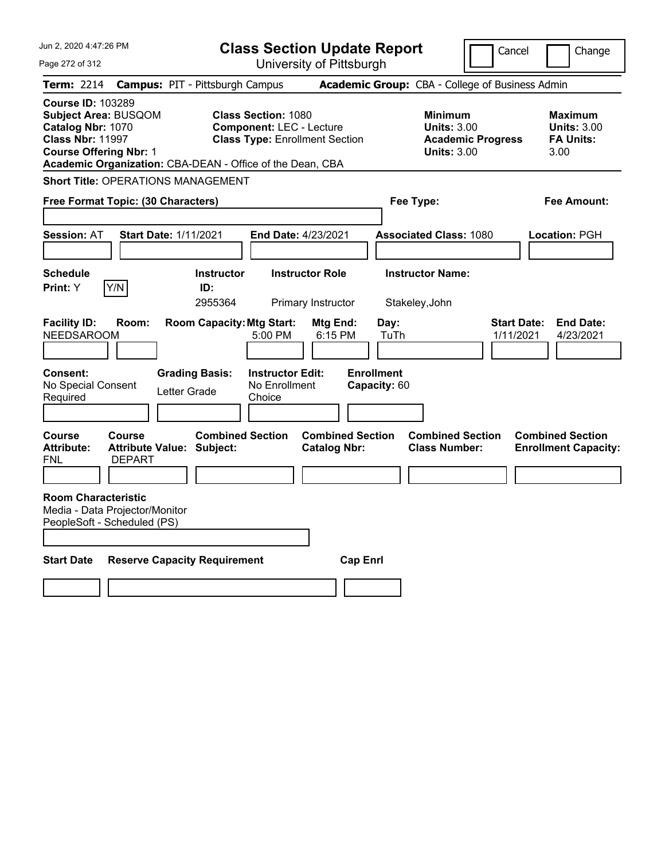| Jun 2, 2020 4:47:26 PM                                                                                                                   |                                |                                                           | <b>Class Section Update Report</b>                                                                     |                                                |                                   |                                                            | Cancel                          | Change                                                    |
|------------------------------------------------------------------------------------------------------------------------------------------|--------------------------------|-----------------------------------------------------------|--------------------------------------------------------------------------------------------------------|------------------------------------------------|-----------------------------------|------------------------------------------------------------|---------------------------------|-----------------------------------------------------------|
| Page 272 of 312                                                                                                                          |                                |                                                           |                                                                                                        | University of Pittsburgh                       |                                   |                                                            |                                 |                                                           |
| Term: 2214                                                                                                                               |                                | <b>Campus: PIT - Pittsburgh Campus</b>                    |                                                                                                        |                                                |                                   | Academic Group: CBA - College of Business Admin            |                                 |                                                           |
| <b>Course ID: 103289</b><br><b>Subject Area: BUSQOM</b><br>Catalog Nbr: 1070<br><b>Class Nbr: 11997</b><br><b>Course Offering Nbr: 1</b> |                                | Academic Organization: CBA-DEAN - Office of the Dean, CBA | <b>Class Section: 1080</b><br><b>Component: LEC - Lecture</b><br><b>Class Type: Enrollment Section</b> |                                                |                                   | <b>Minimum</b><br><b>Units: 3.00</b><br><b>Units: 3.00</b> | <b>Academic Progress</b>        | Maximum<br><b>Units: 3.00</b><br><b>FA Units:</b><br>3.00 |
|                                                                                                                                          |                                | <b>Short Title: OPERATIONS MANAGEMENT</b>                 |                                                                                                        |                                                |                                   |                                                            |                                 |                                                           |
| Free Format Topic: (30 Characters)                                                                                                       |                                |                                                           |                                                                                                        |                                                | Fee Type:                         |                                                            |                                 | Fee Amount:                                               |
| <b>Session: AT</b>                                                                                                                       |                                | <b>Start Date: 1/11/2021</b>                              | <b>End Date: 4/23/2021</b>                                                                             |                                                |                                   | <b>Associated Class: 1080</b>                              |                                 | Location: PGH                                             |
| <b>Schedule</b><br>Print: Y                                                                                                              | Y/N                            | <b>Instructor</b><br>ID:<br>2955364                       |                                                                                                        | <b>Instructor Role</b><br>Primary Instructor   |                                   | <b>Instructor Name:</b><br>Stakeley, John                  |                                 |                                                           |
| <b>Facility ID:</b><br><b>NEEDSAROOM</b>                                                                                                 | Room:                          | <b>Room Capacity: Mtg Start:</b>                          | 5:00 PM                                                                                                | Mtg End:<br>6:15 PM                            | Day:<br>TuTh                      |                                                            | <b>Start Date:</b><br>1/11/2021 | <b>End Date:</b><br>4/23/2021                             |
| <b>Consent:</b><br>No Special Consent<br>Required                                                                                        |                                | <b>Grading Basis:</b><br>Letter Grade                     | <b>Instructor Edit:</b><br>No Enrollment<br>Choice                                                     |                                                | <b>Enrollment</b><br>Capacity: 60 |                                                            |                                 |                                                           |
| Course<br><b>Attribute:</b><br>FNL                                                                                                       | <b>Course</b><br><b>DEPART</b> | <b>Combined Section</b><br>Attribute Value: Subject:      |                                                                                                        | <b>Combined Section</b><br><b>Catalog Nbr:</b> |                                   | <b>Combined Section</b><br><b>Class Number:</b>            |                                 | <b>Combined Section</b><br><b>Enrollment Capacity:</b>    |
| <b>Room Characteristic</b><br>Media - Data Projector/Monitor<br>PeopleSoft - Scheduled (PS)                                              |                                |                                                           |                                                                                                        |                                                |                                   |                                                            |                                 |                                                           |
| <b>Start Date</b>                                                                                                                        |                                | <b>Reserve Capacity Requirement</b>                       |                                                                                                        | <b>Cap Enri</b>                                |                                   |                                                            |                                 |                                                           |
|                                                                                                                                          |                                |                                                           |                                                                                                        |                                                |                                   |                                                            |                                 |                                                           |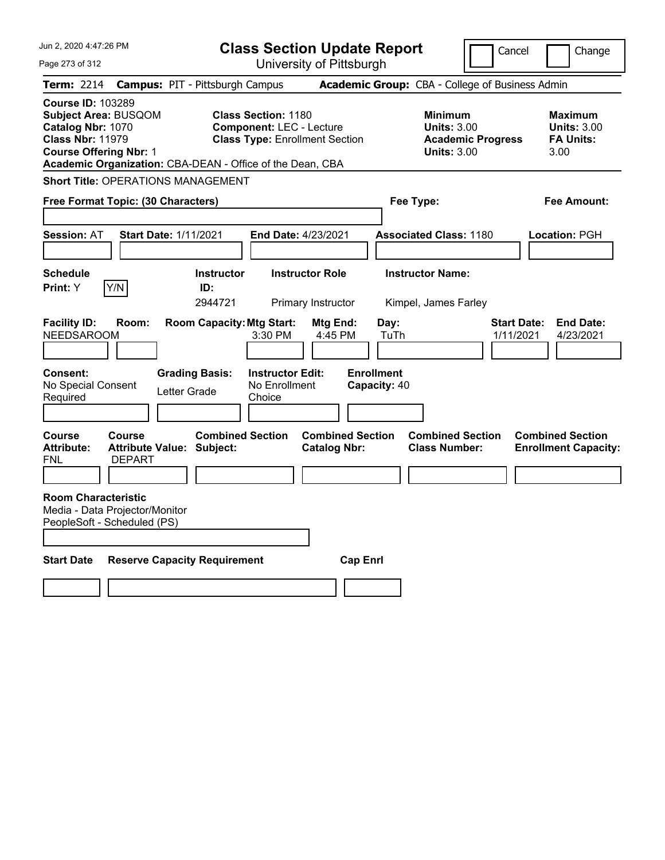| Jun 2, 2020 4:47:26 PM                                                                                                                                                                                |                                        | <b>Class Section Update Report</b>                                                                     |                                                |                                                                                        | Cancel<br>Change                                                 |
|-------------------------------------------------------------------------------------------------------------------------------------------------------------------------------------------------------|----------------------------------------|--------------------------------------------------------------------------------------------------------|------------------------------------------------|----------------------------------------------------------------------------------------|------------------------------------------------------------------|
| Page 273 of 312                                                                                                                                                                                       |                                        | University of Pittsburgh                                                                               |                                                |                                                                                        |                                                                  |
| Term: 2214                                                                                                                                                                                            | <b>Campus: PIT - Pittsburgh Campus</b> |                                                                                                        |                                                | Academic Group: CBA - College of Business Admin                                        |                                                                  |
| <b>Course ID: 103289</b><br><b>Subject Area: BUSQOM</b><br>Catalog Nbr: 1070<br><b>Class Nbr: 11979</b><br><b>Course Offering Nbr: 1</b><br>Academic Organization: CBA-DEAN - Office of the Dean, CBA |                                        | <b>Class Section: 1180</b><br><b>Component: LEC - Lecture</b><br><b>Class Type: Enrollment Section</b> |                                                | <b>Minimum</b><br><b>Units: 3.00</b><br><b>Academic Progress</b><br><b>Units: 3.00</b> | Maximum<br><b>Units: 3.00</b><br><b>FA Units:</b><br>3.00        |
| <b>Short Title: OPERATIONS MANAGEMENT</b>                                                                                                                                                             |                                        |                                                                                                        |                                                |                                                                                        |                                                                  |
| Free Format Topic: (30 Characters)                                                                                                                                                                    |                                        |                                                                                                        |                                                | Fee Type:                                                                              | Fee Amount:                                                      |
| <b>Session: AT</b>                                                                                                                                                                                    | Start Date: 1/11/2021                  | <b>End Date: 4/23/2021</b>                                                                             |                                                | <b>Associated Class: 1180</b>                                                          | Location: PGH                                                    |
| <b>Schedule</b><br>Y/N<br>Print: Y                                                                                                                                                                    | <b>Instructor</b><br>ID:<br>2944721    | <b>Instructor Role</b><br>Primary Instructor                                                           |                                                | <b>Instructor Name:</b><br>Kimpel, James Farley                                        |                                                                  |
| <b>Facility ID:</b><br>Room:<br><b>NEEDSAROOM</b>                                                                                                                                                     | <b>Room Capacity: Mtg Start:</b>       | 3:30 PM                                                                                                | Mtg End:<br>Day:<br>TuTh<br>4:45 PM            |                                                                                        | <b>Start Date:</b><br><b>End Date:</b><br>1/11/2021<br>4/23/2021 |
| <b>Consent:</b><br>No Special Consent<br>Required                                                                                                                                                     | <b>Grading Basis:</b><br>Letter Grade  | <b>Instructor Edit:</b><br>No Enrollment<br>Choice                                                     | <b>Enrollment</b><br>Capacity: 40              |                                                                                        |                                                                  |
| <b>Course</b><br>Course<br><b>Attribute:</b><br><b>DEPART</b><br>FNL                                                                                                                                  | Attribute Value: Subject:              | <b>Combined Section</b>                                                                                | <b>Combined Section</b><br><b>Catalog Nbr:</b> | <b>Combined Section</b><br><b>Class Number:</b>                                        | <b>Combined Section</b><br><b>Enrollment Capacity:</b>           |
| <b>Room Characteristic</b><br>Media - Data Projector/Monitor<br>PeopleSoft - Scheduled (PS)                                                                                                           |                                        |                                                                                                        |                                                |                                                                                        |                                                                  |
| <b>Start Date</b>                                                                                                                                                                                     | <b>Reserve Capacity Requirement</b>    |                                                                                                        | <b>Cap Enri</b>                                |                                                                                        |                                                                  |
|                                                                                                                                                                                                       |                                        |                                                                                                        |                                                |                                                                                        |                                                                  |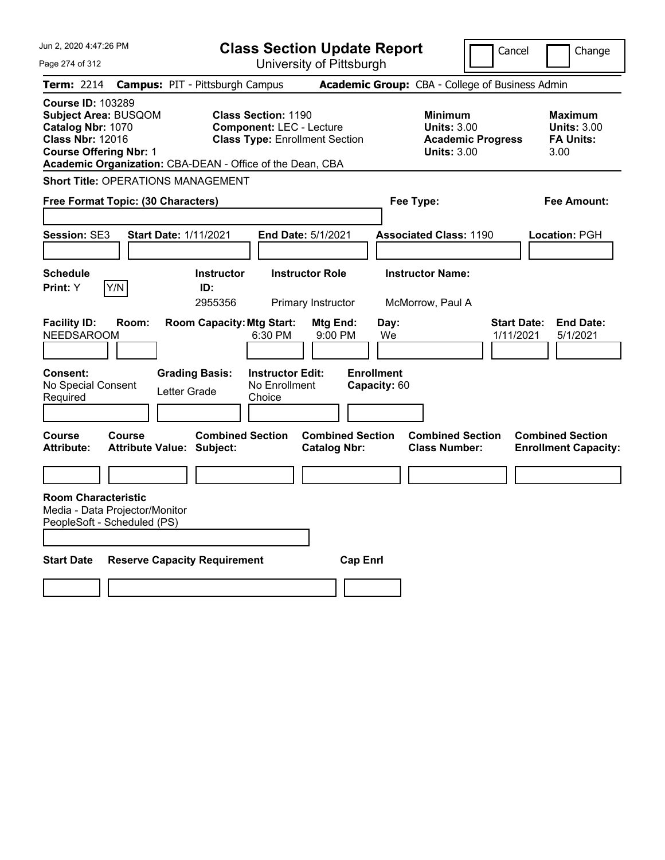| Jun 2, 2020 4:47:26 PM                                                                                                                                                                                |                                            |                                                           |                                                               | <b>Class Section Update Report</b>             |                                                 |                                                            | Cancel                   | Change                                                           |
|-------------------------------------------------------------------------------------------------------------------------------------------------------------------------------------------------------|--------------------------------------------|-----------------------------------------------------------|---------------------------------------------------------------|------------------------------------------------|-------------------------------------------------|------------------------------------------------------------|--------------------------|------------------------------------------------------------------|
| Page 274 of 312                                                                                                                                                                                       |                                            |                                                           |                                                               | University of Pittsburgh                       |                                                 |                                                            |                          |                                                                  |
| <b>Term: 2214</b>                                                                                                                                                                                     | <b>Campus: PIT - Pittsburgh Campus</b>     |                                                           |                                                               |                                                |                                                 | Academic Group: CBA - College of Business Admin            |                          |                                                                  |
| <b>Course ID: 103289</b><br><b>Subject Area: BUSQOM</b><br>Catalog Nbr: 1070<br><b>Class Nbr: 12016</b><br><b>Course Offering Nbr: 1</b><br>Academic Organization: CBA-DEAN - Office of the Dean, CBA |                                            |                                                           | <b>Class Section: 1190</b><br><b>Component: LEC - Lecture</b> | <b>Class Type: Enrollment Section</b>          |                                                 | <b>Minimum</b><br><b>Units: 3.00</b><br><b>Units: 3.00</b> | <b>Academic Progress</b> | <b>Maximum</b><br><b>Units: 3.00</b><br><b>FA Units:</b><br>3.00 |
| <b>Short Title: OPERATIONS MANAGEMENT</b>                                                                                                                                                             |                                            |                                                           |                                                               |                                                |                                                 |                                                            |                          |                                                                  |
| Free Format Topic: (30 Characters)                                                                                                                                                                    |                                            |                                                           |                                                               |                                                |                                                 | Fee Type:                                                  |                          | Fee Amount:                                                      |
|                                                                                                                                                                                                       |                                            |                                                           |                                                               |                                                |                                                 |                                                            |                          |                                                                  |
| <b>Session: SE3</b>                                                                                                                                                                                   | <b>Start Date: 1/11/2021</b>               |                                                           |                                                               | <b>End Date: 5/1/2021</b>                      |                                                 | <b>Associated Class: 1190</b>                              |                          | Location: PGH                                                    |
|                                                                                                                                                                                                       |                                            |                                                           |                                                               |                                                |                                                 |                                                            |                          |                                                                  |
| <b>Schedule</b>                                                                                                                                                                                       |                                            | <b>Instructor</b>                                         |                                                               | <b>Instructor Role</b>                         |                                                 | <b>Instructor Name:</b>                                    |                          |                                                                  |
| Y/N<br><b>Print:</b> Y                                                                                                                                                                                |                                            | ID:<br>2955356                                            |                                                               | Primary Instructor                             |                                                 | McMorrow, Paul A                                           |                          |                                                                  |
| <b>Facility ID:</b><br><b>NEEDSAROOM</b><br><b>Consent:</b><br>No Special Consent<br>Required                                                                                                         | Room:<br>Letter Grade                      | <b>Room Capacity: Mtg Start:</b><br><b>Grading Basis:</b> | 6:30 PM<br><b>Instructor Edit:</b><br>No Enrollment<br>Choice | Mtg End:<br>9:00 PM                            | Day:<br>We<br><b>Enrollment</b><br>Capacity: 60 |                                                            | 1/11/2021                | <b>Start Date:</b><br><b>End Date:</b><br>5/1/2021               |
| Course<br><b>Attribute:</b>                                                                                                                                                                           | Course<br><b>Attribute Value: Subject:</b> | <b>Combined Section</b>                                   |                                                               | <b>Combined Section</b><br><b>Catalog Nbr:</b> |                                                 | <b>Combined Section</b><br><b>Class Number:</b>            |                          | <b>Combined Section</b><br><b>Enrollment Capacity:</b>           |
|                                                                                                                                                                                                       |                                            |                                                           |                                                               |                                                |                                                 |                                                            |                          |                                                                  |
| <b>Room Characteristic</b><br>Media - Data Projector/Monitor<br>PeopleSoft - Scheduled (PS)                                                                                                           |                                            |                                                           |                                                               |                                                |                                                 |                                                            |                          |                                                                  |
| <b>Start Date</b>                                                                                                                                                                                     | <b>Reserve Capacity Requirement</b>        |                                                           |                                                               | <b>Cap Enri</b>                                |                                                 |                                                            |                          |                                                                  |
|                                                                                                                                                                                                       |                                            |                                                           |                                                               |                                                |                                                 |                                                            |                          |                                                                  |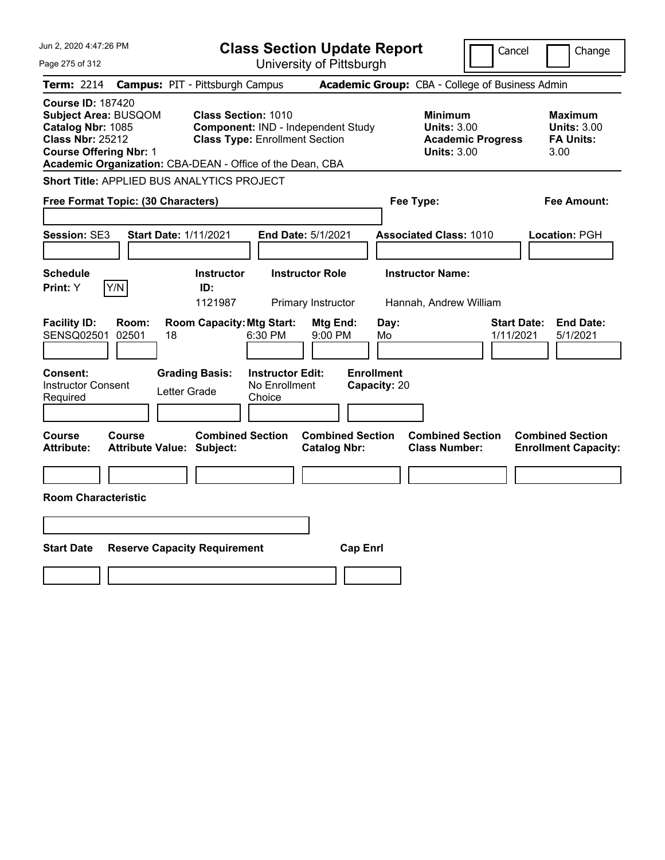| Jun 2, 2020 4:47:26 PM                                                                                                                                                                                |                                                                                                                                                  | <b>Class Section Update Report</b>                                            | Cancel                                                                                 | Change                                                           |
|-------------------------------------------------------------------------------------------------------------------------------------------------------------------------------------------------------|--------------------------------------------------------------------------------------------------------------------------------------------------|-------------------------------------------------------------------------------|----------------------------------------------------------------------------------------|------------------------------------------------------------------|
| Page 275 of 312                                                                                                                                                                                       |                                                                                                                                                  | University of Pittsburgh                                                      |                                                                                        |                                                                  |
| <b>Term: 2214</b>                                                                                                                                                                                     | <b>Campus: PIT - Pittsburgh Campus</b>                                                                                                           |                                                                               | Academic Group: CBA - College of Business Admin                                        |                                                                  |
| <b>Course ID: 187420</b><br><b>Subject Area: BUSQOM</b><br>Catalog Nbr: 1085<br><b>Class Nbr: 25212</b><br><b>Course Offering Nbr: 1</b><br>Academic Organization: CBA-DEAN - Office of the Dean, CBA | <b>Class Section: 1010</b><br>Component: IND - Independent Study<br><b>Class Type: Enrollment Section</b>                                        |                                                                               | <b>Minimum</b><br><b>Units: 3.00</b><br><b>Academic Progress</b><br><b>Units: 3.00</b> | <b>Maximum</b><br><b>Units: 3.00</b><br><b>FA Units:</b><br>3.00 |
| Short Title: APPLIED BUS ANALYTICS PROJECT                                                                                                                                                            |                                                                                                                                                  |                                                                               |                                                                                        |                                                                  |
| Free Format Topic: (30 Characters)                                                                                                                                                                    |                                                                                                                                                  |                                                                               | Fee Type:                                                                              | Fee Amount:                                                      |
| <b>Session: SE3</b><br><b>Start Date: 1/11/2021</b>                                                                                                                                                   | End Date: 5/1/2021                                                                                                                               |                                                                               | <b>Associated Class: 1010</b>                                                          | Location: PGH                                                    |
| <b>Schedule</b>                                                                                                                                                                                       | <b>Instructor</b><br><b>Instructor Role</b>                                                                                                      |                                                                               | <b>Instructor Name:</b>                                                                |                                                                  |
| Y/N<br>Print: Y                                                                                                                                                                                       | ID:<br>1121987                                                                                                                                   |                                                                               |                                                                                        |                                                                  |
| <b>Facility ID:</b><br>Room:<br>SENSQ02501<br>02501<br>18<br>Consent:<br><b>Instructor Consent</b><br>Letter Grade<br>Required                                                                        | Primary Instructor<br><b>Room Capacity: Mtg Start:</b><br>6:30 PM<br><b>Grading Basis:</b><br><b>Instructor Edit:</b><br>No Enrollment<br>Choice | <b>Mtg End:</b><br>Day:<br>9:00 PM<br>Mo<br><b>Enrollment</b><br>Capacity: 20 | Hannah, Andrew William<br><b>Start Date:</b><br>1/11/2021                              | <b>End Date:</b><br>5/1/2021                                     |
|                                                                                                                                                                                                       |                                                                                                                                                  |                                                                               |                                                                                        |                                                                  |
| Course<br>Course<br><b>Attribute:</b><br><b>Attribute Value: Subject:</b>                                                                                                                             | <b>Combined Section</b>                                                                                                                          | <b>Combined Section</b><br><b>Catalog Nbr:</b>                                | <b>Combined Section</b><br><b>Class Number:</b>                                        | <b>Combined Section</b><br><b>Enrollment Capacity:</b>           |
| <b>Room Characteristic</b>                                                                                                                                                                            |                                                                                                                                                  |                                                                               |                                                                                        |                                                                  |
| <b>Start Date</b><br><b>Reserve Capacity Requirement</b>                                                                                                                                              |                                                                                                                                                  | <b>Cap Enrl</b>                                                               |                                                                                        |                                                                  |
|                                                                                                                                                                                                       |                                                                                                                                                  |                                                                               |                                                                                        |                                                                  |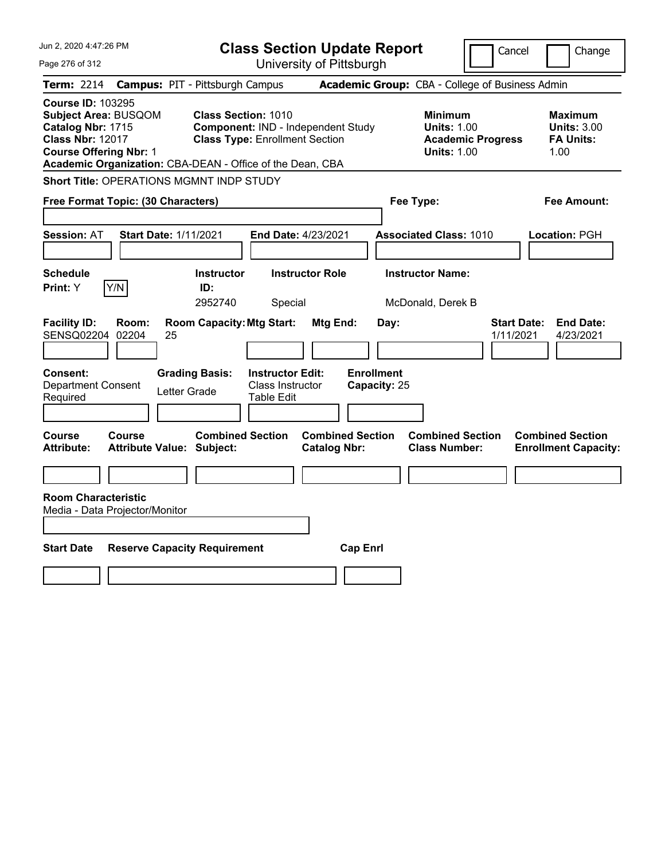| Jun 2, 2020 4:47:26 PM                                                                                                                                                                                | <b>Class Section Update Report</b>                                                                        |                                                |                                                                                        | Cancel<br>Change                                                 |
|-------------------------------------------------------------------------------------------------------------------------------------------------------------------------------------------------------|-----------------------------------------------------------------------------------------------------------|------------------------------------------------|----------------------------------------------------------------------------------------|------------------------------------------------------------------|
| Page 276 of 312                                                                                                                                                                                       | University of Pittsburgh                                                                                  |                                                |                                                                                        |                                                                  |
| <b>Term: 2214</b>                                                                                                                                                                                     | <b>Campus: PIT - Pittsburgh Campus</b>                                                                    |                                                | Academic Group: CBA - College of Business Admin                                        |                                                                  |
| <b>Course ID: 103295</b><br><b>Subject Area: BUSQOM</b><br>Catalog Nbr: 1715<br><b>Class Nbr: 12017</b><br><b>Course Offering Nbr: 1</b><br>Academic Organization: CBA-DEAN - Office of the Dean, CBA | <b>Class Section: 1010</b><br>Component: IND - Independent Study<br><b>Class Type: Enrollment Section</b> |                                                | <b>Minimum</b><br><b>Units: 1.00</b><br><b>Academic Progress</b><br><b>Units: 1.00</b> | <b>Maximum</b><br><b>Units: 3.00</b><br><b>FA Units:</b><br>1.00 |
| Short Title: OPERATIONS MGMNT INDP STUDY                                                                                                                                                              |                                                                                                           |                                                |                                                                                        |                                                                  |
| Free Format Topic: (30 Characters)                                                                                                                                                                    |                                                                                                           |                                                | Fee Type:                                                                              | Fee Amount:                                                      |
| <b>Start Date: 1/11/2021</b><br><b>Session: AT</b>                                                                                                                                                    | End Date: 4/23/2021                                                                                       |                                                | <b>Associated Class: 1010</b>                                                          | Location: PGH                                                    |
| <b>Schedule</b><br>Print: Y<br>Y/N                                                                                                                                                                    | Instructor<br><b>Instructor Role</b><br>ID:<br>2952740<br>Special                                         |                                                | <b>Instructor Name:</b><br>McDonald, Derek B                                           |                                                                  |
| <b>Facility ID:</b><br>Room:<br>SENSQ02204<br>02204<br>25                                                                                                                                             | <b>Room Capacity: Mtg Start:</b>                                                                          | Mtg End:<br>Day:                               |                                                                                        | <b>Start Date:</b><br><b>End Date:</b><br>1/11/2021<br>4/23/2021 |
| Consent:<br><b>Grading Basis:</b><br><b>Department Consent</b><br>Letter Grade<br>Required                                                                                                            | <b>Instructor Edit:</b><br><b>Class Instructor</b><br><b>Table Edit</b>                                   | <b>Enrollment</b><br>Capacity: 25              |                                                                                        |                                                                  |
| Course<br>Course<br><b>Attribute:</b><br><b>Attribute Value: Subject:</b>                                                                                                                             | <b>Combined Section</b>                                                                                   | <b>Combined Section</b><br><b>Catalog Nbr:</b> | <b>Combined Section</b><br><b>Class Number:</b>                                        | <b>Combined Section</b><br><b>Enrollment Capacity:</b>           |
|                                                                                                                                                                                                       |                                                                                                           |                                                |                                                                                        |                                                                  |
| <b>Room Characteristic</b><br>Media - Data Projector/Monitor                                                                                                                                          |                                                                                                           |                                                |                                                                                        |                                                                  |
| <b>Start Date</b><br><b>Reserve Capacity Requirement</b>                                                                                                                                              |                                                                                                           | <b>Cap Enrl</b>                                |                                                                                        |                                                                  |
|                                                                                                                                                                                                       |                                                                                                           |                                                |                                                                                        |                                                                  |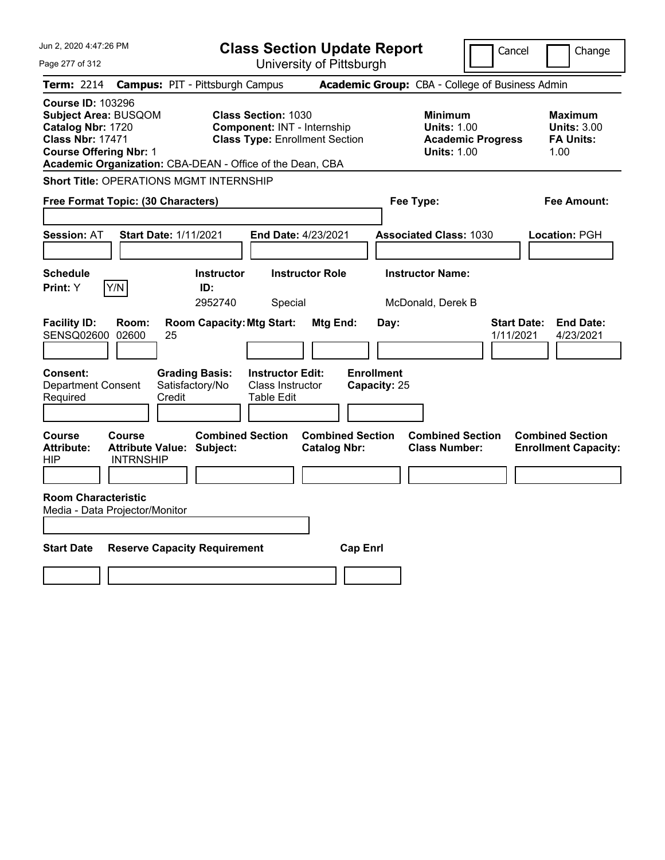| Jun 2, 2020 4:47:26 PM                                                                                                                                                                                |                                                                                                              | <b>Class Section Update Report</b>             |                                                                                        | Cancel<br>Change                                                 |
|-------------------------------------------------------------------------------------------------------------------------------------------------------------------------------------------------------|--------------------------------------------------------------------------------------------------------------|------------------------------------------------|----------------------------------------------------------------------------------------|------------------------------------------------------------------|
| Page 277 of 312                                                                                                                                                                                       |                                                                                                              | University of Pittsburgh                       |                                                                                        |                                                                  |
| <b>Term: 2214</b>                                                                                                                                                                                     | <b>Campus: PIT - Pittsburgh Campus</b>                                                                       |                                                | Academic Group: CBA - College of Business Admin                                        |                                                                  |
| <b>Course ID: 103296</b><br><b>Subject Area: BUSQOM</b><br>Catalog Nbr: 1720<br><b>Class Nbr: 17471</b><br><b>Course Offering Nbr: 1</b><br>Academic Organization: CBA-DEAN - Office of the Dean, CBA | <b>Class Section: 1030</b><br>Component: INT - Internship<br><b>Class Type: Enrollment Section</b>           |                                                | <b>Minimum</b><br><b>Units: 1.00</b><br><b>Academic Progress</b><br><b>Units: 1.00</b> | <b>Maximum</b><br><b>Units: 3.00</b><br><b>FA Units:</b><br>1.00 |
| Short Title: OPERATIONS MGMT INTERNSHIP                                                                                                                                                               |                                                                                                              |                                                |                                                                                        |                                                                  |
| Free Format Topic: (30 Characters)                                                                                                                                                                    |                                                                                                              |                                                | Fee Type:                                                                              | Fee Amount:                                                      |
| <b>Start Date: 1/11/2021</b><br><b>Session: AT</b>                                                                                                                                                    |                                                                                                              | End Date: 4/23/2021                            | <b>Associated Class: 1030</b>                                                          | <b>Location: PGH</b>                                             |
| <b>Schedule</b><br>Print: Y<br>Y/N                                                                                                                                                                    | <b>Instructor</b><br>ID:<br>2952740<br>Special                                                               | <b>Instructor Role</b>                         | <b>Instructor Name:</b><br>McDonald, Derek B                                           |                                                                  |
| <b>Facility ID:</b><br>Room:<br>SENSQ02600 02600<br>25                                                                                                                                                | <b>Room Capacity: Mtg Start:</b>                                                                             | Mtg End:<br>Day:                               |                                                                                        | <b>End Date:</b><br><b>Start Date:</b><br>1/11/2021<br>4/23/2021 |
| Consent:<br><b>Department Consent</b><br>Required<br>Credit                                                                                                                                           | <b>Grading Basis:</b><br><b>Instructor Edit:</b><br>Satisfactory/No<br>Class Instructor<br><b>Table Edit</b> | <b>Enrollment</b><br>Capacity: 25              |                                                                                        |                                                                  |
| Course<br>Course<br><b>Attribute Value: Subject:</b><br><b>Attribute:</b><br><b>INTRNSHIP</b><br>HIP                                                                                                  | <b>Combined Section</b>                                                                                      | <b>Combined Section</b><br><b>Catalog Nbr:</b> | <b>Combined Section</b><br><b>Class Number:</b>                                        | <b>Combined Section</b><br><b>Enrollment Capacity:</b>           |
| <b>Room Characteristic</b><br>Media - Data Projector/Monitor                                                                                                                                          |                                                                                                              |                                                |                                                                                        |                                                                  |
| <b>Start Date</b>                                                                                                                                                                                     | <b>Reserve Capacity Requirement</b>                                                                          | <b>Cap Enrl</b>                                |                                                                                        |                                                                  |
|                                                                                                                                                                                                       |                                                                                                              |                                                |                                                                                        |                                                                  |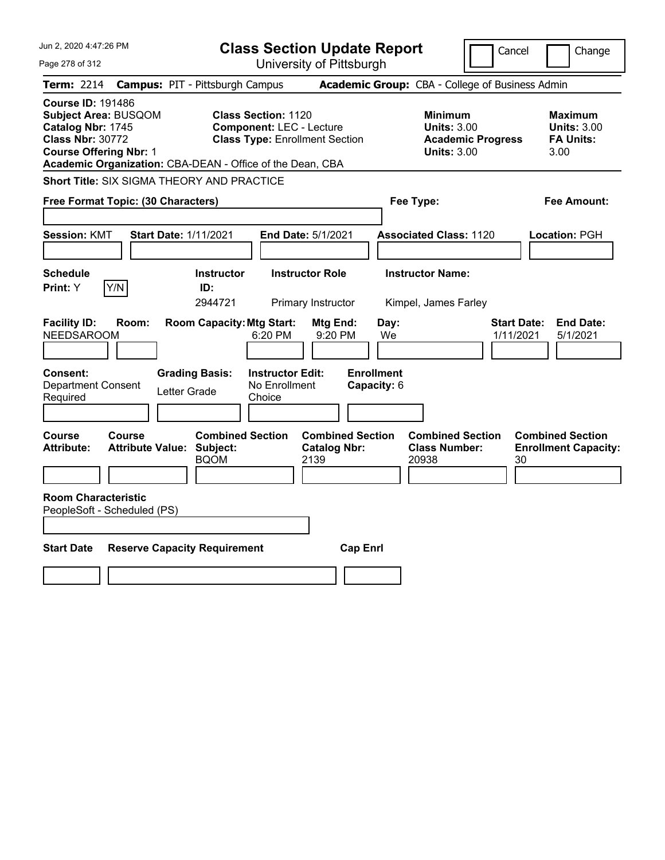| Jun 2, 2020 4:47:26 PM                                                                                                                                                                         | <b>Class Section Update Report</b>                                                                                       | Cancel                                                                                 | Change                                                           |
|------------------------------------------------------------------------------------------------------------------------------------------------------------------------------------------------|--------------------------------------------------------------------------------------------------------------------------|----------------------------------------------------------------------------------------|------------------------------------------------------------------|
| Page 278 of 312                                                                                                                                                                                | University of Pittsburgh                                                                                                 |                                                                                        |                                                                  |
| <b>Term: 2214</b>                                                                                                                                                                              | <b>Campus: PIT - Pittsburgh Campus</b>                                                                                   | Academic Group: CBA - College of Business Admin                                        |                                                                  |
| <b>Course ID: 191486</b><br>Subject Area: BUSQOM<br>Catalog Nbr: 1745<br><b>Class Nbr: 30772</b><br><b>Course Offering Nbr: 1</b><br>Academic Organization: CBA-DEAN - Office of the Dean, CBA | <b>Class Section: 1120</b><br><b>Component: LEC - Lecture</b><br><b>Class Type: Enrollment Section</b>                   | <b>Minimum</b><br><b>Units: 3.00</b><br><b>Academic Progress</b><br><b>Units: 3.00</b> | <b>Maximum</b><br><b>Units: 3.00</b><br><b>FA Units:</b><br>3.00 |
| Short Title: SIX SIGMA THEORY AND PRACTICE                                                                                                                                                     |                                                                                                                          |                                                                                        |                                                                  |
| Free Format Topic: (30 Characters)                                                                                                                                                             |                                                                                                                          | Fee Type:                                                                              | Fee Amount:                                                      |
| <b>Start Date: 1/11/2021</b><br><b>Session: KMT</b>                                                                                                                                            | <b>End Date: 5/1/2021</b>                                                                                                | <b>Associated Class: 1120</b>                                                          | Location: PGH                                                    |
| <b>Schedule</b><br>Y/N<br>Print: Y                                                                                                                                                             | <b>Instructor Role</b><br><b>Instructor</b><br>ID:                                                                       | <b>Instructor Name:</b>                                                                |                                                                  |
|                                                                                                                                                                                                | 2944721<br>Primary Instructor                                                                                            | Kimpel, James Farley                                                                   |                                                                  |
| <b>Facility ID:</b><br>Room:<br><b>NEEDSAROOM</b><br>Consent:<br><b>Grading Basis:</b><br><b>Department Consent</b><br>Letter Grade<br>Required                                                | <b>Room Capacity: Mtg Start:</b><br>Mtg End:<br>6:20 PM<br>9:20 PM<br><b>Instructor Edit:</b><br>No Enrollment<br>Choice | Day:<br><b>Start Date:</b><br>1/11/2021<br>We<br><b>Enrollment</b><br>Capacity: 6      | <b>End Date:</b><br>5/1/2021                                     |
|                                                                                                                                                                                                |                                                                                                                          |                                                                                        |                                                                  |
| <b>Course</b><br>Course<br><b>Attribute Value: Subject:</b><br><b>Attribute:</b><br><b>Room Characteristic</b>                                                                                 | <b>Combined Section</b><br><b>Combined Section</b><br><b>Catalog Nbr:</b><br><b>BQOM</b><br>2139                         | <b>Combined Section</b><br><b>Class Number:</b><br>20938                               | <b>Combined Section</b><br><b>Enrollment Capacity:</b><br>30     |
| PeopleSoft - Scheduled (PS)                                                                                                                                                                    |                                                                                                                          |                                                                                        |                                                                  |
| <b>Start Date</b><br><b>Reserve Capacity Requirement</b>                                                                                                                                       | <b>Cap Enrl</b>                                                                                                          |                                                                                        |                                                                  |
|                                                                                                                                                                                                |                                                                                                                          |                                                                                        |                                                                  |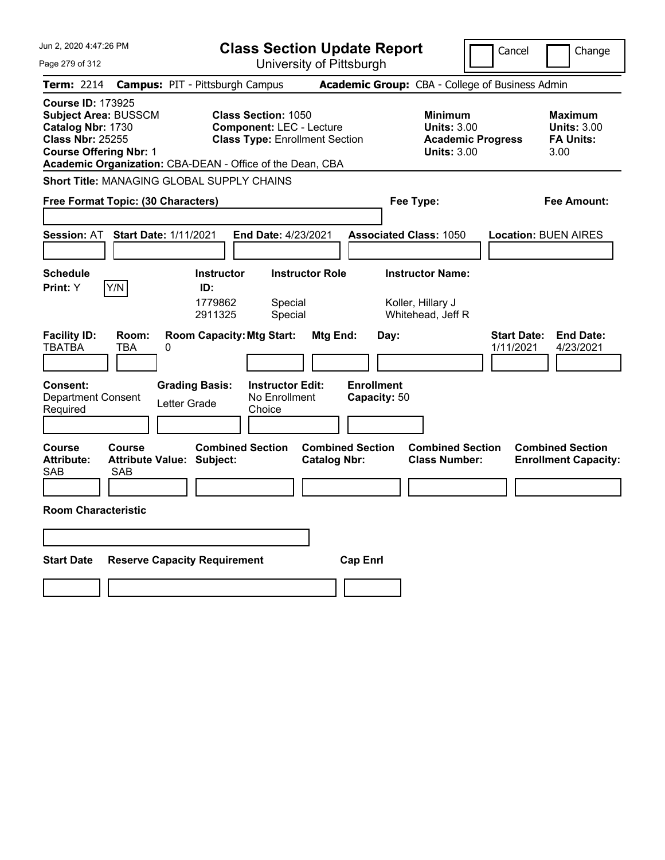| Jun 2, 2020 4:47:26 PM                                                                                                                                                                                | <b>Class Section Update Report</b>                                                                     |                                                                                 | Cancel<br>Change                                                 |
|-------------------------------------------------------------------------------------------------------------------------------------------------------------------------------------------------------|--------------------------------------------------------------------------------------------------------|---------------------------------------------------------------------------------|------------------------------------------------------------------|
| Page 279 of 312                                                                                                                                                                                       | University of Pittsburgh                                                                               |                                                                                 |                                                                  |
| <b>Term: 2214</b>                                                                                                                                                                                     | <b>Campus: PIT - Pittsburgh Campus</b>                                                                 | Academic Group: CBA - College of Business Admin                                 |                                                                  |
| <b>Course ID: 173925</b><br><b>Subject Area: BUSSCM</b><br>Catalog Nbr: 1730<br><b>Class Nbr: 25255</b><br><b>Course Offering Nbr: 1</b><br>Academic Organization: CBA-DEAN - Office of the Dean, CBA | <b>Class Section: 1050</b><br><b>Component: LEC - Lecture</b><br><b>Class Type: Enrollment Section</b> | Minimum<br><b>Units: 3.00</b><br><b>Academic Progress</b><br><b>Units: 3.00</b> | <b>Maximum</b><br><b>Units: 3.00</b><br><b>FA Units:</b><br>3.00 |
| <b>Short Title: MANAGING GLOBAL SUPPLY CHAINS</b>                                                                                                                                                     |                                                                                                        |                                                                                 |                                                                  |
| Free Format Topic: (30 Characters)                                                                                                                                                                    |                                                                                                        | Fee Type:                                                                       | Fee Amount:                                                      |
| <b>Start Date: 1/11/2021</b><br><b>Session: AT</b>                                                                                                                                                    | <b>End Date: 4/23/2021</b>                                                                             | <b>Associated Class: 1050</b>                                                   | <b>Location: BUEN AIRES</b>                                      |
| <b>Schedule</b>                                                                                                                                                                                       | <b>Instructor Role</b><br><b>Instructor</b>                                                            | <b>Instructor Name:</b>                                                         |                                                                  |
| Y/N<br>Print: Y                                                                                                                                                                                       | ID:<br>1779862<br>Special<br>2911325<br>Special                                                        | Koller, Hillary J<br>Whitehead, Jeff R                                          |                                                                  |
| <b>Facility ID:</b><br>Room:<br><b>TBATBA</b><br>TBA<br>0                                                                                                                                             | <b>Room Capacity: Mtg Start:</b><br>Mtg End:                                                           | Day:                                                                            | <b>End Date:</b><br><b>Start Date:</b><br>1/11/2021<br>4/23/2021 |
| <b>Grading Basis:</b><br><b>Consent:</b><br><b>Department Consent</b><br>Letter Grade<br>Required                                                                                                     | <b>Instructor Edit:</b><br>No Enrollment<br>Choice                                                     | <b>Enrollment</b><br>Capacity: 50                                               |                                                                  |
| <b>Course</b><br>Course<br>Attribute Value: Subject:<br><b>Attribute:</b><br><b>SAB</b><br>SAB                                                                                                        | <b>Combined Section</b><br><b>Catalog Nbr:</b>                                                         | <b>Combined Section</b><br><b>Combined Section</b><br><b>Class Number:</b>      | <b>Combined Section</b><br><b>Enrollment Capacity:</b>           |
|                                                                                                                                                                                                       |                                                                                                        |                                                                                 |                                                                  |
| <b>Room Characteristic</b>                                                                                                                                                                            |                                                                                                        |                                                                                 |                                                                  |
|                                                                                                                                                                                                       |                                                                                                        |                                                                                 |                                                                  |
| <b>Start Date</b><br><b>Reserve Capacity Requirement</b>                                                                                                                                              |                                                                                                        | <b>Cap Enri</b>                                                                 |                                                                  |
|                                                                                                                                                                                                       |                                                                                                        |                                                                                 |                                                                  |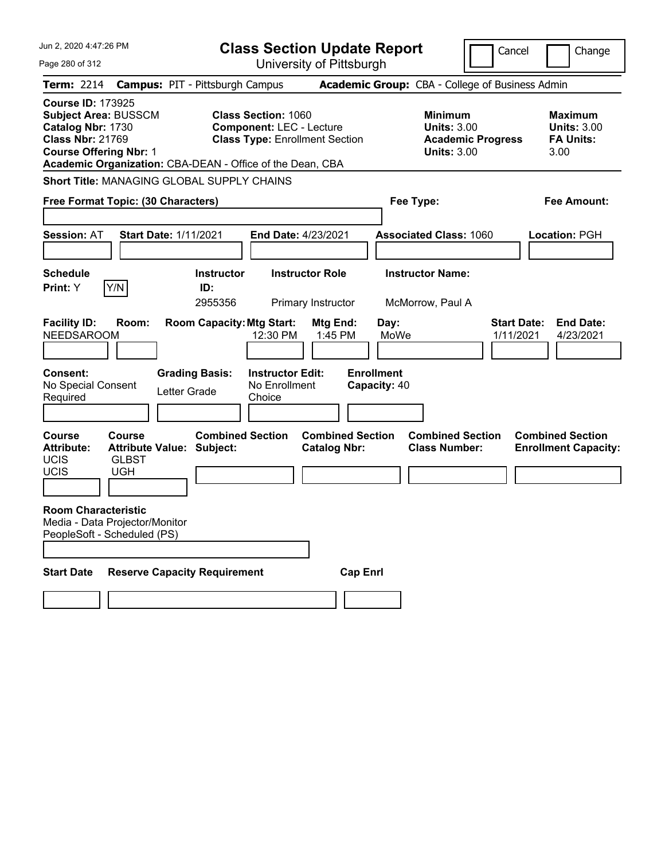| Jun 2. 2020 4:47:26 PM                                                                                                                   |                                                                                    | <b>Class Section Update Report</b>                                                                     |                                                   |                                                                                        | Cancel<br>Change                                                 |
|------------------------------------------------------------------------------------------------------------------------------------------|------------------------------------------------------------------------------------|--------------------------------------------------------------------------------------------------------|---------------------------------------------------|----------------------------------------------------------------------------------------|------------------------------------------------------------------|
| Page 280 of 312                                                                                                                          |                                                                                    | University of Pittsburgh                                                                               |                                                   |                                                                                        |                                                                  |
| <b>Term: 2214</b>                                                                                                                        | <b>Campus: PIT - Pittsburgh Campus</b>                                             |                                                                                                        |                                                   | Academic Group: CBA - College of Business Admin                                        |                                                                  |
| <b>Course ID: 173925</b><br><b>Subject Area: BUSSCM</b><br>Catalog Nbr: 1730<br><b>Class Nbr: 21769</b><br><b>Course Offering Nbr: 1</b> | Academic Organization: CBA-DEAN - Office of the Dean, CBA                          | <b>Class Section: 1060</b><br><b>Component: LEC - Lecture</b><br><b>Class Type: Enrollment Section</b> |                                                   | <b>Minimum</b><br><b>Units: 3.00</b><br><b>Academic Progress</b><br><b>Units: 3.00</b> | <b>Maximum</b><br><b>Units: 3.00</b><br><b>FA Units:</b><br>3.00 |
|                                                                                                                                          | <b>Short Title: MANAGING GLOBAL SUPPLY CHAINS</b>                                  |                                                                                                        |                                                   |                                                                                        |                                                                  |
|                                                                                                                                          | Free Format Topic: (30 Characters)                                                 |                                                                                                        | Fee Type:                                         |                                                                                        | <b>Fee Amount:</b>                                               |
| <b>Session: AT</b>                                                                                                                       | <b>Start Date: 1/11/2021</b>                                                       | End Date: 4/23/2021                                                                                    |                                                   | <b>Associated Class: 1060</b>                                                          | Location: PGH                                                    |
| <b>Schedule</b>                                                                                                                          | <b>Instructor</b>                                                                  | <b>Instructor Role</b>                                                                                 |                                                   | <b>Instructor Name:</b>                                                                |                                                                  |
| Y/N<br>Print: Y                                                                                                                          | ID:<br>2955356                                                                     | Primary Instructor                                                                                     |                                                   | McMorrow, Paul A                                                                       |                                                                  |
| <b>Facility ID:</b><br><b>NEEDSAROOM</b><br><b>Consent:</b><br>No Special Consent<br>Required                                            | <b>Room Capacity: Mtg Start:</b><br>Room:<br><b>Grading Basis:</b><br>Letter Grade | Mtg End:<br>1:45 PM<br>12:30 PM<br><b>Instructor Edit:</b><br>No Enrollment<br>Choice                  | Day:<br>MoWe<br><b>Enrollment</b><br>Capacity: 40 |                                                                                        | <b>Start Date:</b><br><b>End Date:</b><br>1/11/2021<br>4/23/2021 |
| <b>Course</b><br><b>Course</b><br><b>Attribute:</b><br><b>UCIS</b><br><b>GLBST</b><br><b>UCIS</b><br><b>UGH</b>                          | <b>Combined Section</b><br><b>Attribute Value: Subject:</b>                        | <b>Catalog Nbr:</b>                                                                                    | <b>Combined Section</b>                           | <b>Combined Section</b><br><b>Class Number:</b>                                        | <b>Combined Section</b><br><b>Enrollment Capacity:</b>           |
| <b>Room Characteristic</b><br>Media - Data Projector/Monitor<br>PeopleSoft - Scheduled (PS)                                              |                                                                                    |                                                                                                        |                                                   |                                                                                        |                                                                  |
| <b>Start Date</b>                                                                                                                        | <b>Reserve Capacity Requirement</b>                                                |                                                                                                        | <b>Cap Enrl</b>                                   |                                                                                        |                                                                  |
|                                                                                                                                          |                                                                                    |                                                                                                        |                                                   |                                                                                        |                                                                  |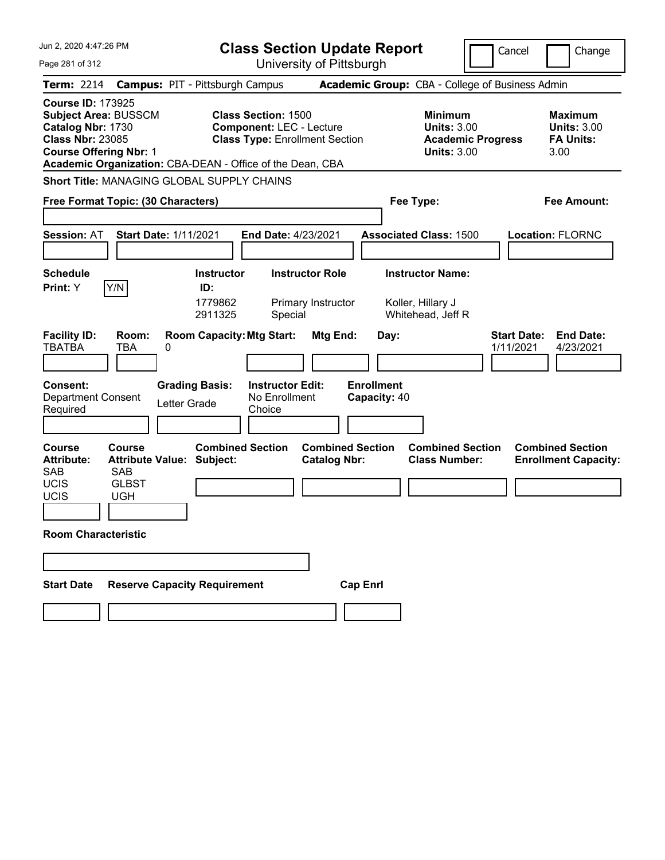| Jun 2, 2020 4:47:26 PM                                                                                                                   |                                                                                                                                                                     | <b>Class Section Update Report</b>                                     | Cancel                                                                                 | Change                                                           |
|------------------------------------------------------------------------------------------------------------------------------------------|---------------------------------------------------------------------------------------------------------------------------------------------------------------------|------------------------------------------------------------------------|----------------------------------------------------------------------------------------|------------------------------------------------------------------|
| Page 281 of 312                                                                                                                          |                                                                                                                                                                     | University of Pittsburgh                                               |                                                                                        |                                                                  |
| <b>Term: 2214</b>                                                                                                                        | <b>Campus: PIT - Pittsburgh Campus</b>                                                                                                                              | Academic Group: CBA - College of Business Admin                        |                                                                                        |                                                                  |
| <b>Course ID: 173925</b><br><b>Subject Area: BUSSCM</b><br>Catalog Nbr: 1730<br><b>Class Nbr: 23085</b><br><b>Course Offering Nbr: 1</b> | <b>Class Section: 1500</b><br><b>Component: LEC - Lecture</b><br><b>Class Type: Enrollment Section</b><br>Academic Organization: CBA-DEAN - Office of the Dean, CBA |                                                                        | <b>Minimum</b><br><b>Units: 3.00</b><br><b>Academic Progress</b><br><b>Units: 3.00</b> | <b>Maximum</b><br><b>Units: 3.00</b><br><b>FA Units:</b><br>3.00 |
|                                                                                                                                          | <b>Short Title: MANAGING GLOBAL SUPPLY CHAINS</b>                                                                                                                   |                                                                        |                                                                                        |                                                                  |
| Free Format Topic: (30 Characters)                                                                                                       |                                                                                                                                                                     | Fee Type:                                                              |                                                                                        | Fee Amount:                                                      |
| <b>Session: AT</b>                                                                                                                       | <b>Start Date: 1/11/2021</b><br>End Date: 4/23/2021                                                                                                                 | <b>Associated Class: 1500</b>                                          |                                                                                        | <b>Location: FLORNC</b>                                          |
| <b>Schedule</b>                                                                                                                          | <b>Instructor Role</b><br><b>Instructor</b>                                                                                                                         | <b>Instructor Name:</b>                                                |                                                                                        |                                                                  |
| Y/N <br>Print: Y                                                                                                                         | ID:<br>1779862<br>Primary Instructor<br>2911325<br>Special                                                                                                          | Koller, Hillary J<br>Whitehead, Jeff R                                 |                                                                                        |                                                                  |
| <b>Facility ID:</b><br>Room:<br><b>TBATBA</b><br>TBA                                                                                     | <b>Room Capacity: Mtg Start:</b><br>0                                                                                                                               | Mtg End:<br>Day:                                                       | <b>Start Date:</b><br>1/11/2021                                                        | <b>End Date:</b><br>4/23/2021                                    |
| <b>Consent:</b><br><b>Department Consent</b><br>Required                                                                                 | <b>Grading Basis:</b><br><b>Instructor Edit:</b><br>No Enrollment<br>Letter Grade<br>Choice                                                                         | <b>Enrollment</b><br>Capacity: 40                                      |                                                                                        |                                                                  |
| <b>Course</b><br>Course<br><b>Attribute:</b><br><b>SAB</b><br><b>SAB</b><br><b>UCIS</b><br><b>GLBST</b><br>UCIS<br><b>UGH</b>            | <b>Combined Section</b><br><b>Attribute Value: Subject:</b>                                                                                                         | <b>Combined Section</b><br><b>Class Number:</b><br><b>Catalog Nbr:</b> | <b>Combined Section</b>                                                                | <b>Combined Section</b><br><b>Enrollment Capacity:</b>           |
| <b>Room Characteristic</b>                                                                                                               |                                                                                                                                                                     |                                                                        |                                                                                        |                                                                  |
|                                                                                                                                          |                                                                                                                                                                     |                                                                        |                                                                                        |                                                                  |
| <b>Start Date</b>                                                                                                                        | <b>Reserve Capacity Requirement</b>                                                                                                                                 | <b>Cap Enrl</b>                                                        |                                                                                        |                                                                  |
|                                                                                                                                          |                                                                                                                                                                     |                                                                        |                                                                                        |                                                                  |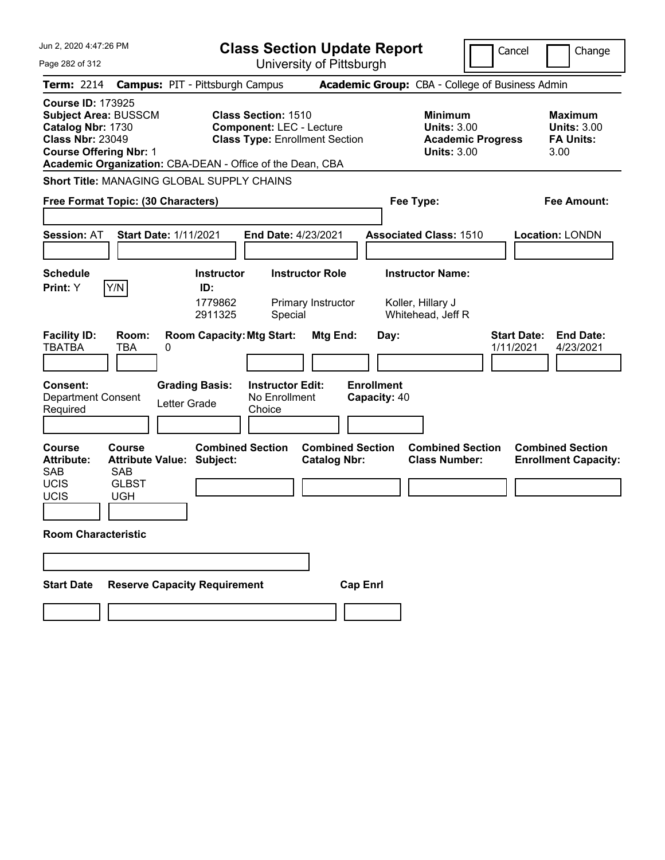| Jun 2, 2020 4:47:26 PM                                                                                                                                                                                |                                        |                                                |                                                               | <b>Class Section Update Report</b>             |                                   |                                                                                        | Cancel                          | Change                                                           |
|-------------------------------------------------------------------------------------------------------------------------------------------------------------------------------------------------------|----------------------------------------|------------------------------------------------|---------------------------------------------------------------|------------------------------------------------|-----------------------------------|----------------------------------------------------------------------------------------|---------------------------------|------------------------------------------------------------------|
| Page 282 of 312                                                                                                                                                                                       |                                        |                                                |                                                               | University of Pittsburgh                       |                                   |                                                                                        |                                 |                                                                  |
| <b>Term: 2214</b>                                                                                                                                                                                     | <b>Campus: PIT - Pittsburgh Campus</b> |                                                |                                                               |                                                |                                   | Academic Group: CBA - College of Business Admin                                        |                                 |                                                                  |
| <b>Course ID: 173925</b><br><b>Subject Area: BUSSCM</b><br>Catalog Nbr: 1730<br><b>Class Nbr: 23049</b><br><b>Course Offering Nbr: 1</b><br>Academic Organization: CBA-DEAN - Office of the Dean, CBA |                                        |                                                | <b>Class Section: 1510</b><br><b>Component: LEC - Lecture</b> | <b>Class Type: Enrollment Section</b>          |                                   | <b>Minimum</b><br><b>Units: 3.00</b><br><b>Academic Progress</b><br><b>Units: 3.00</b> |                                 | <b>Maximum</b><br><b>Units: 3.00</b><br><b>FA Units:</b><br>3.00 |
| <b>Short Title: MANAGING GLOBAL SUPPLY CHAINS</b>                                                                                                                                                     |                                        |                                                |                                                               |                                                |                                   |                                                                                        |                                 |                                                                  |
| Free Format Topic: (30 Characters)                                                                                                                                                                    |                                        |                                                |                                                               |                                                |                                   | Fee Type:                                                                              |                                 | Fee Amount:                                                      |
| <b>Session: AT</b>                                                                                                                                                                                    | <b>Start Date: 1/11/2021</b>           |                                                | End Date: 4/23/2021                                           |                                                |                                   | <b>Associated Class: 1510</b>                                                          |                                 | <b>Location: LONDN</b>                                           |
| <b>Schedule</b><br> Y/N <br>Print: Y                                                                                                                                                                  |                                        | <b>Instructor</b><br>ID:<br>1779862<br>2911325 | Special                                                       | <b>Instructor Role</b><br>Primary Instructor   |                                   | <b>Instructor Name:</b><br>Koller, Hillary J<br>Whitehead, Jeff R                      |                                 |                                                                  |
| <b>Facility ID:</b><br><b>TBATBA</b><br>TBA                                                                                                                                                           | Room:<br>0                             | <b>Room Capacity: Mtg Start:</b>               |                                                               | Mtg End:                                       | Day:                              |                                                                                        | <b>Start Date:</b><br>1/11/2021 | <b>End Date:</b><br>4/23/2021                                    |
| <b>Consent:</b><br><b>Department Consent</b><br>Required                                                                                                                                              | <b>Grading Basis:</b><br>Letter Grade  |                                                | <b>Instructor Edit:</b><br>No Enrollment<br>Choice            |                                                | <b>Enrollment</b><br>Capacity: 40 |                                                                                        |                                 |                                                                  |
| <b>Course</b><br>Course<br><b>Attribute:</b><br><b>SAB</b><br><b>SAB</b><br><b>UCIS</b><br><b>GLBST</b><br>UCIS<br><b>UGH</b>                                                                         | <b>Attribute Value: Subject:</b>       | <b>Combined Section</b>                        |                                                               | <b>Combined Section</b><br><b>Catalog Nbr:</b> |                                   | <b>Combined Section</b><br><b>Class Number:</b>                                        |                                 | <b>Combined Section</b><br><b>Enrollment Capacity:</b>           |
| <b>Room Characteristic</b>                                                                                                                                                                            |                                        |                                                |                                                               |                                                |                                   |                                                                                        |                                 |                                                                  |
|                                                                                                                                                                                                       |                                        |                                                |                                                               |                                                |                                   |                                                                                        |                                 |                                                                  |
| <b>Start Date</b>                                                                                                                                                                                     | <b>Reserve Capacity Requirement</b>    |                                                |                                                               |                                                | <b>Cap Enrl</b>                   |                                                                                        |                                 |                                                                  |
|                                                                                                                                                                                                       |                                        |                                                |                                                               |                                                |                                   |                                                                                        |                                 |                                                                  |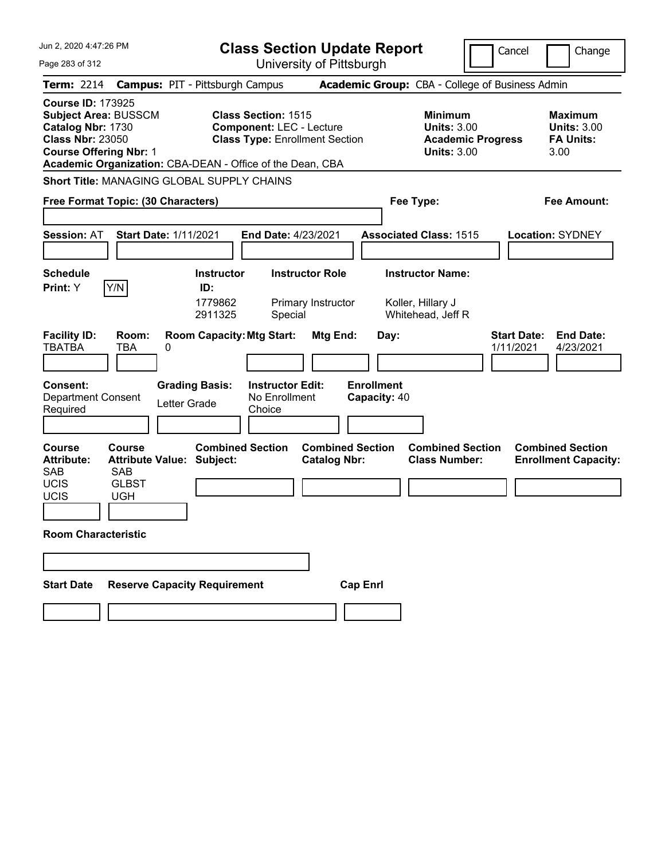| Jun 2. 2020 4:47:26 PM                                                                                                                                                                         | <b>Class Section Update Report</b>                                                                     | Cancel<br>Change                                                                                                                                           |
|------------------------------------------------------------------------------------------------------------------------------------------------------------------------------------------------|--------------------------------------------------------------------------------------------------------|------------------------------------------------------------------------------------------------------------------------------------------------------------|
| Page 283 of 312                                                                                                                                                                                | University of Pittsburgh                                                                               |                                                                                                                                                            |
| <b>Term: 2214</b>                                                                                                                                                                              | <b>Campus: PIT - Pittsburgh Campus</b>                                                                 | Academic Group: CBA - College of Business Admin                                                                                                            |
| <b>Course ID: 173925</b><br>Subject Area: BUSSCM<br>Catalog Nbr: 1730<br><b>Class Nbr: 23050</b><br><b>Course Offering Nbr: 1</b><br>Academic Organization: CBA-DEAN - Office of the Dean, CBA | <b>Class Section: 1515</b><br><b>Component: LEC - Lecture</b><br><b>Class Type: Enrollment Section</b> | <b>Minimum</b><br><b>Maximum</b><br><b>Units: 3.00</b><br><b>Units: 3.00</b><br><b>FA Units:</b><br><b>Academic Progress</b><br><b>Units: 3.00</b><br>3.00 |
| <b>Short Title: MANAGING GLOBAL SUPPLY CHAINS</b>                                                                                                                                              |                                                                                                        |                                                                                                                                                            |
| Free Format Topic: (30 Characters)                                                                                                                                                             |                                                                                                        | Fee Type:<br>Fee Amount:                                                                                                                                   |
| <b>Session: AT</b><br><b>Start Date: 1/11/2021</b>                                                                                                                                             | <b>End Date: 4/23/2021</b>                                                                             | <b>Associated Class: 1515</b><br><b>Location: SYDNEY</b>                                                                                                   |
| <b>Schedule</b><br>Y/N<br>Print: Y                                                                                                                                                             | <b>Instructor Role</b><br><b>Instructor</b><br>ID:                                                     | <b>Instructor Name:</b>                                                                                                                                    |
|                                                                                                                                                                                                | 1779862<br>Primary Instructor<br>2911325<br>Special                                                    | Koller, Hillary J<br>Whitehead, Jeff R                                                                                                                     |
| <b>Facility ID:</b><br>Room:<br><b>TBATBA</b><br>TBA<br>0                                                                                                                                      | <b>Room Capacity: Mtg Start:</b><br>Mtg End:                                                           | <b>End Date:</b><br><b>Start Date:</b><br>Day:<br>1/11/2021<br>4/23/2021                                                                                   |
| <b>Consent:</b><br><b>Grading Basis:</b><br><b>Department Consent</b><br>Letter Grade<br>Required                                                                                              | <b>Enrollment</b><br><b>Instructor Edit:</b><br>No Enrollment<br>Capacity: 40<br>Choice                |                                                                                                                                                            |
| <b>Course</b><br><b>Course</b><br><b>Attribute:</b><br><b>Attribute Value: Subject:</b><br><b>SAB</b><br><b>SAB</b><br><b>UCIS</b><br><b>GLBST</b><br><b>UCIS</b><br><b>UGH</b>                | <b>Combined Section</b><br><b>Combined Section</b><br><b>Catalog Nbr:</b>                              | <b>Combined Section</b><br><b>Combined Section</b><br><b>Class Number:</b><br><b>Enrollment Capacity:</b>                                                  |
| <b>Room Characteristic</b>                                                                                                                                                                     |                                                                                                        |                                                                                                                                                            |
|                                                                                                                                                                                                |                                                                                                        |                                                                                                                                                            |
| <b>Reserve Capacity Requirement</b><br><b>Start Date</b>                                                                                                                                       | <b>Cap Enrl</b>                                                                                        |                                                                                                                                                            |
|                                                                                                                                                                                                |                                                                                                        |                                                                                                                                                            |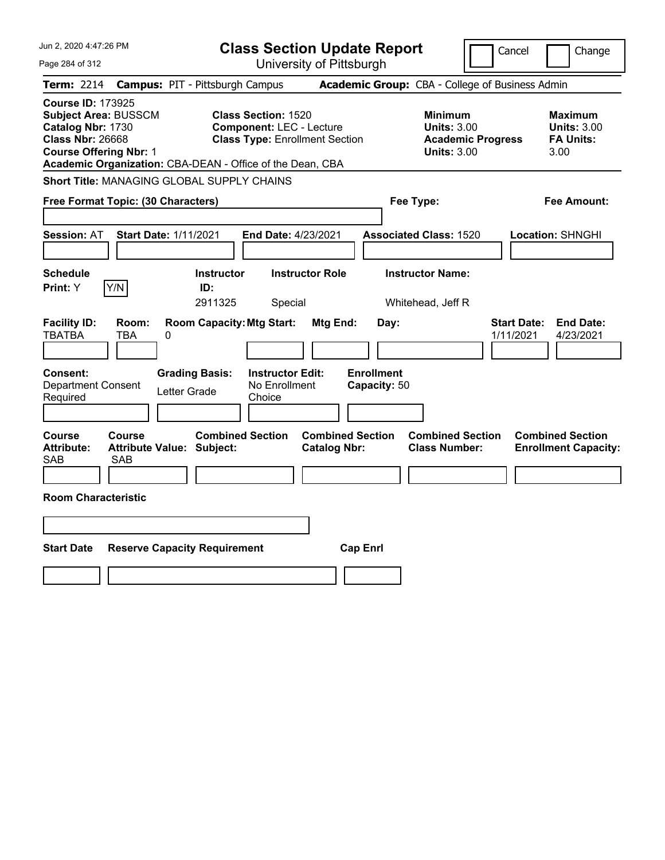| Jun 2, 2020 4:47:26 PM                                                                                                                                                                                | <b>Class Section Update Report</b>                                                                     | Cancel<br>Change                                                                                                                                           |
|-------------------------------------------------------------------------------------------------------------------------------------------------------------------------------------------------------|--------------------------------------------------------------------------------------------------------|------------------------------------------------------------------------------------------------------------------------------------------------------------|
| Page 284 of 312                                                                                                                                                                                       | University of Pittsburgh                                                                               |                                                                                                                                                            |
| Term: 2214                                                                                                                                                                                            | <b>Campus: PIT - Pittsburgh Campus</b>                                                                 | Academic Group: CBA - College of Business Admin                                                                                                            |
| <b>Course ID: 173925</b><br><b>Subject Area: BUSSCM</b><br>Catalog Nbr: 1730<br><b>Class Nbr: 26668</b><br><b>Course Offering Nbr: 1</b><br>Academic Organization: CBA-DEAN - Office of the Dean, CBA | <b>Class Section: 1520</b><br><b>Component: LEC - Lecture</b><br><b>Class Type: Enrollment Section</b> | <b>Minimum</b><br><b>Maximum</b><br><b>Units: 3.00</b><br><b>Units: 3.00</b><br><b>Academic Progress</b><br><b>FA Units:</b><br><b>Units: 3.00</b><br>3.00 |
| <b>Short Title: MANAGING GLOBAL SUPPLY CHAINS</b>                                                                                                                                                     |                                                                                                        |                                                                                                                                                            |
| Free Format Topic: (30 Characters)                                                                                                                                                                    |                                                                                                        | Fee Type:<br>Fee Amount:                                                                                                                                   |
| <b>Start Date: 1/11/2021</b><br><b>Session: AT</b>                                                                                                                                                    | End Date: 4/23/2021                                                                                    | <b>Associated Class: 1520</b><br><b>Location: SHNGHI</b>                                                                                                   |
| <b>Schedule</b><br>Y/N<br>Print: Y                                                                                                                                                                    | <b>Instructor</b><br><b>Instructor Role</b><br>ID:<br>2911325<br>Special                               | <b>Instructor Name:</b><br>Whitehead, Jeff R                                                                                                               |
| <b>Facility ID:</b><br>Room:<br><b>TBATBA</b><br>TBA<br>0                                                                                                                                             | <b>Room Capacity: Mtg Start:</b><br>Mtg End:<br>Day:                                                   | <b>Start Date:</b><br><b>End Date:</b><br>1/11/2021<br>4/23/2021                                                                                           |
| <b>Consent:</b><br><b>Grading Basis:</b><br><b>Department Consent</b><br>Letter Grade<br>Required                                                                                                     | <b>Enrollment</b><br><b>Instructor Edit:</b><br>No Enrollment<br>Capacity: 50<br>Choice                |                                                                                                                                                            |
| Course<br>Course<br><b>Attribute:</b><br><b>Attribute Value: Subject:</b><br>SAB<br>SAB                                                                                                               | <b>Combined Section</b><br><b>Combined Section</b><br><b>Catalog Nbr:</b>                              | <b>Combined Section</b><br><b>Combined Section</b><br><b>Class Number:</b><br><b>Enrollment Capacity:</b>                                                  |
| <b>Room Characteristic</b>                                                                                                                                                                            |                                                                                                        |                                                                                                                                                            |
| <b>Start Date</b><br><b>Reserve Capacity Requirement</b>                                                                                                                                              | <b>Cap Enrl</b>                                                                                        |                                                                                                                                                            |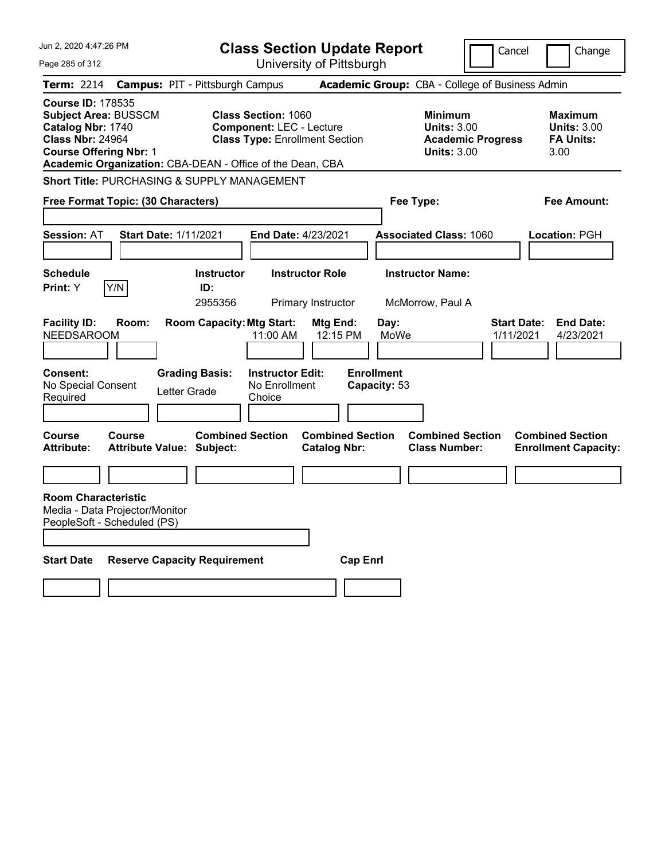| Jun 2, 2020 4:47:26 PM                                                                                                                                                                                | <b>Class Section Update Report</b>                                                                                         |                                                                            | Cancel<br>Change                                                                      |
|-------------------------------------------------------------------------------------------------------------------------------------------------------------------------------------------------------|----------------------------------------------------------------------------------------------------------------------------|----------------------------------------------------------------------------|---------------------------------------------------------------------------------------|
| Page 285 of 312                                                                                                                                                                                       | University of Pittsburgh                                                                                                   |                                                                            |                                                                                       |
| Term: 2214                                                                                                                                                                                            | <b>Campus: PIT - Pittsburgh Campus</b>                                                                                     | Academic Group: CBA - College of Business Admin                            |                                                                                       |
| <b>Course ID: 178535</b><br><b>Subject Area: BUSSCM</b><br>Catalog Nbr: 1740<br><b>Class Nbr: 24964</b><br><b>Course Offering Nbr: 1</b><br>Academic Organization: CBA-DEAN - Office of the Dean, CBA | <b>Class Section: 1060</b><br><b>Component: LEC - Lecture</b><br><b>Class Type: Enrollment Section</b>                     | <b>Minimum</b><br><b>Units: 3.00</b><br><b>Units: 3.00</b>                 | Maximum<br><b>Units: 3.00</b><br><b>FA Units:</b><br><b>Academic Progress</b><br>3.00 |
| Short Title: PURCHASING & SUPPLY MANAGEMENT                                                                                                                                                           |                                                                                                                            |                                                                            |                                                                                       |
| Free Format Topic: (30 Characters)                                                                                                                                                                    |                                                                                                                            | Fee Type:                                                                  | Fee Amount:                                                                           |
| <b>Start Date: 1/11/2021</b><br><b>Session: AT</b>                                                                                                                                                    | End Date: 4/23/2021                                                                                                        | <b>Associated Class: 1060</b>                                              | Location: PGH                                                                         |
| <b>Schedule</b>                                                                                                                                                                                       | <b>Instructor Role</b><br><b>Instructor</b>                                                                                | <b>Instructor Name:</b>                                                    |                                                                                       |
| Y/N<br>Print: Y                                                                                                                                                                                       | ID:<br>2955356<br>Primary Instructor                                                                                       | McMorrow, Paul A                                                           |                                                                                       |
| <b>Facility ID:</b><br>Room:<br><b>NEEDSAROOM</b><br><b>Grading Basis:</b><br><b>Consent:</b><br>No Special Consent<br>Letter Grade<br>Required                                                       | <b>Room Capacity: Mtg Start:</b><br>Mtg End:<br>12:15 PM<br>11:00 AM<br><b>Instructor Edit:</b><br>No Enrollment<br>Choice | Day:<br>MoWe<br><b>Enrollment</b><br>Capacity: 53                          | <b>Start Date:</b><br><b>End Date:</b><br>1/11/2021<br>4/23/2021                      |
| <b>Course</b><br>Course<br>Attribute:<br><b>Attribute Value: Subject:</b>                                                                                                                             | <b>Combined Section</b><br><b>Catalog Nbr:</b>                                                                             | <b>Combined Section</b><br><b>Combined Section</b><br><b>Class Number:</b> | <b>Combined Section</b><br><b>Enrollment Capacity:</b>                                |
|                                                                                                                                                                                                       |                                                                                                                            |                                                                            |                                                                                       |
| <b>Room Characteristic</b><br>Media - Data Projector/Monitor<br>PeopleSoft - Scheduled (PS)                                                                                                           |                                                                                                                            |                                                                            |                                                                                       |
| <b>Start Date</b><br><b>Reserve Capacity Requirement</b>                                                                                                                                              |                                                                                                                            | <b>Cap Enri</b>                                                            |                                                                                       |
|                                                                                                                                                                                                       |                                                                                                                            |                                                                            |                                                                                       |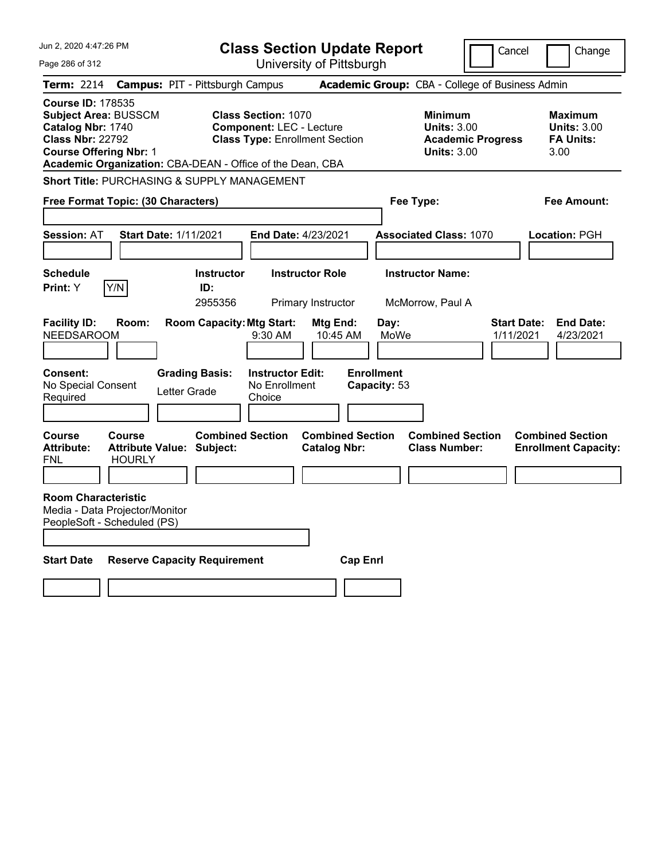| Jun 2, 2020 4:47:26 PM                                                                                                                   | <b>Class Section Update Report</b>                                                                                                                                  |                                                                            | Cancel<br>Change                                                                      |
|------------------------------------------------------------------------------------------------------------------------------------------|---------------------------------------------------------------------------------------------------------------------------------------------------------------------|----------------------------------------------------------------------------|---------------------------------------------------------------------------------------|
| Page 286 of 312                                                                                                                          | University of Pittsburgh                                                                                                                                            |                                                                            |                                                                                       |
| Term: 2214                                                                                                                               | <b>Campus: PIT - Pittsburgh Campus</b>                                                                                                                              | Academic Group: CBA - College of Business Admin                            |                                                                                       |
| <b>Course ID: 178535</b><br><b>Subject Area: BUSSCM</b><br>Catalog Nbr: 1740<br><b>Class Nbr: 22792</b><br><b>Course Offering Nbr: 1</b> | <b>Class Section: 1070</b><br><b>Component: LEC - Lecture</b><br><b>Class Type: Enrollment Section</b><br>Academic Organization: CBA-DEAN - Office of the Dean, CBA | Minimum<br><b>Units: 3.00</b><br><b>Units: 3.00</b>                        | Maximum<br><b>Units: 3.00</b><br><b>FA Units:</b><br><b>Academic Progress</b><br>3.00 |
| Short Title: PURCHASING & SUPPLY MANAGEMENT                                                                                              |                                                                                                                                                                     |                                                                            |                                                                                       |
| Free Format Topic: (30 Characters)                                                                                                       |                                                                                                                                                                     | Fee Type:                                                                  | Fee Amount:                                                                           |
|                                                                                                                                          |                                                                                                                                                                     |                                                                            |                                                                                       |
| <b>Start Date: 1/11/2021</b><br><b>Session: AT</b>                                                                                       | End Date: 4/23/2021                                                                                                                                                 | <b>Associated Class: 1070</b>                                              | Location: PGH                                                                         |
|                                                                                                                                          |                                                                                                                                                                     |                                                                            |                                                                                       |
| <b>Schedule</b>                                                                                                                          | <b>Instructor Role</b><br><b>Instructor</b>                                                                                                                         | <b>Instructor Name:</b>                                                    |                                                                                       |
| Y/N<br>Print: Y                                                                                                                          | ID:<br>2955356<br>Primary Instructor                                                                                                                                | McMorrow, Paul A                                                           |                                                                                       |
| <b>Facility ID:</b><br>Room:<br><b>NEEDSAROOM</b><br>Consent:<br>No Special Consent<br>Required                                          | <b>Room Capacity: Mtg Start:</b><br>Mtg End:<br>9:30 AM<br><b>Grading Basis:</b><br><b>Instructor Edit:</b><br>No Enrollment<br>Letter Grade<br>Choice              | Day:<br>MoWe<br>10:45 AM<br><b>Enrollment</b><br>Capacity: 53              | <b>Start Date:</b><br><b>End Date:</b><br>1/11/2021<br>4/23/2021                      |
| Course<br>Course<br><b>Attribute:</b><br><b>Attribute Value: Subject:</b><br><b>HOURLY</b><br>FNL                                        | <b>Combined Section</b><br><b>Catalog Nbr:</b>                                                                                                                      | <b>Combined Section</b><br><b>Combined Section</b><br><b>Class Number:</b> | <b>Combined Section</b><br><b>Enrollment Capacity:</b>                                |
|                                                                                                                                          |                                                                                                                                                                     |                                                                            |                                                                                       |
| <b>Room Characteristic</b><br>Media - Data Projector/Monitor<br>PeopleSoft - Scheduled (PS)                                              |                                                                                                                                                                     |                                                                            |                                                                                       |
| <b>Start Date</b><br><b>Reserve Capacity Requirement</b>                                                                                 |                                                                                                                                                                     | <b>Cap Enrl</b>                                                            |                                                                                       |
|                                                                                                                                          |                                                                                                                                                                     |                                                                            |                                                                                       |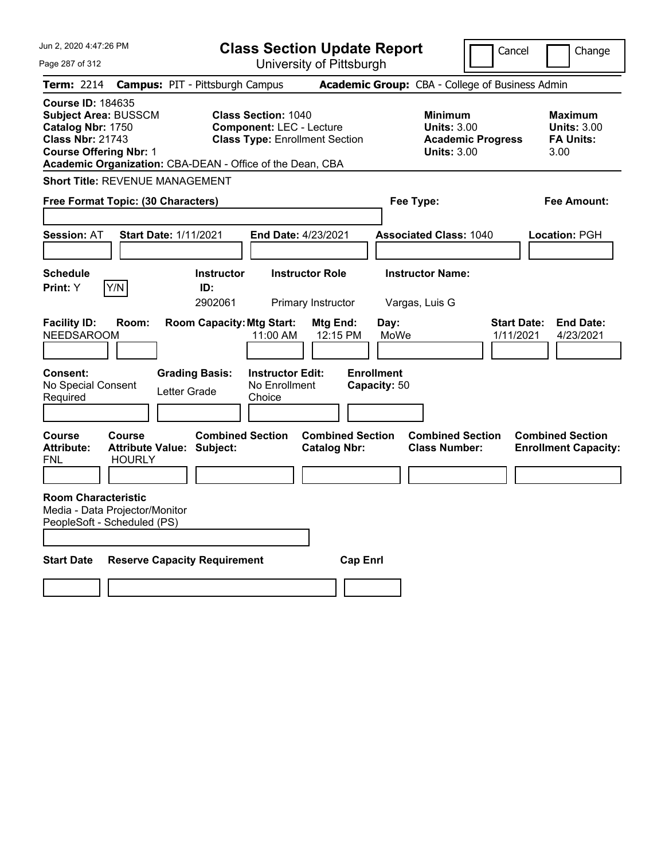| Jun 2, 2020 4:47:26 PM                                                                                                                   |                                |                                                           | <b>Class Section Update Report</b>                                                                     |                                                |                                   |                                                                                 | Cancel                          | Change                                                           |
|------------------------------------------------------------------------------------------------------------------------------------------|--------------------------------|-----------------------------------------------------------|--------------------------------------------------------------------------------------------------------|------------------------------------------------|-----------------------------------|---------------------------------------------------------------------------------|---------------------------------|------------------------------------------------------------------|
| Page 287 of 312                                                                                                                          |                                |                                                           |                                                                                                        | University of Pittsburgh                       |                                   |                                                                                 |                                 |                                                                  |
| Term: 2214                                                                                                                               |                                | <b>Campus: PIT - Pittsburgh Campus</b>                    |                                                                                                        |                                                |                                   | Academic Group: CBA - College of Business Admin                                 |                                 |                                                                  |
| <b>Course ID: 184635</b><br><b>Subject Area: BUSSCM</b><br>Catalog Nbr: 1750<br><b>Class Nbr: 21743</b><br><b>Course Offering Nbr: 1</b> |                                | Academic Organization: CBA-DEAN - Office of the Dean, CBA | <b>Class Section: 1040</b><br><b>Component: LEC - Lecture</b><br><b>Class Type: Enrollment Section</b> |                                                |                                   | Minimum<br><b>Units: 3.00</b><br><b>Academic Progress</b><br><b>Units: 3.00</b> |                                 | <b>Maximum</b><br><b>Units: 3.00</b><br><b>FA Units:</b><br>3.00 |
| <b>Short Title: REVENUE MANAGEMENT</b>                                                                                                   |                                |                                                           |                                                                                                        |                                                |                                   |                                                                                 |                                 |                                                                  |
| Free Format Topic: (30 Characters)                                                                                                       |                                |                                                           |                                                                                                        |                                                | Fee Type:                         |                                                                                 |                                 | Fee Amount:                                                      |
| <b>Session: AT</b>                                                                                                                       |                                | <b>Start Date: 1/11/2021</b>                              | <b>End Date: 4/23/2021</b>                                                                             |                                                |                                   | <b>Associated Class: 1040</b>                                                   |                                 | Location: PGH                                                    |
| <b>Schedule</b><br><b>Print:</b> Y                                                                                                       | Y/N                            | <b>Instructor</b><br>ID:<br>2902061                       |                                                                                                        | <b>Instructor Role</b><br>Primary Instructor   |                                   | <b>Instructor Name:</b><br>Vargas, Luis G                                       |                                 |                                                                  |
| <b>Facility ID:</b><br><b>NEEDSAROOM</b>                                                                                                 | Room:                          | <b>Room Capacity: Mtg Start:</b>                          | 11:00 AM                                                                                               | Mtg End:<br>12:15 PM                           | Day:<br>MoWe                      |                                                                                 | <b>Start Date:</b><br>1/11/2021 | <b>End Date:</b><br>4/23/2021                                    |
| Consent:<br>No Special Consent<br>Required                                                                                               |                                | <b>Grading Basis:</b><br>Letter Grade                     | <b>Instructor Edit:</b><br>No Enrollment<br>Choice                                                     |                                                | <b>Enrollment</b><br>Capacity: 50 |                                                                                 |                                 |                                                                  |
| <b>Course</b><br><b>Attribute:</b><br><b>FNL</b>                                                                                         | <b>Course</b><br><b>HOURLY</b> | <b>Combined Section</b><br>Attribute Value: Subject:      |                                                                                                        | <b>Combined Section</b><br><b>Catalog Nbr:</b> |                                   | <b>Combined Section</b><br><b>Class Number:</b>                                 |                                 | <b>Combined Section</b><br><b>Enrollment Capacity:</b>           |
| <b>Room Characteristic</b><br>Media - Data Projector/Monitor<br>PeopleSoft - Scheduled (PS)                                              |                                |                                                           |                                                                                                        |                                                |                                   |                                                                                 |                                 |                                                                  |
| <b>Start Date</b>                                                                                                                        |                                | <b>Reserve Capacity Requirement</b>                       |                                                                                                        | <b>Cap Enrl</b>                                |                                   |                                                                                 |                                 |                                                                  |
|                                                                                                                                          |                                |                                                           |                                                                                                        |                                                |                                   |                                                                                 |                                 |                                                                  |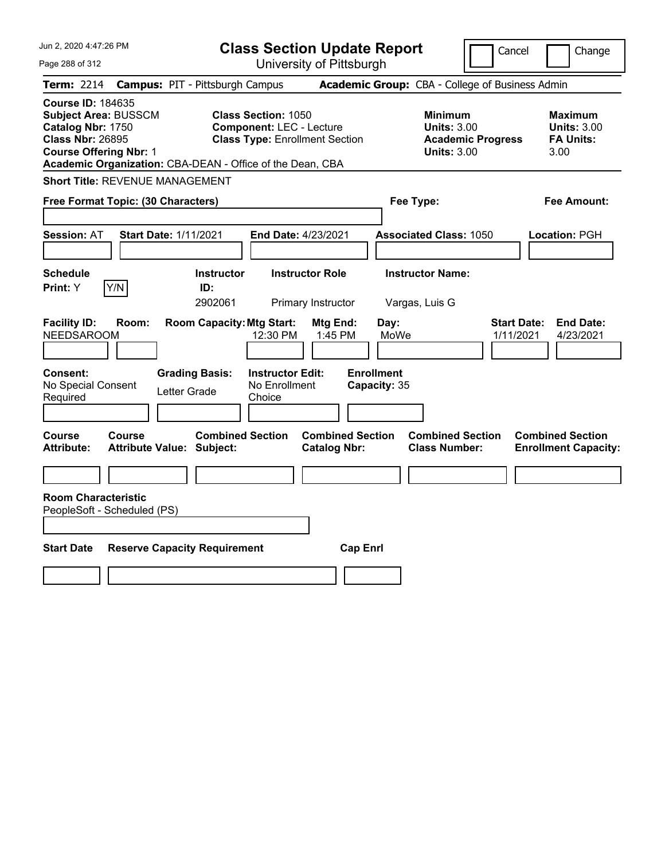| Jun 2, 2020 4:47:26 PM                                                                                                                                                                                |                                                                                                        | <b>Class Section Update Report</b>             |                                                                                        | Cancel<br>Change                                                 |
|-------------------------------------------------------------------------------------------------------------------------------------------------------------------------------------------------------|--------------------------------------------------------------------------------------------------------|------------------------------------------------|----------------------------------------------------------------------------------------|------------------------------------------------------------------|
| Page 288 of 312                                                                                                                                                                                       |                                                                                                        | University of Pittsburgh                       |                                                                                        |                                                                  |
| <b>Term:</b> 2214                                                                                                                                                                                     | <b>Campus: PIT - Pittsburgh Campus</b>                                                                 |                                                | Academic Group: CBA - College of Business Admin                                        |                                                                  |
| <b>Course ID: 184635</b><br><b>Subject Area: BUSSCM</b><br>Catalog Nbr: 1750<br><b>Class Nbr: 26895</b><br><b>Course Offering Nbr: 1</b><br>Academic Organization: CBA-DEAN - Office of the Dean, CBA | <b>Class Section: 1050</b><br><b>Component: LEC - Lecture</b><br><b>Class Type: Enrollment Section</b> |                                                | <b>Minimum</b><br><b>Units: 3.00</b><br><b>Academic Progress</b><br><b>Units: 3.00</b> | <b>Maximum</b><br><b>Units: 3.00</b><br><b>FA Units:</b><br>3.00 |
| <b>Short Title: REVENUE MANAGEMENT</b>                                                                                                                                                                |                                                                                                        |                                                |                                                                                        |                                                                  |
| Free Format Topic: (30 Characters)                                                                                                                                                                    |                                                                                                        |                                                | Fee Type:                                                                              | Fee Amount:                                                      |
| <b>Session: AT</b><br><b>Start Date: 1/11/2021</b>                                                                                                                                                    | <b>End Date: 4/23/2021</b>                                                                             |                                                | <b>Associated Class: 1050</b>                                                          | Location: PGH                                                    |
| <b>Schedule</b><br>Y/N<br>Print: Y                                                                                                                                                                    | <b>Instructor Role</b><br><b>Instructor</b><br>ID:<br>2902061                                          | Primary Instructor                             | <b>Instructor Name:</b><br>Vargas, Luis G                                              |                                                                  |
| <b>Facility ID:</b><br>Room:<br><b>NEEDSAROOM</b>                                                                                                                                                     | <b>Room Capacity: Mtg Start:</b><br>12:30 PM                                                           | Mtg End:<br>Day:<br>1:45 PM<br>MoWe            |                                                                                        | <b>End Date:</b><br><b>Start Date:</b><br>1/11/2021<br>4/23/2021 |
| Consent:<br>No Special Consent<br>Required                                                                                                                                                            | <b>Instructor Edit:</b><br><b>Grading Basis:</b><br>No Enrollment<br>Letter Grade<br>Choice            | <b>Enrollment</b><br>Capacity: 35              |                                                                                        |                                                                  |
| Course<br>Course<br><b>Attribute:</b><br>Attribute Value: Subject:                                                                                                                                    | <b>Combined Section</b>                                                                                | <b>Combined Section</b><br><b>Catalog Nbr:</b> | <b>Combined Section</b><br><b>Class Number:</b>                                        | <b>Combined Section</b><br><b>Enrollment Capacity:</b>           |
|                                                                                                                                                                                                       |                                                                                                        |                                                |                                                                                        |                                                                  |
| <b>Room Characteristic</b><br>PeopleSoft - Scheduled (PS)                                                                                                                                             |                                                                                                        |                                                |                                                                                        |                                                                  |
| <b>Start Date</b>                                                                                                                                                                                     | <b>Reserve Capacity Requirement</b>                                                                    | <b>Cap Enrl</b>                                |                                                                                        |                                                                  |
|                                                                                                                                                                                                       |                                                                                                        |                                                |                                                                                        |                                                                  |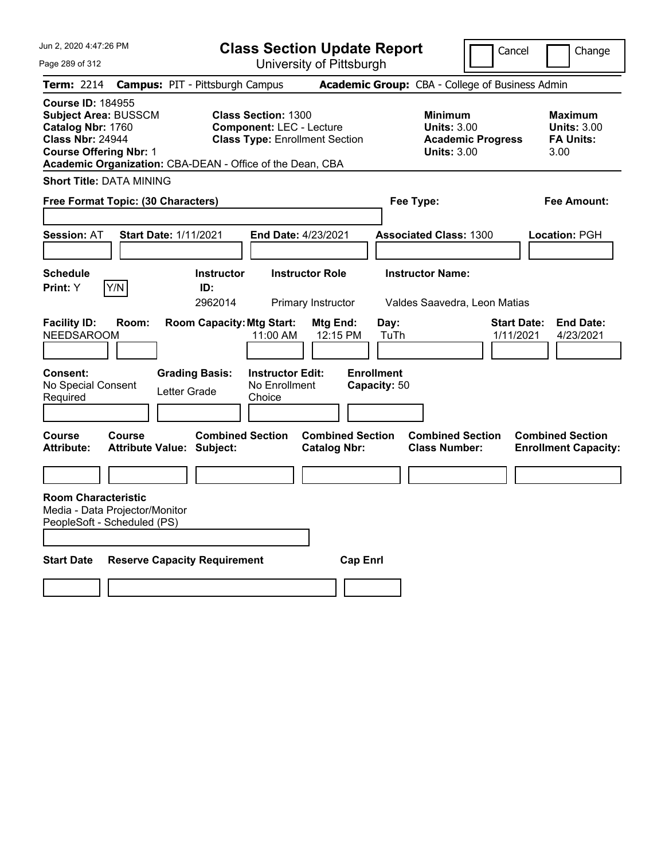|  |  | Jun 2, 2020 4:47:26 PM |  |
|--|--|------------------------|--|
|--|--|------------------------|--|

Page 289 of 312

**Class Section Update Report**

University of Pittsburgh

Cancel Change

| Term: 2214                                                                                                                               |        | <b>Campus: PIT - Pittsburgh Campus</b>                    |                                                                                                        |                                                |                                   | <b>Academic Group:</b> CBA - College of Business Admin                                 |                                 |                                                                  |
|------------------------------------------------------------------------------------------------------------------------------------------|--------|-----------------------------------------------------------|--------------------------------------------------------------------------------------------------------|------------------------------------------------|-----------------------------------|----------------------------------------------------------------------------------------|---------------------------------|------------------------------------------------------------------|
| <b>Course ID: 184955</b><br><b>Subject Area: BUSSCM</b><br>Catalog Nbr: 1760<br><b>Class Nbr: 24944</b><br><b>Course Offering Nbr: 1</b> |        | Academic Organization: CBA-DEAN - Office of the Dean, CBA | <b>Class Section: 1300</b><br><b>Component: LEC - Lecture</b><br><b>Class Type: Enrollment Section</b> |                                                |                                   | <b>Minimum</b><br><b>Units: 3.00</b><br><b>Academic Progress</b><br><b>Units: 3.00</b> |                                 | <b>Maximum</b><br><b>Units: 3.00</b><br><b>FA Units:</b><br>3.00 |
| <b>Short Title: DATA MINING</b>                                                                                                          |        |                                                           |                                                                                                        |                                                |                                   |                                                                                        |                                 |                                                                  |
| Free Format Topic: (30 Characters)                                                                                                       |        |                                                           |                                                                                                        |                                                | Fee Type:                         |                                                                                        |                                 | <b>Fee Amount:</b>                                               |
| <b>Session: AT</b>                                                                                                                       |        | <b>Start Date: 1/11/2021</b>                              | End Date: 4/23/2021                                                                                    |                                                |                                   | <b>Associated Class: 1300</b>                                                          |                                 | Location: PGH                                                    |
| <b>Schedule</b><br>Print: Y                                                                                                              | Y/N    | <b>Instructor</b><br>ID:<br>2962014                       |                                                                                                        | <b>Instructor Role</b><br>Primary Instructor   |                                   | <b>Instructor Name:</b><br>Valdes Saavedra, Leon Matias                                |                                 |                                                                  |
| <b>Facility ID:</b><br><b>NEEDSAROOM</b>                                                                                                 | Room:  | <b>Room Capacity: Mtg Start:</b>                          | 11:00 AM                                                                                               | Mtg End:<br>12:15 PM                           | Day:<br>TuTh                      |                                                                                        | <b>Start Date:</b><br>1/11/2021 | <b>End Date:</b><br>4/23/2021                                    |
| <b>Consent:</b><br>No Special Consent<br>Required                                                                                        |        | <b>Grading Basis:</b><br>Letter Grade                     | <b>Instructor Edit:</b><br>No Enrollment<br>Choice                                                     |                                                | <b>Enrollment</b><br>Capacity: 50 |                                                                                        |                                 |                                                                  |
| <b>Course</b><br>Attribute:                                                                                                              | Course | <b>Attribute Value: Subject:</b>                          | <b>Combined Section</b>                                                                                | <b>Combined Section</b><br><b>Catalog Nbr:</b> |                                   | <b>Combined Section</b><br><b>Class Number:</b>                                        |                                 | <b>Combined Section</b><br><b>Enrollment Capacity:</b>           |
| <b>Room Characteristic</b><br>Media - Data Projector/Monitor<br>PeopleSoft - Scheduled (PS)                                              |        |                                                           |                                                                                                        |                                                |                                   |                                                                                        |                                 |                                                                  |
| <b>Start Date</b>                                                                                                                        |        | <b>Reserve Capacity Requirement</b>                       |                                                                                                        | <b>Cap Enrl</b>                                |                                   |                                                                                        |                                 |                                                                  |
|                                                                                                                                          |        |                                                           |                                                                                                        |                                                |                                   |                                                                                        |                                 |                                                                  |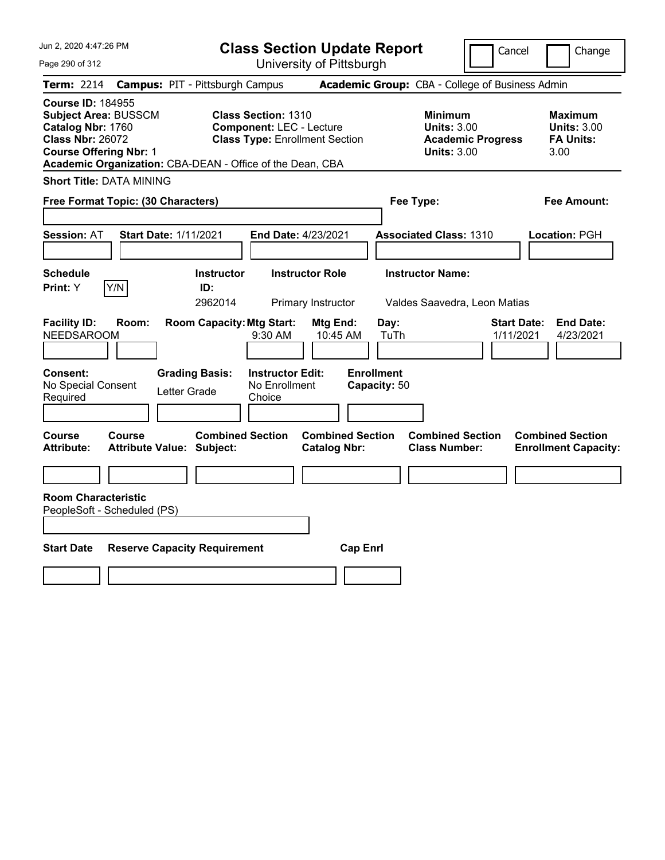| Jun 2, 2020 4:47:26 PM |  |  |  |  |  |
|------------------------|--|--|--|--|--|
|------------------------|--|--|--|--|--|

Page 290 of 312

**Class Section Update Report**

Cancel **Change** 

University of Pittsburgh

| <b>Term: 2214</b>                                                                                                                        |               | <b>Campus: PIT - Pittsburgh Campus</b>                      |                                                                                                                                                                     | Academic Group: CBA - College of Business Admin                                 |                                                                  |
|------------------------------------------------------------------------------------------------------------------------------------------|---------------|-------------------------------------------------------------|---------------------------------------------------------------------------------------------------------------------------------------------------------------------|---------------------------------------------------------------------------------|------------------------------------------------------------------|
| <b>Course ID: 184955</b><br><b>Subject Area: BUSSCM</b><br>Catalog Nbr: 1760<br><b>Class Nbr: 26072</b><br><b>Course Offering Nbr: 1</b> |               |                                                             | <b>Class Section: 1310</b><br><b>Component: LEC - Lecture</b><br><b>Class Type: Enrollment Section</b><br>Academic Organization: CBA-DEAN - Office of the Dean, CBA | Minimum<br><b>Units: 3.00</b><br><b>Academic Progress</b><br><b>Units: 3.00</b> | <b>Maximum</b><br><b>Units: 3.00</b><br><b>FA Units:</b><br>3.00 |
| <b>Short Title: DATA MINING</b>                                                                                                          |               |                                                             |                                                                                                                                                                     |                                                                                 |                                                                  |
| Free Format Topic: (30 Characters)                                                                                                       |               |                                                             |                                                                                                                                                                     | Fee Type:                                                                       | <b>Fee Amount:</b>                                               |
| <b>Session: AT</b>                                                                                                                       |               | <b>Start Date: 1/11/2021</b>                                | End Date: 4/23/2021                                                                                                                                                 | <b>Associated Class: 1310</b>                                                   | <b>Location: PGH</b>                                             |
| <b>Schedule</b><br>Print: Y                                                                                                              | Y/N           | <b>Instructor</b><br>ID:<br>2962014                         | <b>Instructor Role</b><br>Primary Instructor                                                                                                                        | <b>Instructor Name:</b><br>Valdes Saavedra, Leon Matias                         |                                                                  |
| <b>Facility ID:</b><br><b>NEEDSAROOM</b>                                                                                                 | Room:         | <b>Room Capacity: Mtg Start:</b>                            | Mtg End:<br>9:30 AM<br>10:45 AM                                                                                                                                     | Day:<br>1/11/2021<br>TuTh                                                       | <b>Start Date:</b><br><b>End Date:</b><br>4/23/2021              |
| <b>Consent:</b><br>No Special Consent<br>Required                                                                                        |               | <b>Grading Basis:</b><br>Letter Grade                       | <b>Instructor Edit:</b><br>No Enrollment<br>Choice                                                                                                                  | <b>Enrollment</b><br>Capacity: 50                                               |                                                                  |
| <b>Course</b><br><b>Attribute:</b>                                                                                                       | <b>Course</b> | <b>Combined Section</b><br><b>Attribute Value: Subject:</b> | <b>Combined Section</b><br><b>Catalog Nbr:</b>                                                                                                                      | <b>Combined Section</b><br><b>Class Number:</b>                                 | <b>Combined Section</b><br><b>Enrollment Capacity:</b>           |
|                                                                                                                                          |               |                                                             |                                                                                                                                                                     |                                                                                 |                                                                  |
| <b>Room Characteristic</b><br>PeopleSoft - Scheduled (PS)<br><b>Start Date</b>                                                           |               | <b>Reserve Capacity Requirement</b>                         | <b>Cap Enrl</b>                                                                                                                                                     |                                                                                 |                                                                  |
|                                                                                                                                          |               |                                                             |                                                                                                                                                                     |                                                                                 |                                                                  |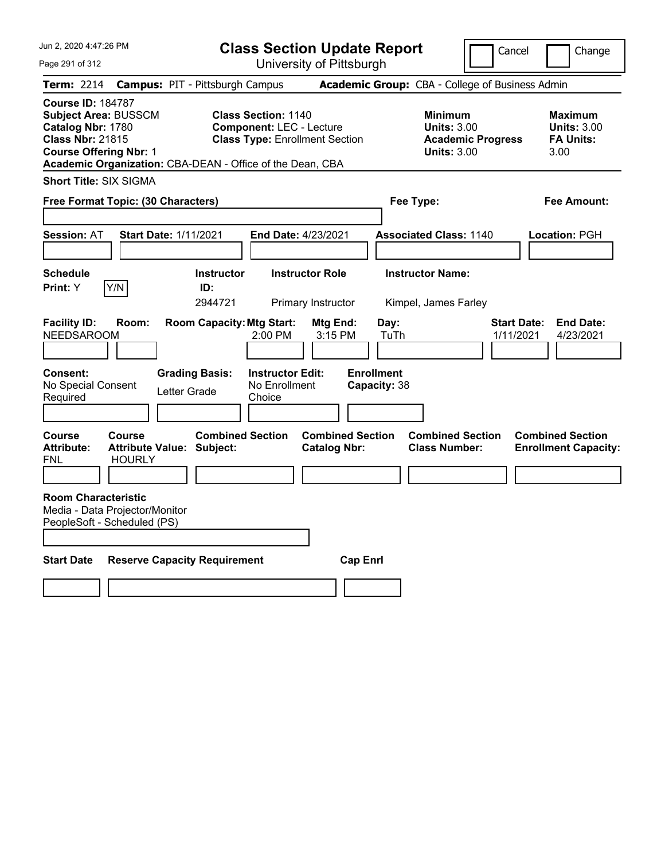Jun 2, 2020 4:47:26 PM

Page 291 of 312

**Class Section Update Report**

Cancel **Change** 

University of Pittsburgh

|                                                                                                                                          |                                |                                                             |                                                               | University Of Fillspurgh                       |                                   |                                                                                        |                                                                  |
|------------------------------------------------------------------------------------------------------------------------------------------|--------------------------------|-------------------------------------------------------------|---------------------------------------------------------------|------------------------------------------------|-----------------------------------|----------------------------------------------------------------------------------------|------------------------------------------------------------------|
| <b>Term: 2214</b>                                                                                                                        |                                | <b>Campus: PIT - Pittsburgh Campus</b>                      |                                                               |                                                |                                   | <b>Academic Group: CBA - College of Business Admin</b>                                 |                                                                  |
| <b>Course ID: 184787</b><br><b>Subject Area: BUSSCM</b><br>Catalog Nbr: 1780<br><b>Class Nbr: 21815</b><br><b>Course Offering Nbr: 1</b> |                                | Academic Organization: CBA-DEAN - Office of the Dean, CBA   | <b>Class Section: 1140</b><br><b>Component: LEC - Lecture</b> | <b>Class Type: Enrollment Section</b>          |                                   | <b>Minimum</b><br><b>Units: 3.00</b><br><b>Academic Progress</b><br><b>Units: 3.00</b> | <b>Maximum</b><br><b>Units: 3.00</b><br><b>FA Units:</b><br>3.00 |
| <b>Short Title: SIX SIGMA</b>                                                                                                            |                                |                                                             |                                                               |                                                |                                   |                                                                                        |                                                                  |
| Free Format Topic: (30 Characters)                                                                                                       |                                |                                                             |                                                               |                                                |                                   | Fee Type:                                                                              | <b>Fee Amount:</b>                                               |
| <b>Session: AT</b>                                                                                                                       |                                | <b>Start Date: 1/11/2021</b>                                | End Date: 4/23/2021                                           |                                                |                                   | <b>Associated Class: 1140</b>                                                          | Location: PGH                                                    |
| <b>Schedule</b>                                                                                                                          |                                | <b>Instructor</b>                                           |                                                               | <b>Instructor Role</b>                         |                                   | <b>Instructor Name:</b>                                                                |                                                                  |
| Print: Y                                                                                                                                 | Y/N                            | ID:<br>2944721                                              |                                                               | <b>Primary Instructor</b>                      |                                   | Kimpel, James Farley                                                                   |                                                                  |
| <b>Facility ID:</b><br><b>NEEDSAROOM</b>                                                                                                 | Room:                          | <b>Room Capacity: Mtg Start:</b>                            | 2:00 PM                                                       | Mtg End:<br>3:15 PM                            | Day:<br>TuTh                      | <b>Start Date:</b><br>1/11/2021                                                        | <b>End Date:</b><br>4/23/2021                                    |
| Consent:<br>No Special Consent<br>Required                                                                                               |                                | <b>Grading Basis:</b><br>Letter Grade                       | <b>Instructor Edit:</b><br>No Enrollment<br>Choice            |                                                | <b>Enrollment</b><br>Capacity: 38 |                                                                                        |                                                                  |
| <b>Course</b><br><b>Attribute:</b><br>FNL                                                                                                | <b>Course</b><br><b>HOURLY</b> | <b>Combined Section</b><br><b>Attribute Value: Subject:</b> |                                                               | <b>Combined Section</b><br><b>Catalog Nbr:</b> |                                   | <b>Combined Section</b><br><b>Class Number:</b>                                        | <b>Combined Section</b><br><b>Enrollment Capacity:</b>           |
| <b>Room Characteristic</b><br>Media - Data Projector/Monitor<br>PeopleSoft - Scheduled (PS)                                              |                                |                                                             |                                                               |                                                |                                   |                                                                                        |                                                                  |
| <b>Start Date</b>                                                                                                                        |                                | <b>Reserve Capacity Requirement</b>                         |                                                               | <b>Cap Enrl</b>                                |                                   |                                                                                        |                                                                  |
|                                                                                                                                          |                                |                                                             |                                                               |                                                |                                   |                                                                                        |                                                                  |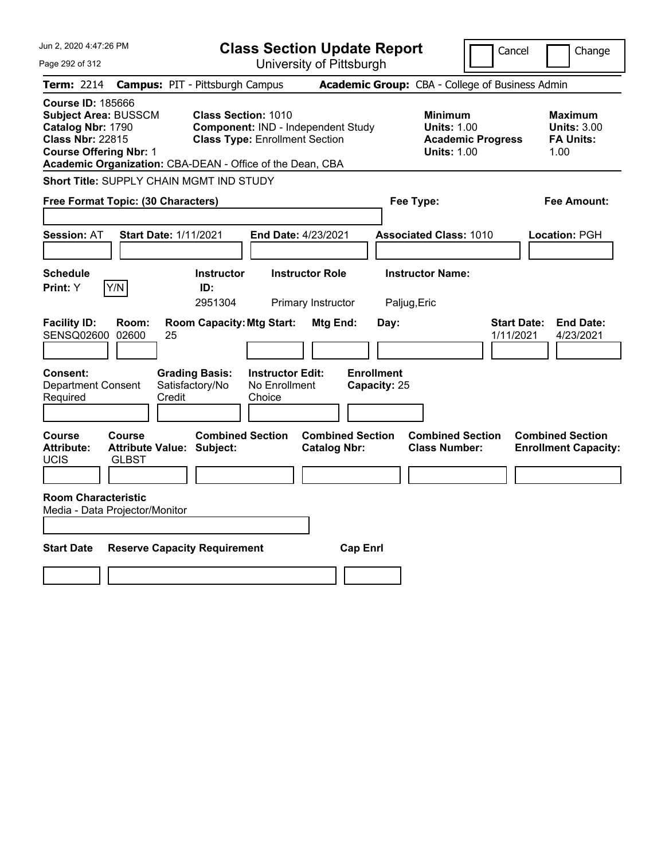| Jun 2, 2020 4:47:26 PM                                                                                                                                                                                |                                                                                                                  | <b>Class Section Update Report</b>             | Cancel                                                                                 | Change                                                           |
|-------------------------------------------------------------------------------------------------------------------------------------------------------------------------------------------------------|------------------------------------------------------------------------------------------------------------------|------------------------------------------------|----------------------------------------------------------------------------------------|------------------------------------------------------------------|
| Page 292 of 312                                                                                                                                                                                       |                                                                                                                  | University of Pittsburgh                       |                                                                                        |                                                                  |
| <b>Term: 2214</b>                                                                                                                                                                                     | <b>Campus: PIT - Pittsburgh Campus</b>                                                                           |                                                | Academic Group: CBA - College of Business Admin                                        |                                                                  |
| <b>Course ID: 185666</b><br><b>Subject Area: BUSSCM</b><br>Catalog Nbr: 1790<br><b>Class Nbr: 22815</b><br><b>Course Offering Nbr: 1</b><br>Academic Organization: CBA-DEAN - Office of the Dean, CBA | <b>Class Section: 1010</b><br><b>Component: IND - Independent Study</b><br><b>Class Type: Enrollment Section</b> |                                                | <b>Minimum</b><br><b>Units: 1.00</b><br><b>Academic Progress</b><br><b>Units: 1.00</b> | <b>Maximum</b><br><b>Units: 3.00</b><br><b>FA Units:</b><br>1.00 |
| Short Title: SUPPLY CHAIN MGMT IND STUDY                                                                                                                                                              |                                                                                                                  |                                                |                                                                                        |                                                                  |
| Free Format Topic: (30 Characters)                                                                                                                                                                    |                                                                                                                  |                                                | Fee Type:                                                                              | Fee Amount:                                                      |
| <b>Start Date: 1/11/2021</b><br><b>Session: AT</b>                                                                                                                                                    | End Date: 4/23/2021                                                                                              |                                                | <b>Associated Class: 1010</b>                                                          | Location: PGH                                                    |
| <b>Schedule</b><br>Y/N<br>Print: Y                                                                                                                                                                    | <b>Instructor</b><br>ID:<br>2951304                                                                              | <b>Instructor Role</b><br>Primary Instructor   | <b>Instructor Name:</b><br>Paljug, Eric                                                |                                                                  |
| <b>Facility ID:</b><br>Room:<br>SENSQ02600 02600<br>25                                                                                                                                                | <b>Room Capacity: Mtg Start:</b>                                                                                 | Mtg End:<br>Day:                               | 1/11/2021                                                                              | <b>Start Date:</b><br><b>End Date:</b><br>4/23/2021              |
| Consent:<br><b>Department Consent</b><br>Required<br>Credit                                                                                                                                           | <b>Grading Basis:</b><br><b>Instructor Edit:</b><br>Satisfactory/No<br>No Enrollment<br>Choice                   | <b>Enrollment</b><br>Capacity: 25              |                                                                                        |                                                                  |
| Course<br>Course<br><b>Attribute Value: Subject:</b><br><b>Attribute:</b><br><b>UCIS</b><br><b>GLBST</b>                                                                                              | <b>Combined Section</b>                                                                                          | <b>Combined Section</b><br><b>Catalog Nbr:</b> | <b>Combined Section</b><br><b>Class Number:</b>                                        | <b>Combined Section</b><br><b>Enrollment Capacity:</b>           |
| <b>Room Characteristic</b>                                                                                                                                                                            |                                                                                                                  |                                                |                                                                                        |                                                                  |
| Media - Data Projector/Monitor                                                                                                                                                                        |                                                                                                                  |                                                |                                                                                        |                                                                  |
| <b>Start Date</b>                                                                                                                                                                                     | <b>Reserve Capacity Requirement</b>                                                                              | <b>Cap Enrl</b>                                |                                                                                        |                                                                  |
|                                                                                                                                                                                                       |                                                                                                                  |                                                |                                                                                        |                                                                  |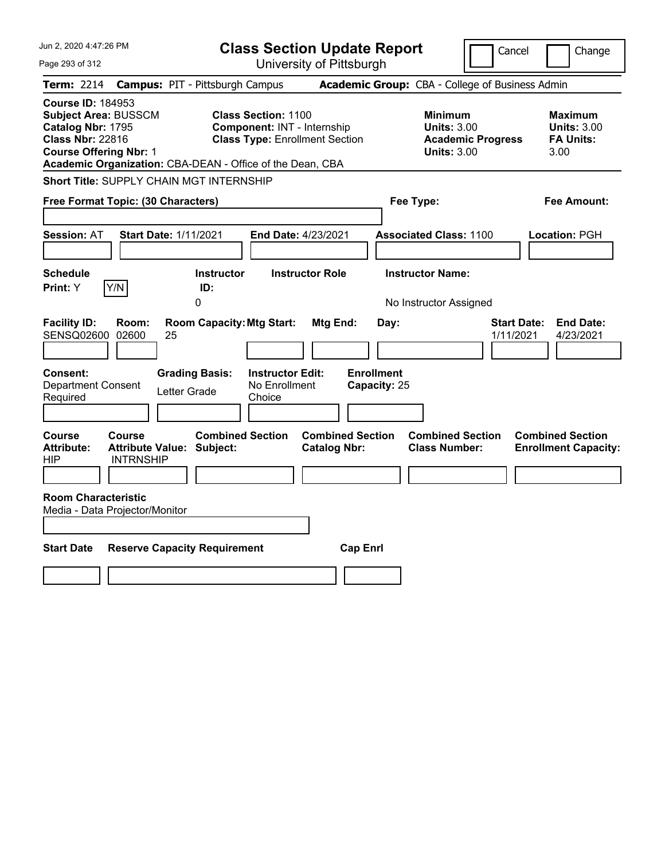| Jun 2, 2020 4:47:26 PM                                                                                                                                                                                |                                                                                                    | <b>Class Section Update Report</b>             |                                                                                        | Cancel<br>Change                                                 |
|-------------------------------------------------------------------------------------------------------------------------------------------------------------------------------------------------------|----------------------------------------------------------------------------------------------------|------------------------------------------------|----------------------------------------------------------------------------------------|------------------------------------------------------------------|
| Page 293 of 312                                                                                                                                                                                       |                                                                                                    | University of Pittsburgh                       |                                                                                        |                                                                  |
| <b>Term: 2214</b>                                                                                                                                                                                     | <b>Campus: PIT - Pittsburgh Campus</b>                                                             |                                                | Academic Group: CBA - College of Business Admin                                        |                                                                  |
| <b>Course ID: 184953</b><br><b>Subject Area: BUSSCM</b><br>Catalog Nbr: 1795<br><b>Class Nbr: 22816</b><br><b>Course Offering Nbr: 1</b><br>Academic Organization: CBA-DEAN - Office of the Dean, CBA | <b>Class Section: 1100</b><br>Component: INT - Internship<br><b>Class Type: Enrollment Section</b> |                                                | <b>Minimum</b><br><b>Units: 3.00</b><br><b>Academic Progress</b><br><b>Units: 3.00</b> | <b>Maximum</b><br><b>Units: 3.00</b><br><b>FA Units:</b><br>3.00 |
| Short Title: SUPPLY CHAIN MGT INTERNSHIP                                                                                                                                                              |                                                                                                    |                                                |                                                                                        |                                                                  |
| Free Format Topic: (30 Characters)                                                                                                                                                                    |                                                                                                    |                                                | Fee Type:                                                                              | Fee Amount:                                                      |
| <b>Session: AT</b><br><b>Start Date: 1/11/2021</b>                                                                                                                                                    |                                                                                                    | End Date: 4/23/2021                            | <b>Associated Class: 1100</b>                                                          | Location: PGH                                                    |
| <b>Schedule</b><br>Print: Y<br>Y/N                                                                                                                                                                    | <b>Instructor</b><br>ID:<br>0                                                                      | <b>Instructor Role</b>                         | <b>Instructor Name:</b><br>No Instructor Assigned                                      |                                                                  |
| <b>Facility ID:</b><br>Room:<br>SENSQ02600 02600<br>25                                                                                                                                                | <b>Room Capacity: Mtg Start:</b>                                                                   | Mtg End:<br>Day:                               |                                                                                        | <b>Start Date:</b><br><b>End Date:</b><br>1/11/2021<br>4/23/2021 |
| Consent:<br><b>Department Consent</b><br>Required                                                                                                                                                     | <b>Grading Basis:</b><br><b>Instructor Edit:</b><br>No Enrollment<br>Letter Grade<br>Choice        | <b>Enrollment</b><br>Capacity: 25              |                                                                                        |                                                                  |
| Course<br><b>Course</b><br><b>Attribute:</b><br>Attribute Value: Subject:<br><b>INTRNSHIP</b><br>HIP                                                                                                  | <b>Combined Section</b>                                                                            | <b>Combined Section</b><br><b>Catalog Nbr:</b> | <b>Combined Section</b><br><b>Class Number:</b>                                        | <b>Combined Section</b><br><b>Enrollment Capacity:</b>           |
| <b>Room Characteristic</b><br>Media - Data Projector/Monitor                                                                                                                                          |                                                                                                    |                                                |                                                                                        |                                                                  |
| <b>Start Date</b>                                                                                                                                                                                     | <b>Reserve Capacity Requirement</b>                                                                | <b>Cap Enrl</b>                                |                                                                                        |                                                                  |
|                                                                                                                                                                                                       |                                                                                                    |                                                |                                                                                        |                                                                  |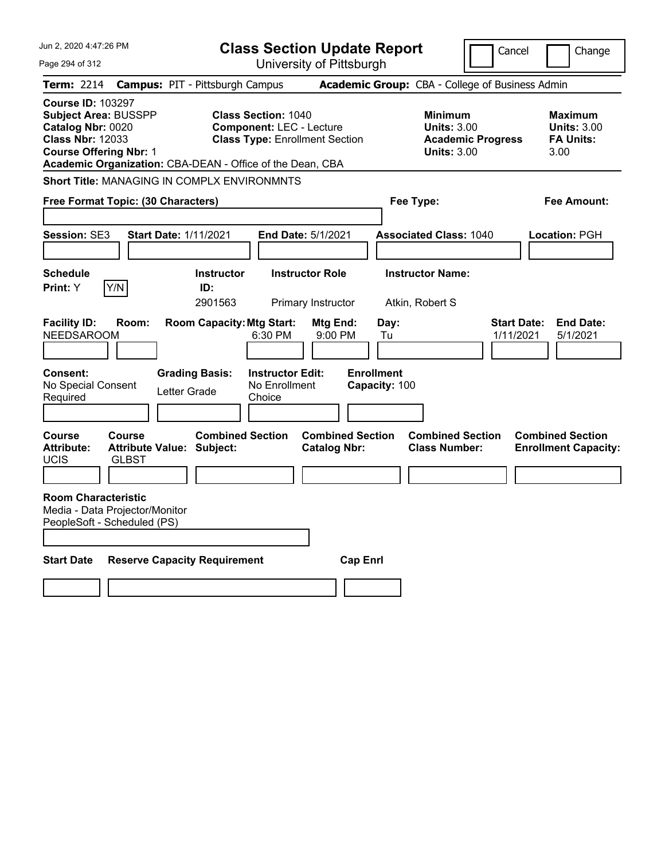| Jun 2, 2020 4:47:26 PM                                                                                                                   |                        |                                                             |                                                               | <b>Class Section Update Report</b>             |                                            | Cancel                                                                                 | Change                                                           |
|------------------------------------------------------------------------------------------------------------------------------------------|------------------------|-------------------------------------------------------------|---------------------------------------------------------------|------------------------------------------------|--------------------------------------------|----------------------------------------------------------------------------------------|------------------------------------------------------------------|
| Page 294 of 312                                                                                                                          |                        |                                                             |                                                               | University of Pittsburgh                       |                                            |                                                                                        |                                                                  |
| <b>Term: 2214</b>                                                                                                                        |                        | <b>Campus: PIT - Pittsburgh Campus</b>                      |                                                               |                                                |                                            | Academic Group: CBA - College of Business Admin                                        |                                                                  |
| <b>Course ID: 103297</b><br><b>Subject Area: BUSSPP</b><br>Catalog Nbr: 0020<br><b>Class Nbr: 12033</b><br><b>Course Offering Nbr: 1</b> |                        | Academic Organization: CBA-DEAN - Office of the Dean, CBA   | <b>Class Section: 1040</b><br><b>Component: LEC - Lecture</b> | <b>Class Type: Enrollment Section</b>          |                                            | <b>Minimum</b><br><b>Units: 3.00</b><br><b>Academic Progress</b><br><b>Units: 3.00</b> | <b>Maximum</b><br><b>Units: 3.00</b><br><b>FA Units:</b><br>3.00 |
|                                                                                                                                          |                        | <b>Short Title: MANAGING IN COMPLX ENVIRONMNTS</b>          |                                                               |                                                |                                            |                                                                                        |                                                                  |
| Free Format Topic: (30 Characters)                                                                                                       |                        |                                                             |                                                               |                                                | Fee Type:                                  |                                                                                        | Fee Amount:                                                      |
| <b>Session: SE3</b>                                                                                                                      |                        | <b>Start Date: 1/11/2021</b>                                |                                                               | <b>End Date: 5/1/2021</b>                      | <b>Associated Class: 1040</b>              |                                                                                        | <b>Location: PGH</b>                                             |
| <b>Schedule</b><br><b>Print:</b> Y                                                                                                       | Y/N                    | <b>Instructor</b><br>ID:<br>2901563                         |                                                               | <b>Instructor Role</b><br>Primary Instructor   | <b>Instructor Name:</b><br>Atkin, Robert S |                                                                                        |                                                                  |
| <b>Facility ID:</b><br><b>NEEDSAROOM</b>                                                                                                 | Room:                  | <b>Room Capacity: Mtg Start:</b>                            | 6:30 PM                                                       | Mtg End:<br>9:00 PM                            | Day:<br>Tu                                 |                                                                                        | <b>Start Date:</b><br><b>End Date:</b><br>1/11/2021<br>5/1/2021  |
| Consent:<br>No Special Consent<br>Required                                                                                               |                        | <b>Grading Basis:</b><br>Letter Grade                       | <b>Instructor Edit:</b><br>No Enrollment<br>Choice            |                                                | <b>Enrollment</b><br>Capacity: 100         |                                                                                        |                                                                  |
| Course<br><b>Attribute:</b><br>UCIS                                                                                                      | Course<br><b>GLBST</b> | <b>Combined Section</b><br><b>Attribute Value: Subject:</b> |                                                               | <b>Combined Section</b><br><b>Catalog Nbr:</b> |                                            | <b>Combined Section</b><br><b>Class Number:</b>                                        | <b>Combined Section</b><br><b>Enrollment Capacity:</b>           |
| <b>Room Characteristic</b><br>Media - Data Projector/Monitor<br>PeopleSoft - Scheduled (PS)                                              |                        |                                                             |                                                               |                                                |                                            |                                                                                        |                                                                  |
| <b>Start Date</b>                                                                                                                        |                        | <b>Reserve Capacity Requirement</b>                         |                                                               | <b>Cap Enri</b>                                |                                            |                                                                                        |                                                                  |
|                                                                                                                                          |                        |                                                             |                                                               |                                                |                                            |                                                                                        |                                                                  |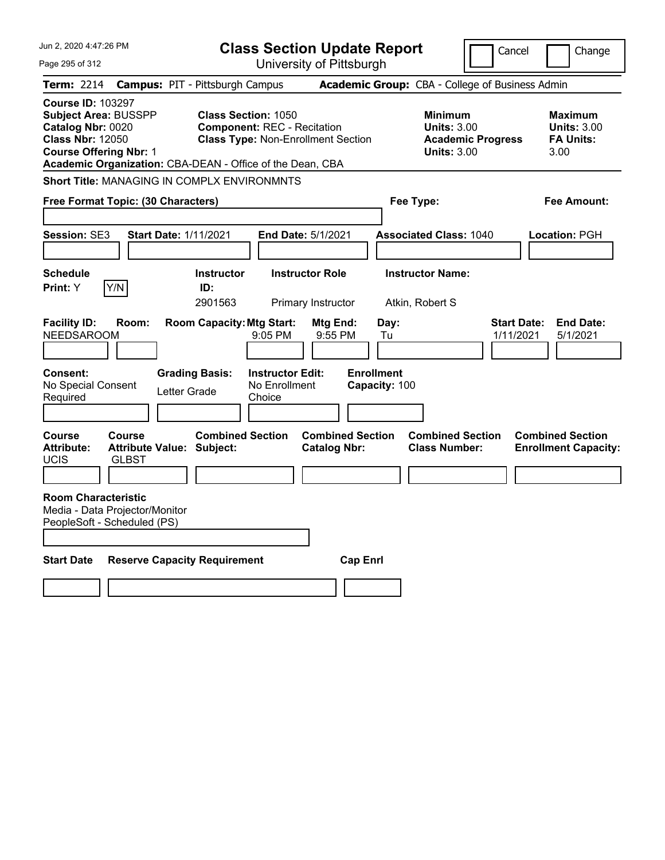| Jun 2, 2020 4:47:26 PM                                                                                                                   |                                                                   |                                       | <b>Class Section Update Report</b>                                              |                                                |                                    |                                                     | Cancel                          | Change                                                           |
|------------------------------------------------------------------------------------------------------------------------------------------|-------------------------------------------------------------------|---------------------------------------|---------------------------------------------------------------------------------|------------------------------------------------|------------------------------------|-----------------------------------------------------|---------------------------------|------------------------------------------------------------------|
| Page 295 of 312                                                                                                                          |                                                                   |                                       |                                                                                 | University of Pittsburgh                       |                                    |                                                     |                                 |                                                                  |
| Term: 2214                                                                                                                               | <b>Campus: PIT - Pittsburgh Campus</b>                            |                                       |                                                                                 |                                                |                                    | Academic Group: CBA - College of Business Admin     |                                 |                                                                  |
| <b>Course ID: 103297</b><br><b>Subject Area: BUSSPP</b><br>Catalog Nbr: 0020<br><b>Class Nbr: 12050</b><br><b>Course Offering Nbr: 1</b> | Academic Organization: CBA-DEAN - Office of the Dean, CBA         | <b>Class Section: 1050</b>            | <b>Component: REC - Recitation</b><br><b>Class Type: Non-Enrollment Section</b> |                                                |                                    | Minimum<br><b>Units: 3.00</b><br><b>Units: 3.00</b> | <b>Academic Progress</b>        | <b>Maximum</b><br><b>Units: 3.00</b><br><b>FA Units:</b><br>3.00 |
|                                                                                                                                          | <b>Short Title: MANAGING IN COMPLX ENVIRONMNTS</b>                |                                       |                                                                                 |                                                |                                    |                                                     |                                 |                                                                  |
|                                                                                                                                          | Free Format Topic: (30 Characters)                                |                                       |                                                                                 |                                                | Fee Type:                          |                                                     |                                 | Fee Amount:                                                      |
| <b>Session: SE3</b>                                                                                                                      | Start Date: 1/11/2021                                             |                                       | <b>End Date: 5/1/2021</b>                                                       |                                                |                                    | <b>Associated Class: 1040</b>                       |                                 | Location: PGH                                                    |
| <b>Schedule</b><br>Print: Y                                                                                                              | Y/N                                                               | <b>Instructor</b><br>ID:<br>2901563   |                                                                                 | <b>Instructor Role</b><br>Primary Instructor   |                                    | <b>Instructor Name:</b><br>Atkin, Robert S          |                                 |                                                                  |
| <b>Facility ID:</b><br><b>NEEDSAROOM</b>                                                                                                 | Room:                                                             | <b>Room Capacity: Mtg Start:</b>      | 9:05 PM                                                                         | Mtg End:<br>9:55 PM                            | Day:<br>Tu                         |                                                     | <b>Start Date:</b><br>1/11/2021 | <b>End Date:</b><br>5/1/2021                                     |
| Consent:<br>No Special Consent<br>Required                                                                                               |                                                                   | <b>Grading Basis:</b><br>Letter Grade | <b>Instructor Edit:</b><br>No Enrollment<br>Choice                              |                                                | <b>Enrollment</b><br>Capacity: 100 |                                                     |                                 |                                                                  |
| <b>Course</b><br><b>Attribute:</b><br><b>UCIS</b>                                                                                        | <b>Course</b><br><b>Attribute Value: Subject:</b><br><b>GLBST</b> | <b>Combined Section</b>               |                                                                                 | <b>Combined Section</b><br><b>Catalog Nbr:</b> |                                    | <b>Combined Section</b><br><b>Class Number:</b>     |                                 | <b>Combined Section</b><br><b>Enrollment Capacity:</b>           |
| <b>Room Characteristic</b>                                                                                                               | Media - Data Projector/Monitor<br>PeopleSoft - Scheduled (PS)     |                                       |                                                                                 |                                                |                                    |                                                     |                                 |                                                                  |
| <b>Start Date</b>                                                                                                                        | <b>Reserve Capacity Requirement</b>                               |                                       |                                                                                 | <b>Cap Enrl</b>                                |                                    |                                                     |                                 |                                                                  |
|                                                                                                                                          |                                                                   |                                       |                                                                                 |                                                |                                    |                                                     |                                 |                                                                  |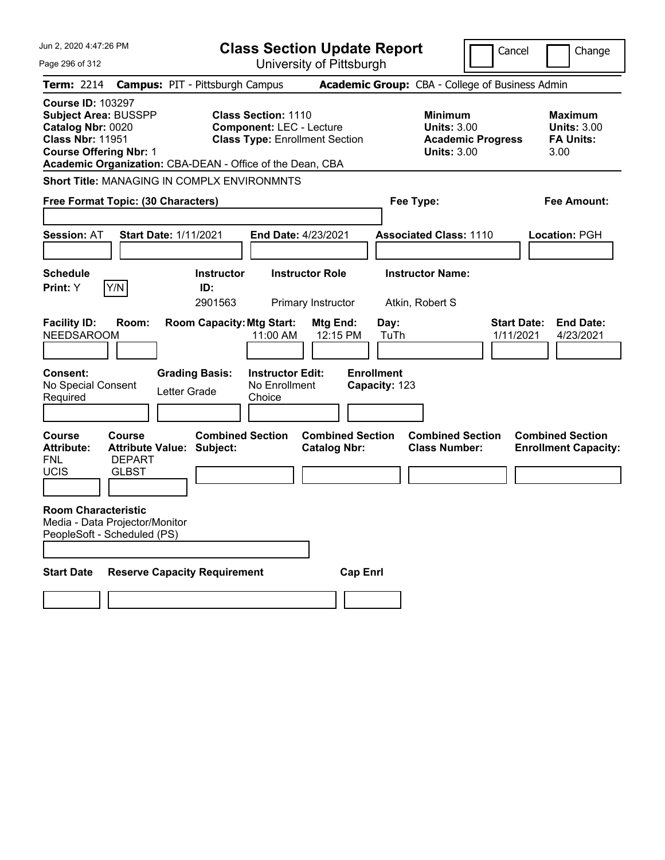| Jun 2. 2020 4:47:26 PM                                                                                                                                                                                |                                                                             |                                                           |                                                                | <b>Class Section Update Report</b>             |                                                    |                                                            | Cancel                   | Change                                                           |
|-------------------------------------------------------------------------------------------------------------------------------------------------------------------------------------------------------|-----------------------------------------------------------------------------|-----------------------------------------------------------|----------------------------------------------------------------|------------------------------------------------|----------------------------------------------------|------------------------------------------------------------|--------------------------|------------------------------------------------------------------|
| Page 296 of 312                                                                                                                                                                                       |                                                                             |                                                           |                                                                | University of Pittsburgh                       |                                                    |                                                            |                          |                                                                  |
| <b>Term: 2214</b>                                                                                                                                                                                     | <b>Campus: PIT - Pittsburgh Campus</b>                                      |                                                           |                                                                |                                                |                                                    |                                                            |                          | Academic Group: CBA - College of Business Admin                  |
| <b>Course ID: 103297</b><br><b>Subject Area: BUSSPP</b><br>Catalog Nbr: 0020<br><b>Class Nbr: 11951</b><br><b>Course Offering Nbr: 1</b><br>Academic Organization: CBA-DEAN - Office of the Dean, CBA |                                                                             |                                                           | <b>Class Section: 1110</b><br><b>Component: LEC - Lecture</b>  | <b>Class Type: Enrollment Section</b>          |                                                    | <b>Minimum</b><br><b>Units: 3.00</b><br><b>Units: 3.00</b> | <b>Academic Progress</b> | <b>Maximum</b><br><b>Units: 3.00</b><br><b>FA Units:</b><br>3.00 |
| <b>Short Title: MANAGING IN COMPLX ENVIRONMNTS</b>                                                                                                                                                    |                                                                             |                                                           |                                                                |                                                |                                                    |                                                            |                          |                                                                  |
| Free Format Topic: (30 Characters)                                                                                                                                                                    |                                                                             |                                                           |                                                                |                                                | Fee Type:                                          |                                                            |                          | <b>Fee Amount:</b>                                               |
| <b>Session: AT</b>                                                                                                                                                                                    | <b>Start Date: 1/11/2021</b>                                                |                                                           | End Date: 4/23/2021                                            |                                                |                                                    | <b>Associated Class: 1110</b>                              |                          | <b>Location: PGH</b>                                             |
| <b>Schedule</b>                                                                                                                                                                                       |                                                                             | <b>Instructor</b>                                         |                                                                | <b>Instructor Role</b>                         |                                                    | <b>Instructor Name:</b>                                    |                          |                                                                  |
| Y/N<br>Print: Y                                                                                                                                                                                       |                                                                             | ID:<br>2901563                                            |                                                                | Primary Instructor                             |                                                    | Atkin, Robert S                                            |                          |                                                                  |
| <b>Facility ID:</b><br><b>NEEDSAROOM</b><br>Consent:<br>No Special Consent<br>Required                                                                                                                | Room:<br>Letter Grade                                                       | <b>Room Capacity: Mtg Start:</b><br><b>Grading Basis:</b> | 11:00 AM<br><b>Instructor Edit:</b><br>No Enrollment<br>Choice | Mtg End:<br>12:15 PM                           | Day:<br>TuTh<br><b>Enrollment</b><br>Capacity: 123 |                                                            |                          | <b>End Date:</b><br><b>Start Date:</b><br>1/11/2021<br>4/23/2021 |
| <b>Course</b><br><b>Attribute:</b><br><b>FNL</b><br>UCIS                                                                                                                                              | Course<br><b>Attribute Value: Subject:</b><br><b>DEPART</b><br><b>GLBST</b> | <b>Combined Section</b>                                   |                                                                | <b>Combined Section</b><br><b>Catalog Nbr:</b> |                                                    | <b>Combined Section</b><br><b>Class Number:</b>            |                          | <b>Combined Section</b><br><b>Enrollment Capacity:</b>           |
| <b>Room Characteristic</b><br>Media - Data Projector/Monitor<br>PeopleSoft - Scheduled (PS)                                                                                                           |                                                                             |                                                           |                                                                |                                                |                                                    |                                                            |                          |                                                                  |
| <b>Start Date</b>                                                                                                                                                                                     | <b>Reserve Capacity Requirement</b>                                         |                                                           |                                                                | <b>Cap Enrl</b>                                |                                                    |                                                            |                          |                                                                  |
|                                                                                                                                                                                                       |                                                                             |                                                           |                                                                |                                                |                                                    |                                                            |                          |                                                                  |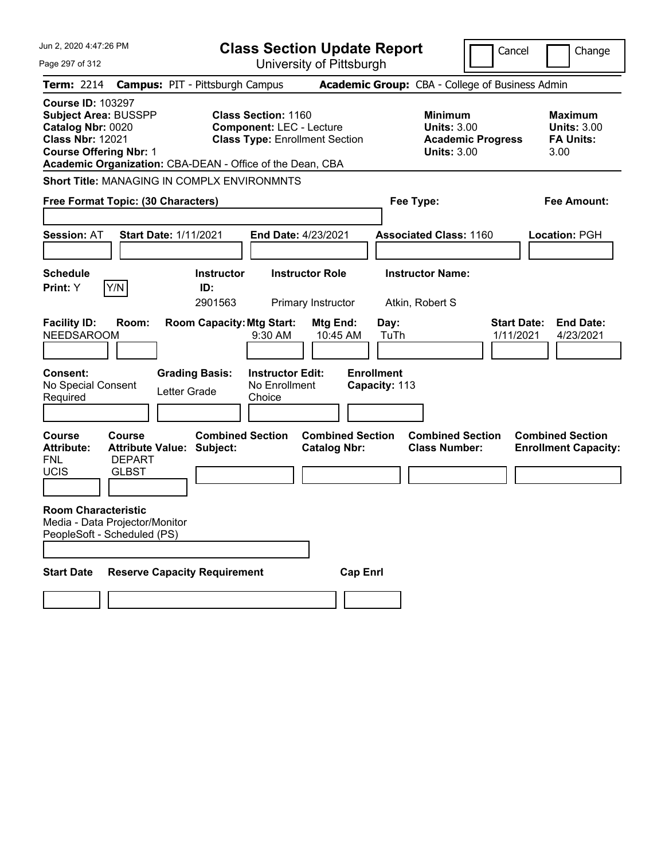| Jun 2. 2020 4:47:26 PM                                                                                                                                                                                |                                                                           | <b>Class Section Update Report</b>                                                                     |                                                |                                                    | Cancel                                                                                 | Change                                                           |
|-------------------------------------------------------------------------------------------------------------------------------------------------------------------------------------------------------|---------------------------------------------------------------------------|--------------------------------------------------------------------------------------------------------|------------------------------------------------|----------------------------------------------------|----------------------------------------------------------------------------------------|------------------------------------------------------------------|
| Page 297 of 312                                                                                                                                                                                       |                                                                           | University of Pittsburgh                                                                               |                                                |                                                    |                                                                                        |                                                                  |
| <b>Term: 2214</b>                                                                                                                                                                                     | <b>Campus: PIT - Pittsburgh Campus</b>                                    |                                                                                                        |                                                | Academic Group: CBA - College of Business Admin    |                                                                                        |                                                                  |
| <b>Course ID: 103297</b><br><b>Subject Area: BUSSPP</b><br>Catalog Nbr: 0020<br><b>Class Nbr: 12021</b><br><b>Course Offering Nbr: 1</b><br>Academic Organization: CBA-DEAN - Office of the Dean, CBA |                                                                           | <b>Class Section: 1160</b><br><b>Component: LEC - Lecture</b><br><b>Class Type: Enrollment Section</b> |                                                |                                                    | <b>Minimum</b><br><b>Units: 3.00</b><br><b>Academic Progress</b><br><b>Units: 3.00</b> | <b>Maximum</b><br><b>Units: 3.00</b><br><b>FA Units:</b><br>3.00 |
| <b>Short Title: MANAGING IN COMPLX ENVIRONMNTS</b>                                                                                                                                                    |                                                                           |                                                                                                        |                                                |                                                    |                                                                                        |                                                                  |
| Free Format Topic: (30 Characters)                                                                                                                                                                    |                                                                           |                                                                                                        |                                                | Fee Type:                                          |                                                                                        | <b>Fee Amount:</b>                                               |
| <b>Session: AT</b>                                                                                                                                                                                    | <b>Start Date: 1/11/2021</b>                                              | End Date: 4/23/2021                                                                                    |                                                | <b>Associated Class: 1160</b>                      |                                                                                        | Location: PGH                                                    |
| <b>Schedule</b>                                                                                                                                                                                       | <b>Instructor</b>                                                         | <b>Instructor Role</b>                                                                                 |                                                | <b>Instructor Name:</b>                            |                                                                                        |                                                                  |
| Y/N<br>Print: Y                                                                                                                                                                                       | ID:<br>2901563                                                            | Primary Instructor                                                                                     |                                                | Atkin, Robert S                                    |                                                                                        |                                                                  |
| <b>Facility ID:</b><br>Room:<br><b>NEEDSAROOM</b><br><b>Consent:</b><br>No Special Consent<br>Required                                                                                                | <b>Room Capacity: Mtg Start:</b><br><b>Grading Basis:</b><br>Letter Grade | 9:30 AM<br><b>Instructor Edit:</b><br>No Enrollment<br>Choice                                          | Mtg End:<br>10:45 AM                           | Day:<br>TuTh<br><b>Enrollment</b><br>Capacity: 113 |                                                                                        | <b>Start Date:</b><br><b>End Date:</b><br>1/11/2021<br>4/23/2021 |
| <b>Course</b><br>Course<br><b>Attribute:</b><br><b>DEPART</b><br><b>FNL</b><br><b>UCIS</b><br><b>GLBST</b>                                                                                            | <b>Combined Section</b><br><b>Attribute Value: Subject:</b>               |                                                                                                        | <b>Combined Section</b><br><b>Catalog Nbr:</b> | <b>Class Number:</b>                               | <b>Combined Section</b>                                                                | <b>Combined Section</b><br><b>Enrollment Capacity:</b>           |
| <b>Room Characteristic</b><br>Media - Data Projector/Monitor<br>PeopleSoft - Scheduled (PS)                                                                                                           |                                                                           |                                                                                                        |                                                |                                                    |                                                                                        |                                                                  |
| <b>Start Date</b>                                                                                                                                                                                     | <b>Reserve Capacity Requirement</b>                                       |                                                                                                        | <b>Cap Enrl</b>                                |                                                    |                                                                                        |                                                                  |
|                                                                                                                                                                                                       |                                                                           |                                                                                                        |                                                |                                                    |                                                                                        |                                                                  |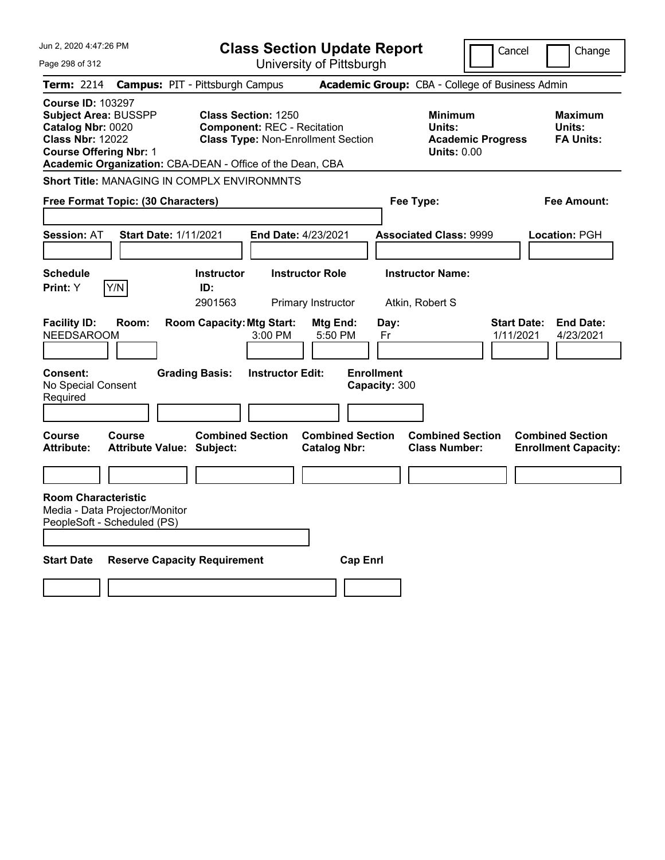| Jun 2, 2020 4:47:26 PM                                                                                                                   | <b>Class Section Update Report</b>                                                                                                                                         |                                                               | Cancel                                                                        | Change                                       |
|------------------------------------------------------------------------------------------------------------------------------------------|----------------------------------------------------------------------------------------------------------------------------------------------------------------------------|---------------------------------------------------------------|-------------------------------------------------------------------------------|----------------------------------------------|
| Page 298 of 312                                                                                                                          | University of Pittsburgh                                                                                                                                                   |                                                               |                                                                               |                                              |
| Term: 2214                                                                                                                               | <b>Campus: PIT - Pittsburgh Campus</b>                                                                                                                                     |                                                               | Academic Group: CBA - College of Business Admin                               |                                              |
| <b>Course ID: 103297</b><br><b>Subject Area: BUSSPP</b><br>Catalog Nbr: 0020<br><b>Class Nbr: 12022</b><br><b>Course Offering Nbr: 1</b> | <b>Class Section: 1250</b><br><b>Component: REC - Recitation</b><br><b>Class Type: Non-Enrollment Section</b><br>Academic Organization: CBA-DEAN - Office of the Dean, CBA |                                                               | <b>Minimum</b><br>Units:<br><b>Academic Progress</b><br><b>Units: 0.00</b>    | <b>Maximum</b><br>Units:<br><b>FA Units:</b> |
| <b>Short Title: MANAGING IN COMPLX ENVIRONMNTS</b>                                                                                       |                                                                                                                                                                            |                                                               |                                                                               |                                              |
| Free Format Topic: (30 Characters)                                                                                                       |                                                                                                                                                                            | Fee Type:                                                     |                                                                               | Fee Amount:                                  |
| <b>Start Date: 1/11/2021</b><br><b>Session: AT</b>                                                                                       | End Date: 4/23/2021                                                                                                                                                        |                                                               | <b>Associated Class: 9999</b>                                                 | Location: PGH                                |
| <b>Schedule</b><br>Y/N<br>Print: Y<br><b>Facility ID:</b><br>Room:<br><b>NEEDSAROOM</b>                                                  | <b>Instructor Role</b><br><b>Instructor</b><br>ID:<br>2901563<br>Primary Instructor<br><b>Room Capacity: Mtg Start:</b><br>3:00 PM                                         | Mtg End:<br>Day:<br>5:50 PM<br>Fr                             | <b>Instructor Name:</b><br>Atkin, Robert S<br><b>Start Date:</b><br>1/11/2021 | <b>End Date:</b><br>4/23/2021                |
| <b>Consent:</b><br>No Special Consent<br>Required<br>Course<br>Course                                                                    | <b>Grading Basis:</b><br><b>Instructor Edit:</b><br><b>Combined Section</b>                                                                                                | <b>Enrollment</b><br>Capacity: 300<br><b>Combined Section</b> | <b>Combined Section</b>                                                       | <b>Combined Section</b>                      |
| <b>Attribute:</b><br><b>Attribute Value: Subject:</b>                                                                                    |                                                                                                                                                                            | <b>Catalog Nbr:</b>                                           | <b>Class Number:</b>                                                          | <b>Enrollment Capacity:</b>                  |
|                                                                                                                                          |                                                                                                                                                                            |                                                               |                                                                               |                                              |
| <b>Room Characteristic</b><br>Media - Data Projector/Monitor<br>PeopleSoft - Scheduled (PS)                                              |                                                                                                                                                                            |                                                               |                                                                               |                                              |
| <b>Start Date</b>                                                                                                                        | <b>Reserve Capacity Requirement</b>                                                                                                                                        | <b>Cap Enrl</b>                                               |                                                                               |                                              |
|                                                                                                                                          |                                                                                                                                                                            |                                                               |                                                                               |                                              |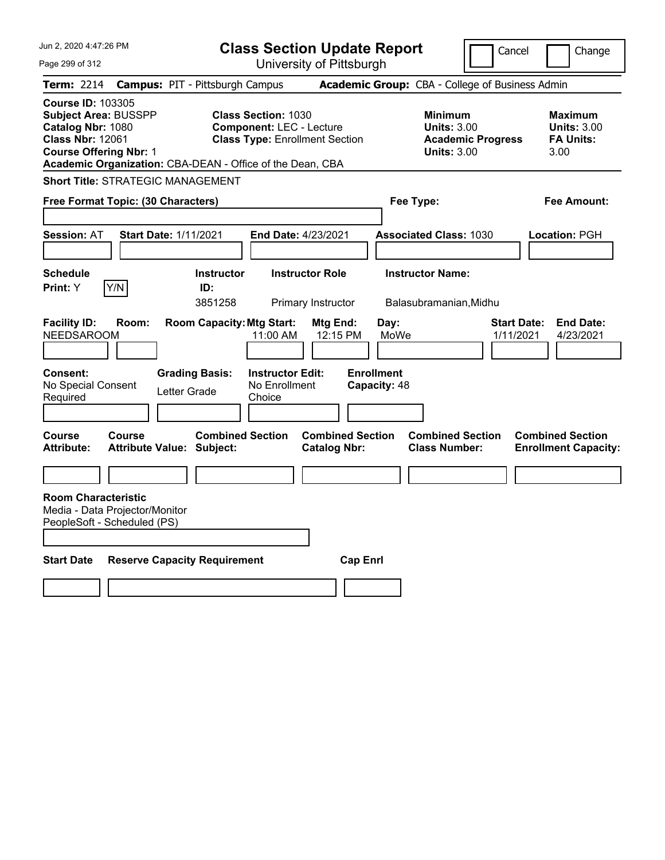| Jun 2, 2020 4:47:26 PM                                                                                                                   |                                          | <b>Class Section Update Report</b>                                                                                                                                  |                         |                                                              | Cancel                          | Change                                                    |
|------------------------------------------------------------------------------------------------------------------------------------------|------------------------------------------|---------------------------------------------------------------------------------------------------------------------------------------------------------------------|-------------------------|--------------------------------------------------------------|---------------------------------|-----------------------------------------------------------|
| Page 299 of 312                                                                                                                          |                                          | University of Pittsburgh                                                                                                                                            |                         |                                                              |                                 |                                                           |
| Term: 2214                                                                                                                               | <b>Campus: PIT - Pittsburgh Campus</b>   |                                                                                                                                                                     |                         | Academic Group: CBA - College of Business Admin              |                                 |                                                           |
| <b>Course ID: 103305</b><br><b>Subject Area: BUSSPP</b><br>Catalog Nbr: 1080<br><b>Class Nbr: 12061</b><br><b>Course Offering Nbr: 1</b> |                                          | <b>Class Section: 1030</b><br><b>Component: LEC - Lecture</b><br><b>Class Type: Enrollment Section</b><br>Academic Organization: CBA-DEAN - Office of the Dean, CBA |                         | <b>Minimum</b><br><b>Units: 3.00</b><br><b>Units: 3.00</b>   | <b>Academic Progress</b>        | Maximum<br><b>Units: 3.00</b><br><b>FA Units:</b><br>3.00 |
|                                                                                                                                          | <b>Short Title: STRATEGIC MANAGEMENT</b> |                                                                                                                                                                     |                         |                                                              |                                 |                                                           |
| Free Format Topic: (30 Characters)                                                                                                       |                                          |                                                                                                                                                                     |                         | Fee Type:                                                    |                                 | Fee Amount:                                               |
| <b>Session: AT</b>                                                                                                                       | <b>Start Date: 1/11/2021</b>             | <b>End Date: 4/23/2021</b>                                                                                                                                          |                         | <b>Associated Class: 1030</b>                                |                                 | Location: PGH                                             |
| <b>Schedule</b><br>Y/N<br>Print: Y                                                                                                       | <b>Instructor</b><br>ID:<br>3851258      | <b>Instructor Role</b><br>Primary Instructor                                                                                                                        |                         | <b>Instructor Name:</b><br>Balasubramanian, Midhu            |                                 |                                                           |
| <b>Facility ID:</b><br><b>NEEDSAROOM</b>                                                                                                 | Room:                                    | <b>Room Capacity: Mtg Start:</b><br>11:00 AM                                                                                                                        | Mtg End:<br>12:15 PM    | Day:<br>MoWe                                                 | <b>Start Date:</b><br>1/11/2021 | <b>End Date:</b><br>4/23/2021                             |
| <b>Consent:</b><br>No Special Consent<br>Required<br><b>Course</b><br>Course                                                             | <b>Grading Basis:</b><br>Letter Grade    | <b>Instructor Edit:</b><br>No Enrollment<br>Choice<br><b>Combined Section</b>                                                                                       | <b>Combined Section</b> | <b>Enrollment</b><br>Capacity: 48<br><b>Combined Section</b> |                                 | <b>Combined Section</b>                                   |
| <b>Attribute:</b>                                                                                                                        | <b>Attribute Value: Subject:</b>         |                                                                                                                                                                     | <b>Catalog Nbr:</b>     | <b>Class Number:</b>                                         |                                 | <b>Enrollment Capacity:</b>                               |
|                                                                                                                                          |                                          |                                                                                                                                                                     |                         |                                                              |                                 |                                                           |
| <b>Room Characteristic</b><br>Media - Data Projector/Monitor<br>PeopleSoft - Scheduled (PS)                                              |                                          |                                                                                                                                                                     |                         |                                                              |                                 |                                                           |
| <b>Start Date</b>                                                                                                                        | <b>Reserve Capacity Requirement</b>      |                                                                                                                                                                     | <b>Cap Enri</b>         |                                                              |                                 |                                                           |
|                                                                                                                                          |                                          |                                                                                                                                                                     |                         |                                                              |                                 |                                                           |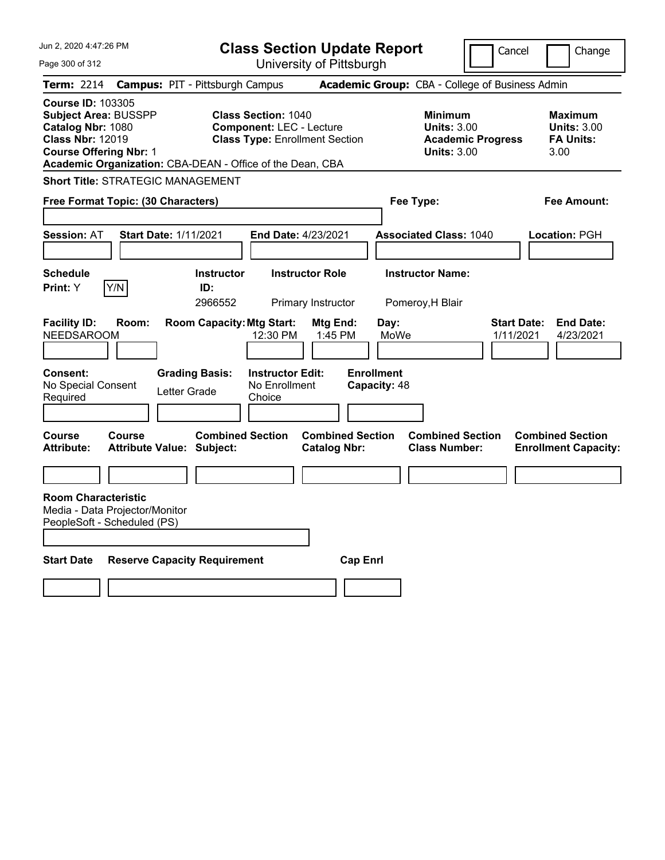| Jun 2, 2020 4:47:26 PM                                                                                                                   |        |                                                             |                                                                                                        | <b>Class Section Update Report</b>             |                                   |                                                                                        | Cancel                          | Change                                                           |
|------------------------------------------------------------------------------------------------------------------------------------------|--------|-------------------------------------------------------------|--------------------------------------------------------------------------------------------------------|------------------------------------------------|-----------------------------------|----------------------------------------------------------------------------------------|---------------------------------|------------------------------------------------------------------|
| Page 300 of 312                                                                                                                          |        |                                                             |                                                                                                        | University of Pittsburgh                       |                                   |                                                                                        |                                 |                                                                  |
| Term: 2214                                                                                                                               |        | <b>Campus: PIT - Pittsburgh Campus</b>                      |                                                                                                        |                                                |                                   | Academic Group: CBA - College of Business Admin                                        |                                 |                                                                  |
| <b>Course ID: 103305</b><br><b>Subject Area: BUSSPP</b><br>Catalog Nbr: 1080<br><b>Class Nbr: 12019</b><br><b>Course Offering Nbr: 1</b> |        | Academic Organization: CBA-DEAN - Office of the Dean, CBA   | <b>Class Section: 1040</b><br><b>Component: LEC - Lecture</b><br><b>Class Type: Enrollment Section</b> |                                                |                                   | <b>Minimum</b><br><b>Units: 3.00</b><br><b>Academic Progress</b><br><b>Units: 3.00</b> |                                 | <b>Maximum</b><br><b>Units: 3.00</b><br><b>FA Units:</b><br>3.00 |
|                                                                                                                                          |        | <b>Short Title: STRATEGIC MANAGEMENT</b>                    |                                                                                                        |                                                |                                   |                                                                                        |                                 |                                                                  |
| Free Format Topic: (30 Characters)                                                                                                       |        |                                                             |                                                                                                        |                                                | Fee Type:                         |                                                                                        |                                 | Fee Amount:                                                      |
| <b>Session: AT</b>                                                                                                                       |        | <b>Start Date: 1/11/2021</b>                                | <b>End Date: 4/23/2021</b>                                                                             |                                                |                                   | <b>Associated Class: 1040</b>                                                          |                                 | Location: PGH                                                    |
| <b>Schedule</b><br>Print: Y                                                                                                              | Y/N    | <b>Instructor</b><br>ID:<br>2966552                         |                                                                                                        | <b>Instructor Role</b><br>Primary Instructor   |                                   | <b>Instructor Name:</b><br>Pomeroy, H Blair                                            |                                 |                                                                  |
| <b>Facility ID:</b><br><b>NEEDSAROOM</b>                                                                                                 | Room:  | <b>Room Capacity: Mtg Start:</b>                            | 12:30 PM                                                                                               | Mtg End:<br>1:45 PM                            | Day:<br>MoWe                      |                                                                                        | <b>Start Date:</b><br>1/11/2021 | <b>End Date:</b><br>4/23/2021                                    |
| <b>Consent:</b><br>No Special Consent<br>Required                                                                                        |        | <b>Grading Basis:</b><br>Letter Grade                       | <b>Instructor Edit:</b><br>No Enrollment<br>Choice                                                     |                                                | <b>Enrollment</b><br>Capacity: 48 |                                                                                        |                                 |                                                                  |
| Course<br><b>Attribute:</b>                                                                                                              | Course | <b>Combined Section</b><br><b>Attribute Value: Subject:</b> |                                                                                                        | <b>Combined Section</b><br><b>Catalog Nbr:</b> |                                   | <b>Combined Section</b><br><b>Class Number:</b>                                        |                                 | <b>Combined Section</b><br><b>Enrollment Capacity:</b>           |
|                                                                                                                                          |        |                                                             |                                                                                                        |                                                |                                   |                                                                                        |                                 |                                                                  |
| <b>Room Characteristic</b><br>Media - Data Projector/Monitor<br>PeopleSoft - Scheduled (PS)                                              |        |                                                             |                                                                                                        |                                                |                                   |                                                                                        |                                 |                                                                  |
| <b>Start Date</b>                                                                                                                        |        | <b>Reserve Capacity Requirement</b>                         |                                                                                                        | <b>Cap Enri</b>                                |                                   |                                                                                        |                                 |                                                                  |
|                                                                                                                                          |        |                                                             |                                                                                                        |                                                |                                   |                                                                                        |                                 |                                                                  |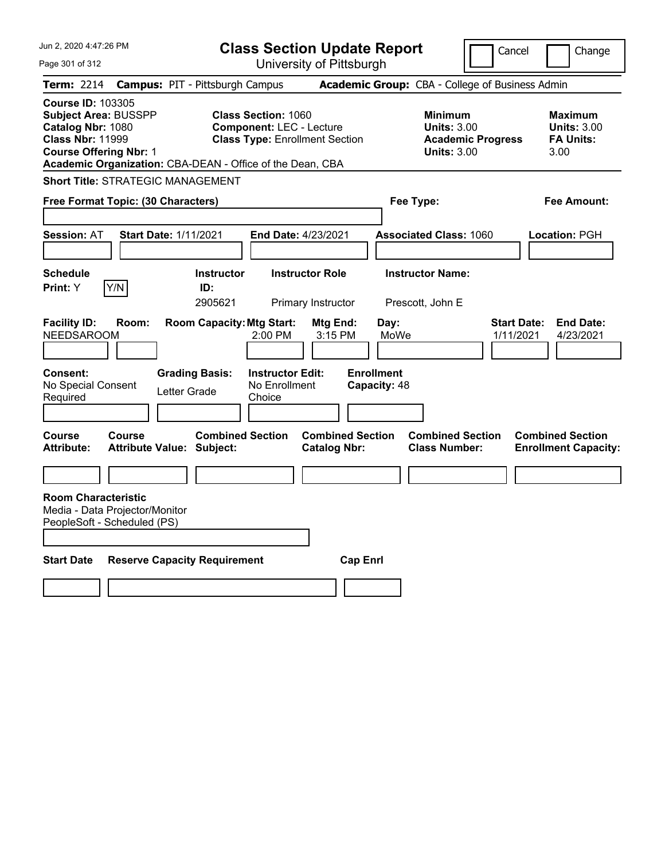| Jun 2, 2020 4:47:26 PM                                                                                                                   |                                                           | <b>Class Section Update Report</b>                                                                     |                                                              |                                                                                        | Cancel<br>Change                                                 |
|------------------------------------------------------------------------------------------------------------------------------------------|-----------------------------------------------------------|--------------------------------------------------------------------------------------------------------|--------------------------------------------------------------|----------------------------------------------------------------------------------------|------------------------------------------------------------------|
| Page 301 of 312                                                                                                                          |                                                           | University of Pittsburgh                                                                               |                                                              |                                                                                        |                                                                  |
| Term: 2214                                                                                                                               | <b>Campus: PIT - Pittsburgh Campus</b>                    |                                                                                                        |                                                              | Academic Group: CBA - College of Business Admin                                        |                                                                  |
| <b>Course ID: 103305</b><br><b>Subject Area: BUSSPP</b><br>Catalog Nbr: 1080<br><b>Class Nbr: 11999</b><br><b>Course Offering Nbr: 1</b> | Academic Organization: CBA-DEAN - Office of the Dean, CBA | <b>Class Section: 1060</b><br><b>Component: LEC - Lecture</b><br><b>Class Type: Enrollment Section</b> |                                                              | <b>Minimum</b><br><b>Units: 3.00</b><br><b>Academic Progress</b><br><b>Units: 3.00</b> | Maximum<br><b>Units: 3.00</b><br><b>FA Units:</b><br>3.00        |
|                                                                                                                                          | <b>Short Title: STRATEGIC MANAGEMENT</b>                  |                                                                                                        |                                                              |                                                                                        |                                                                  |
| Free Format Topic: (30 Characters)                                                                                                       |                                                           |                                                                                                        | Fee Type:                                                    |                                                                                        | Fee Amount:                                                      |
| <b>Session: AT</b>                                                                                                                       | <b>Start Date: 1/11/2021</b>                              | <b>End Date: 4/23/2021</b>                                                                             |                                                              | <b>Associated Class: 1060</b>                                                          | Location: PGH                                                    |
| <b>Schedule</b><br>Y/N<br>Print: Y                                                                                                       | <b>Instructor</b><br>ID:<br>2905621                       | <b>Instructor Role</b><br>Primary Instructor                                                           |                                                              | <b>Instructor Name:</b><br>Prescott, John E                                            |                                                                  |
| <b>Facility ID:</b><br><b>NEEDSAROOM</b>                                                                                                 | <b>Room Capacity: Mtg Start:</b><br>Room:                 | Mtg End:<br>2:00 PM                                                                                    | Day:<br>MoWe<br>3:15 PM                                      |                                                                                        | <b>Start Date:</b><br><b>End Date:</b><br>1/11/2021<br>4/23/2021 |
| <b>Consent:</b><br>No Special Consent<br>Required<br><b>Course</b><br>Course                                                             | <b>Grading Basis:</b><br>Letter Grade                     | <b>Instructor Edit:</b><br>No Enrollment<br>Choice<br><b>Combined Section</b>                          | <b>Enrollment</b><br>Capacity: 48<br><b>Combined Section</b> | <b>Combined Section</b>                                                                | <b>Combined Section</b>                                          |
| <b>Attribute:</b>                                                                                                                        | <b>Attribute Value: Subject:</b>                          | <b>Catalog Nbr:</b>                                                                                    |                                                              | <b>Class Number:</b>                                                                   | <b>Enrollment Capacity:</b>                                      |
|                                                                                                                                          |                                                           |                                                                                                        |                                                              |                                                                                        |                                                                  |
| <b>Room Characteristic</b><br>Media - Data Projector/Monitor<br>PeopleSoft - Scheduled (PS)                                              |                                                           |                                                                                                        |                                                              |                                                                                        |                                                                  |
| <b>Start Date</b>                                                                                                                        | <b>Reserve Capacity Requirement</b>                       |                                                                                                        | <b>Cap Enri</b>                                              |                                                                                        |                                                                  |
|                                                                                                                                          |                                                           |                                                                                                        |                                                              |                                                                                        |                                                                  |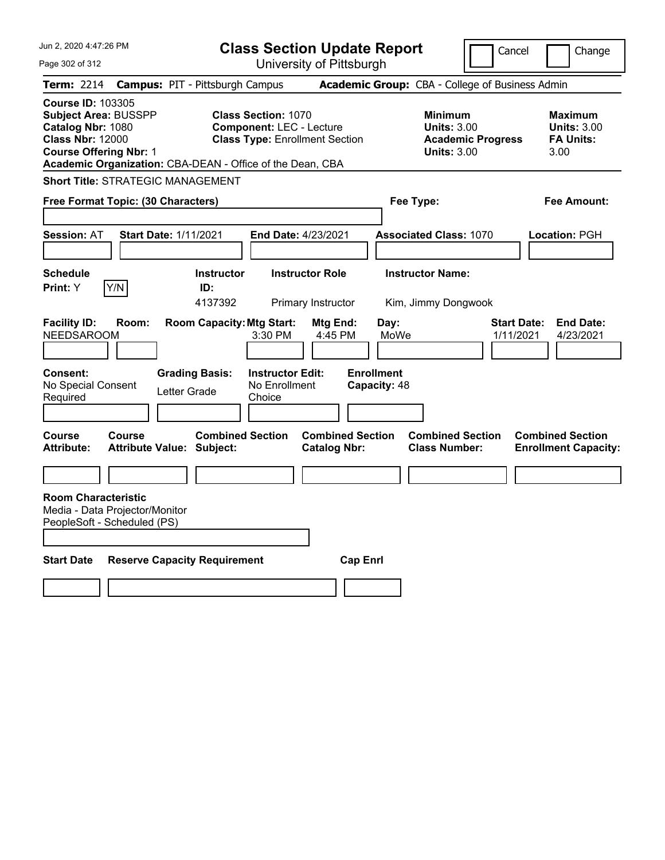|                                       |                                                                                                                                                                                                                                                                                                |                                                                                                                                                                                                 |                                                                                                                                                                                                                                                                                              |                                                                                                                                                   | Change                                                                                                                                                                                                                                                                                    |
|---------------------------------------|------------------------------------------------------------------------------------------------------------------------------------------------------------------------------------------------------------------------------------------------------------------------------------------------|-------------------------------------------------------------------------------------------------------------------------------------------------------------------------------------------------|----------------------------------------------------------------------------------------------------------------------------------------------------------------------------------------------------------------------------------------------------------------------------------------------|---------------------------------------------------------------------------------------------------------------------------------------------------|-------------------------------------------------------------------------------------------------------------------------------------------------------------------------------------------------------------------------------------------------------------------------------------------|
|                                       |                                                                                                                                                                                                                                                                                                |                                                                                                                                                                                                 |                                                                                                                                                                                                                                                                                              |                                                                                                                                                   |                                                                                                                                                                                                                                                                                           |
|                                       |                                                                                                                                                                                                                                                                                                |                                                                                                                                                                                                 |                                                                                                                                                                                                                                                                                              |                                                                                                                                                   |                                                                                                                                                                                                                                                                                           |
|                                       |                                                                                                                                                                                                                                                                                                |                                                                                                                                                                                                 |                                                                                                                                                                                                                                                                                              |                                                                                                                                                   | Maximum<br><b>Units: 3.00</b><br><b>FA Units:</b><br>3.00                                                                                                                                                                                                                                 |
|                                       |                                                                                                                                                                                                                                                                                                |                                                                                                                                                                                                 |                                                                                                                                                                                                                                                                                              |                                                                                                                                                   |                                                                                                                                                                                                                                                                                           |
|                                       |                                                                                                                                                                                                                                                                                                |                                                                                                                                                                                                 | Fee Type:                                                                                                                                                                                                                                                                                    |                                                                                                                                                   | Fee Amount:                                                                                                                                                                                                                                                                               |
|                                       |                                                                                                                                                                                                                                                                                                |                                                                                                                                                                                                 |                                                                                                                                                                                                                                                                                              |                                                                                                                                                   | Location: PGH                                                                                                                                                                                                                                                                             |
|                                       |                                                                                                                                                                                                                                                                                                |                                                                                                                                                                                                 |                                                                                                                                                                                                                                                                                              |                                                                                                                                                   |                                                                                                                                                                                                                                                                                           |
| ID:                                   |                                                                                                                                                                                                                                                                                                |                                                                                                                                                                                                 |                                                                                                                                                                                                                                                                                              |                                                                                                                                                   |                                                                                                                                                                                                                                                                                           |
| <b>Grading Basis:</b><br>Letter Grade | 3:30 PM<br>No Enrollment<br>Choice                                                                                                                                                                                                                                                             |                                                                                                                                                                                                 | Day:<br>MoWe                                                                                                                                                                                                                                                                                 | 1/11/2021                                                                                                                                         | <b>Start Date:</b><br><b>End Date:</b><br>4/23/2021                                                                                                                                                                                                                                       |
|                                       |                                                                                                                                                                                                                                                                                                |                                                                                                                                                                                                 |                                                                                                                                                                                                                                                                                              |                                                                                                                                                   | <b>Combined Section</b><br><b>Enrollment Capacity:</b>                                                                                                                                                                                                                                    |
|                                       |                                                                                                                                                                                                                                                                                                |                                                                                                                                                                                                 |                                                                                                                                                                                                                                                                                              |                                                                                                                                                   |                                                                                                                                                                                                                                                                                           |
|                                       |                                                                                                                                                                                                                                                                                                |                                                                                                                                                                                                 |                                                                                                                                                                                                                                                                                              |                                                                                                                                                   |                                                                                                                                                                                                                                                                                           |
|                                       | <b>Subject Area: BUSSPP</b><br><b>Course Offering Nbr: 1</b><br><b>Short Title: STRATEGIC MANAGEMENT</b><br>Free Format Topic: (30 Characters)<br><b>Start Date: 1/11/2021</b><br>4137392<br><b>Attribute Value: Subject:</b><br>Media - Data Projector/Monitor<br>PeopleSoft - Scheduled (PS) | <b>Campus: PIT - Pittsburgh Campus</b><br><b>Class Section: 1070</b><br><b>Instructor</b><br><b>Room Capacity: Mtg Start:</b><br><b>Combined Section</b><br><b>Reserve Capacity Requirement</b> | <b>Component: LEC - Lecture</b><br><b>Class Type: Enrollment Section</b><br>Academic Organization: CBA-DEAN - Office of the Dean, CBA<br><b>End Date: 4/23/2021</b><br><b>Instructor Role</b><br>Primary Instructor<br>Mtg End:<br>4:45 PM<br><b>Instructor Edit:</b><br><b>Catalog Nbr:</b> | <b>Class Section Update Report</b><br>University of Pittsburgh<br><b>Enrollment</b><br>Capacity: 48<br><b>Combined Section</b><br><b>Cap Enri</b> | Cancel<br>Academic Group: CBA - College of Business Admin<br><b>Minimum</b><br><b>Units: 3.00</b><br><b>Academic Progress</b><br><b>Units: 3.00</b><br><b>Associated Class: 1070</b><br><b>Instructor Name:</b><br>Kim, Jimmy Dongwook<br><b>Combined Section</b><br><b>Class Number:</b> |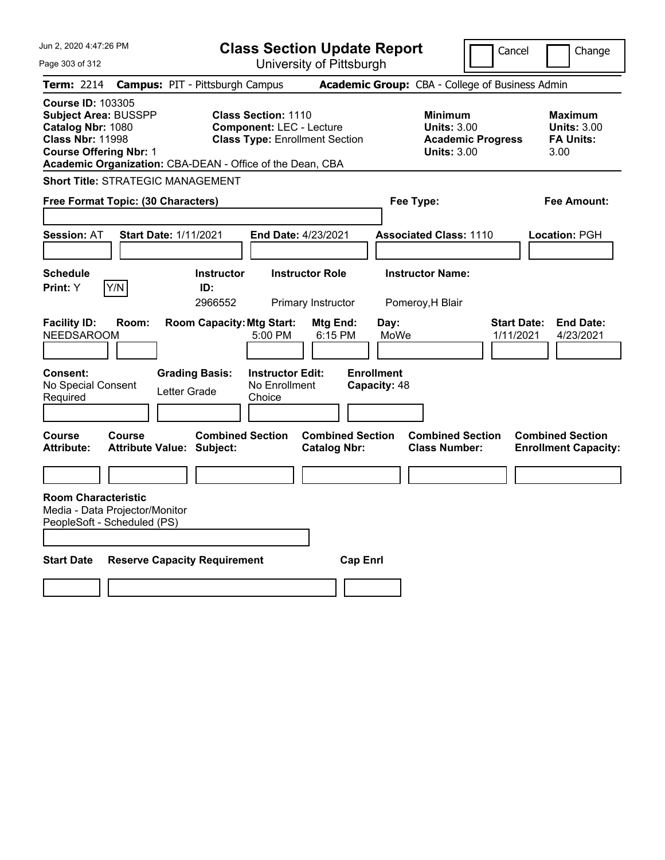| Change<br>University of Pittsburgh<br>Page 303 of 312<br>Academic Group: CBA - College of Business Admin<br><b>Campus: PIT - Pittsburgh Campus</b><br><b>Term: 2214</b><br><b>Course ID: 103305</b><br><b>Class Section: 1110</b><br><b>Subject Area: BUSSPP</b><br><b>Minimum</b><br>Maximum<br>Catalog Nbr: 1080<br><b>Component: LEC - Lecture</b><br><b>Units: 3.00</b><br><b>Units: 3.00</b><br><b>Class Nbr: 11998</b><br><b>Class Type: Enrollment Section</b><br><b>FA Units:</b><br><b>Academic Progress</b> |
|-----------------------------------------------------------------------------------------------------------------------------------------------------------------------------------------------------------------------------------------------------------------------------------------------------------------------------------------------------------------------------------------------------------------------------------------------------------------------------------------------------------------------|
|                                                                                                                                                                                                                                                                                                                                                                                                                                                                                                                       |
|                                                                                                                                                                                                                                                                                                                                                                                                                                                                                                                       |
| <b>Course Offering Nbr: 1</b><br><b>Units: 3.00</b><br>3.00<br>Academic Organization: CBA-DEAN - Office of the Dean, CBA                                                                                                                                                                                                                                                                                                                                                                                              |
| <b>Short Title: STRATEGIC MANAGEMENT</b>                                                                                                                                                                                                                                                                                                                                                                                                                                                                              |
| Free Format Topic: (30 Characters)<br>Fee Type:<br>Fee Amount:                                                                                                                                                                                                                                                                                                                                                                                                                                                        |
|                                                                                                                                                                                                                                                                                                                                                                                                                                                                                                                       |
| <b>Session: AT</b><br><b>Start Date: 1/11/2021</b><br>End Date: 4/23/2021<br><b>Associated Class: 1110</b><br>Location: PGH                                                                                                                                                                                                                                                                                                                                                                                           |
|                                                                                                                                                                                                                                                                                                                                                                                                                                                                                                                       |
| <b>Schedule</b><br><b>Instructor Role</b><br><b>Instructor Name:</b><br><b>Instructor</b>                                                                                                                                                                                                                                                                                                                                                                                                                             |
| Y/N<br>Print: Y<br>ID:<br>2966552<br>Primary Instructor<br>Pomeroy, H Blair                                                                                                                                                                                                                                                                                                                                                                                                                                           |
| <b>Facility ID:</b><br><b>Room Capacity: Mtg Start:</b><br>Room:<br>Mtg End:<br>Day:<br><b>Start Date:</b><br><b>End Date:</b><br><b>NEEDSAROOM</b><br>MoWe<br>5:00 PM<br>6:15 PM<br>1/11/2021<br>4/23/2021<br><b>Enrollment</b><br><b>Instructor Edit:</b><br><b>Consent:</b><br><b>Grading Basis:</b><br>No Special Consent<br>No Enrollment<br>Capacity: 48<br>Letter Grade<br>Choice<br>Required                                                                                                                  |
|                                                                                                                                                                                                                                                                                                                                                                                                                                                                                                                       |
| <b>Course</b><br><b>Combined Section</b><br><b>Combined Section</b><br><b>Combined Section</b><br><b>Combined Section</b><br><b>Course</b><br><b>Catalog Nbr:</b><br><b>Class Number:</b><br><b>Attribute:</b><br><b>Attribute Value: Subject:</b><br><b>Enrollment Capacity:</b>                                                                                                                                                                                                                                     |
|                                                                                                                                                                                                                                                                                                                                                                                                                                                                                                                       |
| <b>Room Characteristic</b><br>Media - Data Projector/Monitor<br>PeopleSoft - Scheduled (PS)                                                                                                                                                                                                                                                                                                                                                                                                                           |
| <b>Start Date</b><br><b>Reserve Capacity Requirement</b><br><b>Cap Enri</b>                                                                                                                                                                                                                                                                                                                                                                                                                                           |
|                                                                                                                                                                                                                                                                                                                                                                                                                                                                                                                       |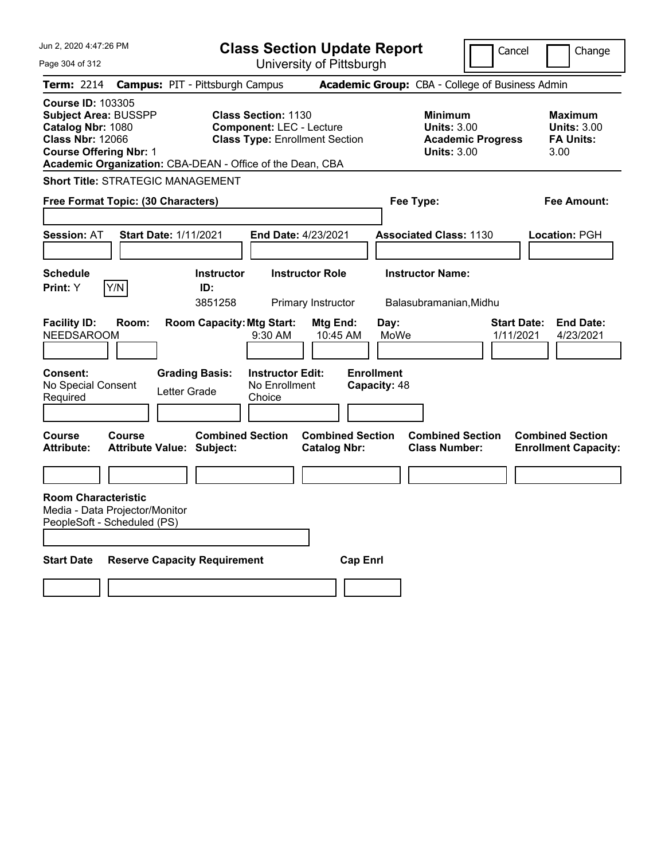| Jun 2, 2020 4:47:26 PM                                                                                                                                                                                |                                                                  | <b>Class Section Update Report</b>                                                                     |                                                              |                                                            | Cancel                          | Change                                                    |
|-------------------------------------------------------------------------------------------------------------------------------------------------------------------------------------------------------|------------------------------------------------------------------|--------------------------------------------------------------------------------------------------------|--------------------------------------------------------------|------------------------------------------------------------|---------------------------------|-----------------------------------------------------------|
| Page 304 of 312                                                                                                                                                                                       |                                                                  | University of Pittsburgh                                                                               |                                                              |                                                            |                                 |                                                           |
| Term: 2214                                                                                                                                                                                            | <b>Campus: PIT - Pittsburgh Campus</b>                           |                                                                                                        |                                                              | Academic Group: CBA - College of Business Admin            |                                 |                                                           |
| <b>Course ID: 103305</b><br><b>Subject Area: BUSSPP</b><br>Catalog Nbr: 1080<br><b>Class Nbr: 12066</b><br><b>Course Offering Nbr: 1</b><br>Academic Organization: CBA-DEAN - Office of the Dean, CBA |                                                                  | <b>Class Section: 1130</b><br><b>Component: LEC - Lecture</b><br><b>Class Type: Enrollment Section</b> |                                                              | <b>Minimum</b><br><b>Units: 3.00</b><br><b>Units: 3.00</b> | <b>Academic Progress</b>        | Maximum<br><b>Units: 3.00</b><br><b>FA Units:</b><br>3.00 |
| <b>Short Title: STRATEGIC MANAGEMENT</b>                                                                                                                                                              |                                                                  |                                                                                                        |                                                              |                                                            |                                 |                                                           |
| Free Format Topic: (30 Characters)                                                                                                                                                                    |                                                                  |                                                                                                        |                                                              | Fee Type:                                                  |                                 | Fee Amount:                                               |
| <b>Session: AT</b>                                                                                                                                                                                    | <b>Start Date: 1/11/2021</b>                                     | <b>End Date: 4/23/2021</b>                                                                             |                                                              | <b>Associated Class: 1130</b>                              |                                 | Location: PGH                                             |
| <b>Schedule</b><br>Y/N<br>Print: Y                                                                                                                                                                    | <b>Instructor</b><br>ID:<br>3851258                              | <b>Instructor Role</b><br>Primary Instructor                                                           |                                                              | <b>Instructor Name:</b><br>Balasubramanian, Midhu          |                                 |                                                           |
| <b>Facility ID:</b><br>Room:<br><b>NEEDSAROOM</b>                                                                                                                                                     | <b>Room Capacity: Mtg Start:</b>                                 | Mtg End:<br>9:30 AM                                                                                    | Day:<br>MoWe<br>10:45 AM                                     |                                                            | <b>Start Date:</b><br>1/11/2021 | <b>End Date:</b><br>4/23/2021                             |
| <b>Consent:</b><br>No Special Consent<br>Required<br><b>Course</b><br>Course                                                                                                                          | <b>Grading Basis:</b><br>Letter Grade<br><b>Combined Section</b> | <b>Instructor Edit:</b><br>No Enrollment<br>Choice                                                     | <b>Enrollment</b><br>Capacity: 48<br><b>Combined Section</b> | <b>Combined Section</b>                                    |                                 | <b>Combined Section</b>                                   |
| <b>Attribute:</b>                                                                                                                                                                                     | <b>Attribute Value: Subject:</b>                                 | <b>Catalog Nbr:</b>                                                                                    |                                                              | <b>Class Number:</b>                                       |                                 | <b>Enrollment Capacity:</b>                               |
|                                                                                                                                                                                                       |                                                                  |                                                                                                        |                                                              |                                                            |                                 |                                                           |
| <b>Room Characteristic</b><br>Media - Data Projector/Monitor<br>PeopleSoft - Scheduled (PS)                                                                                                           |                                                                  |                                                                                                        |                                                              |                                                            |                                 |                                                           |
| <b>Start Date</b>                                                                                                                                                                                     | <b>Reserve Capacity Requirement</b>                              |                                                                                                        | <b>Cap Enri</b>                                              |                                                            |                                 |                                                           |
|                                                                                                                                                                                                       |                                                                  |                                                                                                        |                                                              |                                                            |                                 |                                                           |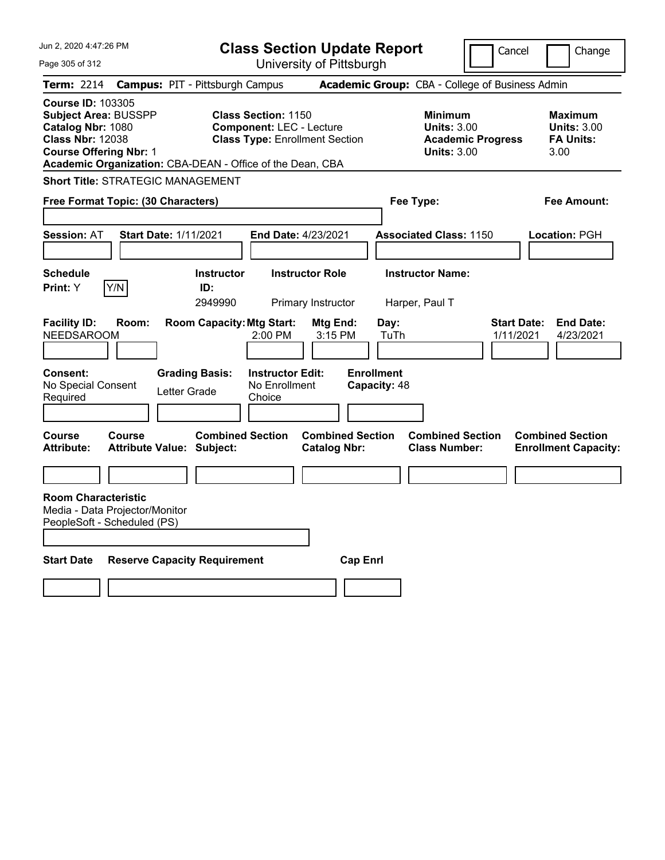| Jun 2, 2020 4:47:26 PM                                                                                                                   | <b>Class Section Update Report</b>                                                                                                                                  |                                                |                                                            | Cancel                          | Change                                                    |
|------------------------------------------------------------------------------------------------------------------------------------------|---------------------------------------------------------------------------------------------------------------------------------------------------------------------|------------------------------------------------|------------------------------------------------------------|---------------------------------|-----------------------------------------------------------|
| Page 305 of 312                                                                                                                          |                                                                                                                                                                     | University of Pittsburgh                       |                                                            |                                 |                                                           |
| Term: 2214                                                                                                                               | <b>Campus: PIT - Pittsburgh Campus</b>                                                                                                                              |                                                | Academic Group: CBA - College of Business Admin            |                                 |                                                           |
| <b>Course ID: 103305</b><br><b>Subject Area: BUSSPP</b><br>Catalog Nbr: 1080<br><b>Class Nbr: 12038</b><br><b>Course Offering Nbr: 1</b> | <b>Class Section: 1150</b><br><b>Component: LEC - Lecture</b><br><b>Class Type: Enrollment Section</b><br>Academic Organization: CBA-DEAN - Office of the Dean, CBA |                                                | <b>Minimum</b><br><b>Units: 3.00</b><br><b>Units: 3.00</b> | <b>Academic Progress</b>        | Maximum<br><b>Units: 3.00</b><br><b>FA Units:</b><br>3.00 |
| <b>Short Title: STRATEGIC MANAGEMENT</b>                                                                                                 |                                                                                                                                                                     |                                                |                                                            |                                 |                                                           |
| Free Format Topic: (30 Characters)                                                                                                       |                                                                                                                                                                     |                                                | Fee Type:                                                  |                                 | Fee Amount:                                               |
| <b>Session: AT</b>                                                                                                                       | <b>Start Date: 1/11/2021</b>                                                                                                                                        | <b>End Date: 4/23/2021</b>                     | <b>Associated Class: 1150</b>                              |                                 | Location: PGH                                             |
| <b>Schedule</b>                                                                                                                          | <b>Instructor</b>                                                                                                                                                   | <b>Instructor Role</b>                         | <b>Instructor Name:</b>                                    |                                 |                                                           |
| Y/N<br>Print: Y                                                                                                                          | ID:<br>2949990                                                                                                                                                      | Primary Instructor                             | Harper, Paul T                                             |                                 |                                                           |
| <b>Facility ID:</b><br>Room:<br><b>NEEDSAROOM</b><br><b>Consent:</b><br>No Special Consent<br>Required                                   | <b>Room Capacity: Mtg Start:</b><br>2:00 PM<br><b>Instructor Edit:</b><br><b>Grading Basis:</b><br>No Enrollment<br>Letter Grade<br>Choice                          | Mtg End:<br>3:15 PM                            | Day:<br>TuTh<br><b>Enrollment</b><br>Capacity: 48          | <b>Start Date:</b><br>1/11/2021 | <b>End Date:</b><br>4/23/2021                             |
| <b>Course</b><br>Course<br><b>Attribute:</b>                                                                                             | <b>Combined Section</b><br><b>Attribute Value: Subject:</b>                                                                                                         | <b>Combined Section</b><br><b>Catalog Nbr:</b> | <b>Combined Section</b><br><b>Class Number:</b>            |                                 | <b>Combined Section</b><br><b>Enrollment Capacity:</b>    |
|                                                                                                                                          |                                                                                                                                                                     |                                                |                                                            |                                 |                                                           |
| <b>Room Characteristic</b><br>Media - Data Projector/Monitor<br>PeopleSoft - Scheduled (PS)<br><b>Start Date</b>                         | <b>Reserve Capacity Requirement</b>                                                                                                                                 | <b>Cap Enri</b>                                |                                                            |                                 |                                                           |
|                                                                                                                                          |                                                                                                                                                                     |                                                |                                                            |                                 |                                                           |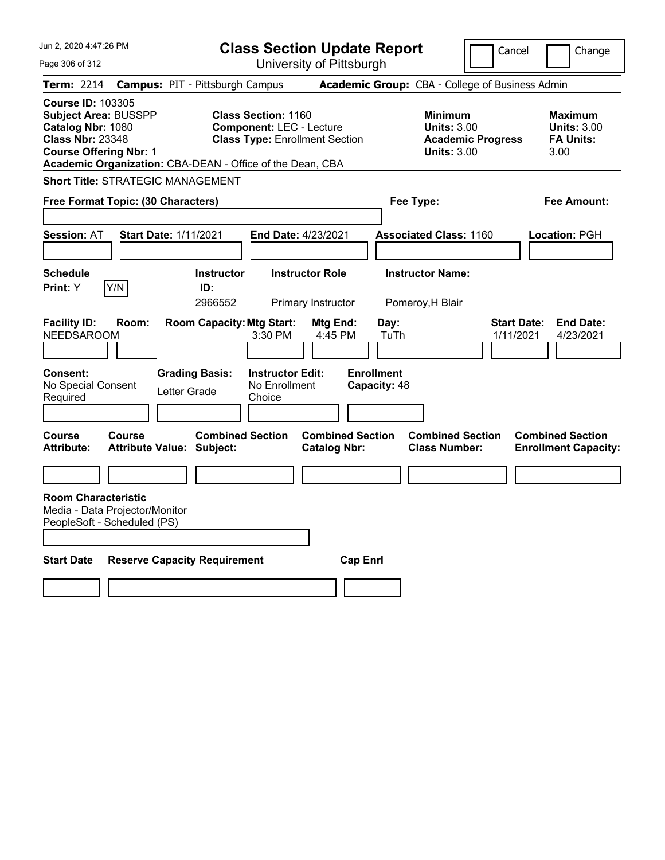| Jun 2, 2020 4:47:26 PM                                                                                                                                                                                |                                                                                                | <b>Class Section Update Report</b>                              |                                                            | Cancel                          | Change                                                    |
|-------------------------------------------------------------------------------------------------------------------------------------------------------------------------------------------------------|------------------------------------------------------------------------------------------------|-----------------------------------------------------------------|------------------------------------------------------------|---------------------------------|-----------------------------------------------------------|
| Page 306 of 312                                                                                                                                                                                       |                                                                                                | University of Pittsburgh                                        |                                                            |                                 |                                                           |
| <b>Term: 2214</b>                                                                                                                                                                                     | <b>Campus: PIT - Pittsburgh Campus</b>                                                         |                                                                 | Academic Group: CBA - College of Business Admin            |                                 |                                                           |
| <b>Course ID: 103305</b><br><b>Subject Area: BUSSPP</b><br>Catalog Nbr: 1080<br><b>Class Nbr: 23348</b><br><b>Course Offering Nbr: 1</b><br>Academic Organization: CBA-DEAN - Office of the Dean, CBA | <b>Class Section: 1160</b><br><b>Component: LEC - Lecture</b>                                  | <b>Class Type: Enrollment Section</b>                           | <b>Minimum</b><br><b>Units: 3.00</b><br><b>Units: 3.00</b> | <b>Academic Progress</b>        | Maximum<br><b>Units: 3.00</b><br><b>FA Units:</b><br>3.00 |
| <b>Short Title: STRATEGIC MANAGEMENT</b>                                                                                                                                                              |                                                                                                |                                                                 |                                                            |                                 |                                                           |
| Free Format Topic: (30 Characters)                                                                                                                                                                    |                                                                                                |                                                                 | Fee Type:                                                  |                                 | Fee Amount:                                               |
|                                                                                                                                                                                                       |                                                                                                |                                                                 |                                                            |                                 |                                                           |
| <b>Session: AT</b>                                                                                                                                                                                    | <b>Start Date: 1/11/2021</b>                                                                   | End Date: 4/23/2021                                             | <b>Associated Class: 1160</b>                              |                                 | Location: PGH                                             |
|                                                                                                                                                                                                       |                                                                                                |                                                                 |                                                            |                                 |                                                           |
| <b>Schedule</b>                                                                                                                                                                                       | <b>Instructor</b>                                                                              | <b>Instructor Role</b>                                          | <b>Instructor Name:</b>                                    |                                 |                                                           |
| Y/N<br>Print: Y                                                                                                                                                                                       | ID:<br>2966552                                                                                 | Primary Instructor                                              | Pomeroy, H Blair                                           |                                 |                                                           |
| <b>Facility ID:</b><br>Room:<br><b>NEEDSAROOM</b><br><b>Consent:</b><br>No Special Consent<br>Required                                                                                                | <b>Room Capacity: Mtg Start:</b><br>3:30 PM<br><b>Grading Basis:</b><br>Letter Grade<br>Choice | Mtg End:<br>4:45 PM<br><b>Instructor Edit:</b><br>No Enrollment | Day:<br>TuTh<br><b>Enrollment</b><br>Capacity: 48          | <b>Start Date:</b><br>1/11/2021 | <b>End Date:</b><br>4/23/2021                             |
|                                                                                                                                                                                                       |                                                                                                |                                                                 |                                                            |                                 |                                                           |
| <b>Course</b><br><b>Course</b><br><b>Attribute:</b>                                                                                                                                                   | <b>Combined Section</b><br><b>Attribute Value: Subject:</b>                                    | <b>Combined Section</b><br><b>Catalog Nbr:</b>                  | <b>Combined Section</b><br><b>Class Number:</b>            |                                 | <b>Combined Section</b><br><b>Enrollment Capacity:</b>    |
|                                                                                                                                                                                                       |                                                                                                |                                                                 |                                                            |                                 |                                                           |
| <b>Room Characteristic</b><br>Media - Data Projector/Monitor<br>PeopleSoft - Scheduled (PS)                                                                                                           |                                                                                                |                                                                 |                                                            |                                 |                                                           |
| <b>Start Date</b>                                                                                                                                                                                     | <b>Reserve Capacity Requirement</b>                                                            | <b>Cap Enri</b>                                                 |                                                            |                                 |                                                           |
|                                                                                                                                                                                                       |                                                                                                |                                                                 |                                                            |                                 |                                                           |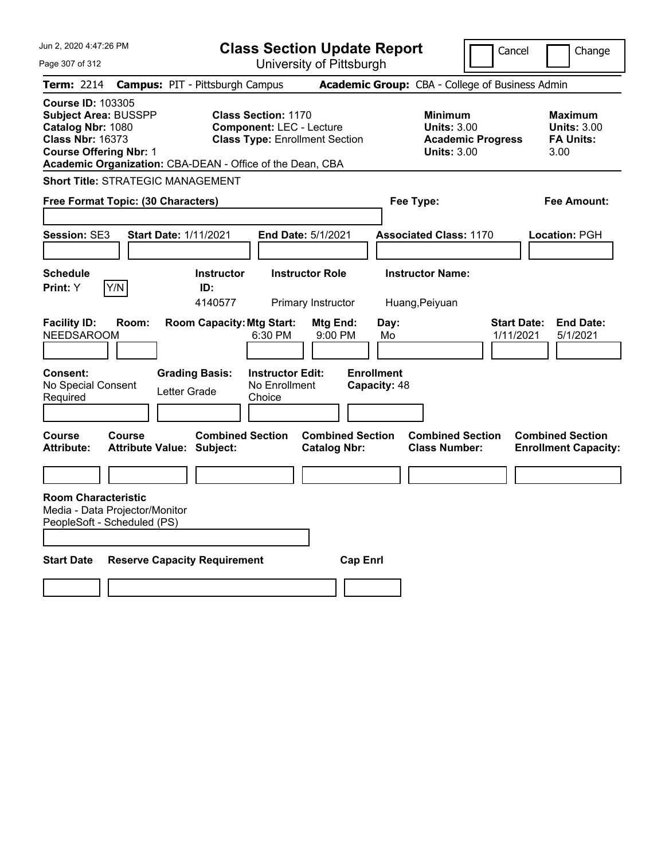| Jun 2, 2020 4:47:26 PM                                                                                                                   |               |                                                             | <b>Class Section Update Report</b>                                                                     |                                                |                                   |                                                            | Cancel                          | Change                                                    |
|------------------------------------------------------------------------------------------------------------------------------------------|---------------|-------------------------------------------------------------|--------------------------------------------------------------------------------------------------------|------------------------------------------------|-----------------------------------|------------------------------------------------------------|---------------------------------|-----------------------------------------------------------|
| Page 307 of 312                                                                                                                          |               |                                                             |                                                                                                        | University of Pittsburgh                       |                                   |                                                            |                                 |                                                           |
| Term: 2214                                                                                                                               |               | <b>Campus: PIT - Pittsburgh Campus</b>                      |                                                                                                        |                                                |                                   | Academic Group: CBA - College of Business Admin            |                                 |                                                           |
| <b>Course ID: 103305</b><br><b>Subject Area: BUSSPP</b><br>Catalog Nbr: 1080<br><b>Class Nbr: 16373</b><br><b>Course Offering Nbr: 1</b> |               | Academic Organization: CBA-DEAN - Office of the Dean, CBA   | <b>Class Section: 1170</b><br><b>Component: LEC - Lecture</b><br><b>Class Type: Enrollment Section</b> |                                                |                                   | <b>Minimum</b><br><b>Units: 3.00</b><br><b>Units: 3.00</b> | <b>Academic Progress</b>        | Maximum<br><b>Units: 3.00</b><br><b>FA Units:</b><br>3.00 |
|                                                                                                                                          |               | <b>Short Title: STRATEGIC MANAGEMENT</b>                    |                                                                                                        |                                                |                                   |                                                            |                                 |                                                           |
| Free Format Topic: (30 Characters)                                                                                                       |               |                                                             |                                                                                                        |                                                | Fee Type:                         |                                                            |                                 | Fee Amount:                                               |
| Session: SE3                                                                                                                             |               | <b>Start Date: 1/11/2021</b>                                | <b>End Date: 5/1/2021</b>                                                                              |                                                |                                   | <b>Associated Class: 1170</b>                              |                                 | Location: PGH                                             |
| <b>Schedule</b><br>Print: Y                                                                                                              | Y/N           | <b>Instructor</b><br>ID:<br>4140577                         |                                                                                                        | <b>Instructor Role</b><br>Primary Instructor   |                                   | <b>Instructor Name:</b><br>Huang, Peiyuan                  |                                 |                                                           |
| <b>Facility ID:</b><br><b>NEEDSAROOM</b>                                                                                                 | Room:         | <b>Room Capacity: Mtg Start:</b>                            | 6:30 PM                                                                                                | Mtg End:<br>9:00 PM                            | Day:<br>Mo                        |                                                            | <b>Start Date:</b><br>1/11/2021 | <b>End Date:</b><br>5/1/2021                              |
| <b>Consent:</b><br>No Special Consent<br>Required                                                                                        |               | <b>Grading Basis:</b><br>Letter Grade                       | <b>Instructor Edit:</b><br>No Enrollment<br>Choice                                                     |                                                | <b>Enrollment</b><br>Capacity: 48 |                                                            |                                 |                                                           |
| Course<br><b>Attribute:</b>                                                                                                              | <b>Course</b> | <b>Combined Section</b><br><b>Attribute Value: Subject:</b> |                                                                                                        | <b>Combined Section</b><br><b>Catalog Nbr:</b> |                                   | <b>Combined Section</b><br><b>Class Number:</b>            |                                 | <b>Combined Section</b><br><b>Enrollment Capacity:</b>    |
|                                                                                                                                          |               |                                                             |                                                                                                        |                                                |                                   |                                                            |                                 |                                                           |
| <b>Room Characteristic</b><br>Media - Data Projector/Monitor<br>PeopleSoft - Scheduled (PS)                                              |               |                                                             |                                                                                                        |                                                |                                   |                                                            |                                 |                                                           |
| <b>Start Date</b>                                                                                                                        |               | <b>Reserve Capacity Requirement</b>                         |                                                                                                        | <b>Cap Enri</b>                                |                                   |                                                            |                                 |                                                           |
|                                                                                                                                          |               |                                                             |                                                                                                        |                                                |                                   |                                                            |                                 |                                                           |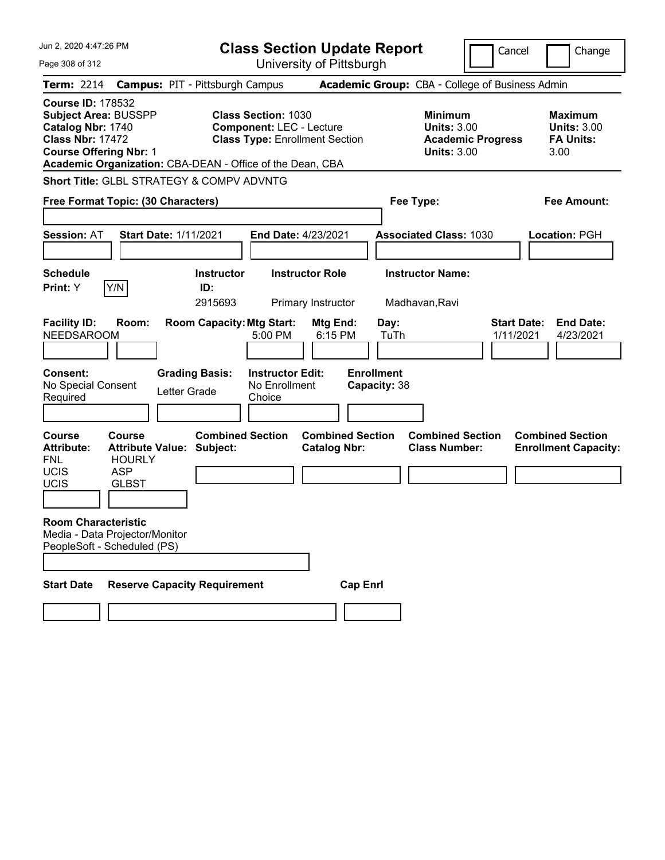| Jun 2, 2020 4:47:26 PM                                                                                                                   |                                                             | <b>Class Section Update Report</b>                                                                     |                                                |                                                                                        | Cancel                          | Change                                                           |
|------------------------------------------------------------------------------------------------------------------------------------------|-------------------------------------------------------------|--------------------------------------------------------------------------------------------------------|------------------------------------------------|----------------------------------------------------------------------------------------|---------------------------------|------------------------------------------------------------------|
| Page 308 of 312                                                                                                                          |                                                             | University of Pittsburgh                                                                               |                                                |                                                                                        |                                 |                                                                  |
| <b>Term: 2214</b>                                                                                                                        | <b>Campus: PIT - Pittsburgh Campus</b>                      |                                                                                                        |                                                | Academic Group: CBA - College of Business Admin                                        |                                 |                                                                  |
| <b>Course ID: 178532</b><br><b>Subject Area: BUSSPP</b><br>Catalog Nbr: 1740<br><b>Class Nbr: 17472</b><br><b>Course Offering Nbr: 1</b> | Academic Organization: CBA-DEAN - Office of the Dean, CBA   | <b>Class Section: 1030</b><br><b>Component: LEC - Lecture</b><br><b>Class Type: Enrollment Section</b> |                                                | <b>Minimum</b><br><b>Units: 3.00</b><br><b>Academic Progress</b><br><b>Units: 3.00</b> |                                 | <b>Maximum</b><br><b>Units: 3.00</b><br><b>FA Units:</b><br>3.00 |
|                                                                                                                                          | Short Title: GLBL STRATEGY & COMPV ADVNTG                   |                                                                                                        |                                                |                                                                                        |                                 |                                                                  |
| Free Format Topic: (30 Characters)                                                                                                       |                                                             |                                                                                                        |                                                | Fee Type:                                                                              |                                 | <b>Fee Amount:</b>                                               |
| <b>Session: AT</b>                                                                                                                       | <b>Start Date: 1/11/2021</b>                                | End Date: 4/23/2021                                                                                    |                                                | <b>Associated Class: 1030</b>                                                          |                                 | <b>Location: PGH</b>                                             |
| <b>Schedule</b><br>Y/N<br>Print: Y                                                                                                       | <b>Instructor</b><br>ID:<br>2915693                         | <b>Instructor Role</b><br>Primary Instructor                                                           |                                                | <b>Instructor Name:</b><br>Madhavan, Ravi                                              |                                 |                                                                  |
| <b>Facility ID:</b><br>Room:<br><b>NEEDSAROOM</b>                                                                                        | <b>Room Capacity: Mtg Start:</b>                            | 5:00 PM                                                                                                | Mtg End:<br>Day:<br>6:15 PM<br>TuTh            |                                                                                        | <b>Start Date:</b><br>1/11/2021 | <b>End Date:</b><br>4/23/2021                                    |
| <b>Consent:</b><br>No Special Consent<br>Required                                                                                        | <b>Grading Basis:</b><br>Letter Grade                       | <b>Instructor Edit:</b><br>No Enrollment<br>Choice                                                     | <b>Enrollment</b><br>Capacity: 38              |                                                                                        |                                 |                                                                  |
| <b>Course</b><br><b>Course</b><br><b>Attribute:</b><br><b>FNL</b><br><b>HOURLY</b><br>UCIS<br><b>ASP</b>                                 | <b>Combined Section</b><br><b>Attribute Value: Subject:</b> |                                                                                                        | <b>Combined Section</b><br><b>Catalog Nbr:</b> | <b>Combined Section</b><br><b>Class Number:</b>                                        |                                 | <b>Combined Section</b><br><b>Enrollment Capacity:</b>           |
| <b>UCIS</b><br><b>GLBST</b>                                                                                                              |                                                             |                                                                                                        |                                                |                                                                                        |                                 |                                                                  |
| <b>Room Characteristic</b><br>Media - Data Projector/Monitor<br>PeopleSoft - Scheduled (PS)                                              |                                                             |                                                                                                        |                                                |                                                                                        |                                 |                                                                  |
|                                                                                                                                          |                                                             |                                                                                                        |                                                |                                                                                        |                                 |                                                                  |
| <b>Start Date</b>                                                                                                                        | <b>Reserve Capacity Requirement</b>                         |                                                                                                        | <b>Cap Enrl</b>                                |                                                                                        |                                 |                                                                  |
|                                                                                                                                          |                                                             |                                                                                                        |                                                |                                                                                        |                                 |                                                                  |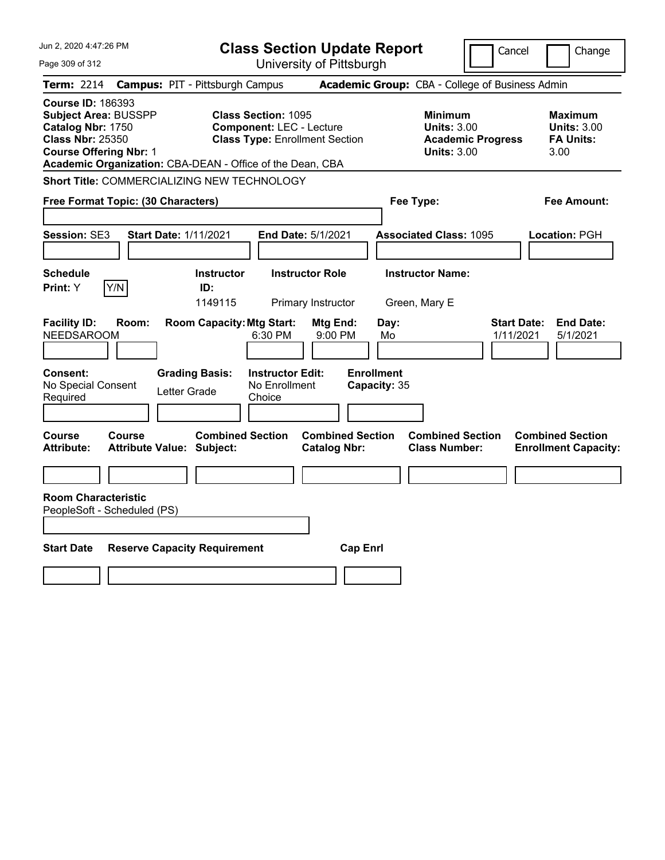| Jun 2, 2020 4:47:26 PM                                                                                                                                                                                | <b>Class Section Update Report</b>                                                                     |                                                |                                                            | Cancel                          | Change                                                           |
|-------------------------------------------------------------------------------------------------------------------------------------------------------------------------------------------------------|--------------------------------------------------------------------------------------------------------|------------------------------------------------|------------------------------------------------------------|---------------------------------|------------------------------------------------------------------|
| Page 309 of 312                                                                                                                                                                                       |                                                                                                        | University of Pittsburgh                       |                                                            |                                 |                                                                  |
| <b>Term: 2214</b>                                                                                                                                                                                     | <b>Campus: PIT - Pittsburgh Campus</b>                                                                 |                                                | Academic Group: CBA - College of Business Admin            |                                 |                                                                  |
| <b>Course ID: 186393</b><br><b>Subject Area: BUSSPP</b><br>Catalog Nbr: 1750<br><b>Class Nbr: 25350</b><br><b>Course Offering Nbr: 1</b><br>Academic Organization: CBA-DEAN - Office of the Dean, CBA | <b>Class Section: 1095</b><br><b>Component: LEC - Lecture</b><br><b>Class Type: Enrollment Section</b> |                                                | <b>Minimum</b><br><b>Units: 3.00</b><br><b>Units: 3.00</b> | <b>Academic Progress</b>        | <b>Maximum</b><br><b>Units: 3.00</b><br><b>FA Units:</b><br>3.00 |
| Short Title: COMMERCIALIZING NEW TECHNOLOGY                                                                                                                                                           |                                                                                                        |                                                |                                                            |                                 |                                                                  |
| Free Format Topic: (30 Characters)                                                                                                                                                                    |                                                                                                        |                                                | Fee Type:                                                  |                                 | Fee Amount:                                                      |
| Session: SE3                                                                                                                                                                                          | <b>Start Date: 1/11/2021</b>                                                                           | End Date: 5/1/2021                             | <b>Associated Class: 1095</b>                              |                                 | Location: PGH                                                    |
| <b>Schedule</b><br>Y/N<br>Print: Y                                                                                                                                                                    | <b>Instructor</b><br>ID:<br>1149115                                                                    | <b>Instructor Role</b><br>Primary Instructor   | <b>Instructor Name:</b><br>Green, Mary E                   |                                 |                                                                  |
| <b>Facility ID:</b><br>Room:<br><b>NEEDSAROOM</b>                                                                                                                                                     | <b>Room Capacity: Mtg Start:</b><br>6:30 PM                                                            | Mtg End:<br>9:00 PM                            | Day:<br>Mo                                                 | <b>Start Date:</b><br>1/11/2021 | <b>End Date:</b><br>5/1/2021                                     |
| Consent:<br>No Special Consent<br>Required                                                                                                                                                            | <b>Grading Basis:</b><br><b>Instructor Edit:</b><br>No Enrollment<br>Letter Grade<br>Choice            |                                                | <b>Enrollment</b><br>Capacity: 35                          |                                 |                                                                  |
| Course<br>Course<br><b>Attribute Value: Subject:</b><br>Attribute:                                                                                                                                    | <b>Combined Section</b>                                                                                | <b>Combined Section</b><br><b>Catalog Nbr:</b> | <b>Combined Section</b><br><b>Class Number:</b>            |                                 | <b>Combined Section</b><br><b>Enrollment Capacity:</b>           |
| <b>Room Characteristic</b><br>PeopleSoft - Scheduled (PS)                                                                                                                                             |                                                                                                        |                                                |                                                            |                                 |                                                                  |
| <b>Start Date</b>                                                                                                                                                                                     | <b>Reserve Capacity Requirement</b>                                                                    | <b>Cap Enrl</b>                                |                                                            |                                 |                                                                  |
|                                                                                                                                                                                                       |                                                                                                        |                                                |                                                            |                                 |                                                                  |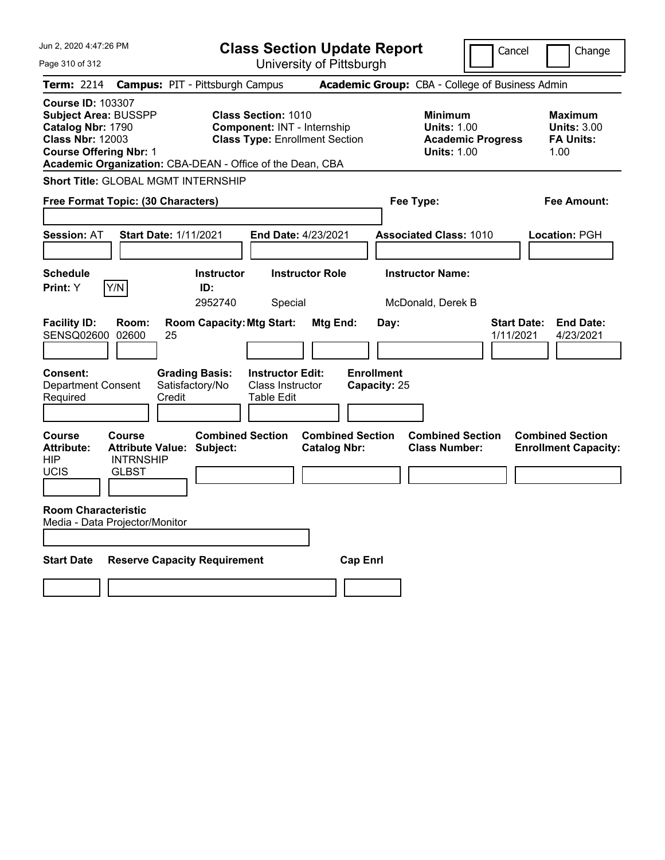| Jun 2, 2020 4:47:26 PM                                                                                                                                                                                |                                                   |                                                                                                           | <b>Class Section Update Report</b>                                      |                                                                                        |                                   |                                                 | Cancel                                                           | Change                                                 |  |  |
|-------------------------------------------------------------------------------------------------------------------------------------------------------------------------------------------------------|---------------------------------------------------|-----------------------------------------------------------------------------------------------------------|-------------------------------------------------------------------------|----------------------------------------------------------------------------------------|-----------------------------------|-------------------------------------------------|------------------------------------------------------------------|--------------------------------------------------------|--|--|
| Page 310 of 312                                                                                                                                                                                       |                                                   |                                                                                                           |                                                                         | University of Pittsburgh                                                               |                                   |                                                 |                                                                  |                                                        |  |  |
| Term: 2214                                                                                                                                                                                            |                                                   | <b>Campus: PIT - Pittsburgh Campus</b>                                                                    |                                                                         |                                                                                        |                                   | Academic Group: CBA - College of Business Admin |                                                                  |                                                        |  |  |
| <b>Course ID: 103307</b><br><b>Subject Area: BUSSPP</b><br>Catalog Nbr: 1790<br><b>Class Nbr: 12003</b><br><b>Course Offering Nbr: 1</b><br>Academic Organization: CBA-DEAN - Office of the Dean, CBA |                                                   | <b>Class Section: 1010</b><br><b>Component: INT - Internship</b><br><b>Class Type: Enrollment Section</b> |                                                                         | <b>Minimum</b><br><b>Units: 1.00</b><br><b>Academic Progress</b><br><b>Units: 1.00</b> |                                   |                                                 | <b>Maximum</b><br><b>Units: 3.00</b><br><b>FA Units:</b><br>1.00 |                                                        |  |  |
|                                                                                                                                                                                                       |                                                   | <b>Short Title: GLOBAL MGMT INTERNSHIP</b>                                                                |                                                                         |                                                                                        |                                   |                                                 |                                                                  |                                                        |  |  |
| Free Format Topic: (30 Characters)                                                                                                                                                                    |                                                   |                                                                                                           |                                                                         |                                                                                        |                                   | Fee Type:                                       |                                                                  | Fee Amount:                                            |  |  |
| <b>Session: AT</b>                                                                                                                                                                                    |                                                   | <b>Start Date: 1/11/2021</b>                                                                              | <b>End Date: 4/23/2021</b>                                              |                                                                                        |                                   | <b>Associated Class: 1010</b>                   |                                                                  | Location: PGH                                          |  |  |
| <b>Schedule</b><br>Print: Y                                                                                                                                                                           | Y/N                                               | <b>Instructor</b><br>ID:<br>2952740                                                                       | Special                                                                 | <b>Instructor Role</b>                                                                 |                                   | <b>Instructor Name:</b><br>McDonald, Derek B    |                                                                  |                                                        |  |  |
| <b>Facility ID:</b><br>SENSQ02600                                                                                                                                                                     | Room:<br>02600                                    | <b>Room Capacity: Mtg Start:</b><br>25                                                                    |                                                                         | Mtg End:                                                                               | Day:                              |                                                 | <b>Start Date:</b><br>1/11/2021                                  | <b>End Date:</b><br>4/23/2021                          |  |  |
| <b>Consent:</b><br><b>Department Consent</b><br>Required                                                                                                                                              |                                                   | <b>Grading Basis:</b><br>Satisfactory/No<br>Credit                                                        | <b>Instructor Edit:</b><br><b>Class Instructor</b><br><b>Table Edit</b> |                                                                                        | <b>Enrollment</b><br>Capacity: 25 |                                                 |                                                                  |                                                        |  |  |
| Course<br><b>Attribute:</b><br>HIP<br>UCIS                                                                                                                                                            | <b>Course</b><br><b>INTRNSHIP</b><br><b>GLBST</b> | <b>Combined Section</b><br><b>Attribute Value: Subject:</b>                                               |                                                                         | <b>Combined Section</b><br><b>Catalog Nbr:</b>                                         |                                   | <b>Combined Section</b><br><b>Class Number:</b> |                                                                  | <b>Combined Section</b><br><b>Enrollment Capacity:</b> |  |  |
| <b>Room Characteristic</b><br>Media - Data Projector/Monitor                                                                                                                                          |                                                   |                                                                                                           |                                                                         |                                                                                        |                                   |                                                 |                                                                  |                                                        |  |  |
| <b>Start Date</b>                                                                                                                                                                                     |                                                   | <b>Reserve Capacity Requirement</b>                                                                       |                                                                         | <b>Cap Enri</b>                                                                        |                                   |                                                 |                                                                  |                                                        |  |  |
|                                                                                                                                                                                                       |                                                   |                                                                                                           |                                                                         |                                                                                        |                                   |                                                 |                                                                  |                                                        |  |  |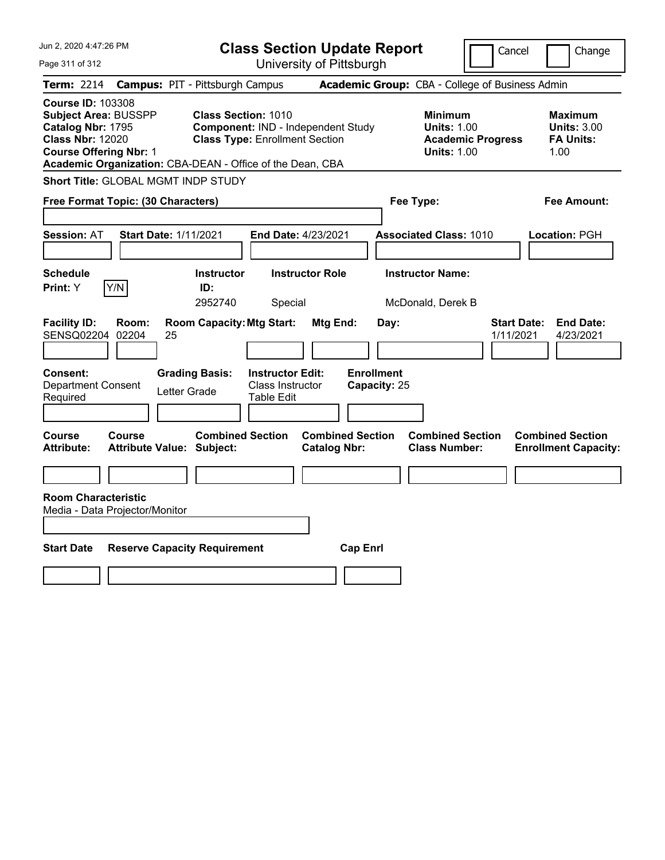| Jun 2, 2020 4:47:26 PM                                                                                                                                                                                | <b>Class Section Update Report</b>                                                                        | Cancel<br>Change                                                                       |                                                                  |  |  |
|-------------------------------------------------------------------------------------------------------------------------------------------------------------------------------------------------------|-----------------------------------------------------------------------------------------------------------|----------------------------------------------------------------------------------------|------------------------------------------------------------------|--|--|
| Page 311 of 312                                                                                                                                                                                       | University of Pittsburgh                                                                                  |                                                                                        |                                                                  |  |  |
| <b>Term: 2214</b>                                                                                                                                                                                     | <b>Campus: PIT - Pittsburgh Campus</b>                                                                    | Academic Group: CBA - College of Business Admin                                        |                                                                  |  |  |
| <b>Course ID: 103308</b><br><b>Subject Area: BUSSPP</b><br>Catalog Nbr: 1795<br><b>Class Nbr: 12020</b><br><b>Course Offering Nbr: 1</b><br>Academic Organization: CBA-DEAN - Office of the Dean, CBA | <b>Class Section: 1010</b><br>Component: IND - Independent Study<br><b>Class Type: Enrollment Section</b> | <b>Minimum</b><br><b>Units: 1.00</b><br><b>Academic Progress</b><br><b>Units: 1.00</b> | <b>Maximum</b><br><b>Units: 3.00</b><br><b>FA Units:</b><br>1.00 |  |  |
| Short Title: GLOBAL MGMT INDP STUDY                                                                                                                                                                   |                                                                                                           |                                                                                        |                                                                  |  |  |
| Free Format Topic: (30 Characters)                                                                                                                                                                    |                                                                                                           | Fee Type:                                                                              | Fee Amount:                                                      |  |  |
| <b>Session: AT</b><br><b>Start Date: 1/11/2021</b>                                                                                                                                                    | End Date: 4/23/2021                                                                                       | <b>Associated Class: 1010</b>                                                          | Location: PGH                                                    |  |  |
| Schedule<br>Print: Y<br>Y/N                                                                                                                                                                           | <b>Instructor Role</b><br><b>Instructor</b><br>ID:<br>2952740<br>Special                                  | <b>Instructor Name:</b><br>McDonald, Derek B                                           |                                                                  |  |  |
| <b>Facility ID:</b><br>Room:<br>SENSQ02204<br>02204<br>25                                                                                                                                             | <b>Room Capacity: Mtg Start:</b><br>Mtg End:                                                              | Day:                                                                                   | <b>End Date:</b><br><b>Start Date:</b><br>1/11/2021<br>4/23/2021 |  |  |
| Consent:<br><b>Department Consent</b><br>Letter Grade<br>Required                                                                                                                                     | <b>Instructor Edit:</b><br><b>Grading Basis:</b><br>Class Instructor<br><b>Table Edit</b>                 | <b>Enrollment</b><br>Capacity: 25                                                      |                                                                  |  |  |
| <b>Course</b><br>Course<br><b>Attribute Value: Subject:</b><br><b>Attribute:</b>                                                                                                                      | <b>Combined Section</b><br><b>Catalog Nbr:</b>                                                            | <b>Combined Section</b><br><b>Combined Section</b><br><b>Class Number:</b>             | <b>Combined Section</b><br><b>Enrollment Capacity:</b>           |  |  |
| <b>Room Characteristic</b><br>Media - Data Projector/Monitor                                                                                                                                          |                                                                                                           |                                                                                        |                                                                  |  |  |
| <b>Start Date</b><br><b>Reserve Capacity Requirement</b>                                                                                                                                              |                                                                                                           | <b>Cap Enrl</b>                                                                        |                                                                  |  |  |